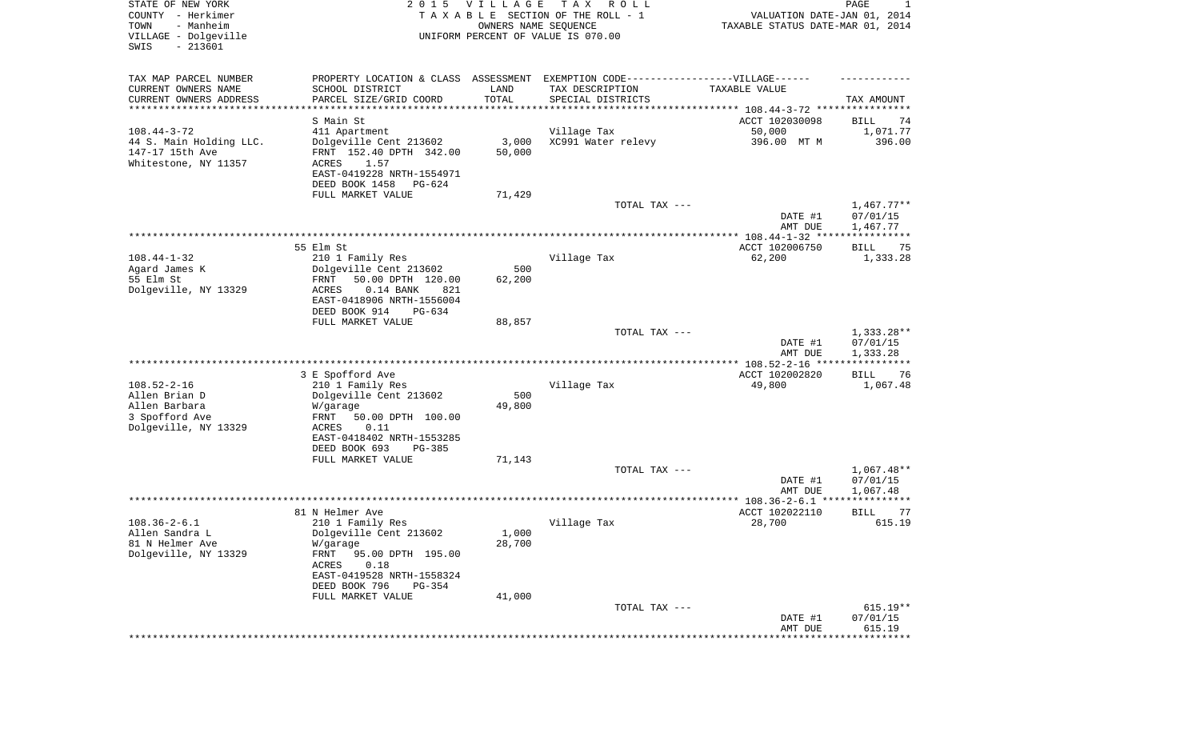| STATE OF NEW YORK<br>COUNTY - Herkimer<br>- Manheim<br>TOWN<br>VILLAGE - Dolgeville<br>SWIS<br>$-213601$ |                                                                                   | 2015 VILLAGE<br>OWNERS NAME SEQUENCE | T A X<br>R O L L<br>TAXABLE SECTION OF THE ROLL - 1<br>UNIFORM PERCENT OF VALUE IS 070.00 | VALUATION DATE-JAN 01, 2014<br>TAXABLE STATUS DATE-MAR 01, 2014 | PAGE<br>1                            |
|----------------------------------------------------------------------------------------------------------|-----------------------------------------------------------------------------------|--------------------------------------|-------------------------------------------------------------------------------------------|-----------------------------------------------------------------|--------------------------------------|
| TAX MAP PARCEL NUMBER                                                                                    | PROPERTY LOCATION & CLASS ASSESSMENT EXEMPTION CODE-----------------VILLAGE------ |                                      |                                                                                           |                                                                 |                                      |
| CURRENT OWNERS NAME                                                                                      | SCHOOL DISTRICT                                                                   | LAND<br>TOTAL                        | TAX DESCRIPTION                                                                           | TAXABLE VALUE                                                   |                                      |
| CURRENT OWNERS ADDRESS<br>********************                                                           | PARCEL SIZE/GRID COORD<br>***************                                         |                                      | SPECIAL DISTRICTS                                                                         |                                                                 | TAX AMOUNT                           |
|                                                                                                          | S Main St                                                                         |                                      |                                                                                           | ACCT 102030098                                                  | BILL<br>74                           |
| $108.44 - 3 - 72$                                                                                        | 411 Apartment                                                                     |                                      | Village Tax                                                                               | 50,000                                                          | 1,071.77                             |
| 44 S. Main Holding LLC.                                                                                  | Dolgeville Cent 213602                                                            | 3,000                                | XC991 Water relevy                                                                        | 396.00 MT M                                                     | 396.00                               |
| 147-17 15th Ave<br>Whitestone, NY 11357                                                                  | FRNT 152.40 DPTH 342.00<br>ACRES<br>1.57                                          | 50,000                               |                                                                                           |                                                                 |                                      |
|                                                                                                          | EAST-0419228 NRTH-1554971                                                         |                                      |                                                                                           |                                                                 |                                      |
|                                                                                                          | DEED BOOK 1458<br>PG-624                                                          |                                      |                                                                                           |                                                                 |                                      |
|                                                                                                          | FULL MARKET VALUE                                                                 | 71,429                               |                                                                                           |                                                                 |                                      |
|                                                                                                          |                                                                                   |                                      | TOTAL TAX ---                                                                             | DATE #1<br>AMT DUE                                              | $1,467.77**$<br>07/01/15<br>1,467.77 |
|                                                                                                          |                                                                                   |                                      |                                                                                           |                                                                 |                                      |
|                                                                                                          | 55 Elm St                                                                         |                                      |                                                                                           | ACCT 102006750                                                  | 75<br>BILL                           |
| $108.44 - 1 - 32$                                                                                        | 210 1 Family Res                                                                  |                                      | Village Tax                                                                               | 62,200                                                          | 1,333.28                             |
| Agard James K<br>55 Elm St                                                                               | Dolgeville Cent 213602<br>50.00 DPTH 120.00<br>FRNT                               | 500<br>62,200                        |                                                                                           |                                                                 |                                      |
| Dolgeville, NY 13329                                                                                     | $0.14$ BANK<br>821<br>ACRES                                                       |                                      |                                                                                           |                                                                 |                                      |
|                                                                                                          | EAST-0418906 NRTH-1556004                                                         |                                      |                                                                                           |                                                                 |                                      |
|                                                                                                          | DEED BOOK 914<br>$PG-634$                                                         |                                      |                                                                                           |                                                                 |                                      |
|                                                                                                          | FULL MARKET VALUE                                                                 | 88,857                               | TOTAL TAX ---                                                                             |                                                                 | 1,333.28**                           |
|                                                                                                          |                                                                                   |                                      |                                                                                           | DATE #1<br>AMT DUE                                              | 07/01/15<br>1,333.28                 |
|                                                                                                          |                                                                                   |                                      |                                                                                           |                                                                 |                                      |
| $108.52 - 2 - 16$                                                                                        | 3 E Spofford Ave<br>210 1 Family Res                                              |                                      | Village Tax                                                                               | ACCT 102002820                                                  | BILL<br>76                           |
| Allen Brian D                                                                                            | Dolgeville Cent 213602                                                            | 500                                  |                                                                                           | 49,800                                                          | 1,067.48                             |
| Allen Barbara                                                                                            | W/garage                                                                          | 49,800                               |                                                                                           |                                                                 |                                      |
| 3 Spofford Ave                                                                                           | FRNT<br>50.00 DPTH 100.00                                                         |                                      |                                                                                           |                                                                 |                                      |
| Dolgeville, NY 13329                                                                                     | ACRES<br>0.11                                                                     |                                      |                                                                                           |                                                                 |                                      |
|                                                                                                          | EAST-0418402 NRTH-1553285<br>DEED BOOK 693<br>PG-385                              |                                      |                                                                                           |                                                                 |                                      |
|                                                                                                          | FULL MARKET VALUE                                                                 | 71,143                               |                                                                                           |                                                                 |                                      |
|                                                                                                          |                                                                                   |                                      | TOTAL TAX ---                                                                             |                                                                 | $1,067.48**$                         |
|                                                                                                          |                                                                                   |                                      |                                                                                           | DATE #1                                                         | 07/01/15                             |
|                                                                                                          |                                                                                   |                                      |                                                                                           | AMT DUE                                                         | 1,067.48                             |
|                                                                                                          | 81 N Helmer Ave                                                                   |                                      |                                                                                           | ACCT 102022110                                                  | <b>BILL</b><br>77                    |
| $108.36 - 2 - 6.1$                                                                                       | 210 1 Family Res                                                                  |                                      | Village Tax                                                                               | 28,700                                                          | 615.19                               |
| Allen Sandra L<br>81 N Helmer Ave                                                                        | Dolgeville Cent 213602                                                            | 1,000                                |                                                                                           |                                                                 |                                      |
| Dolgeville, NY 13329                                                                                     | W/garage<br>FRNT<br>95.00 DPTH 195.00                                             | 28,700                               |                                                                                           |                                                                 |                                      |
|                                                                                                          | 0.18<br>ACRES                                                                     |                                      |                                                                                           |                                                                 |                                      |
|                                                                                                          | EAST-0419528 NRTH-1558324                                                         |                                      |                                                                                           |                                                                 |                                      |
|                                                                                                          | DEED BOOK 796<br>PG-354                                                           |                                      |                                                                                           |                                                                 |                                      |
|                                                                                                          | FULL MARKET VALUE                                                                 | 41,000                               | TOTAL TAX ---                                                                             |                                                                 | $615.19**$                           |
|                                                                                                          |                                                                                   |                                      |                                                                                           | DATE #1                                                         | 07/01/15                             |
|                                                                                                          |                                                                                   |                                      |                                                                                           | AMT DUE                                                         | 615.19                               |
|                                                                                                          |                                                                                   |                                      |                                                                                           |                                                                 | ************                         |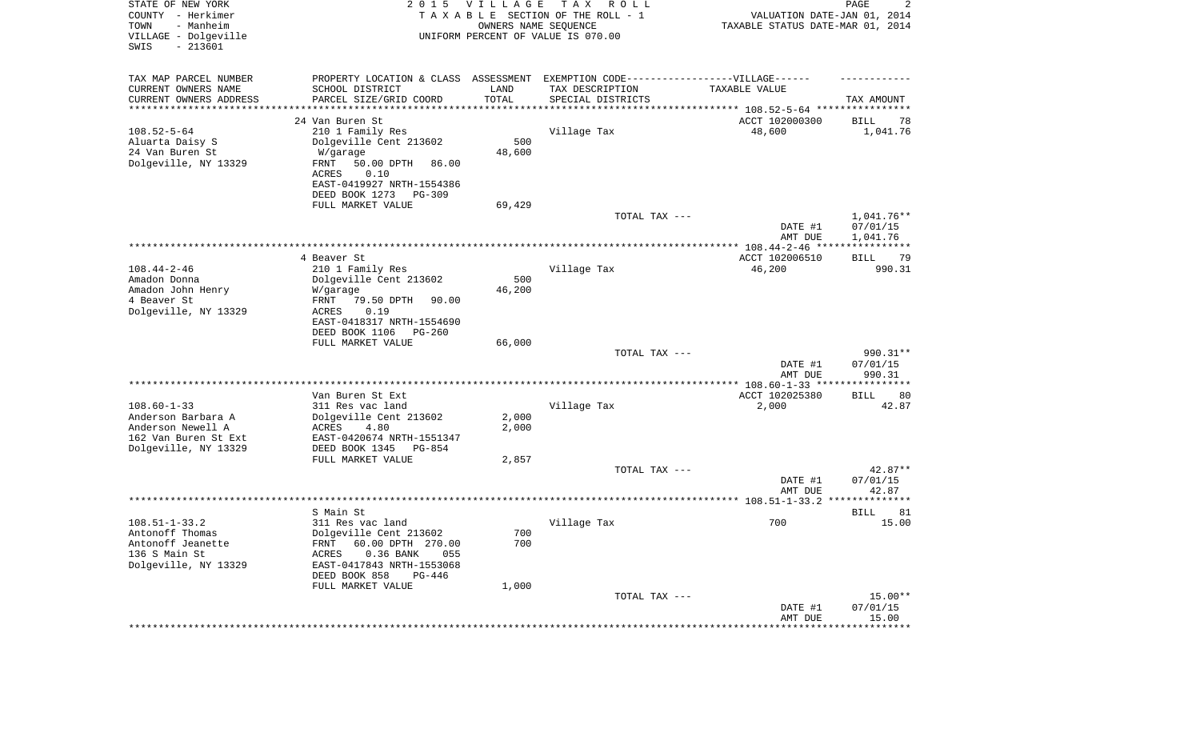| STATE OF NEW YORK<br>COUNTY - Herkimer<br>- Manheim<br>TOWN<br>VILLAGE - Dolgeville<br>$-213601$<br>SWIS     | 2 0 1 5                                                                                                                                                                            | <b>VILLAGE</b><br>OWNERS NAME SEQUENCE | T A X<br>R O L L<br>TAXABLE SECTION OF THE ROLL - 1<br>UNIFORM PERCENT OF VALUE IS 070.00 | VALUATION DATE-JAN 01, 2014<br>TAXABLE STATUS DATE-MAR 01, 2014 | PAGE<br>2                          |
|--------------------------------------------------------------------------------------------------------------|------------------------------------------------------------------------------------------------------------------------------------------------------------------------------------|----------------------------------------|-------------------------------------------------------------------------------------------|-----------------------------------------------------------------|------------------------------------|
| TAX MAP PARCEL NUMBER<br>CURRENT OWNERS NAME<br>CURRENT OWNERS ADDRESS                                       | PROPERTY LOCATION & CLASS ASSESSMENT<br>SCHOOL DISTRICT<br>PARCEL SIZE/GRID COORD                                                                                                  | LAND<br>TOTAL                          | EXEMPTION CODE-----------------VILLAGE------<br>TAX DESCRIPTION<br>SPECIAL DISTRICTS      | TAXABLE VALUE                                                   | TAX AMOUNT                         |
| *********************                                                                                        |                                                                                                                                                                                    |                                        |                                                                                           | ·******************************** 108.52-5-64 ****************  |                                    |
| $108.52 - 5 - 64$<br>Aluarta Daisy S<br>24 Van Buren St<br>Dolgeville, NY 13329                              | 24 Van Buren St<br>210 1 Family Res<br>Dolgeville Cent 213602<br>W/garage<br>FRNT<br>50.00 DPTH<br>86.00<br>0.10<br>ACRES<br>EAST-0419927 NRTH-1554386<br>DEED BOOK 1273<br>PG-309 | 500<br>48,600                          | Village Tax                                                                               | ACCT 102000300<br>48,600                                        | BILL<br>78<br>1,041.76             |
|                                                                                                              | FULL MARKET VALUE                                                                                                                                                                  | 69,429                                 |                                                                                           |                                                                 |                                    |
|                                                                                                              |                                                                                                                                                                                    |                                        | TOTAL TAX ---                                                                             | DATE #1<br>AMT DUE                                              | 1,041.76**<br>07/01/15<br>1,041.76 |
|                                                                                                              |                                                                                                                                                                                    |                                        |                                                                                           |                                                                 | ***********                        |
| $108.44 - 2 - 46$<br>Amadon Donna<br>Amadon John Henry<br>4 Beaver St<br>Dolgeville, NY 13329                | 4 Beaver St<br>210 1 Family Res<br>Dolgeville Cent 213602<br>W/garage<br>FRNT<br>79.50 DPTH<br>90.00<br>ACRES<br>0.19<br>EAST-0418317 NRTH-1554690                                 | 500<br>46,200                          | Village Tax                                                                               | ACCT 102006510<br>46,200                                        | BILL<br>79<br>990.31               |
|                                                                                                              | DEED BOOK 1106<br>$PG-260$<br>FULL MARKET VALUE                                                                                                                                    | 66,000                                 |                                                                                           |                                                                 |                                    |
|                                                                                                              |                                                                                                                                                                                    |                                        | TOTAL TAX ---                                                                             | DATE #1<br>AMT DUE                                              | 990.31**<br>07/01/15<br>990.31     |
|                                                                                                              |                                                                                                                                                                                    |                                        |                                                                                           |                                                                 |                                    |
| $108.60 - 1 - 33$<br>Anderson Barbara A<br>Anderson Newell A<br>162 Van Buren St Ext<br>Dolgeville, NY 13329 | Van Buren St Ext<br>311 Res vac land<br>Dolgeville Cent 213602<br>ACRES<br>4.80<br>EAST-0420674 NRTH-1551347<br>DEED BOOK 1345<br>PG-854                                           | 2,000<br>2,000                         | Village Tax                                                                               | ACCT 102025380<br>2,000                                         | 80<br>BILL<br>42.87                |
|                                                                                                              | FULL MARKET VALUE                                                                                                                                                                  | 2,857                                  | TOTAL TAX ---                                                                             | DATE #1                                                         | $42.87**$<br>07/01/15              |
|                                                                                                              |                                                                                                                                                                                    |                                        |                                                                                           | AMT DUE                                                         | 42.87<br>********                  |
|                                                                                                              | S Main St                                                                                                                                                                          |                                        |                                                                                           |                                                                 | <b>BILL</b><br>81                  |
| $108.51 - 1 - 33.2$<br>Antonoff Thomas<br>Antonoff Jeanette<br>136 S Main St<br>Dolgeville, NY 13329         | 311 Res vac land<br>Dolgeville Cent 213602<br>FRNT 60.00 DPTH 270.00<br>$0.36$ BANK<br>055<br>ACRES<br>EAST-0417843 NRTH-1553068<br>DEED BOOK 858<br>PG-446<br>FULL MARKET VALUE   | 700<br>700<br>1,000                    | Village Tax                                                                               | 700                                                             | 15.00                              |
|                                                                                                              |                                                                                                                                                                                    |                                        | TOTAL TAX ---                                                                             | DATE #1<br>AMT DUE                                              | $15.00**$<br>07/01/15<br>15.00     |
|                                                                                                              |                                                                                                                                                                                    |                                        |                                                                                           | * * * * * * * * * * * * * * * * * * *                           | **************                     |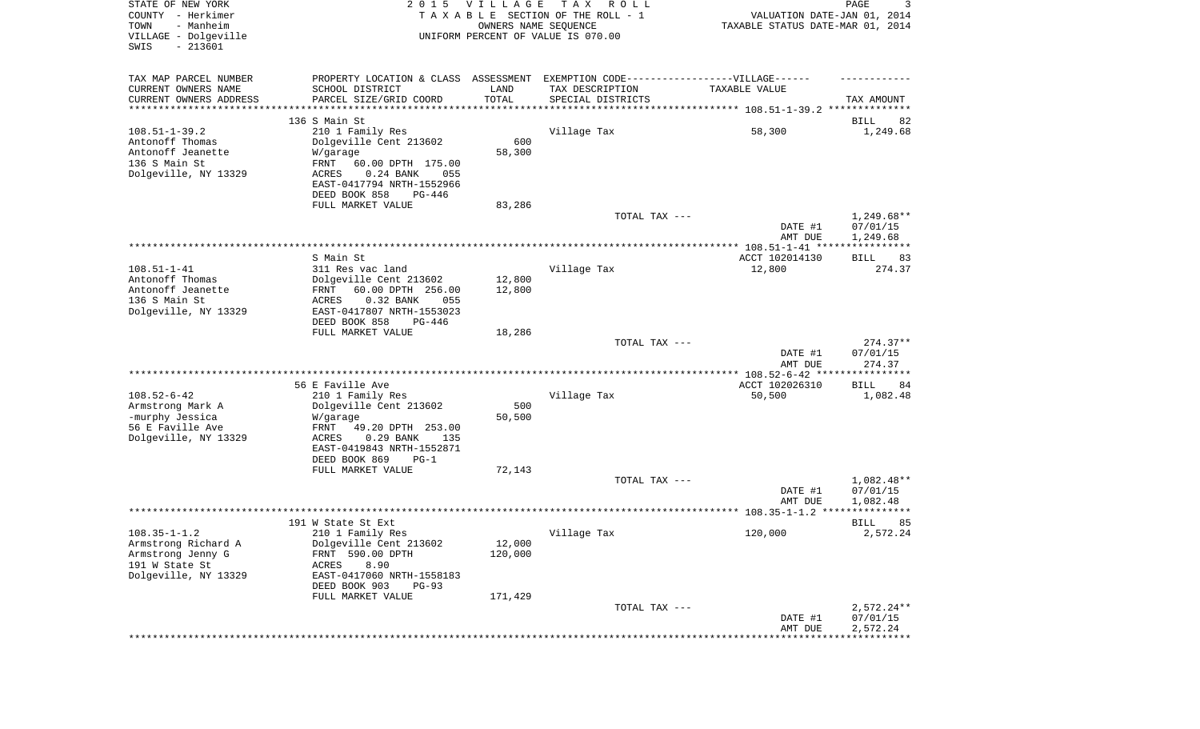| STATE OF NEW YORK<br>COUNTY - Herkimer<br>- Manheim<br>TOWN<br>VILLAGE - Dolgeville<br>SWIS<br>$-213601$ | 2 0 1 5                                                                           | VILLAGE<br>OWNERS NAME SEQUENCE | T A X<br>R O L L<br>TAXABLE SECTION OF THE ROLL - 1<br>UNIFORM PERCENT OF VALUE IS 070.00 | VALUATION DATE-JAN 01, 2014<br>TAXABLE STATUS DATE-MAR 01, 2014 | PAGE<br>3              |
|----------------------------------------------------------------------------------------------------------|-----------------------------------------------------------------------------------|---------------------------------|-------------------------------------------------------------------------------------------|-----------------------------------------------------------------|------------------------|
| TAX MAP PARCEL NUMBER                                                                                    | PROPERTY LOCATION & CLASS ASSESSMENT EXEMPTION CODE-----------------VILLAGE------ |                                 |                                                                                           |                                                                 |                        |
| CURRENT OWNERS NAME                                                                                      | SCHOOL DISTRICT                                                                   | LAND                            | TAX DESCRIPTION                                                                           | TAXABLE VALUE                                                   |                        |
| CURRENT OWNERS ADDRESS                                                                                   | PARCEL SIZE/GRID COORD                                                            | TOTAL                           | SPECIAL DISTRICTS                                                                         |                                                                 | TAX AMOUNT             |
| *********************                                                                                    | ***********************                                                           |                                 |                                                                                           |                                                                 |                        |
|                                                                                                          | 136 S Main St                                                                     |                                 |                                                                                           |                                                                 | BILL<br>82             |
| $108.51 - 1 - 39.2$                                                                                      | 210 1 Family Res                                                                  |                                 | Village Tax                                                                               | 58,300                                                          | 1,249.68               |
| Antonoff Thomas<br>Antonoff Jeanette                                                                     | Dolgeville Cent 213602                                                            | 600                             |                                                                                           |                                                                 |                        |
| 136 S Main St                                                                                            | W/garage<br>FRNT<br>60.00 DPTH 175.00                                             | 58,300                          |                                                                                           |                                                                 |                        |
| Dolgeville, NY 13329                                                                                     | $0.24$ BANK<br>ACRES<br>055                                                       |                                 |                                                                                           |                                                                 |                        |
|                                                                                                          | EAST-0417794 NRTH-1552966                                                         |                                 |                                                                                           |                                                                 |                        |
|                                                                                                          | DEED BOOK 858<br>PG-446                                                           |                                 |                                                                                           |                                                                 |                        |
|                                                                                                          | FULL MARKET VALUE                                                                 | 83,286                          |                                                                                           |                                                                 |                        |
|                                                                                                          |                                                                                   |                                 | TOTAL TAX ---                                                                             |                                                                 | $1,249.68**$           |
|                                                                                                          |                                                                                   |                                 |                                                                                           | DATE #1<br>AMT DUE                                              | 07/01/15<br>1,249.68   |
|                                                                                                          |                                                                                   |                                 |                                                                                           |                                                                 |                        |
|                                                                                                          | S Main St                                                                         |                                 |                                                                                           | ACCT 102014130                                                  | BILL<br>83             |
| $108.51 - 1 - 41$                                                                                        | 311 Res vac land                                                                  |                                 | Village Tax                                                                               | 12,800                                                          | 274.37                 |
| Antonoff Thomas                                                                                          | Dolgeville Cent 213602                                                            | 12,800                          |                                                                                           |                                                                 |                        |
| Antonoff Jeanette                                                                                        | FRNT<br>60.00 DPTH 256.00                                                         | 12,800                          |                                                                                           |                                                                 |                        |
| 136 S Main St                                                                                            | ACRES<br>$0.32$ BANK<br>055                                                       |                                 |                                                                                           |                                                                 |                        |
| Dolgeville, NY 13329                                                                                     | EAST-0417807 NRTH-1553023<br>DEED BOOK 858<br>PG-446                              |                                 |                                                                                           |                                                                 |                        |
|                                                                                                          | FULL MARKET VALUE                                                                 | 18,286                          |                                                                                           |                                                                 |                        |
|                                                                                                          |                                                                                   |                                 | TOTAL TAX ---                                                                             |                                                                 | $274.37**$             |
|                                                                                                          |                                                                                   |                                 |                                                                                           | DATE #1                                                         | 07/01/15               |
|                                                                                                          |                                                                                   |                                 |                                                                                           | AMT DUE                                                         | 274.37                 |
|                                                                                                          |                                                                                   |                                 |                                                                                           | ************* 108.52-6-42 ****                                  | ***********            |
|                                                                                                          | 56 E Faville Ave                                                                  |                                 |                                                                                           | ACCT 102026310                                                  | 84<br>BILL             |
| $108.52 - 6 - 42$                                                                                        | 210 1 Family Res                                                                  |                                 | Village Tax                                                                               | 50,500                                                          | 1,082.48               |
| Armstrong Mark A<br>-murphy Jessica                                                                      | Dolgeville Cent 213602<br>W/garage                                                | 500<br>50,500                   |                                                                                           |                                                                 |                        |
| 56 E Faville Ave                                                                                         | FRNT<br>49.20 DPTH 253.00                                                         |                                 |                                                                                           |                                                                 |                        |
| Dolgeville, NY 13329                                                                                     | ACRES<br>$0.29$ BANK<br>135                                                       |                                 |                                                                                           |                                                                 |                        |
|                                                                                                          | EAST-0419843 NRTH-1552871                                                         |                                 |                                                                                           |                                                                 |                        |
|                                                                                                          | DEED BOOK 869<br>$PG-1$                                                           |                                 |                                                                                           |                                                                 |                        |
|                                                                                                          | FULL MARKET VALUE                                                                 | 72,143                          |                                                                                           |                                                                 |                        |
|                                                                                                          |                                                                                   |                                 | TOTAL TAX ---                                                                             |                                                                 | 1,082.48**             |
|                                                                                                          |                                                                                   |                                 |                                                                                           | DATE #1                                                         | 07/01/15               |
|                                                                                                          |                                                                                   |                                 |                                                                                           | AMT DUE                                                         | 1,082.48               |
|                                                                                                          |                                                                                   |                                 |                                                                                           |                                                                 |                        |
| $108.35 - 1 - 1.2$                                                                                       | 191 W State St Ext                                                                |                                 | Village Tax                                                                               | 120,000                                                         | 85<br>BILL<br>2,572.24 |
| Armstrong Richard A                                                                                      | 210 1 Family Res<br>Dolgeville Cent 213602                                        | 12,000                          |                                                                                           |                                                                 |                        |
| Armstrong Jenny G                                                                                        | FRNT 590.00 DPTH                                                                  | 120,000                         |                                                                                           |                                                                 |                        |
| 191 W State St                                                                                           | 8.90<br>ACRES                                                                     |                                 |                                                                                           |                                                                 |                        |
| Dolgeville, NY 13329                                                                                     | EAST-0417060 NRTH-1558183                                                         |                                 |                                                                                           |                                                                 |                        |
|                                                                                                          | DEED BOOK 903<br>$PG-93$                                                          |                                 |                                                                                           |                                                                 |                        |
|                                                                                                          | FULL MARKET VALUE                                                                 | 171,429                         |                                                                                           |                                                                 |                        |
|                                                                                                          |                                                                                   |                                 | TOTAL TAX ---                                                                             |                                                                 | $2,572.24**$           |
|                                                                                                          |                                                                                   |                                 |                                                                                           | DATE #1                                                         | 07/01/15               |
|                                                                                                          |                                                                                   |                                 |                                                                                           | AMT DUE                                                         | 2,572.24               |
|                                                                                                          |                                                                                   |                                 |                                                                                           |                                                                 |                        |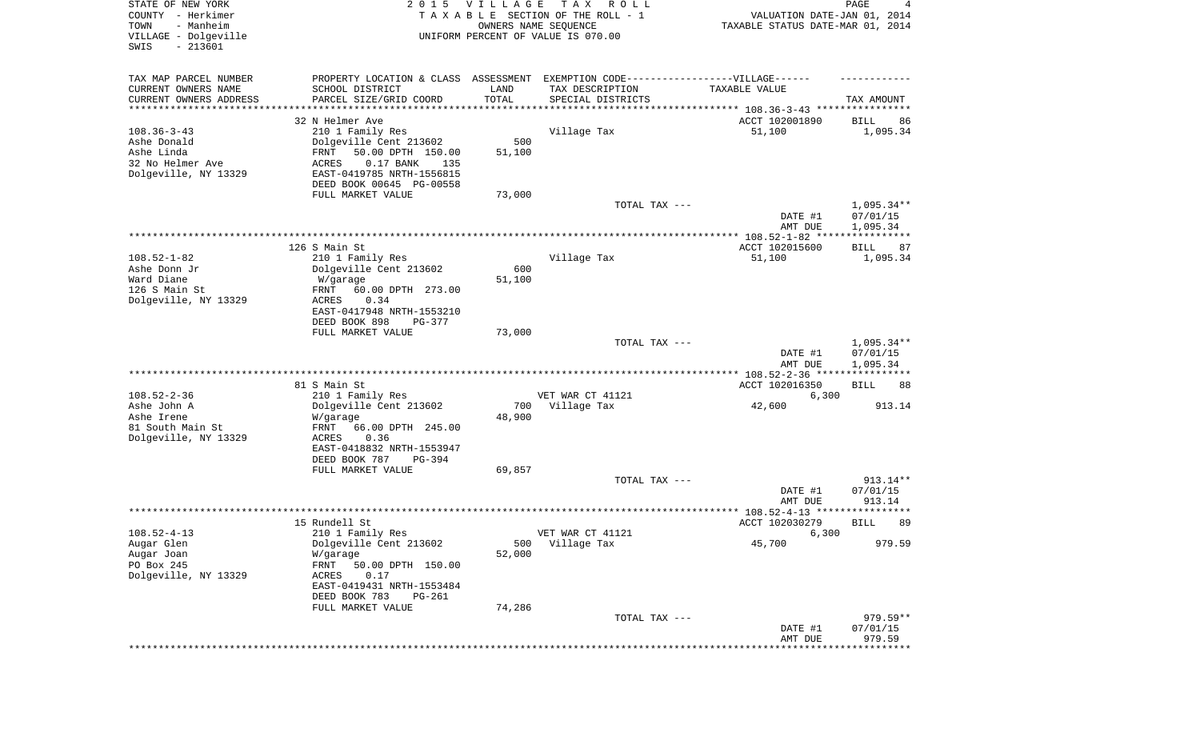| STATE OF NEW YORK<br>COUNTY - Herkimer<br>- Manheim<br>TOWN<br>VILLAGE - Dolgeville<br>SWIS<br>$-213601$ | 2 0 1 5                                                                                                                                                                                                        | V I L L A G E<br>OWNERS NAME SEQUENCE  | TAX ROLL<br>TAXABLE SECTION OF THE ROLL - 1<br>UNIFORM PERCENT OF VALUE IS 070.00                                                                                                              | VALUATION DATE-JAN 01, 2014<br>TAXABLE STATUS DATE-MAR 01, 2014                 | PAGE<br>4                          |
|----------------------------------------------------------------------------------------------------------|----------------------------------------------------------------------------------------------------------------------------------------------------------------------------------------------------------------|----------------------------------------|------------------------------------------------------------------------------------------------------------------------------------------------------------------------------------------------|---------------------------------------------------------------------------------|------------------------------------|
| TAX MAP PARCEL NUMBER<br>CURRENT OWNERS NAME<br>CURRENT OWNERS ADDRESS<br>*********************          | SCHOOL DISTRICT<br>PARCEL SIZE/GRID COORD                                                                                                                                                                      | LAND<br>TOTAL<br>* * * * * * * * * * * | PROPERTY LOCATION & CLASS ASSESSMENT EXEMPTION CODE----------------VILLAGE------<br>TAX DESCRIPTION<br>SPECIAL DISTRICTS<br>************************************* 108.36-3-43 **************** | TAXABLE VALUE                                                                   | TAX AMOUNT                         |
| $108.36 - 3 - 43$<br>Ashe Donald<br>Ashe Linda<br>32 No Helmer Ave<br>Dolgeville, NY 13329               | 32 N Helmer Ave<br>210 1 Family Res<br>Dolgeville Cent 213602<br>50.00 DPTH 150.00<br>FRNT<br><b>ACRES</b><br>$0.17$ BANK<br>135<br>EAST-0419785 NRTH-1556815<br>DEED BOOK 00645 PG-00558<br>FULL MARKET VALUE | 500<br>51,100<br>73,000                | Village Tax                                                                                                                                                                                    | ACCT 102001890<br>51,100                                                        | 86<br>BILL<br>1,095.34             |
|                                                                                                          |                                                                                                                                                                                                                |                                        | TOTAL TAX ---                                                                                                                                                                                  | DATE #1<br>AMT DUE                                                              | 1,095.34**<br>07/01/15<br>1,095.34 |
| $108.52 - 1 - 82$<br>Ashe Donn Jr<br>Ward Diane<br>126 S Main St<br>Dolgeville, NY 13329                 | 126 S Main St<br>210 1 Family Res<br>Dolgeville Cent 213602<br>W/garage<br>60.00 DPTH 273.00<br>FRNT<br>ACRES<br>0.34<br>EAST-0417948 NRTH-1553210<br>DEED BOOK 898<br>PG-377<br>FULL MARKET VALUE             | 600<br>51,100                          | Village Tax                                                                                                                                                                                    | ACCT 102015600<br>51,100                                                        | BILL<br>87<br>1,095.34             |
|                                                                                                          |                                                                                                                                                                                                                | 73,000                                 | TOTAL TAX ---                                                                                                                                                                                  | DATE #1<br>AMT DUE                                                              | 1,095.34**<br>07/01/15<br>1,095.34 |
| $108.52 - 2 - 36$<br>Ashe John A<br>Ashe Irene<br>81 South Main St<br>Dolgeville, NY 13329               | 81 S Main St<br>210 1 Family Res<br>Dolgeville Cent 213602<br>W/garage<br>FRNT<br>66.00 DPTH 245.00<br>ACRES<br>0.36<br>EAST-0418832 NRTH-1553947                                                              | 700<br>48,900                          | VET WAR CT 41121<br>Village Tax                                                                                                                                                                | ************ 108.52-2-36 *****************<br>ACCT 102016350<br>6,300<br>42,600 | 88<br>BILL<br>913.14               |
|                                                                                                          | DEED BOOK 787<br>PG-394<br>FULL MARKET VALUE                                                                                                                                                                   | 69,857                                 | TOTAL TAX ---                                                                                                                                                                                  | DATE #1                                                                         | 913.14**<br>07/01/15               |
|                                                                                                          |                                                                                                                                                                                                                |                                        |                                                                                                                                                                                                | AMT DUE                                                                         | 913.14<br>*****                    |
| $108.52 - 4 - 13$<br>Augar Glen<br>Augar Joan<br>PO Box 245<br>Dolgeville, NY 13329                      | 15 Rundell St<br>210 1 Family Res<br>Dolgeville Cent 213602<br>W/garage<br>FRNT<br>50.00 DPTH 150.00<br>ACRES<br>0.17<br>EAST-0419431 NRTH-1553484<br>DEED BOOK 783<br>PG-261                                  | 500<br>52,000                          | VET WAR CT 41121<br>Village Tax                                                                                                                                                                | ACCT 102030279<br>6,300<br>45,700                                               | 89<br>BILL<br>979.59               |
|                                                                                                          | FULL MARKET VALUE                                                                                                                                                                                              | 74,286                                 | TOTAL TAX ---                                                                                                                                                                                  | DATE #1<br>AMT DUE                                                              | 979.59**<br>07/01/15<br>979.59     |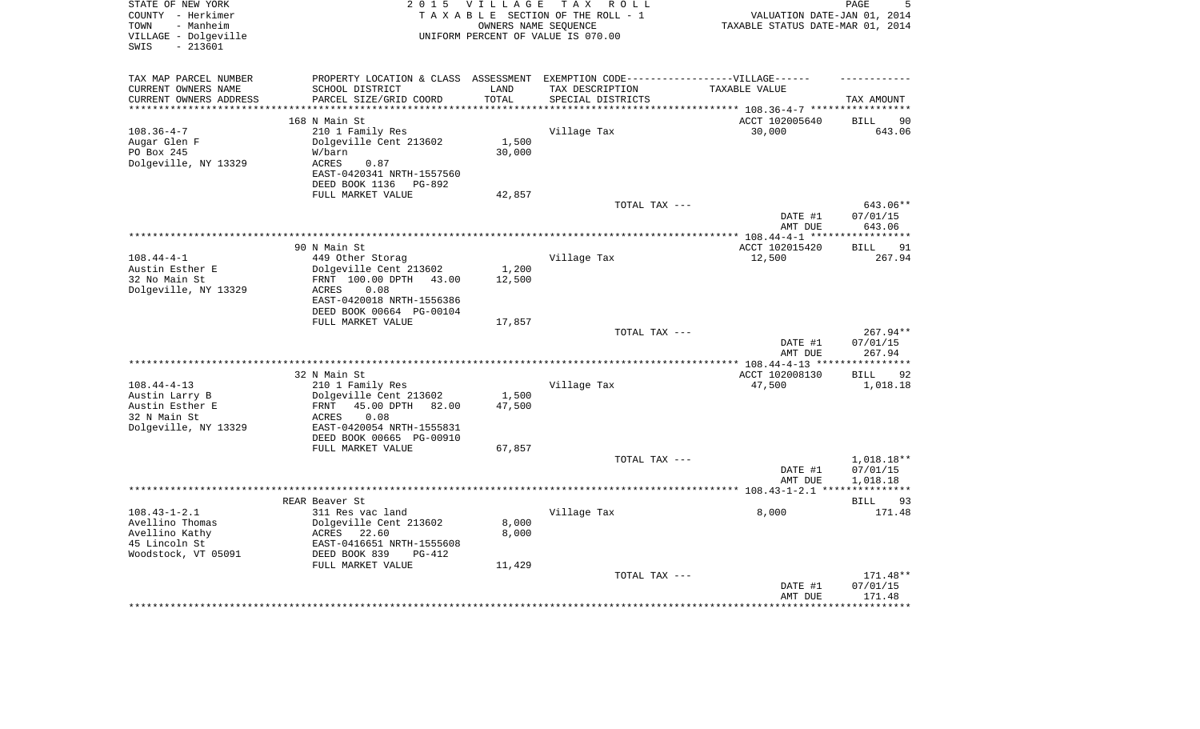| STATE OF NEW YORK<br>COUNTY - Herkimer<br>- Manheim<br>TOWN<br>VILLAGE - Dolgeville<br>- 213601<br>SWIS | <b>VILLAGE</b><br>TAX ROLL<br>2 0 1 5<br>TAXABLE SECTION OF THE ROLL - 1<br>OWNERS NAME SEOUENCE<br>UNIFORM PERCENT OF VALUE IS 070.00 |                             |                                      | PAGE<br>VALUATION DATE-JAN 01, 2014<br>TAXABLE STATUS DATE-MAR 01, 2014 |                                   |  |
|---------------------------------------------------------------------------------------------------------|----------------------------------------------------------------------------------------------------------------------------------------|-----------------------------|--------------------------------------|-------------------------------------------------------------------------|-----------------------------------|--|
| TAX MAP PARCEL NUMBER                                                                                   | PROPERTY LOCATION & CLASS ASSESSMENT EXEMPTION CODE-----------------VILLAGE------                                                      |                             |                                      |                                                                         |                                   |  |
| CURRENT OWNERS NAME<br>CURRENT OWNERS ADDRESS<br>*******************                                    | SCHOOL DISTRICT<br>PARCEL SIZE/GRID COORD                                                                                              | LAND<br>TOTAL<br>********** | TAX DESCRIPTION<br>SPECIAL DISTRICTS | TAXABLE VALUE                                                           | TAX AMOUNT                        |  |
|                                                                                                         | 168 N Main St                                                                                                                          |                             |                                      | *************************** 108.36-4-7 ************<br>ACCT 102005640   | <b>BILL</b><br>90                 |  |
| $108.36 - 4 - 7$                                                                                        | 210 1 Family Res                                                                                                                       |                             | Village Tax                          | 30,000                                                                  | 643.06                            |  |
| Augar Glen F                                                                                            | Dolgeville Cent 213602                                                                                                                 | 1,500                       |                                      |                                                                         |                                   |  |
| PO Box 245                                                                                              | W/barn                                                                                                                                 | 30,000                      |                                      |                                                                         |                                   |  |
| Dolgeville, NY 13329                                                                                    | ACRES<br>0.87                                                                                                                          |                             |                                      |                                                                         |                                   |  |
|                                                                                                         | EAST-0420341 NRTH-1557560<br>DEED BOOK 1136 PG-892                                                                                     |                             |                                      |                                                                         |                                   |  |
|                                                                                                         | FULL MARKET VALUE                                                                                                                      | 42,857                      |                                      |                                                                         |                                   |  |
|                                                                                                         |                                                                                                                                        |                             | TOTAL TAX ---                        |                                                                         | 643.06**                          |  |
|                                                                                                         |                                                                                                                                        |                             |                                      | DATE #1<br>AMT DUE                                                      | 07/01/15<br>643.06                |  |
|                                                                                                         |                                                                                                                                        |                             |                                      |                                                                         |                                   |  |
|                                                                                                         | 90 N Main St                                                                                                                           |                             |                                      | ACCT 102015420                                                          | 91<br><b>BILL</b>                 |  |
| $108.44 - 4 - 1$                                                                                        | 449 Other Storag                                                                                                                       |                             | Village Tax                          | 12,500                                                                  | 267.94                            |  |
| Austin Esther E                                                                                         | Dolgeville Cent 213602                                                                                                                 | 1,200                       |                                      |                                                                         |                                   |  |
| 32 No Main St                                                                                           | FRNT 100.00 DPTH 43.00                                                                                                                 | 12,500                      |                                      |                                                                         |                                   |  |
| Dolgeville, NY 13329                                                                                    | ACRES<br>0.08                                                                                                                          |                             |                                      |                                                                         |                                   |  |
|                                                                                                         | EAST-0420018 NRTH-1556386                                                                                                              |                             |                                      |                                                                         |                                   |  |
|                                                                                                         | DEED BOOK 00664 PG-00104<br>FULL MARKET VALUE                                                                                          | 17,857                      |                                      |                                                                         |                                   |  |
|                                                                                                         |                                                                                                                                        |                             | TOTAL TAX ---                        |                                                                         | $267.94**$                        |  |
|                                                                                                         |                                                                                                                                        |                             |                                      | DATE #1                                                                 | 07/01/15                          |  |
|                                                                                                         |                                                                                                                                        |                             |                                      | AMT DUE                                                                 | 267.94                            |  |
|                                                                                                         |                                                                                                                                        |                             |                                      | ******* 108.44-4-13 ***                                                 |                                   |  |
|                                                                                                         | 32 N Main St                                                                                                                           |                             |                                      | ACCT 102008130                                                          | <b>BILL</b><br>92                 |  |
| $108.44 - 4 - 13$                                                                                       | 210 1 Family Res                                                                                                                       |                             | Village Tax                          | 47,500                                                                  | 1,018.18                          |  |
| Austin Larry B<br>Austin Esther E                                                                       | Dolgeville Cent 213602<br>45.00 DPTH 82.00<br>FRNT                                                                                     | 1,500<br>47,500             |                                      |                                                                         |                                   |  |
| 32 N Main St                                                                                            | 0.08<br>ACRES                                                                                                                          |                             |                                      |                                                                         |                                   |  |
| Dolgeville, NY 13329                                                                                    | EAST-0420054 NRTH-1555831                                                                                                              |                             |                                      |                                                                         |                                   |  |
|                                                                                                         | DEED BOOK 00665 PG-00910                                                                                                               |                             |                                      |                                                                         |                                   |  |
|                                                                                                         | FULL MARKET VALUE                                                                                                                      | 67,857                      |                                      |                                                                         |                                   |  |
|                                                                                                         |                                                                                                                                        |                             | TOTAL TAX ---                        |                                                                         | 1,018.18**                        |  |
|                                                                                                         |                                                                                                                                        |                             |                                      | DATE #1                                                                 | 07/01/15                          |  |
|                                                                                                         |                                                                                                                                        |                             |                                      | AMT DUE                                                                 | 1,018.18<br>* * * * * * * * * * * |  |
|                                                                                                         | REAR Beaver St                                                                                                                         |                             |                                      |                                                                         | 93<br>BILL                        |  |
| $108.43 - 1 - 2.1$                                                                                      | 311 Res vac land                                                                                                                       |                             | Village Tax                          | 8,000                                                                   | 171.48                            |  |
| Avellino Thomas                                                                                         | Dolgeville Cent 213602                                                                                                                 | 8,000                       |                                      |                                                                         |                                   |  |
| Avellino Kathy                                                                                          | ACRES 22.60                                                                                                                            | 8,000                       |                                      |                                                                         |                                   |  |
| 45 Lincoln St                                                                                           | EAST-0416651 NRTH-1555608                                                                                                              |                             |                                      |                                                                         |                                   |  |
| Woodstock, VT 05091                                                                                     | DEED BOOK 839<br>$PG-412$                                                                                                              |                             |                                      |                                                                         |                                   |  |
|                                                                                                         | FULL MARKET VALUE                                                                                                                      | 11,429                      |                                      |                                                                         |                                   |  |
|                                                                                                         |                                                                                                                                        |                             | TOTAL TAX ---                        |                                                                         | 171.48**                          |  |
|                                                                                                         |                                                                                                                                        |                             |                                      | DATE #1<br>AMT DUE                                                      | 07/01/15<br>171.48                |  |
|                                                                                                         |                                                                                                                                        |                             |                                      |                                                                         |                                   |  |
|                                                                                                         |                                                                                                                                        |                             |                                      |                                                                         |                                   |  |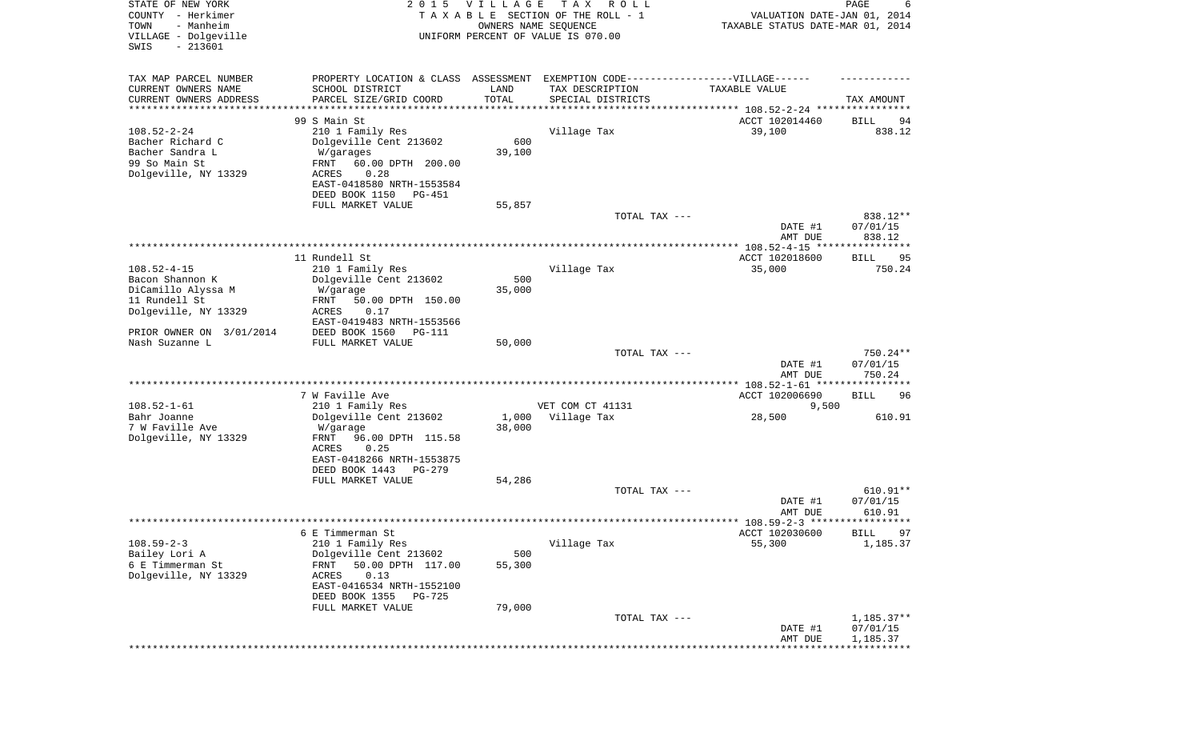| TAX MAP PARCEL NUMBER<br>PROPERTY LOCATION & CLASS ASSESSMENT EXEMPTION CODE----------------VILLAGE------<br>CURRENT OWNERS NAME<br>SCHOOL DISTRICT<br>TAX DESCRIPTION<br>LAND<br>TAXABLE VALUE<br>TOTAL<br>CURRENT OWNERS ADDRESS<br>PARCEL SIZE/GRID COORD<br>SPECIAL DISTRICTS<br>TAX AMOUNT<br>*********************<br>******************<br>* * * * * * * * * * *<br>99 S Main St<br>ACCT 102014460<br>BILL<br>94<br>$108.52 - 2 - 24$<br>838.12<br>210 1 Family Res<br>Village Tax<br>39,100<br>600<br>Bacher Richard C<br>Dolgeville Cent 213602<br>Bacher Sandra L<br>39,100<br>W/garages<br>99 So Main St<br>FRNT<br>60.00 DPTH 200.00<br>Dolgeville, NY 13329<br>0.28<br>ACRES<br>EAST-0418580 NRTH-1553584<br>DEED BOOK 1150<br>PG-451<br>FULL MARKET VALUE<br>55,857<br>TOTAL TAX ---<br>838.12**<br>DATE #1<br>07/01/15<br>838.12<br>AMT DUE<br>11 Rundell St<br>ACCT 102018600<br>BILL<br>95<br>$108.52 - 4 - 15$<br>Village Tax<br>35,000<br>750.24<br>210 1 Family Res<br>Dolgeville Cent 213602<br>Bacon Shannon K<br>500<br>DiCamillo Alyssa M<br>35,000<br>W/garage<br>11 Rundell St<br>FRNT<br>50.00 DPTH 150.00<br>Dolgeville, NY 13329<br>ACRES<br>0.17<br>EAST-0419483 NRTH-1553566<br>PRIOR OWNER ON 3/01/2014<br>DEED BOOK 1560<br><b>PG-111</b><br>Nash Suzanne L<br>FULL MARKET VALUE<br>50,000<br>750.24**<br>TOTAL TAX ---<br>DATE #1<br>07/01/15<br>AMT DUE<br>750.24<br>7 W Faville Ave<br>ACCT 102006690<br>96<br>BILL<br>$108.52 - 1 - 61$<br>210 1 Family Res<br>VET COM CT 41131<br>9,500<br>Bahr Joanne<br>28,500<br>610.91<br>Dolgeville Cent 213602<br>1,000<br>Village Tax<br>7 W Faville Ave<br>38,000<br>W/garage<br>Dolgeville, NY 13329<br>FRNT<br>96.00 DPTH 115.58<br>ACRES<br>0.25<br>EAST-0418266 NRTH-1553875<br>DEED BOOK 1443<br>$PG-279$<br>54,286<br>FULL MARKET VALUE<br>$610.91**$<br>TOTAL TAX ---<br>DATE #1<br>07/01/15<br>AMT DUE<br>610.91<br>6 E Timmerman St<br>ACCT 102030600<br>BILL.<br>97<br>$108.59 - 2 - 3$<br>210 1 Family Res<br>Village Tax<br>55,300<br>1,185.37<br>Dolgeville Cent 213602<br>Bailey Lori A<br>500<br>6 E Timmerman St<br>FRNT<br>50.00 DPTH 117.00<br>55,300<br>Dolgeville, NY 13329<br>ACRES<br>0.13<br>EAST-0416534 NRTH-1552100<br>DEED BOOK 1355<br>PG-725<br>FULL MARKET VALUE<br>79,000<br>$1,185.37**$<br>TOTAL TAX ---<br>DATE #1<br>07/01/15<br>1,185.37<br>AMT DUE | STATE OF NEW YORK<br>COUNTY - Herkimer<br>- Manheim<br>TOWN<br>VILLAGE - Dolgeville<br>$-213601$<br>SWIS | 2 0 1 5 | <b>VILLAGE</b> | T A X<br>R O L L<br>TAXABLE SECTION OF THE ROLL - 1<br>OWNERS NAME SEQUENCE<br>UNIFORM PERCENT OF VALUE IS 070.00 | VALUATION DATE-JAN 01, 2014<br>TAXABLE STATUS DATE-MAR 01, 2014 | PAGE<br>6 |
|-----------------------------------------------------------------------------------------------------------------------------------------------------------------------------------------------------------------------------------------------------------------------------------------------------------------------------------------------------------------------------------------------------------------------------------------------------------------------------------------------------------------------------------------------------------------------------------------------------------------------------------------------------------------------------------------------------------------------------------------------------------------------------------------------------------------------------------------------------------------------------------------------------------------------------------------------------------------------------------------------------------------------------------------------------------------------------------------------------------------------------------------------------------------------------------------------------------------------------------------------------------------------------------------------------------------------------------------------------------------------------------------------------------------------------------------------------------------------------------------------------------------------------------------------------------------------------------------------------------------------------------------------------------------------------------------------------------------------------------------------------------------------------------------------------------------------------------------------------------------------------------------------------------------------------------------------------------------------------------------------------------------------------------------------------------------------------------------------------------------------------------------------------------------------------------------------------------------------------------------------------------------------------------------------------------------------------------------------------------------------|----------------------------------------------------------------------------------------------------------|---------|----------------|-------------------------------------------------------------------------------------------------------------------|-----------------------------------------------------------------|-----------|
|                                                                                                                                                                                                                                                                                                                                                                                                                                                                                                                                                                                                                                                                                                                                                                                                                                                                                                                                                                                                                                                                                                                                                                                                                                                                                                                                                                                                                                                                                                                                                                                                                                                                                                                                                                                                                                                                                                                                                                                                                                                                                                                                                                                                                                                                                                                                                                       |                                                                                                          |         |                |                                                                                                                   |                                                                 |           |
|                                                                                                                                                                                                                                                                                                                                                                                                                                                                                                                                                                                                                                                                                                                                                                                                                                                                                                                                                                                                                                                                                                                                                                                                                                                                                                                                                                                                                                                                                                                                                                                                                                                                                                                                                                                                                                                                                                                                                                                                                                                                                                                                                                                                                                                                                                                                                                       |                                                                                                          |         |                |                                                                                                                   |                                                                 |           |
|                                                                                                                                                                                                                                                                                                                                                                                                                                                                                                                                                                                                                                                                                                                                                                                                                                                                                                                                                                                                                                                                                                                                                                                                                                                                                                                                                                                                                                                                                                                                                                                                                                                                                                                                                                                                                                                                                                                                                                                                                                                                                                                                                                                                                                                                                                                                                                       |                                                                                                          |         |                |                                                                                                                   |                                                                 |           |
|                                                                                                                                                                                                                                                                                                                                                                                                                                                                                                                                                                                                                                                                                                                                                                                                                                                                                                                                                                                                                                                                                                                                                                                                                                                                                                                                                                                                                                                                                                                                                                                                                                                                                                                                                                                                                                                                                                                                                                                                                                                                                                                                                                                                                                                                                                                                                                       |                                                                                                          |         |                |                                                                                                                   |                                                                 |           |
|                                                                                                                                                                                                                                                                                                                                                                                                                                                                                                                                                                                                                                                                                                                                                                                                                                                                                                                                                                                                                                                                                                                                                                                                                                                                                                                                                                                                                                                                                                                                                                                                                                                                                                                                                                                                                                                                                                                                                                                                                                                                                                                                                                                                                                                                                                                                                                       |                                                                                                          |         |                |                                                                                                                   |                                                                 |           |
|                                                                                                                                                                                                                                                                                                                                                                                                                                                                                                                                                                                                                                                                                                                                                                                                                                                                                                                                                                                                                                                                                                                                                                                                                                                                                                                                                                                                                                                                                                                                                                                                                                                                                                                                                                                                                                                                                                                                                                                                                                                                                                                                                                                                                                                                                                                                                                       |                                                                                                          |         |                |                                                                                                                   |                                                                 |           |
|                                                                                                                                                                                                                                                                                                                                                                                                                                                                                                                                                                                                                                                                                                                                                                                                                                                                                                                                                                                                                                                                                                                                                                                                                                                                                                                                                                                                                                                                                                                                                                                                                                                                                                                                                                                                                                                                                                                                                                                                                                                                                                                                                                                                                                                                                                                                                                       |                                                                                                          |         |                |                                                                                                                   |                                                                 |           |
|                                                                                                                                                                                                                                                                                                                                                                                                                                                                                                                                                                                                                                                                                                                                                                                                                                                                                                                                                                                                                                                                                                                                                                                                                                                                                                                                                                                                                                                                                                                                                                                                                                                                                                                                                                                                                                                                                                                                                                                                                                                                                                                                                                                                                                                                                                                                                                       |                                                                                                          |         |                |                                                                                                                   |                                                                 |           |
|                                                                                                                                                                                                                                                                                                                                                                                                                                                                                                                                                                                                                                                                                                                                                                                                                                                                                                                                                                                                                                                                                                                                                                                                                                                                                                                                                                                                                                                                                                                                                                                                                                                                                                                                                                                                                                                                                                                                                                                                                                                                                                                                                                                                                                                                                                                                                                       |                                                                                                          |         |                |                                                                                                                   |                                                                 |           |
|                                                                                                                                                                                                                                                                                                                                                                                                                                                                                                                                                                                                                                                                                                                                                                                                                                                                                                                                                                                                                                                                                                                                                                                                                                                                                                                                                                                                                                                                                                                                                                                                                                                                                                                                                                                                                                                                                                                                                                                                                                                                                                                                                                                                                                                                                                                                                                       |                                                                                                          |         |                |                                                                                                                   |                                                                 |           |
|                                                                                                                                                                                                                                                                                                                                                                                                                                                                                                                                                                                                                                                                                                                                                                                                                                                                                                                                                                                                                                                                                                                                                                                                                                                                                                                                                                                                                                                                                                                                                                                                                                                                                                                                                                                                                                                                                                                                                                                                                                                                                                                                                                                                                                                                                                                                                                       |                                                                                                          |         |                |                                                                                                                   |                                                                 |           |
|                                                                                                                                                                                                                                                                                                                                                                                                                                                                                                                                                                                                                                                                                                                                                                                                                                                                                                                                                                                                                                                                                                                                                                                                                                                                                                                                                                                                                                                                                                                                                                                                                                                                                                                                                                                                                                                                                                                                                                                                                                                                                                                                                                                                                                                                                                                                                                       |                                                                                                          |         |                |                                                                                                                   |                                                                 |           |
|                                                                                                                                                                                                                                                                                                                                                                                                                                                                                                                                                                                                                                                                                                                                                                                                                                                                                                                                                                                                                                                                                                                                                                                                                                                                                                                                                                                                                                                                                                                                                                                                                                                                                                                                                                                                                                                                                                                                                                                                                                                                                                                                                                                                                                                                                                                                                                       |                                                                                                          |         |                |                                                                                                                   |                                                                 |           |
|                                                                                                                                                                                                                                                                                                                                                                                                                                                                                                                                                                                                                                                                                                                                                                                                                                                                                                                                                                                                                                                                                                                                                                                                                                                                                                                                                                                                                                                                                                                                                                                                                                                                                                                                                                                                                                                                                                                                                                                                                                                                                                                                                                                                                                                                                                                                                                       |                                                                                                          |         |                |                                                                                                                   |                                                                 |           |
|                                                                                                                                                                                                                                                                                                                                                                                                                                                                                                                                                                                                                                                                                                                                                                                                                                                                                                                                                                                                                                                                                                                                                                                                                                                                                                                                                                                                                                                                                                                                                                                                                                                                                                                                                                                                                                                                                                                                                                                                                                                                                                                                                                                                                                                                                                                                                                       |                                                                                                          |         |                |                                                                                                                   |                                                                 |           |
|                                                                                                                                                                                                                                                                                                                                                                                                                                                                                                                                                                                                                                                                                                                                                                                                                                                                                                                                                                                                                                                                                                                                                                                                                                                                                                                                                                                                                                                                                                                                                                                                                                                                                                                                                                                                                                                                                                                                                                                                                                                                                                                                                                                                                                                                                                                                                                       |                                                                                                          |         |                |                                                                                                                   |                                                                 |           |
|                                                                                                                                                                                                                                                                                                                                                                                                                                                                                                                                                                                                                                                                                                                                                                                                                                                                                                                                                                                                                                                                                                                                                                                                                                                                                                                                                                                                                                                                                                                                                                                                                                                                                                                                                                                                                                                                                                                                                                                                                                                                                                                                                                                                                                                                                                                                                                       |                                                                                                          |         |                |                                                                                                                   |                                                                 |           |
|                                                                                                                                                                                                                                                                                                                                                                                                                                                                                                                                                                                                                                                                                                                                                                                                                                                                                                                                                                                                                                                                                                                                                                                                                                                                                                                                                                                                                                                                                                                                                                                                                                                                                                                                                                                                                                                                                                                                                                                                                                                                                                                                                                                                                                                                                                                                                                       |                                                                                                          |         |                |                                                                                                                   |                                                                 |           |
|                                                                                                                                                                                                                                                                                                                                                                                                                                                                                                                                                                                                                                                                                                                                                                                                                                                                                                                                                                                                                                                                                                                                                                                                                                                                                                                                                                                                                                                                                                                                                                                                                                                                                                                                                                                                                                                                                                                                                                                                                                                                                                                                                                                                                                                                                                                                                                       |                                                                                                          |         |                |                                                                                                                   |                                                                 |           |
|                                                                                                                                                                                                                                                                                                                                                                                                                                                                                                                                                                                                                                                                                                                                                                                                                                                                                                                                                                                                                                                                                                                                                                                                                                                                                                                                                                                                                                                                                                                                                                                                                                                                                                                                                                                                                                                                                                                                                                                                                                                                                                                                                                                                                                                                                                                                                                       |                                                                                                          |         |                |                                                                                                                   |                                                                 |           |
|                                                                                                                                                                                                                                                                                                                                                                                                                                                                                                                                                                                                                                                                                                                                                                                                                                                                                                                                                                                                                                                                                                                                                                                                                                                                                                                                                                                                                                                                                                                                                                                                                                                                                                                                                                                                                                                                                                                                                                                                                                                                                                                                                                                                                                                                                                                                                                       |                                                                                                          |         |                |                                                                                                                   |                                                                 |           |
|                                                                                                                                                                                                                                                                                                                                                                                                                                                                                                                                                                                                                                                                                                                                                                                                                                                                                                                                                                                                                                                                                                                                                                                                                                                                                                                                                                                                                                                                                                                                                                                                                                                                                                                                                                                                                                                                                                                                                                                                                                                                                                                                                                                                                                                                                                                                                                       |                                                                                                          |         |                |                                                                                                                   |                                                                 |           |
|                                                                                                                                                                                                                                                                                                                                                                                                                                                                                                                                                                                                                                                                                                                                                                                                                                                                                                                                                                                                                                                                                                                                                                                                                                                                                                                                                                                                                                                                                                                                                                                                                                                                                                                                                                                                                                                                                                                                                                                                                                                                                                                                                                                                                                                                                                                                                                       |                                                                                                          |         |                |                                                                                                                   |                                                                 |           |
|                                                                                                                                                                                                                                                                                                                                                                                                                                                                                                                                                                                                                                                                                                                                                                                                                                                                                                                                                                                                                                                                                                                                                                                                                                                                                                                                                                                                                                                                                                                                                                                                                                                                                                                                                                                                                                                                                                                                                                                                                                                                                                                                                                                                                                                                                                                                                                       |                                                                                                          |         |                |                                                                                                                   |                                                                 |           |
|                                                                                                                                                                                                                                                                                                                                                                                                                                                                                                                                                                                                                                                                                                                                                                                                                                                                                                                                                                                                                                                                                                                                                                                                                                                                                                                                                                                                                                                                                                                                                                                                                                                                                                                                                                                                                                                                                                                                                                                                                                                                                                                                                                                                                                                                                                                                                                       |                                                                                                          |         |                |                                                                                                                   |                                                                 |           |
|                                                                                                                                                                                                                                                                                                                                                                                                                                                                                                                                                                                                                                                                                                                                                                                                                                                                                                                                                                                                                                                                                                                                                                                                                                                                                                                                                                                                                                                                                                                                                                                                                                                                                                                                                                                                                                                                                                                                                                                                                                                                                                                                                                                                                                                                                                                                                                       |                                                                                                          |         |                |                                                                                                                   |                                                                 |           |
|                                                                                                                                                                                                                                                                                                                                                                                                                                                                                                                                                                                                                                                                                                                                                                                                                                                                                                                                                                                                                                                                                                                                                                                                                                                                                                                                                                                                                                                                                                                                                                                                                                                                                                                                                                                                                                                                                                                                                                                                                                                                                                                                                                                                                                                                                                                                                                       |                                                                                                          |         |                |                                                                                                                   |                                                                 |           |
|                                                                                                                                                                                                                                                                                                                                                                                                                                                                                                                                                                                                                                                                                                                                                                                                                                                                                                                                                                                                                                                                                                                                                                                                                                                                                                                                                                                                                                                                                                                                                                                                                                                                                                                                                                                                                                                                                                                                                                                                                                                                                                                                                                                                                                                                                                                                                                       |                                                                                                          |         |                |                                                                                                                   |                                                                 |           |
|                                                                                                                                                                                                                                                                                                                                                                                                                                                                                                                                                                                                                                                                                                                                                                                                                                                                                                                                                                                                                                                                                                                                                                                                                                                                                                                                                                                                                                                                                                                                                                                                                                                                                                                                                                                                                                                                                                                                                                                                                                                                                                                                                                                                                                                                                                                                                                       |                                                                                                          |         |                |                                                                                                                   |                                                                 |           |
|                                                                                                                                                                                                                                                                                                                                                                                                                                                                                                                                                                                                                                                                                                                                                                                                                                                                                                                                                                                                                                                                                                                                                                                                                                                                                                                                                                                                                                                                                                                                                                                                                                                                                                                                                                                                                                                                                                                                                                                                                                                                                                                                                                                                                                                                                                                                                                       |                                                                                                          |         |                |                                                                                                                   |                                                                 |           |
|                                                                                                                                                                                                                                                                                                                                                                                                                                                                                                                                                                                                                                                                                                                                                                                                                                                                                                                                                                                                                                                                                                                                                                                                                                                                                                                                                                                                                                                                                                                                                                                                                                                                                                                                                                                                                                                                                                                                                                                                                                                                                                                                                                                                                                                                                                                                                                       |                                                                                                          |         |                |                                                                                                                   |                                                                 |           |
|                                                                                                                                                                                                                                                                                                                                                                                                                                                                                                                                                                                                                                                                                                                                                                                                                                                                                                                                                                                                                                                                                                                                                                                                                                                                                                                                                                                                                                                                                                                                                                                                                                                                                                                                                                                                                                                                                                                                                                                                                                                                                                                                                                                                                                                                                                                                                                       |                                                                                                          |         |                |                                                                                                                   |                                                                 |           |
|                                                                                                                                                                                                                                                                                                                                                                                                                                                                                                                                                                                                                                                                                                                                                                                                                                                                                                                                                                                                                                                                                                                                                                                                                                                                                                                                                                                                                                                                                                                                                                                                                                                                                                                                                                                                                                                                                                                                                                                                                                                                                                                                                                                                                                                                                                                                                                       |                                                                                                          |         |                |                                                                                                                   |                                                                 |           |
|                                                                                                                                                                                                                                                                                                                                                                                                                                                                                                                                                                                                                                                                                                                                                                                                                                                                                                                                                                                                                                                                                                                                                                                                                                                                                                                                                                                                                                                                                                                                                                                                                                                                                                                                                                                                                                                                                                                                                                                                                                                                                                                                                                                                                                                                                                                                                                       |                                                                                                          |         |                |                                                                                                                   |                                                                 |           |
|                                                                                                                                                                                                                                                                                                                                                                                                                                                                                                                                                                                                                                                                                                                                                                                                                                                                                                                                                                                                                                                                                                                                                                                                                                                                                                                                                                                                                                                                                                                                                                                                                                                                                                                                                                                                                                                                                                                                                                                                                                                                                                                                                                                                                                                                                                                                                                       |                                                                                                          |         |                |                                                                                                                   |                                                                 |           |
|                                                                                                                                                                                                                                                                                                                                                                                                                                                                                                                                                                                                                                                                                                                                                                                                                                                                                                                                                                                                                                                                                                                                                                                                                                                                                                                                                                                                                                                                                                                                                                                                                                                                                                                                                                                                                                                                                                                                                                                                                                                                                                                                                                                                                                                                                                                                                                       |                                                                                                          |         |                |                                                                                                                   |                                                                 |           |
|                                                                                                                                                                                                                                                                                                                                                                                                                                                                                                                                                                                                                                                                                                                                                                                                                                                                                                                                                                                                                                                                                                                                                                                                                                                                                                                                                                                                                                                                                                                                                                                                                                                                                                                                                                                                                                                                                                                                                                                                                                                                                                                                                                                                                                                                                                                                                                       |                                                                                                          |         |                |                                                                                                                   |                                                                 |           |
|                                                                                                                                                                                                                                                                                                                                                                                                                                                                                                                                                                                                                                                                                                                                                                                                                                                                                                                                                                                                                                                                                                                                                                                                                                                                                                                                                                                                                                                                                                                                                                                                                                                                                                                                                                                                                                                                                                                                                                                                                                                                                                                                                                                                                                                                                                                                                                       |                                                                                                          |         |                |                                                                                                                   |                                                                 |           |
|                                                                                                                                                                                                                                                                                                                                                                                                                                                                                                                                                                                                                                                                                                                                                                                                                                                                                                                                                                                                                                                                                                                                                                                                                                                                                                                                                                                                                                                                                                                                                                                                                                                                                                                                                                                                                                                                                                                                                                                                                                                                                                                                                                                                                                                                                                                                                                       |                                                                                                          |         |                |                                                                                                                   |                                                                 |           |
|                                                                                                                                                                                                                                                                                                                                                                                                                                                                                                                                                                                                                                                                                                                                                                                                                                                                                                                                                                                                                                                                                                                                                                                                                                                                                                                                                                                                                                                                                                                                                                                                                                                                                                                                                                                                                                                                                                                                                                                                                                                                                                                                                                                                                                                                                                                                                                       |                                                                                                          |         |                |                                                                                                                   |                                                                 |           |
|                                                                                                                                                                                                                                                                                                                                                                                                                                                                                                                                                                                                                                                                                                                                                                                                                                                                                                                                                                                                                                                                                                                                                                                                                                                                                                                                                                                                                                                                                                                                                                                                                                                                                                                                                                                                                                                                                                                                                                                                                                                                                                                                                                                                                                                                                                                                                                       |                                                                                                          |         |                |                                                                                                                   |                                                                 |           |
|                                                                                                                                                                                                                                                                                                                                                                                                                                                                                                                                                                                                                                                                                                                                                                                                                                                                                                                                                                                                                                                                                                                                                                                                                                                                                                                                                                                                                                                                                                                                                                                                                                                                                                                                                                                                                                                                                                                                                                                                                                                                                                                                                                                                                                                                                                                                                                       |                                                                                                          |         |                |                                                                                                                   |                                                                 |           |
|                                                                                                                                                                                                                                                                                                                                                                                                                                                                                                                                                                                                                                                                                                                                                                                                                                                                                                                                                                                                                                                                                                                                                                                                                                                                                                                                                                                                                                                                                                                                                                                                                                                                                                                                                                                                                                                                                                                                                                                                                                                                                                                                                                                                                                                                                                                                                                       |                                                                                                          |         |                |                                                                                                                   |                                                                 |           |
|                                                                                                                                                                                                                                                                                                                                                                                                                                                                                                                                                                                                                                                                                                                                                                                                                                                                                                                                                                                                                                                                                                                                                                                                                                                                                                                                                                                                                                                                                                                                                                                                                                                                                                                                                                                                                                                                                                                                                                                                                                                                                                                                                                                                                                                                                                                                                                       |                                                                                                          |         |                |                                                                                                                   |                                                                 |           |
|                                                                                                                                                                                                                                                                                                                                                                                                                                                                                                                                                                                                                                                                                                                                                                                                                                                                                                                                                                                                                                                                                                                                                                                                                                                                                                                                                                                                                                                                                                                                                                                                                                                                                                                                                                                                                                                                                                                                                                                                                                                                                                                                                                                                                                                                                                                                                                       |                                                                                                          |         |                |                                                                                                                   |                                                                 |           |
|                                                                                                                                                                                                                                                                                                                                                                                                                                                                                                                                                                                                                                                                                                                                                                                                                                                                                                                                                                                                                                                                                                                                                                                                                                                                                                                                                                                                                                                                                                                                                                                                                                                                                                                                                                                                                                                                                                                                                                                                                                                                                                                                                                                                                                                                                                                                                                       |                                                                                                          |         |                |                                                                                                                   |                                                                 |           |
|                                                                                                                                                                                                                                                                                                                                                                                                                                                                                                                                                                                                                                                                                                                                                                                                                                                                                                                                                                                                                                                                                                                                                                                                                                                                                                                                                                                                                                                                                                                                                                                                                                                                                                                                                                                                                                                                                                                                                                                                                                                                                                                                                                                                                                                                                                                                                                       |                                                                                                          |         |                |                                                                                                                   |                                                                 |           |
|                                                                                                                                                                                                                                                                                                                                                                                                                                                                                                                                                                                                                                                                                                                                                                                                                                                                                                                                                                                                                                                                                                                                                                                                                                                                                                                                                                                                                                                                                                                                                                                                                                                                                                                                                                                                                                                                                                                                                                                                                                                                                                                                                                                                                                                                                                                                                                       |                                                                                                          |         |                |                                                                                                                   |                                                                 |           |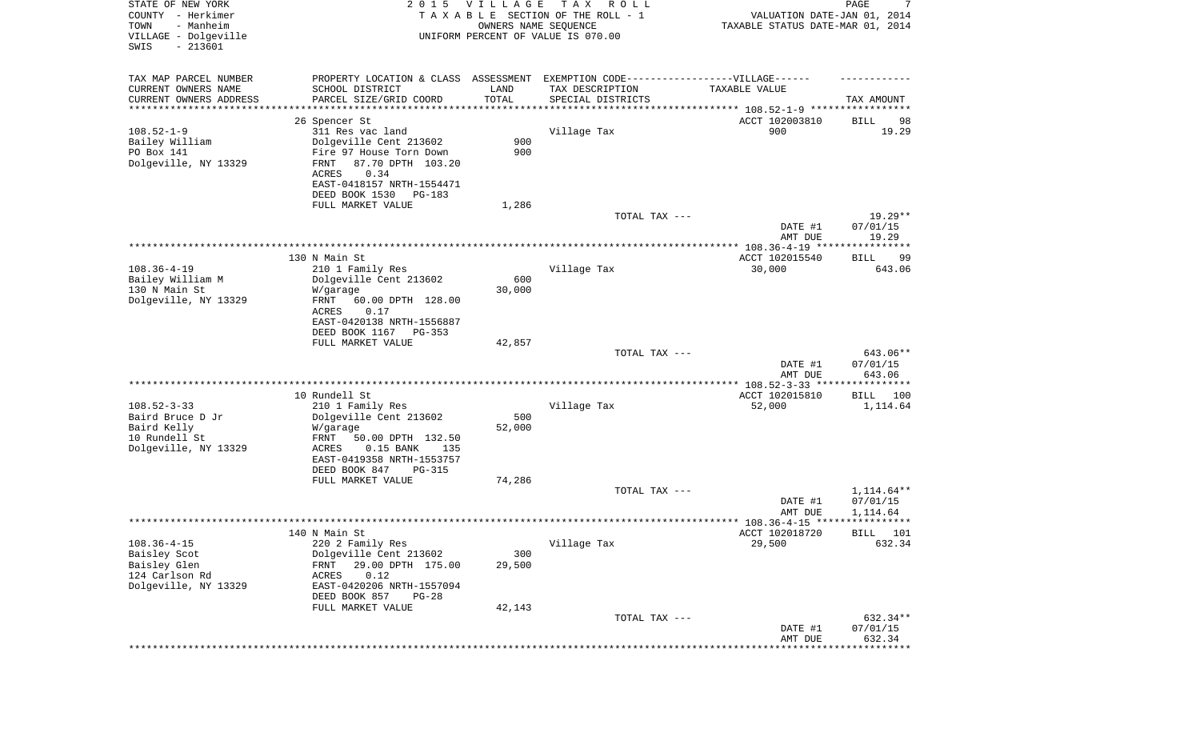| STATE OF NEW YORK<br>COUNTY - Herkimer<br>TOWN<br>- Manheim<br>VILLAGE - Dolgeville<br>SWIS<br>$-213601$ | 2 0 1 5                                           | <b>VILLAGE</b><br>OWNERS NAME SEQUENCE | T A X<br>R O L L<br>TAXABLE SECTION OF THE ROLL - 1<br>UNIFORM PERCENT OF VALUE IS 070.00 | VALUATION DATE-JAN 01, 2014<br>TAXABLE STATUS DATE-MAR 01, 2014 | 7<br>PAGE                |
|----------------------------------------------------------------------------------------------------------|---------------------------------------------------|----------------------------------------|-------------------------------------------------------------------------------------------|-----------------------------------------------------------------|--------------------------|
| TAX MAP PARCEL NUMBER                                                                                    | PROPERTY LOCATION & CLASS ASSESSMENT              |                                        | EXEMPTION CODE-----------------VILLAGE------                                              |                                                                 |                          |
| CURRENT OWNERS NAME<br>CURRENT OWNERS ADDRESS                                                            | SCHOOL DISTRICT<br>PARCEL SIZE/GRID COORD         | LAND<br>TOTAL                          | TAX DESCRIPTION<br>SPECIAL DISTRICTS                                                      | TAXABLE VALUE                                                   | TAX AMOUNT               |
| *********************                                                                                    |                                                   |                                        |                                                                                           |                                                                 |                          |
|                                                                                                          | 26 Spencer St                                     |                                        |                                                                                           | ACCT 102003810                                                  | 98<br>BILL               |
| $108.52 - 1 - 9$                                                                                         | 311 Res vac land                                  |                                        | Village Tax                                                                               | 900                                                             | 19.29                    |
| Bailey William                                                                                           | Dolgeville Cent 213602                            | 900                                    |                                                                                           |                                                                 |                          |
| PO Box 141                                                                                               | Fire 97 House Torn Down                           | 900                                    |                                                                                           |                                                                 |                          |
| Dolgeville, NY 13329                                                                                     | <b>FRNT</b><br>87.70 DPTH 103.20<br>0.34<br>ACRES |                                        |                                                                                           |                                                                 |                          |
|                                                                                                          | EAST-0418157 NRTH-1554471                         |                                        |                                                                                           |                                                                 |                          |
|                                                                                                          | DEED BOOK 1530<br>PG-183                          |                                        |                                                                                           |                                                                 |                          |
|                                                                                                          | FULL MARKET VALUE                                 | 1,286                                  |                                                                                           |                                                                 |                          |
|                                                                                                          |                                                   |                                        | TOTAL TAX ---                                                                             |                                                                 | $19.29**$                |
|                                                                                                          |                                                   |                                        |                                                                                           | DATE #1                                                         | 07/01/15                 |
|                                                                                                          |                                                   |                                        |                                                                                           | AMT DUE                                                         | 19.29                    |
|                                                                                                          | 130 N Main St                                     |                                        |                                                                                           | ACCT 102015540                                                  | BILL<br>99               |
| $108.36 - 4 - 19$                                                                                        | 210 1 Family Res                                  |                                        | Village Tax                                                                               | 30,000                                                          | 643.06                   |
| Bailey William M                                                                                         | Dolgeville Cent 213602                            | 600                                    |                                                                                           |                                                                 |                          |
| 130 N Main St                                                                                            | W/garage                                          | 30,000                                 |                                                                                           |                                                                 |                          |
| Dolgeville, NY 13329                                                                                     | FRNT<br>60.00 DPTH 128.00                         |                                        |                                                                                           |                                                                 |                          |
|                                                                                                          | <b>ACRES</b><br>0.17                              |                                        |                                                                                           |                                                                 |                          |
|                                                                                                          | EAST-0420138 NRTH-1556887                         |                                        |                                                                                           |                                                                 |                          |
|                                                                                                          | DEED BOOK 1167<br>PG-353<br>FULL MARKET VALUE     | 42,857                                 |                                                                                           |                                                                 |                          |
|                                                                                                          |                                                   |                                        | TOTAL TAX ---                                                                             |                                                                 | 643.06**                 |
|                                                                                                          |                                                   |                                        |                                                                                           | DATE #1                                                         | 07/01/15                 |
|                                                                                                          |                                                   |                                        |                                                                                           | AMT DUE                                                         | 643.06                   |
|                                                                                                          |                                                   |                                        |                                                                                           |                                                                 |                          |
|                                                                                                          | 10 Rundell St                                     |                                        |                                                                                           | ACCT 102015810                                                  | BILL 100                 |
| $108.52 - 3 - 33$<br>Baird Bruce D Jr                                                                    | 210 1 Family Res<br>Dolgeville Cent 213602        | 500                                    | Village Tax                                                                               | 52,000                                                          | 1,114.64                 |
| Baird Kelly                                                                                              | W/garage                                          | 52,000                                 |                                                                                           |                                                                 |                          |
| 10 Rundell St                                                                                            | FRNT<br>50.00 DPTH 132.50                         |                                        |                                                                                           |                                                                 |                          |
| Dolgeville, NY 13329                                                                                     | $0.15$ BANK<br>ACRES<br>135                       |                                        |                                                                                           |                                                                 |                          |
|                                                                                                          | EAST-0419358 NRTH-1553757                         |                                        |                                                                                           |                                                                 |                          |
|                                                                                                          | DEED BOOK 847<br>PG-315                           |                                        |                                                                                           |                                                                 |                          |
|                                                                                                          | FULL MARKET VALUE                                 | 74,286                                 |                                                                                           |                                                                 |                          |
|                                                                                                          |                                                   |                                        | TOTAL TAX ---                                                                             | DATE #1                                                         | $1,114.64**$<br>07/01/15 |
|                                                                                                          |                                                   |                                        |                                                                                           | AMT DUE                                                         | 1,114.64                 |
|                                                                                                          |                                                   |                                        |                                                                                           |                                                                 |                          |
|                                                                                                          | 140 N Main St                                     |                                        |                                                                                           | ACCT 102018720                                                  | BILL 101                 |
| $108.36 - 4 - 15$                                                                                        | 220 2 Family Res                                  |                                        | Village Tax                                                                               | 29,500                                                          | 632.34                   |
| Baisley Scot                                                                                             | Dolgeville Cent 213602                            | 300                                    |                                                                                           |                                                                 |                          |
| Baisley Glen                                                                                             | 29.00 DPTH 175.00<br>FRNT                         | 29,500                                 |                                                                                           |                                                                 |                          |
| 124 Carlson Rd<br>Dolgeville, NY 13329                                                                   | ACRES<br>0.12<br>EAST-0420206 NRTH-1557094        |                                        |                                                                                           |                                                                 |                          |
|                                                                                                          | DEED BOOK 857<br>$PG-28$                          |                                        |                                                                                           |                                                                 |                          |
|                                                                                                          | FULL MARKET VALUE                                 | 42,143                                 |                                                                                           |                                                                 |                          |
|                                                                                                          |                                                   |                                        | TOTAL TAX ---                                                                             |                                                                 | 632.34**                 |
|                                                                                                          |                                                   |                                        |                                                                                           | DATE #1                                                         | 07/01/15                 |
|                                                                                                          |                                                   |                                        |                                                                                           | AMT DUE                                                         | 632.34<br>********       |
|                                                                                                          |                                                   |                                        |                                                                                           |                                                                 |                          |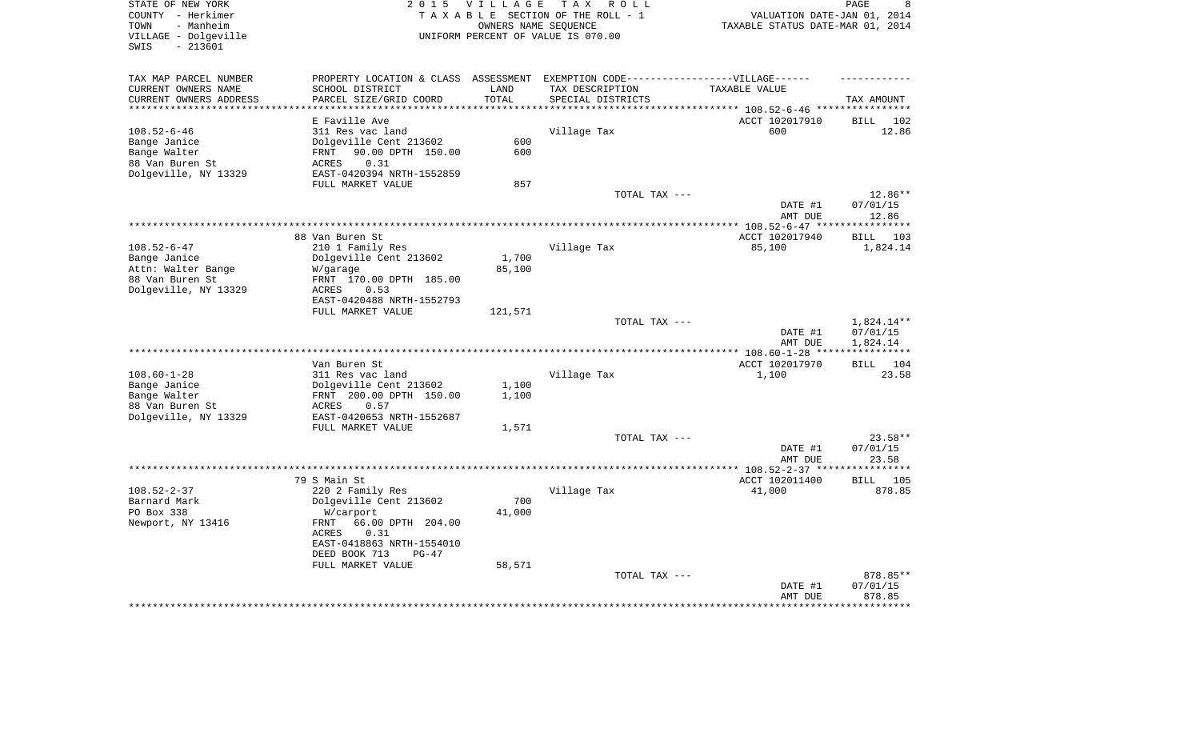| STATE OF NEW YORK<br>COUNTY - Herkimer<br>- Manheim<br>TOWN<br>VILLAGE - Dolgeville<br>$-213601$<br>SWIS | 2 0 1 5<br><b>VILLAGE</b><br>TAXABLE SECTION OF THE ROLL - 1<br>UNIFORM PERCENT OF VALUE IS 070.00  |                 | PAGE<br>8<br>VALUATION DATE-JAN 01, 2014<br>TAXABLE STATUS DATE-MAR 01, 2014 |                                                          |                                    |
|----------------------------------------------------------------------------------------------------------|-----------------------------------------------------------------------------------------------------|-----------------|------------------------------------------------------------------------------|----------------------------------------------------------|------------------------------------|
| TAX MAP PARCEL NUMBER                                                                                    | PROPERTY LOCATION & CLASS ASSESSMENT EXEMPTION CODE-----------------VILLAGE------                   |                 |                                                                              |                                                          |                                    |
| CURRENT OWNERS NAME<br>CURRENT OWNERS ADDRESS                                                            | SCHOOL DISTRICT<br>PARCEL SIZE/GRID COORD                                                           | LAND<br>TOTAL   | TAX DESCRIPTION<br>SPECIAL DISTRICTS                                         | TAXABLE VALUE<br>********* 108.52-6-46 ***************** | TAX AMOUNT                         |
|                                                                                                          | E Faville Ave                                                                                       |                 |                                                                              | ACCT 102017910                                           | <b>BILL</b><br>102                 |
| $108.52 - 6 - 46$<br>Bange Janice<br>Bange Walter                                                        | 311 Res vac land<br>Dolgeville Cent 213602<br>90.00 DPTH 150.00<br>FRNT                             | 600<br>600      | Village Tax                                                                  | 600                                                      | 12.86                              |
| 88 Van Buren St<br>Dolgeville, NY 13329                                                                  | 0.31<br>ACRES<br>EAST-0420394 NRTH-1552859<br>FULL MARKET VALUE                                     | 857             |                                                                              |                                                          |                                    |
|                                                                                                          |                                                                                                     |                 | TOTAL TAX ---                                                                | DATE #1<br>AMT DUE                                       | 12.86**<br>07/01/15<br>12.86       |
|                                                                                                          |                                                                                                     |                 |                                                                              |                                                          | **********                         |
| $108.52 - 6 - 47$                                                                                        | 88 Van Buren St<br>210 1 Family Res                                                                 |                 | Village Tax                                                                  | ACCT 102017940<br>85,100                                 | BILL 103<br>1,824.14               |
| Bange Janice<br>Attn: Walter Bange<br>88 Van Buren St<br>Dolgeville, NY 13329                            | Dolgeville Cent 213602<br>W/garage<br>FRNT 170.00 DPTH 185.00<br>ACRES<br>0.53                      | 1,700<br>85,100 |                                                                              |                                                          |                                    |
|                                                                                                          | EAST-0420488 NRTH-1552793<br>FULL MARKET VALUE                                                      | 121,571         |                                                                              |                                                          |                                    |
|                                                                                                          |                                                                                                     |                 | TOTAL TAX ---                                                                | DATE #1<br>AMT DUE                                       | 1,824.14**<br>07/01/15<br>1,824.14 |
|                                                                                                          |                                                                                                     |                 |                                                                              |                                                          | * * * * * * * * * * *              |
| $108.60 - 1 - 28$                                                                                        | Van Buren St<br>311 Res vac land                                                                    |                 | Village Tax                                                                  | ACCT 102017970<br>1,100                                  | <b>BILL</b><br>104<br>23.58        |
| Bange Janice<br>Bange Walter<br>88 Van Buren St                                                          | Dolgeville Cent 213602<br>FRNT 200.00 DPTH 150.00<br>0.57<br>ACRES                                  | 1,100<br>1,100  |                                                                              |                                                          |                                    |
| Dolgeville, NY 13329                                                                                     | EAST-0420653 NRTH-1552687<br>FULL MARKET VALUE                                                      | 1,571           |                                                                              |                                                          |                                    |
|                                                                                                          |                                                                                                     |                 | TOTAL TAX ---                                                                | DATE #1<br>AMT DUE                                       | 23.58**<br>07/01/15<br>23.58       |
|                                                                                                          |                                                                                                     |                 |                                                                              |                                                          | * * * * * * * * * * *              |
|                                                                                                          | 79 S Main St                                                                                        |                 |                                                                              | ACCT 102011400                                           | <b>BILL</b><br>105                 |
| $108.52 - 2 - 37$<br>Barnard Mark<br>PO Box 338                                                          | 220 2 Family Res<br>Dolgeville Cent 213602<br>W/carport                                             | 700<br>41,000   | Village Tax                                                                  | 41,000                                                   | 878.85                             |
| Newport, NY 13416                                                                                        | 66.00 DPTH 204.00<br>FRNT<br>0.31<br>ACRES<br>EAST-0418863 NRTH-1554010<br>DEED BOOK 713<br>$PG-47$ |                 |                                                                              |                                                          |                                    |
|                                                                                                          | FULL MARKET VALUE                                                                                   | 58,571          |                                                                              |                                                          |                                    |
|                                                                                                          |                                                                                                     |                 | TOTAL TAX ---                                                                | DATE #1<br>AMT DUE                                       | 878.85**<br>07/01/15<br>878.85     |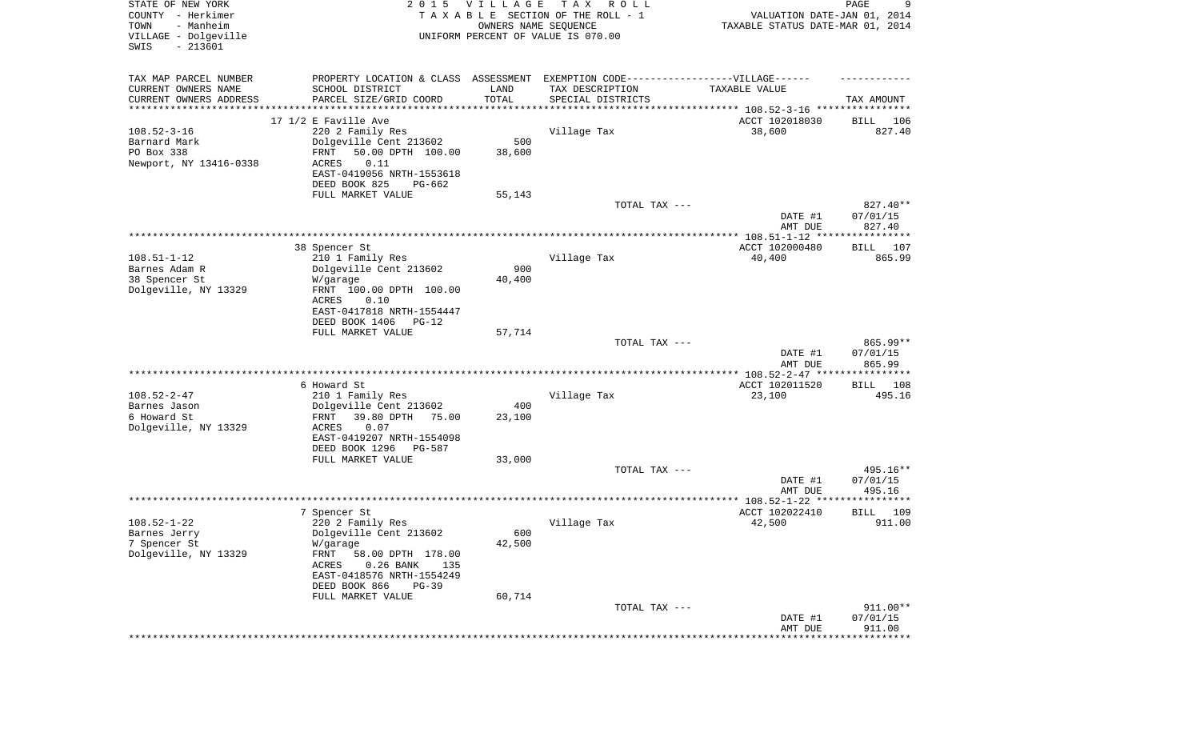| STATE OF NEW YORK<br>COUNTY - Herkimer<br>TOWN<br>- Manheim<br>VILLAGE - Dolgeville<br>SWIS<br>$-213601$ | 2 0 1 5                                                                          | V I L L A G E<br>OWNERS NAME SEQUENCE | T A X<br>R O L L<br>TAXABLE SECTION OF THE ROLL - 1<br>UNIFORM PERCENT OF VALUE IS 070.00 | VALUATION DATE-JAN 01, 2014<br>TAXABLE STATUS DATE-MAR 01, 2014 | 9<br>PAGE                           |
|----------------------------------------------------------------------------------------------------------|----------------------------------------------------------------------------------|---------------------------------------|-------------------------------------------------------------------------------------------|-----------------------------------------------------------------|-------------------------------------|
| TAX MAP PARCEL NUMBER                                                                                    | PROPERTY LOCATION & CLASS ASSESSMENT EXEMPTION CODE----------------VILLAGE------ |                                       |                                                                                           |                                                                 |                                     |
| CURRENT OWNERS NAME                                                                                      | SCHOOL DISTRICT                                                                  | LAND                                  | TAX DESCRIPTION                                                                           | TAXABLE VALUE                                                   |                                     |
| CURRENT OWNERS ADDRESS<br>********************                                                           | PARCEL SIZE/GRID COORD                                                           | TOTAL<br>* * * * * * * * * *          | SPECIAL DISTRICTS                                                                         | ********************************* 108.52-3-16 ****************  | TAX AMOUNT                          |
|                                                                                                          | 17 1/2 E Faville Ave                                                             |                                       |                                                                                           | ACCT 102018030                                                  | BILL<br>106                         |
| $108.52 - 3 - 16$                                                                                        | 220 2 Family Res                                                                 |                                       | Village Tax                                                                               | 38,600                                                          | 827.40                              |
| Barnard Mark                                                                                             | Dolgeville Cent 213602                                                           | 500                                   |                                                                                           |                                                                 |                                     |
| PO Box 338                                                                                               | 50.00 DPTH 100.00<br>FRNT                                                        | 38,600                                |                                                                                           |                                                                 |                                     |
| Newport, NY 13416-0338                                                                                   | <b>ACRES</b><br>0.11<br>EAST-0419056 NRTH-1553618                                |                                       |                                                                                           |                                                                 |                                     |
|                                                                                                          | DEED BOOK 825<br>PG-662                                                          |                                       |                                                                                           |                                                                 |                                     |
|                                                                                                          | FULL MARKET VALUE                                                                | 55,143                                |                                                                                           |                                                                 |                                     |
|                                                                                                          |                                                                                  |                                       | TOTAL TAX ---                                                                             |                                                                 | 827.40**                            |
|                                                                                                          |                                                                                  |                                       |                                                                                           | DATE #1                                                         | 07/01/15                            |
|                                                                                                          |                                                                                  |                                       |                                                                                           | AMT DUE                                                         | 827.40                              |
|                                                                                                          | 38 Spencer St                                                                    |                                       |                                                                                           | ACCT 102000480                                                  | 107<br>BILL                         |
| $108.51 - 1 - 12$                                                                                        | 210 1 Family Res                                                                 |                                       | Village Tax                                                                               | 40,400                                                          | 865.99                              |
| Barnes Adam R                                                                                            | Dolgeville Cent 213602                                                           | 900                                   |                                                                                           |                                                                 |                                     |
| 38 Spencer St                                                                                            | W/garage                                                                         | 40,400                                |                                                                                           |                                                                 |                                     |
| Dolgeville, NY 13329                                                                                     | FRNT 100.00 DPTH 100.00<br>ACRES<br>0.10                                         |                                       |                                                                                           |                                                                 |                                     |
|                                                                                                          | EAST-0417818 NRTH-1554447                                                        |                                       |                                                                                           |                                                                 |                                     |
|                                                                                                          | DEED BOOK 1406<br>$PG-12$                                                        |                                       |                                                                                           |                                                                 |                                     |
|                                                                                                          | FULL MARKET VALUE                                                                | 57,714                                |                                                                                           |                                                                 |                                     |
|                                                                                                          |                                                                                  |                                       | TOTAL TAX ---                                                                             | DATE #1                                                         | 865.99**<br>07/01/15                |
|                                                                                                          |                                                                                  |                                       |                                                                                           | AMT DUE                                                         | 865.99                              |
|                                                                                                          |                                                                                  |                                       | *******************************                                                           | ************ 108.52-2-47 *****************                      |                                     |
| $108.52 - 2 - 47$                                                                                        | 6 Howard St<br>210 1 Family Res                                                  |                                       | Village Tax                                                                               | ACCT 102011520<br>23,100                                        | 108<br>BILL<br>495.16               |
| Barnes Jason                                                                                             | Dolgeville Cent 213602                                                           | 400                                   |                                                                                           |                                                                 |                                     |
| 6 Howard St                                                                                              | 39.80 DPTH<br>75.00<br>FRNT                                                      | 23,100                                |                                                                                           |                                                                 |                                     |
| Dolgeville, NY 13329                                                                                     | <b>ACRES</b><br>0.07                                                             |                                       |                                                                                           |                                                                 |                                     |
|                                                                                                          | EAST-0419207 NRTH-1554098<br>DEED BOOK 1296<br>PG-587                            |                                       |                                                                                           |                                                                 |                                     |
|                                                                                                          | FULL MARKET VALUE                                                                | 33,000                                |                                                                                           |                                                                 |                                     |
|                                                                                                          |                                                                                  |                                       | TOTAL TAX ---                                                                             |                                                                 | 495.16**                            |
|                                                                                                          |                                                                                  |                                       |                                                                                           | DATE #1                                                         | 07/01/15                            |
|                                                                                                          |                                                                                  |                                       |                                                                                           | AMT DUE                                                         | 495.16<br>****************          |
|                                                                                                          | 7 Spencer St                                                                     |                                       |                                                                                           | ACCT 102022410                                                  | 109<br>BILL                         |
| $108.52 - 1 - 22$                                                                                        | 220 2 Family Res                                                                 |                                       | Village Tax                                                                               | 42,500                                                          | 911.00                              |
| Barnes Jerry                                                                                             | Dolgeville Cent 213602                                                           | 600                                   |                                                                                           |                                                                 |                                     |
| 7 Spencer St                                                                                             | W/garage                                                                         | 42,500                                |                                                                                           |                                                                 |                                     |
| Dolgeville, NY 13329                                                                                     | FRNT<br>58.00 DPTH 178.00                                                        |                                       |                                                                                           |                                                                 |                                     |
|                                                                                                          | ACRES<br>$0.26$ BANK<br>135<br>EAST-0418576 NRTH-1554249                         |                                       |                                                                                           |                                                                 |                                     |
|                                                                                                          | DEED BOOK 866<br>$PG-39$                                                         |                                       |                                                                                           |                                                                 |                                     |
|                                                                                                          | FULL MARKET VALUE                                                                | 60,714                                |                                                                                           |                                                                 |                                     |
|                                                                                                          |                                                                                  |                                       | TOTAL TAX ---                                                                             |                                                                 | 911.00**                            |
|                                                                                                          |                                                                                  |                                       |                                                                                           | DATE #1                                                         | 07/01/15                            |
|                                                                                                          |                                                                                  |                                       |                                                                                           | AMT DUE                                                         | 911.00<br>* * * * * * * * * * * * * |
|                                                                                                          |                                                                                  |                                       |                                                                                           |                                                                 |                                     |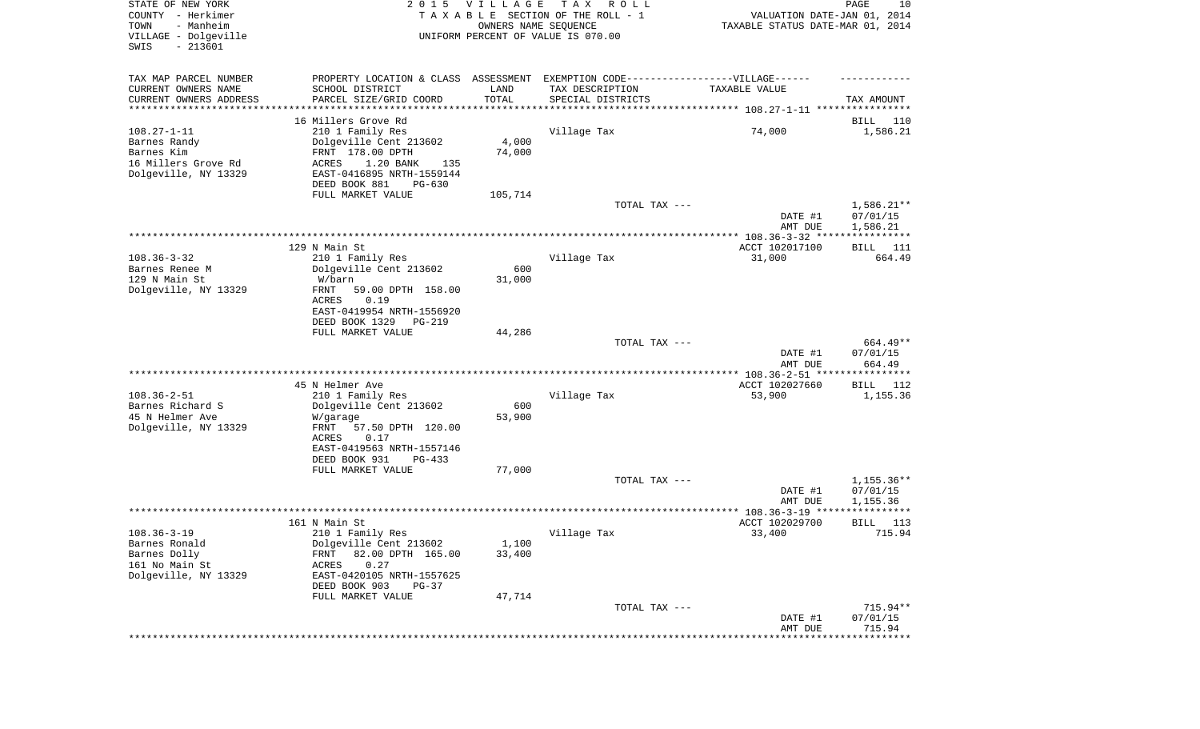| STATE OF NEW YORK<br>COUNTY - Herkimer<br>TOWN<br>- Manheim<br>VILLAGE - Dolgeville<br>SWIS<br>$-213601$ |                                                                                  | 2015 VILLAGE<br>OWNERS NAME SEQUENCE | T A X<br>R O L L<br>TAXABLE SECTION OF THE ROLL - 1<br>UNIFORM PERCENT OF VALUE IS 070.00 | VALUATION DATE-JAN 01, 2014<br>TAXABLE STATUS DATE-MAR 01, 2014 | PAGE<br>10                           |
|----------------------------------------------------------------------------------------------------------|----------------------------------------------------------------------------------|--------------------------------------|-------------------------------------------------------------------------------------------|-----------------------------------------------------------------|--------------------------------------|
| TAX MAP PARCEL NUMBER                                                                                    | PROPERTY LOCATION & CLASS ASSESSMENT EXEMPTION CODE----------------VILLAGE------ |                                      |                                                                                           |                                                                 |                                      |
| CURRENT OWNERS NAME                                                                                      | SCHOOL DISTRICT                                                                  | LAND                                 | TAX DESCRIPTION                                                                           | TAXABLE VALUE                                                   |                                      |
| CURRENT OWNERS ADDRESS<br>********************                                                           | PARCEL SIZE/GRID COORD<br>***************                                        | TOTAL                                | SPECIAL DISTRICTS                                                                         |                                                                 | TAX AMOUNT                           |
|                                                                                                          | 16 Millers Grove Rd                                                              |                                      |                                                                                           |                                                                 | BILL<br>110                          |
| $108.27 - 1 - 11$                                                                                        | 210 1 Family Res                                                                 |                                      | Village Tax                                                                               | 74,000                                                          | 1,586.21                             |
| Barnes Randy                                                                                             | Dolgeville Cent 213602                                                           | 4,000                                |                                                                                           |                                                                 |                                      |
| Barnes Kim<br>16 Millers Grove Rd                                                                        | FRNT 178.00 DPTH<br>1.20 BANK<br>ACRES<br>135                                    | 74,000                               |                                                                                           |                                                                 |                                      |
| Dolgeville, NY 13329                                                                                     | EAST-0416895 NRTH-1559144                                                        |                                      |                                                                                           |                                                                 |                                      |
|                                                                                                          | DEED BOOK 881<br>PG-630                                                          |                                      |                                                                                           |                                                                 |                                      |
|                                                                                                          | FULL MARKET VALUE                                                                | 105,714                              |                                                                                           |                                                                 |                                      |
|                                                                                                          |                                                                                  |                                      | TOTAL TAX ---                                                                             | DATE #1<br>AMT DUE                                              | $1,586.21**$<br>07/01/15<br>1,586.21 |
|                                                                                                          |                                                                                  |                                      |                                                                                           |                                                                 |                                      |
|                                                                                                          | 129 N Main St                                                                    |                                      |                                                                                           | ACCT 102017100                                                  | BILL<br>111                          |
| $108.36 - 3 - 32$                                                                                        | 210 1 Family Res                                                                 |                                      | Village Tax                                                                               | 31,000                                                          | 664.49                               |
| Barnes Renee M<br>129 N Main St                                                                          | Dolgeville Cent 213602<br>W/barn                                                 | 600<br>31,000                        |                                                                                           |                                                                 |                                      |
| Dolgeville, NY 13329                                                                                     | FRNT<br>59.00 DPTH 158.00                                                        |                                      |                                                                                           |                                                                 |                                      |
|                                                                                                          | ACRES<br>0.19                                                                    |                                      |                                                                                           |                                                                 |                                      |
|                                                                                                          | EAST-0419954 NRTH-1556920<br>DEED BOOK 1329<br>PG-219                            |                                      |                                                                                           |                                                                 |                                      |
|                                                                                                          | FULL MARKET VALUE                                                                | 44,286                               |                                                                                           |                                                                 |                                      |
|                                                                                                          |                                                                                  |                                      | TOTAL TAX ---                                                                             |                                                                 | 664.49**                             |
|                                                                                                          |                                                                                  |                                      |                                                                                           | DATE #1<br>AMT DUE                                              | 07/01/15<br>664.49                   |
|                                                                                                          | 45 N Helmer Ave                                                                  |                                      |                                                                                           | *********** 108.36-2-51 *****************<br>ACCT 102027660     | BILL<br>112                          |
| $108.36 - 2 - 51$                                                                                        | 210 1 Family Res                                                                 |                                      | Village Tax                                                                               | 53,900                                                          | 1,155.36                             |
| Barnes Richard S                                                                                         | Dolgeville Cent 213602                                                           | 600                                  |                                                                                           |                                                                 |                                      |
| 45 N Helmer Ave                                                                                          | W/garage                                                                         | 53,900                               |                                                                                           |                                                                 |                                      |
| Dolgeville, NY 13329                                                                                     | FRNT<br>57.50 DPTH 120.00<br>ACRES<br>0.17                                       |                                      |                                                                                           |                                                                 |                                      |
|                                                                                                          | EAST-0419563 NRTH-1557146                                                        |                                      |                                                                                           |                                                                 |                                      |
|                                                                                                          | DEED BOOK 931<br>$PG-433$                                                        |                                      |                                                                                           |                                                                 |                                      |
|                                                                                                          | FULL MARKET VALUE                                                                | 77,000                               |                                                                                           |                                                                 |                                      |
|                                                                                                          |                                                                                  |                                      | TOTAL TAX ---                                                                             | DATE #1                                                         | 1,155.36**<br>07/01/15               |
|                                                                                                          |                                                                                  |                                      |                                                                                           | AMT DUE                                                         | 1,155.36                             |
|                                                                                                          |                                                                                  |                                      |                                                                                           |                                                                 | *****                                |
|                                                                                                          | 161 N Main St                                                                    |                                      |                                                                                           | ACCT 102029700                                                  | 113<br>BILL                          |
| $108.36 - 3 - 19$<br>Barnes Ronald                                                                       | 210 1 Family Res<br>Dolgeville Cent 213602                                       | 1,100                                | Village Tax                                                                               | 33,400                                                          | 715.94                               |
| Barnes Dolly                                                                                             | 82.00 DPTH 165.00<br>FRNT                                                        | 33,400                               |                                                                                           |                                                                 |                                      |
| 161 No Main St                                                                                           | ACRES<br>0.27                                                                    |                                      |                                                                                           |                                                                 |                                      |
| Dolgeville, NY 13329                                                                                     | EAST-0420105 NRTH-1557625<br>DEED BOOK 903<br>$PG-37$                            |                                      |                                                                                           |                                                                 |                                      |
|                                                                                                          | FULL MARKET VALUE                                                                | 47,714                               |                                                                                           |                                                                 |                                      |
|                                                                                                          |                                                                                  |                                      | TOTAL TAX ---                                                                             | DATE #1                                                         | $715.94**$<br>07/01/15               |
|                                                                                                          |                                                                                  |                                      |                                                                                           | AMT DUE                                                         | 715.94                               |
|                                                                                                          |                                                                                  |                                      |                                                                                           |                                                                 |                                      |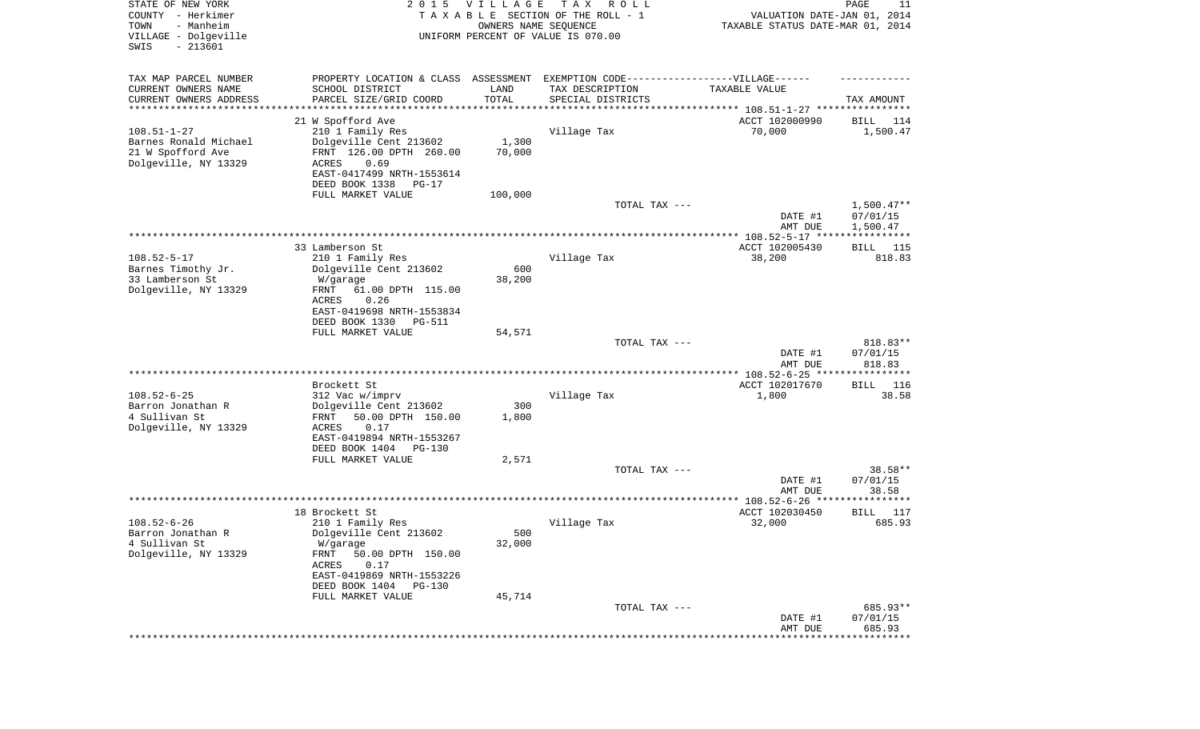| STATE OF NEW YORK<br>COUNTY - Herkimer<br>- Manheim<br>TOWN<br>VILLAGE - Dolgeville<br>SWIS<br>$-213601$ | 2 0 1 5                                                                          | VILLAGE<br>OWNERS NAME SEQUENCE | TAX ROLL<br>TAXABLE SECTION OF THE ROLL - 1<br>UNIFORM PERCENT OF VALUE IS 070.00 | VALUATION DATE-JAN 01, 2014<br>TAXABLE STATUS DATE-MAR 01, 2014 | PAGE<br>11                           |
|----------------------------------------------------------------------------------------------------------|----------------------------------------------------------------------------------|---------------------------------|-----------------------------------------------------------------------------------|-----------------------------------------------------------------|--------------------------------------|
| TAX MAP PARCEL NUMBER                                                                                    | PROPERTY LOCATION & CLASS ASSESSMENT EXEMPTION CODE----------------VILLAGE------ |                                 |                                                                                   |                                                                 |                                      |
| CURRENT OWNERS NAME<br>CURRENT OWNERS ADDRESS                                                            | SCHOOL DISTRICT<br>PARCEL SIZE/GRID COORD                                        | LAND<br>TOTAL                   | TAX DESCRIPTION<br>SPECIAL DISTRICTS                                              | TAXABLE VALUE                                                   | TAX AMOUNT                           |
| ********************                                                                                     |                                                                                  | * * * * * * * * * * *           |                                                                                   |                                                                 |                                      |
|                                                                                                          | 21 W Spofford Ave                                                                |                                 |                                                                                   | ACCT 102000990                                                  | BILL<br>114                          |
| $108.51 - 1 - 27$                                                                                        | 210 1 Family Res                                                                 |                                 | Village Tax                                                                       | 70,000                                                          | 1,500.47                             |
| Barnes Ronald Michael<br>21 W Spofford Ave                                                               | Dolgeville Cent 213602                                                           | 1,300                           |                                                                                   |                                                                 |                                      |
| Dolgeville, NY 13329                                                                                     | FRNT 126.00 DPTH 260.00<br>ACRES<br>0.69                                         | 70,000                          |                                                                                   |                                                                 |                                      |
|                                                                                                          | EAST-0417499 NRTH-1553614                                                        |                                 |                                                                                   |                                                                 |                                      |
|                                                                                                          | DEED BOOK 1338<br>PG-17                                                          |                                 |                                                                                   |                                                                 |                                      |
|                                                                                                          | FULL MARKET VALUE                                                                | 100,000                         |                                                                                   |                                                                 |                                      |
|                                                                                                          |                                                                                  |                                 | TOTAL TAX ---                                                                     | DATE #1<br>AMT DUE                                              | $1,500.47**$<br>07/01/15<br>1,500.47 |
|                                                                                                          |                                                                                  |                                 |                                                                                   |                                                                 |                                      |
|                                                                                                          | 33 Lamberson St                                                                  |                                 |                                                                                   | ACCT 102005430                                                  | BILL<br>115                          |
| $108.52 - 5 - 17$                                                                                        | 210 1 Family Res                                                                 |                                 | Village Tax                                                                       | 38,200                                                          | 818.83                               |
| Barnes Timothy Jr.<br>33 Lamberson St                                                                    | Dolgeville Cent 213602<br>W/garage                                               | 600<br>38,200                   |                                                                                   |                                                                 |                                      |
| Dolgeville, NY 13329                                                                                     | FRNT<br>61.00 DPTH 115.00                                                        |                                 |                                                                                   |                                                                 |                                      |
|                                                                                                          | ACRES<br>0.26                                                                    |                                 |                                                                                   |                                                                 |                                      |
|                                                                                                          | EAST-0419698 NRTH-1553834                                                        |                                 |                                                                                   |                                                                 |                                      |
|                                                                                                          | DEED BOOK 1330<br><b>PG-511</b>                                                  |                                 |                                                                                   |                                                                 |                                      |
|                                                                                                          | FULL MARKET VALUE                                                                | 54,571                          | TOTAL TAX ---                                                                     |                                                                 | 818.83**                             |
|                                                                                                          |                                                                                  |                                 |                                                                                   | DATE #1                                                         | 07/01/15                             |
|                                                                                                          |                                                                                  |                                 |                                                                                   | AMT DUE                                                         | 818.83                               |
|                                                                                                          |                                                                                  |                                 |                                                                                   | ************ 108.52-6-25 ****                                   | * * * * * * * * * * *                |
| $108.52 - 6 - 25$                                                                                        | Brockett St<br>312 Vac w/imprv                                                   |                                 | Village Tax                                                                       | ACCT 102017670<br>1,800                                         | 116<br>BILL<br>38.58                 |
| Barron Jonathan R                                                                                        | Dolgeville Cent 213602                                                           | 300                             |                                                                                   |                                                                 |                                      |
| 4 Sullivan St                                                                                            | 50.00 DPTH 150.00<br>FRNT                                                        | 1,800                           |                                                                                   |                                                                 |                                      |
| Dolgeville, NY 13329                                                                                     | ACRES<br>0.17                                                                    |                                 |                                                                                   |                                                                 |                                      |
|                                                                                                          | EAST-0419894 NRTH-1553267                                                        |                                 |                                                                                   |                                                                 |                                      |
|                                                                                                          | DEED BOOK 1404<br>PG-130<br>FULL MARKET VALUE                                    | 2,571                           |                                                                                   |                                                                 |                                      |
|                                                                                                          |                                                                                  |                                 | TOTAL TAX ---                                                                     |                                                                 | 38.58**                              |
|                                                                                                          |                                                                                  |                                 |                                                                                   | DATE #1                                                         | 07/01/15                             |
|                                                                                                          |                                                                                  |                                 |                                                                                   | AMT DUE                                                         | 38.58                                |
|                                                                                                          | 18 Brockett St                                                                   |                                 |                                                                                   | ACCT 102030450                                                  | ********<br>117<br>BILL              |
| $108.52 - 6 - 26$                                                                                        | 210 1 Family Res                                                                 |                                 | Village Tax                                                                       | 32,000                                                          | 685.93                               |
| Barron Jonathan R                                                                                        | Dolgeville Cent 213602                                                           | 500                             |                                                                                   |                                                                 |                                      |
| 4 Sullivan St                                                                                            | W/garage                                                                         | 32,000                          |                                                                                   |                                                                 |                                      |
| Dolgeville, NY 13329                                                                                     | FRNT<br>50.00 DPTH 150.00                                                        |                                 |                                                                                   |                                                                 |                                      |
|                                                                                                          | ACRES<br>0.17<br>EAST-0419869 NRTH-1553226                                       |                                 |                                                                                   |                                                                 |                                      |
|                                                                                                          | DEED BOOK 1404<br>PG-130                                                         |                                 |                                                                                   |                                                                 |                                      |
|                                                                                                          | FULL MARKET VALUE                                                                | 45,714                          |                                                                                   |                                                                 |                                      |
|                                                                                                          |                                                                                  |                                 | TOTAL TAX ---                                                                     |                                                                 | 685.93**                             |
|                                                                                                          |                                                                                  |                                 |                                                                                   | DATE #1<br>AMT DUE                                              | 07/01/15<br>685.93                   |
|                                                                                                          |                                                                                  |                                 |                                                                                   |                                                                 | **********                           |
|                                                                                                          |                                                                                  |                                 |                                                                                   |                                                                 |                                      |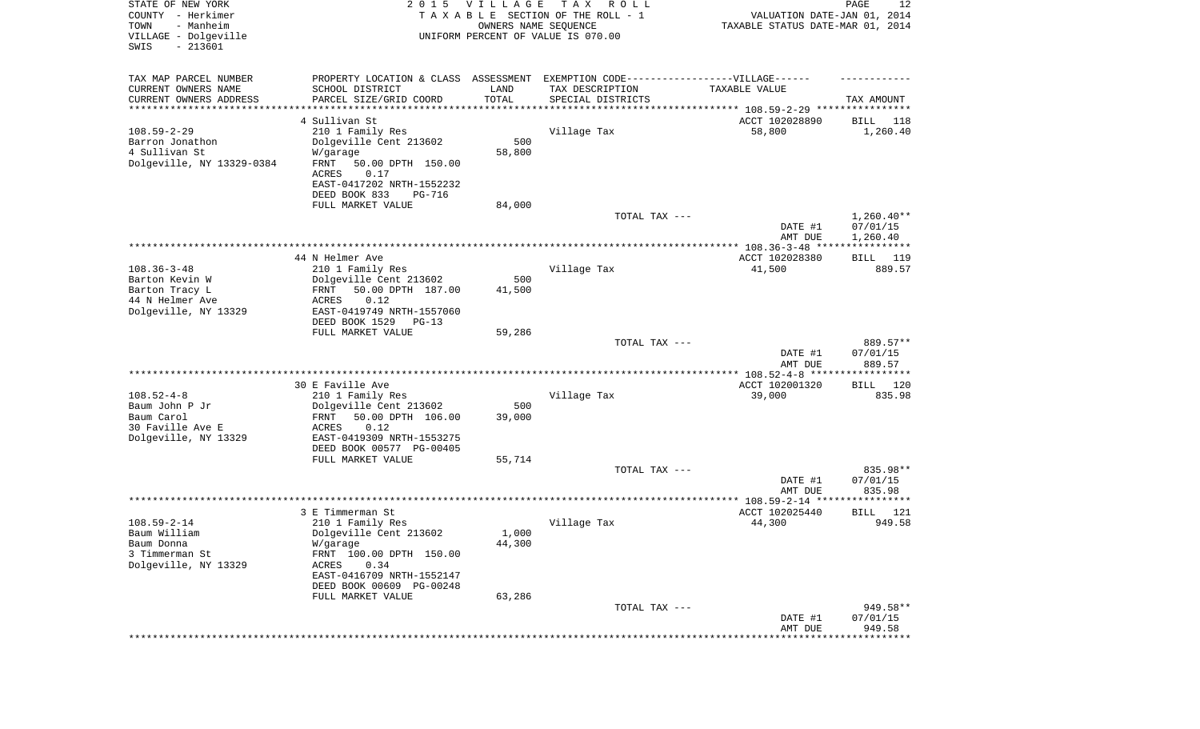| STATE OF NEW YORK<br>COUNTY - Herkimer<br>- Manheim<br>TOWN<br>VILLAGE - Dolgeville<br>SWIS<br>$-213601$ | 2 0 1 5                                                                          | <b>VILLAGE</b><br>OWNERS NAME SEQUENCE | T A X<br>R O L L<br>TAXABLE SECTION OF THE ROLL - 1<br>UNIFORM PERCENT OF VALUE IS 070.00 | VALUATION DATE-JAN 01, 2014<br>TAXABLE STATUS DATE-MAR 01, 2014 | PAGE<br>12         |
|----------------------------------------------------------------------------------------------------------|----------------------------------------------------------------------------------|----------------------------------------|-------------------------------------------------------------------------------------------|-----------------------------------------------------------------|--------------------|
| TAX MAP PARCEL NUMBER                                                                                    | PROPERTY LOCATION & CLASS ASSESSMENT EXEMPTION CODE----------------VILLAGE------ |                                        |                                                                                           |                                                                 |                    |
| CURRENT OWNERS NAME                                                                                      | SCHOOL DISTRICT                                                                  | LAND                                   | TAX DESCRIPTION                                                                           | TAXABLE VALUE                                                   |                    |
| CURRENT OWNERS ADDRESS<br>*********************                                                          | PARCEL SIZE/GRID COORD                                                           | TOTAL                                  | SPECIAL DISTRICTS                                                                         |                                                                 | TAX AMOUNT         |
|                                                                                                          | 4 Sullivan St                                                                    |                                        |                                                                                           | ACCT 102028890                                                  | 118<br>BILL        |
| $108.59 - 2 - 29$                                                                                        | 210 1 Family Res                                                                 |                                        | Village Tax                                                                               | 58,800                                                          | 1,260.40           |
| Barron Jonathon                                                                                          | Dolgeville Cent 213602                                                           | 500                                    |                                                                                           |                                                                 |                    |
| 4 Sullivan St                                                                                            | W/garage                                                                         | 58,800                                 |                                                                                           |                                                                 |                    |
| Dolgeville, NY 13329-0384                                                                                | FRNT<br>50.00 DPTH 150.00                                                        |                                        |                                                                                           |                                                                 |                    |
|                                                                                                          | 0.17<br>ACRES<br>EAST-0417202 NRTH-1552232                                       |                                        |                                                                                           |                                                                 |                    |
|                                                                                                          | DEED BOOK 833<br>PG-716                                                          |                                        |                                                                                           |                                                                 |                    |
|                                                                                                          | FULL MARKET VALUE                                                                | 84,000                                 |                                                                                           |                                                                 |                    |
|                                                                                                          |                                                                                  |                                        | TOTAL TAX ---                                                                             |                                                                 | $1,260.40**$       |
|                                                                                                          |                                                                                  |                                        |                                                                                           | DATE #1                                                         | 07/01/15           |
|                                                                                                          |                                                                                  |                                        |                                                                                           | AMT DUE                                                         | 1,260.40           |
|                                                                                                          | 44 N Helmer Ave                                                                  |                                        |                                                                                           | ACCT 102028380                                                  | BILL 119           |
| $108.36 - 3 - 48$                                                                                        | 210 1 Family Res                                                                 |                                        | Village Tax                                                                               | 41,500                                                          | 889.57             |
| Barton Kevin W                                                                                           | Dolgeville Cent 213602                                                           | 500                                    |                                                                                           |                                                                 |                    |
| Barton Tracy L                                                                                           | 50.00 DPTH 187.00<br>FRNT                                                        | 41,500                                 |                                                                                           |                                                                 |                    |
| 44 N Helmer Ave                                                                                          | <b>ACRES</b><br>0.12<br>EAST-0419749 NRTH-1557060                                |                                        |                                                                                           |                                                                 |                    |
| Dolgeville, NY 13329                                                                                     | DEED BOOK 1529<br>$PG-13$                                                        |                                        |                                                                                           |                                                                 |                    |
|                                                                                                          | FULL MARKET VALUE                                                                | 59,286                                 |                                                                                           |                                                                 |                    |
|                                                                                                          |                                                                                  |                                        | TOTAL TAX ---                                                                             |                                                                 | 889.57**           |
|                                                                                                          |                                                                                  |                                        |                                                                                           | DATE #1                                                         | 07/01/15           |
|                                                                                                          |                                                                                  |                                        |                                                                                           | AMT DUE<br>************ 108.52-4-8 ******************           | 889.57             |
|                                                                                                          | 30 E Faville Ave                                                                 |                                        |                                                                                           | ACCT 102001320                                                  | 120<br>BILL        |
| $108.52 - 4 - 8$                                                                                         | 210 1 Family Res                                                                 |                                        | Village Tax                                                                               | 39,000                                                          | 835.98             |
| Baum John P Jr                                                                                           | Dolgeville Cent 213602                                                           | 500                                    |                                                                                           |                                                                 |                    |
| Baum Carol                                                                                               | 50.00 DPTH 106.00<br>FRNT                                                        | 39,000                                 |                                                                                           |                                                                 |                    |
| 30 Faville Ave E<br>Dolgeville, NY 13329                                                                 | <b>ACRES</b><br>0.12<br>EAST-0419309 NRTH-1553275                                |                                        |                                                                                           |                                                                 |                    |
|                                                                                                          | DEED BOOK 00577 PG-00405                                                         |                                        |                                                                                           |                                                                 |                    |
|                                                                                                          | FULL MARKET VALUE                                                                | 55,714                                 |                                                                                           |                                                                 |                    |
|                                                                                                          |                                                                                  |                                        | TOTAL TAX ---                                                                             |                                                                 | 835.98**           |
|                                                                                                          |                                                                                  |                                        |                                                                                           | DATE #1                                                         | 07/01/15           |
|                                                                                                          |                                                                                  |                                        |                                                                                           | AMT DUE                                                         | 835.98             |
|                                                                                                          | 3 E Timmerman St                                                                 |                                        |                                                                                           | ACCT 102025440                                                  | BILL<br>121        |
| $108.59 - 2 - 14$                                                                                        | 210 1 Family Res                                                                 |                                        | Village Tax                                                                               | 44,300                                                          | 949.58             |
| Baum William                                                                                             | Dolgeville Cent 213602                                                           | 1,000                                  |                                                                                           |                                                                 |                    |
| Baum Donna                                                                                               | W/garage                                                                         | 44,300                                 |                                                                                           |                                                                 |                    |
| 3 Timmerman St<br>Dolgeville, NY 13329                                                                   | FRNT 100.00 DPTH 150.00<br>0.34<br>ACRES                                         |                                        |                                                                                           |                                                                 |                    |
|                                                                                                          | EAST-0416709 NRTH-1552147                                                        |                                        |                                                                                           |                                                                 |                    |
|                                                                                                          | DEED BOOK 00609 PG-00248                                                         |                                        |                                                                                           |                                                                 |                    |
|                                                                                                          | FULL MARKET VALUE                                                                | 63,286                                 |                                                                                           |                                                                 |                    |
|                                                                                                          |                                                                                  |                                        | TOTAL TAX ---                                                                             |                                                                 | 949.58**           |
|                                                                                                          |                                                                                  |                                        |                                                                                           | DATE #1<br>AMT DUE                                              | 07/01/15<br>949.58 |
|                                                                                                          |                                                                                  |                                        |                                                                                           |                                                                 | **************     |
|                                                                                                          |                                                                                  |                                        |                                                                                           |                                                                 |                    |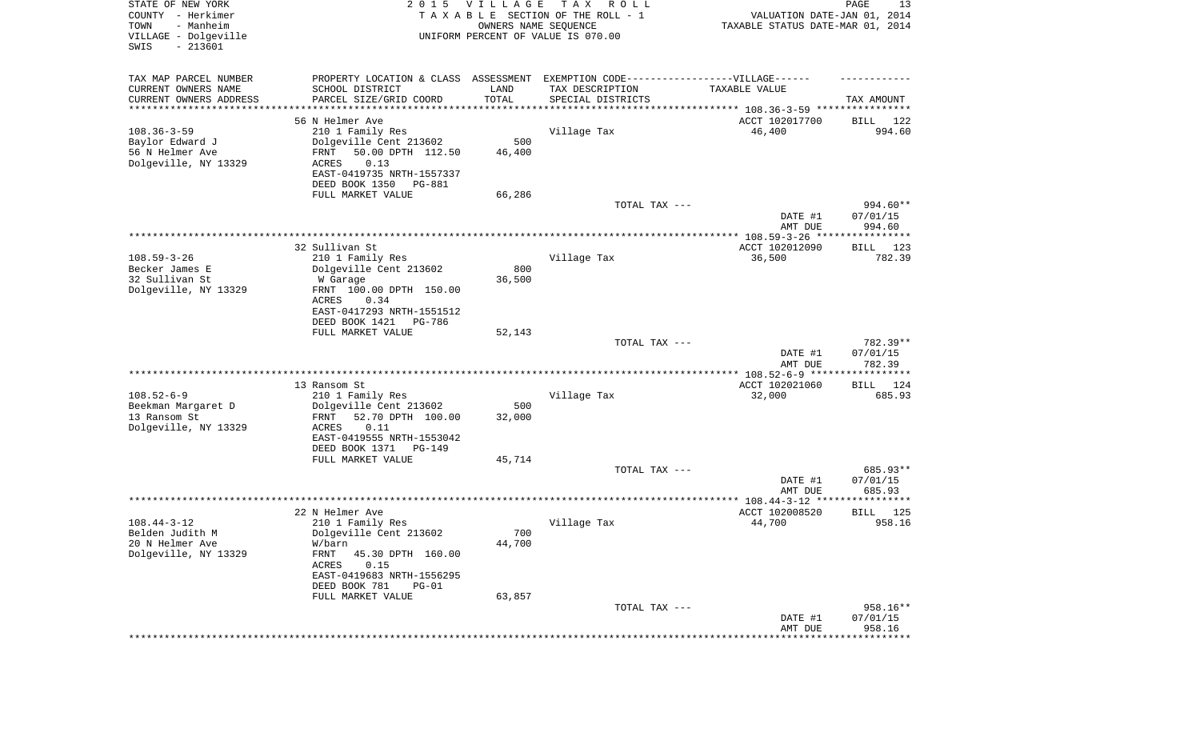| STATE OF NEW YORK<br>COUNTY - Herkimer<br>- Manheim<br>TOWN<br>VILLAGE - Dolgeville<br>SWIS<br>$-213601$ | 2 0 1 5                                                                          | <b>VILLAGE</b><br>OWNERS NAME SEQUENCE | T A X<br>R O L L<br>TAXABLE SECTION OF THE ROLL - 1<br>UNIFORM PERCENT OF VALUE IS 070.00 | VALUATION DATE-JAN 01, 2014<br>TAXABLE STATUS DATE-MAR 01, 2014 | PAGE<br>13         |
|----------------------------------------------------------------------------------------------------------|----------------------------------------------------------------------------------|----------------------------------------|-------------------------------------------------------------------------------------------|-----------------------------------------------------------------|--------------------|
| TAX MAP PARCEL NUMBER                                                                                    | PROPERTY LOCATION & CLASS ASSESSMENT EXEMPTION CODE----------------VILLAGE------ |                                        |                                                                                           |                                                                 |                    |
| CURRENT OWNERS NAME<br>CURRENT OWNERS ADDRESS                                                            | SCHOOL DISTRICT<br>PARCEL SIZE/GRID COORD                                        | LAND<br>TOTAL                          | TAX DESCRIPTION<br>SPECIAL DISTRICTS                                                      | TAXABLE VALUE                                                   | TAX AMOUNT         |
| ********************                                                                                     |                                                                                  |                                        |                                                                                           |                                                                 |                    |
|                                                                                                          | 56 N Helmer Ave                                                                  |                                        |                                                                                           | ACCT 102017700                                                  | BILL<br>122        |
| $108.36 - 3 - 59$                                                                                        | 210 1 Family Res                                                                 |                                        | Village Tax                                                                               | 46,400                                                          | 994.60             |
| Baylor Edward J<br>56 N Helmer Ave                                                                       | Dolgeville Cent 213602<br>50.00 DPTH 112.50<br>FRNT                              | 500<br>46,400                          |                                                                                           |                                                                 |                    |
| Dolgeville, NY 13329                                                                                     | <b>ACRES</b><br>0.13                                                             |                                        |                                                                                           |                                                                 |                    |
|                                                                                                          | EAST-0419735 NRTH-1557337                                                        |                                        |                                                                                           |                                                                 |                    |
|                                                                                                          | DEED BOOK 1350<br>PG-881                                                         |                                        |                                                                                           |                                                                 |                    |
|                                                                                                          | FULL MARKET VALUE                                                                | 66,286                                 |                                                                                           |                                                                 |                    |
|                                                                                                          |                                                                                  |                                        | TOTAL TAX ---                                                                             |                                                                 | 994.60**           |
|                                                                                                          |                                                                                  |                                        |                                                                                           | DATE #1                                                         | 07/01/15           |
|                                                                                                          |                                                                                  |                                        |                                                                                           | AMT DUE                                                         | 994.60             |
|                                                                                                          |                                                                                  |                                        |                                                                                           |                                                                 |                    |
| $108.59 - 3 - 26$                                                                                        | 32 Sullivan St                                                                   |                                        |                                                                                           | ACCT 102012090<br>36,500                                        | 123<br>BILL        |
| Becker James E                                                                                           | 210 1 Family Res<br>Dolgeville Cent 213602                                       | 800                                    | Village Tax                                                                               |                                                                 | 782.39             |
| 32 Sullivan St                                                                                           | W Garage                                                                         | 36,500                                 |                                                                                           |                                                                 |                    |
| Dolgeville, NY 13329                                                                                     | FRNT 100.00 DPTH 150.00                                                          |                                        |                                                                                           |                                                                 |                    |
|                                                                                                          | ACRES<br>0.34                                                                    |                                        |                                                                                           |                                                                 |                    |
|                                                                                                          | EAST-0417293 NRTH-1551512                                                        |                                        |                                                                                           |                                                                 |                    |
|                                                                                                          | DEED BOOK 1421<br>PG-786                                                         |                                        |                                                                                           |                                                                 |                    |
|                                                                                                          | FULL MARKET VALUE                                                                | 52,143                                 |                                                                                           |                                                                 |                    |
|                                                                                                          |                                                                                  |                                        | TOTAL TAX ---                                                                             |                                                                 | 782.39**           |
|                                                                                                          |                                                                                  |                                        |                                                                                           | DATE #1<br>AMT DUE                                              | 07/01/15<br>782.39 |
|                                                                                                          |                                                                                  |                                        |                                                                                           | ************ 108.52-6-9 ******************                      |                    |
|                                                                                                          | 13 Ransom St                                                                     |                                        |                                                                                           | ACCT 102021060                                                  | 124<br>BILL        |
| $108.52 - 6 - 9$                                                                                         | 210 1 Family Res                                                                 |                                        | Village Tax                                                                               | 32,000                                                          | 685.93             |
| Beekman Margaret D                                                                                       | Dolgeville Cent 213602                                                           | 500                                    |                                                                                           |                                                                 |                    |
| 13 Ransom St                                                                                             | 52.70 DPTH 100.00<br>FRNT<br><b>ACRES</b><br>0.11                                | 32,000                                 |                                                                                           |                                                                 |                    |
| Dolgeville, NY 13329                                                                                     | EAST-0419555 NRTH-1553042                                                        |                                        |                                                                                           |                                                                 |                    |
|                                                                                                          | DEED BOOK 1371<br>PG-149                                                         |                                        |                                                                                           |                                                                 |                    |
|                                                                                                          | FULL MARKET VALUE                                                                | 45,714                                 |                                                                                           |                                                                 |                    |
|                                                                                                          |                                                                                  |                                        | TOTAL TAX ---                                                                             |                                                                 | 685.93**           |
|                                                                                                          |                                                                                  |                                        |                                                                                           | DATE #1                                                         | 07/01/15           |
|                                                                                                          |                                                                                  |                                        |                                                                                           | AMT DUE                                                         | 685.93             |
|                                                                                                          |                                                                                  |                                        |                                                                                           |                                                                 |                    |
|                                                                                                          | 22 N Helmer Ave                                                                  |                                        |                                                                                           | ACCT 102008520                                                  | 125<br>BILL        |
| $108.44 - 3 - 12$                                                                                        | 210 1 Family Res                                                                 |                                        | Village Tax                                                                               | 44,700                                                          | 958.16             |
| Belden Judith M<br>20 N Helmer Ave                                                                       | Dolgeville Cent 213602                                                           | 700<br>44,700                          |                                                                                           |                                                                 |                    |
| Dolgeville, NY 13329                                                                                     | W/barn<br>FRNT<br>45.30 DPTH 160.00                                              |                                        |                                                                                           |                                                                 |                    |
|                                                                                                          | ACRES<br>0.15                                                                    |                                        |                                                                                           |                                                                 |                    |
|                                                                                                          | EAST-0419683 NRTH-1556295                                                        |                                        |                                                                                           |                                                                 |                    |
|                                                                                                          | DEED BOOK 781<br>$PG-01$                                                         |                                        |                                                                                           |                                                                 |                    |
|                                                                                                          | FULL MARKET VALUE                                                                | 63,857                                 |                                                                                           |                                                                 |                    |
|                                                                                                          |                                                                                  |                                        | TOTAL TAX ---                                                                             |                                                                 | 958.16**           |
|                                                                                                          |                                                                                  |                                        |                                                                                           | DATE #1                                                         | 07/01/15           |
|                                                                                                          |                                                                                  |                                        |                                                                                           | AMT DUE                                                         | 958.16             |
|                                                                                                          |                                                                                  |                                        |                                                                                           |                                                                 | **************     |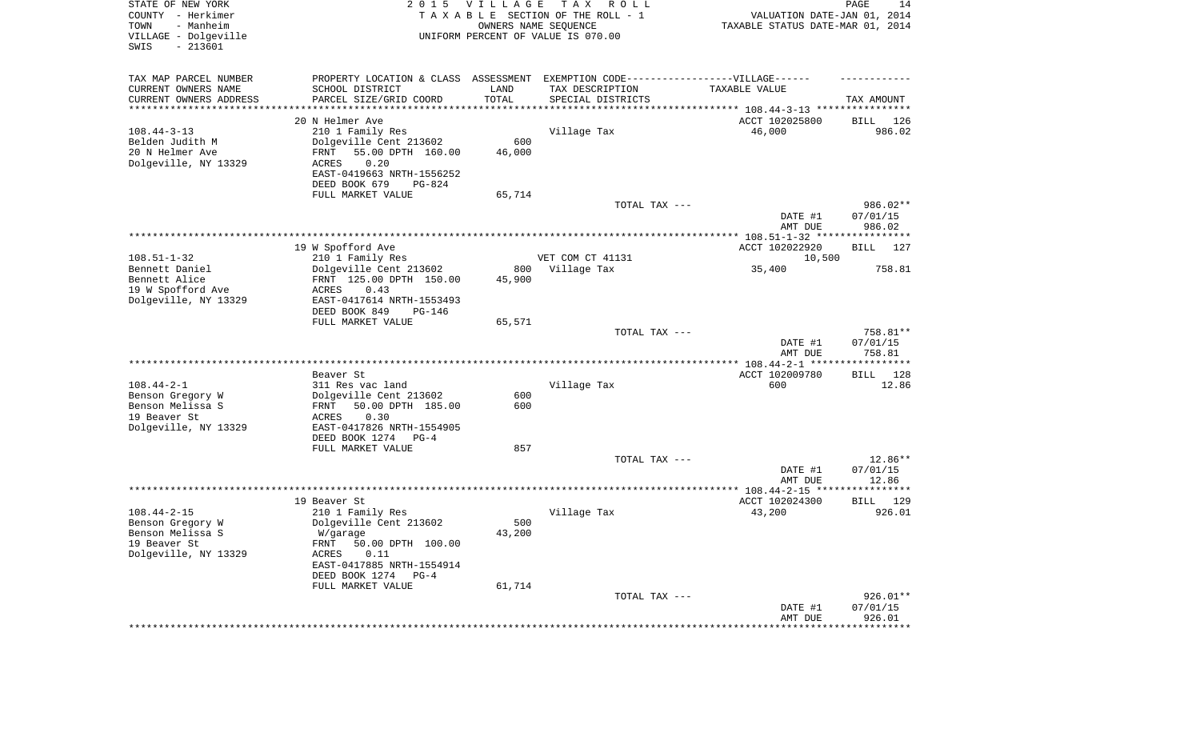| STATE OF NEW YORK<br>COUNTY - Herkimer<br>- Manheim<br>TOWN<br>VILLAGE - Dolgeville | 2 0 1 5                                                                           | <b>VILLAGE</b><br>OWNERS NAME SEQUENCE | T A X<br>R O L L<br>TAXABLE SECTION OF THE ROLL - 1<br>UNIFORM PERCENT OF VALUE IS 070.00 | VALUATION DATE-JAN 01, 2014<br>TAXABLE STATUS DATE-MAR 01, 2014 | PAGE<br>14          |
|-------------------------------------------------------------------------------------|-----------------------------------------------------------------------------------|----------------------------------------|-------------------------------------------------------------------------------------------|-----------------------------------------------------------------|---------------------|
| SWIS<br>$-213601$                                                                   |                                                                                   |                                        |                                                                                           |                                                                 |                     |
| TAX MAP PARCEL NUMBER                                                               | PROPERTY LOCATION & CLASS ASSESSMENT EXEMPTION CODE-----------------VILLAGE------ |                                        |                                                                                           |                                                                 |                     |
| CURRENT OWNERS NAME<br>CURRENT OWNERS ADDRESS                                       | SCHOOL DISTRICT<br>PARCEL SIZE/GRID COORD                                         | LAND<br>TOTAL                          | TAX DESCRIPTION<br>SPECIAL DISTRICTS                                                      | TAXABLE VALUE                                                   |                     |
| *********************                                                               |                                                                                   | **************                         |                                                                                           |                                                                 | TAX AMOUNT          |
|                                                                                     | 20 N Helmer Ave                                                                   |                                        |                                                                                           | ACCT 102025800                                                  | BILL<br>126         |
| $108.44 - 3 - 13$                                                                   | 210 1 Family Res                                                                  |                                        | Village Tax                                                                               | 46,000                                                          | 986.02              |
| Belden Judith M                                                                     | Dolgeville Cent 213602                                                            | 600                                    |                                                                                           |                                                                 |                     |
| 20 N Helmer Ave                                                                     | 55.00 DPTH 160.00<br>FRNT                                                         | 46,000                                 |                                                                                           |                                                                 |                     |
| Dolgeville, NY 13329                                                                | ACRES<br>0.20<br>EAST-0419663 NRTH-1556252                                        |                                        |                                                                                           |                                                                 |                     |
|                                                                                     | DEED BOOK 679<br>PG-824                                                           |                                        |                                                                                           |                                                                 |                     |
|                                                                                     | FULL MARKET VALUE                                                                 | 65,714                                 |                                                                                           |                                                                 |                     |
|                                                                                     |                                                                                   |                                        | TOTAL TAX ---                                                                             |                                                                 | 986.02**            |
|                                                                                     |                                                                                   |                                        |                                                                                           | DATE #1                                                         | 07/01/15            |
|                                                                                     |                                                                                   |                                        |                                                                                           | AMT DUE                                                         | 986.02              |
|                                                                                     | 19 W Spofford Ave                                                                 |                                        |                                                                                           | ACCT 102022920                                                  | BILL<br>127         |
| $108.51 - 1 - 32$                                                                   | 210 1 Family Res                                                                  |                                        | VET COM CT 41131                                                                          | 10,500                                                          |                     |
| Bennett Daniel                                                                      | Dolgeville Cent 213602                                                            | 800                                    | Village Tax                                                                               | 35,400                                                          | 758.81              |
| Bennett Alice                                                                       | FRNT 125.00 DPTH 150.00                                                           | 45,900                                 |                                                                                           |                                                                 |                     |
| 19 W Spofford Ave<br>Dolgeville, NY 13329                                           | ACRES<br>0.43<br>EAST-0417614 NRTH-1553493                                        |                                        |                                                                                           |                                                                 |                     |
|                                                                                     | DEED BOOK 849<br>PG-146                                                           |                                        |                                                                                           |                                                                 |                     |
|                                                                                     | FULL MARKET VALUE                                                                 | 65,571                                 | TOTAL TAX ---                                                                             |                                                                 | 758.81**            |
|                                                                                     |                                                                                   |                                        |                                                                                           | DATE #1<br>AMT DUE                                              | 07/01/15<br>758.81  |
|                                                                                     |                                                                                   |                                        |                                                                                           |                                                                 |                     |
|                                                                                     | Beaver St                                                                         |                                        |                                                                                           | ACCT 102009780                                                  | BILL 128            |
| $108.44 - 2 - 1$                                                                    | 311 Res vac land                                                                  |                                        | Village Tax                                                                               | 600                                                             | 12.86               |
| Benson Gregory W                                                                    | Dolgeville Cent 213602                                                            | 600                                    |                                                                                           |                                                                 |                     |
| Benson Melissa S<br>19 Beaver St                                                    | 50.00 DPTH 185.00<br>FRNT<br>ACRES<br>0.30                                        | 600                                    |                                                                                           |                                                                 |                     |
| Dolgeville, NY 13329                                                                | EAST-0417826 NRTH-1554905                                                         |                                        |                                                                                           |                                                                 |                     |
|                                                                                     | DEED BOOK 1274<br>$PG-4$                                                          |                                        |                                                                                           |                                                                 |                     |
|                                                                                     | FULL MARKET VALUE                                                                 | 857                                    |                                                                                           |                                                                 |                     |
|                                                                                     |                                                                                   |                                        | TOTAL TAX ---                                                                             | DATE #1                                                         | 12.86**<br>07/01/15 |
|                                                                                     |                                                                                   |                                        |                                                                                           | AMT DUE                                                         | 12.86               |
|                                                                                     |                                                                                   |                                        |                                                                                           |                                                                 |                     |
|                                                                                     | 19 Beaver St                                                                      |                                        |                                                                                           | ACCT 102024300                                                  | BILL 129            |
| $108.44 - 2 - 15$                                                                   | 210 1 Family Res                                                                  |                                        | Village Tax                                                                               | 43,200                                                          | 926.01              |
| Benson Gregory W<br>Benson Melissa S                                                | Dolgeville Cent 213602<br>W/garage                                                | 500<br>43,200                          |                                                                                           |                                                                 |                     |
| 19 Beaver St                                                                        | FRNT 50.00 DPTH 100.00                                                            |                                        |                                                                                           |                                                                 |                     |
| Dolgeville, NY 13329                                                                | <b>ACRES</b><br>0.11                                                              |                                        |                                                                                           |                                                                 |                     |
|                                                                                     | EAST-0417885 NRTH-1554914                                                         |                                        |                                                                                           |                                                                 |                     |
|                                                                                     | DEED BOOK 1274<br>$PG-4$                                                          |                                        |                                                                                           |                                                                 |                     |
|                                                                                     | FULL MARKET VALUE                                                                 | 61,714                                 | TOTAL TAX ---                                                                             |                                                                 | $926.01**$          |
|                                                                                     |                                                                                   |                                        |                                                                                           | DATE #1                                                         | 07/01/15            |
|                                                                                     |                                                                                   |                                        |                                                                                           | AMT DUE                                                         | 926.01              |
|                                                                                     |                                                                                   |                                        |                                                                                           | *******************                                             | **************      |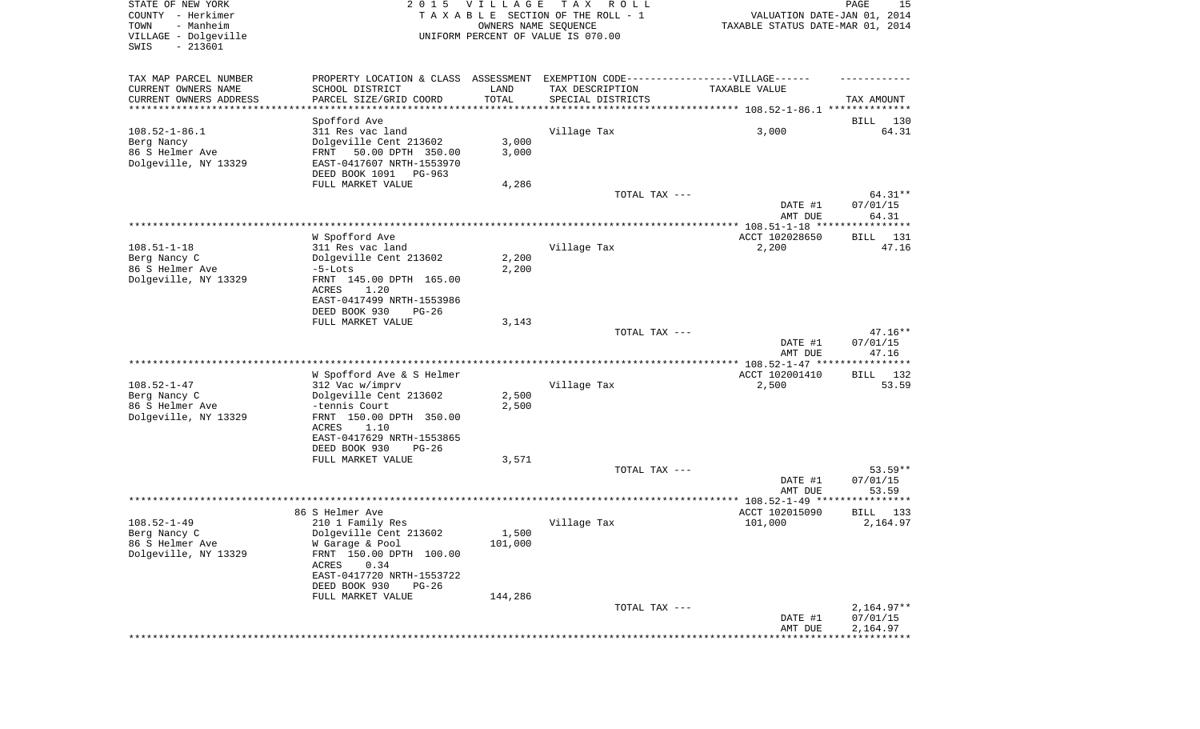| STATE OF NEW YORK<br>COUNTY - Herkimer<br>TOWN<br>- Manheim<br>VILLAGE - Dolgeville | 2 0 1 5                                                                                              | VILLAGE<br>OWNERS NAME SEQUENCE | T A X<br>R O L L<br>TAXABLE SECTION OF THE ROLL - 1<br>UNIFORM PERCENT OF VALUE IS 070.00 | VALUATION DATE-JAN 01, 2014<br>TAXABLE STATUS DATE-MAR 01, 2014 | PAGE<br>15           |
|-------------------------------------------------------------------------------------|------------------------------------------------------------------------------------------------------|---------------------------------|-------------------------------------------------------------------------------------------|-----------------------------------------------------------------|----------------------|
| SWIS<br>$-213601$                                                                   |                                                                                                      |                                 |                                                                                           |                                                                 |                      |
| TAX MAP PARCEL NUMBER<br>CURRENT OWNERS NAME                                        | PROPERTY LOCATION & CLASS ASSESSMENT EXEMPTION CODE-----------------VILLAGE------<br>SCHOOL DISTRICT | LAND                            | TAX DESCRIPTION                                                                           | TAXABLE VALUE                                                   |                      |
| CURRENT OWNERS ADDRESS<br>********************                                      | PARCEL SIZE/GRID COORD                                                                               | TOTAL                           | SPECIAL DISTRICTS                                                                         |                                                                 | TAX AMOUNT           |
|                                                                                     | Spofford Ave                                                                                         |                                 |                                                                                           |                                                                 | BILL<br>130          |
| $108.52 - 1 - 86.1$                                                                 | 311 Res vac land                                                                                     |                                 | Village Tax                                                                               | 3,000                                                           | 64.31                |
| Berg Nancy                                                                          | Dolgeville Cent 213602                                                                               | 3,000                           |                                                                                           |                                                                 |                      |
| 86 S Helmer Ave<br>Dolgeville, NY 13329                                             | 50.00 DPTH 350.00<br>FRNT<br>EAST-0417607 NRTH-1553970                                               | 3,000                           |                                                                                           |                                                                 |                      |
|                                                                                     | DEED BOOK 1091<br>PG-963<br>FULL MARKET VALUE                                                        | 4,286                           |                                                                                           |                                                                 |                      |
|                                                                                     |                                                                                                      |                                 | TOTAL TAX ---                                                                             |                                                                 | 64.31**              |
|                                                                                     |                                                                                                      |                                 |                                                                                           | DATE #1<br>AMT DUE                                              | 07/01/15<br>64.31    |
|                                                                                     | W Spofford Ave                                                                                       |                                 |                                                                                           | ACCT 102028650                                                  | BILL 131             |
| $108.51 - 1 - 18$                                                                   | 311 Res vac land                                                                                     |                                 | Village Tax                                                                               | 2,200                                                           | 47.16                |
| Berg Nancy C                                                                        | Dolgeville Cent 213602                                                                               | 2,200                           |                                                                                           |                                                                 |                      |
| 86 S Helmer Ave                                                                     | $-5$ -Lots                                                                                           | 2,200                           |                                                                                           |                                                                 |                      |
| Dolgeville, NY 13329                                                                | FRNT 145.00 DPTH 165.00<br>ACRES<br>1.20                                                             |                                 |                                                                                           |                                                                 |                      |
|                                                                                     | EAST-0417499 NRTH-1553986<br>DEED BOOK 930<br>$PG-26$<br>FULL MARKET VALUE                           | 3,143                           |                                                                                           |                                                                 |                      |
|                                                                                     |                                                                                                      |                                 | TOTAL TAX ---                                                                             |                                                                 | $47.16**$            |
|                                                                                     |                                                                                                      |                                 |                                                                                           | DATE #1<br>AMT DUE                                              | 07/01/15<br>47.16    |
|                                                                                     | W Spofford Ave & S Helmer                                                                            |                                 |                                                                                           | ACCT 102001410                                                  | BILL 132             |
| $108.52 - 1 - 47$                                                                   | 312 Vac w/imprv                                                                                      |                                 | Village Tax                                                                               | 2,500                                                           | 53.59                |
| Berg Nancy C                                                                        | Dolgeville Cent 213602                                                                               | 2,500                           |                                                                                           |                                                                 |                      |
| 86 S Helmer Ave                                                                     | -tennis Court                                                                                        | 2,500                           |                                                                                           |                                                                 |                      |
| Dolgeville, NY 13329                                                                | FRNT 150.00 DPTH 350.00                                                                              |                                 |                                                                                           |                                                                 |                      |
|                                                                                     | ACRES<br>1.10                                                                                        |                                 |                                                                                           |                                                                 |                      |
|                                                                                     | EAST-0417629 NRTH-1553865<br>DEED BOOK 930<br>$PG-26$                                                |                                 |                                                                                           |                                                                 |                      |
|                                                                                     | FULL MARKET VALUE                                                                                    | 3,571                           |                                                                                           |                                                                 |                      |
|                                                                                     |                                                                                                      |                                 | TOTAL TAX ---                                                                             |                                                                 | 53.59**              |
|                                                                                     |                                                                                                      |                                 |                                                                                           | DATE #1                                                         | 07/01/15             |
|                                                                                     |                                                                                                      |                                 |                                                                                           | AMT DUE<br>************** 108.52-1-49 ****                      | 53.59<br>********    |
|                                                                                     | 86 S Helmer Ave                                                                                      |                                 |                                                                                           | ACCT 102015090                                                  | BILL<br>133          |
| $108.52 - 1 - 49$                                                                   | 210 1 Family Res                                                                                     |                                 | Village Tax                                                                               | 101,000                                                         | 2,164.97             |
| Berg Nancy C                                                                        | Dolgeville Cent 213602                                                                               | 1,500                           |                                                                                           |                                                                 |                      |
| 86 S Helmer Ave                                                                     | W Garage & Pool                                                                                      | 101,000                         |                                                                                           |                                                                 |                      |
| Dolgeville, NY 13329                                                                | FRNT 150.00 DPTH 100.00                                                                              |                                 |                                                                                           |                                                                 |                      |
|                                                                                     | 0.34<br>ACRES<br>EAST-0417720 NRTH-1553722                                                           |                                 |                                                                                           |                                                                 |                      |
|                                                                                     | DEED BOOK 930<br>$PG-26$                                                                             |                                 |                                                                                           |                                                                 |                      |
|                                                                                     | FULL MARKET VALUE                                                                                    | 144,286                         |                                                                                           |                                                                 |                      |
|                                                                                     |                                                                                                      |                                 | TOTAL TAX ---                                                                             |                                                                 | $2,164.97**$         |
|                                                                                     |                                                                                                      |                                 |                                                                                           | DATE #1<br>AMT DUE                                              | 07/01/15<br>2,164.97 |
|                                                                                     |                                                                                                      |                                 |                                                                                           |                                                                 |                      |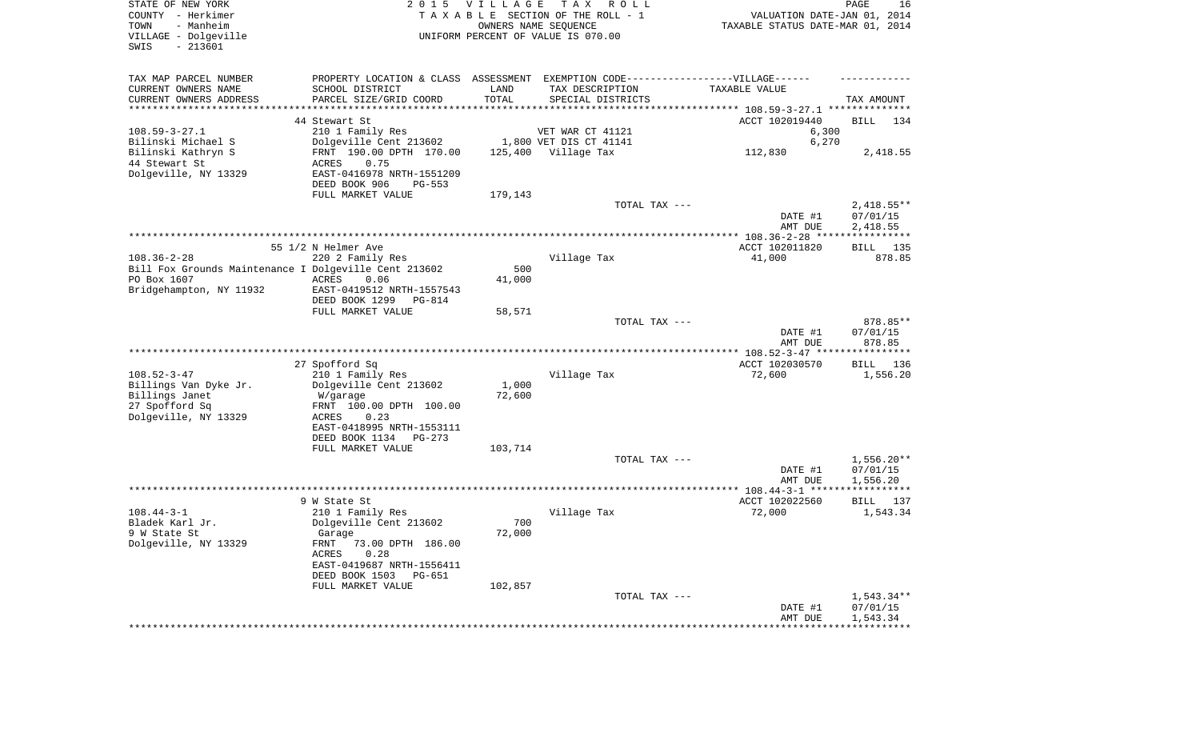| STATE OF NEW YORK<br>COUNTY - Herkimer<br>- Manheim<br>TOWN<br>VILLAGE - Dolgeville<br>$-213601$<br>SWIS | 2 0 1 5                                                                          | VILLAGE         | TAX ROLL<br>TAXABLE SECTION OF THE ROLL - 1<br>OWNERS NAME SEQUENCE<br>UNIFORM PERCENT OF VALUE IS 070.00 | VALUATION DATE-JAN 01, 2014<br>TAXABLE STATUS DATE-MAR 01, 2014 | PAGE<br>16               |
|----------------------------------------------------------------------------------------------------------|----------------------------------------------------------------------------------|-----------------|-----------------------------------------------------------------------------------------------------------|-----------------------------------------------------------------|--------------------------|
| TAX MAP PARCEL NUMBER                                                                                    | PROPERTY LOCATION & CLASS ASSESSMENT EXEMPTION CODE----------------VILLAGE------ |                 |                                                                                                           |                                                                 |                          |
| CURRENT OWNERS NAME                                                                                      | SCHOOL DISTRICT                                                                  | LAND            | TAX DESCRIPTION                                                                                           | TAXABLE VALUE                                                   |                          |
| CURRENT OWNERS ADDRESS<br>*********************                                                          | PARCEL SIZE/GRID COORD<br>************************                               | TOTAL           | SPECIAL DISTRICTS                                                                                         |                                                                 | TAX AMOUNT               |
|                                                                                                          | 44 Stewart St                                                                    |                 |                                                                                                           | ACCT 102019440                                                  | BILL<br>134              |
| $108.59 - 3 - 27.1$                                                                                      | 210 1 Family Res                                                                 |                 | VET WAR CT 41121                                                                                          | 6,300                                                           |                          |
| Bilinski Michael S                                                                                       | Dolgeville Cent 213602                                                           |                 | 1,800 VET DIS CT 41141                                                                                    | 6,270                                                           |                          |
| Bilinski Kathryn S                                                                                       | FRNT 190.00 DPTH 170.00                                                          |                 | 125,400 Village Tax                                                                                       | 112,830                                                         | 2,418.55                 |
| 44 Stewart St                                                                                            | ACRES<br>0.75                                                                    |                 |                                                                                                           |                                                                 |                          |
| Dolgeville, NY 13329                                                                                     | EAST-0416978 NRTH-1551209                                                        |                 |                                                                                                           |                                                                 |                          |
|                                                                                                          | DEED BOOK 906<br>PG-553                                                          |                 |                                                                                                           |                                                                 |                          |
|                                                                                                          | FULL MARKET VALUE                                                                | 179,143         |                                                                                                           |                                                                 |                          |
|                                                                                                          |                                                                                  |                 | TOTAL TAX ---                                                                                             | DATE #1                                                         | $2,418.55**$<br>07/01/15 |
|                                                                                                          |                                                                                  |                 |                                                                                                           | AMT DUE                                                         | 2,418.55                 |
|                                                                                                          |                                                                                  |                 |                                                                                                           |                                                                 |                          |
|                                                                                                          | 55 1/2 N Helmer Ave                                                              |                 |                                                                                                           | ACCT 102011820                                                  | 135<br>BILL              |
| $108.36 - 2 - 28$                                                                                        | 220 2 Family Res                                                                 |                 | Village Tax                                                                                               | 41,000                                                          | 878.85                   |
| Bill Fox Grounds Maintenance I Dolgeville Cent 213602                                                    |                                                                                  | 500             |                                                                                                           |                                                                 |                          |
| PO Box 1607                                                                                              | ACRES<br>0.06                                                                    | 41,000          |                                                                                                           |                                                                 |                          |
| Bridgehampton, NY 11932                                                                                  | EAST-0419512 NRTH-1557543<br>DEED BOOK 1299<br>PG-814                            |                 |                                                                                                           |                                                                 |                          |
|                                                                                                          | FULL MARKET VALUE                                                                | 58,571          |                                                                                                           |                                                                 |                          |
|                                                                                                          |                                                                                  |                 | TOTAL TAX ---                                                                                             |                                                                 | 878.85**                 |
|                                                                                                          |                                                                                  |                 |                                                                                                           | DATE #1<br>AMT DUE                                              | 07/01/15<br>878.85       |
|                                                                                                          |                                                                                  |                 |                                                                                                           |                                                                 |                          |
|                                                                                                          | 27 Spofford Sq                                                                   |                 |                                                                                                           | ACCT 102030570                                                  | 136<br>BILL              |
| $108.52 - 3 - 47$                                                                                        | 210 1 Family Res                                                                 |                 | Village Tax                                                                                               | 72,600                                                          | 1,556.20                 |
| Billings Van Dyke Jr.<br>Billings Janet                                                                  | Dolgeville Cent 213602<br>W/garage                                               | 1,000<br>72,600 |                                                                                                           |                                                                 |                          |
| 27 Spofford Sq                                                                                           | FRNT 100.00 DPTH 100.00                                                          |                 |                                                                                                           |                                                                 |                          |
| Dolgeville, NY 13329                                                                                     | ACRES<br>0.23                                                                    |                 |                                                                                                           |                                                                 |                          |
|                                                                                                          | EAST-0418995 NRTH-1553111                                                        |                 |                                                                                                           |                                                                 |                          |
|                                                                                                          | DEED BOOK 1134<br>$PG-273$                                                       |                 |                                                                                                           |                                                                 |                          |
|                                                                                                          | FULL MARKET VALUE                                                                | 103,714         |                                                                                                           |                                                                 |                          |
|                                                                                                          |                                                                                  |                 | TOTAL TAX ---                                                                                             | DATE #1                                                         | $1,556.20**$<br>07/01/15 |
|                                                                                                          |                                                                                  |                 |                                                                                                           | AMT DUE                                                         | 1,556.20                 |
|                                                                                                          |                                                                                  |                 |                                                                                                           |                                                                 |                          |
|                                                                                                          | 9 W State St                                                                     |                 |                                                                                                           | ACCT 102022560                                                  | BILL 137                 |
| $108.44 - 3 - 1$                                                                                         | 210 1 Family Res                                                                 |                 | Village Tax                                                                                               | 72,000                                                          | 1,543.34                 |
| Bladek Karl Jr.                                                                                          | Dolgeville Cent 213602                                                           | 700             |                                                                                                           |                                                                 |                          |
| 9 W State St<br>Dolgeville, NY 13329                                                                     | Garage<br>FRNT 73.00 DPTH 186.00                                                 | 72,000          |                                                                                                           |                                                                 |                          |
|                                                                                                          | 0.28<br>ACRES                                                                    |                 |                                                                                                           |                                                                 |                          |
|                                                                                                          | EAST-0419687 NRTH-1556411                                                        |                 |                                                                                                           |                                                                 |                          |
|                                                                                                          | DEED BOOK 1503 PG-651                                                            |                 |                                                                                                           |                                                                 |                          |
|                                                                                                          | FULL MARKET VALUE                                                                | 102,857         |                                                                                                           |                                                                 |                          |
|                                                                                                          |                                                                                  |                 | TOTAL TAX ---                                                                                             |                                                                 | 1,543.34**               |
|                                                                                                          |                                                                                  |                 |                                                                                                           | DATE #1<br>AMT DUE                                              | 07/01/15<br>1,543.34     |
|                                                                                                          |                                                                                  |                 |                                                                                                           |                                                                 |                          |
|                                                                                                          |                                                                                  |                 |                                                                                                           |                                                                 |                          |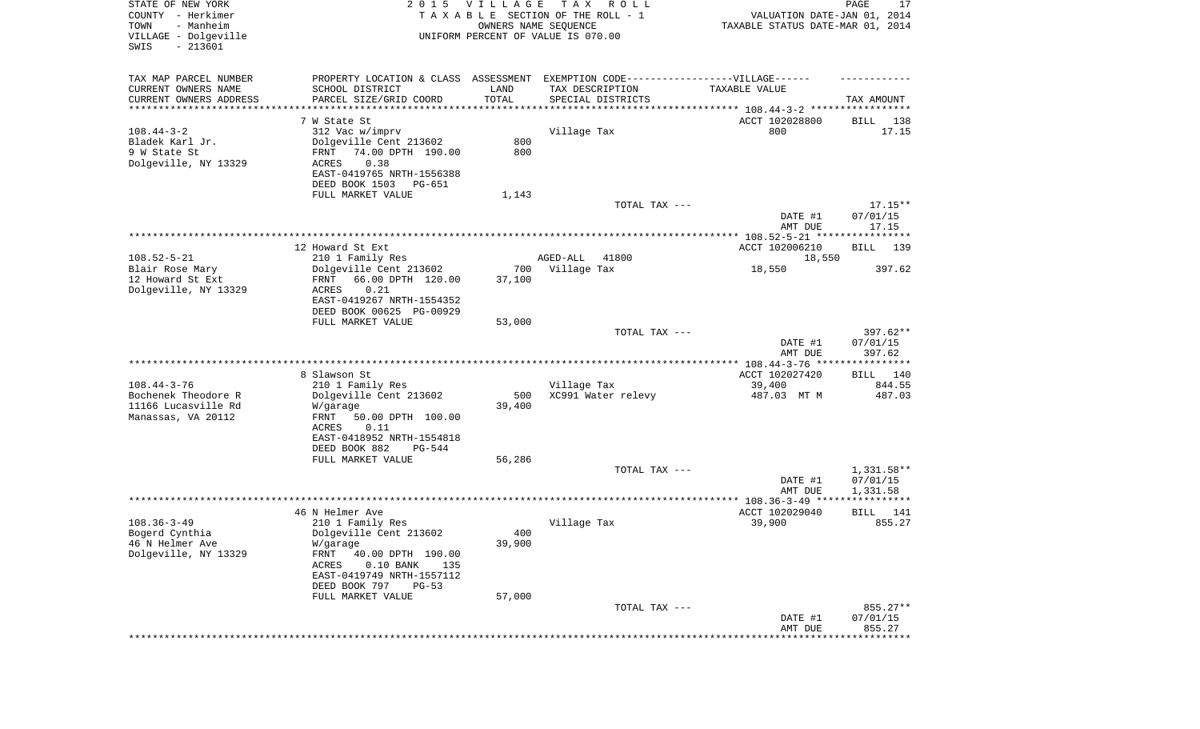| STATE OF NEW YORK<br>COUNTY - Herkimer<br>TOWN<br>- Manheim<br>VILLAGE - Dolgeville | 2 0 1 5                                               | VILLAGE<br>OWNERS NAME SEQUENCE | T A X<br>R O L L<br>TAXABLE SECTION OF THE ROLL - 1<br>UNIFORM PERCENT OF VALUE IS 070.00 | VALUATION DATE-JAN 01, 2014<br>TAXABLE STATUS DATE-MAR 01, 2014 | PAGE<br>17          |
|-------------------------------------------------------------------------------------|-------------------------------------------------------|---------------------------------|-------------------------------------------------------------------------------------------|-----------------------------------------------------------------|---------------------|
| $-213601$<br>SWIS                                                                   |                                                       |                                 |                                                                                           |                                                                 |                     |
| TAX MAP PARCEL NUMBER                                                               | PROPERTY LOCATION & CLASS ASSESSMENT                  |                                 | EXEMPTION CODE-----------------VILLAGE------                                              |                                                                 |                     |
| CURRENT OWNERS NAME<br>CURRENT OWNERS ADDRESS                                       | SCHOOL DISTRICT<br>PARCEL SIZE/GRID COORD             | LAND<br>TOTAL                   | TAX DESCRIPTION<br>SPECIAL DISTRICTS                                                      | TAXABLE VALUE                                                   | TAX AMOUNT          |
| ********************                                                                |                                                       |                                 |                                                                                           |                                                                 |                     |
|                                                                                     | 7 W State St                                          |                                 |                                                                                           | ACCT 102028800                                                  | 138<br>BILL         |
| $108.44 - 3 - 2$                                                                    | 312 Vac w/imprv                                       |                                 | Village Tax                                                                               | 800                                                             | 17.15               |
| Bladek Karl Jr.                                                                     | Dolgeville Cent 213602                                | 800                             |                                                                                           |                                                                 |                     |
| 9 W State St                                                                        | 74.00 DPTH 190.00<br>FRNT                             | 800                             |                                                                                           |                                                                 |                     |
| Dolgeville, NY 13329                                                                | ACRES<br>0.38                                         |                                 |                                                                                           |                                                                 |                     |
|                                                                                     | EAST-0419765 NRTH-1556388<br>DEED BOOK 1503<br>PG-651 |                                 |                                                                                           |                                                                 |                     |
|                                                                                     | FULL MARKET VALUE                                     | 1,143                           |                                                                                           |                                                                 |                     |
|                                                                                     |                                                       |                                 | TOTAL TAX ---                                                                             |                                                                 | $17.15**$           |
|                                                                                     |                                                       |                                 |                                                                                           | DATE #1                                                         | 07/01/15            |
|                                                                                     |                                                       |                                 |                                                                                           | AMT DUE                                                         | 17.15               |
|                                                                                     | 12 Howard St Ext                                      |                                 |                                                                                           | ACCT 102006210                                                  | BILL<br>139         |
| $108.52 - 5 - 21$                                                                   | 210 1 Family Res                                      |                                 | AGED-ALL<br>41800                                                                         | 18,550                                                          |                     |
| Blair Rose Mary                                                                     | Dolgeville Cent 213602                                | 700                             | Village Tax                                                                               | 18,550                                                          | 397.62              |
| 12 Howard St Ext                                                                    | 66.00 DPTH 120.00<br>FRNT                             | 37,100                          |                                                                                           |                                                                 |                     |
| Dolgeville, NY 13329                                                                | 0.21<br>ACRES                                         |                                 |                                                                                           |                                                                 |                     |
|                                                                                     | EAST-0419267 NRTH-1554352                             |                                 |                                                                                           |                                                                 |                     |
|                                                                                     | DEED BOOK 00625 PG-00929<br>FULL MARKET VALUE         | 53,000                          |                                                                                           |                                                                 |                     |
|                                                                                     |                                                       |                                 | TOTAL TAX ---                                                                             |                                                                 | 397.62**            |
|                                                                                     |                                                       |                                 |                                                                                           | DATE #1<br>AMT DUE                                              | 07/01/15<br>397.62  |
|                                                                                     |                                                       |                                 |                                                                                           |                                                                 |                     |
|                                                                                     | 8 Slawson St                                          |                                 |                                                                                           | ACCT 102027420                                                  | BILL 140            |
| $108.44 - 3 - 76$<br>Bochenek Theodore R                                            | 210 1 Family Res<br>Dolgeville Cent 213602            | 500                             | Village Tax<br>XC991 Water relevy                                                         | 39,400<br>487.03 MT M                                           | 844.55<br>487.03    |
| 11166 Lucasville Rd                                                                 | W/garage                                              | 39,400                          |                                                                                           |                                                                 |                     |
| Manassas, VA 20112                                                                  | 50.00 DPTH 100.00<br>FRNT                             |                                 |                                                                                           |                                                                 |                     |
|                                                                                     | ACRES<br>0.11                                         |                                 |                                                                                           |                                                                 |                     |
|                                                                                     | EAST-0418952 NRTH-1554818                             |                                 |                                                                                           |                                                                 |                     |
|                                                                                     | DEED BOOK 882<br>PG-544                               |                                 |                                                                                           |                                                                 |                     |
|                                                                                     | FULL MARKET VALUE                                     | 56,286                          | TOTAL TAX ---                                                                             |                                                                 | 1,331.58**          |
|                                                                                     |                                                       |                                 |                                                                                           | DATE #1                                                         | 07/01/15            |
|                                                                                     |                                                       |                                 |                                                                                           | AMT DUE                                                         | 1,331.58            |
|                                                                                     |                                                       |                                 |                                                                                           |                                                                 |                     |
|                                                                                     | 46 N Helmer Ave                                       |                                 |                                                                                           | ACCT 102029040                                                  | BILL<br>141         |
| $108.36 - 3 - 49$                                                                   | 210 1 Family Res                                      | 400                             | Village Tax                                                                               | 39,900                                                          | 855.27              |
| Bogerd Cynthia<br>46 N Helmer Ave                                                   | Dolgeville Cent 213602<br>W/garage                    | 39,900                          |                                                                                           |                                                                 |                     |
| Dolgeville, NY 13329                                                                | FRNT<br>40.00 DPTH 190.00                             |                                 |                                                                                           |                                                                 |                     |
|                                                                                     | $0.10$ BANK<br>ACRES<br>135                           |                                 |                                                                                           |                                                                 |                     |
|                                                                                     | EAST-0419749 NRTH-1557112                             |                                 |                                                                                           |                                                                 |                     |
|                                                                                     | DEED BOOK 797<br>$PG-53$                              |                                 |                                                                                           |                                                                 |                     |
|                                                                                     | FULL MARKET VALUE                                     | 57,000                          | TOTAL TAX ---                                                                             |                                                                 | 855.27**            |
|                                                                                     |                                                       |                                 |                                                                                           | DATE #1                                                         | 07/01/15            |
|                                                                                     |                                                       |                                 |                                                                                           | AMT DUE                                                         | 855.27              |
|                                                                                     |                                                       |                                 |                                                                                           |                                                                 | * * * * * * * * * * |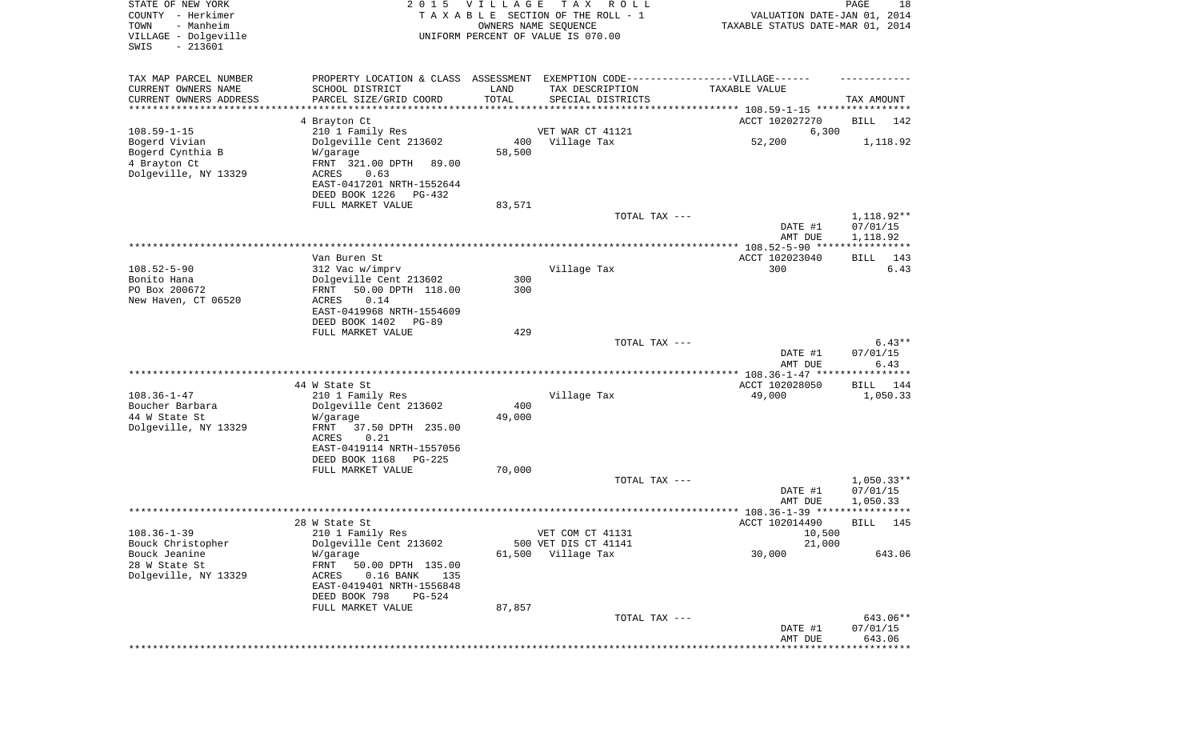| STATE OF NEW YORK<br>COUNTY - Herkimer<br>TOWN<br>- Manheim<br>VILLAGE - Dolgeville<br>SWIS<br>$-213601$ | 2 0 1 5                                                                                             | VILLAGE       | T A X<br>R O L L<br>TAXABLE SECTION OF THE ROLL - 1<br>OWNERS NAME SEQUENCE<br>UNIFORM PERCENT OF VALUE IS 070.00 | VALUATION DATE-JAN 01, 2014<br>TAXABLE STATUS DATE-MAR 01, 2014 | PAGE<br>18            |
|----------------------------------------------------------------------------------------------------------|-----------------------------------------------------------------------------------------------------|---------------|-------------------------------------------------------------------------------------------------------------------|-----------------------------------------------------------------|-----------------------|
| TAX MAP PARCEL NUMBER<br>CURRENT OWNERS NAME                                                             | PROPERTY LOCATION & CLASS ASSESSMENT EXEMPTION CODE----------------VILLAGE------<br>SCHOOL DISTRICT | LAND          | TAX DESCRIPTION                                                                                                   | TAXABLE VALUE                                                   |                       |
| CURRENT OWNERS ADDRESS                                                                                   | PARCEL SIZE/GRID COORD                                                                              | TOTAL         | SPECIAL DISTRICTS                                                                                                 |                                                                 | TAX AMOUNT            |
| *********************                                                                                    |                                                                                                     |               |                                                                                                                   |                                                                 |                       |
| $108.59 - 1 - 15$                                                                                        | 4 Brayton Ct                                                                                        |               |                                                                                                                   | ACCT 102027270                                                  | BILL<br>142           |
| Bogerd Vivian                                                                                            | 210 1 Family Res<br>Dolgeville Cent 213602                                                          | 400           | VET WAR CT 41121<br>Village Tax                                                                                   | 6,300<br>52,200                                                 | 1,118.92              |
| Bogerd Cynthia B                                                                                         | W/garage                                                                                            | 58,500        |                                                                                                                   |                                                                 |                       |
| 4 Brayton Ct                                                                                             | FRNT 321.00 DPTH<br>89.00                                                                           |               |                                                                                                                   |                                                                 |                       |
| Dolgeville, NY 13329                                                                                     | 0.63<br>ACRES<br>EAST-0417201 NRTH-1552644                                                          |               |                                                                                                                   |                                                                 |                       |
|                                                                                                          | DEED BOOK 1226<br>PG-432                                                                            |               |                                                                                                                   |                                                                 |                       |
|                                                                                                          | FULL MARKET VALUE                                                                                   | 83,571        |                                                                                                                   |                                                                 |                       |
|                                                                                                          |                                                                                                     |               | TOTAL TAX ---                                                                                                     |                                                                 | $1,118.92**$          |
|                                                                                                          |                                                                                                     |               |                                                                                                                   | DATE #1<br>AMT DUE                                              | 07/01/15<br>1,118.92  |
|                                                                                                          |                                                                                                     |               |                                                                                                                   |                                                                 |                       |
|                                                                                                          | Van Buren St                                                                                        |               |                                                                                                                   | ACCT 102023040                                                  | BILL<br>143           |
| $108.52 - 5 - 90$<br>Bonito Hana                                                                         | 312 Vac w/imprv<br>Dolgeville Cent 213602                                                           | 300           | Village Tax                                                                                                       | 300                                                             | 6.43                  |
| PO Box 200672                                                                                            | 50.00 DPTH 118.00<br>FRNT                                                                           | 300           |                                                                                                                   |                                                                 |                       |
| New Haven, CT 06520                                                                                      | ACRES<br>0.14                                                                                       |               |                                                                                                                   |                                                                 |                       |
|                                                                                                          | EAST-0419968 NRTH-1554609<br>DEED BOOK 1402<br>PG-89                                                |               |                                                                                                                   |                                                                 |                       |
|                                                                                                          | FULL MARKET VALUE                                                                                   | 429           |                                                                                                                   |                                                                 |                       |
|                                                                                                          |                                                                                                     |               | TOTAL TAX ---                                                                                                     |                                                                 | $6.43**$              |
|                                                                                                          |                                                                                                     |               |                                                                                                                   | DATE #1                                                         | 07/01/15              |
|                                                                                                          |                                                                                                     |               |                                                                                                                   | AMT DUE<br>************ 108.36-1-47 ****                        | 6.43<br>**********    |
|                                                                                                          | 44 W State St                                                                                       |               |                                                                                                                   | ACCT 102028050                                                  | 144<br>BILL           |
| $108.36 - 1 - 47$                                                                                        | 210 1 Family Res                                                                                    |               | Village Tax                                                                                                       | 49,000                                                          | 1,050.33              |
| Boucher Barbara<br>44 W State St                                                                         | Dolgeville Cent 213602<br>W/garage                                                                  | 400<br>49,000 |                                                                                                                   |                                                                 |                       |
| Dolgeville, NY 13329                                                                                     | FRNT<br>37.50 DPTH 235.00                                                                           |               |                                                                                                                   |                                                                 |                       |
|                                                                                                          | ACRES<br>0.21                                                                                       |               |                                                                                                                   |                                                                 |                       |
|                                                                                                          | EAST-0419114 NRTH-1557056                                                                           |               |                                                                                                                   |                                                                 |                       |
|                                                                                                          | DEED BOOK 1168<br>PG-225<br>FULL MARKET VALUE                                                       | 70,000        |                                                                                                                   |                                                                 |                       |
|                                                                                                          |                                                                                                     |               | TOTAL TAX ---                                                                                                     |                                                                 | $1,050.33**$          |
|                                                                                                          |                                                                                                     |               |                                                                                                                   | DATE #1                                                         | 07/01/15              |
|                                                                                                          |                                                                                                     |               |                                                                                                                   | AMT DUE                                                         | 1,050.33<br>* * * * * |
|                                                                                                          | 28 W State St                                                                                       |               |                                                                                                                   | ACCT 102014490                                                  | 145<br>BILL           |
| $108.36 - 1 - 39$                                                                                        | 210 1 Family Res                                                                                    |               | VET COM CT 41131                                                                                                  | 10,500                                                          |                       |
| Bouck Christopher<br>Bouck Jeanine                                                                       | Dolgeville Cent 213602                                                                              | 61,500        | 500 VET DIS CT 41141<br>Village Tax                                                                               | 21,000<br>30,000                                                | 643.06                |
| 28 W State St                                                                                            | W/garage<br>FRNT<br>50.00 DPTH 135.00                                                               |               |                                                                                                                   |                                                                 |                       |
| Dolgeville, NY 13329                                                                                     | ACRES<br>$0.16$ BANK<br>135                                                                         |               |                                                                                                                   |                                                                 |                       |
|                                                                                                          | EAST-0419401 NRTH-1556848                                                                           |               |                                                                                                                   |                                                                 |                       |
|                                                                                                          | DEED BOOK 798<br><b>PG-524</b><br>FULL MARKET VALUE                                                 | 87,857        |                                                                                                                   |                                                                 |                       |
|                                                                                                          |                                                                                                     |               | TOTAL TAX ---                                                                                                     |                                                                 | 643.06**              |
|                                                                                                          |                                                                                                     |               |                                                                                                                   | DATE #1                                                         | 07/01/15              |
|                                                                                                          |                                                                                                     |               |                                                                                                                   | AMT DUE                                                         | 643.06<br>*********** |
|                                                                                                          |                                                                                                     |               |                                                                                                                   |                                                                 |                       |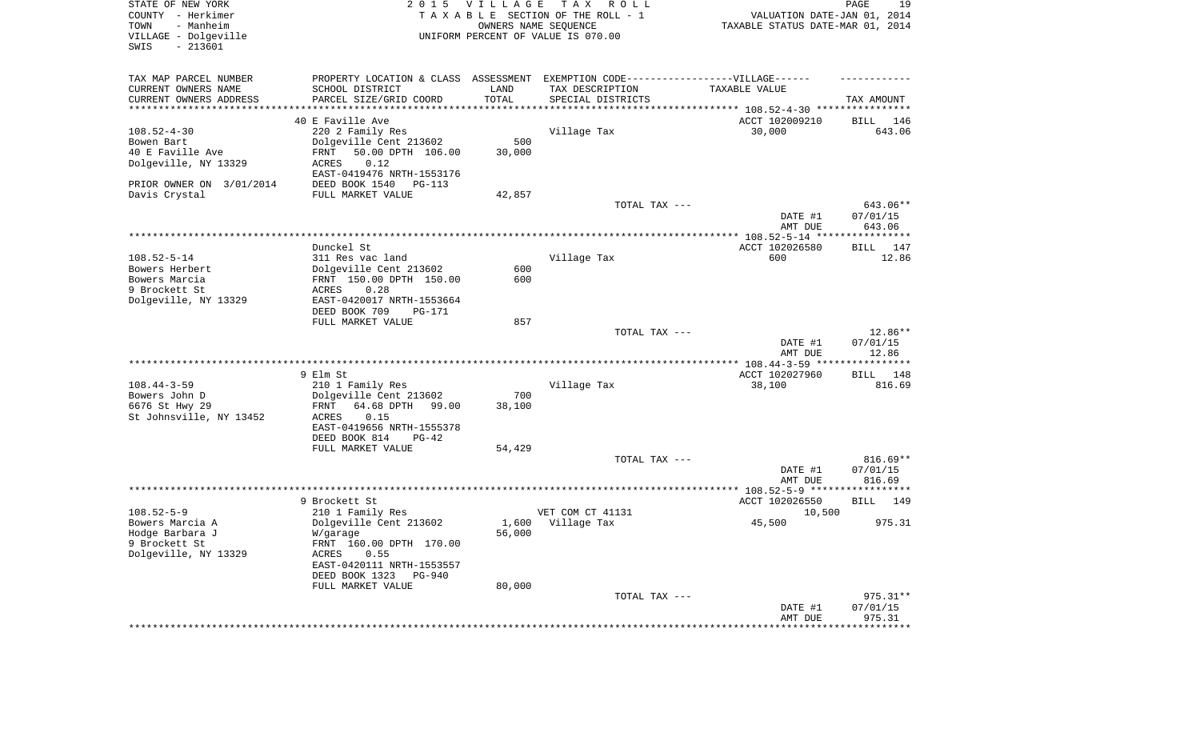| STATE OF NEW YORK<br>COUNTY - Herkimer<br>TOWN<br>- Manheim<br>VILLAGE - Dolgeville<br>SWIS<br>$-213601$ | 2 0 1 5                                                                          | <b>VILLAGE</b> | T A X<br>R O L L<br>TAXABLE SECTION OF THE ROLL - 1<br>OWNERS NAME SEQUENCE<br>UNIFORM PERCENT OF VALUE IS 070.00 | VALUATION DATE-JAN 01, 2014<br>TAXABLE STATUS DATE-MAR 01, 2014 | PAGE<br>19         |
|----------------------------------------------------------------------------------------------------------|----------------------------------------------------------------------------------|----------------|-------------------------------------------------------------------------------------------------------------------|-----------------------------------------------------------------|--------------------|
| TAX MAP PARCEL NUMBER                                                                                    | PROPERTY LOCATION & CLASS ASSESSMENT EXEMPTION CODE----------------VILLAGE------ |                |                                                                                                                   |                                                                 |                    |
| CURRENT OWNERS NAME                                                                                      | SCHOOL DISTRICT                                                                  | LAND<br>TOTAL  | TAX DESCRIPTION                                                                                                   | TAXABLE VALUE                                                   |                    |
| CURRENT OWNERS ADDRESS<br>**********************                                                         | PARCEL SIZE/GRID COORD                                                           |                | SPECIAL DISTRICTS                                                                                                 |                                                                 | TAX AMOUNT         |
|                                                                                                          | 40 E Faville Ave                                                                 |                |                                                                                                                   | ACCT 102009210                                                  | BILL<br>146        |
| $108.52 - 4 - 30$                                                                                        | 220 2 Family Res                                                                 |                | Village Tax                                                                                                       | 30,000                                                          | 643.06             |
| Bowen Bart                                                                                               | Dolgeville Cent 213602                                                           | 500            |                                                                                                                   |                                                                 |                    |
| 40 E Faville Ave                                                                                         | FRNT<br>50.00 DPTH 106.00                                                        | 30,000         |                                                                                                                   |                                                                 |                    |
| Dolgeville, NY 13329                                                                                     | 0.12<br><b>ACRES</b>                                                             |                |                                                                                                                   |                                                                 |                    |
|                                                                                                          | EAST-0419476 NRTH-1553176                                                        |                |                                                                                                                   |                                                                 |                    |
| PRIOR OWNER ON 3/01/2014<br>Davis Crystal                                                                | DEED BOOK 1540<br>PG-113<br>FULL MARKET VALUE                                    | 42,857         |                                                                                                                   |                                                                 |                    |
|                                                                                                          |                                                                                  |                | TOTAL TAX ---                                                                                                     |                                                                 | 643.06**           |
|                                                                                                          |                                                                                  |                |                                                                                                                   | DATE #1<br>AMT DUE                                              | 07/01/15<br>643.06 |
|                                                                                                          |                                                                                  |                |                                                                                                                   |                                                                 |                    |
|                                                                                                          | Dunckel St.                                                                      |                |                                                                                                                   | ACCT 102026580                                                  | BILL<br>147        |
| $108.52 - 5 - 14$                                                                                        | 311 Res vac land                                                                 |                | Village Tax                                                                                                       | 600                                                             | 12.86              |
| Bowers Herbert                                                                                           | Dolgeville Cent 213602                                                           | 600            |                                                                                                                   |                                                                 |                    |
| Bowers Marcia                                                                                            | FRNT 150.00 DPTH 150.00                                                          | 600            |                                                                                                                   |                                                                 |                    |
| 9 Brockett St<br>Dolgeville, NY 13329                                                                    | 0.28<br>ACRES<br>EAST-0420017 NRTH-1553664                                       |                |                                                                                                                   |                                                                 |                    |
|                                                                                                          | DEED BOOK 709<br>PG-171                                                          | 857            |                                                                                                                   |                                                                 |                    |
|                                                                                                          | FULL MARKET VALUE                                                                |                | TOTAL TAX ---                                                                                                     |                                                                 | 12.86**            |
|                                                                                                          |                                                                                  |                |                                                                                                                   | DATE #1                                                         | 07/01/15           |
|                                                                                                          |                                                                                  |                |                                                                                                                   | AMT DUE                                                         | 12.86              |
|                                                                                                          |                                                                                  |                |                                                                                                                   |                                                                 |                    |
|                                                                                                          | 9 Elm St                                                                         |                |                                                                                                                   | ACCT 102027960                                                  | BILL 148           |
| $108.44 - 3 - 59$                                                                                        | 210 1 Family Res                                                                 |                | Village Tax                                                                                                       | 38,100                                                          | 816.69             |
| Bowers John D<br>6676 St Hwy 29                                                                          | Dolgeville Cent 213602<br>64.68 DPTH<br>99.00<br>FRNT                            | 700<br>38,100  |                                                                                                                   |                                                                 |                    |
| St Johnsville, NY 13452                                                                                  | ACRES<br>0.15                                                                    |                |                                                                                                                   |                                                                 |                    |
|                                                                                                          | EAST-0419656 NRTH-1555378                                                        |                |                                                                                                                   |                                                                 |                    |
|                                                                                                          | DEED BOOK 814<br>$PG-42$                                                         |                |                                                                                                                   |                                                                 |                    |
|                                                                                                          | FULL MARKET VALUE                                                                | 54,429         |                                                                                                                   |                                                                 |                    |
|                                                                                                          |                                                                                  |                | TOTAL TAX ---                                                                                                     |                                                                 | $816.69**$         |
|                                                                                                          |                                                                                  |                |                                                                                                                   | DATE #1<br>AMT DUE                                              | 07/01/15<br>816.69 |
|                                                                                                          |                                                                                  |                |                                                                                                                   |                                                                 |                    |
|                                                                                                          | 9 Brockett St                                                                    |                |                                                                                                                   | ACCT 102026550                                                  | BILL<br>149        |
| $108.52 - 5 - 9$                                                                                         | 210 1 Family Res                                                                 |                | VET COM CT 41131                                                                                                  | 10,500                                                          |                    |
| Bowers Marcia A                                                                                          | Dolgeville Cent 213602                                                           | 1,600          | Village Tax                                                                                                       | 45,500                                                          | 975.31             |
| Hodge Barbara J                                                                                          | W/garage                                                                         | 56,000         |                                                                                                                   |                                                                 |                    |
| 9 Brockett St<br>Dolgeville, NY 13329                                                                    | FRNT 160.00 DPTH 170.00                                                          |                |                                                                                                                   |                                                                 |                    |
|                                                                                                          | ACRES<br>0.55<br>EAST-0420111 NRTH-1553557                                       |                |                                                                                                                   |                                                                 |                    |
|                                                                                                          | DEED BOOK 1323<br>PG-940                                                         |                |                                                                                                                   |                                                                 |                    |
|                                                                                                          | FULL MARKET VALUE                                                                | 80,000         |                                                                                                                   |                                                                 |                    |
|                                                                                                          |                                                                                  |                | TOTAL TAX ---                                                                                                     |                                                                 | $975.31**$         |
|                                                                                                          |                                                                                  |                |                                                                                                                   | DATE #1                                                         | 07/01/15           |
|                                                                                                          |                                                                                  |                |                                                                                                                   | AMT DUE<br>***********************************                  | 975.31             |
|                                                                                                          |                                                                                  |                |                                                                                                                   |                                                                 |                    |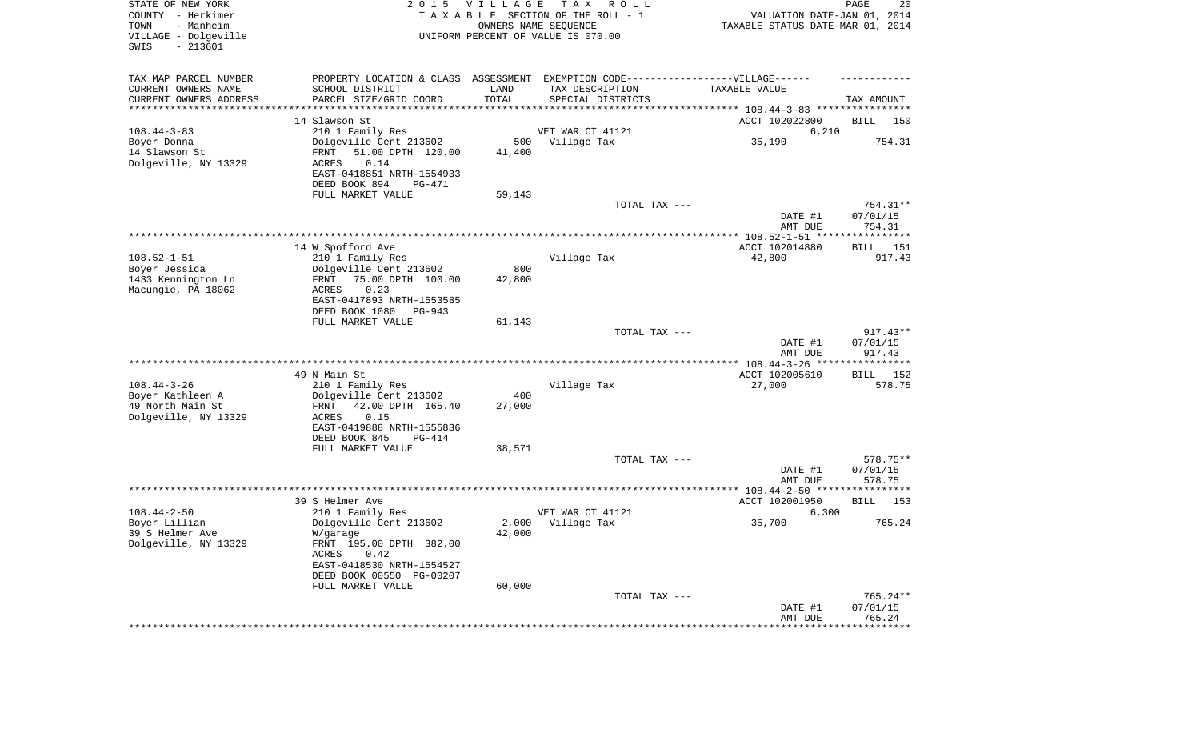| STATE OF NEW YORK<br>COUNTY - Herkimer<br>- Manheim<br>TOWN<br>VILLAGE - Dolgeville<br>$-213601$<br>SWIS | 2 0 1 5                                                                                                       | VILLAGE                     | T A X<br>R O L L<br>TAXABLE SECTION OF THE ROLL - 1<br>OWNERS NAME SEQUENCE<br>UNIFORM PERCENT OF VALUE IS 070.00 | VALUATION DATE-JAN 01, 2014<br>TAXABLE STATUS DATE-MAR 01, 2014 | PAGE<br>20                       |
|----------------------------------------------------------------------------------------------------------|---------------------------------------------------------------------------------------------------------------|-----------------------------|-------------------------------------------------------------------------------------------------------------------|-----------------------------------------------------------------|----------------------------------|
| TAX MAP PARCEL NUMBER<br>CURRENT OWNERS NAME<br>CURRENT OWNERS ADDRESS<br>*********************          | PROPERTY LOCATION & CLASS ASSESSMENT<br>SCHOOL DISTRICT<br>PARCEL SIZE/GRID COORD                             | LAND<br>TOTAL<br>********** | EXEMPTION CODE------------------VILLAGE------<br>TAX DESCRIPTION<br>SPECIAL DISTRICTS                             | TAXABLE VALUE                                                   | TAX AMOUNT                       |
|                                                                                                          | 14 Slawson St                                                                                                 |                             |                                                                                                                   | ACCT 102022800                                                  | BILL<br>150                      |
| $108.44 - 3 - 83$                                                                                        | 210 1 Family Res                                                                                              |                             | VET WAR CT 41121                                                                                                  | 6,210                                                           |                                  |
| Boyer Donna                                                                                              | Dolgeville Cent 213602                                                                                        | 500                         | Village Tax                                                                                                       | 35,190                                                          | 754.31                           |
| 14 Slawson St<br>Dolgeville, NY 13329                                                                    | FRNT<br>51.00 DPTH 120.00<br>0.14<br>ACRES<br>EAST-0418851 NRTH-1554933<br>DEED BOOK 894<br>PG-471            | 41,400                      |                                                                                                                   |                                                                 |                                  |
|                                                                                                          | FULL MARKET VALUE                                                                                             | 59,143                      |                                                                                                                   |                                                                 |                                  |
|                                                                                                          |                                                                                                               |                             | TOTAL TAX ---                                                                                                     | DATE #1<br>AMT DUE                                              | $754.31**$<br>07/01/15<br>754.31 |
|                                                                                                          |                                                                                                               |                             |                                                                                                                   |                                                                 |                                  |
|                                                                                                          | 14 W Spofford Ave                                                                                             |                             |                                                                                                                   | ACCT 102014880                                                  | 151<br>BILL                      |
| $108.52 - 1 - 51$<br>Boyer Jessica                                                                       | 210 1 Family Res<br>Dolgeville Cent 213602                                                                    | 800                         | Village Tax                                                                                                       | 42,800                                                          | 917.43                           |
| 1433 Kennington Ln<br>Macungie, PA 18062                                                                 | 75.00 DPTH 100.00<br>FRNT<br>0.23<br>ACRES<br>EAST-0417893 NRTH-1553585<br>DEED BOOK 1080<br>PG-943           | 42,800                      |                                                                                                                   |                                                                 |                                  |
|                                                                                                          | FULL MARKET VALUE                                                                                             | 61,143                      |                                                                                                                   |                                                                 | $917.43**$                       |
|                                                                                                          |                                                                                                               |                             | TOTAL TAX ---                                                                                                     | DATE #1<br>AMT DUE                                              | 07/01/15<br>917.43               |
|                                                                                                          |                                                                                                               |                             |                                                                                                                   |                                                                 |                                  |
| $108.44 - 3 - 26$                                                                                        | 49 N Main St<br>210 1 Family Res                                                                              |                             | Village Tax                                                                                                       | ACCT 102005610<br>27,000                                        | <b>BILL</b><br>152<br>578.75     |
| Boyer Kathleen A                                                                                         | Dolgeville Cent 213602                                                                                        | 400                         |                                                                                                                   |                                                                 |                                  |
| 49 North Main St<br>Dolgeville, NY 13329                                                                 | FRNT<br>42.00 DPTH 165.40<br>ACRES<br>0.15<br>EAST-0419888 NRTH-1555836                                       | 27,000                      |                                                                                                                   |                                                                 |                                  |
|                                                                                                          | DEED BOOK 845<br>PG-414                                                                                       |                             |                                                                                                                   |                                                                 |                                  |
|                                                                                                          | FULL MARKET VALUE                                                                                             | 38,571                      | TOTAL TAX ---                                                                                                     |                                                                 | 578.75**                         |
|                                                                                                          |                                                                                                               |                             |                                                                                                                   | DATE #1<br>AMT DUE                                              | 07/01/15<br>578.75               |
|                                                                                                          |                                                                                                               |                             |                                                                                                                   |                                                                 |                                  |
| $108.44 - 2 - 50$                                                                                        | 39 S Helmer Ave<br>210 1 Family Res                                                                           |                             | VET WAR CT 41121                                                                                                  | ACCT 102001950<br>6,300                                         | <b>BILL</b><br>153               |
| Boyer Lillian                                                                                            | Dolgeville Cent 213602                                                                                        | 2,000                       | Village Tax                                                                                                       | 35,700                                                          | 765.24                           |
| 39 S Helmer Ave<br>Dolgeville, NY 13329                                                                  | W/garage<br>FRNT 195.00 DPTH 382.00<br>ACRES<br>0.42<br>EAST-0418530 NRTH-1554527<br>DEED BOOK 00550 PG-00207 | 42,000                      |                                                                                                                   |                                                                 |                                  |
|                                                                                                          | FULL MARKET VALUE                                                                                             | 60,000                      |                                                                                                                   |                                                                 |                                  |
|                                                                                                          |                                                                                                               |                             | TOTAL TAX ---                                                                                                     | DATE #1<br>AMT DUE                                              | 765.24**<br>07/01/15<br>765.24   |
|                                                                                                          |                                                                                                               |                             |                                                                                                                   | ********************                                            | **************                   |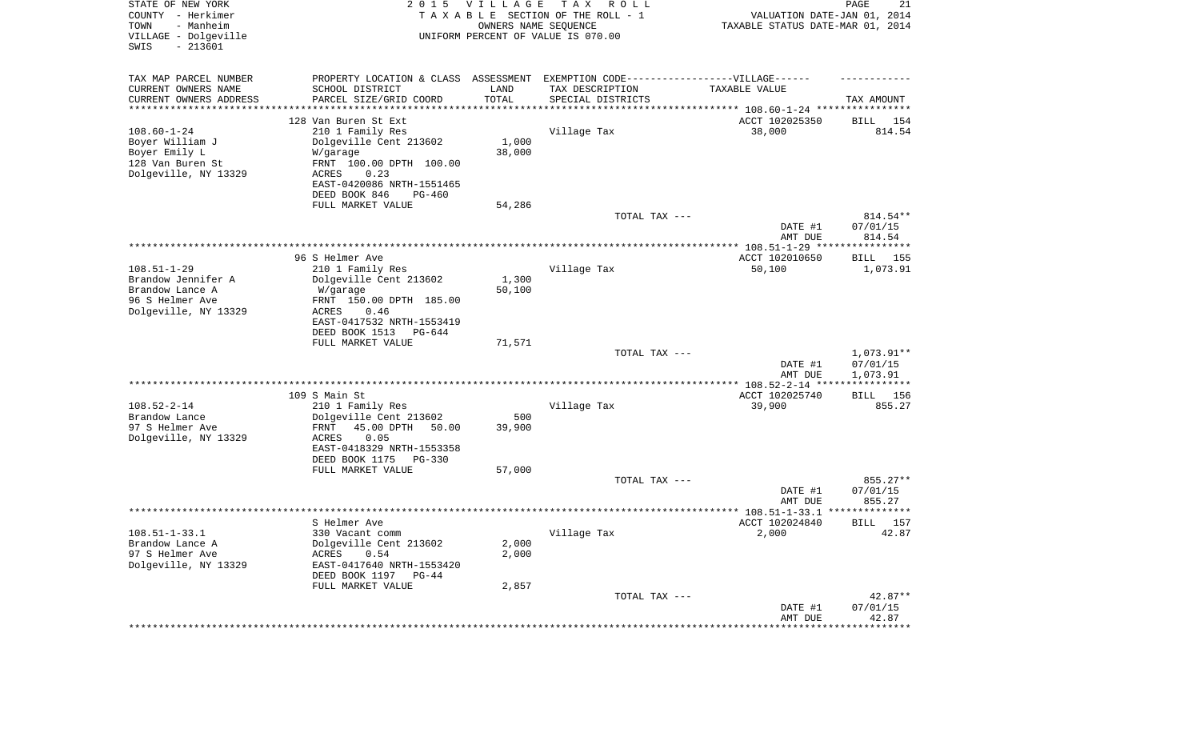| STATE OF NEW YORK<br>COUNTY - Herkimer<br>TOWN<br>- Manheim<br>VILLAGE - Dolgeville<br>$-213601$<br>SWIS | 2 0 1 5                                               | <b>VILLAGE</b><br>OWNERS NAME SEQUENCE | T A X<br>R O L L<br>TAXABLE SECTION OF THE ROLL - 1<br>UNIFORM PERCENT OF VALUE IS 070.00 | VALUATION DATE-JAN 01, 2014<br>TAXABLE STATUS DATE-MAR 01, 2014 | 21<br>PAGE                  |
|----------------------------------------------------------------------------------------------------------|-------------------------------------------------------|----------------------------------------|-------------------------------------------------------------------------------------------|-----------------------------------------------------------------|-----------------------------|
| TAX MAP PARCEL NUMBER                                                                                    | PROPERTY LOCATION & CLASS ASSESSMENT                  |                                        | EXEMPTION CODE------------------VILLAGE------                                             |                                                                 |                             |
| CURRENT OWNERS NAME                                                                                      | SCHOOL DISTRICT                                       | LAND                                   | TAX DESCRIPTION                                                                           | TAXABLE VALUE                                                   |                             |
| CURRENT OWNERS ADDRESS<br>********************                                                           | PARCEL SIZE/GRID COORD                                | TOTAL                                  | SPECIAL DISTRICTS                                                                         | ***************************** 108.60-1-24 ****************      | TAX AMOUNT                  |
|                                                                                                          | 128 Van Buren St Ext                                  |                                        |                                                                                           | ACCT 102025350                                                  | BILL<br>154                 |
| $108.60 - 1 - 24$                                                                                        | 210 1 Family Res                                      |                                        | Village Tax                                                                               | 38,000                                                          | 814.54                      |
| Boyer William J                                                                                          | Dolgeville Cent 213602                                | 1,000                                  |                                                                                           |                                                                 |                             |
| Boyer Emily L<br>128 Van Buren St                                                                        | W/garage<br>FRNT 100.00 DPTH 100.00                   | 38,000                                 |                                                                                           |                                                                 |                             |
| Dolgeville, NY 13329                                                                                     | 0.23<br>ACRES                                         |                                        |                                                                                           |                                                                 |                             |
|                                                                                                          | EAST-0420086 NRTH-1551465                             |                                        |                                                                                           |                                                                 |                             |
|                                                                                                          | DEED BOOK 846<br>PG-460                               |                                        |                                                                                           |                                                                 |                             |
|                                                                                                          | FULL MARKET VALUE                                     | 54,286                                 |                                                                                           |                                                                 |                             |
|                                                                                                          |                                                       |                                        | TOTAL TAX ---                                                                             | DATE #1                                                         | $814.54**$<br>07/01/15      |
|                                                                                                          |                                                       |                                        |                                                                                           | AMT DUE                                                         | 814.54                      |
|                                                                                                          |                                                       |                                        |                                                                                           |                                                                 |                             |
|                                                                                                          | 96 S Helmer Ave                                       |                                        |                                                                                           | ACCT 102010650                                                  | 155<br>BILL                 |
| $108.51 - 1 - 29$<br>Brandow Jennifer A                                                                  | 210 1 Family Res<br>Dolgeville Cent 213602            | 1,300                                  | Village Tax                                                                               | 50,100                                                          | 1,073.91                    |
| Brandow Lance A                                                                                          | W/garage                                              | 50,100                                 |                                                                                           |                                                                 |                             |
| 96 S Helmer Ave                                                                                          | FRNT 150.00 DPTH 185.00                               |                                        |                                                                                           |                                                                 |                             |
| Dolgeville, NY 13329                                                                                     | ACRES<br>0.46                                         |                                        |                                                                                           |                                                                 |                             |
|                                                                                                          | EAST-0417532 NRTH-1553419<br>DEED BOOK 1513<br>PG-644 |                                        |                                                                                           |                                                                 |                             |
|                                                                                                          | FULL MARKET VALUE                                     | 71,571                                 |                                                                                           |                                                                 |                             |
|                                                                                                          |                                                       |                                        | TOTAL TAX ---                                                                             |                                                                 | 1,073.91**                  |
|                                                                                                          |                                                       |                                        |                                                                                           | DATE #1                                                         | 07/01/15                    |
|                                                                                                          |                                                       |                                        |                                                                                           | AMT DUE                                                         | 1,073.91<br>***********     |
|                                                                                                          | 109 S Main St                                         |                                        |                                                                                           | ACCT 102025740                                                  | 156<br>BILL                 |
| $108.52 - 2 - 14$                                                                                        | 210 1 Family Res                                      |                                        | Village Tax                                                                               | 39,900                                                          | 855.27                      |
| Brandow Lance                                                                                            | Dolgeville Cent 213602                                | 500                                    |                                                                                           |                                                                 |                             |
| 97 S Helmer Ave                                                                                          | FRNT<br>45.00 DPTH<br>50.00                           | 39,900                                 |                                                                                           |                                                                 |                             |
| Dolgeville, NY 13329                                                                                     | ACRES<br>0.05<br>EAST-0418329 NRTH-1553358            |                                        |                                                                                           |                                                                 |                             |
|                                                                                                          | DEED BOOK 1175<br>PG-330                              |                                        |                                                                                           |                                                                 |                             |
|                                                                                                          | FULL MARKET VALUE                                     | 57,000                                 |                                                                                           |                                                                 |                             |
|                                                                                                          |                                                       |                                        | TOTAL TAX ---                                                                             |                                                                 | 855.27**                    |
|                                                                                                          |                                                       |                                        |                                                                                           | DATE #1<br>AMT DUE                                              | 07/01/15<br>855.27          |
|                                                                                                          |                                                       |                                        |                                                                                           | ***************** 108.51-1-33.1 ***************                 |                             |
|                                                                                                          | S Helmer Ave                                          |                                        |                                                                                           | ACCT 102024840                                                  | 157<br>BILL                 |
| $108.51 - 1 - 33.1$                                                                                      | 330 Vacant comm                                       |                                        | Village Tax                                                                               | 2,000                                                           | 42.87                       |
| Brandow Lance A<br>97 S Helmer Ave                                                                       | Dolgeville Cent 213602<br>0.54<br>ACRES               | 2,000<br>2,000                         |                                                                                           |                                                                 |                             |
| Dolgeville, NY 13329                                                                                     | EAST-0417640 NRTH-1553420                             |                                        |                                                                                           |                                                                 |                             |
|                                                                                                          | DEED BOOK 1197 PG-44                                  |                                        |                                                                                           |                                                                 |                             |
|                                                                                                          | FULL MARKET VALUE                                     | 2,857                                  |                                                                                           |                                                                 |                             |
|                                                                                                          |                                                       |                                        | TOTAL TAX ---                                                                             |                                                                 | 42.87**                     |
|                                                                                                          |                                                       |                                        |                                                                                           | DATE #1<br>AMT DUE                                              | 07/01/15<br>42.87           |
|                                                                                                          |                                                       |                                        |                                                                                           | ******************                                              | * * * * * * * * * * * * * * |
|                                                                                                          |                                                       |                                        |                                                                                           |                                                                 |                             |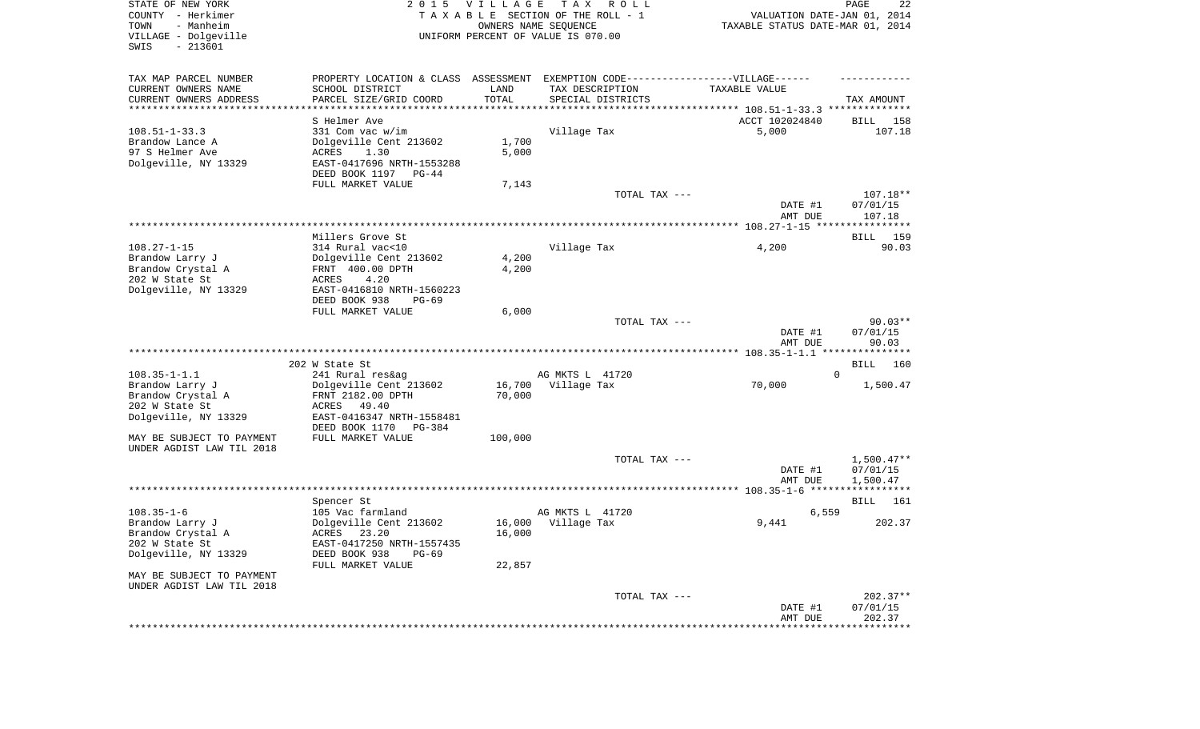| STATE OF NEW YORK<br>COUNTY - Herkimer<br>- Manheim<br>TOWN<br>VILLAGE - Dolgeville<br>$-213601$<br>SWIS |                                                                                   | 2015 VILLAGE | T A X<br>R O L L<br>TAXABLE SECTION OF THE ROLL - 1<br>OWNERS NAME SEQUENCE<br>UNIFORM PERCENT OF VALUE IS 070.00 | TAXABLE STATUS DATE-MAR 01, 2014 | PAGE<br>22<br>VALUATION DATE-JAN 01, 2014 |
|----------------------------------------------------------------------------------------------------------|-----------------------------------------------------------------------------------|--------------|-------------------------------------------------------------------------------------------------------------------|----------------------------------|-------------------------------------------|
| TAX MAP PARCEL NUMBER                                                                                    | PROPERTY LOCATION & CLASS ASSESSMENT EXEMPTION CODE-----------------VILLAGE------ |              |                                                                                                                   |                                  |                                           |
| CURRENT OWNERS NAME                                                                                      | SCHOOL DISTRICT                                                                   | LAND         | TAX DESCRIPTION                                                                                                   | TAXABLE VALUE                    |                                           |
| CURRENT OWNERS ADDRESS<br>***********************                                                        | PARCEL SIZE/GRID COORD                                                            | TOTAL        | SPECIAL DISTRICTS                                                                                                 |                                  | TAX AMOUNT                                |
|                                                                                                          |                                                                                   |              |                                                                                                                   |                                  |                                           |
| $108.51 - 1 - 33.3$                                                                                      | S Helmer Ave<br>331 Com vac w/im                                                  |              | Village Tax                                                                                                       | ACCT 102024840<br>5,000          | BILL<br>158<br>107.18                     |
| Brandow Lance A                                                                                          | Dolgeville Cent 213602                                                            | 1,700        |                                                                                                                   |                                  |                                           |
| 97 S Helmer Ave                                                                                          | ACRES<br>1.30                                                                     | 5,000        |                                                                                                                   |                                  |                                           |
| Dolgeville, NY 13329                                                                                     | EAST-0417696 NRTH-1553288                                                         |              |                                                                                                                   |                                  |                                           |
|                                                                                                          | DEED BOOK 1197 PG-44                                                              |              |                                                                                                                   |                                  |                                           |
|                                                                                                          | FULL MARKET VALUE                                                                 | 7,143        |                                                                                                                   |                                  |                                           |
|                                                                                                          |                                                                                   |              | TOTAL TAX ---                                                                                                     |                                  | 107.18**                                  |
|                                                                                                          |                                                                                   |              |                                                                                                                   | DATE #1                          | 07/01/15                                  |
|                                                                                                          |                                                                                   |              |                                                                                                                   | AMT DUE                          | 107.18                                    |
|                                                                                                          |                                                                                   |              |                                                                                                                   |                                  |                                           |
| $108.27 - 1 - 15$                                                                                        | Millers Grove St<br>314 Rural vac<10                                              |              |                                                                                                                   |                                  | BILL 159<br>90.03                         |
| Brandow Larry J                                                                                          | Dolgeville Cent 213602                                                            | 4,200        | Village Tax                                                                                                       | 4,200                            |                                           |
| Brandow Crystal A                                                                                        | FRNT 400.00 DPTH                                                                  | 4,200        |                                                                                                                   |                                  |                                           |
| 202 W State St                                                                                           | ACRES<br>4.20                                                                     |              |                                                                                                                   |                                  |                                           |
| Dolgeville, NY 13329                                                                                     | EAST-0416810 NRTH-1560223                                                         |              |                                                                                                                   |                                  |                                           |
|                                                                                                          | DEED BOOK 938<br>$PG-69$                                                          |              |                                                                                                                   |                                  |                                           |
|                                                                                                          | FULL MARKET VALUE                                                                 | 6,000        |                                                                                                                   |                                  |                                           |
|                                                                                                          |                                                                                   |              | TOTAL TAX ---                                                                                                     |                                  | $90.03**$                                 |
|                                                                                                          |                                                                                   |              |                                                                                                                   | DATE #1<br>AMT DUE               | 07/01/15<br>90.03                         |
|                                                                                                          |                                                                                   |              |                                                                                                                   |                                  |                                           |
|                                                                                                          | 202 W State St                                                                    |              |                                                                                                                   |                                  | BILL<br>160                               |
| $108.35 - 1 - 1.1$                                                                                       | 241 Rural res&ag                                                                  |              | AG MKTS L 41720                                                                                                   |                                  | $\Omega$                                  |
| Brandow Larry J                                                                                          | Dolgeville Cent 213602                                                            |              | 16,700 Village Tax                                                                                                | 70,000                           | 1,500.47                                  |
| Brandow Crystal A                                                                                        | FRNT 2182.00 DPTH                                                                 | 70,000       |                                                                                                                   |                                  |                                           |
| 202 W State St                                                                                           | ACRES 49.40                                                                       |              |                                                                                                                   |                                  |                                           |
| Dolgeville, NY 13329                                                                                     | EAST-0416347 NRTH-1558481                                                         |              |                                                                                                                   |                                  |                                           |
| MAY BE SUBJECT TO PAYMENT                                                                                | DEED BOOK 1170<br>PG-384<br>FULL MARKET VALUE                                     | 100,000      |                                                                                                                   |                                  |                                           |
| UNDER AGDIST LAW TIL 2018                                                                                |                                                                                   |              |                                                                                                                   |                                  |                                           |
|                                                                                                          |                                                                                   |              | TOTAL TAX ---                                                                                                     |                                  | $1,500.47**$                              |
|                                                                                                          |                                                                                   |              |                                                                                                                   | DATE #1                          | 07/01/15                                  |
|                                                                                                          |                                                                                   |              |                                                                                                                   | AMT DUE                          | 1,500.47                                  |
|                                                                                                          |                                                                                   |              |                                                                                                                   |                                  |                                           |
| $108.35 - 1 - 6$                                                                                         | Spencer St<br>105 Vac farmland                                                    |              | AG MKTS L 41720                                                                                                   | 6,559                            | 161<br>BILL                               |
| Brandow Larry J                                                                                          | Dolgeville Cent 213602                                                            |              | 16,000 Village Tax                                                                                                | 9,441                            | 202.37                                    |
| Brandow Crystal A                                                                                        | ACRES 23.20                                                                       | 16,000       |                                                                                                                   |                                  |                                           |
| 202 W State St                                                                                           | EAST-0417250 NRTH-1557435                                                         |              |                                                                                                                   |                                  |                                           |
| Dolgeville, NY 13329                                                                                     | DEED BOOK 938<br>$PG-69$                                                          |              |                                                                                                                   |                                  |                                           |
|                                                                                                          | FULL MARKET VALUE                                                                 | 22,857       |                                                                                                                   |                                  |                                           |
| MAY BE SUBJECT TO PAYMENT                                                                                |                                                                                   |              |                                                                                                                   |                                  |                                           |
| UNDER AGDIST LAW TIL 2018                                                                                |                                                                                   |              |                                                                                                                   |                                  |                                           |
|                                                                                                          |                                                                                   |              | TOTAL TAX ---                                                                                                     |                                  | $202.37**$                                |
|                                                                                                          |                                                                                   |              |                                                                                                                   | DATE #1                          | 07/01/15                                  |
|                                                                                                          |                                                                                   |              |                                                                                                                   | AMT DUE                          | 202.37                                    |
|                                                                                                          |                                                                                   |              |                                                                                                                   |                                  |                                           |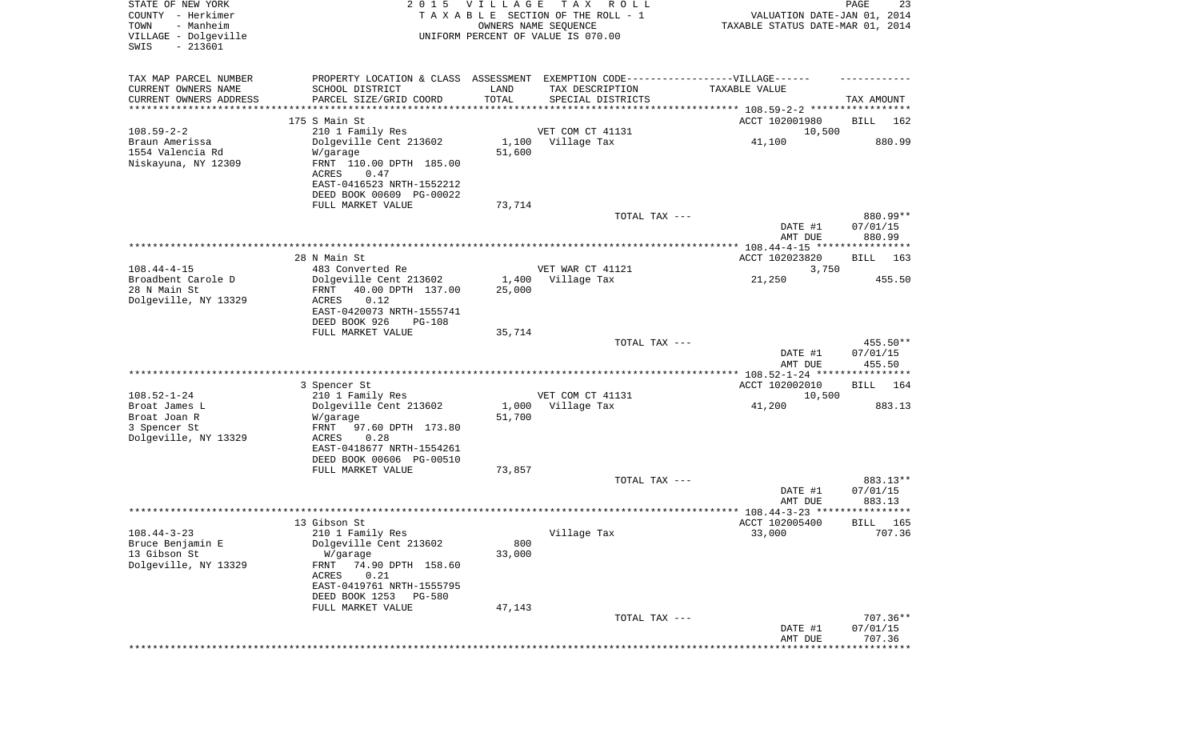| STATE OF NEW YORK<br>COUNTY - Herkimer<br>TOWN<br>- Manheim<br>VILLAGE - Dolgeville<br>$-213601$<br>SWIS |                                                                                                                                                                                      | 2015 VILLAGE    | T A X<br>R O L L<br>TAXABLE SECTION OF THE ROLL - 1<br>OWNERS NAME SEQUENCE<br>UNIFORM PERCENT OF VALUE IS 070.00 | VALUATION DATE-JAN 01, 2014<br>TAXABLE STATUS DATE-MAR 01, 2014 | PAGE<br>23                     |
|----------------------------------------------------------------------------------------------------------|--------------------------------------------------------------------------------------------------------------------------------------------------------------------------------------|-----------------|-------------------------------------------------------------------------------------------------------------------|-----------------------------------------------------------------|--------------------------------|
| TAX MAP PARCEL NUMBER<br>CURRENT OWNERS NAME<br>CURRENT OWNERS ADDRESS<br>**********************         | PROPERTY LOCATION & CLASS ASSESSMENT EXEMPTION CODE----------------VILLAGE------<br>SCHOOL DISTRICT<br>PARCEL SIZE/GRID COORD                                                        | LAND<br>TOTAL   | TAX DESCRIPTION<br>SPECIAL DISTRICTS                                                                              | TAXABLE VALUE                                                   | TAX AMOUNT                     |
|                                                                                                          | 175 S Main St                                                                                                                                                                        |                 |                                                                                                                   | ACCT 102001980                                                  | BILL<br>162                    |
| $108.59 - 2 - 2$<br>Braun Amerissa<br>1554 Valencia Rd<br>Niskayuna, NY 12309                            | 210 1 Family Res<br>Dolgeville Cent 213602<br>W/garage<br>FRNT 110.00 DPTH 185.00<br>ACRES<br>0.47<br>EAST-0416523 NRTH-1552212<br>DEED BOOK 00609 PG-00022                          | 51,600          | VET COM CT 41131<br>1,100 Village Tax                                                                             | 10,500<br>41,100                                                | 880.99                         |
|                                                                                                          | FULL MARKET VALUE                                                                                                                                                                    | 73,714          | TOTAL TAX ---                                                                                                     |                                                                 | 880.99**                       |
|                                                                                                          |                                                                                                                                                                                      |                 |                                                                                                                   | DATE #1<br>AMT DUE                                              | 07/01/15<br>880.99             |
|                                                                                                          | 28 N Main St                                                                                                                                                                         |                 |                                                                                                                   | ACCT 102023820                                                  | 163<br>BILL                    |
| $108.44 - 4 - 15$                                                                                        | 483 Converted Re                                                                                                                                                                     |                 | VET WAR CT 41121                                                                                                  | 3,750                                                           |                                |
| Broadbent Carole D<br>28 N Main St<br>Dolgeville, NY 13329                                               | Dolgeville Cent 213602<br>40.00 DPTH 137.00<br>FRNT<br>ACRES<br>0.12<br>EAST-0420073 NRTH-1555741<br>DEED BOOK 926<br><b>PG-108</b>                                                  | 1,400<br>25,000 | Village Tax                                                                                                       | 21,250                                                          | 455.50                         |
|                                                                                                          | FULL MARKET VALUE                                                                                                                                                                    | 35,714          | TOTAL TAX ---                                                                                                     | DATE #1<br>AMT DUE                                              | 455.50**<br>07/01/15<br>455.50 |
|                                                                                                          | 3 Spencer St                                                                                                                                                                         |                 |                                                                                                                   | ************* 108.52-1-24 *****************<br>ACCT 102002010   | <b>BILL</b><br>164             |
| $108.52 - 1 - 24$<br>Broat James L<br>Broat Joan R<br>3 Spencer St<br>Dolgeville, NY 13329               | 210 1 Family Res<br>Dolgeville Cent 213602<br>W/garage<br>FRNT<br>97.60 DPTH 173.80<br>0.28<br>ACRES<br>EAST-0418677 NRTH-1554261                                                    | 51,700          | VET COM CT 41131<br>1,000 Village Tax                                                                             | 10,500<br>41,200                                                | 883.13                         |
|                                                                                                          | DEED BOOK 00606 PG-00510<br>FULL MARKET VALUE                                                                                                                                        | 73,857          |                                                                                                                   |                                                                 |                                |
|                                                                                                          |                                                                                                                                                                                      |                 | TOTAL TAX ---                                                                                                     | DATE #1<br>AMT DUE                                              | 883.13**<br>07/01/15<br>883.13 |
|                                                                                                          |                                                                                                                                                                                      |                 |                                                                                                                   |                                                                 | * * * * * *                    |
| $108.44 - 3 - 23$<br>Bruce Benjamin E<br>13 Gibson St<br>Dolgeville, NY 13329                            | 13 Gibson St<br>210 1 Family Res<br>Dolgeville Cent 213602<br>W/garage<br>74.90 DPTH 158.60<br>FRNT<br>0.21<br>ACRES<br>EAST-0419761 NRTH-1555795<br>DEED BOOK 1253<br><b>PG-580</b> | 800<br>33,000   | Village Tax                                                                                                       | ACCT 102005400<br>33,000                                        | 165<br>BILL<br>707.36          |
|                                                                                                          | FULL MARKET VALUE                                                                                                                                                                    | 47,143          | TOTAL TAX ---                                                                                                     | DATE #1<br>AMT DUE                                              | 707.36**<br>07/01/15<br>707.36 |
|                                                                                                          |                                                                                                                                                                                      |                 |                                                                                                                   |                                                                 | * * * * * * * * *              |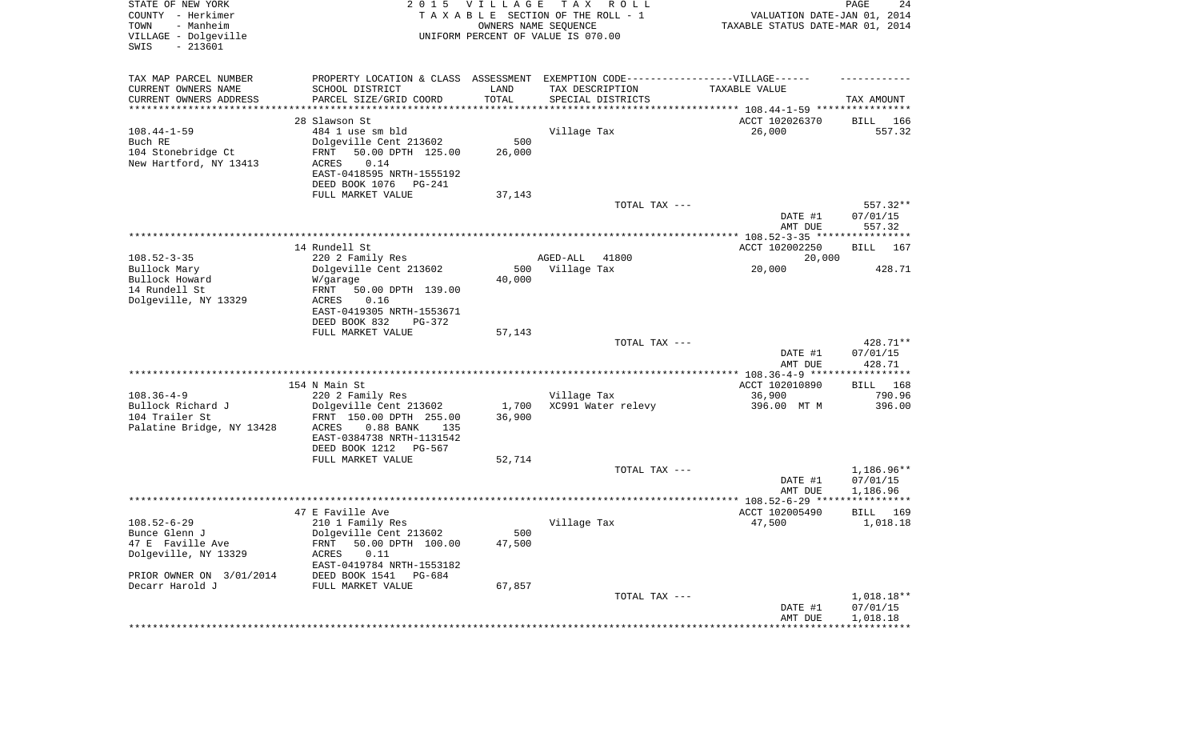| STATE OF NEW YORK<br>COUNTY - Herkimer<br>- Manheim<br>TOWN<br>VILLAGE - Dolgeville<br>SWIS<br>$-213601$ |                                                          | 2015 VILLAGE  | T A X<br>R O L L<br>TAXABLE SECTION OF THE ROLL - 1<br>OWNERS NAME SEQUENCE<br>UNIFORM PERCENT OF VALUE IS 070.00 | VALUATION DATE-JAN 01, 2014<br>TAXABLE STATUS DATE-MAR 01, 2014 | PAGE<br>24                     |
|----------------------------------------------------------------------------------------------------------|----------------------------------------------------------|---------------|-------------------------------------------------------------------------------------------------------------------|-----------------------------------------------------------------|--------------------------------|
| TAX MAP PARCEL NUMBER                                                                                    |                                                          |               | PROPERTY LOCATION & CLASS ASSESSMENT EXEMPTION CODE-----------------VILLAGE------                                 |                                                                 |                                |
| CURRENT OWNERS NAME<br>CURRENT OWNERS ADDRESS                                                            | SCHOOL DISTRICT<br>PARCEL SIZE/GRID COORD                | LAND<br>TOTAL | TAX DESCRIPTION<br>SPECIAL DISTRICTS                                                                              | TAXABLE VALUE                                                   | TAX AMOUNT                     |
| **********************                                                                                   |                                                          |               |                                                                                                                   |                                                                 |                                |
|                                                                                                          | 28 Slawson St                                            |               |                                                                                                                   | ACCT 102026370                                                  | BILL 166                       |
| $108.44 - 1 - 59$<br>Buch RE                                                                             | 484 1 use sm bld                                         | 500           | Village Tax                                                                                                       | 26,000                                                          | 557.32                         |
| 104 Stonebridge Ct                                                                                       | Dolgeville Cent 213602<br>50.00 DPTH 125.00<br>FRNT      | 26,000        |                                                                                                                   |                                                                 |                                |
| New Hartford, NY 13413                                                                                   | ACRES<br>0.14<br>EAST-0418595 NRTH-1555192               |               |                                                                                                                   |                                                                 |                                |
|                                                                                                          | DEED BOOK 1076<br>PG-241                                 |               |                                                                                                                   |                                                                 |                                |
|                                                                                                          | FULL MARKET VALUE                                        | 37,143        |                                                                                                                   |                                                                 |                                |
|                                                                                                          |                                                          |               | TOTAL TAX ---                                                                                                     | DATE #1<br>AMT DUE                                              | 557.32**<br>07/01/15<br>557.32 |
|                                                                                                          |                                                          |               |                                                                                                                   |                                                                 |                                |
|                                                                                                          | 14 Rundell St                                            |               |                                                                                                                   | ACCT 102002250                                                  | BILL 167                       |
| $108.52 - 3 - 35$                                                                                        | 220 2 Family Res                                         |               | 41800<br>AGED-ALL                                                                                                 | 20,000                                                          |                                |
| Bullock Mary                                                                                             | Dolgeville Cent 213602                                   | 500           | Village Tax                                                                                                       | 20,000                                                          | 428.71                         |
| Bullock Howard                                                                                           | W/garage                                                 | 40,000        |                                                                                                                   |                                                                 |                                |
| 14 Rundell St                                                                                            | 50.00 DPTH 139.00<br>FRNT                                |               |                                                                                                                   |                                                                 |                                |
| Dolgeville, NY 13329                                                                                     | ACRES<br>0.16<br>EAST-0419305 NRTH-1553671               |               |                                                                                                                   |                                                                 |                                |
|                                                                                                          | DEED BOOK 832<br>PG-372                                  |               |                                                                                                                   |                                                                 |                                |
|                                                                                                          | FULL MARKET VALUE                                        | 57,143        | TOTAL TAX ---                                                                                                     |                                                                 | 428.71**                       |
|                                                                                                          |                                                          |               |                                                                                                                   | DATE #1<br>AMT DUE                                              | 07/01/15<br>428.71             |
|                                                                                                          |                                                          |               |                                                                                                                   |                                                                 |                                |
|                                                                                                          | 154 N Main St                                            |               |                                                                                                                   | ACCT 102010890                                                  | BILL 168                       |
| $108.36 - 4 - 9$                                                                                         | 220 2 Family Res                                         |               | Village Tax                                                                                                       | 36,900                                                          | 790.96                         |
| Bullock Richard J                                                                                        | Dolgeville Cent 213602                                   | 1,700         | XC991 Water relevy                                                                                                | 396.00 MT M                                                     | 396.00                         |
| 104 Trailer St                                                                                           | FRNT 150.00 DPTH 255.00                                  | 36,900        |                                                                                                                   |                                                                 |                                |
| Palatine Bridge, NY 13428                                                                                | ACRES<br>$0.88$ BANK<br>135<br>EAST-0384738 NRTH-1131542 |               |                                                                                                                   |                                                                 |                                |
|                                                                                                          | DEED BOOK 1212<br>PG-567                                 |               |                                                                                                                   |                                                                 |                                |
|                                                                                                          | FULL MARKET VALUE                                        | 52,714        |                                                                                                                   |                                                                 |                                |
|                                                                                                          |                                                          |               | TOTAL TAX ---                                                                                                     |                                                                 | 1,186.96**                     |
|                                                                                                          |                                                          |               |                                                                                                                   | DATE #1                                                         | 07/01/15                       |
|                                                                                                          |                                                          |               |                                                                                                                   | AMT DUE                                                         | 1,186.96                       |
|                                                                                                          |                                                          |               |                                                                                                                   |                                                                 |                                |
|                                                                                                          | 47 E Faville Ave                                         |               |                                                                                                                   | ACCT 102005490                                                  | BILL<br>169                    |
| $108.52 - 6 - 29$                                                                                        | 210 1 Family Res                                         |               | Village Tax                                                                                                       | 47,500                                                          | 1,018.18                       |
| Bunce Glenn J<br>47 E Faville Ave                                                                        | Dolgeville Cent 213602<br>FRNT 50.00 DPTH 100.00         | 500<br>47,500 |                                                                                                                   |                                                                 |                                |
| Dolgeville, NY 13329                                                                                     | ACRES<br>0.11                                            |               |                                                                                                                   |                                                                 |                                |
|                                                                                                          | EAST-0419784 NRTH-1553182                                |               |                                                                                                                   |                                                                 |                                |
| PRIOR OWNER ON 3/01/2014<br>Decarr Harold J                                                              | DEED BOOK 1541 PG-684<br>FULL MARKET VALUE               | 67,857        |                                                                                                                   |                                                                 |                                |
|                                                                                                          |                                                          |               | TOTAL TAX ---                                                                                                     |                                                                 | $1,018.18**$                   |
|                                                                                                          |                                                          |               |                                                                                                                   | DATE #1<br>AMT DUE                                              | 07/01/15<br>1,018.18           |
|                                                                                                          |                                                          |               |                                                                                                                   |                                                                 |                                |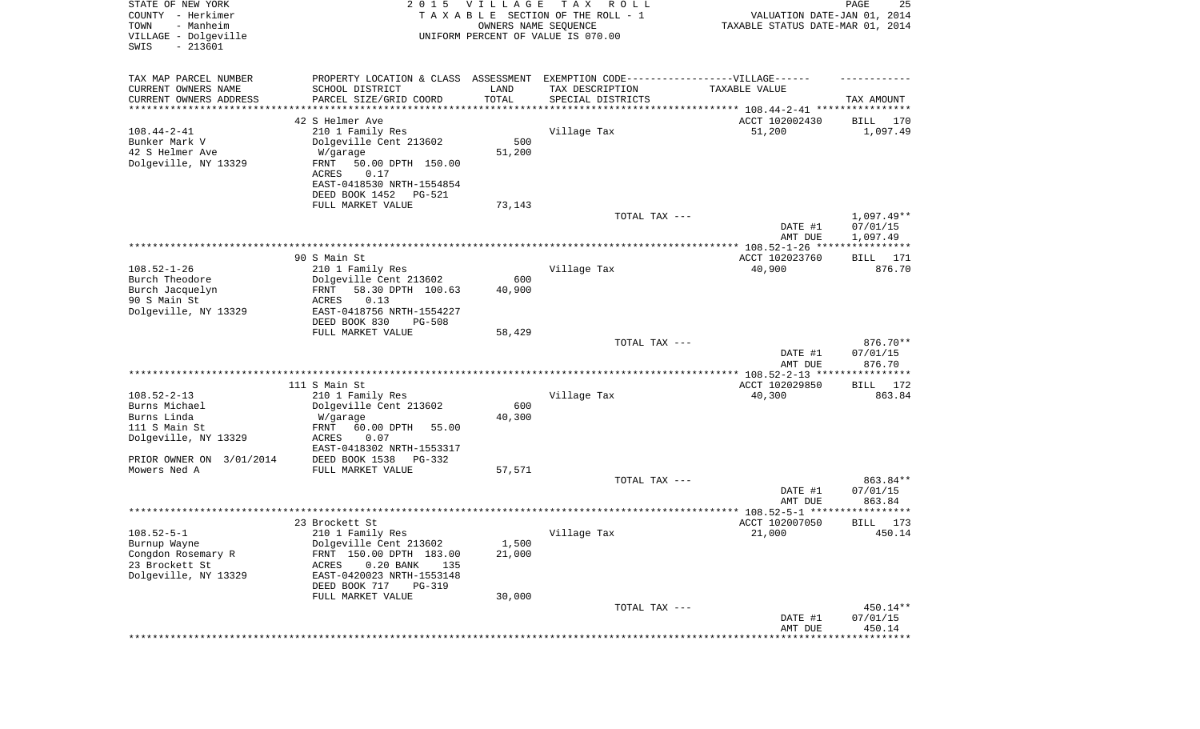| STATE OF NEW YORK<br>COUNTY - Herkimer<br>- Manheim<br>TOWN<br>VILLAGE - Dolgeville<br>SWIS<br>$-213601$ | 2 0 1 5                                                                           | VILLAGE<br>OWNERS NAME SEQUENCE | T A X<br>R O L L<br>TAXABLE SECTION OF THE ROLL - 1<br>UNIFORM PERCENT OF VALUE IS 070.00 | VALUATION DATE-JAN 01, 2014<br>TAXABLE STATUS DATE-MAR 01, 2014 | PAGE<br>25               |
|----------------------------------------------------------------------------------------------------------|-----------------------------------------------------------------------------------|---------------------------------|-------------------------------------------------------------------------------------------|-----------------------------------------------------------------|--------------------------|
| TAX MAP PARCEL NUMBER                                                                                    | PROPERTY LOCATION & CLASS ASSESSMENT EXEMPTION CODE-----------------VILLAGE------ |                                 |                                                                                           |                                                                 |                          |
| CURRENT OWNERS NAME                                                                                      | SCHOOL DISTRICT                                                                   | LAND                            | TAX DESCRIPTION                                                                           | TAXABLE VALUE                                                   |                          |
| CURRENT OWNERS ADDRESS<br>********************                                                           | PARCEL SIZE/GRID COORD                                                            | TOTAL<br>**********             | SPECIAL DISTRICTS                                                                         |                                                                 | TAX AMOUNT               |
|                                                                                                          | 42 S Helmer Ave                                                                   |                                 |                                                                                           | ACCT 102002430                                                  | BILL<br>170              |
| $108.44 - 2 - 41$                                                                                        | 210 1 Family Res                                                                  |                                 | Village Tax                                                                               | 51,200                                                          | 1,097.49                 |
| Bunker Mark V                                                                                            | Dolgeville Cent 213602                                                            | 500                             |                                                                                           |                                                                 |                          |
| 42 S Helmer Ave                                                                                          | W/garage                                                                          | 51,200                          |                                                                                           |                                                                 |                          |
| Dolgeville, NY 13329                                                                                     | FRNT<br>50.00 DPTH 150.00                                                         |                                 |                                                                                           |                                                                 |                          |
|                                                                                                          | 0.17<br>ACRES                                                                     |                                 |                                                                                           |                                                                 |                          |
|                                                                                                          | EAST-0418530 NRTH-1554854                                                         |                                 |                                                                                           |                                                                 |                          |
|                                                                                                          | DEED BOOK 1452<br>PG-521                                                          |                                 |                                                                                           |                                                                 |                          |
|                                                                                                          | FULL MARKET VALUE                                                                 | 73,143                          |                                                                                           |                                                                 |                          |
|                                                                                                          |                                                                                   |                                 | TOTAL TAX ---                                                                             | DATE #1                                                         | $1,097.49**$<br>07/01/15 |
|                                                                                                          |                                                                                   |                                 |                                                                                           | AMT DUE                                                         | 1,097.49                 |
|                                                                                                          |                                                                                   |                                 |                                                                                           |                                                                 |                          |
|                                                                                                          | 90 S Main St                                                                      |                                 |                                                                                           | ACCT 102023760                                                  | BILL 171                 |
| $108.52 - 1 - 26$                                                                                        | 210 1 Family Res                                                                  |                                 | Village Tax                                                                               | 40,900                                                          | 876.70                   |
| Burch Theodore                                                                                           | Dolgeville Cent 213602                                                            | 600                             |                                                                                           |                                                                 |                          |
| Burch Jacquelyn                                                                                          | FRNT<br>58.30 DPTH 100.63                                                         | 40,900                          |                                                                                           |                                                                 |                          |
| 90 S Main St<br>Dolgeville, NY 13329                                                                     | 0.13<br>ACRES<br>EAST-0418756 NRTH-1554227                                        |                                 |                                                                                           |                                                                 |                          |
|                                                                                                          | DEED BOOK 830<br>$PG-508$                                                         |                                 |                                                                                           |                                                                 |                          |
|                                                                                                          | FULL MARKET VALUE                                                                 | 58,429                          |                                                                                           |                                                                 |                          |
|                                                                                                          |                                                                                   |                                 | TOTAL TAX ---                                                                             |                                                                 | 876.70**                 |
|                                                                                                          |                                                                                   |                                 |                                                                                           | DATE #1                                                         | 07/01/15                 |
|                                                                                                          |                                                                                   |                                 |                                                                                           | AMT DUE<br>************ 108.52-2-13 *****************           | 876.70                   |
|                                                                                                          | 111 S Main St                                                                     |                                 |                                                                                           | ACCT 102029850                                                  | 172<br>BILL              |
| $108.52 - 2 - 13$                                                                                        | 210 1 Family Res                                                                  |                                 | Village Tax                                                                               | 40,300                                                          | 863.84                   |
| Burns Michael                                                                                            | Dolgeville Cent 213602                                                            | 600                             |                                                                                           |                                                                 |                          |
| Burns Linda                                                                                              | W/garage                                                                          | 40,300                          |                                                                                           |                                                                 |                          |
| 111 S Main St                                                                                            | FRNT<br>60.00 DPTH<br>55.00                                                       |                                 |                                                                                           |                                                                 |                          |
| Dolgeville, NY 13329                                                                                     | ACRES<br>0.07                                                                     |                                 |                                                                                           |                                                                 |                          |
|                                                                                                          | EAST-0418302 NRTH-1553317                                                         |                                 |                                                                                           |                                                                 |                          |
| PRIOR OWNER ON 3/01/2014<br>Mowers Ned A                                                                 | DEED BOOK 1538<br>PG-332<br>FULL MARKET VALUE                                     | 57,571                          |                                                                                           |                                                                 |                          |
|                                                                                                          |                                                                                   |                                 | TOTAL TAX ---                                                                             |                                                                 | 863.84**                 |
|                                                                                                          |                                                                                   |                                 |                                                                                           | DATE #1                                                         | 07/01/15                 |
|                                                                                                          |                                                                                   |                                 |                                                                                           | AMT DUE                                                         | 863.84                   |
|                                                                                                          |                                                                                   |                                 |                                                                                           |                                                                 | * * * * * *              |
|                                                                                                          | 23 Brockett St                                                                    |                                 |                                                                                           | ACCT 102007050                                                  | 173<br>BILL              |
| $108.52 - 5 - 1$                                                                                         | 210 1 Family Res                                                                  |                                 | Village Tax                                                                               | 21,000                                                          | 450.14                   |
| Burnup Wayne                                                                                             | Dolgeville Cent 213602                                                            | 1,500                           |                                                                                           |                                                                 |                          |
| Congdon Rosemary R<br>23 Brockett St                                                                     | FRNT 150.00 DPTH 183.00<br>$0.20$ BANK<br>135<br>ACRES                            | 21,000                          |                                                                                           |                                                                 |                          |
| Dolgeville, NY 13329                                                                                     | EAST-0420023 NRTH-1553148                                                         |                                 |                                                                                           |                                                                 |                          |
|                                                                                                          | DEED BOOK 717<br><b>PG-319</b>                                                    |                                 |                                                                                           |                                                                 |                          |
|                                                                                                          | FULL MARKET VALUE                                                                 | 30,000                          |                                                                                           |                                                                 |                          |
|                                                                                                          |                                                                                   |                                 | TOTAL TAX ---                                                                             |                                                                 | 450.14**                 |
|                                                                                                          |                                                                                   |                                 |                                                                                           | DATE #1                                                         | 07/01/15                 |
|                                                                                                          |                                                                                   |                                 |                                                                                           | AMT DUE                                                         | 450.14                   |
|                                                                                                          |                                                                                   |                                 |                                                                                           |                                                                 | * * * * * * * * *        |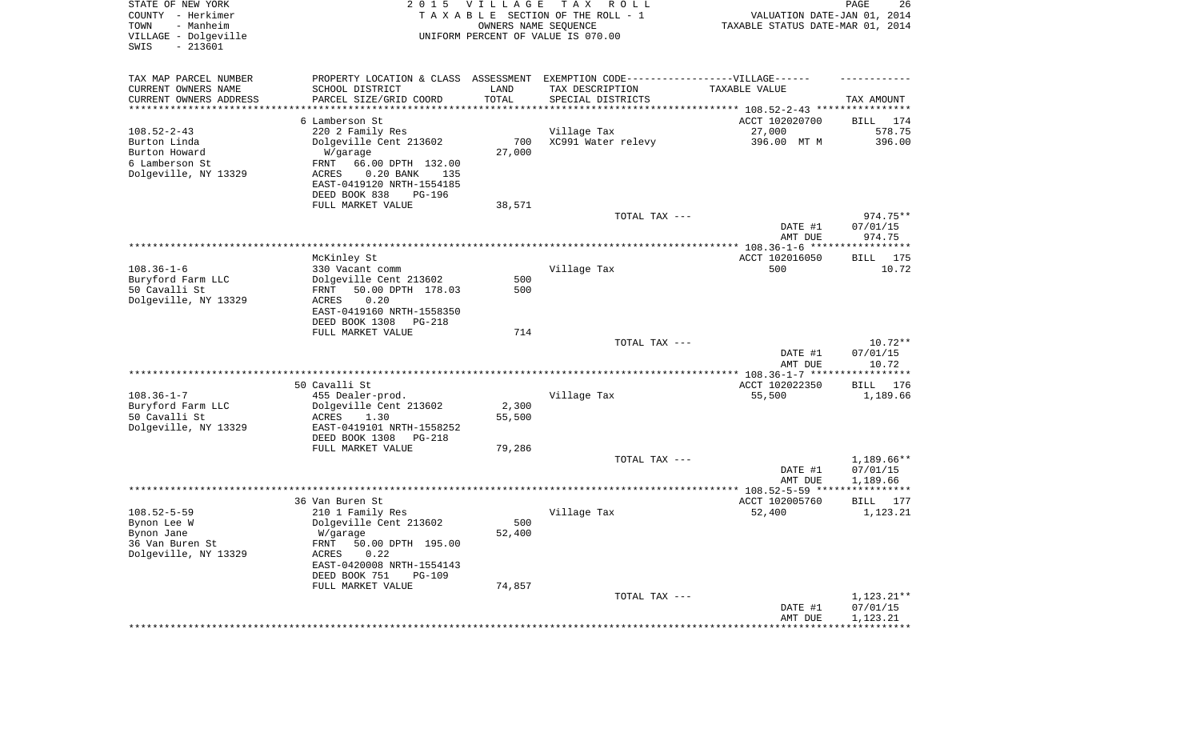| TAX MAP PARCEL NUMBER<br>EXEMPTION CODE------------------VILLAGE------<br>PROPERTY LOCATION & CLASS ASSESSMENT<br>CURRENT OWNERS NAME<br>SCHOOL DISTRICT<br>LAND<br>TAX DESCRIPTION<br>TAXABLE VALUE<br>TOTAL<br>CURRENT OWNERS ADDRESS<br>PARCEL SIZE/GRID COORD<br>SPECIAL DISTRICTS<br>TAX AMOUNT<br>*********************<br>******************<br>**********<br>6 Lamberson St<br>ACCT 102020700<br>BILL<br>$108.52 - 2 - 43$<br>578.75<br>220 2 Family Res<br>Village Tax<br>27,000<br>Burton Linda<br>Dolgeville Cent 213602<br>700<br>XC991 Water relevy<br>396.00 MT M<br>396.00<br>Burton Howard<br>27,000<br>W/garage<br>6 Lamberson St<br>FRNT<br>66.00 DPTH 132.00<br>Dolgeville, NY 13329<br>$0.20$ BANK<br>ACRES<br>135<br>EAST-0419120 NRTH-1554185<br>DEED BOOK 838<br><b>PG-196</b><br>FULL MARKET VALUE<br>38,571<br>TOTAL TAX ---<br>974.75**<br>07/01/15<br>DATE #1<br>974.75<br>AMT DUE<br>ACCT 102016050<br>McKinley St<br>BILL 175<br>$108.36 - 1 - 6$<br>Village Tax<br>500<br>330 Vacant comm<br>Buryford Farm LLC<br>Dolgeville Cent 213602<br>500<br>50 Cavalli St<br>50.00 DPTH 178.03<br>500<br>FRNT<br>Dolgeville, NY 13329<br>0.20<br><b>ACRES</b> | 26    | PAGE<br>VALUATION DATE-JAN 01, 2014<br>TAXABLE STATUS DATE-MAR 01, 2014 | T A X<br>R O L L<br>TAXABLE SECTION OF THE ROLL - 1<br>UNIFORM PERCENT OF VALUE IS 070.00 | <b>VILLAGE</b><br>OWNERS NAME SEQUENCE | 2 0 1 5                   | STATE OF NEW YORK<br>COUNTY - Herkimer<br>- Manheim<br>TOWN<br>VILLAGE - Dolgeville<br>$-213601$<br>SWIS |
|------------------------------------------------------------------------------------------------------------------------------------------------------------------------------------------------------------------------------------------------------------------------------------------------------------------------------------------------------------------------------------------------------------------------------------------------------------------------------------------------------------------------------------------------------------------------------------------------------------------------------------------------------------------------------------------------------------------------------------------------------------------------------------------------------------------------------------------------------------------------------------------------------------------------------------------------------------------------------------------------------------------------------------------------------------------------------------------------------------------------------------------------------------------------------------|-------|-------------------------------------------------------------------------|-------------------------------------------------------------------------------------------|----------------------------------------|---------------------------|----------------------------------------------------------------------------------------------------------|
|                                                                                                                                                                                                                                                                                                                                                                                                                                                                                                                                                                                                                                                                                                                                                                                                                                                                                                                                                                                                                                                                                                                                                                                    |       |                                                                         |                                                                                           |                                        |                           |                                                                                                          |
|                                                                                                                                                                                                                                                                                                                                                                                                                                                                                                                                                                                                                                                                                                                                                                                                                                                                                                                                                                                                                                                                                                                                                                                    | 174   |                                                                         |                                                                                           |                                        |                           |                                                                                                          |
|                                                                                                                                                                                                                                                                                                                                                                                                                                                                                                                                                                                                                                                                                                                                                                                                                                                                                                                                                                                                                                                                                                                                                                                    |       |                                                                         |                                                                                           |                                        |                           |                                                                                                          |
| DEED BOOK 1308<br>PG-218                                                                                                                                                                                                                                                                                                                                                                                                                                                                                                                                                                                                                                                                                                                                                                                                                                                                                                                                                                                                                                                                                                                                                           | 10.72 |                                                                         |                                                                                           |                                        | EAST-0419160 NRTH-1558350 |                                                                                                          |
| FULL MARKET VALUE<br>714<br>TOTAL TAX ---<br>$10.72**$<br>07/01/15<br>DATE #1<br>10.72<br>AMT DUE                                                                                                                                                                                                                                                                                                                                                                                                                                                                                                                                                                                                                                                                                                                                                                                                                                                                                                                                                                                                                                                                                  |       |                                                                         |                                                                                           |                                        |                           |                                                                                                          |
| *************** 108.36-1-7 ******************                                                                                                                                                                                                                                                                                                                                                                                                                                                                                                                                                                                                                                                                                                                                                                                                                                                                                                                                                                                                                                                                                                                                      |       |                                                                         |                                                                                           |                                        |                           |                                                                                                          |
| 50 Cavalli St<br>ACCT 102022350<br>BILL<br>$108.36 - 1 - 7$<br>Village Tax<br>455 Dealer-prod.<br>55,500<br>1,189.66<br>Buryford Farm LLC<br>2,300<br>Dolgeville Cent 213602<br>50 Cavalli St<br>55,500<br>ACRES<br>1.30<br>Dolgeville, NY 13329<br>EAST-0419101 NRTH-1558252<br>DEED BOOK 1308<br><b>PG-218</b>                                                                                                                                                                                                                                                                                                                                                                                                                                                                                                                                                                                                                                                                                                                                                                                                                                                                   | 176   |                                                                         |                                                                                           |                                        |                           |                                                                                                          |
| FULL MARKET VALUE<br>79,286<br>TOTAL TAX ---<br>$1,189.66**$<br>07/01/15<br>DATE #1<br>AMT DUE<br>1,189.66                                                                                                                                                                                                                                                                                                                                                                                                                                                                                                                                                                                                                                                                                                                                                                                                                                                                                                                                                                                                                                                                         |       |                                                                         |                                                                                           |                                        |                           |                                                                                                          |
|                                                                                                                                                                                                                                                                                                                                                                                                                                                                                                                                                                                                                                                                                                                                                                                                                                                                                                                                                                                                                                                                                                                                                                                    |       |                                                                         |                                                                                           |                                        |                           |                                                                                                          |
| 36 Van Buren St<br>ACCT 102005760<br>BILL 177<br>$108.52 - 5 - 59$<br>210 1 Family Res<br>Village Tax<br>52,400<br>1,123.21<br>500<br>Bynon Lee W<br>Dolgeville Cent 213602<br>52,400<br>Bynon Jane<br>W/garage<br>36 Van Buren St<br>FRNT 50.00 DPTH 195.00<br>Dolgeville, NY 13329<br>ACRES<br>0.22<br>EAST-0420008 NRTH-1554143<br>DEED BOOK 751<br>PG-109<br>FULL MARKET VALUE<br>74,857                                                                                                                                                                                                                                                                                                                                                                                                                                                                                                                                                                                                                                                                                                                                                                                       |       |                                                                         |                                                                                           |                                        |                           |                                                                                                          |
| 1,123.21**<br>TOTAL TAX ---<br>DATE #1<br>07/01/15<br>1,123.21<br>AMT DUE<br>*********************************                                                                                                                                                                                                                                                                                                                                                                                                                                                                                                                                                                                                                                                                                                                                                                                                                                                                                                                                                                                                                                                                     |       |                                                                         |                                                                                           |                                        |                           |                                                                                                          |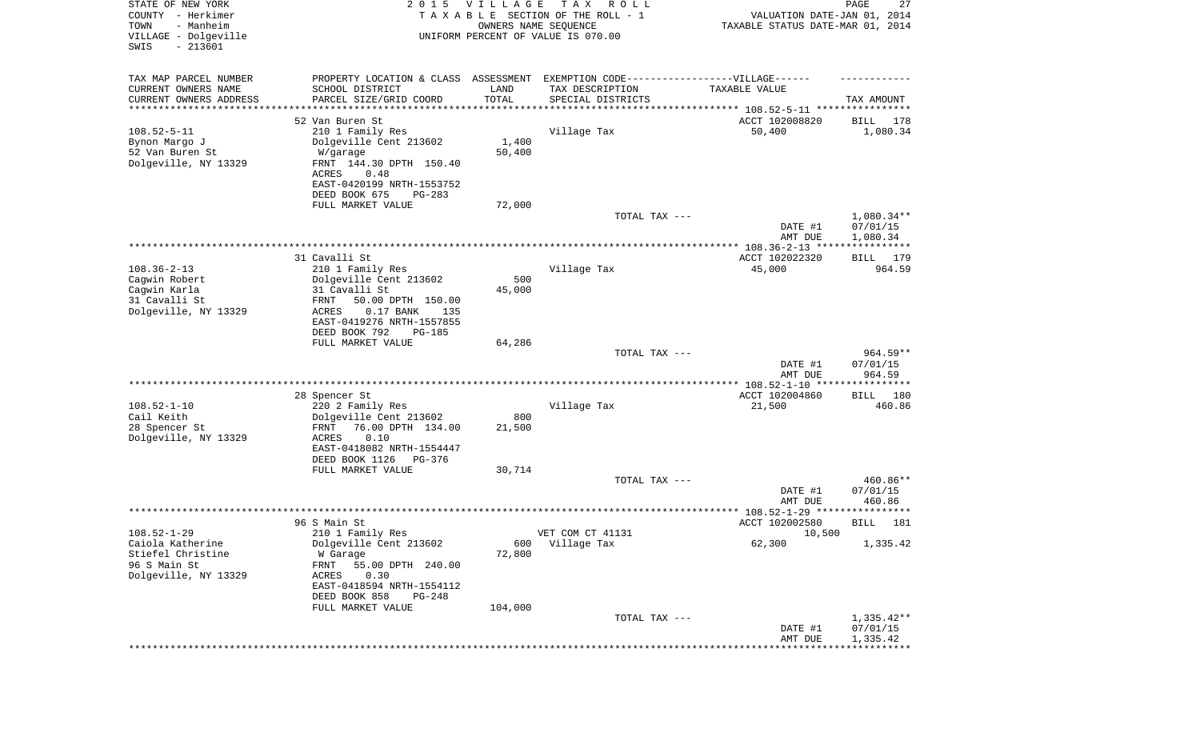| STATE OF NEW YORK<br>COUNTY - Herkimer<br>TOWN<br>- Manheim<br>VILLAGE - Dolgeville<br>SWIS<br>$-213601$ | 2 0 1 5                                                                                                                                                                                                        | <b>VILLAGE</b><br>OWNERS NAME SEQUENCE | T A X<br>R O L L<br>TAXABLE SECTION OF THE ROLL - 1<br>UNIFORM PERCENT OF VALUE IS 070.00                                                              | VALUATION DATE-JAN 01, 2014<br>TAXABLE STATUS DATE-MAR 01, 2014 | PAGE<br>27                           |
|----------------------------------------------------------------------------------------------------------|----------------------------------------------------------------------------------------------------------------------------------------------------------------------------------------------------------------|----------------------------------------|--------------------------------------------------------------------------------------------------------------------------------------------------------|-----------------------------------------------------------------|--------------------------------------|
| TAX MAP PARCEL NUMBER<br>CURRENT OWNERS NAME<br>CURRENT OWNERS ADDRESS<br>*********************          | PROPERTY LOCATION & CLASS ASSESSMENT<br>SCHOOL DISTRICT<br>PARCEL SIZE/GRID COORD                                                                                                                              | LAND<br>TOTAL                          | EXEMPTION CODE-----------------VILLAGE------<br>TAX DESCRIPTION<br>SPECIAL DISTRICTS<br>********************************* 108.52-5-11 **************** | TAXABLE VALUE                                                   | TAX AMOUNT                           |
| $108.52 - 5 - 11$<br>Bynon Margo J<br>52 Van Buren St<br>Dolgeville, NY 13329                            | 52 Van Buren St<br>210 1 Family Res<br>Dolgeville Cent 213602<br>W/garage<br>FRNT 144.30 DPTH 150.40<br>ACRES<br>0.48<br>EAST-0420199 NRTH-1553752<br>DEED BOOK 675<br>PG-283<br>FULL MARKET VALUE             | 1,400<br>50,400<br>72,000              | Village Tax                                                                                                                                            | ACCT 102008820<br>50,400                                        | BILL<br>178<br>1,080.34              |
|                                                                                                          |                                                                                                                                                                                                                |                                        | TOTAL TAX ---                                                                                                                                          | DATE #1<br>AMT DUE                                              | $1,080.34**$<br>07/01/15<br>1,080.34 |
|                                                                                                          |                                                                                                                                                                                                                |                                        |                                                                                                                                                        |                                                                 |                                      |
| $108.36 - 2 - 13$<br>Cagwin Robert<br>Cagwin Karla<br>31 Cavalli St<br>Dolgeville, NY 13329              | 31 Cavalli St<br>210 1 Family Res<br>Dolgeville Cent 213602<br>31 Cavalli St<br><b>FRNT</b><br>50.00 DPTH 150.00<br>ACRES<br>$0.17$ BANK<br>135<br>EAST-0419276 NRTH-1557855<br>DEED BOOK 792<br><b>PG-185</b> | 500<br>45,000                          | Village Tax                                                                                                                                            | ACCT 102022320<br>45,000                                        | BILL 179<br>964.59                   |
|                                                                                                          | FULL MARKET VALUE                                                                                                                                                                                              | 64,286                                 |                                                                                                                                                        |                                                                 |                                      |
|                                                                                                          |                                                                                                                                                                                                                |                                        | TOTAL TAX ---                                                                                                                                          | DATE #1<br>AMT DUE                                              | $964.59**$<br>07/01/15<br>964.59     |
| $108.52 - 1 - 10$<br>Cail Keith<br>28 Spencer St<br>Dolgeville, NY 13329                                 | 28 Spencer St<br>220 2 Family Res<br>Dolgeville Cent 213602<br>FRNT<br>76.00 DPTH 134.00<br>ACRES<br>0.10<br>EAST-0418082 NRTH-1554447<br>DEED BOOK 1126<br>PG-376<br>FULL MARKET VALUE                        | 800<br>21,500<br>30,714                | Village Tax                                                                                                                                            | ACCT 102004860<br>21,500                                        | 180<br>BILL<br>460.86                |
|                                                                                                          |                                                                                                                                                                                                                |                                        | TOTAL TAX ---                                                                                                                                          | DATE #1<br>AMT DUE                                              | 460.86**<br>07/01/15<br>460.86       |
|                                                                                                          |                                                                                                                                                                                                                |                                        |                                                                                                                                                        |                                                                 | * * * * * *                          |
| $108.52 - 1 - 29$<br>Caiola Katherine<br>Stiefel Christine<br>96 S Main St<br>Dolgeville, NY 13329       | 96 S Main St<br>210 1 Family Res<br>Dolgeville Cent 213602<br>W Garage<br>FRNT<br>55.00 DPTH 240.00<br>0.30<br>ACRES<br>EAST-0418594 NRTH-1554112<br>DEED BOOK 858<br>$PG-248$                                 | 600<br>72,800                          | VET COM CT 41131<br>Village Tax                                                                                                                        | ACCT 102002580<br>10,500<br>62,300                              | 181<br>BILL<br>1,335.42              |
|                                                                                                          | FULL MARKET VALUE                                                                                                                                                                                              | 104,000                                | TOTAL TAX ---                                                                                                                                          | DATE #1<br>AMT DUE                                              | $1,335.42**$<br>07/01/15<br>1,335.42 |
|                                                                                                          |                                                                                                                                                                                                                |                                        |                                                                                                                                                        |                                                                 |                                      |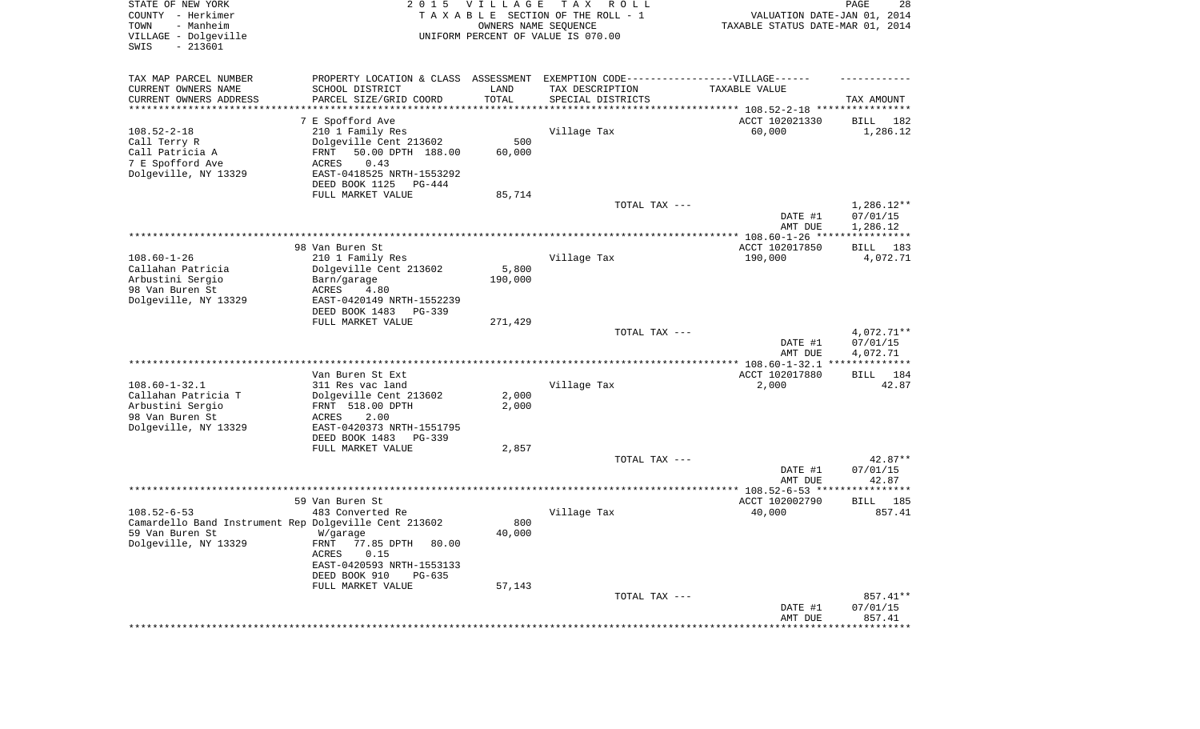| STATE OF NEW YORK<br>COUNTY - Herkimer<br>- Manheim<br>TOWN<br>VILLAGE - Dolgeville<br>$-213601$<br>SWIS | 2 0 1 5                                    | <b>VILLAGE</b><br>OWNERS NAME SEQUENCE | TAX ROLL<br>TAXABLE SECTION OF THE ROLL - 1<br>UNIFORM PERCENT OF VALUE IS 070.00 | VALUATION DATE-JAN 01, 2014<br>TAXABLE STATUS DATE-MAR 01, 2014 | PAGE<br>28                            |
|----------------------------------------------------------------------------------------------------------|--------------------------------------------|----------------------------------------|-----------------------------------------------------------------------------------|-----------------------------------------------------------------|---------------------------------------|
| TAX MAP PARCEL NUMBER                                                                                    | PROPERTY LOCATION & CLASS ASSESSMENT       |                                        | EXEMPTION CODE------------------VILLAGE------                                     |                                                                 |                                       |
| CURRENT OWNERS NAME                                                                                      | SCHOOL DISTRICT                            | LAND                                   | TAX DESCRIPTION                                                                   | TAXABLE VALUE                                                   |                                       |
| CURRENT OWNERS ADDRESS<br>*********************                                                          | PARCEL SIZE/GRID COORD                     | TOTAL<br>****************              | SPECIAL DISTRICTS                                                                 |                                                                 | TAX AMOUNT                            |
|                                                                                                          | 7 E Spofford Ave                           |                                        |                                                                                   | ACCT 102021330                                                  | BILL<br>182                           |
| $108.52 - 2 - 18$                                                                                        | 210 1 Family Res                           |                                        | Village Tax                                                                       | 60,000                                                          | 1,286.12                              |
| Call Terry R                                                                                             | Dolgeville Cent 213602                     | 500                                    |                                                                                   |                                                                 |                                       |
| Call Patricia A                                                                                          | FRNT<br>50.00 DPTH 188.00                  | 60,000                                 |                                                                                   |                                                                 |                                       |
| 7 E Spofford Ave<br>Dolgeville, NY 13329                                                                 | 0.43<br>ACRES<br>EAST-0418525 NRTH-1553292 |                                        |                                                                                   |                                                                 |                                       |
|                                                                                                          | DEED BOOK 1125<br>PG-444                   |                                        |                                                                                   |                                                                 |                                       |
|                                                                                                          | FULL MARKET VALUE                          | 85,714                                 |                                                                                   |                                                                 |                                       |
|                                                                                                          |                                            |                                        | TOTAL TAX ---                                                                     |                                                                 | $1,286.12**$                          |
|                                                                                                          |                                            |                                        |                                                                                   | DATE #1                                                         | 07/01/15                              |
|                                                                                                          |                                            |                                        |                                                                                   | AMT DUE                                                         | 1,286.12                              |
|                                                                                                          | 98 Van Buren St                            |                                        |                                                                                   | ACCT 102017850                                                  | 183<br>BILL                           |
| $108.60 - 1 - 26$                                                                                        | 210 1 Family Res                           |                                        | Village Tax                                                                       | 190,000                                                         | 4,072.71                              |
| Callahan Patricia                                                                                        | Dolgeville Cent 213602                     | 5,800                                  |                                                                                   |                                                                 |                                       |
| Arbustini Sergio<br>98 Van Buren St                                                                      | Barn/garage<br>ACRES<br>4.80               | 190,000                                |                                                                                   |                                                                 |                                       |
| Dolgeville, NY 13329                                                                                     | EAST-0420149 NRTH-1552239                  |                                        |                                                                                   |                                                                 |                                       |
|                                                                                                          | DEED BOOK 1483<br>PG-339                   |                                        |                                                                                   |                                                                 |                                       |
|                                                                                                          | FULL MARKET VALUE                          | 271,429                                |                                                                                   |                                                                 |                                       |
|                                                                                                          |                                            |                                        | TOTAL TAX ---                                                                     | DATE #1                                                         | 4,072.71**<br>07/01/15                |
|                                                                                                          |                                            |                                        |                                                                                   | AMT DUE                                                         | 4,072.71                              |
|                                                                                                          |                                            |                                        |                                                                                   |                                                                 |                                       |
|                                                                                                          | Van Buren St Ext                           |                                        |                                                                                   | ACCT 102017880                                                  | BILL<br>184                           |
| $108.60 - 1 - 32.1$<br>Callahan Patricia T                                                               | 311 Res vac land<br>Dolgeville Cent 213602 | 2,000                                  | Village Tax                                                                       | 2,000                                                           | 42.87                                 |
| Arbustini Sergio                                                                                         | FRNT 518.00 DPTH                           | 2,000                                  |                                                                                   |                                                                 |                                       |
| 98 Van Buren St                                                                                          | ACRES<br>2.00                              |                                        |                                                                                   |                                                                 |                                       |
| Dolgeville, NY 13329                                                                                     | EAST-0420373 NRTH-1551795                  |                                        |                                                                                   |                                                                 |                                       |
|                                                                                                          | DEED BOOK 1483<br>PG-339                   |                                        |                                                                                   |                                                                 |                                       |
|                                                                                                          | FULL MARKET VALUE                          | 2,857                                  | TOTAL TAX ---                                                                     |                                                                 | 42.87**                               |
|                                                                                                          |                                            |                                        |                                                                                   | DATE #1                                                         | 07/01/15                              |
|                                                                                                          |                                            |                                        |                                                                                   | AMT DUE                                                         | 42.87                                 |
|                                                                                                          |                                            |                                        |                                                                                   |                                                                 |                                       |
| $108.52 - 6 - 53$                                                                                        | 59 Van Buren St<br>483 Converted Re        |                                        | Village Tax                                                                       | ACCT 102002790<br>40,000                                        | 185<br>BILL<br>857.41                 |
| Camardello Band Instrument Rep Dolgeville Cent 213602                                                    |                                            | 800                                    |                                                                                   |                                                                 |                                       |
| 59 Van Buren St                                                                                          | W/garage                                   | 40,000                                 |                                                                                   |                                                                 |                                       |
| Dolgeville, NY 13329                                                                                     | FRNT 77.85 DPTH<br>80.00                   |                                        |                                                                                   |                                                                 |                                       |
|                                                                                                          | ACRES<br>0.15<br>EAST-0420593 NRTH-1553133 |                                        |                                                                                   |                                                                 |                                       |
|                                                                                                          | DEED BOOK 910<br>PG-635                    |                                        |                                                                                   |                                                                 |                                       |
|                                                                                                          | FULL MARKET VALUE                          | 57,143                                 |                                                                                   |                                                                 |                                       |
|                                                                                                          |                                            |                                        | TOTAL TAX ---                                                                     |                                                                 | 857.41**                              |
|                                                                                                          |                                            |                                        |                                                                                   | DATE #1                                                         | 07/01/15                              |
|                                                                                                          |                                            |                                        |                                                                                   | AMT DUE<br>*******************                                  | 857.41<br>* * * * * * * * * * * * * * |
|                                                                                                          |                                            |                                        |                                                                                   |                                                                 |                                       |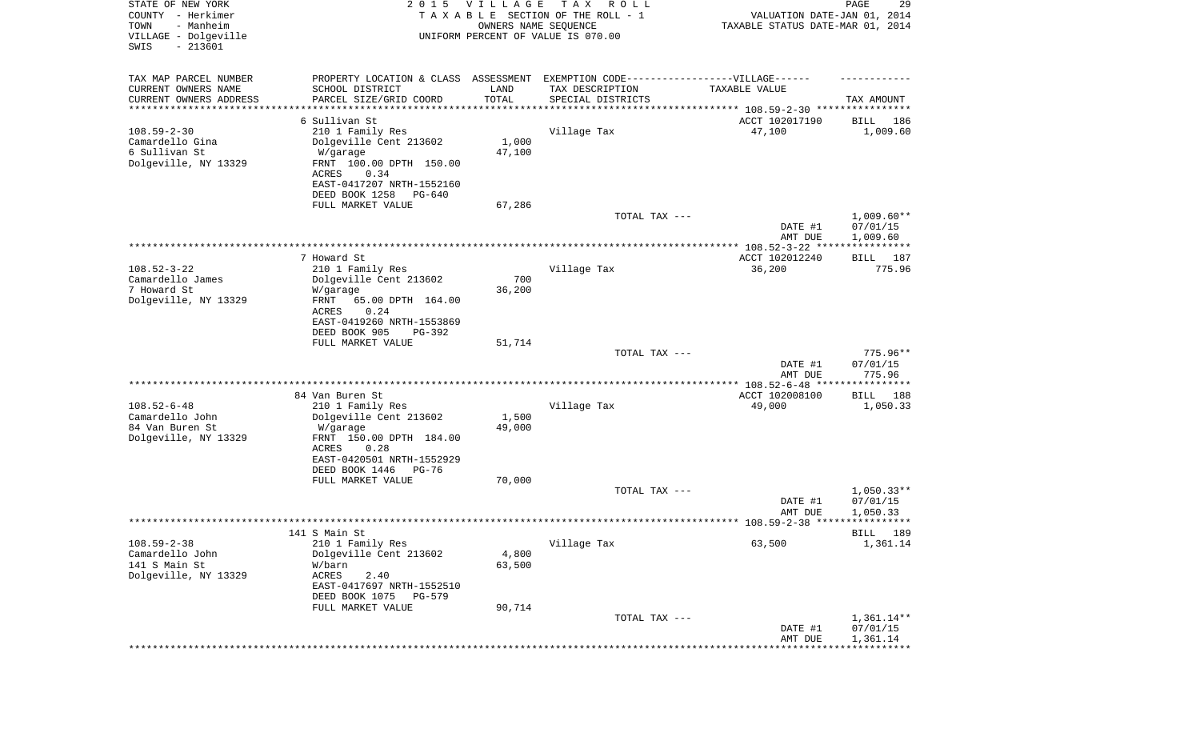| STATE OF NEW YORK<br>COUNTY - Herkimer<br>- Manheim<br>TOWN<br>VILLAGE - Dolgeville | 2 0 1 5<br><b>VILLAGE</b><br>TAXABLE SECTION OF THE ROLL - 1<br>UNIFORM PERCENT OF VALUE IS 070.00 | T A X<br>R O L L<br>OWNERS NAME SEQUENCE                                          | VALUATION DATE-JAN 01, 2014<br>TAXABLE STATUS DATE-MAR 01, 2014 | 29<br>PAGE                      |
|-------------------------------------------------------------------------------------|----------------------------------------------------------------------------------------------------|-----------------------------------------------------------------------------------|-----------------------------------------------------------------|---------------------------------|
| $-213601$<br>SWIS                                                                   |                                                                                                    |                                                                                   |                                                                 |                                 |
| TAX MAP PARCEL NUMBER                                                               |                                                                                                    | PROPERTY LOCATION & CLASS ASSESSMENT EXEMPTION CODE-----------------VILLAGE------ |                                                                 |                                 |
| CURRENT OWNERS NAME<br>SCHOOL DISTRICT                                              | LAND                                                                                               | TAX DESCRIPTION                                                                   | TAXABLE VALUE                                                   |                                 |
| CURRENT OWNERS ADDRESS<br>PARCEL SIZE/GRID COORD<br>*******************             | TOTAL                                                                                              | SPECIAL DISTRICTS                                                                 | **************************** 108.59-2-30 ****************       | TAX AMOUNT                      |
| 6 Sullivan St                                                                       |                                                                                                    |                                                                                   | ACCT 102017190                                                  | BILL<br>186                     |
| $108.59 - 2 - 30$<br>210 1 Family Res                                               |                                                                                                    | Village Tax                                                                       | 47,100                                                          | 1,009.60                        |
| Camardello Gina<br>Dolgeville Cent 213602                                           | 1,000                                                                                              |                                                                                   |                                                                 |                                 |
| 6 Sullivan St<br>W/garage                                                           | 47,100                                                                                             |                                                                                   |                                                                 |                                 |
| Dolgeville, NY 13329<br>FRNT 100.00 DPTH 150.00<br>0.34<br>ACRES                    |                                                                                                    |                                                                                   |                                                                 |                                 |
| EAST-0417207 NRTH-1552160                                                           |                                                                                                    |                                                                                   |                                                                 |                                 |
| DEED BOOK 1258                                                                      | PG-640                                                                                             |                                                                                   |                                                                 |                                 |
| FULL MARKET VALUE                                                                   | 67,286                                                                                             |                                                                                   |                                                                 |                                 |
|                                                                                     |                                                                                                    | TOTAL TAX ---                                                                     |                                                                 | $1,009.60**$                    |
|                                                                                     |                                                                                                    |                                                                                   | DATE #1                                                         | 07/01/15                        |
|                                                                                     |                                                                                                    |                                                                                   | AMT DUE                                                         | 1,009.60<br>***********         |
| 7 Howard St                                                                         |                                                                                                    |                                                                                   | ACCT 102012240                                                  | 187<br>BILL                     |
| $108.52 - 3 - 22$<br>210 1 Family Res                                               |                                                                                                    | Village Tax                                                                       | 36,200                                                          | 775.96                          |
| Camardello James<br>Dolgeville Cent 213602                                          | 700                                                                                                |                                                                                   |                                                                 |                                 |
| 7 Howard St<br>W/garage                                                             | 36,200                                                                                             |                                                                                   |                                                                 |                                 |
| Dolgeville, NY 13329<br>FRNT                                                        | 65.00 DPTH 164.00                                                                                  |                                                                                   |                                                                 |                                 |
| ACRES<br>0.24<br>EAST-0419260 NRTH-1553869                                          |                                                                                                    |                                                                                   |                                                                 |                                 |
| DEED BOOK 905                                                                       | PG-392                                                                                             |                                                                                   |                                                                 |                                 |
| FULL MARKET VALUE                                                                   | 51,714                                                                                             |                                                                                   |                                                                 |                                 |
|                                                                                     |                                                                                                    | TOTAL TAX ---                                                                     |                                                                 | $775.96**$                      |
|                                                                                     |                                                                                                    |                                                                                   | DATE #1                                                         | 07/01/15                        |
|                                                                                     |                                                                                                    |                                                                                   | AMT DUE<br>*************** 108.52-6-48 ****                     | 775.96<br>* * * * * * * * * * * |
| 84 Van Buren St                                                                     |                                                                                                    |                                                                                   | ACCT 102008100                                                  | <b>BILL</b><br>188              |
| $108.52 - 6 - 48$<br>210 1 Family Res                                               |                                                                                                    | Village Tax                                                                       | 49,000                                                          | 1,050.33                        |
| Camardello John<br>Dolgeville Cent 213602                                           | 1,500                                                                                              |                                                                                   |                                                                 |                                 |
| 84 Van Buren St<br>W/garage                                                         | 49,000                                                                                             |                                                                                   |                                                                 |                                 |
| Dolgeville, NY 13329<br>FRNT 150.00 DPTH 184.00<br><b>ACRES</b><br>0.28             |                                                                                                    |                                                                                   |                                                                 |                                 |
| EAST-0420501 NRTH-1552929                                                           |                                                                                                    |                                                                                   |                                                                 |                                 |
| DEED BOOK 1446                                                                      | PG-76                                                                                              |                                                                                   |                                                                 |                                 |
| FULL MARKET VALUE                                                                   | 70,000                                                                                             |                                                                                   |                                                                 |                                 |
|                                                                                     |                                                                                                    | TOTAL TAX ---                                                                     |                                                                 | $1,050.33**$                    |
|                                                                                     |                                                                                                    |                                                                                   | DATE #1                                                         | 07/01/15                        |
|                                                                                     |                                                                                                    |                                                                                   | AMT DUE                                                         | 1,050.33                        |
| 141 S Main St                                                                       |                                                                                                    |                                                                                   |                                                                 | <b>BILL</b> 189                 |
| $108.59 - 2 - 38$<br>210 1 Family Res                                               |                                                                                                    | Village Tax                                                                       | 63,500                                                          | 1,361.14                        |
| Camardello John<br>Dolgeville Cent 213602                                           | 4,800                                                                                              |                                                                                   |                                                                 |                                 |
| 141 S Main St<br>W/barn                                                             | 63,500                                                                                             |                                                                                   |                                                                 |                                 |
| Dolgeville, NY 13329<br>ACRES<br>2.40                                               |                                                                                                    |                                                                                   |                                                                 |                                 |
| EAST-0417697 NRTH-1552510<br>DEED BOOK 1075                                         | PG-579                                                                                             |                                                                                   |                                                                 |                                 |
| FULL MARKET VALUE                                                                   | 90,714                                                                                             |                                                                                   |                                                                 |                                 |
|                                                                                     |                                                                                                    | TOTAL TAX ---                                                                     |                                                                 | $1,361.14**$                    |
|                                                                                     |                                                                                                    |                                                                                   | DATE #1                                                         | 07/01/15                        |
|                                                                                     |                                                                                                    |                                                                                   | AMT DUE                                                         | 1,361.14                        |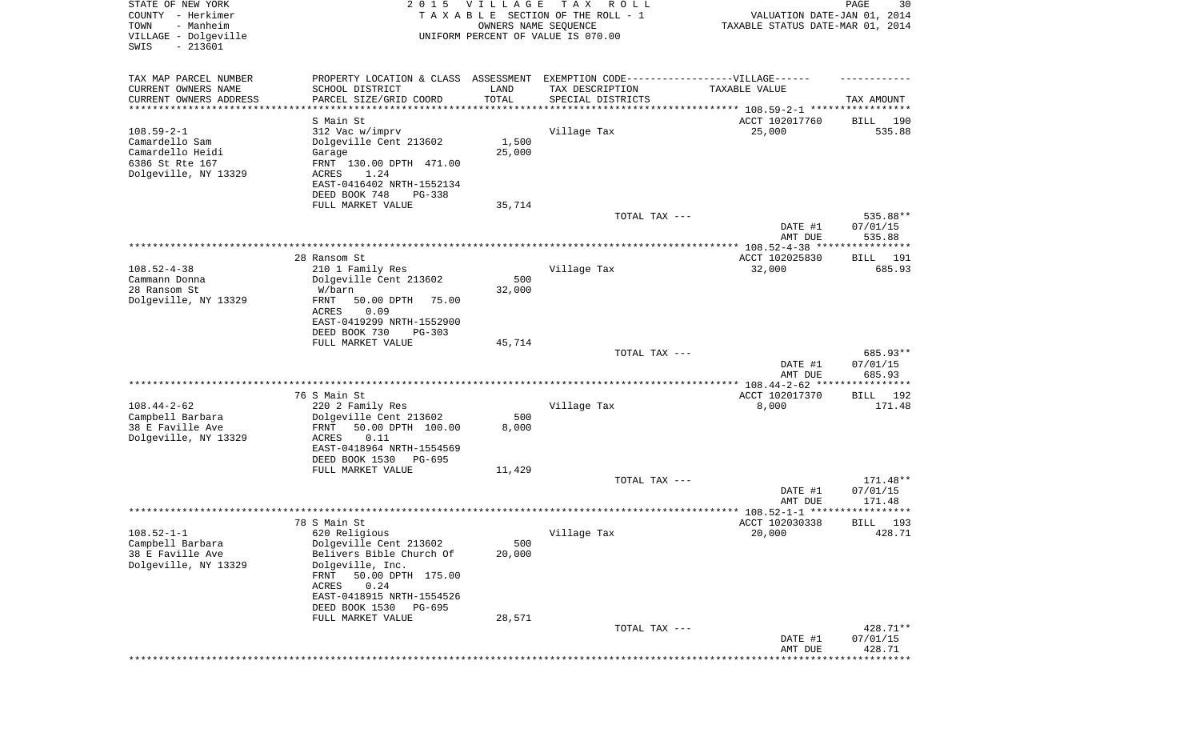| STATE OF NEW YORK<br>COUNTY - Herkimer<br>- Manheim<br>TOWN<br>VILLAGE - Dolgeville<br>$-213601$<br>SWIS | 2 0 1 5                                                 | <b>VILLAGE</b><br>OWNERS NAME SEQUENCE | T A X<br>R O L L<br>TAXABLE SECTION OF THE ROLL - 1<br>UNIFORM PERCENT OF VALUE IS 070.00 | VALUATION DATE-JAN 01, 2014<br>TAXABLE STATUS DATE-MAR 01, 2014 | 30<br>PAGE            |
|----------------------------------------------------------------------------------------------------------|---------------------------------------------------------|----------------------------------------|-------------------------------------------------------------------------------------------|-----------------------------------------------------------------|-----------------------|
| TAX MAP PARCEL NUMBER<br>CURRENT OWNERS NAME                                                             | PROPERTY LOCATION & CLASS ASSESSMENT<br>SCHOOL DISTRICT | LAND                                   | EXEMPTION CODE------------------VILLAGE------<br>TAX DESCRIPTION                          | TAXABLE VALUE                                                   |                       |
| CURRENT OWNERS ADDRESS                                                                                   | PARCEL SIZE/GRID COORD                                  | TOTAL                                  | SPECIAL DISTRICTS                                                                         |                                                                 | TAX AMOUNT            |
| *********************                                                                                    |                                                         |                                        |                                                                                           | ***************************** 108.59-2-1 *****************      |                       |
| $108.59 - 2 - 1$                                                                                         | S Main St<br>312 Vac w/imprv                            |                                        | Village Tax                                                                               | ACCT 102017760<br>25,000                                        | 190<br>BILL<br>535.88 |
| Camardello Sam                                                                                           | Dolgeville Cent 213602                                  | 1,500                                  |                                                                                           |                                                                 |                       |
| Camardello Heidi                                                                                         | Garage                                                  | 25,000                                 |                                                                                           |                                                                 |                       |
| 6386 St Rte 167                                                                                          | FRNT 130.00 DPTH 471.00                                 |                                        |                                                                                           |                                                                 |                       |
| Dolgeville, NY 13329                                                                                     | ACRES<br>1.24<br>EAST-0416402 NRTH-1552134              |                                        |                                                                                           |                                                                 |                       |
|                                                                                                          | DEED BOOK 748<br>PG-338                                 |                                        |                                                                                           |                                                                 |                       |
|                                                                                                          | FULL MARKET VALUE                                       | 35,714                                 |                                                                                           |                                                                 |                       |
|                                                                                                          |                                                         |                                        | TOTAL TAX ---                                                                             |                                                                 | 535.88**              |
|                                                                                                          |                                                         |                                        |                                                                                           | DATE #1<br>AMT DUE                                              | 07/01/15<br>535.88    |
|                                                                                                          |                                                         |                                        |                                                                                           |                                                                 |                       |
|                                                                                                          | 28 Ransom St                                            |                                        |                                                                                           | ACCT 102025830                                                  | BILL<br>191           |
| $108.52 - 4 - 38$                                                                                        | 210 1 Family Res                                        |                                        | Village Tax                                                                               | 32,000                                                          | 685.93                |
| Cammann Donna<br>28 Ransom St                                                                            | Dolgeville Cent 213602<br>W/barn                        | 500<br>32,000                          |                                                                                           |                                                                 |                       |
| Dolgeville, NY 13329                                                                                     | FRNT<br>50.00 DPTH<br>75.00                             |                                        |                                                                                           |                                                                 |                       |
|                                                                                                          | <b>ACRES</b><br>0.09                                    |                                        |                                                                                           |                                                                 |                       |
|                                                                                                          | EAST-0419299 NRTH-1552900                               |                                        |                                                                                           |                                                                 |                       |
|                                                                                                          | DEED BOOK 730<br>$PG-303$<br>FULL MARKET VALUE          | 45,714                                 |                                                                                           |                                                                 |                       |
|                                                                                                          |                                                         |                                        | TOTAL TAX ---                                                                             |                                                                 | 685.93**              |
|                                                                                                          |                                                         |                                        |                                                                                           | DATE #1                                                         | 07/01/15              |
|                                                                                                          |                                                         |                                        |                                                                                           | AMT DUE                                                         | 685.93                |
|                                                                                                          | 76 S Main St                                            |                                        |                                                                                           | ACCT 102017370                                                  | 192<br>BILL           |
| $108.44 - 2 - 62$                                                                                        | 220 2 Family Res                                        |                                        | Village Tax                                                                               | 8,000                                                           | 171.48                |
| Campbell Barbara                                                                                         | Dolgeville Cent 213602                                  | 500                                    |                                                                                           |                                                                 |                       |
| 38 E Faville Ave<br>Dolgeville, NY 13329                                                                 | FRNT<br>50.00 DPTH 100.00<br>ACRES<br>0.11              | 8,000                                  |                                                                                           |                                                                 |                       |
|                                                                                                          | EAST-0418964 NRTH-1554569                               |                                        |                                                                                           |                                                                 |                       |
|                                                                                                          | DEED BOOK 1530<br>PG-695                                |                                        |                                                                                           |                                                                 |                       |
|                                                                                                          | FULL MARKET VALUE                                       | 11,429                                 |                                                                                           |                                                                 |                       |
|                                                                                                          |                                                         |                                        | TOTAL TAX ---                                                                             | DATE #1                                                         | 171.48**<br>07/01/15  |
|                                                                                                          |                                                         |                                        |                                                                                           | AMT DUE                                                         | 171.48                |
|                                                                                                          |                                                         |                                        |                                                                                           | **************** 108.52-1-1 ******                              | ***********           |
|                                                                                                          | 78 S Main St                                            |                                        |                                                                                           | ACCT 102030338                                                  | 193<br>BILL           |
| $108.52 - 1 - 1$<br>Campbell Barbara                                                                     | 620 Religious<br>Dolgeville Cent 213602                 | 500                                    | Village Tax                                                                               | 20,000                                                          | 428.71                |
| 38 E Faville Ave                                                                                         | Belivers Bible Church Of                                | 20,000                                 |                                                                                           |                                                                 |                       |
| Dolgeville, NY 13329                                                                                     | Dolgeville, Inc.                                        |                                        |                                                                                           |                                                                 |                       |
|                                                                                                          | 50.00 DPTH 175.00<br>FRNT<br>ACRES<br>0.24              |                                        |                                                                                           |                                                                 |                       |
|                                                                                                          | EAST-0418915 NRTH-1554526                               |                                        |                                                                                           |                                                                 |                       |
|                                                                                                          | DEED BOOK 1530<br>PG-695                                |                                        |                                                                                           |                                                                 |                       |
|                                                                                                          | FULL MARKET VALUE                                       | 28,571                                 |                                                                                           |                                                                 |                       |
|                                                                                                          |                                                         |                                        | TOTAL TAX ---                                                                             | DATE #1                                                         | 428.71**<br>07/01/15  |
|                                                                                                          |                                                         |                                        |                                                                                           | AMT DUE                                                         | 428.71                |
|                                                                                                          |                                                         |                                        |                                                                                           | ******************************                                  |                       |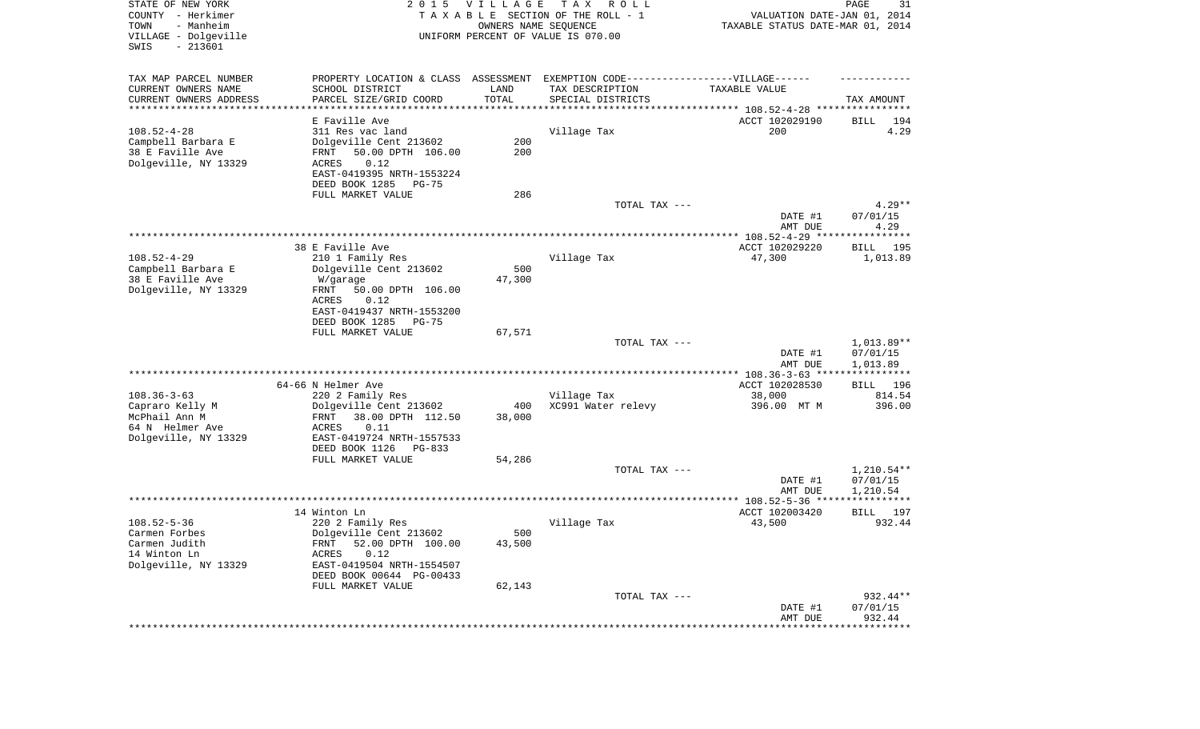| STATE OF NEW YORK<br>COUNTY - Herkimer<br>TOWN<br>- Manheim<br>VILLAGE - Dolgeville<br>$-213601$<br>SWIS | 2 0 1 5                                               | <b>VILLAGE</b><br>OWNERS NAME SEQUENCE | TAX ROLL<br>TAXABLE SECTION OF THE ROLL - 1<br>UNIFORM PERCENT OF VALUE IS 070.00                   | VALUATION DATE-JAN 01, 2014<br>TAXABLE STATUS DATE-MAR 01, 2014 | 31<br>PAGE              |
|----------------------------------------------------------------------------------------------------------|-------------------------------------------------------|----------------------------------------|-----------------------------------------------------------------------------------------------------|-----------------------------------------------------------------|-------------------------|
| TAX MAP PARCEL NUMBER<br>CURRENT OWNERS NAME                                                             | SCHOOL DISTRICT                                       | LAND                                   | PROPERTY LOCATION & CLASS ASSESSMENT EXEMPTION CODE----------------VILLAGE------<br>TAX DESCRIPTION | TAXABLE VALUE                                                   |                         |
| CURRENT OWNERS ADDRESS<br>**********************                                                         | PARCEL SIZE/GRID COORD                                | TOTAL<br>*************                 | SPECIAL DISTRICTS                                                                                   |                                                                 | TAX AMOUNT              |
|                                                                                                          | E Faville Ave                                         |                                        |                                                                                                     | ACCT 102029190                                                  | BILL<br>194             |
| $108.52 - 4 - 28$                                                                                        | 311 Res vac land                                      |                                        | Village Tax                                                                                         | 200                                                             | 4.29                    |
| Campbell Barbara E                                                                                       | Dolgeville Cent 213602                                | 200                                    |                                                                                                     |                                                                 |                         |
| 38 E Faville Ave                                                                                         | 50.00 DPTH 106.00<br>FRNT                             | 200                                    |                                                                                                     |                                                                 |                         |
| Dolgeville, NY 13329                                                                                     | 0.12<br>ACRES<br>EAST-0419395 NRTH-1553224            |                                        |                                                                                                     |                                                                 |                         |
|                                                                                                          | DEED BOOK 1285<br>PG-75                               |                                        |                                                                                                     |                                                                 |                         |
|                                                                                                          | FULL MARKET VALUE                                     | 286                                    |                                                                                                     |                                                                 |                         |
|                                                                                                          |                                                       |                                        | TOTAL TAX ---                                                                                       |                                                                 | $4.29**$                |
|                                                                                                          |                                                       |                                        |                                                                                                     | DATE #1                                                         | 07/01/15                |
|                                                                                                          |                                                       |                                        |                                                                                                     | AMT DUE                                                         | 4.29                    |
|                                                                                                          | 38 E Faville Ave                                      |                                        |                                                                                                     | ACCT 102029220                                                  | BILL<br>195             |
| $108.52 - 4 - 29$                                                                                        | 210 1 Family Res                                      |                                        | Village Tax                                                                                         | 47,300                                                          | 1,013.89                |
| Campbell Barbara E                                                                                       | Dolgeville Cent 213602                                | 500                                    |                                                                                                     |                                                                 |                         |
| 38 E Faville Ave<br>Dolgeville, NY 13329                                                                 | W/garage<br>50.00 DPTH 106.00<br>FRNT                 | 47,300                                 |                                                                                                     |                                                                 |                         |
|                                                                                                          | ACRES<br>0.12                                         |                                        |                                                                                                     |                                                                 |                         |
|                                                                                                          | EAST-0419437 NRTH-1553200                             |                                        |                                                                                                     |                                                                 |                         |
|                                                                                                          | DEED BOOK 1285<br>$PG-75$                             |                                        |                                                                                                     |                                                                 |                         |
|                                                                                                          | FULL MARKET VALUE                                     | 67,571                                 | TOTAL TAX ---                                                                                       |                                                                 | 1,013.89**              |
|                                                                                                          |                                                       |                                        |                                                                                                     | DATE #1                                                         | 07/01/15                |
|                                                                                                          |                                                       |                                        |                                                                                                     | AMT DUE                                                         | 1,013.89                |
|                                                                                                          |                                                       |                                        |                                                                                                     |                                                                 | ***********             |
| $108.36 - 3 - 63$                                                                                        | 64-66 N Helmer Ave<br>220 2 Family Res                |                                        | Village Tax                                                                                         | ACCT 102028530<br>38,000                                        | BILL 196<br>814.54      |
| Capraro Kelly M                                                                                          | Dolgeville Cent 213602                                | 400                                    | XC991 Water relevy                                                                                  | 396.00 MT M                                                     | 396.00                  |
| McPhail Ann M                                                                                            | FRNT<br>38.00 DPTH 112.50                             | 38,000                                 |                                                                                                     |                                                                 |                         |
| 64 N Helmer Ave                                                                                          | ACRES<br>0.11                                         |                                        |                                                                                                     |                                                                 |                         |
| Dolgeville, NY 13329                                                                                     | EAST-0419724 NRTH-1557533<br>DEED BOOK 1126<br>PG-833 |                                        |                                                                                                     |                                                                 |                         |
|                                                                                                          | FULL MARKET VALUE                                     | 54,286                                 |                                                                                                     |                                                                 |                         |
|                                                                                                          |                                                       |                                        | TOTAL TAX ---                                                                                       |                                                                 | $1,210.54**$            |
|                                                                                                          |                                                       |                                        |                                                                                                     | DATE #1                                                         | 07/01/15                |
|                                                                                                          |                                                       |                                        |                                                                                                     | AMT DUE                                                         | 1,210.54<br>*********** |
|                                                                                                          | 14 Winton Ln                                          |                                        |                                                                                                     | ACCT 102003420                                                  | 197<br>BILL             |
| $108.52 - 5 - 36$                                                                                        | 220 2 Family Res                                      |                                        | Village Tax                                                                                         | 43,500                                                          | 932.44                  |
| Carmen Forbes                                                                                            | Dolgeville Cent 213602                                | 500                                    |                                                                                                     |                                                                 |                         |
| Carmen Judith                                                                                            | 52.00 DPTH 100.00<br>FRNT                             | 43,500                                 |                                                                                                     |                                                                 |                         |
| 14 Winton Ln<br>Dolgeville, NY 13329                                                                     | 0.12<br>ACRES<br>EAST-0419504 NRTH-1554507            |                                        |                                                                                                     |                                                                 |                         |
|                                                                                                          | DEED BOOK 00644 PG-00433                              |                                        |                                                                                                     |                                                                 |                         |
|                                                                                                          | FULL MARKET VALUE                                     | 62,143                                 |                                                                                                     |                                                                 |                         |
|                                                                                                          |                                                       |                                        | TOTAL TAX ---                                                                                       |                                                                 | 932.44**                |
|                                                                                                          |                                                       |                                        |                                                                                                     | DATE #1                                                         | 07/01/15<br>932.44      |
|                                                                                                          |                                                       |                                        |                                                                                                     | AMT DUE<br>***********************************                  |                         |
|                                                                                                          |                                                       |                                        |                                                                                                     |                                                                 |                         |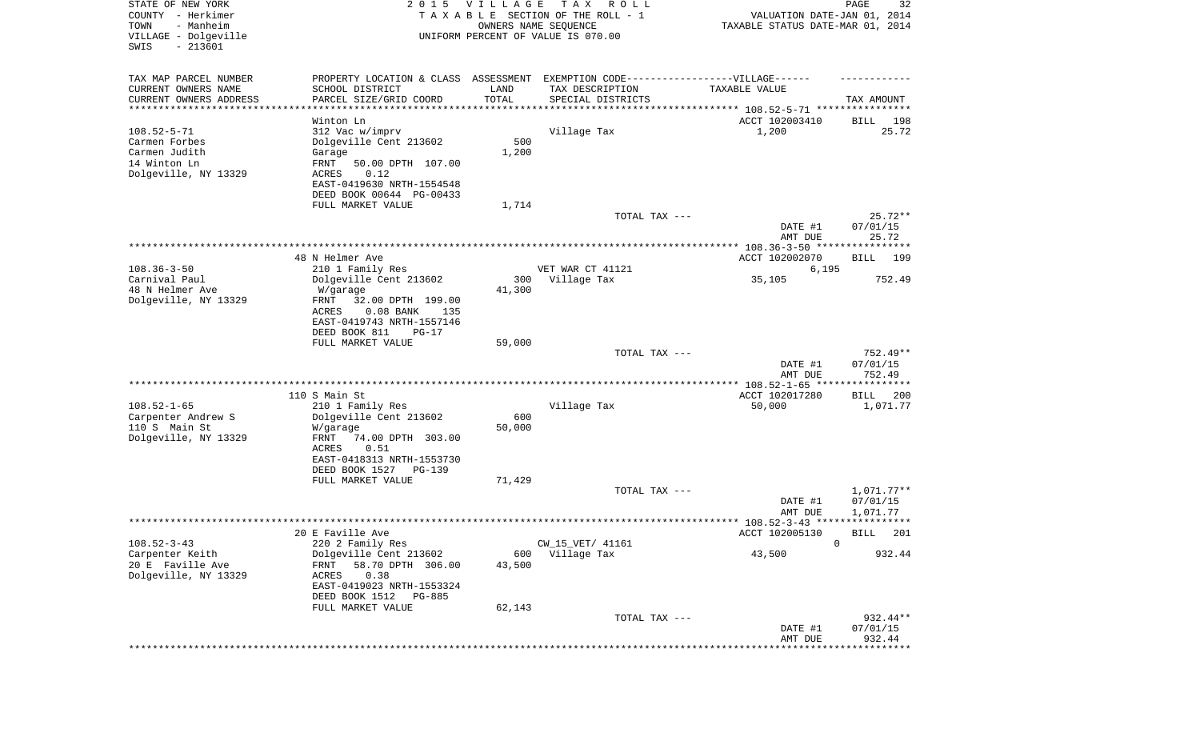| STATE OF NEW YORK<br>COUNTY - Herkimer<br>TOWN<br>- Manheim<br>VILLAGE - Dolgeville | 2 0 1 5                              | <b>VILLAGE</b><br>OWNERS NAME SEQUENCE | T A X<br>R O L L<br>TAXABLE SECTION OF THE ROLL - 1<br>UNIFORM PERCENT OF VALUE IS 070.00 | VALUATION DATE-JAN 01, 2014<br>TAXABLE STATUS DATE-MAR 01, 2014 | 32<br>PAGE                  |
|-------------------------------------------------------------------------------------|--------------------------------------|----------------------------------------|-------------------------------------------------------------------------------------------|-----------------------------------------------------------------|-----------------------------|
| $-213601$<br>SWIS                                                                   |                                      |                                        |                                                                                           |                                                                 |                             |
| TAX MAP PARCEL NUMBER                                                               | PROPERTY LOCATION & CLASS ASSESSMENT |                                        |                                                                                           | EXEMPTION CODE-----------------VILLAGE------                    |                             |
| CURRENT OWNERS NAME<br>SCHOOL DISTRICT                                              |                                      | LAND                                   | TAX DESCRIPTION                                                                           | TAXABLE VALUE                                                   |                             |
| CURRENT OWNERS ADDRESS<br>PARCEL SIZE/GRID COORD                                    | ********************                 | TOTAL                                  | SPECIAL DISTRICTS                                                                         |                                                                 | TAX AMOUNT                  |
| **********************<br>Winton Ln                                                 |                                      | * * * * * * * * * * *                  |                                                                                           |                                                                 |                             |
| $108.52 - 5 - 71$<br>312 Vac w/imprv                                                |                                      |                                        | Village Tax                                                                               | ACCT 102003410<br>1,200                                         | BILL<br>198<br>25.72        |
| Dolgeville Cent 213602<br>Carmen Forbes                                             |                                      | 500                                    |                                                                                           |                                                                 |                             |
| Carmen Judith<br>Garage                                                             |                                      | 1,200                                  |                                                                                           |                                                                 |                             |
| 14 Winton Ln<br>FRNT                                                                | 50.00 DPTH 107.00                    |                                        |                                                                                           |                                                                 |                             |
| Dolgeville, NY 13329<br>ACRES<br>0.12                                               |                                      |                                        |                                                                                           |                                                                 |                             |
|                                                                                     | EAST-0419630 NRTH-1554548            |                                        |                                                                                           |                                                                 |                             |
| FULL MARKET VALUE                                                                   | DEED BOOK 00644 PG-00433             | 1,714                                  |                                                                                           |                                                                 |                             |
|                                                                                     |                                      |                                        | TOTAL TAX ---                                                                             |                                                                 | $25.72**$                   |
|                                                                                     |                                      |                                        |                                                                                           | DATE #1                                                         | 07/01/15                    |
|                                                                                     |                                      |                                        |                                                                                           | AMT DUE                                                         | 25.72                       |
|                                                                                     |                                      |                                        |                                                                                           |                                                                 |                             |
| 48 N Helmer Ave                                                                     |                                      |                                        |                                                                                           | ACCT 102002070                                                  | 199<br>BILL                 |
| $108.36 - 3 - 50$<br>210 1 Family Res<br>Carnival Paul<br>Dolgeville Cent 213602    |                                      | 300                                    | VET WAR CT 41121                                                                          | 6,195                                                           | 752.49                      |
| 48 N Helmer Ave<br>W/garage                                                         |                                      | 41,300                                 | Village Tax                                                                               | 35,105                                                          |                             |
| Dolgeville, NY 13329<br>FRNT                                                        | 32.00 DPTH 199.00                    |                                        |                                                                                           |                                                                 |                             |
| ACRES                                                                               | $0.08$ BANK<br>135                   |                                        |                                                                                           |                                                                 |                             |
|                                                                                     | EAST-0419743 NRTH-1557146            |                                        |                                                                                           |                                                                 |                             |
| DEED BOOK 811                                                                       | $PG-17$                              |                                        |                                                                                           |                                                                 |                             |
| FULL MARKET VALUE                                                                   |                                      | 59,000                                 | TOTAL TAX ---                                                                             |                                                                 | 752.49**                    |
|                                                                                     |                                      |                                        |                                                                                           | DATE #1                                                         | 07/01/15                    |
|                                                                                     |                                      |                                        |                                                                                           | AMT DUE                                                         | 752.49                      |
|                                                                                     |                                      |                                        |                                                                                           |                                                                 | ***********                 |
| 110 S Main St                                                                       |                                      |                                        |                                                                                           | ACCT 102017280                                                  | BILL<br>200                 |
| $108.52 - 1 - 65$<br>210 1 Family Res                                               |                                      |                                        | Village Tax                                                                               | 50,000                                                          | 1,071.77                    |
| Carpenter Andrew S<br>Dolgeville Cent 213602<br>110 S Main St<br>W/garage           |                                      | 600<br>50,000                          |                                                                                           |                                                                 |                             |
| Dolgeville, NY 13329<br>FRNT                                                        | 74.00 DPTH 303.00                    |                                        |                                                                                           |                                                                 |                             |
| ACRES<br>0.51                                                                       |                                      |                                        |                                                                                           |                                                                 |                             |
|                                                                                     | EAST-0418313 NRTH-1553730            |                                        |                                                                                           |                                                                 |                             |
| DEED BOOK 1527                                                                      | PG-139                               |                                        |                                                                                           |                                                                 |                             |
| FULL MARKET VALUE                                                                   |                                      | 71,429                                 |                                                                                           |                                                                 |                             |
|                                                                                     |                                      |                                        | TOTAL TAX ---                                                                             | DATE #1                                                         | $1,071.77**$<br>07/01/15    |
|                                                                                     |                                      |                                        |                                                                                           | AMT DUE                                                         | 1,071.77                    |
|                                                                                     |                                      |                                        |                                                                                           |                                                                 |                             |
| 20 E Faville Ave                                                                    |                                      |                                        |                                                                                           | ACCT 102005130                                                  | <b>BILL</b> 201             |
| $108.52 - 3 - 43$<br>220 2 Family Res                                               |                                      |                                        | CW_15_VET/ 41161                                                                          | 0                                                               |                             |
| Carpenter Keith<br>Dolgeville Cent 213602                                           |                                      | 600                                    | Village Tax                                                                               | 43,500                                                          | 932.44                      |
| 20 E Faville Ave<br>FRNT<br>Dolgeville, NY 13329<br>ACRES<br>0.38                   | 58.70 DPTH 306.00                    | 43,500                                 |                                                                                           |                                                                 |                             |
|                                                                                     | EAST-0419023 NRTH-1553324            |                                        |                                                                                           |                                                                 |                             |
| DEED BOOK 1512                                                                      | PG-885                               |                                        |                                                                                           |                                                                 |                             |
| FULL MARKET VALUE                                                                   |                                      | 62,143                                 |                                                                                           |                                                                 |                             |
|                                                                                     |                                      |                                        | TOTAL TAX ---                                                                             |                                                                 | 932.44**                    |
|                                                                                     |                                      |                                        |                                                                                           | DATE #1                                                         | 07/01/15                    |
|                                                                                     |                                      |                                        |                                                                                           | AMT DUE                                                         | 932.44<br>* * * * * * * * * |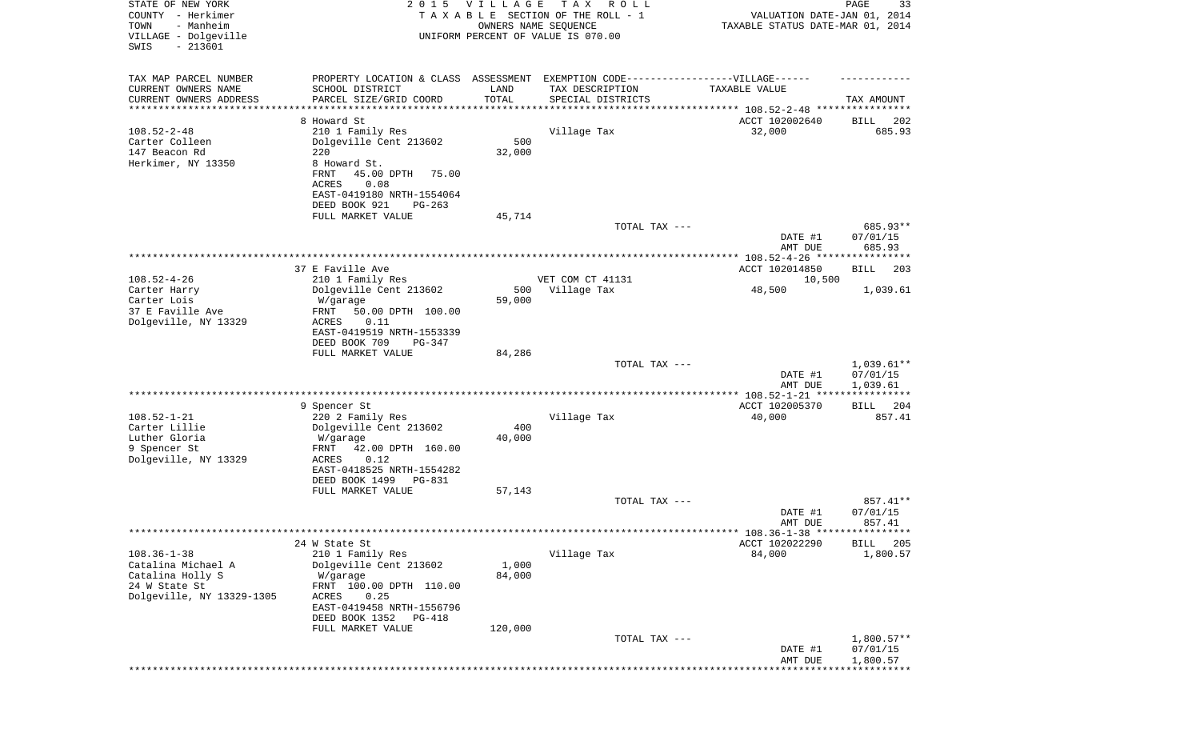| STATE OF NEW YORK<br>COUNTY - Herkimer<br>- Manheim<br>TOWN<br>VILLAGE - Dolgeville<br>$-213601$<br>SWIS | 2 0 1 5                                        | VILLAGE<br>OWNERS NAME SEQUENCE | T A X<br>R O L L<br>TAXABLE SECTION OF THE ROLL - 1<br>UNIFORM PERCENT OF VALUE IS 070.00 | VALUATION DATE-JAN 01, 2014<br>TAXABLE STATUS DATE-MAR 01, 2014 | PAGE<br>33                     |
|----------------------------------------------------------------------------------------------------------|------------------------------------------------|---------------------------------|-------------------------------------------------------------------------------------------|-----------------------------------------------------------------|--------------------------------|
| TAX MAP PARCEL NUMBER                                                                                    |                                                |                                 | PROPERTY LOCATION & CLASS ASSESSMENT EXEMPTION CODE-----------------VILLAGE------         |                                                                 |                                |
| CURRENT OWNERS NAME                                                                                      | SCHOOL DISTRICT                                | LAND                            | TAX DESCRIPTION                                                                           | TAXABLE VALUE                                                   |                                |
| CURRENT OWNERS ADDRESS<br>********************                                                           | PARCEL SIZE/GRID COORD                         | TOTAL                           | SPECIAL DISTRICTS                                                                         | ***************************** 108.52-2-48 ****************      | TAX AMOUNT                     |
|                                                                                                          | 8 Howard St                                    |                                 |                                                                                           | ACCT 102002640                                                  | 202<br>BILL                    |
| $108.52 - 2 - 48$                                                                                        | 210 1 Family Res                               |                                 | Village Tax                                                                               | 32,000                                                          | 685.93                         |
| Carter Colleen                                                                                           | Dolgeville Cent 213602                         | 500                             |                                                                                           |                                                                 |                                |
| 147 Beacon Rd<br>Herkimer, NY 13350                                                                      | 220<br>8 Howard St.                            | 32,000                          |                                                                                           |                                                                 |                                |
|                                                                                                          | FRNT<br>45.00 DPTH<br>75.00                    |                                 |                                                                                           |                                                                 |                                |
|                                                                                                          | <b>ACRES</b><br>0.08                           |                                 |                                                                                           |                                                                 |                                |
|                                                                                                          | EAST-0419180 NRTH-1554064                      |                                 |                                                                                           |                                                                 |                                |
|                                                                                                          | DEED BOOK 921<br>$PG-263$<br>FULL MARKET VALUE | 45,714                          |                                                                                           |                                                                 |                                |
|                                                                                                          |                                                |                                 | TOTAL TAX ---                                                                             |                                                                 | 685.93**                       |
|                                                                                                          |                                                |                                 |                                                                                           | DATE #1                                                         | 07/01/15                       |
|                                                                                                          |                                                |                                 |                                                                                           | AMT DUE                                                         | 685.93                         |
|                                                                                                          | 37 E Faville Ave                               |                                 |                                                                                           | ACCT 102014850                                                  | 203<br>BILL                    |
| $108.52 - 4 - 26$                                                                                        | 210 1 Family Res                               |                                 | VET COM CT 41131                                                                          | 10,500                                                          |                                |
| Carter Harry                                                                                             | Dolgeville Cent 213602                         | 500                             | Village Tax                                                                               | 48,500                                                          | 1,039.61                       |
| Carter Lois<br>37 E Faville Ave                                                                          | W/garage<br>FRNT<br>50.00 DPTH 100.00          | 59,000                          |                                                                                           |                                                                 |                                |
| Dolgeville, NY 13329                                                                                     | 0.11<br>ACRES                                  |                                 |                                                                                           |                                                                 |                                |
|                                                                                                          | EAST-0419519 NRTH-1553339                      |                                 |                                                                                           |                                                                 |                                |
|                                                                                                          | DEED BOOK 709<br>PG-347                        |                                 |                                                                                           |                                                                 |                                |
|                                                                                                          | FULL MARKET VALUE                              | 84,286                          | TOTAL TAX ---                                                                             |                                                                 | $1,039.61**$                   |
|                                                                                                          |                                                |                                 |                                                                                           | DATE #1                                                         | 07/01/15                       |
|                                                                                                          |                                                |                                 |                                                                                           | AMT DUE                                                         | 1,039.61                       |
|                                                                                                          | 9 Spencer St                                   |                                 |                                                                                           | ACCT 102005370                                                  | 204<br>BILL                    |
| $108.52 - 1 - 21$                                                                                        | 220 2 Family Res                               |                                 | Village Tax                                                                               | 40,000                                                          | 857.41                         |
| Carter Lillie                                                                                            | Dolgeville Cent 213602                         | 400                             |                                                                                           |                                                                 |                                |
| Luther Gloria                                                                                            | W/garage                                       | 40,000                          |                                                                                           |                                                                 |                                |
| 9 Spencer St<br>Dolgeville, NY 13329                                                                     | 42.00 DPTH 160.00<br>FRNT<br>0.12<br>ACRES     |                                 |                                                                                           |                                                                 |                                |
|                                                                                                          | EAST-0418525 NRTH-1554282                      |                                 |                                                                                           |                                                                 |                                |
|                                                                                                          | DEED BOOK 1499<br>PG-831                       |                                 |                                                                                           |                                                                 |                                |
|                                                                                                          | FULL MARKET VALUE                              | 57,143                          | TOTAL TAX ---                                                                             |                                                                 | 857.41**                       |
|                                                                                                          |                                                |                                 |                                                                                           | DATE #1                                                         | 07/01/15                       |
|                                                                                                          |                                                |                                 |                                                                                           | AMT DUE                                                         | 857.41                         |
|                                                                                                          |                                                |                                 |                                                                                           | ******* 108.36-1-38 *****************                           |                                |
| $108.36 - 1 - 38$                                                                                        | 24 W State St<br>210 1 Family Res              |                                 | Village Tax                                                                               | ACCT 102022290<br>84,000                                        | <b>BILL</b><br>205<br>1,800.57 |
| Catalina Michael A                                                                                       | Dolgeville Cent 213602                         | 1,000                           |                                                                                           |                                                                 |                                |
| Catalina Holly S                                                                                         | W/garage                                       | 84,000                          |                                                                                           |                                                                 |                                |
| 24 W State St<br>Dolgeville, NY 13329-1305                                                               | FRNT 100.00 DPTH 110.00<br>ACRES<br>0.25       |                                 |                                                                                           |                                                                 |                                |
|                                                                                                          | EAST-0419458 NRTH-1556796                      |                                 |                                                                                           |                                                                 |                                |
|                                                                                                          | DEED BOOK 1352<br>PG-418                       |                                 |                                                                                           |                                                                 |                                |
|                                                                                                          | FULL MARKET VALUE                              | 120,000                         |                                                                                           |                                                                 |                                |
|                                                                                                          |                                                |                                 | TOTAL TAX ---                                                                             | DATE #1                                                         | $1,800.57**$<br>07/01/15       |
|                                                                                                          |                                                |                                 |                                                                                           | AMT DUE                                                         | 1,800.57                       |
|                                                                                                          |                                                |                                 |                                                                                           |                                                                 |                                |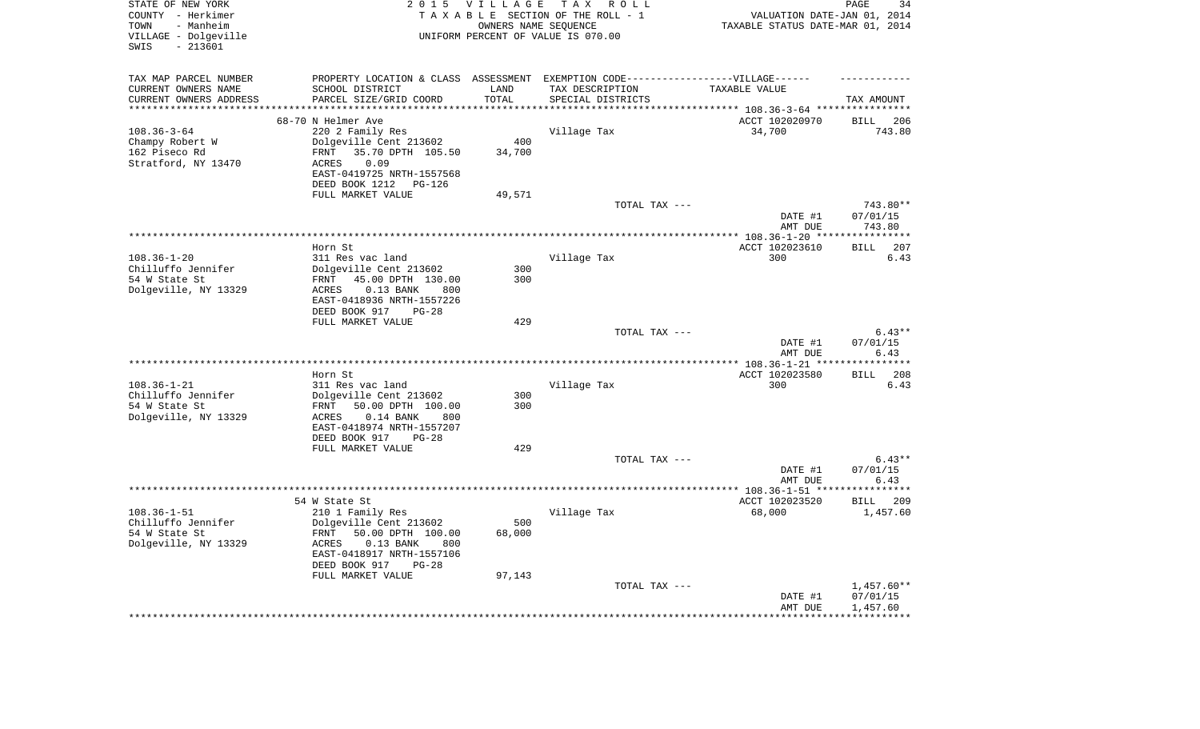| OWNERS NAME SEQUENCE<br>TAXABLE STATUS DATE-MAR 01, 2014<br>UNIFORM PERCENT OF VALUE IS 070.00<br>$-213601$<br>PROPERTY LOCATION & CLASS ASSESSMENT EXEMPTION CODE----------------VILLAGE------<br>SCHOOL DISTRICT<br>LAND<br>TAX DESCRIPTION<br>TAXABLE VALUE<br>PARCEL SIZE/GRID COORD<br>TOTAL<br>SPECIAL DISTRICTS<br>TAX AMOUNT<br>**********<br>******************************** 108.36-3-64 *****************<br>*******************<br>68-70 N Helmer Ave<br>ACCT 102020970<br><b>BILL</b><br>206<br>$108.36 - 3 - 64$<br>220 2 Family Res<br>34,700<br>Village Tax<br>743.80<br>Dolgeville Cent 213602<br>400<br>Champy Robert W<br>162 Piseco Rd<br>35.70 DPTH 105.50<br>FRNT<br>34,700<br>Stratford, NY 13470<br>0.09<br>ACRES<br>EAST-0419725 NRTH-1557568<br>DEED BOOK 1212<br>PG-126<br>FULL MARKET VALUE<br>49,571<br>TOTAL TAX ---<br>743.80**<br>DATE #1<br>07/01/15<br>AMT DUE<br>743.80<br>Horn St<br>ACCT 102023610<br>207<br>BILL<br>$108.36 - 1 - 20$<br>Village Tax<br>300<br>6.43<br>311 Res vac land<br>Chilluffo Jennifer<br>Dolgeville Cent 213602<br>300<br>54 W State St<br>45.00 DPTH 130.00<br>300<br>FRNT<br>Dolgeville, NY 13329<br>ACRES<br>$0.13$ BANK<br>800<br>EAST-0418936 NRTH-1557226<br>DEED BOOK 917<br>$PG-28$<br>FULL MARKET VALUE<br>429<br>TOTAL TAX ---<br>$6.43**$<br>DATE #1<br>07/01/15<br>6.43<br>AMT DUE<br>*********************<br>************ 108.36-1-21 ***<br>Horn St<br>ACCT 102023580<br>208<br>BILL<br>$108.36 - 1 - 21$<br>300<br>311 Res vac land<br>Village Tax<br>6.43<br>Chilluffo Jennifer<br>Dolgeville Cent 213602<br>300<br>300<br>54 W State St<br>FRNT<br>50.00 DPTH 100.00<br>Dolgeville, NY 13329<br>ACRES<br>$0.14$ BANK<br>800<br>EAST-0418974 NRTH-1557207<br>DEED BOOK 917<br>$PG-28$<br>FULL MARKET VALUE<br>429<br>TOTAL TAX ---<br>$6.43**$<br>07/01/15<br>DATE #1<br>AMT DUE<br>6.43<br>ACCT 102023520<br>54 W State St<br><b>BILL</b><br>209<br>$108.36 - 1 - 51$<br>Village Tax<br>68,000<br>210 1 Family Res<br>1,457.60<br>500<br>Chilluffo Jennifer<br>Dolgeville Cent 213602<br>54 W State St<br>FRNT<br>50.00 DPTH 100.00<br>68,000<br>ACRES<br>$0.13$ BANK<br>800<br>EAST-0418917 NRTH-1557106<br>DEED BOOK 917<br>$PG-28$<br>FULL MARKET VALUE<br>97,143<br>TOTAL TAX ---<br>$1,457.60**$<br>DATE #1<br>07/01/15<br>1,457.60<br>AMT DUE | STATE OF NEW YORK<br>COUNTY - Herkimer<br>TOWN<br>- Manheim | 2 0 1 5 | <b>VILLAGE</b> | T A X<br>R O L L<br>TAXABLE SECTION OF THE ROLL - 1 | VALUATION DATE-JAN 01, 2014 | 34<br>PAGE |
|-------------------------------------------------------------------------------------------------------------------------------------------------------------------------------------------------------------------------------------------------------------------------------------------------------------------------------------------------------------------------------------------------------------------------------------------------------------------------------------------------------------------------------------------------------------------------------------------------------------------------------------------------------------------------------------------------------------------------------------------------------------------------------------------------------------------------------------------------------------------------------------------------------------------------------------------------------------------------------------------------------------------------------------------------------------------------------------------------------------------------------------------------------------------------------------------------------------------------------------------------------------------------------------------------------------------------------------------------------------------------------------------------------------------------------------------------------------------------------------------------------------------------------------------------------------------------------------------------------------------------------------------------------------------------------------------------------------------------------------------------------------------------------------------------------------------------------------------------------------------------------------------------------------------------------------------------------------------------------------------------------------------------------------------------------------------------------------------------------------------------------------------------------------------------------------------------------------------------------------------------------------------------------------------------------------------------------------|-------------------------------------------------------------|---------|----------------|-----------------------------------------------------|-----------------------------|------------|
|                                                                                                                                                                                                                                                                                                                                                                                                                                                                                                                                                                                                                                                                                                                                                                                                                                                                                                                                                                                                                                                                                                                                                                                                                                                                                                                                                                                                                                                                                                                                                                                                                                                                                                                                                                                                                                                                                                                                                                                                                                                                                                                                                                                                                                                                                                                                     | VILLAGE - Dolgeville<br>SWIS                                |         |                |                                                     |                             |            |
|                                                                                                                                                                                                                                                                                                                                                                                                                                                                                                                                                                                                                                                                                                                                                                                                                                                                                                                                                                                                                                                                                                                                                                                                                                                                                                                                                                                                                                                                                                                                                                                                                                                                                                                                                                                                                                                                                                                                                                                                                                                                                                                                                                                                                                                                                                                                     | TAX MAP PARCEL NUMBER                                       |         |                |                                                     |                             |            |
|                                                                                                                                                                                                                                                                                                                                                                                                                                                                                                                                                                                                                                                                                                                                                                                                                                                                                                                                                                                                                                                                                                                                                                                                                                                                                                                                                                                                                                                                                                                                                                                                                                                                                                                                                                                                                                                                                                                                                                                                                                                                                                                                                                                                                                                                                                                                     | CURRENT OWNERS NAME                                         |         |                |                                                     |                             |            |
|                                                                                                                                                                                                                                                                                                                                                                                                                                                                                                                                                                                                                                                                                                                                                                                                                                                                                                                                                                                                                                                                                                                                                                                                                                                                                                                                                                                                                                                                                                                                                                                                                                                                                                                                                                                                                                                                                                                                                                                                                                                                                                                                                                                                                                                                                                                                     | CURRENT OWNERS ADDRESS                                      |         |                |                                                     |                             |            |
|                                                                                                                                                                                                                                                                                                                                                                                                                                                                                                                                                                                                                                                                                                                                                                                                                                                                                                                                                                                                                                                                                                                                                                                                                                                                                                                                                                                                                                                                                                                                                                                                                                                                                                                                                                                                                                                                                                                                                                                                                                                                                                                                                                                                                                                                                                                                     |                                                             |         |                |                                                     |                             |            |
|                                                                                                                                                                                                                                                                                                                                                                                                                                                                                                                                                                                                                                                                                                                                                                                                                                                                                                                                                                                                                                                                                                                                                                                                                                                                                                                                                                                                                                                                                                                                                                                                                                                                                                                                                                                                                                                                                                                                                                                                                                                                                                                                                                                                                                                                                                                                     |                                                             |         |                |                                                     |                             |            |
|                                                                                                                                                                                                                                                                                                                                                                                                                                                                                                                                                                                                                                                                                                                                                                                                                                                                                                                                                                                                                                                                                                                                                                                                                                                                                                                                                                                                                                                                                                                                                                                                                                                                                                                                                                                                                                                                                                                                                                                                                                                                                                                                                                                                                                                                                                                                     |                                                             |         |                |                                                     |                             |            |
|                                                                                                                                                                                                                                                                                                                                                                                                                                                                                                                                                                                                                                                                                                                                                                                                                                                                                                                                                                                                                                                                                                                                                                                                                                                                                                                                                                                                                                                                                                                                                                                                                                                                                                                                                                                                                                                                                                                                                                                                                                                                                                                                                                                                                                                                                                                                     |                                                             |         |                |                                                     |                             |            |
|                                                                                                                                                                                                                                                                                                                                                                                                                                                                                                                                                                                                                                                                                                                                                                                                                                                                                                                                                                                                                                                                                                                                                                                                                                                                                                                                                                                                                                                                                                                                                                                                                                                                                                                                                                                                                                                                                                                                                                                                                                                                                                                                                                                                                                                                                                                                     |                                                             |         |                |                                                     |                             |            |
|                                                                                                                                                                                                                                                                                                                                                                                                                                                                                                                                                                                                                                                                                                                                                                                                                                                                                                                                                                                                                                                                                                                                                                                                                                                                                                                                                                                                                                                                                                                                                                                                                                                                                                                                                                                                                                                                                                                                                                                                                                                                                                                                                                                                                                                                                                                                     |                                                             |         |                |                                                     |                             |            |
|                                                                                                                                                                                                                                                                                                                                                                                                                                                                                                                                                                                                                                                                                                                                                                                                                                                                                                                                                                                                                                                                                                                                                                                                                                                                                                                                                                                                                                                                                                                                                                                                                                                                                                                                                                                                                                                                                                                                                                                                                                                                                                                                                                                                                                                                                                                                     |                                                             |         |                |                                                     |                             |            |
|                                                                                                                                                                                                                                                                                                                                                                                                                                                                                                                                                                                                                                                                                                                                                                                                                                                                                                                                                                                                                                                                                                                                                                                                                                                                                                                                                                                                                                                                                                                                                                                                                                                                                                                                                                                                                                                                                                                                                                                                                                                                                                                                                                                                                                                                                                                                     |                                                             |         |                |                                                     |                             |            |
|                                                                                                                                                                                                                                                                                                                                                                                                                                                                                                                                                                                                                                                                                                                                                                                                                                                                                                                                                                                                                                                                                                                                                                                                                                                                                                                                                                                                                                                                                                                                                                                                                                                                                                                                                                                                                                                                                                                                                                                                                                                                                                                                                                                                                                                                                                                                     |                                                             |         |                |                                                     |                             |            |
|                                                                                                                                                                                                                                                                                                                                                                                                                                                                                                                                                                                                                                                                                                                                                                                                                                                                                                                                                                                                                                                                                                                                                                                                                                                                                                                                                                                                                                                                                                                                                                                                                                                                                                                                                                                                                                                                                                                                                                                                                                                                                                                                                                                                                                                                                                                                     |                                                             |         |                |                                                     |                             |            |
|                                                                                                                                                                                                                                                                                                                                                                                                                                                                                                                                                                                                                                                                                                                                                                                                                                                                                                                                                                                                                                                                                                                                                                                                                                                                                                                                                                                                                                                                                                                                                                                                                                                                                                                                                                                                                                                                                                                                                                                                                                                                                                                                                                                                                                                                                                                                     |                                                             |         |                |                                                     |                             |            |
|                                                                                                                                                                                                                                                                                                                                                                                                                                                                                                                                                                                                                                                                                                                                                                                                                                                                                                                                                                                                                                                                                                                                                                                                                                                                                                                                                                                                                                                                                                                                                                                                                                                                                                                                                                                                                                                                                                                                                                                                                                                                                                                                                                                                                                                                                                                                     |                                                             |         |                |                                                     |                             |            |
|                                                                                                                                                                                                                                                                                                                                                                                                                                                                                                                                                                                                                                                                                                                                                                                                                                                                                                                                                                                                                                                                                                                                                                                                                                                                                                                                                                                                                                                                                                                                                                                                                                                                                                                                                                                                                                                                                                                                                                                                                                                                                                                                                                                                                                                                                                                                     |                                                             |         |                |                                                     |                             |            |
|                                                                                                                                                                                                                                                                                                                                                                                                                                                                                                                                                                                                                                                                                                                                                                                                                                                                                                                                                                                                                                                                                                                                                                                                                                                                                                                                                                                                                                                                                                                                                                                                                                                                                                                                                                                                                                                                                                                                                                                                                                                                                                                                                                                                                                                                                                                                     |                                                             |         |                |                                                     |                             |            |
|                                                                                                                                                                                                                                                                                                                                                                                                                                                                                                                                                                                                                                                                                                                                                                                                                                                                                                                                                                                                                                                                                                                                                                                                                                                                                                                                                                                                                                                                                                                                                                                                                                                                                                                                                                                                                                                                                                                                                                                                                                                                                                                                                                                                                                                                                                                                     |                                                             |         |                |                                                     |                             |            |
|                                                                                                                                                                                                                                                                                                                                                                                                                                                                                                                                                                                                                                                                                                                                                                                                                                                                                                                                                                                                                                                                                                                                                                                                                                                                                                                                                                                                                                                                                                                                                                                                                                                                                                                                                                                                                                                                                                                                                                                                                                                                                                                                                                                                                                                                                                                                     |                                                             |         |                |                                                     |                             |            |
|                                                                                                                                                                                                                                                                                                                                                                                                                                                                                                                                                                                                                                                                                                                                                                                                                                                                                                                                                                                                                                                                                                                                                                                                                                                                                                                                                                                                                                                                                                                                                                                                                                                                                                                                                                                                                                                                                                                                                                                                                                                                                                                                                                                                                                                                                                                                     |                                                             |         |                |                                                     |                             |            |
|                                                                                                                                                                                                                                                                                                                                                                                                                                                                                                                                                                                                                                                                                                                                                                                                                                                                                                                                                                                                                                                                                                                                                                                                                                                                                                                                                                                                                                                                                                                                                                                                                                                                                                                                                                                                                                                                                                                                                                                                                                                                                                                                                                                                                                                                                                                                     |                                                             |         |                |                                                     |                             |            |
|                                                                                                                                                                                                                                                                                                                                                                                                                                                                                                                                                                                                                                                                                                                                                                                                                                                                                                                                                                                                                                                                                                                                                                                                                                                                                                                                                                                                                                                                                                                                                                                                                                                                                                                                                                                                                                                                                                                                                                                                                                                                                                                                                                                                                                                                                                                                     |                                                             |         |                |                                                     |                             |            |
|                                                                                                                                                                                                                                                                                                                                                                                                                                                                                                                                                                                                                                                                                                                                                                                                                                                                                                                                                                                                                                                                                                                                                                                                                                                                                                                                                                                                                                                                                                                                                                                                                                                                                                                                                                                                                                                                                                                                                                                                                                                                                                                                                                                                                                                                                                                                     |                                                             |         |                |                                                     |                             |            |
|                                                                                                                                                                                                                                                                                                                                                                                                                                                                                                                                                                                                                                                                                                                                                                                                                                                                                                                                                                                                                                                                                                                                                                                                                                                                                                                                                                                                                                                                                                                                                                                                                                                                                                                                                                                                                                                                                                                                                                                                                                                                                                                                                                                                                                                                                                                                     |                                                             |         |                |                                                     |                             |            |
|                                                                                                                                                                                                                                                                                                                                                                                                                                                                                                                                                                                                                                                                                                                                                                                                                                                                                                                                                                                                                                                                                                                                                                                                                                                                                                                                                                                                                                                                                                                                                                                                                                                                                                                                                                                                                                                                                                                                                                                                                                                                                                                                                                                                                                                                                                                                     |                                                             |         |                |                                                     |                             |            |
|                                                                                                                                                                                                                                                                                                                                                                                                                                                                                                                                                                                                                                                                                                                                                                                                                                                                                                                                                                                                                                                                                                                                                                                                                                                                                                                                                                                                                                                                                                                                                                                                                                                                                                                                                                                                                                                                                                                                                                                                                                                                                                                                                                                                                                                                                                                                     |                                                             |         |                |                                                     |                             |            |
|                                                                                                                                                                                                                                                                                                                                                                                                                                                                                                                                                                                                                                                                                                                                                                                                                                                                                                                                                                                                                                                                                                                                                                                                                                                                                                                                                                                                                                                                                                                                                                                                                                                                                                                                                                                                                                                                                                                                                                                                                                                                                                                                                                                                                                                                                                                                     |                                                             |         |                |                                                     |                             |            |
|                                                                                                                                                                                                                                                                                                                                                                                                                                                                                                                                                                                                                                                                                                                                                                                                                                                                                                                                                                                                                                                                                                                                                                                                                                                                                                                                                                                                                                                                                                                                                                                                                                                                                                                                                                                                                                                                                                                                                                                                                                                                                                                                                                                                                                                                                                                                     |                                                             |         |                |                                                     |                             |            |
|                                                                                                                                                                                                                                                                                                                                                                                                                                                                                                                                                                                                                                                                                                                                                                                                                                                                                                                                                                                                                                                                                                                                                                                                                                                                                                                                                                                                                                                                                                                                                                                                                                                                                                                                                                                                                                                                                                                                                                                                                                                                                                                                                                                                                                                                                                                                     |                                                             |         |                |                                                     |                             |            |
|                                                                                                                                                                                                                                                                                                                                                                                                                                                                                                                                                                                                                                                                                                                                                                                                                                                                                                                                                                                                                                                                                                                                                                                                                                                                                                                                                                                                                                                                                                                                                                                                                                                                                                                                                                                                                                                                                                                                                                                                                                                                                                                                                                                                                                                                                                                                     |                                                             |         |                |                                                     |                             |            |
|                                                                                                                                                                                                                                                                                                                                                                                                                                                                                                                                                                                                                                                                                                                                                                                                                                                                                                                                                                                                                                                                                                                                                                                                                                                                                                                                                                                                                                                                                                                                                                                                                                                                                                                                                                                                                                                                                                                                                                                                                                                                                                                                                                                                                                                                                                                                     |                                                             |         |                |                                                     |                             |            |
|                                                                                                                                                                                                                                                                                                                                                                                                                                                                                                                                                                                                                                                                                                                                                                                                                                                                                                                                                                                                                                                                                                                                                                                                                                                                                                                                                                                                                                                                                                                                                                                                                                                                                                                                                                                                                                                                                                                                                                                                                                                                                                                                                                                                                                                                                                                                     |                                                             |         |                |                                                     |                             |            |
|                                                                                                                                                                                                                                                                                                                                                                                                                                                                                                                                                                                                                                                                                                                                                                                                                                                                                                                                                                                                                                                                                                                                                                                                                                                                                                                                                                                                                                                                                                                                                                                                                                                                                                                                                                                                                                                                                                                                                                                                                                                                                                                                                                                                                                                                                                                                     |                                                             |         |                |                                                     |                             |            |
|                                                                                                                                                                                                                                                                                                                                                                                                                                                                                                                                                                                                                                                                                                                                                                                                                                                                                                                                                                                                                                                                                                                                                                                                                                                                                                                                                                                                                                                                                                                                                                                                                                                                                                                                                                                                                                                                                                                                                                                                                                                                                                                                                                                                                                                                                                                                     |                                                             |         |                |                                                     |                             |            |
|                                                                                                                                                                                                                                                                                                                                                                                                                                                                                                                                                                                                                                                                                                                                                                                                                                                                                                                                                                                                                                                                                                                                                                                                                                                                                                                                                                                                                                                                                                                                                                                                                                                                                                                                                                                                                                                                                                                                                                                                                                                                                                                                                                                                                                                                                                                                     |                                                             |         |                |                                                     |                             |            |
|                                                                                                                                                                                                                                                                                                                                                                                                                                                                                                                                                                                                                                                                                                                                                                                                                                                                                                                                                                                                                                                                                                                                                                                                                                                                                                                                                                                                                                                                                                                                                                                                                                                                                                                                                                                                                                                                                                                                                                                                                                                                                                                                                                                                                                                                                                                                     |                                                             |         |                |                                                     |                             |            |
|                                                                                                                                                                                                                                                                                                                                                                                                                                                                                                                                                                                                                                                                                                                                                                                                                                                                                                                                                                                                                                                                                                                                                                                                                                                                                                                                                                                                                                                                                                                                                                                                                                                                                                                                                                                                                                                                                                                                                                                                                                                                                                                                                                                                                                                                                                                                     |                                                             |         |                |                                                     |                             |            |
|                                                                                                                                                                                                                                                                                                                                                                                                                                                                                                                                                                                                                                                                                                                                                                                                                                                                                                                                                                                                                                                                                                                                                                                                                                                                                                                                                                                                                                                                                                                                                                                                                                                                                                                                                                                                                                                                                                                                                                                                                                                                                                                                                                                                                                                                                                                                     |                                                             |         |                |                                                     |                             |            |
|                                                                                                                                                                                                                                                                                                                                                                                                                                                                                                                                                                                                                                                                                                                                                                                                                                                                                                                                                                                                                                                                                                                                                                                                                                                                                                                                                                                                                                                                                                                                                                                                                                                                                                                                                                                                                                                                                                                                                                                                                                                                                                                                                                                                                                                                                                                                     |                                                             |         |                |                                                     |                             |            |
|                                                                                                                                                                                                                                                                                                                                                                                                                                                                                                                                                                                                                                                                                                                                                                                                                                                                                                                                                                                                                                                                                                                                                                                                                                                                                                                                                                                                                                                                                                                                                                                                                                                                                                                                                                                                                                                                                                                                                                                                                                                                                                                                                                                                                                                                                                                                     |                                                             |         |                |                                                     |                             |            |
|                                                                                                                                                                                                                                                                                                                                                                                                                                                                                                                                                                                                                                                                                                                                                                                                                                                                                                                                                                                                                                                                                                                                                                                                                                                                                                                                                                                                                                                                                                                                                                                                                                                                                                                                                                                                                                                                                                                                                                                                                                                                                                                                                                                                                                                                                                                                     | Dolgeville, NY 13329                                        |         |                |                                                     |                             |            |
|                                                                                                                                                                                                                                                                                                                                                                                                                                                                                                                                                                                                                                                                                                                                                                                                                                                                                                                                                                                                                                                                                                                                                                                                                                                                                                                                                                                                                                                                                                                                                                                                                                                                                                                                                                                                                                                                                                                                                                                                                                                                                                                                                                                                                                                                                                                                     |                                                             |         |                |                                                     |                             |            |
|                                                                                                                                                                                                                                                                                                                                                                                                                                                                                                                                                                                                                                                                                                                                                                                                                                                                                                                                                                                                                                                                                                                                                                                                                                                                                                                                                                                                                                                                                                                                                                                                                                                                                                                                                                                                                                                                                                                                                                                                                                                                                                                                                                                                                                                                                                                                     |                                                             |         |                |                                                     |                             |            |
|                                                                                                                                                                                                                                                                                                                                                                                                                                                                                                                                                                                                                                                                                                                                                                                                                                                                                                                                                                                                                                                                                                                                                                                                                                                                                                                                                                                                                                                                                                                                                                                                                                                                                                                                                                                                                                                                                                                                                                                                                                                                                                                                                                                                                                                                                                                                     |                                                             |         |                |                                                     |                             |            |
|                                                                                                                                                                                                                                                                                                                                                                                                                                                                                                                                                                                                                                                                                                                                                                                                                                                                                                                                                                                                                                                                                                                                                                                                                                                                                                                                                                                                                                                                                                                                                                                                                                                                                                                                                                                                                                                                                                                                                                                                                                                                                                                                                                                                                                                                                                                                     |                                                             |         |                |                                                     |                             |            |
|                                                                                                                                                                                                                                                                                                                                                                                                                                                                                                                                                                                                                                                                                                                                                                                                                                                                                                                                                                                                                                                                                                                                                                                                                                                                                                                                                                                                                                                                                                                                                                                                                                                                                                                                                                                                                                                                                                                                                                                                                                                                                                                                                                                                                                                                                                                                     |                                                             |         |                |                                                     |                             |            |
|                                                                                                                                                                                                                                                                                                                                                                                                                                                                                                                                                                                                                                                                                                                                                                                                                                                                                                                                                                                                                                                                                                                                                                                                                                                                                                                                                                                                                                                                                                                                                                                                                                                                                                                                                                                                                                                                                                                                                                                                                                                                                                                                                                                                                                                                                                                                     |                                                             |         |                |                                                     |                             |            |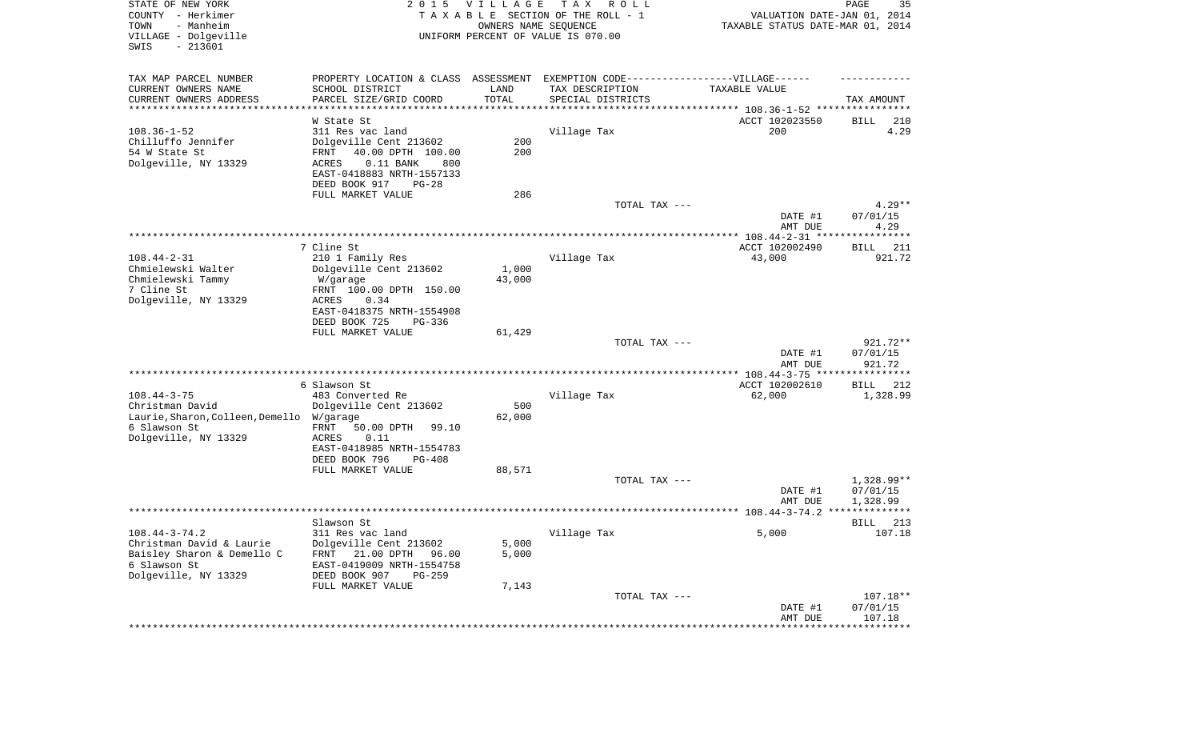| STATE OF NEW YORK<br>COUNTY - Herkimer<br>TOWN<br>- Manheim<br>VILLAGE - Dolgeville<br>SWIS<br>$-213601$ | 2 0 1 5                                                                          | <b>VILLAGE</b><br>OWNERS NAME SEQUENCE | T A X<br>R O L L<br>TAXABLE SECTION OF THE ROLL - 1<br>UNIFORM PERCENT OF VALUE IS 070.00 | VALUATION DATE-JAN 01, 2014<br>TAXABLE STATUS DATE-MAR 01, 2014 | PAGE<br>35                  |
|----------------------------------------------------------------------------------------------------------|----------------------------------------------------------------------------------|----------------------------------------|-------------------------------------------------------------------------------------------|-----------------------------------------------------------------|-----------------------------|
| TAX MAP PARCEL NUMBER                                                                                    | PROPERTY LOCATION & CLASS ASSESSMENT EXEMPTION CODE----------------VILLAGE------ |                                        |                                                                                           |                                                                 |                             |
| CURRENT OWNERS NAME<br>CURRENT OWNERS ADDRESS                                                            | SCHOOL DISTRICT<br>PARCEL SIZE/GRID COORD                                        | LAND<br>TOTAL                          | TAX DESCRIPTION<br>SPECIAL DISTRICTS                                                      | TAXABLE VALUE                                                   | TAX AMOUNT                  |
| **********************                                                                                   |                                                                                  |                                        |                                                                                           | ********************************* 108.36-1-52 ****************  |                             |
|                                                                                                          | W State St                                                                       |                                        |                                                                                           | ACCT 102023550                                                  | BILL<br>210                 |
| $108.36 - 1 - 52$                                                                                        | 311 Res vac land                                                                 |                                        | Village Tax                                                                               | 200                                                             | 4.29                        |
| Chilluffo Jennifer<br>54 W State St                                                                      | Dolgeville Cent 213602<br>40.00 DPTH 100.00<br>FRNT                              | 200<br>200                             |                                                                                           |                                                                 |                             |
| Dolgeville, NY 13329                                                                                     | <b>ACRES</b><br>$0.11$ BANK<br>800                                               |                                        |                                                                                           |                                                                 |                             |
|                                                                                                          | EAST-0418883 NRTH-1557133                                                        |                                        |                                                                                           |                                                                 |                             |
|                                                                                                          | DEED BOOK 917<br>$PG-28$                                                         |                                        |                                                                                           |                                                                 |                             |
|                                                                                                          | FULL MARKET VALUE                                                                | 286                                    |                                                                                           |                                                                 |                             |
|                                                                                                          |                                                                                  |                                        | TOTAL TAX ---                                                                             | DATE #1                                                         | $4.29**$<br>07/01/15        |
|                                                                                                          |                                                                                  |                                        |                                                                                           | AMT DUE                                                         | 4.29                        |
|                                                                                                          |                                                                                  |                                        |                                                                                           |                                                                 |                             |
|                                                                                                          | 7 Cline St                                                                       |                                        |                                                                                           | ACCT 102002490                                                  | 211<br>BILL<br>921.72       |
| $108.44 - 2 - 31$<br>Chmielewski Walter                                                                  | 210 1 Family Res<br>Dolgeville Cent 213602                                       | 1,000                                  | Village Tax                                                                               | 43,000                                                          |                             |
| Chmielewski Tammy                                                                                        | W/garage                                                                         | 43,000                                 |                                                                                           |                                                                 |                             |
| 7 Cline St                                                                                               | FRNT 100.00 DPTH 150.00                                                          |                                        |                                                                                           |                                                                 |                             |
| Dolgeville, NY 13329                                                                                     | ACRES<br>0.34                                                                    |                                        |                                                                                           |                                                                 |                             |
|                                                                                                          | EAST-0418375 NRTH-1554908<br>DEED BOOK 725<br>$PG-336$                           |                                        |                                                                                           |                                                                 |                             |
|                                                                                                          | FULL MARKET VALUE                                                                | 61,429                                 |                                                                                           |                                                                 |                             |
|                                                                                                          |                                                                                  |                                        | TOTAL TAX ---                                                                             |                                                                 | 921.72**                    |
|                                                                                                          |                                                                                  |                                        |                                                                                           | DATE #1                                                         | 07/01/15                    |
|                                                                                                          |                                                                                  |                                        |                                                                                           | AMT DUE<br>*********** 108.44-3-75 *****************            | 921.72                      |
|                                                                                                          | 6 Slawson St                                                                     |                                        |                                                                                           | ACCT 102002610                                                  | <b>BILL</b><br>212          |
| $108.44 - 3 - 75$                                                                                        | 483 Converted Re                                                                 |                                        | Village Tax                                                                               | 62,000                                                          | 1,328.99                    |
| Christman David                                                                                          | Dolgeville Cent 213602                                                           | 500                                    |                                                                                           |                                                                 |                             |
| Laurie, Sharon, Colleen, Demello<br>6 Slawson St                                                         | W/garage<br>FRNT<br>50.00 DPTH<br>99.10                                          | 62,000                                 |                                                                                           |                                                                 |                             |
| Dolgeville, NY 13329                                                                                     | ACRES<br>0.11                                                                    |                                        |                                                                                           |                                                                 |                             |
|                                                                                                          | EAST-0418985 NRTH-1554783                                                        |                                        |                                                                                           |                                                                 |                             |
|                                                                                                          | DEED BOOK 796<br>$PG-408$                                                        |                                        |                                                                                           |                                                                 |                             |
|                                                                                                          | FULL MARKET VALUE                                                                | 88,571                                 | TOTAL TAX ---                                                                             |                                                                 | 1,328.99**                  |
|                                                                                                          |                                                                                  |                                        |                                                                                           | DATE #1                                                         | 07/01/15                    |
|                                                                                                          |                                                                                  |                                        |                                                                                           | AMT DUE                                                         | 1,328.99                    |
|                                                                                                          |                                                                                  |                                        |                                                                                           |                                                                 |                             |
| $108.44 - 3 - 74.2$                                                                                      | Slawson St<br>311 Res vac land                                                   |                                        |                                                                                           | 5,000                                                           | 213<br>BILL<br>107.18       |
| Christman David & Laurie                                                                                 | Dolgeville Cent 213602                                                           | 5,000                                  | Village Tax                                                                               |                                                                 |                             |
| Baisley Sharon & Demello C                                                                               | 21.00 DPTH<br>FRNT<br>96.00                                                      | 5,000                                  |                                                                                           |                                                                 |                             |
| 6 Slawson St                                                                                             | EAST-0419009 NRTH-1554758                                                        |                                        |                                                                                           |                                                                 |                             |
| Dolgeville, NY 13329                                                                                     | DEED BOOK 907<br>$PG-259$                                                        |                                        |                                                                                           |                                                                 |                             |
|                                                                                                          | FULL MARKET VALUE                                                                | 7,143                                  | TOTAL TAX ---                                                                             |                                                                 | $107.18**$                  |
|                                                                                                          |                                                                                  |                                        |                                                                                           | DATE #1                                                         | 07/01/15                    |
|                                                                                                          |                                                                                  |                                        |                                                                                           | AMT DUE                                                         | 107.18                      |
|                                                                                                          |                                                                                  |                                        |                                                                                           | *****************                                               | * * * * * * * * * * * * * * |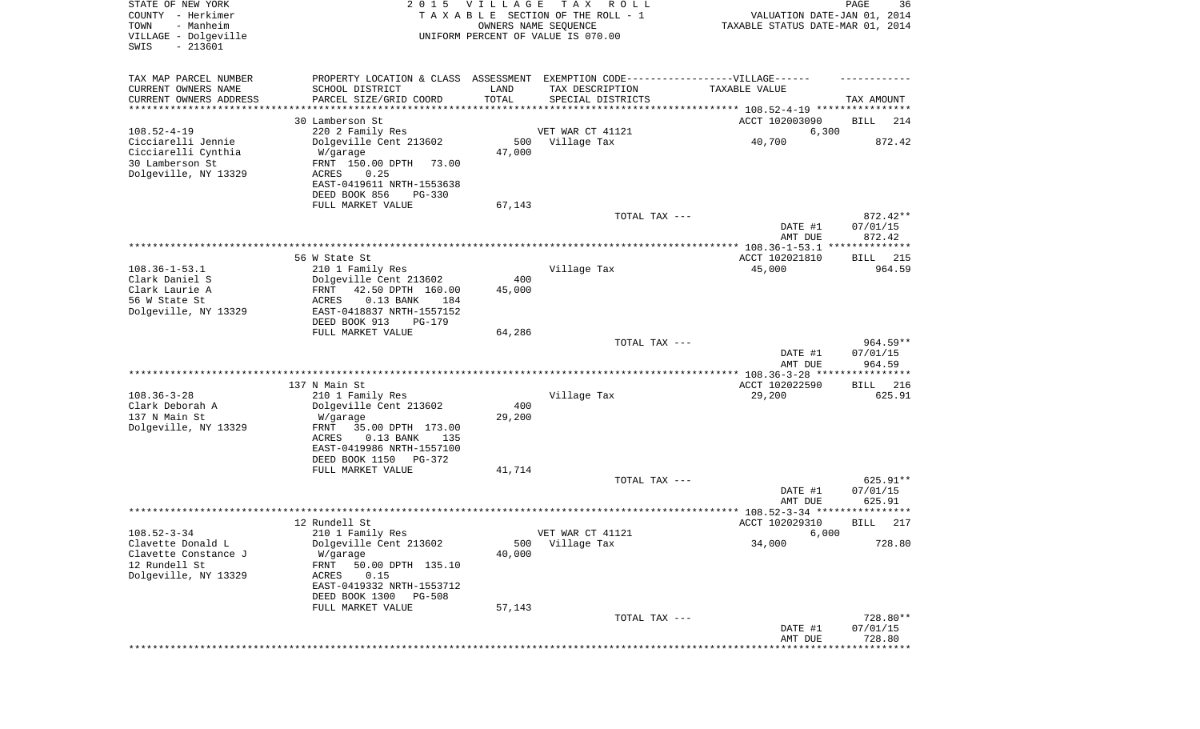| STATE OF NEW YORK<br>COUNTY - Herkimer<br>- Manheim<br>TOWN<br>VILLAGE - Dolgeville<br>$-213601$<br>SWIS | 2 0 1 5                                                                                                                          | VILLAGE       | T A X<br>R O L L<br>TAXABLE SECTION OF THE ROLL - 1<br>OWNERS NAME SEQUENCE<br>UNIFORM PERCENT OF VALUE IS 070.00                                                                           | VALUATION DATE-JAN 01, 2014<br>TAXABLE STATUS DATE-MAR 01, 2014 | PAGE<br>36                     |
|----------------------------------------------------------------------------------------------------------|----------------------------------------------------------------------------------------------------------------------------------|---------------|---------------------------------------------------------------------------------------------------------------------------------------------------------------------------------------------|-----------------------------------------------------------------|--------------------------------|
| TAX MAP PARCEL NUMBER<br>CURRENT OWNERS NAME<br>CURRENT OWNERS ADDRESS<br>********************           | SCHOOL DISTRICT<br>PARCEL SIZE/GRID COORD                                                                                        | LAND<br>TOTAL | PROPERTY LOCATION & CLASS ASSESSMENT EXEMPTION CODE-----------------VILLAGE------<br>TAX DESCRIPTION<br>SPECIAL DISTRICTS<br>********************************* 108.52-4-19 **************** | TAXABLE VALUE                                                   | TAX AMOUNT                     |
|                                                                                                          | 30 Lamberson St                                                                                                                  |               |                                                                                                                                                                                             | ACCT 102003090                                                  | BILL<br>214                    |
| $108.52 - 4 - 19$                                                                                        | 220 2 Family Res                                                                                                                 |               | VET WAR CT 41121                                                                                                                                                                            | 6,300                                                           |                                |
| Cicciarelli Jennie<br>Cicciarelli Cynthia<br>30 Lamberson St<br>Dolgeville, NY 13329                     | Dolgeville Cent 213602<br>W/garage<br>FRNT 150.00 DPTH<br>73.00<br>ACRES<br>0.25                                                 | 500<br>47,000 | Village Tax                                                                                                                                                                                 | 40,700                                                          | 872.42                         |
|                                                                                                          | EAST-0419611 NRTH-1553638<br>DEED BOOK 856<br>$PG-330$                                                                           |               |                                                                                                                                                                                             |                                                                 |                                |
|                                                                                                          | FULL MARKET VALUE                                                                                                                | 67,143        | TOTAL TAX ---                                                                                                                                                                               |                                                                 | 872.42**                       |
|                                                                                                          |                                                                                                                                  |               |                                                                                                                                                                                             | DATE #1<br>AMT DUE                                              | 07/01/15<br>872.42             |
|                                                                                                          |                                                                                                                                  |               |                                                                                                                                                                                             |                                                                 |                                |
|                                                                                                          | 56 W State St                                                                                                                    |               |                                                                                                                                                                                             | ACCT 102021810                                                  | BILL 215                       |
| $108.36 - 1 - 53.1$                                                                                      | 210 1 Family Res                                                                                                                 |               | Village Tax                                                                                                                                                                                 | 45,000                                                          | 964.59                         |
| Clark Daniel S<br>Clark Laurie A<br>56 W State St<br>Dolgeville, NY 13329                                | Dolgeville Cent 213602<br>FRNT<br>42.50 DPTH 160.00<br>ACRES<br>$0.13$ BANK<br>184<br>EAST-0418837 NRTH-1557152<br>DEED BOOK 913 | 400<br>45,000 |                                                                                                                                                                                             |                                                                 |                                |
|                                                                                                          | PG-179<br>FULL MARKET VALUE                                                                                                      | 64,286        |                                                                                                                                                                                             |                                                                 |                                |
|                                                                                                          |                                                                                                                                  |               | TOTAL TAX ---                                                                                                                                                                               | DATE #1<br>AMT DUE                                              | 964.59**<br>07/01/15<br>964.59 |
|                                                                                                          |                                                                                                                                  |               |                                                                                                                                                                                             | ********** 108.36-3-28 **                                       | ********                       |
| $108.36 - 3 - 28$                                                                                        | 137 N Main St<br>210 1 Family Res                                                                                                |               | Village Tax                                                                                                                                                                                 | ACCT 102022590<br>29,200                                        | 216<br>BILL<br>625.91          |
| Clark Deborah A                                                                                          | Dolgeville Cent 213602                                                                                                           | 400           |                                                                                                                                                                                             |                                                                 |                                |
| 137 N Main St<br>Dolgeville, NY 13329                                                                    | W/garage<br>FRNT<br>35.00 DPTH 173.00<br>ACRES<br>$0.13$ BANK<br>135                                                             | 29,200        |                                                                                                                                                                                             |                                                                 |                                |
|                                                                                                          | EAST-0419986 NRTH-1557100<br>DEED BOOK 1150 PG-372                                                                               |               |                                                                                                                                                                                             |                                                                 |                                |
|                                                                                                          | FULL MARKET VALUE                                                                                                                | 41,714        |                                                                                                                                                                                             |                                                                 |                                |
|                                                                                                          |                                                                                                                                  |               | TOTAL TAX ---                                                                                                                                                                               | DATE #1<br>AMT DUE                                              | 625.91**<br>07/01/15<br>625.91 |
|                                                                                                          |                                                                                                                                  |               |                                                                                                                                                                                             |                                                                 | *****                          |
|                                                                                                          | 12 Rundell St                                                                                                                    |               |                                                                                                                                                                                             | ACCT 102029310                                                  | 217<br>BILL                    |
| $108.52 - 3 - 34$<br>Clavette Donald L<br>Clavette Constance J                                           | 210 1 Family Res<br>Dolgeville Cent 213602<br>W/garage                                                                           | 500<br>40,000 | VET WAR CT 41121<br>Village Tax                                                                                                                                                             | 6,000<br>34,000                                                 | 728.80                         |
| 12 Rundell St<br>Dolgeville, NY 13329                                                                    | FRNT<br>50.00 DPTH 135.10<br>0.15<br>ACRES<br>EAST-0419332 NRTH-1553712<br>DEED BOOK 1300<br><b>PG-508</b>                       |               |                                                                                                                                                                                             |                                                                 |                                |
|                                                                                                          | FULL MARKET VALUE                                                                                                                | 57,143        |                                                                                                                                                                                             |                                                                 |                                |
|                                                                                                          |                                                                                                                                  |               | TOTAL TAX ---                                                                                                                                                                               | DATE #1<br>AMT DUE                                              | 728.80**<br>07/01/15<br>728.80 |
|                                                                                                          |                                                                                                                                  |               |                                                                                                                                                                                             |                                                                 | *********                      |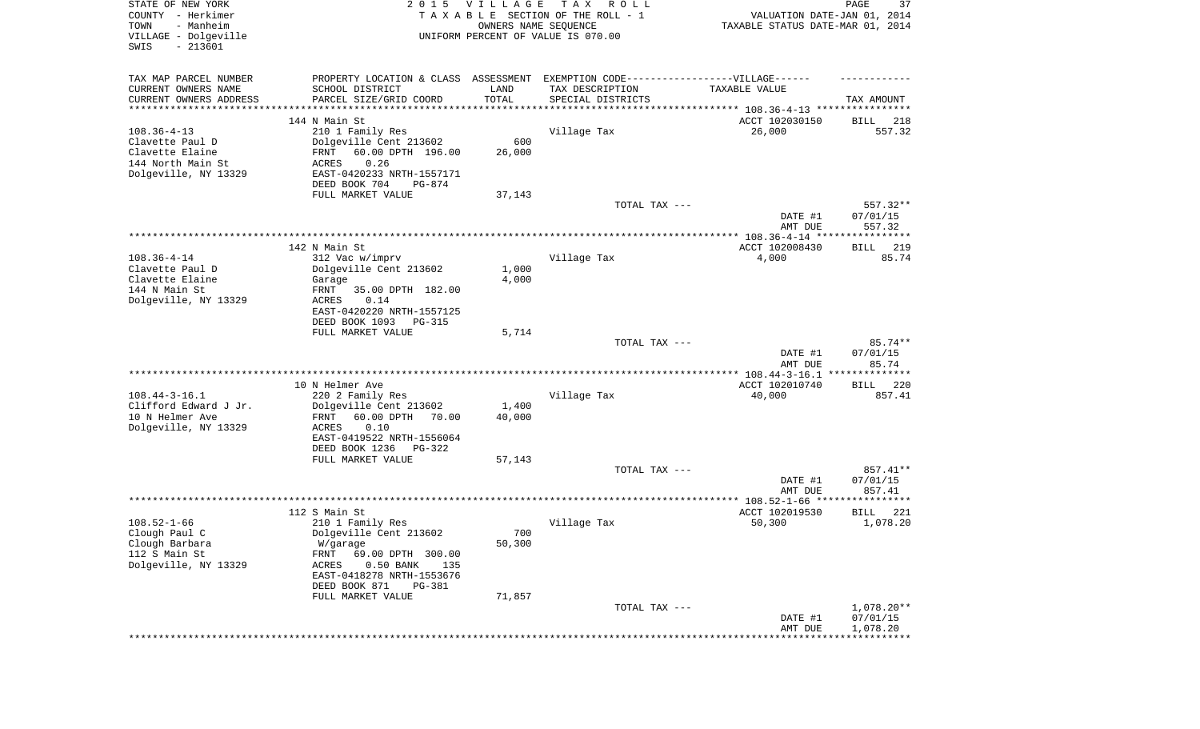| STATE OF NEW YORK<br>COUNTY - Herkimer<br>- Manheim<br>TOWN<br>VILLAGE - Dolgeville<br>SWIS<br>$-213601$ | 2 0 1 5                                                                           | <b>VILLAGE</b><br>OWNERS NAME SEQUENCE | TAX ROLL<br>TAXABLE SECTION OF THE ROLL - 1<br>UNIFORM PERCENT OF VALUE IS 070.00 | VALUATION DATE-JAN 01, 2014<br>TAXABLE STATUS DATE-MAR 01, 2014 | PAGE<br>37                     |
|----------------------------------------------------------------------------------------------------------|-----------------------------------------------------------------------------------|----------------------------------------|-----------------------------------------------------------------------------------|-----------------------------------------------------------------|--------------------------------|
| TAX MAP PARCEL NUMBER                                                                                    | PROPERTY LOCATION & CLASS ASSESSMENT EXEMPTION CODE-----------------VILLAGE------ |                                        |                                                                                   |                                                                 |                                |
| CURRENT OWNERS NAME                                                                                      | SCHOOL DISTRICT                                                                   | LAND                                   | TAX DESCRIPTION                                                                   | TAXABLE VALUE                                                   |                                |
| CURRENT OWNERS ADDRESS<br>*********************                                                          | PARCEL SIZE/GRID COORD<br>*****************                                       | TOTAL<br>**********                    | SPECIAL DISTRICTS                                                                 |                                                                 | TAX AMOUNT                     |
|                                                                                                          | 144 N Main St                                                                     |                                        |                                                                                   | ACCT 102030150                                                  | 218<br>BILL                    |
| $108.36 - 4 - 13$                                                                                        | 210 1 Family Res                                                                  |                                        | Village Tax                                                                       | 26,000                                                          | 557.32                         |
| Clavette Paul D                                                                                          | Dolgeville Cent 213602                                                            | 600                                    |                                                                                   |                                                                 |                                |
| Clavette Elaine                                                                                          | FRNT<br>60.00 DPTH 196.00                                                         | 26,000                                 |                                                                                   |                                                                 |                                |
| 144 North Main St<br>Dolgeville, NY 13329                                                                | 0.26<br>ACRES<br>EAST-0420233 NRTH-1557171                                        |                                        |                                                                                   |                                                                 |                                |
|                                                                                                          | DEED BOOK 704<br>PG-874                                                           |                                        |                                                                                   |                                                                 |                                |
|                                                                                                          | FULL MARKET VALUE                                                                 | 37,143                                 |                                                                                   |                                                                 |                                |
|                                                                                                          |                                                                                   |                                        | TOTAL TAX ---                                                                     | DATE #1<br>AMT DUE                                              | 557.32**<br>07/01/15<br>557.32 |
|                                                                                                          |                                                                                   |                                        |                                                                                   |                                                                 |                                |
|                                                                                                          | 142 N Main St                                                                     |                                        |                                                                                   | ACCT 102008430                                                  | <b>BILL</b><br>219             |
| $108.36 - 4 - 14$                                                                                        | 312 Vac w/imprv                                                                   |                                        | Village Tax                                                                       | 4,000                                                           | 85.74                          |
| Clavette Paul D<br>Clavette Elaine                                                                       | Dolgeville Cent 213602<br>Garage                                                  | 1,000<br>4,000                         |                                                                                   |                                                                 |                                |
| 144 N Main St                                                                                            | 35.00 DPTH 182.00<br>FRNT                                                         |                                        |                                                                                   |                                                                 |                                |
| Dolgeville, NY 13329                                                                                     | ACRES<br>0.14                                                                     |                                        |                                                                                   |                                                                 |                                |
|                                                                                                          | EAST-0420220 NRTH-1557125                                                         |                                        |                                                                                   |                                                                 |                                |
|                                                                                                          | DEED BOOK 1093<br>$PG-315$<br>FULL MARKET VALUE                                   | 5,714                                  |                                                                                   |                                                                 |                                |
|                                                                                                          |                                                                                   |                                        | TOTAL TAX ---                                                                     |                                                                 | 85.74**                        |
|                                                                                                          |                                                                                   |                                        |                                                                                   | DATE #1<br>AMT DUE                                              | 07/01/15<br>85.74              |
|                                                                                                          |                                                                                   |                                        |                                                                                   | ************ 108.44-3-16.1 ***************                      |                                |
| $108.44 - 3 - 16.1$                                                                                      | 10 N Helmer Ave<br>220 2 Family Res                                               |                                        | Village Tax                                                                       | ACCT 102010740<br>40,000                                        | 220<br>BILL<br>857.41          |
| Clifford Edward J Jr.                                                                                    | Dolgeville Cent 213602                                                            | 1,400                                  |                                                                                   |                                                                 |                                |
| 10 N Helmer Ave                                                                                          | 60.00 DPTH<br>70.00<br>FRNT                                                       | 40,000                                 |                                                                                   |                                                                 |                                |
| Dolgeville, NY 13329                                                                                     | ACRES<br>0.10                                                                     |                                        |                                                                                   |                                                                 |                                |
|                                                                                                          | EAST-0419522 NRTH-1556064<br>DEED BOOK 1236<br>PG-322                             |                                        |                                                                                   |                                                                 |                                |
|                                                                                                          | FULL MARKET VALUE                                                                 | 57,143                                 |                                                                                   |                                                                 |                                |
|                                                                                                          |                                                                                   |                                        | TOTAL TAX ---                                                                     |                                                                 | 857.41**                       |
|                                                                                                          |                                                                                   |                                        |                                                                                   | DATE #1                                                         | 07/01/15                       |
|                                                                                                          |                                                                                   |                                        |                                                                                   | AMT DUE                                                         | 857.41<br>**********           |
|                                                                                                          | 112 S Main St                                                                     |                                        |                                                                                   | ACCT 102019530                                                  | 221<br>BILL                    |
| $108.52 - 1 - 66$                                                                                        | 210 1 Family Res                                                                  |                                        | Village Tax                                                                       | 50,300                                                          | 1,078.20                       |
| Clough Paul C                                                                                            | Dolgeville Cent 213602                                                            | 700                                    |                                                                                   |                                                                 |                                |
| Clough Barbara<br>112 S Main St                                                                          | W/garage<br>FRNT<br>69.00 DPTH 300.00                                             | 50,300                                 |                                                                                   |                                                                 |                                |
| Dolgeville, NY 13329                                                                                     | ACRES<br>$0.50$ BANK<br>135                                                       |                                        |                                                                                   |                                                                 |                                |
|                                                                                                          | EAST-0418278 NRTH-1553676                                                         |                                        |                                                                                   |                                                                 |                                |
|                                                                                                          | DEED BOOK 871<br>PG-381                                                           |                                        |                                                                                   |                                                                 |                                |
|                                                                                                          | FULL MARKET VALUE                                                                 | 71,857                                 | TOTAL TAX ---                                                                     |                                                                 | 1,078.20**                     |
|                                                                                                          |                                                                                   |                                        |                                                                                   | DATE #1                                                         | 07/01/15                       |
|                                                                                                          |                                                                                   |                                        |                                                                                   | AMT DUE                                                         | 1,078.20                       |
|                                                                                                          |                                                                                   |                                        |                                                                                   |                                                                 |                                |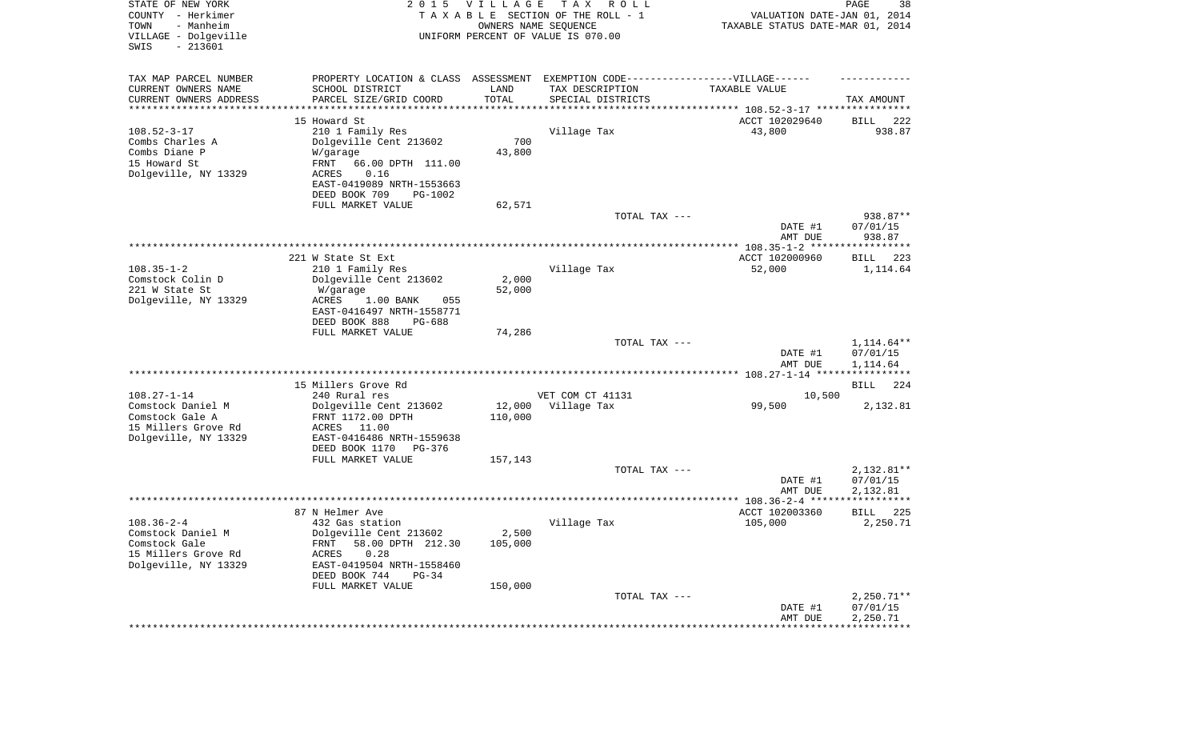| STATE OF NEW YORK<br>COUNTY - Herkimer<br>- Manheim<br>TOWN<br>VILLAGE - Dolgeville<br>SWIS<br>$-213601$ | 2 0 1 5                                                 | <b>VILLAGE</b><br>OWNERS NAME SEQUENCE | T A X<br>R O L L<br>TAXABLE SECTION OF THE ROLL - 1<br>UNIFORM PERCENT OF VALUE IS 070.00 | VALUATION DATE-JAN 01, 2014<br>TAXABLE STATUS DATE-MAR 01, 2014 | PAGE<br>38               |
|----------------------------------------------------------------------------------------------------------|---------------------------------------------------------|----------------------------------------|-------------------------------------------------------------------------------------------|-----------------------------------------------------------------|--------------------------|
| TAX MAP PARCEL NUMBER<br>CURRENT OWNERS NAME                                                             | PROPERTY LOCATION & CLASS ASSESSMENT<br>SCHOOL DISTRICT | LAND                                   | EXEMPTION CODE-----------------VILLAGE------<br>TAX DESCRIPTION                           | TAXABLE VALUE                                                   |                          |
| CURRENT OWNERS ADDRESS<br>*********************                                                          | PARCEL SIZE/GRID COORD                                  | TOTAL<br>*********                     | SPECIAL DISTRICTS                                                                         | ***************************** 108.52-3-17 ****************      | TAX AMOUNT               |
|                                                                                                          | 15 Howard St                                            |                                        |                                                                                           | ACCT 102029640                                                  | 222<br>BILL              |
| $108.52 - 3 - 17$                                                                                        | 210 1 Family Res                                        |                                        | Village Tax                                                                               | 43,800                                                          | 938.87                   |
| Combs Charles A                                                                                          | Dolgeville Cent 213602                                  | 700                                    |                                                                                           |                                                                 |                          |
| Combs Diane P                                                                                            | W/garage                                                | 43,800                                 |                                                                                           |                                                                 |                          |
| 15 Howard St                                                                                             | FRNT<br>66.00 DPTH 111.00                               |                                        |                                                                                           |                                                                 |                          |
| Dolgeville, NY 13329                                                                                     | ACRES<br>0.16                                           |                                        |                                                                                           |                                                                 |                          |
|                                                                                                          | EAST-0419089 NRTH-1553663                               |                                        |                                                                                           |                                                                 |                          |
|                                                                                                          | DEED BOOK 709<br>PG-1002                                |                                        |                                                                                           |                                                                 |                          |
|                                                                                                          | FULL MARKET VALUE                                       | 62,571                                 |                                                                                           |                                                                 |                          |
|                                                                                                          |                                                         |                                        | TOTAL TAX ---                                                                             |                                                                 | 938.87**                 |
|                                                                                                          |                                                         |                                        |                                                                                           | DATE #1<br>AMT DUE                                              | 07/01/15<br>938.87       |
|                                                                                                          |                                                         |                                        |                                                                                           |                                                                 |                          |
| $108.35 - 1 - 2$                                                                                         | 221 W State St Ext                                      |                                        |                                                                                           | ACCT 102000960                                                  | BILL 223                 |
| Comstock Colin D                                                                                         | 210 1 Family Res<br>Dolgeville Cent 213602              | 2,000                                  | Village Tax                                                                               | 52,000                                                          | 1,114.64                 |
| 221 W State St                                                                                           | W/garage                                                | 52,000                                 |                                                                                           |                                                                 |                          |
| Dolgeville, NY 13329                                                                                     | 1.00 BANK<br>ACRES<br>055                               |                                        |                                                                                           |                                                                 |                          |
|                                                                                                          | EAST-0416497 NRTH-1558771<br>DEED BOOK 888<br>PG-688    |                                        |                                                                                           |                                                                 |                          |
|                                                                                                          | FULL MARKET VALUE                                       | 74,286                                 |                                                                                           |                                                                 |                          |
|                                                                                                          |                                                         |                                        | TOTAL TAX ---                                                                             |                                                                 | 1,114.64**               |
|                                                                                                          |                                                         |                                        |                                                                                           | DATE #1<br>AMT DUE                                              | 07/01/15<br>1,114.64     |
|                                                                                                          |                                                         |                                        |                                                                                           |                                                                 |                          |
|                                                                                                          | 15 Millers Grove Rd                                     |                                        |                                                                                           |                                                                 | <b>BILL</b><br>224       |
| $108.27 - 1 - 14$                                                                                        | 240 Rural res                                           |                                        | VET COM CT 41131                                                                          | 10,500                                                          |                          |
| Comstock Daniel M                                                                                        | Dolgeville Cent 213602                                  | 12,000                                 | Village Tax                                                                               | 99,500                                                          | 2,132.81                 |
| Comstock Gale A                                                                                          | FRNT 1172.00 DPTH                                       | 110,000                                |                                                                                           |                                                                 |                          |
| 15 Millers Grove Rd                                                                                      | ACRES<br>11.00                                          |                                        |                                                                                           |                                                                 |                          |
| Dolgeville, NY 13329                                                                                     | EAST-0416486 NRTH-1559638<br>DEED BOOK 1170<br>PG-376   |                                        |                                                                                           |                                                                 |                          |
|                                                                                                          | FULL MARKET VALUE                                       | 157,143                                |                                                                                           |                                                                 |                          |
|                                                                                                          |                                                         |                                        | TOTAL TAX ---                                                                             |                                                                 | 2,132.81**               |
|                                                                                                          |                                                         |                                        |                                                                                           | DATE #1                                                         | 07/01/15                 |
|                                                                                                          |                                                         |                                        |                                                                                           | AMT DUE                                                         | 2,132.81                 |
|                                                                                                          |                                                         |                                        |                                                                                           |                                                                 | * * * * * * * * * * *    |
|                                                                                                          | 87 N Helmer Ave                                         |                                        |                                                                                           | ACCT 102003360                                                  | BILL<br>225              |
| $108.36 - 2 - 4$                                                                                         | 432 Gas station                                         |                                        | Village Tax                                                                               | 105,000                                                         | 2,250.71                 |
| Comstock Daniel M                                                                                        | Dolgeville Cent 213602                                  | 2,500                                  |                                                                                           |                                                                 |                          |
| Comstock Gale                                                                                            | FRNT 58.00 DPTH 212.30                                  | 105,000                                |                                                                                           |                                                                 |                          |
| 15 Millers Grove Rd                                                                                      | ACRES<br>0.28                                           |                                        |                                                                                           |                                                                 |                          |
| Dolgeville, NY 13329                                                                                     | EAST-0419504 NRTH-1558460                               |                                        |                                                                                           |                                                                 |                          |
|                                                                                                          | DEED BOOK 744<br>$PG-34$                                |                                        |                                                                                           |                                                                 |                          |
|                                                                                                          | FULL MARKET VALUE                                       | 150,000                                |                                                                                           |                                                                 |                          |
|                                                                                                          |                                                         |                                        | TOTAL TAX ---                                                                             | DATE #1                                                         | $2,250.71**$<br>07/01/15 |
|                                                                                                          |                                                         |                                        |                                                                                           | AMT DUE                                                         | 2,250.71                 |
|                                                                                                          |                                                         |                                        |                                                                                           |                                                                 |                          |
|                                                                                                          |                                                         |                                        |                                                                                           |                                                                 |                          |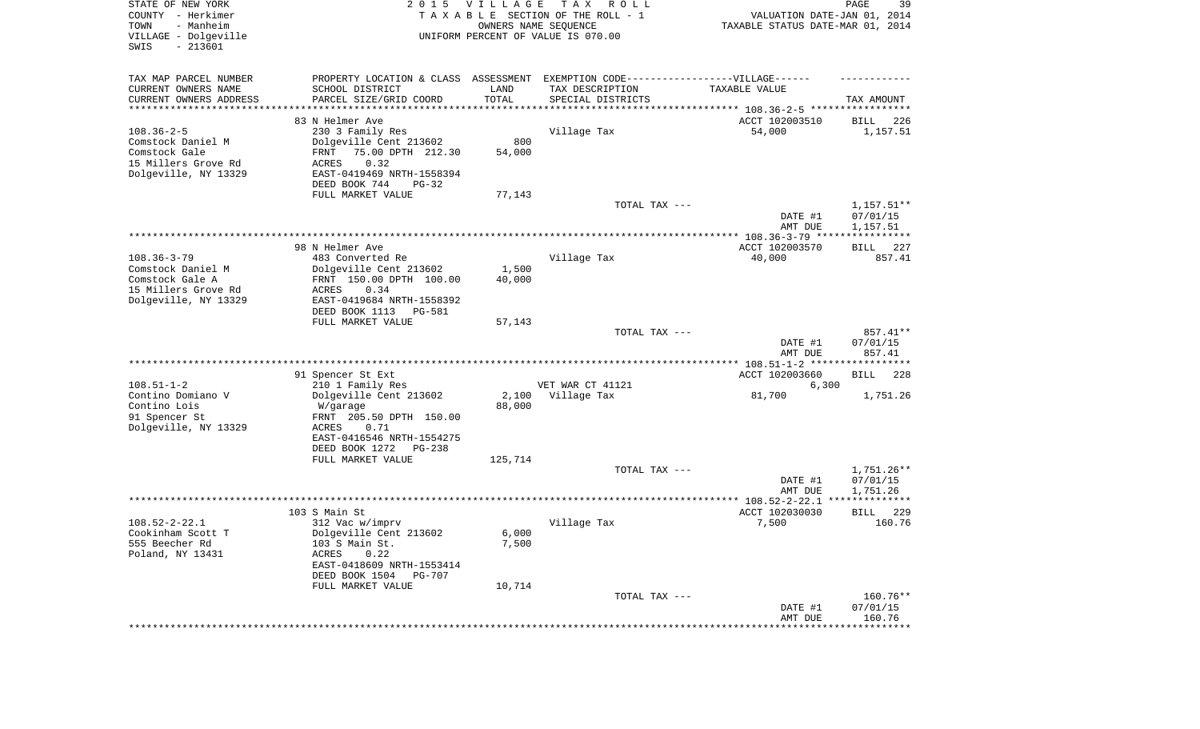| STATE OF NEW YORK<br>COUNTY - Herkimer<br>TOWN<br>- Manheim<br>VILLAGE - Dolgeville<br>SWIS<br>$-213601$ | 2 0 1 5                                                                                                                                                                                                      | <b>VILLAGE</b><br>OWNERS NAME SEQUENCE | T A X<br>R O L L<br>TAXABLE SECTION OF THE ROLL - 1<br>UNIFORM PERCENT OF VALUE IS 070.00                                                                                                       | VALUATION DATE-JAN 01, 2014<br>TAXABLE STATUS DATE-MAR 01, 2014 | 39<br>PAGE                                        |
|----------------------------------------------------------------------------------------------------------|--------------------------------------------------------------------------------------------------------------------------------------------------------------------------------------------------------------|----------------------------------------|-------------------------------------------------------------------------------------------------------------------------------------------------------------------------------------------------|-----------------------------------------------------------------|---------------------------------------------------|
| TAX MAP PARCEL NUMBER<br>CURRENT OWNERS NAME<br>CURRENT OWNERS ADDRESS<br>********************           | SCHOOL DISTRICT<br>PARCEL SIZE/GRID COORD                                                                                                                                                                    | LAND<br>TOTAL<br>**********            | PROPERTY LOCATION & CLASS ASSESSMENT EXEMPTION CODE----------------VILLAGE------<br>TAX DESCRIPTION<br>SPECIAL DISTRICTS<br>************************************* 108.36-2-5 ****************** | TAXABLE VALUE                                                   | TAX AMOUNT                                        |
| $108.36 - 2 - 5$<br>Comstock Daniel M<br>Comstock Gale<br>15 Millers Grove Rd<br>Dolgeville, NY 13329    | 83 N Helmer Ave<br>230 3 Family Res<br>Dolgeville Cent 213602<br>75.00 DPTH 212.30<br>FRNT<br>0.32<br>ACRES<br>EAST-0419469 NRTH-1558394<br>DEED BOOK 744<br>$PG-32$<br>FULL MARKET VALUE                    | 800<br>54,000<br>77,143                | Village Tax                                                                                                                                                                                     | ACCT 102003510<br>54,000                                        | 226<br>BILL<br>1,157.51                           |
|                                                                                                          |                                                                                                                                                                                                              |                                        | TOTAL TAX ---                                                                                                                                                                                   | DATE #1<br>AMT DUE                                              | $1,157.51**$<br>07/01/15<br>1,157.51              |
| $108.36 - 3 - 79$<br>Comstock Daniel M<br>Comstock Gale A<br>15 Millers Grove Rd<br>Dolgeville, NY 13329 | 98 N Helmer Ave<br>483 Converted Re<br>Dolgeville Cent 213602<br>FRNT 150.00 DPTH 100.00<br>0.34<br>ACRES<br>EAST-0419684 NRTH-1558392<br>DEED BOOK 1113<br>PG-581                                           | 1,500<br>40,000                        | Village Tax                                                                                                                                                                                     | ACCT 102003570<br>40,000                                        | 227<br>BILL<br>857.41                             |
|                                                                                                          | FULL MARKET VALUE                                                                                                                                                                                            | 57,143                                 | TOTAL TAX ---                                                                                                                                                                                   | DATE #1<br>AMT DUE                                              | 857.41**<br>07/01/15<br>857.41                    |
| $108.51 - 1 - 2$<br>Contino Domiano V<br>Contino Lois<br>91 Spencer St<br>Dolgeville, NY 13329           | 91 Spencer St Ext<br>210 1 Family Res<br>Dolgeville Cent 213602<br>W/garage<br>FRNT 205.50 DPTH 150.00<br><b>ACRES</b><br>0.71<br>EAST-0416546 NRTH-1554275<br>DEED BOOK 1272<br>PG-238<br>FULL MARKET VALUE | 2,100<br>88,000<br>125,714             | VET WAR CT 41121<br>Village Tax                                                                                                                                                                 | ACCT 102003660<br>6,300<br>81,700                               | <b>BILL</b><br>228<br>1,751.26                    |
|                                                                                                          |                                                                                                                                                                                                              |                                        | TOTAL TAX ---                                                                                                                                                                                   | DATE #1<br>AMT DUE                                              | $1,751.26**$<br>07/01/15<br>1,751.26              |
|                                                                                                          |                                                                                                                                                                                                              |                                        |                                                                                                                                                                                                 |                                                                 | *************                                     |
| $108.52 - 2 - 22.1$<br>Cookinham Scott T<br>555 Beecher Rd<br>Poland, NY 13431                           | 103 S Main St<br>312 Vac w/imprv<br>Dolgeville Cent 213602<br>103 S Main St.<br>ACRES<br>0.22<br>EAST-0418609 NRTH-1553414<br>DEED BOOK 1504<br><b>PG-707</b><br>FULL MARKET VALUE                           | 6,000<br>7,500<br>10,714               | Village Tax                                                                                                                                                                                     | ACCT 102030030<br>7,500                                         | 229<br><b>BILL</b><br>160.76                      |
|                                                                                                          |                                                                                                                                                                                                              |                                        | TOTAL TAX ---                                                                                                                                                                                   | DATE #1<br>AMT DUE<br>*******************                       | $160.76**$<br>07/01/15<br>160.76<br>************* |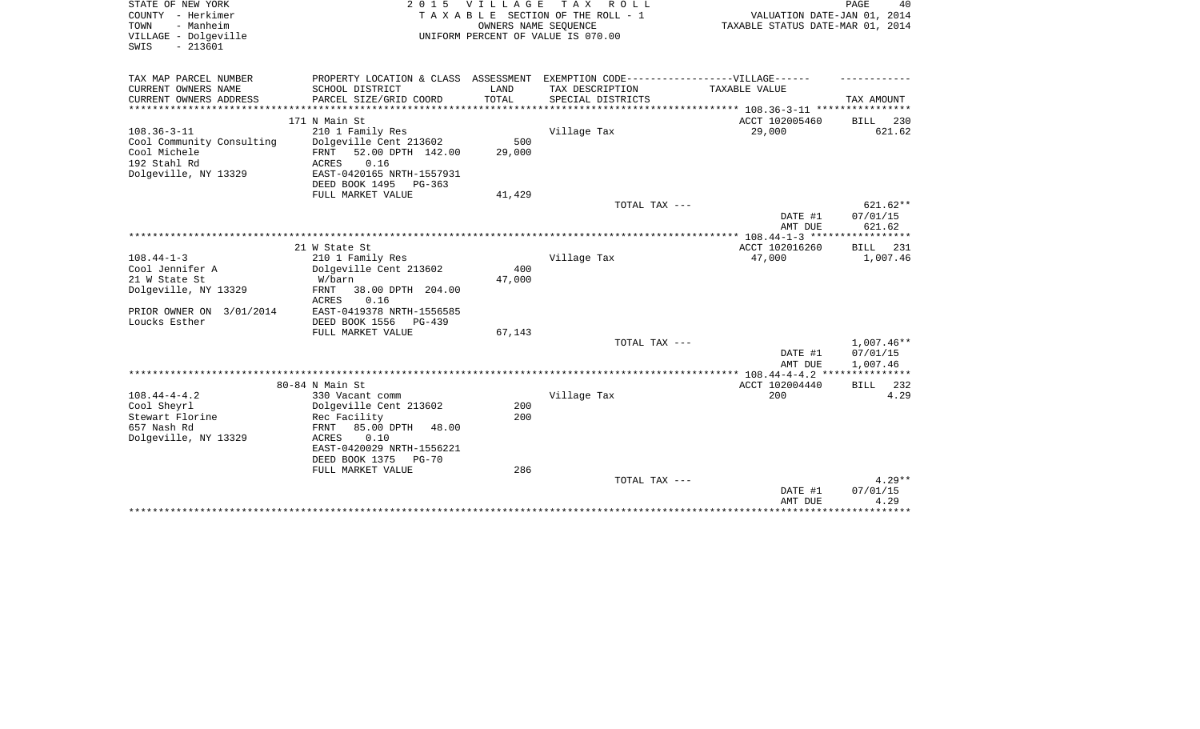| STATE OF NEW YORK                         | 2 0 1 5                                                                           | <b>VILLAGE</b> | TAX ROLL                           |                                  | PAGE<br>40           |
|-------------------------------------------|-----------------------------------------------------------------------------------|----------------|------------------------------------|----------------------------------|----------------------|
| COUNTY - Herkimer                         |                                                                                   |                | TAXABLE SECTION OF THE ROLL - 1    | VALUATION DATE-JAN 01, 2014      |                      |
| - Manheim<br>TOWN                         |                                                                                   |                | OWNERS NAME SEOUENCE               | TAXABLE STATUS DATE-MAR 01, 2014 |                      |
| VILLAGE - Dolgeville<br>$-213601$<br>SWIS |                                                                                   |                | UNIFORM PERCENT OF VALUE IS 070.00 |                                  |                      |
|                                           |                                                                                   |                |                                    |                                  |                      |
| TAX MAP PARCEL NUMBER                     | PROPERTY LOCATION & CLASS ASSESSMENT EXEMPTION CODE-----------------VILLAGE------ |                |                                    |                                  |                      |
| CURRENT OWNERS NAME                       | SCHOOL DISTRICT                                                                   | LAND           | TAX DESCRIPTION                    | TAXABLE VALUE                    |                      |
| CURRENT OWNERS ADDRESS                    | PARCEL SIZE/GRID COORD                                                            | TOTAL          | SPECIAL DISTRICTS                  |                                  | TAX AMOUNT           |
|                                           | 171 N Main St                                                                     |                |                                    | ACCT 102005460                   | <b>BILL</b><br>230   |
| $108.36 - 3 - 11$                         | 210 1 Family Res                                                                  |                | Village Tax                        | 29,000                           | 621.62               |
| Cool Community Consulting                 | Dolgeville Cent 213602                                                            | 500            |                                    |                                  |                      |
| Cool Michele                              | 52.00 DPTH 142.00<br>FRNT                                                         | 29,000         |                                    |                                  |                      |
| 192 Stahl Rd                              | 0.16<br>ACRES                                                                     |                |                                    |                                  |                      |
| Dolgeville, NY 13329                      | EAST-0420165 NRTH-1557931                                                         |                |                                    |                                  |                      |
|                                           | DEED BOOK 1495<br>$PG-363$                                                        |                |                                    |                                  |                      |
|                                           | FULL MARKET VALUE                                                                 | 41,429         |                                    |                                  |                      |
|                                           |                                                                                   |                | TOTAL TAX ---                      |                                  | $621.62**$           |
|                                           |                                                                                   |                |                                    | DATE #1                          | 07/01/15             |
|                                           |                                                                                   |                |                                    | AMT DUE                          | 621.62               |
|                                           |                                                                                   |                |                                    | ****** 108.44-1-3 *****          |                      |
|                                           | 21 W State St                                                                     |                |                                    | ACCT 102016260                   | 231<br>BILL          |
| $108.44 - 1 - 3$                          | 210 1 Family Res                                                                  |                | Village Tax                        | 47,000                           | 1,007.46             |
| Cool Jennifer A                           | Dolgeville Cent 213602                                                            | 400            |                                    |                                  |                      |
| 21 W State St                             | W/barn                                                                            | 47,000         |                                    |                                  |                      |
| Dolgeville, NY 13329                      | 38.00 DPTH 204.00<br>FRNT<br>0.16<br>ACRES                                        |                |                                    |                                  |                      |
| PRIOR OWNER ON 3/01/2014                  | EAST-0419378 NRTH-1556585                                                         |                |                                    |                                  |                      |
| Loucks Esther                             | DEED BOOK 1556<br>$PG-439$                                                        |                |                                    |                                  |                      |
|                                           | FULL MARKET VALUE                                                                 | 67,143         |                                    |                                  |                      |
|                                           |                                                                                   |                | TOTAL TAX ---                      |                                  | 1,007.46**           |
|                                           |                                                                                   |                |                                    | DATE #1<br>AMT DUE               | 07/01/15<br>1,007.46 |
|                                           |                                                                                   |                |                                    |                                  |                      |
|                                           | 80-84 N Main St                                                                   |                |                                    | ACCT 102004440                   | 232<br><b>BILL</b>   |
| $108.44 - 4 - 4.2$                        | 330 Vacant comm                                                                   |                | Village Tax                        | 200                              | 4.29                 |
| Cool Sheyrl                               | Dolgeville Cent 213602                                                            | 200            |                                    |                                  |                      |
| Stewart Florine<br>657 Nash Rd            | Rec Facility                                                                      | 200            |                                    |                                  |                      |
| Dolgeville, NY 13329                      | FRNT<br>85.00 DPTH<br>48.00<br>0.10<br>ACRES                                      |                |                                    |                                  |                      |
|                                           | EAST-0420029 NRTH-1556221                                                         |                |                                    |                                  |                      |
|                                           | DEED BOOK 1375<br>PG-70                                                           |                |                                    |                                  |                      |
|                                           | FULL MARKET VALUE                                                                 | 286            |                                    |                                  |                      |
|                                           |                                                                                   |                | TOTAL TAX ---                      |                                  | $4.29**$             |
|                                           |                                                                                   |                |                                    | DATE #1                          | 07/01/15             |
|                                           |                                                                                   |                |                                    | AMT DUE                          | 4.29                 |
|                                           |                                                                                   |                |                                    |                                  |                      |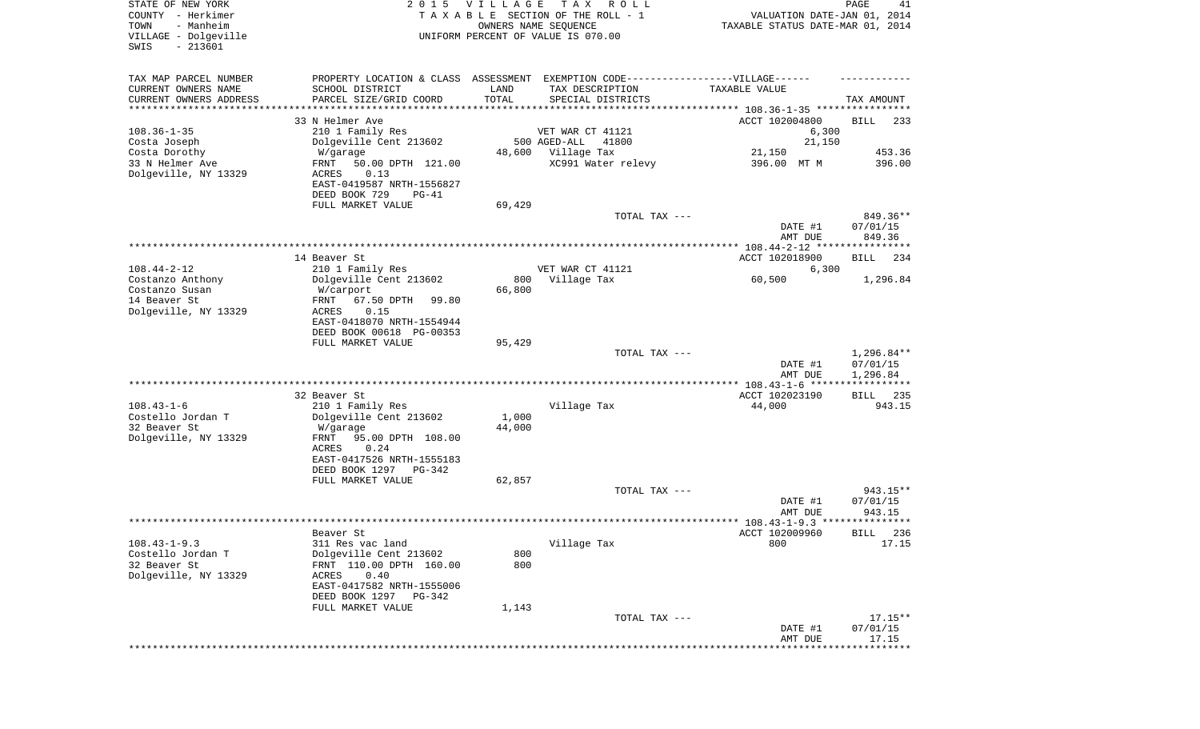| STATE OF NEW YORK<br>COUNTY - Herkimer<br>- Manheim<br>TOWN<br>VILLAGE - Dolgeville<br>$-213601$<br>SWIS | 2 0 1 5                                                                           | VILLAGE    | T A X<br>R O L L<br>TAXABLE SECTION OF THE ROLL - 1<br>OWNERS NAME SEQUENCE<br>UNIFORM PERCENT OF VALUE IS 070.00 | VALUATION DATE-JAN 01, 2014<br>TAXABLE STATUS DATE-MAR 01, 2014 | PAGE<br>41           |
|----------------------------------------------------------------------------------------------------------|-----------------------------------------------------------------------------------|------------|-------------------------------------------------------------------------------------------------------------------|-----------------------------------------------------------------|----------------------|
|                                                                                                          |                                                                                   |            |                                                                                                                   |                                                                 |                      |
| TAX MAP PARCEL NUMBER                                                                                    | PROPERTY LOCATION & CLASS ASSESSMENT EXEMPTION CODE-----------------VILLAGE------ |            |                                                                                                                   |                                                                 |                      |
| CURRENT OWNERS NAME                                                                                      | SCHOOL DISTRICT                                                                   | LAND       | TAX DESCRIPTION                                                                                                   | TAXABLE VALUE                                                   |                      |
| CURRENT OWNERS ADDRESS<br>*********************                                                          | PARCEL SIZE/GRID COORD<br>**********************                                  | TOTAL      | SPECIAL DISTRICTS                                                                                                 |                                                                 | TAX AMOUNT           |
|                                                                                                          | 33 N Helmer Ave                                                                   |            |                                                                                                                   | ACCT 102004800                                                  | <b>BILL</b><br>233   |
| $108.36 - 1 - 35$                                                                                        | 210 1 Family Res                                                                  |            | VET WAR CT 41121                                                                                                  | 6,300                                                           |                      |
| Costa Joseph                                                                                             | Dolgeville Cent 213602                                                            |            | 500 AGED-ALL<br>41800                                                                                             | 21,150                                                          |                      |
| Costa Dorothy                                                                                            | W/garage                                                                          | 48,600     | Village Tax                                                                                                       | 21,150                                                          | 453.36               |
| 33 N Helmer Ave<br>Dolgeville, NY 13329                                                                  | FRNT<br>50.00 DPTH 121.00<br>0.13<br>ACRES                                        |            | XC991 Water relevy                                                                                                | 396.00 MT M                                                     | 396.00               |
|                                                                                                          | EAST-0419587 NRTH-1556827                                                         |            |                                                                                                                   |                                                                 |                      |
|                                                                                                          | DEED BOOK 729<br>$PG-41$                                                          |            |                                                                                                                   |                                                                 |                      |
|                                                                                                          | FULL MARKET VALUE                                                                 | 69,429     |                                                                                                                   |                                                                 |                      |
|                                                                                                          |                                                                                   |            | TOTAL TAX ---                                                                                                     |                                                                 | 849.36**             |
|                                                                                                          |                                                                                   |            |                                                                                                                   | DATE #1                                                         | 07/01/15             |
|                                                                                                          |                                                                                   |            |                                                                                                                   | AMT DUE                                                         | 849.36               |
|                                                                                                          | 14 Beaver St                                                                      |            |                                                                                                                   | ACCT 102018900                                                  | 234<br>BILL          |
| $108.44 - 2 - 12$                                                                                        | 210 1 Family Res                                                                  |            | VET WAR CT 41121                                                                                                  | 6,300                                                           |                      |
| Costanzo Anthony                                                                                         | Dolgeville Cent 213602                                                            | 800        | Village Tax                                                                                                       | 60,500                                                          | 1,296.84             |
| Costanzo Susan                                                                                           | W/carport                                                                         | 66,800     |                                                                                                                   |                                                                 |                      |
| 14 Beaver St<br>Dolgeville, NY 13329                                                                     | 67.50 DPTH<br>99.80<br>FRNT<br>ACRES<br>0.15                                      |            |                                                                                                                   |                                                                 |                      |
|                                                                                                          | EAST-0418070 NRTH-1554944                                                         |            |                                                                                                                   |                                                                 |                      |
|                                                                                                          | DEED BOOK 00618 PG-00353                                                          |            |                                                                                                                   |                                                                 |                      |
|                                                                                                          | FULL MARKET VALUE                                                                 | 95,429     |                                                                                                                   |                                                                 |                      |
|                                                                                                          |                                                                                   |            | TOTAL TAX ---                                                                                                     |                                                                 | $1,296.84**$         |
|                                                                                                          |                                                                                   |            |                                                                                                                   | DATE #1<br>AMT DUE                                              | 07/01/15<br>1,296.84 |
|                                                                                                          |                                                                                   |            |                                                                                                                   |                                                                 | ***********          |
|                                                                                                          | 32 Beaver St                                                                      |            |                                                                                                                   | ACCT 102023190                                                  | 235<br>BILL          |
| $108.43 - 1 - 6$                                                                                         | 210 1 Family Res                                                                  |            | Village Tax                                                                                                       | 44,000                                                          | 943.15               |
| Costello Jordan T                                                                                        | Dolgeville Cent 213602                                                            | 1,000      |                                                                                                                   |                                                                 |                      |
| 32 Beaver St<br>Dolgeville, NY 13329                                                                     | W/garage<br>FRNT<br>95.00 DPTH 108.00                                             | 44,000     |                                                                                                                   |                                                                 |                      |
|                                                                                                          | ACRES<br>0.24                                                                     |            |                                                                                                                   |                                                                 |                      |
|                                                                                                          | EAST-0417526 NRTH-1555183                                                         |            |                                                                                                                   |                                                                 |                      |
|                                                                                                          | DEED BOOK 1297<br>PG-342                                                          |            |                                                                                                                   |                                                                 |                      |
|                                                                                                          | FULL MARKET VALUE                                                                 | 62,857     |                                                                                                                   |                                                                 |                      |
|                                                                                                          |                                                                                   |            | TOTAL TAX ---                                                                                                     | DATE #1                                                         | 943.15**<br>07/01/15 |
|                                                                                                          |                                                                                   |            |                                                                                                                   | AMT DUE                                                         | 943.15               |
|                                                                                                          |                                                                                   |            |                                                                                                                   |                                                                 |                      |
|                                                                                                          | Beaver St                                                                         |            |                                                                                                                   | ACCT 102009960                                                  | BILL 236             |
| $108.43 - 1 - 9.3$                                                                                       | 311 Res vac land                                                                  |            | Village Tax                                                                                                       | 800                                                             | 17.15                |
| Costello Jordan T<br>32 Beaver St                                                                        | Dolgeville Cent 213602<br>FRNT 110.00 DPTH 160.00                                 | 800<br>800 |                                                                                                                   |                                                                 |                      |
| Dolgeville, NY 13329                                                                                     | 0.40<br>ACRES                                                                     |            |                                                                                                                   |                                                                 |                      |
|                                                                                                          | EAST-0417582 NRTH-1555006                                                         |            |                                                                                                                   |                                                                 |                      |
|                                                                                                          | DEED BOOK 1297<br>PG-342                                                          |            |                                                                                                                   |                                                                 |                      |
|                                                                                                          | FULL MARKET VALUE                                                                 | 1,143      |                                                                                                                   |                                                                 |                      |
|                                                                                                          |                                                                                   |            | TOTAL TAX ---                                                                                                     |                                                                 | $17.15**$            |
|                                                                                                          |                                                                                   |            |                                                                                                                   | DATE #1<br>AMT DUE                                              | 07/01/15<br>17.15    |
|                                                                                                          |                                                                                   |            |                                                                                                                   |                                                                 |                      |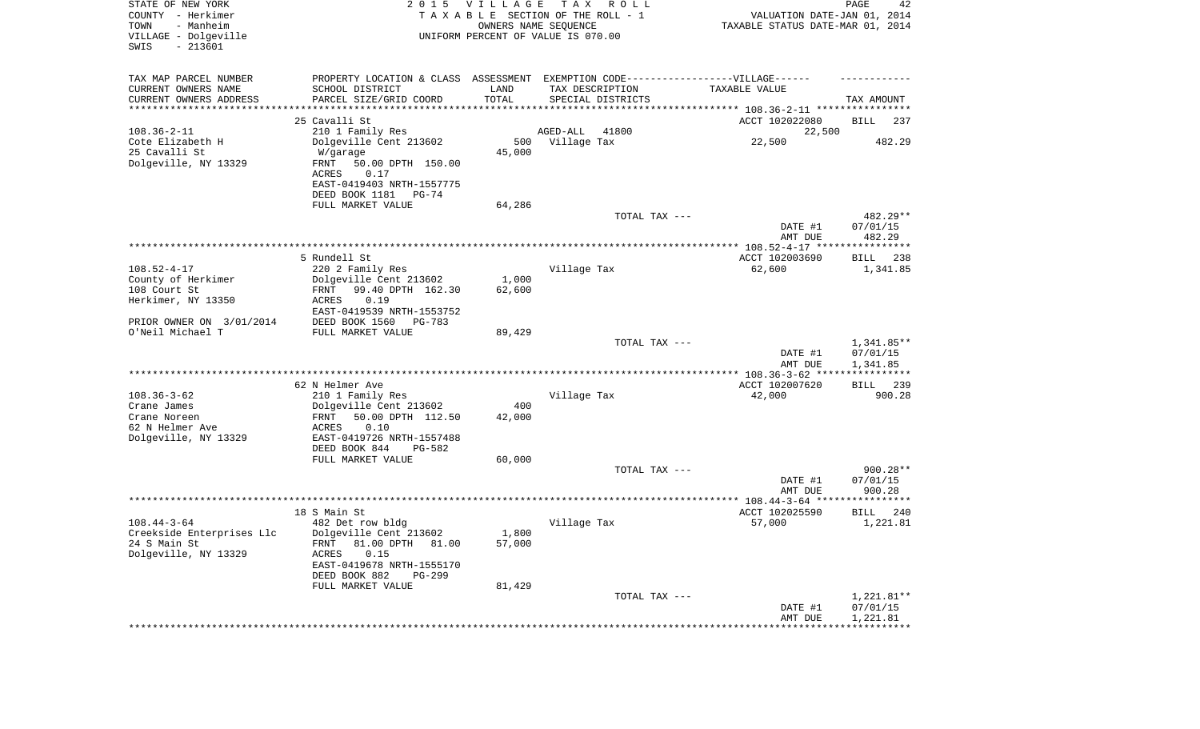| STATE OF NEW YORK<br>COUNTY - Herkimer<br>- Manheim<br>TOWN<br>VILLAGE - Dolgeville<br>$-213601$<br>SWIS |                                                      | 2015 VILLAGE | T A X<br>R O L L<br>TAXABLE SECTION OF THE ROLL - 1<br>OWNERS NAME SEQUENCE<br>UNIFORM PERCENT OF VALUE IS 070.00 | VALUATION DATE-JAN 01, 2014<br>TAXABLE STATUS DATE-MAR 01, 2014 | PAGE<br>42              |
|----------------------------------------------------------------------------------------------------------|------------------------------------------------------|--------------|-------------------------------------------------------------------------------------------------------------------|-----------------------------------------------------------------|-------------------------|
| TAX MAP PARCEL NUMBER                                                                                    |                                                      |              | PROPERTY LOCATION & CLASS ASSESSMENT EXEMPTION CODE----------------VILLAGE------                                  |                                                                 |                         |
| CURRENT OWNERS NAME                                                                                      | SCHOOL DISTRICT                                      | LAND         | TAX DESCRIPTION                                                                                                   | TAXABLE VALUE                                                   |                         |
| CURRENT OWNERS ADDRESS<br>*********************                                                          | PARCEL SIZE/GRID COORD                               | TOTAL        | SPECIAL DISTRICTS                                                                                                 |                                                                 | TAX AMOUNT              |
|                                                                                                          | 25 Cavalli St                                        |              |                                                                                                                   | ACCT 102022080                                                  | BILL<br>237             |
| $108.36 - 2 - 11$                                                                                        | 210 1 Family Res                                     |              | 41800<br>AGED-ALL                                                                                                 | 22,500                                                          |                         |
| Cote Elizabeth H                                                                                         | Dolgeville Cent 213602                               |              | 500 Village Tax                                                                                                   | 22,500                                                          | 482.29                  |
| 25 Cavalli St                                                                                            | W/garage                                             | 45,000       |                                                                                                                   |                                                                 |                         |
| Dolgeville, NY 13329                                                                                     | FRNT<br>50.00 DPTH 150.00<br>ACRES<br>0.17           |              |                                                                                                                   |                                                                 |                         |
|                                                                                                          | EAST-0419403 NRTH-1557775                            |              |                                                                                                                   |                                                                 |                         |
|                                                                                                          | DEED BOOK 1181<br>PG-74                              |              |                                                                                                                   |                                                                 |                         |
|                                                                                                          | FULL MARKET VALUE                                    | 64,286       |                                                                                                                   |                                                                 |                         |
|                                                                                                          |                                                      |              | TOTAL TAX ---                                                                                                     |                                                                 | 482.29**                |
|                                                                                                          |                                                      |              |                                                                                                                   | DATE #1<br>AMT DUE                                              | 07/01/15<br>482.29      |
|                                                                                                          |                                                      |              |                                                                                                                   |                                                                 |                         |
|                                                                                                          | 5 Rundell St                                         |              |                                                                                                                   | ACCT 102003690                                                  | BILL<br>238             |
| $108.52 - 4 - 17$                                                                                        | 220 2 Family Res                                     |              | Village Tax                                                                                                       | 62,600                                                          | 1,341.85                |
| County of Herkimer                                                                                       | Dolgeville Cent 213602                               | 1,000        |                                                                                                                   |                                                                 |                         |
| 108 Court St<br>Herkimer, NY 13350                                                                       | FRNT<br>99.40 DPTH 162.30<br>ACRES<br>0.19           | 62,600       |                                                                                                                   |                                                                 |                         |
|                                                                                                          | EAST-0419539 NRTH-1553752                            |              |                                                                                                                   |                                                                 |                         |
| PRIOR OWNER ON 3/01/2014                                                                                 | DEED BOOK 1560<br>PG-783                             |              |                                                                                                                   |                                                                 |                         |
| O'Neil Michael T                                                                                         | FULL MARKET VALUE                                    | 89,429       |                                                                                                                   |                                                                 |                         |
|                                                                                                          |                                                      |              | TOTAL TAX ---                                                                                                     | DATE #1                                                         | 1,341.85**<br>07/01/15  |
|                                                                                                          |                                                      |              |                                                                                                                   | AMT DUE<br>************** 108.36-3-62 ****                      | 1,341.85<br>*********** |
|                                                                                                          | 62 N Helmer Ave                                      |              |                                                                                                                   | ACCT 102007620                                                  | 239<br>BILL             |
| $108.36 - 3 - 62$                                                                                        | 210 1 Family Res                                     |              | Village Tax                                                                                                       | 42,000                                                          | 900.28                  |
| Crane James                                                                                              | Dolgeville Cent 213602                               | 400          |                                                                                                                   |                                                                 |                         |
| Crane Noreen                                                                                             | 50.00 DPTH 112.50<br>FRNT                            | 42,000       |                                                                                                                   |                                                                 |                         |
| 62 N Helmer Ave<br>Dolgeville, NY 13329                                                                  | ACRES<br>0.10<br>EAST-0419726 NRTH-1557488           |              |                                                                                                                   |                                                                 |                         |
|                                                                                                          | DEED BOOK 844<br>PG-582                              |              |                                                                                                                   |                                                                 |                         |
|                                                                                                          | FULL MARKET VALUE                                    | 60,000       |                                                                                                                   |                                                                 |                         |
|                                                                                                          |                                                      |              | TOTAL TAX ---                                                                                                     |                                                                 | $900.28**$              |
|                                                                                                          |                                                      |              |                                                                                                                   | DATE #1                                                         | 07/01/15                |
|                                                                                                          |                                                      |              |                                                                                                                   | AMT DUE                                                         | 900.28                  |
|                                                                                                          | 18 S Main St                                         |              |                                                                                                                   | ACCT 102025590                                                  | 240<br>BILL             |
| $108.44 - 3 - 64$                                                                                        | 482 Det row bldg                                     |              | Village Tax                                                                                                       | 57,000                                                          | 1,221.81                |
| Creekside Enterprises Llc Dolgeville Cent 213602                                                         |                                                      | 1,800        |                                                                                                                   |                                                                 |                         |
| 24 S Main St                                                                                             | FRNT 81.00 DPTH 81.00                                | 57,000       |                                                                                                                   |                                                                 |                         |
| Dolgeville, NY 13329                                                                                     | ACRES<br>0.15                                        |              |                                                                                                                   |                                                                 |                         |
|                                                                                                          | EAST-0419678 NRTH-1555170<br>DEED BOOK 882<br>PG-299 |              |                                                                                                                   |                                                                 |                         |
|                                                                                                          | FULL MARKET VALUE                                    | 81,429       |                                                                                                                   |                                                                 |                         |
|                                                                                                          |                                                      |              | TOTAL TAX ---                                                                                                     |                                                                 | 1,221.81**              |
|                                                                                                          |                                                      |              |                                                                                                                   | DATE #1                                                         | 07/01/15                |
|                                                                                                          |                                                      |              |                                                                                                                   | AMT DUE<br>************************************                 | 1,221.81                |
|                                                                                                          |                                                      |              |                                                                                                                   |                                                                 |                         |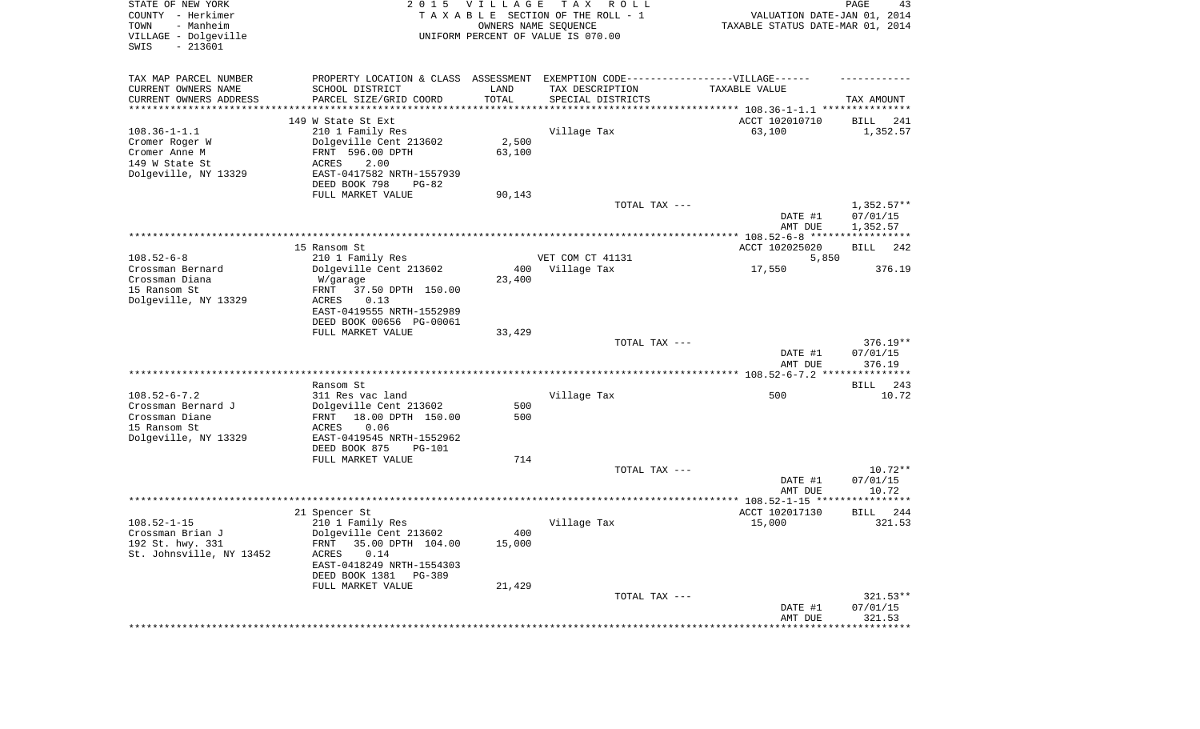| STATE OF NEW YORK<br>COUNTY - Herkimer<br>- Manheim<br>TOWN<br>VILLAGE - Dolgeville<br>SWIS<br>$-213601$ | 2 0 1 5                                                                          | <b>VILLAGE</b> | T A X<br>R O L L<br>TAXABLE SECTION OF THE ROLL - 1<br>OWNERS NAME SEQUENCE<br>UNIFORM PERCENT OF VALUE IS 070.00 | VALUATION DATE-JAN 01, 2014<br>TAXABLE STATUS DATE-MAR 01, 2014 | PAGE<br>43               |
|----------------------------------------------------------------------------------------------------------|----------------------------------------------------------------------------------|----------------|-------------------------------------------------------------------------------------------------------------------|-----------------------------------------------------------------|--------------------------|
| TAX MAP PARCEL NUMBER                                                                                    | PROPERTY LOCATION & CLASS ASSESSMENT EXEMPTION CODE----------------VILLAGE------ |                |                                                                                                                   |                                                                 |                          |
| CURRENT OWNERS NAME                                                                                      | SCHOOL DISTRICT                                                                  | LAND           | TAX DESCRIPTION                                                                                                   | TAXABLE VALUE                                                   |                          |
| CURRENT OWNERS ADDRESS<br>********************                                                           | PARCEL SIZE/GRID COORD                                                           | TOTAL          | SPECIAL DISTRICTS                                                                                                 |                                                                 | TAX AMOUNT               |
|                                                                                                          | 149 W State St Ext                                                               |                |                                                                                                                   | ACCT 102010710                                                  | BILL<br>241              |
| $108.36 - 1 - 1.1$                                                                                       | 210 1 Family Res                                                                 |                | Village Tax                                                                                                       | 63,100                                                          | 1,352.57                 |
| Cromer Roger W                                                                                           | Dolgeville Cent 213602                                                           | 2,500          |                                                                                                                   |                                                                 |                          |
| Cromer Anne M                                                                                            | FRNT 596.00 DPTH                                                                 | 63,100         |                                                                                                                   |                                                                 |                          |
| 149 W State St<br>Dolgeville, NY 13329                                                                   | ACRES<br>2.00<br>EAST-0417582 NRTH-1557939                                       |                |                                                                                                                   |                                                                 |                          |
|                                                                                                          | DEED BOOK 798<br>$PG-82$                                                         |                |                                                                                                                   |                                                                 |                          |
|                                                                                                          | FULL MARKET VALUE                                                                | 90,143         |                                                                                                                   |                                                                 |                          |
|                                                                                                          |                                                                                  |                | TOTAL TAX ---                                                                                                     |                                                                 | $1,352.57**$             |
|                                                                                                          |                                                                                  |                |                                                                                                                   | DATE #1<br>AMT DUE                                              | 07/01/15<br>1,352.57     |
|                                                                                                          |                                                                                  |                |                                                                                                                   |                                                                 |                          |
|                                                                                                          | 15 Ransom St                                                                     |                |                                                                                                                   | ACCT 102025020                                                  | BILL<br>242              |
| $108.52 - 6 - 8$                                                                                         | 210 1 Family Res                                                                 |                | VET COM CT 41131                                                                                                  | 5,850                                                           |                          |
| Crossman Bernard                                                                                         | Dolgeville Cent 213602                                                           | 400            | Village Tax                                                                                                       | 17,550                                                          | 376.19                   |
| Crossman Diana<br>15 Ransom St                                                                           | W/garage<br>37.50 DPTH 150.00<br>FRNT                                            | 23,400         |                                                                                                                   |                                                                 |                          |
| Dolgeville, NY 13329                                                                                     | <b>ACRES</b><br>0.13                                                             |                |                                                                                                                   |                                                                 |                          |
|                                                                                                          | EAST-0419555 NRTH-1552989                                                        |                |                                                                                                                   |                                                                 |                          |
|                                                                                                          | DEED BOOK 00656 PG-00061                                                         |                |                                                                                                                   |                                                                 |                          |
|                                                                                                          | FULL MARKET VALUE                                                                | 33,429         | TOTAL TAX ---                                                                                                     |                                                                 | $376.19**$               |
|                                                                                                          |                                                                                  |                |                                                                                                                   | DATE #1<br>AMT DUE                                              | 07/01/15<br>376.19       |
|                                                                                                          |                                                                                  |                |                                                                                                                   |                                                                 |                          |
| $108.52 - 6 - 7.2$                                                                                       | Ransom St                                                                        |                |                                                                                                                   |                                                                 | <b>BILL</b><br>243       |
| Crossman Bernard J                                                                                       | 311 Res vac land<br>Dolgeville Cent 213602                                       | 500            | Village Tax                                                                                                       | 500                                                             | 10.72                    |
| Crossman Diane                                                                                           | 18.00 DPTH 150.00<br>FRNT                                                        | 500            |                                                                                                                   |                                                                 |                          |
| 15 Ransom St                                                                                             | ACRES<br>0.06                                                                    |                |                                                                                                                   |                                                                 |                          |
| Dolgeville, NY 13329                                                                                     | EAST-0419545 NRTH-1552962                                                        |                |                                                                                                                   |                                                                 |                          |
|                                                                                                          | DEED BOOK 875<br><b>PG-101</b><br>FULL MARKET VALUE                              | 714            |                                                                                                                   |                                                                 |                          |
|                                                                                                          |                                                                                  |                | TOTAL TAX ---                                                                                                     |                                                                 | $10.72**$                |
|                                                                                                          |                                                                                  |                |                                                                                                                   | DATE #1                                                         | 07/01/15                 |
|                                                                                                          |                                                                                  |                |                                                                                                                   | AMT DUE                                                         | 10.72                    |
|                                                                                                          |                                                                                  |                |                                                                                                                   | ACCT 102017130                                                  | 244<br>BILL              |
| $108.52 - 1 - 15$                                                                                        | 21 Spencer St<br>210 1 Family Res                                                |                | Village Tax                                                                                                       | 15,000                                                          | 321.53                   |
| Crossman Brian J                                                                                         | Dolgeville Cent 213602                                                           | 400            |                                                                                                                   |                                                                 |                          |
| 192 St. hwy. 331                                                                                         | 35.00 DPTH 104.00<br>FRNT                                                        | 15,000         |                                                                                                                   |                                                                 |                          |
| St. Johnsville, NY 13452                                                                                 | 0.14<br>ACRES                                                                    |                |                                                                                                                   |                                                                 |                          |
|                                                                                                          | EAST-0418249 NRTH-1554303<br>DEED BOOK 1381<br>PG-389                            |                |                                                                                                                   |                                                                 |                          |
|                                                                                                          | FULL MARKET VALUE                                                                | 21,429         |                                                                                                                   |                                                                 |                          |
|                                                                                                          |                                                                                  |                | TOTAL TAX ---                                                                                                     |                                                                 | $321.53**$               |
|                                                                                                          |                                                                                  |                |                                                                                                                   | DATE #1                                                         | 07/01/15                 |
|                                                                                                          |                                                                                  |                |                                                                                                                   | AMT DUE<br>********************                                 | 321.53<br>************** |
|                                                                                                          |                                                                                  |                |                                                                                                                   |                                                                 |                          |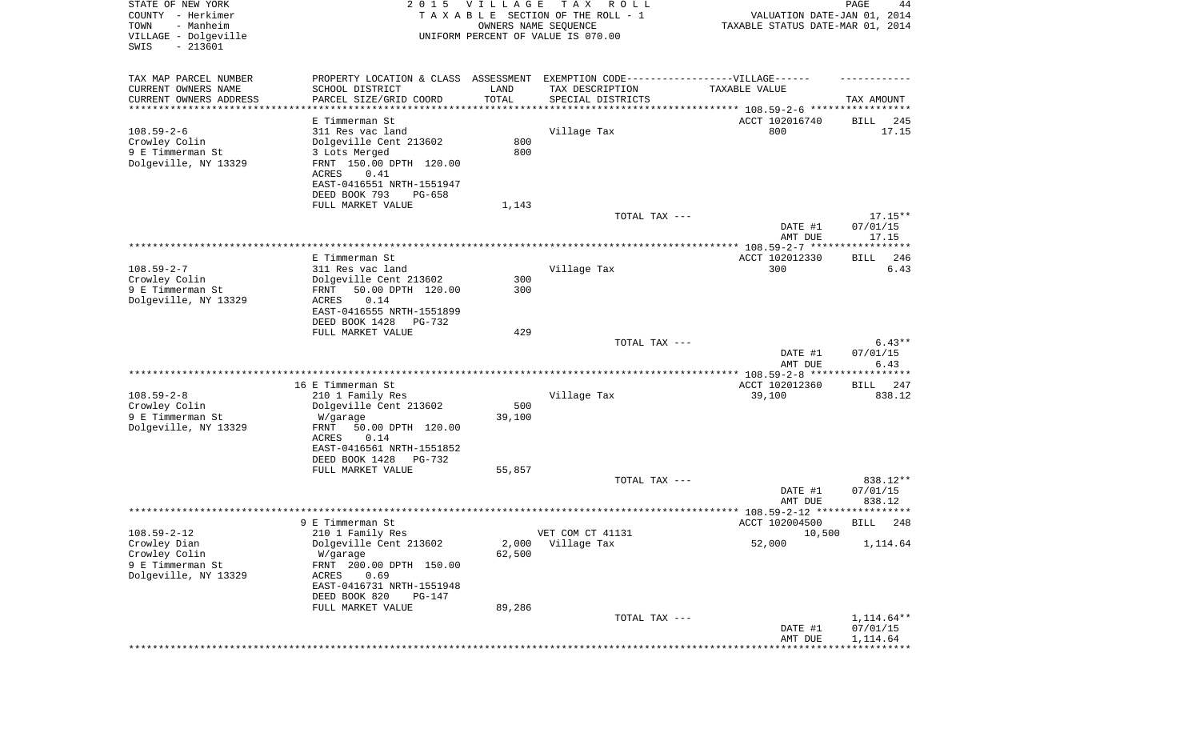| STATE OF NEW YORK<br>COUNTY - Herkimer<br>- Manheim<br>TOWN<br>VILLAGE - Dolgeville<br>SWIS<br>$-213601$ | 2 0 1 5                                                                                                                       | <b>VILLAGE</b><br>OWNERS NAME SEQUENCE | T A X<br>R O L L<br>TAXABLE SECTION OF THE ROLL - 1<br>UNIFORM PERCENT OF VALUE IS 070.00 | VALUATION DATE-JAN 01, 2014<br>TAXABLE STATUS DATE-MAR 01, 2014 | PAGE<br>44                     |
|----------------------------------------------------------------------------------------------------------|-------------------------------------------------------------------------------------------------------------------------------|----------------------------------------|-------------------------------------------------------------------------------------------|-----------------------------------------------------------------|--------------------------------|
| TAX MAP PARCEL NUMBER<br>CURRENT OWNERS NAME<br>CURRENT OWNERS ADDRESS                                   | PROPERTY LOCATION & CLASS ASSESSMENT EXEMPTION CODE----------------VILLAGE------<br>SCHOOL DISTRICT<br>PARCEL SIZE/GRID COORD | LAND<br>TOTAL                          | TAX DESCRIPTION<br>SPECIAL DISTRICTS                                                      | TAXABLE VALUE                                                   | TAX AMOUNT                     |
| **********************                                                                                   |                                                                                                                               | **********                             | ********************************* 108.59-2-6 *****************                            |                                                                 |                                |
| $108.59 - 2 - 6$<br>Crowley Colin<br>9 E Timmerman St<br>Dolgeville, NY 13329                            | E Timmerman St<br>311 Res vac land<br>Dolgeville Cent 213602<br>3 Lots Merged<br>FRNT 150.00 DPTH 120.00<br>0.41<br>ACRES     | 800<br>800                             | Village Tax                                                                               | ACCT 102016740<br>800                                           | 245<br>BILL<br>17.15           |
|                                                                                                          | EAST-0416551 NRTH-1551947<br>DEED BOOK 793<br>$PG-658$                                                                        |                                        |                                                                                           |                                                                 |                                |
|                                                                                                          | FULL MARKET VALUE                                                                                                             | 1,143                                  |                                                                                           |                                                                 |                                |
|                                                                                                          |                                                                                                                               |                                        | TOTAL TAX ---                                                                             |                                                                 | $17.15**$                      |
|                                                                                                          |                                                                                                                               |                                        |                                                                                           | DATE #1                                                         | 07/01/15                       |
|                                                                                                          |                                                                                                                               |                                        |                                                                                           | AMT DUE                                                         | 17.15                          |
|                                                                                                          | E Timmerman St                                                                                                                |                                        |                                                                                           | ACCT 102012330                                                  | 246<br>BILL                    |
| $108.59 - 2 - 7$                                                                                         | 311 Res vac land                                                                                                              |                                        | Village Tax                                                                               | 300                                                             | 6.43                           |
| Crowley Colin                                                                                            | Dolgeville Cent 213602                                                                                                        | 300                                    |                                                                                           |                                                                 |                                |
| 9 E Timmerman St<br>Dolgeville, NY 13329                                                                 | 50.00 DPTH 120.00<br>FRNT<br><b>ACRES</b><br>0.14<br>EAST-0416555 NRTH-1551899<br>DEED BOOK 1428<br>PG-732                    | 300                                    |                                                                                           |                                                                 |                                |
|                                                                                                          | FULL MARKET VALUE                                                                                                             | 429                                    |                                                                                           |                                                                 |                                |
|                                                                                                          |                                                                                                                               |                                        | TOTAL TAX ---                                                                             | DATE #1<br>AMT DUE                                              | $6.43**$<br>07/01/15<br>6.43   |
|                                                                                                          |                                                                                                                               |                                        |                                                                                           | ************ 108.59-2-8 ****                                    | * * * * * * * * * *            |
|                                                                                                          | 16 E Timmerman St                                                                                                             |                                        |                                                                                           | ACCT 102012360                                                  | 247<br>BILL                    |
| $108.59 - 2 - 8$                                                                                         | 210 1 Family Res                                                                                                              |                                        | Village Tax                                                                               | 39,100                                                          | 838.12                         |
| Crowley Colin<br>9 E Timmerman St                                                                        | Dolgeville Cent 213602<br>W/garage                                                                                            | 500<br>39,100                          |                                                                                           |                                                                 |                                |
| Dolgeville, NY 13329                                                                                     | FRNT<br>50.00 DPTH 120.00<br>ACRES<br>0.14<br>EAST-0416561 NRTH-1551852<br>DEED BOOK 1428<br>PG-732                           |                                        |                                                                                           |                                                                 |                                |
|                                                                                                          | FULL MARKET VALUE                                                                                                             | 55,857                                 |                                                                                           |                                                                 |                                |
|                                                                                                          |                                                                                                                               |                                        | TOTAL TAX ---                                                                             | DATE #1<br>AMT DUE                                              | 838.12**<br>07/01/15<br>838.12 |
|                                                                                                          |                                                                                                                               |                                        |                                                                                           |                                                                 | * * * * * *                    |
|                                                                                                          | 9 E Timmerman St                                                                                                              |                                        |                                                                                           | ACCT 102004500                                                  | 248<br>BILL                    |
| $108.59 - 2 - 12$                                                                                        | 210 1 Family Res                                                                                                              |                                        | VET COM CT 41131                                                                          | 10,500                                                          |                                |
| Crowley Dian<br>Crowley Colin<br>9 E Timmerman St<br>Dolgeville, NY 13329                                | Dolgeville Cent 213602<br>W/garage<br>FRNT 200.00 DPTH 150.00<br>0.69<br>ACRES<br>EAST-0416731 NRTH-1551948                   | 2,000<br>62,500                        | Village Tax                                                                               | 52,000                                                          | 1,114.64                       |
|                                                                                                          | DEED BOOK 820<br>PG-147<br>FULL MARKET VALUE                                                                                  | 89,286                                 |                                                                                           |                                                                 |                                |
|                                                                                                          |                                                                                                                               |                                        | TOTAL TAX ---                                                                             |                                                                 | 1,114.64**                     |
|                                                                                                          |                                                                                                                               |                                        |                                                                                           | DATE #1<br>AMT DUE                                              | 07/01/15<br>1,114.64           |
|                                                                                                          |                                                                                                                               |                                        |                                                                                           | **************                                                  |                                |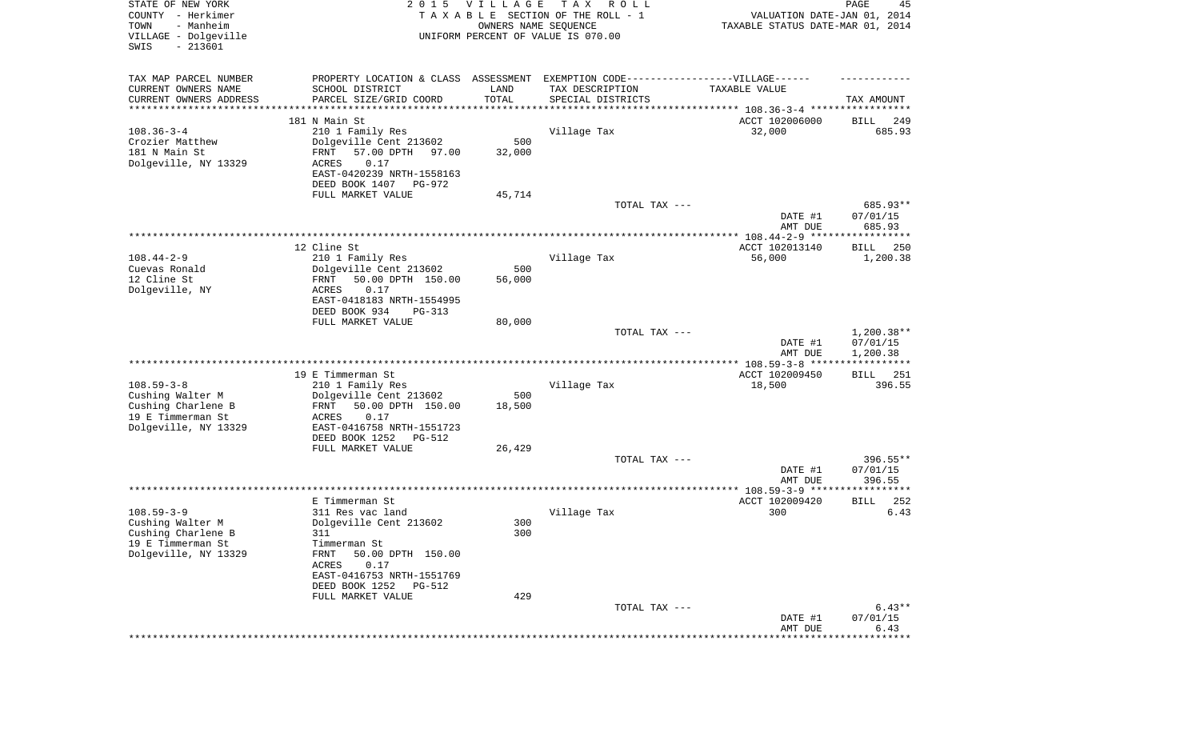| STATE OF NEW YORK<br>COUNTY - Herkimer<br>- Manheim<br>TOWN<br>VILLAGE - Dolgeville<br>SWIS<br>$-213601$ | 2 0 1 5                                             | VILLAGE<br>OWNERS NAME SEQUENCE | T A X<br>R O L L<br>TAXABLE SECTION OF THE ROLL - 1<br>UNIFORM PERCENT OF VALUE IS 070.00 | VALUATION DATE-JAN 01, 2014<br>TAXABLE STATUS DATE-MAR 01, 2014 | PAGE<br>45                           |
|----------------------------------------------------------------------------------------------------------|-----------------------------------------------------|---------------------------------|-------------------------------------------------------------------------------------------|-----------------------------------------------------------------|--------------------------------------|
| TAX MAP PARCEL NUMBER                                                                                    | PROPERTY LOCATION & CLASS ASSESSMENT                |                                 | EXEMPTION CODE------------------VILLAGE------                                             |                                                                 |                                      |
| CURRENT OWNERS NAME                                                                                      | SCHOOL DISTRICT                                     | LAND<br>TOTAL                   | TAX DESCRIPTION                                                                           | TAXABLE VALUE                                                   |                                      |
| CURRENT OWNERS ADDRESS<br>*********************                                                          | PARCEL SIZE/GRID COORD                              | * * * * * * * * * * *           | SPECIAL DISTRICTS                                                                         |                                                                 | TAX AMOUNT                           |
|                                                                                                          | 181 N Main St                                       |                                 |                                                                                           | ACCT 102006000                                                  | 249<br>BILL                          |
| $108.36 - 3 - 4$                                                                                         | 210 1 Family Res                                    |                                 | Village Tax                                                                               | 32,000                                                          | 685.93                               |
| Crozier Matthew                                                                                          | Dolgeville Cent 213602                              | 500                             |                                                                                           |                                                                 |                                      |
| 181 N Main St<br>Dolgeville, NY 13329                                                                    | 57.00 DPTH<br>FRNT<br>97.00<br>ACRES<br>0.17        | 32,000                          |                                                                                           |                                                                 |                                      |
|                                                                                                          | EAST-0420239 NRTH-1558163                           |                                 |                                                                                           |                                                                 |                                      |
|                                                                                                          | DEED BOOK 1407<br>PG-972                            |                                 |                                                                                           |                                                                 |                                      |
|                                                                                                          | FULL MARKET VALUE                                   | 45,714                          |                                                                                           |                                                                 |                                      |
|                                                                                                          |                                                     |                                 | TOTAL TAX ---                                                                             | DATE #1<br>AMT DUE                                              | 685.93**<br>07/01/15<br>685.93       |
|                                                                                                          |                                                     |                                 |                                                                                           |                                                                 |                                      |
|                                                                                                          | 12 Cline St                                         |                                 |                                                                                           | ACCT 102013140                                                  | BILL<br>250                          |
| $108.44 - 2 - 9$                                                                                         | 210 1 Family Res                                    |                                 | Village Tax                                                                               | 56,000                                                          | 1,200.38                             |
| Cuevas Ronald<br>12 Cline St                                                                             | Dolgeville Cent 213602<br>50.00 DPTH 150.00<br>FRNT | 500<br>56,000                   |                                                                                           |                                                                 |                                      |
| Dolgeville, NY                                                                                           | 0.17<br>ACRES                                       |                                 |                                                                                           |                                                                 |                                      |
|                                                                                                          | EAST-0418183 NRTH-1554995                           |                                 |                                                                                           |                                                                 |                                      |
|                                                                                                          | DEED BOOK 934<br>PG-313                             |                                 |                                                                                           |                                                                 |                                      |
|                                                                                                          | FULL MARKET VALUE                                   | 80,000                          |                                                                                           |                                                                 |                                      |
|                                                                                                          |                                                     |                                 | TOTAL TAX ---                                                                             | DATE #1<br>AMT DUE                                              | $1,200.38**$<br>07/01/15<br>1,200.38 |
|                                                                                                          | 19 E Timmerman St                                   |                                 |                                                                                           | ACCT 102009450                                                  | 251<br>BILL                          |
| $108.59 - 3 - 8$                                                                                         | 210 1 Family Res                                    |                                 | Village Tax                                                                               | 18,500                                                          | 396.55                               |
| Cushing Walter M                                                                                         | Dolgeville Cent 213602                              | 500                             |                                                                                           |                                                                 |                                      |
| Cushing Charlene B                                                                                       | 50.00 DPTH 150.00<br>FRNT                           | 18,500                          |                                                                                           |                                                                 |                                      |
| 19 E Timmerman St<br>Dolgeville, NY 13329                                                                | ACRES<br>0.17<br>EAST-0416758 NRTH-1551723          |                                 |                                                                                           |                                                                 |                                      |
|                                                                                                          | DEED BOOK 1252<br>PG-512                            |                                 |                                                                                           |                                                                 |                                      |
|                                                                                                          | FULL MARKET VALUE                                   | 26,429                          |                                                                                           |                                                                 |                                      |
|                                                                                                          |                                                     |                                 | TOTAL TAX ---                                                                             |                                                                 | 396.55**                             |
|                                                                                                          |                                                     |                                 |                                                                                           | DATE #1<br>AMT DUE                                              | 07/01/15<br>396.55                   |
|                                                                                                          |                                                     |                                 |                                                                                           |                                                                 |                                      |
|                                                                                                          | E Timmerman St                                      |                                 |                                                                                           | ACCT 102009420                                                  | 252<br>BILL                          |
| $108.59 - 3 - 9$                                                                                         | 311 Res vac land                                    |                                 | Village Tax                                                                               | 300                                                             | 6.43                                 |
| Cushing Walter M                                                                                         | Dolgeville Cent 213602<br>311                       | 300<br>300                      |                                                                                           |                                                                 |                                      |
| Cushing Charlene B<br>19 E Timmerman St                                                                  | Timmerman St                                        |                                 |                                                                                           |                                                                 |                                      |
| Dolgeville, NY 13329                                                                                     | FRNT<br>50.00 DPTH 150.00                           |                                 |                                                                                           |                                                                 |                                      |
|                                                                                                          | ACRES<br>0.17                                       |                                 |                                                                                           |                                                                 |                                      |
|                                                                                                          | EAST-0416753 NRTH-1551769                           |                                 |                                                                                           |                                                                 |                                      |
|                                                                                                          | DEED BOOK 1252<br>PG-512<br>FULL MARKET VALUE       | 429                             |                                                                                           |                                                                 |                                      |
|                                                                                                          |                                                     |                                 | TOTAL TAX ---                                                                             |                                                                 | $6.43**$                             |
|                                                                                                          |                                                     |                                 |                                                                                           | DATE #1                                                         | 07/01/15                             |
|                                                                                                          |                                                     |                                 |                                                                                           | AMT DUE                                                         | 6.43                                 |
|                                                                                                          |                                                     |                                 |                                                                                           |                                                                 |                                      |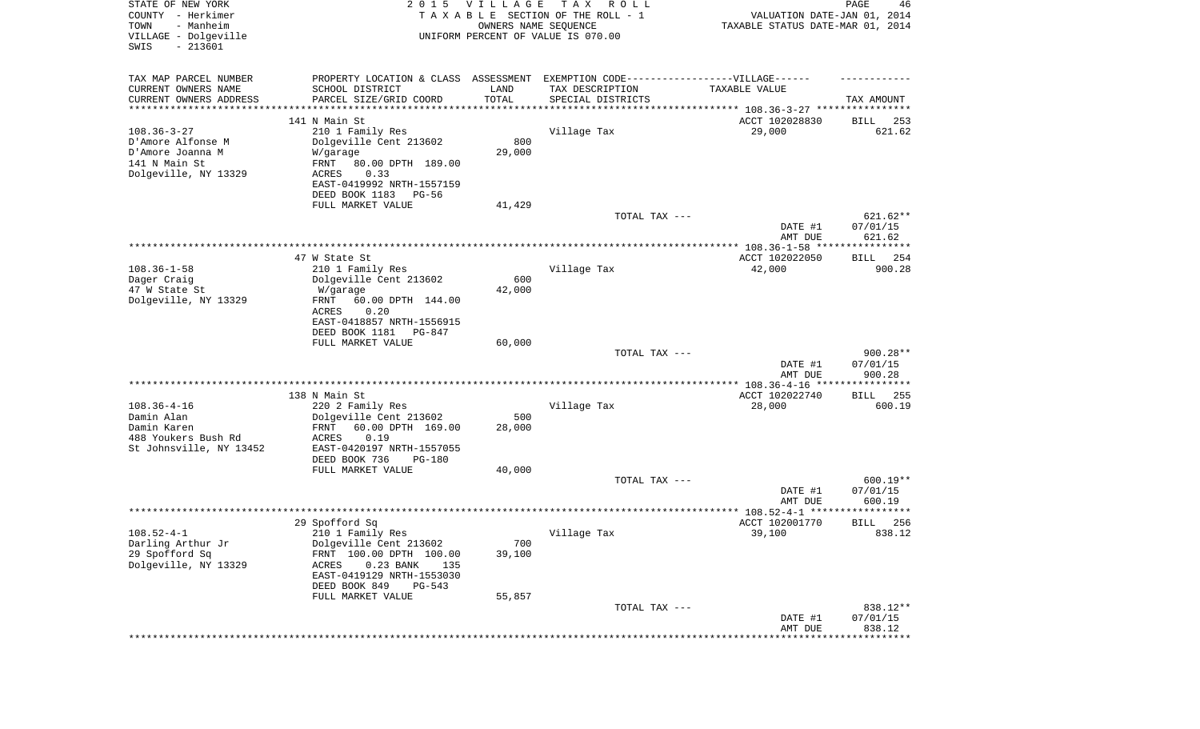| STATE OF NEW YORK<br>COUNTY - Herkimer<br>TOWN<br>- Manheim<br>VILLAGE - Dolgeville<br>SWIS<br>$-213601$ |                                                                                   | 2015 VILLAGE<br>OWNERS NAME SEQUENCE | T A X<br>R O L L<br>TAXABLE SECTION OF THE ROLL - 1<br>UNIFORM PERCENT OF VALUE IS 070.00 | VALUATION DATE-JAN 01, 2014<br>TAXABLE STATUS DATE-MAR 01, 2014    | $\mathop{\mathtt{PAGE}}$<br>46 |
|----------------------------------------------------------------------------------------------------------|-----------------------------------------------------------------------------------|--------------------------------------|-------------------------------------------------------------------------------------------|--------------------------------------------------------------------|--------------------------------|
| TAX MAP PARCEL NUMBER                                                                                    | PROPERTY LOCATION & CLASS ASSESSMENT EXEMPTION CODE-----------------VILLAGE------ |                                      |                                                                                           |                                                                    |                                |
| CURRENT OWNERS NAME                                                                                      | SCHOOL DISTRICT                                                                   | LAND                                 | TAX DESCRIPTION                                                                           | TAXABLE VALUE                                                      |                                |
| CURRENT OWNERS ADDRESS<br>*********************                                                          | PARCEL SIZE/GRID COORD                                                            | TOTAL                                | SPECIAL DISTRICTS                                                                         | ************************************* 108.36-3-27 **************** | TAX AMOUNT                     |
|                                                                                                          | 141 N Main St                                                                     |                                      |                                                                                           | ACCT 102028830                                                     | 253<br>BILL                    |
| $108.36 - 3 - 27$                                                                                        | 210 1 Family Res                                                                  |                                      | Village Tax                                                                               | 29,000                                                             | 621.62                         |
| D'Amore Alfonse M                                                                                        | Dolgeville Cent 213602                                                            | 800                                  |                                                                                           |                                                                    |                                |
| D'Amore Joanna M                                                                                         | W/garage                                                                          | 29,000                               |                                                                                           |                                                                    |                                |
| 141 N Main St                                                                                            | FRNT<br>80.00 DPTH 189.00                                                         |                                      |                                                                                           |                                                                    |                                |
| Dolgeville, NY 13329                                                                                     | 0.33<br>ACRES                                                                     |                                      |                                                                                           |                                                                    |                                |
|                                                                                                          | EAST-0419992 NRTH-1557159<br>DEED BOOK 1183<br>PG-56                              |                                      |                                                                                           |                                                                    |                                |
|                                                                                                          | FULL MARKET VALUE                                                                 | 41,429                               |                                                                                           |                                                                    |                                |
|                                                                                                          |                                                                                   |                                      | TOTAL TAX ---                                                                             |                                                                    | 621.62**                       |
|                                                                                                          |                                                                                   |                                      |                                                                                           | DATE #1                                                            | 07/01/15                       |
|                                                                                                          |                                                                                   |                                      |                                                                                           | AMT DUE                                                            | 621.62                         |
|                                                                                                          | 47 W State St                                                                     |                                      |                                                                                           | ACCT 102022050                                                     | 254<br>BILL                    |
| $108.36 - 1 - 58$                                                                                        | 210 1 Family Res                                                                  |                                      | Village Tax                                                                               | 42,000                                                             | 900.28                         |
| Dager Craig                                                                                              | Dolgeville Cent 213602                                                            | 600                                  |                                                                                           |                                                                    |                                |
| 47 W State St                                                                                            | W/garage                                                                          | 42,000                               |                                                                                           |                                                                    |                                |
| Dolgeville, NY 13329                                                                                     | 60.00 DPTH 144.00<br>FRNT                                                         |                                      |                                                                                           |                                                                    |                                |
|                                                                                                          | ACRES<br>0.20                                                                     |                                      |                                                                                           |                                                                    |                                |
|                                                                                                          | EAST-0418857 NRTH-1556915<br>DEED BOOK 1181<br>PG-847                             |                                      |                                                                                           |                                                                    |                                |
|                                                                                                          | FULL MARKET VALUE                                                                 | 60,000                               |                                                                                           |                                                                    |                                |
|                                                                                                          |                                                                                   |                                      | TOTAL TAX ---                                                                             |                                                                    | 900.28**                       |
|                                                                                                          |                                                                                   |                                      |                                                                                           | DATE #1                                                            | 07/01/15                       |
|                                                                                                          |                                                                                   |                                      |                                                                                           | AMT DUE                                                            | 900.28<br>***********          |
|                                                                                                          | 138 N Main St                                                                     |                                      |                                                                                           | ACCT 102022740                                                     | 255<br>BILL                    |
| $108.36 - 4 - 16$                                                                                        | 220 2 Family Res                                                                  |                                      | Village Tax                                                                               | 28,000                                                             | 600.19                         |
| Damin Alan                                                                                               | Dolgeville Cent 213602                                                            | 500                                  |                                                                                           |                                                                    |                                |
| Damin Karen                                                                                              | FRNT<br>60.00 DPTH 169.00                                                         | 28,000                               |                                                                                           |                                                                    |                                |
| 488 Youkers Bush Rd                                                                                      | ACRES<br>0.19                                                                     |                                      |                                                                                           |                                                                    |                                |
| St Johnsville, NY 13452                                                                                  | EAST-0420197 NRTH-1557055<br>DEED BOOK 736<br>PG-180                              |                                      |                                                                                           |                                                                    |                                |
|                                                                                                          | FULL MARKET VALUE                                                                 | 40,000                               |                                                                                           |                                                                    |                                |
|                                                                                                          |                                                                                   |                                      | TOTAL TAX ---                                                                             |                                                                    | 600.19**                       |
|                                                                                                          |                                                                                   |                                      |                                                                                           | DATE #1                                                            | 07/01/15                       |
|                                                                                                          |                                                                                   |                                      |                                                                                           | AMT DUE                                                            | 600.19                         |
|                                                                                                          | 29 Spofford Sq                                                                    |                                      |                                                                                           | ACCT 102001770                                                     | * * * * * *<br>256             |
| $108.52 - 4 - 1$                                                                                         | 210 1 Family Res                                                                  |                                      | Village Tax                                                                               | 39,100                                                             | BILL<br>838.12                 |
| Darling Arthur Jr                                                                                        | Dolgeville Cent 213602                                                            | 700                                  |                                                                                           |                                                                    |                                |
| 29 Spofford Sq                                                                                           | FRNT 100.00 DPTH 100.00                                                           | 39,100                               |                                                                                           |                                                                    |                                |
| Dolgeville, NY 13329                                                                                     | $0.23$ BANK<br>135<br><b>ACRES</b>                                                |                                      |                                                                                           |                                                                    |                                |
|                                                                                                          | EAST-0419129 NRTH-1553030                                                         |                                      |                                                                                           |                                                                    |                                |
|                                                                                                          | DEED BOOK 849<br>PG-543<br>FULL MARKET VALUE                                      |                                      |                                                                                           |                                                                    |                                |
|                                                                                                          |                                                                                   | 55,857                               | TOTAL TAX ---                                                                             |                                                                    | 838.12**                       |
|                                                                                                          |                                                                                   |                                      |                                                                                           | DATE #1                                                            | 07/01/15                       |
|                                                                                                          |                                                                                   |                                      |                                                                                           | AMT DUE                                                            | 838.12                         |
|                                                                                                          |                                                                                   |                                      |                                                                                           |                                                                    | * * * * * * * * *              |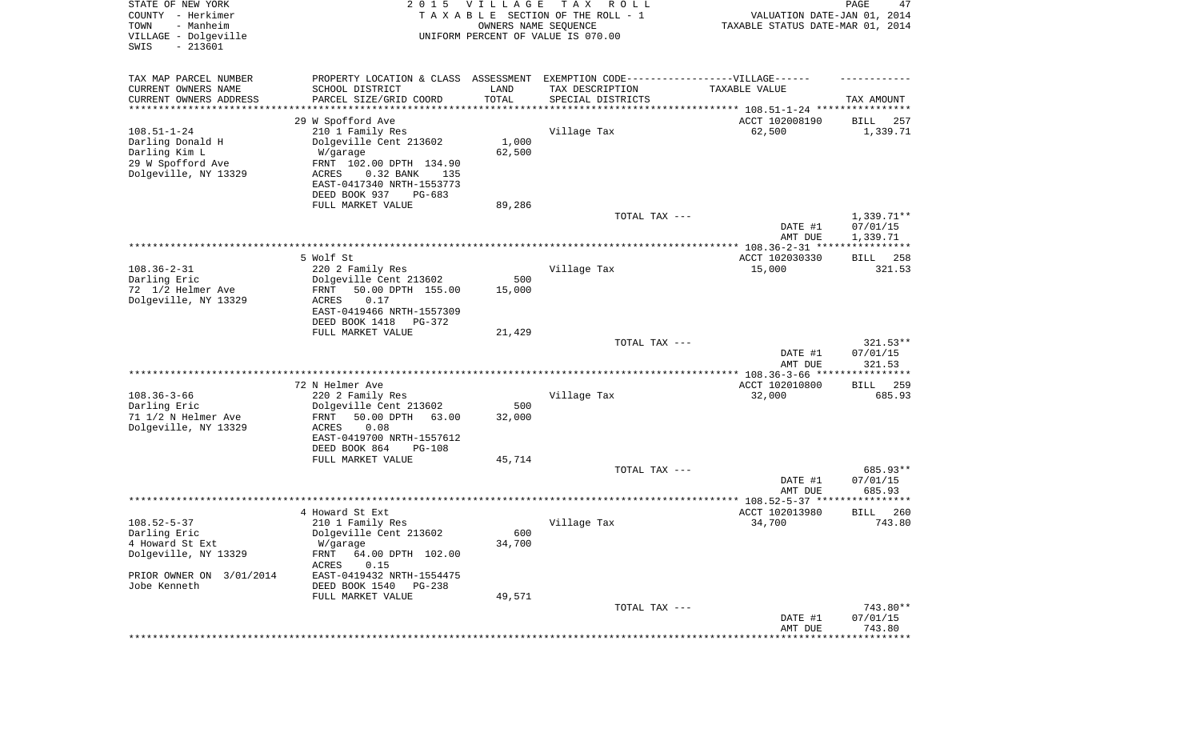| STATE OF NEW YORK<br>COUNTY - Herkimer<br>- Manheim<br>TOWN<br>VILLAGE - Dolgeville<br>SWIS<br>$-213601$ | 2 0 1 5                                                                          | V I L L A G E<br>OWNERS NAME SEQUENCE | T A X<br>R O L L<br>TAXABLE SECTION OF THE ROLL - 1<br>UNIFORM PERCENT OF VALUE IS 070.00 | VALUATION DATE-JAN 01, 2014<br>TAXABLE STATUS DATE-MAR 01, 2014 | PAGE<br>47               |
|----------------------------------------------------------------------------------------------------------|----------------------------------------------------------------------------------|---------------------------------------|-------------------------------------------------------------------------------------------|-----------------------------------------------------------------|--------------------------|
| TAX MAP PARCEL NUMBER                                                                                    | PROPERTY LOCATION & CLASS ASSESSMENT EXEMPTION CODE----------------VILLAGE------ |                                       |                                                                                           |                                                                 |                          |
| CURRENT OWNERS NAME                                                                                      | SCHOOL DISTRICT                                                                  | LAND                                  | TAX DESCRIPTION                                                                           | TAXABLE VALUE                                                   |                          |
| CURRENT OWNERS ADDRESS<br>********************                                                           | PARCEL SIZE/GRID COORD                                                           | TOTAL<br>* * * * * * * * * * *        | SPECIAL DISTRICTS                                                                         | ********************************* 108.51-1-24 ****************  | TAX AMOUNT               |
|                                                                                                          | 29 W Spofford Ave                                                                |                                       |                                                                                           | ACCT 102008190                                                  | 257<br>BILL              |
| $108.51 - 1 - 24$                                                                                        | 210 1 Family Res                                                                 |                                       | Village Tax                                                                               | 62,500                                                          | 1,339.71                 |
| Darling Donald H                                                                                         | Dolgeville Cent 213602                                                           | 1,000                                 |                                                                                           |                                                                 |                          |
| Darling Kim L                                                                                            | W/garage                                                                         | 62,500                                |                                                                                           |                                                                 |                          |
| 29 W Spofford Ave<br>Dolgeville, NY 13329                                                                | FRNT 102.00 DPTH 134.90<br>0.32 BANK<br>ACRES<br>135                             |                                       |                                                                                           |                                                                 |                          |
|                                                                                                          | EAST-0417340 NRTH-1553773                                                        |                                       |                                                                                           |                                                                 |                          |
|                                                                                                          | DEED BOOK 937<br>$PG-683$                                                        |                                       |                                                                                           |                                                                 |                          |
|                                                                                                          | FULL MARKET VALUE                                                                | 89,286                                |                                                                                           |                                                                 |                          |
|                                                                                                          |                                                                                  |                                       | TOTAL TAX ---                                                                             | DATE #1                                                         | $1,339.71**$<br>07/01/15 |
|                                                                                                          |                                                                                  |                                       |                                                                                           | AMT DUE                                                         | 1,339.71                 |
|                                                                                                          |                                                                                  |                                       |                                                                                           |                                                                 |                          |
|                                                                                                          | 5 Wolf St                                                                        |                                       |                                                                                           | ACCT 102030330                                                  | 258<br>BILL              |
| $108.36 - 2 - 31$                                                                                        | 220 2 Family Res                                                                 |                                       | Village Tax                                                                               | 15,000                                                          | 321.53                   |
| Darling Eric<br>72 1/2 Helmer Ave                                                                        | Dolgeville Cent 213602<br>50.00 DPTH 155.00<br>FRNT                              | 500<br>15,000                         |                                                                                           |                                                                 |                          |
| Dolgeville, NY 13329                                                                                     | <b>ACRES</b><br>0.17                                                             |                                       |                                                                                           |                                                                 |                          |
|                                                                                                          | EAST-0419466 NRTH-1557309                                                        |                                       |                                                                                           |                                                                 |                          |
|                                                                                                          | DEED BOOK 1418<br>PG-372                                                         |                                       |                                                                                           |                                                                 |                          |
|                                                                                                          | FULL MARKET VALUE                                                                | 21,429                                | TOTAL TAX ---                                                                             |                                                                 | $321.53**$               |
|                                                                                                          |                                                                                  |                                       |                                                                                           | DATE #1                                                         | 07/01/15                 |
|                                                                                                          |                                                                                  |                                       |                                                                                           | AMT DUE                                                         | 321.53                   |
|                                                                                                          |                                                                                  |                                       |                                                                                           | ************ 108.36-3-66 ***                                    | *********                |
| $108.36 - 3 - 66$                                                                                        | 72 N Helmer Ave<br>220 2 Family Res                                              |                                       | Village Tax                                                                               | ACCT 102010800<br>32,000                                        | 259<br>BILL<br>685.93    |
| Darling Eric                                                                                             | Dolgeville Cent 213602                                                           | 500                                   |                                                                                           |                                                                 |                          |
| 71 1/2 N Helmer Ave                                                                                      | 50.00 DPTH<br>63.00<br>FRNT                                                      | 32,000                                |                                                                                           |                                                                 |                          |
| Dolgeville, NY 13329                                                                                     | <b>ACRES</b><br>0.08                                                             |                                       |                                                                                           |                                                                 |                          |
|                                                                                                          | EAST-0419700 NRTH-1557612                                                        |                                       |                                                                                           |                                                                 |                          |
|                                                                                                          | DEED BOOK 864<br>$PG-108$<br>FULL MARKET VALUE                                   | 45,714                                |                                                                                           |                                                                 |                          |
|                                                                                                          |                                                                                  |                                       | TOTAL TAX ---                                                                             |                                                                 | 685.93**                 |
|                                                                                                          |                                                                                  |                                       |                                                                                           | DATE #1                                                         | 07/01/15                 |
| ****************************                                                                             |                                                                                  |                                       |                                                                                           | AMT DUE                                                         | 685.93<br>**********     |
|                                                                                                          | 4 Howard St Ext                                                                  |                                       |                                                                                           | ACCT 102013980                                                  | 260<br>BILL              |
| $108.52 - 5 - 37$                                                                                        | 210 1 Family Res                                                                 |                                       | Village Tax                                                                               | 34,700                                                          | 743.80                   |
| Darling Eric                                                                                             | Dolgeville Cent 213602                                                           | 600                                   |                                                                                           |                                                                 |                          |
| 4 Howard St Ext                                                                                          | W/garage                                                                         | 34,700                                |                                                                                           |                                                                 |                          |
| Dolgeville, NY 13329                                                                                     | FRNT<br>64.00 DPTH 102.00<br>ACRES<br>0.15                                       |                                       |                                                                                           |                                                                 |                          |
| PRIOR OWNER ON 3/01/2014                                                                                 | EAST-0419432 NRTH-1554475                                                        |                                       |                                                                                           |                                                                 |                          |
| Jobe Kenneth                                                                                             | DEED BOOK 1540<br>PG-238                                                         |                                       |                                                                                           |                                                                 |                          |
|                                                                                                          | FULL MARKET VALUE                                                                | 49,571                                |                                                                                           |                                                                 |                          |
|                                                                                                          |                                                                                  |                                       | TOTAL TAX ---                                                                             | DATE #1                                                         | 743.80**<br>07/01/15     |
|                                                                                                          |                                                                                  |                                       |                                                                                           | AMT DUE                                                         | 743.80                   |
|                                                                                                          |                                                                                  |                                       |                                                                                           |                                                                 | ***********              |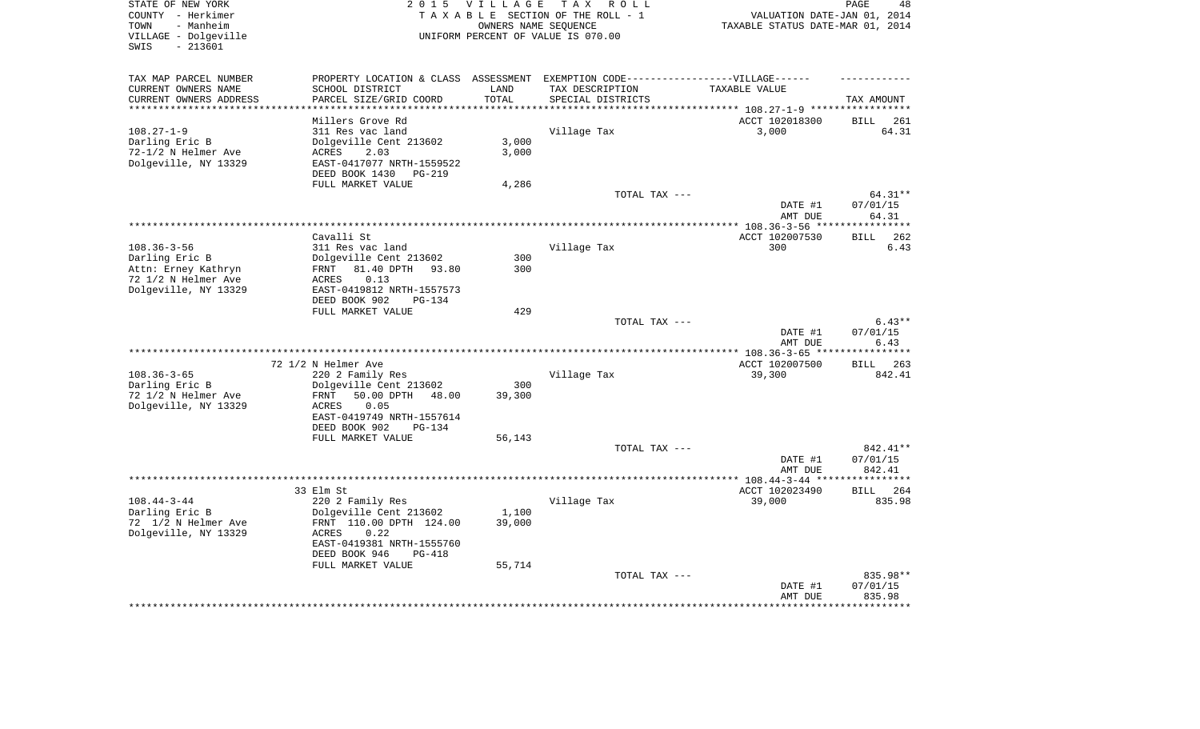| STATE OF NEW YORK                                             |                                                                                  | 2015 VILLAGE         | TAX ROLL                           |                                  | PAGE<br>48         |
|---------------------------------------------------------------|----------------------------------------------------------------------------------|----------------------|------------------------------------|----------------------------------|--------------------|
| COUNTY - Herkimer                                             |                                                                                  |                      | TAXABLE SECTION OF THE ROLL - 1    | VALUATION DATE-JAN 01, 2014      |                    |
| TOWN<br>- Manheim                                             |                                                                                  | OWNERS NAME SEQUENCE |                                    | TAXABLE STATUS DATE-MAR 01, 2014 |                    |
| VILLAGE - Dolgeville                                          |                                                                                  |                      | UNIFORM PERCENT OF VALUE IS 070.00 |                                  |                    |
| SWIS<br>$-213601$                                             |                                                                                  |                      |                                    |                                  |                    |
|                                                               |                                                                                  |                      |                                    |                                  |                    |
| TAX MAP PARCEL NUMBER                                         | PROPERTY LOCATION & CLASS ASSESSMENT EXEMPTION CODE----------------VILLAGE------ |                      |                                    |                                  |                    |
| CURRENT OWNERS NAME                                           | SCHOOL DISTRICT                                                                  | LAND                 | TAX DESCRIPTION                    | TAXABLE VALUE                    |                    |
| CURRENT OWNERS ADDRESS                                        | PARCEL SIZE/GRID COORD                                                           | TOTAL                | SPECIAL DISTRICTS                  |                                  | TAX AMOUNT         |
| ***********************                                       |                                                                                  |                      |                                    |                                  |                    |
|                                                               | Millers Grove Rd                                                                 |                      |                                    | ACCT 102018300                   | BILL 261           |
| $108.27 - 1 - 9$                                              | 311 Res vac land                                                                 |                      | Village Tax                        | 3,000                            | 64.31              |
| Darling Eric B                                                | Dolgeville Cent 213602                                                           | 3,000                |                                    |                                  |                    |
| 72-1/2 N Helmer Ave                                           | 2.03<br>ACRES                                                                    | 3,000                |                                    |                                  |                    |
| Dolgeville, NY 13329                                          | EAST-0417077 NRTH-1559522                                                        |                      |                                    |                                  |                    |
|                                                               | DEED BOOK 1430<br>PG-219                                                         |                      |                                    |                                  |                    |
|                                                               | FULL MARKET VALUE                                                                | 4,286                |                                    |                                  |                    |
|                                                               |                                                                                  |                      | TOTAL TAX ---                      |                                  | 64.31**            |
|                                                               |                                                                                  |                      |                                    | DATE #1                          | 07/01/15           |
|                                                               |                                                                                  |                      |                                    |                                  | 64.31              |
|                                                               |                                                                                  |                      |                                    | AMT DUE                          | **********         |
|                                                               |                                                                                  |                      |                                    |                                  |                    |
|                                                               | Cavalli St                                                                       |                      |                                    | ACCT 102007530                   | <b>BILL</b><br>262 |
| $108.36 - 3 - 56$                                             | 311 Res vac land                                                                 |                      | Village Tax                        | 300                              | 6.43               |
| Darling Eric B                                                | Dolgeville Cent 213602                                                           | 300                  |                                    |                                  |                    |
| Attn: Erney Kathryn                                           | 81.40 DPTH 93.80<br>FRNT                                                         | 300                  |                                    |                                  |                    |
| 72 1/2 N Helmer Ave                                           | 0.13<br>ACRES                                                                    |                      |                                    |                                  |                    |
| Dolgeville, NY 13329                                          | EAST-0419812 NRTH-1557573                                                        |                      |                                    |                                  |                    |
|                                                               | DEED BOOK 902<br><b>PG-134</b>                                                   |                      |                                    |                                  |                    |
|                                                               | FULL MARKET VALUE                                                                | 429                  |                                    |                                  |                    |
|                                                               |                                                                                  |                      | TOTAL TAX ---                      |                                  | $6.43**$           |
|                                                               |                                                                                  |                      |                                    | DATE #1                          | 07/01/15           |
|                                                               |                                                                                  |                      |                                    | AMT DUE                          | 6.43               |
|                                                               |                                                                                  |                      |                                    |                                  | ********           |
|                                                               | 72 1/2 N Helmer Ave                                                              |                      |                                    | ACCT 102007500                   | BILL 263           |
| $108.36 - 3 - 65$                                             | 220 2 Family Res                                                                 |                      | Village Tax                        | 39,300                           | 842.41             |
| Darling Eric B                                                | Dolgeville Cent 213602                                                           | 300                  |                                    |                                  |                    |
| 72 1/2 N Helmer Ave                                           | FRNT<br>50.00 DPTH<br>48.00                                                      | 39,300               |                                    |                                  |                    |
| Dolgeville, NY 13329                                          | ACRES<br>0.05                                                                    |                      |                                    |                                  |                    |
|                                                               | EAST-0419749 NRTH-1557614                                                        |                      |                                    |                                  |                    |
|                                                               |                                                                                  |                      |                                    |                                  |                    |
|                                                               | DEED BOOK 902<br>PG-134                                                          |                      |                                    |                                  |                    |
|                                                               | FULL MARKET VALUE                                                                | 56,143               |                                    |                                  |                    |
|                                                               |                                                                                  |                      | TOTAL TAX ---                      |                                  | 842.41**           |
|                                                               |                                                                                  |                      |                                    |                                  | 07/01/15           |
|                                                               |                                                                                  |                      |                                    | DATE #1                          |                    |
|                                                               |                                                                                  |                      | ***********************            | AMT DUE                          | 842.41<br>*******  |
|                                                               |                                                                                  |                      |                                    | *** 108.44-3-44 **               |                    |
|                                                               | 33 Elm St                                                                        |                      |                                    | ACCT 102023490                   | <b>BILL</b><br>264 |
| $108.44 - 3 - 44$                                             | 220 2 Family Res                                                                 |                      | Village Tax                        | 39,000                           | 835.98             |
|                                                               | Dolgeville Cent 213602                                                           | 1,100                |                                    |                                  |                    |
|                                                               | FRNT 110.00 DPTH 124.00                                                          | 39,000               |                                    |                                  |                    |
| Darling Eric B<br>72 1/2 N Helmer Ave<br>Dolgeville, NY 13329 | ACRES<br>0.22                                                                    |                      |                                    |                                  |                    |
|                                                               | EAST-0419381 NRTH-1555760                                                        |                      |                                    |                                  |                    |
|                                                               | DEED BOOK 946<br>PG-418                                                          |                      |                                    |                                  |                    |
|                                                               | FULL MARKET VALUE                                                                | 55,714               |                                    |                                  |                    |
|                                                               |                                                                                  |                      | TOTAL TAX ---                      |                                  | 835.98**           |
|                                                               |                                                                                  |                      |                                    | DATE #1<br>AMT DUE               | 07/01/15<br>835.98 |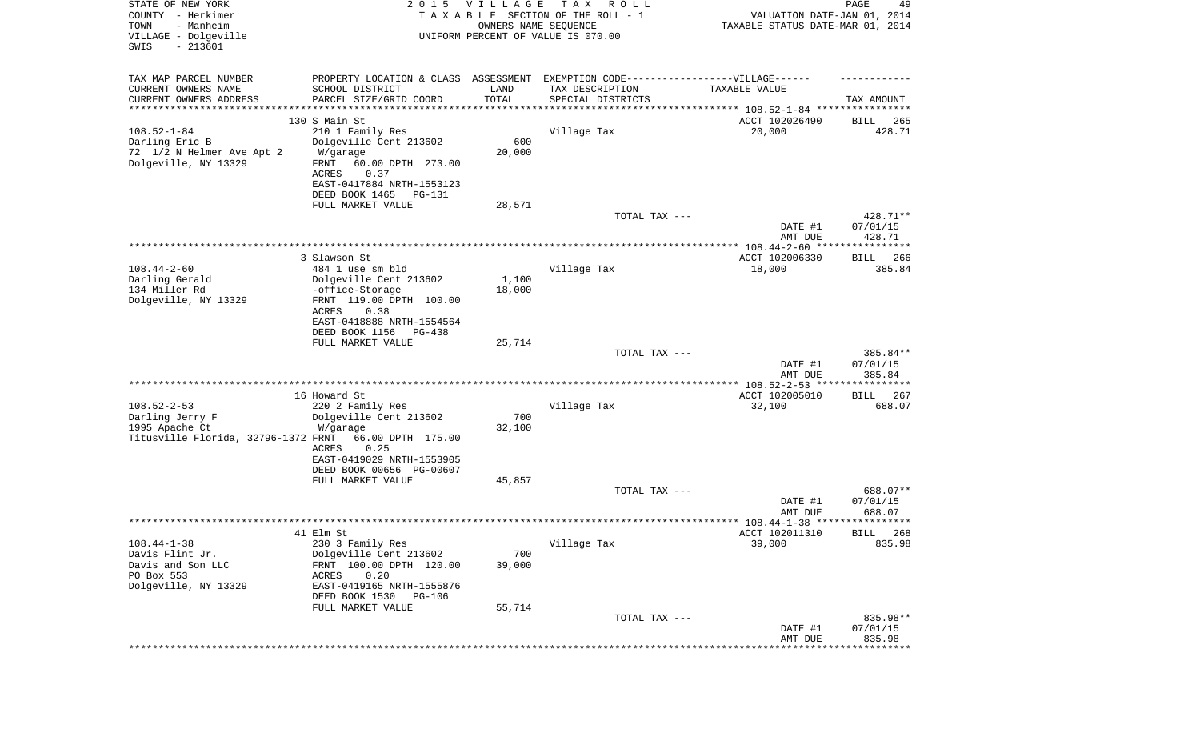| STATE OF NEW YORK<br>COUNTY - Herkimer<br>- Manheim<br>TOWN<br>VILLAGE - Dolgeville<br>$-213601$<br>SWIS | 2 0 1 5                                                                           | <b>VILLAGE</b><br>OWNERS NAME SEQUENCE | T A X<br>R O L L<br>TAXABLE SECTION OF THE ROLL - 1<br>UNIFORM PERCENT OF VALUE IS 070.00 | VALUATION DATE-JAN 01, 2014<br>TAXABLE STATUS DATE-MAR 01, 2014 | PAGE<br>49           |
|----------------------------------------------------------------------------------------------------------|-----------------------------------------------------------------------------------|----------------------------------------|-------------------------------------------------------------------------------------------|-----------------------------------------------------------------|----------------------|
|                                                                                                          |                                                                                   |                                        |                                                                                           |                                                                 |                      |
| TAX MAP PARCEL NUMBER<br>CURRENT OWNERS NAME<br>CURRENT OWNERS ADDRESS                                   | PROPERTY LOCATION & CLASS ASSESSMENT<br>SCHOOL DISTRICT<br>PARCEL SIZE/GRID COORD | LAND<br>TOTAL                          | EXEMPTION CODE-----------------VILLAGE------<br>TAX DESCRIPTION<br>SPECIAL DISTRICTS      | TAXABLE VALUE                                                   | TAX AMOUNT           |
| **********************                                                                                   | *******************                                                               | * * * * * * * * * * *                  |                                                                                           |                                                                 |                      |
|                                                                                                          | 130 S Main St                                                                     |                                        |                                                                                           | ACCT 102026490                                                  | 265<br>BILL          |
| $108.52 - 1 - 84$                                                                                        | 210 1 Family Res                                                                  |                                        | Village Tax                                                                               | 20,000                                                          | 428.71               |
| Darling Eric B                                                                                           | Dolgeville Cent 213602                                                            | 600                                    |                                                                                           |                                                                 |                      |
| 72 1/2 N Helmer Ave Apt 2<br>Dolgeville, NY 13329                                                        | W/garage<br>FRNT<br>60.00 DPTH 273.00<br>ACRES<br>0.37                            | 20,000                                 |                                                                                           |                                                                 |                      |
|                                                                                                          | EAST-0417884 NRTH-1553123<br>DEED BOOK 1465<br>PG-131                             |                                        |                                                                                           |                                                                 |                      |
|                                                                                                          | FULL MARKET VALUE                                                                 | 28,571                                 |                                                                                           |                                                                 |                      |
|                                                                                                          |                                                                                   |                                        | TOTAL TAX ---                                                                             |                                                                 | 428.71**             |
|                                                                                                          |                                                                                   |                                        |                                                                                           | DATE #1                                                         | 07/01/15             |
|                                                                                                          |                                                                                   |                                        |                                                                                           | AMT DUE                                                         | 428.71               |
|                                                                                                          | 3 Slawson St                                                                      |                                        |                                                                                           | ACCT 102006330                                                  | BILL<br>266          |
| $108.44 - 2 - 60$                                                                                        | 484 1 use sm bld                                                                  |                                        | Village Tax                                                                               | 18,000                                                          | 385.84               |
| Darling Gerald                                                                                           | Dolgeville Cent 213602                                                            | 1,100                                  |                                                                                           |                                                                 |                      |
| 134 Miller Rd                                                                                            | -office-Storage                                                                   | 18,000                                 |                                                                                           |                                                                 |                      |
| Dolgeville, NY 13329                                                                                     | FRNT 119.00 DPTH 100.00<br>ACRES<br>0.38                                          |                                        |                                                                                           |                                                                 |                      |
|                                                                                                          | EAST-0418888 NRTH-1554564                                                         |                                        |                                                                                           |                                                                 |                      |
|                                                                                                          | DEED BOOK 1156<br>PG-438                                                          |                                        |                                                                                           |                                                                 |                      |
|                                                                                                          | FULL MARKET VALUE                                                                 | 25,714                                 |                                                                                           |                                                                 |                      |
|                                                                                                          |                                                                                   |                                        | TOTAL TAX ---                                                                             | DATE #1                                                         | 385.84**<br>07/01/15 |
|                                                                                                          |                                                                                   |                                        |                                                                                           | AMT DUE                                                         | 385.84               |
|                                                                                                          |                                                                                   |                                        |                                                                                           |                                                                 |                      |
|                                                                                                          | 16 Howard St                                                                      |                                        |                                                                                           | ACCT 102005010                                                  | BILL<br>267          |
| $108.52 - 2 - 53$<br>Darling Jerry F                                                                     | 220 2 Family Res<br>Dolgeville Cent 213602                                        | 700                                    | Village Tax                                                                               | 32,100                                                          | 688.07               |
| 1995 Apache Ct                                                                                           | W/garage                                                                          | 32,100                                 |                                                                                           |                                                                 |                      |
| Titusville Florida, 32796-1372 FRNT                                                                      | 66.00 DPTH 175.00                                                                 |                                        |                                                                                           |                                                                 |                      |
|                                                                                                          | 0.25<br>ACRES                                                                     |                                        |                                                                                           |                                                                 |                      |
|                                                                                                          | EAST-0419029 NRTH-1553905<br>DEED BOOK 00656 PG-00607                             |                                        |                                                                                           |                                                                 |                      |
|                                                                                                          | FULL MARKET VALUE                                                                 | 45,857                                 |                                                                                           |                                                                 |                      |
|                                                                                                          |                                                                                   |                                        | TOTAL TAX ---                                                                             |                                                                 | 688.07**             |
|                                                                                                          |                                                                                   |                                        |                                                                                           | DATE #1                                                         | 07/01/15             |
|                                                                                                          |                                                                                   |                                        |                                                                                           | AMT DUE                                                         | 688.07               |
|                                                                                                          | 41 Elm St                                                                         |                                        |                                                                                           | ACCT 102011310                                                  | BILL 268             |
| $108.44 - 1 - 38$                                                                                        | 230 3 Family Res                                                                  |                                        | Village Tax                                                                               | 39,000                                                          | 835.98               |
| Davis Flint Jr.                                                                                          | Dolgeville Cent 213602                                                            | 700                                    |                                                                                           |                                                                 |                      |
| Davis and Son LLC                                                                                        | FRNT 100.00 DPTH 120.00                                                           | 39,000                                 |                                                                                           |                                                                 |                      |
| PO Box 553<br>Dolgeville, NY 13329                                                                       | 0.20<br>ACRES<br>EAST-0419165 NRTH-1555876                                        |                                        |                                                                                           |                                                                 |                      |
|                                                                                                          | DEED BOOK 1530<br><b>PG-106</b>                                                   |                                        |                                                                                           |                                                                 |                      |
|                                                                                                          | FULL MARKET VALUE                                                                 | 55,714                                 |                                                                                           |                                                                 |                      |
|                                                                                                          |                                                                                   |                                        | TOTAL TAX ---                                                                             |                                                                 | 835.98**             |
|                                                                                                          |                                                                                   |                                        |                                                                                           | DATE #1<br>AMT DUE                                              | 07/01/15<br>835.98   |
|                                                                                                          |                                                                                   |                                        |                                                                                           |                                                                 | * * * * * * * * *    |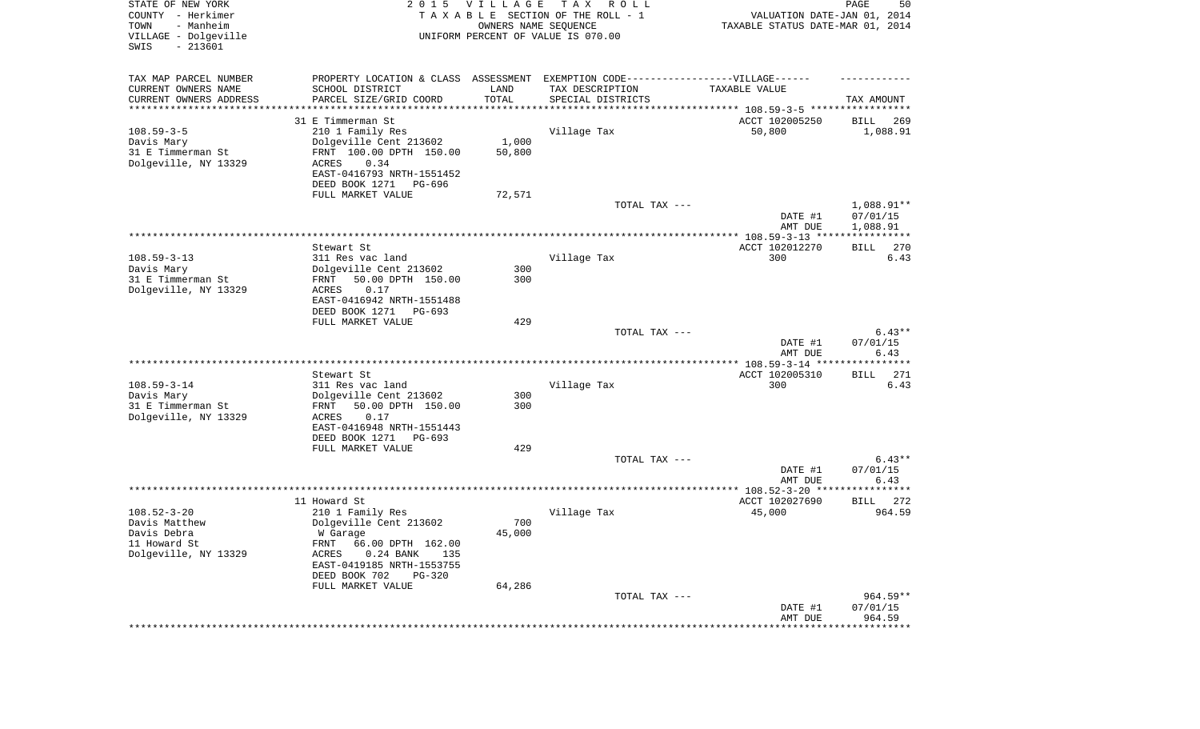| STATE OF NEW YORK<br>COUNTY - Herkimer<br>TOWN<br>- Manheim<br>VILLAGE - Dolgeville<br>SWIS<br>$-213601$ | 2 0 1 5                                                                                                                                                                                                             | <b>VILLAGE</b><br>OWNERS NAME SEQUENCE | T A X<br>R O L L<br>TAXABLE SECTION OF THE ROLL - 1<br>UNIFORM PERCENT OF VALUE IS 070.00 | VALUATION DATE-JAN 01, 2014<br>TAXABLE STATUS DATE-MAR 01, 2014 | PAGE<br>50                         |
|----------------------------------------------------------------------------------------------------------|---------------------------------------------------------------------------------------------------------------------------------------------------------------------------------------------------------------------|----------------------------------------|-------------------------------------------------------------------------------------------|-----------------------------------------------------------------|------------------------------------|
| TAX MAP PARCEL NUMBER<br>CURRENT OWNERS NAME<br>CURRENT OWNERS ADDRESS<br>*********************          | PROPERTY LOCATION & CLASS ASSESSMENT EXEMPTION CODE-----------------VILLAGE------<br>SCHOOL DISTRICT<br>PARCEL SIZE/GRID COORD                                                                                      | LAND<br>TOTAL                          | TAX DESCRIPTION<br>SPECIAL DISTRICTS                                                      | TAXABLE VALUE                                                   | TAX AMOUNT                         |
| $108.59 - 3 - 5$<br>Davis Mary<br>31 E Timmerman St<br>Dolgeville, NY 13329                              | 31 E Timmerman St<br>210 1 Family Res<br>Dolgeville Cent 213602<br>FRNT 100.00 DPTH 150.00<br>ACRES<br>0.34<br>EAST-0416793 NRTH-1551452<br>DEED BOOK 1271<br>PG-696<br>FULL MARKET VALUE                           | 1,000<br>50,800<br>72,571              | Village Tax                                                                               | ACCT 102005250<br>50,800                                        | 269<br>BILL<br>1,088.91            |
|                                                                                                          |                                                                                                                                                                                                                     |                                        | TOTAL TAX ---                                                                             | DATE #1<br>AMT DUE                                              | 1,088.91**<br>07/01/15<br>1,088.91 |
| $108.59 - 3 - 13$<br>Davis Mary<br>31 E Timmerman St<br>Dolgeville, NY 13329                             | Stewart St<br>311 Res vac land<br>Dolgeville Cent 213602<br>50.00 DPTH 150.00<br>FRNT<br>0.17<br>ACRES<br>EAST-0416942 NRTH-1551488<br>DEED BOOK 1271<br>PG-693                                                     | 300<br>300                             | Village Tax                                                                               | ACCT 102012270<br>300                                           | 270<br><b>BILL</b><br>6.43         |
|                                                                                                          | FULL MARKET VALUE                                                                                                                                                                                                   | 429                                    | TOTAL TAX ---                                                                             | DATE #1<br>AMT DUE                                              | $6.43**$<br>07/01/15<br>6.43       |
|                                                                                                          |                                                                                                                                                                                                                     |                                        |                                                                                           |                                                                 |                                    |
| $108.59 - 3 - 14$<br>Davis Mary<br>31 E Timmerman St<br>Dolgeville, NY 13329                             | Stewart St<br>311 Res vac land<br>Dolgeville Cent 213602<br>50.00 DPTH 150.00<br>FRNT<br>ACRES<br>0.17<br>EAST-0416948 NRTH-1551443<br>DEED BOOK 1271<br>PG-693                                                     | 300<br>300                             | Village Tax                                                                               | ACCT 102005310<br>300                                           | <b>BILL</b><br>271<br>6.43         |
|                                                                                                          | FULL MARKET VALUE                                                                                                                                                                                                   | 429                                    | TOTAL TAX ---                                                                             |                                                                 | $6.43**$                           |
|                                                                                                          |                                                                                                                                                                                                                     |                                        |                                                                                           | DATE #1<br>AMT DUE                                              | 07/01/15<br>6.43                   |
|                                                                                                          |                                                                                                                                                                                                                     |                                        |                                                                                           |                                                                 |                                    |
| $108.52 - 3 - 20$<br>Davis Matthew<br>Davis Debra<br>11 Howard St<br>Dolgeville, NY 13329                | 11 Howard St<br>210 1 Family Res<br>Dolgeville Cent 213602<br>W Garage<br>FRNT 66.00 DPTH 162.00<br><b>ACRES</b><br>0.24 BANK<br>135<br>EAST-0419185 NRTH-1553755<br>DEED BOOK 702<br>$PG-320$<br>FULL MARKET VALUE | 700<br>45,000<br>64,286                | Village Tax                                                                               | ACCT 102027690<br>45,000                                        | BILL 272<br>964.59                 |
|                                                                                                          |                                                                                                                                                                                                                     |                                        | TOTAL TAX ---                                                                             | DATE #1<br>AMT DUE                                              | $964.59**$<br>07/01/15<br>964.59   |
|                                                                                                          |                                                                                                                                                                                                                     |                                        |                                                                                           | *********************                                           | **************                     |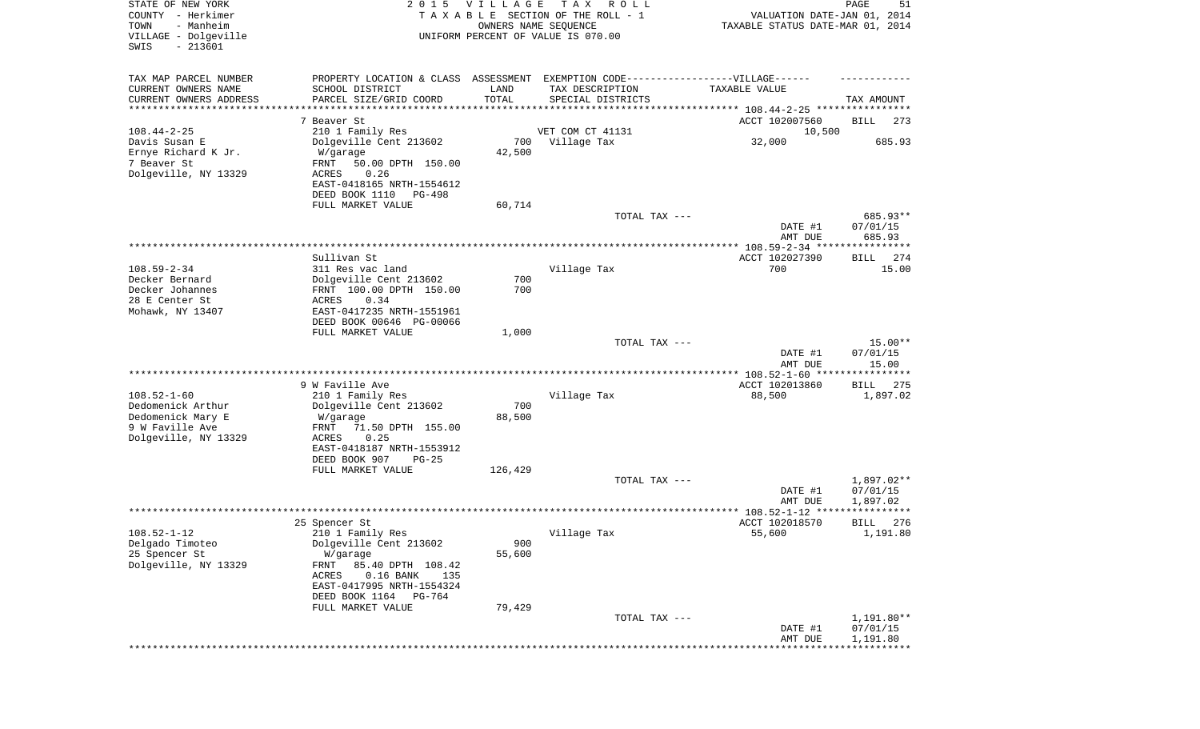| STATE OF NEW YORK<br>COUNTY - Herkimer<br>TOWN<br>- Manheim<br>VILLAGE - Dolgeville<br>$-213601$<br>SWIS |                                                                                                      | 2015 VILLAGE<br>OWNERS NAME SEQUENCE | T A X<br>R O L L<br>TAXABLE SECTION OF THE ROLL - 1<br>UNIFORM PERCENT OF VALUE IS 070.00 | VALUATION DATE-JAN 01, 2014<br>TAXABLE STATUS DATE-MAR 01, 2014 | PAGE<br>51         |
|----------------------------------------------------------------------------------------------------------|------------------------------------------------------------------------------------------------------|--------------------------------------|-------------------------------------------------------------------------------------------|-----------------------------------------------------------------|--------------------|
| TAX MAP PARCEL NUMBER<br>CURRENT OWNERS NAME                                                             | PROPERTY LOCATION & CLASS ASSESSMENT EXEMPTION CODE-----------------VILLAGE------<br>SCHOOL DISTRICT | LAND                                 | TAX DESCRIPTION                                                                           | TAXABLE VALUE                                                   |                    |
| CURRENT OWNERS ADDRESS                                                                                   | PARCEL SIZE/GRID COORD                                                                               | TOTAL                                | SPECIAL DISTRICTS                                                                         |                                                                 | TAX AMOUNT         |
| *********************                                                                                    |                                                                                                      |                                      | ************************************** 108.44-2-25 *****************                      |                                                                 |                    |
| $108.44 - 2 - 25$                                                                                        | 7 Beaver St<br>210 1 Family Res                                                                      |                                      | VET COM CT 41131                                                                          | ACCT 102007560<br>10,500                                        | BILL<br>273        |
| Davis Susan E                                                                                            | Dolgeville Cent 213602                                                                               | 700                                  | Village Tax                                                                               | 32,000                                                          | 685.93             |
| Ernye Richard K Jr.                                                                                      | W/garage                                                                                             | 42,500                               |                                                                                           |                                                                 |                    |
| 7 Beaver St                                                                                              | FRNT<br>50.00 DPTH 150.00                                                                            |                                      |                                                                                           |                                                                 |                    |
| Dolgeville, NY 13329                                                                                     | 0.26<br>ACRES                                                                                        |                                      |                                                                                           |                                                                 |                    |
|                                                                                                          | EAST-0418165 NRTH-1554612<br>DEED BOOK 1110<br>PG-498                                                |                                      |                                                                                           |                                                                 |                    |
|                                                                                                          | FULL MARKET VALUE                                                                                    | 60,714                               |                                                                                           |                                                                 |                    |
|                                                                                                          |                                                                                                      |                                      | TOTAL TAX ---                                                                             |                                                                 | 685.93**           |
|                                                                                                          |                                                                                                      |                                      |                                                                                           | DATE #1                                                         | 07/01/15           |
|                                                                                                          |                                                                                                      |                                      |                                                                                           | AMT DUE                                                         | 685.93             |
|                                                                                                          | Sullivan St                                                                                          |                                      |                                                                                           | ACCT 102027390                                                  | 274<br>BILL        |
| $108.59 - 2 - 34$                                                                                        | 311 Res vac land                                                                                     |                                      | Village Tax                                                                               | 700                                                             | 15.00              |
| Decker Bernard                                                                                           | Dolgeville Cent 213602                                                                               | 700                                  |                                                                                           |                                                                 |                    |
| Decker Johannes<br>28 E Center St                                                                        | FRNT 100.00 DPTH 150.00<br>ACRES<br>0.34                                                             | 700                                  |                                                                                           |                                                                 |                    |
| Mohawk, NY 13407                                                                                         | EAST-0417235 NRTH-1551961                                                                            |                                      |                                                                                           |                                                                 |                    |
|                                                                                                          | DEED BOOK 00646 PG-00066                                                                             |                                      |                                                                                           |                                                                 |                    |
|                                                                                                          | FULL MARKET VALUE                                                                                    | 1,000                                |                                                                                           |                                                                 | $15.00**$          |
|                                                                                                          |                                                                                                      |                                      | TOTAL TAX ---                                                                             | DATE #1                                                         | 07/01/15           |
|                                                                                                          |                                                                                                      |                                      |                                                                                           | AMT DUE                                                         | 15.00              |
|                                                                                                          |                                                                                                      |                                      |                                                                                           | *********** 108.52-1-60 ****                                    | ********           |
| $108.52 - 1 - 60$                                                                                        | 9 W Faville Ave                                                                                      |                                      |                                                                                           | ACCT 102013860                                                  | <b>BILL</b><br>275 |
| Dedomenick Arthur                                                                                        | 210 1 Family Res<br>Dolgeville Cent 213602                                                           | 700                                  | Village Tax                                                                               | 88,500                                                          | 1,897.02           |
| Dedomenick Mary E                                                                                        | W/garage                                                                                             | 88,500                               |                                                                                           |                                                                 |                    |
| 9 W Faville Ave                                                                                          | FRNT<br>71.50 DPTH 155.00                                                                            |                                      |                                                                                           |                                                                 |                    |
| Dolgeville, NY 13329                                                                                     | ACRES<br>0.25                                                                                        |                                      |                                                                                           |                                                                 |                    |
|                                                                                                          | EAST-0418187 NRTH-1553912<br>DEED BOOK 907<br>$PG-25$                                                |                                      |                                                                                           |                                                                 |                    |
|                                                                                                          | FULL MARKET VALUE                                                                                    | 126,429                              |                                                                                           |                                                                 |                    |
|                                                                                                          |                                                                                                      |                                      | TOTAL TAX ---                                                                             |                                                                 | 1,897.02**         |
|                                                                                                          |                                                                                                      |                                      |                                                                                           | DATE #1                                                         | 07/01/15           |
|                                                                                                          |                                                                                                      |                                      |                                                                                           | AMT DUE                                                         | 1,897.02<br>****** |
|                                                                                                          | 25 Spencer St                                                                                        |                                      |                                                                                           | ACCT 102018570                                                  | 276<br>BILL        |
| $108.52 - 1 - 12$                                                                                        | 210 1 Family Res                                                                                     |                                      | Village Tax                                                                               | 55,600                                                          | 1,191.80           |
| Delgado Timoteo                                                                                          | Dolgeville Cent 213602                                                                               | 900                                  |                                                                                           |                                                                 |                    |
| 25 Spencer St<br>Dolgeville, NY 13329                                                                    | W/garage<br>85.40 DPTH 108.42<br>FRNT                                                                | 55,600                               |                                                                                           |                                                                 |                    |
|                                                                                                          | $0.16$ BANK<br>ACRES<br>135                                                                          |                                      |                                                                                           |                                                                 |                    |
|                                                                                                          | EAST-0417995 NRTH-1554324                                                                            |                                      |                                                                                           |                                                                 |                    |
|                                                                                                          | DEED BOOK 1164 PG-764                                                                                |                                      |                                                                                           |                                                                 |                    |
|                                                                                                          | FULL MARKET VALUE                                                                                    | 79,429                               | TOTAL TAX ---                                                                             |                                                                 | 1,191.80**         |
|                                                                                                          |                                                                                                      |                                      |                                                                                           | DATE #1                                                         | 07/01/15           |
|                                                                                                          |                                                                                                      |                                      |                                                                                           | AMT DUE                                                         | 1,191.80           |
|                                                                                                          |                                                                                                      |                                      |                                                                                           |                                                                 |                    |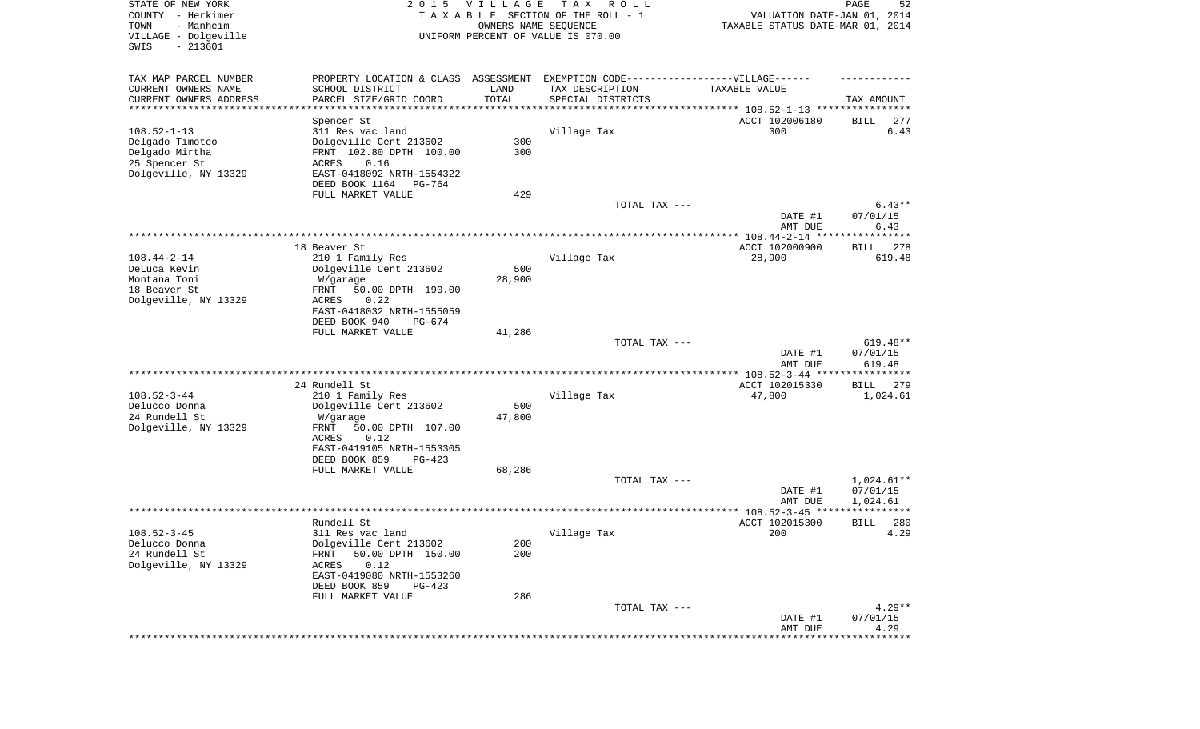| STATE OF NEW YORK<br>COUNTY - Herkimer<br>TOWN<br>- Manheim<br>VILLAGE - Dolgeville<br>SWIS<br>$-213601$ | 2 0 1 5                                                                          | <b>VILLAGE</b><br>OWNERS NAME SEQUENCE | T A X<br>R O L L<br>TAXABLE SECTION OF THE ROLL - 1<br>UNIFORM PERCENT OF VALUE IS 070.00 | VALUATION DATE-JAN 01, 2014<br>TAXABLE STATUS DATE-MAR 01, 2014     | PAGE<br>52         |
|----------------------------------------------------------------------------------------------------------|----------------------------------------------------------------------------------|----------------------------------------|-------------------------------------------------------------------------------------------|---------------------------------------------------------------------|--------------------|
| TAX MAP PARCEL NUMBER                                                                                    | PROPERTY LOCATION & CLASS ASSESSMENT EXEMPTION CODE----------------VILLAGE------ |                                        |                                                                                           |                                                                     |                    |
| CURRENT OWNERS NAME                                                                                      | SCHOOL DISTRICT                                                                  | LAND                                   | TAX DESCRIPTION                                                                           | TAXABLE VALUE                                                       |                    |
| CURRENT OWNERS ADDRESS<br>**********************                                                         | PARCEL SIZE/GRID COORD                                                           | TOTAL<br>***********                   | SPECIAL DISTRICTS                                                                         | ************************************* 108.52-1-13 ***************** | TAX AMOUNT         |
|                                                                                                          | Spencer St                                                                       |                                        |                                                                                           | ACCT 102006180                                                      | 277<br>BILL        |
| $108.52 - 1 - 13$                                                                                        | 311 Res vac land                                                                 |                                        | Village Tax                                                                               | 300                                                                 | 6.43               |
| Delgado Timoteo                                                                                          | Dolgeville Cent 213602                                                           | 300                                    |                                                                                           |                                                                     |                    |
| Delgado Mirtha                                                                                           | FRNT 102.80 DPTH 100.00                                                          | 300                                    |                                                                                           |                                                                     |                    |
| 25 Spencer St                                                                                            | <b>ACRES</b><br>0.16                                                             |                                        |                                                                                           |                                                                     |                    |
| Dolgeville, NY 13329                                                                                     | EAST-0418092 NRTH-1554322<br>DEED BOOK 1164<br>PG-764                            |                                        |                                                                                           |                                                                     |                    |
|                                                                                                          | FULL MARKET VALUE                                                                | 429                                    |                                                                                           |                                                                     |                    |
|                                                                                                          |                                                                                  |                                        | TOTAL TAX ---                                                                             |                                                                     | $6.43**$           |
|                                                                                                          |                                                                                  |                                        |                                                                                           | DATE #1                                                             | 07/01/15           |
|                                                                                                          |                                                                                  |                                        |                                                                                           | AMT DUE                                                             | 6.43               |
|                                                                                                          | 18 Beaver St                                                                     |                                        |                                                                                           | ACCT 102000900                                                      | 278<br>BILL        |
| $108.44 - 2 - 14$                                                                                        | 210 1 Family Res                                                                 |                                        | Village Tax                                                                               | 28,900                                                              | 619.48             |
| DeLuca Kevin                                                                                             | Dolgeville Cent 213602                                                           | 500                                    |                                                                                           |                                                                     |                    |
| Montana Toni                                                                                             | W/garage                                                                         | 28,900                                 |                                                                                           |                                                                     |                    |
| 18 Beaver St                                                                                             | 50.00 DPTH 190.00<br>FRNT                                                        |                                        |                                                                                           |                                                                     |                    |
| Dolgeville, NY 13329                                                                                     | <b>ACRES</b><br>0.22<br>EAST-0418032 NRTH-1555059                                |                                        |                                                                                           |                                                                     |                    |
|                                                                                                          | DEED BOOK 940<br>$PG-674$                                                        |                                        |                                                                                           |                                                                     |                    |
|                                                                                                          | FULL MARKET VALUE                                                                | 41,286                                 |                                                                                           |                                                                     |                    |
|                                                                                                          |                                                                                  |                                        | TOTAL TAX ---                                                                             |                                                                     | $619.48**$         |
|                                                                                                          |                                                                                  |                                        |                                                                                           | DATE #1<br>AMT DUE                                                  | 07/01/15<br>619.48 |
|                                                                                                          |                                                                                  |                                        |                                                                                           | *********** 108.52-3-44 *****************                           |                    |
|                                                                                                          | 24 Rundell St                                                                    |                                        |                                                                                           | ACCT 102015330                                                      | 279<br>BILL        |
| $108.52 - 3 - 44$                                                                                        | 210 1 Family Res                                                                 |                                        | Village Tax                                                                               | 47,800                                                              | 1,024.61           |
| Delucco Donna<br>24 Rundell St                                                                           | Dolgeville Cent 213602<br>W/garage                                               | 500<br>47,800                          |                                                                                           |                                                                     |                    |
| Dolgeville, NY 13329                                                                                     | FRNT<br>50.00 DPTH 107.00                                                        |                                        |                                                                                           |                                                                     |                    |
|                                                                                                          | ACRES<br>0.12                                                                    |                                        |                                                                                           |                                                                     |                    |
|                                                                                                          | EAST-0419105 NRTH-1553305                                                        |                                        |                                                                                           |                                                                     |                    |
|                                                                                                          | DEED BOOK 859<br>$PG-423$                                                        |                                        |                                                                                           |                                                                     |                    |
|                                                                                                          | FULL MARKET VALUE                                                                | 68,286                                 | TOTAL TAX ---                                                                             |                                                                     | 1,024.61**         |
|                                                                                                          |                                                                                  |                                        |                                                                                           | DATE #1                                                             | 07/01/15           |
|                                                                                                          |                                                                                  |                                        |                                                                                           | AMT DUE                                                             | 1,024.61           |
|                                                                                                          |                                                                                  |                                        |                                                                                           | **************** 108.52-3-45 *****                                  | *****              |
|                                                                                                          | Rundell St                                                                       |                                        |                                                                                           | ACCT 102015300                                                      | 280<br>BILL        |
| $108.52 - 3 - 45$<br>Delucco Donna                                                                       | 311 Res vac land<br>Dolgeville Cent 213602                                       | 200                                    | Village Tax                                                                               | 200                                                                 | 4.29               |
| 24 Rundell St                                                                                            | 50.00 DPTH 150.00<br>FRNT                                                        | 200                                    |                                                                                           |                                                                     |                    |
| Dolgeville, NY 13329                                                                                     | 0.12<br>ACRES                                                                    |                                        |                                                                                           |                                                                     |                    |
|                                                                                                          | EAST-0419080 NRTH-1553260                                                        |                                        |                                                                                           |                                                                     |                    |
|                                                                                                          | DEED BOOK 859<br>$PG-423$                                                        |                                        |                                                                                           |                                                                     |                    |
|                                                                                                          | FULL MARKET VALUE                                                                | 286                                    | TOTAL TAX ---                                                                             |                                                                     | $4.29**$           |
|                                                                                                          |                                                                                  |                                        |                                                                                           | DATE #1                                                             | 07/01/15           |
|                                                                                                          |                                                                                  |                                        |                                                                                           | AMT DUE                                                             | 4.29               |
|                                                                                                          |                                                                                  |                                        |                                                                                           | ***************************                                         |                    |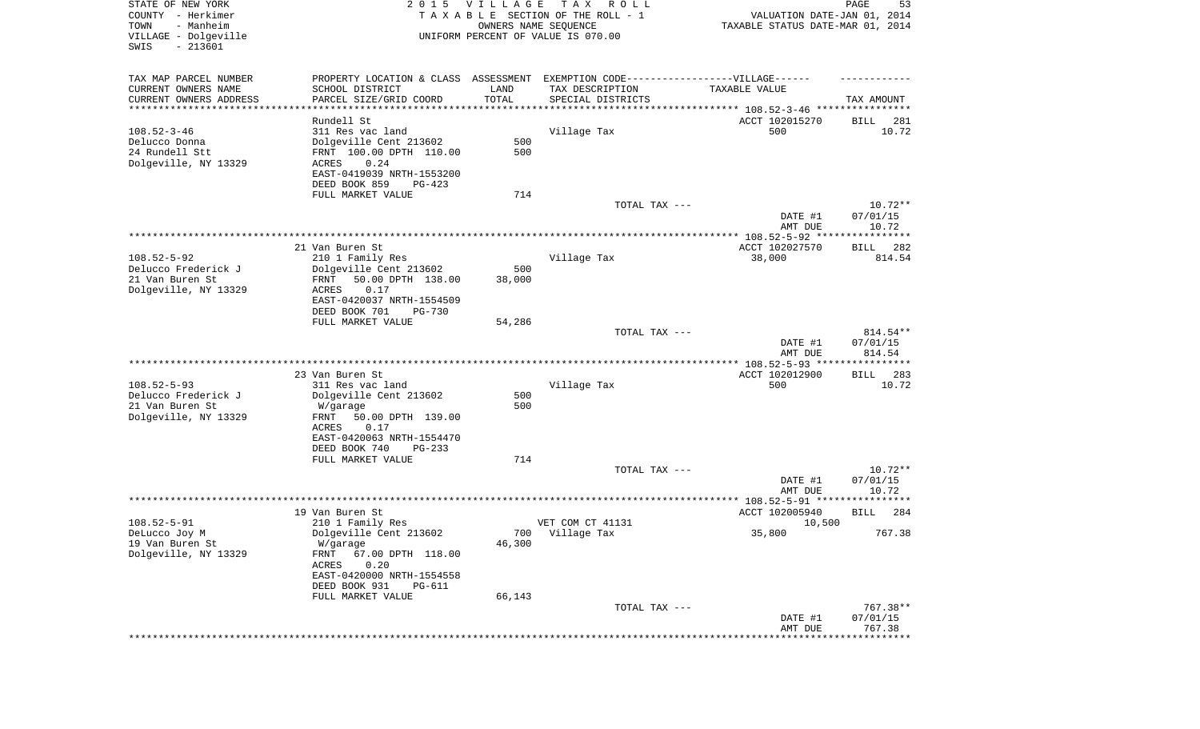| STATE OF NEW YORK      | 2 0 1 5                                                                          | VILLAGE | T A X<br>R O L L                   |                                     | 53<br>PAGE         |
|------------------------|----------------------------------------------------------------------------------|---------|------------------------------------|-------------------------------------|--------------------|
| COUNTY - Herkimer      |                                                                                  |         | TAXABLE SECTION OF THE ROLL - 1    | VALUATION DATE-JAN 01, 2014         |                    |
| TOWN<br>- Manheim      |                                                                                  |         | OWNERS NAME SEQUENCE               | TAXABLE STATUS DATE-MAR 01, 2014    |                    |
| VILLAGE - Dolgeville   |                                                                                  |         | UNIFORM PERCENT OF VALUE IS 070.00 |                                     |                    |
| $-213601$<br>SWIS      |                                                                                  |         |                                    |                                     |                    |
|                        |                                                                                  |         |                                    |                                     |                    |
| TAX MAP PARCEL NUMBER  | PROPERTY LOCATION & CLASS ASSESSMENT EXEMPTION CODE----------------VILLAGE------ |         |                                    |                                     |                    |
| CURRENT OWNERS NAME    | SCHOOL DISTRICT                                                                  | LAND    | TAX DESCRIPTION                    | <b>TAXABLE VALUE</b>                |                    |
| CURRENT OWNERS ADDRESS | PARCEL SIZE/GRID COORD                                                           | TOTAL   | SPECIAL DISTRICTS                  |                                     | TAX AMOUNT         |
| *********************  |                                                                                  |         |                                    |                                     |                    |
|                        | Rundell St.                                                                      |         |                                    | ACCT 102015270                      | 281<br>BILL        |
| $108.52 - 3 - 46$      | 311 Res vac land                                                                 |         | Village Tax                        | 500                                 | 10.72              |
| Delucco Donna          | Dolgeville Cent 213602                                                           | 500     |                                    |                                     |                    |
| 24 Rundell Stt         | FRNT 100.00 DPTH 110.00                                                          | 500     |                                    |                                     |                    |
| Dolgeville, NY 13329   | 0.24<br>ACRES                                                                    |         |                                    |                                     |                    |
|                        | EAST-0419039 NRTH-1553200                                                        |         |                                    |                                     |                    |
|                        | DEED BOOK 859<br>$PG-423$                                                        |         |                                    |                                     |                    |
|                        | FULL MARKET VALUE                                                                | 714     |                                    |                                     |                    |
|                        |                                                                                  |         | TOTAL TAX ---                      |                                     | $10.72**$          |
|                        |                                                                                  |         |                                    | DATE #1                             | 07/01/15           |
|                        |                                                                                  |         |                                    | AMT DUE                             | 10.72              |
|                        |                                                                                  |         |                                    |                                     |                    |
|                        | 21 Van Buren St                                                                  |         |                                    | ACCT 102027570                      | BILL<br>282        |
| $108.52 - 5 - 92$      | 210 1 Family Res                                                                 |         | Village Tax                        | 38,000                              | 814.54             |
| Delucco Frederick J    | Dolgeville Cent 213602                                                           | 500     |                                    |                                     |                    |
| 21 Van Buren St        | 50.00 DPTH 138.00<br>FRNT                                                        | 38,000  |                                    |                                     |                    |
| Dolgeville, NY 13329   | 0.17<br>ACRES                                                                    |         |                                    |                                     |                    |
|                        | EAST-0420037 NRTH-1554509                                                        |         |                                    |                                     |                    |
|                        | DEED BOOK 701<br>$PG-730$                                                        |         |                                    |                                     |                    |
|                        | FULL MARKET VALUE                                                                | 54,286  |                                    |                                     |                    |
|                        |                                                                                  |         | TOTAL TAX ---                      |                                     | 814.54**           |
|                        |                                                                                  |         |                                    | DATE #1                             | 07/01/15           |
|                        |                                                                                  |         |                                    | AMT DUE                             | 814.54             |
|                        |                                                                                  |         |                                    |                                     |                    |
|                        | 23 Van Buren St                                                                  |         |                                    | ACCT 102012900                      | BILL<br>283        |
| $108.52 - 5 - 93$      | 311 Res vac land                                                                 |         | Village Tax                        | 500                                 | 10.72              |
| Delucco Frederick J    | Dolgeville Cent 213602                                                           | 500     |                                    |                                     |                    |
| 21 Van Buren St        | W/garage                                                                         | 500     |                                    |                                     |                    |
| Dolgeville, NY 13329   | 50.00 DPTH 139.00<br>FRNT                                                        |         |                                    |                                     |                    |
|                        | 0.17<br>ACRES                                                                    |         |                                    |                                     |                    |
|                        | EAST-0420063 NRTH-1554470                                                        |         |                                    |                                     |                    |
|                        | DEED BOOK 740<br>$PG-233$                                                        |         |                                    |                                     |                    |
|                        | FULL MARKET VALUE                                                                | 714     |                                    |                                     |                    |
|                        |                                                                                  |         | TOTAL TAX ---                      |                                     | $10.72**$          |
|                        |                                                                                  |         |                                    | DATE #1                             | 07/01/15           |
|                        |                                                                                  |         |                                    | AMT DUE                             | 10.72              |
|                        |                                                                                  |         |                                    | ****** 108.52-5-91 **************** |                    |
|                        | 19 Van Buren St                                                                  |         |                                    | ACCT 102005940                      | BILL<br>284        |
| $108.52 - 5 - 91$      | 210 1 Family Res                                                                 |         | VET COM CT 41131                   | 10,500                              |                    |
| DeLucco Joy M          | Dolgeville Cent 213602                                                           | 700     | Village Tax                        | 35,800                              | 767.38             |
| 19 Van Buren St        | W/garage                                                                         | 46,300  |                                    |                                     |                    |
| Dolgeville, NY 13329   | 67.00 DPTH 118.00<br>FRNT                                                        |         |                                    |                                     |                    |
|                        | 0.20<br>ACRES                                                                    |         |                                    |                                     |                    |
|                        | EAST-0420000 NRTH-1554558                                                        |         |                                    |                                     |                    |
|                        | DEED BOOK 931<br><b>PG-611</b>                                                   |         |                                    |                                     |                    |
|                        |                                                                                  |         |                                    |                                     |                    |
|                        | FULL MARKET VALUE                                                                | 66,143  | TOTAL TAX ---                      |                                     | 767.38**           |
|                        |                                                                                  |         |                                    |                                     |                    |
|                        |                                                                                  |         |                                    |                                     |                    |
|                        |                                                                                  |         |                                    | DATE #1<br>AMT DUE                  | 07/01/15<br>767.38 |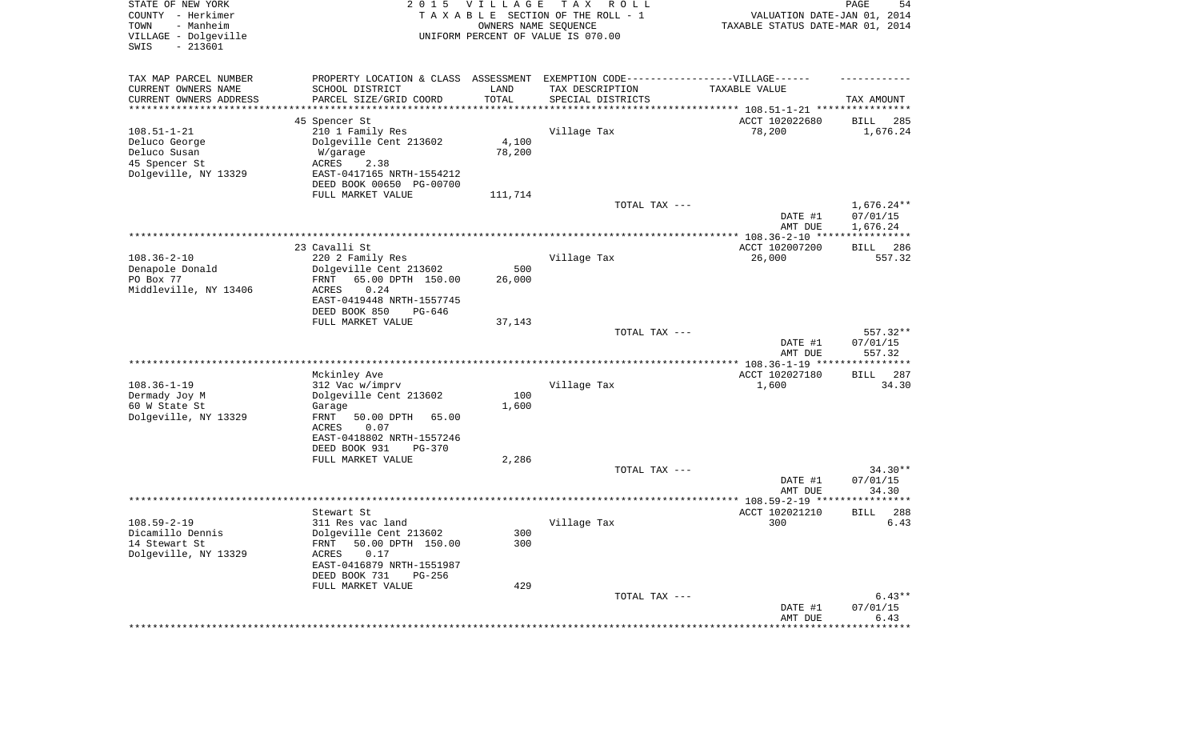| STATE OF NEW YORK<br>COUNTY - Herkimer<br>- Manheim<br>TOWN<br>VILLAGE - Dolgeville<br>SWIS<br>$-213601$ | 2 0 1 5                                                 | <b>VILLAGE</b><br>OWNERS NAME SEQUENCE | T A X<br>R O L L<br>TAXABLE SECTION OF THE ROLL - 1<br>UNIFORM PERCENT OF VALUE IS 070.00 | VALUATION DATE-JAN 01, 2014<br>TAXABLE STATUS DATE-MAR 01, 2014 | PAGE<br>54             |
|----------------------------------------------------------------------------------------------------------|---------------------------------------------------------|----------------------------------------|-------------------------------------------------------------------------------------------|-----------------------------------------------------------------|------------------------|
| TAX MAP PARCEL NUMBER<br>CURRENT OWNERS NAME                                                             | PROPERTY LOCATION & CLASS ASSESSMENT<br>SCHOOL DISTRICT | LAND                                   | EXEMPTION CODE------------------VILLAGE------<br>TAX DESCRIPTION                          | TAXABLE VALUE                                                   |                        |
| CURRENT OWNERS ADDRESS<br>********************                                                           | PARCEL SIZE/GRID COORD                                  | TOTAL                                  | SPECIAL DISTRICTS                                                                         |                                                                 | TAX AMOUNT             |
|                                                                                                          | 45 Spencer St                                           |                                        |                                                                                           | ACCT 102022680                                                  | 285<br>BILL            |
| $108.51 - 1 - 21$                                                                                        | 210 1 Family Res                                        |                                        | Village Tax                                                                               | 78,200                                                          | 1,676.24               |
| Deluco George                                                                                            | Dolgeville Cent 213602                                  | 4,100                                  |                                                                                           |                                                                 |                        |
| Deluco Susan                                                                                             | W/garage                                                | 78,200                                 |                                                                                           |                                                                 |                        |
| 45 Spencer St                                                                                            | ACRES<br>2.38                                           |                                        |                                                                                           |                                                                 |                        |
| Dolgeville, NY 13329                                                                                     | EAST-0417165 NRTH-1554212<br>DEED BOOK 00650 PG-00700   |                                        |                                                                                           |                                                                 |                        |
|                                                                                                          | FULL MARKET VALUE                                       | 111,714                                |                                                                                           |                                                                 |                        |
|                                                                                                          |                                                         |                                        | TOTAL TAX ---                                                                             |                                                                 | $1,676.24**$           |
|                                                                                                          |                                                         |                                        |                                                                                           | DATE #1                                                         | 07/01/15               |
|                                                                                                          |                                                         |                                        |                                                                                           | AMT DUE                                                         | 1,676.24               |
|                                                                                                          | 23 Cavalli St                                           |                                        |                                                                                           | ACCT 102007200                                                  | 286<br>BILL            |
| $108.36 - 2 - 10$                                                                                        | 220 2 Family Res                                        |                                        | Village Tax                                                                               | 26,000                                                          | 557.32                 |
| Denapole Donald                                                                                          | Dolgeville Cent 213602                                  | 500                                    |                                                                                           |                                                                 |                        |
| PO Box 77                                                                                                | 65.00 DPTH 150.00<br>FRNT                               | 26,000                                 |                                                                                           |                                                                 |                        |
| Middleville, NY 13406                                                                                    | 0.24<br>ACRES                                           |                                        |                                                                                           |                                                                 |                        |
|                                                                                                          | EAST-0419448 NRTH-1557745<br>DEED BOOK 850<br>PG-646    |                                        |                                                                                           |                                                                 |                        |
|                                                                                                          | FULL MARKET VALUE                                       | 37,143                                 |                                                                                           |                                                                 |                        |
|                                                                                                          |                                                         |                                        | TOTAL TAX ---                                                                             |                                                                 | 557.32**               |
|                                                                                                          |                                                         |                                        |                                                                                           | DATE #1                                                         | 07/01/15               |
|                                                                                                          |                                                         |                                        |                                                                                           | AMT DUE                                                         | 557.32                 |
|                                                                                                          | Mckinley Ave                                            |                                        |                                                                                           | ACCT 102027180                                                  | <b>BILL</b><br>287     |
| $108.36 - 1 - 19$                                                                                        | 312 Vac w/imprv                                         |                                        | Village Tax                                                                               | 1,600                                                           | 34.30                  |
| Dermady Joy M                                                                                            | Dolgeville Cent 213602                                  | 100                                    |                                                                                           |                                                                 |                        |
| 60 W State St                                                                                            | Garage                                                  | 1,600                                  |                                                                                           |                                                                 |                        |
| Dolgeville, NY 13329                                                                                     | FRNT<br>50.00 DPTH<br>65.00                             |                                        |                                                                                           |                                                                 |                        |
|                                                                                                          | <b>ACRES</b><br>0.07                                    |                                        |                                                                                           |                                                                 |                        |
|                                                                                                          | EAST-0418802 NRTH-1557246<br>DEED BOOK 931<br>$PG-370$  |                                        |                                                                                           |                                                                 |                        |
|                                                                                                          | FULL MARKET VALUE                                       | 2,286                                  |                                                                                           |                                                                 |                        |
|                                                                                                          |                                                         |                                        | TOTAL TAX ---                                                                             |                                                                 | $34.30**$              |
|                                                                                                          |                                                         |                                        |                                                                                           | DATE #1                                                         | 07/01/15               |
|                                                                                                          |                                                         |                                        |                                                                                           | AMT DUE                                                         | 34.30                  |
|                                                                                                          | Stewart St                                              |                                        |                                                                                           | ************ 108.59-2-19 *****<br>ACCT 102021210                | 288<br>BILL            |
| $108.59 - 2 - 19$                                                                                        | 311 Res vac land                                        |                                        | Village Tax                                                                               | 300                                                             | 6.43                   |
| Dicamillo Dennis                                                                                         | Dolgeville Cent 213602                                  | 300                                    |                                                                                           |                                                                 |                        |
| 14 Stewart St                                                                                            | 50.00 DPTH 150.00<br>FRNT                               | 300                                    |                                                                                           |                                                                 |                        |
| Dolgeville, NY 13329                                                                                     | 0.17<br>ACRES                                           |                                        |                                                                                           |                                                                 |                        |
|                                                                                                          | EAST-0416879 NRTH-1551987<br>DEED BOOK 731<br>PG-256    |                                        |                                                                                           |                                                                 |                        |
|                                                                                                          | FULL MARKET VALUE                                       | 429                                    |                                                                                           |                                                                 |                        |
|                                                                                                          |                                                         |                                        | TOTAL TAX ---                                                                             |                                                                 | $6.43**$               |
|                                                                                                          |                                                         |                                        |                                                                                           | DATE #1                                                         | 07/01/15               |
|                                                                                                          |                                                         |                                        |                                                                                           | AMT DUE<br>**********************                               | 6.43<br>************** |
|                                                                                                          |                                                         |                                        |                                                                                           |                                                                 |                        |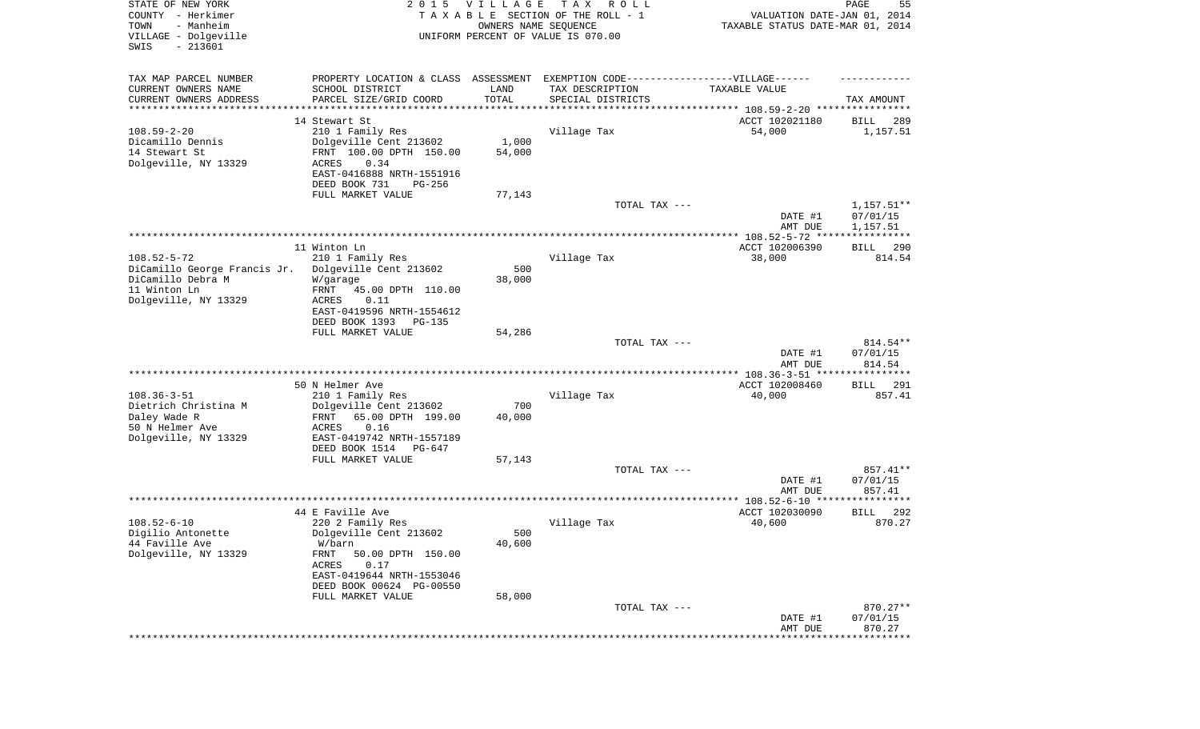| STATE OF NEW YORK<br>COUNTY - Herkimer<br>- Manheim<br>TOWN<br>VILLAGE - Dolgeville<br>SWIS<br>$-213601$ | 2 0 1 5                                                                                                                        | VILLAGE<br>OWNERS NAME SEQUENCE | T A X<br>R O L L<br>TAXABLE SECTION OF THE ROLL - 1<br>UNIFORM PERCENT OF VALUE IS 070.00 | VALUATION DATE-JAN 01, 2014<br>TAXABLE STATUS DATE-MAR 01, 2014 | PAGE<br>55                |
|----------------------------------------------------------------------------------------------------------|--------------------------------------------------------------------------------------------------------------------------------|---------------------------------|-------------------------------------------------------------------------------------------|-----------------------------------------------------------------|---------------------------|
| TAX MAP PARCEL NUMBER<br>CURRENT OWNERS NAME<br>CURRENT OWNERS ADDRESS                                   | PROPERTY LOCATION & CLASS ASSESSMENT EXEMPTION CODE-----------------VILLAGE------<br>SCHOOL DISTRICT<br>PARCEL SIZE/GRID COORD | LAND<br>TOTAL                   | TAX DESCRIPTION<br>SPECIAL DISTRICTS                                                      | TAXABLE VALUE                                                   | TAX AMOUNT                |
| ********************                                                                                     |                                                                                                                                |                                 |                                                                                           |                                                                 |                           |
|                                                                                                          | 14 Stewart St                                                                                                                  |                                 |                                                                                           | ACCT 102021180                                                  | 289<br>BILL               |
| $108.59 - 2 - 20$                                                                                        | 210 1 Family Res                                                                                                               |                                 | Village Tax                                                                               | 54,000                                                          | 1,157.51                  |
| Dicamillo Dennis                                                                                         | Dolgeville Cent 213602                                                                                                         | 1,000                           |                                                                                           |                                                                 |                           |
| 14 Stewart St                                                                                            | FRNT 100.00 DPTH 150.00                                                                                                        | 54,000                          |                                                                                           |                                                                 |                           |
| Dolgeville, NY 13329                                                                                     | ACRES<br>0.34<br>EAST-0416888 NRTH-1551916                                                                                     |                                 |                                                                                           |                                                                 |                           |
|                                                                                                          | DEED BOOK 731<br>PG-256                                                                                                        |                                 |                                                                                           |                                                                 |                           |
|                                                                                                          | FULL MARKET VALUE                                                                                                              | 77,143                          |                                                                                           |                                                                 |                           |
|                                                                                                          |                                                                                                                                |                                 | TOTAL TAX ---                                                                             | DATE #1                                                         | $1,157.51**$<br>07/01/15  |
|                                                                                                          |                                                                                                                                |                                 |                                                                                           | AMT DUE                                                         | 1,157.51                  |
|                                                                                                          | 11 Winton Ln                                                                                                                   |                                 |                                                                                           | ACCT 102006390                                                  | 290<br>BILL               |
| $108.52 - 5 - 72$                                                                                        | 210 1 Family Res                                                                                                               |                                 | Village Tax                                                                               | 38,000                                                          | 814.54                    |
| DiCamillo George Francis Jr.                                                                             | Dolgeville Cent 213602                                                                                                         | 500                             |                                                                                           |                                                                 |                           |
| DiCamillo Debra M                                                                                        | W/garage                                                                                                                       | 38,000                          |                                                                                           |                                                                 |                           |
| 11 Winton Ln<br>Dolgeville, NY 13329                                                                     | FRNT<br>45.00 DPTH 110.00<br>0.11<br>ACRES                                                                                     |                                 |                                                                                           |                                                                 |                           |
|                                                                                                          | EAST-0419596 NRTH-1554612                                                                                                      |                                 |                                                                                           |                                                                 |                           |
|                                                                                                          | DEED BOOK 1393<br><b>PG-135</b>                                                                                                |                                 |                                                                                           |                                                                 |                           |
|                                                                                                          | FULL MARKET VALUE                                                                                                              | 54,286                          | TOTAL TAX ---                                                                             |                                                                 | 814.54**                  |
|                                                                                                          |                                                                                                                                |                                 |                                                                                           | DATE #1<br>AMT DUE                                              | 07/01/15<br>814.54        |
|                                                                                                          |                                                                                                                                |                                 |                                                                                           | ************ 108.36-3-51 ********                               | ********                  |
|                                                                                                          | 50 N Helmer Ave                                                                                                                |                                 |                                                                                           | ACCT 102008460                                                  | 291<br>BILL               |
| $108.36 - 3 - 51$                                                                                        | 210 1 Family Res                                                                                                               |                                 | Village Tax                                                                               | 40,000                                                          | 857.41                    |
| Dietrich Christina M<br>Daley Wade R                                                                     | Dolgeville Cent 213602<br>FRNT<br>65.00 DPTH 199.00                                                                            | 700<br>40,000                   |                                                                                           |                                                                 |                           |
| 50 N Helmer Ave                                                                                          | ACRES<br>0.16                                                                                                                  |                                 |                                                                                           |                                                                 |                           |
| Dolgeville, NY 13329                                                                                     | EAST-0419742 NRTH-1557189                                                                                                      |                                 |                                                                                           |                                                                 |                           |
|                                                                                                          | DEED BOOK 1514<br>PG-647                                                                                                       |                                 |                                                                                           |                                                                 |                           |
|                                                                                                          | FULL MARKET VALUE                                                                                                              | 57,143                          |                                                                                           |                                                                 |                           |
|                                                                                                          |                                                                                                                                |                                 | TOTAL TAX ---                                                                             |                                                                 | 857.41**<br>07/01/15      |
|                                                                                                          |                                                                                                                                |                                 |                                                                                           | DATE #1<br>AMT DUE                                              | 857.41                    |
|                                                                                                          |                                                                                                                                |                                 |                                                                                           |                                                                 |                           |
|                                                                                                          | 44 E Faville Ave                                                                                                               |                                 |                                                                                           | ACCT 102030090                                                  | 292<br><b>BILL</b>        |
| $108.52 - 6 - 10$                                                                                        | 220 2 Family Res                                                                                                               |                                 | Village Tax                                                                               | 40,600                                                          | 870.27                    |
| Digilio Antonette                                                                                        | Dolgeville Cent 213602                                                                                                         | 500                             |                                                                                           |                                                                 |                           |
| 44 Faville Ave<br>Dolgeville, NY 13329                                                                   | W/barn<br>FRNT<br>50.00 DPTH 150.00                                                                                            | 40,600                          |                                                                                           |                                                                 |                           |
|                                                                                                          | ACRES<br>0.17                                                                                                                  |                                 |                                                                                           |                                                                 |                           |
|                                                                                                          | EAST-0419644 NRTH-1553046                                                                                                      |                                 |                                                                                           |                                                                 |                           |
|                                                                                                          | DEED BOOK 00624 PG-00550                                                                                                       |                                 |                                                                                           |                                                                 |                           |
|                                                                                                          | FULL MARKET VALUE                                                                                                              | 58,000                          |                                                                                           |                                                                 |                           |
|                                                                                                          |                                                                                                                                |                                 | TOTAL TAX ---                                                                             | DATE #1                                                         | 870.27**<br>07/01/15      |
|                                                                                                          |                                                                                                                                |                                 |                                                                                           | AMT DUE                                                         | 870.27                    |
|                                                                                                          |                                                                                                                                |                                 |                                                                                           |                                                                 | ************************* |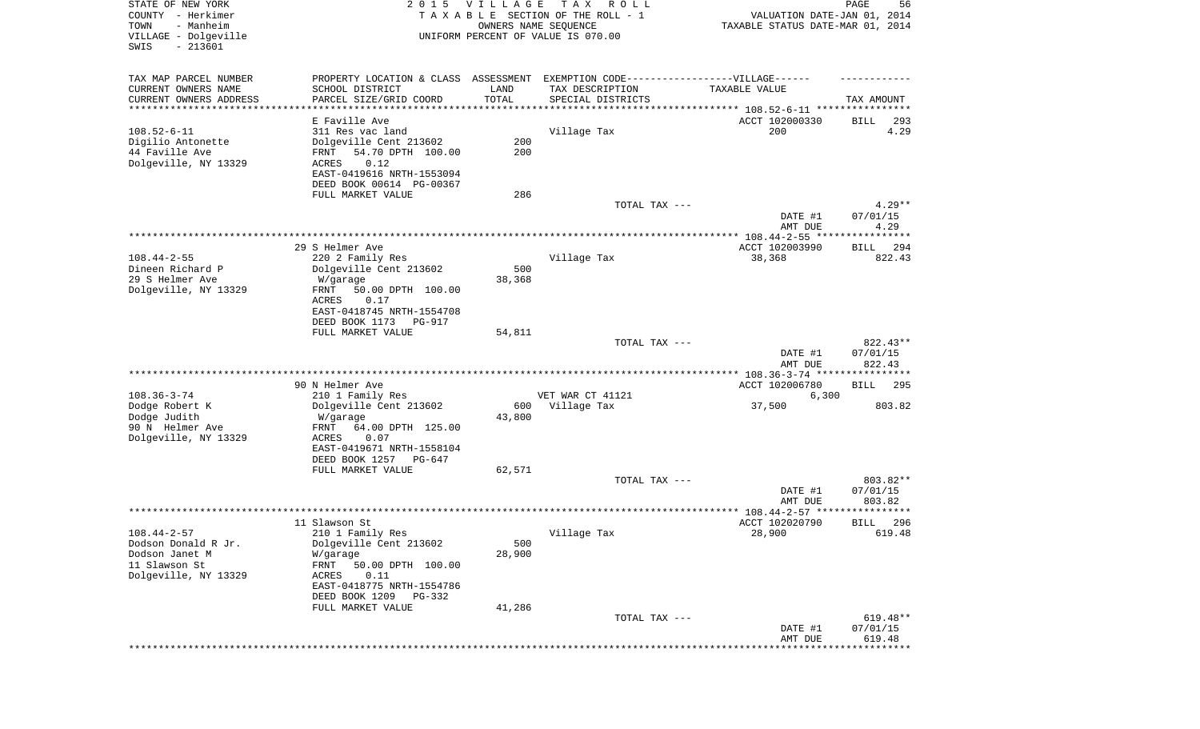| STATE OF NEW YORK<br>COUNTY - Herkimer<br>- Manheim<br>TOWN<br>VILLAGE - Dolgeville<br>SWIS<br>$-213601$ | 2 0 1 5                                                                                                                                                                          | <b>VILLAGE</b><br>OWNERS NAME SEQUENCE | T A X<br>R O L L<br>TAXABLE SECTION OF THE ROLL - 1<br>UNIFORM PERCENT OF VALUE IS 070.00 | VALUATION DATE-JAN 01, 2014<br>TAXABLE STATUS DATE-MAR 01, 2014 | PAGE<br>56                      |
|----------------------------------------------------------------------------------------------------------|----------------------------------------------------------------------------------------------------------------------------------------------------------------------------------|----------------------------------------|-------------------------------------------------------------------------------------------|-----------------------------------------------------------------|---------------------------------|
| TAX MAP PARCEL NUMBER<br>CURRENT OWNERS NAME<br>CURRENT OWNERS ADDRESS<br>**********************         | PROPERTY LOCATION & CLASS ASSESSMENT EXEMPTION CODE----------------VILLAGE------<br>SCHOOL DISTRICT<br>PARCEL SIZE/GRID COORD                                                    | LAND<br>TOTAL                          | TAX DESCRIPTION<br>SPECIAL DISTRICTS                                                      | TAXABLE VALUE                                                   | TAX AMOUNT                      |
| $108.52 - 6 - 11$<br>Digilio Antonette<br>44 Faville Ave<br>Dolgeville, NY 13329                         | E Faville Ave<br>311 Res vac land<br>Dolgeville Cent 213602<br>54.70 DPTH 100.00<br>FRNT<br>0.12<br><b>ACRES</b><br>EAST-0419616 NRTH-1553094<br>DEED BOOK 00614 PG-00367        | 200<br>200                             | Village Tax                                                                               | ACCT 102000330<br>200                                           | BILL<br>293<br>4.29             |
|                                                                                                          | FULL MARKET VALUE                                                                                                                                                                | 286                                    | TOTAL TAX ---                                                                             | DATE #1<br>AMT DUE                                              | $4.29**$<br>07/01/15<br>4.29    |
| $108.44 - 2 - 55$<br>Dineen Richard P<br>29 S Helmer Ave<br>Dolgeville, NY 13329                         | 29 S Helmer Ave<br>220 2 Family Res<br>Dolgeville Cent 213602<br>W/garage<br>50.00 DPTH 100.00<br>FRNT<br>ACRES<br>0.17<br>EAST-0418745 NRTH-1554708<br>DEED BOOK 1173<br>PG-917 | 500<br>38,368                          | Village Tax                                                                               | ACCT 102003990<br>38,368                                        | 294<br>BILL<br>822.43           |
|                                                                                                          | FULL MARKET VALUE                                                                                                                                                                | 54,811                                 | TOTAL TAX ---                                                                             | DATE #1<br>AMT DUE                                              | 822.43**<br>07/01/15<br>822.43  |
|                                                                                                          |                                                                                                                                                                                  |                                        |                                                                                           | *********** 108.36-3-74 *****************                       |                                 |
| $108.36 - 3 - 74$<br>Dodge Robert K<br>Dodge Judith<br>90 N Helmer Ave                                   | 90 N Helmer Ave<br>210 1 Family Res<br>Dolgeville Cent 213602<br>W/garage<br>FRNT<br>64.00 DPTH 125.00                                                                           | 600<br>43,800                          | VET WAR CT 41121<br>Village Tax                                                           | ACCT 102006780<br>6,300<br>37,500                               | <b>BILL</b><br>295<br>803.82    |
| Dolgeville, NY 13329                                                                                     | ACRES<br>0.07<br>EAST-0419671 NRTH-1558104<br>DEED BOOK 1257<br>PG-647<br>FULL MARKET VALUE                                                                                      | 62,571                                 | TOTAL TAX ---                                                                             |                                                                 | 803.82**                        |
|                                                                                                          |                                                                                                                                                                                  |                                        |                                                                                           | DATE #1<br>AMT DUE                                              | 07/01/15<br>803.82<br>* * * * * |
|                                                                                                          | 11 Slawson St                                                                                                                                                                    |                                        |                                                                                           | ***************** 108.44-2-57 ********<br>ACCT 102020790        | 296<br>BILL                     |
| $108.44 - 2 - 57$<br>Dodson Donald R Jr.<br>Dodson Janet M<br>11 Slawson St<br>Dolgeville, NY 13329      | 210 1 Family Res<br>Dolgeville Cent 213602<br>W/garage<br>FRNT<br>50.00 DPTH 100.00<br>ACRES<br>0.11<br>EAST-0418775 NRTH-1554786<br>DEED BOOK 1209<br>PG-332                    | 500<br>28,900                          | Village Tax                                                                               | 28,900                                                          | 619.48                          |
|                                                                                                          | FULL MARKET VALUE                                                                                                                                                                | 41,286                                 | TOTAL TAX ---                                                                             | DATE #1<br>AMT DUE                                              | 619.48**<br>07/01/15<br>619.48  |
|                                                                                                          |                                                                                                                                                                                  |                                        |                                                                                           |                                                                 | * * * * * * * * * *             |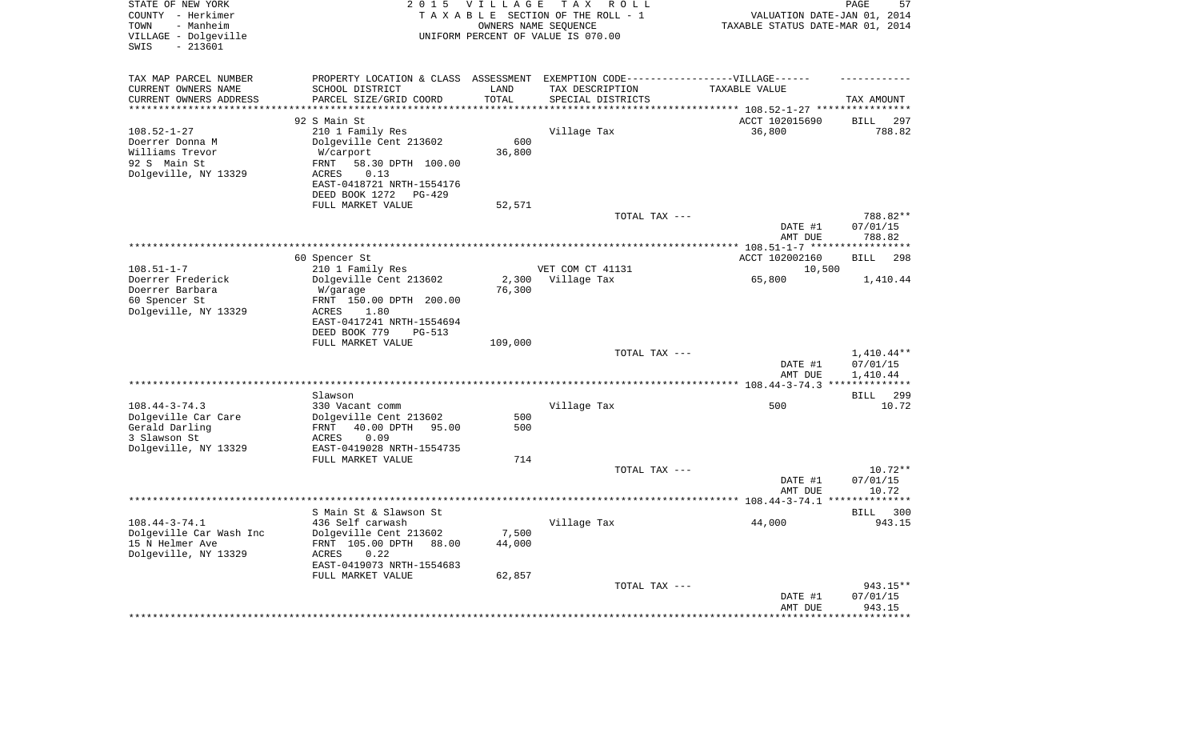| STATE OF NEW YORK<br>COUNTY - Herkimer<br>- Manheim<br>TOWN<br>VILLAGE - Dolgeville<br>$-213601$<br>SWIS | 2 0 1 5                                                      | <b>VILLAGE</b><br>OWNERS NAME SEQUENCE | T A X<br>R O L L<br>TAXABLE SECTION OF THE ROLL - 1<br>UNIFORM PERCENT OF VALUE IS 070.00 | VALUATION DATE-JAN 01, 2014<br>TAXABLE STATUS DATE-MAR 01, 2014 | PAGE<br>57            |
|----------------------------------------------------------------------------------------------------------|--------------------------------------------------------------|----------------------------------------|-------------------------------------------------------------------------------------------|-----------------------------------------------------------------|-----------------------|
| TAX MAP PARCEL NUMBER<br>CURRENT OWNERS NAME                                                             | PROPERTY LOCATION & CLASS<br>SCHOOL DISTRICT                 | LAND                                   | ASSESSMENT  EXEMPTION  CODE------------------VILLAGE------<br>TAX DESCRIPTION             | TAXABLE VALUE                                                   |                       |
| CURRENT OWNERS ADDRESS                                                                                   | PARCEL SIZE/GRID COORD                                       | TOTAL                                  | SPECIAL DISTRICTS                                                                         |                                                                 | TAX AMOUNT            |
| **********************                                                                                   | ***************************                                  | *************                          |                                                                                           |                                                                 |                       |
|                                                                                                          | 92 S Main St                                                 |                                        |                                                                                           | ACCT 102015690                                                  | <b>BILL</b><br>297    |
| $108.52 - 1 - 27$                                                                                        | 210 1 Family Res                                             |                                        | Village Tax                                                                               | 36,800                                                          | 788.82                |
| Doerrer Donna M                                                                                          | Dolgeville Cent 213602                                       | 600                                    |                                                                                           |                                                                 |                       |
| Williams Trevor                                                                                          | W/carport                                                    | 36,800                                 |                                                                                           |                                                                 |                       |
| 92 S Main St<br>Dolgeville, NY 13329                                                                     | 58.30 DPTH 100.00<br>FRNT<br>0.13<br><b>ACRES</b>            |                                        |                                                                                           |                                                                 |                       |
|                                                                                                          | EAST-0418721 NRTH-1554176<br>DEED BOOK 1272<br><b>PG-429</b> |                                        |                                                                                           |                                                                 |                       |
|                                                                                                          | FULL MARKET VALUE                                            | 52,571                                 | TOTAL TAX ---                                                                             | DATE #1                                                         | 788.82**<br>07/01/15  |
|                                                                                                          |                                                              |                                        |                                                                                           | AMT DUE                                                         | 788.82                |
|                                                                                                          |                                                              |                                        |                                                                                           |                                                                 | **********            |
|                                                                                                          | 60 Spencer St                                                |                                        |                                                                                           | ACCT 102002160                                                  | <b>BILL</b><br>298    |
| $108.51 - 1 - 7$                                                                                         | 210 1 Family Res                                             |                                        | VET COM CT 41131                                                                          | 10,500                                                          |                       |
| Doerrer Frederick                                                                                        | Dolgeville Cent 213602                                       | 2,300                                  | Village Tax                                                                               | 65,800                                                          | 1,410.44              |
| Doerrer Barbara<br>60 Spencer St                                                                         | W/garage<br>FRNT 150.00 DPTH 200.00                          | 76,300                                 |                                                                                           |                                                                 |                       |
| Dolgeville, NY 13329                                                                                     | <b>ACRES</b><br>1.80                                         |                                        |                                                                                           |                                                                 |                       |
|                                                                                                          | EAST-0417241 NRTH-1554694                                    |                                        |                                                                                           |                                                                 |                       |
|                                                                                                          | DEED BOOK 779<br>PG-513                                      |                                        |                                                                                           |                                                                 |                       |
|                                                                                                          | FULL MARKET VALUE                                            | 109,000                                |                                                                                           |                                                                 |                       |
|                                                                                                          |                                                              |                                        | TOTAL TAX ---                                                                             |                                                                 | $1,410.44**$          |
|                                                                                                          |                                                              |                                        |                                                                                           | DATE #1<br>AMT DUE                                              | 07/01/15<br>1,410.44  |
|                                                                                                          |                                                              |                                        |                                                                                           |                                                                 | * * * * * * * * * * * |
|                                                                                                          | Slawson                                                      |                                        |                                                                                           |                                                                 | 299<br><b>BILL</b>    |
| $108.44 - 3 - 74.3$                                                                                      | 330 Vacant comm                                              |                                        | Village Tax                                                                               | 500                                                             | 10.72                 |
| Dolgeville Car Care                                                                                      | Dolgeville Cent 213602                                       | 500                                    |                                                                                           |                                                                 |                       |
| Gerald Darling                                                                                           | 40.00 DPTH<br>FRNT<br>95.00                                  | 500                                    |                                                                                           |                                                                 |                       |
| 3 Slawson St<br>Dolgeville, NY 13329                                                                     | 0.09<br><b>ACRES</b><br>EAST-0419028 NRTH-1554735            |                                        |                                                                                           |                                                                 |                       |
|                                                                                                          | FULL MARKET VALUE                                            | 714                                    |                                                                                           |                                                                 |                       |
|                                                                                                          |                                                              |                                        | TOTAL TAX ---                                                                             |                                                                 | $10.72**$             |
|                                                                                                          |                                                              |                                        |                                                                                           | DATE #1                                                         | 07/01/15              |
|                                                                                                          |                                                              |                                        |                                                                                           | AMT DUE                                                         | 10.72                 |
|                                                                                                          |                                                              |                                        |                                                                                           |                                                                 | ********              |
|                                                                                                          | S Main St & Slawson St                                       |                                        |                                                                                           |                                                                 | <b>BILL</b><br>300    |
| $108.44 - 3 - 74.1$<br>Dolgeville Car Wash Inc                                                           | 436 Self carwash<br>Dolgeville Cent 213602                   | 7,500                                  | Village Tax                                                                               | 44,000                                                          | 943.15                |
| 15 N Helmer Ave                                                                                          | FRNT 105.00 DPTH<br>88.00                                    | 44,000                                 |                                                                                           |                                                                 |                       |
| Dolgeville, NY 13329                                                                                     | 0.22<br><b>ACRES</b>                                         |                                        |                                                                                           |                                                                 |                       |
|                                                                                                          | EAST-0419073 NRTH-1554683                                    |                                        |                                                                                           |                                                                 |                       |
|                                                                                                          | FULL MARKET VALUE                                            | 62,857                                 |                                                                                           |                                                                 |                       |
|                                                                                                          |                                                              |                                        | TOTAL TAX ---                                                                             |                                                                 | 943.15**              |
|                                                                                                          |                                                              |                                        |                                                                                           | DATE #1<br>AMT DUE                                              | 07/01/15<br>943.15    |
|                                                                                                          |                                                              |                                        |                                                                                           | *********                                                       | **********            |
|                                                                                                          |                                                              |                                        |                                                                                           |                                                                 |                       |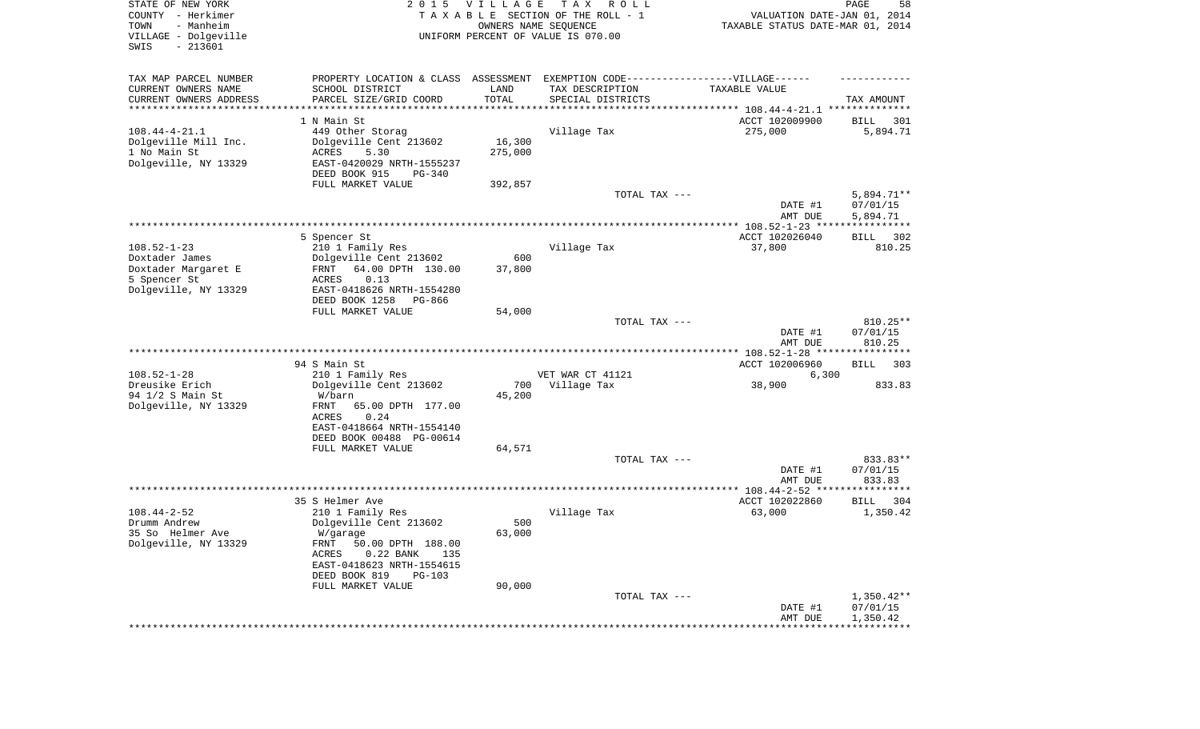| STATE OF NEW YORK<br>COUNTY - Herkimer<br>- Manheim<br>TOWN<br>VILLAGE - Dolgeville<br>$-213601$<br>SWIS | 2 0 1 5                                                                           | <b>VILLAGE</b>                 | T A X<br>R O L L<br>TAXABLE SECTION OF THE ROLL - 1<br>OWNERS NAME SEQUENCE<br>UNIFORM PERCENT OF VALUE IS 070.00 | VALUATION DATE-JAN 01, 2014<br>TAXABLE STATUS DATE-MAR 01, 2014 | PAGE<br>58         |
|----------------------------------------------------------------------------------------------------------|-----------------------------------------------------------------------------------|--------------------------------|-------------------------------------------------------------------------------------------------------------------|-----------------------------------------------------------------|--------------------|
| TAX MAP PARCEL NUMBER                                                                                    | PROPERTY LOCATION & CLASS ASSESSMENT EXEMPTION CODE-----------------VILLAGE------ |                                |                                                                                                                   |                                                                 |                    |
| CURRENT OWNERS NAME                                                                                      | SCHOOL DISTRICT                                                                   | LAND                           | TAX DESCRIPTION                                                                                                   | TAXABLE VALUE                                                   |                    |
| CURRENT OWNERS ADDRESS<br>*********************                                                          | PARCEL SIZE/GRID COORD                                                            | TOTAL<br>* * * * * * * * * * * | SPECIAL DISTRICTS                                                                                                 |                                                                 | TAX AMOUNT         |
|                                                                                                          | 1 N Main St                                                                       |                                |                                                                                                                   | ACCT 102009900                                                  | BILL<br>301        |
| $108.44 - 4 - 21.1$                                                                                      | 449 Other Storag                                                                  |                                | Village Tax                                                                                                       | 275,000                                                         | 5,894.71           |
| Dolgeville Mill Inc.                                                                                     | Dolgeville Cent 213602                                                            | 16,300                         |                                                                                                                   |                                                                 |                    |
| 1 No Main St                                                                                             | ACRES<br>5.30                                                                     | 275,000                        |                                                                                                                   |                                                                 |                    |
| Dolgeville, NY 13329                                                                                     | EAST-0420029 NRTH-1555237<br>DEED BOOK 915<br>$PG-340$                            |                                |                                                                                                                   |                                                                 |                    |
|                                                                                                          | FULL MARKET VALUE                                                                 | 392,857                        |                                                                                                                   |                                                                 |                    |
|                                                                                                          |                                                                                   |                                | TOTAL TAX ---                                                                                                     |                                                                 | $5,894.71**$       |
|                                                                                                          |                                                                                   |                                |                                                                                                                   | DATE #1                                                         | 07/01/15           |
|                                                                                                          |                                                                                   |                                |                                                                                                                   | AMT DUE                                                         | 5,894.71           |
|                                                                                                          | 5 Spencer St                                                                      |                                |                                                                                                                   | ACCT 102026040                                                  | BILL<br>302        |
| $108.52 - 1 - 23$                                                                                        | 210 1 Family Res                                                                  |                                | Village Tax                                                                                                       | 37,800                                                          | 810.25             |
| Doxtader James                                                                                           | Dolgeville Cent 213602                                                            | 600                            |                                                                                                                   |                                                                 |                    |
| Doxtader Margaret E                                                                                      | 64.00 DPTH 130.00<br>FRNT                                                         | 37,800                         |                                                                                                                   |                                                                 |                    |
| 5 Spencer St<br>Dolgeville, NY 13329                                                                     | ACRES<br>0.13<br>EAST-0418626 NRTH-1554280                                        |                                |                                                                                                                   |                                                                 |                    |
|                                                                                                          | DEED BOOK 1258<br>PG-866                                                          |                                |                                                                                                                   |                                                                 |                    |
|                                                                                                          | FULL MARKET VALUE                                                                 | 54,000                         |                                                                                                                   |                                                                 |                    |
|                                                                                                          |                                                                                   |                                | TOTAL TAX ---                                                                                                     |                                                                 | 810.25**           |
|                                                                                                          |                                                                                   |                                |                                                                                                                   | DATE #1<br>AMT DUE                                              | 07/01/15<br>810.25 |
|                                                                                                          | 94 S Main St                                                                      |                                |                                                                                                                   | ACCT 102006960                                                  | 303                |
| $108.52 - 1 - 28$                                                                                        | 210 1 Family Res                                                                  |                                | VET WAR CT 41121                                                                                                  | 6,300                                                           | BILL               |
| Dreusike Erich                                                                                           | Dolgeville Cent 213602                                                            | 700                            | Village Tax                                                                                                       | 38,900                                                          | 833.83             |
| 94 1/2 S Main St                                                                                         | W/barn                                                                            | 45,200                         |                                                                                                                   |                                                                 |                    |
| Dolgeville, NY 13329                                                                                     | FRNT<br>65.00 DPTH 177.00<br>ACRES<br>0.24                                        |                                |                                                                                                                   |                                                                 |                    |
|                                                                                                          | EAST-0418664 NRTH-1554140                                                         |                                |                                                                                                                   |                                                                 |                    |
|                                                                                                          | DEED BOOK 00488 PG-00614                                                          |                                |                                                                                                                   |                                                                 |                    |
|                                                                                                          | FULL MARKET VALUE                                                                 | 64,571                         |                                                                                                                   |                                                                 |                    |
|                                                                                                          |                                                                                   |                                | TOTAL TAX ---                                                                                                     |                                                                 | 833.83**           |
|                                                                                                          |                                                                                   |                                |                                                                                                                   | DATE #1<br>AMT DUE                                              | 07/01/15<br>833.83 |
|                                                                                                          |                                                                                   |                                |                                                                                                                   |                                                                 |                    |
|                                                                                                          | 35 S Helmer Ave                                                                   |                                |                                                                                                                   | ACCT 102022860                                                  | BILL<br>304        |
| $108.44 - 2 - 52$                                                                                        | 210 1 Family Res                                                                  |                                | Village Tax                                                                                                       | 63,000                                                          | 1,350.42           |
| Drumm Andrew<br>35 So Helmer Ave                                                                         | Dolgeville Cent 213602                                                            | 500<br>63,000                  |                                                                                                                   |                                                                 |                    |
| Dolgeville, NY 13329                                                                                     | W/garage<br>FRNT 50.00 DPTH 188.00                                                |                                |                                                                                                                   |                                                                 |                    |
|                                                                                                          | ACRES<br>$0.22$ BANK<br>135                                                       |                                |                                                                                                                   |                                                                 |                    |
|                                                                                                          | EAST-0418623 NRTH-1554615                                                         |                                |                                                                                                                   |                                                                 |                    |
|                                                                                                          | DEED BOOK 819<br>$PG-103$                                                         |                                |                                                                                                                   |                                                                 |                    |
|                                                                                                          | FULL MARKET VALUE                                                                 | 90,000                         | TOTAL TAX ---                                                                                                     |                                                                 | $1,350.42**$       |
|                                                                                                          |                                                                                   |                                |                                                                                                                   | DATE #1                                                         | 07/01/15           |
|                                                                                                          |                                                                                   |                                |                                                                                                                   | AMT DUE                                                         | 1,350.42           |
|                                                                                                          |                                                                                   |                                |                                                                                                                   |                                                                 |                    |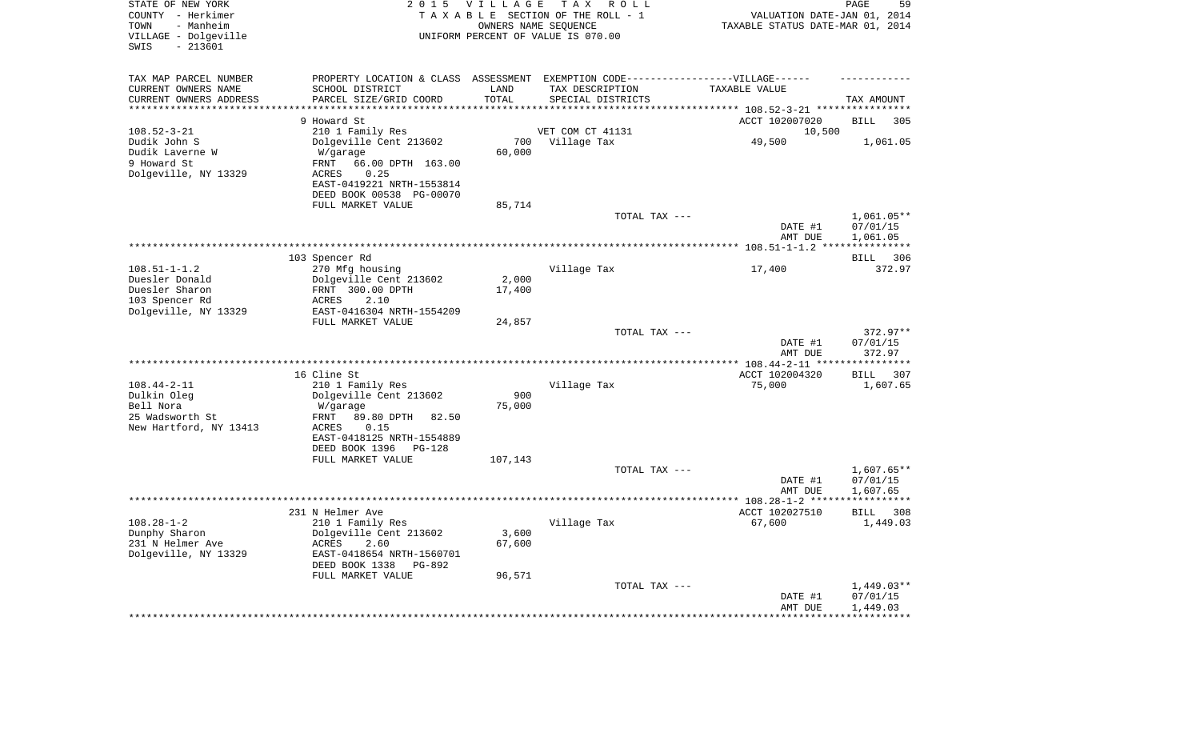| STATE OF NEW YORK<br>COUNTY - Herkimer<br>- Manheim<br>TOWN<br>VILLAGE - Dolgeville<br>$-213601$<br>SWIS | 2 0 1 5                                                                           | <b>VILLAGE</b>     | T A X<br>ROLL<br>TAXABLE SECTION OF THE ROLL - 1<br>OWNERS NAME SEQUENCE<br>UNIFORM PERCENT OF VALUE IS 070.00 | VALUATION DATE-JAN 01, 2014<br>TAXABLE STATUS DATE-MAR 01, 2014 | PAGE<br>59              |
|----------------------------------------------------------------------------------------------------------|-----------------------------------------------------------------------------------|--------------------|----------------------------------------------------------------------------------------------------------------|-----------------------------------------------------------------|-------------------------|
| TAX MAP PARCEL NUMBER                                                                                    | PROPERTY LOCATION & CLASS ASSESSMENT EXEMPTION CODE-----------------VILLAGE------ |                    |                                                                                                                |                                                                 |                         |
| CURRENT OWNERS NAME                                                                                      | SCHOOL DISTRICT                                                                   | LAND               | TAX DESCRIPTION                                                                                                | TAXABLE VALUE                                                   |                         |
| CURRENT OWNERS ADDRESS<br>*********************                                                          | PARCEL SIZE/GRID COORD<br>***********************                                 | TOTAL<br>********* | SPECIAL DISTRICTS                                                                                              |                                                                 | TAX AMOUNT              |
|                                                                                                          | 9 Howard St                                                                       |                    |                                                                                                                | ACCT 102007020                                                  | 305                     |
| $108.52 - 3 - 21$                                                                                        | 210 1 Family Res                                                                  |                    | VET COM CT 41131                                                                                               | 10,500                                                          | <b>BILL</b>             |
| Dudik John S                                                                                             | Dolgeville Cent 213602                                                            | 700                | Village Tax                                                                                                    | 49,500                                                          | 1,061.05                |
| Dudik Laverne W                                                                                          | W/garage                                                                          | 60,000             |                                                                                                                |                                                                 |                         |
| 9 Howard St                                                                                              | 66.00 DPTH 163.00<br>FRNT                                                         |                    |                                                                                                                |                                                                 |                         |
| Dolgeville, NY 13329                                                                                     | 0.25<br>ACRES                                                                     |                    |                                                                                                                |                                                                 |                         |
|                                                                                                          | EAST-0419221 NRTH-1553814                                                         |                    |                                                                                                                |                                                                 |                         |
|                                                                                                          | DEED BOOK 00538 PG-00070                                                          |                    |                                                                                                                |                                                                 |                         |
|                                                                                                          | FULL MARKET VALUE                                                                 | 85,714             | TOTAL TAX ---                                                                                                  |                                                                 | 1,061.05**              |
|                                                                                                          |                                                                                   |                    |                                                                                                                | DATE #1<br>AMT DUE                                              | 07/01/15<br>1,061.05    |
|                                                                                                          |                                                                                   |                    |                                                                                                                |                                                                 | * * * * * * * * * * *   |
|                                                                                                          | 103 Spencer Rd                                                                    |                    |                                                                                                                |                                                                 | 306<br>BILL             |
| $108.51 - 1 - 1.2$                                                                                       | 270 Mfg housing                                                                   |                    | Village Tax                                                                                                    | 17,400                                                          | 372.97                  |
| Duesler Donald                                                                                           | Dolgeville Cent 213602                                                            | 2,000              |                                                                                                                |                                                                 |                         |
| Duesler Sharon<br>103 Spencer Rd                                                                         | FRNT 300.00 DPTH<br>2.10<br>ACRES                                                 | 17,400             |                                                                                                                |                                                                 |                         |
| Dolgeville, NY 13329                                                                                     | EAST-0416304 NRTH-1554209                                                         |                    |                                                                                                                |                                                                 |                         |
|                                                                                                          | FULL MARKET VALUE                                                                 | 24,857             |                                                                                                                |                                                                 |                         |
|                                                                                                          |                                                                                   |                    | TOTAL TAX ---                                                                                                  |                                                                 | 372.97**                |
|                                                                                                          |                                                                                   |                    |                                                                                                                | DATE #1                                                         | 07/01/15                |
|                                                                                                          |                                                                                   |                    |                                                                                                                | AMT DUE                                                         | 372.97<br>**********    |
|                                                                                                          | 16 Cline St                                                                       |                    |                                                                                                                | ACCT 102004320                                                  | 307<br><b>BILL</b>      |
| $108.44 - 2 - 11$                                                                                        | 210 1 Family Res                                                                  |                    | Village Tax                                                                                                    | 75,000                                                          | 1,607.65                |
| Dulkin Oleg                                                                                              | Dolgeville Cent 213602                                                            | 900                |                                                                                                                |                                                                 |                         |
| Bell Nora                                                                                                | W/garage                                                                          | 75,000             |                                                                                                                |                                                                 |                         |
| 25 Wadsworth St                                                                                          | 89.80 DPTH<br>FRNT<br>82.50                                                       |                    |                                                                                                                |                                                                 |                         |
| New Hartford, NY 13413                                                                                   | <b>ACRES</b><br>0.15                                                              |                    |                                                                                                                |                                                                 |                         |
|                                                                                                          | EAST-0418125 NRTH-1554889                                                         |                    |                                                                                                                |                                                                 |                         |
|                                                                                                          | DEED BOOK 1396<br><b>PG-128</b><br>FULL MARKET VALUE                              | 107,143            |                                                                                                                |                                                                 |                         |
|                                                                                                          |                                                                                   |                    | TOTAL TAX ---                                                                                                  |                                                                 | $1,607.65**$            |
|                                                                                                          |                                                                                   |                    |                                                                                                                | DATE #1                                                         | 07/01/15                |
|                                                                                                          |                                                                                   |                    |                                                                                                                | AMT DUE                                                         | 1,607.65                |
|                                                                                                          | *****************************                                                     |                    | **********************************                                                                             | ** 108.28-1-2 ****                                              | * * * * * * * * * * *   |
|                                                                                                          | 231 N Helmer Ave                                                                  |                    |                                                                                                                | ACCT 102027510                                                  | <b>BILL</b><br>308      |
| $108.28 - 1 - 2$                                                                                         | 210 1 Family Res                                                                  |                    | Village Tax                                                                                                    | 67,600                                                          | 1,449.03                |
| Dunphy Sharon<br>231 N Helmer Ave                                                                        | Dolgeville Cent 213602<br><b>ACRES</b><br>2.60                                    | 3,600<br>67,600    |                                                                                                                |                                                                 |                         |
| Dolgeville, NY 13329                                                                                     | EAST-0418654 NRTH-1560701                                                         |                    |                                                                                                                |                                                                 |                         |
|                                                                                                          | DEED BOOK 1338<br>PG-892                                                          |                    |                                                                                                                |                                                                 |                         |
|                                                                                                          | FULL MARKET VALUE                                                                 | 96,571             |                                                                                                                |                                                                 |                         |
|                                                                                                          |                                                                                   |                    | TOTAL TAX ---                                                                                                  |                                                                 | $1,449.03**$            |
|                                                                                                          |                                                                                   |                    |                                                                                                                | DATE #1                                                         | 07/01/15                |
|                                                                                                          |                                                                                   |                    |                                                                                                                | AMT DUE<br>*************                                        | 1,449.03<br>*********** |
|                                                                                                          |                                                                                   |                    |                                                                                                                |                                                                 |                         |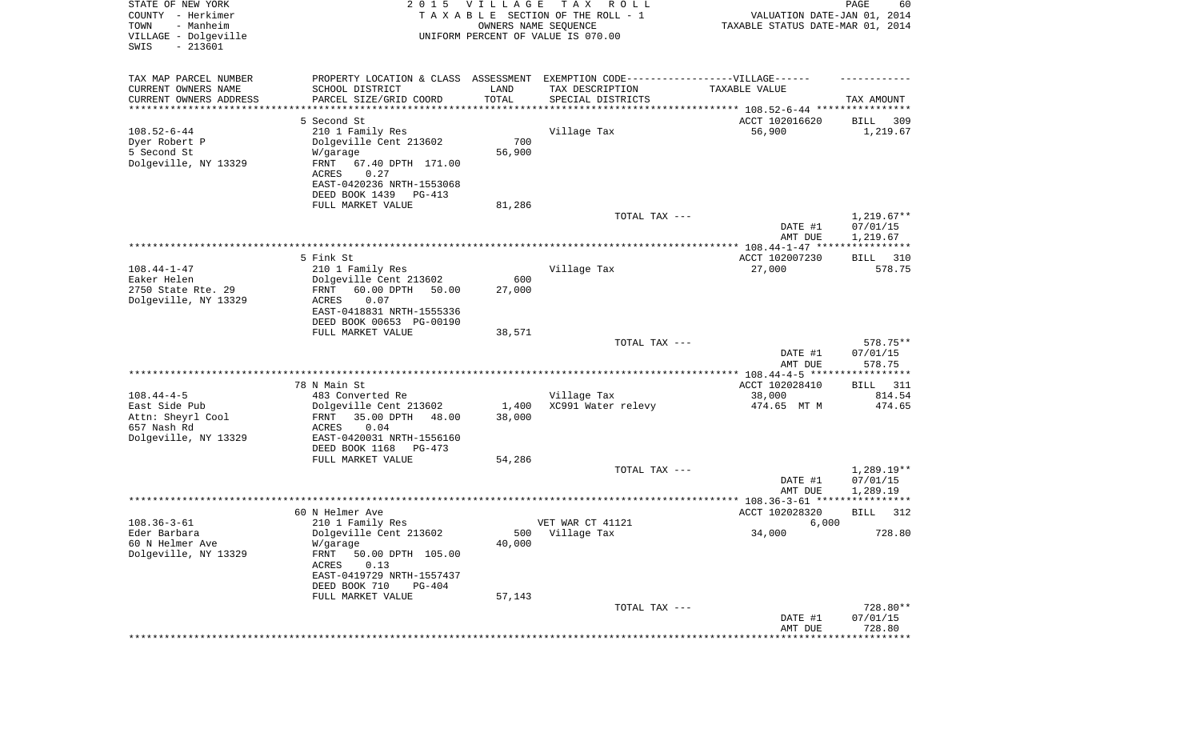| STATE OF NEW YORK<br>COUNTY - Herkimer<br>- Manheim<br>TOWN<br>VILLAGE - Dolgeville<br>SWIS<br>$-213601$ |                                                                                                      | 2015 VILLAGE<br>OWNERS NAME SEQUENCE | T A X<br>R O L L<br>TAXABLE SECTION OF THE ROLL - 1<br>UNIFORM PERCENT OF VALUE IS 070.00 | VALUATION DATE-JAN 01, 2014<br>TAXABLE STATUS DATE-MAR 01, 2014 | PAGE<br>60       |
|----------------------------------------------------------------------------------------------------------|------------------------------------------------------------------------------------------------------|--------------------------------------|-------------------------------------------------------------------------------------------|-----------------------------------------------------------------|------------------|
| TAX MAP PARCEL NUMBER<br>CURRENT OWNERS NAME                                                             | PROPERTY LOCATION & CLASS ASSESSMENT EXEMPTION CODE-----------------VILLAGE------<br>SCHOOL DISTRICT | LAND                                 | TAX DESCRIPTION                                                                           | TAXABLE VALUE                                                   |                  |
| CURRENT OWNERS ADDRESS<br>********************                                                           | PARCEL SIZE/GRID COORD                                                                               | TOTAL<br>**********                  | SPECIAL DISTRICTS                                                                         |                                                                 | TAX AMOUNT       |
|                                                                                                          | 5 Second St                                                                                          |                                      |                                                                                           | ACCT 102016620                                                  | 309<br>BILL      |
| $108.52 - 6 - 44$                                                                                        | 210 1 Family Res                                                                                     |                                      | Village Tax                                                                               | 56,900                                                          | 1,219.67         |
| Dyer Robert P                                                                                            | Dolgeville Cent 213602                                                                               | 700                                  |                                                                                           |                                                                 |                  |
| 5 Second St                                                                                              | W/garage                                                                                             | 56,900                               |                                                                                           |                                                                 |                  |
| Dolgeville, NY 13329                                                                                     | FRNT<br>67.40 DPTH 171.00                                                                            |                                      |                                                                                           |                                                                 |                  |
|                                                                                                          | 0.27<br>ACRES                                                                                        |                                      |                                                                                           |                                                                 |                  |
|                                                                                                          | EAST-0420236 NRTH-1553068                                                                            |                                      |                                                                                           |                                                                 |                  |
|                                                                                                          | DEED BOOK 1439<br>PG-413                                                                             |                                      |                                                                                           |                                                                 |                  |
|                                                                                                          | FULL MARKET VALUE                                                                                    | 81,286                               | TOTAL TAX ---                                                                             |                                                                 | $1,219.67**$     |
|                                                                                                          |                                                                                                      |                                      |                                                                                           | DATE #1                                                         | 07/01/15         |
|                                                                                                          |                                                                                                      |                                      |                                                                                           | AMT DUE                                                         | 1,219.67         |
|                                                                                                          |                                                                                                      |                                      |                                                                                           |                                                                 |                  |
|                                                                                                          | 5 Fink St                                                                                            |                                      |                                                                                           | ACCT 102007230                                                  | BILL 310         |
| $108.44 - 1 - 47$                                                                                        | 210 1 Family Res                                                                                     |                                      | Village Tax                                                                               | 27,000                                                          | 578.75           |
| Eaker Helen                                                                                              | Dolgeville Cent 213602                                                                               | 600                                  |                                                                                           |                                                                 |                  |
| 2750 State Rte. 29                                                                                       | FRNT<br>60.00 DPTH<br>50.00                                                                          | 27,000                               |                                                                                           |                                                                 |                  |
| Dolgeville, NY 13329                                                                                     | ACRES<br>0.07<br>EAST-0418831 NRTH-1555336                                                           |                                      |                                                                                           |                                                                 |                  |
|                                                                                                          | DEED BOOK 00653 PG-00190                                                                             |                                      |                                                                                           |                                                                 |                  |
|                                                                                                          | FULL MARKET VALUE                                                                                    | 38,571                               |                                                                                           |                                                                 |                  |
|                                                                                                          |                                                                                                      |                                      | TOTAL TAX ---                                                                             |                                                                 | 578.75**         |
|                                                                                                          |                                                                                                      |                                      |                                                                                           | DATE #1                                                         | 07/01/15         |
|                                                                                                          |                                                                                                      |                                      |                                                                                           | AMT DUE                                                         | 578.75           |
|                                                                                                          |                                                                                                      |                                      |                                                                                           | ************** 108.44-4-5 ******************                    |                  |
|                                                                                                          | 78 N Main St                                                                                         |                                      |                                                                                           | ACCT 102028410                                                  | 311<br>BILL      |
| $108.44 - 4 - 5$<br>East Side Pub                                                                        | 483 Converted Re<br>Dolgeville Cent 213602                                                           | 1,400                                | Village Tax<br>XC991 Water relevy                                                         | 38,000<br>474.65 MT M                                           | 814.54<br>474.65 |
| Attn: Sheyrl Cool                                                                                        | 35.00 DPTH<br>48.00<br>FRNT                                                                          | 38,000                               |                                                                                           |                                                                 |                  |
| 657 Nash Rd                                                                                              | ACRES<br>0.04                                                                                        |                                      |                                                                                           |                                                                 |                  |
| Dolgeville, NY 13329                                                                                     | EAST-0420031 NRTH-1556160                                                                            |                                      |                                                                                           |                                                                 |                  |
|                                                                                                          | DEED BOOK 1168<br>PG-473                                                                             |                                      |                                                                                           |                                                                 |                  |
|                                                                                                          | FULL MARKET VALUE                                                                                    | 54,286                               |                                                                                           |                                                                 |                  |
|                                                                                                          |                                                                                                      |                                      | TOTAL TAX ---                                                                             |                                                                 | $1,289.19**$     |
|                                                                                                          |                                                                                                      |                                      |                                                                                           | DATE #1                                                         | 07/01/15         |
|                                                                                                          |                                                                                                      |                                      |                                                                                           | AMT DUE                                                         | 1,289.19         |
|                                                                                                          | 60 N Helmer Ave                                                                                      |                                      |                                                                                           | ACCT 102028320                                                  | 312<br>BILL      |
| $108.36 - 3 - 61$                                                                                        | 210 1 Family Res                                                                                     |                                      | VET WAR CT 41121                                                                          | 6,000                                                           |                  |
| Eder Barbara                                                                                             | Dolgeville Cent 213602                                                                               |                                      | 500 Village Tax                                                                           | 34,000                                                          | 728.80           |
| 60 N Helmer Ave                                                                                          | W/garage                                                                                             | 40,000                               |                                                                                           |                                                                 |                  |
| Dolgeville, NY 13329                                                                                     | FRNT<br>50.00 DPTH 105.00                                                                            |                                      |                                                                                           |                                                                 |                  |
|                                                                                                          | ACRES<br>0.13                                                                                        |                                      |                                                                                           |                                                                 |                  |
|                                                                                                          | EAST-0419729 NRTH-1557437                                                                            |                                      |                                                                                           |                                                                 |                  |
|                                                                                                          | DEED BOOK 710<br>PG-404<br>FULL MARKET VALUE                                                         | 57,143                               |                                                                                           |                                                                 |                  |
|                                                                                                          |                                                                                                      |                                      | TOTAL TAX ---                                                                             |                                                                 | 728.80**         |
|                                                                                                          |                                                                                                      |                                      |                                                                                           | DATE #1                                                         | 07/01/15         |
|                                                                                                          |                                                                                                      |                                      |                                                                                           | AMT DUE                                                         | 728.80           |
|                                                                                                          |                                                                                                      |                                      |                                                                                           |                                                                 | ************     |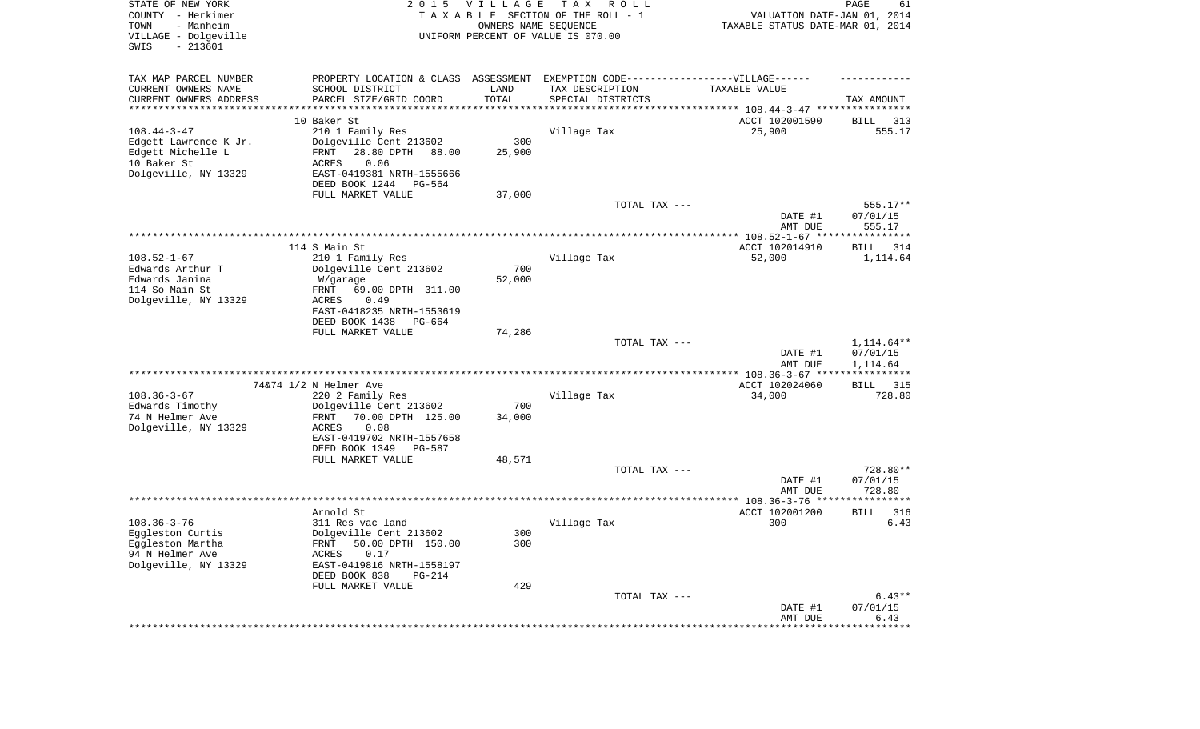| STATE OF NEW YORK<br>COUNTY - Herkimer<br>TOWN<br>- Manheim<br>VILLAGE - Dolgeville<br>SWIS<br>$-213601$ | 2 0 1 5                                                                          | <b>VILLAGE</b> | T A X<br>R O L L<br>TAXABLE SECTION OF THE ROLL - 1<br>OWNERS NAME SEQUENCE<br>UNIFORM PERCENT OF VALUE IS 070.00 | VALUATION DATE-JAN 01, 2014<br>TAXABLE STATUS DATE-MAR 01, 2014      | PAGE<br>61             |
|----------------------------------------------------------------------------------------------------------|----------------------------------------------------------------------------------|----------------|-------------------------------------------------------------------------------------------------------------------|----------------------------------------------------------------------|------------------------|
| TAX MAP PARCEL NUMBER                                                                                    | PROPERTY LOCATION & CLASS ASSESSMENT EXEMPTION CODE----------------VILLAGE------ |                |                                                                                                                   |                                                                      |                        |
| CURRENT OWNERS NAME                                                                                      | SCHOOL DISTRICT                                                                  | LAND<br>TOTAL  | TAX DESCRIPTION                                                                                                   | TAXABLE VALUE                                                        |                        |
| CURRENT OWNERS ADDRESS<br>*********************                                                          | PARCEL SIZE/GRID COORD                                                           |                | SPECIAL DISTRICTS                                                                                                 | ************************************** 108.44-3-47 ***************** | TAX AMOUNT             |
|                                                                                                          | 10 Baker St                                                                      |                |                                                                                                                   | ACCT 102001590                                                       | 313<br>BILL            |
| $108.44 - 3 - 47$                                                                                        | 210 1 Family Res                                                                 |                | Village Tax                                                                                                       | 25,900                                                               | 555.17                 |
| Edgett Lawrence K Jr.                                                                                    | Dolgeville Cent 213602                                                           | 300            |                                                                                                                   |                                                                      |                        |
| Edgett Michelle L                                                                                        | 28.80 DPTH<br>FRNT<br>88.00                                                      | 25,900         |                                                                                                                   |                                                                      |                        |
| 10 Baker St<br>Dolgeville, NY 13329                                                                      | ACRES<br>0.06<br>EAST-0419381 NRTH-1555666                                       |                |                                                                                                                   |                                                                      |                        |
|                                                                                                          | DEED BOOK 1244<br>PG-564                                                         |                |                                                                                                                   |                                                                      |                        |
|                                                                                                          | FULL MARKET VALUE                                                                | 37,000         |                                                                                                                   |                                                                      |                        |
|                                                                                                          |                                                                                  |                | TOTAL TAX ---                                                                                                     |                                                                      | 555.17**               |
|                                                                                                          |                                                                                  |                |                                                                                                                   | DATE #1                                                              | 07/01/15               |
|                                                                                                          |                                                                                  |                |                                                                                                                   | AMT DUE                                                              | 555.17                 |
|                                                                                                          | 114 S Main St                                                                    |                |                                                                                                                   | ACCT 102014910                                                       | BILL<br>314            |
| $108.52 - 1 - 67$                                                                                        | 210 1 Family Res                                                                 |                | Village Tax                                                                                                       | 52,000                                                               | 1,114.64               |
| Edwards Arthur T                                                                                         | Dolgeville Cent 213602                                                           | 700            |                                                                                                                   |                                                                      |                        |
| Edwards Janina                                                                                           | W/garage                                                                         | 52,000         |                                                                                                                   |                                                                      |                        |
| 114 So Main St<br>Dolgeville, NY 13329                                                                   | 69.00 DPTH 311.00<br>FRNT<br><b>ACRES</b><br>0.49                                |                |                                                                                                                   |                                                                      |                        |
|                                                                                                          | EAST-0418235 NRTH-1553619                                                        |                |                                                                                                                   |                                                                      |                        |
|                                                                                                          | DEED BOOK 1438<br>$PG-664$                                                       |                |                                                                                                                   |                                                                      |                        |
|                                                                                                          | FULL MARKET VALUE                                                                | 74,286         |                                                                                                                   |                                                                      |                        |
|                                                                                                          |                                                                                  |                | TOTAL TAX ---                                                                                                     | DATE #1                                                              | 1,114.64**<br>07/01/15 |
|                                                                                                          |                                                                                  |                |                                                                                                                   | AMT DUE                                                              | 1,114.64               |
|                                                                                                          |                                                                                  |                |                                                                                                                   | ************ 108.36-3-67 *****                                       | ***********            |
|                                                                                                          | 74&74 1/2 N Helmer Ave                                                           |                |                                                                                                                   | ACCT 102024060                                                       | <b>BILL</b><br>315     |
| $108.36 - 3 - 67$                                                                                        | 220 2 Family Res                                                                 | 700            | Village Tax                                                                                                       | 34,000                                                               | 728.80                 |
| Edwards Timothy<br>74 N Helmer Ave                                                                       | Dolgeville Cent 213602<br>70.00 DPTH 125.00<br>FRNT                              | 34,000         |                                                                                                                   |                                                                      |                        |
| Dolgeville, NY 13329                                                                                     | <b>ACRES</b><br>0.08                                                             |                |                                                                                                                   |                                                                      |                        |
|                                                                                                          | EAST-0419702 NRTH-1557658                                                        |                |                                                                                                                   |                                                                      |                        |
|                                                                                                          | DEED BOOK 1349<br>PG-587                                                         |                |                                                                                                                   |                                                                      |                        |
|                                                                                                          | FULL MARKET VALUE                                                                | 48,571         | TOTAL TAX ---                                                                                                     |                                                                      | 728.80**               |
|                                                                                                          |                                                                                  |                |                                                                                                                   | DATE #1                                                              | 07/01/15               |
|                                                                                                          |                                                                                  |                |                                                                                                                   | AMT DUE                                                              | 728.80                 |
|                                                                                                          |                                                                                  |                |                                                                                                                   |                                                                      |                        |
|                                                                                                          | Arnold St                                                                        |                |                                                                                                                   | ACCT 102001200                                                       | 316<br><b>BILL</b>     |
| $108.36 - 3 - 76$<br>Eggleston Curtis                                                                    | 311 Res vac land<br>Dolgeville Cent 213602                                       | 300            | Village Tax                                                                                                       | 300                                                                  | 6.43                   |
| Eggleston Martha                                                                                         | 50.00 DPTH 150.00<br>FRNT                                                        | 300            |                                                                                                                   |                                                                      |                        |
| 94 N Helmer Ave                                                                                          | ACRES<br>0.17                                                                    |                |                                                                                                                   |                                                                      |                        |
| Dolgeville, NY 13329                                                                                     | EAST-0419816 NRTH-1558197                                                        |                |                                                                                                                   |                                                                      |                        |
|                                                                                                          | DEED BOOK 838<br>PG-214                                                          |                |                                                                                                                   |                                                                      |                        |
|                                                                                                          | FULL MARKET VALUE                                                                | 429            | TOTAL TAX ---                                                                                                     |                                                                      | $6.43**$               |
|                                                                                                          |                                                                                  |                |                                                                                                                   | DATE #1                                                              | 07/01/15               |
|                                                                                                          |                                                                                  |                |                                                                                                                   | AMT DUE                                                              | 6.43                   |
|                                                                                                          |                                                                                  |                |                                                                                                                   | *********************                                                | **************         |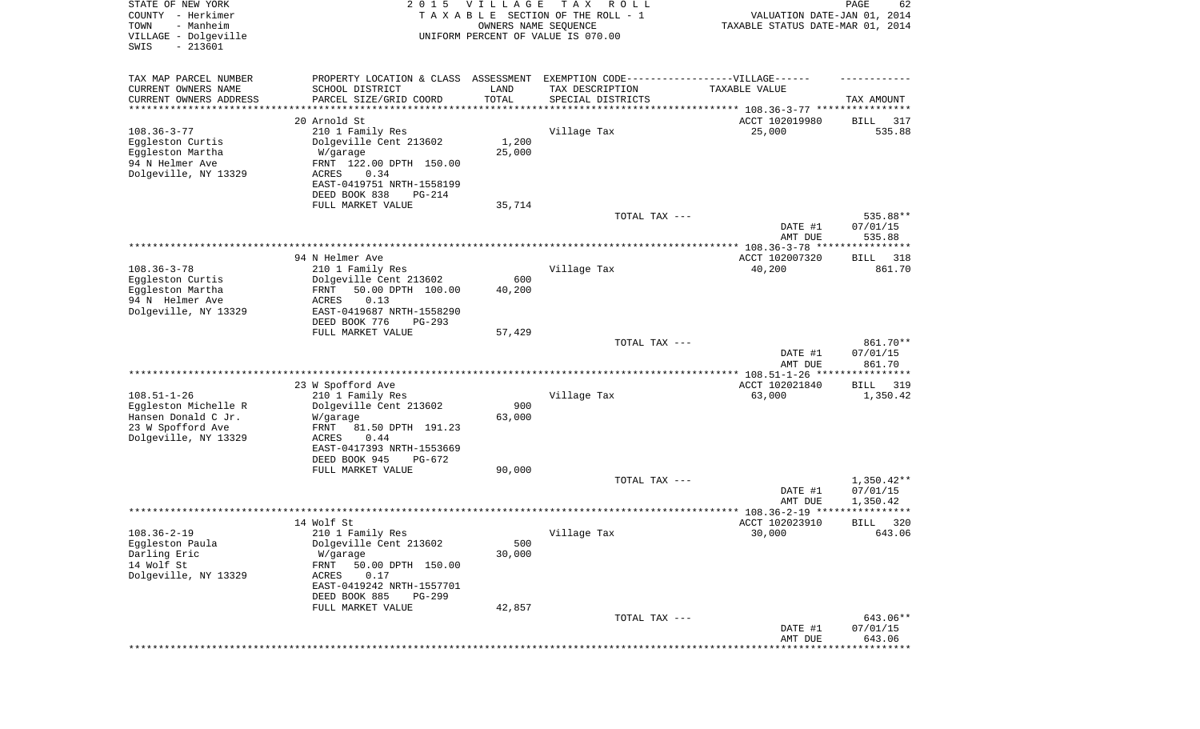| STATE OF NEW YORK<br>COUNTY - Herkimer<br>- Manheim<br>TOWN<br>VILLAGE - Dolgeville<br>SWIS<br>$-213601$ | 2 0 1 5                                    | <b>VILLAGE</b><br>OWNERS NAME SEQUENCE | T A X<br>R O L L<br>TAXABLE SECTION OF THE ROLL - 1<br>UNIFORM PERCENT OF VALUE IS 070.00 | VALUATION DATE-JAN 01, 2014<br>TAXABLE STATUS DATE-MAR 01, 2014 | PAGE<br>62           |
|----------------------------------------------------------------------------------------------------------|--------------------------------------------|----------------------------------------|-------------------------------------------------------------------------------------------|-----------------------------------------------------------------|----------------------|
| TAX MAP PARCEL NUMBER                                                                                    | PROPERTY LOCATION & CLASS                  | ASSESSMENT                             | EXEMPTION CODE-----------------VILLAGE------                                              |                                                                 |                      |
| CURRENT OWNERS NAME<br>CURRENT OWNERS ADDRESS                                                            | SCHOOL DISTRICT<br>PARCEL SIZE/GRID COORD  | LAND<br>TOTAL                          | TAX DESCRIPTION<br>SPECIAL DISTRICTS                                                      | TAXABLE VALUE                                                   | TAX AMOUNT           |
| ********************                                                                                     |                                            |                                        |                                                                                           |                                                                 |                      |
|                                                                                                          | 20 Arnold St                               |                                        |                                                                                           | ACCT 102019980                                                  | 317<br>BILL          |
| $108.36 - 3 - 77$<br>Eggleston Curtis                                                                    | 210 1 Family Res<br>Dolgeville Cent 213602 | 1,200                                  | Village Tax                                                                               | 25,000                                                          | 535.88               |
| Eggleston Martha                                                                                         | W/garage                                   | 25,000                                 |                                                                                           |                                                                 |                      |
| 94 N Helmer Ave                                                                                          | FRNT 122.00 DPTH 150.00                    |                                        |                                                                                           |                                                                 |                      |
| Dolgeville, NY 13329                                                                                     | 0.34<br>ACRES                              |                                        |                                                                                           |                                                                 |                      |
|                                                                                                          | EAST-0419751 NRTH-1558199                  |                                        |                                                                                           |                                                                 |                      |
|                                                                                                          | DEED BOOK 838<br><b>PG-214</b>             |                                        |                                                                                           |                                                                 |                      |
|                                                                                                          | FULL MARKET VALUE                          | 35,714                                 |                                                                                           |                                                                 |                      |
|                                                                                                          |                                            |                                        | TOTAL TAX ---                                                                             |                                                                 | 535.88**             |
|                                                                                                          |                                            |                                        |                                                                                           | DATE #1<br>AMT DUE                                              | 07/01/15             |
|                                                                                                          |                                            |                                        |                                                                                           | ***************** 108.36-3-78 ****************                  | 535.88               |
|                                                                                                          | 94 N Helmer Ave                            |                                        |                                                                                           | ACCT 102007320                                                  | 318<br>BILL          |
| $108.36 - 3 - 78$                                                                                        | 210 1 Family Res                           |                                        | Village Tax                                                                               | 40,200                                                          | 861.70               |
| Eggleston Curtis                                                                                         | Dolgeville Cent 213602                     | 600                                    |                                                                                           |                                                                 |                      |
| Eggleston Martha                                                                                         | 50.00 DPTH 100.00<br>FRNT                  | 40,200                                 |                                                                                           |                                                                 |                      |
| 94 N Helmer Ave                                                                                          | <b>ACRES</b><br>0.13                       |                                        |                                                                                           |                                                                 |                      |
| Dolgeville, NY 13329                                                                                     | EAST-0419687 NRTH-1558290<br>DEED BOOK 776 |                                        |                                                                                           |                                                                 |                      |
|                                                                                                          | $PG-293$<br>FULL MARKET VALUE              | 57,429                                 |                                                                                           |                                                                 |                      |
|                                                                                                          |                                            |                                        | TOTAL TAX ---                                                                             |                                                                 | 861.70**             |
|                                                                                                          |                                            |                                        |                                                                                           | DATE #1                                                         | 07/01/15             |
|                                                                                                          |                                            |                                        |                                                                                           | AMT DUE                                                         | 861.70               |
|                                                                                                          |                                            |                                        |                                                                                           | ******** 108.51-1-26 ******                                     | **********           |
|                                                                                                          | 23 W Spofford Ave                          |                                        |                                                                                           | ACCT 102021840                                                  | <b>BILL</b><br>319   |
| $108.51 - 1 - 26$                                                                                        | 210 1 Family Res                           |                                        | Village Tax                                                                               | 63,000                                                          | 1,350.42             |
| Eggleston Michelle R<br>Hansen Donald C Jr.                                                              | Dolgeville Cent 213602<br>W/garage         | 900<br>63,000                          |                                                                                           |                                                                 |                      |
| 23 W Spofford Ave                                                                                        | FRNT<br>81.50 DPTH 191.23                  |                                        |                                                                                           |                                                                 |                      |
| Dolgeville, NY 13329                                                                                     | <b>ACRES</b><br>0.44                       |                                        |                                                                                           |                                                                 |                      |
|                                                                                                          | EAST-0417393 NRTH-1553669                  |                                        |                                                                                           |                                                                 |                      |
|                                                                                                          | DEED BOOK 945<br>PG-672                    |                                        |                                                                                           |                                                                 |                      |
|                                                                                                          | FULL MARKET VALUE                          | 90,000                                 |                                                                                           |                                                                 |                      |
|                                                                                                          |                                            |                                        | TOTAL TAX ---                                                                             |                                                                 | $1,350.42**$         |
|                                                                                                          |                                            |                                        |                                                                                           | DATE #1<br>AMT DUE                                              | 07/01/15<br>1,350.42 |
|                                                                                                          |                                            |                                        |                                                                                           | **************** 108.36-2-19 ****                               | ****                 |
|                                                                                                          | 14 Wolf St                                 |                                        |                                                                                           | ACCT 102023910                                                  | 320<br>BILL          |
| $108.36 - 2 - 19$                                                                                        | 210 1 Family Res                           |                                        | Village Tax                                                                               | 30,000                                                          | 643.06               |
| Eggleston Paula                                                                                          | Dolgeville Cent 213602                     | 500                                    |                                                                                           |                                                                 |                      |
| Darling Eric                                                                                             | W/garage                                   | 30,000                                 |                                                                                           |                                                                 |                      |
| 14 Wolf St                                                                                               | FRNT<br>50.00 DPTH 150.00                  |                                        |                                                                                           |                                                                 |                      |
| Dolgeville, NY 13329                                                                                     | ACRES<br>0.17<br>EAST-0419242 NRTH-1557701 |                                        |                                                                                           |                                                                 |                      |
|                                                                                                          | DEED BOOK 885<br>PG-299                    |                                        |                                                                                           |                                                                 |                      |
|                                                                                                          | FULL MARKET VALUE                          | 42,857                                 |                                                                                           |                                                                 |                      |
|                                                                                                          |                                            |                                        | TOTAL TAX ---                                                                             |                                                                 | 643.06**             |
|                                                                                                          |                                            |                                        |                                                                                           | DATE #1                                                         | 07/01/15             |
|                                                                                                          |                                            |                                        |                                                                                           | AMT DUE                                                         | 643.06               |
|                                                                                                          |                                            |                                        |                                                                                           |                                                                 | *********            |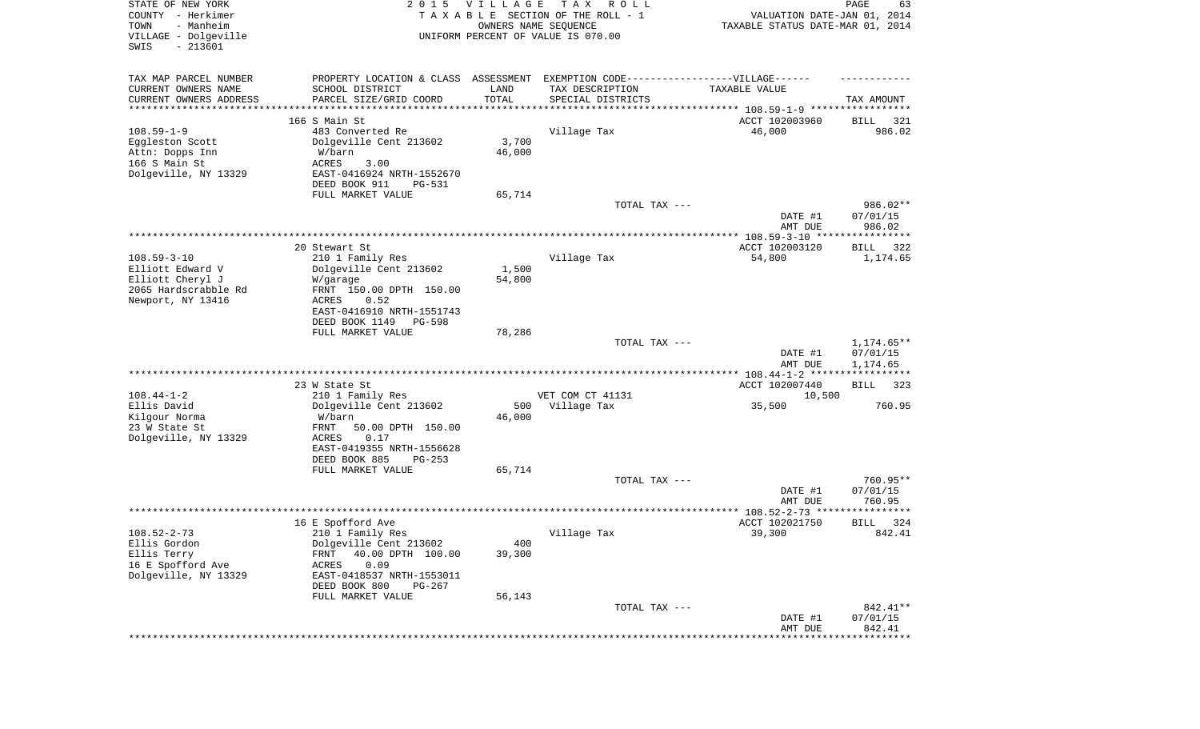| STATE OF NEW YORK<br>COUNTY - Herkimer<br>- Manheim<br>TOWN<br>VILLAGE - Dolgeville<br>SWIS<br>$-213601$ |                                                                                  | 2015 VILLAGE<br>OWNERS NAME SEQUENCE | T A X<br>R O L L<br>TAXABLE SECTION OF THE ROLL - 1<br>UNIFORM PERCENT OF VALUE IS 070.00 | VALUATION DATE-JAN 01, 2014<br>TAXABLE STATUS DATE-MAR 01, 2014 | PAGE<br>63              |
|----------------------------------------------------------------------------------------------------------|----------------------------------------------------------------------------------|--------------------------------------|-------------------------------------------------------------------------------------------|-----------------------------------------------------------------|-------------------------|
| TAX MAP PARCEL NUMBER                                                                                    | PROPERTY LOCATION & CLASS ASSESSMENT EXEMPTION CODE----------------VILLAGE------ |                                      |                                                                                           |                                                                 |                         |
| CURRENT OWNERS NAME<br>CURRENT OWNERS ADDRESS                                                            | SCHOOL DISTRICT<br>PARCEL SIZE/GRID COORD                                        | LAND<br>TOTAL                        | TAX DESCRIPTION<br>SPECIAL DISTRICTS                                                      | TAXABLE VALUE                                                   | TAX AMOUNT              |
| *********************                                                                                    |                                                                                  |                                      |                                                                                           | ********************************* 108.59-1-9 *****************  |                         |
|                                                                                                          | 166 S Main St                                                                    |                                      |                                                                                           | ACCT 102003960                                                  | BILL<br>321             |
| $108.59 - 1 - 9$                                                                                         | 483 Converted Re                                                                 |                                      | Village Tax                                                                               | 46,000                                                          | 986.02                  |
| Eggleston Scott                                                                                          | Dolgeville Cent 213602                                                           | 3,700                                |                                                                                           |                                                                 |                         |
| Attn: Dopps Inn<br>166 S Main St                                                                         | W/barn<br>ACRES<br>3.00                                                          | 46,000                               |                                                                                           |                                                                 |                         |
| Dolgeville, NY 13329                                                                                     | EAST-0416924 NRTH-1552670                                                        |                                      |                                                                                           |                                                                 |                         |
|                                                                                                          | DEED BOOK 911<br>PG-531                                                          |                                      |                                                                                           |                                                                 |                         |
|                                                                                                          | FULL MARKET VALUE                                                                | 65,714                               |                                                                                           |                                                                 |                         |
|                                                                                                          |                                                                                  |                                      | TOTAL TAX ---                                                                             |                                                                 | 986.02**                |
|                                                                                                          |                                                                                  |                                      |                                                                                           | DATE #1                                                         | 07/01/15                |
|                                                                                                          |                                                                                  |                                      |                                                                                           | AMT DUE                                                         | 986.02                  |
|                                                                                                          |                                                                                  |                                      |                                                                                           | ACCT 102003120                                                  |                         |
| $108.59 - 3 - 10$                                                                                        | 20 Stewart St<br>210 1 Family Res                                                |                                      | Village Tax                                                                               | 54,800                                                          | BILL<br>322<br>1,174.65 |
| Elliott Edward V                                                                                         | Dolgeville Cent 213602                                                           | 1,500                                |                                                                                           |                                                                 |                         |
| Elliott Cheryl J                                                                                         | W/garage                                                                         | 54,800                               |                                                                                           |                                                                 |                         |
| 2065 Hardscrabble Rd                                                                                     | FRNT 150.00 DPTH 150.00                                                          |                                      |                                                                                           |                                                                 |                         |
| Newport, NY 13416                                                                                        | ACRES<br>0.52                                                                    |                                      |                                                                                           |                                                                 |                         |
|                                                                                                          | EAST-0416910 NRTH-1551743                                                        |                                      |                                                                                           |                                                                 |                         |
|                                                                                                          | DEED BOOK 1149<br>PG-598                                                         |                                      |                                                                                           |                                                                 |                         |
|                                                                                                          | FULL MARKET VALUE                                                                | 78,286                               | TOTAL TAX ---                                                                             |                                                                 | 1,174.65**              |
|                                                                                                          |                                                                                  |                                      |                                                                                           | DATE #1                                                         | 07/01/15                |
|                                                                                                          |                                                                                  |                                      |                                                                                           | AMT DUE                                                         | 1,174.65                |
|                                                                                                          |                                                                                  |                                      |                                                                                           | ************* 108.44-1-2 ******************                     |                         |
|                                                                                                          | 23 W State St                                                                    |                                      |                                                                                           | ACCT 102007440                                                  | <b>BILL</b><br>323      |
| $108.44 - 1 - 2$                                                                                         | 210 1 Family Res                                                                 |                                      | VET COM CT 41131                                                                          | 10,500                                                          |                         |
| Ellis David                                                                                              | Dolgeville Cent 213602                                                           | 500                                  | Village Tax                                                                               | 35,500                                                          | 760.95                  |
| Kilgour Norma                                                                                            | W/barn                                                                           | 46,000                               |                                                                                           |                                                                 |                         |
| 23 W State St<br>Dolgeville, NY 13329                                                                    | FRNT<br>50.00 DPTH 150.00<br>ACRES<br>0.17                                       |                                      |                                                                                           |                                                                 |                         |
|                                                                                                          | EAST-0419355 NRTH-1556628                                                        |                                      |                                                                                           |                                                                 |                         |
|                                                                                                          | DEED BOOK 885<br>$PG-253$                                                        |                                      |                                                                                           |                                                                 |                         |
|                                                                                                          | FULL MARKET VALUE                                                                | 65,714                               |                                                                                           |                                                                 |                         |
|                                                                                                          |                                                                                  |                                      | TOTAL TAX ---                                                                             |                                                                 | 760.95**                |
|                                                                                                          |                                                                                  |                                      |                                                                                           | DATE #1                                                         | 07/01/15                |
|                                                                                                          |                                                                                  |                                      |                                                                                           | AMT DUE                                                         | 760.95                  |
|                                                                                                          |                                                                                  |                                      |                                                                                           |                                                                 | *****                   |
| $108.52 - 2 - 73$                                                                                        | 16 E Spofford Ave<br>210 1 Family Res                                            |                                      | Village Tax                                                                               | ACCT 102021750<br>39,300                                        | 324<br>BILL<br>842.41   |
| Ellis Gordon                                                                                             | Dolgeville Cent 213602                                                           | 400                                  |                                                                                           |                                                                 |                         |
| Ellis Terry                                                                                              | 40.00 DPTH 100.00<br><b>FRNT</b>                                                 | 39,300                               |                                                                                           |                                                                 |                         |
| 16 E Spofford Ave                                                                                        | 0.09<br>ACRES                                                                    |                                      |                                                                                           |                                                                 |                         |
| Dolgeville, NY 13329                                                                                     | EAST-0418537 NRTH-1553011                                                        |                                      |                                                                                           |                                                                 |                         |
|                                                                                                          | DEED BOOK 800<br>PG-267                                                          |                                      |                                                                                           |                                                                 |                         |
|                                                                                                          | FULL MARKET VALUE                                                                | 56,143                               |                                                                                           |                                                                 |                         |
|                                                                                                          |                                                                                  |                                      | TOTAL TAX ---                                                                             |                                                                 | 842.41**                |
|                                                                                                          |                                                                                  |                                      |                                                                                           | DATE #1<br>AMT DUE                                              | 07/01/15<br>842.41      |
|                                                                                                          |                                                                                  |                                      |                                                                                           |                                                                 |                         |
|                                                                                                          |                                                                                  |                                      |                                                                                           |                                                                 |                         |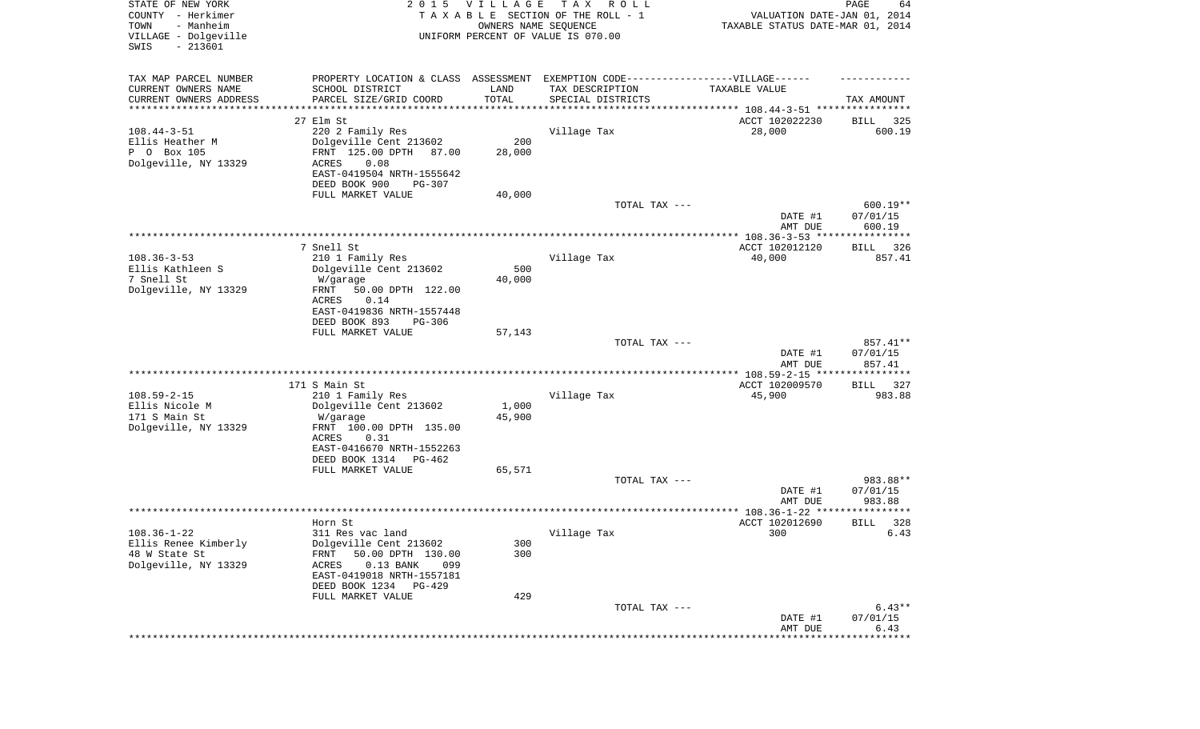| STATE OF NEW YORK<br>COUNTY - Herkimer<br>- Manheim<br>TOWN<br>VILLAGE - Dolgeville<br>SWIS<br>$-213601$ |                                                                                                      | 2015 VILLAGE<br>OWNERS NAME SEQUENCE | T A X<br>R O L L<br>TAXABLE SECTION OF THE ROLL - 1<br>UNIFORM PERCENT OF VALUE IS 070.00 | VALUATION DATE-JAN 01, 2014<br>TAXABLE STATUS DATE-MAR 01, 2014 | $\mathop{\mathtt{PAGE}}$<br>64 |
|----------------------------------------------------------------------------------------------------------|------------------------------------------------------------------------------------------------------|--------------------------------------|-------------------------------------------------------------------------------------------|-----------------------------------------------------------------|--------------------------------|
| TAX MAP PARCEL NUMBER<br>CURRENT OWNERS NAME                                                             | PROPERTY LOCATION & CLASS ASSESSMENT EXEMPTION CODE-----------------VILLAGE------<br>SCHOOL DISTRICT | LAND                                 | TAX DESCRIPTION                                                                           | TAXABLE VALUE                                                   |                                |
| CURRENT OWNERS ADDRESS                                                                                   | PARCEL SIZE/GRID COORD                                                                               | TOTAL                                | SPECIAL DISTRICTS                                                                         |                                                                 | TAX AMOUNT                     |
| *********************                                                                                    | *******************                                                                                  | * * * * * * * * * * *                |                                                                                           | ********************************* 108.44-3-51 ****************  |                                |
| $108.44 - 3 - 51$                                                                                        | 27 Elm St<br>220 2 Family Res                                                                        |                                      | Village Tax                                                                               | ACCT 102022230<br>28,000                                        | 325<br>BILL<br>600.19          |
| Ellis Heather M                                                                                          | Dolgeville Cent 213602                                                                               | 200                                  |                                                                                           |                                                                 |                                |
| P 0 Box 105                                                                                              | FRNT 125.00 DPTH<br>87.00                                                                            | 28,000                               |                                                                                           |                                                                 |                                |
| Dolgeville, NY 13329                                                                                     | ACRES<br>0.08                                                                                        |                                      |                                                                                           |                                                                 |                                |
|                                                                                                          | EAST-0419504 NRTH-1555642                                                                            |                                      |                                                                                           |                                                                 |                                |
|                                                                                                          | DEED BOOK 900<br>PG-307                                                                              |                                      |                                                                                           |                                                                 |                                |
|                                                                                                          | FULL MARKET VALUE                                                                                    | 40,000                               | TOTAL TAX ---                                                                             |                                                                 | 600.19**                       |
|                                                                                                          |                                                                                                      |                                      |                                                                                           | DATE #1<br>AMT DUE                                              | 07/01/15<br>600.19             |
|                                                                                                          |                                                                                                      |                                      |                                                                                           |                                                                 |                                |
|                                                                                                          | 7 Snell St                                                                                           |                                      |                                                                                           | ACCT 102012120                                                  | 326<br>BILL                    |
| $108.36 - 3 - 53$                                                                                        | 210 1 Family Res                                                                                     |                                      | Village Tax                                                                               | 40,000                                                          | 857.41                         |
| Ellis Kathleen S<br>7 Snell St                                                                           | Dolgeville Cent 213602<br>W/garage                                                                   | 500<br>40,000                        |                                                                                           |                                                                 |                                |
| Dolgeville, NY 13329                                                                                     | 50.00 DPTH 122.00<br>FRNT                                                                            |                                      |                                                                                           |                                                                 |                                |
|                                                                                                          | ACRES<br>0.14                                                                                        |                                      |                                                                                           |                                                                 |                                |
|                                                                                                          | EAST-0419836 NRTH-1557448                                                                            |                                      |                                                                                           |                                                                 |                                |
|                                                                                                          | DEED BOOK 893<br>$PG-306$                                                                            |                                      |                                                                                           |                                                                 |                                |
|                                                                                                          | FULL MARKET VALUE                                                                                    | 57,143                               |                                                                                           |                                                                 |                                |
|                                                                                                          |                                                                                                      |                                      | TOTAL TAX ---                                                                             | DATE #1<br>AMT DUE                                              | 857.41**<br>07/01/15<br>857.41 |
|                                                                                                          |                                                                                                      |                                      |                                                                                           | ************* 108.59-2-15 *****************                     |                                |
|                                                                                                          | 171 S Main St                                                                                        |                                      |                                                                                           | ACCT 102009570                                                  | 327<br>BILL                    |
| $108.59 - 2 - 15$                                                                                        | 210 1 Family Res                                                                                     |                                      | Village Tax                                                                               | 45,900                                                          | 983.88                         |
| Ellis Nicole M                                                                                           | Dolgeville Cent 213602                                                                               | 1,000                                |                                                                                           |                                                                 |                                |
| 171 S Main St<br>Dolgeville, NY 13329                                                                    | W/garage<br>FRNT 100.00 DPTH 135.00                                                                  | 45,900                               |                                                                                           |                                                                 |                                |
|                                                                                                          | ACRES<br>0.31                                                                                        |                                      |                                                                                           |                                                                 |                                |
|                                                                                                          | EAST-0416670 NRTH-1552263                                                                            |                                      |                                                                                           |                                                                 |                                |
|                                                                                                          | DEED BOOK 1314<br>PG-462                                                                             |                                      |                                                                                           |                                                                 |                                |
|                                                                                                          | FULL MARKET VALUE                                                                                    | 65,571                               |                                                                                           |                                                                 |                                |
|                                                                                                          |                                                                                                      |                                      | TOTAL TAX ---                                                                             |                                                                 | 983.88**                       |
|                                                                                                          |                                                                                                      |                                      |                                                                                           | DATE #1<br>AMT DUE                                              | 07/01/15<br>983.88             |
|                                                                                                          |                                                                                                      |                                      |                                                                                           |                                                                 |                                |
|                                                                                                          | Horn St                                                                                              |                                      |                                                                                           | ACCT 102012690                                                  | 328<br>BILL                    |
| $108.36 - 1 - 22$                                                                                        | 311 Res vac land                                                                                     |                                      | Village Tax                                                                               | 300                                                             | 6.43                           |
| Ellis Renee Kimberly                                                                                     | Dolgeville Cent 213602                                                                               | 300                                  |                                                                                           |                                                                 |                                |
| 48 W State St<br>Dolgeville, NY 13329                                                                    | <b>FRNT</b><br>50.00 DPTH 130.00                                                                     | 300                                  |                                                                                           |                                                                 |                                |
|                                                                                                          | $0.13$ BANK<br>ACRES<br>099<br>EAST-0419018 NRTH-1557181                                             |                                      |                                                                                           |                                                                 |                                |
|                                                                                                          | DEED BOOK 1234 PG-429                                                                                |                                      |                                                                                           |                                                                 |                                |
|                                                                                                          | FULL MARKET VALUE                                                                                    | 429                                  |                                                                                           |                                                                 |                                |
|                                                                                                          |                                                                                                      |                                      | TOTAL TAX ---                                                                             |                                                                 | $6.43**$                       |
|                                                                                                          |                                                                                                      |                                      |                                                                                           | DATE #1                                                         | 07/01/15                       |
|                                                                                                          |                                                                                                      |                                      |                                                                                           | AMT DUE                                                         | 6.43<br>* * * * * * * * * *    |
|                                                                                                          |                                                                                                      |                                      |                                                                                           |                                                                 |                                |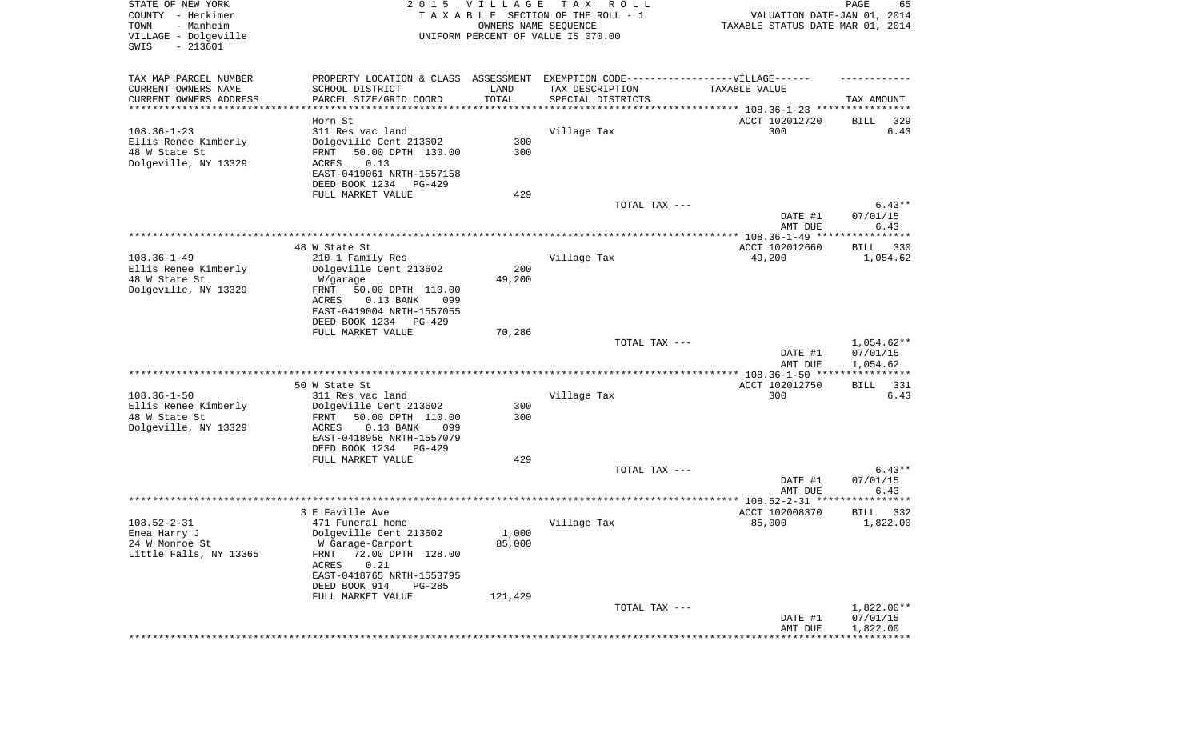| STATE OF NEW YORK<br>COUNTY - Herkimer<br>TOWN<br>- Manheim<br>VILLAGE - Dolgeville<br>SWIS<br>$-213601$ |                                                                                                                                                                       | 2015 VILLAGE<br>OWNERS NAME SEQUENCE | T A X<br>R O L L<br>TAXABLE SECTION OF THE ROLL - 1<br>UNIFORM PERCENT OF VALUE IS 070.00 | VALUATION DATE-JAN 01, 2014<br>TAXABLE STATUS DATE-MAR 01, 2014 | PAGE<br>65                                   |
|----------------------------------------------------------------------------------------------------------|-----------------------------------------------------------------------------------------------------------------------------------------------------------------------|--------------------------------------|-------------------------------------------------------------------------------------------|-----------------------------------------------------------------|----------------------------------------------|
| TAX MAP PARCEL NUMBER<br>CURRENT OWNERS NAME<br>CURRENT OWNERS ADDRESS<br>**********************         | PROPERTY LOCATION & CLASS ASSESSMENT EXEMPTION CODE----------------VILLAGE------<br>SCHOOL DISTRICT<br>PARCEL SIZE/GRID COORD                                         | LAND<br>TOTAL<br>**************      | TAX DESCRIPTION<br>SPECIAL DISTRICTS                                                      | TAXABLE VALUE                                                   | TAX AMOUNT                                   |
|                                                                                                          | Horn St                                                                                                                                                               |                                      |                                                                                           | ACCT 102012720                                                  | 329<br>BILL                                  |
| $108.36 - 1 - 23$                                                                                        | 311 Res vac land                                                                                                                                                      |                                      | Village Tax                                                                               | 300                                                             | 6.43                                         |
| Ellis Renee Kimberly<br>48 W State St<br>Dolgeville, NY 13329                                            | Dolgeville Cent 213602<br>50.00 DPTH 130.00<br>FRNT<br>ACRES<br>0.13<br>EAST-0419061 NRTH-1557158                                                                     | 300<br>300                           |                                                                                           |                                                                 |                                              |
|                                                                                                          | DEED BOOK 1234<br>PG-429                                                                                                                                              |                                      |                                                                                           |                                                                 |                                              |
|                                                                                                          | FULL MARKET VALUE                                                                                                                                                     | 429                                  | TOTAL TAX ---                                                                             | DATE #1<br>AMT DUE                                              | $6.43**$<br>07/01/15<br>6.43                 |
|                                                                                                          |                                                                                                                                                                       |                                      |                                                                                           |                                                                 |                                              |
| $108.36 - 1 - 49$<br>Ellis Renee Kimberly                                                                | 48 W State St<br>210 1 Family Res<br>Dolgeville Cent 213602                                                                                                           | 200                                  | Village Tax                                                                               | ACCT 102012660<br>49,200                                        | BILL<br>330<br>1,054.62                      |
| 48 W State St<br>Dolgeville, NY 13329                                                                    | W/garage<br>FRNT<br>50.00 DPTH 110.00<br>ACRES<br>$0.13$ BANK<br>099<br>EAST-0419004 NRTH-1557055<br>DEED BOOK 1234<br>PG-429                                         | 49,200                               |                                                                                           |                                                                 |                                              |
|                                                                                                          | FULL MARKET VALUE                                                                                                                                                     | 70,286                               | TOTAL TAX ---                                                                             |                                                                 | $1,054.62**$                                 |
|                                                                                                          |                                                                                                                                                                       |                                      |                                                                                           | DATE #1<br>AMT DUE                                              | 07/01/15<br>1,054.62                         |
|                                                                                                          |                                                                                                                                                                       |                                      |                                                                                           | **************** 108.36-1-50 *****************                  |                                              |
| $108.36 - 1 - 50$                                                                                        | 50 W State St<br>311 Res vac land                                                                                                                                     |                                      | Village Tax                                                                               | ACCT 102012750<br>300                                           | 331<br>BILL<br>6.43                          |
| Ellis Renee Kimberly<br>48 W State St<br>Dolgeville, NY 13329                                            | Dolgeville Cent 213602<br>50.00 DPTH 110.00<br>FRNT<br>ACRES<br>$0.13$ BANK<br>099<br>EAST-0418958 NRTH-1557079                                                       | 300<br>300                           |                                                                                           |                                                                 |                                              |
|                                                                                                          | DEED BOOK 1234<br>PG-429<br>FULL MARKET VALUE                                                                                                                         | 429                                  |                                                                                           |                                                                 |                                              |
|                                                                                                          |                                                                                                                                                                       |                                      | TOTAL TAX ---                                                                             | DATE #1                                                         | $6.43**$<br>07/01/15                         |
|                                                                                                          | 3 E Faville Ave                                                                                                                                                       |                                      |                                                                                           | AMT DUE<br>ACCT 102008370                                       | 6.43<br>* * * * * * * * * * *<br>BILL<br>332 |
| $108.52 - 2 - 31$                                                                                        | 471 Funeral home                                                                                                                                                      |                                      | Village Tax                                                                               | 85,000                                                          | 1,822.00                                     |
| Enea Harry J<br>24 W Monroe St<br>Little Falls, NY 13365                                                 | Dolgeville Cent 213602<br>W Garage-Carport<br>72.00 DPTH 128.00<br>FRNT<br>0.21<br>ACRES<br>EAST-0418765 NRTH-1553795<br>DEED BOOK 914<br>PG-285<br>FULL MARKET VALUE | 1,000<br>85,000                      |                                                                                           |                                                                 |                                              |
|                                                                                                          |                                                                                                                                                                       | 121,429                              | TOTAL TAX ---                                                                             | DATE #1<br>AMT DUE                                              | 1,822.00**<br>07/01/15<br>1,822.00           |
|                                                                                                          |                                                                                                                                                                       |                                      |                                                                                           |                                                                 |                                              |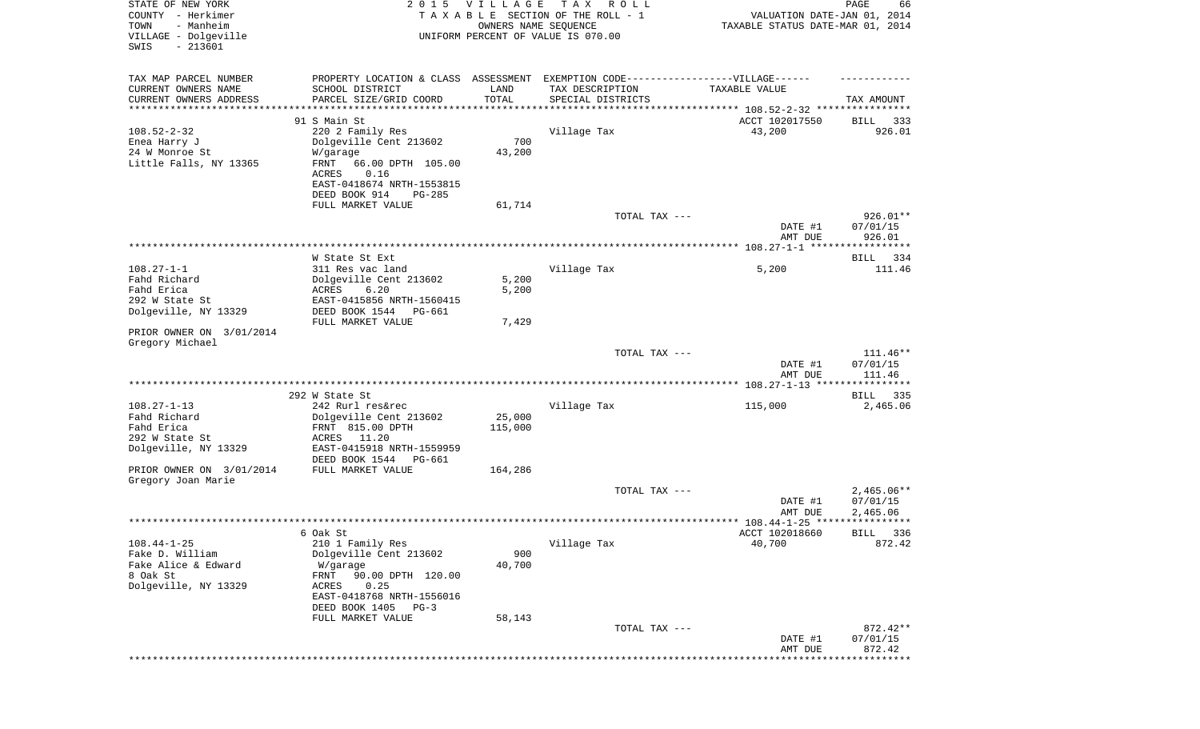| STATE OF NEW YORK<br>COUNTY - Herkimer<br>TOWN<br>- Manheim<br>VILLAGE - Dolgeville<br>SWIS<br>$-213601$ | 2 0 1 5                                                                                                                                                                                             | <b>VILLAGE</b><br>OWNERS NAME SEQUENCE | T A X<br>R O L L<br>TAXABLE SECTION OF THE ROLL - 1<br>UNIFORM PERCENT OF VALUE IS 070.00                                 | VALUATION DATE-JAN 01, 2014<br>TAXABLE STATUS DATE-MAR 01, 2014 | PAGE<br>66                       |
|----------------------------------------------------------------------------------------------------------|-----------------------------------------------------------------------------------------------------------------------------------------------------------------------------------------------------|----------------------------------------|---------------------------------------------------------------------------------------------------------------------------|-----------------------------------------------------------------|----------------------------------|
| TAX MAP PARCEL NUMBER<br>CURRENT OWNERS NAME<br>CURRENT OWNERS ADDRESS<br>**********************         | SCHOOL DISTRICT<br>PARCEL SIZE/GRID COORD<br>*******************                                                                                                                                    | LAND<br>TOTAL                          | PROPERTY LOCATION & CLASS ASSESSMENT EXEMPTION CODE-----------------VILLAGE------<br>TAX DESCRIPTION<br>SPECIAL DISTRICTS | TAXABLE VALUE                                                   | TAX AMOUNT                       |
| $108.52 - 2 - 32$<br>Enea Harry J<br>24 W Monroe St<br>Little Falls, NY 13365                            | 91 S Main St<br>220 2 Family Res<br>Dolgeville Cent 213602<br>W/garage<br>FRNT<br>66.00 DPTH 105.00<br>ACRES<br>0.16<br>EAST-0418674 NRTH-1553815<br>DEED BOOK 914<br>$PG-285$<br>FULL MARKET VALUE | 700<br>43,200<br>61,714                | Village Tax                                                                                                               | ACCT 102017550<br>43,200                                        | 333<br>BILL<br>926.01            |
|                                                                                                          |                                                                                                                                                                                                     |                                        | TOTAL TAX ---                                                                                                             | DATE #1<br>AMT DUE                                              | $926.01**$<br>07/01/15<br>926.01 |
|                                                                                                          |                                                                                                                                                                                                     |                                        |                                                                                                                           |                                                                 |                                  |
| $108.27 - 1 - 1$<br>Fahd Richard<br>Fahd Erica<br>292 W State St<br>Dolgeville, NY 13329                 | W State St Ext<br>311 Res vac land<br>Dolgeville Cent 213602<br>ACRES<br>6.20<br>EAST-0415856 NRTH-1560415<br>DEED BOOK 1544<br>PG-661                                                              | 5,200<br>5,200                         | Village Tax                                                                                                               | 5,200                                                           | <b>BILL</b><br>334<br>111.46     |
| PRIOR OWNER ON 3/01/2014<br>Gregory Michael                                                              | FULL MARKET VALUE                                                                                                                                                                                   | 7,429                                  |                                                                                                                           |                                                                 |                                  |
|                                                                                                          |                                                                                                                                                                                                     |                                        | TOTAL TAX ---                                                                                                             | DATE #1<br>AMT DUE                                              | $111.46**$<br>07/01/15<br>111.46 |
|                                                                                                          |                                                                                                                                                                                                     |                                        |                                                                                                                           |                                                                 |                                  |
| $108.27 - 1 - 13$<br>Fahd Richard<br>Fahd Erica<br>292 W State St<br>Dolgeville, NY 13329                | 292 W State St<br>242 Rurl res&rec<br>Dolgeville Cent 213602<br>FRNT 815.00 DPTH<br>ACRES<br>11.20<br>EAST-0415918 NRTH-1559959<br>DEED BOOK 1544<br>PG-661                                         | 25,000<br>115,000                      | Village Tax                                                                                                               | 115,000                                                         | BILL 335<br>2,465.06             |
| PRIOR OWNER ON 3/01/2014<br>Gregory Joan Marie                                                           | FULL MARKET VALUE                                                                                                                                                                                   | 164,286                                | TOTAL TAX ---                                                                                                             |                                                                 | $2,465.06**$                     |
|                                                                                                          |                                                                                                                                                                                                     |                                        |                                                                                                                           | DATE #1<br>AMT DUE                                              | 07/01/15<br>2,465.06             |
|                                                                                                          |                                                                                                                                                                                                     |                                        |                                                                                                                           |                                                                 |                                  |
| $108.44 - 1 - 25$<br>Fake D. William<br>Fake Alice & Edward<br>8 Oak St<br>Dolgeville, NY 13329          | 6 Oak St<br>210 1 Family Res<br>Dolgeville Cent 213602<br>W/garage<br>90.00 DPTH 120.00<br>FRNT<br>ACRES<br>0.25<br>EAST-0418768 NRTH-1556016<br>DEED BOOK 1405<br>$PG-3$                           | 900<br>40,700                          | Village Tax                                                                                                               | ACCT 102018660<br>40,700                                        | BILL 336<br>872.42               |
|                                                                                                          | FULL MARKET VALUE                                                                                                                                                                                   | 58,143                                 | TOTAL TAX ---                                                                                                             | DATE #1<br>AMT DUE                                              | $872.42**$<br>07/01/15<br>872.42 |
|                                                                                                          |                                                                                                                                                                                                     |                                        |                                                                                                                           |                                                                 | ********                         |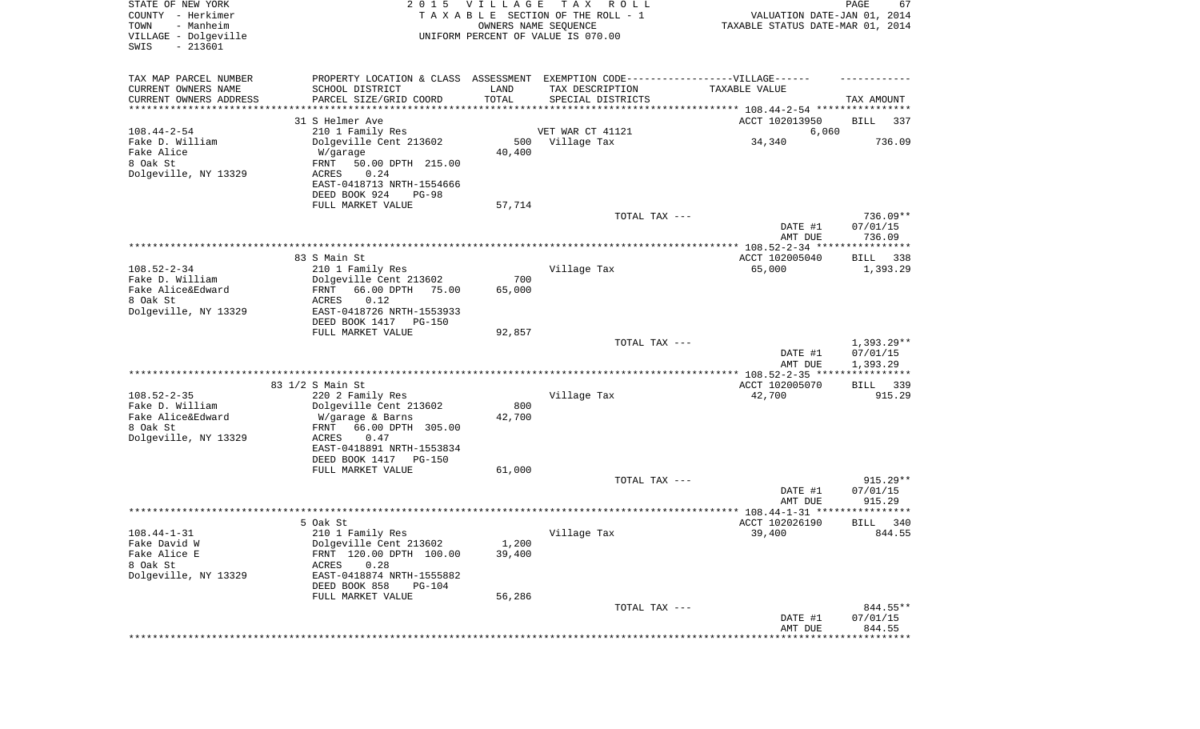| STATE OF NEW YORK<br>COUNTY - Herkimer<br>- Manheim<br>TOWN<br>VILLAGE - Dolgeville<br>$-213601$<br>SWIS | 2 0 1 5                                                                          | VILLAGE<br>OWNERS NAME SEQUENCE | T A X<br>R O L L<br>TAXABLE SECTION OF THE ROLL - 1<br>UNIFORM PERCENT OF VALUE IS 070.00 | VALUATION DATE-JAN 01, 2014<br>TAXABLE STATUS DATE-MAR 01, 2014 | PAGE<br>67              |
|----------------------------------------------------------------------------------------------------------|----------------------------------------------------------------------------------|---------------------------------|-------------------------------------------------------------------------------------------|-----------------------------------------------------------------|-------------------------|
| TAX MAP PARCEL NUMBER                                                                                    | PROPERTY LOCATION & CLASS ASSESSMENT EXEMPTION CODE----------------VILLAGE------ |                                 |                                                                                           |                                                                 |                         |
| CURRENT OWNERS NAME                                                                                      | SCHOOL DISTRICT                                                                  | LAND                            | TAX DESCRIPTION                                                                           | TAXABLE VALUE                                                   |                         |
| CURRENT OWNERS ADDRESS<br>*********************                                                          | PARCEL SIZE/GRID COORD                                                           | TOTAL                           | SPECIAL DISTRICTS                                                                         |                                                                 | TAX AMOUNT              |
|                                                                                                          | 31 S Helmer Ave                                                                  |                                 |                                                                                           | ACCT 102013950                                                  | BILL<br>337             |
| $108.44 - 2 - 54$                                                                                        | 210 1 Family Res                                                                 |                                 | VET WAR CT 41121                                                                          | 6,060                                                           |                         |
| Fake D. William                                                                                          | Dolgeville Cent 213602                                                           |                                 | 500 Village Tax                                                                           | 34,340                                                          | 736.09                  |
| Fake Alice                                                                                               | W/garage                                                                         | 40,400                          |                                                                                           |                                                                 |                         |
| 8 Oak St                                                                                                 | FRNT<br>50.00 DPTH 215.00                                                        |                                 |                                                                                           |                                                                 |                         |
| Dolgeville, NY 13329                                                                                     | 0.24<br>ACRES<br>EAST-0418713 NRTH-1554666                                       |                                 |                                                                                           |                                                                 |                         |
|                                                                                                          | DEED BOOK 924<br><b>PG-98</b>                                                    |                                 |                                                                                           |                                                                 |                         |
|                                                                                                          | FULL MARKET VALUE                                                                | 57,714                          |                                                                                           |                                                                 |                         |
|                                                                                                          |                                                                                  |                                 | TOTAL TAX ---                                                                             |                                                                 | 736.09**                |
|                                                                                                          |                                                                                  |                                 |                                                                                           | DATE #1                                                         | 07/01/15                |
|                                                                                                          |                                                                                  |                                 |                                                                                           | AMT DUE                                                         | 736.09                  |
|                                                                                                          | 83 S Main St                                                                     |                                 |                                                                                           | ACCT 102005040                                                  | BILL<br>338             |
| $108.52 - 2 - 34$                                                                                        | 210 1 Family Res                                                                 |                                 | Village Tax                                                                               | 65,000                                                          | 1,393.29                |
| Fake D. William                                                                                          | Dolgeville Cent 213602                                                           | 700                             |                                                                                           |                                                                 |                         |
| Fake Alice&Edward                                                                                        | FRNT<br>66.00 DPTH<br>75.00                                                      | 65,000                          |                                                                                           |                                                                 |                         |
| 8 Oak St<br>Dolgeville, NY 13329                                                                         | ACRES<br>0.12                                                                    |                                 |                                                                                           |                                                                 |                         |
|                                                                                                          | EAST-0418726 NRTH-1553933<br>DEED BOOK 1417<br>PG-150                            |                                 |                                                                                           |                                                                 |                         |
|                                                                                                          | FULL MARKET VALUE                                                                | 92,857                          |                                                                                           |                                                                 |                         |
|                                                                                                          |                                                                                  |                                 | TOTAL TAX ---                                                                             |                                                                 | $1,393.29**$            |
|                                                                                                          |                                                                                  |                                 |                                                                                           | DATE #1                                                         | 07/01/15                |
|                                                                                                          |                                                                                  |                                 |                                                                                           | AMT DUE<br>************ 108.52-2-35 *****                       | 1,393.29<br>*********** |
|                                                                                                          | 83 1/2 S Main St                                                                 |                                 |                                                                                           | ACCT 102005070                                                  | <b>BILL</b><br>339      |
| $108.52 - 2 - 35$                                                                                        | 220 2 Family Res                                                                 |                                 | Village Tax                                                                               | 42,700                                                          | 915.29                  |
| Fake D. William                                                                                          | Dolgeville Cent 213602                                                           | 800                             |                                                                                           |                                                                 |                         |
| Fake Alice&Edward                                                                                        | W/garage & Barns                                                                 | 42,700                          |                                                                                           |                                                                 |                         |
| 8 Oak St                                                                                                 | 66.00 DPTH 305.00<br>FRNT                                                        |                                 |                                                                                           |                                                                 |                         |
| Dolgeville, NY 13329                                                                                     | ACRES<br>0.47<br>EAST-0418891 NRTH-1553834                                       |                                 |                                                                                           |                                                                 |                         |
|                                                                                                          | DEED BOOK 1417 PG-150                                                            |                                 |                                                                                           |                                                                 |                         |
|                                                                                                          | FULL MARKET VALUE                                                                | 61,000                          |                                                                                           |                                                                 |                         |
|                                                                                                          |                                                                                  |                                 | TOTAL TAX ---                                                                             |                                                                 | $915.29**$              |
|                                                                                                          |                                                                                  |                                 |                                                                                           | DATE #1                                                         | 07/01/15                |
|                                                                                                          |                                                                                  |                                 |                                                                                           | AMT DUE                                                         | 915.29<br>*****         |
|                                                                                                          | 5 Oak St                                                                         |                                 |                                                                                           | ACCT 102026190                                                  | 340<br>BILL             |
| 108.44-1-31                                                                                              | 210 1 Family Res                                                                 |                                 | Village Tax                                                                               | 39,400                                                          | 844.55                  |
| Fake David W                                                                                             | Dolgeville Cent 213602                                                           | 1,200                           |                                                                                           |                                                                 |                         |
| Fake Alice E                                                                                             | FRNT 120.00 DPTH 100.00                                                          | 39,400                          |                                                                                           |                                                                 |                         |
| 8 Oak St                                                                                                 | ACRES<br>0.28<br>EAST-0418874 NRTH-1555882                                       |                                 |                                                                                           |                                                                 |                         |
| Dolgeville, NY 13329                                                                                     | DEED BOOK 858<br><b>PG-104</b>                                                   |                                 |                                                                                           |                                                                 |                         |
|                                                                                                          | FULL MARKET VALUE                                                                | 56,286                          |                                                                                           |                                                                 |                         |
|                                                                                                          |                                                                                  |                                 | TOTAL TAX ---                                                                             |                                                                 | 844.55**                |
|                                                                                                          |                                                                                  |                                 |                                                                                           | DATE #1                                                         | 07/01/15                |
|                                                                                                          |                                                                                  |                                 |                                                                                           | AMT DUE                                                         | 844.55<br>**********    |
|                                                                                                          |                                                                                  |                                 |                                                                                           |                                                                 |                         |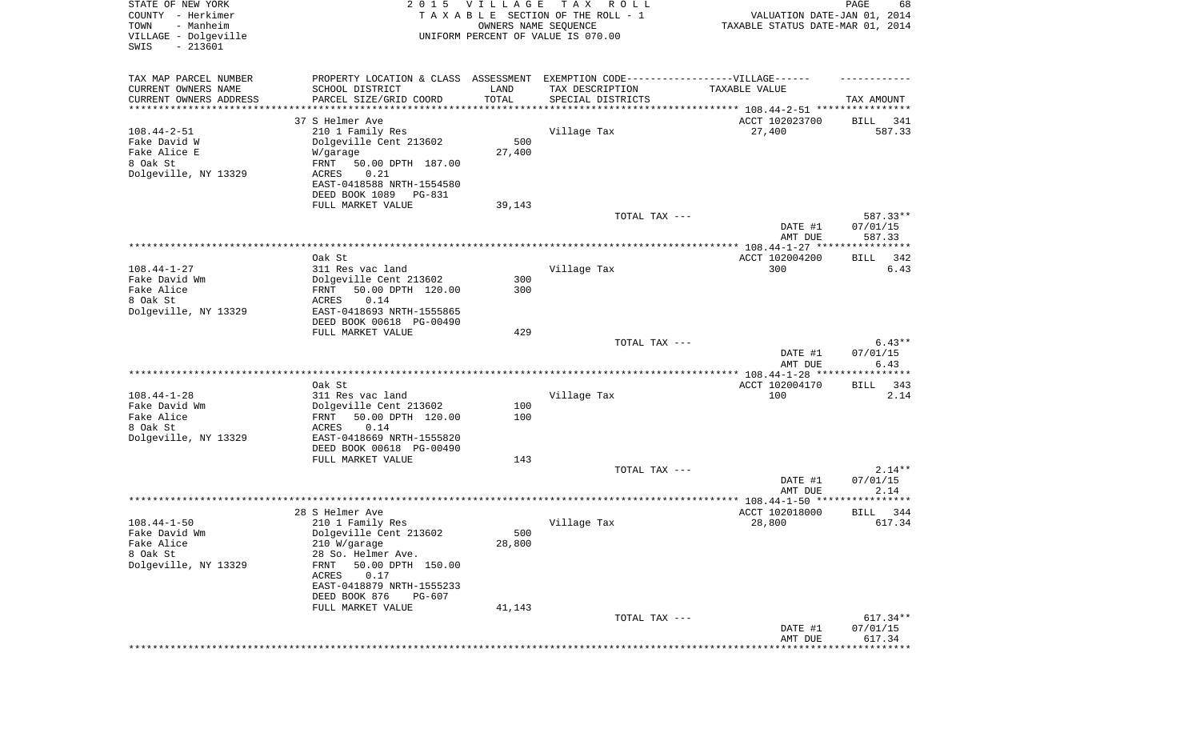| STATE OF NEW YORK<br>COUNTY - Herkimer<br>- Manheim<br>TOWN<br>VILLAGE - Dolgeville<br>SWIS<br>$-213601$ | 2 0 1 5                                                                          | <b>VILLAGE</b><br>OWNERS NAME SEQUENCE | T A X<br>R O L L<br>TAXABLE SECTION OF THE ROLL - 1<br>UNIFORM PERCENT OF VALUE IS 070.00 | VALUATION DATE-JAN 01, 2014<br>TAXABLE STATUS DATE-MAR 01, 2014   | PAGE<br>68                  |
|----------------------------------------------------------------------------------------------------------|----------------------------------------------------------------------------------|----------------------------------------|-------------------------------------------------------------------------------------------|-------------------------------------------------------------------|-----------------------------|
| TAX MAP PARCEL NUMBER                                                                                    | PROPERTY LOCATION & CLASS ASSESSMENT EXEMPTION CODE----------------VILLAGE------ |                                        |                                                                                           |                                                                   |                             |
| CURRENT OWNERS NAME<br>CURRENT OWNERS ADDRESS                                                            | SCHOOL DISTRICT<br>PARCEL SIZE/GRID COORD                                        | LAND<br>TOTAL                          | TAX DESCRIPTION<br>SPECIAL DISTRICTS                                                      | TAXABLE VALUE                                                     | TAX AMOUNT                  |
| ********************                                                                                     |                                                                                  | *********                              |                                                                                           | ************************************ 108.44-2-51 **************** |                             |
|                                                                                                          | 37 S Helmer Ave                                                                  |                                        |                                                                                           | ACCT 102023700                                                    | BILL<br>341                 |
| $108.44 - 2 - 51$                                                                                        | 210 1 Family Res                                                                 |                                        | Village Tax                                                                               | 27,400                                                            | 587.33                      |
| Fake David W<br>Fake Alice E                                                                             | Dolgeville Cent 213602                                                           | 500<br>27,400                          |                                                                                           |                                                                   |                             |
| 8 Oak St                                                                                                 | W/garage<br>FRNT<br>50.00 DPTH 187.00                                            |                                        |                                                                                           |                                                                   |                             |
| Dolgeville, NY 13329                                                                                     | ACRES<br>0.21                                                                    |                                        |                                                                                           |                                                                   |                             |
|                                                                                                          | EAST-0418588 NRTH-1554580                                                        |                                        |                                                                                           |                                                                   |                             |
|                                                                                                          | DEED BOOK 1089<br>PG-831<br>FULL MARKET VALUE                                    | 39,143                                 |                                                                                           |                                                                   |                             |
|                                                                                                          |                                                                                  |                                        | TOTAL TAX ---                                                                             |                                                                   | 587.33**                    |
|                                                                                                          |                                                                                  |                                        |                                                                                           | DATE #1                                                           | 07/01/15                    |
|                                                                                                          |                                                                                  |                                        |                                                                                           | AMT DUE                                                           | 587.33                      |
|                                                                                                          | Oak St                                                                           |                                        |                                                                                           | ACCT 102004200                                                    | BILL<br>342                 |
| $108.44 - 1 - 27$<br>Fake David Wm                                                                       | 311 Res vac land<br>Dolgeville Cent 213602                                       | 300                                    | Village Tax                                                                               | 300                                                               | 6.43                        |
| Fake Alice                                                                                               | 50.00 DPTH 120.00<br>FRNT                                                        | 300                                    |                                                                                           |                                                                   |                             |
| 8 Oak St                                                                                                 | ACRES<br>0.14                                                                    |                                        |                                                                                           |                                                                   |                             |
| Dolgeville, NY 13329                                                                                     | EAST-0418693 NRTH-1555865                                                        |                                        |                                                                                           |                                                                   |                             |
|                                                                                                          | DEED BOOK 00618 PG-00490<br>FULL MARKET VALUE                                    | 429                                    |                                                                                           |                                                                   |                             |
|                                                                                                          |                                                                                  |                                        | TOTAL TAX ---                                                                             |                                                                   | $6.43**$                    |
|                                                                                                          |                                                                                  |                                        |                                                                                           | DATE #1                                                           | 07/01/15                    |
|                                                                                                          |                                                                                  |                                        |                                                                                           | AMT DUE<br>*************** 108.44-1-28 ***                        | 6.43<br>* * * * * * * * * * |
|                                                                                                          | Oak St                                                                           |                                        |                                                                                           | ACCT 102004170                                                    | 343<br>BILL                 |
| $108.44 - 1 - 28$                                                                                        | 311 Res vac land                                                                 |                                        | Village Tax                                                                               | 100                                                               | 2.14                        |
| Fake David Wm                                                                                            | Dolgeville Cent 213602                                                           | 100                                    |                                                                                           |                                                                   |                             |
| Fake Alice<br>8 Oak St                                                                                   | 50.00 DPTH 120.00<br>FRNT<br>ACRES<br>0.14                                       | 100                                    |                                                                                           |                                                                   |                             |
| Dolgeville, NY 13329                                                                                     | EAST-0418669 NRTH-1555820                                                        |                                        |                                                                                           |                                                                   |                             |
|                                                                                                          | DEED BOOK 00618 PG-00490                                                         |                                        |                                                                                           |                                                                   |                             |
|                                                                                                          | FULL MARKET VALUE                                                                | 143                                    |                                                                                           |                                                                   |                             |
|                                                                                                          |                                                                                  |                                        | TOTAL TAX ---                                                                             | DATE #1                                                           | $2.14**$<br>07/01/15        |
|                                                                                                          |                                                                                  |                                        |                                                                                           | AMT DUE                                                           | 2.14                        |
|                                                                                                          |                                                                                  |                                        |                                                                                           |                                                                   |                             |
|                                                                                                          | 28 S Helmer Ave                                                                  |                                        |                                                                                           | ACCT 102018000                                                    | 344<br>BILL                 |
| $108.44 - 1 - 50$<br>Fake David Wm                                                                       | 210 1 Family Res<br>Dolgeville Cent 213602                                       | 500                                    | Village Tax                                                                               | 28,800                                                            | 617.34                      |
| Fake Alice                                                                                               | 210 W/garage                                                                     | 28,800                                 |                                                                                           |                                                                   |                             |
| 8 Oak St                                                                                                 | 28 So. Helmer Ave.                                                               |                                        |                                                                                           |                                                                   |                             |
| Dolgeville, NY 13329                                                                                     | 50.00 DPTH 150.00<br>FRNT                                                        |                                        |                                                                                           |                                                                   |                             |
|                                                                                                          | 0.17<br>ACRES<br>EAST-0418879 NRTH-1555233                                       |                                        |                                                                                           |                                                                   |                             |
|                                                                                                          | DEED BOOK 876<br>PG-607                                                          |                                        |                                                                                           |                                                                   |                             |
|                                                                                                          | FULL MARKET VALUE                                                                | 41,143                                 |                                                                                           |                                                                   |                             |
|                                                                                                          |                                                                                  |                                        | TOTAL TAX ---                                                                             |                                                                   | $617.34**$                  |
|                                                                                                          |                                                                                  |                                        |                                                                                           | DATE #1<br>AMT DUE                                                | 07/01/15<br>617.34          |
|                                                                                                          |                                                                                  |                                        |                                                                                           |                                                                   | *********                   |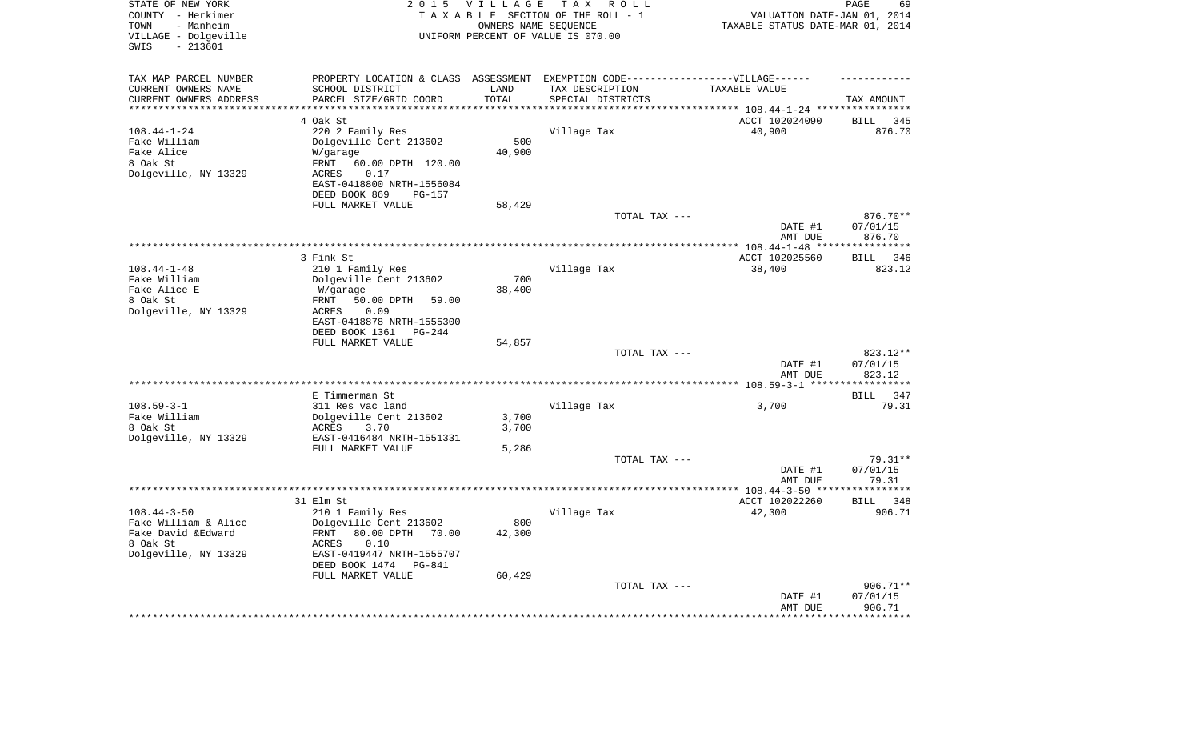| STATE OF NEW YORK<br>COUNTY - Herkimer<br>- Manheim<br>TOWN<br>VILLAGE - Dolgeville<br>$-213601$<br>SWIS | 2 0 1 5                                                      | <b>VILLAGE</b><br>OWNERS NAME SEQUENCE | T A X<br>R O L L<br>TAXABLE SECTION OF THE ROLL - 1<br>UNIFORM PERCENT OF VALUE IS 070.00 | VALUATION DATE-JAN 01, 2014<br>TAXABLE STATUS DATE-MAR 01, 2014 | PAGE<br>69                      |
|----------------------------------------------------------------------------------------------------------|--------------------------------------------------------------|----------------------------------------|-------------------------------------------------------------------------------------------|-----------------------------------------------------------------|---------------------------------|
| TAX MAP PARCEL NUMBER                                                                                    | PROPERTY LOCATION & CLASS ASSESSMENT                         |                                        | EXEMPTION CODE-----------------VILLAGE------                                              |                                                                 |                                 |
| CURRENT OWNERS NAME                                                                                      | SCHOOL DISTRICT                                              | LAND                                   | TAX DESCRIPTION                                                                           | TAXABLE VALUE                                                   |                                 |
| CURRENT OWNERS ADDRESS                                                                                   | PARCEL SIZE/GRID COORD                                       | TOTAL                                  | SPECIAL DISTRICTS                                                                         |                                                                 | TAX AMOUNT                      |
| **********************                                                                                   | *************************                                    | **************                         |                                                                                           |                                                                 |                                 |
|                                                                                                          | 4 Oak St                                                     |                                        |                                                                                           | ACCT 102024090                                                  | <b>BILL</b><br>345              |
| $108.44 - 1 - 24$                                                                                        | 220 2 Family Res<br>Dolgeville Cent 213602                   | 500                                    | Village Tax                                                                               | 40,900                                                          | 876.70                          |
| Fake William<br>Fake Alice                                                                               | W/garage                                                     | 40,900                                 |                                                                                           |                                                                 |                                 |
| 8 Oak St                                                                                                 | 60.00 DPTH 120.00<br>FRNT                                    |                                        |                                                                                           |                                                                 |                                 |
| Dolgeville, NY 13329                                                                                     | ACRES<br>0.17                                                |                                        |                                                                                           |                                                                 |                                 |
|                                                                                                          | EAST-0418800 NRTH-1556084                                    |                                        |                                                                                           |                                                                 |                                 |
|                                                                                                          | DEED BOOK 869<br><b>PG-157</b>                               |                                        |                                                                                           |                                                                 |                                 |
|                                                                                                          | FULL MARKET VALUE                                            | 58,429                                 |                                                                                           |                                                                 |                                 |
|                                                                                                          |                                                              |                                        | TOTAL TAX ---                                                                             |                                                                 | 876.70**                        |
|                                                                                                          |                                                              |                                        |                                                                                           | DATE #1                                                         | 07/01/15                        |
|                                                                                                          |                                                              |                                        |                                                                                           | AMT DUE                                                         | 876.70<br>* * * * * * * * * * * |
|                                                                                                          | 3 Fink St                                                    |                                        |                                                                                           | ACCT 102025560                                                  | 346<br>BILL                     |
| $108.44 - 1 - 48$                                                                                        | 210 1 Family Res                                             |                                        | Village Tax                                                                               | 38,400                                                          | 823.12                          |
| Fake William                                                                                             | Dolgeville Cent 213602                                       | 700                                    |                                                                                           |                                                                 |                                 |
| Fake Alice E                                                                                             | W/garage                                                     | 38,400                                 |                                                                                           |                                                                 |                                 |
| 8 Oak St                                                                                                 | <b>FRNT</b><br>50.00 DPTH<br>59.00                           |                                        |                                                                                           |                                                                 |                                 |
| Dolgeville, NY 13329                                                                                     | 0.09<br>ACRES                                                |                                        |                                                                                           |                                                                 |                                 |
|                                                                                                          | EAST-0418878 NRTH-1555300                                    |                                        |                                                                                           |                                                                 |                                 |
|                                                                                                          | DEED BOOK 1361<br>PG-244<br>FULL MARKET VALUE                | 54,857                                 |                                                                                           |                                                                 |                                 |
|                                                                                                          |                                                              |                                        | TOTAL TAX ---                                                                             |                                                                 | 823.12**                        |
|                                                                                                          |                                                              |                                        |                                                                                           | DATE #1                                                         | 07/01/15                        |
|                                                                                                          |                                                              |                                        |                                                                                           | AMT DUE                                                         | 823.12                          |
|                                                                                                          |                                                              |                                        |                                                                                           |                                                                 | * * * * * * * * *               |
|                                                                                                          | E Timmerman St                                               |                                        |                                                                                           |                                                                 | <b>BILL</b><br>347              |
| $108.59 - 3 - 1$                                                                                         | 311 Res vac land                                             |                                        | Village Tax                                                                               | 3,700                                                           | 79.31                           |
| Fake William                                                                                             | Dolgeville Cent 213602                                       | 3,700                                  |                                                                                           |                                                                 |                                 |
| 8 Oak St                                                                                                 | ACRES<br>3.70<br>EAST-0416484 NRTH-1551331                   | 3,700                                  |                                                                                           |                                                                 |                                 |
| Dolgeville, NY 13329                                                                                     | FULL MARKET VALUE                                            | 5,286                                  |                                                                                           |                                                                 |                                 |
|                                                                                                          |                                                              |                                        | TOTAL TAX ---                                                                             |                                                                 | 79.31**                         |
|                                                                                                          |                                                              |                                        |                                                                                           | DATE #1                                                         | 07/01/15                        |
|                                                                                                          |                                                              |                                        |                                                                                           | AMT DUE                                                         | 79.31                           |
|                                                                                                          |                                                              |                                        |                                                                                           |                                                                 | * * * * * * * * * * *           |
|                                                                                                          | 31 Elm St                                                    |                                        |                                                                                           | ACCT 102022260                                                  | BILL 348                        |
| $108.44 - 3 - 50$                                                                                        | 210 1 Family Res                                             |                                        | Village Tax                                                                               | 42,300                                                          | 906.71                          |
| Fake William & Alice<br>Fake David & Edward                                                              | Dolgeville Cent 213602<br>80.00 DPTH<br><b>FRNT</b><br>70.00 | 800<br>42,300                          |                                                                                           |                                                                 |                                 |
| 8 Oak St                                                                                                 | ACRES<br>0.10                                                |                                        |                                                                                           |                                                                 |                                 |
| Dolgeville, NY 13329                                                                                     | EAST-0419447 NRTH-1555707                                    |                                        |                                                                                           |                                                                 |                                 |
|                                                                                                          | DEED BOOK 1474<br>PG-841                                     |                                        |                                                                                           |                                                                 |                                 |
|                                                                                                          | FULL MARKET VALUE                                            | 60,429                                 |                                                                                           |                                                                 |                                 |
|                                                                                                          |                                                              |                                        | TOTAL TAX ---                                                                             |                                                                 | 906.71**                        |
|                                                                                                          |                                                              |                                        |                                                                                           | DATE #1                                                         | 07/01/15                        |
|                                                                                                          |                                                              |                                        |                                                                                           | AMT DUE                                                         | 906.71<br>*********             |
|                                                                                                          |                                                              |                                        |                                                                                           |                                                                 |                                 |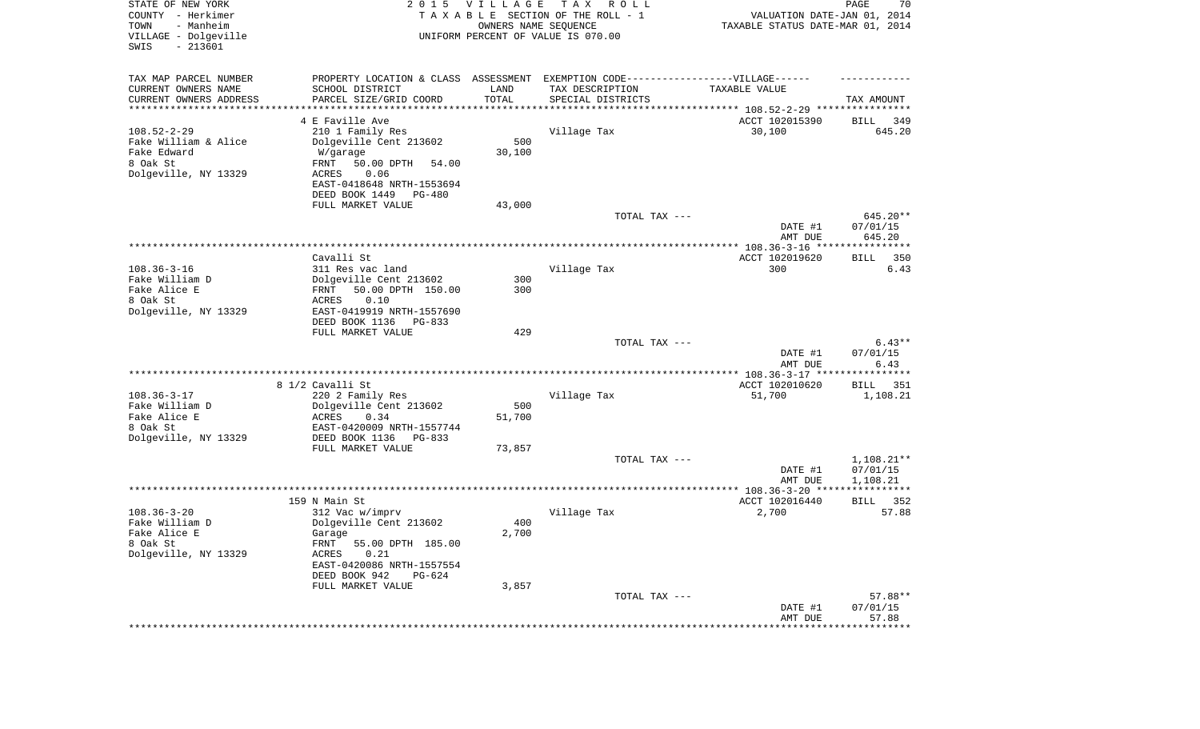| STATE OF NEW YORK<br>COUNTY - Herkimer<br>- Manheim<br>TOWN<br>VILLAGE - Dolgeville<br>$-213601$<br>SWIS | 2 0 1 5                                             | <b>VILLAGE</b><br>OWNERS NAME SEQUENCE | T A X<br>R O L L<br>TAXABLE SECTION OF THE ROLL - 1<br>UNIFORM PERCENT OF VALUE IS 070.00 | VALUATION DATE-JAN 01, 2014<br>TAXABLE STATUS DATE-MAR 01, 2014 | PAGE<br>70           |
|----------------------------------------------------------------------------------------------------------|-----------------------------------------------------|----------------------------------------|-------------------------------------------------------------------------------------------|-----------------------------------------------------------------|----------------------|
| TAX MAP PARCEL NUMBER                                                                                    | PROPERTY LOCATION & CLASS ASSESSMENT                |                                        | EXEMPTION CODE------------------VILLAGE------                                             |                                                                 |                      |
| CURRENT OWNERS NAME                                                                                      | SCHOOL DISTRICT                                     | LAND                                   | TAX DESCRIPTION                                                                           | TAXABLE VALUE                                                   |                      |
| CURRENT OWNERS ADDRESS                                                                                   | PARCEL SIZE/GRID COORD                              | TOTAL                                  | SPECIAL DISTRICTS                                                                         |                                                                 | TAX AMOUNT           |
| *********************                                                                                    | 4 E Faville Ave                                     |                                        |                                                                                           | ACCT 102015390                                                  | BILL<br>349          |
| $108.52 - 2 - 29$                                                                                        | 210 1 Family Res                                    |                                        | Village Tax                                                                               | 30,100                                                          | 645.20               |
| Fake William & Alice                                                                                     | Dolgeville Cent 213602                              | 500                                    |                                                                                           |                                                                 |                      |
| Fake Edward                                                                                              | W/garage                                            | 30,100                                 |                                                                                           |                                                                 |                      |
| 8 Oak St                                                                                                 | FRNT<br>50.00 DPTH<br>54.00                         |                                        |                                                                                           |                                                                 |                      |
| Dolgeville, NY 13329                                                                                     | 0.06<br>ACRES                                       |                                        |                                                                                           |                                                                 |                      |
|                                                                                                          | EAST-0418648 NRTH-1553694                           |                                        |                                                                                           |                                                                 |                      |
|                                                                                                          | DEED BOOK 1449<br>PG-480<br>FULL MARKET VALUE       | 43,000                                 |                                                                                           |                                                                 |                      |
|                                                                                                          |                                                     |                                        | TOTAL TAX ---                                                                             |                                                                 | 645.20**             |
|                                                                                                          |                                                     |                                        |                                                                                           | DATE #1<br>AMT DUE                                              | 07/01/15<br>645.20   |
|                                                                                                          |                                                     |                                        |                                                                                           |                                                                 |                      |
|                                                                                                          | Cavalli St                                          |                                        |                                                                                           | ACCT 102019620                                                  | 350<br>BILL          |
| $108.36 - 3 - 16$<br>Fake William D                                                                      | 311 Res vac land                                    |                                        | Village Tax                                                                               | 300                                                             | 6.43                 |
| Fake Alice E                                                                                             | Dolgeville Cent 213602<br>FRNT<br>50.00 DPTH 150.00 | 300<br>300                             |                                                                                           |                                                                 |                      |
| 8 Oak St                                                                                                 | 0.10<br>ACRES                                       |                                        |                                                                                           |                                                                 |                      |
| Dolgeville, NY 13329                                                                                     | EAST-0419919 NRTH-1557690                           |                                        |                                                                                           |                                                                 |                      |
|                                                                                                          | DEED BOOK 1136<br>$PG-833$                          |                                        |                                                                                           |                                                                 |                      |
|                                                                                                          | FULL MARKET VALUE                                   | 429                                    |                                                                                           |                                                                 |                      |
|                                                                                                          |                                                     |                                        | TOTAL TAX ---                                                                             | DATE #1                                                         | $6.43**$<br>07/01/15 |
|                                                                                                          |                                                     |                                        |                                                                                           | AMT DUE                                                         | 6.43                 |
|                                                                                                          |                                                     |                                        |                                                                                           | *************** 108.36-3-17 *****                               | ***********          |
|                                                                                                          | 8 1/2 Cavalli St                                    |                                        |                                                                                           | ACCT 102010620                                                  | 351<br>BILL          |
| $108.36 - 3 - 17$                                                                                        | 220 2 Family Res                                    |                                        | Village Tax                                                                               | 51,700                                                          | 1,108.21             |
| Fake William D<br>Fake Alice E                                                                           | Dolgeville Cent 213602<br>ACRES<br>0.34             | 500                                    |                                                                                           |                                                                 |                      |
| 8 Oak St                                                                                                 | EAST-0420009 NRTH-1557744                           | 51,700                                 |                                                                                           |                                                                 |                      |
| Dolgeville, NY 13329                                                                                     | DEED BOOK 1136<br>PG-833                            |                                        |                                                                                           |                                                                 |                      |
|                                                                                                          | FULL MARKET VALUE                                   | 73,857                                 |                                                                                           |                                                                 |                      |
|                                                                                                          |                                                     |                                        | TOTAL TAX ---                                                                             |                                                                 | $1,108.21**$         |
|                                                                                                          |                                                     |                                        |                                                                                           | DATE #1                                                         | 07/01/15             |
|                                                                                                          |                                                     |                                        |                                                                                           | AMT DUE                                                         | 1,108.21             |
|                                                                                                          | 159 N Main St                                       |                                        |                                                                                           | ACCT 102016440                                                  | <b>BILL</b> 352      |
| $108.36 - 3 - 20$                                                                                        | 312 Vac w/imprv                                     |                                        | Village Tax                                                                               | 2,700                                                           | 57.88                |
| Fake William D                                                                                           | Dolgeville Cent 213602                              | 400                                    |                                                                                           |                                                                 |                      |
| Fake Alice E                                                                                             | Garage                                              | 2,700                                  |                                                                                           |                                                                 |                      |
| 8 Oak St<br>Dolgeville, NY 13329                                                                         | FRNT 55.00 DPTH 185.00                              |                                        |                                                                                           |                                                                 |                      |
|                                                                                                          | ACRES<br>0.21<br>EAST-0420086 NRTH-1557554          |                                        |                                                                                           |                                                                 |                      |
|                                                                                                          | DEED BOOK 942<br>$PG-624$                           |                                        |                                                                                           |                                                                 |                      |
|                                                                                                          | FULL MARKET VALUE                                   | 3,857                                  |                                                                                           |                                                                 |                      |
|                                                                                                          |                                                     |                                        | TOTAL TAX ---                                                                             |                                                                 | 57.88**              |
|                                                                                                          |                                                     |                                        |                                                                                           | DATE #1                                                         | 07/01/15             |
|                                                                                                          |                                                     |                                        |                                                                                           | AMT DUE                                                         | 57.88<br>*********** |
|                                                                                                          |                                                     |                                        |                                                                                           |                                                                 |                      |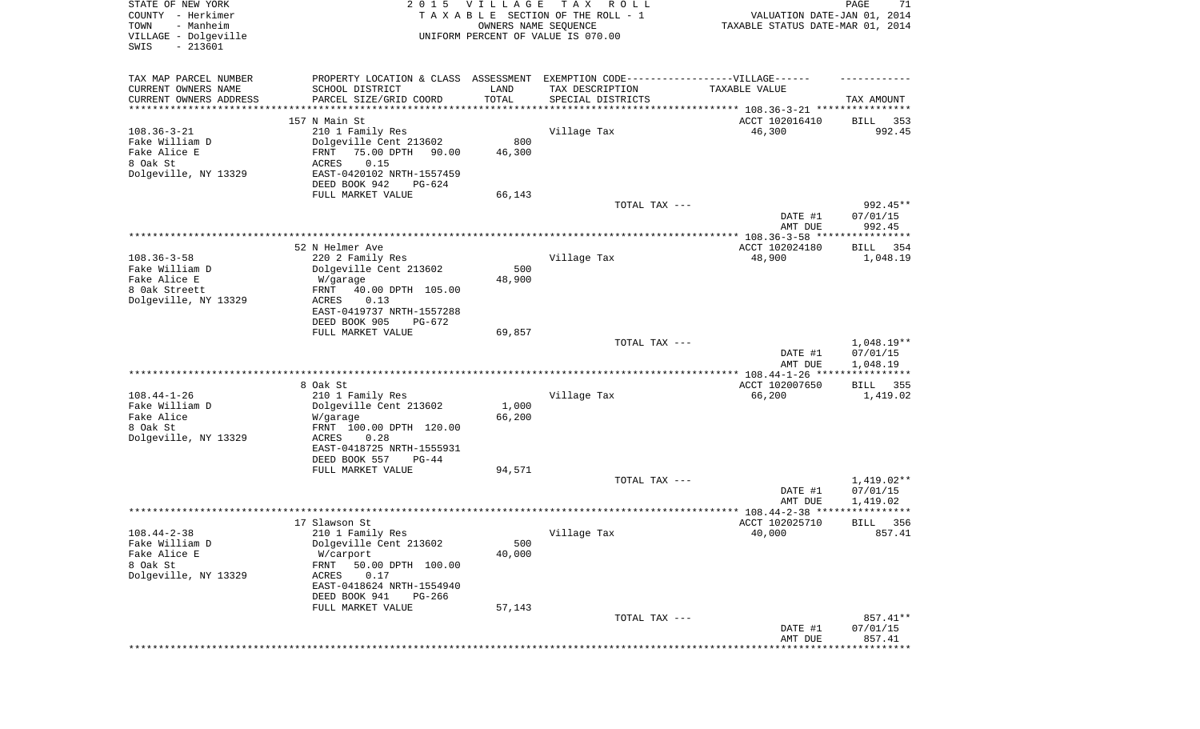| STATE OF NEW YORK<br>COUNTY - Herkimer<br>- Manheim<br>TOWN<br>VILLAGE - Dolgeville<br>SWIS<br>$-213601$ |                                              | 2015 VILLAGE<br>OWNERS NAME SEQUENCE | T A X<br>R O L L<br>TAXABLE SECTION OF THE ROLL - 1<br>UNIFORM PERCENT OF VALUE IS 070.00 | VALUATION DATE-JAN 01, 2014<br>TAXABLE STATUS DATE-MAR 01, 2014 | PAGE<br>71              |
|----------------------------------------------------------------------------------------------------------|----------------------------------------------|--------------------------------------|-------------------------------------------------------------------------------------------|-----------------------------------------------------------------|-------------------------|
| TAX MAP PARCEL NUMBER                                                                                    |                                              |                                      | PROPERTY LOCATION & CLASS ASSESSMENT EXEMPTION CODE-----------------VILLAGE------         |                                                                 |                         |
| CURRENT OWNERS NAME<br>CURRENT OWNERS ADDRESS                                                            | SCHOOL DISTRICT<br>PARCEL SIZE/GRID COORD    | LAND<br>TOTAL                        | TAX DESCRIPTION<br>SPECIAL DISTRICTS                                                      | TAXABLE VALUE                                                   | TAX AMOUNT              |
| ********************                                                                                     | *******************                          | **********                           | ************************************* 108.36-3-21 ****************                        |                                                                 |                         |
| $108.36 - 3 - 21$                                                                                        | 157 N Main St<br>210 1 Family Res            |                                      | Village Tax                                                                               | ACCT 102016410<br>46,300                                        | BILL<br>353<br>992.45   |
| Fake William D                                                                                           | Dolgeville Cent 213602                       | 800                                  |                                                                                           |                                                                 |                         |
| Fake Alice E                                                                                             | 75.00 DPTH<br>FRNT<br>90.00                  | 46,300                               |                                                                                           |                                                                 |                         |
| 8 Oak St                                                                                                 | ACRES<br>0.15                                |                                      |                                                                                           |                                                                 |                         |
| Dolgeville, NY 13329                                                                                     | EAST-0420102 NRTH-1557459                    |                                      |                                                                                           |                                                                 |                         |
|                                                                                                          | DEED BOOK 942<br>PG-624                      |                                      |                                                                                           |                                                                 |                         |
|                                                                                                          | FULL MARKET VALUE                            | 66,143                               |                                                                                           |                                                                 |                         |
|                                                                                                          |                                              |                                      | TOTAL TAX ---                                                                             | DATE #1                                                         | 992.45**<br>07/01/15    |
|                                                                                                          |                                              |                                      |                                                                                           | AMT DUE                                                         | 992.45                  |
|                                                                                                          |                                              |                                      |                                                                                           |                                                                 |                         |
| $108.36 - 3 - 58$                                                                                        | 52 N Helmer Ave<br>220 2 Family Res          |                                      | Village Tax                                                                               | ACCT 102024180<br>48,900                                        | BILL<br>354<br>1,048.19 |
| Fake William D                                                                                           | Dolgeville Cent 213602                       | 500                                  |                                                                                           |                                                                 |                         |
| Fake Alice E                                                                                             | W/garage                                     | 48,900                               |                                                                                           |                                                                 |                         |
| 8 Oak Streett                                                                                            | 40.00 DPTH 105.00<br>FRNT                    |                                      |                                                                                           |                                                                 |                         |
| Dolgeville, NY 13329                                                                                     | 0.13<br>ACRES                                |                                      |                                                                                           |                                                                 |                         |
|                                                                                                          | EAST-0419737 NRTH-1557288                    |                                      |                                                                                           |                                                                 |                         |
|                                                                                                          | DEED BOOK 905<br>PG-672<br>FULL MARKET VALUE |                                      |                                                                                           |                                                                 |                         |
|                                                                                                          |                                              | 69,857                               | TOTAL TAX ---                                                                             |                                                                 | $1,048.19**$            |
|                                                                                                          |                                              |                                      |                                                                                           | DATE #1                                                         | 07/01/15                |
|                                                                                                          |                                              |                                      |                                                                                           | AMT DUE                                                         | 1,048.19                |
|                                                                                                          |                                              |                                      |                                                                                           | ************* 108.44-1-26 ****                                  | * * * * * * * * * * * * |
|                                                                                                          | 8 Oak St                                     |                                      |                                                                                           | ACCT 102007650                                                  | 355<br>BILL             |
| $108.44 - 1 - 26$<br>Fake William D                                                                      | 210 1 Family Res<br>Dolgeville Cent 213602   | 1,000                                | Village Tax                                                                               | 66,200                                                          | 1,419.02                |
| Fake Alice                                                                                               | W/garage                                     | 66,200                               |                                                                                           |                                                                 |                         |
| 8 Oak St                                                                                                 | FRNT 100.00 DPTH 120.00                      |                                      |                                                                                           |                                                                 |                         |
| Dolgeville, NY 13329                                                                                     | ACRES<br>0.28                                |                                      |                                                                                           |                                                                 |                         |
|                                                                                                          | EAST-0418725 NRTH-1555931                    |                                      |                                                                                           |                                                                 |                         |
|                                                                                                          | DEED BOOK 557<br>$PG-44$                     |                                      |                                                                                           |                                                                 |                         |
|                                                                                                          | FULL MARKET VALUE                            | 94,571                               |                                                                                           |                                                                 | $1,419.02**$            |
|                                                                                                          |                                              |                                      | TOTAL TAX ---                                                                             | DATE #1                                                         | 07/01/15                |
|                                                                                                          |                                              |                                      |                                                                                           | AMT DUE                                                         | 1,419.02                |
|                                                                                                          |                                              |                                      |                                                                                           |                                                                 | *****                   |
|                                                                                                          | 17 Slawson St                                |                                      |                                                                                           | ACCT 102025710                                                  | 356<br>BILL             |
| $108.44 - 2 - 38$                                                                                        | 210 1 Family Res                             |                                      | Village Tax                                                                               | 40,000                                                          | 857.41                  |
| Fake William D<br>Fake Alice E                                                                           | Dolgeville Cent 213602                       | 500                                  |                                                                                           |                                                                 |                         |
| 8 Oak St                                                                                                 | W/carport<br>FRNT<br>50.00 DPTH 100.00       | 40,000                               |                                                                                           |                                                                 |                         |
| Dolgeville, NY 13329                                                                                     | ACRES<br>0.17                                |                                      |                                                                                           |                                                                 |                         |
|                                                                                                          | EAST-0418624 NRTH-1554940                    |                                      |                                                                                           |                                                                 |                         |
|                                                                                                          | DEED BOOK 941<br>$PG-266$                    |                                      |                                                                                           |                                                                 |                         |
|                                                                                                          | FULL MARKET VALUE                            | 57,143                               |                                                                                           |                                                                 |                         |
|                                                                                                          |                                              |                                      | TOTAL TAX ---                                                                             |                                                                 | 857.41**                |
|                                                                                                          |                                              |                                      |                                                                                           | DATE #1                                                         | 07/01/15                |
|                                                                                                          |                                              |                                      |                                                                                           | AMT DUE<br>***************************                          | 857.41                  |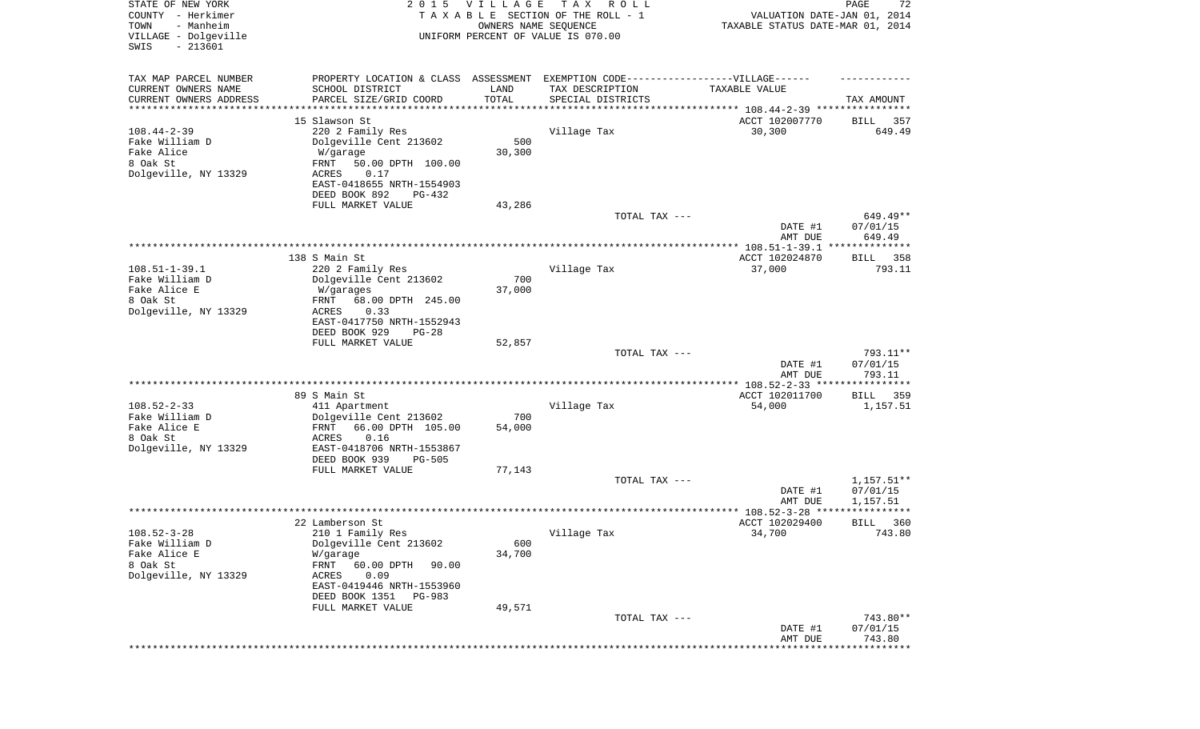| STATE OF NEW YORK<br>COUNTY - Herkimer<br>- Manheim<br>TOWN<br>VILLAGE - Dolgeville<br>SWIS<br>$-213601$ | 2 0 1 5                                   | VILLAGE<br>OWNERS NAME SEQUENCE | T A X<br>R O L L<br>TAXABLE SECTION OF THE ROLL - 1<br>UNIFORM PERCENT OF VALUE IS 070.00 | VALUATION DATE-JAN 01, 2014<br>TAXABLE STATUS DATE-MAR 01, 2014      | PAGE<br>72            |
|----------------------------------------------------------------------------------------------------------|-------------------------------------------|---------------------------------|-------------------------------------------------------------------------------------------|----------------------------------------------------------------------|-----------------------|
| TAX MAP PARCEL NUMBER                                                                                    | PROPERTY LOCATION & CLASS ASSESSMENT      |                                 | EXEMPTION CODE-----------------VILLAGE------                                              |                                                                      |                       |
| CURRENT OWNERS NAME<br>CURRENT OWNERS ADDRESS                                                            | SCHOOL DISTRICT<br>PARCEL SIZE/GRID COORD | LAND<br>TOTAL                   | TAX DESCRIPTION<br>SPECIAL DISTRICTS                                                      | TAXABLE VALUE                                                        | TAX AMOUNT            |
| ********************                                                                                     |                                           |                                 |                                                                                           | ************************************** 108.44-2-39 ***************** |                       |
|                                                                                                          | 15 Slawson St                             |                                 |                                                                                           | ACCT 102007770                                                       | 357<br>BILL           |
| $108.44 - 2 - 39$                                                                                        | 220 2 Family Res                          |                                 | Village Tax                                                                               | 30,300                                                               | 649.49                |
| Fake William D                                                                                           | Dolgeville Cent 213602                    | 500                             |                                                                                           |                                                                      |                       |
| Fake Alice<br>8 Oak St                                                                                   | W/garage<br>50.00 DPTH 100.00<br>FRNT     | 30,300                          |                                                                                           |                                                                      |                       |
| Dolgeville, NY 13329                                                                                     | ACRES<br>0.17                             |                                 |                                                                                           |                                                                      |                       |
|                                                                                                          | EAST-0418655 NRTH-1554903                 |                                 |                                                                                           |                                                                      |                       |
|                                                                                                          | DEED BOOK 892<br>PG-432                   |                                 |                                                                                           |                                                                      |                       |
|                                                                                                          | FULL MARKET VALUE                         | 43,286                          |                                                                                           |                                                                      |                       |
|                                                                                                          |                                           |                                 | TOTAL TAX ---                                                                             |                                                                      | 649.49**              |
|                                                                                                          |                                           |                                 |                                                                                           | DATE #1<br>AMT DUE                                                   | 07/01/15<br>649.49    |
|                                                                                                          |                                           |                                 |                                                                                           |                                                                      |                       |
|                                                                                                          | 138 S Main St                             |                                 |                                                                                           | ACCT 102024870                                                       | BILL 358              |
| $108.51 - 1 - 39.1$                                                                                      | 220 2 Family Res                          |                                 | Village Tax                                                                               | 37,000                                                               | 793.11                |
| Fake William D                                                                                           | Dolgeville Cent 213602                    | 700                             |                                                                                           |                                                                      |                       |
| Fake Alice E<br>8 Oak St                                                                                 | W/garages<br>68.00 DPTH 245.00<br>FRNT    | 37,000                          |                                                                                           |                                                                      |                       |
| Dolgeville, NY 13329                                                                                     | ACRES<br>0.33                             |                                 |                                                                                           |                                                                      |                       |
|                                                                                                          | EAST-0417750 NRTH-1552943                 |                                 |                                                                                           |                                                                      |                       |
|                                                                                                          | DEED BOOK 929<br>$PG-28$                  |                                 |                                                                                           |                                                                      |                       |
|                                                                                                          | FULL MARKET VALUE                         | 52,857                          |                                                                                           |                                                                      |                       |
|                                                                                                          |                                           |                                 | TOTAL TAX ---                                                                             | DATE #1                                                              | 793.11**<br>07/01/15  |
|                                                                                                          |                                           |                                 |                                                                                           | AMT DUE                                                              | 793.11                |
|                                                                                                          |                                           |                                 |                                                                                           |                                                                      |                       |
|                                                                                                          | 89 S Main St                              |                                 |                                                                                           | ACCT 102011700                                                       | BILL<br>359           |
| $108.52 - 2 - 33$                                                                                        | 411 Apartment                             |                                 | Village Tax                                                                               | 54,000                                                               | 1,157.51              |
| Fake William D<br>Fake Alice E                                                                           | Dolgeville Cent 213602<br>FRNT            | 700                             |                                                                                           |                                                                      |                       |
| 8 Oak St                                                                                                 | 66.00 DPTH 105.00<br>ACRES<br>0.16        | 54,000                          |                                                                                           |                                                                      |                       |
| Dolgeville, NY 13329                                                                                     | EAST-0418706 NRTH-1553867                 |                                 |                                                                                           |                                                                      |                       |
|                                                                                                          | DEED BOOK 939<br><b>PG-505</b>            |                                 |                                                                                           |                                                                      |                       |
|                                                                                                          | FULL MARKET VALUE                         | 77,143                          |                                                                                           |                                                                      |                       |
|                                                                                                          |                                           |                                 | TOTAL TAX ---                                                                             |                                                                      | $1,157.51**$          |
|                                                                                                          |                                           |                                 |                                                                                           | DATE #1<br>AMT DUE                                                   | 07/01/15<br>1,157.51  |
|                                                                                                          |                                           |                                 |                                                                                           | ******************** 108.52-3-28 *****                               | * * * * * * * * * * * |
|                                                                                                          | 22 Lamberson St                           |                                 |                                                                                           | ACCT 102029400                                                       | 360<br>BILL           |
| $108.52 - 3 - 28$                                                                                        | 210 1 Family Res                          |                                 | Village Tax                                                                               | 34,700                                                               | 743.80                |
| Fake William D                                                                                           | Dolgeville Cent 213602                    | 600                             |                                                                                           |                                                                      |                       |
| Fake Alice E<br>8 Oak St                                                                                 | W/garage<br>FRNT<br>60.00 DPTH<br>90.00   | 34,700                          |                                                                                           |                                                                      |                       |
| Dolgeville, NY 13329                                                                                     | ACRES<br>0.09                             |                                 |                                                                                           |                                                                      |                       |
|                                                                                                          | EAST-0419446 NRTH-1553960                 |                                 |                                                                                           |                                                                      |                       |
|                                                                                                          | DEED BOOK 1351 PG-983                     |                                 |                                                                                           |                                                                      |                       |
|                                                                                                          | FULL MARKET VALUE                         | 49,571                          |                                                                                           |                                                                      |                       |
|                                                                                                          |                                           |                                 | TOTAL TAX ---                                                                             |                                                                      | 743.80**              |
|                                                                                                          |                                           |                                 |                                                                                           | DATE #1<br>AMT DUE                                                   | 07/01/15<br>743.80    |
|                                                                                                          |                                           |                                 |                                                                                           |                                                                      | *********             |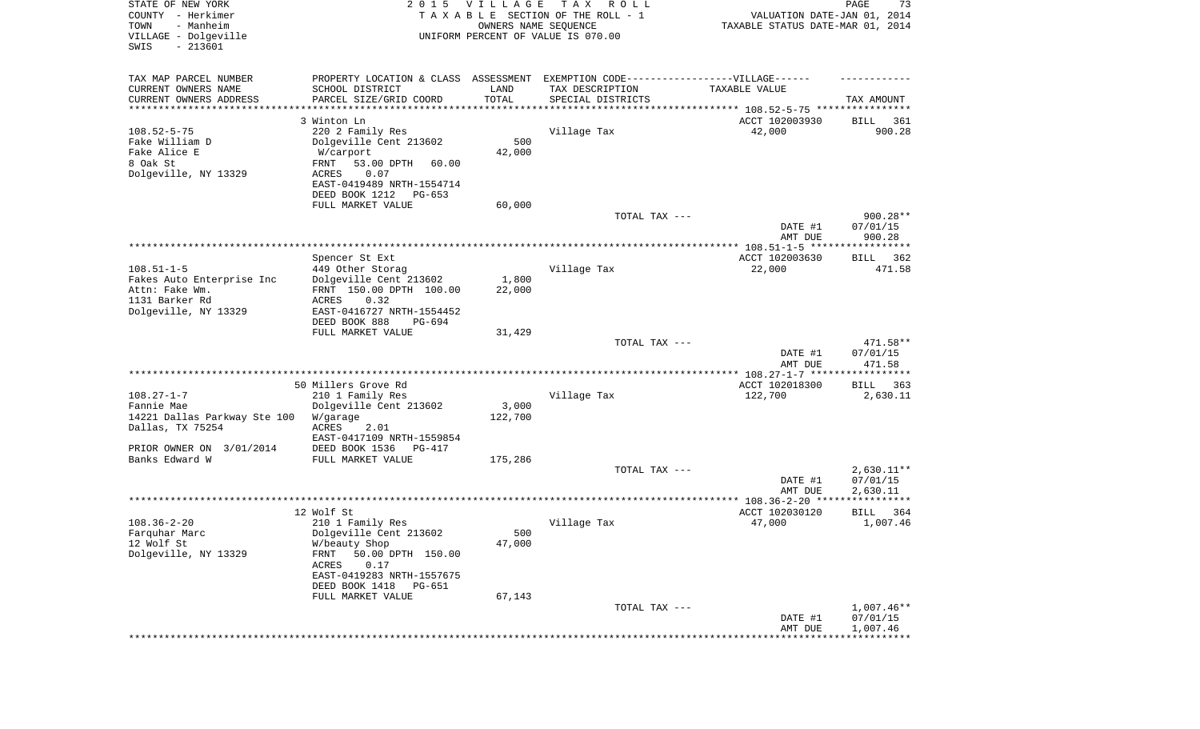| STATE OF NEW YORK<br>COUNTY - Herkimer<br>- Manheim<br>TOWN<br>VILLAGE - Dolgeville<br>SWIS<br>$-213601$ | 2 0 1 5                                                                          | <b>VILLAGE</b><br>OWNERS NAME SEQUENCE | T A X<br>R O L L<br>TAXABLE SECTION OF THE ROLL - 1<br>UNIFORM PERCENT OF VALUE IS 070.00 | VALUATION DATE-JAN 01, 2014<br>TAXABLE STATUS DATE-MAR 01, 2014 | PAGE<br>73   |
|----------------------------------------------------------------------------------------------------------|----------------------------------------------------------------------------------|----------------------------------------|-------------------------------------------------------------------------------------------|-----------------------------------------------------------------|--------------|
| TAX MAP PARCEL NUMBER                                                                                    | PROPERTY LOCATION & CLASS ASSESSMENT EXEMPTION CODE----------------VILLAGE------ |                                        |                                                                                           |                                                                 |              |
| CURRENT OWNERS NAME                                                                                      | SCHOOL DISTRICT                                                                  | LAND                                   | TAX DESCRIPTION                                                                           | TAXABLE VALUE                                                   |              |
| CURRENT OWNERS ADDRESS<br>*********************                                                          | PARCEL SIZE/GRID COORD                                                           | TOTAL<br>* * * * * * * * * * *         | SPECIAL DISTRICTS<br>************************************** 108.52-5-75 ***************** |                                                                 | TAX AMOUNT   |
|                                                                                                          | 3 Winton Ln                                                                      |                                        |                                                                                           | ACCT 102003930                                                  | 361<br>BILL  |
| $108.52 - 5 - 75$                                                                                        | 220 2 Family Res                                                                 |                                        | Village Tax                                                                               | 42,000                                                          | 900.28       |
| Fake William D                                                                                           | Dolgeville Cent 213602                                                           | 500                                    |                                                                                           |                                                                 |              |
| Fake Alice E                                                                                             | W/carport                                                                        | 42,000                                 |                                                                                           |                                                                 |              |
| 8 Oak St                                                                                                 | FRNT<br>53.00 DPTH<br>60.00                                                      |                                        |                                                                                           |                                                                 |              |
| Dolgeville, NY 13329                                                                                     | ACRES<br>0.07<br>EAST-0419489 NRTH-1554714                                       |                                        |                                                                                           |                                                                 |              |
|                                                                                                          | DEED BOOK 1212<br>PG-653                                                         |                                        |                                                                                           |                                                                 |              |
|                                                                                                          | FULL MARKET VALUE                                                                | 60,000                                 |                                                                                           |                                                                 |              |
|                                                                                                          |                                                                                  |                                        | TOTAL TAX ---                                                                             |                                                                 | $900.28**$   |
|                                                                                                          |                                                                                  |                                        |                                                                                           | DATE #1                                                         | 07/01/15     |
|                                                                                                          |                                                                                  |                                        |                                                                                           | AMT DUE                                                         | 900.28       |
|                                                                                                          | Spencer St Ext                                                                   |                                        |                                                                                           | ACCT 102003630                                                  | BILL 362     |
| $108.51 - 1 - 5$                                                                                         | 449 Other Storag                                                                 |                                        | Village Tax                                                                               | 22,000                                                          | 471.58       |
| Fakes Auto Enterprise Inc                                                                                | Dolgeville Cent 213602                                                           | 1,800                                  |                                                                                           |                                                                 |              |
| Attn: Fake Wm.                                                                                           | FRNT 150.00 DPTH 100.00                                                          | 22,000                                 |                                                                                           |                                                                 |              |
| 1131 Barker Rd                                                                                           | <b>ACRES</b><br>0.32                                                             |                                        |                                                                                           |                                                                 |              |
| Dolgeville, NY 13329                                                                                     | EAST-0416727 NRTH-1554452<br>DEED BOOK 888<br>PG-694                             |                                        |                                                                                           |                                                                 |              |
|                                                                                                          | FULL MARKET VALUE                                                                | 31,429                                 |                                                                                           |                                                                 |              |
|                                                                                                          |                                                                                  |                                        | TOTAL TAX ---                                                                             |                                                                 | 471.58**     |
|                                                                                                          |                                                                                  |                                        |                                                                                           | DATE #1                                                         | 07/01/15     |
|                                                                                                          |                                                                                  |                                        |                                                                                           | AMT DUE                                                         | 471.58       |
|                                                                                                          | 50 Millers Grove Rd                                                              |                                        |                                                                                           | ************** 108.27-1-7 ******************<br>ACCT 102018300  | 363<br>BILL  |
| $108.27 - 1 - 7$                                                                                         | 210 1 Family Res                                                                 |                                        | Village Tax                                                                               | 122,700                                                         | 2,630.11     |
| Fannie Mae                                                                                               | Dolgeville Cent 213602                                                           | 3,000                                  |                                                                                           |                                                                 |              |
| 14221 Dallas Parkway Ste 100                                                                             | W/garage                                                                         | 122,700                                |                                                                                           |                                                                 |              |
| Dallas, TX 75254                                                                                         | ACRES<br>2.01                                                                    |                                        |                                                                                           |                                                                 |              |
| PRIOR OWNER ON 3/01/2014                                                                                 | EAST-0417109 NRTH-1559854<br>DEED BOOK 1536<br>PG-417                            |                                        |                                                                                           |                                                                 |              |
| Banks Edward W                                                                                           | FULL MARKET VALUE                                                                | 175,286                                |                                                                                           |                                                                 |              |
|                                                                                                          |                                                                                  |                                        | TOTAL TAX ---                                                                             |                                                                 | $2,630.11**$ |
|                                                                                                          |                                                                                  |                                        |                                                                                           | DATE #1                                                         | 07/01/15     |
|                                                                                                          |                                                                                  |                                        |                                                                                           | AMT DUE                                                         | 2,630.11     |
|                                                                                                          | 12 Wolf St                                                                       |                                        |                                                                                           | ACCT 102030120                                                  | 364<br>BILL  |
| $108.36 - 2 - 20$                                                                                        | 210 1 Family Res                                                                 |                                        | Village Tax                                                                               | 47,000                                                          | 1,007.46     |
| Farquhar Marc                                                                                            | Dolgeville Cent 213602                                                           | 500                                    |                                                                                           |                                                                 |              |
| 12 Wolf St                                                                                               | W/beauty Shop                                                                    | 47,000                                 |                                                                                           |                                                                 |              |
| Dolgeville, NY 13329                                                                                     | FRNT<br>50.00 DPTH 150.00                                                        |                                        |                                                                                           |                                                                 |              |
|                                                                                                          | ACRES<br>0.17                                                                    |                                        |                                                                                           |                                                                 |              |
|                                                                                                          | EAST-0419283 NRTH-1557675<br>DEED BOOK 1418<br>PG-651                            |                                        |                                                                                           |                                                                 |              |
|                                                                                                          | FULL MARKET VALUE                                                                | 67,143                                 |                                                                                           |                                                                 |              |
|                                                                                                          |                                                                                  |                                        | TOTAL TAX ---                                                                             |                                                                 | 1,007.46**   |
|                                                                                                          |                                                                                  |                                        |                                                                                           | DATE #1                                                         | 07/01/15     |
|                                                                                                          |                                                                                  |                                        |                                                                                           | AMT DUE                                                         | 1,007.46     |
|                                                                                                          |                                                                                  |                                        |                                                                                           |                                                                 | ******       |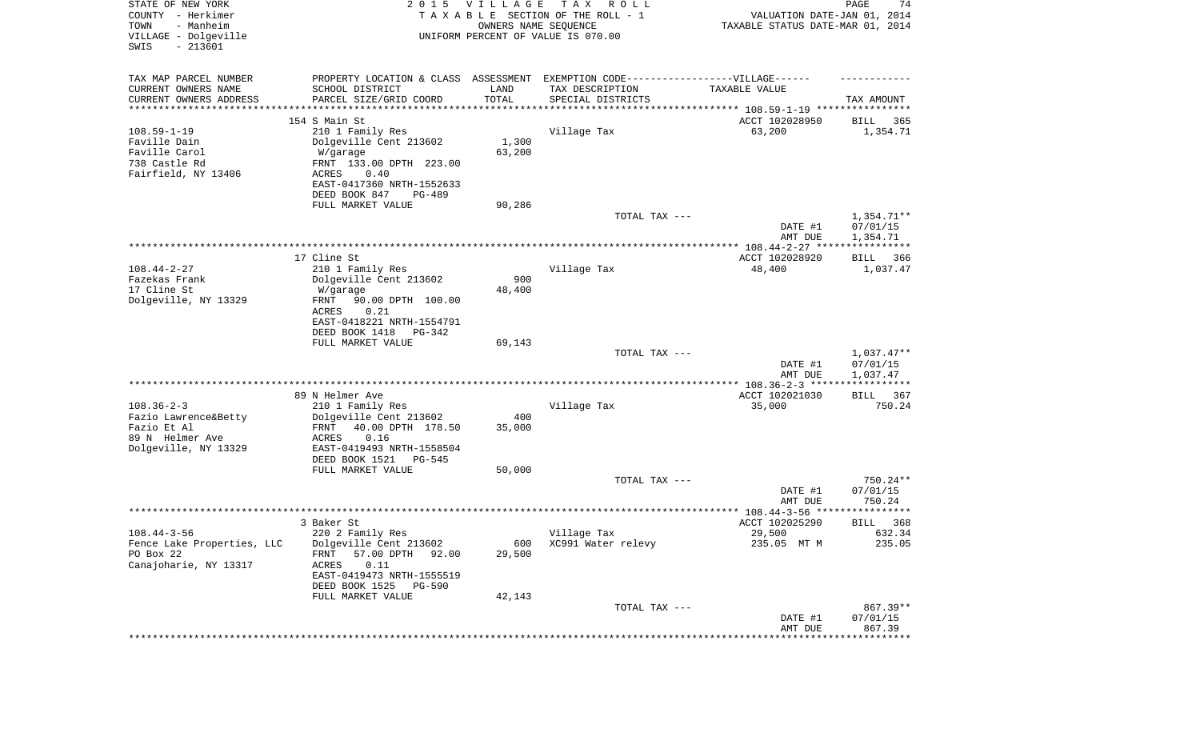| STATE OF NEW YORK<br>COUNTY - Herkimer<br>TOWN<br>- Manheim<br>VILLAGE - Dolgeville<br>SWIS<br>$-213601$ | 2 0 1 5                                       | VILLAGE<br>OWNERS NAME SEQUENCE | T A X<br>R O L L<br>TAXABLE SECTION OF THE ROLL - 1<br>UNIFORM PERCENT OF VALUE IS 070.00 | VALUATION DATE-JAN 01, 2014<br>TAXABLE STATUS DATE-MAR 01, 2014 | PAGE<br>74               |
|----------------------------------------------------------------------------------------------------------|-----------------------------------------------|---------------------------------|-------------------------------------------------------------------------------------------|-----------------------------------------------------------------|--------------------------|
| TAX MAP PARCEL NUMBER                                                                                    | PROPERTY LOCATION & CLASS ASSESSMENT          |                                 | EXEMPTION CODE-----------------VILLAGE------                                              |                                                                 |                          |
| CURRENT OWNERS NAME                                                                                      | SCHOOL DISTRICT                               | LAND                            | TAX DESCRIPTION                                                                           | TAXABLE VALUE                                                   |                          |
| CURRENT OWNERS ADDRESS<br>*********************                                                          | PARCEL SIZE/GRID COORD<br>******************  | TOTAL<br>**********             | SPECIAL DISTRICTS                                                                         | ********************************* 108.59-1-19 ****************  | TAX AMOUNT               |
|                                                                                                          | 154 S Main St                                 |                                 |                                                                                           | ACCT 102028950                                                  | 365<br>BILL              |
| $108.59 - 1 - 19$                                                                                        | 210 1 Family Res                              |                                 | Village Tax                                                                               | 63,200                                                          | 1,354.71                 |
| Faville Dain                                                                                             | Dolgeville Cent 213602                        | 1,300                           |                                                                                           |                                                                 |                          |
| Faville Carol<br>738 Castle Rd                                                                           | W/garage<br>FRNT 133.00 DPTH 223.00           | 63,200                          |                                                                                           |                                                                 |                          |
| Fairfield, NY 13406                                                                                      | 0.40<br>ACRES                                 |                                 |                                                                                           |                                                                 |                          |
|                                                                                                          | EAST-0417360 NRTH-1552633                     |                                 |                                                                                           |                                                                 |                          |
|                                                                                                          | DEED BOOK 847<br>PG-489                       |                                 |                                                                                           |                                                                 |                          |
|                                                                                                          | FULL MARKET VALUE                             | 90,286                          | TOTAL TAX ---                                                                             |                                                                 | $1,354.71**$             |
|                                                                                                          |                                               |                                 |                                                                                           | DATE #1                                                         | 07/01/15                 |
|                                                                                                          |                                               |                                 |                                                                                           | AMT DUE                                                         | 1,354.71                 |
|                                                                                                          |                                               |                                 |                                                                                           |                                                                 |                          |
| $108.44 - 2 - 27$                                                                                        | 17 Cline St<br>210 1 Family Res               |                                 | Village Tax                                                                               | ACCT 102028920<br>48,400                                        | BILL 366<br>1,037.47     |
| Fazekas Frank                                                                                            | Dolgeville Cent 213602                        | 900                             |                                                                                           |                                                                 |                          |
| 17 Cline St                                                                                              | W/garage                                      | 48,400                          |                                                                                           |                                                                 |                          |
| Dolgeville, NY 13329                                                                                     | 90.00 DPTH 100.00<br>FRNT<br>ACRES<br>0.21    |                                 |                                                                                           |                                                                 |                          |
|                                                                                                          | EAST-0418221 NRTH-1554791                     |                                 |                                                                                           |                                                                 |                          |
|                                                                                                          | DEED BOOK 1418<br>PG-342                      |                                 |                                                                                           |                                                                 |                          |
|                                                                                                          | FULL MARKET VALUE                             | 69,143                          |                                                                                           |                                                                 |                          |
|                                                                                                          |                                               |                                 | TOTAL TAX ---                                                                             | DATE #1                                                         | $1,037.47**$<br>07/01/15 |
|                                                                                                          |                                               |                                 |                                                                                           | AMT DUE                                                         | 1,037.47                 |
|                                                                                                          |                                               |                                 |                                                                                           |                                                                 | * * * * * * * * * * *    |
| $108.36 - 2 - 3$                                                                                         | 89 N Helmer Ave                               |                                 |                                                                                           | ACCT 102021030                                                  | BILL 367                 |
| Fazio Lawrence&Betty                                                                                     | 210 1 Family Res<br>Dolgeville Cent 213602    | 400                             | Village Tax                                                                               | 35,000                                                          | 750.24                   |
| Fazio Et Al                                                                                              | FRNT<br>40.00 DPTH 178.50                     | 35,000                          |                                                                                           |                                                                 |                          |
| 89 N Helmer Ave                                                                                          | ACRES<br>0.16                                 |                                 |                                                                                           |                                                                 |                          |
| Dolgeville, NY 13329                                                                                     | EAST-0419493 NRTH-1558504                     |                                 |                                                                                           |                                                                 |                          |
|                                                                                                          | DEED BOOK 1521<br>PG-545<br>FULL MARKET VALUE | 50,000                          |                                                                                           |                                                                 |                          |
|                                                                                                          |                                               |                                 | TOTAL TAX ---                                                                             |                                                                 | $750.24**$               |
|                                                                                                          |                                               |                                 |                                                                                           | DATE #1                                                         | 07/01/15                 |
|                                                                                                          |                                               |                                 |                                                                                           | AMT DUE<br>***************** 108.44-3-56 ****                   | 750.24<br>* * * * * *    |
|                                                                                                          | 3 Baker St                                    |                                 |                                                                                           | ACCT 102025290                                                  | 368<br>BILL              |
| $108.44 - 3 - 56$                                                                                        | 220 2 Family Res                              |                                 | Village Tax                                                                               | 29,500                                                          | 632.34                   |
| Fence Lake Properties, LLC                                                                               | Dolgeville Cent 213602                        | 600                             | XC991 Water relevy                                                                        | 235.05 MT M                                                     | 235.05                   |
| PO Box 22<br>Canajoharie, NY 13317                                                                       | 57.00 DPTH<br>FRNT<br>92.00<br>0.11<br>ACRES  | 29,500                          |                                                                                           |                                                                 |                          |
|                                                                                                          | EAST-0419473 NRTH-1555519                     |                                 |                                                                                           |                                                                 |                          |
|                                                                                                          | DEED BOOK 1525 PG-590                         |                                 |                                                                                           |                                                                 |                          |
|                                                                                                          | FULL MARKET VALUE                             | 42,143                          |                                                                                           |                                                                 |                          |
|                                                                                                          |                                               |                                 | TOTAL TAX ---                                                                             | DATE #1                                                         | $867.39**$<br>07/01/15   |
|                                                                                                          |                                               |                                 |                                                                                           | AMT DUE                                                         | 867.39                   |
|                                                                                                          |                                               |                                 |                                                                                           | ****************************                                    |                          |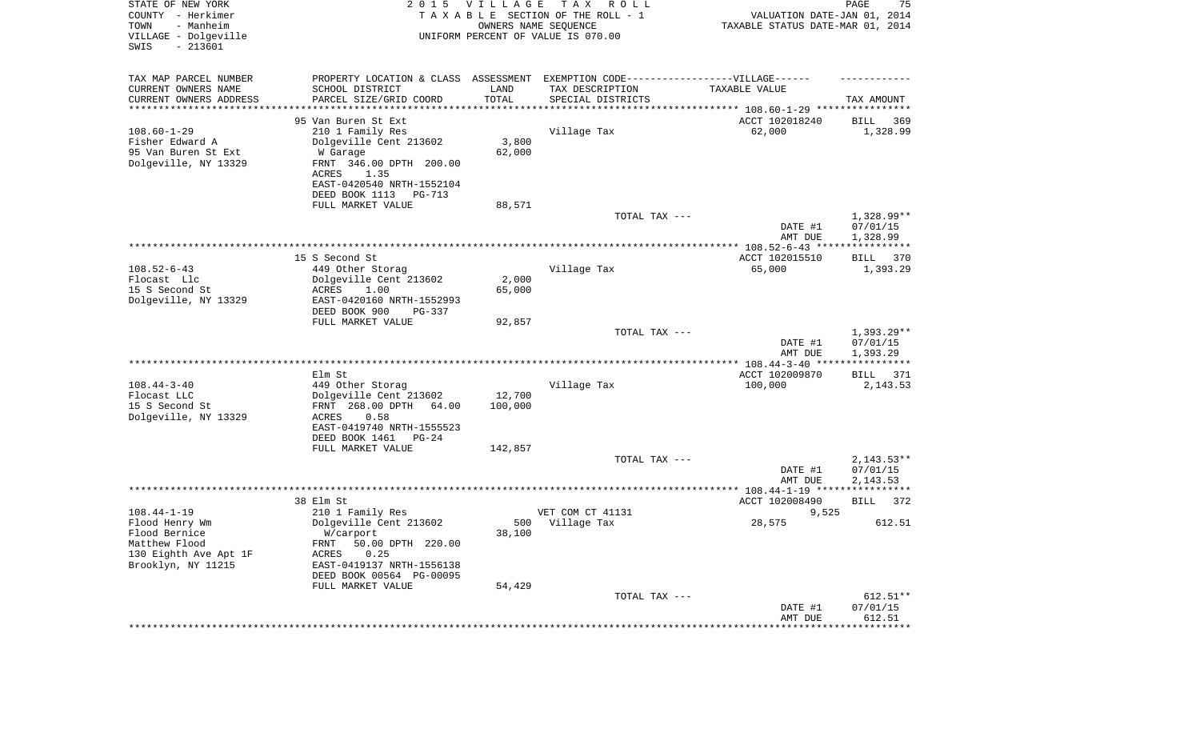| Flood Bernice<br>W/carport<br>38,100<br>Matthew Flood<br>FRNT 50.00 DPTH 220.00<br>0.25<br>130 Eighth Ave Apt 1F<br>ACRES<br>Brooklyn, NY 11215<br>EAST-0419137 NRTH-1556138<br>DEED BOOK 00564 PG-00095<br>FULL MARKET VALUE<br>54,429<br>TOTAL TAX ---<br>DATE #1 | $2,143.53**$<br>07/01/15<br>2,143.53<br>372<br>612.51<br>$612.51**$<br>07/01/15 |
|---------------------------------------------------------------------------------------------------------------------------------------------------------------------------------------------------------------------------------------------------------------------|---------------------------------------------------------------------------------|
|                                                                                                                                                                                                                                                                     |                                                                                 |
|                                                                                                                                                                                                                                                                     |                                                                                 |
|                                                                                                                                                                                                                                                                     |                                                                                 |
| Flood Henry Wm<br>Dolgeville Cent 213602<br>500<br>Village Tax<br>28,575                                                                                                                                                                                            |                                                                                 |
| $108.44 - 1 - 19$<br>210 1 Family Res<br>VET COM CT 41131<br>9,525                                                                                                                                                                                                  |                                                                                 |
| 38 Elm St<br>ACCT 102008490<br>BILL                                                                                                                                                                                                                                 |                                                                                 |
| AMT DUE                                                                                                                                                                                                                                                             |                                                                                 |
| DATE #1                                                                                                                                                                                                                                                             |                                                                                 |
| FULL MARKET VALUE<br>142,857<br>TOTAL TAX ---                                                                                                                                                                                                                       |                                                                                 |
| DEED BOOK 1461<br>$PG-24$                                                                                                                                                                                                                                           |                                                                                 |
| Dolgeville, NY 13329<br>ACRES<br>0.58<br>EAST-0419740 NRTH-1555523                                                                                                                                                                                                  |                                                                                 |
| 15 S Second St<br>FRNT 268.00 DPTH<br>100,000<br>64.00                                                                                                                                                                                                              |                                                                                 |
| $108.44 - 3 - 40$<br>Village Tax<br>449 Other Storag<br>100,000<br>Flocast LLC<br>Dolgeville Cent 213602<br>12,700                                                                                                                                                  | 2,143.53                                                                        |
| ACCT 102009870<br>Elm St<br>BILL                                                                                                                                                                                                                                    | 371                                                                             |
|                                                                                                                                                                                                                                                                     |                                                                                 |
| DATE #1<br>AMT DUE                                                                                                                                                                                                                                                  | 07/01/15<br>1,393.29                                                            |
| TOTAL TAX ---                                                                                                                                                                                                                                                       | $1,393.29**$                                                                    |
| DEED BOOK 900<br>$PG-337$<br>FULL MARKET VALUE<br>92,857                                                                                                                                                                                                            |                                                                                 |
| Dolgeville, NY 13329<br>EAST-0420160 NRTH-1552993                                                                                                                                                                                                                   |                                                                                 |
| 15 S Second St<br>ACRES<br>1.00<br>65,000                                                                                                                                                                                                                           |                                                                                 |
| $108.52 - 6 - 43$<br>65,000<br>449 Other Storag<br>Village Tax<br>2,000<br>Flocast Llc<br>Dolgeville Cent 213602                                                                                                                                                    | 1,393.29                                                                        |
| 15 S Second St<br>ACCT 102015510<br>BILL                                                                                                                                                                                                                            | 370                                                                             |
| AMT DUE<br>1,328.99                                                                                                                                                                                                                                                 |                                                                                 |
| 07/01/15<br>DATE #1                                                                                                                                                                                                                                                 |                                                                                 |
| TOTAL TAX ---                                                                                                                                                                                                                                                       | 1,328.99**                                                                      |
| DEED BOOK 1113<br>PG-713<br>FULL MARKET VALUE<br>88,571                                                                                                                                                                                                             |                                                                                 |
| EAST-0420540 NRTH-1552104                                                                                                                                                                                                                                           |                                                                                 |
| Dolgeville, NY 13329<br>FRNT 346.00 DPTH 200.00<br>ACRES<br>1.35                                                                                                                                                                                                    |                                                                                 |
| 95 Van Buren St Ext<br>62,000<br>W Garage                                                                                                                                                                                                                           |                                                                                 |
| $108.60 - 1 - 29$<br>210 1 Family Res<br>Village Tax<br>62,000<br>3,800<br>Fisher Edward A<br>Dolgeville Cent 213602                                                                                                                                                | 1,328.99                                                                        |
| 95 Van Buren St Ext<br>ACCT 102018240<br>BILL                                                                                                                                                                                                                       | 369                                                                             |
| ********************                                                                                                                                                                                                                                                |                                                                                 |
| CURRENT OWNERS NAME<br>SCHOOL DISTRICT<br>TAX DESCRIPTION<br>LAND<br>TAXABLE VALUE<br>TOTAL<br>CURRENT OWNERS ADDRESS<br>PARCEL SIZE/GRID COORD<br>SPECIAL DISTRICTS<br>TAX AMOUNT                                                                                  |                                                                                 |
| TAX MAP PARCEL NUMBER<br>PROPERTY LOCATION & CLASS ASSESSMENT EXEMPTION CODE-----------------VILLAGE------                                                                                                                                                          |                                                                                 |
|                                                                                                                                                                                                                                                                     |                                                                                 |
| VILLAGE - Dolgeville<br>UNIFORM PERCENT OF VALUE IS 070.00<br>SWIS<br>$-213601$                                                                                                                                                                                     |                                                                                 |
| - Manheim<br>TOWN<br>OWNERS NAME SEQUENCE<br>TAXABLE STATUS DATE-MAR 01, 2014                                                                                                                                                                                       |                                                                                 |
| STATE OF NEW YORK<br><b>VILLAGE</b><br>T A X<br>PAGE<br>2 0 1 5<br>R O L L<br>COUNTY - Herkimer<br>TAXABLE SECTION OF THE ROLL - 1<br>VALUATION DATE-JAN 01, 2014                                                                                                   | 75                                                                              |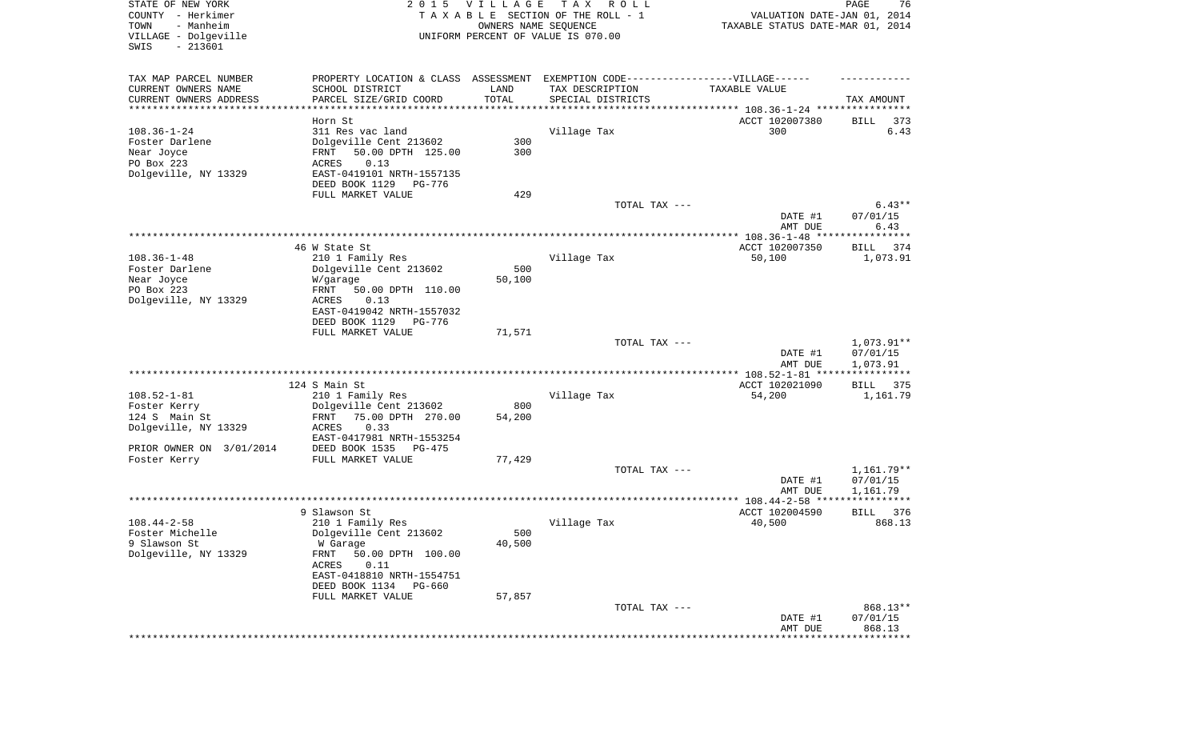| STATE OF NEW YORK<br>COUNTY - Herkimer<br>- Manheim<br>TOWN<br>VILLAGE - Dolgeville<br>SWIS<br>$-213601$ | 2 0 1 5                                               | VILLAGE<br>OWNERS NAME SEQUENCE | T A X<br>R O L L<br>TAXABLE SECTION OF THE ROLL - 1<br>UNIFORM PERCENT OF VALUE IS 070.00 | VALUATION DATE-JAN 01, 2014<br>TAXABLE STATUS DATE-MAR 01, 2014    | PAGE<br>76           |
|----------------------------------------------------------------------------------------------------------|-------------------------------------------------------|---------------------------------|-------------------------------------------------------------------------------------------|--------------------------------------------------------------------|----------------------|
| TAX MAP PARCEL NUMBER                                                                                    | PROPERTY LOCATION & CLASS ASSESSMENT                  |                                 | EXEMPTION CODE-----------------VILLAGE------                                              |                                                                    |                      |
| CURRENT OWNERS NAME                                                                                      | SCHOOL DISTRICT                                       | LAND                            | TAX DESCRIPTION                                                                           | TAXABLE VALUE                                                      |                      |
| CURRENT OWNERS ADDRESS<br>**********************                                                         | PARCEL SIZE/GRID COORD                                | TOTAL<br>* * * * * * * * * * *  | SPECIAL DISTRICTS                                                                         | ************************************* 108.36-1-24 **************** | TAX AMOUNT           |
|                                                                                                          | Horn St                                               |                                 |                                                                                           | ACCT 102007380                                                     | BILL<br>373          |
| $108.36 - 1 - 24$                                                                                        | 311 Res vac land                                      |                                 | Village Tax                                                                               | 300                                                                | 6.43                 |
| Foster Darlene                                                                                           | Dolgeville Cent 213602                                | 300                             |                                                                                           |                                                                    |                      |
| Near Joyce                                                                                               | 50.00 DPTH 125.00<br>FRNT                             | 300                             |                                                                                           |                                                                    |                      |
| PO Box 223                                                                                               | ACRES<br>0.13                                         |                                 |                                                                                           |                                                                    |                      |
| Dolgeville, NY 13329                                                                                     | EAST-0419101 NRTH-1557135                             |                                 |                                                                                           |                                                                    |                      |
|                                                                                                          | DEED BOOK 1129<br>PG-776                              |                                 |                                                                                           |                                                                    |                      |
|                                                                                                          | FULL MARKET VALUE                                     | 429                             | TOTAL TAX ---                                                                             |                                                                    | $6.43**$             |
|                                                                                                          |                                                       |                                 |                                                                                           | DATE #1                                                            | 07/01/15             |
|                                                                                                          |                                                       |                                 |                                                                                           | AMT DUE                                                            | 6.43                 |
|                                                                                                          |                                                       |                                 |                                                                                           |                                                                    |                      |
|                                                                                                          | 46 W State St                                         |                                 |                                                                                           | ACCT 102007350                                                     | BILL<br>374          |
| $108.36 - 1 - 48$                                                                                        | 210 1 Family Res                                      |                                 | Village Tax                                                                               | 50,100                                                             | 1,073.91             |
| Foster Darlene                                                                                           | Dolgeville Cent 213602                                | 500                             |                                                                                           |                                                                    |                      |
| Near Joyce<br>PO Box 223                                                                                 | W/garage<br>50.00 DPTH 110.00<br>FRNT                 | 50,100                          |                                                                                           |                                                                    |                      |
| Dolgeville, NY 13329                                                                                     | ACRES<br>0.13                                         |                                 |                                                                                           |                                                                    |                      |
|                                                                                                          | EAST-0419042 NRTH-1557032                             |                                 |                                                                                           |                                                                    |                      |
|                                                                                                          | DEED BOOK 1129<br>PG-776                              |                                 |                                                                                           |                                                                    |                      |
|                                                                                                          | FULL MARKET VALUE                                     | 71,571                          |                                                                                           |                                                                    |                      |
|                                                                                                          |                                                       |                                 | TOTAL TAX ---                                                                             |                                                                    | 1,073.91**           |
|                                                                                                          |                                                       |                                 |                                                                                           | DATE #1<br>AMT DUE                                                 | 07/01/15<br>1,073.91 |
|                                                                                                          |                                                       |                                 |                                                                                           | *************** 108.52-1-81 *****************                      |                      |
|                                                                                                          | 124 S Main St                                         |                                 |                                                                                           | ACCT 102021090                                                     | BILL 375             |
| $108.52 - 1 - 81$                                                                                        | 210 1 Family Res                                      |                                 | Village Tax                                                                               | 54,200                                                             | 1,161.79             |
| Foster Kerry                                                                                             | Dolgeville Cent 213602                                | 800                             |                                                                                           |                                                                    |                      |
| 124 S Main St                                                                                            | 75.00 DPTH 270.00<br>FRNT                             | 54,200                          |                                                                                           |                                                                    |                      |
| Dolgeville, NY 13329                                                                                     | ACRES<br>0.33                                         |                                 |                                                                                           |                                                                    |                      |
| PRIOR OWNER ON 3/01/2014                                                                                 | EAST-0417981 NRTH-1553254<br>DEED BOOK 1535<br>PG-475 |                                 |                                                                                           |                                                                    |                      |
| Foster Kerry                                                                                             | FULL MARKET VALUE                                     | 77,429                          |                                                                                           |                                                                    |                      |
|                                                                                                          |                                                       |                                 | TOTAL TAX ---                                                                             |                                                                    | 1,161.79**           |
|                                                                                                          |                                                       |                                 |                                                                                           | DATE #1                                                            | 07/01/15             |
|                                                                                                          |                                                       |                                 |                                                                                           | AMT DUE                                                            | 1,161.79             |
|                                                                                                          |                                                       |                                 |                                                                                           |                                                                    |                      |
| $108.44 - 2 - 58$                                                                                        | 9 Slawson St                                          |                                 |                                                                                           | ACCT 102004590                                                     | <b>BILL</b><br>376   |
| Foster Michelle                                                                                          | 210 1 Family Res<br>Dolgeville Cent 213602            | 500                             | Village Tax                                                                               | 40,500                                                             | 868.13               |
| 9 Slawson St                                                                                             | W Garage                                              | 40,500                          |                                                                                           |                                                                    |                      |
| Dolgeville, NY 13329                                                                                     | FRNT<br>50.00 DPTH 100.00                             |                                 |                                                                                           |                                                                    |                      |
|                                                                                                          | ACRES<br>0.11                                         |                                 |                                                                                           |                                                                    |                      |
|                                                                                                          | EAST-0418810 NRTH-1554751                             |                                 |                                                                                           |                                                                    |                      |
|                                                                                                          | DEED BOOK 1134<br>PG-660                              |                                 |                                                                                           |                                                                    |                      |
|                                                                                                          | FULL MARKET VALUE                                     | 57,857                          |                                                                                           |                                                                    |                      |
|                                                                                                          |                                                       |                                 | TOTAL TAX ---                                                                             |                                                                    | 868.13**             |
|                                                                                                          |                                                       |                                 |                                                                                           | DATE #1<br>AMT DUE                                                 | 07/01/15<br>868.13   |
|                                                                                                          |                                                       |                                 |                                                                                           |                                                                    |                      |
|                                                                                                          |                                                       |                                 |                                                                                           |                                                                    |                      |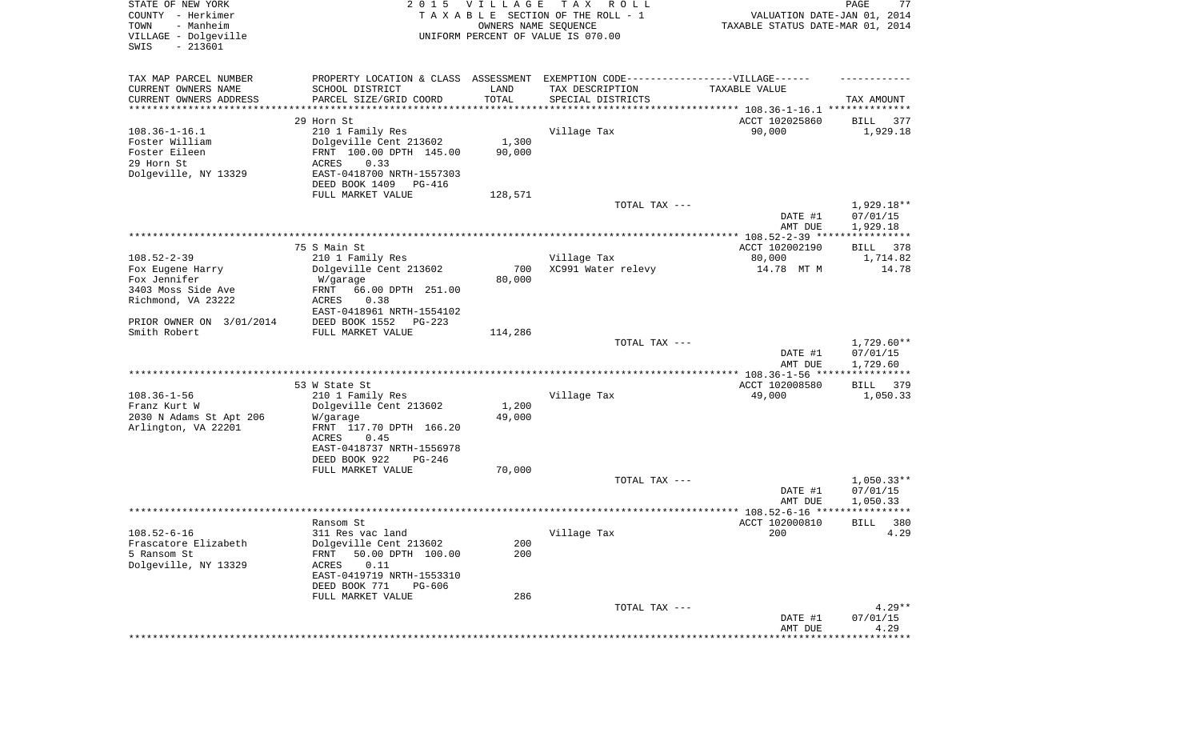| STATE OF NEW YORK<br>COUNTY - Herkimer<br>- Manheim<br>TOWN<br>VILLAGE - Dolgeville<br>SWIS<br>$-213601$ | 2 0 1 5                                                                           | VILLAGE<br>OWNERS NAME SEQUENCE | T A X<br>R O L L<br>TAXABLE SECTION OF THE ROLL - 1<br>UNIFORM PERCENT OF VALUE IS 070.00 | VALUATION DATE-JAN 01, 2014<br>TAXABLE STATUS DATE-MAR 01, 2014 | PAGE<br>77           |
|----------------------------------------------------------------------------------------------------------|-----------------------------------------------------------------------------------|---------------------------------|-------------------------------------------------------------------------------------------|-----------------------------------------------------------------|----------------------|
| TAX MAP PARCEL NUMBER                                                                                    | PROPERTY LOCATION & CLASS ASSESSMENT EXEMPTION CODE-----------------VILLAGE------ |                                 |                                                                                           |                                                                 |                      |
| CURRENT OWNERS NAME                                                                                      | SCHOOL DISTRICT                                                                   | LAND                            | TAX DESCRIPTION                                                                           | TAXABLE VALUE                                                   |                      |
| CURRENT OWNERS ADDRESS<br>*********************                                                          | PARCEL SIZE/GRID COORD<br>*******************                                     | TOTAL                           | SPECIAL DISTRICTS                                                                         |                                                                 | TAX AMOUNT           |
|                                                                                                          | 29 Horn St                                                                        |                                 |                                                                                           | ACCT 102025860                                                  | 377<br>BILL          |
| $108.36 - 1 - 16.1$                                                                                      | 210 1 Family Res                                                                  |                                 | Village Tax                                                                               | 90,000                                                          | 1,929.18             |
| Foster William                                                                                           | Dolgeville Cent 213602                                                            | 1,300                           |                                                                                           |                                                                 |                      |
| Foster Eileen                                                                                            | FRNT 100.00 DPTH 145.00                                                           | 90,000                          |                                                                                           |                                                                 |                      |
| 29 Horn St<br>Dolgeville, NY 13329                                                                       | ACRES<br>0.33<br>EAST-0418700 NRTH-1557303                                        |                                 |                                                                                           |                                                                 |                      |
|                                                                                                          | DEED BOOK 1409<br>PG-416                                                          |                                 |                                                                                           |                                                                 |                      |
|                                                                                                          | FULL MARKET VALUE                                                                 | 128,571                         |                                                                                           |                                                                 |                      |
|                                                                                                          |                                                                                   |                                 | TOTAL TAX ---                                                                             |                                                                 | 1,929.18**           |
|                                                                                                          |                                                                                   |                                 |                                                                                           | DATE #1<br>AMT DUE                                              | 07/01/15<br>1,929.18 |
|                                                                                                          |                                                                                   |                                 |                                                                                           |                                                                 |                      |
|                                                                                                          | 75 S Main St                                                                      |                                 |                                                                                           | ACCT 102002190                                                  | 378<br>BILL          |
| $108.52 - 2 - 39$                                                                                        | 210 1 Family Res                                                                  |                                 | Village Tax                                                                               | 80,000                                                          | 1,714.82             |
| Fox Eugene Harry                                                                                         | Dolgeville Cent 213602                                                            | 700                             | XC991 Water relevy                                                                        | 14.78 MT M                                                      | 14.78                |
| Fox Jennifer<br>3403 Moss Side Ave                                                                       | W/garage                                                                          | 80,000                          |                                                                                           |                                                                 |                      |
| Richmond, VA 23222                                                                                       | FRNT<br>66.00 DPTH 251.00<br>ACRES<br>0.38                                        |                                 |                                                                                           |                                                                 |                      |
|                                                                                                          | EAST-0418961 NRTH-1554102                                                         |                                 |                                                                                           |                                                                 |                      |
| PRIOR OWNER ON 3/01/2014                                                                                 | DEED BOOK 1552<br>PG-223                                                          |                                 |                                                                                           |                                                                 |                      |
| Smith Robert                                                                                             | FULL MARKET VALUE                                                                 | 114,286                         |                                                                                           |                                                                 |                      |
|                                                                                                          |                                                                                   |                                 | TOTAL TAX ---                                                                             |                                                                 | $1,729.60**$         |
|                                                                                                          |                                                                                   |                                 |                                                                                           | DATE #1<br>AMT DUE                                              | 07/01/15<br>1,729.60 |
|                                                                                                          |                                                                                   |                                 |                                                                                           | ************* 108.36-1-56 ****                                  | ************         |
|                                                                                                          | 53 W State St                                                                     |                                 |                                                                                           | ACCT 102008580                                                  | 379<br>BILL          |
| $108.36 - 1 - 56$                                                                                        | 210 1 Family Res                                                                  |                                 | Village Tax                                                                               | 49,000                                                          | 1,050.33             |
| Franz Kurt W<br>2030 N Adams St Apt 206                                                                  | Dolgeville Cent 213602                                                            | 1,200<br>49,000                 |                                                                                           |                                                                 |                      |
| Arlington, VA 22201                                                                                      | W/garage<br>FRNT 117.70 DPTH 166.20                                               |                                 |                                                                                           |                                                                 |                      |
|                                                                                                          | ACRES<br>0.45                                                                     |                                 |                                                                                           |                                                                 |                      |
|                                                                                                          | EAST-0418737 NRTH-1556978                                                         |                                 |                                                                                           |                                                                 |                      |
|                                                                                                          | DEED BOOK 922<br>PG-246                                                           |                                 |                                                                                           |                                                                 |                      |
|                                                                                                          | FULL MARKET VALUE                                                                 | 70,000                          | TOTAL TAX ---                                                                             |                                                                 | $1,050.33**$         |
|                                                                                                          |                                                                                   |                                 |                                                                                           | DATE #1                                                         | 07/01/15             |
|                                                                                                          |                                                                                   |                                 |                                                                                           | AMT DUE                                                         | 1,050.33             |
|                                                                                                          |                                                                                   |                                 |                                                                                           |                                                                 | * * * * * *          |
|                                                                                                          | Ransom St                                                                         |                                 |                                                                                           | ACCT 102000810                                                  | BILL<br>380          |
| $108.52 - 6 - 16$                                                                                        | 311 Res vac land                                                                  |                                 | Village Tax                                                                               | 200                                                             | 4.29                 |
| Frascatore Elizabeth<br>5 Ransom St                                                                      | Dolgeville Cent 213602<br>50.00 DPTH 100.00<br>FRNT                               | 200<br>200                      |                                                                                           |                                                                 |                      |
| Dolgeville, NY 13329                                                                                     | 0.11<br>ACRES                                                                     |                                 |                                                                                           |                                                                 |                      |
|                                                                                                          | EAST-0419719 NRTH-1553310                                                         |                                 |                                                                                           |                                                                 |                      |
|                                                                                                          | DEED BOOK 771<br>PG-606                                                           |                                 |                                                                                           |                                                                 |                      |
|                                                                                                          | FULL MARKET VALUE                                                                 | 286                             |                                                                                           |                                                                 |                      |
|                                                                                                          |                                                                                   |                                 | TOTAL TAX ---                                                                             |                                                                 | $4.29**$             |
|                                                                                                          |                                                                                   |                                 |                                                                                           | DATE #1<br>AMT DUE                                              | 07/01/15<br>4.29     |
|                                                                                                          |                                                                                   |                                 |                                                                                           |                                                                 | ************         |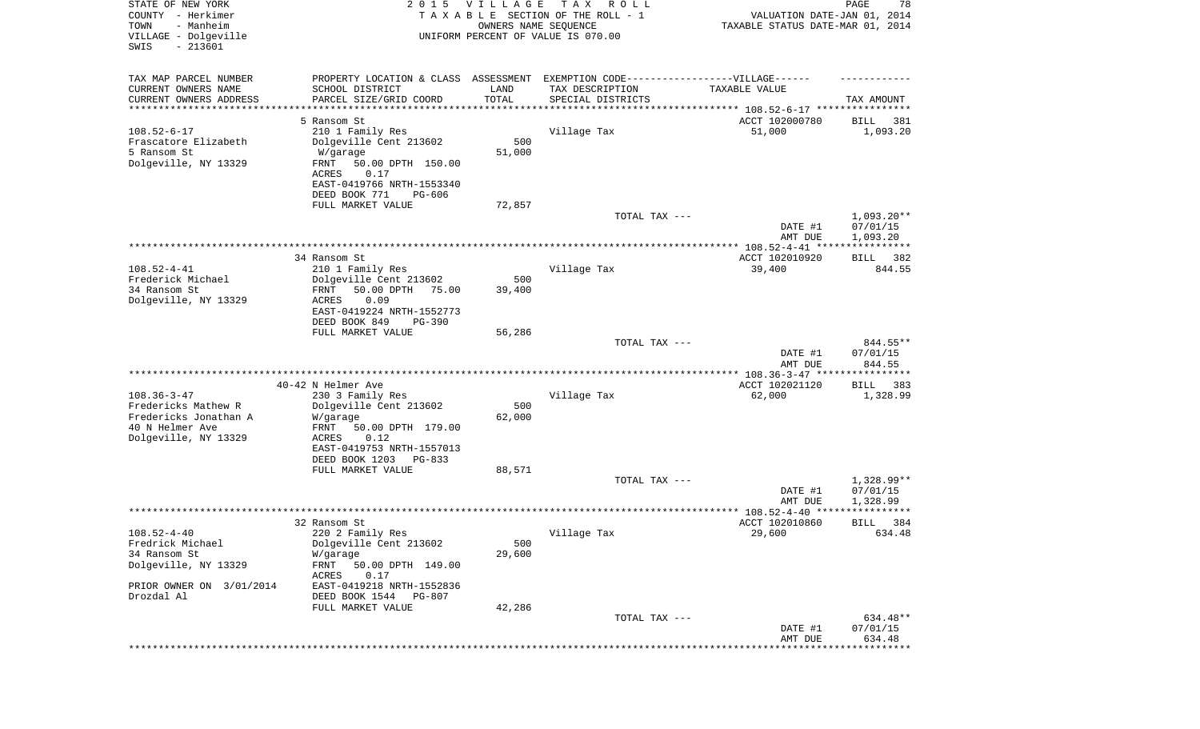| STATE OF NEW YORK<br>COUNTY - Herkimer<br>- Manheim<br>TOWN<br>VILLAGE - Dolgeville<br>$-213601$<br>SWIS |                                                                                                     | 2015 VILLAGE<br>OWNERS NAME SEQUENCE | T A X<br>R O L L<br>TAXABLE SECTION OF THE ROLL - 1<br>UNIFORM PERCENT OF VALUE IS 070.00 | VALUATION DATE-JAN 01, 2014<br>TAXABLE STATUS DATE-MAR 01, 2014 | PAGE<br>78            |
|----------------------------------------------------------------------------------------------------------|-----------------------------------------------------------------------------------------------------|--------------------------------------|-------------------------------------------------------------------------------------------|-----------------------------------------------------------------|-----------------------|
| TAX MAP PARCEL NUMBER<br>CURRENT OWNERS NAME                                                             | PROPERTY LOCATION & CLASS ASSESSMENT EXEMPTION CODE----------------VILLAGE------<br>SCHOOL DISTRICT | LAND                                 | TAX DESCRIPTION                                                                           | TAXABLE VALUE                                                   |                       |
| CURRENT OWNERS ADDRESS                                                                                   | PARCEL SIZE/GRID COORD                                                                              | TOTAL                                | SPECIAL DISTRICTS                                                                         |                                                                 | TAX AMOUNT            |
| *********************                                                                                    |                                                                                                     | **********                           | ********************************* 108.52-6-17 ****************                            |                                                                 |                       |
|                                                                                                          | 5 Ransom St                                                                                         |                                      |                                                                                           | ACCT 102000780                                                  | 381<br>BILL           |
| $108.52 - 6 - 17$<br>Frascatore Elizabeth                                                                | 210 1 Family Res<br>Dolgeville Cent 213602                                                          | 500                                  | Village Tax                                                                               | 51,000                                                          | 1,093.20              |
| 5 Ransom St                                                                                              | W/garage                                                                                            | 51,000                               |                                                                                           |                                                                 |                       |
| Dolgeville, NY 13329                                                                                     | FRNT<br>50.00 DPTH 150.00                                                                           |                                      |                                                                                           |                                                                 |                       |
|                                                                                                          | 0.17<br>ACRES                                                                                       |                                      |                                                                                           |                                                                 |                       |
|                                                                                                          | EAST-0419766 NRTH-1553340                                                                           |                                      |                                                                                           |                                                                 |                       |
|                                                                                                          | DEED BOOK 771<br>PG-606<br>FULL MARKET VALUE                                                        | 72,857                               |                                                                                           |                                                                 |                       |
|                                                                                                          |                                                                                                     |                                      | TOTAL TAX ---                                                                             |                                                                 | $1,093.20**$          |
|                                                                                                          |                                                                                                     |                                      |                                                                                           | DATE #1                                                         | 07/01/15              |
|                                                                                                          |                                                                                                     |                                      |                                                                                           | AMT DUE                                                         | 1,093.20              |
|                                                                                                          |                                                                                                     |                                      |                                                                                           |                                                                 |                       |
| $108.52 - 4 - 41$                                                                                        | 34 Ransom St<br>210 1 Family Res                                                                    |                                      | Village Tax                                                                               | ACCT 102010920<br>39,400                                        | BILL<br>382<br>844.55 |
| Frederick Michael                                                                                        | Dolgeville Cent 213602                                                                              | 500                                  |                                                                                           |                                                                 |                       |
| 34 Ransom St                                                                                             | FRNT<br>50.00 DPTH<br>75.00                                                                         | 39,400                               |                                                                                           |                                                                 |                       |
| Dolgeville, NY 13329                                                                                     | ACRES<br>0.09                                                                                       |                                      |                                                                                           |                                                                 |                       |
|                                                                                                          | EAST-0419224 NRTH-1552773                                                                           |                                      |                                                                                           |                                                                 |                       |
|                                                                                                          | DEED BOOK 849<br>$PG-390$<br>FULL MARKET VALUE                                                      | 56,286                               |                                                                                           |                                                                 |                       |
|                                                                                                          |                                                                                                     |                                      | TOTAL TAX ---                                                                             |                                                                 | 844.55**              |
|                                                                                                          |                                                                                                     |                                      |                                                                                           | DATE #1                                                         | 07/01/15              |
|                                                                                                          |                                                                                                     |                                      |                                                                                           | AMT DUE                                                         | 844.55                |
|                                                                                                          | 40-42 N Helmer Ave                                                                                  |                                      |                                                                                           | ************ 108.36-3-47 *****************<br>ACCT 102021120    | <b>BILL</b><br>383    |
| $108.36 - 3 - 47$                                                                                        | 230 3 Family Res                                                                                    |                                      | Village Tax                                                                               | 62,000                                                          | 1,328.99              |
| Fredericks Mathew R                                                                                      | Dolgeville Cent 213602                                                                              | 500                                  |                                                                                           |                                                                 |                       |
| Fredericks Jonathan A                                                                                    | W/garage                                                                                            | 62,000                               |                                                                                           |                                                                 |                       |
| 40 N Helmer Ave                                                                                          | FRNT<br>50.00 DPTH 179.00                                                                           |                                      |                                                                                           |                                                                 |                       |
| Dolgeville, NY 13329                                                                                     | ACRES<br>0.12<br>EAST-0419753 NRTH-1557013                                                          |                                      |                                                                                           |                                                                 |                       |
|                                                                                                          | DEED BOOK 1203<br>PG-833                                                                            |                                      |                                                                                           |                                                                 |                       |
|                                                                                                          | FULL MARKET VALUE                                                                                   | 88,571                               |                                                                                           |                                                                 |                       |
|                                                                                                          |                                                                                                     |                                      | TOTAL TAX ---                                                                             |                                                                 | 1,328.99**            |
|                                                                                                          |                                                                                                     |                                      |                                                                                           | DATE #1                                                         | 07/01/15              |
|                                                                                                          |                                                                                                     |                                      |                                                                                           | AMT DUE<br>***************** 108.52-4-40 ****                   | 1,328.99<br>****      |
|                                                                                                          | 32 Ransom St                                                                                        |                                      |                                                                                           | ACCT 102010860                                                  | 384<br>BILL           |
| $108.52 - 4 - 40$                                                                                        | 220 2 Family Res                                                                                    |                                      | Village Tax                                                                               | 29,600                                                          | 634.48                |
| Fredrick Michael                                                                                         | Dolgeville Cent 213602                                                                              | 500                                  |                                                                                           |                                                                 |                       |
| 34 Ransom St                                                                                             | W/garage                                                                                            | 29,600                               |                                                                                           |                                                                 |                       |
| Dolgeville, NY 13329                                                                                     | FRNT<br>50.00 DPTH 149.00<br>ACRES<br>0.17                                                          |                                      |                                                                                           |                                                                 |                       |
| PRIOR OWNER ON 3/01/2014                                                                                 | EAST-0419218 NRTH-1552836                                                                           |                                      |                                                                                           |                                                                 |                       |
| Drozdal Al                                                                                               | DEED BOOK 1544<br>PG-807                                                                            |                                      |                                                                                           |                                                                 |                       |
|                                                                                                          | FULL MARKET VALUE                                                                                   | 42,286                               |                                                                                           |                                                                 |                       |
|                                                                                                          |                                                                                                     |                                      | TOTAL TAX ---                                                                             |                                                                 | 634.48**              |
|                                                                                                          |                                                                                                     |                                      |                                                                                           | DATE #1<br>AMT DUE                                              | 07/01/15<br>634.48    |
|                                                                                                          |                                                                                                     |                                      |                                                                                           |                                                                 | * * * * * * * * *     |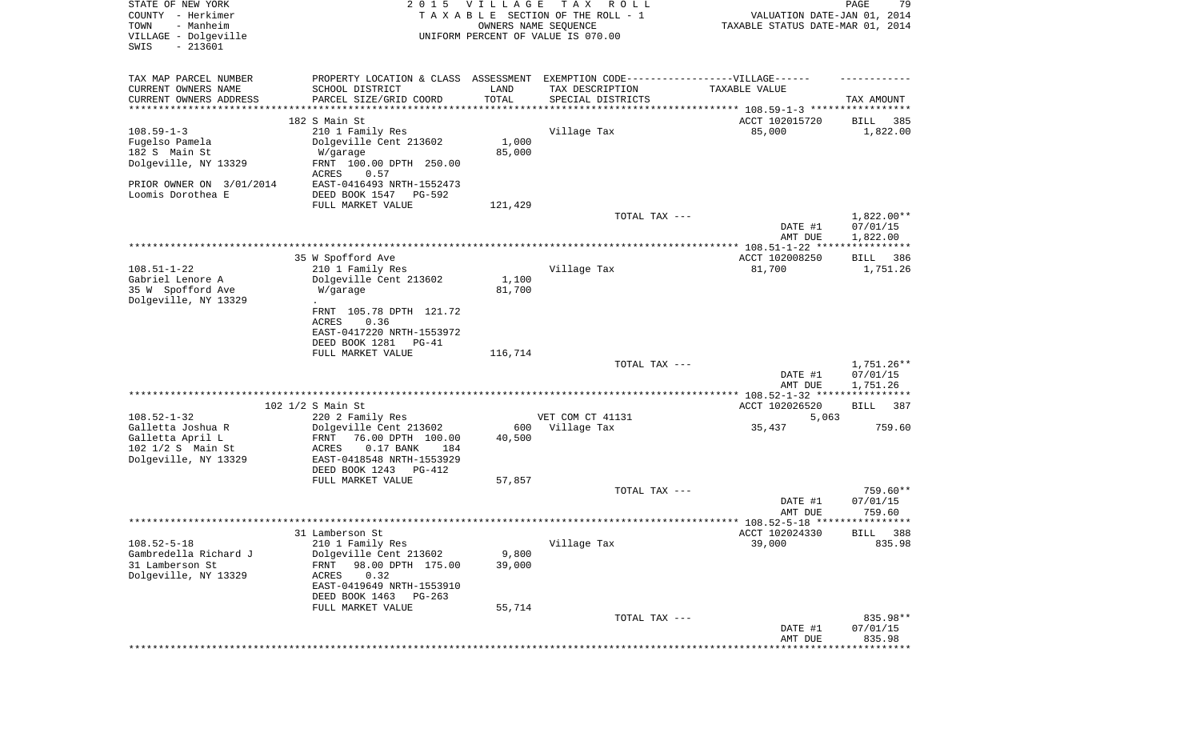| STATE OF NEW YORK<br>COUNTY - Herkimer<br>- Manheim<br>TOWN<br>VILLAGE - Dolgeville<br>SWIS<br>$-213601$ | 2 0 1 5                                                                                                         | <b>VILLAGE</b><br>OWNERS NAME SEQUENCE | T A X<br>R O L L<br>TAXABLE SECTION OF THE ROLL - 1<br>UNIFORM PERCENT OF VALUE IS 070.00 | VALUATION DATE-JAN 01, 2014<br>TAXABLE STATUS DATE-MAR 01, 2014 | PAGE<br>79                         |
|----------------------------------------------------------------------------------------------------------|-----------------------------------------------------------------------------------------------------------------|----------------------------------------|-------------------------------------------------------------------------------------------|-----------------------------------------------------------------|------------------------------------|
| TAX MAP PARCEL NUMBER                                                                                    |                                                                                                                 |                                        | PROPERTY LOCATION & CLASS ASSESSMENT EXEMPTION CODE-----------------VILLAGE------         |                                                                 |                                    |
| CURRENT OWNERS NAME<br>CURRENT OWNERS ADDRESS                                                            | SCHOOL DISTRICT<br>PARCEL SIZE/GRID COORD                                                                       | LAND<br>TOTAL                          | TAX DESCRIPTION<br>SPECIAL DISTRICTS                                                      | TAXABLE VALUE                                                   | TAX AMOUNT                         |
| **********************                                                                                   |                                                                                                                 |                                        |                                                                                           |                                                                 |                                    |
| $108.59 - 1 - 3$<br>Fugelso Pamela                                                                       | 182 S Main St<br>210 1 Family Res<br>Dolgeville Cent 213602                                                     | 1,000                                  | Village Tax                                                                               | ACCT 102015720<br>85,000                                        | 385<br>BILL<br>1,822.00            |
| 182 S Main St<br>Dolgeville, NY 13329                                                                    | W/garage<br>FRNT 100.00 DPTH 250.00<br>ACRES<br>0.57                                                            | 85,000                                 |                                                                                           |                                                                 |                                    |
| PRIOR OWNER ON 3/01/2014<br>Loomis Dorothea E                                                            | EAST-0416493 NRTH-1552473<br>DEED BOOK 1547<br>PG-592                                                           |                                        |                                                                                           |                                                                 |                                    |
|                                                                                                          | FULL MARKET VALUE                                                                                               | 121,429                                |                                                                                           |                                                                 |                                    |
|                                                                                                          |                                                                                                                 |                                        | TOTAL TAX ---                                                                             | DATE #1                                                         | 1,822.00**<br>07/01/15             |
|                                                                                                          |                                                                                                                 |                                        |                                                                                           | AMT DUE                                                         | 1,822.00                           |
|                                                                                                          | 35 W Spofford Ave                                                                                               |                                        |                                                                                           | ACCT 102008250                                                  | BILL 386                           |
| $108.51 - 1 - 22$<br>Gabriel Lenore A                                                                    | 210 1 Family Res<br>Dolgeville Cent 213602                                                                      | 1,100                                  | Village Tax                                                                               | 81,700                                                          | 1,751.26                           |
| 35 W Spofford Ave<br>Dolgeville, NY 13329                                                                | W/garage                                                                                                        | 81,700                                 |                                                                                           |                                                                 |                                    |
|                                                                                                          | FRNT 105.78 DPTH 121.72<br>0.36<br>ACRES                                                                        |                                        |                                                                                           |                                                                 |                                    |
|                                                                                                          | EAST-0417220 NRTH-1553972<br>DEED BOOK 1281<br>PG-41                                                            |                                        |                                                                                           |                                                                 |                                    |
|                                                                                                          | FULL MARKET VALUE                                                                                               | 116,714                                |                                                                                           |                                                                 |                                    |
|                                                                                                          |                                                                                                                 |                                        | TOTAL TAX ---                                                                             | DATE #1<br>AMT DUE                                              | 1,751.26**<br>07/01/15<br>1,751.26 |
|                                                                                                          | 102 1/2 S Main St                                                                                               |                                        |                                                                                           | ACCT 102026520                                                  | BILL<br>387                        |
| $108.52 - 1 - 32$                                                                                        | 220 2 Family Res                                                                                                |                                        | VET COM CT 41131                                                                          | 5,063                                                           |                                    |
| Galletta Joshua R<br>Galletta April L<br>102 1/2 S Main St<br>Dolgeville, NY 13329                       | Dolgeville Cent 213602<br>FRNT<br>76.00 DPTH 100.00<br>$0.17$ BANK<br>ACRES<br>184<br>EAST-0418548 NRTH-1553929 | 600<br>40,500                          | Village Tax                                                                               | 35,437                                                          | 759.60                             |
|                                                                                                          | DEED BOOK 1243<br>PG-412<br>FULL MARKET VALUE                                                                   | 57,857                                 |                                                                                           |                                                                 |                                    |
|                                                                                                          |                                                                                                                 |                                        | TOTAL TAX ---                                                                             |                                                                 | 759.60**                           |
|                                                                                                          |                                                                                                                 |                                        |                                                                                           | DATE #1<br>AMT DUE                                              | 07/01/15<br>759.60                 |
|                                                                                                          |                                                                                                                 |                                        |                                                                                           |                                                                 |                                    |
| $108.52 - 5 - 18$                                                                                        | 31 Lamberson St<br>210 1 Family Res                                                                             |                                        | Village Tax                                                                               | ACCT 102024330<br>39,000                                        | BILL 388<br>835.98                 |
| Gambredella Richard J                                                                                    | Dolgeville Cent 213602                                                                                          | 9,800                                  |                                                                                           |                                                                 |                                    |
| 31 Lamberson St<br>Dolgeville, NY 13329                                                                  | FRNT<br>98.00 DPTH 175.00<br>ACRES<br>0.32<br>EAST-0419649 NRTH-1553910                                         | 39,000                                 |                                                                                           |                                                                 |                                    |
|                                                                                                          | DEED BOOK 1463<br>$PG-263$                                                                                      |                                        |                                                                                           |                                                                 |                                    |
|                                                                                                          | FULL MARKET VALUE                                                                                               | 55,714                                 |                                                                                           |                                                                 |                                    |
|                                                                                                          |                                                                                                                 |                                        | TOTAL TAX ---                                                                             | DATE #1<br>AMT DUE                                              | 835.98**<br>07/01/15<br>835.98     |
|                                                                                                          |                                                                                                                 |                                        |                                                                                           |                                                                 | ********                           |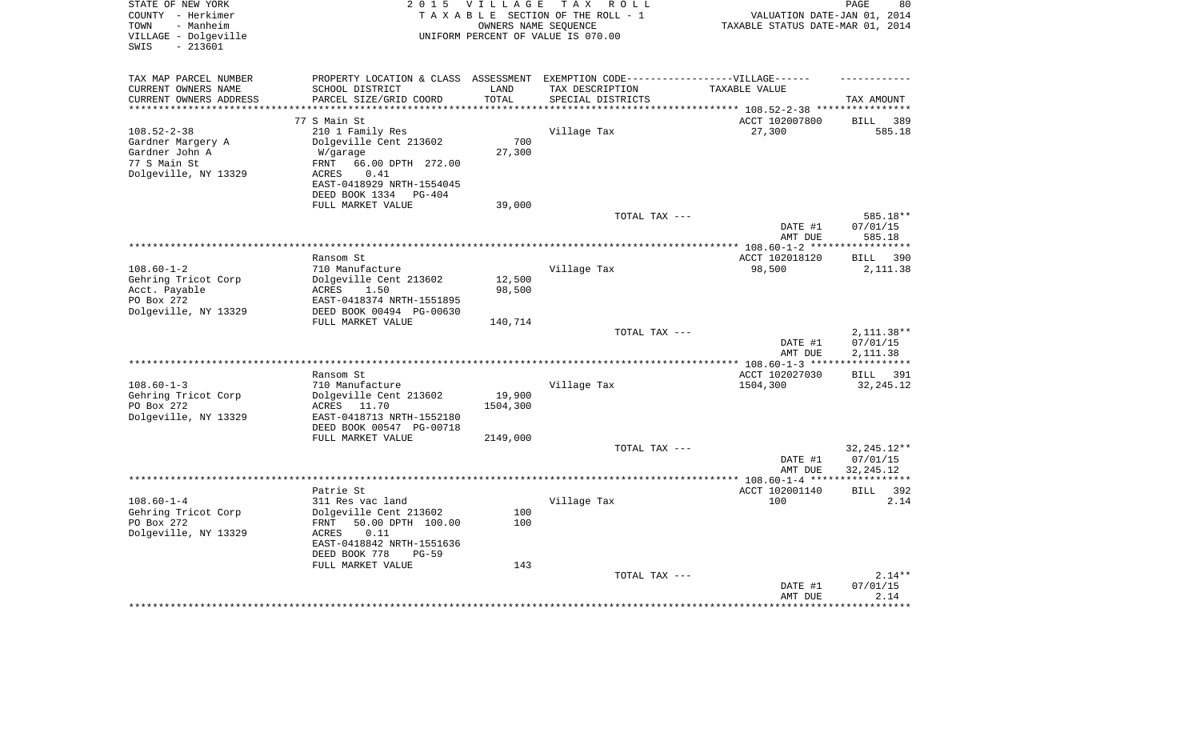| STATE OF NEW YORK<br>COUNTY - Herkimer<br>- Manheim<br>TOWN<br>VILLAGE - Dolgeville<br>$-213601$<br>SWIS | 2 0 1 5                                                 | <b>VILLAGE</b><br>OWNERS NAME SEOUENCE | TAX ROLL<br>TAXABLE SECTION OF THE ROLL - 1<br>UNIFORM PERCENT OF VALUE IS 070.00 | VALUATION DATE-JAN 01, 2014<br>TAXABLE STATUS DATE-MAR 01, 2014 | PAGE<br>80                     |
|----------------------------------------------------------------------------------------------------------|---------------------------------------------------------|----------------------------------------|-----------------------------------------------------------------------------------|-----------------------------------------------------------------|--------------------------------|
| TAX MAP PARCEL NUMBER                                                                                    |                                                         |                                        | PROPERTY LOCATION & CLASS ASSESSMENT EXEMPTION CODE-----------------VILLAGE------ |                                                                 |                                |
| CURRENT OWNERS NAME                                                                                      | SCHOOL DISTRICT                                         | LAND                                   | TAX DESCRIPTION                                                                   | TAXABLE VALUE                                                   |                                |
| CURRENT OWNERS ADDRESS                                                                                   | PARCEL SIZE/GRID COORD                                  | TOTAL                                  | SPECIAL DISTRICTS                                                                 |                                                                 | TAX AMOUNT                     |
|                                                                                                          | 77 S Main St                                            |                                        |                                                                                   | ******* 108.52-2-38 ****<br>ACCT 102007800                      | 389<br>BILL                    |
| $108.52 - 2 - 38$                                                                                        | 210 1 Family Res                                        |                                        | Village Tax                                                                       | 27,300                                                          | 585.18                         |
| Gardner Margery A                                                                                        | Dolgeville Cent 213602                                  | 700                                    |                                                                                   |                                                                 |                                |
| Gardner John A                                                                                           | W/garage                                                | 27,300                                 |                                                                                   |                                                                 |                                |
| 77 S Main St                                                                                             | 66.00 DPTH 272.00<br>FRNT                               |                                        |                                                                                   |                                                                 |                                |
| Dolgeville, NY 13329                                                                                     | <b>ACRES</b><br>0.41                                    |                                        |                                                                                   |                                                                 |                                |
|                                                                                                          | EAST-0418929 NRTH-1554045<br>DEED BOOK 1334<br>$PG-404$ |                                        |                                                                                   |                                                                 |                                |
|                                                                                                          | FULL MARKET VALUE                                       | 39,000                                 |                                                                                   |                                                                 |                                |
|                                                                                                          |                                                         |                                        | TOTAL TAX ---                                                                     |                                                                 | 585.18**                       |
|                                                                                                          |                                                         |                                        |                                                                                   | DATE #1                                                         | 07/01/15                       |
|                                                                                                          |                                                         |                                        |                                                                                   | AMT DUE                                                         | 585.18                         |
|                                                                                                          |                                                         |                                        |                                                                                   |                                                                 | ********                       |
| $108.60 - 1 - 2$                                                                                         | Ransom St<br>710 Manufacture                            |                                        | Village Tax                                                                       | ACCT 102018120<br>98,500                                        | 390<br><b>BILL</b><br>2,111.38 |
| Gehring Tricot Corp                                                                                      | Dolgeville Cent 213602                                  | 12,500                                 |                                                                                   |                                                                 |                                |
| Acct. Payable                                                                                            | ACRES<br>1.50                                           | 98,500                                 |                                                                                   |                                                                 |                                |
| PO Box 272                                                                                               | EAST-0418374 NRTH-1551895                               |                                        |                                                                                   |                                                                 |                                |
| Dolgeville, NY 13329                                                                                     | DEED BOOK 00494 PG-00630                                |                                        |                                                                                   |                                                                 |                                |
|                                                                                                          | FULL MARKET VALUE                                       | 140,714                                |                                                                                   |                                                                 |                                |
|                                                                                                          |                                                         |                                        | TOTAL TAX ---                                                                     | DATE #1                                                         | 2, 111.38**<br>07/01/15        |
|                                                                                                          |                                                         |                                        |                                                                                   | AMT DUE                                                         | 2, 111.38                      |
|                                                                                                          |                                                         |                                        |                                                                                   |                                                                 | * * * * * * * * * * *          |
|                                                                                                          | Ransom St                                               |                                        |                                                                                   | ACCT 102027030                                                  | BILL 391                       |
| $108.60 - 1 - 3$                                                                                         | 710 Manufacture                                         |                                        | Village Tax                                                                       | 1504,300                                                        | 32, 245. 12                    |
| Gehring Tricot Corp                                                                                      | Dolgeville Cent 213602                                  | 19,900                                 |                                                                                   |                                                                 |                                |
| PO Box 272<br>Dolgeville, NY 13329                                                                       | ACRES 11.70<br>EAST-0418713 NRTH-1552180                | 1504,300                               |                                                                                   |                                                                 |                                |
|                                                                                                          | DEED BOOK 00547 PG-00718                                |                                        |                                                                                   |                                                                 |                                |
|                                                                                                          | FULL MARKET VALUE                                       | 2149,000                               |                                                                                   |                                                                 |                                |
|                                                                                                          |                                                         |                                        | TOTAL TAX ---                                                                     |                                                                 | $32, 245.12**$                 |
|                                                                                                          |                                                         |                                        |                                                                                   | DATE #1                                                         | 07/01/15                       |
|                                                                                                          |                                                         |                                        | *********************                                                             | AMT DUE                                                         | 32, 245. 12                    |
|                                                                                                          | Patrie St                                               |                                        |                                                                                   | ** 108.60-1-4 ***<br>ACCT 102001140                             | <b>BILL</b><br>392             |
| $108.60 - 1 - 4$                                                                                         | 311 Res vac land                                        |                                        | Village Tax                                                                       | 100                                                             | 2.14                           |
| Gehring Tricot Corp                                                                                      | Dolgeville Cent 213602                                  | 100                                    |                                                                                   |                                                                 |                                |
| PO Box 272                                                                                               | 50.00 DPTH 100.00<br>FRNT                               | 100                                    |                                                                                   |                                                                 |                                |
| Dolgeville, NY 13329                                                                                     | 0.11<br>ACRES                                           |                                        |                                                                                   |                                                                 |                                |
|                                                                                                          | EAST-0418842 NRTH-1551636                               |                                        |                                                                                   |                                                                 |                                |
|                                                                                                          | DEED BOOK 778<br>$PG-59$                                | 143                                    |                                                                                   |                                                                 |                                |
|                                                                                                          | FULL MARKET VALUE                                       |                                        | TOTAL TAX ---                                                                     |                                                                 | $2.14**$                       |
|                                                                                                          |                                                         |                                        |                                                                                   | DATE #1                                                         | 07/01/15                       |
|                                                                                                          |                                                         |                                        |                                                                                   | AMT DUE                                                         | 2.14                           |
|                                                                                                          |                                                         |                                        |                                                                                   |                                                                 |                                |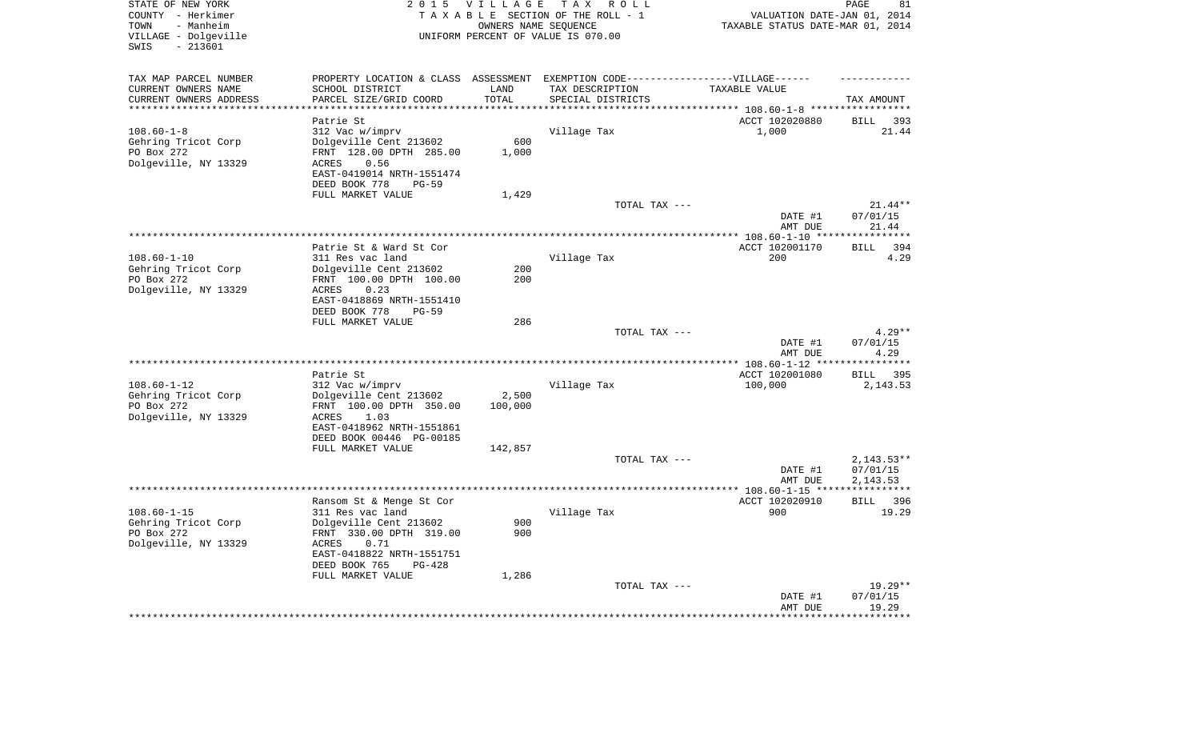| STATE OF NEW YORK<br>COUNTY - Herkimer<br>- Manheim<br>TOWN<br>VILLAGE - Dolgeville<br>$-213601$<br>SWIS |                                                                                   | 2015 VILLAGE       | TAX ROLL<br>TAXABLE SECTION OF THE ROLL - 1<br>OWNERS NAME SEQUENCE<br>UNIFORM PERCENT OF VALUE IS 070.00 | VALUATION DATE-JAN 01, 2014<br>TAXABLE STATUS DATE-MAR 01, 2014 | 81<br>PAGE                  |
|----------------------------------------------------------------------------------------------------------|-----------------------------------------------------------------------------------|--------------------|-----------------------------------------------------------------------------------------------------------|-----------------------------------------------------------------|-----------------------------|
| TAX MAP PARCEL NUMBER                                                                                    | PROPERTY LOCATION & CLASS ASSESSMENT EXEMPTION CODE-----------------VILLAGE------ |                    |                                                                                                           |                                                                 |                             |
| CURRENT OWNERS NAME                                                                                      | SCHOOL DISTRICT                                                                   | LAND               | TAX DESCRIPTION                                                                                           | TAXABLE VALUE                                                   |                             |
| CURRENT OWNERS ADDRESS<br>********************                                                           | PARCEL SIZE/GRID COORD                                                            | TOTAL<br>********* | SPECIAL DISTRICTS                                                                                         |                                                                 | TAX AMOUNT<br>************  |
|                                                                                                          |                                                                                   |                    |                                                                                                           |                                                                 |                             |
| $108.60 - 1 - 8$                                                                                         | Patrie St<br>312 Vac w/imprv                                                      |                    | Village Tax                                                                                               | ACCT 102020880<br>1,000                                         | <b>BILL</b><br>393<br>21.44 |
| Gehring Tricot Corp                                                                                      | Dolgeville Cent 213602                                                            | 600                |                                                                                                           |                                                                 |                             |
| PO Box 272                                                                                               | FRNT 128.00 DPTH 285.00                                                           | 1,000              |                                                                                                           |                                                                 |                             |
| Dolgeville, NY 13329                                                                                     | 0.56<br>ACRES                                                                     |                    |                                                                                                           |                                                                 |                             |
|                                                                                                          | EAST-0419014 NRTH-1551474                                                         |                    |                                                                                                           |                                                                 |                             |
|                                                                                                          | DEED BOOK 778<br>$PG-59$                                                          |                    |                                                                                                           |                                                                 |                             |
|                                                                                                          | FULL MARKET VALUE                                                                 | 1,429              |                                                                                                           |                                                                 |                             |
|                                                                                                          |                                                                                   |                    | TOTAL TAX ---                                                                                             |                                                                 | 21.44**                     |
|                                                                                                          |                                                                                   |                    |                                                                                                           | DATE #1<br>AMT DUE                                              | 07/01/15<br>21.44           |
|                                                                                                          |                                                                                   |                    |                                                                                                           | ******** 108.60-1-10 ***                                        | *******                     |
|                                                                                                          | Patrie St & Ward St Cor                                                           |                    |                                                                                                           | ACCT 102001170                                                  | 394<br><b>BILL</b>          |
| $108.60 - 1 - 10$                                                                                        | 311 Res vac land                                                                  |                    | Village Tax                                                                                               | 200                                                             | 4.29                        |
| Gehring Tricot Corp                                                                                      | Dolgeville Cent 213602                                                            | 200                |                                                                                                           |                                                                 |                             |
| PO Box 272                                                                                               | FRNT 100.00 DPTH 100.00                                                           | 200                |                                                                                                           |                                                                 |                             |
| Dolgeville, NY 13329                                                                                     | ACRES<br>0.23                                                                     |                    |                                                                                                           |                                                                 |                             |
|                                                                                                          | EAST-0418869 NRTH-1551410<br>DEED BOOK 778<br>$PG-59$                             |                    |                                                                                                           |                                                                 |                             |
|                                                                                                          | FULL MARKET VALUE                                                                 | 286                |                                                                                                           |                                                                 |                             |
|                                                                                                          |                                                                                   |                    | TOTAL TAX ---                                                                                             |                                                                 | $4.29**$                    |
|                                                                                                          |                                                                                   |                    |                                                                                                           | DATE #1                                                         | 07/01/15                    |
|                                                                                                          |                                                                                   |                    |                                                                                                           | AMT DUE                                                         | 4.29                        |
|                                                                                                          |                                                                                   |                    |                                                                                                           | ** 108.60-1-12 **                                               | * * * * * * * * *           |
| $108.60 - 1 - 12$                                                                                        | Patrie St                                                                         |                    | Village Tax                                                                                               | ACCT 102001080<br>100,000                                       | 395<br>BILL<br>2, 143.53    |
| Gehring Tricot Corp                                                                                      | 312 Vac w/imprv<br>Dolgeville Cent 213602                                         | 2,500              |                                                                                                           |                                                                 |                             |
| PO Box 272                                                                                               | FRNT 100.00 DPTH 350.00                                                           | 100,000            |                                                                                                           |                                                                 |                             |
| Dolgeville, NY 13329                                                                                     | 1.03<br>ACRES                                                                     |                    |                                                                                                           |                                                                 |                             |
|                                                                                                          | EAST-0418962 NRTH-1551861                                                         |                    |                                                                                                           |                                                                 |                             |
|                                                                                                          | DEED BOOK 00446 PG-00185                                                          |                    |                                                                                                           |                                                                 |                             |
|                                                                                                          | FULL MARKET VALUE                                                                 | 142,857            |                                                                                                           |                                                                 |                             |
|                                                                                                          |                                                                                   |                    | TOTAL TAX ---                                                                                             |                                                                 | $2,143.53**$                |
|                                                                                                          |                                                                                   |                    |                                                                                                           | DATE #1<br>AMT DUE                                              | 07/01/15<br>2,143.53        |
|                                                                                                          |                                                                                   |                    |                                                                                                           |                                                                 |                             |
|                                                                                                          | Ransom St & Menge St Cor                                                          |                    |                                                                                                           | ACCT 102020910                                                  | <b>BILL</b><br>396          |
| $108.60 - 1 - 15$                                                                                        | 311 Res vac land                                                                  |                    | Village Tax                                                                                               | 900                                                             | 19.29                       |
| Gehring Tricot Corp                                                                                      | Dolgeville Cent 213602                                                            | 900                |                                                                                                           |                                                                 |                             |
| PO Box 272                                                                                               | FRNT 330.00 DPTH 319.00                                                           | 900                |                                                                                                           |                                                                 |                             |
| Dolgeville, NY 13329                                                                                     | 0.71<br>ACRES<br>EAST-0418822 NRTH-1551751                                        |                    |                                                                                                           |                                                                 |                             |
|                                                                                                          | DEED BOOK 765<br>PG-428                                                           |                    |                                                                                                           |                                                                 |                             |
|                                                                                                          | FULL MARKET VALUE                                                                 | 1,286              |                                                                                                           |                                                                 |                             |
|                                                                                                          |                                                                                   |                    | TOTAL TAX ---                                                                                             |                                                                 | $19.29**$                   |
|                                                                                                          |                                                                                   |                    |                                                                                                           | DATE #1                                                         | 07/01/15                    |
|                                                                                                          |                                                                                   |                    |                                                                                                           | AMT DUE                                                         | 19.29                       |
|                                                                                                          |                                                                                   |                    |                                                                                                           |                                                                 |                             |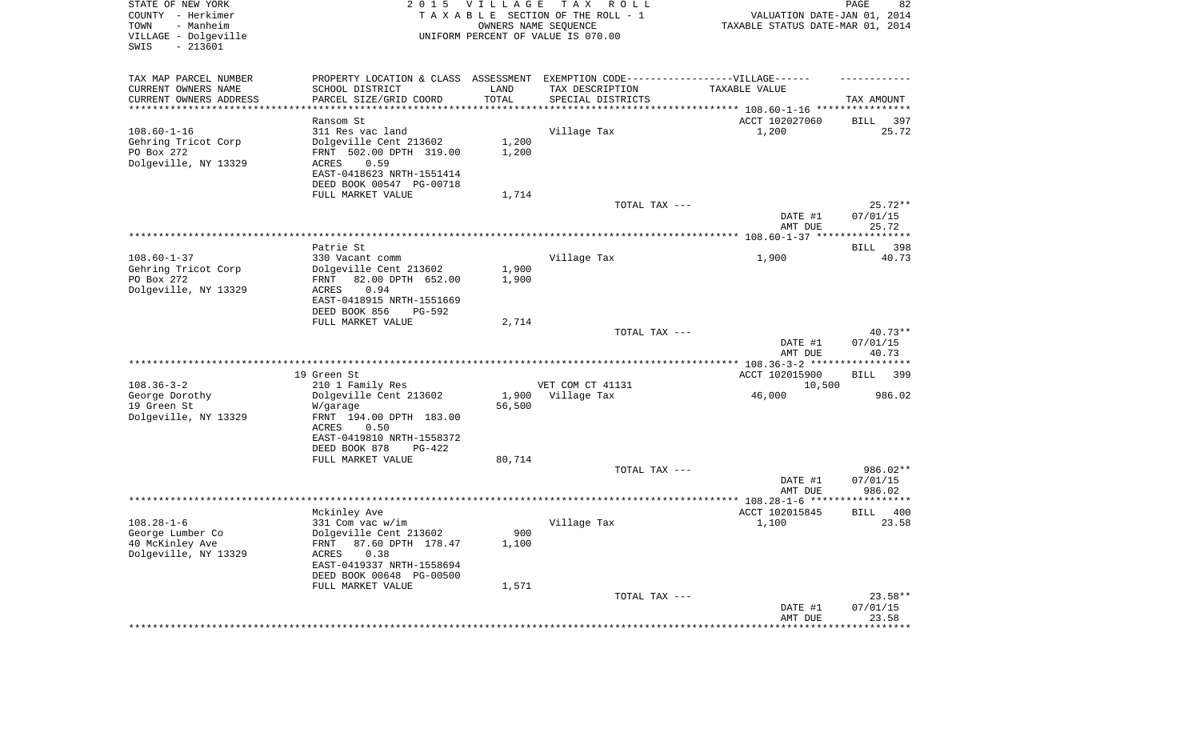| STATE OF NEW YORK<br>COUNTY - Herkimer<br>- Manheim<br>TOWN<br>VILLAGE - Dolgeville<br>SWIS<br>$-213601$ | 2 0 1 5                                                                                                                                                      | VILLAGE<br>OWNERS NAME SEQUENCE | T A X<br>R O L L<br>TAXABLE SECTION OF THE ROLL - 1<br>UNIFORM PERCENT OF VALUE IS 070.00 | VALUATION DATE-JAN 01, 2014<br>TAXABLE STATUS DATE-MAR 01, 2014 | PAGE<br>82                     |
|----------------------------------------------------------------------------------------------------------|--------------------------------------------------------------------------------------------------------------------------------------------------------------|---------------------------------|-------------------------------------------------------------------------------------------|-----------------------------------------------------------------|--------------------------------|
| TAX MAP PARCEL NUMBER<br>CURRENT OWNERS NAME<br>CURRENT OWNERS ADDRESS                                   | PROPERTY LOCATION & CLASS ASSESSMENT EXEMPTION CODE----------------VILLAGE------<br>SCHOOL DISTRICT<br>PARCEL SIZE/GRID COORD                                | LAND<br>TOTAL                   | TAX DESCRIPTION<br>SPECIAL DISTRICTS                                                      | TAXABLE VALUE                                                   | TAX AMOUNT                     |
| **********************                                                                                   |                                                                                                                                                              |                                 |                                                                                           |                                                                 |                                |
| $108.60 - 1 - 16$<br>Gehring Tricot Corp<br>PO Box 272<br>Dolgeville, NY 13329                           | Ransom St<br>311 Res vac land<br>Dolgeville Cent 213602<br>FRNT 502.00 DPTH 319.00<br>ACRES<br>0.59<br>EAST-0418623 NRTH-1551414<br>DEED BOOK 00547 PG-00718 | 1,200<br>1,200                  | Village Tax                                                                               | ACCT 102027060<br>1,200                                         | 397<br>BILL<br>25.72           |
|                                                                                                          | FULL MARKET VALUE                                                                                                                                            | 1,714                           |                                                                                           |                                                                 |                                |
|                                                                                                          |                                                                                                                                                              |                                 | TOTAL TAX ---                                                                             | DATE #1                                                         | $25.72**$<br>07/01/15          |
|                                                                                                          |                                                                                                                                                              |                                 |                                                                                           | AMT DUE                                                         | 25.72                          |
|                                                                                                          | Patrie St                                                                                                                                                    |                                 |                                                                                           |                                                                 | 398<br>BILL                    |
| $108.60 - 1 - 37$<br>Gehring Tricot Corp                                                                 | 330 Vacant comm<br>Dolgeville Cent 213602                                                                                                                    | 1,900                           | Village Tax                                                                               | 1,900                                                           | 40.73                          |
| PO Box 272<br>Dolgeville, NY 13329                                                                       | 82.00 DPTH 652.00<br>FRNT<br>0.94<br>ACRES<br>EAST-0418915 NRTH-1551669<br>DEED BOOK 856<br>PG-592                                                           | 1,900                           |                                                                                           |                                                                 |                                |
|                                                                                                          | FULL MARKET VALUE                                                                                                                                            | 2,714                           |                                                                                           |                                                                 |                                |
|                                                                                                          |                                                                                                                                                              |                                 | TOTAL TAX ---                                                                             | DATE #1<br>AMT DUE                                              | $40.73**$<br>07/01/15<br>40.73 |
|                                                                                                          |                                                                                                                                                              |                                 |                                                                                           |                                                                 |                                |
|                                                                                                          | 19 Green St                                                                                                                                                  |                                 |                                                                                           | ACCT 102015900                                                  | BILL<br>399                    |
| $108.36 - 3 - 2$                                                                                         | 210 1 Family Res                                                                                                                                             |                                 | VET COM CT 41131                                                                          | 10,500                                                          |                                |
| George Dorothy<br>19 Green St<br>Dolgeville, NY 13329                                                    | Dolgeville Cent 213602<br>W/garage<br>FRNT 194.00 DPTH 183.00<br>ACRES<br>0.50                                                                               | 1,900<br>56,500                 | Village Tax                                                                               | 46,000                                                          | 986.02                         |
|                                                                                                          | EAST-0419810 NRTH-1558372<br>DEED BOOK 878<br>PG-422                                                                                                         |                                 |                                                                                           |                                                                 |                                |
|                                                                                                          | FULL MARKET VALUE                                                                                                                                            | 80,714                          | TOTAL TAX ---                                                                             |                                                                 | 986.02**                       |
|                                                                                                          |                                                                                                                                                              |                                 |                                                                                           | DATE #1<br>AMT DUE                                              | 07/01/15<br>986.02             |
|                                                                                                          |                                                                                                                                                              |                                 |                                                                                           |                                                                 |                                |
|                                                                                                          | Mckinley Ave                                                                                                                                                 |                                 |                                                                                           | ACCT 102015845                                                  | 400<br><b>BILL</b>             |
| $108.28 - 1 - 6$<br>George Lumber Co<br>40 McKinley Ave<br>Dolgeville, NY 13329                          | 331 Com vac w/im<br>Dolgeville Cent 213602<br>FRNT 87.60 DPTH 178.47<br>0.38<br>ACRES<br>EAST-0419337 NRTH-1558694                                           | 900<br>1,100                    | Village Tax                                                                               | 1,100                                                           | 23.58                          |
|                                                                                                          | DEED BOOK 00648 PG-00500                                                                                                                                     |                                 |                                                                                           |                                                                 |                                |
|                                                                                                          | FULL MARKET VALUE                                                                                                                                            | 1,571                           |                                                                                           |                                                                 |                                |
|                                                                                                          |                                                                                                                                                              |                                 | TOTAL TAX ---                                                                             | DATE #1<br>AMT DUE                                              | $23.58**$<br>07/01/15<br>23.58 |
|                                                                                                          |                                                                                                                                                              |                                 |                                                                                           | ********************                                            | **************                 |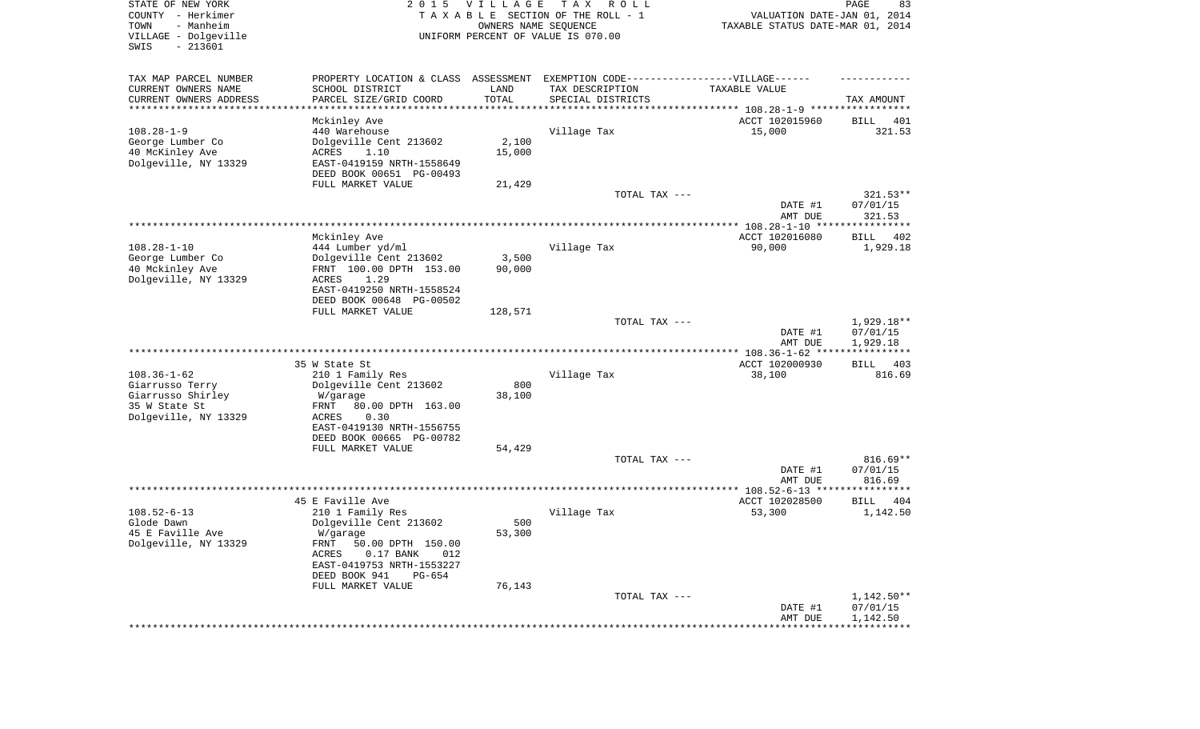| STATE OF NEW YORK<br>COUNTY - Herkimer<br>- Manheim<br>TOWN<br>VILLAGE - Dolgeville<br>$-213601$<br>SWIS | 2 0 1 5                                               | <b>VILLAGE</b> | T A X<br>R O L L<br>TAXABLE SECTION OF THE ROLL - 1<br>OWNERS NAME SEQUENCE<br>UNIFORM PERCENT OF VALUE IS 070.00 | VALUATION DATE-JAN 01, 2014<br>TAXABLE STATUS DATE-MAR 01, 2014 | PAGE<br>83           |
|----------------------------------------------------------------------------------------------------------|-------------------------------------------------------|----------------|-------------------------------------------------------------------------------------------------------------------|-----------------------------------------------------------------|----------------------|
| TAX MAP PARCEL NUMBER                                                                                    | PROPERTY LOCATION & CLASS                             | ASSESSMENT     | EXEMPTION CODE------------------VILLAGE------                                                                     |                                                                 |                      |
| CURRENT OWNERS NAME                                                                                      | SCHOOL DISTRICT                                       | LAND           | TAX DESCRIPTION                                                                                                   | TAXABLE VALUE                                                   |                      |
| CURRENT OWNERS ADDRESS<br>*********************                                                          | PARCEL SIZE/GRID COORD                                | TOTAL          | SPECIAL DISTRICTS                                                                                                 |                                                                 | TAX AMOUNT           |
|                                                                                                          | Mckinley Ave                                          |                |                                                                                                                   | ACCT 102015960                                                  | BILL<br>401          |
| $108.28 - 1 - 9$                                                                                         | 440 Warehouse                                         |                | Village Tax                                                                                                       | 15,000                                                          | 321.53               |
| George Lumber Co                                                                                         | Dolgeville Cent 213602                                | 2,100          |                                                                                                                   |                                                                 |                      |
| 40 McKinley Ave                                                                                          | ACRES<br>1.10                                         | 15,000         |                                                                                                                   |                                                                 |                      |
| Dolgeville, NY 13329                                                                                     | EAST-0419159 NRTH-1558649                             |                |                                                                                                                   |                                                                 |                      |
|                                                                                                          | DEED BOOK 00651 PG-00493                              |                |                                                                                                                   |                                                                 |                      |
|                                                                                                          | FULL MARKET VALUE                                     | 21,429         |                                                                                                                   |                                                                 |                      |
|                                                                                                          |                                                       |                | TOTAL TAX ---                                                                                                     |                                                                 | $321.53**$           |
|                                                                                                          |                                                       |                |                                                                                                                   | DATE #1<br>AMT DUE                                              | 07/01/15<br>321.53   |
|                                                                                                          |                                                       |                |                                                                                                                   |                                                                 |                      |
|                                                                                                          | Mckinley Ave                                          |                |                                                                                                                   | ACCT 102016080                                                  | BILL<br>402          |
| $108.28 - 1 - 10$                                                                                        | 444 Lumber yd/ml                                      |                | Village Tax                                                                                                       | 90,000                                                          | 1,929.18             |
| George Lumber Co                                                                                         | Dolgeville Cent 213602                                | 3,500          |                                                                                                                   |                                                                 |                      |
| 40 Mckinley Ave                                                                                          | FRNT 100.00 DPTH 153.00                               | 90,000         |                                                                                                                   |                                                                 |                      |
| Dolgeville, NY 13329                                                                                     | ACRES<br>1.29                                         |                |                                                                                                                   |                                                                 |                      |
|                                                                                                          | EAST-0419250 NRTH-1558524                             |                |                                                                                                                   |                                                                 |                      |
|                                                                                                          | DEED BOOK 00648 PG-00502<br>FULL MARKET VALUE         | 128,571        |                                                                                                                   |                                                                 |                      |
|                                                                                                          |                                                       |                | TOTAL TAX ---                                                                                                     |                                                                 | 1,929.18**           |
|                                                                                                          |                                                       |                |                                                                                                                   | DATE #1<br>AMT DUE                                              | 07/01/15<br>1,929.18 |
|                                                                                                          |                                                       |                |                                                                                                                   |                                                                 | ***********          |
|                                                                                                          | 35 W State St                                         |                |                                                                                                                   | ACCT 102000930                                                  | 403<br>BILL          |
| $108.36 - 1 - 62$                                                                                        | 210 1 Family Res                                      |                | Village Tax                                                                                                       | 38,100                                                          | 816.69               |
| Giarrusso Terry<br>Giarrusso Shirley                                                                     | Dolgeville Cent 213602<br>W/garage                    | 800<br>38,100  |                                                                                                                   |                                                                 |                      |
| 35 W State St                                                                                            | FRNT<br>80.00 DPTH 163.00                             |                |                                                                                                                   |                                                                 |                      |
| Dolgeville, NY 13329                                                                                     | ACRES<br>0.30                                         |                |                                                                                                                   |                                                                 |                      |
|                                                                                                          | EAST-0419130 NRTH-1556755                             |                |                                                                                                                   |                                                                 |                      |
|                                                                                                          | DEED BOOK 00665 PG-00782                              |                |                                                                                                                   |                                                                 |                      |
|                                                                                                          | FULL MARKET VALUE                                     | 54,429         |                                                                                                                   |                                                                 |                      |
|                                                                                                          |                                                       |                | TOTAL TAX ---                                                                                                     |                                                                 | $816.69**$           |
|                                                                                                          |                                                       |                |                                                                                                                   | DATE #1<br>AMT DUE                                              | 07/01/15<br>816.69   |
|                                                                                                          |                                                       |                |                                                                                                                   |                                                                 |                      |
|                                                                                                          | 45 E Faville Ave                                      |                |                                                                                                                   | ACCT 102028500                                                  | <b>BILL</b><br>404   |
| $108.52 - 6 - 13$                                                                                        | 210 1 Family Res                                      |                | Village Tax                                                                                                       | 53,300                                                          | 1,142.50             |
| Glode Dawn                                                                                               | Dolgeville Cent 213602                                | 500            |                                                                                                                   |                                                                 |                      |
| 45 E Faville Ave                                                                                         | W/garage                                              | 53,300         |                                                                                                                   |                                                                 |                      |
| Dolgeville, NY 13329                                                                                     | FRNT 50.00 DPTH 150.00<br>ACRES<br>$0.17$ BANK<br>012 |                |                                                                                                                   |                                                                 |                      |
|                                                                                                          | EAST-0419753 NRTH-1553227                             |                |                                                                                                                   |                                                                 |                      |
|                                                                                                          | DEED BOOK 941<br>PG-654                               |                |                                                                                                                   |                                                                 |                      |
|                                                                                                          | FULL MARKET VALUE                                     | 76,143         |                                                                                                                   |                                                                 |                      |
|                                                                                                          |                                                       |                | TOTAL TAX ---                                                                                                     |                                                                 | 1,142.50**           |
|                                                                                                          |                                                       |                |                                                                                                                   | DATE #1                                                         | 07/01/15             |
|                                                                                                          |                                                       |                |                                                                                                                   | AMT DUE<br>**********************************                   | 1,142.50             |
|                                                                                                          |                                                       |                |                                                                                                                   |                                                                 |                      |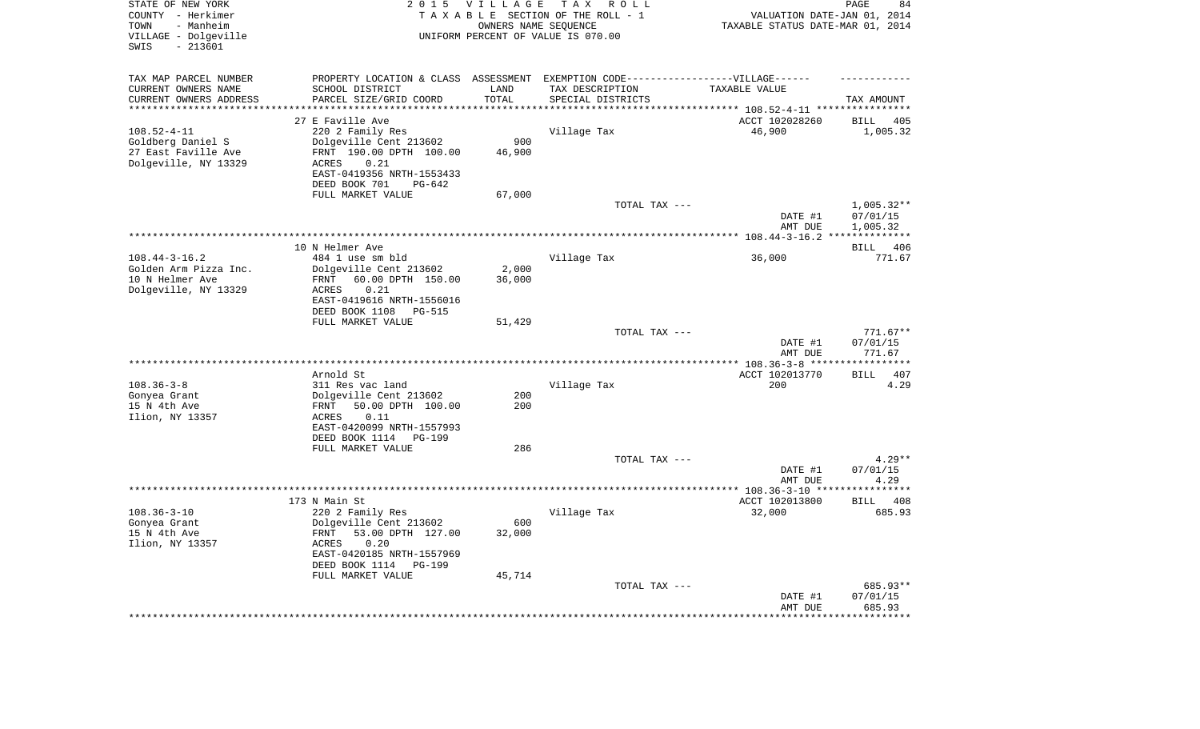| STATE OF NEW YORK<br>COUNTY - Herkimer<br>- Manheim<br>TOWN<br>VILLAGE - Dolgeville<br>$-213601$<br>SWIS | 2 0 1 5                                                                           | <b>VILLAGE</b><br>OWNERS NAME SEQUENCE | T A X<br>R O L L<br>TAXABLE SECTION OF THE ROLL - 1<br>UNIFORM PERCENT OF VALUE IS 070.00 | VALUATION DATE-JAN 01, 2014<br>TAXABLE STATUS DATE-MAR 01, 2014 | PAGE<br>84             |
|----------------------------------------------------------------------------------------------------------|-----------------------------------------------------------------------------------|----------------------------------------|-------------------------------------------------------------------------------------------|-----------------------------------------------------------------|------------------------|
| TAX MAP PARCEL NUMBER                                                                                    | PROPERTY LOCATION & CLASS ASSESSMENT EXEMPTION CODE-----------------VILLAGE------ |                                        |                                                                                           |                                                                 |                        |
| CURRENT OWNERS NAME                                                                                      | SCHOOL DISTRICT                                                                   | LAND                                   | TAX DESCRIPTION                                                                           | TAXABLE VALUE                                                   |                        |
| CURRENT OWNERS ADDRESS<br>********************                                                           | PARCEL SIZE/GRID COORD                                                            | TOTAL<br>*******                       | SPECIAL DISTRICTS                                                                         | *************************** 108.52-4-11 ****************        | TAX AMOUNT             |
|                                                                                                          | 27 E Faville Ave                                                                  |                                        |                                                                                           | ACCT 102028260                                                  | <b>BILL</b><br>405     |
| $108.52 - 4 - 11$                                                                                        | 220 2 Family Res                                                                  |                                        | Village Tax                                                                               | 46,900                                                          | 1,005.32               |
| Goldberg Daniel S                                                                                        | Dolgeville Cent 213602                                                            | 900                                    |                                                                                           |                                                                 |                        |
| 27 East Faville Ave                                                                                      | FRNT 190.00 DPTH 100.00                                                           | 46,900                                 |                                                                                           |                                                                 |                        |
| Dolgeville, NY 13329                                                                                     | 0.21<br>ACRES                                                                     |                                        |                                                                                           |                                                                 |                        |
|                                                                                                          | EAST-0419356 NRTH-1553433                                                         |                                        |                                                                                           |                                                                 |                        |
|                                                                                                          | DEED BOOK 701<br>PG-642<br>FULL MARKET VALUE                                      | 67,000                                 |                                                                                           |                                                                 |                        |
|                                                                                                          |                                                                                   |                                        | TOTAL TAX ---                                                                             |                                                                 | $1,005.32**$           |
|                                                                                                          |                                                                                   |                                        |                                                                                           | DATE #1                                                         | 07/01/15               |
|                                                                                                          |                                                                                   |                                        |                                                                                           | AMT DUE                                                         | 1,005.32               |
|                                                                                                          |                                                                                   |                                        |                                                                                           | ************* 108.44-3-16.2                                     |                        |
|                                                                                                          | 10 N Helmer Ave                                                                   |                                        |                                                                                           |                                                                 | 406<br><b>BILL</b>     |
| $108.44 - 3 - 16.2$<br>Golden Arm Pizza Inc.                                                             | 484 1 use sm bld<br>Dolgeville Cent 213602                                        | 2,000                                  | Village Tax                                                                               | 36,000                                                          | 771.67                 |
| 10 N Helmer Ave                                                                                          | 60.00 DPTH 150.00<br>FRNT                                                         | 36,000                                 |                                                                                           |                                                                 |                        |
| Dolgeville, NY 13329                                                                                     | <b>ACRES</b><br>0.21                                                              |                                        |                                                                                           |                                                                 |                        |
|                                                                                                          | EAST-0419616 NRTH-1556016                                                         |                                        |                                                                                           |                                                                 |                        |
|                                                                                                          | DEED BOOK 1108<br><b>PG-515</b>                                                   |                                        |                                                                                           |                                                                 |                        |
|                                                                                                          | FULL MARKET VALUE                                                                 | 51,429                                 |                                                                                           |                                                                 |                        |
|                                                                                                          |                                                                                   |                                        | TOTAL TAX ---                                                                             | DATE #1                                                         | $771.67**$<br>07/01/15 |
|                                                                                                          |                                                                                   |                                        |                                                                                           | AMT DUE                                                         | 771.67                 |
|                                                                                                          |                                                                                   |                                        | ***********************                                                                   | ****** 108.36-3-8 ***                                           | *********              |
|                                                                                                          | Arnold St                                                                         |                                        |                                                                                           | ACCT 102013770                                                  | 407<br><b>BILL</b>     |
| $108.36 - 3 - 8$                                                                                         | 311 Res vac land                                                                  |                                        | Village Tax                                                                               | 200                                                             | 4.29                   |
| Gonyea Grant                                                                                             | Dolgeville Cent 213602                                                            | 200                                    |                                                                                           |                                                                 |                        |
| 15 N 4th Ave<br>Ilion, NY 13357                                                                          | 50.00 DPTH 100.00<br>FRNT<br>0.11<br>ACRES                                        | 200                                    |                                                                                           |                                                                 |                        |
|                                                                                                          | EAST-0420099 NRTH-1557993                                                         |                                        |                                                                                           |                                                                 |                        |
|                                                                                                          | DEED BOOK 1114<br><b>PG-199</b>                                                   |                                        |                                                                                           |                                                                 |                        |
|                                                                                                          | FULL MARKET VALUE                                                                 | 286                                    |                                                                                           |                                                                 |                        |
|                                                                                                          |                                                                                   |                                        | TOTAL TAX ---                                                                             |                                                                 | $4.29**$               |
|                                                                                                          |                                                                                   |                                        |                                                                                           | DATE #1                                                         | 07/01/15               |
|                                                                                                          |                                                                                   |                                        |                                                                                           | AMT DUE<br>************* 108.36-3-10 ***                        | 4.29<br>*******        |
|                                                                                                          | 173 N Main St                                                                     |                                        |                                                                                           | ACCT 102013800                                                  | <b>BILL</b><br>408     |
| $108.36 - 3 - 10$                                                                                        | 220 2 Family Res                                                                  |                                        | Village Tax                                                                               | 32,000                                                          | 685.93                 |
| Gonyea Grant                                                                                             | Dolgeville Cent 213602                                                            | 600                                    |                                                                                           |                                                                 |                        |
| 15 N 4th Ave                                                                                             | FRNT<br>53.00 DPTH 127.00                                                         | 32,000                                 |                                                                                           |                                                                 |                        |
| Ilion, NY 13357                                                                                          | 0.20<br>ACRES                                                                     |                                        |                                                                                           |                                                                 |                        |
|                                                                                                          | EAST-0420185 NRTH-1557969                                                         |                                        |                                                                                           |                                                                 |                        |
|                                                                                                          | DEED BOOK 1114<br><b>PG-199</b><br>FULL MARKET VALUE                              | 45,714                                 |                                                                                           |                                                                 |                        |
|                                                                                                          |                                                                                   |                                        | TOTAL TAX ---                                                                             |                                                                 | 685.93**               |
|                                                                                                          |                                                                                   |                                        |                                                                                           | DATE #1                                                         | 07/01/15               |
|                                                                                                          |                                                                                   |                                        |                                                                                           | AMT DUE                                                         | 685.93                 |
|                                                                                                          |                                                                                   |                                        |                                                                                           |                                                                 | *******                |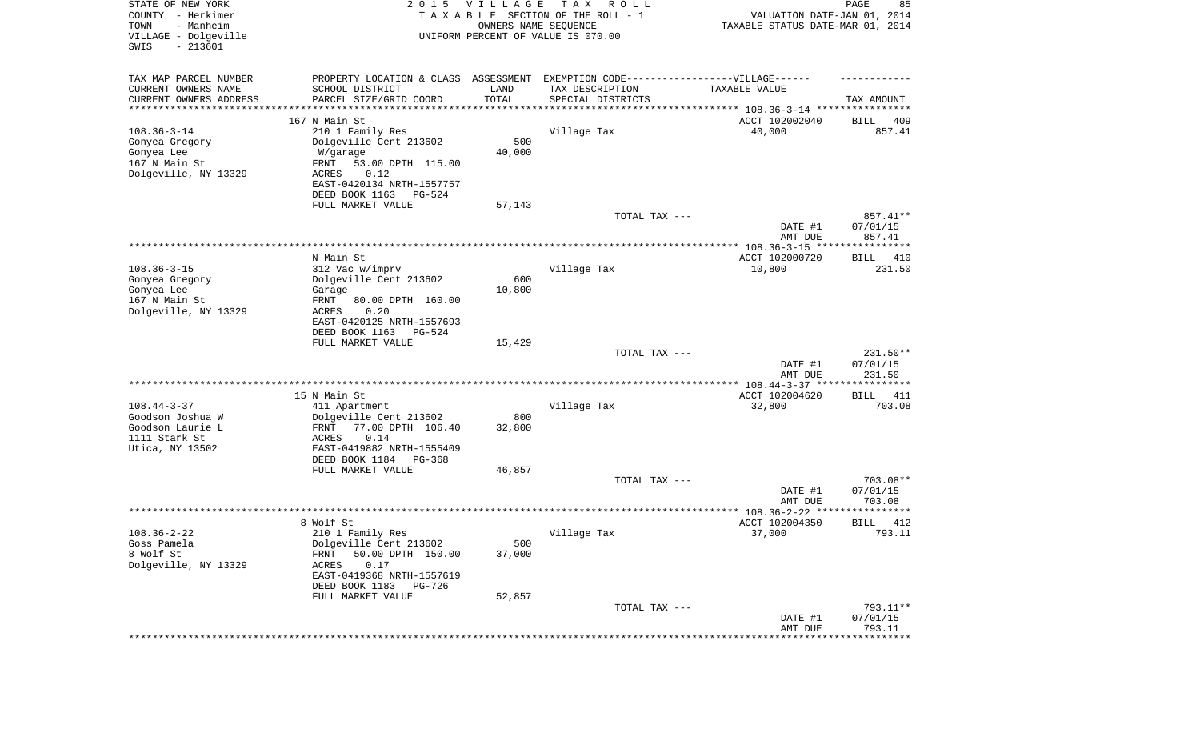| STATE OF NEW YORK<br>COUNTY - Herkimer<br>TOWN<br>- Manheim<br>VILLAGE - Dolgeville<br>SWIS<br>$-213601$ | 2 0 1 5                                                                          | <b>VILLAGE</b><br>OWNERS NAME SEQUENCE | T A X<br>R O L L<br>TAXABLE SECTION OF THE ROLL - 1<br>UNIFORM PERCENT OF VALUE IS 070.00 | VALUATION DATE-JAN 01, 2014<br>TAXABLE STATUS DATE-MAR 01, 2014 | PAGE<br>85           |
|----------------------------------------------------------------------------------------------------------|----------------------------------------------------------------------------------|----------------------------------------|-------------------------------------------------------------------------------------------|-----------------------------------------------------------------|----------------------|
| TAX MAP PARCEL NUMBER                                                                                    | PROPERTY LOCATION & CLASS ASSESSMENT EXEMPTION CODE----------------VILLAGE------ |                                        |                                                                                           |                                                                 |                      |
| CURRENT OWNERS NAME                                                                                      | SCHOOL DISTRICT                                                                  | LAND                                   | TAX DESCRIPTION                                                                           | TAXABLE VALUE                                                   |                      |
| CURRENT OWNERS ADDRESS<br>*********************                                                          | PARCEL SIZE/GRID COORD                                                           | TOTAL                                  | SPECIAL DISTRICTS                                                                         |                                                                 | TAX AMOUNT           |
|                                                                                                          | 167 N Main St                                                                    |                                        |                                                                                           | ACCT 102002040                                                  | 409<br>BILL          |
| $108.36 - 3 - 14$                                                                                        | 210 1 Family Res                                                                 |                                        | Village Tax                                                                               | 40,000                                                          | 857.41               |
| Gonyea Gregory                                                                                           | Dolgeville Cent 213602                                                           | 500                                    |                                                                                           |                                                                 |                      |
| Gonyea Lee<br>167 N Main St                                                                              | W/garage<br>53.00 DPTH 115.00<br>FRNT                                            | 40,000                                 |                                                                                           |                                                                 |                      |
| Dolgeville, NY 13329                                                                                     | ACRES<br>0.12                                                                    |                                        |                                                                                           |                                                                 |                      |
|                                                                                                          | EAST-0420134 NRTH-1557757                                                        |                                        |                                                                                           |                                                                 |                      |
|                                                                                                          | DEED BOOK 1163<br>PG-524                                                         |                                        |                                                                                           |                                                                 |                      |
|                                                                                                          | FULL MARKET VALUE                                                                | 57,143                                 | TOTAL TAX ---                                                                             |                                                                 | 857.41**             |
|                                                                                                          |                                                                                  |                                        |                                                                                           | DATE #1                                                         | 07/01/15             |
|                                                                                                          |                                                                                  |                                        |                                                                                           | AMT DUE                                                         | 857.41               |
|                                                                                                          |                                                                                  |                                        |                                                                                           |                                                                 |                      |
|                                                                                                          | N Main St                                                                        |                                        |                                                                                           | ACCT 102000720                                                  | BILL<br>410          |
| $108.36 - 3 - 15$<br>Gonyea Gregory                                                                      | 312 Vac w/imprv<br>Dolgeville Cent 213602                                        | 600                                    | Village Tax                                                                               | 10,800                                                          | 231.50               |
| Gonyea Lee                                                                                               | Garage                                                                           | 10,800                                 |                                                                                           |                                                                 |                      |
| 167 N Main St                                                                                            | FRNT<br>80.00 DPTH 160.00                                                        |                                        |                                                                                           |                                                                 |                      |
| Dolgeville, NY 13329                                                                                     | <b>ACRES</b><br>0.20                                                             |                                        |                                                                                           |                                                                 |                      |
|                                                                                                          | EAST-0420125 NRTH-1557693<br>DEED BOOK 1163<br>PG-524                            |                                        |                                                                                           |                                                                 |                      |
|                                                                                                          | FULL MARKET VALUE                                                                | 15,429                                 |                                                                                           |                                                                 |                      |
|                                                                                                          |                                                                                  |                                        | TOTAL TAX ---                                                                             |                                                                 | 231.50**             |
|                                                                                                          |                                                                                  |                                        |                                                                                           | DATE #1                                                         | 07/01/15             |
|                                                                                                          |                                                                                  |                                        |                                                                                           | AMT DUE                                                         | 231.50               |
|                                                                                                          | 15 N Main St                                                                     |                                        |                                                                                           | ACCT 102004620                                                  | BILL<br>411          |
| $108.44 - 3 - 37$                                                                                        | 411 Apartment                                                                    |                                        | Village Tax                                                                               | 32,800                                                          | 703.08               |
| Goodson Joshua W                                                                                         | Dolgeville Cent 213602                                                           | 800                                    |                                                                                           |                                                                 |                      |
| Goodson Laurie L<br>1111 Stark St                                                                        | FRNT<br>77.00 DPTH 106.40<br>ACRES<br>0.14                                       | 32,800                                 |                                                                                           |                                                                 |                      |
| Utica, NY 13502                                                                                          | EAST-0419882 NRTH-1555409                                                        |                                        |                                                                                           |                                                                 |                      |
|                                                                                                          | DEED BOOK 1184<br>PG-368                                                         |                                        |                                                                                           |                                                                 |                      |
|                                                                                                          | FULL MARKET VALUE                                                                | 46,857                                 |                                                                                           |                                                                 |                      |
|                                                                                                          |                                                                                  |                                        | TOTAL TAX ---                                                                             | DATE #1                                                         | 703.08**<br>07/01/15 |
|                                                                                                          |                                                                                  |                                        |                                                                                           | AMT DUE                                                         | 703.08               |
|                                                                                                          |                                                                                  |                                        |                                                                                           | ***************** 108.36-2-22 ********                          | *****                |
|                                                                                                          | 8 Wolf St                                                                        |                                        |                                                                                           | ACCT 102004350                                                  | 412<br>BILL          |
| $108.36 - 2 - 22$<br>Goss Pamela                                                                         | 210 1 Family Res<br>Dolgeville Cent 213602                                       | 500                                    | Village Tax                                                                               | 37,000                                                          | 793.11               |
| 8 Wolf St                                                                                                | 50.00 DPTH 150.00<br>FRNT                                                        | 37,000                                 |                                                                                           |                                                                 |                      |
| Dolgeville, NY 13329                                                                                     | ACRES<br>0.17                                                                    |                                        |                                                                                           |                                                                 |                      |
|                                                                                                          | EAST-0419368 NRTH-1557619                                                        |                                        |                                                                                           |                                                                 |                      |
|                                                                                                          | DEED BOOK 1183<br>PG-726                                                         |                                        |                                                                                           |                                                                 |                      |
|                                                                                                          | FULL MARKET VALUE                                                                | 52,857                                 | TOTAL TAX ---                                                                             |                                                                 | 793.11**             |
|                                                                                                          |                                                                                  |                                        |                                                                                           | DATE #1                                                         | 07/01/15             |
|                                                                                                          |                                                                                  |                                        |                                                                                           | AMT DUE                                                         | 793.11               |
|                                                                                                          |                                                                                  |                                        |                                                                                           |                                                                 | **************       |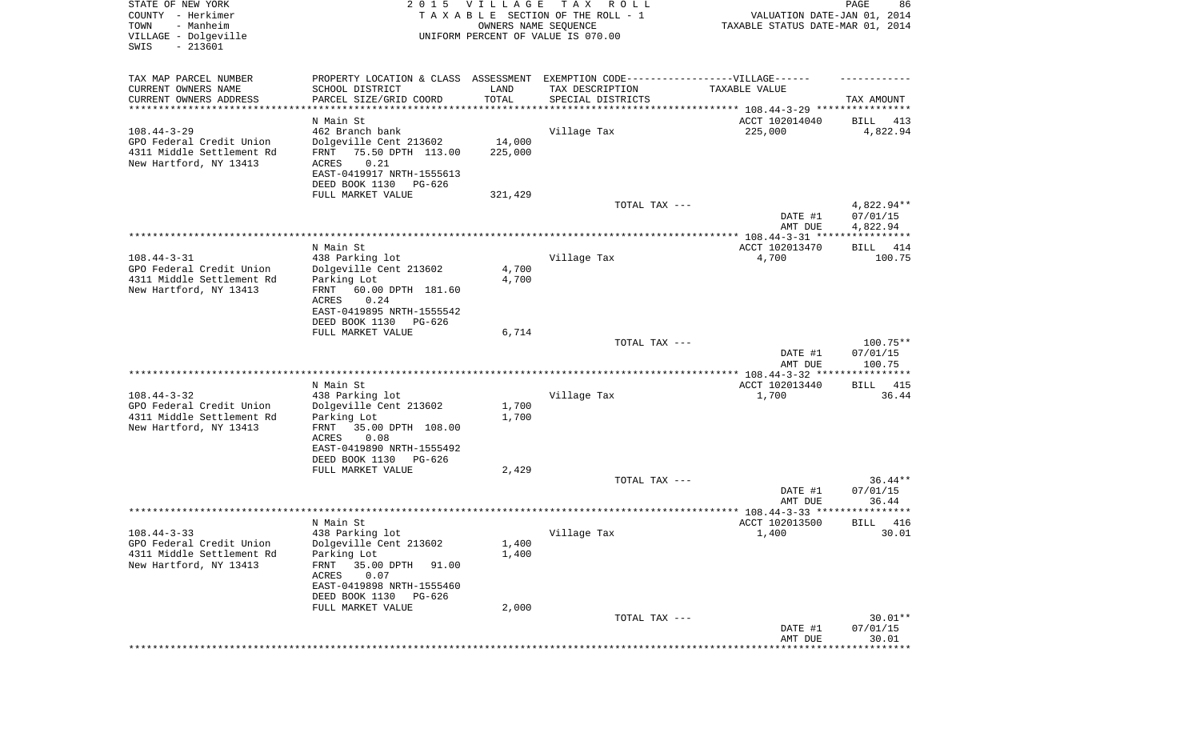| STATE OF NEW YORK<br>COUNTY - Herkimer<br>TOWN<br>- Manheim<br>VILLAGE - Dolgeville<br>SWIS<br>$-213601$ |                                                     | 2015 VILLAGE<br>OWNERS NAME SEQUENCE | T A X<br>R O L L<br>TAXABLE SECTION OF THE ROLL - 1<br>UNIFORM PERCENT OF VALUE IS 070.00 | VALUATION DATE-JAN 01, 2014<br>TAXABLE STATUS DATE-MAR 01, 2014 | PAGE<br>86               |
|----------------------------------------------------------------------------------------------------------|-----------------------------------------------------|--------------------------------------|-------------------------------------------------------------------------------------------|-----------------------------------------------------------------|--------------------------|
| TAX MAP PARCEL NUMBER                                                                                    |                                                     |                                      | PROPERTY LOCATION & CLASS ASSESSMENT EXEMPTION CODE----------------VILLAGE------          |                                                                 |                          |
| CURRENT OWNERS NAME                                                                                      | SCHOOL DISTRICT                                     | LAND                                 | TAX DESCRIPTION                                                                           | TAXABLE VALUE                                                   |                          |
| CURRENT OWNERS ADDRESS<br>***********************                                                        | PARCEL SIZE/GRID COORD<br>********************      | TOTAL                                | SPECIAL DISTRICTS                                                                         |                                                                 | TAX AMOUNT               |
|                                                                                                          | N Main St                                           |                                      |                                                                                           | ACCT 102014040                                                  | BILL<br>413              |
| $108.44 - 3 - 29$                                                                                        | 462 Branch bank                                     |                                      | Village Tax                                                                               | 225,000                                                         | 4,822.94                 |
| GPO Federal Credit Union<br>4311 Middle Settlement Rd                                                    | Dolgeville Cent 213602<br>FRNT<br>75.50 DPTH 113.00 | 14,000<br>225,000                    |                                                                                           |                                                                 |                          |
| New Hartford, NY 13413                                                                                   | 0.21<br>ACRES                                       |                                      |                                                                                           |                                                                 |                          |
|                                                                                                          | EAST-0419917 NRTH-1555613                           |                                      |                                                                                           |                                                                 |                          |
|                                                                                                          | DEED BOOK 1130<br>PG-626<br>FULL MARKET VALUE       | 321,429                              |                                                                                           |                                                                 |                          |
|                                                                                                          |                                                     |                                      | TOTAL TAX ---                                                                             |                                                                 | $4,822.94**$             |
|                                                                                                          |                                                     |                                      |                                                                                           | DATE #1                                                         | 07/01/15                 |
|                                                                                                          |                                                     |                                      |                                                                                           | AMT DUE                                                         | 4,822.94                 |
|                                                                                                          | N Main St                                           |                                      |                                                                                           | ACCT 102013470                                                  | BILL<br>414              |
| $108.44 - 3 - 31$                                                                                        | 438 Parking lot                                     |                                      | Village Tax                                                                               | 4,700                                                           | 100.75                   |
| GPO Federal Credit Union                                                                                 | Dolgeville Cent 213602                              | 4,700                                |                                                                                           |                                                                 |                          |
| 4311 Middle Settlement Rd<br>New Hartford, NY 13413                                                      | Parking Lot<br>60.00 DPTH 181.60<br>FRNT            | 4,700                                |                                                                                           |                                                                 |                          |
|                                                                                                          | ACRES<br>0.24                                       |                                      |                                                                                           |                                                                 |                          |
|                                                                                                          | EAST-0419895 NRTH-1555542                           |                                      |                                                                                           |                                                                 |                          |
|                                                                                                          | DEED BOOK 1130<br>PG-626<br>FULL MARKET VALUE       | 6,714                                |                                                                                           |                                                                 |                          |
|                                                                                                          |                                                     |                                      | TOTAL TAX ---                                                                             |                                                                 | $100.75**$               |
|                                                                                                          |                                                     |                                      |                                                                                           | DATE #1                                                         | 07/01/15                 |
|                                                                                                          |                                                     |                                      |                                                                                           | AMT DUE<br>************* 108.44-3-32 *****************          | 100.75                   |
|                                                                                                          | N Main St                                           |                                      |                                                                                           | ACCT 102013440                                                  | 415<br>BILL              |
| $108.44 - 3 - 32$                                                                                        | 438 Parking lot                                     |                                      | Village Tax                                                                               | 1,700                                                           | 36.44                    |
| GPO Federal Credit Union                                                                                 | Dolgeville Cent 213602                              | 1,700                                |                                                                                           |                                                                 |                          |
| 4311 Middle Settlement Rd<br>New Hartford, NY 13413                                                      | Parking Lot<br>FRNT<br>35.00 DPTH 108.00            | 1,700                                |                                                                                           |                                                                 |                          |
|                                                                                                          | ACRES<br>0.08                                       |                                      |                                                                                           |                                                                 |                          |
|                                                                                                          | EAST-0419890 NRTH-1555492                           |                                      |                                                                                           |                                                                 |                          |
|                                                                                                          | DEED BOOK 1130<br>PG-626<br>FULL MARKET VALUE       | 2,429                                |                                                                                           |                                                                 |                          |
|                                                                                                          |                                                     |                                      | TOTAL TAX ---                                                                             |                                                                 | $36.44**$                |
|                                                                                                          |                                                     |                                      |                                                                                           | DATE #1                                                         | 07/01/15                 |
|                                                                                                          |                                                     |                                      |                                                                                           | AMT DUE                                                         | 36.44<br>******          |
|                                                                                                          | N Main St                                           |                                      |                                                                                           | ACCT 102013500                                                  | 416<br>BILL              |
| $108.44 - 3 - 33$                                                                                        | 438 Parking lot                                     |                                      | Village Tax                                                                               | 1,400                                                           | 30.01                    |
| GPO Federal Credit Union                                                                                 | Dolgeville Cent 213602                              | 1,400                                |                                                                                           |                                                                 |                          |
| 4311 Middle Settlement Rd<br>New Hartford, NY 13413                                                      | Parking Lot<br>35.00 DPTH<br>FRNT<br>91.00          | 1,400                                |                                                                                           |                                                                 |                          |
|                                                                                                          | ACRES<br>0.07                                       |                                      |                                                                                           |                                                                 |                          |
|                                                                                                          | EAST-0419898 NRTH-1555460                           |                                      |                                                                                           |                                                                 |                          |
|                                                                                                          | DEED BOOK 1130<br>PG-626<br>FULL MARKET VALUE       | 2,000                                |                                                                                           |                                                                 |                          |
|                                                                                                          |                                                     |                                      | TOTAL TAX ---                                                                             |                                                                 | $30.01**$                |
|                                                                                                          |                                                     |                                      |                                                                                           | DATE #1                                                         | 07/01/15                 |
|                                                                                                          |                                                     |                                      |                                                                                           | AMT DUE                                                         | 30.01<br>* * * * * * * * |
|                                                                                                          |                                                     |                                      |                                                                                           |                                                                 |                          |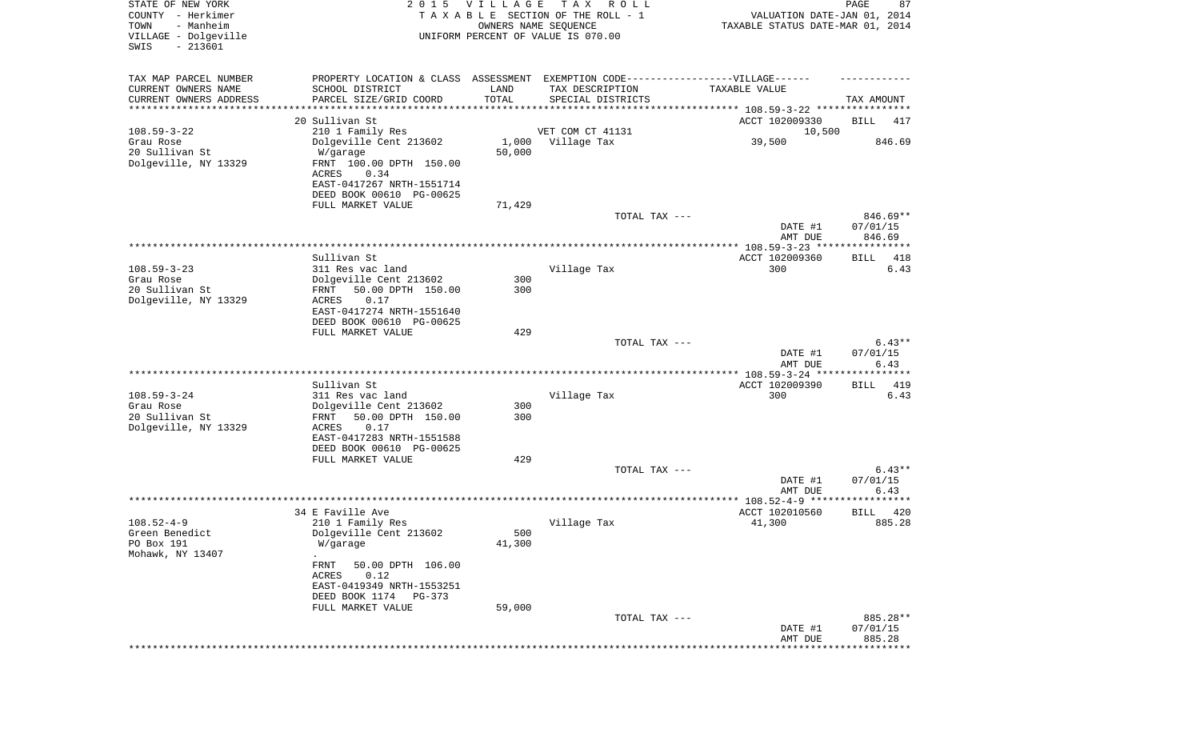| STATE OF NEW YORK<br>COUNTY - Herkimer<br>- Manheim<br>TOWN<br>VILLAGE - Dolgeville<br>$-213601$<br>SWIS |                                                                                                     | 2015 VILLAGE  | T A X<br>R O L L<br>TAXABLE SECTION OF THE ROLL - 1<br>OWNERS NAME SEQUENCE<br>UNIFORM PERCENT OF VALUE IS 070.00 | VALUATION DATE-JAN 01, 2014<br>TAXABLE STATUS DATE-MAR 01, 2014 | PAGE<br>87                   |
|----------------------------------------------------------------------------------------------------------|-----------------------------------------------------------------------------------------------------|---------------|-------------------------------------------------------------------------------------------------------------------|-----------------------------------------------------------------|------------------------------|
| TAX MAP PARCEL NUMBER<br>CURRENT OWNERS NAME                                                             | PROPERTY LOCATION & CLASS ASSESSMENT EXEMPTION CODE----------------VILLAGE------<br>SCHOOL DISTRICT | LAND          | TAX DESCRIPTION                                                                                                   | TAXABLE VALUE                                                   |                              |
| CURRENT OWNERS ADDRESS                                                                                   | PARCEL SIZE/GRID COORD                                                                              | TOTAL         | SPECIAL DISTRICTS                                                                                                 |                                                                 | TAX AMOUNT                   |
| *********************                                                                                    | *******************<br>20 Sullivan St                                                               |               |                                                                                                                   | ACCT 102009330                                                  | BILL<br>417                  |
| $108.59 - 3 - 22$                                                                                        | 210 1 Family Res                                                                                    |               | VET COM CT 41131                                                                                                  | 10,500                                                          |                              |
| Grau Rose                                                                                                | Dolgeville Cent 213602                                                                              |               | 1,000 Village Tax                                                                                                 | 39,500                                                          | 846.69                       |
| 20 Sullivan St<br>Dolgeville, NY 13329                                                                   | W/garage<br>FRNT 100.00 DPTH 150.00<br>ACRES<br>0.34                                                | 50,000        |                                                                                                                   |                                                                 |                              |
|                                                                                                          | EAST-0417267 NRTH-1551714<br>DEED BOOK 00610 PG-00625                                               |               |                                                                                                                   |                                                                 |                              |
|                                                                                                          | FULL MARKET VALUE                                                                                   | 71,429        | TOTAL TAX ---                                                                                                     |                                                                 | 846.69**                     |
|                                                                                                          |                                                                                                     |               |                                                                                                                   | DATE #1<br>AMT DUE                                              | 07/01/15<br>846.69           |
|                                                                                                          |                                                                                                     |               |                                                                                                                   |                                                                 |                              |
| $108.59 - 3 - 23$                                                                                        | Sullivan St<br>311 Res vac land                                                                     |               | Village Tax                                                                                                       | ACCT 102009360<br>300                                           | BILL<br>418<br>6.43          |
| Grau Rose                                                                                                | Dolgeville Cent 213602                                                                              | 300           |                                                                                                                   |                                                                 |                              |
| 20 Sullivan St                                                                                           | 50.00 DPTH 150.00<br>FRNT                                                                           | 300           |                                                                                                                   |                                                                 |                              |
| Dolgeville, NY 13329                                                                                     | ACRES<br>0.17<br>EAST-0417274 NRTH-1551640<br>DEED BOOK 00610 PG-00625                              |               |                                                                                                                   |                                                                 |                              |
|                                                                                                          | FULL MARKET VALUE                                                                                   | 429           |                                                                                                                   |                                                                 |                              |
|                                                                                                          |                                                                                                     |               | TOTAL TAX ---                                                                                                     | DATE #1<br>AMT DUE                                              | $6.43**$<br>07/01/15<br>6.43 |
|                                                                                                          |                                                                                                     |               |                                                                                                                   | **************** 108.59-3-24 ***                                | **********                   |
|                                                                                                          | Sullivan St                                                                                         |               |                                                                                                                   | ACCT 102009390                                                  | 419<br>BILL                  |
| $108.59 - 3 - 24$<br>Grau Rose                                                                           | 311 Res vac land<br>Dolgeville Cent 213602                                                          | 300           | Village Tax                                                                                                       | 300                                                             | 6.43                         |
| 20 Sullivan St<br>Dolgeville, NY 13329                                                                   | 50.00 DPTH 150.00<br>FRNT<br>ACRES<br>0.17                                                          | 300           |                                                                                                                   |                                                                 |                              |
|                                                                                                          | EAST-0417283 NRTH-1551588<br>DEED BOOK 00610 PG-00625                                               |               |                                                                                                                   |                                                                 |                              |
|                                                                                                          | FULL MARKET VALUE                                                                                   | 429           |                                                                                                                   |                                                                 |                              |
|                                                                                                          |                                                                                                     |               | TOTAL TAX ---                                                                                                     | DATE #1                                                         | $6.43**$<br>07/01/15         |
|                                                                                                          |                                                                                                     |               |                                                                                                                   | AMT DUE                                                         | 6.43                         |
|                                                                                                          | 34 E Faville Ave                                                                                    |               |                                                                                                                   | ACCT 102010560                                                  | 420<br>BILL                  |
| $108.52 - 4 - 9$                                                                                         | 210 1 Family Res                                                                                    |               | Village Tax                                                                                                       | 41,300                                                          | 885.28                       |
| Green Benedict<br>PO Box 191                                                                             | Dolgeville Cent 213602<br>W/garage                                                                  | 500<br>41,300 |                                                                                                                   |                                                                 |                              |
| Mohawk, NY 13407                                                                                         |                                                                                                     |               |                                                                                                                   |                                                                 |                              |
|                                                                                                          | FRNT<br>50.00 DPTH 106.00<br>ACRES<br>0.12                                                          |               |                                                                                                                   |                                                                 |                              |
|                                                                                                          | EAST-0419349 NRTH-1553251<br>DEED BOOK 1174 PG-373                                                  |               |                                                                                                                   |                                                                 |                              |
|                                                                                                          | FULL MARKET VALUE                                                                                   | 59,000        |                                                                                                                   |                                                                 |                              |
|                                                                                                          |                                                                                                     |               | TOTAL TAX ---                                                                                                     |                                                                 | 885.28**                     |
|                                                                                                          |                                                                                                     |               |                                                                                                                   | DATE #1<br>AMT DUE                                              | 07/01/15<br>885.28           |
|                                                                                                          |                                                                                                     |               |                                                                                                                   |                                                                 | *********                    |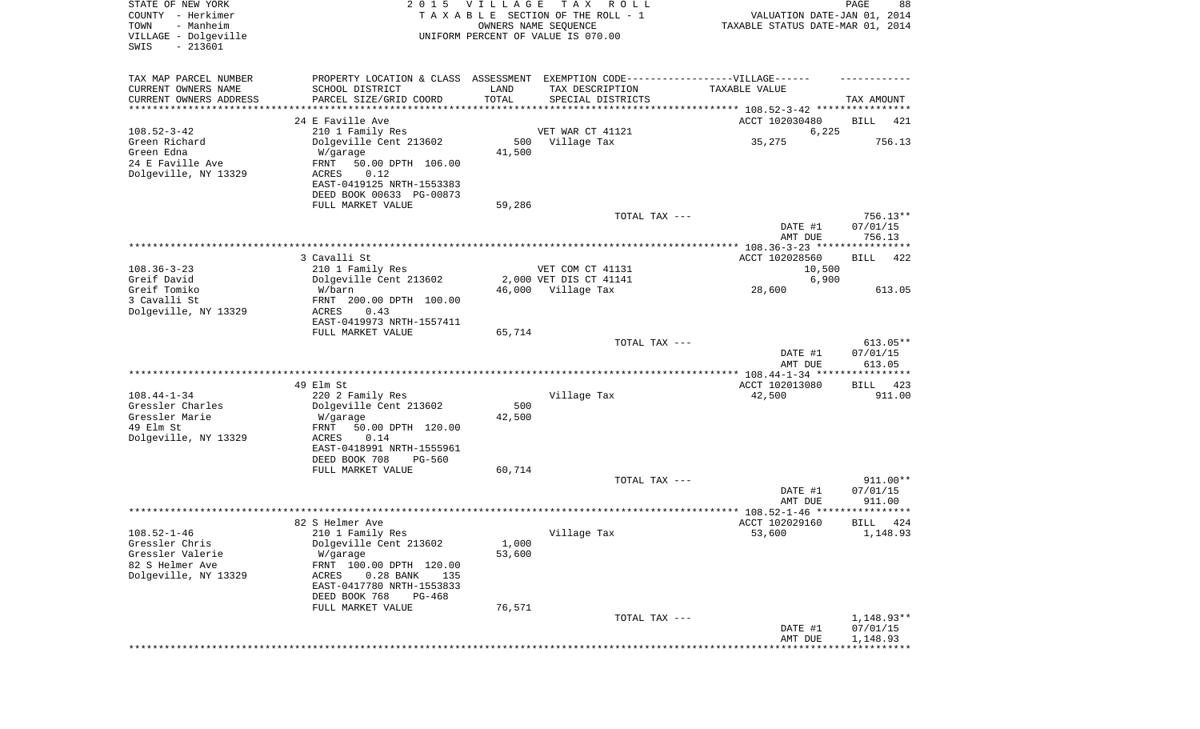| STATE OF NEW YORK<br>COUNTY - Herkimer<br>- Manheim<br>TOWN<br>VILLAGE - Dolgeville<br>SWIS<br>$-213601$ |                                                                                   | 2015 VILLAGE  | T A X<br>ROLL<br>TAXABLE SECTION OF THE ROLL - 1<br>OWNERS NAME SEQUENCE<br>UNIFORM PERCENT OF VALUE IS 070.00 | VALUATION DATE-JAN 01, 2014<br>TAXABLE STATUS DATE-MAR 01, 2014 | PAGE<br>88         |
|----------------------------------------------------------------------------------------------------------|-----------------------------------------------------------------------------------|---------------|----------------------------------------------------------------------------------------------------------------|-----------------------------------------------------------------|--------------------|
| TAX MAP PARCEL NUMBER                                                                                    | PROPERTY LOCATION & CLASS ASSESSMENT EXEMPTION CODE-----------------VILLAGE------ |               |                                                                                                                |                                                                 |                    |
| CURRENT OWNERS NAME<br>CURRENT OWNERS ADDRESS                                                            | SCHOOL DISTRICT<br>PARCEL SIZE/GRID COORD                                         | LAND<br>TOTAL | TAX DESCRIPTION<br>SPECIAL DISTRICTS                                                                           | TAXABLE VALUE                                                   | TAX AMOUNT         |
| ********************                                                                                     |                                                                                   |               | ********************************* 108.52-3-42 ****************                                                 |                                                                 |                    |
|                                                                                                          | 24 E Faville Ave                                                                  |               |                                                                                                                | ACCT 102030480                                                  | BILL<br>421        |
| $108.52 - 3 - 42$                                                                                        | 210 1 Family Res                                                                  |               | VET WAR CT 41121                                                                                               | 6,225                                                           |                    |
| Green Richard                                                                                            | Dolgeville Cent 213602                                                            | 500           | Village Tax                                                                                                    | 35,275                                                          | 756.13             |
| Green Edna                                                                                               | W/garage                                                                          | 41,500        |                                                                                                                |                                                                 |                    |
| 24 E Faville Ave<br>Dolgeville, NY 13329                                                                 | FRNT<br>50.00 DPTH 106.00<br>ACRES<br>0.12                                        |               |                                                                                                                |                                                                 |                    |
|                                                                                                          | EAST-0419125 NRTH-1553383                                                         |               |                                                                                                                |                                                                 |                    |
|                                                                                                          | DEED BOOK 00633 PG-00873                                                          |               |                                                                                                                |                                                                 |                    |
|                                                                                                          | FULL MARKET VALUE                                                                 | 59,286        |                                                                                                                |                                                                 |                    |
|                                                                                                          |                                                                                   |               | TOTAL TAX ---                                                                                                  |                                                                 | 756.13**           |
|                                                                                                          |                                                                                   |               |                                                                                                                | DATE #1                                                         | 07/01/15<br>756.13 |
|                                                                                                          |                                                                                   |               |                                                                                                                | AMT DUE                                                         |                    |
|                                                                                                          | 3 Cavalli St                                                                      |               |                                                                                                                | ACCT 102028560                                                  | BILL<br>422        |
| $108.36 - 3 - 23$                                                                                        | 210 1 Family Res                                                                  |               | VET COM CT 41131                                                                                               | 10,500                                                          |                    |
| Greif David                                                                                              | Dolgeville Cent 213602                                                            |               | 2,000 VET DIS CT 41141                                                                                         | 6,900                                                           |                    |
| Greif Tomiko<br>3 Cavalli St                                                                             | W/barn                                                                            |               | 46,000 Village Tax                                                                                             | 28,600                                                          | 613.05             |
| Dolgeville, NY 13329                                                                                     | FRNT 200.00 DPTH 100.00<br>ACRES<br>0.43                                          |               |                                                                                                                |                                                                 |                    |
|                                                                                                          | EAST-0419973 NRTH-1557411                                                         |               |                                                                                                                |                                                                 |                    |
|                                                                                                          | FULL MARKET VALUE                                                                 | 65,714        |                                                                                                                |                                                                 |                    |
|                                                                                                          |                                                                                   |               | TOTAL TAX ---                                                                                                  |                                                                 | 613.05**           |
|                                                                                                          |                                                                                   |               |                                                                                                                | DATE #1                                                         | 07/01/15           |
|                                                                                                          |                                                                                   |               |                                                                                                                | AMT DUE<br>************ 108.44-1-34 *****************           | 613.05             |
|                                                                                                          | 49 Elm St                                                                         |               |                                                                                                                | ACCT 102013080                                                  | 423<br>BILL        |
| $108.44 - 1 - 34$                                                                                        | 220 2 Family Res                                                                  |               | Village Tax                                                                                                    | 42,500                                                          | 911.00             |
| Gressler Charles                                                                                         | Dolgeville Cent 213602                                                            | 500           |                                                                                                                |                                                                 |                    |
| Gressler Marie                                                                                           | W/garage                                                                          | 42,500        |                                                                                                                |                                                                 |                    |
| 49 Elm St                                                                                                | FRNT<br>50.00 DPTH 120.00                                                         |               |                                                                                                                |                                                                 |                    |
| Dolgeville, NY 13329                                                                                     | ACRES<br>0.14<br>EAST-0418991 NRTH-1555961                                        |               |                                                                                                                |                                                                 |                    |
|                                                                                                          | DEED BOOK 708<br>PG-560                                                           |               |                                                                                                                |                                                                 |                    |
|                                                                                                          | FULL MARKET VALUE                                                                 | 60,714        |                                                                                                                |                                                                 |                    |
|                                                                                                          |                                                                                   |               | TOTAL TAX ---                                                                                                  |                                                                 | 911.00**           |
|                                                                                                          |                                                                                   |               |                                                                                                                | DATE #1                                                         | 07/01/15           |
|                                                                                                          |                                                                                   |               |                                                                                                                | AMT DUE<br>******************* 108.52-1-46 *****************    | 911.00             |
|                                                                                                          | 82 S Helmer Ave                                                                   |               |                                                                                                                | ACCT 102029160                                                  | BILL<br>424        |
| $108.52 - 1 - 46$                                                                                        | 210 1 Family Res                                                                  |               | Village Tax                                                                                                    | 53,600                                                          | 1,148.93           |
| Gressler Chris                                                                                           | Dolgeville Cent 213602                                                            | 1,000         |                                                                                                                |                                                                 |                    |
| Gressler Valerie                                                                                         | W/garage                                                                          | 53,600        |                                                                                                                |                                                                 |                    |
| 82 S Helmer Ave<br>Dolgeville, NY 13329                                                                  | FRNT 100.00 DPTH 120.00<br>$0.28$ BANK<br>135                                     |               |                                                                                                                |                                                                 |                    |
|                                                                                                          | ACRES<br>EAST-0417780 NRTH-1553833                                                |               |                                                                                                                |                                                                 |                    |
|                                                                                                          | DEED BOOK 768<br><b>PG-468</b>                                                    |               |                                                                                                                |                                                                 |                    |
|                                                                                                          | FULL MARKET VALUE                                                                 | 76,571        |                                                                                                                |                                                                 |                    |
|                                                                                                          |                                                                                   |               | TOTAL TAX ---                                                                                                  |                                                                 | 1,148.93**         |
|                                                                                                          |                                                                                   |               |                                                                                                                | DATE #1                                                         | 07/01/15           |
|                                                                                                          |                                                                                   |               |                                                                                                                | AMT DUE                                                         | 1,148.93           |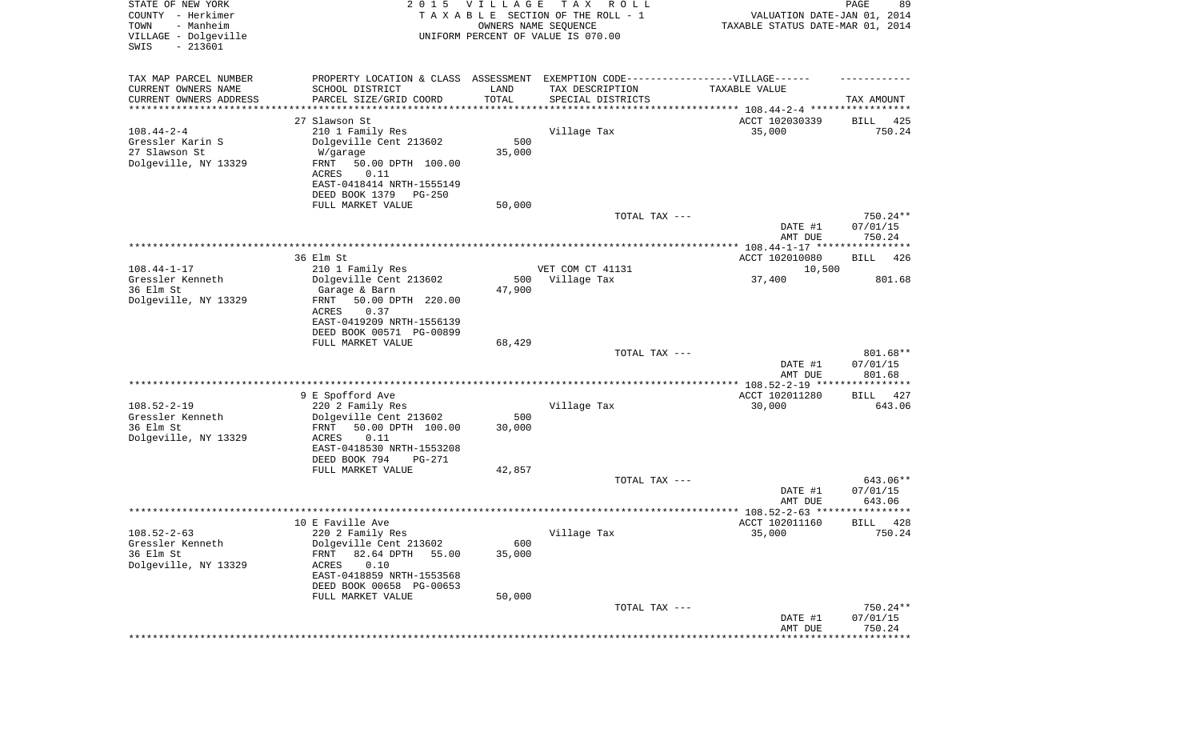| STATE OF NEW YORK<br>COUNTY - Herkimer<br>- Manheim<br>TOWN<br>VILLAGE - Dolgeville<br>$-213601$<br>SWIS | 2 0 1 5                                                                           | VILLAGE<br>OWNERS NAME SEQUENCE | T A X<br>R O L L<br>TAXABLE SECTION OF THE ROLL - 1<br>UNIFORM PERCENT OF VALUE IS 070.00 | VALUATION DATE-JAN 01, 2014<br>TAXABLE STATUS DATE-MAR 01, 2014 | PAGE<br>89           |
|----------------------------------------------------------------------------------------------------------|-----------------------------------------------------------------------------------|---------------------------------|-------------------------------------------------------------------------------------------|-----------------------------------------------------------------|----------------------|
| TAX MAP PARCEL NUMBER                                                                                    | PROPERTY LOCATION & CLASS ASSESSMENT EXEMPTION CODE-----------------VILLAGE------ |                                 |                                                                                           |                                                                 |                      |
| CURRENT OWNERS NAME                                                                                      | SCHOOL DISTRICT                                                                   | LAND                            | TAX DESCRIPTION                                                                           | TAXABLE VALUE                                                   |                      |
| CURRENT OWNERS ADDRESS<br>********************                                                           | PARCEL SIZE/GRID COORD                                                            | TOTAL<br>**********             | SPECIAL DISTRICTS                                                                         |                                                                 | TAX AMOUNT           |
|                                                                                                          | 27 Slawson St                                                                     |                                 |                                                                                           | ACCT 102030339                                                  | 425<br>BILL          |
| $108.44 - 2 - 4$                                                                                         | 210 1 Family Res                                                                  |                                 | Village Tax                                                                               | 35,000                                                          | 750.24               |
| Gressler Karin S                                                                                         | Dolgeville Cent 213602                                                            | 500                             |                                                                                           |                                                                 |                      |
| 27 Slawson St<br>Dolgeville, NY 13329                                                                    | W/garage<br>FRNT<br>50.00 DPTH 100.00                                             | 35,000                          |                                                                                           |                                                                 |                      |
|                                                                                                          | ACRES<br>0.11                                                                     |                                 |                                                                                           |                                                                 |                      |
|                                                                                                          | EAST-0418414 NRTH-1555149                                                         |                                 |                                                                                           |                                                                 |                      |
|                                                                                                          | DEED BOOK 1379<br>PG-250                                                          |                                 |                                                                                           |                                                                 |                      |
|                                                                                                          | FULL MARKET VALUE                                                                 | 50,000                          |                                                                                           |                                                                 | 750.24**             |
|                                                                                                          |                                                                                   |                                 | TOTAL TAX ---                                                                             | DATE #1                                                         | 07/01/15             |
|                                                                                                          |                                                                                   |                                 |                                                                                           | AMT DUE                                                         | 750.24               |
|                                                                                                          |                                                                                   |                                 |                                                                                           |                                                                 |                      |
| $108.44 - 1 - 17$                                                                                        | 36 Elm St                                                                         |                                 |                                                                                           | ACCT 102010080                                                  | 426<br>BILL          |
| Gressler Kenneth                                                                                         | 210 1 Family Res<br>Dolgeville Cent 213602                                        | 500                             | VET COM CT 41131<br>Village Tax                                                           | 10,500<br>37,400                                                | 801.68               |
| 36 Elm St                                                                                                | Garage & Barn                                                                     | 47,900                          |                                                                                           |                                                                 |                      |
| Dolgeville, NY 13329                                                                                     | FRNT<br>50.00 DPTH 220.00                                                         |                                 |                                                                                           |                                                                 |                      |
|                                                                                                          | ACRES<br>0.37                                                                     |                                 |                                                                                           |                                                                 |                      |
|                                                                                                          | EAST-0419209 NRTH-1556139<br>DEED BOOK 00571 PG-00899                             |                                 |                                                                                           |                                                                 |                      |
|                                                                                                          | FULL MARKET VALUE                                                                 | 68,429                          |                                                                                           |                                                                 |                      |
|                                                                                                          |                                                                                   |                                 | TOTAL TAX ---                                                                             |                                                                 | 801.68**             |
|                                                                                                          |                                                                                   |                                 |                                                                                           | DATE #1                                                         | 07/01/15             |
|                                                                                                          |                                                                                   |                                 |                                                                                           | AMT DUE                                                         | 801.68               |
|                                                                                                          | 9 E Spofford Ave                                                                  |                                 |                                                                                           | ACCT 102011280                                                  | 427<br>BILL          |
| $108.52 - 2 - 19$                                                                                        | 220 2 Family Res                                                                  |                                 | Village Tax                                                                               | 30,000                                                          | 643.06               |
| Gressler Kenneth                                                                                         | Dolgeville Cent 213602                                                            | 500                             |                                                                                           |                                                                 |                      |
| 36 Elm St<br>Dolgeville, NY 13329                                                                        | FRNT<br>50.00 DPTH 100.00<br>ACRES<br>0.11                                        | 30,000                          |                                                                                           |                                                                 |                      |
|                                                                                                          | EAST-0418530 NRTH-1553208                                                         |                                 |                                                                                           |                                                                 |                      |
|                                                                                                          | DEED BOOK 794<br>PG-271                                                           |                                 |                                                                                           |                                                                 |                      |
|                                                                                                          | FULL MARKET VALUE                                                                 | 42,857                          |                                                                                           |                                                                 |                      |
|                                                                                                          |                                                                                   |                                 | TOTAL TAX ---                                                                             | DATE #1                                                         | 643.06**<br>07/01/15 |
|                                                                                                          |                                                                                   |                                 |                                                                                           | AMT DUE                                                         | 643.06               |
|                                                                                                          |                                                                                   |                                 |                                                                                           |                                                                 | ****                 |
|                                                                                                          | 10 E Faville Ave                                                                  |                                 |                                                                                           | ACCT 102011160                                                  | 428<br>BILL          |
| $108.52 - 2 - 63$<br>Gressler Kenneth                                                                    | 220 2 Family Res<br>Dolgeville Cent 213602                                        | 600                             | Village Tax                                                                               | 35,000                                                          | 750.24               |
| 36 Elm St                                                                                                | 82.64 DPTH<br>FRNT<br>55.00                                                       | 35,000                          |                                                                                           |                                                                 |                      |
| Dolgeville, NY 13329                                                                                     | 0.10<br>ACRES                                                                     |                                 |                                                                                           |                                                                 |                      |
|                                                                                                          | EAST-0418859 NRTH-1553568                                                         |                                 |                                                                                           |                                                                 |                      |
|                                                                                                          | DEED BOOK 00658 PG-00653<br>FULL MARKET VALUE                                     | 50,000                          |                                                                                           |                                                                 |                      |
|                                                                                                          |                                                                                   |                                 | TOTAL TAX ---                                                                             |                                                                 | 750.24**             |
|                                                                                                          |                                                                                   |                                 |                                                                                           | DATE #1                                                         | 07/01/15             |
|                                                                                                          |                                                                                   |                                 |                                                                                           | AMT DUE                                                         | 750.24               |
|                                                                                                          |                                                                                   |                                 |                                                                                           |                                                                 | ***********          |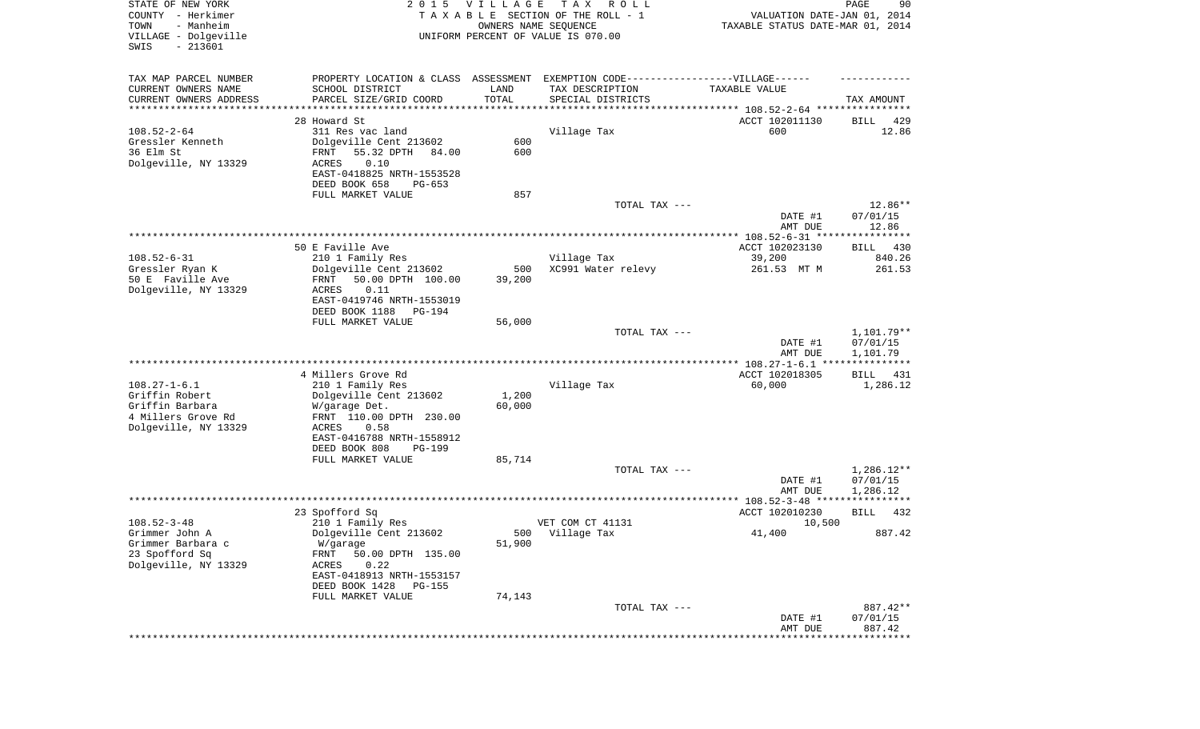| STATE OF NEW YORK<br>COUNTY - Herkimer<br>- Manheim<br>TOWN<br>VILLAGE - Dolgeville<br>SWIS<br>$-213601$ |                                                                                                                                | 2015 VILLAGE<br>OWNERS NAME SEQUENCE | T A X<br>R O L L<br>TAXABLE SECTION OF THE ROLL - 1<br>UNIFORM PERCENT OF VALUE IS 070.00 | VALUATION DATE-JAN 01, 2014<br>TAXABLE STATUS DATE-MAR 01, 2014 | PAGE<br>90                   |
|----------------------------------------------------------------------------------------------------------|--------------------------------------------------------------------------------------------------------------------------------|--------------------------------------|-------------------------------------------------------------------------------------------|-----------------------------------------------------------------|------------------------------|
| TAX MAP PARCEL NUMBER<br>CURRENT OWNERS NAME<br>CURRENT OWNERS ADDRESS                                   | PROPERTY LOCATION & CLASS ASSESSMENT EXEMPTION CODE-----------------VILLAGE------<br>SCHOOL DISTRICT<br>PARCEL SIZE/GRID COORD | LAND<br>TOTAL                        | TAX DESCRIPTION<br>SPECIAL DISTRICTS                                                      | TAXABLE VALUE                                                   | TAX AMOUNT                   |
| ********************                                                                                     |                                                                                                                                | **********                           | ********************************* 108.52-2-64 ****************                            |                                                                 |                              |
|                                                                                                          | 28 Howard St                                                                                                                   |                                      |                                                                                           | ACCT 102011130                                                  | BILL<br>429                  |
| $108.52 - 2 - 64$<br>Gressler Kenneth<br>36 Elm St                                                       | 311 Res vac land<br>Dolgeville Cent 213602<br>55.32 DPTH<br>FRNT<br>84.00                                                      | 600<br>600                           | Village Tax                                                                               | 600                                                             | 12.86                        |
| Dolgeville, NY 13329                                                                                     | 0.10<br>ACRES<br>EAST-0418825 NRTH-1553528<br>DEED BOOK 658<br>PG-653                                                          |                                      |                                                                                           |                                                                 |                              |
|                                                                                                          | FULL MARKET VALUE                                                                                                              | 857                                  |                                                                                           |                                                                 |                              |
|                                                                                                          |                                                                                                                                |                                      | TOTAL TAX ---                                                                             | DATE #1<br>AMT DUE                                              | 12.86**<br>07/01/15<br>12.86 |
|                                                                                                          |                                                                                                                                |                                      |                                                                                           |                                                                 |                              |
|                                                                                                          | 50 E Faville Ave                                                                                                               |                                      |                                                                                           | ACCT 102023130                                                  | 430<br>BILL                  |
| $108.52 - 6 - 31$                                                                                        | 210 1 Family Res                                                                                                               |                                      | Village Tax                                                                               | 39,200                                                          | 840.26                       |
| Gressler Ryan K                                                                                          | Dolgeville Cent 213602                                                                                                         | 500                                  | XC991 Water relevy                                                                        | 261.53 MT M                                                     | 261.53                       |
| 50 E Faville Ave                                                                                         | 50.00 DPTH 100.00<br>FRNT                                                                                                      | 39,200                               |                                                                                           |                                                                 |                              |
| Dolgeville, NY 13329                                                                                     | 0.11<br>ACRES<br>EAST-0419746 NRTH-1553019                                                                                     |                                      |                                                                                           |                                                                 |                              |
|                                                                                                          | DEED BOOK 1188<br>PG-194                                                                                                       |                                      |                                                                                           |                                                                 |                              |
|                                                                                                          | FULL MARKET VALUE                                                                                                              | 56,000                               |                                                                                           |                                                                 |                              |
|                                                                                                          |                                                                                                                                |                                      | TOTAL TAX ---                                                                             |                                                                 | 1,101.79**                   |
|                                                                                                          |                                                                                                                                |                                      |                                                                                           | DATE #1                                                         | 07/01/15                     |
|                                                                                                          |                                                                                                                                |                                      |                                                                                           | AMT DUE                                                         | 1,101.79                     |
|                                                                                                          | 4 Millers Grove Rd                                                                                                             |                                      |                                                                                           | ACCT 102018305                                                  | BILL<br>431                  |
| $108.27 - 1 - 6.1$                                                                                       | 210 1 Family Res                                                                                                               |                                      | Village Tax                                                                               | 60,000                                                          | 1,286.12                     |
| Griffin Robert                                                                                           | Dolgeville Cent 213602                                                                                                         | 1,200                                |                                                                                           |                                                                 |                              |
| Griffin Barbara                                                                                          | W/garage Det.                                                                                                                  | 60,000                               |                                                                                           |                                                                 |                              |
| 4 Millers Grove Rd                                                                                       | FRNT 110.00 DPTH 230.00                                                                                                        |                                      |                                                                                           |                                                                 |                              |
| Dolgeville, NY 13329                                                                                     | ACRES<br>0.58                                                                                                                  |                                      |                                                                                           |                                                                 |                              |
|                                                                                                          | EAST-0416788 NRTH-1558912                                                                                                      |                                      |                                                                                           |                                                                 |                              |
|                                                                                                          | DEED BOOK 808<br>PG-199                                                                                                        |                                      |                                                                                           |                                                                 |                              |
|                                                                                                          | FULL MARKET VALUE                                                                                                              | 85,714                               | TOTAL TAX ---                                                                             |                                                                 | $1,286.12**$                 |
|                                                                                                          |                                                                                                                                |                                      |                                                                                           | DATE #1                                                         | 07/01/15                     |
|                                                                                                          |                                                                                                                                |                                      |                                                                                           | AMT DUE                                                         | 1,286.12                     |
|                                                                                                          |                                                                                                                                |                                      |                                                                                           |                                                                 |                              |
|                                                                                                          | 23 Spofford Sq                                                                                                                 |                                      |                                                                                           | ACCT 102010230                                                  | 432<br>BILL                  |
| $108.52 - 3 - 48$                                                                                        | 210 1 Family Res                                                                                                               |                                      | VET COM CT 41131                                                                          | 10,500                                                          |                              |
| Grimmer John A<br>Grimmer Barbara c                                                                      | Dolgeville Cent 213602                                                                                                         | 51,900                               | 500 Village Tax                                                                           | 41,400                                                          | 887.42                       |
| 23 Spofford Sq                                                                                           | W/garage<br>50.00 DPTH 135.00<br>FRNT                                                                                          |                                      |                                                                                           |                                                                 |                              |
| Dolgeville, NY 13329                                                                                     | 0.22<br>ACRES                                                                                                                  |                                      |                                                                                           |                                                                 |                              |
|                                                                                                          | EAST-0418913 NRTH-1553157                                                                                                      |                                      |                                                                                           |                                                                 |                              |
|                                                                                                          | DEED BOOK 1428<br>PG-155                                                                                                       |                                      |                                                                                           |                                                                 |                              |
|                                                                                                          | FULL MARKET VALUE                                                                                                              | 74,143                               |                                                                                           |                                                                 |                              |
|                                                                                                          |                                                                                                                                |                                      | TOTAL TAX ---                                                                             |                                                                 | 887.42**                     |
|                                                                                                          |                                                                                                                                |                                      |                                                                                           | DATE #1                                                         | 07/01/15                     |
|                                                                                                          |                                                                                                                                |                                      |                                                                                           | AMT DUE                                                         | 887.42<br>***********        |
|                                                                                                          |                                                                                                                                |                                      |                                                                                           |                                                                 |                              |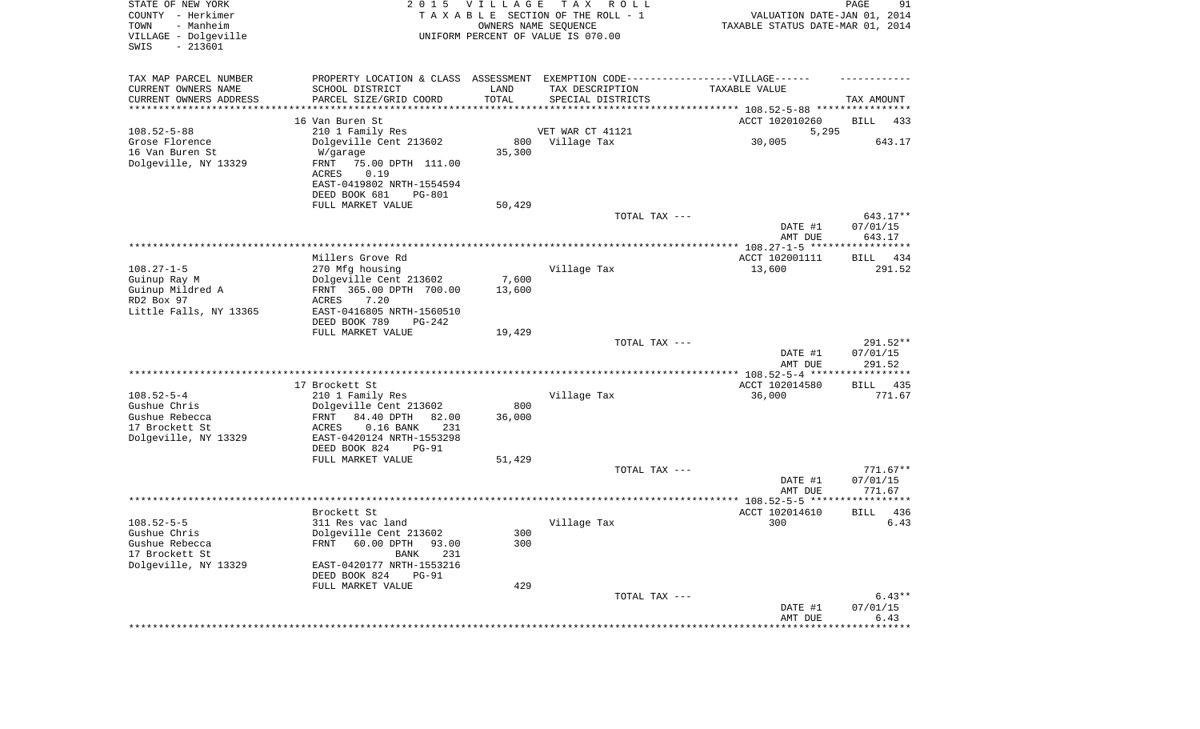| STATE OF NEW YORK<br>COUNTY - Herkimer<br>- Manheim<br>TOWN<br>VILLAGE - Dolgeville<br>$-213601$<br>SWIS | 2 0 1 5                                                     | VILLAGE | T A X<br>R O L L<br>TAXABLE SECTION OF THE ROLL - 1<br>OWNERS NAME SEQUENCE<br>UNIFORM PERCENT OF VALUE IS 070.00 | VALUATION DATE-JAN 01, 2014<br>TAXABLE STATUS DATE-MAR 01, 2014   | PAGE<br>91             |
|----------------------------------------------------------------------------------------------------------|-------------------------------------------------------------|---------|-------------------------------------------------------------------------------------------------------------------|-------------------------------------------------------------------|------------------------|
| TAX MAP PARCEL NUMBER                                                                                    |                                                             |         | PROPERTY LOCATION & CLASS ASSESSMENT EXEMPTION CODE-----------------VILLAGE------                                 |                                                                   |                        |
| CURRENT OWNERS NAME                                                                                      | SCHOOL DISTRICT                                             | LAND    | TAX DESCRIPTION                                                                                                   | TAXABLE VALUE                                                     |                        |
| CURRENT OWNERS ADDRESS<br>********************                                                           | PARCEL SIZE/GRID COORD                                      | TOTAL   | SPECIAL DISTRICTS                                                                                                 | ************************************ 108.52-5-88 **************** | TAX AMOUNT             |
|                                                                                                          | 16 Van Buren St                                             |         |                                                                                                                   | ACCT 102010260                                                    | BILL<br>433            |
| $108.52 - 5 - 88$                                                                                        | 210 1 Family Res                                            |         | VET WAR CT 41121                                                                                                  | 5,295                                                             |                        |
| Grose Florence                                                                                           | Dolgeville Cent 213602                                      | 800     | Village Tax                                                                                                       | 30,005                                                            | 643.17                 |
| 16 Van Buren St                                                                                          | W/garage                                                    | 35,300  |                                                                                                                   |                                                                   |                        |
| Dolgeville, NY 13329                                                                                     | FRNT<br>75.00 DPTH 111.00                                   |         |                                                                                                                   |                                                                   |                        |
|                                                                                                          | ACRES<br>0.19                                               |         |                                                                                                                   |                                                                   |                        |
|                                                                                                          | EAST-0419802 NRTH-1554594<br>DEED BOOK 681<br><b>PG-801</b> |         |                                                                                                                   |                                                                   |                        |
|                                                                                                          | FULL MARKET VALUE                                           | 50,429  |                                                                                                                   |                                                                   |                        |
|                                                                                                          |                                                             |         | TOTAL TAX ---                                                                                                     |                                                                   | 643.17**               |
|                                                                                                          |                                                             |         |                                                                                                                   | DATE #1                                                           | 07/01/15               |
|                                                                                                          |                                                             |         |                                                                                                                   | AMT DUE                                                           | 643.17                 |
|                                                                                                          |                                                             |         |                                                                                                                   |                                                                   |                        |
| $108.27 - 1 - 5$                                                                                         | Millers Grove Rd                                            |         |                                                                                                                   | ACCT 102001111                                                    | BILL 434<br>291.52     |
| Guinup Ray M                                                                                             | 270 Mfg housing<br>Dolgeville Cent 213602                   | 7,600   | Village Tax                                                                                                       | 13,600                                                            |                        |
| Guinup Mildred A                                                                                         | FRNT 365.00 DPTH 700.00                                     | 13,600  |                                                                                                                   |                                                                   |                        |
| RD2 Box 97                                                                                               | ACRES<br>7.20                                               |         |                                                                                                                   |                                                                   |                        |
| Little Falls, NY 13365                                                                                   | EAST-0416805 NRTH-1560510                                   |         |                                                                                                                   |                                                                   |                        |
|                                                                                                          | DEED BOOK 789<br>PG-242                                     |         |                                                                                                                   |                                                                   |                        |
|                                                                                                          | FULL MARKET VALUE                                           | 19,429  | TOTAL TAX ---                                                                                                     |                                                                   |                        |
|                                                                                                          |                                                             |         |                                                                                                                   | DATE #1                                                           | 291.52**<br>07/01/15   |
|                                                                                                          |                                                             |         |                                                                                                                   | AMT DUE                                                           | 291.52                 |
|                                                                                                          |                                                             |         |                                                                                                                   | *********** 108.52-5-4 *****                                      | *********              |
|                                                                                                          | 17 Brockett St                                              |         |                                                                                                                   | ACCT 102014580                                                    | 435<br>BILL            |
| $108.52 - 5 - 4$                                                                                         | 210 1 Family Res                                            |         | Village Tax                                                                                                       | 36,000                                                            | 771.67                 |
| Gushue Chris                                                                                             | Dolgeville Cent 213602                                      | 800     |                                                                                                                   |                                                                   |                        |
| Gushue Rebecca<br>17 Brockett St                                                                         | FRNT<br>84.40 DPTH<br>82.00<br>ACRES<br>$0.16$ BANK<br>231  | 36,000  |                                                                                                                   |                                                                   |                        |
| Dolgeville, NY 13329                                                                                     | EAST-0420124 NRTH-1553298                                   |         |                                                                                                                   |                                                                   |                        |
|                                                                                                          | DEED BOOK 824<br><b>PG-91</b>                               |         |                                                                                                                   |                                                                   |                        |
|                                                                                                          | FULL MARKET VALUE                                           | 51,429  |                                                                                                                   |                                                                   |                        |
|                                                                                                          |                                                             |         | TOTAL TAX ---                                                                                                     |                                                                   | $771.67**$             |
|                                                                                                          |                                                             |         |                                                                                                                   | DATE #1                                                           | 07/01/15               |
|                                                                                                          |                                                             |         |                                                                                                                   | AMT DUE                                                           | 771.67<br>************ |
|                                                                                                          | Brockett St                                                 |         |                                                                                                                   | ACCT 102014610                                                    | 436<br>BILL            |
| $108.52 - 5 - 5$                                                                                         | 311 Res vac land                                            |         | Village Tax                                                                                                       | 300                                                               | 6.43                   |
| Gushue Chris                                                                                             | Dolgeville Cent 213602                                      | 300     |                                                                                                                   |                                                                   |                        |
| Gushue Rebecca                                                                                           | 60.00 DPTH 93.00<br>FRNT                                    | 300     |                                                                                                                   |                                                                   |                        |
| 17 Brockett St                                                                                           | 231<br>BANK                                                 |         |                                                                                                                   |                                                                   |                        |
| Dolgeville, NY 13329                                                                                     | EAST-0420177 NRTH-1553216                                   |         |                                                                                                                   |                                                                   |                        |
|                                                                                                          | DEED BOOK 824<br><b>PG-91</b><br>FULL MARKET VALUE          | 429     |                                                                                                                   |                                                                   |                        |
|                                                                                                          |                                                             |         | TOTAL TAX ---                                                                                                     |                                                                   | $6.43**$               |
|                                                                                                          |                                                             |         |                                                                                                                   | DATE #1                                                           | 07/01/15               |
|                                                                                                          |                                                             |         |                                                                                                                   | AMT DUE                                                           | 6.43                   |
|                                                                                                          |                                                             |         |                                                                                                                   |                                                                   |                        |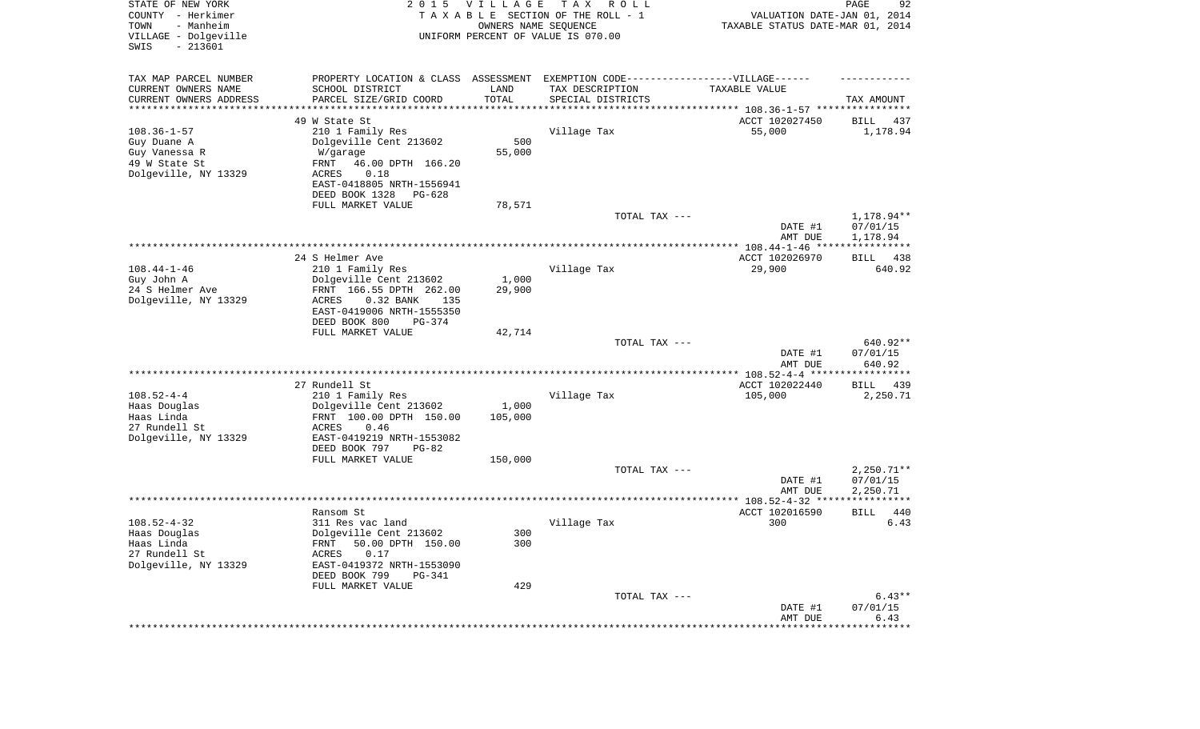| STATE OF NEW YORK<br>COUNTY - Herkimer<br>- Manheim<br>TOWN<br>VILLAGE - Dolgeville<br>SWIS<br>$-213601$ | 2 0 1 5                                               | <b>VILLAGE</b><br>OWNERS NAME SEQUENCE | T A X<br>R O L L<br>TAXABLE SECTION OF THE ROLL - 1<br>UNIFORM PERCENT OF VALUE IS 070.00 | VALUATION DATE-JAN 01, 2014<br>TAXABLE STATUS DATE-MAR 01, 2014 | PAGE<br>92           |
|----------------------------------------------------------------------------------------------------------|-------------------------------------------------------|----------------------------------------|-------------------------------------------------------------------------------------------|-----------------------------------------------------------------|----------------------|
| TAX MAP PARCEL NUMBER                                                                                    | PROPERTY LOCATION & CLASS ASSESSMENT                  |                                        | EXEMPTION CODE-----------------VILLAGE------                                              |                                                                 |                      |
| CURRENT OWNERS NAME                                                                                      | SCHOOL DISTRICT                                       | LAND                                   | TAX DESCRIPTION                                                                           | TAXABLE VALUE                                                   |                      |
| CURRENT OWNERS ADDRESS<br>********************                                                           | PARCEL SIZE/GRID COORD                                | TOTAL<br>*********                     | SPECIAL DISTRICTS                                                                         | ***************************** 108.36-1-57 ****************      | TAX AMOUNT           |
|                                                                                                          | 49 W State St                                         |                                        |                                                                                           | ACCT 102027450                                                  | BILL<br>437          |
| $108.36 - 1 - 57$                                                                                        | 210 1 Family Res                                      |                                        | Village Tax                                                                               | 55,000                                                          | 1,178.94             |
| Guy Duane A                                                                                              | Dolgeville Cent 213602                                | 500                                    |                                                                                           |                                                                 |                      |
| Guy Vanessa R                                                                                            | W/garage                                              | 55,000                                 |                                                                                           |                                                                 |                      |
| 49 W State St                                                                                            | FRNT<br>46.00 DPTH 166.20                             |                                        |                                                                                           |                                                                 |                      |
| Dolgeville, NY 13329                                                                                     | ACRES<br>0.18                                         |                                        |                                                                                           |                                                                 |                      |
|                                                                                                          | EAST-0418805 NRTH-1556941<br>DEED BOOK 1328<br>PG-628 |                                        |                                                                                           |                                                                 |                      |
|                                                                                                          | FULL MARKET VALUE                                     | 78,571                                 |                                                                                           |                                                                 |                      |
|                                                                                                          |                                                       |                                        | TOTAL TAX ---                                                                             |                                                                 | 1,178.94**           |
|                                                                                                          |                                                       |                                        |                                                                                           | DATE #1<br>AMT DUE                                              | 07/01/15<br>1,178.94 |
|                                                                                                          |                                                       |                                        |                                                                                           |                                                                 |                      |
| $108.44 - 1 - 46$                                                                                        | 24 S Helmer Ave<br>210 1 Family Res                   |                                        | Village Tax                                                                               | ACCT 102026970<br>29,900                                        | BILL 438<br>640.92   |
| Guy John A                                                                                               | Dolgeville Cent 213602                                | 1,000                                  |                                                                                           |                                                                 |                      |
| 24 S Helmer Ave                                                                                          | FRNT 166.55 DPTH 262.00                               | 29,900                                 |                                                                                           |                                                                 |                      |
| Dolgeville, NY 13329                                                                                     | <b>ACRES</b><br>0.32 BANK<br>135                      |                                        |                                                                                           |                                                                 |                      |
|                                                                                                          | EAST-0419006 NRTH-1555350                             |                                        |                                                                                           |                                                                 |                      |
|                                                                                                          | DEED BOOK 800<br>PG-374                               |                                        |                                                                                           |                                                                 |                      |
|                                                                                                          | FULL MARKET VALUE                                     | 42,714                                 | TOTAL TAX ---                                                                             |                                                                 | 640.92**             |
|                                                                                                          |                                                       |                                        |                                                                                           | DATE #1                                                         | 07/01/15             |
|                                                                                                          |                                                       |                                        |                                                                                           | AMT DUE                                                         | 640.92               |
|                                                                                                          |                                                       |                                        |                                                                                           | ************** 108.52-4-4 ******************                    |                      |
|                                                                                                          | 27 Rundell St                                         |                                        |                                                                                           | ACCT 102022440                                                  | BILL<br>439          |
| $108.52 - 4 - 4$                                                                                         | 210 1 Family Res                                      |                                        | Village Tax                                                                               | 105,000                                                         | 2,250.71             |
| Haas Douglas<br>Haas Linda                                                                               | Dolgeville Cent 213602<br>FRNT 100.00 DPTH 150.00     | 1,000<br>105,000                       |                                                                                           |                                                                 |                      |
| 27 Rundell St                                                                                            | ACRES<br>0.46                                         |                                        |                                                                                           |                                                                 |                      |
| Dolgeville, NY 13329                                                                                     | EAST-0419219 NRTH-1553082                             |                                        |                                                                                           |                                                                 |                      |
|                                                                                                          | DEED BOOK 797<br>PG-82                                |                                        |                                                                                           |                                                                 |                      |
|                                                                                                          | FULL MARKET VALUE                                     | 150,000                                |                                                                                           |                                                                 |                      |
|                                                                                                          |                                                       |                                        | TOTAL TAX ---                                                                             |                                                                 | $2,250.71**$         |
|                                                                                                          |                                                       |                                        |                                                                                           | DATE #1<br>AMT DUE                                              | 07/01/15<br>2,250.71 |
|                                                                                                          |                                                       |                                        |                                                                                           |                                                                 | ***********          |
|                                                                                                          | Ransom St                                             |                                        |                                                                                           | ACCT 102016590                                                  | 440<br><b>BILL</b>   |
| $108.52 - 4 - 32$                                                                                        | 311 Res vac land                                      |                                        | Village Tax                                                                               | 300                                                             | 6.43                 |
| Haas Douglas                                                                                             | Dolgeville Cent 213602                                | 300                                    |                                                                                           |                                                                 |                      |
| Haas Linda                                                                                               | FRNT 50.00 DPTH 150.00                                | 300                                    |                                                                                           |                                                                 |                      |
| 27 Rundell St                                                                                            | 0.17<br>ACRES                                         |                                        |                                                                                           |                                                                 |                      |
| Dolgeville, NY 13329                                                                                     | EAST-0419372 NRTH-1553090<br>DEED BOOK 799<br>PG-341  |                                        |                                                                                           |                                                                 |                      |
|                                                                                                          | FULL MARKET VALUE                                     | 429                                    |                                                                                           |                                                                 |                      |
|                                                                                                          |                                                       |                                        | TOTAL TAX ---                                                                             |                                                                 | $6.43**$             |
|                                                                                                          |                                                       |                                        |                                                                                           | DATE #1                                                         | 07/01/15             |
|                                                                                                          |                                                       |                                        |                                                                                           | AMT DUE                                                         | 6.43                 |
|                                                                                                          |                                                       |                                        |                                                                                           |                                                                 | **************       |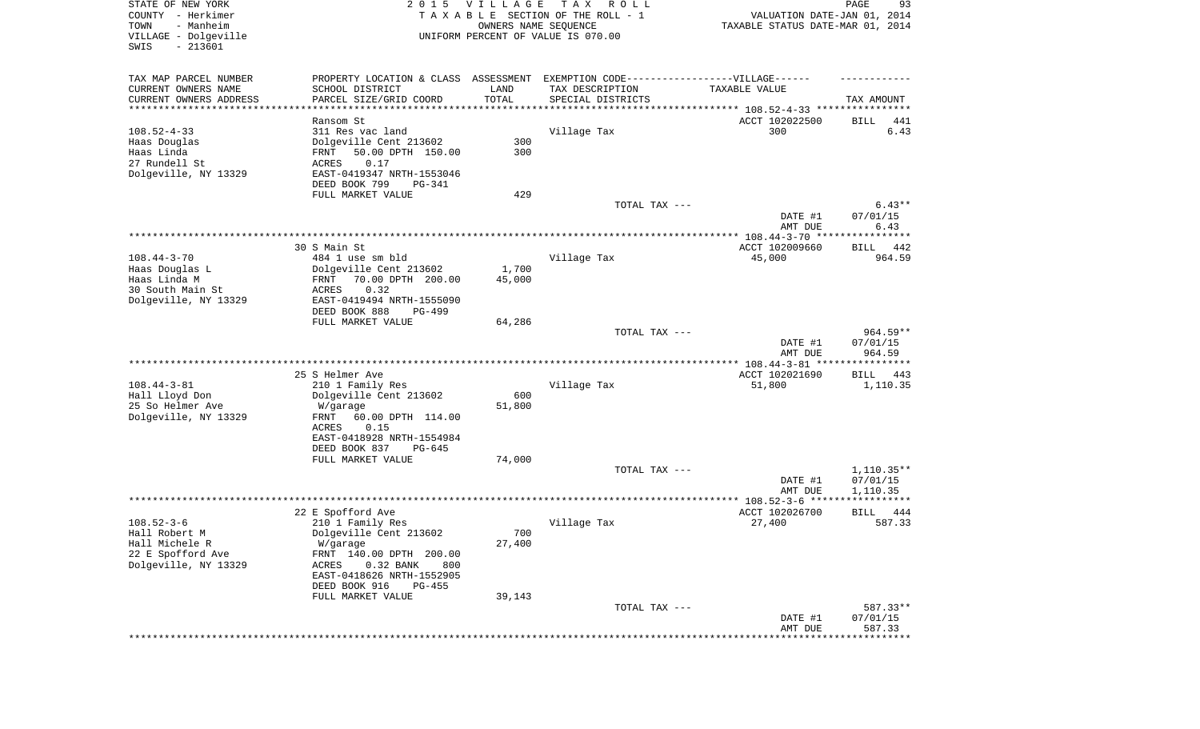| STATE OF NEW YORK      | 2 0 1 5                                                                          | VILLAGE | T A X<br>R O L L                   |                                  | 93<br>PAGE         |
|------------------------|----------------------------------------------------------------------------------|---------|------------------------------------|----------------------------------|--------------------|
| COUNTY - Herkimer      |                                                                                  |         | TAXABLE SECTION OF THE ROLL - 1    | VALUATION DATE-JAN 01, 2014      |                    |
| TOWN<br>- Manheim      |                                                                                  |         | OWNERS NAME SEQUENCE               | TAXABLE STATUS DATE-MAR 01, 2014 |                    |
| VILLAGE - Dolgeville   |                                                                                  |         | UNIFORM PERCENT OF VALUE IS 070.00 |                                  |                    |
| $-213601$<br>SWIS      |                                                                                  |         |                                    |                                  |                    |
|                        |                                                                                  |         |                                    |                                  |                    |
| TAX MAP PARCEL NUMBER  | PROPERTY LOCATION & CLASS ASSESSMENT EXEMPTION CODE----------------VILLAGE------ |         |                                    |                                  |                    |
| CURRENT OWNERS NAME    | SCHOOL DISTRICT                                                                  | LAND    | TAX DESCRIPTION                    | TAXABLE VALUE                    |                    |
| CURRENT OWNERS ADDRESS | PARCEL SIZE/GRID COORD                                                           | TOTAL   | SPECIAL DISTRICTS                  |                                  | TAX AMOUNT         |
| *********************  |                                                                                  |         |                                    |                                  |                    |
|                        | Ransom St                                                                        |         |                                    | ACCT 102022500                   |                    |
|                        |                                                                                  |         |                                    |                                  | BILL<br>441        |
| $108.52 - 4 - 33$      | 311 Res vac land                                                                 |         | Village Tax                        | 300                              | 6.43               |
| Haas Douglas           | Dolgeville Cent 213602                                                           | 300     |                                    |                                  |                    |
| Haas Linda             | 50.00 DPTH 150.00<br>FRNT                                                        | 300     |                                    |                                  |                    |
| 27 Rundell St          | 0.17<br>ACRES                                                                    |         |                                    |                                  |                    |
| Dolgeville, NY 13329   | EAST-0419347 NRTH-1553046                                                        |         |                                    |                                  |                    |
|                        | DEED BOOK 799<br>PG-341                                                          |         |                                    |                                  |                    |
|                        | FULL MARKET VALUE                                                                | 429     |                                    |                                  |                    |
|                        |                                                                                  |         | TOTAL TAX ---                      |                                  | $6.43**$           |
|                        |                                                                                  |         |                                    | DATE #1                          | 07/01/15           |
|                        |                                                                                  |         |                                    | AMT DUE                          | 6.43               |
|                        |                                                                                  |         |                                    |                                  | ***********        |
|                        | 30 S Main St                                                                     |         |                                    | ACCT 102009660                   | BILL<br>442        |
| $108.44 - 3 - 70$      | 484 1 use sm bld                                                                 |         | Village Tax                        | 45,000                           | 964.59             |
| Haas Douglas L         | Dolgeville Cent 213602                                                           | 1,700   |                                    |                                  |                    |
| Haas Linda M           | 70.00 DPTH 200.00<br>FRNT                                                        | 45,000  |                                    |                                  |                    |
| 30 South Main St       | 0.32<br>ACRES                                                                    |         |                                    |                                  |                    |
| Dolgeville, NY 13329   | EAST-0419494 NRTH-1555090                                                        |         |                                    |                                  |                    |
|                        | DEED BOOK 888<br>PG-499                                                          |         |                                    |                                  |                    |
|                        | FULL MARKET VALUE                                                                | 64,286  |                                    |                                  |                    |
|                        |                                                                                  |         | TOTAL TAX ---                      |                                  | $964.59**$         |
|                        |                                                                                  |         |                                    | DATE #1                          | 07/01/15           |
|                        |                                                                                  |         |                                    |                                  |                    |
|                        |                                                                                  |         |                                    | AMT DUE                          | 964.59             |
|                        |                                                                                  |         |                                    |                                  |                    |
|                        | 25 S Helmer Ave                                                                  |         |                                    | ACCT 102021690                   | BILL<br>443        |
| $108.44 - 3 - 81$      | 210 1 Family Res                                                                 |         | Village Tax                        | 51,800                           | 1,110.35           |
| Hall Lloyd Don         | Dolgeville Cent 213602                                                           | 600     |                                    |                                  |                    |
| 25 So Helmer Ave       | W/garage                                                                         | 51,800  |                                    |                                  |                    |
| Dolgeville, NY 13329   | 60.00 DPTH 114.00<br>FRNT                                                        |         |                                    |                                  |                    |
|                        | 0.15<br>ACRES                                                                    |         |                                    |                                  |                    |
|                        | EAST-0418928 NRTH-1554984                                                        |         |                                    |                                  |                    |
|                        | DEED BOOK 837<br>PG-645                                                          |         |                                    |                                  |                    |
|                        | FULL MARKET VALUE                                                                | 74,000  |                                    |                                  |                    |
|                        |                                                                                  |         | TOTAL TAX ---                      |                                  | $1,110.35**$       |
|                        |                                                                                  |         |                                    | DATE #1                          | 07/01/15           |
|                        |                                                                                  |         |                                    | AMT DUE                          | 1,110.35           |
|                        |                                                                                  |         |                                    | ****** 108.52-3-6 ****           |                    |
|                        | 22 E Spofford Ave                                                                |         |                                    | ACCT 102026700                   | BILL<br>444        |
| $108.52 - 3 - 6$       | 210 1 Family Res                                                                 |         | Village Tax                        | 27,400                           | 587.33             |
| Hall Robert M          | Dolgeville Cent 213602                                                           | 700     |                                    |                                  |                    |
| Hall Michele R         | W/garage                                                                         | 27,400  |                                    |                                  |                    |
| 22 E Spofford Ave      | FRNT 140.00 DPTH 200.00                                                          |         |                                    |                                  |                    |
| Dolgeville, NY 13329   | 0.32 BANK<br>ACRES<br>800                                                        |         |                                    |                                  |                    |
|                        | EAST-0418626 NRTH-1552905                                                        |         |                                    |                                  |                    |
|                        | DEED BOOK 916<br>PG-455                                                          |         |                                    |                                  |                    |
|                        |                                                                                  |         |                                    |                                  |                    |
|                        | FULL MARKET VALUE                                                                | 39,143  |                                    |                                  |                    |
|                        |                                                                                  |         |                                    |                                  |                    |
|                        |                                                                                  |         | TOTAL TAX ---                      |                                  | 587.33**           |
|                        |                                                                                  |         |                                    | DATE #1<br>AMT DUE               | 07/01/15<br>587.33 |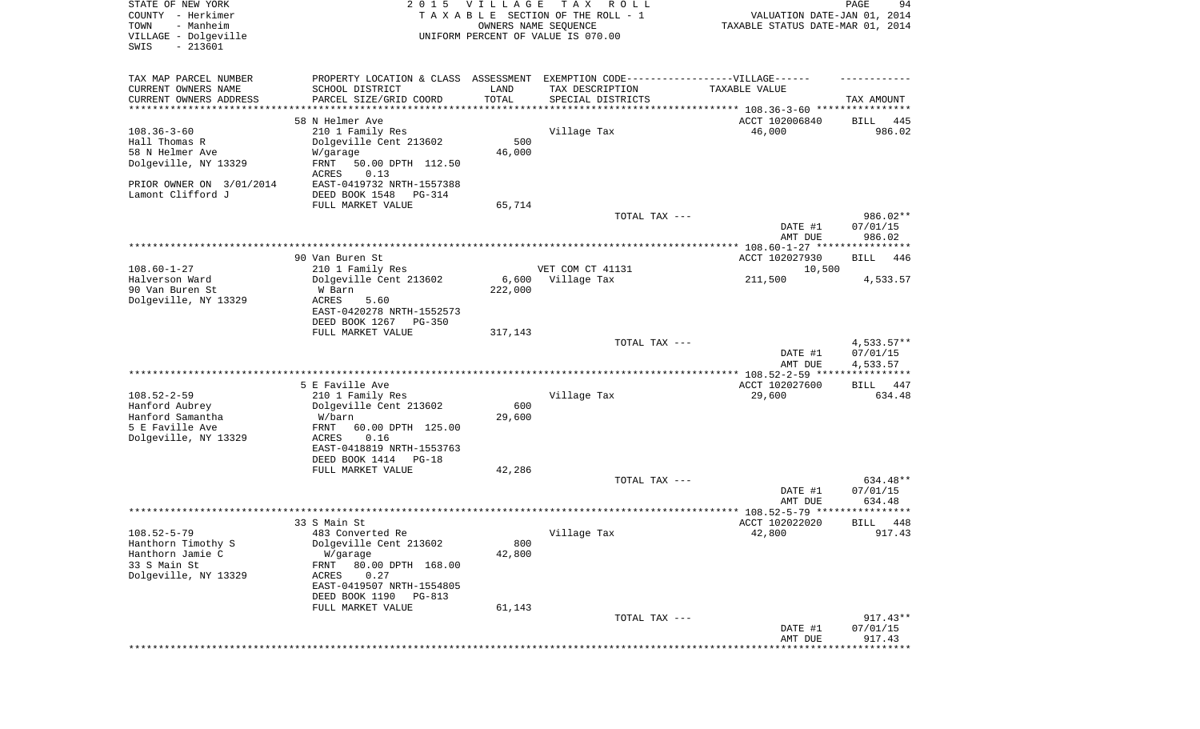| STATE OF NEW YORK<br>COUNTY - Herkimer<br>TOWN<br>- Manheim<br>VILLAGE - Dolgeville<br>SWIS<br>$-213601$ | 2 0 1 5                                                                                                                           | <b>VILLAGE</b><br>OWNERS NAME SEQUENCE | T A X<br>R O L L<br>TAXABLE SECTION OF THE ROLL - 1<br>UNIFORM PERCENT OF VALUE IS 070.00 | VALUATION DATE-JAN 01, 2014<br>TAXABLE STATUS DATE-MAR 01, 2014 | 94<br>PAGE                       |
|----------------------------------------------------------------------------------------------------------|-----------------------------------------------------------------------------------------------------------------------------------|----------------------------------------|-------------------------------------------------------------------------------------------|-----------------------------------------------------------------|----------------------------------|
| TAX MAP PARCEL NUMBER                                                                                    | PROPERTY LOCATION & CLASS ASSESSMENT EXEMPTION CODE----------------VILLAGE------                                                  |                                        |                                                                                           |                                                                 |                                  |
| CURRENT OWNERS NAME<br>CURRENT OWNERS ADDRESS                                                            | SCHOOL DISTRICT<br>PARCEL SIZE/GRID COORD                                                                                         | LAND<br>TOTAL                          | TAX DESCRIPTION<br>SPECIAL DISTRICTS                                                      | TAXABLE VALUE                                                   | TAX AMOUNT                       |
| *********************                                                                                    |                                                                                                                                   | * * * * * * * * * * *                  |                                                                                           |                                                                 |                                  |
| $108.36 - 3 - 60$<br>Hall Thomas R<br>58 N Helmer Ave<br>Dolgeville, NY 13329                            | 58 N Helmer Ave<br>210 1 Family Res<br>Dolgeville Cent 213602<br>W/garage<br>FRNT<br>50.00 DPTH 112.50<br>0.13<br>ACRES           | 500<br>46,000                          | Village Tax                                                                               | ACCT 102006840<br>46,000                                        | 445<br>BILL<br>986.02            |
| PRIOR OWNER ON 3/01/2014<br>Lamont Clifford J                                                            | EAST-0419732 NRTH-1557388<br>DEED BOOK 1548<br>PG-314                                                                             |                                        |                                                                                           |                                                                 |                                  |
|                                                                                                          | FULL MARKET VALUE                                                                                                                 | 65,714                                 |                                                                                           |                                                                 |                                  |
|                                                                                                          |                                                                                                                                   |                                        | TOTAL TAX ---                                                                             | DATE #1<br>AMT DUE                                              | 986.02**<br>07/01/15<br>986.02   |
|                                                                                                          | 90 Van Buren St                                                                                                                   |                                        |                                                                                           | ACCT 102027930                                                  | BILL<br>446                      |
| $108.60 - 1 - 27$                                                                                        | 210 1 Family Res                                                                                                                  |                                        | VET COM CT 41131                                                                          | 10,500                                                          |                                  |
| Halverson Ward<br>90 Van Buren St<br>Dolgeville, NY 13329                                                | Dolgeville Cent 213602<br>W Barn<br><b>ACRES</b><br>5.60<br>EAST-0420278 NRTH-1552573<br>DEED BOOK 1267<br>$PG-350$               | 6,600<br>222,000                       | Village Tax                                                                               | 211,500                                                         | 4,533.57                         |
|                                                                                                          | FULL MARKET VALUE                                                                                                                 | 317,143                                | TOTAL TAX ---                                                                             |                                                                 | $4,533.57**$                     |
|                                                                                                          |                                                                                                                                   |                                        |                                                                                           | DATE #1<br>AMT DUE                                              | 07/01/15<br>4,533.57             |
|                                                                                                          |                                                                                                                                   |                                        |                                                                                           | ************ 108.52-2-59 *****************                      |                                  |
| $108.52 - 2 - 59$<br>Hanford Aubrey<br>Hanford Samantha<br>5 E Faville Ave                               | 5 E Faville Ave<br>210 1 Family Res<br>Dolgeville Cent 213602<br>W/barn<br>FRNT<br>60.00 DPTH 125.00                              | 600<br>29,600                          | Village Tax                                                                               | ACCT 102027600<br>29,600                                        | 447<br>BILL<br>634.48            |
| Dolgeville, NY 13329                                                                                     | <b>ACRES</b><br>0.16<br>EAST-0418819 NRTH-1553763<br>DEED BOOK 1414<br>$PG-18$                                                    |                                        |                                                                                           |                                                                 |                                  |
|                                                                                                          | FULL MARKET VALUE                                                                                                                 | 42,286                                 | TOTAL TAX ---                                                                             | DATE #1<br>AMT DUE                                              | 634.48**<br>07/01/15<br>634.48   |
|                                                                                                          |                                                                                                                                   |                                        |                                                                                           | ***************** 108.52-5-79 ********                          | * * * * *                        |
|                                                                                                          | 33 S Main St                                                                                                                      |                                        |                                                                                           | ACCT 102022020                                                  | 448<br>BILL                      |
| $108.52 - 5 - 79$<br>Hanthorn Timothy S<br>Hanthorn Jamie C<br>33 S Main St<br>Dolgeville, NY 13329      | 483 Converted Re<br>Dolgeville Cent 213602<br>W/garage<br>80.00 DPTH 168.00<br>FRNT<br>0.27<br>ACRES<br>EAST-0419507 NRTH-1554805 | 800<br>42,800                          | Village Tax                                                                               | 42,800                                                          | 917.43                           |
|                                                                                                          | DEED BOOK 1190<br>PG-813<br>FULL MARKET VALUE                                                                                     | 61,143                                 |                                                                                           |                                                                 |                                  |
|                                                                                                          |                                                                                                                                   |                                        | TOTAL TAX ---                                                                             | DATE #1<br>AMT DUE                                              | $917.43**$<br>07/01/15<br>917.43 |
|                                                                                                          |                                                                                                                                   |                                        |                                                                                           |                                                                 | **********                       |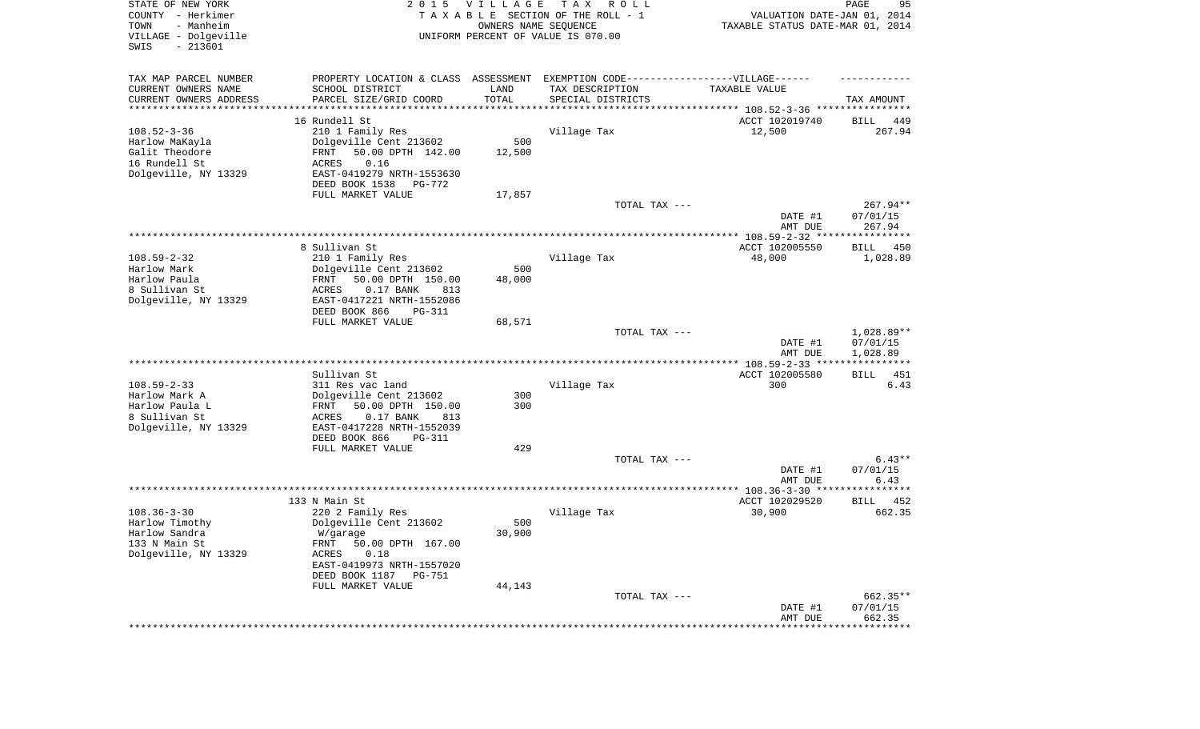| STATE OF NEW YORK<br>COUNTY - Herkimer<br>- Manheim<br>TOWN<br>VILLAGE - Dolgeville<br>$-213601$<br>SWIS | 2 0 1 5                                                                                                                                                                                       | <b>VILLAGE</b><br>OWNERS NAME SEQUENCE | T A X<br>R O L L<br>TAXABLE SECTION OF THE ROLL - 1<br>UNIFORM PERCENT OF VALUE IS 070.00 | VALUATION DATE-JAN 01, 2014<br>TAXABLE STATUS DATE-MAR 01, 2014 | PAGE<br>95                           |
|----------------------------------------------------------------------------------------------------------|-----------------------------------------------------------------------------------------------------------------------------------------------------------------------------------------------|----------------------------------------|-------------------------------------------------------------------------------------------|-----------------------------------------------------------------|--------------------------------------|
| TAX MAP PARCEL NUMBER<br>CURRENT OWNERS NAME<br>CURRENT OWNERS ADDRESS<br>*********************          | PROPERTY LOCATION & CLASS ASSESSMENT<br>SCHOOL DISTRICT<br>PARCEL SIZE/GRID COORD                                                                                                             | LAND<br>TOTAL<br>***********           | EXEMPTION CODE------------------VILLAGE------<br>TAX DESCRIPTION<br>SPECIAL DISTRICTS     | TAXABLE VALUE                                                   | TAX AMOUNT                           |
| $108.52 - 3 - 36$<br>Harlow MaKayla<br>Galit Theodore<br>16 Rundell St<br>Dolgeville, NY 13329           | 16 Rundell St<br>210 1 Family Res<br>Dolgeville Cent 213602<br>50.00 DPTH 142.00<br>FRNT<br>0.16<br>ACRES<br>EAST-0419279 NRTH-1553630<br>DEED BOOK 1538<br>PG-772<br>FULL MARKET VALUE       | 500<br>12,500<br>17,857                | Village Tax                                                                               | ACCT 102019740<br>12,500                                        | 449<br>BILL<br>267.94                |
|                                                                                                          |                                                                                                                                                                                               |                                        | TOTAL TAX ---                                                                             | DATE #1<br>AMT DUE                                              | $267.94**$<br>07/01/15<br>267.94     |
|                                                                                                          | 8 Sullivan St                                                                                                                                                                                 |                                        |                                                                                           | ACCT 102005550                                                  | BILL<br>450                          |
| $108.59 - 2 - 32$<br>Harlow Mark<br>Harlow Paula<br>8 Sullivan St<br>Dolgeville, NY 13329                | 210 1 Family Res<br>Dolgeville Cent 213602<br>50.00 DPTH 150.00<br>FRNT<br>ACRES<br>0.17 BANK<br>813<br>EAST-0417221 NRTH-1552086<br>DEED BOOK 866<br><b>PG-311</b><br>FULL MARKET VALUE      | 500<br>48,000<br>68,571                | Village Tax                                                                               | 48,000                                                          | 1,028.89                             |
|                                                                                                          |                                                                                                                                                                                               |                                        | TOTAL TAX ---                                                                             | DATE #1<br>AMT DUE                                              | $1,028.89**$<br>07/01/15<br>1,028.89 |
|                                                                                                          |                                                                                                                                                                                               |                                        |                                                                                           |                                                                 |                                      |
| $108.59 - 2 - 33$<br>Harlow Mark A<br>Harlow Paula L<br>8 Sullivan St<br>Dolgeville, NY 13329            | Sullivan St<br>311 Res vac land<br>Dolgeville Cent 213602<br>50.00 DPTH 150.00<br>FRNT<br>ACRES<br>0.17 BANK<br>813<br>EAST-0417228 NRTH-1552039<br>DEED BOOK 866<br><b>PG-311</b>            | 300<br>300                             | Village Tax                                                                               | ACCT 102005580<br>300                                           | <b>BILL</b><br>451<br>6.43           |
|                                                                                                          | FULL MARKET VALUE                                                                                                                                                                             | 429                                    |                                                                                           |                                                                 |                                      |
|                                                                                                          |                                                                                                                                                                                               |                                        | TOTAL TAX ---                                                                             | DATE #1<br>AMT DUE                                              | $6.43**$<br>07/01/15<br>6.43         |
|                                                                                                          |                                                                                                                                                                                               |                                        |                                                                                           |                                                                 |                                      |
| $108.36 - 3 - 30$<br>Harlow Timothy<br>Harlow Sandra<br>133 N Main St<br>Dolgeville, NY 13329            | 133 N Main St<br>220 2 Family Res<br>Dolgeville Cent 213602<br>W/garage<br>FRNT 50.00 DPTH 167.00<br>ACRES<br>0.18<br>EAST-0419973 NRTH-1557020<br>DEED BOOK 1187 PG-751<br>FULL MARKET VALUE | 500<br>30,900<br>44,143                | Village Tax                                                                               | ACCT 102029520<br>30,900                                        | 452<br>BILL<br>662.35                |
|                                                                                                          |                                                                                                                                                                                               |                                        | TOTAL TAX ---                                                                             | DATE #1<br>AMT DUE                                              | 662.35**<br>07/01/15<br>662.35       |
|                                                                                                          |                                                                                                                                                                                               |                                        |                                                                                           | ********************                                            | **************                       |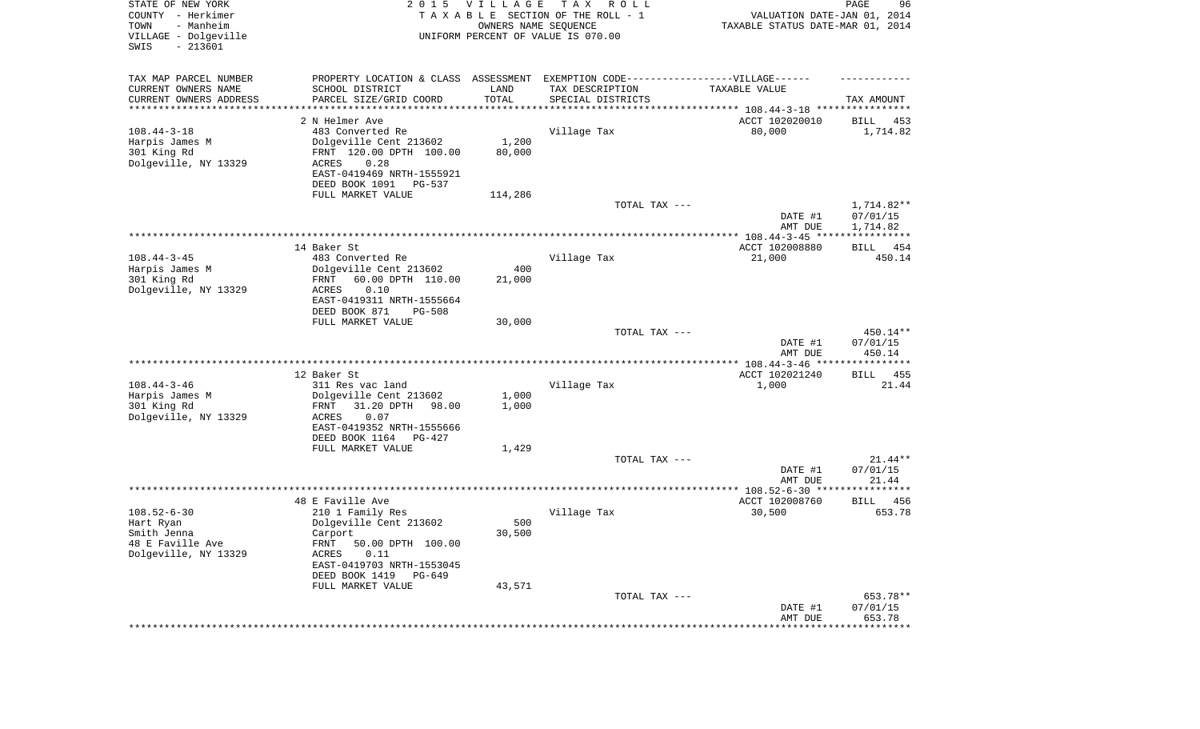| STATE OF NEW YORK<br>COUNTY - Herkimer<br>TOWN<br>- Manheim<br>VILLAGE - Dolgeville | 2 0 1 5                                               | <b>VILLAGE</b> | T A X<br>R O L L<br>TAXABLE SECTION OF THE ROLL - 1<br>OWNERS NAME SEQUENCE<br>UNIFORM PERCENT OF VALUE IS 070.00 | VALUATION DATE-JAN 01, 2014<br>TAXABLE STATUS DATE-MAR 01, 2014 | PAGE<br>96               |
|-------------------------------------------------------------------------------------|-------------------------------------------------------|----------------|-------------------------------------------------------------------------------------------------------------------|-----------------------------------------------------------------|--------------------------|
| SWIS<br>$-213601$                                                                   |                                                       |                |                                                                                                                   |                                                                 |                          |
| TAX MAP PARCEL NUMBER                                                               | PROPERTY LOCATION & CLASS ASSESSMENT                  |                | EXEMPTION CODE------------------VILLAGE------                                                                     |                                                                 |                          |
| CURRENT OWNERS NAME                                                                 | SCHOOL DISTRICT                                       | LAND           | TAX DESCRIPTION                                                                                                   | TAXABLE VALUE                                                   |                          |
| CURRENT OWNERS ADDRESS<br>*********************                                     | PARCEL SIZE/GRID COORD                                | TOTAL          | SPECIAL DISTRICTS                                                                                                 |                                                                 | TAX AMOUNT               |
|                                                                                     | 2 N Helmer Ave                                        |                |                                                                                                                   | ACCT 102020010                                                  | BILL<br>453              |
| $108.44 - 3 - 18$                                                                   | 483 Converted Re                                      |                | Village Tax                                                                                                       | 80,000                                                          | 1,714.82                 |
| Harpis James M                                                                      | Dolgeville Cent 213602                                | 1,200          |                                                                                                                   |                                                                 |                          |
| 301 King Rd                                                                         | FRNT 120.00 DPTH 100.00                               | 80,000         |                                                                                                                   |                                                                 |                          |
| Dolgeville, NY 13329                                                                | 0.28<br>ACRES                                         |                |                                                                                                                   |                                                                 |                          |
|                                                                                     | EAST-0419469 NRTH-1555921<br>DEED BOOK 1091<br>PG-537 |                |                                                                                                                   |                                                                 |                          |
|                                                                                     | FULL MARKET VALUE                                     | 114,286        |                                                                                                                   |                                                                 |                          |
|                                                                                     |                                                       |                | TOTAL TAX ---                                                                                                     |                                                                 | $1,714.82**$             |
|                                                                                     |                                                       |                |                                                                                                                   | DATE #1<br>AMT DUE                                              | 07/01/15<br>1,714.82     |
|                                                                                     |                                                       |                |                                                                                                                   |                                                                 |                          |
|                                                                                     | 14 Baker St                                           |                |                                                                                                                   | ACCT 102008880                                                  | 454<br>BILL              |
| $108.44 - 3 - 45$                                                                   | 483 Converted Re                                      |                | Village Tax                                                                                                       | 21,000                                                          | 450.14                   |
| Harpis James M<br>301 King Rd                                                       | Dolgeville Cent 213602<br>60.00 DPTH 110.00<br>FRNT   | 400<br>21,000  |                                                                                                                   |                                                                 |                          |
| Dolgeville, NY 13329                                                                | 0.10<br>ACRES                                         |                |                                                                                                                   |                                                                 |                          |
|                                                                                     | EAST-0419311 NRTH-1555664                             |                |                                                                                                                   |                                                                 |                          |
|                                                                                     | DEED BOOK 871<br>$PG-508$                             |                |                                                                                                                   |                                                                 |                          |
|                                                                                     | FULL MARKET VALUE                                     | 30,000         |                                                                                                                   |                                                                 |                          |
|                                                                                     |                                                       |                | TOTAL TAX ---                                                                                                     | DATE #1                                                         | 450.14**<br>07/01/15     |
|                                                                                     |                                                       |                |                                                                                                                   | AMT DUE                                                         | 450.14                   |
|                                                                                     |                                                       |                |                                                                                                                   |                                                                 |                          |
|                                                                                     | 12 Baker St                                           |                |                                                                                                                   | ACCT 102021240                                                  | <b>BILL</b><br>455       |
| $108.44 - 3 - 46$                                                                   | 311 Res vac land                                      |                | Village Tax                                                                                                       | 1,000                                                           | 21.44                    |
| Harpis James M                                                                      | Dolgeville Cent 213602                                | 1,000          |                                                                                                                   |                                                                 |                          |
| 301 King Rd<br>Dolgeville, NY 13329                                                 | 31.20 DPTH<br>FRNT<br>98.00<br>ACRES<br>0.07          | 1,000          |                                                                                                                   |                                                                 |                          |
|                                                                                     | EAST-0419352 NRTH-1555666                             |                |                                                                                                                   |                                                                 |                          |
|                                                                                     | DEED BOOK 1164<br>PG-427                              |                |                                                                                                                   |                                                                 |                          |
|                                                                                     | FULL MARKET VALUE                                     | 1,429          |                                                                                                                   |                                                                 |                          |
|                                                                                     |                                                       |                | TOTAL TAX ---                                                                                                     |                                                                 | $21.44**$                |
|                                                                                     |                                                       |                |                                                                                                                   | DATE #1                                                         | 07/01/15                 |
|                                                                                     |                                                       |                |                                                                                                                   | AMT DUE                                                         | 21.44                    |
|                                                                                     | 48 E Faville Ave                                      |                |                                                                                                                   | ACCT 102008760                                                  | 456<br>BILL              |
| $108.52 - 6 - 30$                                                                   | 210 1 Family Res                                      |                | Village Tax                                                                                                       | 30,500                                                          | 653.78                   |
| Hart Ryan                                                                           | Dolgeville Cent 213602                                | 500            |                                                                                                                   |                                                                 |                          |
| Smith Jenna                                                                         | Carport                                               | 30,500         |                                                                                                                   |                                                                 |                          |
| 48 E Faville Ave<br>Dolgeville, NY 13329                                            | FRNT 50.00 DPTH 100.00                                |                |                                                                                                                   |                                                                 |                          |
|                                                                                     | ACRES<br>0.11<br>EAST-0419703 NRTH-1553045            |                |                                                                                                                   |                                                                 |                          |
|                                                                                     | DEED BOOK 1419 PG-649                                 |                |                                                                                                                   |                                                                 |                          |
|                                                                                     | FULL MARKET VALUE                                     | 43,571         |                                                                                                                   |                                                                 |                          |
|                                                                                     |                                                       |                | TOTAL TAX ---                                                                                                     |                                                                 | 653.78**                 |
|                                                                                     |                                                       |                |                                                                                                                   | DATE #1                                                         | 07/01/15                 |
|                                                                                     |                                                       |                |                                                                                                                   | AMT DUE<br>*******************                                  | 653.78<br>************** |
|                                                                                     |                                                       |                |                                                                                                                   |                                                                 |                          |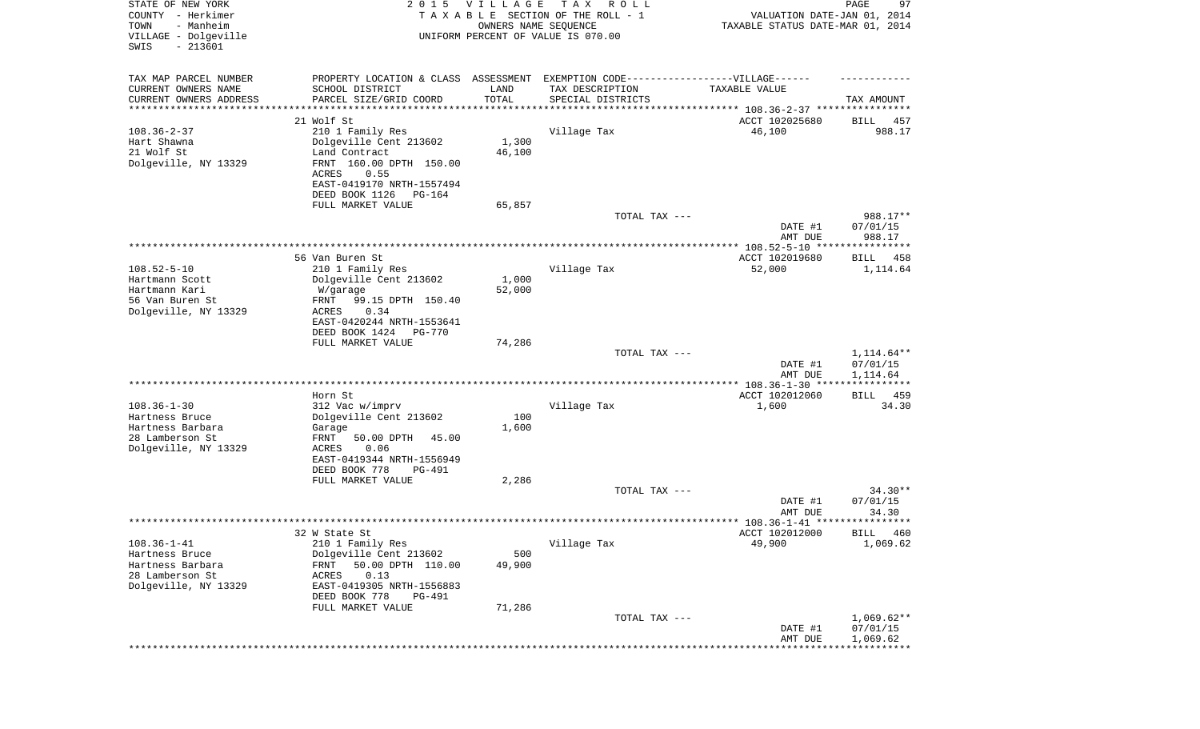| STATE OF NEW YORK<br>COUNTY - Herkimer<br>TOWN<br>- Manheim<br>VILLAGE - Dolgeville | 2 0 1 5                                              | <b>VILLAGE</b><br>OWNERS NAME SEQUENCE | T A X<br>R O L L<br>TAXABLE SECTION OF THE ROLL - 1<br>UNIFORM PERCENT OF VALUE IS 070.00 | VALUATION DATE-JAN 01, 2014<br>TAXABLE STATUS DATE-MAR 01, 2014 | 97<br>PAGE              |
|-------------------------------------------------------------------------------------|------------------------------------------------------|----------------------------------------|-------------------------------------------------------------------------------------------|-----------------------------------------------------------------|-------------------------|
| $-213601$<br>SWIS                                                                   |                                                      |                                        |                                                                                           |                                                                 |                         |
| TAX MAP PARCEL NUMBER                                                               | PROPERTY LOCATION & CLASS ASSESSMENT                 |                                        | EXEMPTION CODE------------------VILLAGE------                                             |                                                                 |                         |
| CURRENT OWNERS NAME                                                                 | SCHOOL DISTRICT                                      | LAND                                   | TAX DESCRIPTION                                                                           | TAXABLE VALUE                                                   |                         |
| CURRENT OWNERS ADDRESS                                                              | PARCEL SIZE/GRID COORD                               | TOTAL                                  | SPECIAL DISTRICTS                                                                         |                                                                 | TAX AMOUNT              |
| ********************                                                                | 21 Wolf St                                           |                                        |                                                                                           |                                                                 |                         |
| $108.36 - 2 - 37$                                                                   | 210 1 Family Res                                     |                                        | Village Tax                                                                               | ACCT 102025680<br>46,100                                        | BILL<br>457<br>988.17   |
| Hart Shawna                                                                         | Dolgeville Cent 213602                               | 1,300                                  |                                                                                           |                                                                 |                         |
| 21 Wolf St                                                                          | Land Contract                                        | 46,100                                 |                                                                                           |                                                                 |                         |
| Dolgeville, NY 13329                                                                | FRNT 160.00 DPTH 150.00                              |                                        |                                                                                           |                                                                 |                         |
|                                                                                     | ACRES<br>0.55                                        |                                        |                                                                                           |                                                                 |                         |
|                                                                                     | EAST-0419170 NRTH-1557494                            |                                        |                                                                                           |                                                                 |                         |
|                                                                                     | DEED BOOK 1126<br>PG-164                             |                                        |                                                                                           |                                                                 |                         |
|                                                                                     | FULL MARKET VALUE                                    | 65,857                                 |                                                                                           |                                                                 | 988.17**                |
|                                                                                     |                                                      |                                        | TOTAL TAX ---                                                                             | DATE #1                                                         | 07/01/15                |
|                                                                                     |                                                      |                                        |                                                                                           | AMT DUE                                                         | 988.17                  |
|                                                                                     |                                                      |                                        |                                                                                           | ***************** 108.52-5-10 ****************                  |                         |
|                                                                                     | 56 Van Buren St                                      |                                        |                                                                                           | ACCT 102019680                                                  | 458<br>BILL             |
| $108.52 - 5 - 10$                                                                   | 210 1 Family Res                                     |                                        | Village Tax                                                                               | 52,000                                                          | 1,114.64                |
| Hartmann Scott                                                                      | Dolgeville Cent 213602                               | 1,000                                  |                                                                                           |                                                                 |                         |
| Hartmann Kari<br>56 Van Buren St                                                    | W/garage                                             | 52,000                                 |                                                                                           |                                                                 |                         |
| Dolgeville, NY 13329                                                                | 99.15 DPTH 150.40<br>FRNT<br>ACRES<br>0.34           |                                        |                                                                                           |                                                                 |                         |
|                                                                                     | EAST-0420244 NRTH-1553641                            |                                        |                                                                                           |                                                                 |                         |
|                                                                                     | DEED BOOK 1424<br><b>PG-770</b>                      |                                        |                                                                                           |                                                                 |                         |
|                                                                                     | FULL MARKET VALUE                                    | 74,286                                 |                                                                                           |                                                                 |                         |
|                                                                                     |                                                      |                                        | TOTAL TAX ---                                                                             |                                                                 | 1,114.64**              |
|                                                                                     |                                                      |                                        |                                                                                           | DATE #1                                                         | 07/01/15                |
|                                                                                     |                                                      |                                        |                                                                                           | AMT DUE                                                         | 1,114.64<br>*********** |
|                                                                                     | Horn St                                              |                                        |                                                                                           | ACCT 102012060                                                  | 459<br>BILL             |
| $108.36 - 1 - 30$                                                                   | 312 Vac w/imprv                                      |                                        | Village Tax                                                                               | 1,600                                                           | 34.30                   |
| Hartness Bruce                                                                      | Dolgeville Cent 213602                               | 100                                    |                                                                                           |                                                                 |                         |
| Hartness Barbara                                                                    | Garage                                               | 1,600                                  |                                                                                           |                                                                 |                         |
| 28 Lamberson St                                                                     | FRNT<br>50.00 DPTH<br>45.00                          |                                        |                                                                                           |                                                                 |                         |
| Dolgeville, NY 13329                                                                | ACRES<br>0.06                                        |                                        |                                                                                           |                                                                 |                         |
|                                                                                     | EAST-0419344 NRTH-1556949<br>DEED BOOK 778<br>PG-491 |                                        |                                                                                           |                                                                 |                         |
|                                                                                     | FULL MARKET VALUE                                    | 2,286                                  |                                                                                           |                                                                 |                         |
|                                                                                     |                                                      |                                        | TOTAL TAX ---                                                                             |                                                                 | $34.30**$               |
|                                                                                     |                                                      |                                        |                                                                                           | DATE #1                                                         | 07/01/15                |
|                                                                                     |                                                      |                                        |                                                                                           | AMT DUE                                                         | 34.30                   |
|                                                                                     |                                                      |                                        |                                                                                           |                                                                 |                         |
| $108.36 - 1 - 41$                                                                   | 32 W State St                                        |                                        |                                                                                           | ACCT 102012000                                                  | BILL 460                |
| Hartness Bruce                                                                      | 210 1 Family Res<br>Dolgeville Cent 213602           | 500                                    | Village Tax                                                                               | 49,900                                                          | 1,069.62                |
| Hartness Barbara                                                                    | FRNT<br>50.00 DPTH 110.00                            | 49,900                                 |                                                                                           |                                                                 |                         |
| 28 Lamberson St                                                                     | ACRES<br>0.13                                        |                                        |                                                                                           |                                                                 |                         |
| Dolgeville, NY 13329                                                                | EAST-0419305 NRTH-1556883                            |                                        |                                                                                           |                                                                 |                         |
|                                                                                     | DEED BOOK 778<br>PG-491                              |                                        |                                                                                           |                                                                 |                         |
|                                                                                     | FULL MARKET VALUE                                    | 71,286                                 |                                                                                           |                                                                 |                         |
|                                                                                     |                                                      |                                        | TOTAL TAX ---                                                                             |                                                                 | $1,069.62**$            |
|                                                                                     |                                                      |                                        |                                                                                           | DATE #1<br>AMT DUE                                              | 07/01/15<br>1,069.62    |
|                                                                                     |                                                      |                                        |                                                                                           |                                                                 |                         |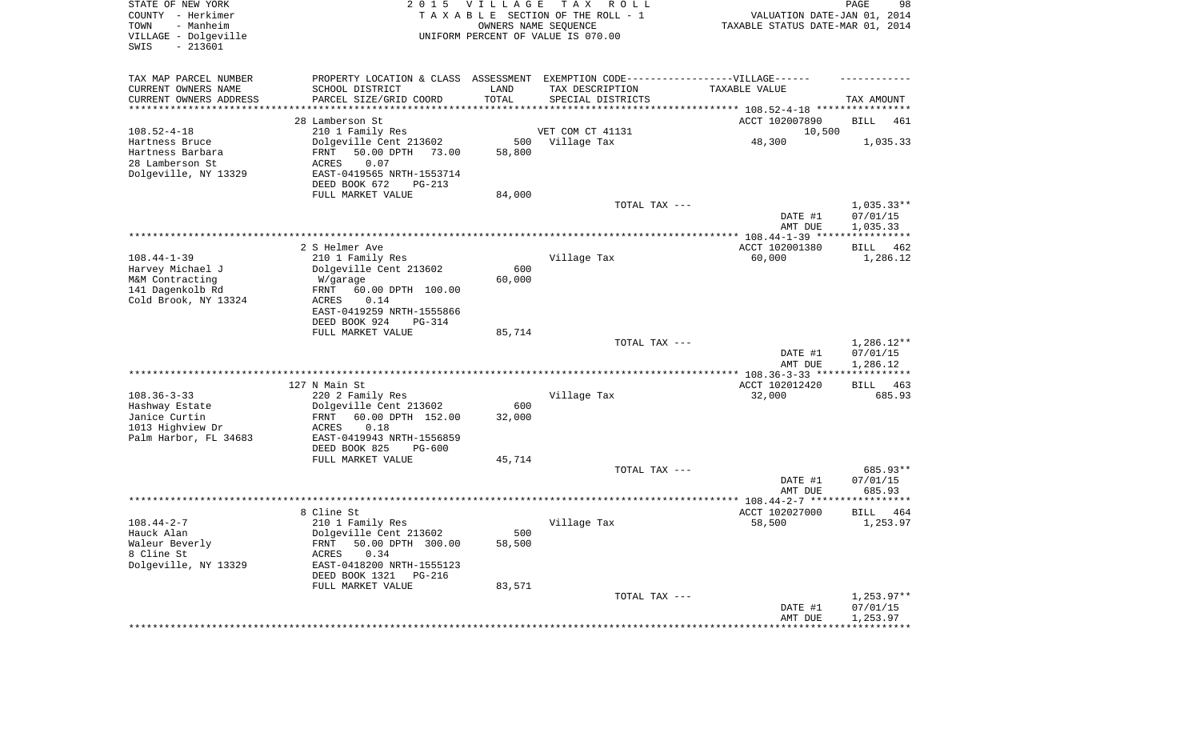| STATE OF NEW YORK<br>COUNTY - Herkimer<br>TOWN<br>- Manheim<br>VILLAGE - Dolgeville<br>SWIS<br>$-213601$ | 2 0 1 5                                                                                                                        | <b>VILLAGE</b> | T A X<br>R O L L<br>TAXABLE SECTION OF THE ROLL - 1<br>OWNERS NAME SEQUENCE<br>UNIFORM PERCENT OF VALUE IS 070.00 | VALUATION DATE-JAN 01, 2014<br>TAXABLE STATUS DATE-MAR 01, 2014 | PAGE<br>98                           |
|----------------------------------------------------------------------------------------------------------|--------------------------------------------------------------------------------------------------------------------------------|----------------|-------------------------------------------------------------------------------------------------------------------|-----------------------------------------------------------------|--------------------------------------|
| TAX MAP PARCEL NUMBER<br>CURRENT OWNERS NAME<br>CURRENT OWNERS ADDRESS                                   | PROPERTY LOCATION & CLASS ASSESSMENT EXEMPTION CODE-----------------VILLAGE------<br>SCHOOL DISTRICT<br>PARCEL SIZE/GRID COORD | LAND<br>TOTAL  | TAX DESCRIPTION<br>SPECIAL DISTRICTS                                                                              | TAXABLE VALUE                                                   | TAX AMOUNT                           |
| ********************                                                                                     |                                                                                                                                |                |                                                                                                                   |                                                                 |                                      |
|                                                                                                          | 28 Lamberson St                                                                                                                |                |                                                                                                                   | ACCT 102007890                                                  | BILL<br>461                          |
| $108.52 - 4 - 18$                                                                                        | 210 1 Family Res                                                                                                               |                | VET COM CT 41131                                                                                                  | 10,500                                                          |                                      |
| Hartness Bruce                                                                                           | Dolgeville Cent 213602                                                                                                         | 500            | Village Tax                                                                                                       | 48,300                                                          | 1,035.33                             |
| Hartness Barbara                                                                                         | FRNT<br>50.00 DPTH<br>73.00                                                                                                    | 58,800         |                                                                                                                   |                                                                 |                                      |
| 28 Lamberson St                                                                                          | ACRES<br>0.07                                                                                                                  |                |                                                                                                                   |                                                                 |                                      |
| Dolgeville, NY 13329                                                                                     | EAST-0419565 NRTH-1553714                                                                                                      |                |                                                                                                                   |                                                                 |                                      |
|                                                                                                          | DEED BOOK 672<br>PG-213                                                                                                        |                |                                                                                                                   |                                                                 |                                      |
|                                                                                                          | FULL MARKET VALUE                                                                                                              | 84,000         |                                                                                                                   |                                                                 |                                      |
|                                                                                                          |                                                                                                                                |                | TOTAL TAX ---                                                                                                     | DATE #1<br>AMT DUE                                              | $1,035.33**$<br>07/01/15<br>1,035.33 |
|                                                                                                          |                                                                                                                                |                |                                                                                                                   |                                                                 |                                      |
|                                                                                                          | 2 S Helmer Ave                                                                                                                 |                |                                                                                                                   | ACCT 102001380                                                  | BILL<br>462                          |
| $108.44 - 1 - 39$                                                                                        | 210 1 Family Res                                                                                                               |                | Village Tax                                                                                                       | 60,000                                                          | 1,286.12                             |
| Harvey Michael J                                                                                         | Dolgeville Cent 213602                                                                                                         | 600            |                                                                                                                   |                                                                 |                                      |
| M&M Contracting                                                                                          | W/garage                                                                                                                       | 60,000         |                                                                                                                   |                                                                 |                                      |
| 141 Dagenkolb Rd                                                                                         | 60.00 DPTH 100.00<br>FRNT                                                                                                      |                |                                                                                                                   |                                                                 |                                      |
| Cold Brook, NY 13324                                                                                     | ACRES<br>0.14                                                                                                                  |                |                                                                                                                   |                                                                 |                                      |
|                                                                                                          | EAST-0419259 NRTH-1555866                                                                                                      |                |                                                                                                                   |                                                                 |                                      |
|                                                                                                          | DEED BOOK 924<br>$PG-314$<br>FULL MARKET VALUE                                                                                 | 85,714         |                                                                                                                   |                                                                 |                                      |
|                                                                                                          |                                                                                                                                |                | TOTAL TAX ---                                                                                                     |                                                                 | $1,286.12**$                         |
|                                                                                                          |                                                                                                                                |                |                                                                                                                   | DATE #1<br>AMT DUE                                              | 07/01/15<br>1,286.12                 |
|                                                                                                          |                                                                                                                                |                |                                                                                                                   | ************ 108.36-3-33 ****                                   | ************                         |
|                                                                                                          | 127 N Main St                                                                                                                  |                |                                                                                                                   | ACCT 102012420                                                  | <b>BILL</b><br>463                   |
| $108.36 - 3 - 33$                                                                                        | 220 2 Family Res                                                                                                               |                | Village Tax                                                                                                       | 32,000                                                          | 685.93                               |
| Hashway Estate                                                                                           | Dolgeville Cent 213602                                                                                                         | 600            |                                                                                                                   |                                                                 |                                      |
| Janice Curtin                                                                                            | 60.00 DPTH 152.00<br>FRNT                                                                                                      | 32,000         |                                                                                                                   |                                                                 |                                      |
| 1013 Highview Dr                                                                                         | ACRES<br>0.18                                                                                                                  |                |                                                                                                                   |                                                                 |                                      |
| Palm Harbor, FL 34683                                                                                    | EAST-0419943 NRTH-1556859                                                                                                      |                |                                                                                                                   |                                                                 |                                      |
|                                                                                                          | DEED BOOK 825<br>PG-600<br>FULL MARKET VALUE                                                                                   | 45,714         |                                                                                                                   |                                                                 |                                      |
|                                                                                                          |                                                                                                                                |                | TOTAL TAX ---                                                                                                     |                                                                 | 685.93**                             |
|                                                                                                          |                                                                                                                                |                |                                                                                                                   | DATE #1                                                         | 07/01/15                             |
|                                                                                                          |                                                                                                                                |                |                                                                                                                   | AMT DUE                                                         | 685.93                               |
|                                                                                                          |                                                                                                                                |                |                                                                                                                   |                                                                 | ************                         |
|                                                                                                          | 8 Cline St                                                                                                                     |                |                                                                                                                   | ACCT 102027000                                                  | BILL<br>464                          |
| $108.44 - 2 - 7$                                                                                         | 210 1 Family Res                                                                                                               |                | Village Tax                                                                                                       | 58,500                                                          | 1,253.97                             |
| Hauck Alan                                                                                               | Dolgeville Cent 213602                                                                                                         | 500            |                                                                                                                   |                                                                 |                                      |
| Waleur Beverly                                                                                           | 50.00 DPTH 300.00<br>FRNT                                                                                                      | 58,500         |                                                                                                                   |                                                                 |                                      |
| 8 Cline St                                                                                               | 0.34<br>ACRES                                                                                                                  |                |                                                                                                                   |                                                                 |                                      |
| Dolgeville, NY 13329                                                                                     | EAST-0418200 NRTH-1555123                                                                                                      |                |                                                                                                                   |                                                                 |                                      |
|                                                                                                          | DEED BOOK 1321<br>PG-216<br>FULL MARKET VALUE                                                                                  |                |                                                                                                                   |                                                                 |                                      |
|                                                                                                          |                                                                                                                                | 83,571         | TOTAL TAX ---                                                                                                     |                                                                 | $1,253.97**$                         |
|                                                                                                          |                                                                                                                                |                |                                                                                                                   | DATE #1                                                         | 07/01/15                             |
|                                                                                                          |                                                                                                                                |                |                                                                                                                   | AMT DUE                                                         | 1,253.97                             |
|                                                                                                          |                                                                                                                                |                |                                                                                                                   |                                                                 |                                      |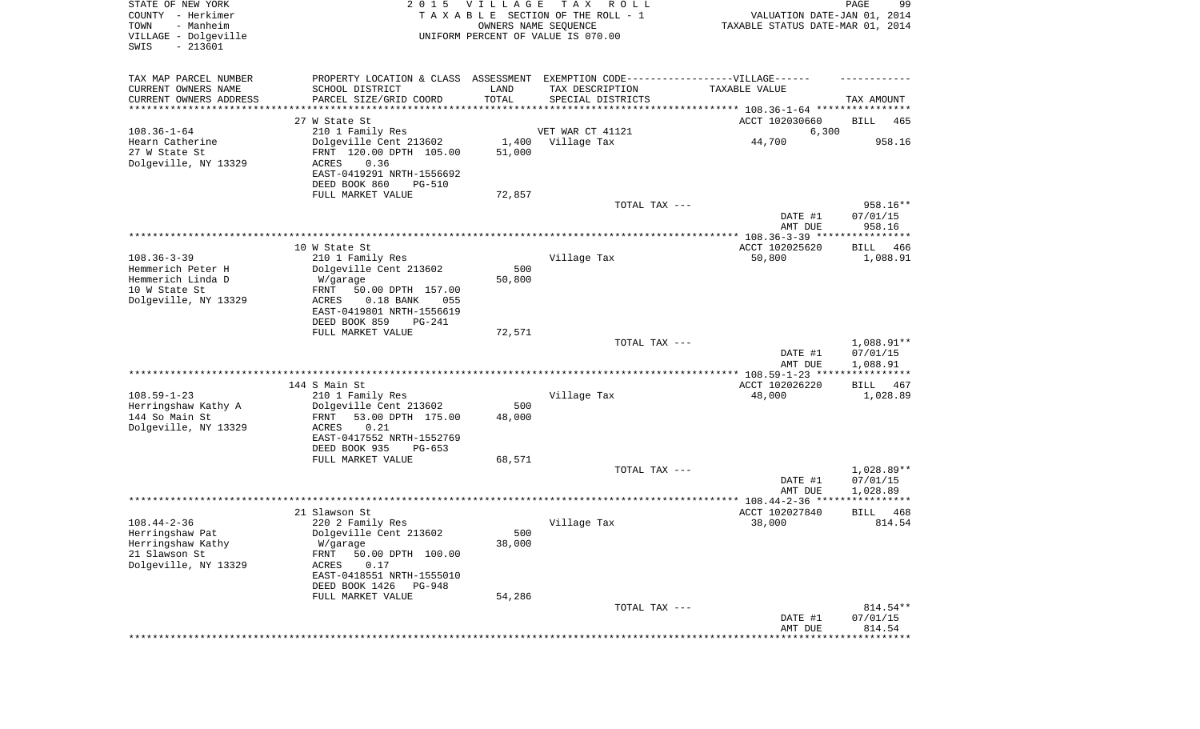| STATE OF NEW YORK<br>COUNTY - Herkimer<br>- Manheim<br>TOWN<br>VILLAGE - Dolgeville<br>$-213601$<br>SWIS | 2 0 1 5                                                                           | VILLAGE<br>OWNERS NAME SEQUENCE | T A X<br>R O L L<br>TAXABLE SECTION OF THE ROLL - 1<br>UNIFORM PERCENT OF VALUE IS 070.00 | VALUATION DATE-JAN 01, 2014<br>TAXABLE STATUS DATE-MAR 01, 2014 | PAGE<br>99                     |
|----------------------------------------------------------------------------------------------------------|-----------------------------------------------------------------------------------|---------------------------------|-------------------------------------------------------------------------------------------|-----------------------------------------------------------------|--------------------------------|
| TAX MAP PARCEL NUMBER                                                                                    | PROPERTY LOCATION & CLASS ASSESSMENT EXEMPTION CODE-----------------VILLAGE------ |                                 |                                                                                           |                                                                 |                                |
| CURRENT OWNERS NAME<br>CURRENT OWNERS ADDRESS                                                            | SCHOOL DISTRICT<br>PARCEL SIZE/GRID COORD                                         | LAND<br>TOTAL                   | TAX DESCRIPTION                                                                           | TAXABLE VALUE                                                   | TAX AMOUNT                     |
| *********************                                                                                    |                                                                                   | **********                      | SPECIAL DISTRICTS                                                                         |                                                                 |                                |
|                                                                                                          | 27 W State St                                                                     |                                 |                                                                                           | ACCT 102030660                                                  | BILL<br>465                    |
| $108.36 - 1 - 64$                                                                                        | 210 1 Family Res                                                                  |                                 | VET WAR CT 41121                                                                          | 6,300                                                           |                                |
| Hearn Catherine                                                                                          | Dolgeville Cent 213602                                                            | 1,400                           | Village Tax                                                                               | 44,700                                                          | 958.16                         |
| 27 W State St<br>Dolgeville, NY 13329                                                                    | FRNT 120.00 DPTH 105.00<br>ACRES<br>0.36                                          | 51,000                          |                                                                                           |                                                                 |                                |
|                                                                                                          | EAST-0419291 NRTH-1556692                                                         |                                 |                                                                                           |                                                                 |                                |
|                                                                                                          | DEED BOOK 860<br><b>PG-510</b>                                                    |                                 |                                                                                           |                                                                 |                                |
|                                                                                                          | FULL MARKET VALUE                                                                 | 72,857                          |                                                                                           |                                                                 |                                |
|                                                                                                          |                                                                                   |                                 | TOTAL TAX ---                                                                             | DATE #1<br>AMT DUE                                              | 958.16**<br>07/01/15<br>958.16 |
|                                                                                                          |                                                                                   |                                 |                                                                                           |                                                                 |                                |
|                                                                                                          | 10 W State St                                                                     |                                 |                                                                                           | ACCT 102025620                                                  | BILL<br>466                    |
| $108.36 - 3 - 39$                                                                                        | 210 1 Family Res                                                                  |                                 | Village Tax                                                                               | 50,800                                                          | 1,088.91                       |
| Hemmerich Peter H<br>Hemmerich Linda D                                                                   | Dolgeville Cent 213602<br>W/garage                                                | 500<br>50,800                   |                                                                                           |                                                                 |                                |
| 10 W State St                                                                                            | FRNT<br>50.00 DPTH 157.00                                                         |                                 |                                                                                           |                                                                 |                                |
| Dolgeville, NY 13329                                                                                     | $0.18$ BANK<br>055<br>ACRES                                                       |                                 |                                                                                           |                                                                 |                                |
|                                                                                                          | EAST-0419801 NRTH-1556619<br>DEED BOOK 859<br>PG-241                              |                                 |                                                                                           |                                                                 |                                |
|                                                                                                          | FULL MARKET VALUE                                                                 | 72,571                          |                                                                                           |                                                                 |                                |
|                                                                                                          |                                                                                   |                                 | TOTAL TAX ---                                                                             |                                                                 | 1,088.91**                     |
|                                                                                                          |                                                                                   |                                 |                                                                                           | DATE #1                                                         | 07/01/15                       |
|                                                                                                          |                                                                                   |                                 |                                                                                           | AMT DUE<br>*********** 108.59-1-23 ****************             | 1,088.91                       |
|                                                                                                          | 144 S Main St                                                                     |                                 |                                                                                           | ACCT 102026220                                                  | <b>BILL</b><br>467             |
| $108.59 - 1 - 23$                                                                                        | 210 1 Family Res                                                                  |                                 | Village Tax                                                                               | 48,000                                                          | 1,028.89                       |
| Herringshaw Kathy A<br>144 So Main St                                                                    | Dolgeville Cent 213602                                                            | 500                             |                                                                                           |                                                                 |                                |
| Dolgeville, NY 13329                                                                                     | FRNT<br>53.00 DPTH 175.00<br>ACRES<br>0.21                                        | 48,000                          |                                                                                           |                                                                 |                                |
|                                                                                                          | EAST-0417552 NRTH-1552769                                                         |                                 |                                                                                           |                                                                 |                                |
|                                                                                                          | DEED BOOK 935<br>PG-653                                                           |                                 |                                                                                           |                                                                 |                                |
|                                                                                                          | FULL MARKET VALUE                                                                 | 68,571                          | TOTAL TAX ---                                                                             |                                                                 | 1,028.89**                     |
|                                                                                                          |                                                                                   |                                 |                                                                                           | DATE #1                                                         | 07/01/15                       |
|                                                                                                          |                                                                                   |                                 |                                                                                           | AMT DUE                                                         | 1,028.89                       |
|                                                                                                          |                                                                                   |                                 |                                                                                           |                                                                 |                                |
| $108.44 - 2 - 36$                                                                                        | 21 Slawson St                                                                     |                                 |                                                                                           | ACCT 102027840                                                  | <b>BILL</b><br>468<br>814.54   |
| Herringshaw Pat                                                                                          | 220 2 Family Res<br>Dolgeville Cent 213602                                        | 500                             | Village Tax                                                                               | 38,000                                                          |                                |
| Herringshaw Kathy                                                                                        | W/garage                                                                          | 38,000                          |                                                                                           |                                                                 |                                |
| 21 Slawson St                                                                                            | 50.00 DPTH 100.00<br>FRNT                                                         |                                 |                                                                                           |                                                                 |                                |
| Dolgeville, NY 13329                                                                                     | ACRES<br>0.17                                                                     |                                 |                                                                                           |                                                                 |                                |
|                                                                                                          | EAST-0418551 NRTH-1555010<br>DEED BOOK 1426<br>PG-948                             |                                 |                                                                                           |                                                                 |                                |
|                                                                                                          | FULL MARKET VALUE                                                                 | 54,286                          |                                                                                           |                                                                 |                                |
|                                                                                                          |                                                                                   |                                 | TOTAL TAX ---                                                                             |                                                                 | 814.54**                       |
|                                                                                                          |                                                                                   |                                 |                                                                                           | DATE #1<br>AMT DUE                                              | 07/01/15<br>814.54             |
|                                                                                                          |                                                                                   |                                 |                                                                                           |                                                                 |                                |
|                                                                                                          |                                                                                   |                                 |                                                                                           |                                                                 |                                |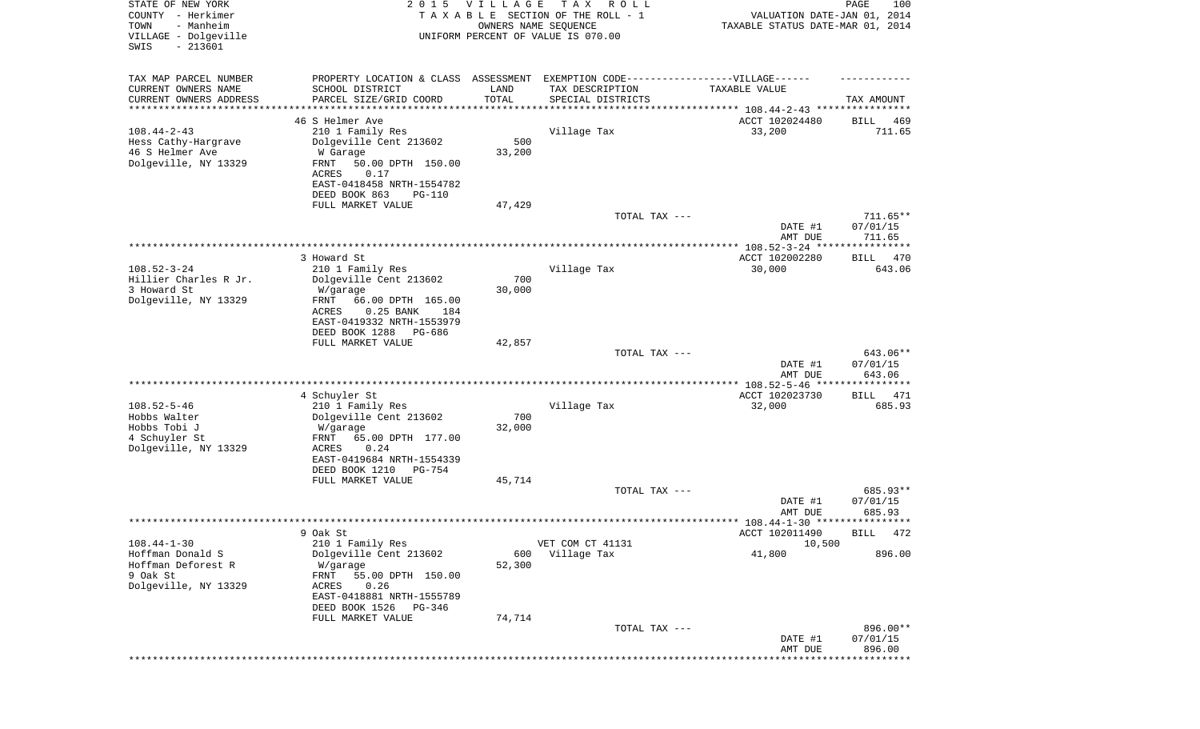| STATE OF NEW YORK<br>COUNTY - Herkimer<br>- Manheim<br>TOWN<br>VILLAGE - Dolgeville<br>$-213601$<br>SWIS | 2 0 1 5                                                                                                                                                                      | <b>VILLAGE</b><br>OWNERS NAME SEQUENCE | T A X<br>R O L L<br>TAXABLE SECTION OF THE ROLL - 1<br>UNIFORM PERCENT OF VALUE IS 070.00 | VALUATION DATE-JAN 01, 2014<br>TAXABLE STATUS DATE-MAR 01, 2014 | PAGE<br>100                      |
|----------------------------------------------------------------------------------------------------------|------------------------------------------------------------------------------------------------------------------------------------------------------------------------------|----------------------------------------|-------------------------------------------------------------------------------------------|-----------------------------------------------------------------|----------------------------------|
| TAX MAP PARCEL NUMBER<br>CURRENT OWNERS NAME                                                             | PROPERTY LOCATION & CLASS ASSESSMENT<br>SCHOOL DISTRICT                                                                                                                      | LAND                                   | EXEMPTION CODE-----------------VILLAGE------<br>TAX DESCRIPTION                           | TAXABLE VALUE                                                   |                                  |
| CURRENT OWNERS ADDRESS<br>*********************                                                          | PARCEL SIZE/GRID COORD<br>*********************                                                                                                                              | TOTAL<br>* * * * * * * * * * *         | SPECIAL DISTRICTS                                                                         |                                                                 | TAX AMOUNT                       |
|                                                                                                          | 46 S Helmer Ave                                                                                                                                                              |                                        |                                                                                           | ACCT 102024480                                                  | BILL<br>469                      |
| $108.44 - 2 - 43$<br>Hess Cathy-Hargrave<br>46 S Helmer Ave<br>Dolgeville, NY 13329                      | 210 1 Family Res<br>Dolgeville Cent 213602<br>W Garage<br>FRNT<br>50.00 DPTH 150.00<br>ACRES<br>0.17<br>EAST-0418458 NRTH-1554782<br>DEED BOOK 863<br><b>PG-110</b>          | 500<br>33,200                          | Village Tax                                                                               | 33,200                                                          | 711.65                           |
|                                                                                                          | FULL MARKET VALUE                                                                                                                                                            | 47,429                                 |                                                                                           |                                                                 |                                  |
|                                                                                                          |                                                                                                                                                                              |                                        | TOTAL TAX ---                                                                             | DATE #1<br>AMT DUE                                              | $711.65**$<br>07/01/15<br>711.65 |
|                                                                                                          |                                                                                                                                                                              |                                        |                                                                                           |                                                                 |                                  |
| $108.52 - 3 - 24$                                                                                        | 3 Howard St<br>210 1 Family Res                                                                                                                                              |                                        | Village Tax                                                                               | ACCT 102002280<br>30,000                                        | BILL<br>470<br>643.06            |
| Hillier Charles R Jr.<br>3 Howard St<br>Dolgeville, NY 13329                                             | Dolgeville Cent 213602<br>W/garage<br>FRNT<br>66.00 DPTH 165.00<br>ACRES<br>$0.25$ BANK<br>184<br>EAST-0419332 NRTH-1553979<br>DEED BOOK 1288<br>PG-686<br>FULL MARKET VALUE | 700<br>30,000<br>42,857                |                                                                                           |                                                                 |                                  |
|                                                                                                          |                                                                                                                                                                              |                                        | TOTAL TAX ---                                                                             | DATE #1<br>AMT DUE                                              | 643.06**<br>07/01/15<br>643.06   |
|                                                                                                          |                                                                                                                                                                              |                                        |                                                                                           |                                                                 |                                  |
| $108.52 - 5 - 46$<br>Hobbs Walter<br>Hobbs Tobi J<br>4 Schuyler St<br>Dolgeville, NY 13329               | 4 Schuyler St<br>210 1 Family Res<br>Dolgeville Cent 213602<br>W/garage<br>FRNT<br>65.00 DPTH 177.00<br>ACRES<br>0.24<br>EAST-0419684 NRTH-1554339                           | 700<br>32,000                          | Village Tax                                                                               | ACCT 102023730<br>32,000                                        | BILL<br>471<br>685.93            |
|                                                                                                          | DEED BOOK 1210<br>$PG-754$                                                                                                                                                   |                                        |                                                                                           |                                                                 |                                  |
|                                                                                                          | FULL MARKET VALUE                                                                                                                                                            | 45,714                                 | TOTAL TAX ---                                                                             | DATE #1                                                         | 685.93**<br>07/01/15             |
|                                                                                                          |                                                                                                                                                                              |                                        |                                                                                           | AMT DUE                                                         | 685.93                           |
|                                                                                                          |                                                                                                                                                                              |                                        |                                                                                           | ACCT 102011490                                                  | BILL 472                         |
| $108.44 - 1 - 30$<br>Hoffman Donald S                                                                    | 9 Oak St<br>210 1 Family Res<br>Dolgeville Cent 213602                                                                                                                       | 600                                    | VET COM CT 41131<br>Village Tax                                                           | 10,500<br>41,800                                                | 896.00                           |
| Hoffman Deforest R<br>9 Oak St<br>Dolgeville, NY 13329                                                   | W/garage<br>55.00 DPTH 150.00<br>FRNT<br>ACRES<br>0.26<br>EAST-0418881 NRTH-1555789<br>DEED BOOK 1526<br>PG-346                                                              | 52,300                                 |                                                                                           |                                                                 |                                  |
|                                                                                                          | FULL MARKET VALUE                                                                                                                                                            | 74,714                                 |                                                                                           |                                                                 |                                  |
|                                                                                                          |                                                                                                                                                                              |                                        | TOTAL TAX ---                                                                             | DATE #1<br>AMT DUE                                              | 896.00**<br>07/01/15<br>896.00   |
|                                                                                                          |                                                                                                                                                                              |                                        |                                                                                           |                                                                 | ********                         |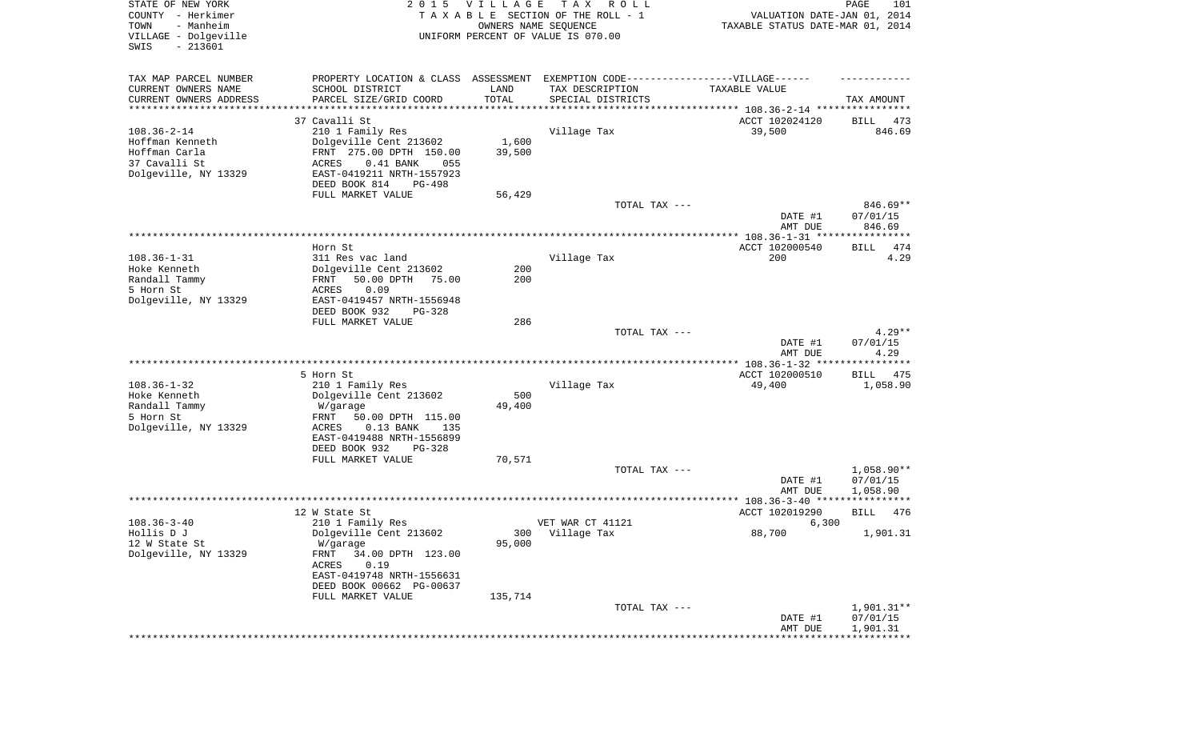| STATE OF NEW YORK<br>COUNTY - Herkimer<br>- Manheim<br>TOWN<br>VILLAGE - Dolgeville<br>SWIS<br>$-213601$ |                                                                                   | 2015 VILLAGE<br>OWNERS NAME SEQUENCE | T A X<br>R O L L<br>TAXABLE SECTION OF THE ROLL - 1<br>UNIFORM PERCENT OF VALUE IS 070.00 | VALUATION DATE-JAN 01, 2014<br>TAXABLE STATUS DATE-MAR 01, 2014 | PAGE<br>101                      |
|----------------------------------------------------------------------------------------------------------|-----------------------------------------------------------------------------------|--------------------------------------|-------------------------------------------------------------------------------------------|-----------------------------------------------------------------|----------------------------------|
| TAX MAP PARCEL NUMBER                                                                                    | PROPERTY LOCATION & CLASS ASSESSMENT EXEMPTION CODE-----------------VILLAGE------ |                                      |                                                                                           |                                                                 |                                  |
| CURRENT OWNERS NAME                                                                                      | SCHOOL DISTRICT                                                                   | LAND                                 | TAX DESCRIPTION                                                                           | TAXABLE VALUE                                                   |                                  |
| CURRENT OWNERS ADDRESS<br>********************                                                           | PARCEL SIZE/GRID COORD                                                            | TOTAL<br>**********                  | SPECIAL DISTRICTS                                                                         |                                                                 | TAX AMOUNT                       |
|                                                                                                          | 37 Cavalli St                                                                     |                                      |                                                                                           | ACCT 102024120                                                  | BILL<br>473                      |
| $108.36 - 2 - 14$                                                                                        | 210 1 Family Res                                                                  |                                      | Village Tax                                                                               | 39,500                                                          | 846.69                           |
| Hoffman Kenneth                                                                                          | Dolgeville Cent 213602                                                            | 1,600                                |                                                                                           |                                                                 |                                  |
| Hoffman Carla                                                                                            | FRNT 275.00 DPTH 150.00                                                           | 39,500                               |                                                                                           |                                                                 |                                  |
| 37 Cavalli St                                                                                            | ACRES<br>$0.41$ BANK<br>055                                                       |                                      |                                                                                           |                                                                 |                                  |
| Dolgeville, NY 13329                                                                                     | EAST-0419211 NRTH-1557923                                                         |                                      |                                                                                           |                                                                 |                                  |
|                                                                                                          | DEED BOOK 814<br>PG-498                                                           |                                      |                                                                                           |                                                                 |                                  |
|                                                                                                          | FULL MARKET VALUE                                                                 | 56,429                               |                                                                                           |                                                                 |                                  |
|                                                                                                          |                                                                                   |                                      | TOTAL TAX ---                                                                             | DATE #1<br>AMT DUE                                              | $846.69**$<br>07/01/15<br>846.69 |
|                                                                                                          |                                                                                   |                                      |                                                                                           |                                                                 |                                  |
|                                                                                                          | Horn St                                                                           |                                      |                                                                                           | ACCT 102000540                                                  | 474<br><b>BILL</b>               |
| $108.36 - 1 - 31$                                                                                        | 311 Res vac land                                                                  |                                      | Village Tax                                                                               | 200                                                             | 4.29                             |
| Hoke Kenneth                                                                                             | Dolgeville Cent 213602                                                            | 200                                  |                                                                                           |                                                                 |                                  |
| Randall Tammy                                                                                            | 50.00 DPTH<br>FRNT<br>75.00                                                       | 200                                  |                                                                                           |                                                                 |                                  |
| 5 Horn St                                                                                                | 0.09<br>ACRES                                                                     |                                      |                                                                                           |                                                                 |                                  |
| Dolgeville, NY 13329                                                                                     | EAST-0419457 NRTH-1556948<br>DEED BOOK 932<br>$PG-328$                            |                                      |                                                                                           |                                                                 |                                  |
|                                                                                                          | FULL MARKET VALUE                                                                 | 286                                  |                                                                                           |                                                                 |                                  |
|                                                                                                          |                                                                                   |                                      | TOTAL TAX ---                                                                             |                                                                 | $4.29**$                         |
|                                                                                                          |                                                                                   |                                      |                                                                                           | DATE #1<br>AMT DUE                                              | 07/01/15<br>4.29                 |
|                                                                                                          |                                                                                   |                                      |                                                                                           |                                                                 |                                  |
| $108.36 - 1 - 32$                                                                                        | 5 Horn St                                                                         |                                      | Village Tax                                                                               | ACCT 102000510                                                  | BILL<br>475                      |
| Hoke Kenneth                                                                                             | 210 1 Family Res<br>Dolgeville Cent 213602                                        | 500                                  |                                                                                           | 49,400                                                          | 1,058.90                         |
| Randall Tammy                                                                                            | W/garage                                                                          | 49,400                               |                                                                                           |                                                                 |                                  |
| 5 Horn St                                                                                                | <b>FRNT</b><br>50.00 DPTH 115.00                                                  |                                      |                                                                                           |                                                                 |                                  |
| Dolgeville, NY 13329                                                                                     | ACRES<br>$0.13$ BANK<br>135                                                       |                                      |                                                                                           |                                                                 |                                  |
|                                                                                                          | EAST-0419488 NRTH-1556899                                                         |                                      |                                                                                           |                                                                 |                                  |
|                                                                                                          | DEED BOOK 932<br>PG-328                                                           |                                      |                                                                                           |                                                                 |                                  |
|                                                                                                          | FULL MARKET VALUE                                                                 | 70,571                               |                                                                                           |                                                                 |                                  |
|                                                                                                          |                                                                                   |                                      | TOTAL TAX ---                                                                             | DATE #1                                                         | $1,058.90**$<br>07/01/15         |
|                                                                                                          |                                                                                   |                                      |                                                                                           | AMT DUE                                                         | 1,058.90                         |
|                                                                                                          |                                                                                   |                                      |                                                                                           |                                                                 |                                  |
|                                                                                                          | 12 W State St                                                                     |                                      |                                                                                           | ACCT 102019290                                                  | 476<br><b>BILL</b>               |
| $108.36 - 3 - 40$                                                                                        | 210 1 Family Res                                                                  |                                      | VET WAR CT 41121                                                                          | 6,300                                                           |                                  |
| Hollis D J                                                                                               | Dolgeville Cent 213602                                                            |                                      | 300 Village Tax                                                                           | 88,700                                                          | 1,901.31                         |
| 12 W State St                                                                                            | W/garage                                                                          | 95,000                               |                                                                                           |                                                                 |                                  |
| Dolgeville, NY 13329                                                                                     | FRNT<br>34.00 DPTH 123.00<br>ACRES<br>0.19                                        |                                      |                                                                                           |                                                                 |                                  |
|                                                                                                          | EAST-0419748 NRTH-1556631                                                         |                                      |                                                                                           |                                                                 |                                  |
|                                                                                                          | DEED BOOK 00662 PG-00637                                                          |                                      |                                                                                           |                                                                 |                                  |
|                                                                                                          | FULL MARKET VALUE                                                                 | 135,714                              |                                                                                           |                                                                 |                                  |
|                                                                                                          |                                                                                   |                                      | TOTAL TAX ---                                                                             |                                                                 | 1,901.31**                       |
|                                                                                                          |                                                                                   |                                      |                                                                                           | DATE #1                                                         | 07/01/15                         |
|                                                                                                          |                                                                                   |                                      |                                                                                           | AMT DUE                                                         | 1,901.31                         |
|                                                                                                          |                                                                                   |                                      |                                                                                           |                                                                 |                                  |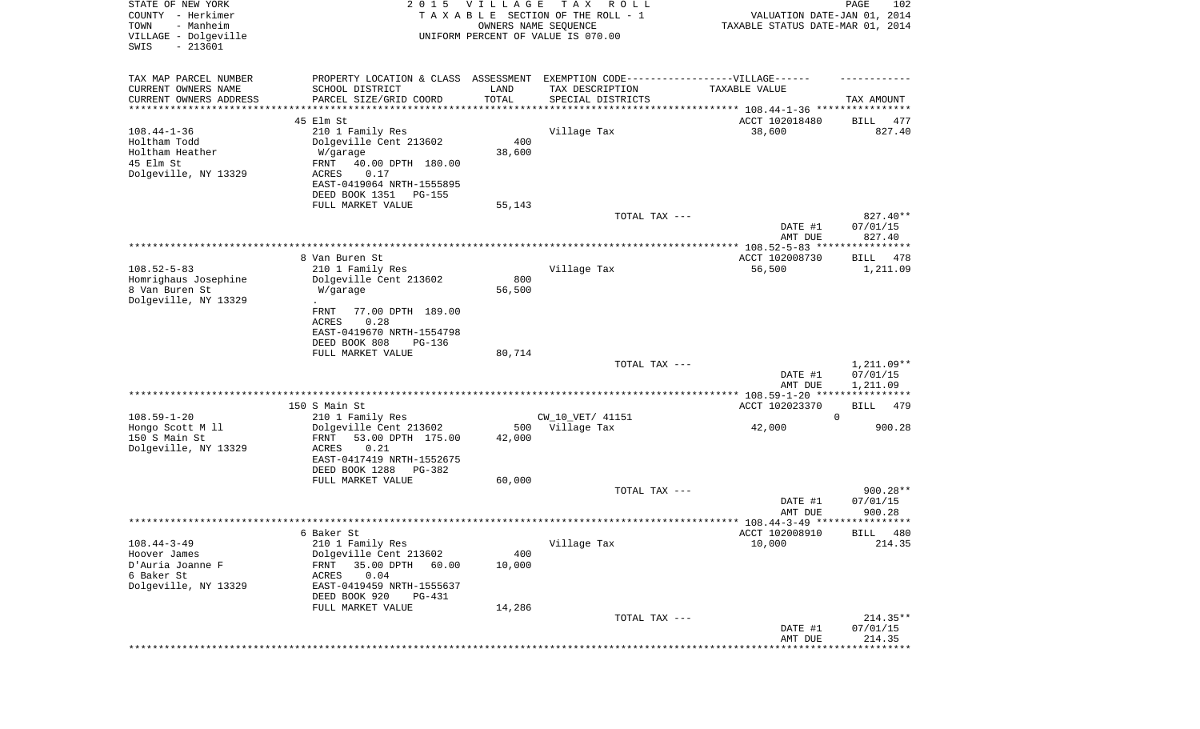| STATE OF NEW YORK<br>COUNTY - Herkimer<br>- Manheim<br>TOWN<br>VILLAGE - Dolgeville | 2 0 1 5                              | <b>VILLAGE</b>        | T A X<br>R O L L<br>TAXABLE SECTION OF THE ROLL - 1<br>OWNERS NAME SEQUENCE<br>UNIFORM PERCENT OF VALUE IS 070.00 | VALUATION DATE-JAN 01, 2014<br>TAXABLE STATUS DATE-MAR 01, 2014 | PAGE<br>102                 |
|-------------------------------------------------------------------------------------|--------------------------------------|-----------------------|-------------------------------------------------------------------------------------------------------------------|-----------------------------------------------------------------|-----------------------------|
| $-213601$<br>SWIS                                                                   |                                      |                       |                                                                                                                   |                                                                 |                             |
| TAX MAP PARCEL NUMBER                                                               | PROPERTY LOCATION & CLASS ASSESSMENT |                       | EXEMPTION CODE------------------VILLAGE------                                                                     |                                                                 |                             |
| CURRENT OWNERS NAME<br>SCHOOL DISTRICT                                              |                                      | LAND                  | TAX DESCRIPTION                                                                                                   | TAXABLE VALUE                                                   |                             |
| CURRENT OWNERS ADDRESS<br>PARCEL SIZE/GRID COORD                                    |                                      | TOTAL                 | SPECIAL DISTRICTS                                                                                                 |                                                                 | TAX AMOUNT                  |
| *********************<br>******************                                         |                                      | * * * * * * * * * * * |                                                                                                                   |                                                                 |                             |
| 45 Elm St<br>$108.44 - 1 - 36$<br>210 1 Family Res                                  |                                      |                       | Village Tax                                                                                                       | ACCT 102018480<br>38,600                                        | BILL<br>477<br>827.40       |
| Holtham Todd<br>Dolgeville Cent 213602                                              |                                      | 400                   |                                                                                                                   |                                                                 |                             |
| Holtham Heather<br>W/garage                                                         |                                      | 38,600                |                                                                                                                   |                                                                 |                             |
| 45 Elm St<br>FRNT                                                                   | 40.00 DPTH 180.00                    |                       |                                                                                                                   |                                                                 |                             |
| Dolgeville, NY 13329<br>0.17<br>ACRES                                               |                                      |                       |                                                                                                                   |                                                                 |                             |
| EAST-0419064 NRTH-1555895                                                           |                                      |                       |                                                                                                                   |                                                                 |                             |
| DEED BOOK 1351                                                                      | PG-155                               |                       |                                                                                                                   |                                                                 |                             |
| FULL MARKET VALUE                                                                   |                                      | 55,143                | TOTAL TAX ---                                                                                                     |                                                                 | 827.40**                    |
|                                                                                     |                                      |                       |                                                                                                                   | DATE #1                                                         | 07/01/15                    |
|                                                                                     |                                      |                       |                                                                                                                   | AMT DUE                                                         | 827.40                      |
|                                                                                     |                                      |                       |                                                                                                                   |                                                                 |                             |
| 8 Van Buren St                                                                      |                                      |                       |                                                                                                                   | ACCT 102008730                                                  | BILL<br>478                 |
| $108.52 - 5 - 83$<br>210 1 Family Res                                               |                                      |                       | Village Tax                                                                                                       | 56,500                                                          | 1,211.09                    |
| Homrighaus Josephine<br>Dolgeville Cent 213602<br>8 Van Buren St<br>W/garage        |                                      | 800<br>56,500         |                                                                                                                   |                                                                 |                             |
| Dolgeville, NY 13329                                                                |                                      |                       |                                                                                                                   |                                                                 |                             |
| FRNT                                                                                | 77.00 DPTH 189.00                    |                       |                                                                                                                   |                                                                 |                             |
| 0.28<br><b>ACRES</b>                                                                |                                      |                       |                                                                                                                   |                                                                 |                             |
| EAST-0419670 NRTH-1554798                                                           |                                      |                       |                                                                                                                   |                                                                 |                             |
| DEED BOOK 808                                                                       | PG-136                               |                       |                                                                                                                   |                                                                 |                             |
| FULL MARKET VALUE                                                                   |                                      | 80,714                | TOTAL TAX ---                                                                                                     |                                                                 | $1,211.09**$                |
|                                                                                     |                                      |                       |                                                                                                                   | DATE #1<br>AMT DUE                                              | 07/01/15<br>1,211.09        |
|                                                                                     |                                      |                       |                                                                                                                   | **************** 108.59-1-20 *****************                  |                             |
| 150 S Main St                                                                       |                                      |                       |                                                                                                                   | ACCT 102023370                                                  | BILL<br>479                 |
| $108.59 - 1 - 20$<br>210 1 Family Res                                               |                                      |                       | CW_10_VET/ 41151                                                                                                  |                                                                 | $\mathbf 0$                 |
| Hongo Scott M 11<br>Dolgeville Cent 213602<br>150 S Main St<br>FRNT                 | 53.00 DPTH 175.00                    | 500<br>42,000         | Village Tax                                                                                                       | 42,000                                                          | 900.28                      |
| Dolgeville, NY 13329<br>ACRES<br>0.21                                               |                                      |                       |                                                                                                                   |                                                                 |                             |
| EAST-0417419 NRTH-1552675                                                           |                                      |                       |                                                                                                                   |                                                                 |                             |
| DEED BOOK 1288                                                                      | $PG-382$                             |                       |                                                                                                                   |                                                                 |                             |
| FULL MARKET VALUE                                                                   |                                      | 60,000                |                                                                                                                   |                                                                 |                             |
|                                                                                     |                                      |                       | TOTAL TAX ---                                                                                                     | DATE #1                                                         | 900.28**<br>07/01/15        |
|                                                                                     |                                      |                       |                                                                                                                   | AMT DUE                                                         | 900.28                      |
|                                                                                     |                                      |                       |                                                                                                                   |                                                                 |                             |
| 6 Baker St                                                                          |                                      |                       |                                                                                                                   | ACCT 102008910                                                  | BILL 480                    |
| $108.44 - 3 - 49$<br>210 1 Family Res                                               |                                      |                       | Village Tax                                                                                                       | 10,000                                                          | 214.35                      |
| Dolgeville Cent 213602<br>Hoover James                                              |                                      | 400                   |                                                                                                                   |                                                                 |                             |
| D'Auria Joanne F<br>35.00 DPTH<br>FRNT<br>6 Baker St<br>0.04<br>ACRES               | 60.00                                | 10,000                |                                                                                                                   |                                                                 |                             |
| Dolgeville, NY 13329<br>EAST-0419459 NRTH-1555637                                   |                                      |                       |                                                                                                                   |                                                                 |                             |
| DEED BOOK 920                                                                       | PG-431                               |                       |                                                                                                                   |                                                                 |                             |
| FULL MARKET VALUE                                                                   |                                      | 14,286                |                                                                                                                   |                                                                 |                             |
|                                                                                     |                                      |                       | TOTAL TAX ---                                                                                                     |                                                                 | $214.35**$                  |
|                                                                                     |                                      |                       |                                                                                                                   | DATE #1                                                         | 07/01/15                    |
|                                                                                     |                                      |                       |                                                                                                                   | AMT DUE                                                         | 214.35<br>* * * * * * * * * |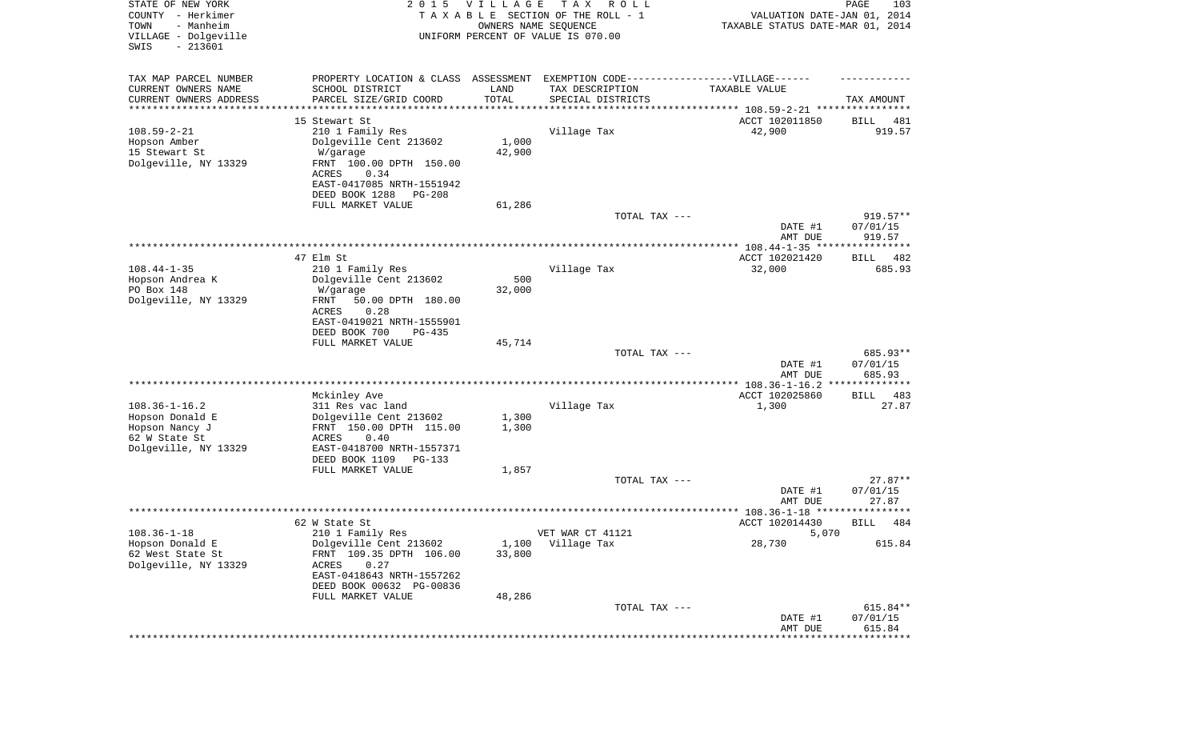| STATE OF NEW YORK<br>COUNTY - Herkimer<br>TOWN<br>- Manheim<br>VILLAGE - Dolgeville<br>SWIS<br>$-213601$ | 2 0 1 5                                                                          | V I L L A G E<br>OWNERS NAME SEQUENCE | T A X<br>R O L L<br>TAXABLE SECTION OF THE ROLL - 1<br>UNIFORM PERCENT OF VALUE IS 070.00 | VALUATION DATE-JAN 01, 2014<br>TAXABLE STATUS DATE-MAR 01, 2014 | PAGE<br>103           |
|----------------------------------------------------------------------------------------------------------|----------------------------------------------------------------------------------|---------------------------------------|-------------------------------------------------------------------------------------------|-----------------------------------------------------------------|-----------------------|
| TAX MAP PARCEL NUMBER                                                                                    | PROPERTY LOCATION & CLASS ASSESSMENT EXEMPTION CODE----------------VILLAGE------ |                                       |                                                                                           |                                                                 |                       |
| CURRENT OWNERS NAME                                                                                      | SCHOOL DISTRICT                                                                  | LAND                                  | TAX DESCRIPTION                                                                           | TAXABLE VALUE                                                   |                       |
| CURRENT OWNERS ADDRESS                                                                                   | PARCEL SIZE/GRID COORD                                                           | TOTAL                                 | SPECIAL DISTRICTS                                                                         |                                                                 | TAX AMOUNT            |
| *********************                                                                                    |                                                                                  | * * * * * * * * * * *                 |                                                                                           |                                                                 |                       |
| $108.59 - 2 - 21$                                                                                        | 15 Stewart St<br>210 1 Family Res                                                |                                       | Village Tax                                                                               | ACCT 102011850<br>42,900                                        | 481<br>BILL<br>919.57 |
| Hopson Amber                                                                                             | Dolgeville Cent 213602                                                           | 1,000                                 |                                                                                           |                                                                 |                       |
| 15 Stewart St                                                                                            | W/garage                                                                         | 42,900                                |                                                                                           |                                                                 |                       |
| Dolgeville, NY 13329                                                                                     | FRNT 100.00 DPTH 150.00                                                          |                                       |                                                                                           |                                                                 |                       |
|                                                                                                          | ACRES<br>0.34                                                                    |                                       |                                                                                           |                                                                 |                       |
|                                                                                                          | EAST-0417085 NRTH-1551942                                                        |                                       |                                                                                           |                                                                 |                       |
|                                                                                                          | DEED BOOK 1288<br><b>PG-208</b>                                                  |                                       |                                                                                           |                                                                 |                       |
|                                                                                                          | FULL MARKET VALUE                                                                | 61,286                                |                                                                                           |                                                                 | $919.57**$            |
|                                                                                                          |                                                                                  |                                       | TOTAL TAX ---                                                                             | DATE #1                                                         | 07/01/15              |
|                                                                                                          |                                                                                  |                                       |                                                                                           | AMT DUE                                                         | 919.57                |
|                                                                                                          |                                                                                  |                                       |                                                                                           |                                                                 |                       |
|                                                                                                          | 47 Elm St                                                                        |                                       |                                                                                           | ACCT 102021420                                                  | BILL<br>482           |
| $108.44 - 1 - 35$                                                                                        | 210 1 Family Res                                                                 |                                       | Village Tax                                                                               | 32,000                                                          | 685.93                |
| Hopson Andrea K                                                                                          | Dolgeville Cent 213602                                                           | 500                                   |                                                                                           |                                                                 |                       |
| PO Box 148<br>Dolgeville, NY 13329                                                                       | W/garage<br>50.00 DPTH 180.00<br>FRNT                                            | 32,000                                |                                                                                           |                                                                 |                       |
|                                                                                                          | ACRES<br>0.28                                                                    |                                       |                                                                                           |                                                                 |                       |
|                                                                                                          | EAST-0419021 NRTH-1555901                                                        |                                       |                                                                                           |                                                                 |                       |
|                                                                                                          | DEED BOOK 700<br>PG-435                                                          |                                       |                                                                                           |                                                                 |                       |
|                                                                                                          | FULL MARKET VALUE                                                                | 45,714                                |                                                                                           |                                                                 |                       |
|                                                                                                          |                                                                                  |                                       | TOTAL TAX ---                                                                             |                                                                 | 685.93**              |
|                                                                                                          |                                                                                  |                                       |                                                                                           | DATE #1                                                         | 07/01/15              |
|                                                                                                          |                                                                                  |                                       |                                                                                           | AMT DUE                                                         | 685.93                |
|                                                                                                          | Mckinley Ave                                                                     |                                       |                                                                                           | ACCT 102025860                                                  | 483<br>BILL           |
| $108.36 - 1 - 16.2$                                                                                      | 311 Res vac land                                                                 |                                       | Village Tax                                                                               | 1,300                                                           | 27.87                 |
| Hopson Donald E                                                                                          | Dolgeville Cent 213602                                                           | 1,300                                 |                                                                                           |                                                                 |                       |
| Hopson Nancy J                                                                                           | FRNT 150.00 DPTH 115.00                                                          | 1,300                                 |                                                                                           |                                                                 |                       |
| 62 W State St                                                                                            | ACRES<br>0.40                                                                    |                                       |                                                                                           |                                                                 |                       |
| Dolgeville, NY 13329                                                                                     | EAST-0418700 NRTH-1557371<br>DEED BOOK 1109<br>PG-133                            |                                       |                                                                                           |                                                                 |                       |
|                                                                                                          | FULL MARKET VALUE                                                                | 1,857                                 |                                                                                           |                                                                 |                       |
|                                                                                                          |                                                                                  |                                       | TOTAL TAX ---                                                                             |                                                                 | $27.87**$             |
|                                                                                                          |                                                                                  |                                       |                                                                                           | DATE #1                                                         | 07/01/15              |
|                                                                                                          |                                                                                  |                                       |                                                                                           | AMT DUE                                                         | 27.87                 |
|                                                                                                          |                                                                                  |                                       |                                                                                           |                                                                 | ******                |
| $108.36 - 1 - 18$                                                                                        | 62 W State St<br>210 1 Family Res                                                |                                       | VET WAR CT 41121                                                                          | ACCT 102014430<br>5,070                                         | 484<br>BILL           |
| Hopson Donald E                                                                                          | Dolgeville Cent 213602                                                           | 1,100                                 | Village Tax                                                                               | 28,730                                                          | 615.84                |
| 62 West State St                                                                                         | FRNT 109.35 DPTH 106.00                                                          | 33,800                                |                                                                                           |                                                                 |                       |
| Dolgeville, NY 13329                                                                                     | 0.27<br>ACRES                                                                    |                                       |                                                                                           |                                                                 |                       |
|                                                                                                          | EAST-0418643 NRTH-1557262                                                        |                                       |                                                                                           |                                                                 |                       |
|                                                                                                          | DEED BOOK 00632 PG-00836                                                         |                                       |                                                                                           |                                                                 |                       |
|                                                                                                          | FULL MARKET VALUE                                                                | 48,286                                |                                                                                           |                                                                 |                       |
|                                                                                                          |                                                                                  |                                       | TOTAL TAX ---                                                                             | DATE #1                                                         | 615.84**<br>07/01/15  |
|                                                                                                          |                                                                                  |                                       |                                                                                           | AMT DUE                                                         | 615.84                |
|                                                                                                          |                                                                                  |                                       |                                                                                           |                                                                 | * * * * * * * * *     |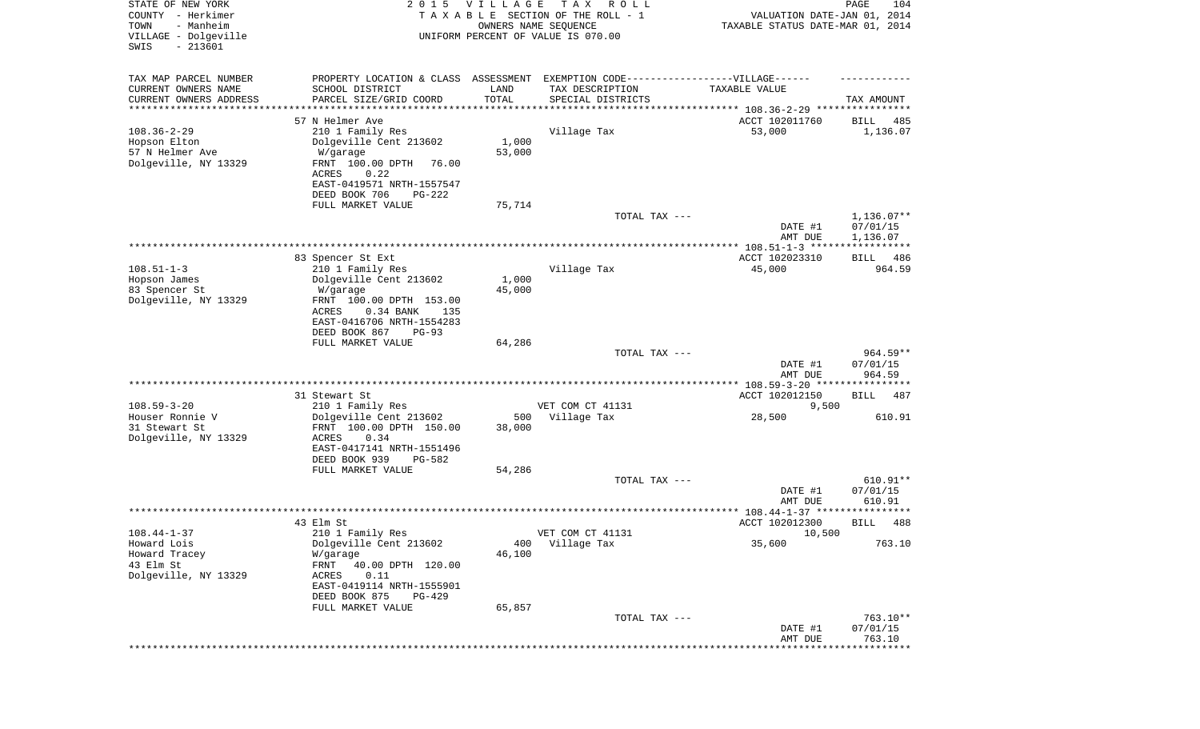| STATE OF NEW YORK<br>COUNTY - Herkimer<br>- Manheim<br>TOWN<br>VILLAGE - Dolgeville<br>SWIS<br>$-213601$ | 2 0 1 5                                                                                       | V I L L A G E | T A X<br>R O L L<br>TAXABLE SECTION OF THE ROLL - 1<br>OWNERS NAME SEQUENCE<br>UNIFORM PERCENT OF VALUE IS 070.00 | VALUATION DATE-JAN 01, 2014<br>TAXABLE STATUS DATE-MAR 01, 2014 | PAGE<br>104                      |
|----------------------------------------------------------------------------------------------------------|-----------------------------------------------------------------------------------------------|---------------|-------------------------------------------------------------------------------------------------------------------|-----------------------------------------------------------------|----------------------------------|
| TAX MAP PARCEL NUMBER<br>CURRENT OWNERS NAME                                                             | PROPERTY LOCATION & CLASS ASSESSMENT EXEMPTION CODE----------------VILLAGE------              | LAND          |                                                                                                                   | TAXABLE VALUE                                                   |                                  |
| CURRENT OWNERS ADDRESS                                                                                   | SCHOOL DISTRICT<br>PARCEL SIZE/GRID COORD                                                     | TOTAL         | TAX DESCRIPTION<br>SPECIAL DISTRICTS                                                                              |                                                                 | TAX AMOUNT                       |
| ********************                                                                                     |                                                                                               |               |                                                                                                                   |                                                                 |                                  |
| $108.36 - 2 - 29$<br>Hopson Elton                                                                        | 57 N Helmer Ave<br>210 1 Family Res<br>Dolgeville Cent 213602                                 | 1,000         | Village Tax                                                                                                       | ACCT 102011760<br>53,000                                        | 485<br>BILL<br>1,136.07          |
| 57 N Helmer Ave<br>Dolgeville, NY 13329                                                                  | W/garage<br>FRNT 100.00 DPTH<br>76.00<br>ACRES<br>0.22                                        | 53,000        |                                                                                                                   |                                                                 |                                  |
|                                                                                                          | EAST-0419571 NRTH-1557547<br>DEED BOOK 706<br>PG-222<br>FULL MARKET VALUE                     | 75,714        |                                                                                                                   |                                                                 |                                  |
|                                                                                                          |                                                                                               |               | TOTAL TAX ---                                                                                                     |                                                                 | $1,136.07**$                     |
|                                                                                                          |                                                                                               |               |                                                                                                                   | DATE #1<br>AMT DUE                                              | 07/01/15<br>1,136.07             |
|                                                                                                          |                                                                                               |               |                                                                                                                   | ***************** 108.51-1-3 *****************                  |                                  |
|                                                                                                          | 83 Spencer St Ext                                                                             |               |                                                                                                                   | ACCT 102023310                                                  | 486<br>BILL                      |
| $108.51 - 1 - 3$                                                                                         | 210 1 Family Res                                                                              |               | Village Tax                                                                                                       | 45,000                                                          | 964.59                           |
| Hopson James                                                                                             | Dolgeville Cent 213602                                                                        | 1,000         |                                                                                                                   |                                                                 |                                  |
| 83 Spencer St<br>Dolgeville, NY 13329                                                                    | W/garage<br>FRNT 100.00 DPTH 153.00<br>0.34 BANK<br>ACRES<br>135<br>EAST-0416706 NRTH-1554283 | 45,000        |                                                                                                                   |                                                                 |                                  |
|                                                                                                          | DEED BOOK 867<br>$PG-93$                                                                      |               |                                                                                                                   |                                                                 |                                  |
|                                                                                                          | FULL MARKET VALUE                                                                             | 64,286        |                                                                                                                   |                                                                 |                                  |
|                                                                                                          |                                                                                               |               | TOTAL TAX ---                                                                                                     | DATE #1<br>AMT DUE                                              | $964.59**$<br>07/01/15<br>964.59 |
|                                                                                                          |                                                                                               |               | ******************************                                                                                    | **************** 108.59-3-20 *****************                  |                                  |
|                                                                                                          | 31 Stewart St                                                                                 |               |                                                                                                                   | ACCT 102012150                                                  | BILL<br>487                      |
| $108.59 - 3 - 20$                                                                                        | 210 1 Family Res                                                                              |               | VET COM CT 41131                                                                                                  | 9,500                                                           |                                  |
| Houser Ronnie V<br>31 Stewart St                                                                         | Dolgeville Cent 213602<br>FRNT 100.00 DPTH 150.00                                             | 500<br>38,000 | Village Tax                                                                                                       | 28,500                                                          | 610.91                           |
| Dolgeville, NY 13329                                                                                     | <b>ACRES</b><br>0.34<br>EAST-0417141 NRTH-1551496<br>DEED BOOK 939<br>PG-582                  |               |                                                                                                                   |                                                                 |                                  |
|                                                                                                          | FULL MARKET VALUE                                                                             | 54,286        |                                                                                                                   |                                                                 |                                  |
|                                                                                                          |                                                                                               |               | TOTAL TAX ---                                                                                                     | DATE #1                                                         | 610.91**<br>07/01/15             |
|                                                                                                          |                                                                                               |               |                                                                                                                   | AMT DUE                                                         | 610.91<br>* * * * *              |
|                                                                                                          | 43 Elm St                                                                                     |               |                                                                                                                   | ***************** 108.44-1-37 *********<br>ACCT 102012300       | 488<br>BILL                      |
| $108.44 - 1 - 37$                                                                                        | 210 1 Family Res                                                                              |               | VET COM CT 41131                                                                                                  | 10,500                                                          |                                  |
| Howard Lois                                                                                              | Dolgeville Cent 213602                                                                        | 400           | Village Tax                                                                                                       | 35,600                                                          | 763.10                           |
| Howard Tracey                                                                                            | W/garage                                                                                      | 46,100        |                                                                                                                   |                                                                 |                                  |
| 43 Elm St                                                                                                | 40.00 DPTH 120.00<br>FRNT                                                                     |               |                                                                                                                   |                                                                 |                                  |
| Dolgeville, NY 13329                                                                                     | 0.11<br>ACRES<br>EAST-0419114 NRTH-1555901<br>DEED BOOK 875<br>PG-429                         |               |                                                                                                                   |                                                                 |                                  |
|                                                                                                          | FULL MARKET VALUE                                                                             | 65,857        |                                                                                                                   |                                                                 |                                  |
|                                                                                                          |                                                                                               |               | TOTAL TAX ---                                                                                                     |                                                                 | 763.10**                         |
|                                                                                                          |                                                                                               |               |                                                                                                                   | DATE #1<br>AMT DUE                                              | 07/01/15<br>763.10               |
|                                                                                                          |                                                                                               |               |                                                                                                                   | ***************************                                     |                                  |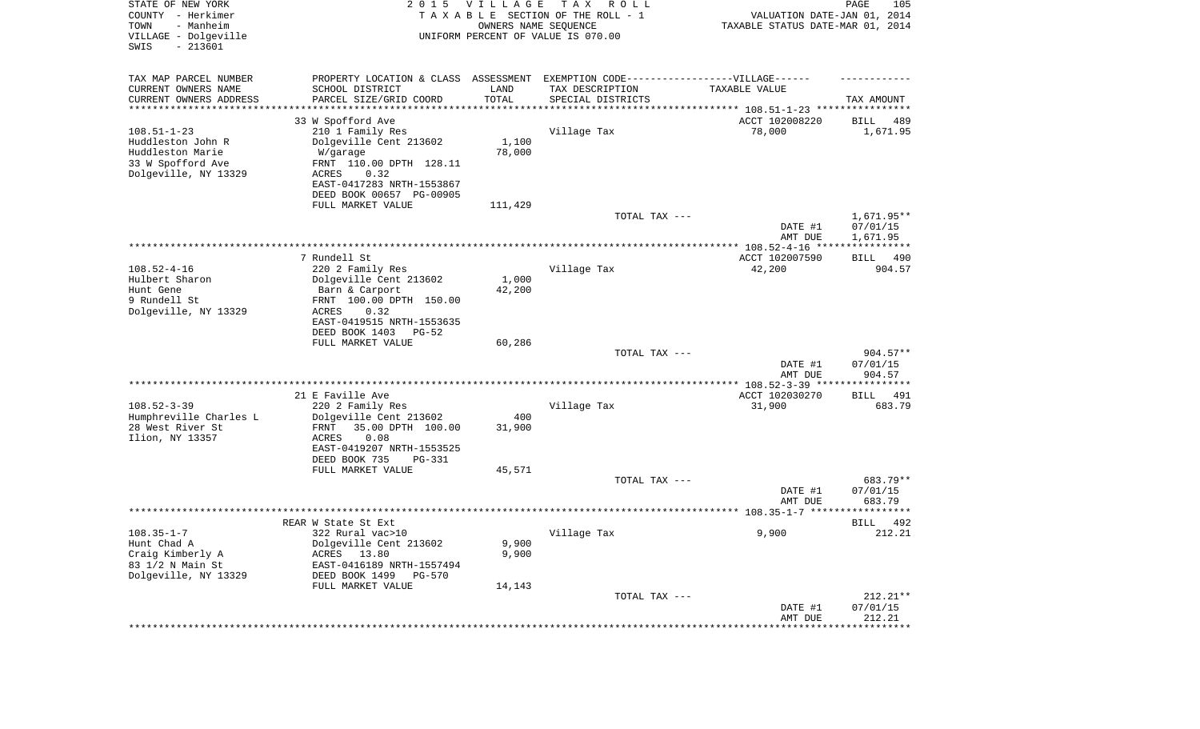| STATE OF NEW YORK<br>COUNTY - Herkimer<br>- Manheim<br>TOWN<br>VILLAGE - Dolgeville | 2 0 1 5                                                                                             | <b>VILLAGE</b><br>OWNERS NAME SEQUENCE | T A X<br>R O L L<br>TAXABLE SECTION OF THE ROLL - 1<br>UNIFORM PERCENT OF VALUE IS 070.00 | VALUATION DATE-JAN 01, 2014<br>TAXABLE STATUS DATE-MAR 01, 2014 | PAGE<br>105          |
|-------------------------------------------------------------------------------------|-----------------------------------------------------------------------------------------------------|----------------------------------------|-------------------------------------------------------------------------------------------|-----------------------------------------------------------------|----------------------|
| SWIS<br>$-213601$                                                                   |                                                                                                     |                                        |                                                                                           |                                                                 |                      |
| TAX MAP PARCEL NUMBER<br>CURRENT OWNERS NAME                                        | PROPERTY LOCATION & CLASS ASSESSMENT EXEMPTION CODE----------------VILLAGE------<br>SCHOOL DISTRICT | LAND                                   | TAX DESCRIPTION                                                                           | TAXABLE VALUE                                                   |                      |
| CURRENT OWNERS ADDRESS<br>********************                                      | PARCEL SIZE/GRID COORD                                                                              | TOTAL                                  | SPECIAL DISTRICTS                                                                         |                                                                 | TAX AMOUNT           |
|                                                                                     | 33 W Spofford Ave                                                                                   |                                        |                                                                                           | ACCT 102008220                                                  | 489<br>BILL          |
| $108.51 - 1 - 23$                                                                   | 210 1 Family Res                                                                                    |                                        | Village Tax                                                                               | 78,000                                                          | 1,671.95             |
| Huddleston John R                                                                   | Dolgeville Cent 213602                                                                              | 1,100                                  |                                                                                           |                                                                 |                      |
| Huddleston Marie                                                                    | W/garage                                                                                            | 78,000                                 |                                                                                           |                                                                 |                      |
| 33 W Spofford Ave<br>Dolgeville, NY 13329                                           | FRNT 110.00 DPTH 128.11<br>ACRES<br>0.32                                                            |                                        |                                                                                           |                                                                 |                      |
|                                                                                     | EAST-0417283 NRTH-1553867                                                                           |                                        |                                                                                           |                                                                 |                      |
|                                                                                     | DEED BOOK 00657 PG-00905                                                                            |                                        |                                                                                           |                                                                 |                      |
|                                                                                     | FULL MARKET VALUE                                                                                   | 111,429                                |                                                                                           |                                                                 |                      |
|                                                                                     |                                                                                                     |                                        | TOTAL TAX ---                                                                             |                                                                 | 1,671.95**           |
|                                                                                     |                                                                                                     |                                        |                                                                                           | DATE #1<br>AMT DUE                                              | 07/01/15<br>1,671.95 |
|                                                                                     |                                                                                                     |                                        |                                                                                           |                                                                 |                      |
|                                                                                     | 7 Rundell St                                                                                        |                                        |                                                                                           | ACCT 102007590                                                  | BILL<br>490          |
| $108.52 - 4 - 16$                                                                   | 220 2 Family Res                                                                                    |                                        | Village Tax                                                                               | 42,200                                                          | 904.57               |
| Hulbert Sharon<br>Hunt Gene                                                         | Dolgeville Cent 213602<br>Barn & Carport                                                            | 1,000<br>42,200                        |                                                                                           |                                                                 |                      |
| 9 Rundell St                                                                        | FRNT 100.00 DPTH 150.00                                                                             |                                        |                                                                                           |                                                                 |                      |
| Dolgeville, NY 13329                                                                | ACRES<br>0.32                                                                                       |                                        |                                                                                           |                                                                 |                      |
|                                                                                     | EAST-0419515 NRTH-1553635                                                                           |                                        |                                                                                           |                                                                 |                      |
|                                                                                     | DEED BOOK 1403<br>$PG-52$<br>FULL MARKET VALUE                                                      | 60,286                                 |                                                                                           |                                                                 |                      |
|                                                                                     |                                                                                                     |                                        | TOTAL TAX ---                                                                             |                                                                 | $904.57**$           |
|                                                                                     |                                                                                                     |                                        |                                                                                           | DATE #1                                                         | 07/01/15             |
|                                                                                     |                                                                                                     |                                        |                                                                                           | AMT DUE                                                         | 904.57               |
|                                                                                     | 21 E Faville Ave                                                                                    |                                        |                                                                                           | ACCT 102030270                                                  | 491<br>BILL          |
| $108.52 - 3 - 39$                                                                   | 220 2 Family Res                                                                                    |                                        | Village Tax                                                                               | 31,900                                                          | 683.79               |
| Humphreville Charles L                                                              | Dolgeville Cent 213602                                                                              | 400                                    |                                                                                           |                                                                 |                      |
| 28 West River St                                                                    | FRNT<br>35.00 DPTH 100.00                                                                           | 31,900                                 |                                                                                           |                                                                 |                      |
| Ilion, NY 13357                                                                     | ACRES<br>0.08                                                                                       |                                        |                                                                                           |                                                                 |                      |
|                                                                                     | EAST-0419207 NRTH-1553525<br>DEED BOOK 735<br><b>PG-331</b>                                         |                                        |                                                                                           |                                                                 |                      |
|                                                                                     | FULL MARKET VALUE                                                                                   | 45,571                                 |                                                                                           |                                                                 |                      |
|                                                                                     |                                                                                                     |                                        | TOTAL TAX ---                                                                             |                                                                 | 683.79**             |
|                                                                                     |                                                                                                     |                                        |                                                                                           | DATE #1                                                         | 07/01/15             |
|                                                                                     |                                                                                                     |                                        |                                                                                           | AMT DUE                                                         | 683.79               |
|                                                                                     | REAR W State St Ext                                                                                 |                                        |                                                                                           |                                                                 | 492<br>BILL          |
| $108.35 - 1 - 7$                                                                    | 322 Rural vac>10                                                                                    |                                        | Village Tax                                                                               | 9,900                                                           | 212.21               |
| Hunt Chad A                                                                         | Dolgeville Cent 213602                                                                              | 9,900                                  |                                                                                           |                                                                 |                      |
| Craig Kimberly A<br>83 1/2 N Main St                                                | ACRES 13.80<br>EAST-0416189 NRTH-1557494                                                            | 9,900                                  |                                                                                           |                                                                 |                      |
| Dolgeville, NY 13329                                                                | DEED BOOK 1499<br><b>PG-570</b>                                                                     |                                        |                                                                                           |                                                                 |                      |
|                                                                                     | FULL MARKET VALUE                                                                                   | 14,143                                 |                                                                                           |                                                                 |                      |
|                                                                                     |                                                                                                     |                                        | TOTAL TAX ---                                                                             |                                                                 | $212.21**$           |
|                                                                                     |                                                                                                     |                                        |                                                                                           | DATE #1<br>AMT DUE                                              | 07/01/15<br>212.21   |
|                                                                                     |                                                                                                     |                                        |                                                                                           | *******************                                             | **************       |
|                                                                                     |                                                                                                     |                                        |                                                                                           |                                                                 |                      |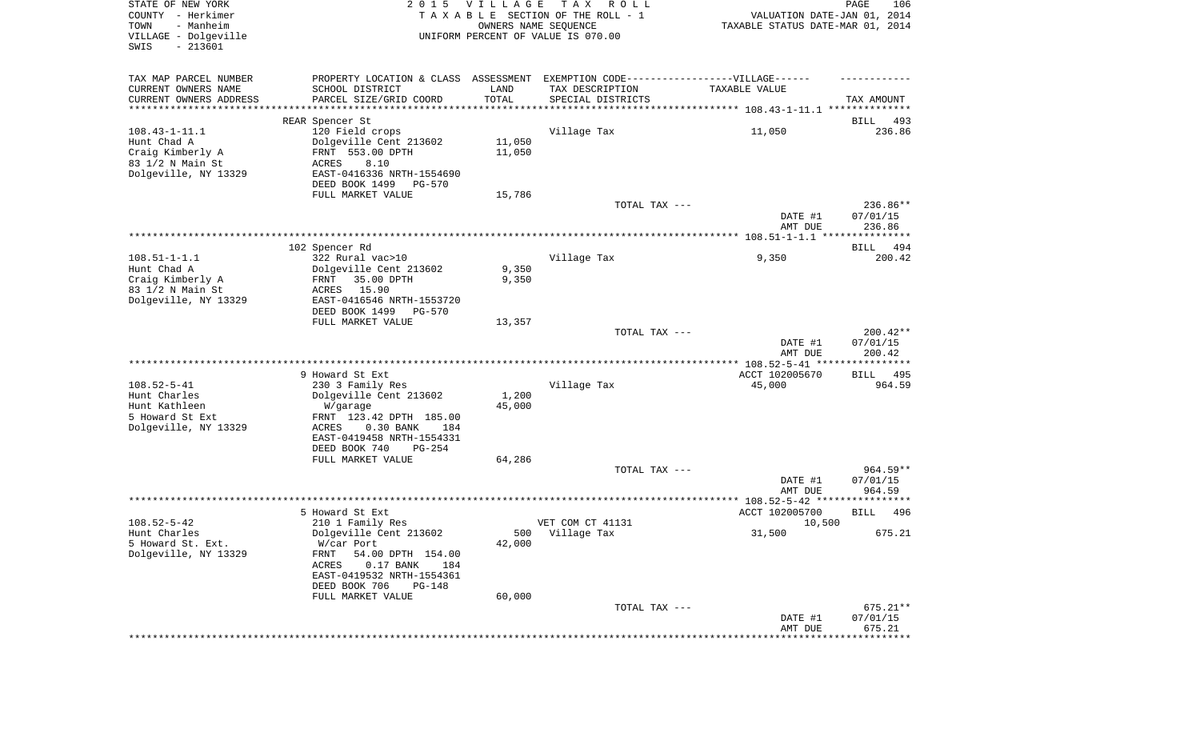| STATE OF NEW YORK<br>COUNTY - Herkimer<br>TOWN<br>- Manheim<br>VILLAGE - Dolgeville<br>SWIS<br>$-213601$ |                                                                                                                                                                                                        | 2015 VILLAGE<br>OWNERS NAME SEQUENCE | T A X<br>R O L L<br>TAXABLE SECTION OF THE ROLL - 1<br>UNIFORM PERCENT OF VALUE IS 070.00 | VALUATION DATE-JAN 01, 2014<br>TAXABLE STATUS DATE-MAR 01, 2014 | PAGE<br>106                    |
|----------------------------------------------------------------------------------------------------------|--------------------------------------------------------------------------------------------------------------------------------------------------------------------------------------------------------|--------------------------------------|-------------------------------------------------------------------------------------------|-----------------------------------------------------------------|--------------------------------|
| TAX MAP PARCEL NUMBER<br>CURRENT OWNERS NAME<br>CURRENT OWNERS ADDRESS                                   | PROPERTY LOCATION & CLASS ASSESSMENT EXEMPTION CODE----------------VILLAGE------<br>SCHOOL DISTRICT<br>PARCEL SIZE/GRID COORD                                                                          | LAND<br>TOTAL                        | TAX DESCRIPTION<br>SPECIAL DISTRICTS                                                      | TAXABLE VALUE                                                   | TAX AMOUNT                     |
| **********************                                                                                   |                                                                                                                                                                                                        |                                      |                                                                                           |                                                                 |                                |
| $108.43 - 1 - 11.1$<br>Hunt Chad A<br>Craig Kimberly A<br>83 1/2 N Main St<br>Dolgeville, NY 13329       | REAR Spencer St<br>120 Field crops<br>Dolgeville Cent 213602<br>FRNT 553.00 DPTH<br>ACRES<br>8.10<br>EAST-0416336 NRTH-1554690<br>DEED BOOK 1499<br>PG-570                                             | 11,050<br>11,050                     | Village Tax                                                                               | 11,050                                                          | BILL<br>493<br>236.86          |
|                                                                                                          | FULL MARKET VALUE                                                                                                                                                                                      | 15,786                               | TOTAL TAX ---                                                                             | DATE #1                                                         | 236.86**<br>07/01/15           |
|                                                                                                          |                                                                                                                                                                                                        |                                      |                                                                                           | AMT DUE                                                         | 236.86                         |
|                                                                                                          | 102 Spencer Rd                                                                                                                                                                                         |                                      |                                                                                           |                                                                 | <b>BILL</b><br>494             |
| $108.51 - 1 - 1.1$<br>Hunt Chad A<br>Craig Kimberly A<br>83 1/2 N Main St<br>Dolgeville, NY 13329        | 322 Rural vac>10<br>Dolgeville Cent 213602<br>35.00 DPTH<br>FRNT<br>15.90<br>ACRES<br>EAST-0416546 NRTH-1553720                                                                                        | 9,350<br>9,350                       | Village Tax                                                                               | 9,350                                                           | 200.42                         |
|                                                                                                          | DEED BOOK 1499<br>PG-570<br>FULL MARKET VALUE                                                                                                                                                          | 13,357                               |                                                                                           |                                                                 |                                |
|                                                                                                          |                                                                                                                                                                                                        |                                      | TOTAL TAX ---                                                                             | DATE #1<br>AMT DUE                                              | 200.42**<br>07/01/15<br>200.42 |
|                                                                                                          |                                                                                                                                                                                                        |                                      |                                                                                           |                                                                 |                                |
| $108.52 - 5 - 41$<br>Hunt Charles<br>Hunt Kathleen<br>5 Howard St Ext<br>Dolgeville, NY 13329            | 9 Howard St Ext<br>230 3 Family Res<br>Dolgeville Cent 213602<br>W/garage<br>FRNT 123.42 DPTH 185.00<br>ACRES<br>$0.30$ BANK<br>184<br>EAST-0419458 NRTH-1554331                                       | 1,200<br>45,000                      | Village Tax                                                                               | ACCT 102005670<br>45,000                                        | BILL 495<br>964.59             |
|                                                                                                          | DEED BOOK 740<br>PG-254<br>FULL MARKET VALUE                                                                                                                                                           | 64,286                               |                                                                                           |                                                                 |                                |
|                                                                                                          |                                                                                                                                                                                                        |                                      | TOTAL TAX ---                                                                             | DATE #1<br>AMT DUE                                              | 964.59**<br>07/01/15<br>964.59 |
|                                                                                                          |                                                                                                                                                                                                        |                                      |                                                                                           |                                                                 |                                |
| $108.52 - 5 - 42$<br>Hunt Charles<br>5 Howard St. Ext.<br>Dolgeville, NY 13329                           | 5 Howard St Ext<br>210 1 Family Res<br>Dolgeville Cent 213602<br>W/car Port<br><b>FRNT</b><br>54.00 DPTH 154.00<br>ACRES<br>$0.17$ BANK<br>184<br>EAST-0419532 NRTH-1554361<br>DEED BOOK 706<br>PG-148 | 42,000                               | VET COM CT 41131<br>500 Village Tax                                                       | ACCT 102005700<br>10,500<br>31,500                              | 496<br>BILL<br>675.21          |
|                                                                                                          | FULL MARKET VALUE                                                                                                                                                                                      | 60,000                               | TOTAL TAX ---                                                                             | DATE #1<br>AMT DUE                                              | 675.21**<br>07/01/15<br>675.21 |
|                                                                                                          |                                                                                                                                                                                                        |                                      |                                                                                           |                                                                 |                                |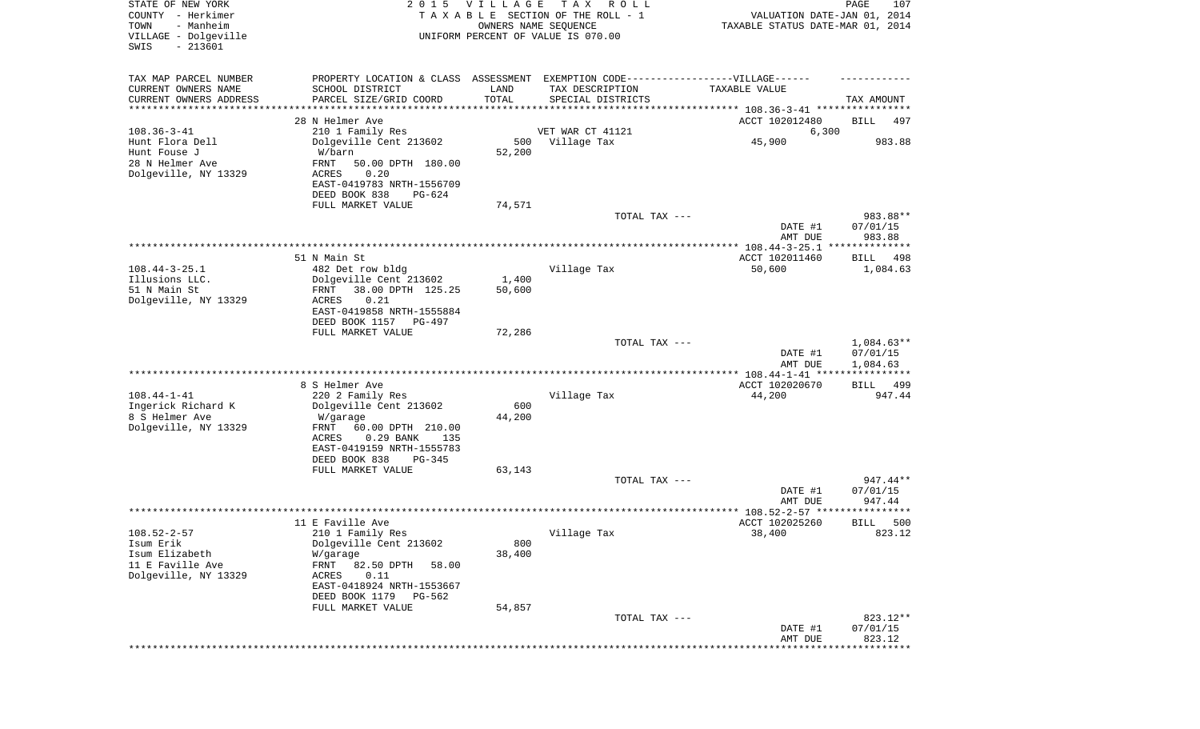| STATE OF NEW YORK<br>COUNTY - Herkimer<br>- Manheim<br>TOWN<br>VILLAGE - Dolgeville<br>SWIS<br>$-213601$ | 2 0 1 5                                                                                                                                                                          | VILLAGE         | T A X<br>ROLL<br>TAXABLE SECTION OF THE ROLL - 1<br>OWNERS NAME SEQUENCE<br>UNIFORM PERCENT OF VALUE IS 070.00                                                                                  | VALUATION DATE-JAN 01, 2014<br>TAXABLE STATUS DATE-MAR 01, 2014 | PAGE<br>107                        |
|----------------------------------------------------------------------------------------------------------|----------------------------------------------------------------------------------------------------------------------------------------------------------------------------------|-----------------|-------------------------------------------------------------------------------------------------------------------------------------------------------------------------------------------------|-----------------------------------------------------------------|------------------------------------|
| TAX MAP PARCEL NUMBER<br>CURRENT OWNERS NAME<br>CURRENT OWNERS ADDRESS<br>********************           | SCHOOL DISTRICT<br>PARCEL SIZE/GRID COORD                                                                                                                                        | LAND<br>TOTAL   | PROPERTY LOCATION & CLASS ASSESSMENT EXEMPTION CODE----------------VILLAGE------<br>TAX DESCRIPTION<br>SPECIAL DISTRICTS<br>************************************* 108.36-3-41 ***************** | TAXABLE VALUE                                                   | TAX AMOUNT                         |
| $108.36 - 3 - 41$                                                                                        | 28 N Helmer Ave<br>210 1 Family Res                                                                                                                                              |                 | VET WAR CT 41121                                                                                                                                                                                | ACCT 102012480<br>6,300                                         | BILL<br>497                        |
| Hunt Flora Dell<br>Hunt Fouse J<br>28 N Helmer Ave<br>Dolgeville, NY 13329                               | Dolgeville Cent 213602<br>W/barn<br>FRNT<br>50.00 DPTH 180.00<br>ACRES<br>0.20<br>EAST-0419783 NRTH-1556709<br>DEED BOOK 838<br>PG-624                                           | 500<br>52,200   | Village Tax                                                                                                                                                                                     | 45,900                                                          | 983.88                             |
|                                                                                                          | FULL MARKET VALUE                                                                                                                                                                | 74,571          | TOTAL TAX ---                                                                                                                                                                                   |                                                                 | 983.88**                           |
|                                                                                                          |                                                                                                                                                                                  |                 |                                                                                                                                                                                                 | DATE #1<br>AMT DUE                                              | 07/01/15<br>983.88                 |
|                                                                                                          |                                                                                                                                                                                  |                 |                                                                                                                                                                                                 |                                                                 |                                    |
| $108.44 - 3 - 25.1$                                                                                      | 51 N Main St<br>482 Det row bldg                                                                                                                                                 |                 | Village Tax                                                                                                                                                                                     | ACCT 102011460<br>50,600                                        | BILL<br>498<br>1,084.63            |
| Illusions LLC.<br>51 N Main St<br>Dolgeville, NY 13329                                                   | Dolgeville Cent 213602<br>38.00 DPTH 125.25<br>FRNT<br>ACRES<br>0.21<br>EAST-0419858 NRTH-1555884<br>DEED BOOK 1157<br>$PG-497$                                                  | 1,400<br>50,600 |                                                                                                                                                                                                 |                                                                 |                                    |
|                                                                                                          | FULL MARKET VALUE                                                                                                                                                                | 72,286          | TOTAL TAX ---                                                                                                                                                                                   | DATE #1<br>AMT DUE                                              | 1,084.63**<br>07/01/15<br>1,084.63 |
|                                                                                                          | 8 S Helmer Ave                                                                                                                                                                   |                 |                                                                                                                                                                                                 | *********** 108.44-1-41 *****************<br>ACCT 102020670     | BILL<br>499                        |
| $108.44 - 1 - 41$<br>Ingerick Richard K<br>8 S Helmer Ave<br>Dolgeville, NY 13329                        | 220 2 Family Res<br>Dolgeville Cent 213602<br>W/garage<br>FRNT<br>60.00 DPTH 210.00<br>ACRES<br>$0.29$ BANK<br>135<br>EAST-0419159 NRTH-1555783<br>DEED BOOK 838<br>PG-345       | 600<br>44,200   | Village Tax                                                                                                                                                                                     | 44,200                                                          | 947.44                             |
|                                                                                                          | FULL MARKET VALUE                                                                                                                                                                | 63,143          |                                                                                                                                                                                                 |                                                                 |                                    |
|                                                                                                          |                                                                                                                                                                                  |                 | TOTAL TAX ---                                                                                                                                                                                   | DATE #1<br>AMT DUE                                              | $947.44**$<br>07/01/15<br>947.44   |
|                                                                                                          |                                                                                                                                                                                  |                 |                                                                                                                                                                                                 |                                                                 | * * * * * *                        |
| $108.52 - 2 - 57$<br>Isum Erik<br>Isum Elizabeth<br>11 E Faville Ave<br>Dolgeville, NY 13329             | 11 E Faville Ave<br>210 1 Family Res<br>Dolgeville Cent 213602<br>W/garage<br>FRNT<br>82.50 DPTH<br>58.00<br>0.11<br>ACRES<br>EAST-0418924 NRTH-1553667<br>DEED BOOK 1179 PG-562 | 800<br>38,400   | Village Tax                                                                                                                                                                                     | ACCT 102025260<br>38,400                                        | 500<br>BILL<br>823.12              |
|                                                                                                          | FULL MARKET VALUE                                                                                                                                                                | 54,857          | TOTAL TAX ---                                                                                                                                                                                   |                                                                 | 823.12**                           |
|                                                                                                          |                                                                                                                                                                                  |                 |                                                                                                                                                                                                 | DATE #1<br>AMT DUE                                              | 07/01/15<br>823.12                 |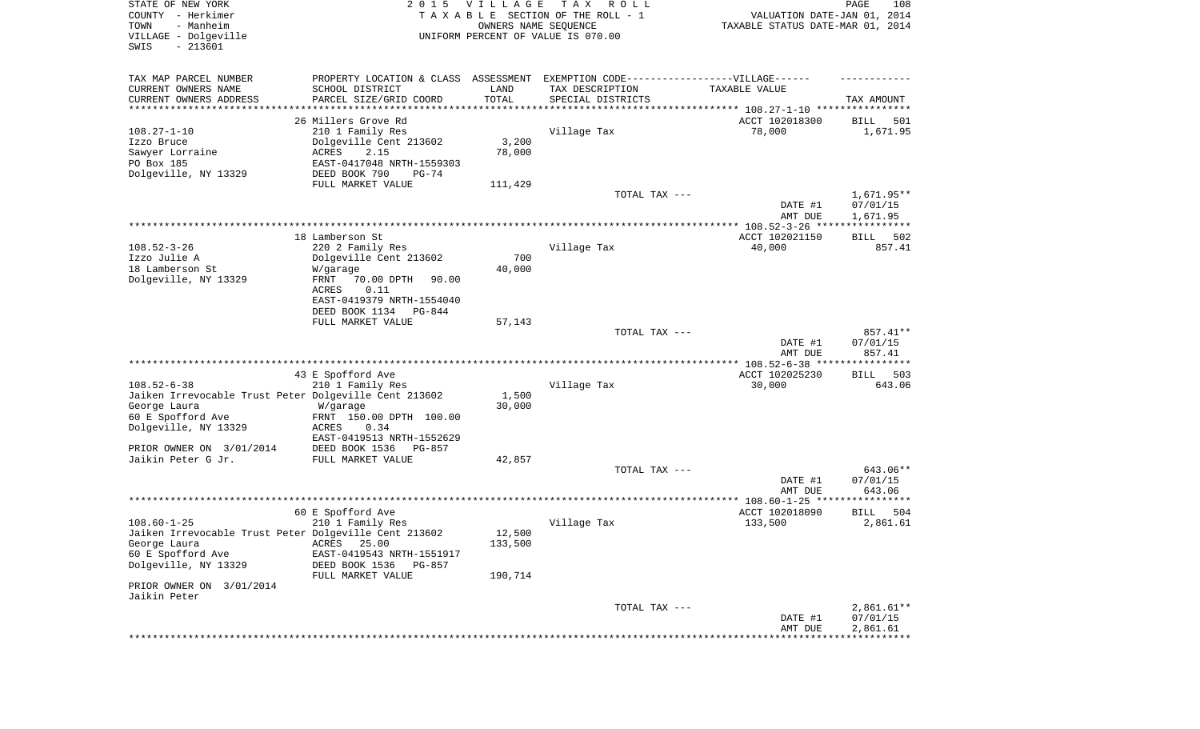| STATE OF NEW YORK<br>COUNTY - Herkimer<br>- Manheim<br>TOWN<br>VILLAGE - Dolgeville<br>SWIS<br>$-213601$ | 2 0 1 5                                                                          | V I L L A G E<br>OWNERS NAME SEQUENCE | T A X<br>R O L L<br>TAXABLE SECTION OF THE ROLL - 1<br>UNIFORM PERCENT OF VALUE IS 070.00 | VALUATION DATE-JAN 01, 2014<br>TAXABLE STATUS DATE-MAR 01, 2014 | PAGE<br>108          |
|----------------------------------------------------------------------------------------------------------|----------------------------------------------------------------------------------|---------------------------------------|-------------------------------------------------------------------------------------------|-----------------------------------------------------------------|----------------------|
| TAX MAP PARCEL NUMBER                                                                                    | PROPERTY LOCATION & CLASS ASSESSMENT EXEMPTION CODE----------------VILLAGE------ |                                       |                                                                                           |                                                                 |                      |
| CURRENT OWNERS NAME                                                                                      | SCHOOL DISTRICT                                                                  | LAND                                  | TAX DESCRIPTION                                                                           | TAXABLE VALUE                                                   |                      |
| CURRENT OWNERS ADDRESS<br>********************                                                           | PARCEL SIZE/GRID COORD                                                           | TOTAL                                 | SPECIAL DISTRICTS                                                                         |                                                                 | TAX AMOUNT           |
|                                                                                                          | 26 Millers Grove Rd                                                              |                                       |                                                                                           | ACCT 102018300                                                  | BILL<br>501          |
| $108.27 - 1 - 10$                                                                                        | 210 1 Family Res                                                                 |                                       | Village Tax                                                                               | 78,000                                                          | 1,671.95             |
| Izzo Bruce                                                                                               | Dolgeville Cent 213602                                                           | 3,200                                 |                                                                                           |                                                                 |                      |
| Sawyer Lorraine                                                                                          | ACRES<br>2.15                                                                    | 78,000                                |                                                                                           |                                                                 |                      |
| PO Box 185                                                                                               | EAST-0417048 NRTH-1559303                                                        |                                       |                                                                                           |                                                                 |                      |
| Dolgeville, NY 13329                                                                                     | DEED BOOK 790<br>$PG-74$<br>FULL MARKET VALUE                                    | 111,429                               |                                                                                           |                                                                 |                      |
|                                                                                                          |                                                                                  |                                       | TOTAL TAX ---                                                                             |                                                                 | $1,671.95**$         |
|                                                                                                          |                                                                                  |                                       |                                                                                           | DATE #1<br>AMT DUE                                              | 07/01/15<br>1,671.95 |
|                                                                                                          |                                                                                  |                                       |                                                                                           |                                                                 |                      |
|                                                                                                          | 18 Lamberson St                                                                  |                                       |                                                                                           | ACCT 102021150                                                  | BILL<br>502          |
| $108.52 - 3 - 26$<br>Izzo Julie A                                                                        | 220 2 Family Res<br>Dolgeville Cent 213602                                       | 700                                   | Village Tax                                                                               | 40,000                                                          | 857.41               |
| 18 Lamberson St                                                                                          | W/garage                                                                         | 40,000                                |                                                                                           |                                                                 |                      |
| Dolgeville, NY 13329                                                                                     | FRNT<br>70.00 DPTH<br>90.00                                                      |                                       |                                                                                           |                                                                 |                      |
|                                                                                                          | 0.11<br>ACRES                                                                    |                                       |                                                                                           |                                                                 |                      |
|                                                                                                          | EAST-0419379 NRTH-1554040                                                        |                                       |                                                                                           |                                                                 |                      |
|                                                                                                          | DEED BOOK 1134<br>PG-844<br>FULL MARKET VALUE                                    | 57,143                                |                                                                                           |                                                                 |                      |
|                                                                                                          |                                                                                  |                                       | TOTAL TAX ---                                                                             |                                                                 | 857.41**             |
|                                                                                                          |                                                                                  |                                       |                                                                                           | DATE #1<br>AMT DUE                                              | 07/01/15<br>857.41   |
|                                                                                                          |                                                                                  |                                       |                                                                                           |                                                                 |                      |
|                                                                                                          | 43 E Spofford Ave                                                                |                                       |                                                                                           | ACCT 102025230                                                  | <b>BILL</b><br>503   |
| $108.52 - 6 - 38$                                                                                        | 210 1 Family Res                                                                 |                                       | Village Tax                                                                               | 30,000                                                          | 643.06               |
| Jaiken Irrevocable Trust Peter Dolgeville Cent 213602<br>George Laura                                    | W/garage                                                                         | 1,500<br>30,000                       |                                                                                           |                                                                 |                      |
| 60 E Spofford Ave                                                                                        | FRNT 150.00 DPTH 100.00                                                          |                                       |                                                                                           |                                                                 |                      |
| Dolgeville, NY 13329                                                                                     | <b>ACRES</b><br>0.34                                                             |                                       |                                                                                           |                                                                 |                      |
|                                                                                                          | EAST-0419513 NRTH-1552629                                                        |                                       |                                                                                           |                                                                 |                      |
| PRIOR OWNER ON 3/01/2014                                                                                 | DEED BOOK 1536<br>$PG-857$                                                       |                                       |                                                                                           |                                                                 |                      |
| Jaikin Peter G Jr.                                                                                       | FULL MARKET VALUE                                                                | 42,857                                | TOTAL TAX ---                                                                             |                                                                 | 643.06**             |
|                                                                                                          |                                                                                  |                                       |                                                                                           | DATE #1                                                         | 07/01/15             |
|                                                                                                          |                                                                                  |                                       |                                                                                           | AMT DUE                                                         | 643.06               |
|                                                                                                          |                                                                                  |                                       |                                                                                           | **************** 108.60-1-25 ******                             |                      |
|                                                                                                          | 60 E Spofford Ave                                                                |                                       |                                                                                           | ACCT 102018090                                                  | BILL<br>504          |
| $108.60 - 1 - 25$<br>Jaiken Irrevocable Trust Peter Dolgeville Cent 213602                               | 210 1 Family Res                                                                 | 12,500                                | Village Tax                                                                               | 133,500                                                         | 2,861.61             |
| George Laura                                                                                             | ACRES 25.00                                                                      | 133,500                               |                                                                                           |                                                                 |                      |
| 60 E Spofford Ave                                                                                        | EAST-0419543 NRTH-1551917                                                        |                                       |                                                                                           |                                                                 |                      |
| Dolgeville, NY 13329                                                                                     | DEED BOOK 1536<br>PG-857                                                         |                                       |                                                                                           |                                                                 |                      |
|                                                                                                          | FULL MARKET VALUE                                                                | 190,714                               |                                                                                           |                                                                 |                      |
| PRIOR OWNER ON 3/01/2014<br>Jaikin Peter                                                                 |                                                                                  |                                       |                                                                                           |                                                                 |                      |
|                                                                                                          |                                                                                  |                                       | TOTAL TAX ---                                                                             |                                                                 | $2,861.61**$         |
|                                                                                                          |                                                                                  |                                       |                                                                                           | DATE #1                                                         | 07/01/15             |
|                                                                                                          |                                                                                  |                                       |                                                                                           | AMT DUE                                                         | 2,861.61             |
|                                                                                                          |                                                                                  |                                       |                                                                                           |                                                                 |                      |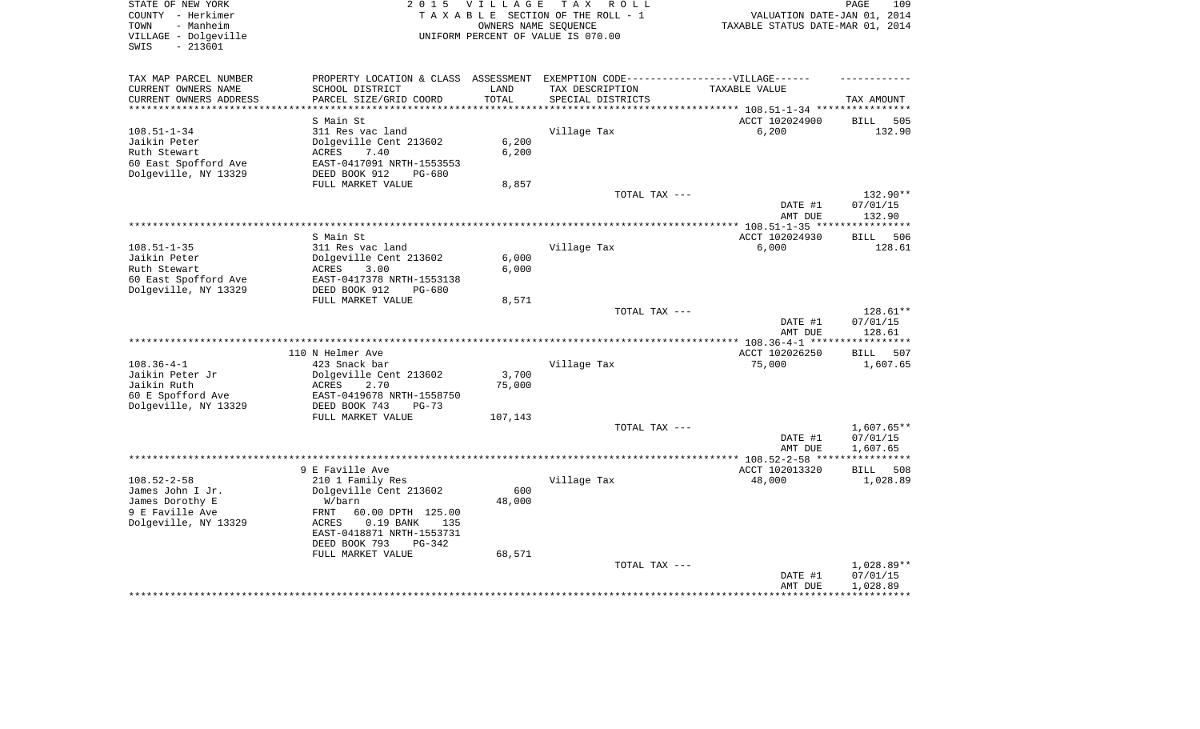| STATE OF NEW YORK<br>COUNTY - Herkimer<br>- Manheim<br>TOWN<br>VILLAGE - Dolgeville<br>$-213601$<br>SWIS | 2 0 1 5                                                                                                               | <b>VILLAGE</b>             | T A X<br>R O L L<br>TAXABLE SECTION OF THE ROLL - 1<br>OWNERS NAME SEQUENCE<br>UNIFORM PERCENT OF VALUE IS 070.00 | VALUATION DATE-JAN 01, 2014<br>TAXABLE STATUS DATE-MAR 01, 2014                        | PAGE<br>109                      |
|----------------------------------------------------------------------------------------------------------|-----------------------------------------------------------------------------------------------------------------------|----------------------------|-------------------------------------------------------------------------------------------------------------------|----------------------------------------------------------------------------------------|----------------------------------|
| TAX MAP PARCEL NUMBER                                                                                    | PROPERTY LOCATION & CLASS                                                                                             | ASSESSMENT                 | EXEMPTION CODE------------------VILLAGE------                                                                     |                                                                                        |                                  |
| CURRENT OWNERS NAME<br>CURRENT OWNERS ADDRESS<br>****************                                        | SCHOOL DISTRICT<br>PARCEL SIZE/GRID COORD<br>*********************                                                    | LAND<br>TOTAL<br>********* | TAX DESCRIPTION<br>SPECIAL DISTRICTS                                                                              | TAXABLE VALUE                                                                          | TAX AMOUNT                       |
|                                                                                                          | S Main St                                                                                                             |                            |                                                                                                                   | ************************************** 108.51-1-34 *****************<br>ACCT 102024900 | 505<br>BILL                      |
| $108.51 - 1 - 34$<br>Jaikin Peter<br>Ruth Stewart<br>60 East Spofford Ave<br>Dolgeville, NY 13329        | 311 Res vac land<br>Dolgeville Cent 213602<br>ACRES<br>7.40<br>EAST-0417091 NRTH-1553553<br>DEED BOOK 912<br>$PG-680$ | 6,200<br>6,200             | Village Tax                                                                                                       | 6,200                                                                                  | 132.90                           |
|                                                                                                          | FULL MARKET VALUE                                                                                                     | 8,857                      |                                                                                                                   |                                                                                        |                                  |
|                                                                                                          |                                                                                                                       |                            | TOTAL TAX ---                                                                                                     | DATE #1                                                                                | 132.90**<br>07/01/15             |
|                                                                                                          |                                                                                                                       |                            |                                                                                                                   | AMT DUE                                                                                | 132.90                           |
|                                                                                                          | S Main St                                                                                                             |                            |                                                                                                                   | ACCT 102024930                                                                         | **********<br>506<br><b>BILL</b> |
| $108.51 - 1 - 35$                                                                                        | 311 Res vac land                                                                                                      |                            | Village Tax                                                                                                       | 6,000                                                                                  | 128.61                           |
| Jaikin Peter                                                                                             | Dolgeville Cent 213602                                                                                                | 6,000                      |                                                                                                                   |                                                                                        |                                  |
| Ruth Stewart                                                                                             | ACRES<br>3.00                                                                                                         | 6,000                      |                                                                                                                   |                                                                                        |                                  |
| 60 East Spofford Ave                                                                                     | EAST-0417378 NRTH-1553138                                                                                             |                            |                                                                                                                   |                                                                                        |                                  |
| Dolgeville, NY 13329                                                                                     | DEED BOOK 912<br>$PG-680$                                                                                             |                            |                                                                                                                   |                                                                                        |                                  |
|                                                                                                          | FULL MARKET VALUE                                                                                                     | 8,571                      | TOTAL TAX ---                                                                                                     |                                                                                        | 128.61**                         |
|                                                                                                          |                                                                                                                       |                            |                                                                                                                   | DATE #1<br>AMT DUE                                                                     | 07/01/15<br>128.61               |
|                                                                                                          |                                                                                                                       |                            |                                                                                                                   |                                                                                        |                                  |
|                                                                                                          | 110 N Helmer Ave                                                                                                      |                            |                                                                                                                   | ACCT 102026250                                                                         | <b>BILL</b><br>507               |
| $108.36 - 4 - 1$                                                                                         | 423 Snack bar                                                                                                         |                            | Village Tax                                                                                                       | 75,000                                                                                 | 1,607.65                         |
| Jaikin Peter Jr                                                                                          | Dolgeville Cent 213602                                                                                                | 3,700                      |                                                                                                                   |                                                                                        |                                  |
| Jaikin Ruth<br>60 E Spofford Ave                                                                         | ACRES<br>2.70<br>EAST-0419678 NRTH-1558750                                                                            | 75,000                     |                                                                                                                   |                                                                                        |                                  |
| Dolgeville, NY 13329                                                                                     | DEED BOOK 743<br>$PG-73$                                                                                              |                            |                                                                                                                   |                                                                                        |                                  |
|                                                                                                          | FULL MARKET VALUE                                                                                                     | 107,143                    |                                                                                                                   |                                                                                        |                                  |
|                                                                                                          |                                                                                                                       |                            | TOTAL TAX ---                                                                                                     |                                                                                        | 1,607.65**                       |
|                                                                                                          |                                                                                                                       |                            |                                                                                                                   | DATE #1                                                                                | 07/01/15                         |
|                                                                                                          |                                                                                                                       |                            |                                                                                                                   | AMT DUE                                                                                | 1,607.65                         |
|                                                                                                          | 9 E Faville Ave                                                                                                       |                            |                                                                                                                   | ACCT 102013320                                                                         | BILL<br>508                      |
| $108.52 - 2 - 58$                                                                                        | 210 1 Family Res                                                                                                      |                            | Village Tax                                                                                                       | 48,000                                                                                 | 1,028.89                         |
| James John I Jr.                                                                                         | Dolgeville Cent 213602                                                                                                | 600                        |                                                                                                                   |                                                                                        |                                  |
| James Dorothy E                                                                                          | W/barn                                                                                                                | 48,000                     |                                                                                                                   |                                                                                        |                                  |
| 9 E Faville Ave                                                                                          | FRNT<br>60.00 DPTH 125.00                                                                                             |                            |                                                                                                                   |                                                                                        |                                  |
| Dolgeville, NY 13329                                                                                     | 0.19 BANK<br>ACRES<br>135<br>EAST-0418871 NRTH-1553731                                                                |                            |                                                                                                                   |                                                                                        |                                  |
|                                                                                                          | DEED BOOK 793<br>$PG-342$                                                                                             |                            |                                                                                                                   |                                                                                        |                                  |
|                                                                                                          |                                                                                                                       | 68,571                     |                                                                                                                   |                                                                                        |                                  |
|                                                                                                          | FULL MARKET VALUE                                                                                                     |                            |                                                                                                                   |                                                                                        |                                  |
|                                                                                                          |                                                                                                                       |                            | TOTAL TAX ---                                                                                                     |                                                                                        | 1,028.89**                       |
|                                                                                                          |                                                                                                                       |                            |                                                                                                                   | DATE #1<br>AMT DUE                                                                     | 07/01/15<br>1,028.89             |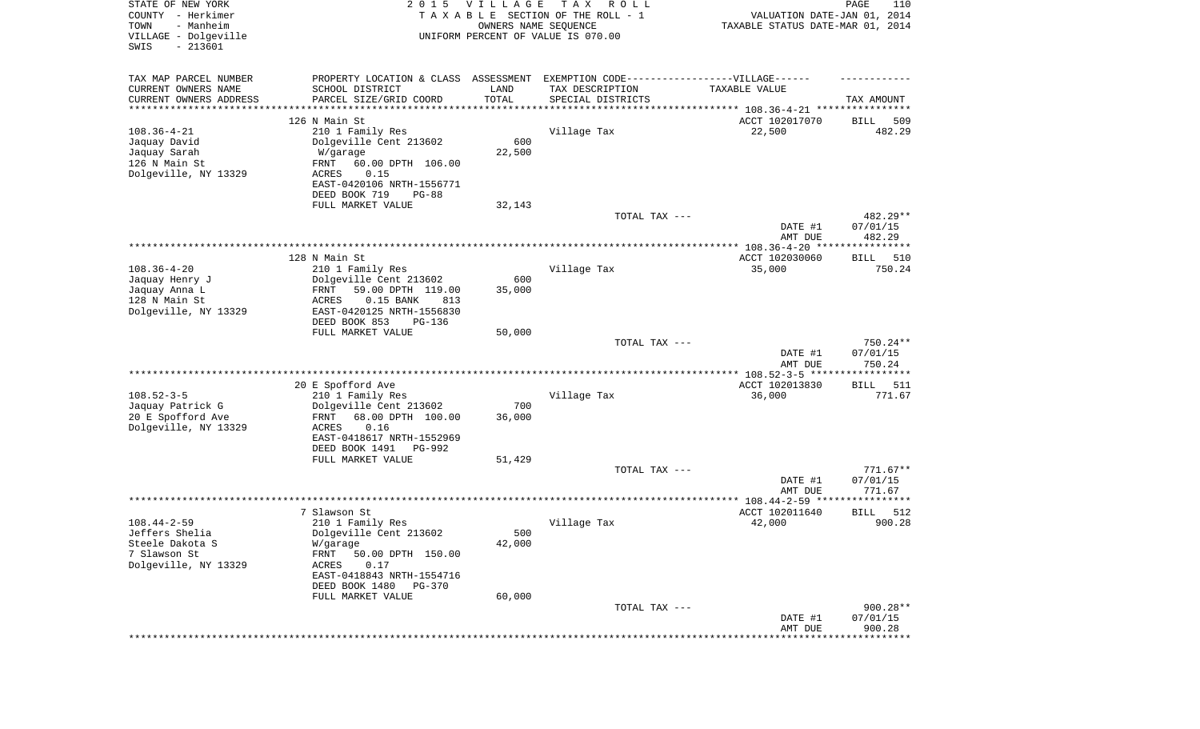| STATE OF NEW YORK<br>COUNTY - Herkimer<br>- Manheim<br>TOWN<br>VILLAGE - Dolgeville<br>SWIS<br>$-213601$ | 2 0 1 5                                                         | <b>VILLAGE</b><br>OWNERS NAME SEQUENCE | T A X<br>R O L L<br>TAXABLE SECTION OF THE ROLL - 1<br>UNIFORM PERCENT OF VALUE IS 070.00 | VALUATION DATE-JAN 01, 2014<br>TAXABLE STATUS DATE-MAR 01, 2014 | PAGE<br>110              |
|----------------------------------------------------------------------------------------------------------|-----------------------------------------------------------------|----------------------------------------|-------------------------------------------------------------------------------------------|-----------------------------------------------------------------|--------------------------|
| TAX MAP PARCEL NUMBER                                                                                    | PROPERTY LOCATION & CLASS ASSESSMENT                            |                                        | EXEMPTION CODE-----------------VILLAGE------                                              |                                                                 |                          |
| CURRENT OWNERS NAME                                                                                      | SCHOOL DISTRICT                                                 | LAND                                   | TAX DESCRIPTION                                                                           | TAXABLE VALUE                                                   |                          |
| CURRENT OWNERS ADDRESS<br>********************                                                           | PARCEL SIZE/GRID COORD                                          | TOTAL                                  | SPECIAL DISTRICTS                                                                         |                                                                 | TAX AMOUNT               |
|                                                                                                          | 126 N Main St                                                   |                                        |                                                                                           | ACCT 102017070                                                  | 509<br>BILL              |
| $108.36 - 4 - 21$                                                                                        | 210 1 Family Res                                                |                                        | Village Tax                                                                               | 22,500                                                          | 482.29                   |
| Jaquay David                                                                                             | Dolgeville Cent 213602                                          | 600                                    |                                                                                           |                                                                 |                          |
| Jaquay Sarah                                                                                             | W/garage                                                        | 22,500                                 |                                                                                           |                                                                 |                          |
| 126 N Main St                                                                                            | FRNT<br>60.00 DPTH 106.00                                       |                                        |                                                                                           |                                                                 |                          |
| Dolgeville, NY 13329                                                                                     | 0.15<br>ACRES<br>EAST-0420106 NRTH-1556771                      |                                        |                                                                                           |                                                                 |                          |
|                                                                                                          | DEED BOOK 719<br>$PG-88$                                        |                                        |                                                                                           |                                                                 |                          |
|                                                                                                          | FULL MARKET VALUE                                               | 32,143                                 |                                                                                           |                                                                 |                          |
|                                                                                                          |                                                                 |                                        | TOTAL TAX ---                                                                             |                                                                 | 482.29**                 |
|                                                                                                          |                                                                 |                                        |                                                                                           | DATE #1                                                         | 07/01/15                 |
|                                                                                                          |                                                                 |                                        |                                                                                           | AMT DUE                                                         | 482.29                   |
|                                                                                                          | 128 N Main St                                                   |                                        |                                                                                           | ACCT 102030060                                                  | BILL<br>510              |
| $108.36 - 4 - 20$                                                                                        | 210 1 Family Res                                                |                                        | Village Tax                                                                               | 35,000                                                          | 750.24                   |
| Jaquay Henry J                                                                                           | Dolgeville Cent 213602                                          | 600                                    |                                                                                           |                                                                 |                          |
| Jaquay Anna L                                                                                            | 59.00 DPTH 119.00<br>FRNT                                       | 35,000                                 |                                                                                           |                                                                 |                          |
| 128 N Main St<br>Dolgeville, NY 13329                                                                    | <b>ACRES</b><br>$0.15$ BANK<br>813<br>EAST-0420125 NRTH-1556830 |                                        |                                                                                           |                                                                 |                          |
|                                                                                                          | DEED BOOK 853<br>$PG-136$                                       |                                        |                                                                                           |                                                                 |                          |
|                                                                                                          | FULL MARKET VALUE                                               | 50,000                                 |                                                                                           |                                                                 |                          |
|                                                                                                          |                                                                 |                                        | TOTAL TAX ---                                                                             |                                                                 | 750.24**                 |
|                                                                                                          |                                                                 |                                        |                                                                                           | DATE #1                                                         | 07/01/15                 |
|                                                                                                          |                                                                 |                                        |                                                                                           | AMT DUE<br>************ 108.52-3-5 ******************           | 750.24                   |
|                                                                                                          | 20 E Spofford Ave                                               |                                        |                                                                                           | ACCT 102013830                                                  | <b>BILL</b><br>511       |
| $108.52 - 3 - 5$                                                                                         | 210 1 Family Res                                                |                                        | Village Tax                                                                               | 36,000                                                          | 771.67                   |
| Jaquay Patrick G                                                                                         | Dolgeville Cent 213602                                          | 700                                    |                                                                                           |                                                                 |                          |
| 20 E Spofford Ave                                                                                        | 68.00 DPTH 100.00<br>FRNT                                       | 36,000                                 |                                                                                           |                                                                 |                          |
| Dolgeville, NY 13329                                                                                     | <b>ACRES</b><br>0.16<br>EAST-0418617 NRTH-1552969               |                                        |                                                                                           |                                                                 |                          |
|                                                                                                          | DEED BOOK 1491<br>PG-992                                        |                                        |                                                                                           |                                                                 |                          |
|                                                                                                          | FULL MARKET VALUE                                               | 51,429                                 |                                                                                           |                                                                 |                          |
|                                                                                                          |                                                                 |                                        | TOTAL TAX ---                                                                             |                                                                 | $771.67**$               |
|                                                                                                          |                                                                 |                                        |                                                                                           | DATE #1                                                         | 07/01/15                 |
|                                                                                                          |                                                                 |                                        |                                                                                           | AMT DUE                                                         | 771.67<br>**********     |
|                                                                                                          | 7 Slawson St                                                    |                                        |                                                                                           | ACCT 102011640                                                  | 512<br>BILL              |
| $108.44 - 2 - 59$                                                                                        | 210 1 Family Res                                                |                                        | Village Tax                                                                               | 42,000                                                          | 900.28                   |
| Jeffers Shelia                                                                                           | Dolgeville Cent 213602                                          | 500                                    |                                                                                           |                                                                 |                          |
| Steele Dakota S                                                                                          | W/garage                                                        | 42,000                                 |                                                                                           |                                                                 |                          |
| 7 Slawson St                                                                                             | 50.00 DPTH 150.00<br>FRNT                                       |                                        |                                                                                           |                                                                 |                          |
| Dolgeville, NY 13329                                                                                     | ACRES<br>0.17<br>EAST-0418843 NRTH-1554716                      |                                        |                                                                                           |                                                                 |                          |
|                                                                                                          | DEED BOOK 1480<br>PG-370                                        |                                        |                                                                                           |                                                                 |                          |
|                                                                                                          | FULL MARKET VALUE                                               | 60,000                                 |                                                                                           |                                                                 |                          |
|                                                                                                          |                                                                 |                                        | TOTAL TAX ---                                                                             |                                                                 | $900.28**$               |
|                                                                                                          |                                                                 |                                        |                                                                                           | DATE #1                                                         | 07/01/15                 |
|                                                                                                          |                                                                 |                                        |                                                                                           | AMT DUE                                                         | 900.28<br>************** |
|                                                                                                          |                                                                 |                                        |                                                                                           |                                                                 |                          |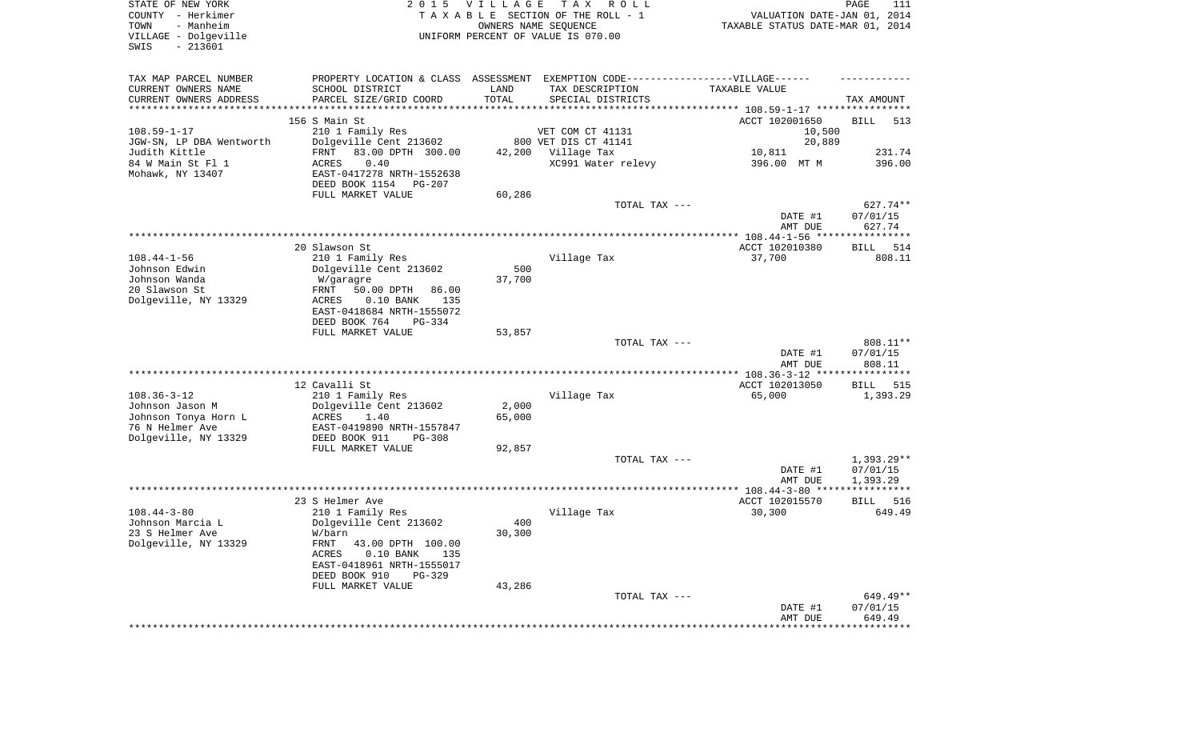| STATE OF NEW YORK<br>COUNTY - Herkimer<br>- Manheim<br>TOWN<br>VILLAGE - Dolgeville<br>$-213601$<br>SWIS | 2 0 1 5                                                                                                                        | V I L L A G E   | T A X<br>R O L L<br>TAXABLE SECTION OF THE ROLL - 1<br>OWNERS NAME SEQUENCE<br>UNIFORM PERCENT OF VALUE IS 070.00         | VALUATION DATE-JAN 01, 2014<br>TAXABLE STATUS DATE-MAR 01, 2014 | PAGE<br>111                    |
|----------------------------------------------------------------------------------------------------------|--------------------------------------------------------------------------------------------------------------------------------|-----------------|---------------------------------------------------------------------------------------------------------------------------|-----------------------------------------------------------------|--------------------------------|
| TAX MAP PARCEL NUMBER<br>CURRENT OWNERS NAME<br>CURRENT OWNERS ADDRESS<br>********************           | SCHOOL DISTRICT<br>PARCEL SIZE/GRID COORD                                                                                      | LAND<br>TOTAL   | PROPERTY LOCATION & CLASS ASSESSMENT EXEMPTION CODE-----------------VILLAGE------<br>TAX DESCRIPTION<br>SPECIAL DISTRICTS | TAXABLE VALUE                                                   | TAX AMOUNT                     |
| $108.59 - 1 - 17$                                                                                        | 156 S Main St<br>210 1 Family Res                                                                                              |                 | VET COM CT 41131                                                                                                          | ACCT 102001650<br>10,500                                        | <b>BILL</b><br>513             |
| JGW-SN, LP DBA Wentworth                                                                                 | Dolgeville Cent 213602                                                                                                         |                 | 800 VET DIS CT 41141                                                                                                      | 20,889                                                          |                                |
| Judith Kittle<br>84 W Main St Fl 1<br>Mohawk, NY 13407                                                   | FRNT<br>83.00 DPTH 300.00<br>0.40<br>ACRES<br>EAST-0417278 NRTH-1552638<br>DEED BOOK 1154<br>PG-207                            | 42,200          | Village Tax<br>XC991 Water relevy                                                                                         | 10,811<br>396.00 MT M                                           | 231.74<br>396.00               |
|                                                                                                          | FULL MARKET VALUE                                                                                                              | 60,286          | TOTAL TAX ---                                                                                                             |                                                                 | 627.74**                       |
|                                                                                                          |                                                                                                                                |                 |                                                                                                                           | DATE #1<br>AMT DUE                                              | 07/01/15<br>627.74             |
|                                                                                                          |                                                                                                                                |                 |                                                                                                                           |                                                                 |                                |
| $108.44 - 1 - 56$                                                                                        | 20 Slawson St<br>210 1 Family Res                                                                                              |                 | Village Tax                                                                                                               | ACCT 102010380<br>37,700                                        | <b>BILL</b><br>514<br>808.11   |
| Johnson Edwin<br>Johnson Wanda<br>20 Slawson St<br>Dolgeville, NY 13329                                  | Dolgeville Cent 213602<br>W/garagre<br>50.00 DPTH<br>86.00<br>FRNT<br>ACRES<br>$0.10$ BANK<br>135<br>EAST-0418684 NRTH-1555072 | 500<br>37,700   |                                                                                                                           |                                                                 |                                |
|                                                                                                          | DEED BOOK 764<br>PG-334                                                                                                        |                 |                                                                                                                           |                                                                 |                                |
|                                                                                                          | FULL MARKET VALUE                                                                                                              | 53,857          |                                                                                                                           |                                                                 |                                |
|                                                                                                          |                                                                                                                                |                 | TOTAL TAX ---                                                                                                             | DATE #1<br>AMT DUE                                              | 808.11**<br>07/01/15<br>808.11 |
|                                                                                                          | 12 Cavalli St                                                                                                                  |                 |                                                                                                                           | *************** 108.36-3-12 *****************<br>ACCT 102013050 | 515<br>BILL                    |
| $108.36 - 3 - 12$<br>Johnson Jason M<br>Johnson Tonya Horn L<br>76 N Helmer Ave                          | 210 1 Family Res<br>Dolgeville Cent 213602<br>ACRES<br>1.40<br>EAST-0419890 NRTH-1557847                                       | 2,000<br>65,000 | Village Tax                                                                                                               | 65,000                                                          | 1,393.29                       |
| Dolgeville, NY 13329                                                                                     | DEED BOOK 911<br>PG-308<br>FULL MARKET VALUE                                                                                   | 92,857          |                                                                                                                           |                                                                 |                                |
|                                                                                                          |                                                                                                                                |                 | TOTAL TAX ---                                                                                                             | DATE #1                                                         | $1,393.29**$<br>07/01/15       |
|                                                                                                          |                                                                                                                                |                 |                                                                                                                           | AMT DUE                                                         | 1,393.29                       |
|                                                                                                          | 23 S Helmer Ave                                                                                                                |                 |                                                                                                                           | ACCT 102015570                                                  | 516<br>BILL                    |
| $108.44 - 3 - 80$<br>Johnson Marcia L                                                                    | 210 1 Family Res<br>Dolgeville Cent 213602                                                                                     | 400             | Village Tax                                                                                                               | 30,300                                                          | 649.49                         |
| 23 S Helmer Ave<br>Dolgeville, NY 13329                                                                  | W/barn<br>43.00 DPTH 100.00<br>FRNT<br>$0.10$ BANK<br>ACRES<br>135<br>EAST-0418961 NRTH-1555017<br>DEED BOOK 910<br>$PG-329$   | 30,300          |                                                                                                                           |                                                                 |                                |
|                                                                                                          | FULL MARKET VALUE                                                                                                              | 43,286          |                                                                                                                           |                                                                 |                                |
|                                                                                                          |                                                                                                                                |                 | TOTAL TAX ---                                                                                                             | DATE #1<br>AMT DUE                                              | 649.49**<br>07/01/15<br>649.49 |
|                                                                                                          |                                                                                                                                |                 |                                                                                                                           |                                                                 |                                |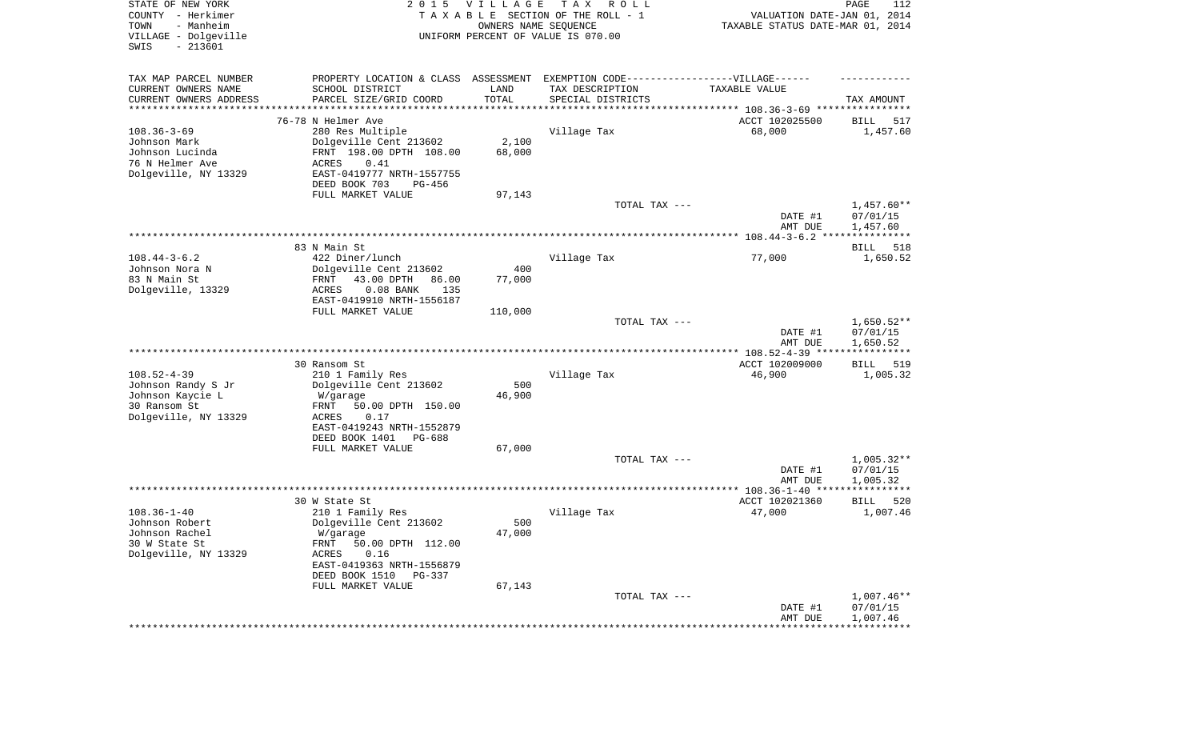| STATE OF NEW YORK<br>COUNTY - Herkimer<br>- Manheim<br>TOWN<br>VILLAGE - Dolgeville | 2 0 1 5                                               | <b>VILLAGE</b>          | T A X<br>R O L L<br>TAXABLE SECTION OF THE ROLL - 1<br>OWNERS NAME SEQUENCE<br>UNIFORM PERCENT OF VALUE IS 070.00 | VALUATION DATE-JAN 01, 2014<br>TAXABLE STATUS DATE-MAR 01, 2014 | PAGE<br>112             |
|-------------------------------------------------------------------------------------|-------------------------------------------------------|-------------------------|-------------------------------------------------------------------------------------------------------------------|-----------------------------------------------------------------|-------------------------|
| $-213601$<br>SWIS                                                                   |                                                       |                         |                                                                                                                   |                                                                 |                         |
| TAX MAP PARCEL NUMBER                                                               | PROPERTY LOCATION & CLASS ASSESSMENT                  |                         | EXEMPTION CODE------------------VILLAGE------                                                                     |                                                                 |                         |
| CURRENT OWNERS NAME                                                                 | SCHOOL DISTRICT                                       | LAND                    | TAX DESCRIPTION                                                                                                   | TAXABLE VALUE                                                   |                         |
| CURRENT OWNERS ADDRESS<br>*********************                                     | PARCEL SIZE/GRID COORD                                | TOTAL<br>************** | SPECIAL DISTRICTS                                                                                                 |                                                                 | TAX AMOUNT              |
|                                                                                     | 76-78 N Helmer Ave                                    |                         |                                                                                                                   | ACCT 102025500                                                  | 517<br>BILL             |
| $108.36 - 3 - 69$                                                                   | 280 Res Multiple                                      |                         | Village Tax                                                                                                       | 68,000                                                          | 1,457.60                |
| Johnson Mark                                                                        | Dolgeville Cent 213602                                | 2,100                   |                                                                                                                   |                                                                 |                         |
| Johnson Lucinda                                                                     | FRNT 198.00 DPTH 108.00                               | 68,000                  |                                                                                                                   |                                                                 |                         |
| 76 N Helmer Ave                                                                     | ACRES<br>0.41                                         |                         |                                                                                                                   |                                                                 |                         |
| Dolgeville, NY 13329                                                                | EAST-0419777 NRTH-1557755                             |                         |                                                                                                                   |                                                                 |                         |
|                                                                                     | DEED BOOK 703<br>PG-456<br>FULL MARKET VALUE          | 97,143                  |                                                                                                                   |                                                                 |                         |
|                                                                                     |                                                       |                         | TOTAL TAX ---                                                                                                     |                                                                 | $1,457.60**$            |
|                                                                                     |                                                       |                         |                                                                                                                   | DATE #1                                                         | 07/01/15                |
|                                                                                     |                                                       |                         |                                                                                                                   | AMT DUE                                                         | 1,457.60                |
|                                                                                     | 83 N Main St.                                         |                         |                                                                                                                   |                                                                 | 518<br>BILL             |
| $108.44 - 3 - 6.2$                                                                  | 422 Diner/lunch                                       |                         | Village Tax                                                                                                       | 77,000                                                          | 1,650.52                |
| Johnson Nora N                                                                      | Dolgeville Cent 213602                                | 400                     |                                                                                                                   |                                                                 |                         |
| 83 N Main St                                                                        | 43.00 DPTH<br>FRNT<br>86.00                           | 77,000                  |                                                                                                                   |                                                                 |                         |
| Dolgeville, 13329                                                                   | ACRES<br>$0.08$ BANK<br>135                           |                         |                                                                                                                   |                                                                 |                         |
|                                                                                     | EAST-0419910 NRTH-1556187<br>FULL MARKET VALUE        | 110,000                 |                                                                                                                   |                                                                 |                         |
|                                                                                     |                                                       |                         | TOTAL TAX ---                                                                                                     |                                                                 | $1,650.52**$            |
|                                                                                     |                                                       |                         |                                                                                                                   | DATE #1                                                         | 07/01/15                |
|                                                                                     |                                                       |                         |                                                                                                                   | AMT DUE                                                         | 1,650.52                |
|                                                                                     |                                                       |                         |                                                                                                                   |                                                                 |                         |
| $108.52 - 4 - 39$                                                                   | 30 Ransom St<br>210 1 Family Res                      |                         | Village Tax                                                                                                       | ACCT 102009000<br>46,900                                        | 519<br>BILL<br>1,005.32 |
| Johnson Randy S Jr                                                                  | Dolgeville Cent 213602                                | 500                     |                                                                                                                   |                                                                 |                         |
| Johnson Kaycie L                                                                    | W/garage                                              | 46,900                  |                                                                                                                   |                                                                 |                         |
| 30 Ransom St                                                                        | 50.00 DPTH 150.00<br>FRNT                             |                         |                                                                                                                   |                                                                 |                         |
| Dolgeville, NY 13329                                                                | ACRES<br>0.17                                         |                         |                                                                                                                   |                                                                 |                         |
|                                                                                     | EAST-0419243 NRTH-1552879<br>DEED BOOK 1401<br>PG-688 |                         |                                                                                                                   |                                                                 |                         |
|                                                                                     | FULL MARKET VALUE                                     | 67,000                  |                                                                                                                   |                                                                 |                         |
|                                                                                     |                                                       |                         | TOTAL TAX ---                                                                                                     |                                                                 | $1,005.32**$            |
|                                                                                     |                                                       |                         |                                                                                                                   | DATE #1                                                         | 07/01/15                |
|                                                                                     |                                                       |                         |                                                                                                                   | AMT DUE                                                         | 1,005.32                |
|                                                                                     | 30 W State St                                         |                         |                                                                                                                   | ACCT 102021360                                                  | 520<br>BILL             |
| $108.36 - 1 - 40$                                                                   | 210 1 Family Res                                      |                         | Village Tax                                                                                                       | 47,000                                                          | 1,007.46                |
| Johnson Robert                                                                      | Dolgeville Cent 213602                                | 500                     |                                                                                                                   |                                                                 |                         |
| Johnson Rachel                                                                      | W/garage                                              | 47,000                  |                                                                                                                   |                                                                 |                         |
| 30 W State St                                                                       | FRNT 50.00 DPTH 112.00                                |                         |                                                                                                                   |                                                                 |                         |
| Dolgeville, NY 13329                                                                | ACRES<br>0.16<br>EAST-0419363 NRTH-1556879            |                         |                                                                                                                   |                                                                 |                         |
|                                                                                     | DEED BOOK 1510 PG-337                                 |                         |                                                                                                                   |                                                                 |                         |
|                                                                                     | FULL MARKET VALUE                                     | 67,143                  |                                                                                                                   |                                                                 |                         |
|                                                                                     |                                                       |                         | TOTAL TAX ---                                                                                                     |                                                                 | $1,007.46**$            |
|                                                                                     |                                                       |                         |                                                                                                                   | DATE #1                                                         | 07/01/15                |
|                                                                                     |                                                       |                         |                                                                                                                   | AMT DUE<br>**********************************                   | 1,007.46                |
|                                                                                     |                                                       |                         |                                                                                                                   |                                                                 |                         |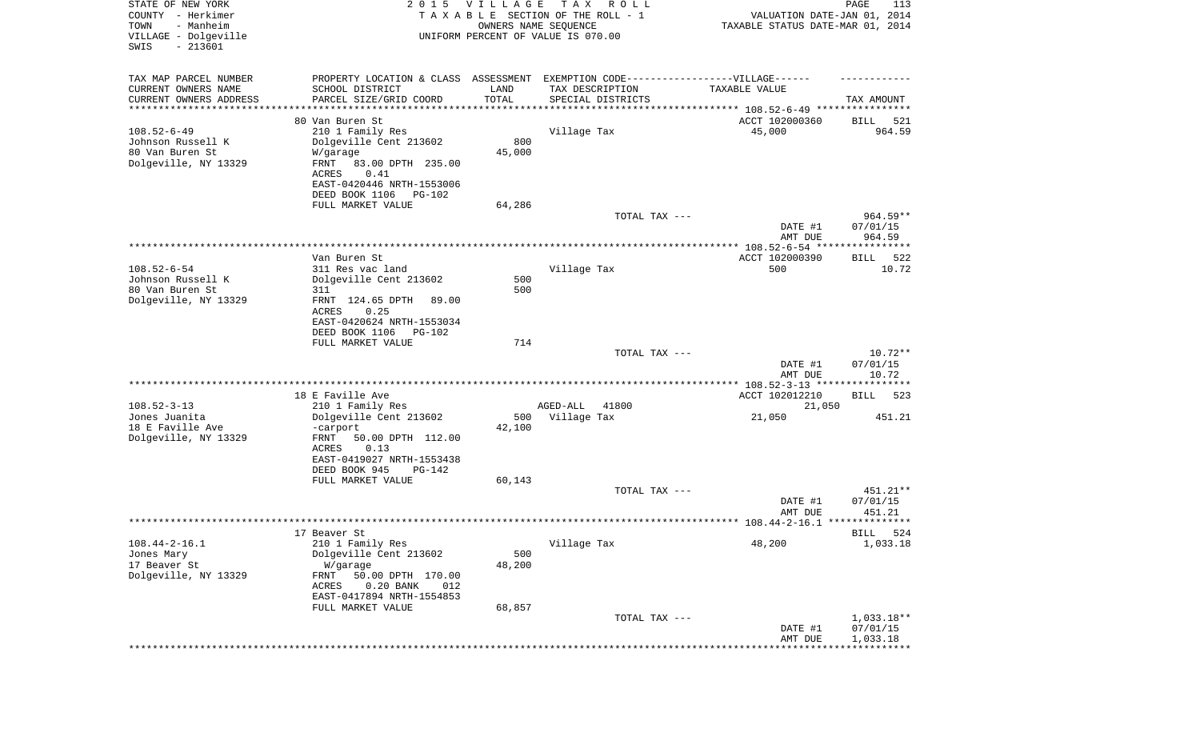| STATE OF NEW YORK<br>COUNTY - Herkimer<br>- Manheim<br>TOWN<br>VILLAGE - Dolgeville<br>$-213601$<br>SWIS | 2 0 1 5                                                                           | VILLAGE               | T A X<br>R O L L<br>TAXABLE SECTION OF THE ROLL - 1<br>OWNERS NAME SEQUENCE<br>UNIFORM PERCENT OF VALUE IS 070.00 | VALUATION DATE-JAN 01, 2014<br>TAXABLE STATUS DATE-MAR 01, 2014 | PAGE<br>113          |
|----------------------------------------------------------------------------------------------------------|-----------------------------------------------------------------------------------|-----------------------|-------------------------------------------------------------------------------------------------------------------|-----------------------------------------------------------------|----------------------|
| TAX MAP PARCEL NUMBER                                                                                    | PROPERTY LOCATION & CLASS ASSESSMENT EXEMPTION CODE-----------------VILLAGE------ |                       |                                                                                                                   |                                                                 |                      |
| CURRENT OWNERS NAME<br>CURRENT OWNERS ADDRESS                                                            | SCHOOL DISTRICT<br>PARCEL SIZE/GRID COORD                                         | LAND<br>TOTAL         | TAX DESCRIPTION<br>SPECIAL DISTRICTS                                                                              | TAXABLE VALUE                                                   | TAX AMOUNT           |
| *********************                                                                                    |                                                                                   | * * * * * * * * * * * |                                                                                                                   |                                                                 |                      |
|                                                                                                          | 80 Van Buren St                                                                   |                       |                                                                                                                   | ACCT 102000360                                                  | 521<br>BILL          |
| $108.52 - 6 - 49$                                                                                        | 210 1 Family Res                                                                  |                       | Village Tax                                                                                                       | 45,000                                                          | 964.59               |
| Johnson Russell K                                                                                        | Dolgeville Cent 213602                                                            | 800                   |                                                                                                                   |                                                                 |                      |
| 80 Van Buren St<br>Dolgeville, NY 13329                                                                  | W/garage<br>FRNT                                                                  | 45,000                |                                                                                                                   |                                                                 |                      |
|                                                                                                          | 83.00 DPTH 235.00<br>0.41<br>ACRES                                                |                       |                                                                                                                   |                                                                 |                      |
|                                                                                                          | EAST-0420446 NRTH-1553006                                                         |                       |                                                                                                                   |                                                                 |                      |
|                                                                                                          | DEED BOOK 1106<br>PG-102                                                          |                       |                                                                                                                   |                                                                 |                      |
|                                                                                                          | FULL MARKET VALUE                                                                 | 64,286                |                                                                                                                   |                                                                 |                      |
|                                                                                                          |                                                                                   |                       | TOTAL TAX ---                                                                                                     |                                                                 | $964.59**$           |
|                                                                                                          |                                                                                   |                       |                                                                                                                   | DATE #1                                                         | 07/01/15             |
|                                                                                                          |                                                                                   |                       |                                                                                                                   | AMT DUE                                                         | 964.59               |
|                                                                                                          | Van Buren St                                                                      |                       |                                                                                                                   | ACCT 102000390                                                  | 522<br>BILL          |
| $108.52 - 6 - 54$                                                                                        | 311 Res vac land                                                                  |                       | Village Tax                                                                                                       | 500                                                             | 10.72                |
| Johnson Russell K                                                                                        | Dolgeville Cent 213602                                                            | 500                   |                                                                                                                   |                                                                 |                      |
| 80 Van Buren St                                                                                          | 311                                                                               | 500                   |                                                                                                                   |                                                                 |                      |
| Dolgeville, NY 13329                                                                                     | FRNT 124.65 DPTH<br>89.00                                                         |                       |                                                                                                                   |                                                                 |                      |
|                                                                                                          | ACRES<br>0.25                                                                     |                       |                                                                                                                   |                                                                 |                      |
|                                                                                                          | EAST-0420624 NRTH-1553034<br>DEED BOOK 1106                                       |                       |                                                                                                                   |                                                                 |                      |
|                                                                                                          | PG-102<br>FULL MARKET VALUE                                                       | 714                   |                                                                                                                   |                                                                 |                      |
|                                                                                                          |                                                                                   |                       | TOTAL TAX ---                                                                                                     |                                                                 | $10.72**$            |
|                                                                                                          |                                                                                   |                       |                                                                                                                   | DATE #1<br>AMT DUE                                              | 07/01/15<br>10.72    |
|                                                                                                          |                                                                                   |                       |                                                                                                                   |                                                                 |                      |
|                                                                                                          | 18 E Faville Ave                                                                  |                       |                                                                                                                   | ACCT 102012210                                                  | BILL<br>523          |
| $108.52 - 3 - 13$<br>Jones Juanita                                                                       | 210 1 Family Res<br>Dolgeville Cent 213602                                        | 500                   | AGED-ALL<br>41800<br>Village Tax                                                                                  | 21,050<br>21,050                                                | 451.21               |
| 18 E Faville Ave                                                                                         | -carport                                                                          | 42,100                |                                                                                                                   |                                                                 |                      |
| Dolgeville, NY 13329                                                                                     | FRNT<br>50.00 DPTH 112.00                                                         |                       |                                                                                                                   |                                                                 |                      |
|                                                                                                          | ACRES<br>0.13                                                                     |                       |                                                                                                                   |                                                                 |                      |
|                                                                                                          | EAST-0419027 NRTH-1553438                                                         |                       |                                                                                                                   |                                                                 |                      |
|                                                                                                          | DEED BOOK 945<br>PG-142                                                           |                       |                                                                                                                   |                                                                 |                      |
|                                                                                                          | FULL MARKET VALUE                                                                 | 60,143                |                                                                                                                   |                                                                 |                      |
|                                                                                                          |                                                                                   |                       | TOTAL TAX ---                                                                                                     |                                                                 | 451.21**<br>07/01/15 |
|                                                                                                          |                                                                                   |                       |                                                                                                                   | DATE #1<br>AMT DUE                                              | 451.21               |
|                                                                                                          |                                                                                   |                       |                                                                                                                   |                                                                 |                      |
|                                                                                                          | 17 Beaver St                                                                      |                       |                                                                                                                   |                                                                 | BILL 524             |
| $108.44 - 2 - 16.1$                                                                                      | 210 1 Family Res                                                                  |                       | Village Tax                                                                                                       | 48,200                                                          | 1,033.18             |
| Jones Mary                                                                                               | Dolgeville Cent 213602                                                            | 500                   |                                                                                                                   |                                                                 |                      |
| 17 Beaver St                                                                                             | W/garage                                                                          | 48,200                |                                                                                                                   |                                                                 |                      |
| Dolgeville, NY 13329                                                                                     | 50.00 DPTH 170.00<br>FRNT<br>ACRES<br>$0.20$ BANK<br>012                          |                       |                                                                                                                   |                                                                 |                      |
|                                                                                                          | EAST-0417894 NRTH-1554853                                                         |                       |                                                                                                                   |                                                                 |                      |
|                                                                                                          | FULL MARKET VALUE                                                                 | 68,857                |                                                                                                                   |                                                                 |                      |
|                                                                                                          |                                                                                   |                       | TOTAL TAX ---                                                                                                     |                                                                 | $1,033.18**$         |
|                                                                                                          |                                                                                   |                       |                                                                                                                   | DATE #1                                                         | 07/01/15             |
|                                                                                                          |                                                                                   |                       |                                                                                                                   | AMT DUE                                                         | 1,033.18             |
|                                                                                                          |                                                                                   |                       |                                                                                                                   |                                                                 |                      |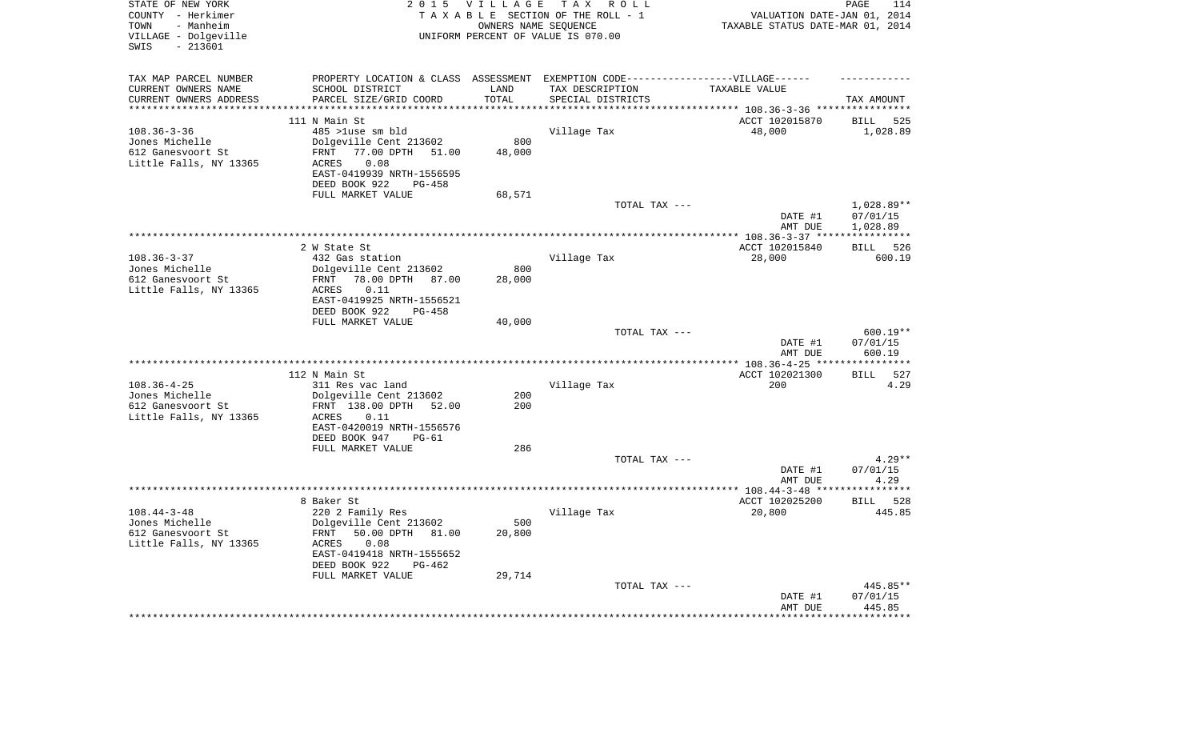| STATE OF NEW YORK<br>COUNTY - Herkimer<br>TOWN<br>- Manheim<br>VILLAGE - Dolgeville<br>$-213601$<br>SWIS | 2 0 1 5                                        | <b>VILLAGE</b><br>OWNERS NAME SEQUENCE | TAX ROLL<br>TAXABLE SECTION OF THE ROLL - 1<br>UNIFORM PERCENT OF VALUE IS 070.00 | VALUATION DATE-JAN 01, 2014<br>TAXABLE STATUS DATE-MAR 01, 2014 | PAGE<br>114                |
|----------------------------------------------------------------------------------------------------------|------------------------------------------------|----------------------------------------|-----------------------------------------------------------------------------------|-----------------------------------------------------------------|----------------------------|
| TAX MAP PARCEL NUMBER                                                                                    |                                                |                                        | PROPERTY LOCATION & CLASS ASSESSMENT EXEMPTION CODE----------------VILLAGE------  |                                                                 |                            |
| CURRENT OWNERS NAME<br>CURRENT OWNERS ADDRESS                                                            | SCHOOL DISTRICT<br>PARCEL SIZE/GRID COORD      | LAND<br>TOTAL                          | TAX DESCRIPTION<br>SPECIAL DISTRICTS                                              | TAXABLE VALUE                                                   | TAX AMOUNT                 |
| *********************                                                                                    |                                                | **********                             |                                                                                   |                                                                 |                            |
|                                                                                                          | 111 N Main St                                  |                                        |                                                                                   | ACCT 102015870                                                  | <b>BILL</b><br>525         |
| $108.36 - 3 - 36$                                                                                        | 485 >luse sm bld                               |                                        | Village Tax                                                                       | 48,000                                                          | 1,028.89                   |
| Jones Michelle                                                                                           | Dolgeville Cent 213602                         | 800                                    |                                                                                   |                                                                 |                            |
| 612 Ganesvoort St                                                                                        | 77.00 DPTH<br>51.00<br>FRNT                    | 48,000                                 |                                                                                   |                                                                 |                            |
| Little Falls, NY 13365                                                                                   | 0.08<br>ACRES                                  |                                        |                                                                                   |                                                                 |                            |
|                                                                                                          | EAST-0419939 NRTH-1556595                      |                                        |                                                                                   |                                                                 |                            |
|                                                                                                          | DEED BOOK 922<br>$PG-458$                      |                                        |                                                                                   |                                                                 |                            |
|                                                                                                          | FULL MARKET VALUE                              | 68,571                                 | TOTAL TAX ---                                                                     |                                                                 | 1,028.89**                 |
|                                                                                                          |                                                |                                        |                                                                                   | DATE #1                                                         | 07/01/15                   |
|                                                                                                          |                                                |                                        |                                                                                   | AMT DUE                                                         | 1,028.89                   |
|                                                                                                          |                                                |                                        |                                                                                   |                                                                 | ***********                |
|                                                                                                          | 2 W State St                                   |                                        |                                                                                   | ACCT 102015840                                                  | 526<br>BILL                |
| $108.36 - 3 - 37$                                                                                        | 432 Gas station                                |                                        | Village Tax                                                                       | 28,000                                                          | 600.19                     |
| Jones Michelle                                                                                           | Dolgeville Cent 213602                         | 800                                    |                                                                                   |                                                                 |                            |
| 612 Ganesvoort St                                                                                        | FRNT<br>78.00 DPTH 87.00                       | 28,000                                 |                                                                                   |                                                                 |                            |
| Little Falls, NY 13365                                                                                   | 0.11<br>ACRES<br>EAST-0419925 NRTH-1556521     |                                        |                                                                                   |                                                                 |                            |
|                                                                                                          | DEED BOOK 922<br>$PG-458$                      |                                        |                                                                                   |                                                                 |                            |
|                                                                                                          | FULL MARKET VALUE                              | 40,000                                 |                                                                                   |                                                                 |                            |
|                                                                                                          |                                                |                                        | TOTAL TAX ---                                                                     |                                                                 | $600.19**$                 |
|                                                                                                          |                                                |                                        |                                                                                   | DATE #1                                                         | 07/01/15                   |
|                                                                                                          |                                                |                                        |                                                                                   | AMT DUE                                                         | 600.19                     |
|                                                                                                          |                                                |                                        |                                                                                   |                                                                 | * * * * * * * * * * *      |
| $108.36 - 4 - 25$                                                                                        | 112 N Main St                                  |                                        |                                                                                   | ACCT 102021300<br>200                                           | 527<br><b>BILL</b><br>4.29 |
| Jones Michelle                                                                                           | 311 Res vac land<br>Dolgeville Cent 213602     | 200                                    | Village Tax                                                                       |                                                                 |                            |
| 612 Ganesvoort St                                                                                        | FRNT 138.00 DPTH<br>52.00                      | 200                                    |                                                                                   |                                                                 |                            |
| Little Falls, NY 13365                                                                                   | ACRES<br>0.11                                  |                                        |                                                                                   |                                                                 |                            |
|                                                                                                          | EAST-0420019 NRTH-1556576                      |                                        |                                                                                   |                                                                 |                            |
|                                                                                                          | DEED BOOK 947<br>$PG-61$                       |                                        |                                                                                   |                                                                 |                            |
|                                                                                                          | FULL MARKET VALUE                              | 286                                    |                                                                                   |                                                                 |                            |
|                                                                                                          |                                                |                                        | TOTAL TAX ---                                                                     |                                                                 | $4.29**$                   |
|                                                                                                          |                                                |                                        |                                                                                   | DATE #1<br>AMT DUE                                              | 07/01/15<br>4.29           |
|                                                                                                          |                                                |                                        |                                                                                   |                                                                 | **********                 |
|                                                                                                          | 8 Baker St                                     |                                        |                                                                                   | ACCT 102025200                                                  | BILL 528                   |
| $108.44 - 3 - 48$                                                                                        | 220 2 Family Res                               |                                        | Village Tax                                                                       | 20,800                                                          | 445.85                     |
| Jones Michelle                                                                                           | Dolgeville Cent 213602                         | 500                                    |                                                                                   |                                                                 |                            |
| 612 Ganesvoort St                                                                                        | FRNT<br>50.00 DPTH<br>81.00                    | 20,800                                 |                                                                                   |                                                                 |                            |
| Little Falls, NY 13365                                                                                   | 0.08<br>ACRES                                  |                                        |                                                                                   |                                                                 |                            |
|                                                                                                          | EAST-0419418 NRTH-1555652                      |                                        |                                                                                   |                                                                 |                            |
|                                                                                                          | DEED BOOK 922<br>$PG-462$<br>FULL MARKET VALUE | 29,714                                 |                                                                                   |                                                                 |                            |
|                                                                                                          |                                                |                                        | TOTAL TAX ---                                                                     |                                                                 | 445.85**                   |
|                                                                                                          |                                                |                                        |                                                                                   | DATE #1                                                         | 07/01/15                   |
|                                                                                                          |                                                |                                        |                                                                                   | AMT DUE                                                         | 445.85                     |
|                                                                                                          |                                                |                                        |                                                                                   |                                                                 | *********                  |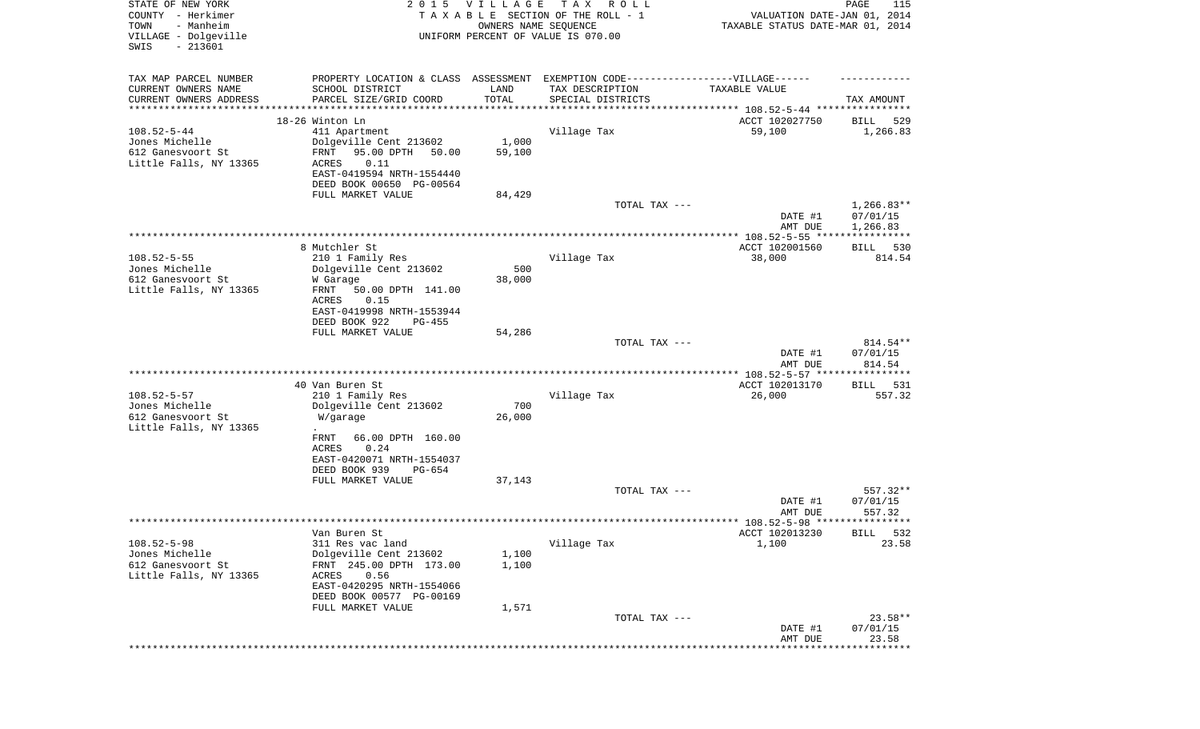| STATE OF NEW YORK<br>COUNTY - Herkimer<br>- Manheim<br>TOWN<br>VILLAGE - Dolgeville<br>$-213601$<br>SWIS | 2 0 1 5                                                                           | VILLAGE<br>OWNERS NAME SEQUENCE | T A X<br>R O L L<br>TAXABLE SECTION OF THE ROLL - 1<br>UNIFORM PERCENT OF VALUE IS 070.00 | VALUATION DATE-JAN 01, 2014<br>TAXABLE STATUS DATE-MAR 01, 2014 | PAGE<br>115           |
|----------------------------------------------------------------------------------------------------------|-----------------------------------------------------------------------------------|---------------------------------|-------------------------------------------------------------------------------------------|-----------------------------------------------------------------|-----------------------|
|                                                                                                          |                                                                                   |                                 |                                                                                           |                                                                 |                       |
| TAX MAP PARCEL NUMBER                                                                                    | PROPERTY LOCATION & CLASS ASSESSMENT EXEMPTION CODE-----------------VILLAGE------ |                                 |                                                                                           |                                                                 |                       |
| CURRENT OWNERS NAME<br>CURRENT OWNERS ADDRESS                                                            | SCHOOL DISTRICT<br>PARCEL SIZE/GRID COORD                                         | LAND<br>TOTAL                   | TAX DESCRIPTION<br>SPECIAL DISTRICTS                                                      | TAXABLE VALUE                                                   | TAX AMOUNT            |
| ***********************                                                                                  | ********************                                                              | ****************                |                                                                                           |                                                                 |                       |
|                                                                                                          | 18-26 Winton Ln                                                                   |                                 |                                                                                           | ACCT 102027750                                                  | 529<br>BILL           |
| $108.52 - 5 - 44$                                                                                        | 411 Apartment                                                                     |                                 | Village Tax                                                                               | 59,100                                                          | 1,266.83              |
| Jones Michelle<br>612 Ganesvoort St                                                                      | Dolgeville Cent 213602<br>FRNT<br>95.00 DPTH<br>50.00                             | 1,000<br>59,100                 |                                                                                           |                                                                 |                       |
| Little Falls, NY 13365                                                                                   | ACRES<br>0.11                                                                     |                                 |                                                                                           |                                                                 |                       |
|                                                                                                          | EAST-0419594 NRTH-1554440                                                         |                                 |                                                                                           |                                                                 |                       |
|                                                                                                          | DEED BOOK 00650 PG-00564                                                          |                                 |                                                                                           |                                                                 |                       |
|                                                                                                          | FULL MARKET VALUE                                                                 | 84,429                          | TOTAL TAX ---                                                                             |                                                                 | $1,266.83**$          |
|                                                                                                          |                                                                                   |                                 |                                                                                           | DATE #1                                                         | 07/01/15              |
|                                                                                                          |                                                                                   |                                 |                                                                                           | AMT DUE                                                         | 1,266.83              |
|                                                                                                          | 8 Mutchler St                                                                     |                                 |                                                                                           |                                                                 |                       |
| $108.52 - 5 - 55$                                                                                        | 210 1 Family Res                                                                  |                                 | Village Tax                                                                               | ACCT 102001560<br>38,000                                        | 530<br>BILL<br>814.54 |
| Jones Michelle                                                                                           | Dolgeville Cent 213602                                                            | 500                             |                                                                                           |                                                                 |                       |
| 612 Ganesvoort St                                                                                        | W Garage                                                                          | 38,000                          |                                                                                           |                                                                 |                       |
| Little Falls, NY 13365                                                                                   | FRNT<br>50.00 DPTH 141.00<br>ACRES<br>0.15                                        |                                 |                                                                                           |                                                                 |                       |
|                                                                                                          | EAST-0419998 NRTH-1553944                                                         |                                 |                                                                                           |                                                                 |                       |
|                                                                                                          | DEED BOOK 922<br>$PG-455$                                                         |                                 |                                                                                           |                                                                 |                       |
|                                                                                                          | FULL MARKET VALUE                                                                 | 54,286                          |                                                                                           |                                                                 |                       |
|                                                                                                          |                                                                                   |                                 | TOTAL TAX ---                                                                             | DATE #1                                                         | 814.54**<br>07/01/15  |
|                                                                                                          |                                                                                   |                                 |                                                                                           | AMT DUE                                                         | 814.54                |
|                                                                                                          |                                                                                   |                                 |                                                                                           | ************ 108.52-5-57 *****************                      |                       |
|                                                                                                          | 40 Van Buren St                                                                   |                                 |                                                                                           | ACCT 102013170                                                  | 531<br>BILL           |
| $108.52 - 5 - 57$<br>Jones Michelle                                                                      | 210 1 Family Res<br>Dolgeville Cent 213602                                        | 700                             | Village Tax                                                                               | 26,000                                                          | 557.32                |
| 612 Ganesvoort St                                                                                        | W/garage                                                                          | 26,000                          |                                                                                           |                                                                 |                       |
| Little Falls, NY 13365                                                                                   |                                                                                   |                                 |                                                                                           |                                                                 |                       |
|                                                                                                          | FRNT<br>66.00 DPTH 160.00                                                         |                                 |                                                                                           |                                                                 |                       |
|                                                                                                          | ACRES<br>0.24<br>EAST-0420071 NRTH-1554037                                        |                                 |                                                                                           |                                                                 |                       |
|                                                                                                          | DEED BOOK 939<br>PG-654                                                           |                                 |                                                                                           |                                                                 |                       |
|                                                                                                          | FULL MARKET VALUE                                                                 | 37,143                          |                                                                                           |                                                                 |                       |
|                                                                                                          |                                                                                   |                                 | TOTAL TAX ---                                                                             |                                                                 | 557.32**              |
|                                                                                                          |                                                                                   |                                 |                                                                                           | DATE #1<br>AMT DUE                                              | 07/01/15<br>557.32    |
|                                                                                                          |                                                                                   |                                 |                                                                                           |                                                                 |                       |
|                                                                                                          | Van Buren St                                                                      |                                 |                                                                                           | ACCT 102013230                                                  | 532<br><b>BILL</b>    |
| $108.52 - 5 - 98$<br>Jones Michelle                                                                      | 311 Res vac land<br>Dolgeville Cent 213602                                        | 1,100                           | Village Tax                                                                               | 1,100                                                           | 23.58                 |
| 612 Ganesvoort St                                                                                        | FRNT 245.00 DPTH 173.00                                                           | 1,100                           |                                                                                           |                                                                 |                       |
| Little Falls, NY 13365                                                                                   | 0.56<br>ACRES                                                                     |                                 |                                                                                           |                                                                 |                       |
|                                                                                                          | EAST-0420295 NRTH-1554066                                                         |                                 |                                                                                           |                                                                 |                       |
|                                                                                                          | DEED BOOK 00577 PG-00169<br>FULL MARKET VALUE                                     | 1,571                           |                                                                                           |                                                                 |                       |
|                                                                                                          |                                                                                   |                                 | TOTAL TAX ---                                                                             |                                                                 | $23.58**$             |
|                                                                                                          |                                                                                   |                                 |                                                                                           | DATE #1                                                         | 07/01/15              |
|                                                                                                          |                                                                                   |                                 |                                                                                           | AMT DUE                                                         | 23.58                 |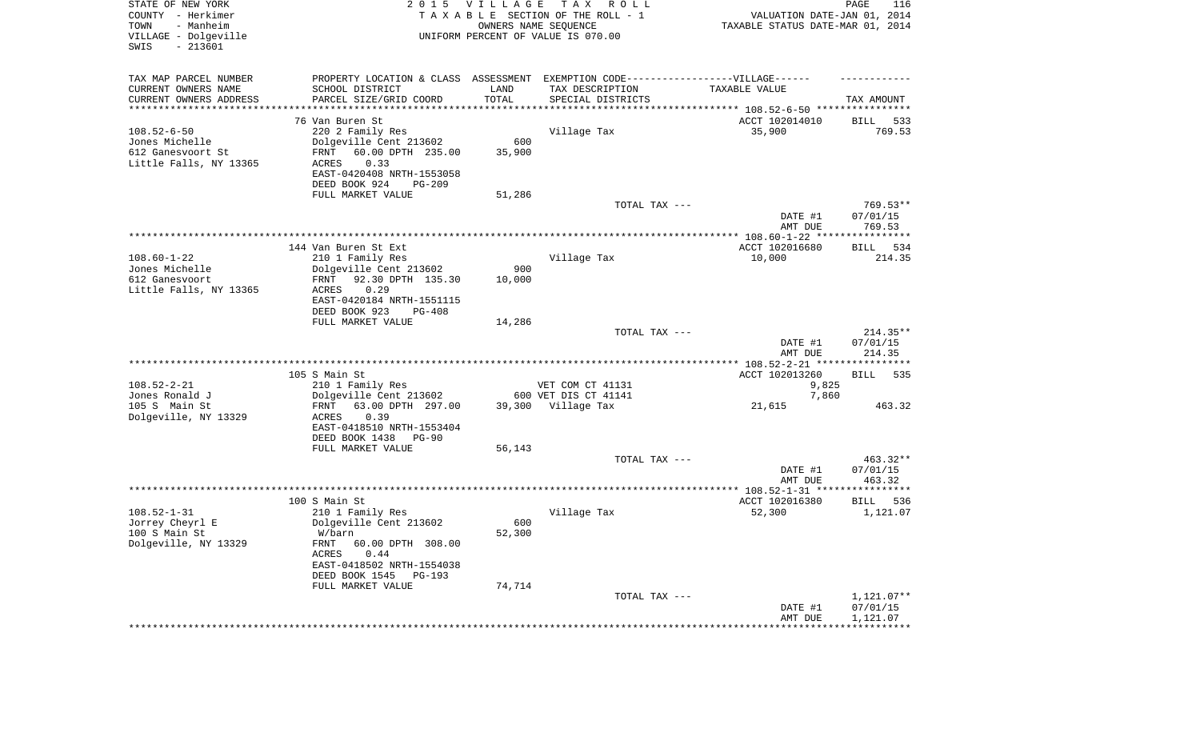|                                               |                                                                                          |                      |                                                     | DATE #1<br>AMT DUE<br>************************************ | 07/01/15<br>1,121.07  |
|-----------------------------------------------|------------------------------------------------------------------------------------------|----------------------|-----------------------------------------------------|------------------------------------------------------------|-----------------------|
|                                               |                                                                                          |                      | TOTAL TAX ---                                       |                                                            | $1,121.07**$          |
|                                               | ACRES<br>0.44<br>EAST-0418502 NRTH-1554038<br>DEED BOOK 1545 PG-193<br>FULL MARKET VALUE | 74,714               |                                                     |                                                            |                       |
| 100 S Main St<br>Dolgeville, NY 13329         | W/barn<br>FRNT 60.00 DPTH 308.00                                                         | 52,300               |                                                     |                                                            |                       |
| $108.52 - 1 - 31$<br>Jorrey Cheyrl E          | 210 1 Family Res<br>Dolgeville Cent 213602                                               | 600                  | Village Tax                                         | 52,300                                                     | 1,121.07              |
|                                               | 100 S Main St                                                                            |                      |                                                     | ACCT 102016380                                             | BILL<br>536           |
|                                               |                                                                                          |                      |                                                     | AMT DUE                                                    | 463.32                |
|                                               |                                                                                          |                      |                                                     | DATE #1                                                    | 07/01/15              |
|                                               | FULL MARKET VALUE                                                                        | 56,143               | TOTAL TAX ---                                       |                                                            | 463.32**              |
|                                               | EAST-0418510 NRTH-1553404<br>DEED BOOK 1438<br>$PG-90$                                   |                      |                                                     |                                                            |                       |
| 105 S Main St<br>Dolgeville, NY 13329         | 63.00 DPTH 297.00<br>FRNT<br>ACRES<br>0.39                                               |                      | 39,300 Village Tax                                  | 21,615                                                     | 463.32                |
| Jones Ronald J                                | Dolgeville Cent 213602                                                                   |                      | 600 VET DIS CT 41141                                | 7,860                                                      |                       |
| $108.52 - 2 - 21$                             | 105 S Main St<br>210 1 Family Res                                                        |                      | VET COM CT 41131                                    | ACCT 102013260<br>9,825                                    | <b>BILL</b><br>535    |
|                                               |                                                                                          |                      |                                                     |                                                            |                       |
|                                               |                                                                                          |                      |                                                     | DATE #1<br>AMT DUE                                         | 07/01/15<br>214.35    |
|                                               |                                                                                          |                      | TOTAL TAX ---                                       |                                                            | $214.35**$            |
|                                               | DEED BOOK 923<br>$PG-408$<br>FULL MARKET VALUE                                           | 14,286               |                                                     |                                                            |                       |
|                                               | EAST-0420184 NRTH-1551115                                                                |                      |                                                     |                                                            |                       |
| 612 Ganesvoort<br>Little Falls, NY 13365      | 92.30 DPTH 135.30<br>FRNT<br>0.29<br>ACRES                                               | 10,000               |                                                     |                                                            |                       |
| Jones Michelle                                | Dolgeville Cent 213602                                                                   | 900                  |                                                     |                                                            |                       |
| $108.60 - 1 - 22$                             | 144 Van Buren St Ext<br>210 1 Family Res                                                 |                      | Village Tax                                         | ACCT 102016680<br>10,000                                   | 534<br>BILL<br>214.35 |
|                                               |                                                                                          |                      |                                                     |                                                            |                       |
|                                               |                                                                                          |                      |                                                     | DATE #1<br>AMT DUE                                         | 07/01/15<br>769.53    |
|                                               | FULL MARKET VALUE                                                                        | 51,286               | TOTAL TAX ---                                       |                                                            | 769.53**              |
|                                               | DEED BOOK 924<br>$PG-209$                                                                |                      |                                                     |                                                            |                       |
| Little Falls, NY 13365                        | 0.33<br>ACRES<br>EAST-0420408 NRTH-1553058                                               |                      |                                                     |                                                            |                       |
| Jones Michelle<br>612 Ganesvoort St           | Dolgeville Cent 213602<br>FRNT<br>60.00 DPTH 235.00                                      | 600<br>35,900        |                                                     |                                                            |                       |
| $108.52 - 6 - 50$                             | 76 Van Buren St<br>220 2 Family Res                                                      |                      | Village Tax                                         | ACCT 102014010<br>35,900                                   | BILL<br>533<br>769.53 |
| *********************                         |                                                                                          |                      |                                                     |                                                            |                       |
| CURRENT OWNERS NAME<br>CURRENT OWNERS ADDRESS | SCHOOL DISTRICT<br>PARCEL SIZE/GRID COORD                                                | LAND<br>TOTAL        | TAX DESCRIPTION<br>SPECIAL DISTRICTS                | TAXABLE VALUE                                              | TAX AMOUNT            |
| TAX MAP PARCEL NUMBER                         | PROPERTY LOCATION & CLASS ASSESSMENT EXEMPTION CODE-----------------VILLAGE------        |                      |                                                     |                                                            |                       |
| SWIS<br>$-213601$                             |                                                                                          |                      |                                                     |                                                            |                       |
| - Manheim<br>TOWN<br>VILLAGE - Dolgeville     |                                                                                          | OWNERS NAME SEQUENCE | UNIFORM PERCENT OF VALUE IS 070.00                  | TAXABLE STATUS DATE-MAR 01, 2014                           |                       |
| STATE OF NEW YORK<br>COUNTY - Herkimer        | 2 0 1 5                                                                                  | <b>VILLAGE</b>       | T A X<br>R O L L<br>TAXABLE SECTION OF THE ROLL - 1 | VALUATION DATE-JAN 01, 2014                                | PAGE<br>116           |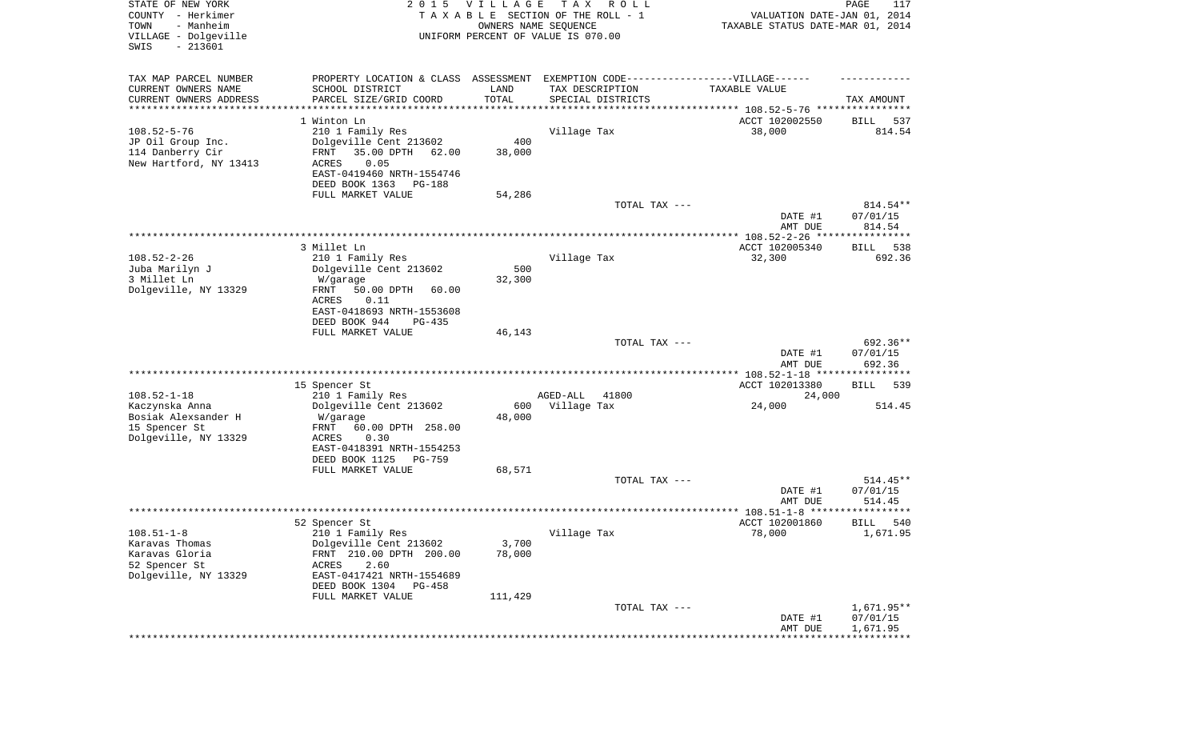| STATE OF NEW YORK<br>COUNTY - Herkimer<br>- Manheim<br>TOWN<br>VILLAGE - Dolgeville<br>SWIS<br>$-213601$ |                                                                                                     | 2015 VILLAGE<br>OWNERS NAME SEQUENCE | T A X<br>R O L L<br>TAXABLE SECTION OF THE ROLL - 1<br>UNIFORM PERCENT OF VALUE IS 070.00 | VALUATION DATE-JAN 01, 2014<br>TAXABLE STATUS DATE-MAR 01, 2014 | PAGE<br>117                    |
|----------------------------------------------------------------------------------------------------------|-----------------------------------------------------------------------------------------------------|--------------------------------------|-------------------------------------------------------------------------------------------|-----------------------------------------------------------------|--------------------------------|
| TAX MAP PARCEL NUMBER<br>CURRENT OWNERS NAME                                                             | PROPERTY LOCATION & CLASS ASSESSMENT EXEMPTION CODE----------------VILLAGE------<br>SCHOOL DISTRICT | LAND                                 | TAX DESCRIPTION                                                                           | TAXABLE VALUE                                                   |                                |
| CURRENT OWNERS ADDRESS<br>********************                                                           | PARCEL SIZE/GRID COORD                                                                              | TOTAL                                | SPECIAL DISTRICTS                                                                         | ******************************** 108.52-5-76 *****************  | TAX AMOUNT                     |
|                                                                                                          | 1 Winton Ln                                                                                         |                                      |                                                                                           | ACCT 102002550                                                  | BILL<br>537                    |
| $108.52 - 5 - 76$<br>JP Oil Group Inc.<br>114 Danberry Cir                                               | 210 1 Family Res<br>Dolgeville Cent 213602<br>FRNT<br>35.00 DPTH<br>62.00                           | 400<br>38,000                        | Village Tax                                                                               | 38,000                                                          | 814.54                         |
| New Hartford, NY 13413                                                                                   | ACRES<br>0.05<br>EAST-0419460 NRTH-1554746<br>DEED BOOK 1363<br>PG-188                              |                                      |                                                                                           |                                                                 |                                |
|                                                                                                          | FULL MARKET VALUE                                                                                   | 54,286                               |                                                                                           |                                                                 |                                |
|                                                                                                          |                                                                                                     |                                      | TOTAL TAX ---                                                                             | DATE #1<br>AMT DUE                                              | 814.54**<br>07/01/15<br>814.54 |
|                                                                                                          |                                                                                                     |                                      |                                                                                           |                                                                 |                                |
|                                                                                                          | 3 Millet Ln                                                                                         |                                      |                                                                                           | ACCT 102005340                                                  | 538<br>BILL                    |
| $108.52 - 2 - 26$                                                                                        | 210 1 Family Res                                                                                    |                                      | Village Tax                                                                               | 32,300                                                          | 692.36                         |
| Juba Marilyn J<br>3 Millet Ln                                                                            | Dolgeville Cent 213602<br>W/garage                                                                  | 500<br>32,300                        |                                                                                           |                                                                 |                                |
| Dolgeville, NY 13329                                                                                     | 50.00 DPTH<br>FRNT<br>60.00<br>ACRES<br>0.11                                                        |                                      |                                                                                           |                                                                 |                                |
|                                                                                                          | EAST-0418693 NRTH-1553608<br>DEED BOOK 944<br>PG-435                                                |                                      |                                                                                           |                                                                 |                                |
|                                                                                                          | FULL MARKET VALUE                                                                                   | 46,143                               |                                                                                           |                                                                 |                                |
|                                                                                                          |                                                                                                     |                                      | TOTAL TAX ---                                                                             | DATE #1<br>AMT DUE                                              | 692.36**<br>07/01/15<br>692.36 |
|                                                                                                          |                                                                                                     |                                      |                                                                                           | ************ 108.52-1-18 *****************                      |                                |
|                                                                                                          | 15 Spencer St                                                                                       |                                      |                                                                                           | ACCT 102013380                                                  | 539<br>BILL                    |
| $108.52 - 1 - 18$                                                                                        | 210 1 Family Res                                                                                    |                                      | AGED-ALL<br>41800                                                                         | 24,000                                                          |                                |
| Kaczynska Anna<br>Bosiak Alexsander H<br>15 Spencer St                                                   | Dolgeville Cent 213602<br>W/garage<br>FRNT<br>60.00 DPTH 258.00                                     | 600<br>48,000                        | Village Tax                                                                               | 24,000                                                          | 514.45                         |
| Dolgeville, NY 13329                                                                                     | ACRES<br>0.30<br>EAST-0418391 NRTH-1554253                                                          |                                      |                                                                                           |                                                                 |                                |
|                                                                                                          | DEED BOOK 1125<br>PG-759                                                                            |                                      |                                                                                           |                                                                 |                                |
|                                                                                                          | FULL MARKET VALUE                                                                                   | 68,571                               | TOTAL TAX ---                                                                             |                                                                 | $514.45**$                     |
|                                                                                                          |                                                                                                     |                                      |                                                                                           | DATE #1<br>AMT DUE                                              | 07/01/15<br>514.45             |
|                                                                                                          |                                                                                                     |                                      |                                                                                           |                                                                 | *****                          |
|                                                                                                          | 52 Spencer St<br>210 1 Family Res                                                                   |                                      |                                                                                           | ACCT 102001860<br>78,000                                        | 540<br>BILL<br>1,671.95        |
| $108.51 - 1 - 8$<br>Karavas Thomas<br>Karavas Gloria                                                     | Dolgeville Cent 213602<br>FRNT 210.00 DPTH 200.00                                                   | 3,700<br>78,000                      | Village Tax                                                                               |                                                                 |                                |
| 52 Spencer St<br>Dolgeville, NY 13329                                                                    | 2.60<br>ACRES<br>EAST-0417421 NRTH-1554689<br>DEED BOOK 1304<br>PG-458                              |                                      |                                                                                           |                                                                 |                                |
|                                                                                                          | FULL MARKET VALUE                                                                                   | 111,429                              |                                                                                           |                                                                 |                                |
|                                                                                                          |                                                                                                     |                                      | TOTAL TAX ---                                                                             | DATE #1                                                         | $1,671.95**$<br>07/01/15       |
|                                                                                                          |                                                                                                     |                                      |                                                                                           | AMT DUE                                                         | 1,671.95                       |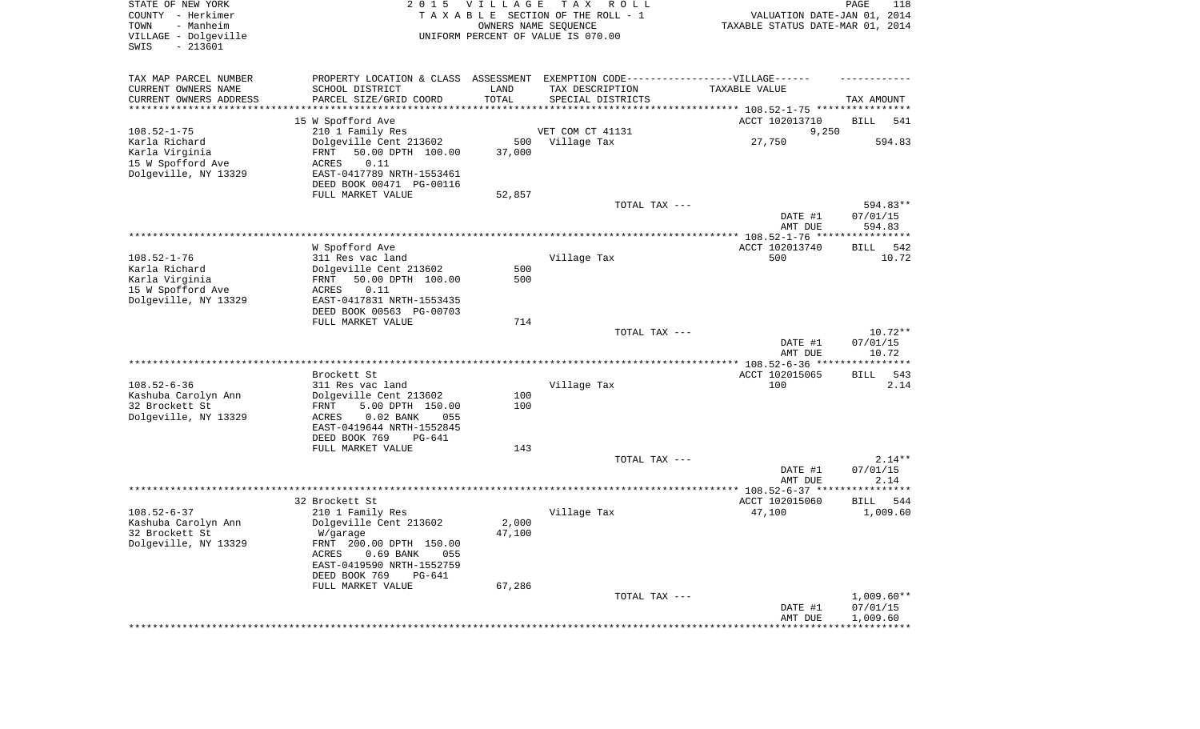| STATE OF NEW YORK<br>COUNTY - Herkimer<br>- Manheim<br>TOWN<br>VILLAGE - Dolgeville<br>SWIS<br>$-213601$ |                                                      | 2015 VILLAGE | T A X<br>R O L L<br>TAXABLE SECTION OF THE ROLL - 1<br>OWNERS NAME SEQUENCE<br>UNIFORM PERCENT OF VALUE IS 070.00 | VALUATION DATE-JAN 01, 2014<br>TAXABLE STATUS DATE-MAR 01, 2014 | PAGE<br>118           |
|----------------------------------------------------------------------------------------------------------|------------------------------------------------------|--------------|-------------------------------------------------------------------------------------------------------------------|-----------------------------------------------------------------|-----------------------|
| TAX MAP PARCEL NUMBER                                                                                    |                                                      |              | PROPERTY LOCATION & CLASS ASSESSMENT EXEMPTION CODE----------------VILLAGE------                                  |                                                                 |                       |
| CURRENT OWNERS NAME                                                                                      | SCHOOL DISTRICT                                      | LAND         | TAX DESCRIPTION                                                                                                   | TAXABLE VALUE                                                   |                       |
| CURRENT OWNERS ADDRESS<br>*********************                                                          | PARCEL SIZE/GRID COORD                               | TOTAL        | SPECIAL DISTRICTS                                                                                                 |                                                                 | TAX AMOUNT            |
|                                                                                                          | 15 W Spofford Ave                                    |              |                                                                                                                   | ACCT 102013710                                                  | BILL<br>541           |
| $108.52 - 1 - 75$                                                                                        | 210 1 Family Res                                     |              | VET COM CT 41131                                                                                                  | 9,250                                                           |                       |
| Karla Richard                                                                                            | Dolgeville Cent 213602                               | 500          | Village Tax                                                                                                       | 27,750                                                          | 594.83                |
| Karla Virginia                                                                                           | FRNT<br>50.00 DPTH 100.00                            | 37,000       |                                                                                                                   |                                                                 |                       |
| 15 W Spofford Ave                                                                                        | ACRES<br>0.11                                        |              |                                                                                                                   |                                                                 |                       |
| Dolgeville, NY 13329                                                                                     | EAST-0417789 NRTH-1553461                            |              |                                                                                                                   |                                                                 |                       |
|                                                                                                          | DEED BOOK 00471 PG-00116                             |              |                                                                                                                   |                                                                 |                       |
|                                                                                                          | FULL MARKET VALUE                                    | 52,857       |                                                                                                                   |                                                                 |                       |
|                                                                                                          |                                                      |              | TOTAL TAX ---                                                                                                     |                                                                 | 594.83**              |
|                                                                                                          |                                                      |              |                                                                                                                   | DATE #1                                                         | 07/01/15              |
|                                                                                                          |                                                      |              |                                                                                                                   | AMT DUE                                                         | 594.83                |
|                                                                                                          | W Spofford Ave                                       |              |                                                                                                                   | ACCT 102013740                                                  | <b>BILL</b><br>542    |
| $108.52 - 1 - 76$                                                                                        | 311 Res vac land                                     |              | Village Tax                                                                                                       | 500                                                             | 10.72                 |
| Karla Richard                                                                                            | Dolgeville Cent 213602                               | 500          |                                                                                                                   |                                                                 |                       |
| Karla Virginia                                                                                           | 50.00 DPTH 100.00<br>FRNT                            | 500          |                                                                                                                   |                                                                 |                       |
| 15 W Spofford Ave                                                                                        | 0.11<br>ACRES                                        |              |                                                                                                                   |                                                                 |                       |
| Dolgeville, NY 13329                                                                                     | EAST-0417831 NRTH-1553435                            |              |                                                                                                                   |                                                                 |                       |
|                                                                                                          | DEED BOOK 00563 PG-00703                             |              |                                                                                                                   |                                                                 |                       |
|                                                                                                          | FULL MARKET VALUE                                    | 714          |                                                                                                                   |                                                                 |                       |
|                                                                                                          |                                                      |              | TOTAL TAX ---                                                                                                     |                                                                 | $10.72**$<br>07/01/15 |
|                                                                                                          |                                                      |              |                                                                                                                   | DATE #1<br>AMT DUE                                              | 10.72                 |
|                                                                                                          |                                                      |              |                                                                                                                   |                                                                 |                       |
|                                                                                                          | Brockett St                                          |              |                                                                                                                   | ACCT 102015065                                                  | <b>BILL</b><br>543    |
| $108.52 - 6 - 36$                                                                                        | 311 Res vac land                                     |              | Village Tax                                                                                                       | 100                                                             | 2.14                  |
| Kashuba Carolyn Ann                                                                                      | Dolgeville Cent 213602                               | 100          |                                                                                                                   |                                                                 |                       |
| 32 Brockett St                                                                                           | 5.00 DPTH 150.00<br>FRNT                             | 100          |                                                                                                                   |                                                                 |                       |
| Dolgeville, NY 13329                                                                                     | $0.02$ BANK<br>ACRES<br>055                          |              |                                                                                                                   |                                                                 |                       |
|                                                                                                          | EAST-0419644 NRTH-1552845<br>DEED BOOK 769<br>PG-641 |              |                                                                                                                   |                                                                 |                       |
|                                                                                                          | FULL MARKET VALUE                                    | 143          |                                                                                                                   |                                                                 |                       |
|                                                                                                          |                                                      |              | TOTAL TAX ---                                                                                                     |                                                                 | $2.14**$              |
|                                                                                                          |                                                      |              |                                                                                                                   | DATE #1                                                         | 07/01/15              |
|                                                                                                          |                                                      |              |                                                                                                                   | AMT DUE                                                         | 2.14                  |
|                                                                                                          |                                                      |              |                                                                                                                   |                                                                 |                       |
|                                                                                                          | 32 Brockett St                                       |              |                                                                                                                   | ACCT 102015060                                                  | 544<br>BILL           |
| $108.52 - 6 - 37$                                                                                        | 210 1 Family Res                                     |              | Village Tax                                                                                                       | 47,100                                                          | 1,009.60              |
| Kashuba Carolyn Ann                                                                                      | Dolgeville Cent 213602                               | 2,000        |                                                                                                                   |                                                                 |                       |
| 32 Brockett St<br>Dolgeville, NY 13329                                                                   | W/garage<br>FRNT 200.00 DPTH 150.00                  | 47,100       |                                                                                                                   |                                                                 |                       |
|                                                                                                          | $0.69$ BANK<br>ACRES<br>055                          |              |                                                                                                                   |                                                                 |                       |
|                                                                                                          | EAST-0419590 NRTH-1552759                            |              |                                                                                                                   |                                                                 |                       |
|                                                                                                          | DEED BOOK 769<br>$PG-641$                            |              |                                                                                                                   |                                                                 |                       |
|                                                                                                          | FULL MARKET VALUE                                    | 67,286       |                                                                                                                   |                                                                 |                       |
|                                                                                                          |                                                      |              | TOTAL TAX ---                                                                                                     |                                                                 | $1,009.60**$          |
|                                                                                                          |                                                      |              |                                                                                                                   | DATE #1                                                         | 07/01/15              |
|                                                                                                          |                                                      |              |                                                                                                                   | AMT DUE<br>**********************************                   | 1,009.60              |
|                                                                                                          |                                                      |              |                                                                                                                   |                                                                 |                       |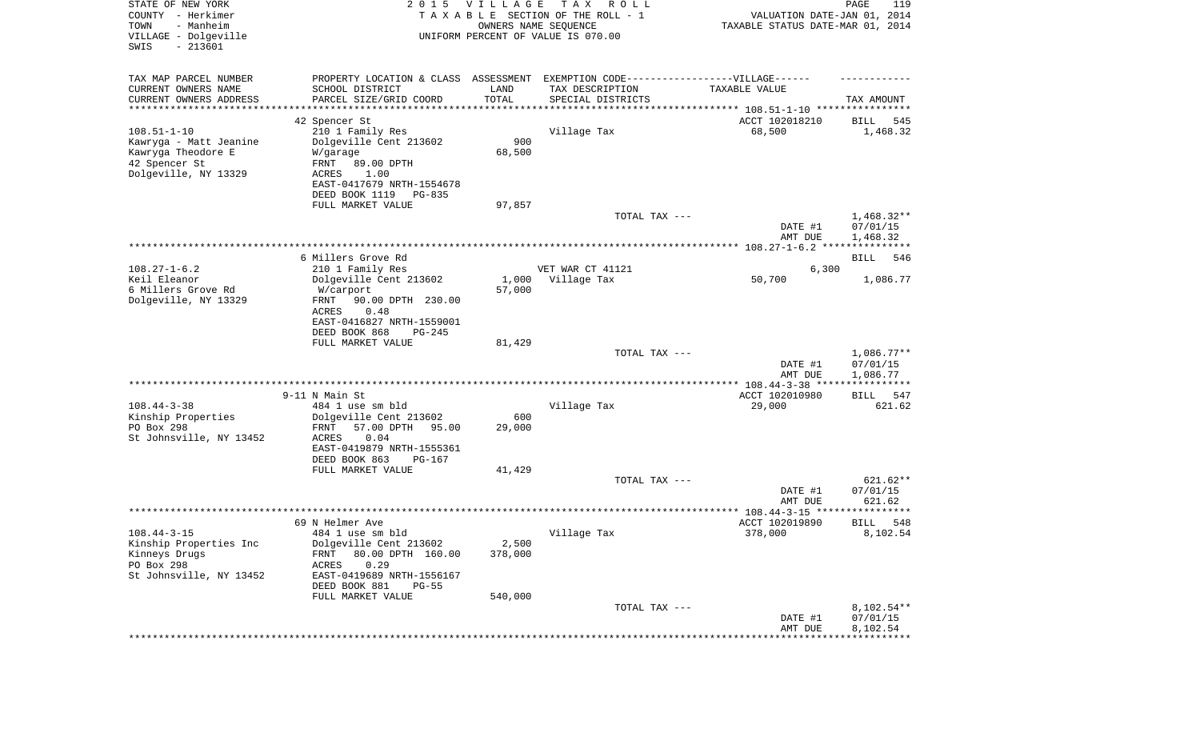| TAX MAP PARCEL NUMBER<br>PROPERTY LOCATION & CLASS ASSESSMENT EXEMPTION CODE-----------------VILLAGE------<br>CURRENT OWNERS NAME<br>SCHOOL DISTRICT<br>LAND<br>TAX DESCRIPTION<br>TAXABLE VALUE<br>TOTAL<br>CURRENT OWNERS ADDRESS<br>PARCEL SIZE/GRID COORD<br>SPECIAL DISTRICTS<br>TAX AMOUNT<br>*********************<br>***********<br>********************************* 108.51-1-10 ****************<br>ACCT 102018210<br>42 Spencer St<br>545<br>BILL<br>$108.51 - 1 - 10$<br>210 1 Family Res<br>Village Tax<br>68,500<br>1,468.32<br>Kawryga - Matt Jeanine<br>Dolgeville Cent 213602<br>900<br>Kawryga Theodore E<br>68,500<br>W/garage<br>42 Spencer St<br>FRNT<br>89.00 DPTH<br>Dolgeville, NY 13329<br>1.00<br>ACRES<br>EAST-0417679 NRTH-1554678<br>DEED BOOK 1119<br>PG-835<br>FULL MARKET VALUE<br>97,857<br>$1,468.32**$<br>TOTAL TAX ---<br>07/01/15<br>DATE #1<br>1,468.32<br>AMT DUE<br>6 Millers Grove Rd<br>BILL<br>546<br>$108.27 - 1 - 6.2$<br>210 1 Family Res<br>VET WAR CT 41121<br>6,300<br>Keil Eleanor<br>Dolgeville Cent 213602<br>1,000<br>Village Tax<br>50,700<br>1,086.77<br>6 Millers Grove Rd<br>57,000<br>W/carport<br>Dolgeville, NY 13329<br>FRNT<br>90.00 DPTH 230.00<br>ACRES<br>0.48<br>EAST-0416827 NRTH-1559001<br>DEED BOOK 868<br>$PG-245$<br>FULL MARKET VALUE<br>81,429<br>$1,086.77**$<br>TOTAL TAX ---<br>DATE #1<br>07/01/15<br>1,086.77<br>AMT DUE<br>ACCT 102010980<br>9-11 N Main St<br>547<br>BILL<br>$108.44 - 3 - 38$<br>484 1 use sm bld<br>Village Tax<br>29,000<br>621.62<br>Kinship Properties<br>Dolgeville Cent 213602<br>600<br>PO Box 298<br>FRNT<br>57.00 DPTH<br>29,000<br>95.00<br>St Johnsville, NY 13452<br>ACRES<br>0.04<br>EAST-0419879 NRTH-1555361<br>DEED BOOK 863<br>PG-167<br>FULL MARKET VALUE<br>41,429<br>621.62**<br>TOTAL TAX ---<br>07/01/15<br>DATE #1<br>621.62<br>AMT DUE<br>* * * * * *<br>69 N Helmer Ave<br>ACCT 102019890<br>548<br>BILL<br>8,102.54<br>$108.44 - 3 - 15$<br>484 1 use sm bld<br>378,000<br>Village Tax<br>Kinship Properties Inc<br>Dolgeville Cent 213602<br>2,500<br>80.00 DPTH 160.00<br>378,000<br>Kinneys Drugs<br>FRNT<br>PO Box 298<br>0.29<br>ACRES<br>St Johnsville, NY 13452<br>EAST-0419689 NRTH-1556167<br>DEED BOOK 881<br>$PG-55$<br>FULL MARKET VALUE<br>540,000<br>TOTAL TAX ---<br>$8,102.54**$<br>07/01/15<br>DATE #1<br>8,102.54<br>AMT DUE | STATE OF NEW YORK<br>COUNTY - Herkimer<br>TOWN<br>- Manheim<br>VILLAGE - Dolgeville<br>SWIS<br>$-213601$ | 2 0 1 5 | VILLAGE<br>OWNERS NAME SEQUENCE | T A X<br>R O L L<br>TAXABLE SECTION OF THE ROLL - 1<br>UNIFORM PERCENT OF VALUE IS 070.00 | VALUATION DATE-JAN 01, 2014<br>TAXABLE STATUS DATE-MAR 01, 2014 | PAGE<br>119 |
|----------------------------------------------------------------------------------------------------------------------------------------------------------------------------------------------------------------------------------------------------------------------------------------------------------------------------------------------------------------------------------------------------------------------------------------------------------------------------------------------------------------------------------------------------------------------------------------------------------------------------------------------------------------------------------------------------------------------------------------------------------------------------------------------------------------------------------------------------------------------------------------------------------------------------------------------------------------------------------------------------------------------------------------------------------------------------------------------------------------------------------------------------------------------------------------------------------------------------------------------------------------------------------------------------------------------------------------------------------------------------------------------------------------------------------------------------------------------------------------------------------------------------------------------------------------------------------------------------------------------------------------------------------------------------------------------------------------------------------------------------------------------------------------------------------------------------------------------------------------------------------------------------------------------------------------------------------------------------------------------------------------------------------------------------------------------------------------------------------------------------------------------------------------------------------------------------------------------------------------------------------------------------------------------------------------------------------------------------------------------------|----------------------------------------------------------------------------------------------------------|---------|---------------------------------|-------------------------------------------------------------------------------------------|-----------------------------------------------------------------|-------------|
|                                                                                                                                                                                                                                                                                                                                                                                                                                                                                                                                                                                                                                                                                                                                                                                                                                                                                                                                                                                                                                                                                                                                                                                                                                                                                                                                                                                                                                                                                                                                                                                                                                                                                                                                                                                                                                                                                                                                                                                                                                                                                                                                                                                                                                                                                                                                                                            |                                                                                                          |         |                                 |                                                                                           |                                                                 |             |
|                                                                                                                                                                                                                                                                                                                                                                                                                                                                                                                                                                                                                                                                                                                                                                                                                                                                                                                                                                                                                                                                                                                                                                                                                                                                                                                                                                                                                                                                                                                                                                                                                                                                                                                                                                                                                                                                                                                                                                                                                                                                                                                                                                                                                                                                                                                                                                            |                                                                                                          |         |                                 |                                                                                           |                                                                 |             |
|                                                                                                                                                                                                                                                                                                                                                                                                                                                                                                                                                                                                                                                                                                                                                                                                                                                                                                                                                                                                                                                                                                                                                                                                                                                                                                                                                                                                                                                                                                                                                                                                                                                                                                                                                                                                                                                                                                                                                                                                                                                                                                                                                                                                                                                                                                                                                                            |                                                                                                          |         |                                 |                                                                                           |                                                                 |             |
|                                                                                                                                                                                                                                                                                                                                                                                                                                                                                                                                                                                                                                                                                                                                                                                                                                                                                                                                                                                                                                                                                                                                                                                                                                                                                                                                                                                                                                                                                                                                                                                                                                                                                                                                                                                                                                                                                                                                                                                                                                                                                                                                                                                                                                                                                                                                                                            |                                                                                                          |         |                                 |                                                                                           |                                                                 |             |
|                                                                                                                                                                                                                                                                                                                                                                                                                                                                                                                                                                                                                                                                                                                                                                                                                                                                                                                                                                                                                                                                                                                                                                                                                                                                                                                                                                                                                                                                                                                                                                                                                                                                                                                                                                                                                                                                                                                                                                                                                                                                                                                                                                                                                                                                                                                                                                            |                                                                                                          |         |                                 |                                                                                           |                                                                 |             |
|                                                                                                                                                                                                                                                                                                                                                                                                                                                                                                                                                                                                                                                                                                                                                                                                                                                                                                                                                                                                                                                                                                                                                                                                                                                                                                                                                                                                                                                                                                                                                                                                                                                                                                                                                                                                                                                                                                                                                                                                                                                                                                                                                                                                                                                                                                                                                                            |                                                                                                          |         |                                 |                                                                                           |                                                                 |             |
|                                                                                                                                                                                                                                                                                                                                                                                                                                                                                                                                                                                                                                                                                                                                                                                                                                                                                                                                                                                                                                                                                                                                                                                                                                                                                                                                                                                                                                                                                                                                                                                                                                                                                                                                                                                                                                                                                                                                                                                                                                                                                                                                                                                                                                                                                                                                                                            |                                                                                                          |         |                                 |                                                                                           |                                                                 |             |
|                                                                                                                                                                                                                                                                                                                                                                                                                                                                                                                                                                                                                                                                                                                                                                                                                                                                                                                                                                                                                                                                                                                                                                                                                                                                                                                                                                                                                                                                                                                                                                                                                                                                                                                                                                                                                                                                                                                                                                                                                                                                                                                                                                                                                                                                                                                                                                            |                                                                                                          |         |                                 |                                                                                           |                                                                 |             |
|                                                                                                                                                                                                                                                                                                                                                                                                                                                                                                                                                                                                                                                                                                                                                                                                                                                                                                                                                                                                                                                                                                                                                                                                                                                                                                                                                                                                                                                                                                                                                                                                                                                                                                                                                                                                                                                                                                                                                                                                                                                                                                                                                                                                                                                                                                                                                                            |                                                                                                          |         |                                 |                                                                                           |                                                                 |             |
|                                                                                                                                                                                                                                                                                                                                                                                                                                                                                                                                                                                                                                                                                                                                                                                                                                                                                                                                                                                                                                                                                                                                                                                                                                                                                                                                                                                                                                                                                                                                                                                                                                                                                                                                                                                                                                                                                                                                                                                                                                                                                                                                                                                                                                                                                                                                                                            |                                                                                                          |         |                                 |                                                                                           |                                                                 |             |
|                                                                                                                                                                                                                                                                                                                                                                                                                                                                                                                                                                                                                                                                                                                                                                                                                                                                                                                                                                                                                                                                                                                                                                                                                                                                                                                                                                                                                                                                                                                                                                                                                                                                                                                                                                                                                                                                                                                                                                                                                                                                                                                                                                                                                                                                                                                                                                            |                                                                                                          |         |                                 |                                                                                           |                                                                 |             |
|                                                                                                                                                                                                                                                                                                                                                                                                                                                                                                                                                                                                                                                                                                                                                                                                                                                                                                                                                                                                                                                                                                                                                                                                                                                                                                                                                                                                                                                                                                                                                                                                                                                                                                                                                                                                                                                                                                                                                                                                                                                                                                                                                                                                                                                                                                                                                                            |                                                                                                          |         |                                 |                                                                                           |                                                                 |             |
|                                                                                                                                                                                                                                                                                                                                                                                                                                                                                                                                                                                                                                                                                                                                                                                                                                                                                                                                                                                                                                                                                                                                                                                                                                                                                                                                                                                                                                                                                                                                                                                                                                                                                                                                                                                                                                                                                                                                                                                                                                                                                                                                                                                                                                                                                                                                                                            |                                                                                                          |         |                                 |                                                                                           |                                                                 |             |
|                                                                                                                                                                                                                                                                                                                                                                                                                                                                                                                                                                                                                                                                                                                                                                                                                                                                                                                                                                                                                                                                                                                                                                                                                                                                                                                                                                                                                                                                                                                                                                                                                                                                                                                                                                                                                                                                                                                                                                                                                                                                                                                                                                                                                                                                                                                                                                            |                                                                                                          |         |                                 |                                                                                           |                                                                 |             |
|                                                                                                                                                                                                                                                                                                                                                                                                                                                                                                                                                                                                                                                                                                                                                                                                                                                                                                                                                                                                                                                                                                                                                                                                                                                                                                                                                                                                                                                                                                                                                                                                                                                                                                                                                                                                                                                                                                                                                                                                                                                                                                                                                                                                                                                                                                                                                                            |                                                                                                          |         |                                 |                                                                                           |                                                                 |             |
|                                                                                                                                                                                                                                                                                                                                                                                                                                                                                                                                                                                                                                                                                                                                                                                                                                                                                                                                                                                                                                                                                                                                                                                                                                                                                                                                                                                                                                                                                                                                                                                                                                                                                                                                                                                                                                                                                                                                                                                                                                                                                                                                                                                                                                                                                                                                                                            |                                                                                                          |         |                                 |                                                                                           |                                                                 |             |
|                                                                                                                                                                                                                                                                                                                                                                                                                                                                                                                                                                                                                                                                                                                                                                                                                                                                                                                                                                                                                                                                                                                                                                                                                                                                                                                                                                                                                                                                                                                                                                                                                                                                                                                                                                                                                                                                                                                                                                                                                                                                                                                                                                                                                                                                                                                                                                            |                                                                                                          |         |                                 |                                                                                           |                                                                 |             |
|                                                                                                                                                                                                                                                                                                                                                                                                                                                                                                                                                                                                                                                                                                                                                                                                                                                                                                                                                                                                                                                                                                                                                                                                                                                                                                                                                                                                                                                                                                                                                                                                                                                                                                                                                                                                                                                                                                                                                                                                                                                                                                                                                                                                                                                                                                                                                                            |                                                                                                          |         |                                 |                                                                                           |                                                                 |             |
|                                                                                                                                                                                                                                                                                                                                                                                                                                                                                                                                                                                                                                                                                                                                                                                                                                                                                                                                                                                                                                                                                                                                                                                                                                                                                                                                                                                                                                                                                                                                                                                                                                                                                                                                                                                                                                                                                                                                                                                                                                                                                                                                                                                                                                                                                                                                                                            |                                                                                                          |         |                                 |                                                                                           |                                                                 |             |
|                                                                                                                                                                                                                                                                                                                                                                                                                                                                                                                                                                                                                                                                                                                                                                                                                                                                                                                                                                                                                                                                                                                                                                                                                                                                                                                                                                                                                                                                                                                                                                                                                                                                                                                                                                                                                                                                                                                                                                                                                                                                                                                                                                                                                                                                                                                                                                            |                                                                                                          |         |                                 |                                                                                           |                                                                 |             |
|                                                                                                                                                                                                                                                                                                                                                                                                                                                                                                                                                                                                                                                                                                                                                                                                                                                                                                                                                                                                                                                                                                                                                                                                                                                                                                                                                                                                                                                                                                                                                                                                                                                                                                                                                                                                                                                                                                                                                                                                                                                                                                                                                                                                                                                                                                                                                                            |                                                                                                          |         |                                 |                                                                                           |                                                                 |             |
|                                                                                                                                                                                                                                                                                                                                                                                                                                                                                                                                                                                                                                                                                                                                                                                                                                                                                                                                                                                                                                                                                                                                                                                                                                                                                                                                                                                                                                                                                                                                                                                                                                                                                                                                                                                                                                                                                                                                                                                                                                                                                                                                                                                                                                                                                                                                                                            |                                                                                                          |         |                                 |                                                                                           |                                                                 |             |
|                                                                                                                                                                                                                                                                                                                                                                                                                                                                                                                                                                                                                                                                                                                                                                                                                                                                                                                                                                                                                                                                                                                                                                                                                                                                                                                                                                                                                                                                                                                                                                                                                                                                                                                                                                                                                                                                                                                                                                                                                                                                                                                                                                                                                                                                                                                                                                            |                                                                                                          |         |                                 |                                                                                           |                                                                 |             |
|                                                                                                                                                                                                                                                                                                                                                                                                                                                                                                                                                                                                                                                                                                                                                                                                                                                                                                                                                                                                                                                                                                                                                                                                                                                                                                                                                                                                                                                                                                                                                                                                                                                                                                                                                                                                                                                                                                                                                                                                                                                                                                                                                                                                                                                                                                                                                                            |                                                                                                          |         |                                 |                                                                                           |                                                                 |             |
|                                                                                                                                                                                                                                                                                                                                                                                                                                                                                                                                                                                                                                                                                                                                                                                                                                                                                                                                                                                                                                                                                                                                                                                                                                                                                                                                                                                                                                                                                                                                                                                                                                                                                                                                                                                                                                                                                                                                                                                                                                                                                                                                                                                                                                                                                                                                                                            |                                                                                                          |         |                                 |                                                                                           |                                                                 |             |
|                                                                                                                                                                                                                                                                                                                                                                                                                                                                                                                                                                                                                                                                                                                                                                                                                                                                                                                                                                                                                                                                                                                                                                                                                                                                                                                                                                                                                                                                                                                                                                                                                                                                                                                                                                                                                                                                                                                                                                                                                                                                                                                                                                                                                                                                                                                                                                            |                                                                                                          |         |                                 |                                                                                           |                                                                 |             |
|                                                                                                                                                                                                                                                                                                                                                                                                                                                                                                                                                                                                                                                                                                                                                                                                                                                                                                                                                                                                                                                                                                                                                                                                                                                                                                                                                                                                                                                                                                                                                                                                                                                                                                                                                                                                                                                                                                                                                                                                                                                                                                                                                                                                                                                                                                                                                                            |                                                                                                          |         |                                 |                                                                                           |                                                                 |             |
|                                                                                                                                                                                                                                                                                                                                                                                                                                                                                                                                                                                                                                                                                                                                                                                                                                                                                                                                                                                                                                                                                                                                                                                                                                                                                                                                                                                                                                                                                                                                                                                                                                                                                                                                                                                                                                                                                                                                                                                                                                                                                                                                                                                                                                                                                                                                                                            |                                                                                                          |         |                                 |                                                                                           |                                                                 |             |
|                                                                                                                                                                                                                                                                                                                                                                                                                                                                                                                                                                                                                                                                                                                                                                                                                                                                                                                                                                                                                                                                                                                                                                                                                                                                                                                                                                                                                                                                                                                                                                                                                                                                                                                                                                                                                                                                                                                                                                                                                                                                                                                                                                                                                                                                                                                                                                            |                                                                                                          |         |                                 |                                                                                           |                                                                 |             |
|                                                                                                                                                                                                                                                                                                                                                                                                                                                                                                                                                                                                                                                                                                                                                                                                                                                                                                                                                                                                                                                                                                                                                                                                                                                                                                                                                                                                                                                                                                                                                                                                                                                                                                                                                                                                                                                                                                                                                                                                                                                                                                                                                                                                                                                                                                                                                                            |                                                                                                          |         |                                 |                                                                                           |                                                                 |             |
|                                                                                                                                                                                                                                                                                                                                                                                                                                                                                                                                                                                                                                                                                                                                                                                                                                                                                                                                                                                                                                                                                                                                                                                                                                                                                                                                                                                                                                                                                                                                                                                                                                                                                                                                                                                                                                                                                                                                                                                                                                                                                                                                                                                                                                                                                                                                                                            |                                                                                                          |         |                                 |                                                                                           |                                                                 |             |
|                                                                                                                                                                                                                                                                                                                                                                                                                                                                                                                                                                                                                                                                                                                                                                                                                                                                                                                                                                                                                                                                                                                                                                                                                                                                                                                                                                                                                                                                                                                                                                                                                                                                                                                                                                                                                                                                                                                                                                                                                                                                                                                                                                                                                                                                                                                                                                            |                                                                                                          |         |                                 |                                                                                           |                                                                 |             |
|                                                                                                                                                                                                                                                                                                                                                                                                                                                                                                                                                                                                                                                                                                                                                                                                                                                                                                                                                                                                                                                                                                                                                                                                                                                                                                                                                                                                                                                                                                                                                                                                                                                                                                                                                                                                                                                                                                                                                                                                                                                                                                                                                                                                                                                                                                                                                                            |                                                                                                          |         |                                 |                                                                                           |                                                                 |             |
|                                                                                                                                                                                                                                                                                                                                                                                                                                                                                                                                                                                                                                                                                                                                                                                                                                                                                                                                                                                                                                                                                                                                                                                                                                                                                                                                                                                                                                                                                                                                                                                                                                                                                                                                                                                                                                                                                                                                                                                                                                                                                                                                                                                                                                                                                                                                                                            |                                                                                                          |         |                                 |                                                                                           |                                                                 |             |
|                                                                                                                                                                                                                                                                                                                                                                                                                                                                                                                                                                                                                                                                                                                                                                                                                                                                                                                                                                                                                                                                                                                                                                                                                                                                                                                                                                                                                                                                                                                                                                                                                                                                                                                                                                                                                                                                                                                                                                                                                                                                                                                                                                                                                                                                                                                                                                            |                                                                                                          |         |                                 |                                                                                           |                                                                 |             |
|                                                                                                                                                                                                                                                                                                                                                                                                                                                                                                                                                                                                                                                                                                                                                                                                                                                                                                                                                                                                                                                                                                                                                                                                                                                                                                                                                                                                                                                                                                                                                                                                                                                                                                                                                                                                                                                                                                                                                                                                                                                                                                                                                                                                                                                                                                                                                                            |                                                                                                          |         |                                 |                                                                                           |                                                                 |             |
|                                                                                                                                                                                                                                                                                                                                                                                                                                                                                                                                                                                                                                                                                                                                                                                                                                                                                                                                                                                                                                                                                                                                                                                                                                                                                                                                                                                                                                                                                                                                                                                                                                                                                                                                                                                                                                                                                                                                                                                                                                                                                                                                                                                                                                                                                                                                                                            |                                                                                                          |         |                                 |                                                                                           |                                                                 |             |
|                                                                                                                                                                                                                                                                                                                                                                                                                                                                                                                                                                                                                                                                                                                                                                                                                                                                                                                                                                                                                                                                                                                                                                                                                                                                                                                                                                                                                                                                                                                                                                                                                                                                                                                                                                                                                                                                                                                                                                                                                                                                                                                                                                                                                                                                                                                                                                            |                                                                                                          |         |                                 |                                                                                           |                                                                 |             |
|                                                                                                                                                                                                                                                                                                                                                                                                                                                                                                                                                                                                                                                                                                                                                                                                                                                                                                                                                                                                                                                                                                                                                                                                                                                                                                                                                                                                                                                                                                                                                                                                                                                                                                                                                                                                                                                                                                                                                                                                                                                                                                                                                                                                                                                                                                                                                                            |                                                                                                          |         |                                 |                                                                                           |                                                                 |             |
|                                                                                                                                                                                                                                                                                                                                                                                                                                                                                                                                                                                                                                                                                                                                                                                                                                                                                                                                                                                                                                                                                                                                                                                                                                                                                                                                                                                                                                                                                                                                                                                                                                                                                                                                                                                                                                                                                                                                                                                                                                                                                                                                                                                                                                                                                                                                                                            |                                                                                                          |         |                                 |                                                                                           |                                                                 |             |
|                                                                                                                                                                                                                                                                                                                                                                                                                                                                                                                                                                                                                                                                                                                                                                                                                                                                                                                                                                                                                                                                                                                                                                                                                                                                                                                                                                                                                                                                                                                                                                                                                                                                                                                                                                                                                                                                                                                                                                                                                                                                                                                                                                                                                                                                                                                                                                            |                                                                                                          |         |                                 |                                                                                           |                                                                 |             |
|                                                                                                                                                                                                                                                                                                                                                                                                                                                                                                                                                                                                                                                                                                                                                                                                                                                                                                                                                                                                                                                                                                                                                                                                                                                                                                                                                                                                                                                                                                                                                                                                                                                                                                                                                                                                                                                                                                                                                                                                                                                                                                                                                                                                                                                                                                                                                                            |                                                                                                          |         |                                 |                                                                                           |                                                                 |             |
|                                                                                                                                                                                                                                                                                                                                                                                                                                                                                                                                                                                                                                                                                                                                                                                                                                                                                                                                                                                                                                                                                                                                                                                                                                                                                                                                                                                                                                                                                                                                                                                                                                                                                                                                                                                                                                                                                                                                                                                                                                                                                                                                                                                                                                                                                                                                                                            |                                                                                                          |         |                                 |                                                                                           |                                                                 |             |
|                                                                                                                                                                                                                                                                                                                                                                                                                                                                                                                                                                                                                                                                                                                                                                                                                                                                                                                                                                                                                                                                                                                                                                                                                                                                                                                                                                                                                                                                                                                                                                                                                                                                                                                                                                                                                                                                                                                                                                                                                                                                                                                                                                                                                                                                                                                                                                            |                                                                                                          |         |                                 |                                                                                           |                                                                 |             |
|                                                                                                                                                                                                                                                                                                                                                                                                                                                                                                                                                                                                                                                                                                                                                                                                                                                                                                                                                                                                                                                                                                                                                                                                                                                                                                                                                                                                                                                                                                                                                                                                                                                                                                                                                                                                                                                                                                                                                                                                                                                                                                                                                                                                                                                                                                                                                                            |                                                                                                          |         |                                 |                                                                                           |                                                                 |             |
|                                                                                                                                                                                                                                                                                                                                                                                                                                                                                                                                                                                                                                                                                                                                                                                                                                                                                                                                                                                                                                                                                                                                                                                                                                                                                                                                                                                                                                                                                                                                                                                                                                                                                                                                                                                                                                                                                                                                                                                                                                                                                                                                                                                                                                                                                                                                                                            |                                                                                                          |         |                                 |                                                                                           |                                                                 |             |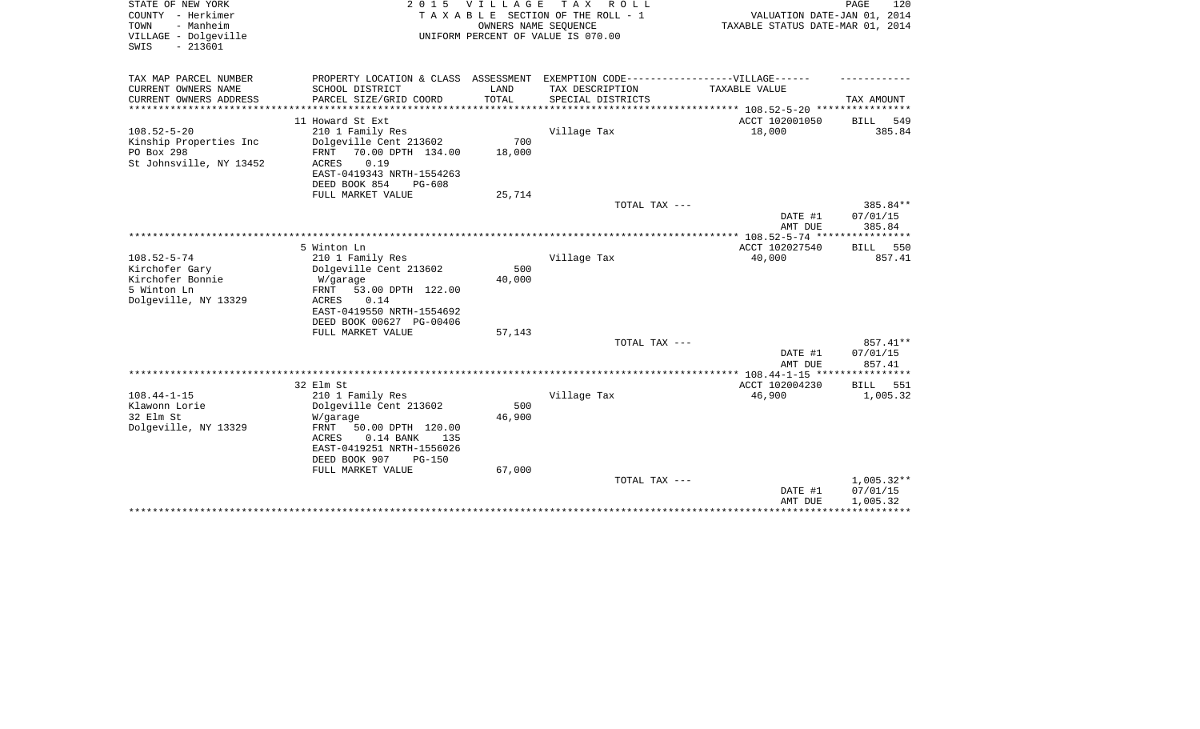| STATE OF NEW YORK<br>COUNTY - Herkimer<br>- Manheim<br>TOWN<br>VILLAGE - Dolgeville<br>$-213601$<br>SWIS |                                                                                                                                | 2015 VILLAGE<br>OWNERS NAME SEOUENCE | T A X<br>R O L L<br>TAXABLE SECTION OF THE ROLL - 1<br>UNIFORM PERCENT OF VALUE IS 070.00 | VALUATION DATE-JAN 01, 2014<br>TAXABLE STATUS DATE-MAR 01, 2014 | PAGE<br>120                          |
|----------------------------------------------------------------------------------------------------------|--------------------------------------------------------------------------------------------------------------------------------|--------------------------------------|-------------------------------------------------------------------------------------------|-----------------------------------------------------------------|--------------------------------------|
| TAX MAP PARCEL NUMBER                                                                                    | PROPERTY LOCATION & CLASS ASSESSMENT EXEMPTION CODE----------------VILLAGE------                                               |                                      |                                                                                           |                                                                 |                                      |
| CURRENT OWNERS NAME<br>CURRENT OWNERS ADDRESS                                                            | SCHOOL DISTRICT<br>PARCEL SIZE/GRID COORD                                                                                      | LAND<br>TOTAL                        | TAX DESCRIPTION<br>SPECIAL DISTRICTS                                                      | TAXABLE VALUE                                                   | TAX AMOUNT                           |
|                                                                                                          | 11 Howard St Ext                                                                                                               |                                      |                                                                                           | ACCT 102001050                                                  | 549<br>BILL                          |
| $108.52 - 5 - 20$<br>Kinship Properties Inc<br>PO Box 298                                                | 210 1 Family Res<br>Dolgeville Cent 213602<br>70.00 DPTH 134.00<br>FRNT                                                        | 700<br>18,000                        | Village Tax                                                                               | 18,000                                                          | 385.84                               |
| St Johnsville, NY 13452                                                                                  | 0.19<br><b>ACRES</b><br>EAST-0419343 NRTH-1554263<br>DEED BOOK 854<br>$PG-608$                                                 |                                      |                                                                                           |                                                                 |                                      |
|                                                                                                          | FULL MARKET VALUE                                                                                                              | 25,714                               |                                                                                           |                                                                 |                                      |
|                                                                                                          |                                                                                                                                |                                      | TOTAL TAX ---                                                                             | DATE #1<br>AMT DUE                                              | 385.84**<br>07/01/15<br>385.84       |
|                                                                                                          |                                                                                                                                |                                      |                                                                                           |                                                                 | *********                            |
| $108.52 - 5 - 74$<br>Kirchofer Gary                                                                      | 5 Winton Ln<br>210 1 Family Res<br>Dolgeville Cent 213602                                                                      | 500                                  | Village Tax                                                                               | ACCT 102027540<br>40,000                                        | 550<br>BILL<br>857.41                |
| Kirchofer Bonnie<br>5 Winton Ln<br>Dolgeville, NY 13329                                                  | W/garage<br>FRNT<br>53.00 DPTH 122.00<br>0.14<br>ACRES<br>EAST-0419550 NRTH-1554692<br>DEED BOOK 00627 PG-00406                | 40,000                               |                                                                                           |                                                                 |                                      |
|                                                                                                          | FULL MARKET VALUE                                                                                                              | 57,143                               |                                                                                           |                                                                 |                                      |
|                                                                                                          |                                                                                                                                |                                      | TOTAL TAX ---                                                                             |                                                                 | 857.41**                             |
|                                                                                                          |                                                                                                                                |                                      |                                                                                           | DATE #1<br>AMT DUE                                              | 07/01/15<br>857.41                   |
|                                                                                                          |                                                                                                                                |                                      |                                                                                           | ACCT 102004230                                                  |                                      |
| $108.44 - 1 - 15$<br>Klawonn Lorie                                                                       | 32 Elm St<br>210 1 Family Res<br>Dolgeville Cent 213602                                                                        | 500                                  | Village Tax                                                                               | 46,900                                                          | 551<br><b>BILL</b><br>1,005.32       |
| 32 Elm St                                                                                                | W/garage                                                                                                                       | 46,900                               |                                                                                           |                                                                 |                                      |
| Dolgeville, NY 13329                                                                                     | FRNT<br>50.00 DPTH 120.00<br><b>ACRES</b><br>$0.14$ BANK<br>135<br>EAST-0419251 NRTH-1556026<br>DEED BOOK 907<br><b>PG-150</b> |                                      |                                                                                           |                                                                 |                                      |
|                                                                                                          | FULL MARKET VALUE                                                                                                              | 67,000                               |                                                                                           |                                                                 |                                      |
|                                                                                                          |                                                                                                                                |                                      | TOTAL TAX ---                                                                             | DATE #1<br>AMT DUE                                              | $1,005.32**$<br>07/01/15<br>1,005.32 |
|                                                                                                          |                                                                                                                                |                                      |                                                                                           |                                                                 |                                      |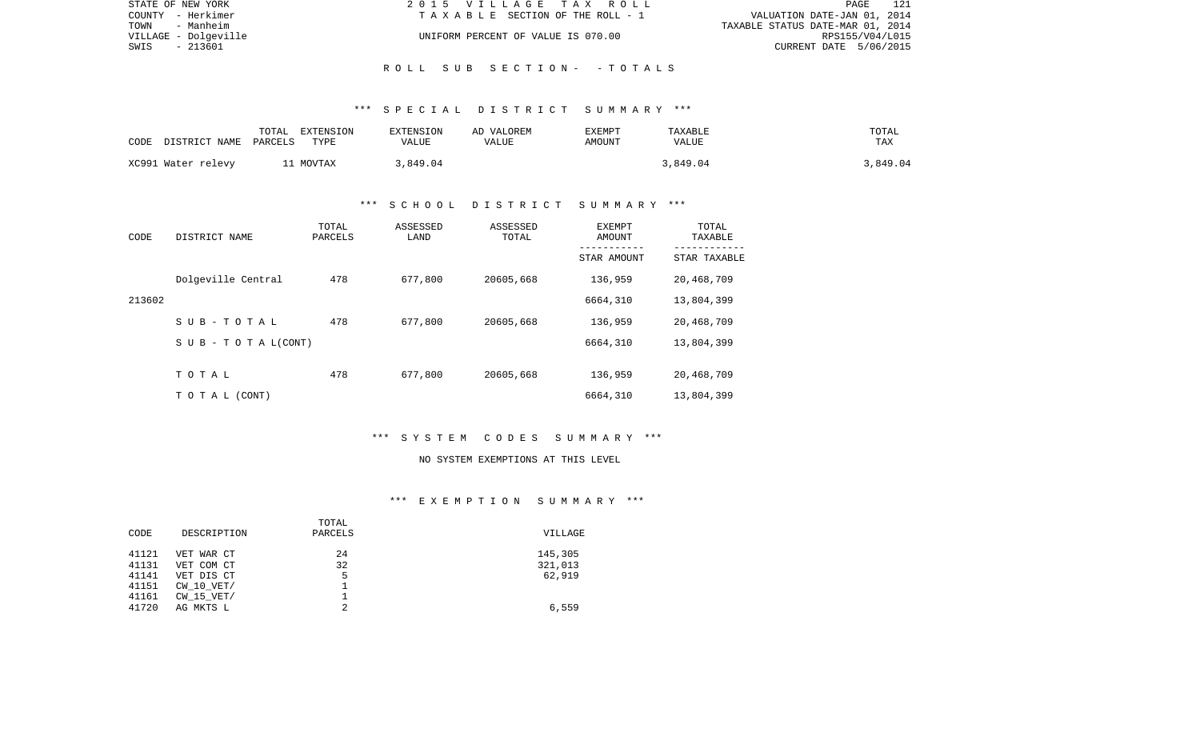| STATE OF NEW YORK    | 2015 VILLAGE TAX ROLL              | PAGE 121                         |
|----------------------|------------------------------------|----------------------------------|
| COUNTY - Herkimer    | TAXABLE SECTION OF THE ROLL - 1    | VALUATION DATE-JAN 01, 2014      |
| TOWN<br>- Manheim    |                                    | TAXABLE STATUS DATE-MAR 01, 2014 |
| VILLAGE - Dolgeville | UNIFORM PERCENT OF VALUE IS 070.00 | RPS155/V04/L015                  |
| - 213601<br>SWIS     |                                    | CURRENT DATE 5/06/2015           |
|                      |                                    |                                  |

## \*\*\* S P E C I A L D I S T R I C T S U M M A R Y \*\*\*

R O L L S U B S E C T I O N - - T O T A L S

| CODE | DISTRICT NAME      | TOTAL<br>PARCELS | EXTENSION<br>TYPE | EXTENSION<br>VALUE | AD VALOREM<br>VALUE | EXEMPT<br>AMOUNT | TAXABLE<br>VALUE | TOTAL<br>TAX |
|------|--------------------|------------------|-------------------|--------------------|---------------------|------------------|------------------|--------------|
|      | XC991 Water relevy | 1 MOVTAX         |                   | 3,849.04           |                     |                  | .849.04          | 3,849.04     |

## \*\*\* S C H O O L D I S T R I C T S U M M A R Y \*\*\*

| CODE   | DISTRICT NAME                    | TOTAL<br>PARCELS | ASSESSED<br>LAND | ASSESSED<br>TOTAL | EXEMPT<br>AMOUNT<br>----------- | TOTAL<br>TAXABLE<br>---------- |
|--------|----------------------------------|------------------|------------------|-------------------|---------------------------------|--------------------------------|
|        |                                  |                  |                  |                   | STAR AMOUNT                     | STAR TAXABLE                   |
|        | Dolgeville Central               | 478              | 677,800          | 20605,668         | 136,959                         | 20,468,709                     |
| 213602 |                                  |                  |                  |                   | 6664,310                        | 13,804,399                     |
|        | SUB-TOTAL                        | 478              | 677,800          | 20605,668         | 136,959                         | 20,468,709                     |
|        | $S \cup B - T \cup T A L (CONT)$ |                  |                  |                   | 6664,310                        | 13,804,399                     |
|        |                                  |                  |                  |                   |                                 |                                |
|        | TOTAL                            | 478              | 677,800          | 20605,668         | 136,959                         | 20,468,709                     |
|        | T O T A L (CONT)                 |                  |                  |                   | 6664,310                        | 13,804,399                     |

## \*\*\* S Y S T E M C O D E S S U M M A R Y \*\*\*

#### NO SYSTEM EXEMPTIONS AT THIS LEVEL

## \*\*\* E X E M P T I O N S U M M A R Y \*\*\*

|       |                | TOTAL   |         |
|-------|----------------|---------|---------|
| CODE  | DESCRIPTION    | PARCELS | VILLAGE |
| 41121 | VET WAR CT     | 24      | 145,305 |
| 41131 | VET COM CT     | 32      | 321,013 |
| 41141 | VET DIS CT     | 5       | 62,919  |
| 41151 | $CW$ 10 $VET/$ |         |         |
| 41161 | $CW$ 15 $VET/$ |         |         |
| 41720 | AG MKTS L      | 2       | 6,559   |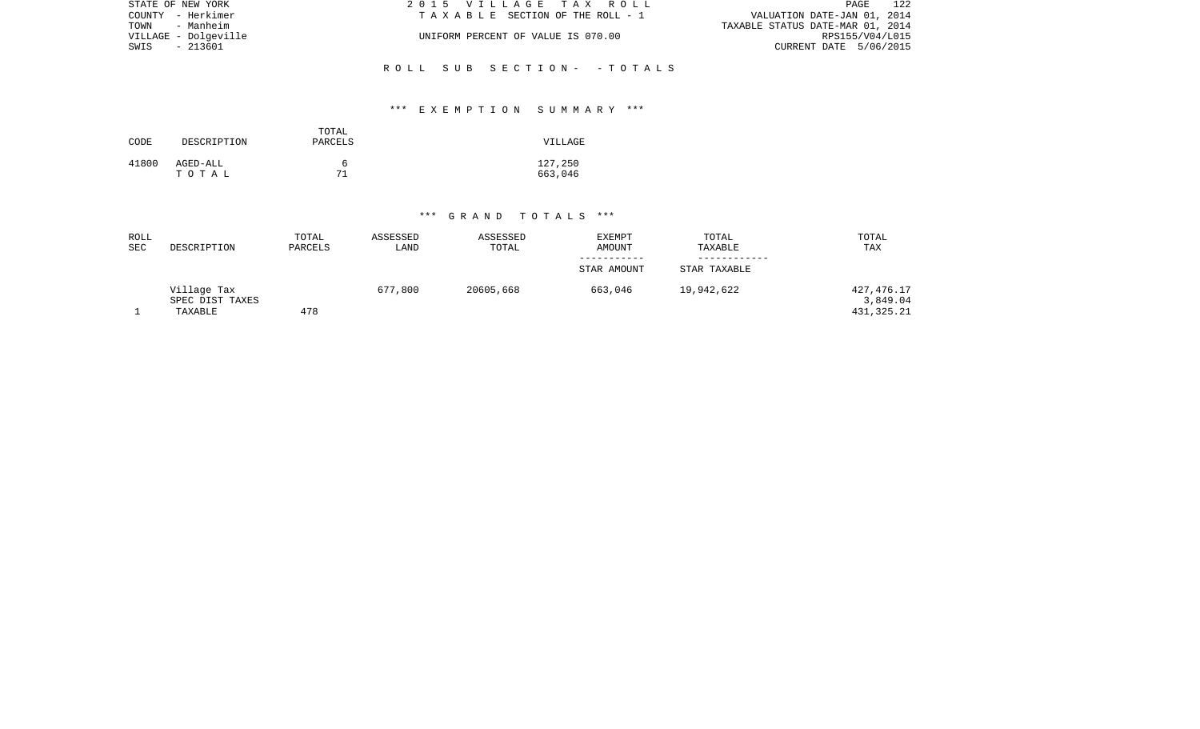| STATE OF NEW YORK    | 2015 VILLAGE TAX ROLL              | 122<br>PAGE                      |
|----------------------|------------------------------------|----------------------------------|
| COUNTY - Herkimer    | TAXABLE SECTION OF THE ROLL - 1    | VALUATION DATE-JAN 01, 2014      |
| TOWN - Manheim       |                                    | TAXABLE STATUS DATE-MAR 01, 2014 |
| VILLAGE - Dolgeville | UNIFORM PERCENT OF VALUE IS 070.00 | RPS155/V04/L015                  |
| SWIS - 213601        |                                    | CURRENT DATE 5/06/2015           |
|                      | ROLL SUB SECTION- - TOTALS         |                                  |

## \*\*\* E X E M P T I O N S U M M A R Y \*\*\*

| CODE  | DESCRIPTION | TOTAL<br>PARCELS | VILLAGE |
|-------|-------------|------------------|---------|
| 41800 | AGED-ALL    | h                | 127,250 |
|       | тотаь       | 71               | 663,046 |

#### \*\*\* G R A N D T O T A L S \*\*\*

| ROLL<br><b>SEC</b> | DESCRIPTION                               | TOTAL<br>PARCELS | ASSESSED<br>LAND | ASSESSED<br>TOTAL | <b>EXEMPT</b><br>AMOUNT | TOTAL<br>TAXABLE | TOTAL<br>TAX                         |
|--------------------|-------------------------------------------|------------------|------------------|-------------------|-------------------------|------------------|--------------------------------------|
|                    |                                           |                  |                  |                   | -----------             |                  |                                      |
|                    |                                           |                  |                  |                   | STAR AMOUNT             | STAR TAXABLE     |                                      |
|                    | Village Tax<br>SPEC DIST TAXES<br>TAXABLE | 478              | 677,800          | 20605,668         | 663,046                 | 19,942,622       | 427,476.17<br>3,849.04<br>431,325.21 |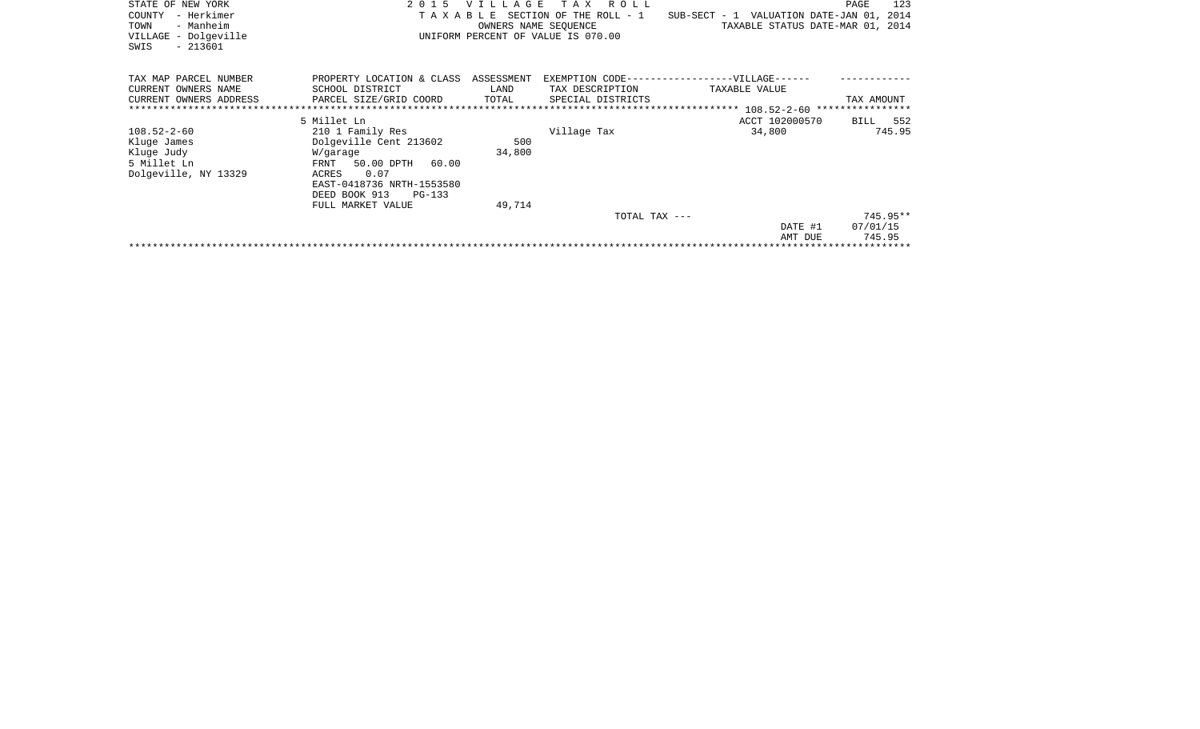| STATE OF NEW YORK<br>– Herkimer<br>COUNTY<br>- Manheim<br>TOWN<br>VILLAGE - Dolgeville<br>$-213601$<br>SWIS | 2 0 1 5<br>TAXABLE                                                                                                                                                                  | <b>VILLAGE</b>              | R O L L<br>T A X<br>SECTION OF THE ROLL - 1<br>OWNERS NAME SEQUENCE<br>UNIFORM PERCENT OF VALUE IS 070.00 | SUB-SECT - 1 VALUATION DATE-JAN 01, 2014<br>TAXABLE STATUS DATE-MAR 01, 2014 | 123<br>PAGE                      |
|-------------------------------------------------------------------------------------------------------------|-------------------------------------------------------------------------------------------------------------------------------------------------------------------------------------|-----------------------------|-----------------------------------------------------------------------------------------------------------|------------------------------------------------------------------------------|----------------------------------|
| TAX MAP PARCEL NUMBER<br>CURRENT OWNERS NAME<br>CURRENT OWNERS ADDRESS                                      | PROPERTY LOCATION & CLASS<br>SCHOOL DISTRICT<br>PARCEL SIZE/GRID COORD                                                                                                              | ASSESSMENT<br>LAND<br>TOTAL | TAX DESCRIPTION<br>SPECIAL DISTRICTS                                                                      | EXEMPTION CODE------------------VILLAGE------<br>TAXABLE VALUE               | TAX AMOUNT                       |
|                                                                                                             | 5 Millet Ln                                                                                                                                                                         |                             |                                                                                                           | ACCT 102000570                                                               | BILL 552                         |
| $108.52 - 2 - 60$<br>Kluge James<br>Kluge Judy<br>5 Millet Ln<br>Dolgeville, NY 13329                       | 210 1 Family Res<br>Dolgeville Cent 213602<br>W/garage<br>50.00 DPTH<br>60.00<br>FRNT<br>0.07<br>ACRES<br>EAST-0418736 NRTH-1553580<br>DEED BOOK 913<br>PG-133<br>FULL MARKET VALUE | 500<br>34,800<br>49,714     | Village Tax                                                                                               | 34,800                                                                       | 745.95                           |
|                                                                                                             |                                                                                                                                                                                     |                             | TOTAL TAX ---                                                                                             | DATE #1<br>AMT DUE                                                           | $745.95**$<br>07/01/15<br>745.95 |
|                                                                                                             |                                                                                                                                                                                     |                             |                                                                                                           |                                                                              |                                  |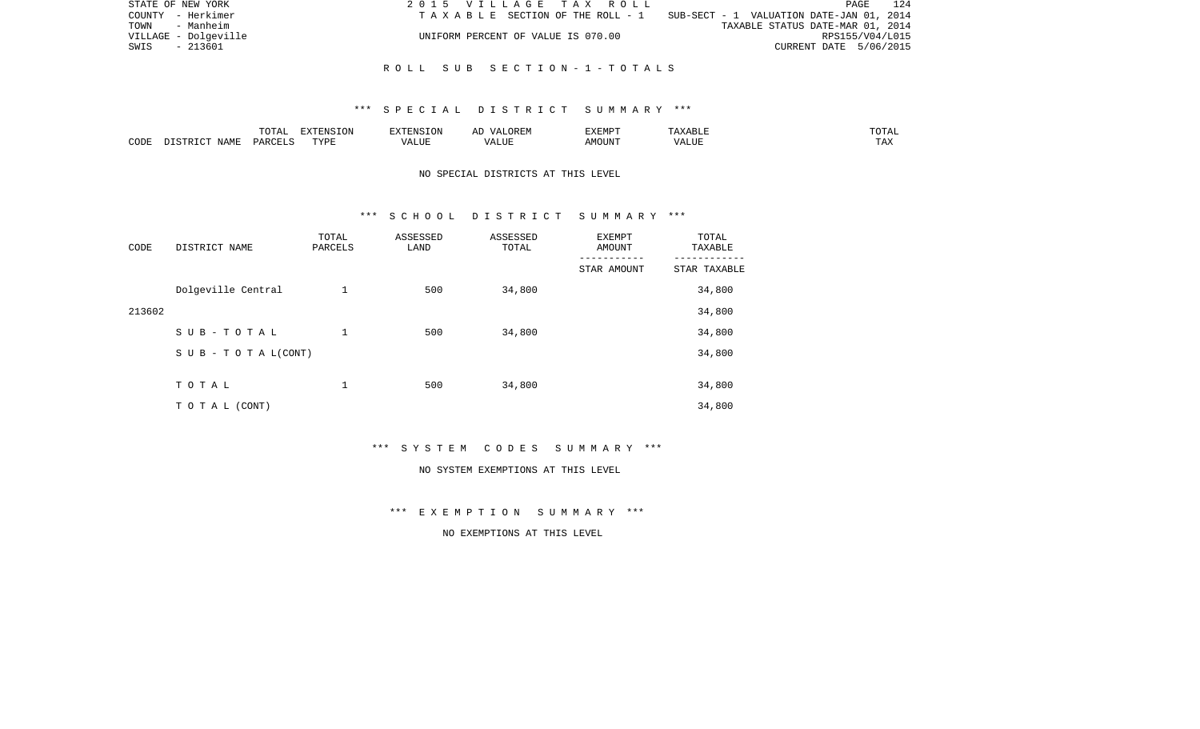|               | STATE OF NEW YORK    | 2015 VILLAGE TAX ROLL              | 124<br>PAGE                                                                    |
|---------------|----------------------|------------------------------------|--------------------------------------------------------------------------------|
|               | COUNTY - Herkimer    |                                    | T A X A B L E SECTION OF THE ROLL - 1 SUB-SECT - 1 VALUATION DATE-JAN 01, 2014 |
|               | TOWN - Manheim       |                                    | TAXABLE STATUS DATE-MAR 01, 2014                                               |
|               | VILLAGE - Dolgeville | UNIFORM PERCENT OF VALUE IS 070.00 | RPS155/V04/L015                                                                |
| SWIS - 213601 |                      |                                    | CURRENT DATE 5/06/2015                                                         |
|               |                      |                                    |                                                                                |

#### R O L L S U B S E C T I O N - 1 - T O T A L S

#### \*\*\* S P E C I A L D I S T R I C T S U M M A R Y \*\*\*

|      |                        |           | $\blacksquare$ | ∡∙NT⊂                           | 17 L<br>▵ | ∴XEMP" |                  | ----         |
|------|------------------------|-----------|----------------|---------------------------------|-----------|--------|------------------|--------------|
| CODE | $\Lambda T \Delta M^T$ | <b>DA</b> | <b>PVDT</b>    | $- - - - -$<br>$\cdots$<br>ALUP | ۰۰⊔⊔د.    | 550T   | ----<br>$\cdots$ | may<br>L LAS |

# NO SPECIAL DISTRICTS AT THIS LEVEL

#### \*\*\* S C H O O L D I S T R I C T S U M M A R Y \*\*\*

| CODE   | DISTRICT NAME                    | TOTAL<br>PARCELS | ASSESSED<br>LAND | ASSESSED<br>TOTAL | EXEMPT<br><b>AMOUNT</b> | TOTAL<br>TAXABLE |
|--------|----------------------------------|------------------|------------------|-------------------|-------------------------|------------------|
|        |                                  |                  |                  |                   | STAR AMOUNT             | STAR TAXABLE     |
|        | Dolgeville Central               | 1                | 500              | 34,800            |                         | 34,800           |
| 213602 |                                  |                  |                  |                   |                         | 34,800           |
|        | SUB-TOTAL                        | 1                | 500              | 34,800            |                         | 34,800           |
|        | $S \cup B - T \cup T A L (CONT)$ |                  |                  |                   |                         | 34,800           |
|        |                                  |                  |                  |                   |                         |                  |
|        | TOTAL                            | 1                | 500              | 34,800            |                         | 34,800           |
|        | T O T A L (CONT)                 |                  |                  |                   |                         | 34,800           |

\*\*\* S Y S T E M C O D E S S U M M A R Y \*\*\*

#### NO SYSTEM EXEMPTIONS AT THIS LEVEL

# \*\*\* E X E M P T I O N S U M M A R Y \*\*\*

# NO EXEMPTIONS AT THIS LEVEL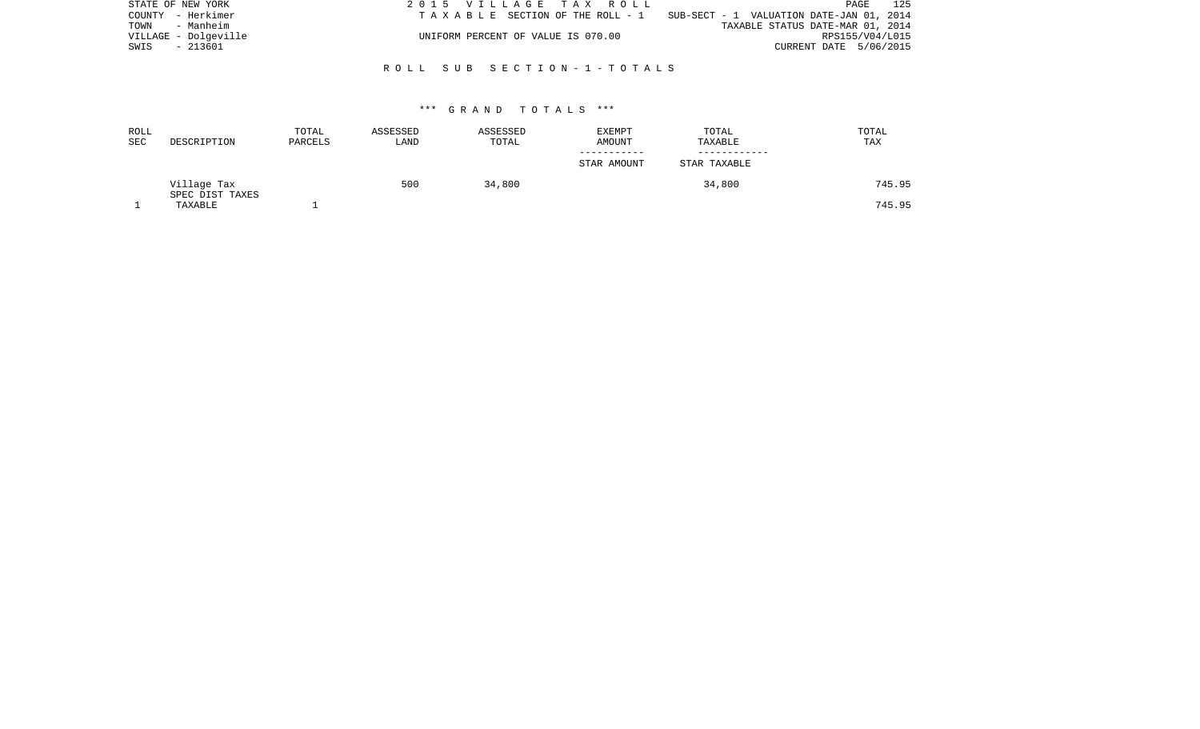|               | STATE OF NEW YORK    | 2015 VILLAGE TAX ROLL              | 125<br>PAGE                              |
|---------------|----------------------|------------------------------------|------------------------------------------|
|               | COUNTY - Herkimer    | TAXABLE SECTION OF THE ROLL - 1    | SUB-SECT - 1 VALUATION DATE-JAN 01, 2014 |
|               | TOWN - Manheim       |                                    | TAXABLE STATUS DATE-MAR 01, 2014         |
|               | VILLAGE - Dolgeville | UNIFORM PERCENT OF VALUE IS 070.00 | RPS155/V04/L015                          |
| SWIS - 213601 |                      |                                    | CURRENT DATE 5/06/2015                   |
|               |                      |                                    |                                          |

## R O L L S U B S E C T I O N - 1 - T O T A L S

#### \*\*\* G R A N D T O T A L S \*\*\*

| ROLL<br>SEC | DESCRIPTION                    | TOTAL<br>PARCELS | ASSESSED<br>LAND | ASSESSED<br>TOTAL | EXEMPT<br>AMOUNT | TOTAL<br>TAXABLE | TOTAL<br>TAX |
|-------------|--------------------------------|------------------|------------------|-------------------|------------------|------------------|--------------|
|             |                                |                  |                  |                   | STAR AMOUNT      | STAR TAXABLE     |              |
|             | Village Tax<br>SPEC DIST TAXES |                  | 500              | 34,800            |                  | 34,800           | 745.95       |
|             | TAXABLE                        |                  |                  |                   |                  |                  | 745.95       |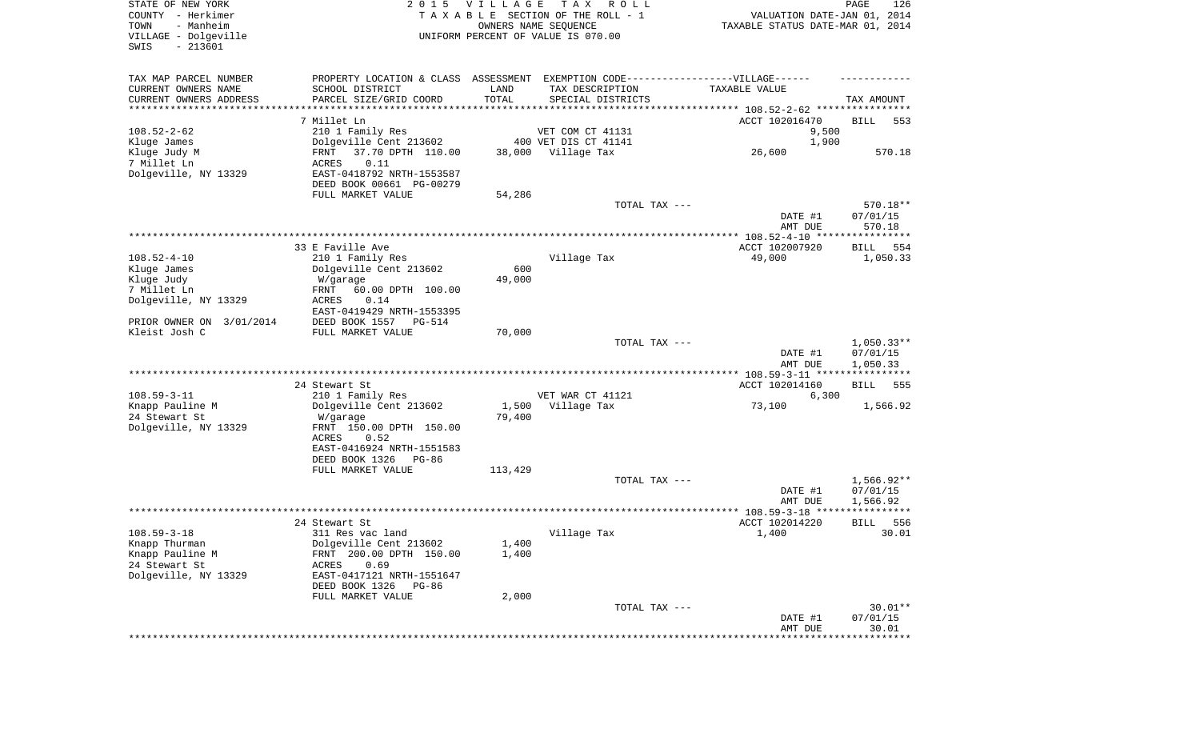| STATE OF NEW YORK<br>COUNTY - Herkimer<br>- Manheim<br>TOWN<br>VILLAGE - Dolgeville<br>$-213601$<br>SWIS | 2 0 1 5                                    | <b>VILLAGE</b> | T A X<br>R O L L<br>TAXABLE SECTION OF THE ROLL - 1<br>OWNERS NAME SEQUENCE<br>UNIFORM PERCENT OF VALUE IS 070.00 | VALUATION DATE-JAN 01, 2014<br>TAXABLE STATUS DATE-MAR 01, 2014 | PAGE<br>126       |
|----------------------------------------------------------------------------------------------------------|--------------------------------------------|----------------|-------------------------------------------------------------------------------------------------------------------|-----------------------------------------------------------------|-------------------|
| TAX MAP PARCEL NUMBER                                                                                    | PROPERTY LOCATION & CLASS ASSESSMENT       |                | EXEMPTION CODE------------------VILLAGE------                                                                     |                                                                 |                   |
| CURRENT OWNERS NAME                                                                                      | SCHOOL DISTRICT                            | LAND           | TAX DESCRIPTION                                                                                                   | TAXABLE VALUE                                                   |                   |
| CURRENT OWNERS ADDRESS<br>*********************                                                          | PARCEL SIZE/GRID COORD                     | TOTAL          | SPECIAL DISTRICTS                                                                                                 |                                                                 | TAX AMOUNT        |
|                                                                                                          | 7 Millet Ln                                |                |                                                                                                                   | ACCT 102016470                                                  | BILL<br>553       |
| $108.52 - 2 - 62$                                                                                        | 210 1 Family Res                           |                | VET COM CT 41131                                                                                                  | 9,500                                                           |                   |
| Kluge James                                                                                              | Dolgeville Cent 213602                     |                | 400 VET DIS CT 41141                                                                                              | 1,900                                                           |                   |
| Kluge Judy M                                                                                             | 37.70 DPTH 110.00<br>FRNT                  | 38,000         | Village Tax                                                                                                       | 26,600                                                          | 570.18            |
| 7 Millet Ln                                                                                              | ACRES<br>0.11                              |                |                                                                                                                   |                                                                 |                   |
| Dolgeville, NY 13329                                                                                     | EAST-0418792 NRTH-1553587                  |                |                                                                                                                   |                                                                 |                   |
|                                                                                                          | DEED BOOK 00661 PG-00279                   |                |                                                                                                                   |                                                                 |                   |
|                                                                                                          | FULL MARKET VALUE                          | 54,286         | TOTAL TAX ---                                                                                                     |                                                                 | 570.18**          |
|                                                                                                          |                                            |                |                                                                                                                   | DATE #1                                                         | 07/01/15          |
|                                                                                                          |                                            |                |                                                                                                                   | AMT DUE                                                         | 570.18            |
|                                                                                                          |                                            |                |                                                                                                                   |                                                                 |                   |
|                                                                                                          | 33 E Faville Ave                           |                |                                                                                                                   | ACCT 102007920                                                  | BILL<br>554       |
| $108.52 - 4 - 10$                                                                                        | 210 1 Family Res                           |                | Village Tax                                                                                                       | 49,000                                                          | 1,050.33          |
| Kluge James<br>Kluge Judy                                                                                | Dolgeville Cent 213602<br>W/garage         | 600<br>49,000  |                                                                                                                   |                                                                 |                   |
| 7 Millet Ln                                                                                              | 60.00 DPTH 100.00<br>FRNT                  |                |                                                                                                                   |                                                                 |                   |
| Dolgeville, NY 13329                                                                                     | ACRES<br>0.14                              |                |                                                                                                                   |                                                                 |                   |
|                                                                                                          | EAST-0419429 NRTH-1553395                  |                |                                                                                                                   |                                                                 |                   |
| PRIOR OWNER ON 3/01/2014                                                                                 | DEED BOOK 1557<br>PG-514                   |                |                                                                                                                   |                                                                 |                   |
| Kleist Josh C                                                                                            | FULL MARKET VALUE                          | 70,000         | TOTAL TAX ---                                                                                                     |                                                                 | $1,050.33**$      |
|                                                                                                          |                                            |                |                                                                                                                   | DATE #1                                                         | 07/01/15          |
|                                                                                                          |                                            |                |                                                                                                                   | AMT DUE                                                         | 1,050.33          |
|                                                                                                          |                                            |                |                                                                                                                   | ************ 108.59-3-11 ****************                       |                   |
|                                                                                                          | 24 Stewart St                              |                |                                                                                                                   | ACCT 102014160                                                  | 555<br>BILL       |
| $108.59 - 3 - 11$<br>Knapp Pauline M                                                                     | 210 1 Family Res<br>Dolgeville Cent 213602 |                | VET WAR CT 41121<br>1,500 Village Tax                                                                             | 6,300<br>73,100                                                 | 1,566.92          |
| 24 Stewart St                                                                                            | W/garage                                   | 79,400         |                                                                                                                   |                                                                 |                   |
| Dolgeville, NY 13329                                                                                     | FRNT 150.00 DPTH 150.00                    |                |                                                                                                                   |                                                                 |                   |
|                                                                                                          | ACRES<br>0.52                              |                |                                                                                                                   |                                                                 |                   |
|                                                                                                          | EAST-0416924 NRTH-1551583                  |                |                                                                                                                   |                                                                 |                   |
|                                                                                                          | DEED BOOK 1326<br>PG-86                    |                |                                                                                                                   |                                                                 |                   |
|                                                                                                          | FULL MARKET VALUE                          | 113,429        | TOTAL TAX ---                                                                                                     |                                                                 | $1,566.92**$      |
|                                                                                                          |                                            |                |                                                                                                                   | DATE #1                                                         | 07/01/15          |
|                                                                                                          |                                            |                |                                                                                                                   | AMT DUE                                                         | 1,566.92          |
|                                                                                                          |                                            |                |                                                                                                                   |                                                                 | ****              |
|                                                                                                          | 24 Stewart St                              |                |                                                                                                                   | ACCT 102014220                                                  | 556<br>BILL       |
| $108.59 - 3 - 18$<br>Knapp Thurman                                                                       | 311 Res vac land<br>Dolgeville Cent 213602 |                | Village Tax                                                                                                       | 1,400                                                           | 30.01             |
| Knapp Pauline M                                                                                          | FRNT 200.00 DPTH 150.00                    | 1,400<br>1,400 |                                                                                                                   |                                                                 |                   |
| 24 Stewart St                                                                                            | 0.69<br>ACRES                              |                |                                                                                                                   |                                                                 |                   |
| Dolgeville, NY 13329                                                                                     | EAST-0417121 NRTH-1551647                  |                |                                                                                                                   |                                                                 |                   |
|                                                                                                          | DEED BOOK 1326<br>PG-86                    |                |                                                                                                                   |                                                                 |                   |
|                                                                                                          | FULL MARKET VALUE                          | 2,000          |                                                                                                                   |                                                                 |                   |
|                                                                                                          |                                            |                | TOTAL TAX ---                                                                                                     |                                                                 | $30.01**$         |
|                                                                                                          |                                            |                |                                                                                                                   | DATE #1<br>AMT DUE                                              | 07/01/15<br>30.01 |
|                                                                                                          |                                            |                |                                                                                                                   |                                                                 | ***********       |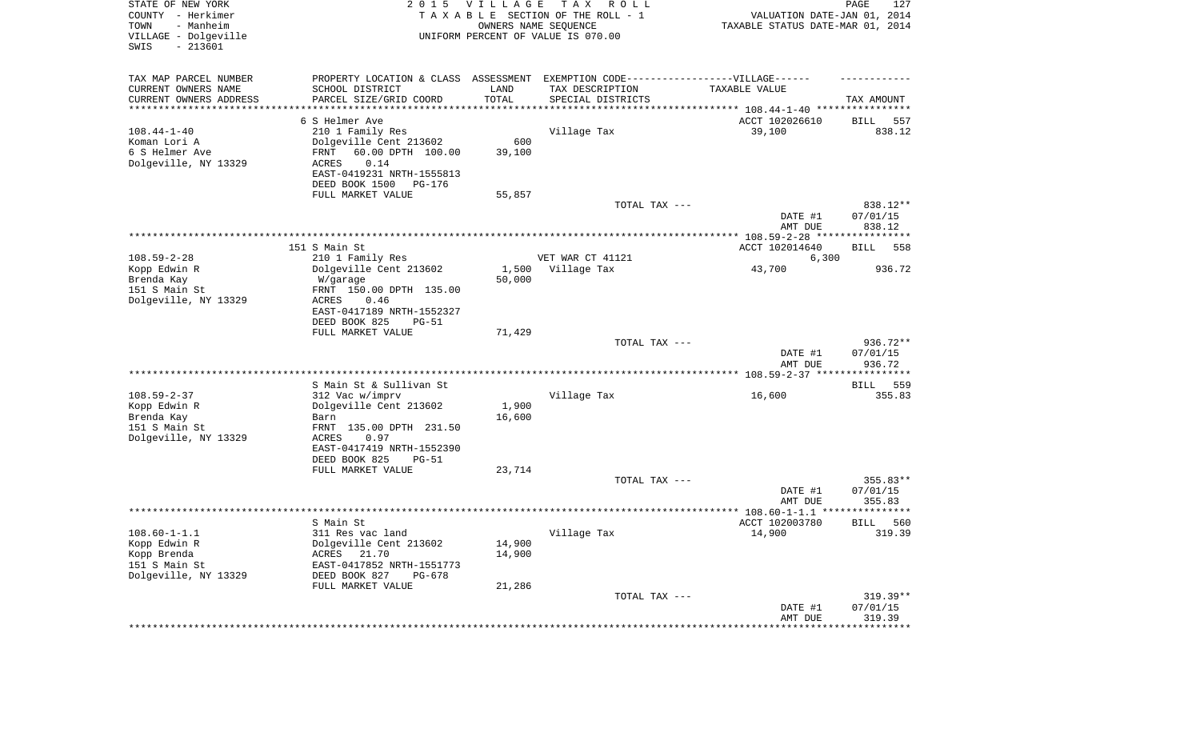| STATE OF NEW YORK<br>COUNTY - Herkimer<br>- Manheim<br>TOWN<br>VILLAGE - Dolgeville<br>SWIS<br>$-213601$ |                                                                                   | 2015 VILLAGE<br>OWNERS NAME SEQUENCE | T A X<br>R O L L<br>TAXABLE SECTION OF THE ROLL - 1<br>UNIFORM PERCENT OF VALUE IS 070.00 | VALUATION DATE-JAN 01, 2014<br>TAXABLE STATUS DATE-MAR 01, 2014 | PAGE<br>127        |
|----------------------------------------------------------------------------------------------------------|-----------------------------------------------------------------------------------|--------------------------------------|-------------------------------------------------------------------------------------------|-----------------------------------------------------------------|--------------------|
| TAX MAP PARCEL NUMBER                                                                                    | PROPERTY LOCATION & CLASS ASSESSMENT EXEMPTION CODE-----------------VILLAGE------ |                                      |                                                                                           |                                                                 |                    |
| CURRENT OWNERS NAME                                                                                      | SCHOOL DISTRICT                                                                   | LAND                                 | TAX DESCRIPTION                                                                           | TAXABLE VALUE                                                   |                    |
| CURRENT OWNERS ADDRESS<br>*********************                                                          | PARCEL SIZE/GRID COORD<br>********************                                    | TOTAL<br>* * * * * * * * * * *       | SPECIAL DISTRICTS                                                                         |                                                                 | TAX AMOUNT         |
|                                                                                                          | 6 S Helmer Ave                                                                    |                                      |                                                                                           | ACCT 102026610                                                  | <b>BILL</b><br>557 |
| $108.44 - 1 - 40$                                                                                        | 210 1 Family Res                                                                  |                                      | Village Tax                                                                               | 39,100                                                          | 838.12             |
| Koman Lori A                                                                                             | Dolgeville Cent 213602                                                            | 600                                  |                                                                                           |                                                                 |                    |
| 6 S Helmer Ave                                                                                           | 60.00 DPTH 100.00<br>FRNT                                                         | 39,100                               |                                                                                           |                                                                 |                    |
| Dolgeville, NY 13329                                                                                     | ACRES<br>0.14                                                                     |                                      |                                                                                           |                                                                 |                    |
|                                                                                                          | EAST-0419231 NRTH-1555813                                                         |                                      |                                                                                           |                                                                 |                    |
|                                                                                                          | DEED BOOK 1500<br>PG-176                                                          |                                      |                                                                                           |                                                                 |                    |
|                                                                                                          | FULL MARKET VALUE                                                                 | 55,857                               |                                                                                           |                                                                 |                    |
|                                                                                                          |                                                                                   |                                      | TOTAL TAX ---                                                                             |                                                                 | 838.12**           |
|                                                                                                          |                                                                                   |                                      |                                                                                           | DATE #1<br>AMT DUE                                              | 07/01/15<br>838.12 |
|                                                                                                          |                                                                                   |                                      |                                                                                           |                                                                 |                    |
|                                                                                                          | 151 S Main St                                                                     |                                      |                                                                                           | ACCT 102014640                                                  | 558<br>BILL        |
| $108.59 - 2 - 28$                                                                                        | 210 1 Family Res                                                                  |                                      | VET WAR CT 41121                                                                          | 6,300                                                           |                    |
| Kopp Edwin R                                                                                             | Dolgeville Cent 213602                                                            | 1,500                                | Village Tax                                                                               | 43,700                                                          | 936.72             |
| Brenda Kay                                                                                               | W/garage                                                                          | 50,000                               |                                                                                           |                                                                 |                    |
| 151 S Main St                                                                                            | FRNT 150.00 DPTH 135.00                                                           |                                      |                                                                                           |                                                                 |                    |
| Dolgeville, NY 13329                                                                                     | 0.46<br>ACRES<br>EAST-0417189 NRTH-1552327                                        |                                      |                                                                                           |                                                                 |                    |
|                                                                                                          | DEED BOOK 825<br>$PG-51$                                                          |                                      |                                                                                           |                                                                 |                    |
|                                                                                                          | FULL MARKET VALUE                                                                 | 71,429                               |                                                                                           |                                                                 |                    |
|                                                                                                          |                                                                                   |                                      | TOTAL TAX ---                                                                             |                                                                 | 936.72**           |
|                                                                                                          |                                                                                   |                                      |                                                                                           | DATE #1                                                         | 07/01/15           |
|                                                                                                          |                                                                                   |                                      |                                                                                           | AMT DUE                                                         | 936.72             |
|                                                                                                          | S Main St & Sullivan St                                                           |                                      |                                                                                           |                                                                 | 559<br>BILL        |
| $108.59 - 2 - 37$                                                                                        | 312 Vac w/imprv                                                                   |                                      | Village Tax                                                                               | 16,600                                                          | 355.83             |
| Kopp Edwin R                                                                                             | Dolgeville Cent 213602                                                            | 1,900                                |                                                                                           |                                                                 |                    |
| Brenda Kay                                                                                               | Barn                                                                              | 16,600                               |                                                                                           |                                                                 |                    |
| 151 S Main St                                                                                            | FRNT 135.00 DPTH 231.50                                                           |                                      |                                                                                           |                                                                 |                    |
| Dolgeville, NY 13329                                                                                     | ACRES<br>0.97                                                                     |                                      |                                                                                           |                                                                 |                    |
|                                                                                                          | EAST-0417419 NRTH-1552390                                                         |                                      |                                                                                           |                                                                 |                    |
|                                                                                                          | DEED BOOK 825<br><b>PG-51</b><br>FULL MARKET VALUE                                | 23,714                               |                                                                                           |                                                                 |                    |
|                                                                                                          |                                                                                   |                                      | TOTAL TAX ---                                                                             |                                                                 | 355.83**           |
|                                                                                                          |                                                                                   |                                      |                                                                                           | DATE #1                                                         | 07/01/15           |
|                                                                                                          |                                                                                   |                                      |                                                                                           | AMT DUE                                                         | 355.83             |
|                                                                                                          |                                                                                   |                                      |                                                                                           |                                                                 | ******             |
|                                                                                                          | S Main St                                                                         |                                      |                                                                                           | ACCT 102003780                                                  | 560<br>BILL        |
| $108.60 - 1 - 1.1$                                                                                       | 311 Res vac land<br>Dolgeville Cent 213602                                        |                                      | Village Tax                                                                               | 14,900                                                          | 319.39             |
| Kopp Edwin R<br>Kopp Brenda                                                                              | 21.70<br>ACRES                                                                    | 14,900<br>14,900                     |                                                                                           |                                                                 |                    |
| 151 S Main St                                                                                            | EAST-0417852 NRTH-1551773                                                         |                                      |                                                                                           |                                                                 |                    |
| Dolgeville, NY 13329                                                                                     | DEED BOOK 827<br>PG-678                                                           |                                      |                                                                                           |                                                                 |                    |
|                                                                                                          | FULL MARKET VALUE                                                                 | 21,286                               |                                                                                           |                                                                 |                    |
|                                                                                                          |                                                                                   |                                      | TOTAL TAX ---                                                                             |                                                                 | $319.39**$         |
|                                                                                                          |                                                                                   |                                      |                                                                                           | DATE #1                                                         | 07/01/15           |
|                                                                                                          |                                                                                   |                                      |                                                                                           | AMT DUE                                                         | 319.39             |
|                                                                                                          |                                                                                   |                                      |                                                                                           |                                                                 |                    |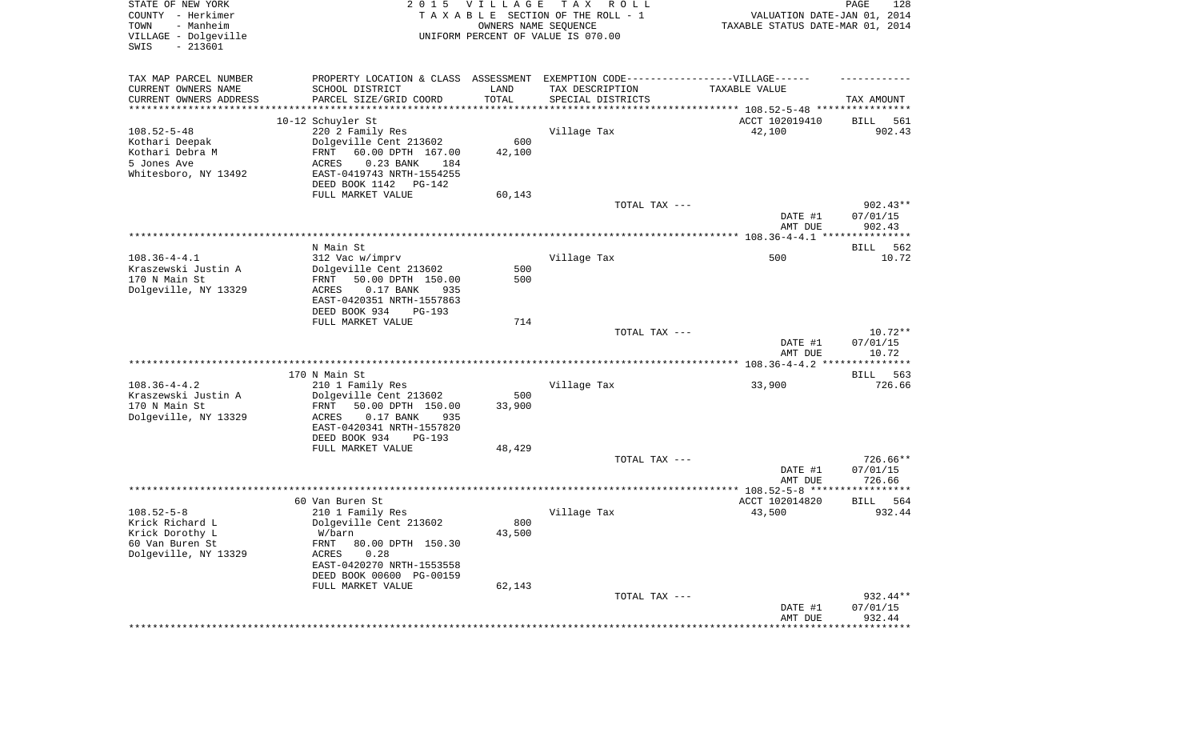| STATE OF NEW YORK<br>COUNTY - Herkimer<br>TOWN<br>- Manheim<br>VILLAGE - Dolgeville<br>SWIS<br>$-213601$ | 2 0 1 5                                                                          | <b>VILLAGE</b><br>OWNERS NAME SEQUENCE | T A X<br>R O L L<br>TAXABLE SECTION OF THE ROLL - 1<br>UNIFORM PERCENT OF VALUE IS 070.00 | VALUATION DATE-JAN 01, 2014<br>TAXABLE STATUS DATE-MAR 01, 2014 | PAGE<br>128                    |
|----------------------------------------------------------------------------------------------------------|----------------------------------------------------------------------------------|----------------------------------------|-------------------------------------------------------------------------------------------|-----------------------------------------------------------------|--------------------------------|
| TAX MAP PARCEL NUMBER                                                                                    | PROPERTY LOCATION & CLASS ASSESSMENT EXEMPTION CODE----------------VILLAGE------ |                                        |                                                                                           |                                                                 |                                |
| CURRENT OWNERS NAME<br>CURRENT OWNERS ADDRESS                                                            | SCHOOL DISTRICT<br>PARCEL SIZE/GRID COORD                                        | LAND<br>TOTAL                          | TAX DESCRIPTION                                                                           | TAXABLE VALUE                                                   | TAX AMOUNT                     |
| ***********************                                                                                  |                                                                                  |                                        | SPECIAL DISTRICTS                                                                         |                                                                 |                                |
|                                                                                                          | 10-12 Schuyler St                                                                |                                        |                                                                                           | ACCT 102019410                                                  | 561<br>BILL                    |
| $108.52 - 5 - 48$                                                                                        | 220 2 Family Res                                                                 |                                        | Village Tax                                                                               | 42,100                                                          | 902.43                         |
| Kothari Deepak                                                                                           | Dolgeville Cent 213602                                                           | 600                                    |                                                                                           |                                                                 |                                |
| Kothari Debra M<br>5 Jones Ave                                                                           | FRNT<br>60.00 DPTH 167.00<br>$0.23$ BANK<br>ACRES<br>184                         | 42,100                                 |                                                                                           |                                                                 |                                |
| Whitesboro, NY 13492                                                                                     | EAST-0419743 NRTH-1554255                                                        |                                        |                                                                                           |                                                                 |                                |
|                                                                                                          | DEED BOOK 1142<br>PG-142                                                         |                                        |                                                                                           |                                                                 |                                |
|                                                                                                          | FULL MARKET VALUE                                                                | 60,143                                 |                                                                                           |                                                                 |                                |
|                                                                                                          |                                                                                  |                                        | TOTAL TAX ---                                                                             | DATE #1                                                         | $902.43**$<br>07/01/15         |
|                                                                                                          |                                                                                  |                                        |                                                                                           | AMT DUE                                                         | 902.43                         |
|                                                                                                          | N Main St                                                                        |                                        |                                                                                           |                                                                 | 562<br>BILL                    |
| $108.36 - 4 - 4.1$                                                                                       | 312 Vac w/imprv                                                                  |                                        | Village Tax                                                                               | 500                                                             | 10.72                          |
| Kraszewski Justin A<br>170 N Main St                                                                     | Dolgeville Cent 213602                                                           | 500                                    |                                                                                           |                                                                 |                                |
| Dolgeville, NY 13329                                                                                     | 50.00 DPTH 150.00<br>FRNT<br>ACRES<br>$0.17$ BANK<br>935                         | 500                                    |                                                                                           |                                                                 |                                |
|                                                                                                          | EAST-0420351 NRTH-1557863                                                        |                                        |                                                                                           |                                                                 |                                |
|                                                                                                          | DEED BOOK 934<br><b>PG-193</b>                                                   |                                        |                                                                                           |                                                                 |                                |
|                                                                                                          | FULL MARKET VALUE                                                                | 714                                    |                                                                                           |                                                                 |                                |
|                                                                                                          |                                                                                  |                                        | TOTAL TAX ---                                                                             | DATE #1<br>AMT DUE                                              | $10.72**$<br>07/01/15<br>10.72 |
|                                                                                                          |                                                                                  |                                        |                                                                                           |                                                                 |                                |
|                                                                                                          | 170 N Main St                                                                    |                                        |                                                                                           |                                                                 | <b>BILL</b><br>563             |
| $108.36 - 4 - 4.2$                                                                                       | 210 1 Family Res                                                                 |                                        | Village Tax                                                                               | 33,900                                                          | 726.66                         |
| Kraszewski Justin A<br>170 N Main St                                                                     | Dolgeville Cent 213602<br>50.00 DPTH 150.00<br>FRNT                              | 500<br>33,900                          |                                                                                           |                                                                 |                                |
| Dolgeville, NY 13329                                                                                     | ACRES<br>$0.17$ BANK<br>935                                                      |                                        |                                                                                           |                                                                 |                                |
|                                                                                                          | EAST-0420341 NRTH-1557820                                                        |                                        |                                                                                           |                                                                 |                                |
|                                                                                                          | DEED BOOK 934<br><b>PG-193</b>                                                   |                                        |                                                                                           |                                                                 |                                |
|                                                                                                          | FULL MARKET VALUE                                                                | 48,429                                 | TOTAL TAX ---                                                                             |                                                                 | 726.66**                       |
|                                                                                                          |                                                                                  |                                        |                                                                                           | DATE #1                                                         | 07/01/15                       |
|                                                                                                          |                                                                                  |                                        |                                                                                           | AMT DUE                                                         | 726.66                         |
|                                                                                                          |                                                                                  |                                        |                                                                                           |                                                                 |                                |
| $108.52 - 5 - 8$                                                                                         | 60 Van Buren St<br>210 1 Family Res                                              |                                        | Village Tax                                                                               | ACCT 102014820<br>43,500                                        | BILL<br>564<br>932.44          |
| Krick Richard L                                                                                          | Dolgeville Cent 213602                                                           | 800                                    |                                                                                           |                                                                 |                                |
| Krick Dorothy L                                                                                          | W/barn                                                                           | 43,500                                 |                                                                                           |                                                                 |                                |
| 60 Van Buren St                                                                                          | 80.00 DPTH 150.30<br>FRNT                                                        |                                        |                                                                                           |                                                                 |                                |
| Dolgeville, NY 13329                                                                                     | ACRES<br>0.28<br>EAST-0420270 NRTH-1553558                                       |                                        |                                                                                           |                                                                 |                                |
|                                                                                                          | DEED BOOK 00600 PG-00159                                                         |                                        |                                                                                           |                                                                 |                                |
|                                                                                                          | FULL MARKET VALUE                                                                | 62,143                                 |                                                                                           |                                                                 |                                |
|                                                                                                          |                                                                                  |                                        | TOTAL TAX ---                                                                             |                                                                 | 932.44**                       |
|                                                                                                          |                                                                                  |                                        |                                                                                           | DATE #1<br>AMT DUE                                              | 07/01/15<br>932.44             |
|                                                                                                          |                                                                                  |                                        |                                                                                           | ***********************************                             |                                |
|                                                                                                          |                                                                                  |                                        |                                                                                           |                                                                 |                                |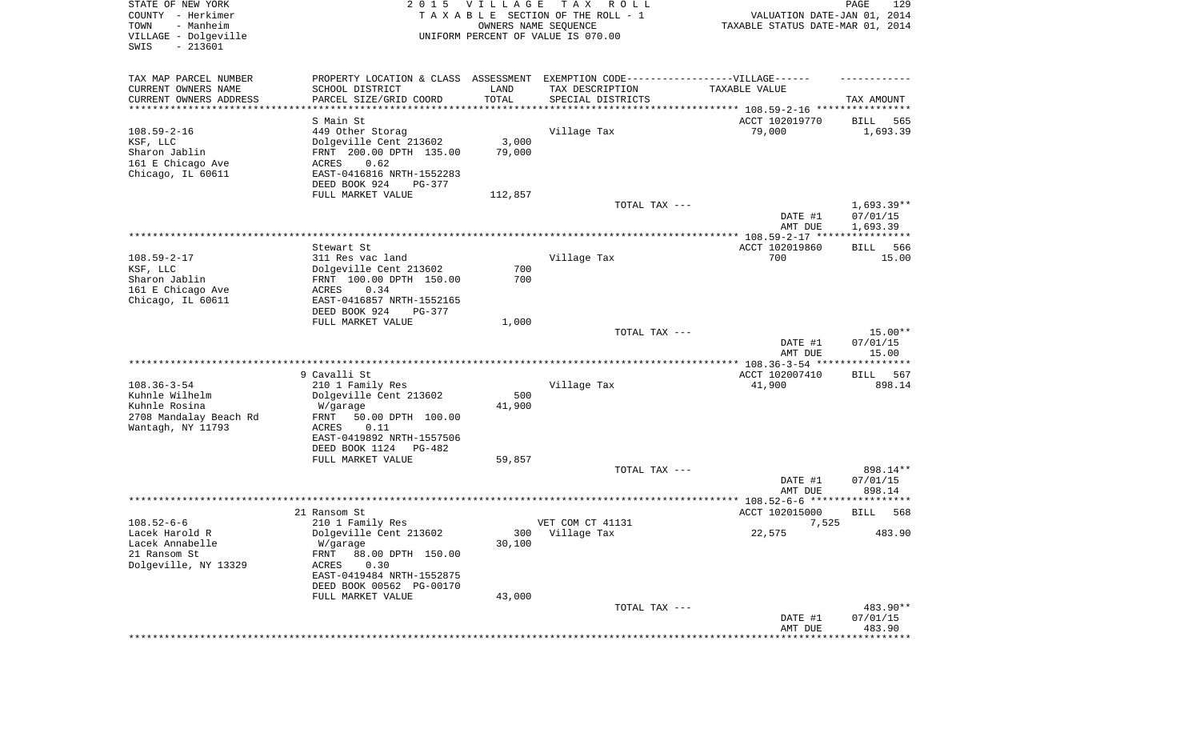| STATE OF NEW YORK<br>COUNTY - Herkimer<br>- Manheim<br>TOWN<br>VILLAGE - Dolgeville<br>SWIS<br>$-213601$ |                                                                                   | 2015 VILLAGE<br>OWNERS NAME SEQUENCE | T A X<br>R O L L<br>TAXABLE SECTION OF THE ROLL - 1<br>UNIFORM PERCENT OF VALUE IS 070.00 | VALUATION DATE-JAN 01, 2014<br>TAXABLE STATUS DATE-MAR 01, 2014 | PAGE<br>129                          |
|----------------------------------------------------------------------------------------------------------|-----------------------------------------------------------------------------------|--------------------------------------|-------------------------------------------------------------------------------------------|-----------------------------------------------------------------|--------------------------------------|
| TAX MAP PARCEL NUMBER                                                                                    | PROPERTY LOCATION & CLASS ASSESSMENT EXEMPTION CODE-----------------VILLAGE------ |                                      |                                                                                           |                                                                 |                                      |
| CURRENT OWNERS NAME                                                                                      | SCHOOL DISTRICT                                                                   | LAND                                 | TAX DESCRIPTION                                                                           | TAXABLE VALUE                                                   |                                      |
| CURRENT OWNERS ADDRESS<br>*********************                                                          | PARCEL SIZE/GRID COORD<br>****************                                        | TOTAL<br>* * * * * * * * * * *       | SPECIAL DISTRICTS                                                                         |                                                                 | TAX AMOUNT                           |
|                                                                                                          | S Main St                                                                         |                                      |                                                                                           | ACCT 102019770                                                  | 565<br>BILL                          |
| $108.59 - 2 - 16$                                                                                        | 449 Other Storag                                                                  |                                      | Village Tax                                                                               | 79,000                                                          | 1,693.39                             |
| KSF, LLC                                                                                                 | Dolgeville Cent 213602                                                            | 3,000                                |                                                                                           |                                                                 |                                      |
| Sharon Jablin                                                                                            | FRNT 200.00 DPTH 135.00                                                           | 79,000                               |                                                                                           |                                                                 |                                      |
| 161 E Chicago Ave                                                                                        | ACRES<br>0.62                                                                     |                                      |                                                                                           |                                                                 |                                      |
| Chicago, IL 60611                                                                                        | EAST-0416816 NRTH-1552283                                                         |                                      |                                                                                           |                                                                 |                                      |
|                                                                                                          | DEED BOOK 924<br>PG-377                                                           |                                      |                                                                                           |                                                                 |                                      |
|                                                                                                          | FULL MARKET VALUE                                                                 | 112,857                              |                                                                                           |                                                                 |                                      |
|                                                                                                          |                                                                                   |                                      | TOTAL TAX ---                                                                             | DATE #1<br>AMT DUE                                              | $1,693.39**$<br>07/01/15<br>1,693.39 |
|                                                                                                          |                                                                                   |                                      |                                                                                           |                                                                 |                                      |
|                                                                                                          | Stewart St                                                                        |                                      |                                                                                           | ACCT 102019860                                                  | 566<br>BILL                          |
| $108.59 - 2 - 17$                                                                                        | 311 Res vac land                                                                  |                                      | Village Tax                                                                               | 700                                                             | 15.00                                |
| KSF, LLC                                                                                                 | Dolgeville Cent 213602                                                            | 700                                  |                                                                                           |                                                                 |                                      |
| Sharon Jablin                                                                                            | FRNT 100.00 DPTH 150.00                                                           | 700                                  |                                                                                           |                                                                 |                                      |
| 161 E Chicago Ave                                                                                        | 0.34<br>ACRES                                                                     |                                      |                                                                                           |                                                                 |                                      |
| Chicago, IL 60611                                                                                        | EAST-0416857 NRTH-1552165<br>DEED BOOK 924<br>PG-377                              |                                      |                                                                                           |                                                                 |                                      |
|                                                                                                          | FULL MARKET VALUE                                                                 | 1,000                                |                                                                                           |                                                                 |                                      |
|                                                                                                          |                                                                                   |                                      | TOTAL TAX ---                                                                             |                                                                 | $15.00**$                            |
|                                                                                                          |                                                                                   |                                      |                                                                                           | DATE #1<br>AMT DUE                                              | 07/01/15<br>15.00                    |
|                                                                                                          | 9 Cavalli St                                                                      |                                      |                                                                                           | ACCT 102007410                                                  | BILL<br>567                          |
| $108.36 - 3 - 54$                                                                                        | 210 1 Family Res                                                                  |                                      | Village Tax                                                                               | 41,900                                                          | 898.14                               |
| Kuhnle Wilhelm                                                                                           | Dolgeville Cent 213602                                                            | 500                                  |                                                                                           |                                                                 |                                      |
| Kuhnle Rosina                                                                                            | W/garage                                                                          | 41,900                               |                                                                                           |                                                                 |                                      |
| 2708 Mandalay Beach Rd                                                                                   | FRNT<br>50.00 DPTH 100.00                                                         |                                      |                                                                                           |                                                                 |                                      |
| Wantagh, NY 11793                                                                                        | ACRES<br>0.11                                                                     |                                      |                                                                                           |                                                                 |                                      |
|                                                                                                          | EAST-0419892 NRTH-1557506<br>DEED BOOK 1124<br>PG-482                             |                                      |                                                                                           |                                                                 |                                      |
|                                                                                                          | FULL MARKET VALUE                                                                 | 59,857                               |                                                                                           |                                                                 |                                      |
|                                                                                                          |                                                                                   |                                      | TOTAL TAX ---                                                                             |                                                                 | 898.14**                             |
|                                                                                                          |                                                                                   |                                      |                                                                                           | DATE #1                                                         | 07/01/15                             |
|                                                                                                          |                                                                                   |                                      |                                                                                           | AMT DUE                                                         | 898.14                               |
|                                                                                                          |                                                                                   |                                      |                                                                                           |                                                                 |                                      |
|                                                                                                          | 21 Ransom St                                                                      |                                      |                                                                                           | ACCT 102015000                                                  | 568<br><b>BILL</b>                   |
| $108.52 - 6 - 6$                                                                                         | 210 1 Family Res<br>Dolgeville Cent 213602                                        |                                      | VET COM CT 41131                                                                          | 7,525<br>22,575                                                 | 483.90                               |
| Lacek Harold R<br>Lacek Annabelle                                                                        | W/garage                                                                          | 30,100                               | 300 Village Tax                                                                           |                                                                 |                                      |
| 21 Ransom St                                                                                             | FRNT<br>88.00 DPTH 150.00                                                         |                                      |                                                                                           |                                                                 |                                      |
| Dolgeville, NY 13329                                                                                     | 0.30<br>ACRES                                                                     |                                      |                                                                                           |                                                                 |                                      |
|                                                                                                          | EAST-0419484 NRTH-1552875                                                         |                                      |                                                                                           |                                                                 |                                      |
|                                                                                                          | DEED BOOK 00562 PG-00170                                                          |                                      |                                                                                           |                                                                 |                                      |
|                                                                                                          | FULL MARKET VALUE                                                                 | 43,000                               |                                                                                           |                                                                 |                                      |
|                                                                                                          |                                                                                   |                                      | TOTAL TAX ---                                                                             |                                                                 | 483.90**                             |
|                                                                                                          |                                                                                   |                                      |                                                                                           | DATE #1                                                         | 07/01/15<br>483.90                   |
|                                                                                                          |                                                                                   |                                      |                                                                                           | AMT DUE<br>**************************                           |                                      |
|                                                                                                          |                                                                                   |                                      |                                                                                           |                                                                 |                                      |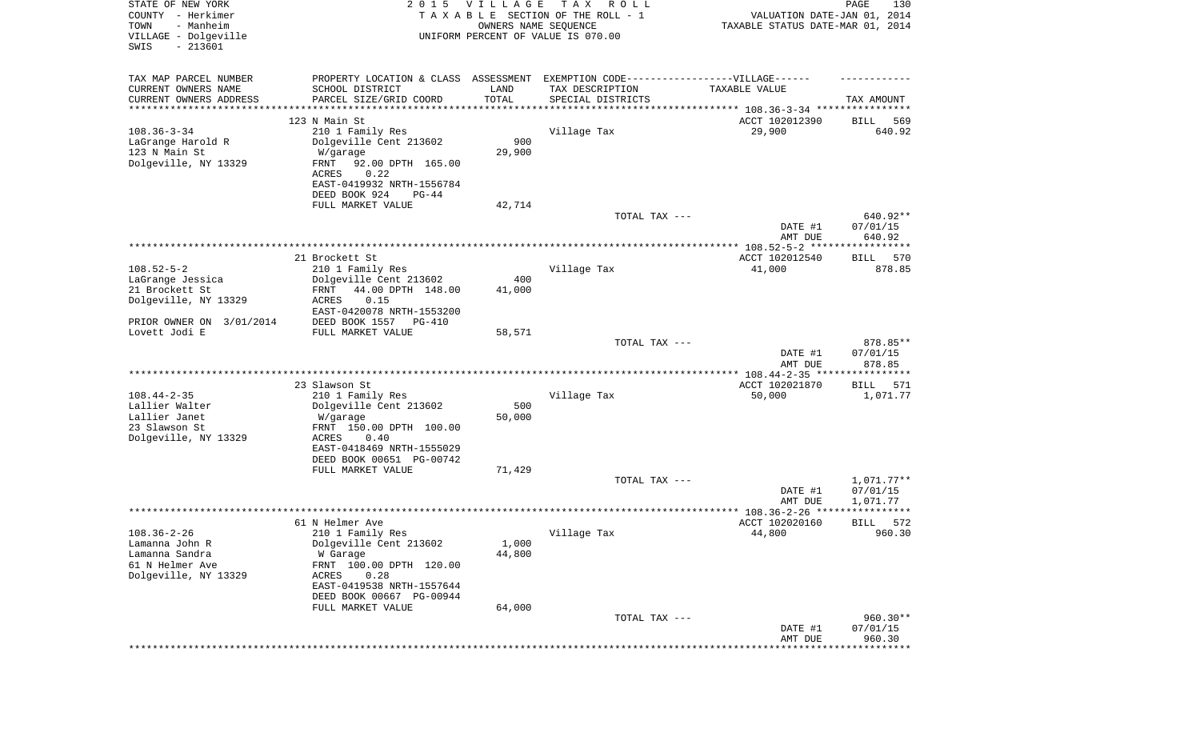| STATE OF NEW YORK<br>COUNTY - Herkimer<br>- Manheim<br>TOWN<br>VILLAGE - Dolgeville | 2 0 1 5                                                                           | VILLAGE<br>OWNERS NAME SEQUENCE | T A X<br>R O L L<br>TAXABLE SECTION OF THE ROLL - 1<br>UNIFORM PERCENT OF VALUE IS 070.00 | VALUATION DATE-JAN 01, 2014<br>TAXABLE STATUS DATE-MAR 01, 2014 | PAGE<br>130        |
|-------------------------------------------------------------------------------------|-----------------------------------------------------------------------------------|---------------------------------|-------------------------------------------------------------------------------------------|-----------------------------------------------------------------|--------------------|
| $-213601$<br>SWIS                                                                   |                                                                                   |                                 |                                                                                           |                                                                 |                    |
| TAX MAP PARCEL NUMBER                                                               | PROPERTY LOCATION & CLASS ASSESSMENT EXEMPTION CODE-----------------VILLAGE------ |                                 |                                                                                           |                                                                 |                    |
| CURRENT OWNERS NAME                                                                 | SCHOOL DISTRICT                                                                   | LAND                            | TAX DESCRIPTION                                                                           | TAXABLE VALUE                                                   |                    |
| CURRENT OWNERS ADDRESS<br>*********************                                     | PARCEL SIZE/GRID COORD                                                            | TOTAL<br>* * * * * * * * * * *  | SPECIAL DISTRICTS<br>********************************* 108.36-3-34 ****************       |                                                                 | TAX AMOUNT         |
|                                                                                     | 123 N Main St                                                                     |                                 |                                                                                           | ACCT 102012390                                                  | 569<br>BILL        |
| $108.36 - 3 - 34$                                                                   | 210 1 Family Res                                                                  |                                 | Village Tax                                                                               | 29,900                                                          | 640.92             |
| LaGrange Harold R                                                                   | Dolgeville Cent 213602                                                            | 900                             |                                                                                           |                                                                 |                    |
| 123 N Main St                                                                       | W/garage                                                                          | 29,900                          |                                                                                           |                                                                 |                    |
| Dolgeville, NY 13329                                                                | FRNT<br>92.00 DPTH 165.00<br>ACRES<br>0.22                                        |                                 |                                                                                           |                                                                 |                    |
|                                                                                     | EAST-0419932 NRTH-1556784                                                         |                                 |                                                                                           |                                                                 |                    |
|                                                                                     | DEED BOOK 924<br>$PG-44$                                                          |                                 |                                                                                           |                                                                 |                    |
|                                                                                     | FULL MARKET VALUE                                                                 | 42,714                          |                                                                                           |                                                                 |                    |
|                                                                                     |                                                                                   |                                 | TOTAL TAX ---                                                                             |                                                                 | 640.92**           |
|                                                                                     |                                                                                   |                                 |                                                                                           | DATE #1                                                         | 07/01/15<br>640.92 |
|                                                                                     |                                                                                   |                                 |                                                                                           | AMT DUE                                                         |                    |
|                                                                                     | 21 Brockett St                                                                    |                                 |                                                                                           | ACCT 102012540                                                  | BILL<br>570        |
| $108.52 - 5 - 2$                                                                    | 210 1 Family Res                                                                  |                                 | Village Tax                                                                               | 41,000                                                          | 878.85             |
| LaGrange Jessica                                                                    | Dolgeville Cent 213602                                                            | 400                             |                                                                                           |                                                                 |                    |
| 21 Brockett St<br>Dolgeville, NY 13329                                              | 44.00 DPTH 148.00<br>FRNT<br>ACRES<br>0.15                                        | 41,000                          |                                                                                           |                                                                 |                    |
|                                                                                     | EAST-0420078 NRTH-1553200                                                         |                                 |                                                                                           |                                                                 |                    |
| PRIOR OWNER ON 3/01/2014                                                            | DEED BOOK 1557<br>PG-410                                                          |                                 |                                                                                           |                                                                 |                    |
| Lovett Jodi E                                                                       | FULL MARKET VALUE                                                                 | 58,571                          |                                                                                           |                                                                 |                    |
|                                                                                     |                                                                                   |                                 | TOTAL TAX ---                                                                             |                                                                 | 878.85**           |
|                                                                                     |                                                                                   |                                 |                                                                                           | DATE #1<br>AMT DUE                                              | 07/01/15<br>878.85 |
|                                                                                     |                                                                                   |                                 |                                                                                           | ********** 108.44-2-35 *****************                        |                    |
|                                                                                     | 23 Slawson St                                                                     |                                 |                                                                                           | ACCT 102021870                                                  | 571<br>BILL        |
| $108.44 - 2 - 35$                                                                   | 210 1 Family Res                                                                  |                                 | Village Tax                                                                               | 50,000                                                          | 1,071.77           |
| Lallier Walter<br>Lallier Janet                                                     | Dolgeville Cent 213602                                                            | 500<br>50,000                   |                                                                                           |                                                                 |                    |
| 23 Slawson St                                                                       | W/garage<br>FRNT 150.00 DPTH 100.00                                               |                                 |                                                                                           |                                                                 |                    |
| Dolgeville, NY 13329                                                                | ACRES<br>0.40                                                                     |                                 |                                                                                           |                                                                 |                    |
|                                                                                     | EAST-0418469 NRTH-1555029                                                         |                                 |                                                                                           |                                                                 |                    |
|                                                                                     | DEED BOOK 00651 PG-00742                                                          |                                 |                                                                                           |                                                                 |                    |
|                                                                                     | FULL MARKET VALUE                                                                 | 71,429                          | TOTAL TAX ---                                                                             |                                                                 | 1,071.77**         |
|                                                                                     |                                                                                   |                                 |                                                                                           | DATE #1                                                         | 07/01/15           |
|                                                                                     |                                                                                   |                                 |                                                                                           | AMT DUE                                                         | 1,071.77           |
|                                                                                     |                                                                                   |                                 |                                                                                           | ******************* 108.36-2-26 ****                            | ****               |
|                                                                                     | 61 N Helmer Ave                                                                   |                                 |                                                                                           | ACCT 102020160                                                  | 572<br>BILL        |
| $108.36 - 2 - 26$<br>Lamanna John R                                                 | 210 1 Family Res<br>Dolgeville Cent 213602                                        | 1,000                           | Village Tax                                                                               | 44,800                                                          | 960.30             |
| Lamanna Sandra                                                                      | W Garage                                                                          | 44,800                          |                                                                                           |                                                                 |                    |
| 61 N Helmer Ave                                                                     | FRNT 100.00 DPTH 120.00                                                           |                                 |                                                                                           |                                                                 |                    |
| Dolgeville, NY 13329                                                                | 0.28<br>ACRES                                                                     |                                 |                                                                                           |                                                                 |                    |
|                                                                                     | EAST-0419538 NRTH-1557644                                                         |                                 |                                                                                           |                                                                 |                    |
|                                                                                     | DEED BOOK 00667 PG-00944<br>FULL MARKET VALUE                                     | 64,000                          |                                                                                           |                                                                 |                    |
|                                                                                     |                                                                                   |                                 | TOTAL TAX ---                                                                             |                                                                 | $960.30**$         |
|                                                                                     |                                                                                   |                                 |                                                                                           | DATE #1                                                         | 07/01/15           |
|                                                                                     |                                                                                   |                                 |                                                                                           | AMT DUE                                                         | 960.30             |
|                                                                                     |                                                                                   |                                 |                                                                                           |                                                                 |                    |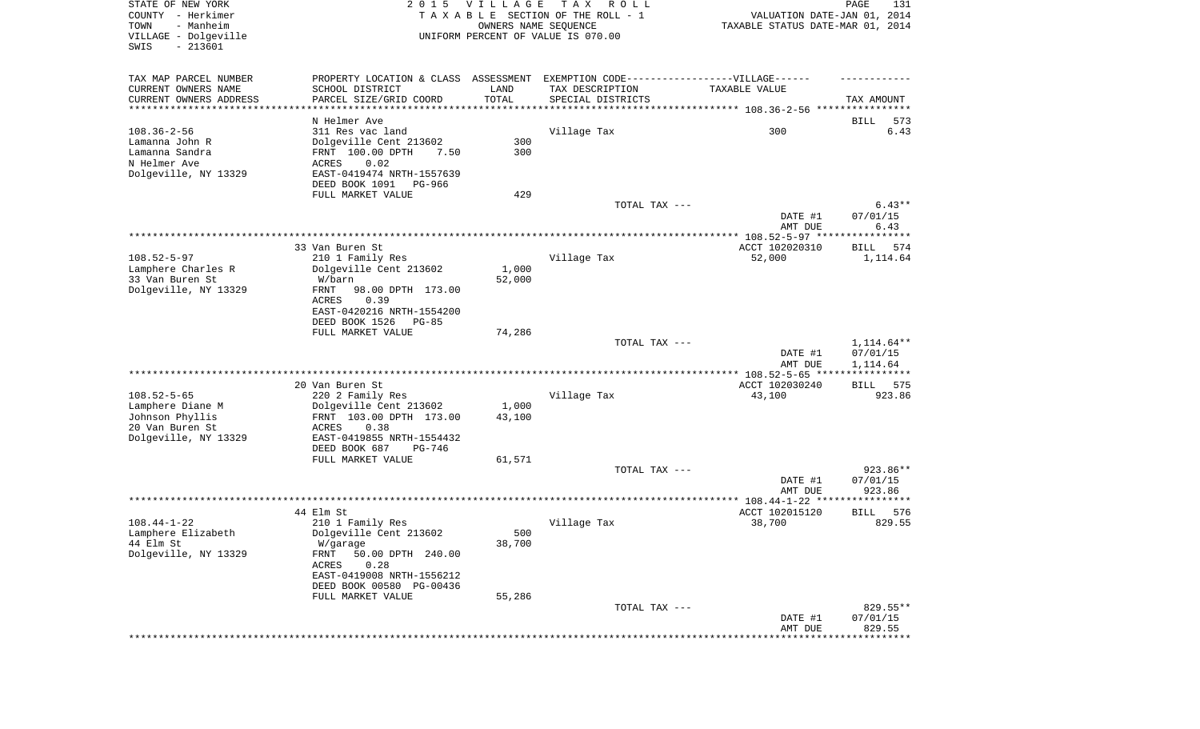| STATE OF NEW YORK<br>COUNTY - Herkimer<br>- Manheim<br>TOWN<br>VILLAGE - Dolgeville<br>SWIS<br>$-213601$ | 2 0 1 5                                                       | <b>VILLAGE</b><br>OWNERS NAME SEQUENCE | T A X<br>R O L L<br>TAXABLE SECTION OF THE ROLL - 1<br>UNIFORM PERCENT OF VALUE IS 070.00 | VALUATION DATE-JAN 01, 2014<br>TAXABLE STATUS DATE-MAR 01, 2014 | PAGE<br>131          |
|----------------------------------------------------------------------------------------------------------|---------------------------------------------------------------|----------------------------------------|-------------------------------------------------------------------------------------------|-----------------------------------------------------------------|----------------------|
| TAX MAP PARCEL NUMBER                                                                                    | PROPERTY LOCATION & CLASS ASSESSMENT                          |                                        | EXEMPTION CODE-----------------VILLAGE------                                              |                                                                 |                      |
| CURRENT OWNERS NAME                                                                                      | SCHOOL DISTRICT                                               | LAND                                   | TAX DESCRIPTION                                                                           | TAXABLE VALUE                                                   |                      |
| CURRENT OWNERS ADDRESS<br>*********************                                                          | PARCEL SIZE/GRID COORD<br>*********************************** | TOTAL                                  | SPECIAL DISTRICTS                                                                         |                                                                 | TAX AMOUNT           |
|                                                                                                          | N Helmer Ave                                                  |                                        |                                                                                           |                                                                 | 573<br>BILL          |
| $108.36 - 2 - 56$                                                                                        | 311 Res vac land                                              |                                        | Village Tax                                                                               | 300                                                             | 6.43                 |
| Lamanna John R                                                                                           | Dolgeville Cent 213602                                        | 300                                    |                                                                                           |                                                                 |                      |
| Lamanna Sandra                                                                                           | FRNT 100.00 DPTH<br>7.50                                      | 300                                    |                                                                                           |                                                                 |                      |
| N Helmer Ave<br>Dolgeville, NY 13329                                                                     | ACRES<br>0.02<br>EAST-0419474 NRTH-1557639                    |                                        |                                                                                           |                                                                 |                      |
|                                                                                                          | DEED BOOK 1091<br>PG-966                                      |                                        |                                                                                           |                                                                 |                      |
|                                                                                                          | FULL MARKET VALUE                                             | 429                                    |                                                                                           |                                                                 |                      |
|                                                                                                          |                                                               |                                        | TOTAL TAX ---                                                                             |                                                                 | $6.43**$             |
|                                                                                                          |                                                               |                                        |                                                                                           | DATE #1                                                         | 07/01/15             |
|                                                                                                          |                                                               |                                        |                                                                                           | AMT DUE                                                         | 6.43                 |
|                                                                                                          | 33 Van Buren St                                               |                                        |                                                                                           | ACCT 102020310                                                  | 574<br>BILL          |
| $108.52 - 5 - 97$                                                                                        | 210 1 Family Res                                              |                                        | Village Tax                                                                               | 52,000                                                          | 1,114.64             |
| Lamphere Charles R                                                                                       | Dolgeville Cent 213602                                        | 1,000                                  |                                                                                           |                                                                 |                      |
| 33 Van Buren St                                                                                          | W/barn                                                        | 52,000                                 |                                                                                           |                                                                 |                      |
| Dolgeville, NY 13329                                                                                     | FRNT<br>98.00 DPTH 173.00<br>ACRES<br>0.39                    |                                        |                                                                                           |                                                                 |                      |
|                                                                                                          | EAST-0420216 NRTH-1554200                                     |                                        |                                                                                           |                                                                 |                      |
|                                                                                                          | DEED BOOK 1526<br>PG-85                                       |                                        |                                                                                           |                                                                 |                      |
|                                                                                                          | FULL MARKET VALUE                                             | 74,286                                 |                                                                                           |                                                                 |                      |
|                                                                                                          |                                                               |                                        | TOTAL TAX ---                                                                             |                                                                 | 1,114.64**           |
|                                                                                                          |                                                               |                                        |                                                                                           | DATE #1<br>AMT DUE                                              | 07/01/15<br>1,114.64 |
|                                                                                                          | 20 Van Buren St                                               |                                        |                                                                                           | *************** 108.52-5-65 *****<br>ACCT 102030240             | ***********<br>575   |
| $108.52 - 5 - 65$                                                                                        | 220 2 Family Res                                              |                                        | Village Tax                                                                               | 43,100                                                          | BILL<br>923.86       |
| Lamphere Diane M                                                                                         | Dolgeville Cent 213602                                        | 1,000                                  |                                                                                           |                                                                 |                      |
| Johnson Phyllis                                                                                          | FRNT 103.00 DPTH 173.00                                       | 43,100                                 |                                                                                           |                                                                 |                      |
| 20 Van Buren St                                                                                          | ACRES<br>0.38                                                 |                                        |                                                                                           |                                                                 |                      |
| Dolgeville, NY 13329                                                                                     | EAST-0419855 NRTH-1554432                                     |                                        |                                                                                           |                                                                 |                      |
|                                                                                                          | DEED BOOK 687<br>PG-746<br>FULL MARKET VALUE                  | 61,571                                 |                                                                                           |                                                                 |                      |
|                                                                                                          |                                                               |                                        | TOTAL TAX ---                                                                             |                                                                 | 923.86**             |
|                                                                                                          |                                                               |                                        |                                                                                           | DATE #1                                                         | 07/01/15             |
|                                                                                                          |                                                               |                                        |                                                                                           | AMT DUE                                                         | 923.86               |
|                                                                                                          | 44 Elm St                                                     |                                        |                                                                                           | ACCT 102015120                                                  | 576<br><b>BILL</b>   |
| $108.44 - 1 - 22$                                                                                        | 210 1 Family Res                                              |                                        | Village Tax                                                                               | 38,700                                                          | 829.55               |
| Lamphere Elizabeth                                                                                       | Dolgeville Cent 213602                                        | 500                                    |                                                                                           |                                                                 |                      |
| 44 Elm St                                                                                                | W/garage                                                      | 38,700                                 |                                                                                           |                                                                 |                      |
| Dolgeville, NY 13329                                                                                     | FRNT<br>50.00 DPTH 240.00                                     |                                        |                                                                                           |                                                                 |                      |
|                                                                                                          | ACRES<br>0.28<br>EAST-0419008 NRTH-1556212                    |                                        |                                                                                           |                                                                 |                      |
|                                                                                                          | DEED BOOK 00580 PG-00436                                      |                                        |                                                                                           |                                                                 |                      |
|                                                                                                          | FULL MARKET VALUE                                             | 55,286                                 |                                                                                           |                                                                 |                      |
|                                                                                                          |                                                               |                                        | TOTAL TAX ---                                                                             |                                                                 | 829.55**             |
|                                                                                                          |                                                               |                                        |                                                                                           | DATE #1                                                         | 07/01/15             |
|                                                                                                          |                                                               |                                        |                                                                                           | AMT DUE                                                         | 829.55               |
|                                                                                                          |                                                               |                                        |                                                                                           |                                                                 |                      |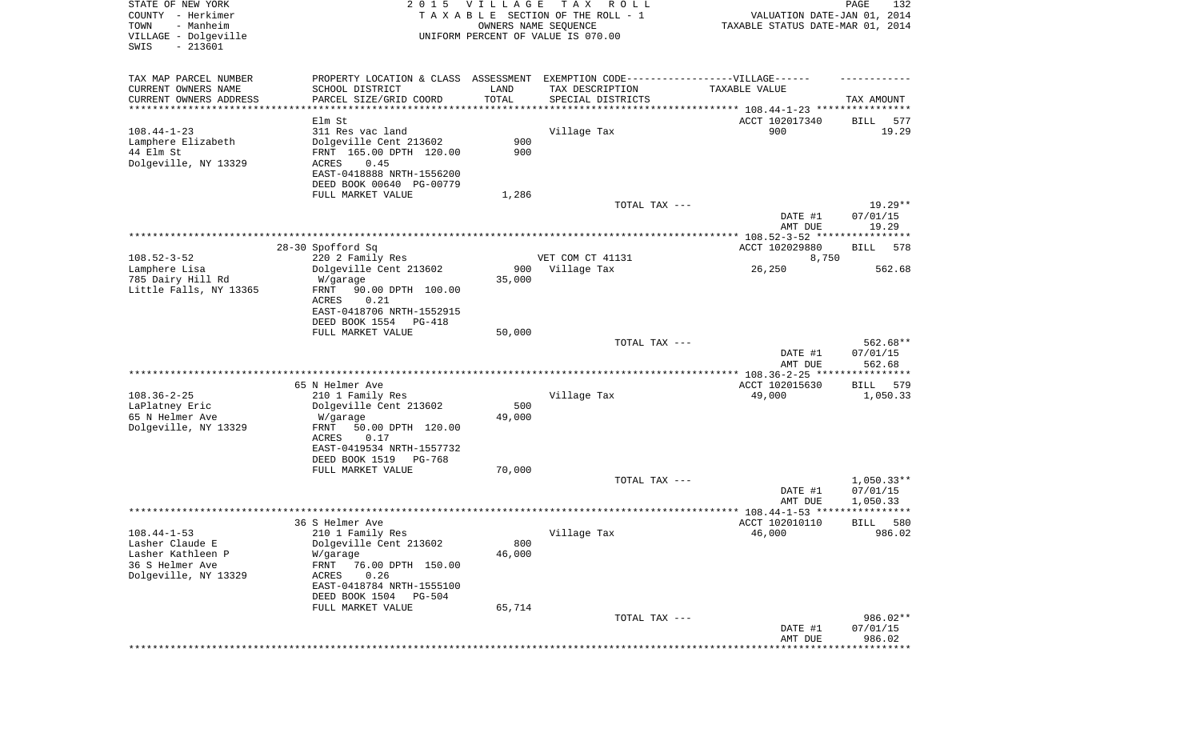| STATE OF NEW YORK<br>COUNTY - Herkimer<br>- Manheim<br>TOWN<br>VILLAGE - Dolgeville<br>SWIS<br>$-213601$ | 2 0 1 5                                                                                             | <b>VILLAGE</b>        | T A X<br>R O L L<br>TAXABLE SECTION OF THE ROLL - 1<br>OWNERS NAME SEQUENCE<br>UNIFORM PERCENT OF VALUE IS 070.00 | VALUATION DATE-JAN 01, 2014<br>TAXABLE STATUS DATE-MAR 01, 2014 | PAGE<br>132              |
|----------------------------------------------------------------------------------------------------------|-----------------------------------------------------------------------------------------------------|-----------------------|-------------------------------------------------------------------------------------------------------------------|-----------------------------------------------------------------|--------------------------|
| TAX MAP PARCEL NUMBER<br>CURRENT OWNERS NAME                                                             | PROPERTY LOCATION & CLASS ASSESSMENT EXEMPTION CODE----------------VILLAGE------<br>SCHOOL DISTRICT | LAND                  | TAX DESCRIPTION                                                                                                   | TAXABLE VALUE                                                   |                          |
| CURRENT OWNERS ADDRESS                                                                                   | PARCEL SIZE/GRID COORD                                                                              | TOTAL                 | SPECIAL DISTRICTS                                                                                                 |                                                                 | TAX AMOUNT               |
| **********************                                                                                   |                                                                                                     | * * * * * * * * * * * |                                                                                                                   |                                                                 |                          |
| $108.44 - 1 - 23$                                                                                        | Elm St<br>311 Res vac land                                                                          |                       |                                                                                                                   | ACCT 102017340<br>900                                           | 577<br>BILL<br>19.29     |
| Lamphere Elizabeth                                                                                       | Dolgeville Cent 213602                                                                              | 900                   | Village Tax                                                                                                       |                                                                 |                          |
| 44 Elm St                                                                                                | FRNT 165.00 DPTH 120.00                                                                             | 900                   |                                                                                                                   |                                                                 |                          |
| Dolgeville, NY 13329                                                                                     | <b>ACRES</b><br>0.45                                                                                |                       |                                                                                                                   |                                                                 |                          |
|                                                                                                          | EAST-0418888 NRTH-1556200                                                                           |                       |                                                                                                                   |                                                                 |                          |
|                                                                                                          | DEED BOOK 00640 PG-00779<br>FULL MARKET VALUE                                                       | 1,286                 |                                                                                                                   |                                                                 |                          |
|                                                                                                          |                                                                                                     |                       | TOTAL TAX ---                                                                                                     |                                                                 | $19.29**$                |
|                                                                                                          |                                                                                                     |                       |                                                                                                                   | DATE #1                                                         | 07/01/15                 |
|                                                                                                          |                                                                                                     |                       |                                                                                                                   | AMT DUE                                                         | 19.29                    |
|                                                                                                          |                                                                                                     |                       |                                                                                                                   |                                                                 |                          |
| $108.52 - 3 - 52$                                                                                        | 28-30 Spofford Sq<br>220 2 Family Res                                                               |                       | VET COM CT 41131                                                                                                  | ACCT 102029880<br>8,750                                         | BILL<br>578              |
| Lamphere Lisa                                                                                            | Dolgeville Cent 213602                                                                              | 900                   | Village Tax                                                                                                       | 26,250                                                          | 562.68                   |
| 785 Dairy Hill Rd                                                                                        | W/garage                                                                                            | 35,000                |                                                                                                                   |                                                                 |                          |
| Little Falls, NY 13365                                                                                   | 90.00 DPTH 100.00<br>FRNT                                                                           |                       |                                                                                                                   |                                                                 |                          |
|                                                                                                          | <b>ACRES</b><br>0.21<br>EAST-0418706 NRTH-1552915                                                   |                       |                                                                                                                   |                                                                 |                          |
|                                                                                                          | DEED BOOK 1554<br>PG-418                                                                            |                       |                                                                                                                   |                                                                 |                          |
|                                                                                                          | FULL MARKET VALUE                                                                                   | 50,000                |                                                                                                                   |                                                                 |                          |
|                                                                                                          |                                                                                                     |                       | TOTAL TAX ---                                                                                                     |                                                                 | 562.68**                 |
|                                                                                                          |                                                                                                     |                       |                                                                                                                   | DATE #1                                                         | 07/01/15                 |
|                                                                                                          |                                                                                                     |                       |                                                                                                                   | AMT DUE<br>*********** 108.36-2-25 *****************            | 562.68                   |
|                                                                                                          | 65 N Helmer Ave                                                                                     |                       |                                                                                                                   | ACCT 102015630                                                  | BILL<br>579              |
| $108.36 - 2 - 25$                                                                                        | 210 1 Family Res                                                                                    |                       | Village Tax                                                                                                       | 49,000                                                          | 1,050.33                 |
| LaPlatney Eric                                                                                           | Dolgeville Cent 213602                                                                              | 500                   |                                                                                                                   |                                                                 |                          |
| 65 N Helmer Ave                                                                                          | W/garage                                                                                            | 49,000                |                                                                                                                   |                                                                 |                          |
| Dolgeville, NY 13329                                                                                     | FRNT<br>50.00 DPTH 120.00<br>ACRES<br>0.17                                                          |                       |                                                                                                                   |                                                                 |                          |
|                                                                                                          | EAST-0419534 NRTH-1557732                                                                           |                       |                                                                                                                   |                                                                 |                          |
|                                                                                                          | DEED BOOK 1519<br>PG-768                                                                            |                       |                                                                                                                   |                                                                 |                          |
|                                                                                                          | FULL MARKET VALUE                                                                                   | 70,000                |                                                                                                                   |                                                                 |                          |
|                                                                                                          |                                                                                                     |                       | TOTAL TAX ---                                                                                                     | DATE #1                                                         | $1,050.33**$<br>07/01/15 |
|                                                                                                          |                                                                                                     |                       |                                                                                                                   | AMT DUE                                                         | 1,050.33                 |
|                                                                                                          |                                                                                                     |                       |                                                                                                                   | **************** 108.44-1-53 *****                              | *****                    |
|                                                                                                          | 36 S Helmer Ave                                                                                     |                       |                                                                                                                   | ACCT 102010110                                                  | 580<br>BILL              |
| $108.44 - 1 - 53$                                                                                        | 210 1 Family Res                                                                                    |                       | Village Tax                                                                                                       | 46,000                                                          | 986.02                   |
| Lasher Claude E<br>Lasher Kathleen P                                                                     | Dolgeville Cent 213602<br>W/garage                                                                  | 800<br>46,000         |                                                                                                                   |                                                                 |                          |
| 36 S Helmer Ave                                                                                          | FRNT<br>76.00 DPTH 150.00                                                                           |                       |                                                                                                                   |                                                                 |                          |
| Dolgeville, NY 13329                                                                                     | ACRES<br>0.26                                                                                       |                       |                                                                                                                   |                                                                 |                          |
|                                                                                                          | EAST-0418784 NRTH-1555100                                                                           |                       |                                                                                                                   |                                                                 |                          |
|                                                                                                          | DEED BOOK 1504<br>$PG-504$                                                                          |                       |                                                                                                                   |                                                                 |                          |
|                                                                                                          | FULL MARKET VALUE                                                                                   | 65,714                | TOTAL TAX ---                                                                                                     |                                                                 | 986.02**                 |
|                                                                                                          |                                                                                                     |                       |                                                                                                                   | DATE #1                                                         | 07/01/15                 |
|                                                                                                          |                                                                                                     |                       |                                                                                                                   | AMT DUE                                                         | 986.02                   |
|                                                                                                          |                                                                                                     |                       |                                                                                                                   |                                                                 | *********                |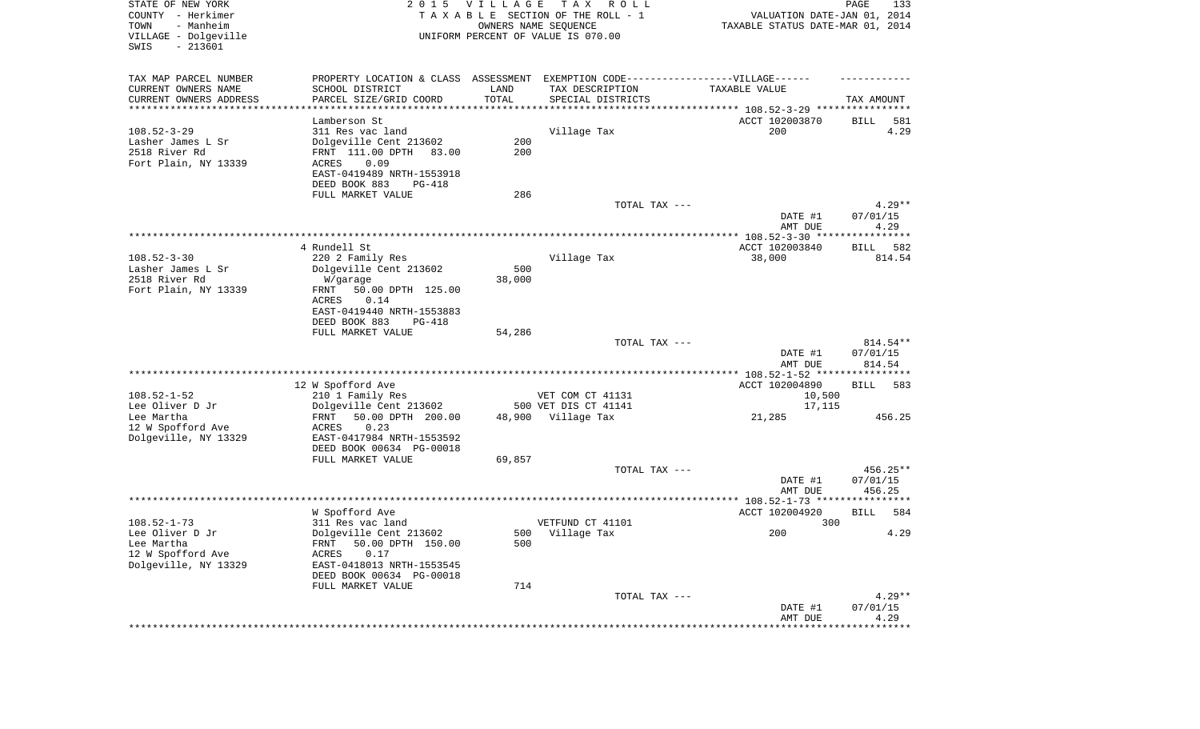| STATE OF NEW YORK<br>COUNTY - Herkimer<br>- Manheim<br>TOWN<br>VILLAGE - Dolgeville<br>SWIS<br>$-213601$ |                                                                                   | 2015 VILLAGE                   | T A X<br>R O L L<br>TAXABLE SECTION OF THE ROLL - 1<br>OWNERS NAME SEQUENCE<br>UNIFORM PERCENT OF VALUE IS 070.00 | VALUATION DATE-JAN 01, 2014<br>TAXABLE STATUS DATE-MAR 01, 2014 | PAGE<br>133          |
|----------------------------------------------------------------------------------------------------------|-----------------------------------------------------------------------------------|--------------------------------|-------------------------------------------------------------------------------------------------------------------|-----------------------------------------------------------------|----------------------|
| TAX MAP PARCEL NUMBER                                                                                    | PROPERTY LOCATION & CLASS ASSESSMENT EXEMPTION CODE-----------------VILLAGE------ |                                |                                                                                                                   |                                                                 |                      |
| CURRENT OWNERS NAME                                                                                      | SCHOOL DISTRICT                                                                   | LAND                           | TAX DESCRIPTION                                                                                                   | TAXABLE VALUE                                                   |                      |
| CURRENT OWNERS ADDRESS<br>*********************                                                          | PARCEL SIZE/GRID COORD<br>*******************                                     | TOTAL<br>* * * * * * * * * * * | SPECIAL DISTRICTS                                                                                                 |                                                                 | TAX AMOUNT           |
|                                                                                                          | Lamberson St                                                                      |                                |                                                                                                                   | ACCT 102003870                                                  | BILL<br>581          |
| $108.52 - 3 - 29$                                                                                        | 311 Res vac land                                                                  |                                | Village Tax                                                                                                       | 200                                                             | 4.29                 |
| Lasher James L Sr                                                                                        | Dolgeville Cent 213602                                                            | 200                            |                                                                                                                   |                                                                 |                      |
| 2518 River Rd                                                                                            | FRNT 111.00 DPTH<br>83.00                                                         | 200                            |                                                                                                                   |                                                                 |                      |
| Fort Plain, NY 13339                                                                                     | 0.09<br>ACRES                                                                     |                                |                                                                                                                   |                                                                 |                      |
|                                                                                                          | EAST-0419489 NRTH-1553918                                                         |                                |                                                                                                                   |                                                                 |                      |
|                                                                                                          | DEED BOOK 883<br>PG-418                                                           |                                |                                                                                                                   |                                                                 |                      |
|                                                                                                          | FULL MARKET VALUE                                                                 | 286                            |                                                                                                                   |                                                                 |                      |
|                                                                                                          |                                                                                   |                                | TOTAL TAX ---                                                                                                     | DATE #1                                                         | $4.29**$<br>07/01/15 |
|                                                                                                          |                                                                                   |                                |                                                                                                                   | AMT DUE                                                         | 4.29                 |
|                                                                                                          | 4 Rundell St                                                                      |                                |                                                                                                                   | ACCT 102003840                                                  | 582<br>BILL          |
| $108.52 - 3 - 30$                                                                                        | 220 2 Family Res                                                                  |                                | Village Tax                                                                                                       | 38,000                                                          | 814.54               |
| Lasher James L Sr                                                                                        | Dolgeville Cent 213602                                                            | 500                            |                                                                                                                   |                                                                 |                      |
| 2518 River Rd                                                                                            | W/garage                                                                          | 38,000                         |                                                                                                                   |                                                                 |                      |
| Fort Plain, NY 13339                                                                                     | 50.00 DPTH 125.00<br>FRNT                                                         |                                |                                                                                                                   |                                                                 |                      |
|                                                                                                          | ACRES<br>0.14                                                                     |                                |                                                                                                                   |                                                                 |                      |
|                                                                                                          | EAST-0419440 NRTH-1553883                                                         |                                |                                                                                                                   |                                                                 |                      |
|                                                                                                          | DEED BOOK 883<br>$PG-418$<br>FULL MARKET VALUE                                    | 54,286                         |                                                                                                                   |                                                                 |                      |
|                                                                                                          |                                                                                   |                                | TOTAL TAX ---                                                                                                     |                                                                 | 814.54**             |
|                                                                                                          |                                                                                   |                                |                                                                                                                   | DATE #1                                                         | 07/01/15             |
|                                                                                                          |                                                                                   |                                |                                                                                                                   | AMT DUE                                                         | 814.54               |
|                                                                                                          |                                                                                   |                                |                                                                                                                   | ************** 108.52-1-52 *****************                    |                      |
|                                                                                                          | 12 W Spofford Ave                                                                 |                                |                                                                                                                   | ACCT 102004890                                                  | BILL<br>583          |
| $108.52 - 1 - 52$<br>Lee Oliver D Jr                                                                     | 210 1 Family Res<br>Dolgeville Cent 213602                                        |                                | VET COM CT 41131<br>500 VET DIS CT 41141                                                                          | 10,500<br>17,115                                                |                      |
| Lee Martha                                                                                               | 50.00 DPTH 200.00<br>FRNT                                                         |                                | 48,900 Village Tax                                                                                                | 21,285                                                          | 456.25               |
| 12 W Spofford Ave                                                                                        | ACRES<br>0.23                                                                     |                                |                                                                                                                   |                                                                 |                      |
| Dolgeville, NY 13329                                                                                     | EAST-0417984 NRTH-1553592                                                         |                                |                                                                                                                   |                                                                 |                      |
|                                                                                                          | DEED BOOK 00634 PG-00018                                                          |                                |                                                                                                                   |                                                                 |                      |
|                                                                                                          | FULL MARKET VALUE                                                                 | 69,857                         |                                                                                                                   |                                                                 |                      |
|                                                                                                          |                                                                                   |                                | TOTAL TAX ---                                                                                                     |                                                                 | 456.25**             |
|                                                                                                          |                                                                                   |                                |                                                                                                                   | DATE #1                                                         | 07/01/15             |
|                                                                                                          |                                                                                   |                                |                                                                                                                   | AMT DUE                                                         | 456.25               |
|                                                                                                          | W Spofford Ave                                                                    |                                |                                                                                                                   | ACCT 102004920                                                  | 584<br><b>BILL</b>   |
| $108.52 - 1 - 73$                                                                                        | 311 Res vac land                                                                  |                                | VETFUND CT 41101                                                                                                  | 300                                                             |                      |
| Lee Oliver D Jr                                                                                          | Dolgeville Cent 213602                                                            |                                | 500 Village Tax                                                                                                   | 200                                                             | 4.29                 |
| Lee Martha                                                                                               | 50.00 DPTH 150.00<br>FRNT                                                         | 500                            |                                                                                                                   |                                                                 |                      |
| 12 W Spofford Ave                                                                                        | 0.17<br>ACRES                                                                     |                                |                                                                                                                   |                                                                 |                      |
| Dolgeville, NY 13329                                                                                     | EAST-0418013 NRTH-1553545                                                         |                                |                                                                                                                   |                                                                 |                      |
|                                                                                                          | DEED BOOK 00634 PG-00018                                                          |                                |                                                                                                                   |                                                                 |                      |
|                                                                                                          | FULL MARKET VALUE                                                                 | 714                            |                                                                                                                   |                                                                 | $4.29**$             |
|                                                                                                          |                                                                                   |                                | TOTAL TAX ---                                                                                                     | DATE #1                                                         | 07/01/15             |
|                                                                                                          |                                                                                   |                                |                                                                                                                   | AMT DUE                                                         | 4.29                 |
|                                                                                                          |                                                                                   |                                |                                                                                                                   |                                                                 |                      |
|                                                                                                          |                                                                                   |                                |                                                                                                                   |                                                                 |                      |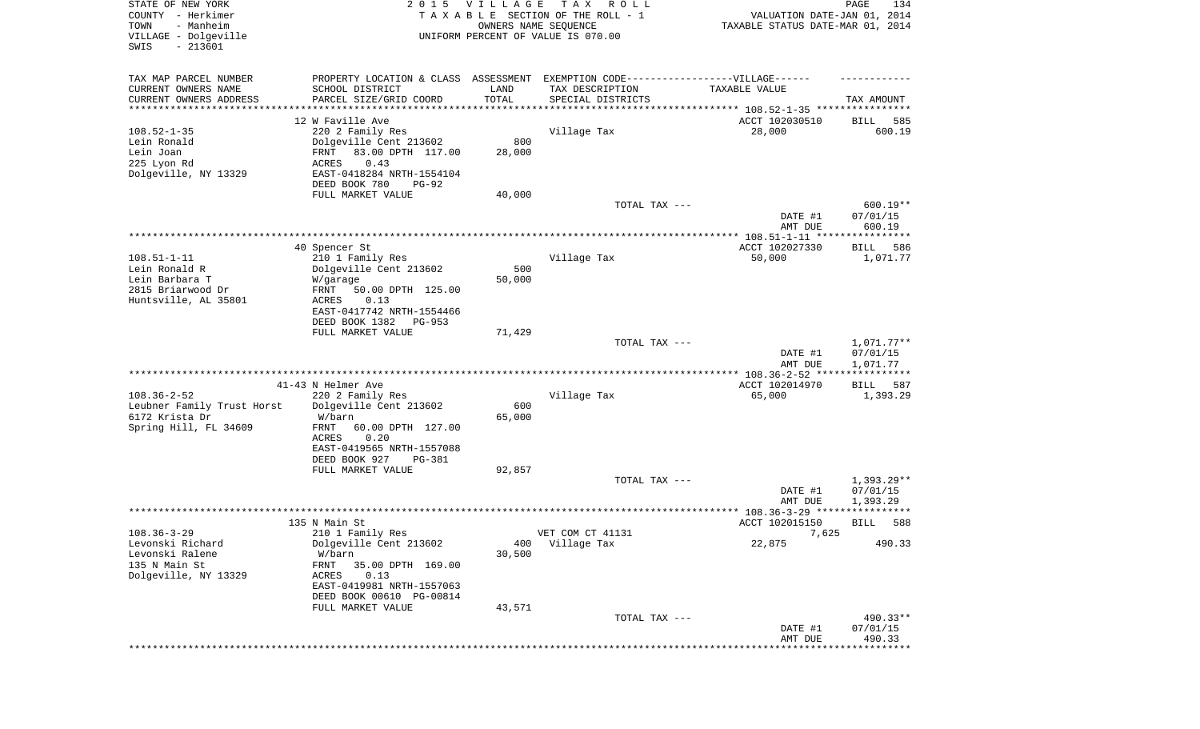| STATE OF NEW YORK<br>COUNTY - Herkimer<br>- Manheim<br>TOWN<br>VILLAGE - Dolgeville<br>SWIS<br>$-213601$ | 2 0 1 5                                                                                                                        | VILLAGE<br>OWNERS NAME SEQUENCE | T A X<br>R O L L<br>TAXABLE SECTION OF THE ROLL - 1<br>UNIFORM PERCENT OF VALUE IS 070.00 | VALUATION DATE-JAN 01, 2014<br>TAXABLE STATUS DATE-MAR 01, 2014 | PAGE<br>134                         |
|----------------------------------------------------------------------------------------------------------|--------------------------------------------------------------------------------------------------------------------------------|---------------------------------|-------------------------------------------------------------------------------------------|-----------------------------------------------------------------|-------------------------------------|
|                                                                                                          |                                                                                                                                |                                 |                                                                                           |                                                                 |                                     |
| TAX MAP PARCEL NUMBER<br>CURRENT OWNERS NAME<br>CURRENT OWNERS ADDRESS                                   | PROPERTY LOCATION & CLASS ASSESSMENT EXEMPTION CODE-----------------VILLAGE------<br>SCHOOL DISTRICT<br>PARCEL SIZE/GRID COORD | LAND<br>TOTAL                   | TAX DESCRIPTION<br>SPECIAL DISTRICTS                                                      | TAXABLE VALUE                                                   | TAX AMOUNT                          |
| ********************                                                                                     |                                                                                                                                | **********                      | ********************************* 108.52-1-35 ****************                            |                                                                 |                                     |
|                                                                                                          | 12 W Faville Ave                                                                                                               |                                 |                                                                                           | ACCT 102030510                                                  | 585<br>BILL                         |
| $108.52 - 1 - 35$<br>Lein Ronald<br>Lein Joan                                                            | 220 2 Family Res<br>Dolgeville Cent 213602<br>83.00 DPTH 117.00<br>FRNT                                                        | 800<br>28,000                   | Village Tax                                                                               | 28,000                                                          | 600.19                              |
| 225 Lyon Rd<br>Dolgeville, NY 13329                                                                      | 0.43<br>ACRES<br>EAST-0418284 NRTH-1554104                                                                                     |                                 |                                                                                           |                                                                 |                                     |
|                                                                                                          | DEED BOOK 780<br>$PG-92$                                                                                                       |                                 |                                                                                           |                                                                 |                                     |
|                                                                                                          | FULL MARKET VALUE                                                                                                              | 40,000                          |                                                                                           |                                                                 |                                     |
|                                                                                                          |                                                                                                                                |                                 | TOTAL TAX ---                                                                             | DATE #1<br>AMT DUE                                              | $600.19**$<br>07/01/15<br>600.19    |
|                                                                                                          |                                                                                                                                |                                 |                                                                                           |                                                                 |                                     |
|                                                                                                          | 40 Spencer St                                                                                                                  |                                 |                                                                                           | ACCT 102027330                                                  | 586<br>BILL                         |
| $108.51 - 1 - 11$<br>Lein Ronald R                                                                       | 210 1 Family Res<br>Dolgeville Cent 213602                                                                                     | 500                             | Village Tax                                                                               | 50,000                                                          | 1,071.77                            |
| Lein Barbara T                                                                                           | W/garage                                                                                                                       | 50,000                          |                                                                                           |                                                                 |                                     |
| 2815 Briarwood Dr                                                                                        | 50.00 DPTH 125.00<br>FRNT                                                                                                      |                                 |                                                                                           |                                                                 |                                     |
| Huntsville, AL 35801                                                                                     | ACRES<br>0.13                                                                                                                  |                                 |                                                                                           |                                                                 |                                     |
|                                                                                                          | EAST-0417742 NRTH-1554466<br>DEED BOOK 1382<br>PG-953                                                                          |                                 |                                                                                           |                                                                 |                                     |
|                                                                                                          | FULL MARKET VALUE                                                                                                              | 71,429                          |                                                                                           |                                                                 |                                     |
|                                                                                                          |                                                                                                                                |                                 | TOTAL TAX ---                                                                             |                                                                 | $1,071.77**$                        |
|                                                                                                          |                                                                                                                                |                                 |                                                                                           | DATE #1                                                         | 07/01/15                            |
|                                                                                                          |                                                                                                                                |                                 |                                                                                           | AMT DUE                                                         | 1,071.77<br>* * * * * * * * * * * * |
|                                                                                                          | 41-43 N Helmer Ave                                                                                                             |                                 |                                                                                           | ********** 108.36-2-52 ****<br>ACCT 102014970                   | 587<br>BILL                         |
| $108.36 - 2 - 52$                                                                                        | 220 2 Family Res                                                                                                               |                                 | Village Tax                                                                               | 65,000                                                          | 1,393.29                            |
| Leubner Family Trust Horst                                                                               | Dolgeville Cent 213602                                                                                                         | 600                             |                                                                                           |                                                                 |                                     |
| 6172 Krista Dr                                                                                           | W/barn                                                                                                                         | 65,000                          |                                                                                           |                                                                 |                                     |
| Spring Hill, FL 34609                                                                                    | FRNT<br>60.00 DPTH 127.00<br>ACRES<br>0.20                                                                                     |                                 |                                                                                           |                                                                 |                                     |
|                                                                                                          | EAST-0419565 NRTH-1557088                                                                                                      |                                 |                                                                                           |                                                                 |                                     |
|                                                                                                          | DEED BOOK 927<br>PG-381                                                                                                        |                                 |                                                                                           |                                                                 |                                     |
|                                                                                                          | FULL MARKET VALUE                                                                                                              | 92,857                          |                                                                                           |                                                                 |                                     |
|                                                                                                          |                                                                                                                                |                                 | TOTAL TAX ---                                                                             | DATE #1                                                         | $1,393.29**$<br>07/01/15            |
|                                                                                                          |                                                                                                                                |                                 |                                                                                           | AMT DUE                                                         | 1,393.29                            |
|                                                                                                          |                                                                                                                                |                                 |                                                                                           |                                                                 | * * * *                             |
|                                                                                                          | 135 N Main St                                                                                                                  |                                 |                                                                                           | ACCT 102015150                                                  | 588<br>BILL                         |
| $108.36 - 3 - 29$<br>Levonski Richard                                                                    | 210 1 Family Res<br>Dolgeville Cent 213602                                                                                     | 400                             | VET COM CT 41131<br>Village Tax                                                           | 7,625<br>22,875                                                 | 490.33                              |
| Levonski Ralene                                                                                          | W/barn                                                                                                                         | 30,500                          |                                                                                           |                                                                 |                                     |
| 135 N Main St                                                                                            | FRNT<br>35.00 DPTH 169.00                                                                                                      |                                 |                                                                                           |                                                                 |                                     |
| Dolgeville, NY 13329                                                                                     | ACRES<br>0.13                                                                                                                  |                                 |                                                                                           |                                                                 |                                     |
|                                                                                                          | EAST-0419981 NRTH-1557063                                                                                                      |                                 |                                                                                           |                                                                 |                                     |
|                                                                                                          | DEED BOOK 00610 PG-00814<br>FULL MARKET VALUE                                                                                  | 43,571                          |                                                                                           |                                                                 |                                     |
|                                                                                                          |                                                                                                                                |                                 | TOTAL TAX ---                                                                             |                                                                 | $490.33**$                          |
|                                                                                                          |                                                                                                                                |                                 |                                                                                           | DATE #1                                                         | 07/01/15                            |
|                                                                                                          |                                                                                                                                |                                 |                                                                                           | AMT DUE                                                         | 490.33                              |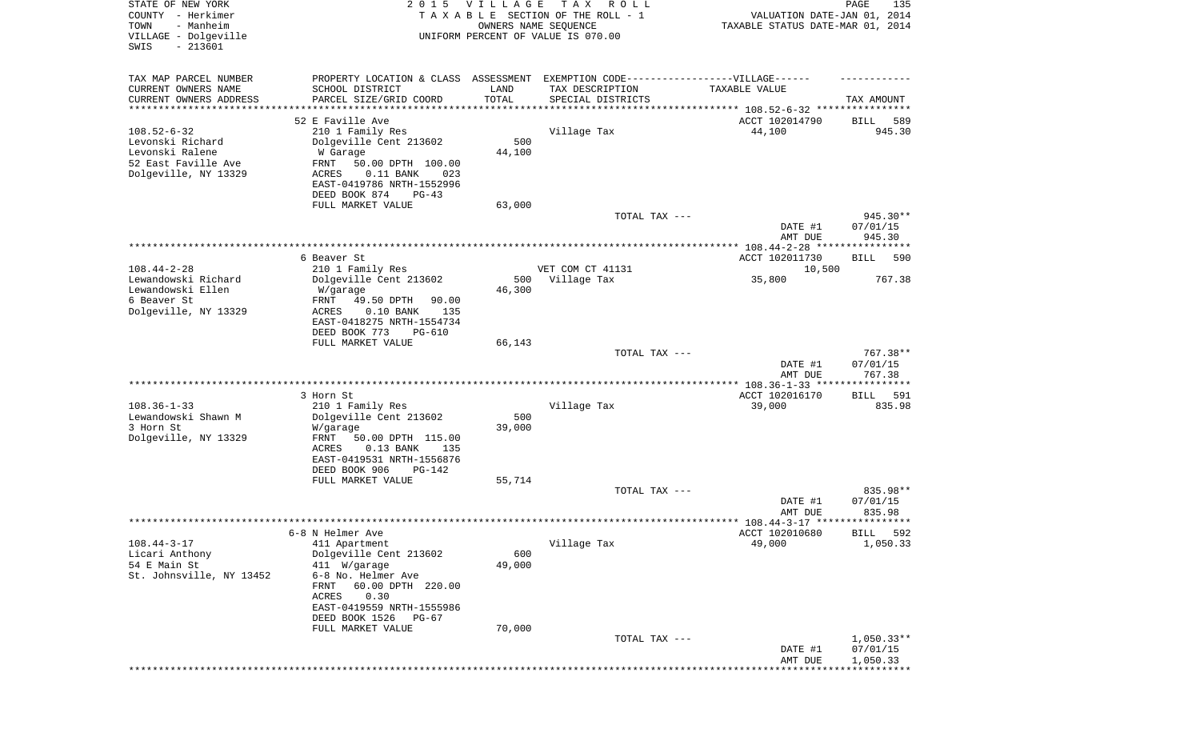| STATE OF NEW YORK<br>COUNTY - Herkimer<br>- Manheim<br>TOWN<br>VILLAGE - Dolgeville<br>$-213601$<br>SWIS | 2 0 1 5                                                     | <b>VILLAGE</b><br>OWNERS NAME SEQUENCE | T A X<br>R O L L<br>TAXABLE SECTION OF THE ROLL - 1<br>UNIFORM PERCENT OF VALUE IS 070.00 | VALUATION DATE-JAN 01, 2014<br>TAXABLE STATUS DATE-MAR 01, 2014 | PAGE<br>135        |
|----------------------------------------------------------------------------------------------------------|-------------------------------------------------------------|----------------------------------------|-------------------------------------------------------------------------------------------|-----------------------------------------------------------------|--------------------|
| TAX MAP PARCEL NUMBER                                                                                    | PROPERTY LOCATION & CLASS ASSESSMENT                        |                                        | EXEMPTION CODE-----------------VILLAGE------                                              |                                                                 |                    |
| CURRENT OWNERS NAME                                                                                      | SCHOOL DISTRICT                                             | LAND                                   | TAX DESCRIPTION                                                                           | TAXABLE VALUE                                                   |                    |
| CURRENT OWNERS ADDRESS<br>*********************                                                          | PARCEL SIZE/GRID COORD                                      | TOTAL<br>***********                   | SPECIAL DISTRICTS                                                                         |                                                                 | TAX AMOUNT         |
|                                                                                                          | 52 E Faville Ave                                            |                                        | ********************************** 108.52-6-32 ****************                           | ACCT 102014790                                                  | 589<br>BILL        |
| $108.52 - 6 - 32$                                                                                        | 210 1 Family Res                                            |                                        | Village Tax                                                                               | 44,100                                                          | 945.30             |
| Levonski Richard                                                                                         | Dolgeville Cent 213602                                      | 500                                    |                                                                                           |                                                                 |                    |
| Levonski Ralene<br>52 East Faville Ave                                                                   | W Garage<br>FRNT<br>50.00 DPTH 100.00                       | 44,100                                 |                                                                                           |                                                                 |                    |
| Dolgeville, NY 13329                                                                                     | $0.11$ BANK<br>ACRES<br>023                                 |                                        |                                                                                           |                                                                 |                    |
|                                                                                                          | EAST-0419786 NRTH-1552996                                   |                                        |                                                                                           |                                                                 |                    |
|                                                                                                          | DEED BOOK 874<br>$PG-43$                                    |                                        |                                                                                           |                                                                 |                    |
|                                                                                                          | FULL MARKET VALUE                                           | 63,000                                 | TOTAL TAX ---                                                                             |                                                                 | 945.30**           |
|                                                                                                          |                                                             |                                        |                                                                                           | DATE #1                                                         | 07/01/15           |
|                                                                                                          |                                                             |                                        |                                                                                           | AMT DUE                                                         | 945.30             |
|                                                                                                          | 6 Beaver St                                                 |                                        |                                                                                           | ACCT 102011730                                                  | BILL<br>590        |
| $108.44 - 2 - 28$                                                                                        | 210 1 Family Res                                            |                                        | VET COM CT 41131                                                                          | 10,500                                                          |                    |
| Lewandowski Richard<br>Lewandowski Ellen                                                                 | Dolgeville Cent 213602<br>W/garage                          | 500<br>46,300                          | Village Tax                                                                               | 35,800                                                          | 767.38             |
| 6 Beaver St                                                                                              | FRNT<br>49.50 DPTH<br>90.00                                 |                                        |                                                                                           |                                                                 |                    |
| Dolgeville, NY 13329                                                                                     | ACRES<br>$0.10$ BANK<br>135                                 |                                        |                                                                                           |                                                                 |                    |
|                                                                                                          | EAST-0418275 NRTH-1554734<br>DEED BOOK 773<br><b>PG-610</b> |                                        |                                                                                           |                                                                 |                    |
|                                                                                                          | FULL MARKET VALUE                                           | 66,143                                 |                                                                                           |                                                                 |                    |
|                                                                                                          |                                                             |                                        | TOTAL TAX ---                                                                             |                                                                 | 767.38**           |
|                                                                                                          |                                                             |                                        |                                                                                           | DATE #1<br>AMT DUE                                              | 07/01/15<br>767.38 |
|                                                                                                          |                                                             |                                        |                                                                                           |                                                                 |                    |
|                                                                                                          | 3 Horn St                                                   |                                        |                                                                                           | ACCT 102016170                                                  | BILL<br>591        |
| $108.36 - 1 - 33$<br>Lewandowski Shawn M                                                                 | 210 1 Family Res                                            | 500                                    | Village Tax                                                                               | 39,000                                                          | 835.98             |
| 3 Horn St                                                                                                | Dolgeville Cent 213602<br>W/garage                          | 39,000                                 |                                                                                           |                                                                 |                    |
| Dolgeville, NY 13329                                                                                     | <b>FRNT</b><br>50.00 DPTH 115.00                            |                                        |                                                                                           |                                                                 |                    |
|                                                                                                          | $0.13$ BANK<br>ACRES<br>135                                 |                                        |                                                                                           |                                                                 |                    |
|                                                                                                          | EAST-0419531 NRTH-1556876<br>DEED BOOK 906<br>PG-142        |                                        |                                                                                           |                                                                 |                    |
|                                                                                                          | FULL MARKET VALUE                                           | 55,714                                 |                                                                                           |                                                                 |                    |
|                                                                                                          |                                                             |                                        | TOTAL TAX ---                                                                             |                                                                 | 835.98**           |
|                                                                                                          |                                                             |                                        |                                                                                           | DATE #1<br>AMT DUE                                              | 07/01/15<br>835.98 |
|                                                                                                          |                                                             |                                        |                                                                                           |                                                                 |                    |
|                                                                                                          | 6-8 N Helmer Ave                                            |                                        |                                                                                           | ACCT 102010680                                                  | 592<br>BILL        |
| $108.44 - 3 - 17$<br>Licari Anthony                                                                      | 411 Apartment<br>Dolgeville Cent 213602                     | 600                                    | Village Tax                                                                               | 49,000                                                          | 1,050.33           |
| 54 E Main St                                                                                             | 411 W/garage                                                | 49,000                                 |                                                                                           |                                                                 |                    |
| St. Johnsville, NY 13452                                                                                 | 6-8 No. Helmer Ave                                          |                                        |                                                                                           |                                                                 |                    |
|                                                                                                          | 60.00 DPTH 220.00<br>FRNT<br>0.30<br>ACRES                  |                                        |                                                                                           |                                                                 |                    |
|                                                                                                          | EAST-0419559 NRTH-1555986                                   |                                        |                                                                                           |                                                                 |                    |
|                                                                                                          | DEED BOOK 1526<br>PG-67                                     |                                        |                                                                                           |                                                                 |                    |
|                                                                                                          | FULL MARKET VALUE                                           | 70,000                                 | TOTAL TAX ---                                                                             |                                                                 | $1,050.33**$       |
|                                                                                                          |                                                             |                                        |                                                                                           | DATE #1                                                         | 07/01/15           |
|                                                                                                          |                                                             |                                        |                                                                                           | AMT DUE                                                         | 1,050.33           |
|                                                                                                          |                                                             |                                        |                                                                                           |                                                                 |                    |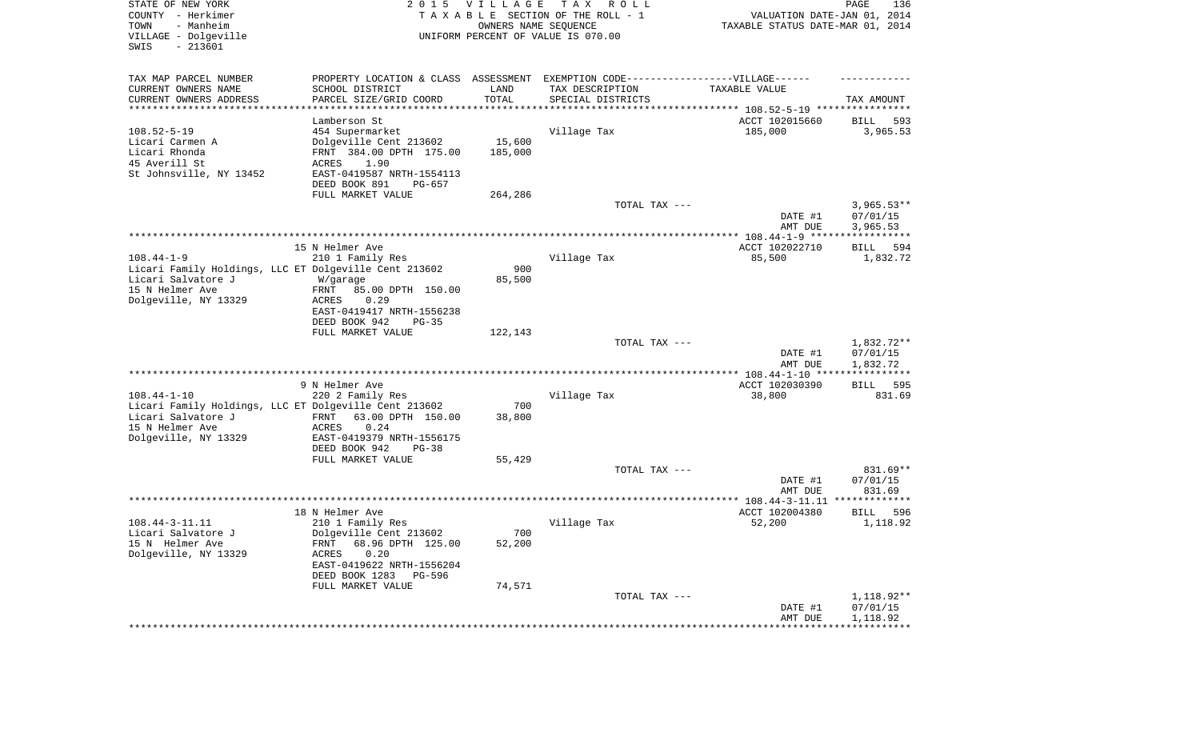| STATE OF NEW YORK<br>COUNTY - Herkimer<br>TOWN<br>- Manheim<br>VILLAGE - Dolgeville<br>SWIS<br>$-213601$ | 2 0 1 5                                            | <b>VILLAGE</b><br>OWNERS NAME SEQUENCE | T A X<br>R O L L<br>TAXABLE SECTION OF THE ROLL - 1<br>UNIFORM PERCENT OF VALUE IS 070.00            | VALUATION DATE-JAN 01, 2014<br>TAXABLE STATUS DATE-MAR 01, 2014 | PAGE<br>136             |
|----------------------------------------------------------------------------------------------------------|----------------------------------------------------|----------------------------------------|------------------------------------------------------------------------------------------------------|-----------------------------------------------------------------|-------------------------|
| TAX MAP PARCEL NUMBER<br>CURRENT OWNERS NAME                                                             | SCHOOL DISTRICT                                    | LAND                                   | PROPERTY LOCATION & CLASS ASSESSMENT EXEMPTION CODE-----------------VILLAGE------<br>TAX DESCRIPTION | TAXABLE VALUE                                                   |                         |
| CURRENT OWNERS ADDRESS<br>*********************                                                          | PARCEL SIZE/GRID COORD                             | TOTAL<br>***********                   | SPECIAL DISTRICTS                                                                                    |                                                                 | TAX AMOUNT              |
|                                                                                                          | Lamberson St                                       |                                        |                                                                                                      | ACCT 102015660                                                  | 593<br>BILL             |
| $108.52 - 5 - 19$                                                                                        | 454 Supermarket                                    |                                        | Village Tax                                                                                          | 185,000                                                         | 3,965.53                |
| Licari Carmen A                                                                                          | Dolgeville Cent 213602                             | 15,600                                 |                                                                                                      |                                                                 |                         |
| Licari Rhonda                                                                                            | FRNT 384.00 DPTH 175.00                            | 185,000                                |                                                                                                      |                                                                 |                         |
| 45 Averill St<br>St Johnsville, NY 13452                                                                 | ACRES<br>1.90<br>EAST-0419587 NRTH-1554113         |                                        |                                                                                                      |                                                                 |                         |
|                                                                                                          | DEED BOOK 891<br>PG-657                            |                                        |                                                                                                      |                                                                 |                         |
|                                                                                                          | FULL MARKET VALUE                                  | 264,286                                |                                                                                                      |                                                                 |                         |
|                                                                                                          |                                                    |                                        | TOTAL TAX ---                                                                                        |                                                                 | $3,965.53**$            |
|                                                                                                          |                                                    |                                        |                                                                                                      | DATE #1                                                         | 07/01/15                |
|                                                                                                          |                                                    |                                        |                                                                                                      | AMT DUE                                                         | 3,965.53                |
|                                                                                                          | 15 N Helmer Ave                                    |                                        |                                                                                                      | ACCT 102022710                                                  | 594<br>BILL             |
| $108.44 - 1 - 9$                                                                                         | 210 1 Family Res                                   |                                        | Village Tax                                                                                          | 85,500                                                          | 1,832.72                |
| Licari Family Holdings, LLC ET Dolgeville Cent 213602                                                    |                                                    | 900                                    |                                                                                                      |                                                                 |                         |
| Licari Salvatore J<br>15 N Helmer Ave                                                                    | W/garage<br>85.00 DPTH 150.00<br>FRNT              | 85,500                                 |                                                                                                      |                                                                 |                         |
| Dolgeville, NY 13329                                                                                     | 0.29<br>ACRES                                      |                                        |                                                                                                      |                                                                 |                         |
|                                                                                                          | EAST-0419417 NRTH-1556238                          |                                        |                                                                                                      |                                                                 |                         |
|                                                                                                          | DEED BOOK 942<br>$PG-35$                           |                                        |                                                                                                      |                                                                 |                         |
|                                                                                                          | FULL MARKET VALUE                                  | 122,143                                |                                                                                                      |                                                                 | 1,832.72**              |
|                                                                                                          |                                                    |                                        | TOTAL TAX ---                                                                                        | DATE #1                                                         | 07/01/15                |
|                                                                                                          |                                                    |                                        |                                                                                                      | AMT DUE                                                         | 1,832.72                |
|                                                                                                          |                                                    |                                        |                                                                                                      | *************** 108.44-1-10 *****************                   |                         |
|                                                                                                          | 9 N Helmer Ave                                     |                                        |                                                                                                      | ACCT 102030390                                                  | 595<br>BILL             |
| $108.44 - 1 - 10$<br>Licari Family Holdings, LLC ET Dolgeville Cent 213602                               | 220 2 Family Res                                   | 700                                    | Village Tax                                                                                          | 38,800                                                          | 831.69                  |
| Licari Salvatore J                                                                                       | FRNT<br>63.00 DPTH 150.00                          | 38,800                                 |                                                                                                      |                                                                 |                         |
| 15 N Helmer Ave                                                                                          | ACRES<br>0.24                                      |                                        |                                                                                                      |                                                                 |                         |
| Dolgeville, NY 13329                                                                                     | EAST-0419379 NRTH-1556175                          |                                        |                                                                                                      |                                                                 |                         |
|                                                                                                          | DEED BOOK 942<br>$PG-38$                           |                                        |                                                                                                      |                                                                 |                         |
|                                                                                                          | FULL MARKET VALUE                                  | 55,429                                 | TOTAL TAX ---                                                                                        |                                                                 | 831.69**                |
|                                                                                                          |                                                    |                                        |                                                                                                      | DATE #1                                                         | 07/01/15                |
|                                                                                                          |                                                    |                                        |                                                                                                      | AMT DUE                                                         | 831.69                  |
|                                                                                                          |                                                    |                                        |                                                                                                      |                                                                 | *************           |
| $108.44 - 3 - 11.11$                                                                                     | 18 N Helmer Ave<br>210 1 Family Res                |                                        | Village Tax                                                                                          | ACCT 102004380<br>52,200                                        | BILL<br>596<br>1,118.92 |
| Licari Salvatore J                                                                                       | Dolgeville Cent 213602                             | 700                                    |                                                                                                      |                                                                 |                         |
| 15 N Helmer Ave                                                                                          | 68.96 DPTH 125.00<br>FRNT                          | 52,200                                 |                                                                                                      |                                                                 |                         |
| Dolgeville, NY 13329                                                                                     | <b>ACRES</b><br>0.20                               |                                        |                                                                                                      |                                                                 |                         |
|                                                                                                          | EAST-0419622 NRTH-1556204<br>DEED BOOK 1283 PG-596 |                                        |                                                                                                      |                                                                 |                         |
|                                                                                                          | FULL MARKET VALUE                                  | 74,571                                 |                                                                                                      |                                                                 |                         |
|                                                                                                          |                                                    |                                        | TOTAL TAX ---                                                                                        |                                                                 | 1,118.92**              |
|                                                                                                          |                                                    |                                        |                                                                                                      | DATE #1                                                         | 07/01/15                |
|                                                                                                          |                                                    |                                        |                                                                                                      | AMT DUE<br>***********************************                  | 1,118.92                |
|                                                                                                          |                                                    |                                        |                                                                                                      |                                                                 |                         |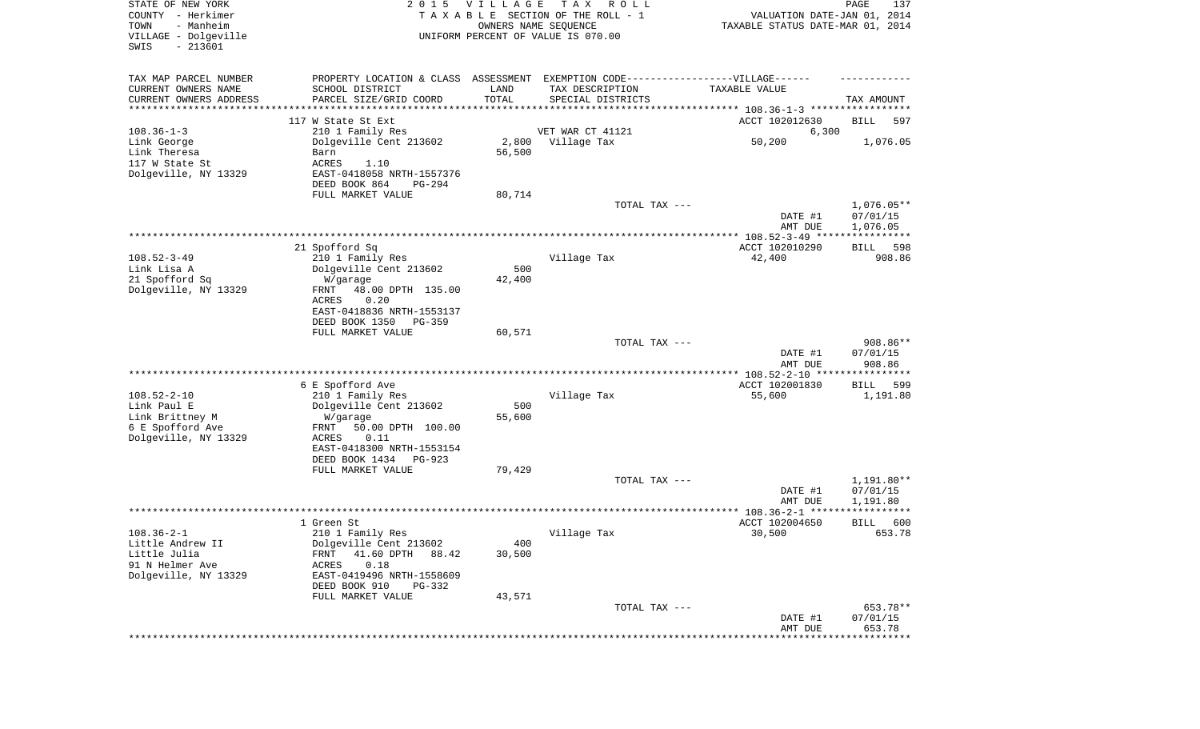| STATE OF NEW YORK<br>COUNTY - Herkimer<br>TOWN<br>- Manheim<br>VILLAGE - Dolgeville<br>SWIS<br>$-213601$ | 2 0 1 5                                                     | <b>VILLAGE</b><br>OWNERS NAME SEQUENCE | T A X<br>R O L L<br>TAXABLE SECTION OF THE ROLL - 1<br>UNIFORM PERCENT OF VALUE IS 070.00            | VALUATION DATE-JAN 01, 2014<br>TAXABLE STATUS DATE-MAR 01, 2014 | PAGE<br>137                 |
|----------------------------------------------------------------------------------------------------------|-------------------------------------------------------------|----------------------------------------|------------------------------------------------------------------------------------------------------|-----------------------------------------------------------------|-----------------------------|
| TAX MAP PARCEL NUMBER<br>CURRENT OWNERS NAME                                                             | SCHOOL DISTRICT                                             | LAND                                   | PROPERTY LOCATION & CLASS ASSESSMENT EXEMPTION CODE-----------------VILLAGE------<br>TAX DESCRIPTION | TAXABLE VALUE                                                   |                             |
| CURRENT OWNERS ADDRESS<br>********************                                                           | PARCEL SIZE/GRID COORD<br>* * * * * * * * * * * * * * * * * | TOTAL                                  | SPECIAL DISTRICTS                                                                                    |                                                                 | TAX AMOUNT                  |
|                                                                                                          | 117 W State St Ext                                          |                                        |                                                                                                      | ACCT 102012630                                                  | BILL<br>597                 |
| $108.36 - 1 - 3$                                                                                         | 210 1 Family Res                                            |                                        | VET WAR CT 41121                                                                                     | 6,300                                                           |                             |
| Link George                                                                                              | Dolgeville Cent 213602                                      | 2,800                                  | Village Tax                                                                                          | 50,200                                                          | 1,076.05                    |
| Link Theresa                                                                                             | Barn                                                        | 56,500                                 |                                                                                                      |                                                                 |                             |
| 117 W State St<br>Dolgeville, NY 13329                                                                   | ACRES<br>1.10<br>EAST-0418058 NRTH-1557376                  |                                        |                                                                                                      |                                                                 |                             |
|                                                                                                          | DEED BOOK 864<br>PG-294                                     |                                        |                                                                                                      |                                                                 |                             |
|                                                                                                          | FULL MARKET VALUE                                           | 80,714                                 |                                                                                                      |                                                                 |                             |
|                                                                                                          |                                                             |                                        | TOTAL TAX ---                                                                                        |                                                                 | $1,076.05**$                |
|                                                                                                          |                                                             |                                        |                                                                                                      | DATE #1<br>AMT DUE                                              | 07/01/15<br>1,076.05        |
|                                                                                                          |                                                             |                                        |                                                                                                      |                                                                 |                             |
|                                                                                                          | 21 Spofford Sq                                              |                                        |                                                                                                      | ACCT 102010290                                                  | 598<br>BILL                 |
| $108.52 - 3 - 49$                                                                                        | 210 1 Family Res                                            |                                        | Village Tax                                                                                          | 42,400                                                          | 908.86                      |
| Link Lisa A<br>21 Spofford Sq                                                                            | Dolgeville Cent 213602<br>W/garage                          | 500<br>42,400                          |                                                                                                      |                                                                 |                             |
| Dolgeville, NY 13329                                                                                     | 48.00 DPTH 135.00<br>FRNT                                   |                                        |                                                                                                      |                                                                 |                             |
|                                                                                                          | ACRES<br>0.20                                               |                                        |                                                                                                      |                                                                 |                             |
|                                                                                                          | EAST-0418836 NRTH-1553137                                   |                                        |                                                                                                      |                                                                 |                             |
|                                                                                                          | DEED BOOK 1350<br>PG-359<br>FULL MARKET VALUE               | 60,571                                 |                                                                                                      |                                                                 |                             |
|                                                                                                          |                                                             |                                        | TOTAL TAX ---                                                                                        |                                                                 | 908.86**                    |
|                                                                                                          |                                                             |                                        |                                                                                                      | DATE #1                                                         | 07/01/15                    |
|                                                                                                          |                                                             |                                        |                                                                                                      | AMT DUE                                                         | 908.86                      |
|                                                                                                          | 6 E Spofford Ave                                            |                                        |                                                                                                      | *********** 108.52-2-10 ***<br>ACCT 102001830                   | ************<br>599<br>BILL |
| $108.52 - 2 - 10$                                                                                        | 210 1 Family Res                                            |                                        | Village Tax                                                                                          | 55,600                                                          | 1,191.80                    |
| Link Paul E                                                                                              | Dolgeville Cent 213602                                      | 500                                    |                                                                                                      |                                                                 |                             |
| Link Brittney M                                                                                          | W/garage                                                    | 55,600                                 |                                                                                                      |                                                                 |                             |
| 6 E Spofford Ave                                                                                         | 50.00 DPTH 100.00<br>FRNT<br>ACRES<br>0.11                  |                                        |                                                                                                      |                                                                 |                             |
| Dolgeville, NY 13329                                                                                     | EAST-0418300 NRTH-1553154                                   |                                        |                                                                                                      |                                                                 |                             |
|                                                                                                          | DEED BOOK 1434<br>PG-923                                    |                                        |                                                                                                      |                                                                 |                             |
|                                                                                                          | FULL MARKET VALUE                                           | 79,429                                 |                                                                                                      |                                                                 |                             |
|                                                                                                          |                                                             |                                        | TOTAL TAX ---                                                                                        |                                                                 | 1,191.80**<br>07/01/15      |
|                                                                                                          |                                                             |                                        |                                                                                                      | DATE #1<br>AMT DUE                                              | 1,191.80                    |
|                                                                                                          |                                                             |                                        |                                                                                                      |                                                                 | * * * * * *                 |
|                                                                                                          | 1 Green St                                                  |                                        |                                                                                                      | ACCT 102004650                                                  | 600<br>BILL                 |
| $108.36 - 2 - 1$                                                                                         | 210 1 Family Res                                            |                                        | Village Tax                                                                                          | 30,500                                                          | 653.78                      |
| Little Andrew II<br>Little Julia                                                                         | Dolgeville Cent 213602<br>41.60 DPTH<br>FRNT<br>88.42       | 400<br>30,500                          |                                                                                                      |                                                                 |                             |
| 91 N Helmer Ave                                                                                          | 0.18<br>ACRES                                               |                                        |                                                                                                      |                                                                 |                             |
| Dolgeville, NY 13329                                                                                     | EAST-0419496 NRTH-1558609                                   |                                        |                                                                                                      |                                                                 |                             |
|                                                                                                          | DEED BOOK 910<br>PG-332                                     |                                        |                                                                                                      |                                                                 |                             |
|                                                                                                          | FULL MARKET VALUE                                           | 43,571                                 | TOTAL TAX ---                                                                                        |                                                                 | 653.78**                    |
|                                                                                                          |                                                             |                                        |                                                                                                      | DATE #1                                                         | 07/01/15                    |
|                                                                                                          |                                                             |                                        |                                                                                                      | AMT DUE                                                         | 653.78                      |
|                                                                                                          |                                                             |                                        |                                                                                                      |                                                                 | * * * * * * * * * * *       |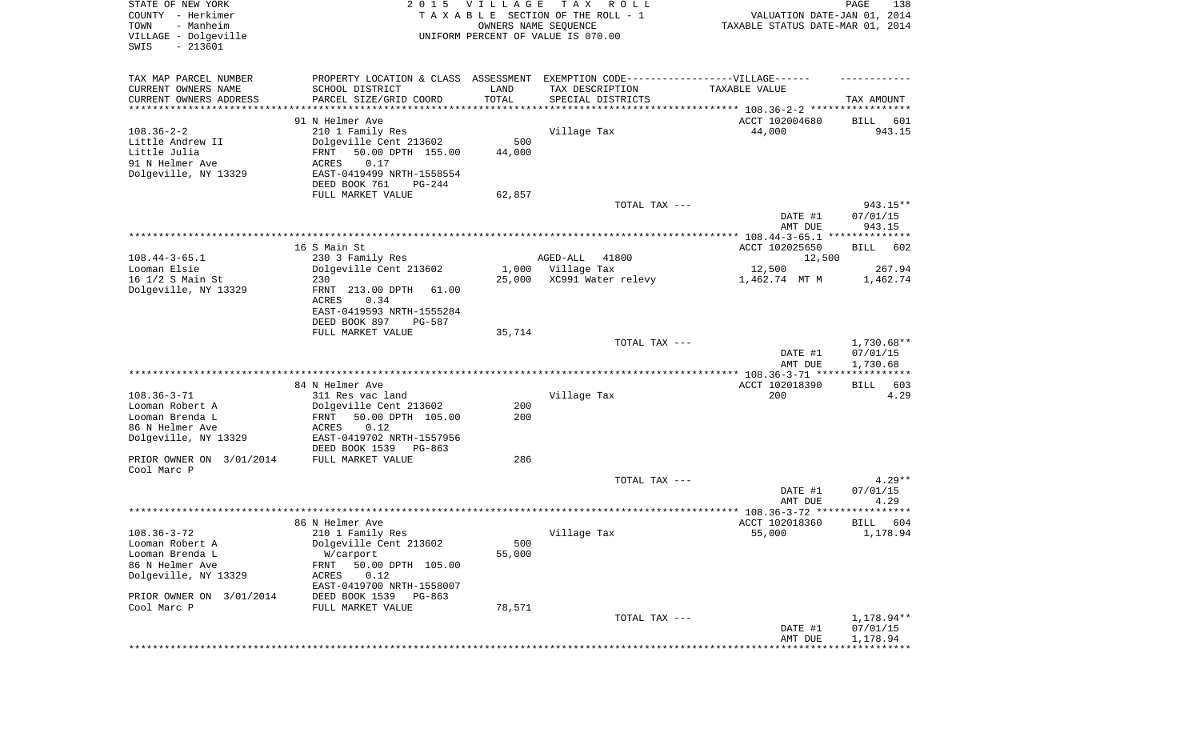| STATE OF NEW YORK<br>COUNTY - Herkimer<br>- Manheim<br>TOWN<br>VILLAGE - Dolgeville<br>$-213601$<br>SWIS |                                            | 2015 VILLAGE<br>OWNERS NAME SEQUENCE | TAX ROLL<br>TAXABLE SECTION OF THE ROLL - 1<br>UNIFORM PERCENT OF VALUE IS 070.00 | VALUATION DATE-JAN 01, 2014<br>TAXABLE STATUS DATE-MAR 01, 2014 | PAGE<br>138 |
|----------------------------------------------------------------------------------------------------------|--------------------------------------------|--------------------------------------|-----------------------------------------------------------------------------------|-----------------------------------------------------------------|-------------|
| TAX MAP PARCEL NUMBER                                                                                    |                                            |                                      | PROPERTY LOCATION & CLASS ASSESSMENT EXEMPTION CODE----------------VILLAGE------  |                                                                 |             |
| CURRENT OWNERS NAME<br>CURRENT OWNERS ADDRESS                                                            | SCHOOL DISTRICT<br>PARCEL SIZE/GRID COORD  | LAND<br>TOTAL                        | TAX DESCRIPTION<br>SPECIAL DISTRICTS                                              | TAXABLE VALUE                                                   | TAX AMOUNT  |
| **********************                                                                                   |                                            |                                      |                                                                                   |                                                                 |             |
|                                                                                                          | 91 N Helmer Ave                            |                                      |                                                                                   | ACCT 102004680                                                  | BILL<br>601 |
| $108.36 - 2 - 2$                                                                                         | 210 1 Family Res                           |                                      | Village Tax                                                                       | 44,000                                                          | 943.15      |
| Little Andrew II                                                                                         | Dolgeville Cent 213602                     | 500                                  |                                                                                   |                                                                 |             |
| Little Julia                                                                                             | FRNT<br>50.00 DPTH 155.00                  | 44,000                               |                                                                                   |                                                                 |             |
| 91 N Helmer Ave                                                                                          | ACRES<br>0.17                              |                                      |                                                                                   |                                                                 |             |
| Dolgeville, NY 13329                                                                                     | EAST-0419499 NRTH-1558554                  |                                      |                                                                                   |                                                                 |             |
|                                                                                                          | DEED BOOK 761<br>PG-244                    |                                      |                                                                                   |                                                                 |             |
|                                                                                                          | FULL MARKET VALUE                          | 62,857                               | TOTAL TAX ---                                                                     |                                                                 | 943.15**    |
|                                                                                                          |                                            |                                      |                                                                                   | DATE #1                                                         | 07/01/15    |
|                                                                                                          |                                            |                                      |                                                                                   | AMT DUE                                                         | 943.15      |
|                                                                                                          |                                            |                                      |                                                                                   |                                                                 |             |
|                                                                                                          | 16 S Main St                               |                                      |                                                                                   | ACCT 102025650                                                  | BILL<br>602 |
| $108.44 - 3 - 65.1$                                                                                      | 230 3 Family Res                           |                                      | 41800<br>AGED-ALL                                                                 | 12,500                                                          |             |
| Looman Elsie                                                                                             | Dolgeville Cent 213602                     | 1,000                                | Village Tax                                                                       | 12,500                                                          | 267.94      |
| 16 1/2 S Main St                                                                                         | 230                                        | 25,000                               | XC991 Water relevy                                                                | 1,462.74 MT M                                                   | 1,462.74    |
| Dolgeville, NY 13329                                                                                     | FRNT 213.00 DPTH<br>61.00                  |                                      |                                                                                   |                                                                 |             |
|                                                                                                          | ACRES<br>0.34                              |                                      |                                                                                   |                                                                 |             |
|                                                                                                          | EAST-0419593 NRTH-1555284                  |                                      |                                                                                   |                                                                 |             |
|                                                                                                          | DEED BOOK 897<br>PG-587                    |                                      |                                                                                   |                                                                 |             |
|                                                                                                          | FULL MARKET VALUE                          | 35,714                               |                                                                                   |                                                                 |             |
|                                                                                                          |                                            |                                      | TOTAL TAX ---                                                                     |                                                                 | 1,730.68**  |
|                                                                                                          |                                            |                                      |                                                                                   | DATE #1                                                         | 07/01/15    |
|                                                                                                          |                                            |                                      |                                                                                   | AMT DUE<br>************* 108.36-3-71 ****************           | 1,730.68    |
|                                                                                                          | 84 N Helmer Ave                            |                                      |                                                                                   | ACCT 102018390                                                  | BILL<br>603 |
| $108.36 - 3 - 71$                                                                                        | 311 Res vac land                           |                                      | Village Tax                                                                       | 200                                                             | 4.29        |
| Looman Robert A                                                                                          | Dolgeville Cent 213602                     | 200                                  |                                                                                   |                                                                 |             |
| Looman Brenda L                                                                                          | FRNT<br>50.00 DPTH 105.00                  | 200                                  |                                                                                   |                                                                 |             |
| 86 N Helmer Ave                                                                                          | ACRES<br>0.12                              |                                      |                                                                                   |                                                                 |             |
| Dolgeville, NY 13329                                                                                     | EAST-0419702 NRTH-1557956                  |                                      |                                                                                   |                                                                 |             |
|                                                                                                          | DEED BOOK 1539<br>PG-863                   |                                      |                                                                                   |                                                                 |             |
| PRIOR OWNER ON 3/01/2014                                                                                 | FULL MARKET VALUE                          | 286                                  |                                                                                   |                                                                 |             |
| Cool Marc P                                                                                              |                                            |                                      |                                                                                   |                                                                 |             |
|                                                                                                          |                                            |                                      | TOTAL TAX ---                                                                     |                                                                 | $4.29**$    |
|                                                                                                          |                                            |                                      |                                                                                   | DATE #1                                                         | 07/01/15    |
|                                                                                                          |                                            |                                      |                                                                                   | AMT DUE                                                         | 4.29        |
|                                                                                                          |                                            |                                      |                                                                                   |                                                                 | ******      |
|                                                                                                          | 86 N Helmer Ave                            |                                      |                                                                                   | ACCT 102018360                                                  | 604<br>BILL |
| $108.36 - 3 - 72$<br>Looman Robert A                                                                     | 210 1 Family Res<br>Dolgeville Cent 213602 | 500                                  | Village Tax                                                                       | 55,000                                                          | 1,178.94    |
| Looman Brenda L                                                                                          | W/carport                                  | 55,000                               |                                                                                   |                                                                 |             |
| 86 N Helmer Ave                                                                                          | 50.00 DPTH 105.00<br>FRNT                  |                                      |                                                                                   |                                                                 |             |
| Dolgeville, NY 13329                                                                                     | ACRES<br>0.12                              |                                      |                                                                                   |                                                                 |             |
|                                                                                                          | EAST-0419700 NRTH-1558007                  |                                      |                                                                                   |                                                                 |             |
| PRIOR OWNER ON 3/01/2014                                                                                 | DEED BOOK 1539<br>PG-863                   |                                      |                                                                                   |                                                                 |             |
| Cool Marc P                                                                                              | FULL MARKET VALUE                          | 78,571                               |                                                                                   |                                                                 |             |
|                                                                                                          |                                            |                                      | TOTAL TAX ---                                                                     |                                                                 | 1,178.94**  |
|                                                                                                          |                                            |                                      |                                                                                   | DATE #1                                                         | 07/01/15    |
|                                                                                                          |                                            |                                      |                                                                                   | AMT DUE                                                         | 1,178.94    |
|                                                                                                          |                                            |                                      |                                                                                   |                                                                 |             |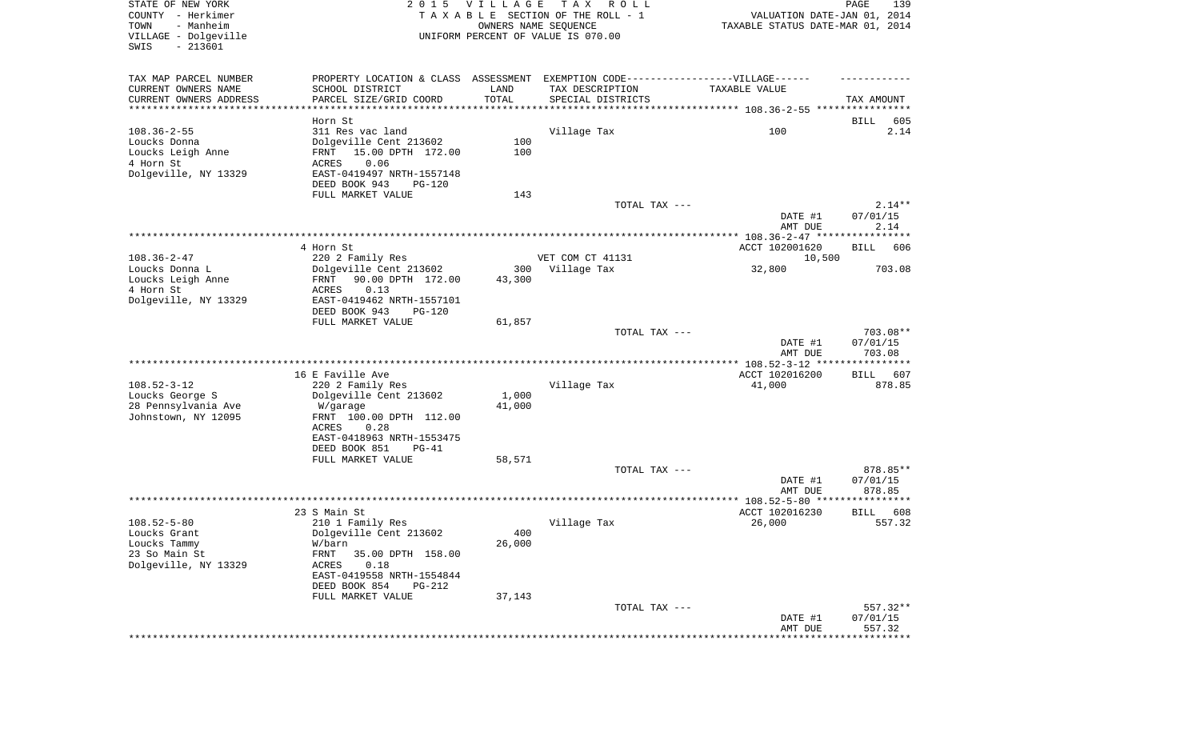| STATE OF NEW YORK<br>COUNTY - Herkimer<br>TOWN<br>- Manheim<br>VILLAGE - Dolgeville<br>SWIS<br>$-213601$ | 2015 VILLAGE                                                                      |        | T A X<br>R O L L<br>TAXABLE SECTION OF THE ROLL - 1<br>OWNERS NAME SEQUENCE<br>UNIFORM PERCENT OF VALUE IS 070.00 | VALUATION DATE-JAN 01, 2014<br>TAXABLE STATUS DATE-MAR 01, 2014 | PAGE<br>139        |
|----------------------------------------------------------------------------------------------------------|-----------------------------------------------------------------------------------|--------|-------------------------------------------------------------------------------------------------------------------|-----------------------------------------------------------------|--------------------|
| TAX MAP PARCEL NUMBER                                                                                    | PROPERTY LOCATION & CLASS ASSESSMENT EXEMPTION CODE-----------------VILLAGE------ |        |                                                                                                                   |                                                                 |                    |
| CURRENT OWNERS NAME                                                                                      | SCHOOL DISTRICT                                                                   | LAND   | TAX DESCRIPTION                                                                                                   | TAXABLE VALUE                                                   |                    |
| CURRENT OWNERS ADDRESS<br>*********************                                                          | PARCEL SIZE/GRID COORD                                                            | TOTAL  | SPECIAL DISTRICTS                                                                                                 |                                                                 | TAX AMOUNT         |
|                                                                                                          | Horn St                                                                           |        |                                                                                                                   |                                                                 | BILL<br>605        |
| $108.36 - 2 - 55$                                                                                        | 311 Res vac land                                                                  |        | Village Tax                                                                                                       | 100                                                             | 2.14               |
| Loucks Donna                                                                                             | Dolgeville Cent 213602                                                            | 100    |                                                                                                                   |                                                                 |                    |
| Loucks Leigh Anne                                                                                        | 15.00 DPTH 172.00<br>FRNT                                                         | 100    |                                                                                                                   |                                                                 |                    |
| 4 Horn St                                                                                                | ACRES<br>0.06                                                                     |        |                                                                                                                   |                                                                 |                    |
| Dolgeville, NY 13329                                                                                     | EAST-0419497 NRTH-1557148                                                         |        |                                                                                                                   |                                                                 |                    |
|                                                                                                          | DEED BOOK 943<br><b>PG-120</b><br>FULL MARKET VALUE                               | 143    |                                                                                                                   |                                                                 |                    |
|                                                                                                          |                                                                                   |        | TOTAL TAX ---                                                                                                     |                                                                 | $2.14**$           |
|                                                                                                          |                                                                                   |        |                                                                                                                   | DATE #1<br>AMT DUE                                              | 07/01/15<br>2.14   |
|                                                                                                          |                                                                                   |        |                                                                                                                   |                                                                 |                    |
|                                                                                                          | 4 Horn St                                                                         |        |                                                                                                                   | ACCT 102001620                                                  | BILL<br>606        |
| $108.36 - 2 - 47$                                                                                        | 220 2 Family Res                                                                  | 300    | VET COM CT 41131                                                                                                  | 10,500                                                          | 703.08             |
| Loucks Donna L<br>Loucks Leigh Anne                                                                      | Dolgeville Cent 213602<br>90.00 DPTH 172.00<br>FRNT                               | 43,300 | Village Tax                                                                                                       | 32,800                                                          |                    |
| 4 Horn St                                                                                                | 0.13<br>ACRES                                                                     |        |                                                                                                                   |                                                                 |                    |
| Dolgeville, NY 13329                                                                                     | EAST-0419462 NRTH-1557101                                                         |        |                                                                                                                   |                                                                 |                    |
|                                                                                                          | DEED BOOK 943<br><b>PG-120</b>                                                    |        |                                                                                                                   |                                                                 |                    |
|                                                                                                          | FULL MARKET VALUE                                                                 | 61,857 |                                                                                                                   |                                                                 |                    |
|                                                                                                          |                                                                                   |        | TOTAL TAX ---                                                                                                     |                                                                 | 703.08**           |
|                                                                                                          |                                                                                   |        |                                                                                                                   | DATE #1<br>AMT DUE                                              | 07/01/15<br>703.08 |
|                                                                                                          |                                                                                   |        |                                                                                                                   |                                                                 |                    |
|                                                                                                          | 16 E Faville Ave                                                                  |        |                                                                                                                   | ACCT 102016200                                                  | BILL<br>607        |
| $108.52 - 3 - 12$                                                                                        | 220 2 Family Res                                                                  |        | Village Tax                                                                                                       | 41,000                                                          | 878.85             |
| Loucks George S                                                                                          | Dolgeville Cent 213602                                                            | 1,000  |                                                                                                                   |                                                                 |                    |
| 28 Pennsylvania Ave                                                                                      | W/garage                                                                          | 41,000 |                                                                                                                   |                                                                 |                    |
| Johnstown, NY 12095                                                                                      | FRNT 100.00 DPTH 112.00<br>ACRES<br>0.28                                          |        |                                                                                                                   |                                                                 |                    |
|                                                                                                          | EAST-0418963 NRTH-1553475                                                         |        |                                                                                                                   |                                                                 |                    |
|                                                                                                          | DEED BOOK 851<br>$PG-41$                                                          |        |                                                                                                                   |                                                                 |                    |
|                                                                                                          | FULL MARKET VALUE                                                                 | 58,571 |                                                                                                                   |                                                                 |                    |
|                                                                                                          |                                                                                   |        | TOTAL TAX ---                                                                                                     |                                                                 | 878.85**           |
|                                                                                                          |                                                                                   |        |                                                                                                                   | DATE #1                                                         | 07/01/15           |
|                                                                                                          |                                                                                   |        |                                                                                                                   | AMT DUE                                                         | 878.85             |
|                                                                                                          | 23 S Main St                                                                      |        |                                                                                                                   | ACCT 102016230                                                  | BILL<br>608        |
| $108.52 - 5 - 80$                                                                                        | 210 1 Family Res                                                                  |        | Village Tax                                                                                                       | 26,000                                                          | 557.32             |
| Loucks Grant                                                                                             | Dolgeville Cent 213602                                                            | 400    |                                                                                                                   |                                                                 |                    |
| Loucks Tammy                                                                                             | W/barn                                                                            | 26,000 |                                                                                                                   |                                                                 |                    |
| 23 So Main St                                                                                            | FRNT<br>35.00 DPTH 158.00                                                         |        |                                                                                                                   |                                                                 |                    |
| Dolgeville, NY 13329                                                                                     | ACRES<br>0.18                                                                     |        |                                                                                                                   |                                                                 |                    |
|                                                                                                          | EAST-0419558 NRTH-1554844                                                         |        |                                                                                                                   |                                                                 |                    |
|                                                                                                          | DEED BOOK 854<br>PG-212<br>FULL MARKET VALUE                                      | 37,143 |                                                                                                                   |                                                                 |                    |
|                                                                                                          |                                                                                   |        | TOTAL TAX ---                                                                                                     |                                                                 | 557.32**           |
|                                                                                                          |                                                                                   |        |                                                                                                                   | DATE #1                                                         | 07/01/15           |
|                                                                                                          |                                                                                   |        |                                                                                                                   | AMT DUE                                                         | 557.32             |
|                                                                                                          |                                                                                   |        |                                                                                                                   |                                                                 | ********           |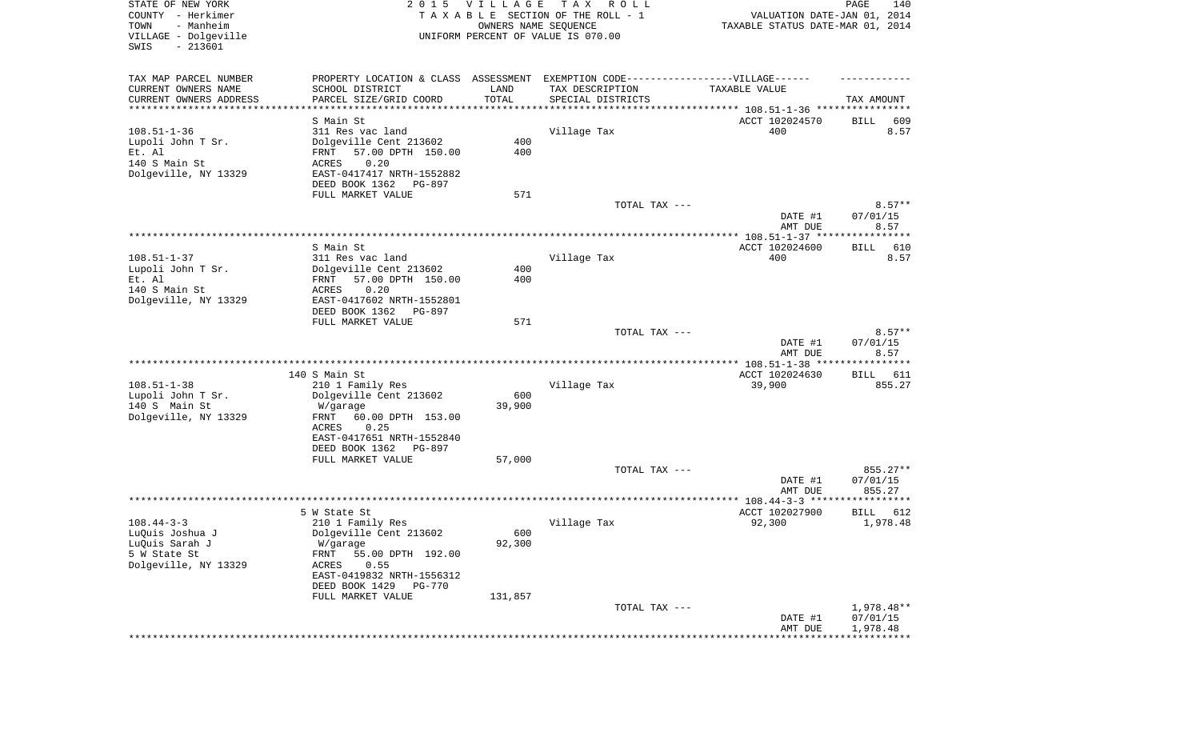|                                                  |                                  |                      | тах<br>TAXABLE SECTION OF THE ROLL - 1                                            | VALUATION DATE-JAN 01, 2014      | 140<br>PAGE             |  |  |
|--------------------------------------------------|----------------------------------|----------------------|-----------------------------------------------------------------------------------|----------------------------------|-------------------------|--|--|
| COUNTY - Herkimer<br>TOWN<br>- Manheim           |                                  | OWNERS NAME SEQUENCE |                                                                                   | TAXABLE STATUS DATE-MAR 01, 2014 |                         |  |  |
| VILLAGE - Dolgeville                             |                                  |                      | UNIFORM PERCENT OF VALUE IS 070.00                                                |                                  |                         |  |  |
| $-213601$<br>SWIS                                |                                  |                      |                                                                                   |                                  |                         |  |  |
|                                                  |                                  |                      |                                                                                   |                                  |                         |  |  |
| TAX MAP PARCEL NUMBER                            |                                  |                      | PROPERTY LOCATION & CLASS ASSESSMENT EXEMPTION CODE-----------------VILLAGE------ |                                  |                         |  |  |
| CURRENT OWNERS NAME                              | SCHOOL DISTRICT                  | LAND                 | TAX DESCRIPTION                                                                   | TAXABLE VALUE                    |                         |  |  |
| CURRENT OWNERS ADDRESS<br>********************** | PARCEL SIZE/GRID COORD           | TOTAL                | SPECIAL DISTRICTS                                                                 |                                  | TAX AMOUNT              |  |  |
|                                                  | S Main St                        |                      |                                                                                   | ACCT 102024570                   | 609<br>BILL             |  |  |
| $108.51 - 1 - 36$                                | 311 Res vac land                 |                      | Village Tax                                                                       | 400                              | 8.57                    |  |  |
| Lupoli John T Sr.                                | Dolgeville Cent 213602           | 400                  |                                                                                   |                                  |                         |  |  |
| Et. Al                                           | 57.00 DPTH 150.00<br>FRNT        | 400                  |                                                                                   |                                  |                         |  |  |
| 140 S Main St                                    | 0.20<br>ACRES                    |                      |                                                                                   |                                  |                         |  |  |
| Dolgeville, NY 13329                             | EAST-0417417 NRTH-1552882        |                      |                                                                                   |                                  |                         |  |  |
|                                                  | DEED BOOK 1362<br>PG-897         |                      |                                                                                   |                                  |                         |  |  |
|                                                  | FULL MARKET VALUE                | 571                  |                                                                                   |                                  |                         |  |  |
|                                                  |                                  |                      | TOTAL TAX ---                                                                     |                                  | $8.57**$                |  |  |
|                                                  |                                  |                      |                                                                                   | DATE #1                          | 07/01/15                |  |  |
|                                                  |                                  |                      |                                                                                   | AMT DUE                          | 8.57                    |  |  |
|                                                  |                                  |                      |                                                                                   |                                  | ***********             |  |  |
|                                                  | S Main St                        |                      |                                                                                   | ACCT 102024600                   | BILL<br>610             |  |  |
| $108.51 - 1 - 37$                                | 311 Res vac land                 |                      | Village Tax                                                                       | 400                              | 8.57                    |  |  |
| Lupoli John T Sr.                                | Dolgeville Cent 213602           | 400                  |                                                                                   |                                  |                         |  |  |
| Et. Al                                           | 57.00 DPTH 150.00<br>FRNT        | 400                  |                                                                                   |                                  |                         |  |  |
| 140 S Main St                                    | 0.20<br>ACRES                    |                      |                                                                                   |                                  |                         |  |  |
| Dolgeville, NY 13329                             | EAST-0417602 NRTH-1552801        |                      |                                                                                   |                                  |                         |  |  |
|                                                  | DEED BOOK 1362<br>PG-897         |                      |                                                                                   |                                  |                         |  |  |
|                                                  | FULL MARKET VALUE                | 571                  | TOTAL TAX ---                                                                     |                                  | $8.57**$                |  |  |
|                                                  |                                  |                      |                                                                                   | DATE #1                          | 07/01/15                |  |  |
|                                                  |                                  |                      |                                                                                   | AMT DUE                          | 8.57                    |  |  |
|                                                  |                                  |                      |                                                                                   |                                  |                         |  |  |
|                                                  | 140 S Main St                    |                      |                                                                                   | ACCT 102024630                   | BILL<br>611             |  |  |
| $108.51 - 1 - 38$                                | 210 1 Family Res                 |                      | Village Tax                                                                       | 39,900                           | 855.27                  |  |  |
| Lupoli John T Sr.                                | Dolgeville Cent 213602           | 600                  |                                                                                   |                                  |                         |  |  |
| 140 S Main St                                    | W/garage                         | 39,900               |                                                                                   |                                  |                         |  |  |
| Dolgeville, NY 13329                             | FRNT<br>60.00 DPTH 153.00        |                      |                                                                                   |                                  |                         |  |  |
|                                                  | 0.25<br>ACRES                    |                      |                                                                                   |                                  |                         |  |  |
|                                                  | EAST-0417651 NRTH-1552840        |                      |                                                                                   |                                  |                         |  |  |
|                                                  | DEED BOOK 1362<br>PG-897         |                      |                                                                                   |                                  |                         |  |  |
|                                                  | FULL MARKET VALUE                | 57,000               |                                                                                   |                                  |                         |  |  |
|                                                  |                                  |                      | TOTAL TAX ---                                                                     |                                  | 855.27**                |  |  |
|                                                  |                                  |                      |                                                                                   | DATE #1                          | 07/01/15                |  |  |
|                                                  |                                  |                      |                                                                                   | AMT DUE                          | 855.27                  |  |  |
|                                                  |                                  |                      |                                                                                   | ACCT 102027900                   | ***********             |  |  |
| $108.44 - 3 - 3$                                 | 5 W State St<br>210 1 Family Res |                      | Village Tax                                                                       | 92,300                           | BILL<br>612<br>1,978.48 |  |  |
| LuQuis Joshua J                                  | Dolgeville Cent 213602           | 600                  |                                                                                   |                                  |                         |  |  |
| LuQuis Sarah J                                   | W/garage                         | 92,300               |                                                                                   |                                  |                         |  |  |
| 5 W State St                                     | 55.00 DPTH 192.00<br>FRNT        |                      |                                                                                   |                                  |                         |  |  |
| Dolgeville, NY 13329                             | 0.55<br>ACRES                    |                      |                                                                                   |                                  |                         |  |  |
|                                                  | EAST-0419832 NRTH-1556312        |                      |                                                                                   |                                  |                         |  |  |
|                                                  | DEED BOOK 1429<br>PG-770         |                      |                                                                                   |                                  |                         |  |  |
|                                                  | FULL MARKET VALUE                | 131,857              |                                                                                   |                                  |                         |  |  |
|                                                  |                                  |                      |                                                                                   |                                  |                         |  |  |
|                                                  |                                  |                      | TOTAL TAX ---                                                                     |                                  | 1,978.48**              |  |  |
|                                                  |                                  |                      |                                                                                   | DATE #1                          | 07/01/15                |  |  |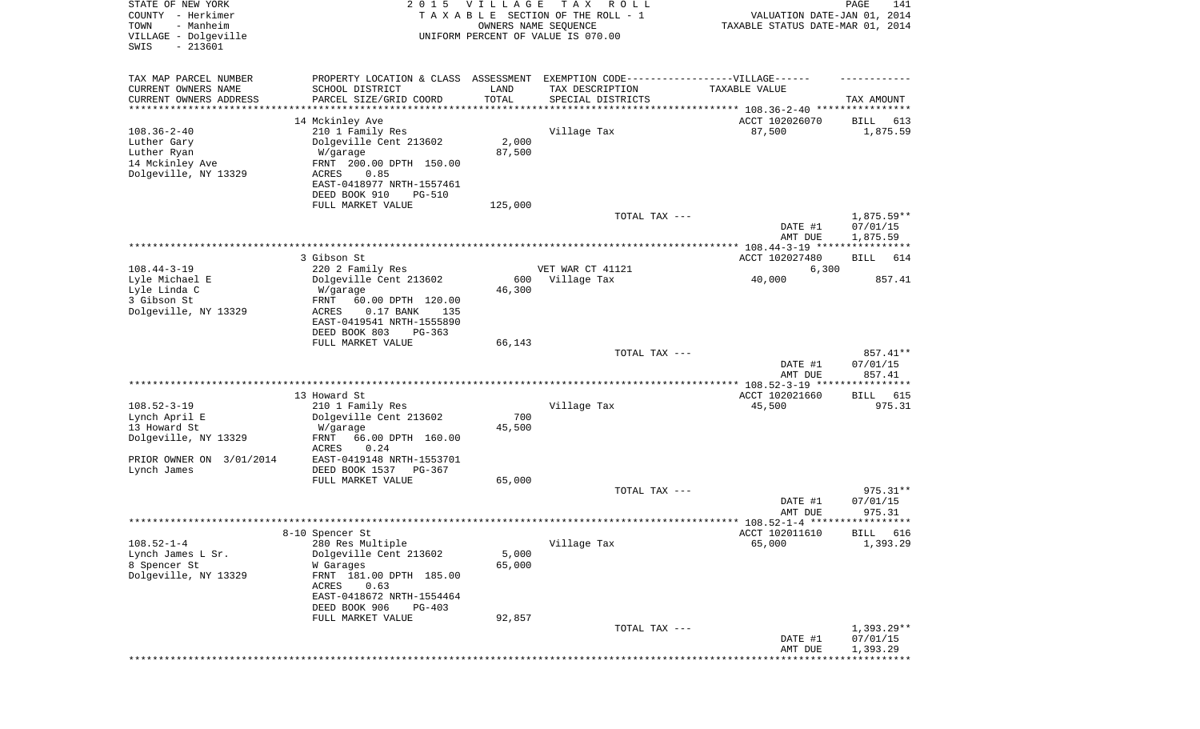| STATE OF NEW YORK<br>COUNTY - Herkimer<br>- Manheim<br>TOWN<br>VILLAGE - Dolgeville<br>$-213601$<br>SWIS | 2 0 1 5                                                  | <b>VILLAGE</b><br>OWNERS NAME SEQUENCE | T A X<br>R O L L<br>TAXABLE SECTION OF THE ROLL - 1<br>UNIFORM PERCENT OF VALUE IS 070.00 | VALUATION DATE-JAN 01, 2014<br>TAXABLE STATUS DATE-MAR 01, 2014 | PAGE<br>141                       |
|----------------------------------------------------------------------------------------------------------|----------------------------------------------------------|----------------------------------------|-------------------------------------------------------------------------------------------|-----------------------------------------------------------------|-----------------------------------|
| TAX MAP PARCEL NUMBER                                                                                    |                                                          |                                        | PROPERTY LOCATION & CLASS ASSESSMENT EXEMPTION CODE-----------------VILLAGE------         |                                                                 |                                   |
| CURRENT OWNERS NAME                                                                                      | SCHOOL DISTRICT                                          | LAND<br>TOTAL                          | TAX DESCRIPTION                                                                           | TAXABLE VALUE                                                   |                                   |
| CURRENT OWNERS ADDRESS<br>*********************                                                          | PARCEL SIZE/GRID COORD                                   | *************                          | SPECIAL DISTRICTS<br>************************************* 108.36-2-40 *****************  |                                                                 | TAX AMOUNT                        |
|                                                                                                          | 14 Mckinley Ave                                          |                                        |                                                                                           | ACCT 102026070                                                  | BILL<br>613                       |
| $108.36 - 2 - 40$                                                                                        | 210 1 Family Res                                         |                                        | Village Tax                                                                               | 87,500                                                          | 1,875.59                          |
| Luther Gary<br>Luther Ryan                                                                               | Dolgeville Cent 213602<br>W/garage                       | 2,000<br>87,500                        |                                                                                           |                                                                 |                                   |
| 14 Mckinley Ave                                                                                          | FRNT 200.00 DPTH 150.00                                  |                                        |                                                                                           |                                                                 |                                   |
| Dolgeville, NY 13329                                                                                     | ACRES<br>0.85                                            |                                        |                                                                                           |                                                                 |                                   |
|                                                                                                          | EAST-0418977 NRTH-1557461                                |                                        |                                                                                           |                                                                 |                                   |
|                                                                                                          | DEED BOOK 910<br><b>PG-510</b><br>FULL MARKET VALUE      | 125,000                                |                                                                                           |                                                                 |                                   |
|                                                                                                          |                                                          |                                        | TOTAL TAX ---                                                                             |                                                                 | $1,875.59**$                      |
|                                                                                                          |                                                          |                                        |                                                                                           | DATE #1                                                         | 07/01/15                          |
|                                                                                                          |                                                          |                                        |                                                                                           | AMT DUE                                                         | 1,875.59                          |
|                                                                                                          | 3 Gibson St                                              |                                        |                                                                                           | ACCT 102027480                                                  | BILL<br>614                       |
| $108.44 - 3 - 19$                                                                                        | 220 2 Family Res                                         |                                        | VET WAR CT 41121                                                                          | 6,300                                                           |                                   |
| Lyle Michael E                                                                                           | Dolgeville Cent 213602                                   | 600                                    | Village Tax                                                                               | 40,000                                                          | 857.41                            |
| Lyle Linda C                                                                                             | W/garage                                                 | 46,300                                 |                                                                                           |                                                                 |                                   |
| 3 Gibson St<br>Dolgeville, NY 13329                                                                      | FRNT<br>60.00 DPTH 120.00<br>ACRES<br>$0.17$ BANK<br>135 |                                        |                                                                                           |                                                                 |                                   |
|                                                                                                          | EAST-0419541 NRTH-1555890                                |                                        |                                                                                           |                                                                 |                                   |
|                                                                                                          | DEED BOOK 803<br>PG-363                                  |                                        |                                                                                           |                                                                 |                                   |
|                                                                                                          | FULL MARKET VALUE                                        | 66,143                                 |                                                                                           |                                                                 |                                   |
|                                                                                                          |                                                          |                                        | TOTAL TAX ---                                                                             | DATE #1                                                         | 857.41**<br>07/01/15              |
|                                                                                                          |                                                          |                                        |                                                                                           | AMT DUE                                                         | 857.41                            |
|                                                                                                          |                                                          |                                        |                                                                                           |                                                                 | ***********                       |
| $108.52 - 3 - 19$                                                                                        | 13 Howard St<br>210 1 Family Res                         |                                        | Village Tax                                                                               | ACCT 102021660<br>45,500                                        | 615<br>BILL<br>975.31             |
| Lynch April E                                                                                            | Dolgeville Cent 213602                                   | 700                                    |                                                                                           |                                                                 |                                   |
| 13 Howard St                                                                                             | W/garage                                                 | 45,500                                 |                                                                                           |                                                                 |                                   |
| Dolgeville, NY 13329                                                                                     | FRNT<br>66.00 DPTH 160.00                                |                                        |                                                                                           |                                                                 |                                   |
| PRIOR OWNER ON 3/01/2014                                                                                 | <b>ACRES</b><br>0.24<br>EAST-0419148 NRTH-1553701        |                                        |                                                                                           |                                                                 |                                   |
| Lynch James                                                                                              | DEED BOOK 1537<br>$PG-367$                               |                                        |                                                                                           |                                                                 |                                   |
|                                                                                                          | FULL MARKET VALUE                                        | 65,000                                 |                                                                                           |                                                                 |                                   |
|                                                                                                          |                                                          |                                        | TOTAL TAX ---                                                                             |                                                                 | 975.31**                          |
|                                                                                                          |                                                          |                                        |                                                                                           | DATE #1<br>AMT DUE                                              | 07/01/15<br>975.31                |
|                                                                                                          |                                                          |                                        |                                                                                           |                                                                 |                                   |
|                                                                                                          | 8-10 Spencer St                                          |                                        |                                                                                           | ACCT 102011610                                                  | BILL 616                          |
| $108.52 - 1 - 4$                                                                                         | 280 Res Multiple                                         |                                        | Village Tax                                                                               | 65,000                                                          | 1,393.29                          |
| Lynch James L Sr.<br>8 Spencer St                                                                        | Dolgeville Cent 213602<br>W Garages                      | 5,000<br>65,000                        |                                                                                           |                                                                 |                                   |
| Dolgeville, NY 13329                                                                                     | FRNT 181.00 DPTH 185.00                                  |                                        |                                                                                           |                                                                 |                                   |
|                                                                                                          | ACRES<br>0.63                                            |                                        |                                                                                           |                                                                 |                                   |
|                                                                                                          | EAST-0418672 NRTH-1554464                                |                                        |                                                                                           |                                                                 |                                   |
|                                                                                                          | DEED BOOK 906<br>$PG-403$<br>FULL MARKET VALUE           | 92,857                                 |                                                                                           |                                                                 |                                   |
|                                                                                                          |                                                          |                                        | TOTAL TAX ---                                                                             |                                                                 | $1,393.29**$                      |
|                                                                                                          |                                                          |                                        |                                                                                           | DATE #1                                                         | 07/01/15                          |
|                                                                                                          |                                                          |                                        |                                                                                           | AMT DUE                                                         | 1,393.29<br>* * * * * * * * * * * |
|                                                                                                          |                                                          |                                        |                                                                                           |                                                                 |                                   |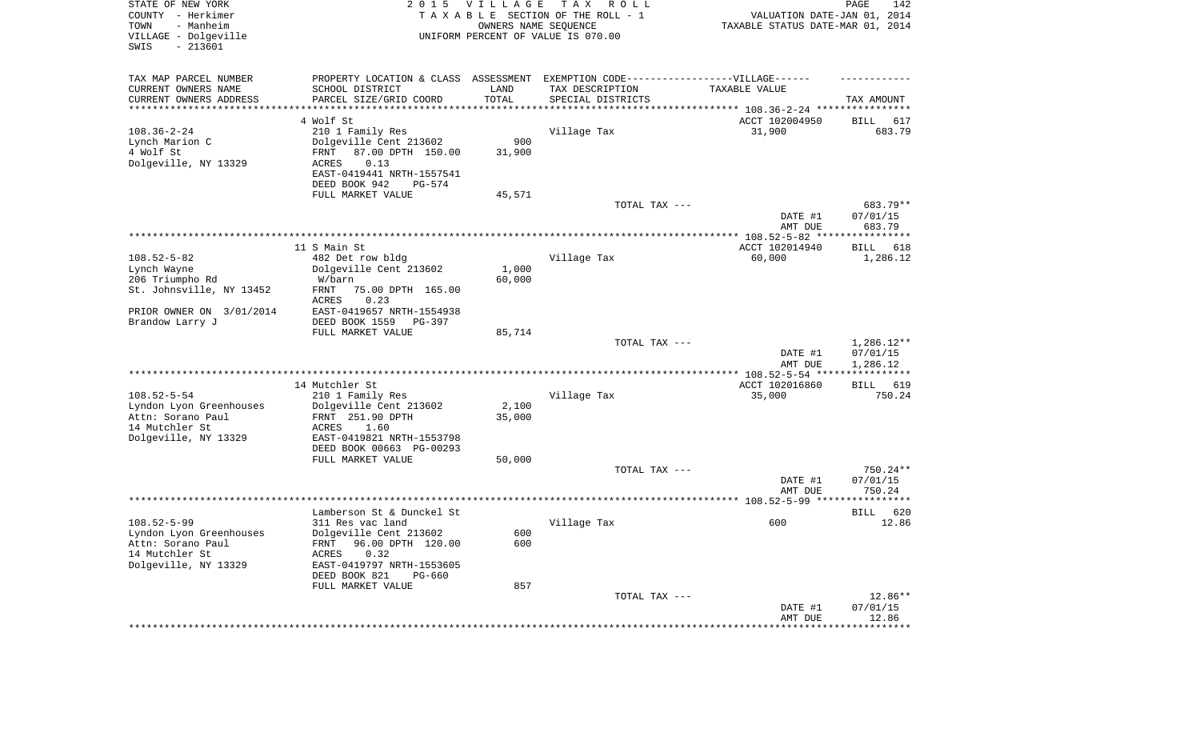| STATE OF NEW YORK<br>COUNTY - Herkimer<br>- Manheim<br>TOWN<br>VILLAGE - Dolgeville<br>SWIS<br>$-213601$ | 2 0 1 5                                                                          | <b>VILLAGE</b><br>OWNERS NAME SEQUENCE | T A X<br>R O L L<br>TAXABLE SECTION OF THE ROLL - 1<br>UNIFORM PERCENT OF VALUE IS 070.00 | VALUATION DATE-JAN 01, 2014<br>TAXABLE STATUS DATE-MAR 01, 2014 | 142<br>PAGE             |
|----------------------------------------------------------------------------------------------------------|----------------------------------------------------------------------------------|----------------------------------------|-------------------------------------------------------------------------------------------|-----------------------------------------------------------------|-------------------------|
| TAX MAP PARCEL NUMBER                                                                                    | PROPERTY LOCATION & CLASS ASSESSMENT EXEMPTION CODE----------------VILLAGE------ |                                        |                                                                                           |                                                                 |                         |
| CURRENT OWNERS NAME                                                                                      | SCHOOL DISTRICT                                                                  | LAND                                   | TAX DESCRIPTION                                                                           | TAXABLE VALUE                                                   |                         |
| CURRENT OWNERS ADDRESS<br>**********************                                                         | PARCEL SIZE/GRID COORD                                                           | TOTAL                                  | SPECIAL DISTRICTS                                                                         |                                                                 | TAX AMOUNT              |
|                                                                                                          | 4 Wolf St                                                                        |                                        |                                                                                           | ACCT 102004950                                                  | 617<br>BILL             |
| $108.36 - 2 - 24$                                                                                        | 210 1 Family Res                                                                 |                                        | Village Tax                                                                               | 31,900                                                          | 683.79                  |
| Lynch Marion C                                                                                           | Dolgeville Cent 213602                                                           | 900                                    |                                                                                           |                                                                 |                         |
| 4 Wolf St                                                                                                | 87.00 DPTH 150.00<br>FRNT                                                        | 31,900                                 |                                                                                           |                                                                 |                         |
| Dolgeville, NY 13329                                                                                     | ACRES<br>0.13                                                                    |                                        |                                                                                           |                                                                 |                         |
|                                                                                                          | EAST-0419441 NRTH-1557541<br>DEED BOOK 942<br>PG-574                             |                                        |                                                                                           |                                                                 |                         |
|                                                                                                          | FULL MARKET VALUE                                                                | 45,571                                 |                                                                                           |                                                                 |                         |
|                                                                                                          |                                                                                  |                                        | TOTAL TAX ---                                                                             |                                                                 | 683.79**                |
|                                                                                                          |                                                                                  |                                        |                                                                                           | DATE #1                                                         | 07/01/15                |
|                                                                                                          |                                                                                  |                                        |                                                                                           | AMT DUE                                                         | 683.79                  |
|                                                                                                          | 11 S Main St                                                                     |                                        |                                                                                           | ACCT 102014940                                                  | BILL<br>618             |
| $108.52 - 5 - 82$                                                                                        | 482 Det row bldg                                                                 |                                        | Village Tax                                                                               | 60,000                                                          | 1,286.12                |
| Lynch Wayne                                                                                              | Dolgeville Cent 213602                                                           | 1,000                                  |                                                                                           |                                                                 |                         |
| 206 Triumpho Rd                                                                                          | W/barn                                                                           | 60,000                                 |                                                                                           |                                                                 |                         |
| St. Johnsville, NY 13452                                                                                 | FRNT<br>75.00 DPTH 165.00                                                        |                                        |                                                                                           |                                                                 |                         |
| PRIOR OWNER ON 3/01/2014                                                                                 | <b>ACRES</b><br>0.23<br>EAST-0419657 NRTH-1554938                                |                                        |                                                                                           |                                                                 |                         |
| Brandow Larry J                                                                                          | DEED BOOK 1559<br>PG-397                                                         |                                        |                                                                                           |                                                                 |                         |
|                                                                                                          | FULL MARKET VALUE                                                                | 85,714                                 |                                                                                           |                                                                 |                         |
|                                                                                                          |                                                                                  |                                        | TOTAL TAX ---                                                                             |                                                                 | $1,286.12**$            |
|                                                                                                          |                                                                                  |                                        |                                                                                           | DATE #1                                                         | 07/01/15                |
|                                                                                                          |                                                                                  |                                        |                                                                                           | AMT DUE<br>**************** 108.52-5-54 ****                    | 1,286.12<br>*********** |
|                                                                                                          | 14 Mutchler St                                                                   |                                        |                                                                                           | ACCT 102016860                                                  | BILL 619                |
| $108.52 - 5 - 54$                                                                                        | 210 1 Family Res                                                                 |                                        | Village Tax                                                                               | 35,000                                                          | 750.24                  |
| Lyndon Lyon Greenhouses                                                                                  | Dolgeville Cent 213602                                                           | 2,100                                  |                                                                                           |                                                                 |                         |
| Attn: Sorano Paul                                                                                        | FRNT 251.90 DPTH                                                                 | 35,000                                 |                                                                                           |                                                                 |                         |
| 14 Mutchler St                                                                                           | ACRES<br>1.60                                                                    |                                        |                                                                                           |                                                                 |                         |
| Dolgeville, NY 13329                                                                                     | EAST-0419821 NRTH-1553798<br>DEED BOOK 00663 PG-00293                            |                                        |                                                                                           |                                                                 |                         |
|                                                                                                          | FULL MARKET VALUE                                                                | 50,000                                 |                                                                                           |                                                                 |                         |
|                                                                                                          |                                                                                  |                                        | TOTAL TAX ---                                                                             |                                                                 | $750.24**$              |
|                                                                                                          |                                                                                  |                                        |                                                                                           | DATE #1                                                         | 07/01/15                |
|                                                                                                          |                                                                                  |                                        |                                                                                           | AMT DUE                                                         | 750.24                  |
|                                                                                                          | Lamberson St & Dunckel St                                                        |                                        |                                                                                           |                                                                 | 620<br>BILL             |
| $108.52 - 5 - 99$                                                                                        | 311 Res vac land                                                                 |                                        | Village Tax                                                                               | 600                                                             | 12.86                   |
| Lyndon Lyon Greenhouses                                                                                  | Dolgeville Cent 213602                                                           | 600                                    |                                                                                           |                                                                 |                         |
| Attn: Sorano Paul                                                                                        | FRNT 96.00 DPTH 120.00                                                           | 600                                    |                                                                                           |                                                                 |                         |
| 14 Mutchler St<br>Dolgeville, NY 13329                                                                   | 0.32<br>ACRES                                                                    |                                        |                                                                                           |                                                                 |                         |
|                                                                                                          | EAST-0419797 NRTH-1553605<br>DEED BOOK 821<br>PG-660                             |                                        |                                                                                           |                                                                 |                         |
|                                                                                                          | FULL MARKET VALUE                                                                | 857                                    |                                                                                           |                                                                 |                         |
|                                                                                                          |                                                                                  |                                        | TOTAL TAX ---                                                                             |                                                                 | 12.86**                 |
|                                                                                                          |                                                                                  |                                        |                                                                                           | DATE #1                                                         | 07/01/15                |
|                                                                                                          |                                                                                  |                                        |                                                                                           | AMT DUE<br>*********************                                | 12.86<br>************** |
|                                                                                                          |                                                                                  |                                        |                                                                                           |                                                                 |                         |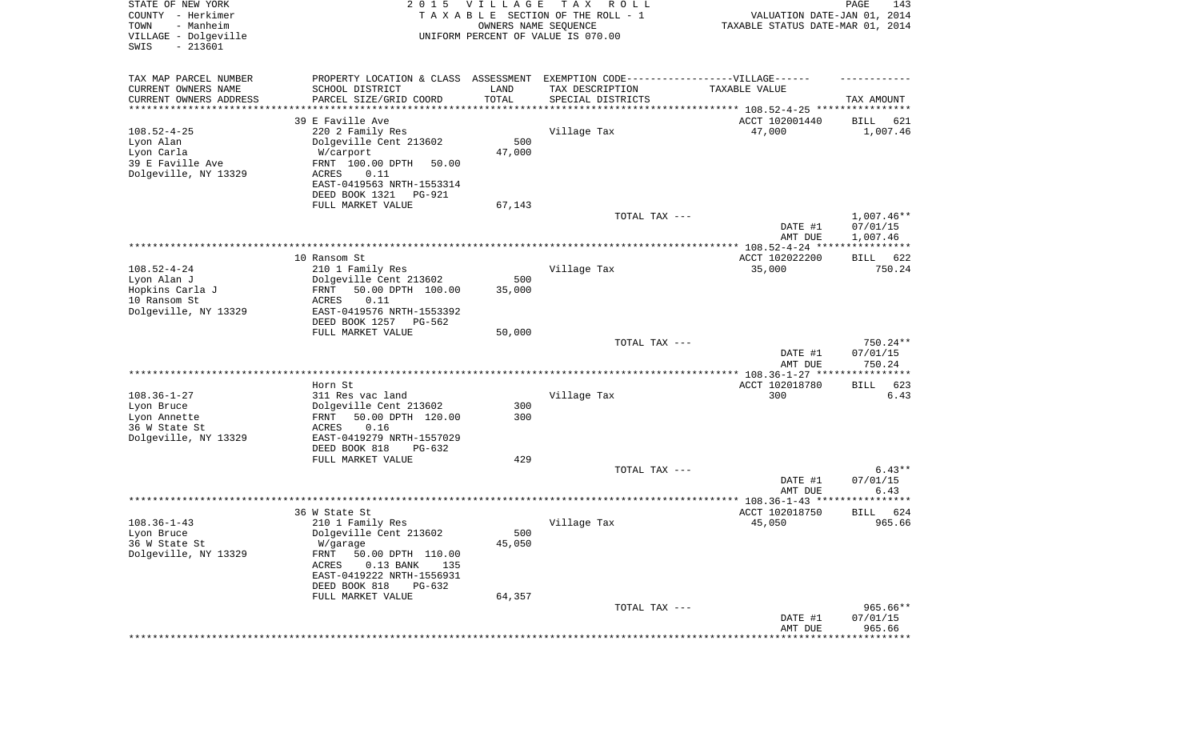| STATE OF NEW YORK<br>COUNTY - Herkimer<br>- Manheim<br>TOWN<br>VILLAGE - Dolgeville<br>SWIS<br>$-213601$ | 2 0 1 5                                                                           | VILLAGE<br>OWNERS NAME SEQUENCE | T A X<br>R O L L<br>TAXABLE SECTION OF THE ROLL - 1<br>UNIFORM PERCENT OF VALUE IS 070.00 | VALUATION DATE-JAN 01, 2014<br>TAXABLE STATUS DATE-MAR 01, 2014 | PAGE<br>143                 |
|----------------------------------------------------------------------------------------------------------|-----------------------------------------------------------------------------------|---------------------------------|-------------------------------------------------------------------------------------------|-----------------------------------------------------------------|-----------------------------|
| TAX MAP PARCEL NUMBER                                                                                    | PROPERTY LOCATION & CLASS ASSESSMENT EXEMPTION CODE-----------------VILLAGE------ |                                 |                                                                                           |                                                                 |                             |
| CURRENT OWNERS NAME                                                                                      | SCHOOL DISTRICT                                                                   | LAND                            | TAX DESCRIPTION                                                                           | TAXABLE VALUE                                                   |                             |
| CURRENT OWNERS ADDRESS                                                                                   | PARCEL SIZE/GRID COORD                                                            | TOTAL                           | SPECIAL DISTRICTS                                                                         |                                                                 | TAX AMOUNT                  |
| ********************                                                                                     | 39 E Faville Ave                                                                  |                                 |                                                                                           | ************************************ 108.52-4-25 *********      |                             |
| $108.52 - 4 - 25$                                                                                        | 220 2 Family Res                                                                  |                                 | Village Tax                                                                               | ACCT 102001440<br>47,000                                        | 621<br>BILL<br>1,007.46     |
| Lyon Alan                                                                                                | Dolgeville Cent 213602                                                            | 500                             |                                                                                           |                                                                 |                             |
| Lyon Carla                                                                                               | W/carport                                                                         | 47,000                          |                                                                                           |                                                                 |                             |
| 39 E Faville Ave                                                                                         | FRNT 100.00 DPTH<br>50.00                                                         |                                 |                                                                                           |                                                                 |                             |
| Dolgeville, NY 13329                                                                                     | ACRES<br>0.11                                                                     |                                 |                                                                                           |                                                                 |                             |
|                                                                                                          | EAST-0419563 NRTH-1553314                                                         |                                 |                                                                                           |                                                                 |                             |
|                                                                                                          | DEED BOOK 1321<br>PG-921                                                          |                                 |                                                                                           |                                                                 |                             |
|                                                                                                          | FULL MARKET VALUE                                                                 | 67,143                          | TOTAL TAX ---                                                                             |                                                                 | $1,007.46**$                |
|                                                                                                          |                                                                                   |                                 |                                                                                           | DATE #1                                                         | 07/01/15                    |
|                                                                                                          |                                                                                   |                                 |                                                                                           | AMT DUE                                                         | 1,007.46                    |
|                                                                                                          |                                                                                   |                                 |                                                                                           |                                                                 |                             |
|                                                                                                          | 10 Ransom St                                                                      |                                 |                                                                                           | ACCT 102022200                                                  | 622<br>BILL                 |
| $108.52 - 4 - 24$                                                                                        | 210 1 Family Res                                                                  |                                 | Village Tax                                                                               | 35,000                                                          | 750.24                      |
| Lyon Alan J<br>Hopkins Carla J                                                                           | Dolgeville Cent 213602<br>FRNT<br>50.00 DPTH 100.00                               | 500                             |                                                                                           |                                                                 |                             |
| 10 Ransom St                                                                                             | ACRES<br>0.11                                                                     | 35,000                          |                                                                                           |                                                                 |                             |
| Dolgeville, NY 13329                                                                                     | EAST-0419576 NRTH-1553392                                                         |                                 |                                                                                           |                                                                 |                             |
|                                                                                                          | DEED BOOK 1257<br>PG-562                                                          |                                 |                                                                                           |                                                                 |                             |
|                                                                                                          | FULL MARKET VALUE                                                                 | 50,000                          |                                                                                           |                                                                 |                             |
|                                                                                                          |                                                                                   |                                 | TOTAL TAX ---                                                                             |                                                                 | 750.24**                    |
|                                                                                                          |                                                                                   |                                 |                                                                                           | DATE #1<br>AMT DUE                                              | 07/01/15<br>750.24          |
|                                                                                                          |                                                                                   |                                 |                                                                                           | ************** 108.36-1-27 **                                   | ********                    |
|                                                                                                          | Horn St                                                                           |                                 |                                                                                           | ACCT 102018780                                                  | 623<br>BILL                 |
| $108.36 - 1 - 27$                                                                                        | 311 Res vac land                                                                  |                                 | Village Tax                                                                               | 300                                                             | 6.43                        |
| Lyon Bruce                                                                                               | Dolgeville Cent 213602                                                            | 300                             |                                                                                           |                                                                 |                             |
| Lyon Annette                                                                                             | 50.00 DPTH 120.00<br>FRNT                                                         | 300                             |                                                                                           |                                                                 |                             |
| 36 W State St                                                                                            | 0.16<br>ACRES<br>EAST-0419279 NRTH-1557029                                        |                                 |                                                                                           |                                                                 |                             |
| Dolgeville, NY 13329                                                                                     | DEED BOOK 818<br>PG-632                                                           |                                 |                                                                                           |                                                                 |                             |
|                                                                                                          | FULL MARKET VALUE                                                                 | 429                             |                                                                                           |                                                                 |                             |
|                                                                                                          |                                                                                   |                                 | TOTAL TAX ---                                                                             |                                                                 | $6.43**$                    |
|                                                                                                          |                                                                                   |                                 |                                                                                           | DATE #1                                                         | 07/01/15                    |
|                                                                                                          |                                                                                   |                                 |                                                                                           | AMT DUE                                                         | 6.43<br>* * * * * * * * * * |
|                                                                                                          | 36 W State St                                                                     |                                 |                                                                                           | ACCT 102018750                                                  | 624<br>BILL                 |
| $108.36 - 1 - 43$                                                                                        | 210 1 Family Res                                                                  |                                 | Village Tax                                                                               | 45,050                                                          | 965.66                      |
| Lyon Bruce                                                                                               | Dolgeville Cent 213602                                                            | 500                             |                                                                                           |                                                                 |                             |
| 36 W State St                                                                                            | W/garage                                                                          | 45,050                          |                                                                                           |                                                                 |                             |
| Dolgeville, NY 13329                                                                                     | FRNT<br>50.00 DPTH 110.00                                                         |                                 |                                                                                           |                                                                 |                             |
|                                                                                                          | ACRES<br>$0.13$ BANK<br>135                                                       |                                 |                                                                                           |                                                                 |                             |
|                                                                                                          | EAST-0419222 NRTH-1556931<br>DEED BOOK 818                                        |                                 |                                                                                           |                                                                 |                             |
|                                                                                                          | PG-632<br>FULL MARKET VALUE                                                       | 64,357                          |                                                                                           |                                                                 |                             |
|                                                                                                          |                                                                                   |                                 | TOTAL TAX ---                                                                             |                                                                 | $965.66**$                  |
|                                                                                                          |                                                                                   |                                 |                                                                                           | DATE #1                                                         | 07/01/15                    |
|                                                                                                          |                                                                                   |                                 |                                                                                           | AMT DUE                                                         | 965.66                      |
|                                                                                                          |                                                                                   |                                 |                                                                                           |                                                                 | * * * * * * * * * * * *     |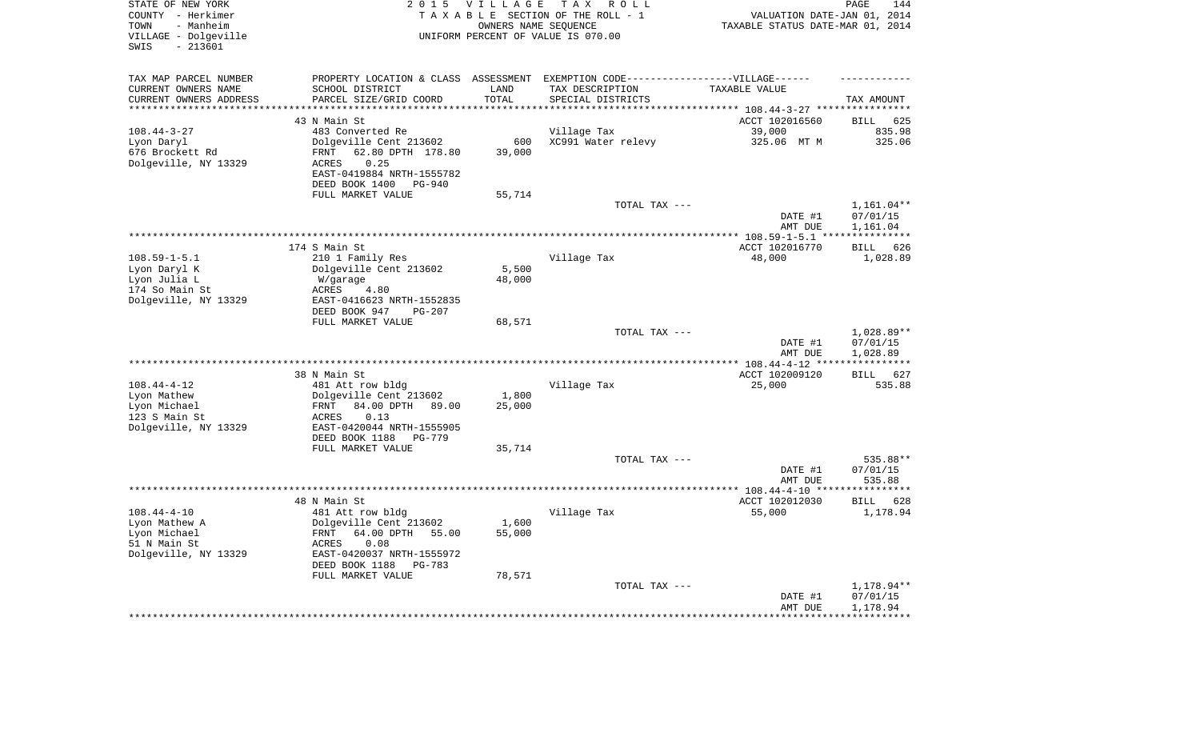| STATE OF NEW YORK<br>COUNTY - Herkimer<br>- Manheim<br>TOWN<br>VILLAGE - Dolgeville<br>$-213601$<br>SWIS | 2 0 1 5                                                     | <b>VILLAGE</b><br>OWNERS NAME SEQUENCE | T A X<br>R O L L<br>TAXABLE SECTION OF THE ROLL - 1<br>UNIFORM PERCENT OF VALUE IS 070.00 | VALUATION DATE-JAN 01, 2014<br>TAXABLE STATUS DATE-MAR 01, 2014 | PAGE<br>144                        |
|----------------------------------------------------------------------------------------------------------|-------------------------------------------------------------|----------------------------------------|-------------------------------------------------------------------------------------------|-----------------------------------------------------------------|------------------------------------|
| TAX MAP PARCEL NUMBER                                                                                    |                                                             |                                        | PROPERTY LOCATION & CLASS ASSESSMENT EXEMPTION CODE-----------------VILLAGE------         |                                                                 |                                    |
| CURRENT OWNERS NAME                                                                                      | SCHOOL DISTRICT                                             | LAND                                   | TAX DESCRIPTION                                                                           | TAXABLE VALUE                                                   |                                    |
| CURRENT OWNERS ADDRESS<br>*********************                                                          | PARCEL SIZE/GRID COORD<br>***********************           | TOTAL<br>**********                    | SPECIAL DISTRICTS                                                                         |                                                                 | TAX AMOUNT                         |
|                                                                                                          | 43 N Main St                                                |                                        |                                                                                           |                                                                 |                                    |
| $108.44 - 3 - 27$                                                                                        | 483 Converted Re                                            |                                        | Village Tax                                                                               | ACCT 102016560<br>39,000                                        | <b>BILL</b><br>625<br>835.98       |
| Lyon Daryl                                                                                               | Dolgeville Cent 213602                                      | 600                                    | XC991 Water relevy                                                                        | 325.06 MT M                                                     | 325.06                             |
| 676 Brockett Rd                                                                                          | 62.80 DPTH 178.80<br><b>FRNT</b>                            | 39,000                                 |                                                                                           |                                                                 |                                    |
| Dolgeville, NY 13329                                                                                     | 0.25<br><b>ACRES</b>                                        |                                        |                                                                                           |                                                                 |                                    |
|                                                                                                          | EAST-0419884 NRTH-1555782                                   |                                        |                                                                                           |                                                                 |                                    |
|                                                                                                          | DEED BOOK 1400<br>$PG-940$                                  |                                        |                                                                                           |                                                                 |                                    |
|                                                                                                          | FULL MARKET VALUE                                           | 55,714                                 |                                                                                           |                                                                 |                                    |
|                                                                                                          |                                                             |                                        | TOTAL TAX ---                                                                             |                                                                 | 1,161.04**                         |
|                                                                                                          |                                                             |                                        |                                                                                           | DATE #1<br>AMT DUE                                              | 07/01/15<br>1,161.04               |
|                                                                                                          |                                                             |                                        |                                                                                           |                                                                 | * * * * * * * * * * *              |
|                                                                                                          | 174 S Main St                                               |                                        |                                                                                           | ACCT 102016770                                                  | 626<br>BILL                        |
| $108.59 - 1 - 5.1$                                                                                       | 210 1 Family Res                                            |                                        | Village Tax                                                                               | 48,000                                                          | 1,028.89                           |
| Lyon Daryl K                                                                                             | Dolgeville Cent 213602                                      | 5,500                                  |                                                                                           |                                                                 |                                    |
| Lyon Julia L                                                                                             | W/garage                                                    | 48,000                                 |                                                                                           |                                                                 |                                    |
| 174 So Main St                                                                                           | ACRES<br>4.80                                               |                                        |                                                                                           |                                                                 |                                    |
| Dolgeville, NY 13329                                                                                     | EAST-0416623 NRTH-1552835<br>DEED BOOK 947<br><b>PG-207</b> |                                        |                                                                                           |                                                                 |                                    |
|                                                                                                          | FULL MARKET VALUE                                           | 68,571                                 |                                                                                           |                                                                 |                                    |
|                                                                                                          |                                                             |                                        | TOTAL TAX ---                                                                             |                                                                 | 1,028.89**                         |
|                                                                                                          |                                                             |                                        |                                                                                           | DATE #1                                                         | 07/01/15                           |
|                                                                                                          |                                                             |                                        |                                                                                           | AMT DUE                                                         | 1,028.89                           |
|                                                                                                          | 38 N Main St                                                |                                        |                                                                                           |                                                                 | * * * * * * * * * *<br>627<br>BILL |
| $108.44 - 4 - 12$                                                                                        | 481 Att row bldg                                            |                                        | Village Tax                                                                               | ACCT 102009120<br>25,000                                        | 535.88                             |
| Lyon Mathew                                                                                              | Dolgeville Cent 213602                                      | 1,800                                  |                                                                                           |                                                                 |                                    |
| Lyon Michael                                                                                             | 84.00 DPTH<br>FRNT<br>89.00                                 | 25,000                                 |                                                                                           |                                                                 |                                    |
| 123 S Main St                                                                                            | 0.13<br>ACRES                                               |                                        |                                                                                           |                                                                 |                                    |
| Dolgeville, NY 13329                                                                                     | EAST-0420044 NRTH-1555905                                   |                                        |                                                                                           |                                                                 |                                    |
|                                                                                                          | DEED BOOK 1188<br><b>PG-779</b>                             |                                        |                                                                                           |                                                                 |                                    |
|                                                                                                          | FULL MARKET VALUE                                           | 35,714                                 |                                                                                           |                                                                 | 535.88**                           |
|                                                                                                          |                                                             |                                        | TOTAL TAX ---                                                                             | DATE #1                                                         | 07/01/15                           |
|                                                                                                          |                                                             |                                        |                                                                                           | AMT DUE                                                         | 535.88                             |
|                                                                                                          |                                                             |                                        |                                                                                           |                                                                 | **********                         |
|                                                                                                          | 48 N Main St                                                |                                        |                                                                                           | ACCT 102012030                                                  | <b>BILL</b><br>628                 |
| $108.44 - 4 - 10$                                                                                        | 481 Att row bldg                                            |                                        | Village Tax                                                                               | 55,000                                                          | 1,178.94                           |
| Lyon Mathew A                                                                                            | Dolgeville Cent 213602                                      | 1,600                                  |                                                                                           |                                                                 |                                    |
| Lyon Michael<br>51 N Main St                                                                             | FRNT<br>64.00 DPTH<br>55.00<br><b>ACRES</b><br>0.08         | 55,000                                 |                                                                                           |                                                                 |                                    |
| Dolgeville, NY 13329                                                                                     | EAST-0420037 NRTH-1555972                                   |                                        |                                                                                           |                                                                 |                                    |
|                                                                                                          | DEED BOOK 1188<br>$PG-783$                                  |                                        |                                                                                           |                                                                 |                                    |
|                                                                                                          | FULL MARKET VALUE                                           | 78,571                                 |                                                                                           |                                                                 |                                    |
|                                                                                                          |                                                             |                                        | TOTAL TAX ---                                                                             |                                                                 | 1,178.94**                         |
|                                                                                                          |                                                             |                                        |                                                                                           | DATE #1                                                         | 07/01/15                           |
|                                                                                                          |                                                             |                                        |                                                                                           | AMT DUE                                                         | 1,178.94<br>* * * * * * * * * * *  |
|                                                                                                          |                                                             |                                        |                                                                                           |                                                                 |                                    |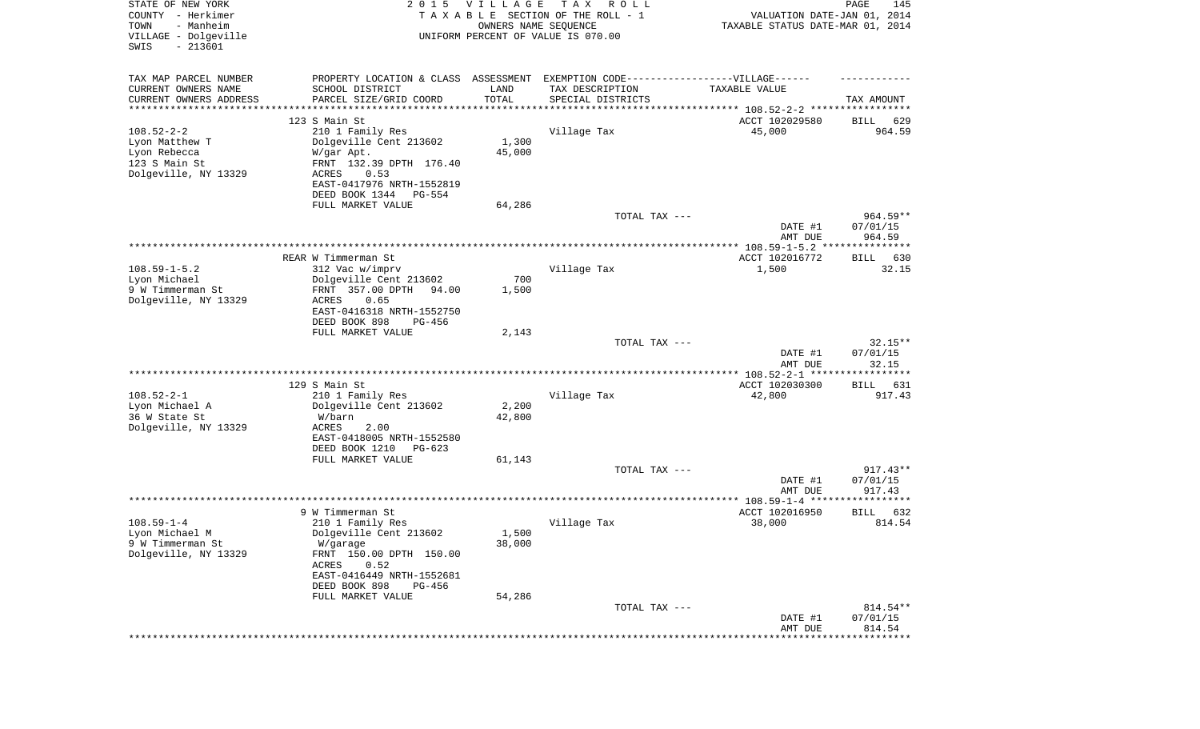| STATE OF NEW YORK<br>COUNTY - Herkimer<br>- Manheim<br>TOWN<br>VILLAGE - Dolgeville<br>SWIS<br>$-213601$ | 2 0 1 5                                                                          | <b>VILLAGE</b><br>OWNERS NAME SEQUENCE | T A X<br>R O L L<br>TAXABLE SECTION OF THE ROLL - 1<br>UNIFORM PERCENT OF VALUE IS 070.00 | VALUATION DATE-JAN 01, 2014<br>TAXABLE STATUS DATE-MAR 01, 2014 | PAGE<br>145           |
|----------------------------------------------------------------------------------------------------------|----------------------------------------------------------------------------------|----------------------------------------|-------------------------------------------------------------------------------------------|-----------------------------------------------------------------|-----------------------|
| TAX MAP PARCEL NUMBER                                                                                    | PROPERTY LOCATION & CLASS ASSESSMENT EXEMPTION CODE----------------VILLAGE------ |                                        |                                                                                           |                                                                 |                       |
| CURRENT OWNERS NAME<br>CURRENT OWNERS ADDRESS                                                            | SCHOOL DISTRICT<br>PARCEL SIZE/GRID COORD                                        | LAND<br>TOTAL                          | TAX DESCRIPTION<br>SPECIAL DISTRICTS                                                      | TAXABLE VALUE                                                   | TAX AMOUNT            |
| ********************                                                                                     |                                                                                  |                                        |                                                                                           |                                                                 |                       |
|                                                                                                          | 123 S Main St                                                                    |                                        |                                                                                           | ACCT 102029580                                                  | 629<br>BILL           |
| $108.52 - 2 - 2$                                                                                         | 210 1 Family Res                                                                 |                                        | Village Tax                                                                               | 45,000                                                          | 964.59                |
| Lyon Matthew T                                                                                           | Dolgeville Cent 213602                                                           | 1,300                                  |                                                                                           |                                                                 |                       |
| Lyon Rebecca                                                                                             | W/gar Apt.                                                                       | 45,000                                 |                                                                                           |                                                                 |                       |
| 123 S Main St                                                                                            | FRNT 132.39 DPTH 176.40                                                          |                                        |                                                                                           |                                                                 |                       |
| Dolgeville, NY 13329                                                                                     | ACRES<br>0.53<br>EAST-0417976 NRTH-1552819                                       |                                        |                                                                                           |                                                                 |                       |
|                                                                                                          | DEED BOOK 1344<br>PG-554                                                         |                                        |                                                                                           |                                                                 |                       |
|                                                                                                          | FULL MARKET VALUE                                                                | 64,286                                 |                                                                                           |                                                                 |                       |
|                                                                                                          |                                                                                  |                                        | TOTAL TAX ---                                                                             |                                                                 | $964.59**$            |
|                                                                                                          |                                                                                  |                                        |                                                                                           | DATE #1                                                         | 07/01/15              |
|                                                                                                          |                                                                                  |                                        |                                                                                           | AMT DUE                                                         | 964.59                |
|                                                                                                          |                                                                                  |                                        |                                                                                           |                                                                 |                       |
|                                                                                                          | REAR W Timmerman St                                                              |                                        |                                                                                           | ACCT 102016772                                                  | BILL<br>630           |
| $108.59 - 1 - 5.2$                                                                                       | 312 Vac w/imprv                                                                  |                                        | Village Tax                                                                               | 1,500                                                           | 32.15                 |
| Lyon Michael                                                                                             | Dolgeville Cent 213602                                                           | 700                                    |                                                                                           |                                                                 |                       |
| 9 W Timmerman St                                                                                         | FRNT 357.00 DPTH<br>94.00<br><b>ACRES</b><br>0.65                                | 1,500                                  |                                                                                           |                                                                 |                       |
| Dolgeville, NY 13329                                                                                     | EAST-0416318 NRTH-1552750                                                        |                                        |                                                                                           |                                                                 |                       |
|                                                                                                          | DEED BOOK 898<br>$PG-456$                                                        |                                        |                                                                                           |                                                                 |                       |
|                                                                                                          | FULL MARKET VALUE                                                                | 2,143                                  |                                                                                           |                                                                 |                       |
|                                                                                                          |                                                                                  |                                        | TOTAL TAX ---                                                                             |                                                                 | $32.15**$             |
|                                                                                                          |                                                                                  |                                        |                                                                                           | DATE #1                                                         | 07/01/15              |
|                                                                                                          |                                                                                  |                                        |                                                                                           | AMT DUE                                                         | 32.15                 |
|                                                                                                          |                                                                                  |                                        |                                                                                           | ************* 108.52-2-1 ******                                 | *******               |
|                                                                                                          | 129 S Main St                                                                    |                                        |                                                                                           | ACCT 102030300                                                  | 631<br>BILL           |
| $108.52 - 2 - 1$<br>Lyon Michael A                                                                       | 210 1 Family Res<br>Dolgeville Cent 213602                                       | 2,200                                  | Village Tax                                                                               | 42,800                                                          | 917.43                |
| 36 W State St                                                                                            | W/barn                                                                           | 42,800                                 |                                                                                           |                                                                 |                       |
| Dolgeville, NY 13329                                                                                     | <b>ACRES</b><br>2.00                                                             |                                        |                                                                                           |                                                                 |                       |
|                                                                                                          | EAST-0418005 NRTH-1552580                                                        |                                        |                                                                                           |                                                                 |                       |
|                                                                                                          | DEED BOOK 1210<br>$PG-623$                                                       |                                        |                                                                                           |                                                                 |                       |
|                                                                                                          | FULL MARKET VALUE                                                                | 61,143                                 |                                                                                           |                                                                 |                       |
|                                                                                                          |                                                                                  |                                        | TOTAL TAX ---                                                                             |                                                                 | $917.43**$            |
|                                                                                                          |                                                                                  |                                        |                                                                                           | DATE #1                                                         | 07/01/15              |
|                                                                                                          | **************                                                                   |                                        |                                                                                           | AMT DUE                                                         | 917.43                |
|                                                                                                          |                                                                                  |                                        |                                                                                           |                                                                 |                       |
| $108.59 - 1 - 4$                                                                                         | 9 W Timmerman St<br>210 1 Family Res                                             |                                        | Village Tax                                                                               | ACCT 102016950<br>38,000                                        | 632<br>BILL<br>814.54 |
| Lyon Michael M                                                                                           | Dolgeville Cent 213602                                                           | 1,500                                  |                                                                                           |                                                                 |                       |
| 9 W Timmerman St                                                                                         | W/garage                                                                         | 38,000                                 |                                                                                           |                                                                 |                       |
| Dolgeville, NY 13329                                                                                     | FRNT 150.00 DPTH 150.00                                                          |                                        |                                                                                           |                                                                 |                       |
|                                                                                                          | 0.52<br>ACRES                                                                    |                                        |                                                                                           |                                                                 |                       |
|                                                                                                          | EAST-0416449 NRTH-1552681                                                        |                                        |                                                                                           |                                                                 |                       |
|                                                                                                          | DEED BOOK 898<br>PG-456                                                          |                                        |                                                                                           |                                                                 |                       |
|                                                                                                          | FULL MARKET VALUE                                                                | 54,286                                 |                                                                                           |                                                                 |                       |
|                                                                                                          |                                                                                  |                                        | TOTAL TAX ---                                                                             |                                                                 | 814.54**              |
|                                                                                                          |                                                                                  |                                        |                                                                                           | DATE #1<br>AMT DUE                                              | 07/01/15<br>814.54    |
|                                                                                                          |                                                                                  |                                        |                                                                                           |                                                                 | **************        |
|                                                                                                          |                                                                                  |                                        |                                                                                           |                                                                 |                       |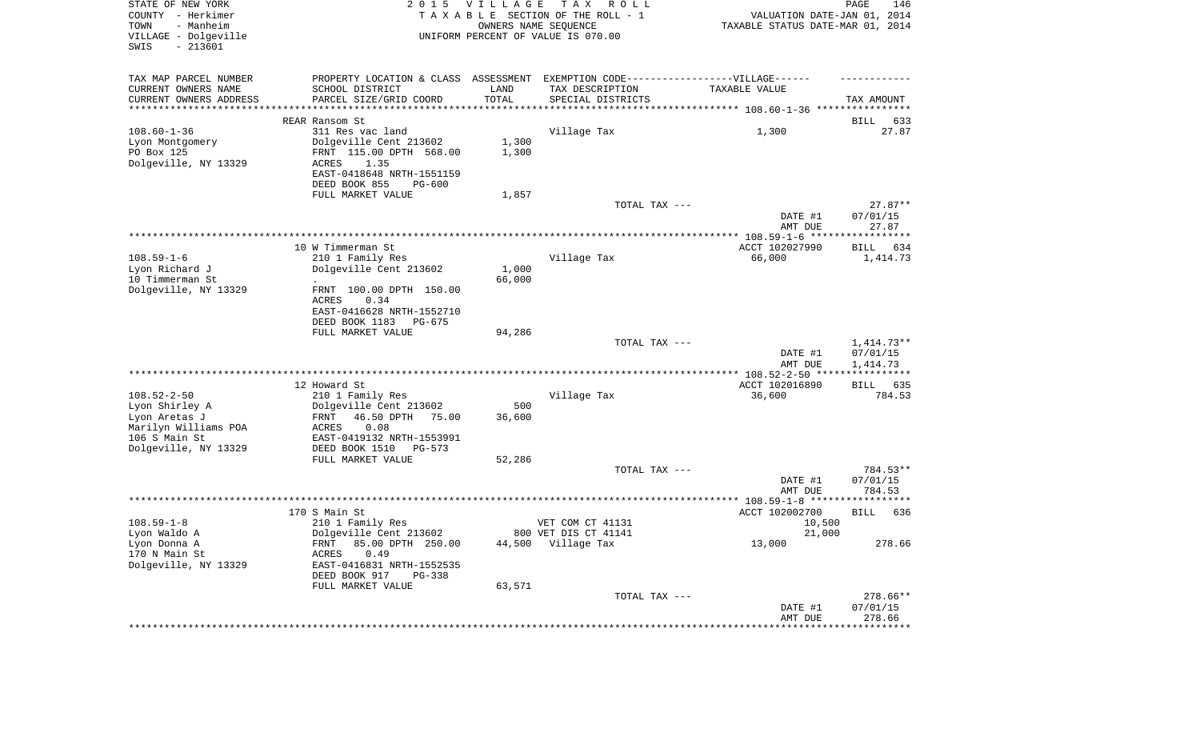| STATE OF NEW YORK<br>COUNTY - Herkimer<br>TOWN<br>- Manheim<br>VILLAGE - Dolgeville<br>SWIS<br>$-213601$ |                                                                                   | 2015 VILLAGE | T A X<br>R O L L<br>TAXABLE SECTION OF THE ROLL - 1<br>OWNERS NAME SEQUENCE<br>UNIFORM PERCENT OF VALUE IS 070.00 | VALUATION DATE-JAN 01, 2014<br>TAXABLE STATUS DATE-MAR 01, 2014 | PAGE<br>146          |
|----------------------------------------------------------------------------------------------------------|-----------------------------------------------------------------------------------|--------------|-------------------------------------------------------------------------------------------------------------------|-----------------------------------------------------------------|----------------------|
| TAX MAP PARCEL NUMBER                                                                                    | PROPERTY LOCATION & CLASS ASSESSMENT EXEMPTION CODE-----------------VILLAGE------ |              |                                                                                                                   |                                                                 |                      |
| CURRENT OWNERS NAME                                                                                      | SCHOOL DISTRICT                                                                   | LAND         | TAX DESCRIPTION                                                                                                   | TAXABLE VALUE                                                   |                      |
| CURRENT OWNERS ADDRESS<br>**********************                                                         | PARCEL SIZE/GRID COORD                                                            | TOTAL        | SPECIAL DISTRICTS                                                                                                 |                                                                 | TAX AMOUNT           |
|                                                                                                          | REAR Ransom St                                                                    |              |                                                                                                                   |                                                                 | 633<br>BILL          |
| $108.60 - 1 - 36$                                                                                        | 311 Res vac land                                                                  |              | Village Tax                                                                                                       | 1,300                                                           | 27.87                |
| Lyon Montgomery                                                                                          | Dolgeville Cent 213602                                                            | 1,300        |                                                                                                                   |                                                                 |                      |
| PO Box 125                                                                                               | FRNT 115.00 DPTH 568.00                                                           | 1,300        |                                                                                                                   |                                                                 |                      |
| Dolgeville, NY 13329                                                                                     | ACRES<br>1.35                                                                     |              |                                                                                                                   |                                                                 |                      |
|                                                                                                          | EAST-0418648 NRTH-1551159<br>DEED BOOK 855<br><b>PG-600</b>                       |              |                                                                                                                   |                                                                 |                      |
|                                                                                                          | FULL MARKET VALUE                                                                 | 1,857        |                                                                                                                   |                                                                 |                      |
|                                                                                                          |                                                                                   |              | TOTAL TAX ---                                                                                                     |                                                                 | $27.87**$            |
|                                                                                                          |                                                                                   |              |                                                                                                                   | DATE #1                                                         | 07/01/15             |
|                                                                                                          |                                                                                   |              |                                                                                                                   | AMT DUE                                                         | 27.87                |
|                                                                                                          | 10 W Timmerman St                                                                 |              |                                                                                                                   | ACCT 102027990                                                  | BILL<br>634          |
| $108.59 - 1 - 6$                                                                                         | 210 1 Family Res                                                                  |              | Village Tax                                                                                                       | 66,000                                                          | 1,414.73             |
| Lyon Richard J                                                                                           | Dolgeville Cent 213602                                                            | 1,000        |                                                                                                                   |                                                                 |                      |
| 10 Timmerman St                                                                                          |                                                                                   | 66,000       |                                                                                                                   |                                                                 |                      |
| Dolgeville, NY 13329                                                                                     | FRNT 100.00 DPTH 150.00                                                           |              |                                                                                                                   |                                                                 |                      |
|                                                                                                          | ACRES<br>0.34<br>EAST-0416628 NRTH-1552710                                        |              |                                                                                                                   |                                                                 |                      |
|                                                                                                          | DEED BOOK 1183<br>PG-675                                                          |              |                                                                                                                   |                                                                 |                      |
|                                                                                                          | FULL MARKET VALUE                                                                 | 94,286       |                                                                                                                   |                                                                 |                      |
|                                                                                                          |                                                                                   |              | TOTAL TAX ---                                                                                                     |                                                                 | $1,414.73**$         |
|                                                                                                          |                                                                                   |              |                                                                                                                   | DATE #1<br>AMT DUE                                              | 07/01/15<br>1,414.73 |
|                                                                                                          |                                                                                   |              |                                                                                                                   | ************* 108.52-2-50 *****                                 | ***********          |
|                                                                                                          | 12 Howard St                                                                      |              |                                                                                                                   | ACCT 102016890                                                  | <b>BILL</b><br>635   |
| $108.52 - 2 - 50$                                                                                        | 210 1 Family Res                                                                  |              | Village Tax                                                                                                       | 36,600                                                          | 784.53               |
| Lyon Shirley A                                                                                           | Dolgeville Cent 213602                                                            | 500          |                                                                                                                   |                                                                 |                      |
| Lyon Aretas J<br>Marilyn Williams POA                                                                    | 46.50 DPTH<br>75.00<br>FRNT<br>ACRES<br>0.08                                      | 36,600       |                                                                                                                   |                                                                 |                      |
| 106 S Main St                                                                                            | EAST-0419132 NRTH-1553991                                                         |              |                                                                                                                   |                                                                 |                      |
| Dolgeville, NY 13329                                                                                     | DEED BOOK 1510<br>PG-573                                                          |              |                                                                                                                   |                                                                 |                      |
|                                                                                                          | FULL MARKET VALUE                                                                 | 52,286       |                                                                                                                   |                                                                 |                      |
|                                                                                                          |                                                                                   |              | TOTAL TAX ---                                                                                                     |                                                                 | 784.53**             |
|                                                                                                          |                                                                                   |              |                                                                                                                   | DATE #1<br>AMT DUE                                              | 07/01/15<br>784.53   |
|                                                                                                          |                                                                                   |              |                                                                                                                   |                                                                 |                      |
|                                                                                                          | 170 S Main St                                                                     |              |                                                                                                                   | ACCT 102002700                                                  | 636<br>BILL          |
| $108.59 - 1 - 8$                                                                                         | 210 1 Family Res                                                                  |              | VET COM CT 41131                                                                                                  | 10,500                                                          |                      |
| Lyon Waldo A                                                                                             | Dolgeville Cent 213602<br>FRNT 85.00 DPTH 250.00                                  |              | 800 VET DIS CT 41141<br>44,500 Village Tax                                                                        | 21,000<br>13,000                                                | 278.66               |
| Lyon Donna A<br>170 N Main St                                                                            | ACRES<br>0.49                                                                     |              |                                                                                                                   |                                                                 |                      |
| Dolgeville, NY 13329                                                                                     | EAST-0416831 NRTH-1552535                                                         |              |                                                                                                                   |                                                                 |                      |
|                                                                                                          | DEED BOOK 917<br><b>PG-338</b>                                                    |              |                                                                                                                   |                                                                 |                      |
|                                                                                                          | FULL MARKET VALUE                                                                 | 63,571       |                                                                                                                   |                                                                 |                      |
|                                                                                                          |                                                                                   |              | TOTAL TAX ---                                                                                                     | DATE #1                                                         | 278.66**<br>07/01/15 |
|                                                                                                          |                                                                                   |              |                                                                                                                   | AMT DUE                                                         | 278.66               |
|                                                                                                          |                                                                                   |              |                                                                                                                   |                                                                 |                      |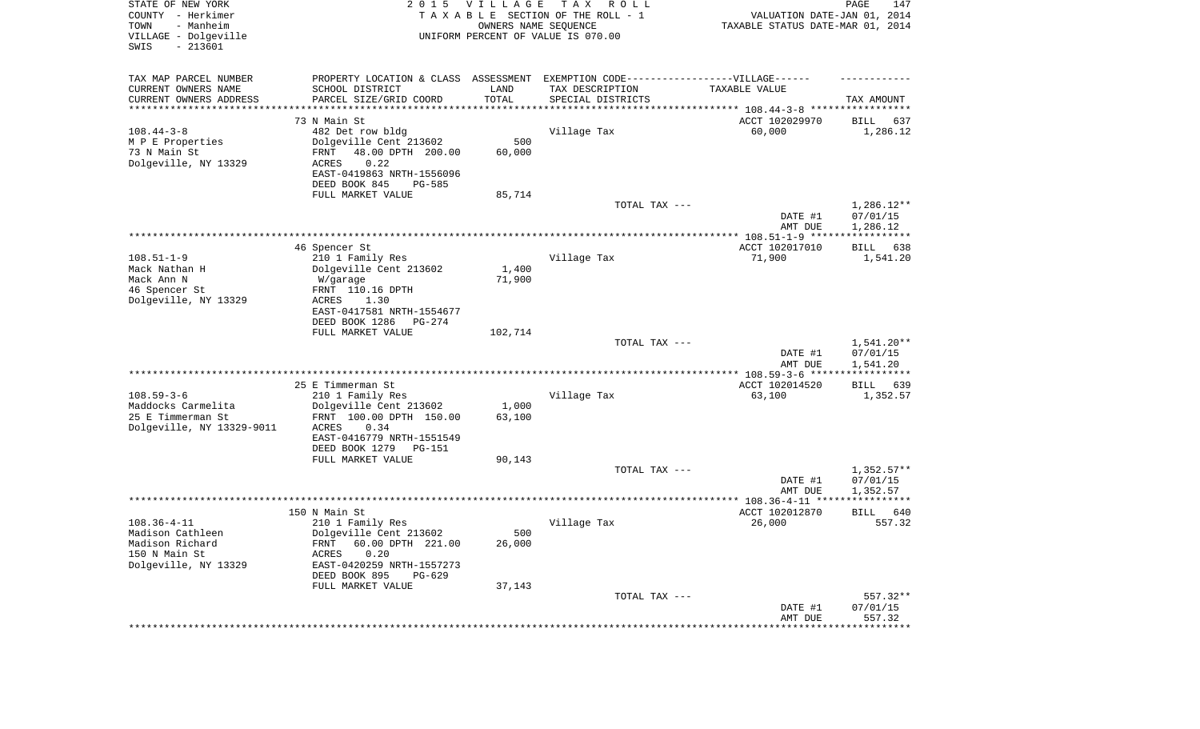| STATE OF NEW YORK<br>COUNTY - Herkimer<br>TOWN<br>- Manheim<br>VILLAGE - Dolgeville<br>SWIS<br>$-213601$ | 2 0 1 5                                                                          | <b>VILLAGE</b> | T A X<br>R O L L<br>TAXABLE SECTION OF THE ROLL - 1<br>OWNERS NAME SEQUENCE<br>UNIFORM PERCENT OF VALUE IS 070.00 | VALUATION DATE-JAN 01, 2014<br>TAXABLE STATUS DATE-MAR 01, 2014 | 147<br>PAGE             |
|----------------------------------------------------------------------------------------------------------|----------------------------------------------------------------------------------|----------------|-------------------------------------------------------------------------------------------------------------------|-----------------------------------------------------------------|-------------------------|
| TAX MAP PARCEL NUMBER                                                                                    | PROPERTY LOCATION & CLASS ASSESSMENT EXEMPTION CODE----------------VILLAGE------ |                |                                                                                                                   |                                                                 |                         |
| CURRENT OWNERS NAME                                                                                      | SCHOOL DISTRICT                                                                  | LAND           | TAX DESCRIPTION                                                                                                   | TAXABLE VALUE                                                   |                         |
| CURRENT OWNERS ADDRESS<br>********************                                                           | PARCEL SIZE/GRID COORD                                                           | TOTAL          | SPECIAL DISTRICTS                                                                                                 | ********************************** 108.44-3-8 ***************** | TAX AMOUNT              |
|                                                                                                          | 73 N Main St                                                                     |                |                                                                                                                   | ACCT 102029970                                                  | 637<br>BILL             |
| $108.44 - 3 - 8$                                                                                         | 482 Det row bldg                                                                 |                | Village Tax                                                                                                       | 60,000                                                          | 1,286.12                |
| M P E Properties                                                                                         | Dolgeville Cent 213602                                                           | 500            |                                                                                                                   |                                                                 |                         |
| 73 N Main St                                                                                             | 48.00 DPTH 200.00<br>FRNT                                                        | 60,000         |                                                                                                                   |                                                                 |                         |
| Dolgeville, NY 13329                                                                                     | 0.22<br><b>ACRES</b><br>EAST-0419863 NRTH-1556096                                |                |                                                                                                                   |                                                                 |                         |
|                                                                                                          | DEED BOOK 845<br>$PG-585$                                                        |                |                                                                                                                   |                                                                 |                         |
|                                                                                                          | FULL MARKET VALUE                                                                | 85,714         |                                                                                                                   |                                                                 |                         |
|                                                                                                          |                                                                                  |                | TOTAL TAX ---                                                                                                     |                                                                 | $1,286.12**$            |
|                                                                                                          |                                                                                  |                |                                                                                                                   | DATE #1<br>AMT DUE                                              | 07/01/15                |
|                                                                                                          |                                                                                  |                |                                                                                                                   |                                                                 | 1,286.12                |
|                                                                                                          | 46 Spencer St                                                                    |                |                                                                                                                   | ACCT 102017010                                                  | 638<br>BILL             |
| $108.51 - 1 - 9$                                                                                         | 210 1 Family Res                                                                 |                | Village Tax                                                                                                       | 71,900                                                          | 1,541.20                |
| Mack Nathan H<br>Mack Ann N                                                                              | Dolgeville Cent 213602                                                           | 1,400          |                                                                                                                   |                                                                 |                         |
| 46 Spencer St                                                                                            | W/garage<br>FRNT 110.16 DPTH                                                     | 71,900         |                                                                                                                   |                                                                 |                         |
| Dolgeville, NY 13329                                                                                     | <b>ACRES</b><br>1.30                                                             |                |                                                                                                                   |                                                                 |                         |
|                                                                                                          | EAST-0417581 NRTH-1554677                                                        |                |                                                                                                                   |                                                                 |                         |
|                                                                                                          | DEED BOOK 1286<br>PG-274                                                         |                |                                                                                                                   |                                                                 |                         |
|                                                                                                          | FULL MARKET VALUE                                                                | 102,714        | TOTAL TAX ---                                                                                                     |                                                                 | $1,541.20**$            |
|                                                                                                          |                                                                                  |                |                                                                                                                   | DATE #1                                                         | 07/01/15                |
|                                                                                                          |                                                                                  |                |                                                                                                                   | AMT DUE                                                         | 1,541.20                |
|                                                                                                          |                                                                                  |                |                                                                                                                   | ************ 108.59-3-6 *****                                   | ***********             |
| $108.59 - 3 - 6$                                                                                         | 25 E Timmerman St<br>210 1 Family Res                                            |                | Village Tax                                                                                                       | ACCT 102014520<br>63,100                                        | 639<br>BILL<br>1,352.57 |
| Maddocks Carmelita                                                                                       | Dolgeville Cent 213602                                                           | 1,000          |                                                                                                                   |                                                                 |                         |
| 25 E Timmerman St                                                                                        | FRNT 100.00 DPTH 150.00                                                          | 63,100         |                                                                                                                   |                                                                 |                         |
| Dolgeville, NY 13329-9011                                                                                | <b>ACRES</b><br>0.34                                                             |                |                                                                                                                   |                                                                 |                         |
|                                                                                                          | EAST-0416779 NRTH-1551549<br>DEED BOOK 1279<br>PG-151                            |                |                                                                                                                   |                                                                 |                         |
|                                                                                                          | FULL MARKET VALUE                                                                | 90,143         |                                                                                                                   |                                                                 |                         |
|                                                                                                          |                                                                                  |                | TOTAL TAX ---                                                                                                     |                                                                 | $1,352.57**$            |
|                                                                                                          |                                                                                  |                |                                                                                                                   | DATE #1                                                         | 07/01/15                |
|                                                                                                          |                                                                                  |                |                                                                                                                   | AMT DUE                                                         | 1,352.57                |
|                                                                                                          | 150 N Main St                                                                    |                |                                                                                                                   | ACCT 102012870                                                  | 640<br>BILL             |
| $108.36 - 4 - 11$                                                                                        | 210 1 Family Res                                                                 |                | Village Tax                                                                                                       | 26,000                                                          | 557.32                  |
| Madison Cathleen                                                                                         | Dolgeville Cent 213602                                                           | 500            |                                                                                                                   |                                                                 |                         |
| Madison Richard                                                                                          | FRNT 60.00 DPTH 221.00                                                           | 26,000         |                                                                                                                   |                                                                 |                         |
| 150 N Main St<br>Dolgeville, NY 13329                                                                    | ACRES<br>0.20<br>EAST-0420259 NRTH-1557273                                       |                |                                                                                                                   |                                                                 |                         |
|                                                                                                          | DEED BOOK 895<br>PG-629                                                          |                |                                                                                                                   |                                                                 |                         |
|                                                                                                          | FULL MARKET VALUE                                                                | 37,143         |                                                                                                                   |                                                                 |                         |
|                                                                                                          |                                                                                  |                | TOTAL TAX ---                                                                                                     |                                                                 | 557.32**                |
|                                                                                                          |                                                                                  |                |                                                                                                                   | DATE #1<br>AMT DUE                                              | 07/01/15<br>557.32      |
|                                                                                                          |                                                                                  |                |                                                                                                                   | ************************************                            |                         |
|                                                                                                          |                                                                                  |                |                                                                                                                   |                                                                 |                         |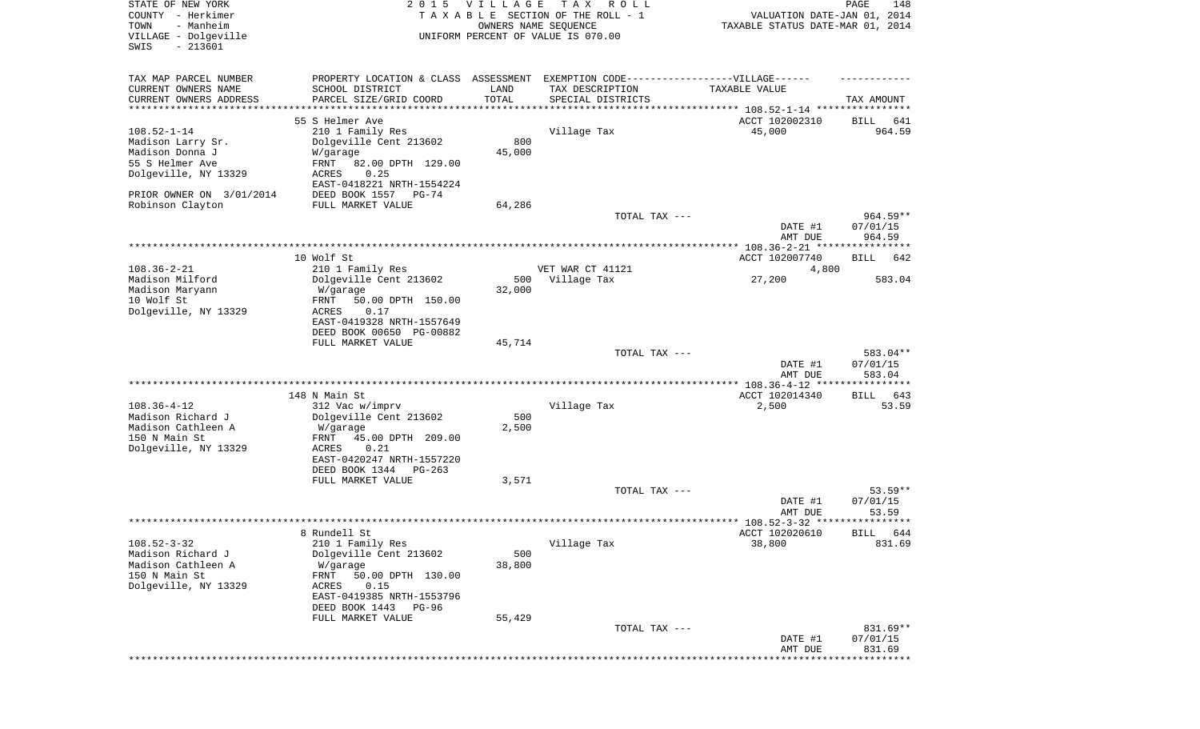| STATE OF NEW YORK<br>COUNTY - Herkimer<br>- Manheim<br>TOWN<br>VILLAGE - Dolgeville<br>$-213601$<br>SWIS | 2 0 1 5                                                 | <b>VILLAGE</b> | T A X<br>R O L L<br>TAXABLE SECTION OF THE ROLL - 1<br>OWNERS NAME SEQUENCE<br>UNIFORM PERCENT OF VALUE IS 070.00 | VALUATION DATE-JAN 01, 2014<br>TAXABLE STATUS DATE-MAR 01, 2014 | PAGE<br>148            |
|----------------------------------------------------------------------------------------------------------|---------------------------------------------------------|----------------|-------------------------------------------------------------------------------------------------------------------|-----------------------------------------------------------------|------------------------|
|                                                                                                          |                                                         |                |                                                                                                                   |                                                                 |                        |
| TAX MAP PARCEL NUMBER<br>CURRENT OWNERS NAME                                                             | PROPERTY LOCATION & CLASS ASSESSMENT<br>SCHOOL DISTRICT | LAND           | EXEMPTION CODE------------------VILLAGE------<br>TAX DESCRIPTION                                                  | TAXABLE VALUE                                                   |                        |
| CURRENT OWNERS ADDRESS<br>*********************                                                          | PARCEL SIZE/GRID COORD                                  | TOTAL          | SPECIAL DISTRICTS                                                                                                 | ***************************** 108.52-1-14 ****************      | TAX AMOUNT             |
|                                                                                                          | 55 S Helmer Ave                                         |                |                                                                                                                   | ACCT 102002310                                                  | BILL<br>641            |
| $108.52 - 1 - 14$                                                                                        | 210 1 Family Res                                        |                | Village Tax                                                                                                       | 45,000                                                          | 964.59                 |
| Madison Larry Sr.                                                                                        | Dolgeville Cent 213602                                  | 800            |                                                                                                                   |                                                                 |                        |
| Madison Donna J<br>55 S Helmer Ave                                                                       | W/garage<br>FRNT                                        | 45,000         |                                                                                                                   |                                                                 |                        |
| Dolgeville, NY 13329                                                                                     | 82.00 DPTH 129.00<br>0.25<br>ACRES                      |                |                                                                                                                   |                                                                 |                        |
|                                                                                                          | EAST-0418221 NRTH-1554224                               |                |                                                                                                                   |                                                                 |                        |
| PRIOR OWNER ON 3/01/2014                                                                                 | DEED BOOK 1557<br>PG-74                                 |                |                                                                                                                   |                                                                 |                        |
| Robinson Clayton                                                                                         | FULL MARKET VALUE                                       | 64,286         |                                                                                                                   |                                                                 |                        |
|                                                                                                          |                                                         |                | TOTAL TAX ---                                                                                                     | DATE #1                                                         | $964.59**$<br>07/01/15 |
|                                                                                                          |                                                         |                |                                                                                                                   | AMT DUE                                                         | 964.59                 |
|                                                                                                          |                                                         |                |                                                                                                                   |                                                                 |                        |
|                                                                                                          | 10 Wolf St                                              |                |                                                                                                                   | ACCT 102007740                                                  | BILL<br>642            |
| $108.36 - 2 - 21$                                                                                        | 210 1 Family Res                                        | 500            | VET WAR CT 41121                                                                                                  | 4,800                                                           | 583.04                 |
| Madison Milford<br>Madison Maryann                                                                       | Dolgeville Cent 213602<br>W/garage                      | 32,000         | Village Tax                                                                                                       | 27,200                                                          |                        |
| 10 Wolf St                                                                                               | 50.00 DPTH 150.00<br>FRNT                               |                |                                                                                                                   |                                                                 |                        |
| Dolgeville, NY 13329                                                                                     | <b>ACRES</b><br>0.17                                    |                |                                                                                                                   |                                                                 |                        |
|                                                                                                          | EAST-0419328 NRTH-1557649                               |                |                                                                                                                   |                                                                 |                        |
|                                                                                                          | DEED BOOK 00650 PG-00882<br>FULL MARKET VALUE           | 45,714         |                                                                                                                   |                                                                 |                        |
|                                                                                                          |                                                         |                | TOTAL TAX ---                                                                                                     |                                                                 | 583.04**               |
|                                                                                                          |                                                         |                |                                                                                                                   | DATE #1                                                         | 07/01/15               |
|                                                                                                          |                                                         |                |                                                                                                                   | AMT DUE                                                         | 583.04                 |
|                                                                                                          | 148 N Main St                                           |                |                                                                                                                   | ACCT 102014340                                                  | BILL<br>643            |
| $108.36 - 4 - 12$                                                                                        | 312 Vac w/imprv                                         |                | Village Tax                                                                                                       | 2,500                                                           | 53.59                  |
| Madison Richard J                                                                                        | Dolgeville Cent 213602                                  | 500            |                                                                                                                   |                                                                 |                        |
| Madison Cathleen A                                                                                       | W/garage                                                | 2,500          |                                                                                                                   |                                                                 |                        |
| 150 N Main St                                                                                            | FRNT<br>45.00 DPTH 209.00                               |                |                                                                                                                   |                                                                 |                        |
| Dolgeville, NY 13329                                                                                     | ACRES<br>0.21<br>EAST-0420247 NRTH-1557220              |                |                                                                                                                   |                                                                 |                        |
|                                                                                                          | DEED BOOK 1344<br>PG-263                                |                |                                                                                                                   |                                                                 |                        |
|                                                                                                          | FULL MARKET VALUE                                       | 3,571          |                                                                                                                   |                                                                 |                        |
|                                                                                                          |                                                         |                | TOTAL TAX ---                                                                                                     |                                                                 | $53.59**$              |
|                                                                                                          |                                                         |                |                                                                                                                   | DATE #1                                                         | 07/01/15<br>53.59      |
|                                                                                                          |                                                         |                |                                                                                                                   | AMT DUE                                                         |                        |
|                                                                                                          | 8 Rundell St                                            |                |                                                                                                                   | ACCT 102020610                                                  | BILL 644               |
| $108.52 - 3 - 32$                                                                                        | 210 1 Family Res                                        |                | Village Tax                                                                                                       | 38,800                                                          | 831.69                 |
| Madison Richard J                                                                                        | Dolgeville Cent 213602                                  | 500            |                                                                                                                   |                                                                 |                        |
| Madison Cathleen A<br>150 N Main St                                                                      | W/garage<br>FRNT<br>50.00 DPTH 130.00                   | 38,800         |                                                                                                                   |                                                                 |                        |
| Dolgeville, NY 13329                                                                                     | ACRES<br>0.15                                           |                |                                                                                                                   |                                                                 |                        |
|                                                                                                          | EAST-0419385 NRTH-1553796                               |                |                                                                                                                   |                                                                 |                        |
|                                                                                                          | DEED BOOK 1443<br>PG-96                                 |                |                                                                                                                   |                                                                 |                        |
|                                                                                                          | FULL MARKET VALUE                                       | 55,429         | TOTAL TAX ---                                                                                                     |                                                                 | 831.69**               |
|                                                                                                          |                                                         |                |                                                                                                                   | DATE #1                                                         | 07/01/15               |
|                                                                                                          |                                                         |                |                                                                                                                   | AMT DUE                                                         | 831.69                 |
|                                                                                                          |                                                         |                |                                                                                                                   | ******************************                                  |                        |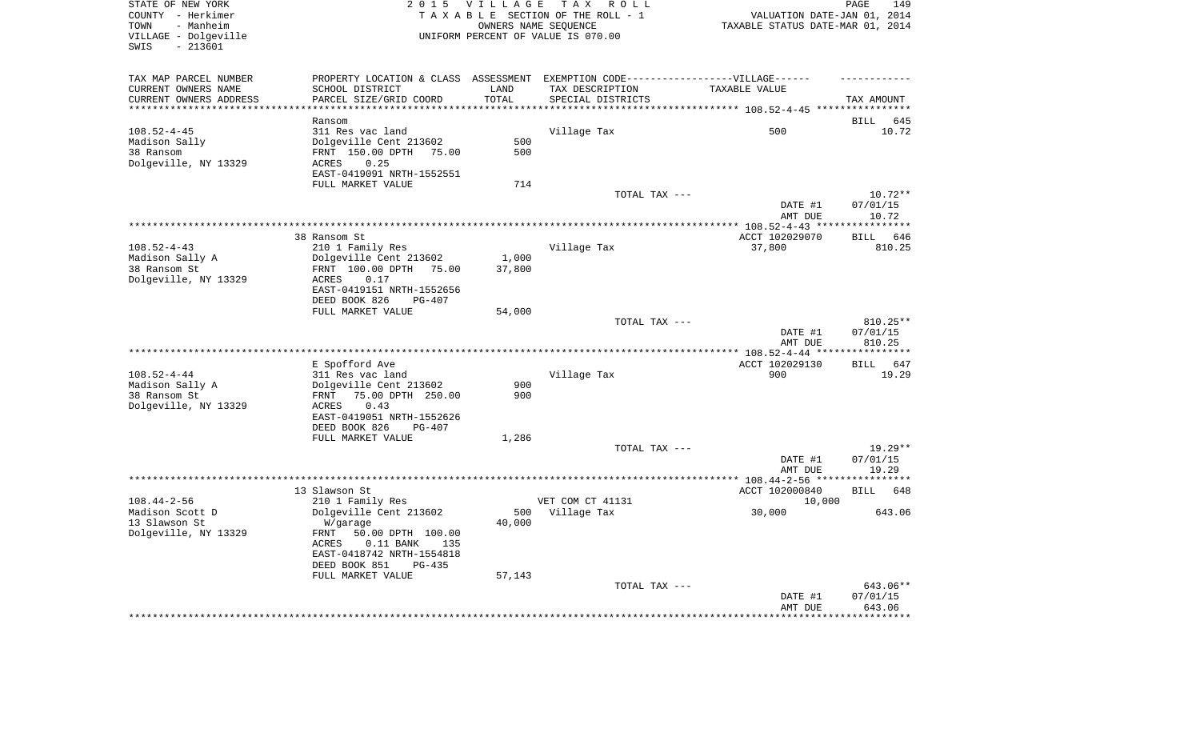| COUNTY - Herkimer<br>TOWN<br>- Manheim                   |                                                                                   |                      |                                    |                                  | PAGE               |
|----------------------------------------------------------|-----------------------------------------------------------------------------------|----------------------|------------------------------------|----------------------------------|--------------------|
|                                                          |                                                                                   |                      | TAXABLE SECTION OF THE ROLL - 1    | VALUATION DATE-JAN 01, 2014      |                    |
|                                                          |                                                                                   | OWNERS NAME SEQUENCE |                                    | TAXABLE STATUS DATE-MAR 01, 2014 |                    |
| VILLAGE - Dolgeville                                     |                                                                                   |                      | UNIFORM PERCENT OF VALUE IS 070.00 |                                  |                    |
| SWIS<br>$-213601$                                        |                                                                                   |                      |                                    |                                  |                    |
|                                                          |                                                                                   |                      |                                    |                                  |                    |
| TAX MAP PARCEL NUMBER                                    | PROPERTY LOCATION & CLASS ASSESSMENT EXEMPTION CODE-----------------VILLAGE------ |                      |                                    |                                  |                    |
| CURRENT OWNERS NAME                                      | SCHOOL DISTRICT                                                                   | LAND                 | TAX DESCRIPTION                    | TAXABLE VALUE                    |                    |
| CURRENT OWNERS ADDRESS                                   | PARCEL SIZE/GRID COORD                                                            | TOTAL                | SPECIAL DISTRICTS                  |                                  | TAX AMOUNT         |
| **********************                                   | ***********************                                                           |                      |                                    |                                  |                    |
|                                                          | Ransom                                                                            |                      |                                    |                                  | BILL 645           |
| $108.52 - 4 - 45$                                        | 311 Res vac land                                                                  |                      | Village Tax                        | 500                              | 10.72              |
| Madison Sally                                            | Dolgeville Cent 213602                                                            | 500                  |                                    |                                  |                    |
| 38 Ransom                                                | FRNT 150.00 DPTH 75.00                                                            | 500                  |                                    |                                  |                    |
| Dolgeville, NY 13329                                     | ACRES<br>0.25                                                                     |                      |                                    |                                  |                    |
|                                                          | EAST-0419091 NRTH-1552551                                                         |                      |                                    |                                  |                    |
|                                                          | FULL MARKET VALUE                                                                 | 714                  |                                    |                                  |                    |
|                                                          |                                                                                   |                      | TOTAL TAX ---                      |                                  | $10.72**$          |
|                                                          |                                                                                   |                      |                                    | DATE #1                          | 07/01/15           |
|                                                          |                                                                                   |                      |                                    | AMT DUE                          | 10.72              |
|                                                          |                                                                                   |                      |                                    |                                  |                    |
|                                                          | 38 Ransom St                                                                      |                      |                                    | ACCT 102029070                   | BILL 646           |
| $108.52 - 4 - 43$                                        | 210 1 Family Res                                                                  |                      | Village Tax                        | 37,800                           | 810.25             |
| Madison Sally A                                          | Dolgeville Cent 213602                                                            | 1,000                |                                    |                                  |                    |
| 38 Ransom St                                             | FRNT 100.00 DPTH 75.00                                                            | 37,800               |                                    |                                  |                    |
| Dolgeville, NY 13329                                     | 0.17<br>ACRES                                                                     |                      |                                    |                                  |                    |
|                                                          | EAST-0419151 NRTH-1552656                                                         |                      |                                    |                                  |                    |
|                                                          | DEED BOOK 826<br>$PG-407$                                                         |                      |                                    |                                  |                    |
|                                                          | FULL MARKET VALUE                                                                 | 54,000               |                                    |                                  |                    |
|                                                          |                                                                                   |                      | TOTAL TAX ---                      |                                  | 810.25**           |
|                                                          |                                                                                   |                      |                                    | DATE #1                          | 07/01/15           |
|                                                          |                                                                                   |                      |                                    | AMT DUE                          | 810.25             |
|                                                          |                                                                                   |                      |                                    |                                  |                    |
|                                                          | E Spofford Ave                                                                    |                      |                                    | ACCT 102029130                   | BILL 647           |
| $108.52 - 4 - 44$                                        | 311 Res vac land                                                                  |                      | Village Tax                        | 900                              | 19.29              |
| Madison Sally A                                          | Dolgeville Cent 213602                                                            | 900                  |                                    |                                  |                    |
| 38 Ransom St                                             | FRNT<br>75.00 DPTH 250.00                                                         | 900                  |                                    |                                  |                    |
| Dolgeville, NY 13329                                     | ACRES<br>0.43                                                                     |                      |                                    |                                  |                    |
|                                                          |                                                                                   |                      |                                    |                                  |                    |
|                                                          | EAST-0419051 NRTH-1552626                                                         |                      |                                    |                                  |                    |
|                                                          | DEED BOOK 826<br><b>PG-407</b>                                                    |                      |                                    |                                  |                    |
|                                                          | FULL MARKET VALUE                                                                 | 1,286                |                                    |                                  |                    |
|                                                          |                                                                                   |                      | TOTAL TAX ---                      |                                  |                    |
|                                                          |                                                                                   |                      |                                    |                                  | $19.29**$          |
|                                                          |                                                                                   |                      |                                    | DATE #1                          | 07/01/15           |
|                                                          |                                                                                   |                      |                                    | AMT DUE                          | 19.29              |
|                                                          |                                                                                   |                      |                                    |                                  |                    |
|                                                          | 13 Slawson St                                                                     |                      |                                    | ACCT 102000840                   | BILL 648           |
| $108.44 - 2 - 56$                                        | 210 1 Family Res                                                                  |                      | VET COM CT 41131                   | 10,000                           |                    |
|                                                          | Dolgeville Cent 213602                                                            | 500                  | Village Tax                        | 30,000                           | 643.06             |
|                                                          | W/garage                                                                          | 40,000               |                                    |                                  |                    |
|                                                          | FRNT<br>50.00 DPTH 100.00                                                         |                      |                                    |                                  |                    |
|                                                          | ACRES<br>$0.11$ BANK<br>135                                                       |                      |                                    |                                  |                    |
| Madison Scott D<br>13 Slawson St<br>Dolgeville, NY 13329 | EAST-0418742 NRTH-1554818                                                         |                      |                                    |                                  |                    |
|                                                          | DEED BOOK 851<br><b>PG-435</b>                                                    |                      |                                    |                                  |                    |
|                                                          | FULL MARKET VALUE                                                                 | 57,143               |                                    |                                  |                    |
|                                                          |                                                                                   |                      | TOTAL TAX ---                      |                                  | 643.06**           |
|                                                          |                                                                                   |                      |                                    | DATE #1<br>AMT DUE               | 07/01/15<br>643.06 |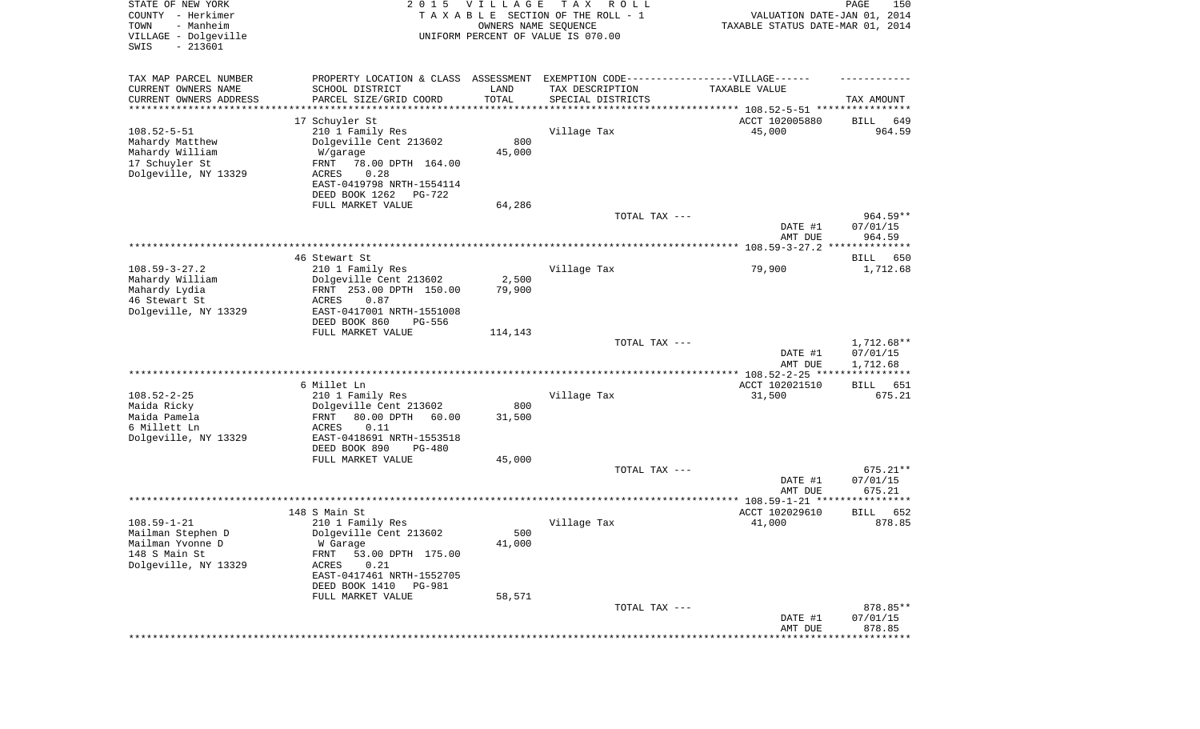| STATE OF NEW YORK<br>COUNTY - Herkimer<br>- Manheim<br>TOWN<br>VILLAGE - Dolgeville<br>SWIS<br>$-213601$ | 2 0 1 5                                                                          | V I L L A G E<br>OWNERS NAME SEQUENCE | T A X<br>R O L L<br>TAXABLE SECTION OF THE ROLL - 1<br>UNIFORM PERCENT OF VALUE IS 070.00 | VALUATION DATE-JAN 01, 2014<br>TAXABLE STATUS DATE-MAR 01, 2014 | 150<br>PAGE             |
|----------------------------------------------------------------------------------------------------------|----------------------------------------------------------------------------------|---------------------------------------|-------------------------------------------------------------------------------------------|-----------------------------------------------------------------|-------------------------|
| TAX MAP PARCEL NUMBER                                                                                    | PROPERTY LOCATION & CLASS ASSESSMENT EXEMPTION CODE----------------VILLAGE------ |                                       |                                                                                           |                                                                 |                         |
| CURRENT OWNERS NAME                                                                                      | SCHOOL DISTRICT                                                                  | LAND                                  | TAX DESCRIPTION                                                                           | TAXABLE VALUE                                                   |                         |
| CURRENT OWNERS ADDRESS<br>********************                                                           | PARCEL SIZE/GRID COORD                                                           | TOTAL<br>* * * * * * * * * * *        | SPECIAL DISTRICTS                                                                         | ********************************* 108.52-5-51 ****************  | TAX AMOUNT              |
|                                                                                                          | 17 Schuyler St                                                                   |                                       |                                                                                           | ACCT 102005880                                                  | 649<br>BILL             |
| $108.52 - 5 - 51$                                                                                        | 210 1 Family Res                                                                 |                                       | Village Tax                                                                               | 45,000                                                          | 964.59                  |
| Mahardy Matthew                                                                                          | Dolgeville Cent 213602                                                           | 800                                   |                                                                                           |                                                                 |                         |
| Mahardy William                                                                                          | W/garage                                                                         | 45,000                                |                                                                                           |                                                                 |                         |
| 17 Schuyler St                                                                                           | FRNT<br>78.00 DPTH 164.00                                                        |                                       |                                                                                           |                                                                 |                         |
| Dolgeville, NY 13329                                                                                     | 0.28<br>ACRES<br>EAST-0419798 NRTH-1554114                                       |                                       |                                                                                           |                                                                 |                         |
|                                                                                                          | DEED BOOK 1262<br>PG-722                                                         |                                       |                                                                                           |                                                                 |                         |
|                                                                                                          | FULL MARKET VALUE                                                                | 64,286                                |                                                                                           |                                                                 |                         |
|                                                                                                          |                                                                                  |                                       | TOTAL TAX ---                                                                             |                                                                 | $964.59**$              |
|                                                                                                          |                                                                                  |                                       |                                                                                           | DATE #1                                                         | 07/01/15                |
|                                                                                                          |                                                                                  |                                       |                                                                                           | AMT DUE                                                         | 964.59                  |
|                                                                                                          | 46 Stewart St                                                                    |                                       |                                                                                           |                                                                 | BILL<br>650             |
| $108.59 - 3 - 27.2$                                                                                      | 210 1 Family Res                                                                 |                                       | Village Tax                                                                               | 79,900                                                          | 1,712.68                |
| Mahardy William                                                                                          | Dolgeville Cent 213602                                                           | 2,500                                 |                                                                                           |                                                                 |                         |
| Mahardy Lydia                                                                                            | FRNT 253.00 DPTH 150.00                                                          | 79,900                                |                                                                                           |                                                                 |                         |
| 46 Stewart St<br>Dolgeville, NY 13329                                                                    | ACRES<br>0.87<br>EAST-0417001 NRTH-1551008                                       |                                       |                                                                                           |                                                                 |                         |
|                                                                                                          | DEED BOOK 860<br>PG-556                                                          |                                       |                                                                                           |                                                                 |                         |
|                                                                                                          | FULL MARKET VALUE                                                                | 114,143                               |                                                                                           |                                                                 |                         |
|                                                                                                          |                                                                                  |                                       | TOTAL TAX ---                                                                             |                                                                 | 1,712.68**              |
|                                                                                                          |                                                                                  |                                       |                                                                                           | DATE #1                                                         | 07/01/15                |
|                                                                                                          | **********************                                                           |                                       | ***********************************                                                       | AMT DUE<br>************* 108.52-2-25 ****                       | 1,712.68<br>*********** |
|                                                                                                          | 6 Millet Ln                                                                      |                                       |                                                                                           | ACCT 102021510                                                  | 651<br>BILL             |
| $108.52 - 2 - 25$                                                                                        | 210 1 Family Res                                                                 |                                       | Village Tax                                                                               | 31,500                                                          | 675.21                  |
| Maida Ricky                                                                                              | Dolgeville Cent 213602                                                           | 800                                   |                                                                                           |                                                                 |                         |
| Maida Pamela                                                                                             | 80.00 DPTH<br>60.00<br>FRNT                                                      | 31,500                                |                                                                                           |                                                                 |                         |
| 6 Millett Ln                                                                                             | <b>ACRES</b><br>0.11<br>EAST-0418691 NRTH-1553518                                |                                       |                                                                                           |                                                                 |                         |
| Dolgeville, NY 13329                                                                                     | DEED BOOK 890<br><b>PG-480</b>                                                   |                                       |                                                                                           |                                                                 |                         |
|                                                                                                          | FULL MARKET VALUE                                                                | 45,000                                |                                                                                           |                                                                 |                         |
|                                                                                                          |                                                                                  |                                       | TOTAL TAX ---                                                                             |                                                                 | $675.21**$              |
|                                                                                                          |                                                                                  |                                       |                                                                                           | DATE #1                                                         | 07/01/15                |
|                                                                                                          |                                                                                  |                                       |                                                                                           | AMT DUE                                                         | 675.21                  |
|                                                                                                          | 148 S Main St                                                                    |                                       |                                                                                           | ACCT 102029610                                                  | 652<br>BILL             |
| $108.59 - 1 - 21$                                                                                        | 210 1 Family Res                                                                 |                                       | Village Tax                                                                               | 41,000                                                          | 878.85                  |
| Mailman Stephen D                                                                                        | Dolgeville Cent 213602                                                           | 500                                   |                                                                                           |                                                                 |                         |
| Mailman Yvonne D                                                                                         | W Garage                                                                         | 41,000                                |                                                                                           |                                                                 |                         |
| 148 S Main St                                                                                            | FRNT<br>53.00 DPTH 175.00                                                        |                                       |                                                                                           |                                                                 |                         |
| Dolgeville, NY 13329                                                                                     | ACRES<br>0.21<br>EAST-0417461 NRTH-1552705                                       |                                       |                                                                                           |                                                                 |                         |
|                                                                                                          | DEED BOOK 1410<br>PG-981                                                         |                                       |                                                                                           |                                                                 |                         |
|                                                                                                          | FULL MARKET VALUE                                                                | 58,571                                |                                                                                           |                                                                 |                         |
|                                                                                                          |                                                                                  |                                       | TOTAL TAX ---                                                                             |                                                                 | 878.85**                |
|                                                                                                          |                                                                                  |                                       |                                                                                           | DATE #1                                                         | 07/01/15                |
|                                                                                                          |                                                                                  |                                       |                                                                                           | AMT DUE                                                         | 878.85                  |
|                                                                                                          |                                                                                  |                                       |                                                                                           |                                                                 |                         |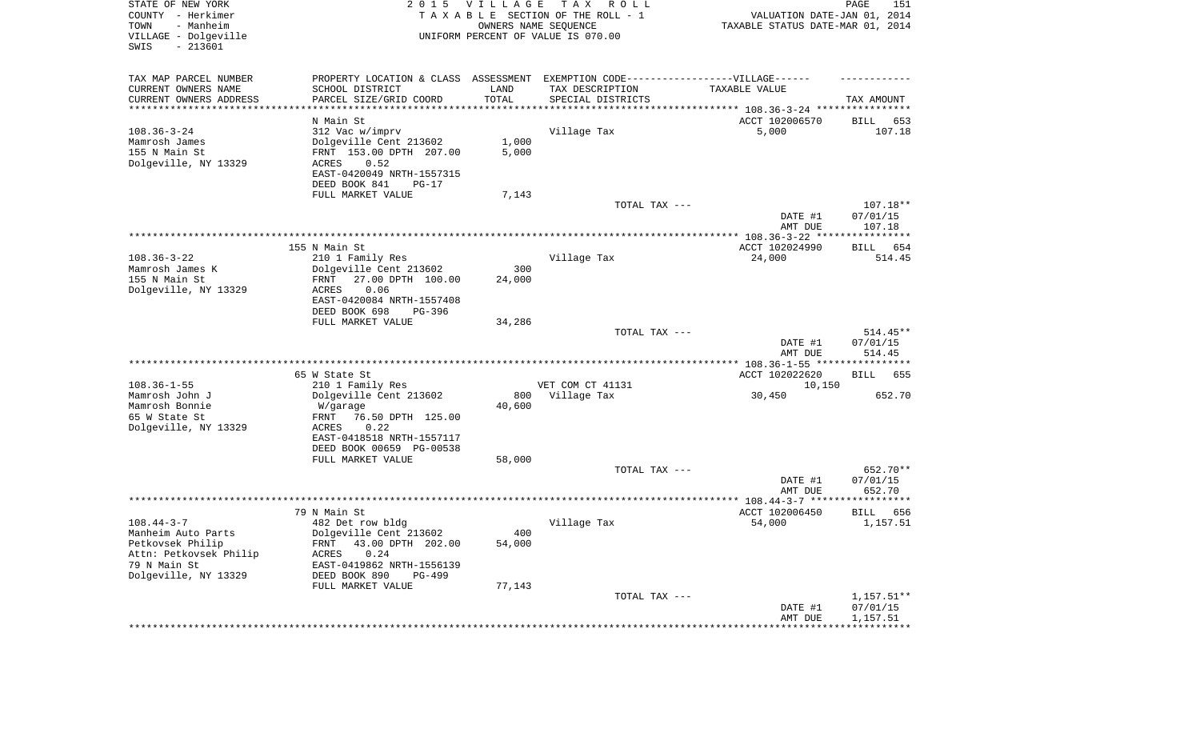| STATE OF NEW YORK<br>COUNTY - Herkimer<br>- Manheim<br>TOWN<br>VILLAGE - Dolgeville<br>SWIS<br>$-213601$                     | 2 0 1 5                                                                                                                                                                            | VILLAGE                 | TAX ROLL<br>TAXABLE SECTION OF THE ROLL - 1<br>OWNERS NAME SEQUENCE<br>UNIFORM PERCENT OF VALUE IS 070.00 | VALUATION DATE-JAN 01, 2014<br>TAXABLE STATUS DATE-MAR 01, 2014 | PAGE<br>151                        |
|------------------------------------------------------------------------------------------------------------------------------|------------------------------------------------------------------------------------------------------------------------------------------------------------------------------------|-------------------------|-----------------------------------------------------------------------------------------------------------|-----------------------------------------------------------------|------------------------------------|
| TAX MAP PARCEL NUMBER<br>CURRENT OWNERS NAME<br>CURRENT OWNERS ADDRESS<br>*********************                              | PROPERTY LOCATION & CLASS ASSESSMENT EXEMPTION CODE----------------VILLAGE------<br>SCHOOL DISTRICT<br>PARCEL SIZE/GRID COORD                                                      | LAND<br>TOTAL           | TAX DESCRIPTION<br>SPECIAL DISTRICTS                                                                      | TAXABLE VALUE                                                   | TAX AMOUNT                         |
| $108.36 - 3 - 24$<br>Mamrosh James<br>155 N Main St<br>Dolgeville, NY 13329                                                  | N Main St<br>312 Vac w/imprv<br>Dolgeville Cent 213602<br>FRNT 153.00 DPTH 207.00<br>ACRES<br>0.52<br>EAST-0420049 NRTH-1557315<br>DEED BOOK 841<br>$PG-17$<br>FULL MARKET VALUE   | 1,000<br>5,000<br>7,143 | Village Tax                                                                                               | ACCT 102006570<br>5,000                                         | BILL<br>653<br>107.18              |
|                                                                                                                              |                                                                                                                                                                                    |                         | TOTAL TAX ---                                                                                             | DATE #1<br>AMT DUE                                              | 107.18**<br>07/01/15<br>107.18     |
|                                                                                                                              |                                                                                                                                                                                    |                         |                                                                                                           |                                                                 |                                    |
| $108.36 - 3 - 22$<br>Mamrosh James K<br>155 N Main St<br>Dolgeville, NY 13329                                                | 155 N Main St<br>210 1 Family Res<br>Dolgeville Cent 213602<br>27.00 DPTH 100.00<br>FRNT<br>0.06<br>ACRES<br>EAST-0420084 NRTH-1557408<br>DEED BOOK 698<br>PG-396                  | 300<br>24,000           | Village Tax                                                                                               | ACCT 102024990<br>24,000                                        | 654<br>BILL<br>514.45              |
|                                                                                                                              | FULL MARKET VALUE                                                                                                                                                                  | 34,286                  | TOTAL TAX ---                                                                                             | DATE #1<br>AMT DUE                                              | $514.45**$<br>07/01/15<br>514.45   |
|                                                                                                                              |                                                                                                                                                                                    |                         |                                                                                                           |                                                                 |                                    |
| $108.36 - 1 - 55$<br>Mamrosh John J<br>Mamrosh Bonnie<br>65 W State St<br>Dolgeville, NY 13329                               | 65 W State St<br>210 1 Family Res<br>Dolgeville Cent 213602<br>W/garage<br>76.50 DPTH 125.00<br>FRNT<br>ACRES<br>0.22<br>EAST-0418518 NRTH-1557117                                 | 800<br>40,600           | VET COM CT 41131<br>Village Tax                                                                           | ACCT 102022620<br>10,150<br>30,450                              | BILL<br>655<br>652.70              |
|                                                                                                                              | DEED BOOK 00659 PG-00538<br>FULL MARKET VALUE                                                                                                                                      | 58,000                  | TOTAL TAX ---                                                                                             |                                                                 | 652.70**                           |
|                                                                                                                              |                                                                                                                                                                                    |                         |                                                                                                           | DATE #1<br>AMT DUE                                              | 07/01/15<br>652.70                 |
|                                                                                                                              |                                                                                                                                                                                    |                         |                                                                                                           |                                                                 |                                    |
| $108.44 - 3 - 7$<br>Manheim Auto Parts<br>Petkovsek Philip<br>Attn: Petkovsek Philip<br>79 N Main St<br>Dolgeville, NY 13329 | 79 N Main St<br>482 Det row bldg<br>Dolgeville Cent 213602<br>FRNT 43.00 DPTH 202.00<br>ACRES<br>0.24<br>EAST-0419862 NRTH-1556139<br>DEED BOOK 890<br>PG-499<br>FULL MARKET VALUE | 400<br>54,000<br>77,143 | Village Tax                                                                                               | ACCT 102006450<br>54,000                                        | BILL<br>656<br>1,157.51            |
|                                                                                                                              |                                                                                                                                                                                    |                         | TOTAL TAX ---                                                                                             | DATE #1<br>AMT DUE                                              | 1,157.51**<br>07/01/15<br>1,157.51 |
|                                                                                                                              |                                                                                                                                                                                    |                         |                                                                                                           | **************************************                          |                                    |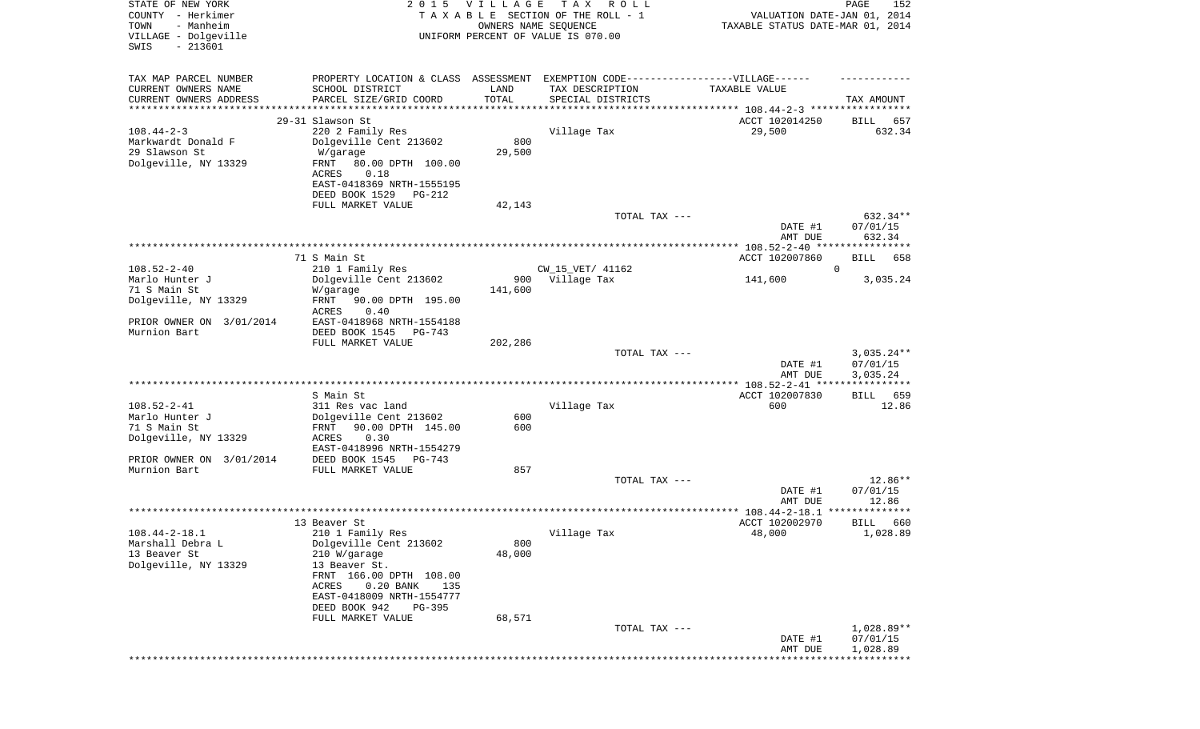| STATE OF NEW YORK<br>COUNTY - Herkimer<br>- Manheim<br>TOWN<br>VILLAGE - Dolgeville<br>$-213601$<br>SWIS | 2 0 1 5                                                                          | <b>VILLAGE</b> | T A X<br>R O L L<br>TAXABLE SECTION OF THE ROLL - 1<br>OWNERS NAME SEQUENCE<br>UNIFORM PERCENT OF VALUE IS 070.00 | VALUATION DATE-JAN 01, 2014<br>TAXABLE STATUS DATE-MAR 01, 2014 | PAGE<br>152                   |
|----------------------------------------------------------------------------------------------------------|----------------------------------------------------------------------------------|----------------|-------------------------------------------------------------------------------------------------------------------|-----------------------------------------------------------------|-------------------------------|
| TAX MAP PARCEL NUMBER                                                                                    | PROPERTY LOCATION & CLASS ASSESSMENT EXEMPTION CODE----------------VILLAGE------ |                |                                                                                                                   |                                                                 |                               |
| CURRENT OWNERS NAME<br>CURRENT OWNERS ADDRESS                                                            | SCHOOL DISTRICT<br>PARCEL SIZE/GRID COORD                                        | LAND<br>TOTAL  | TAX DESCRIPTION<br>SPECIAL DISTRICTS                                                                              | TAXABLE VALUE                                                   | TAX AMOUNT                    |
| ***********************                                                                                  |                                                                                  |                |                                                                                                                   |                                                                 |                               |
|                                                                                                          | 29-31 Slawson St                                                                 |                |                                                                                                                   | ACCT 102014250                                                  | BILL<br>657                   |
| $108.44 - 2 - 3$                                                                                         | 220 2 Family Res                                                                 |                | Village Tax                                                                                                       | 29,500                                                          | 632.34                        |
| Markwardt Donald F<br>29 Slawson St                                                                      | Dolgeville Cent 213602<br>W/garage                                               | 800<br>29,500  |                                                                                                                   |                                                                 |                               |
| Dolgeville, NY 13329                                                                                     | FRNT<br>80.00 DPTH 100.00                                                        |                |                                                                                                                   |                                                                 |                               |
|                                                                                                          | 0.18<br>ACRES                                                                    |                |                                                                                                                   |                                                                 |                               |
|                                                                                                          | EAST-0418369 NRTH-1555195                                                        |                |                                                                                                                   |                                                                 |                               |
|                                                                                                          | DEED BOOK 1529<br>PG-212                                                         |                |                                                                                                                   |                                                                 |                               |
|                                                                                                          | FULL MARKET VALUE                                                                | 42,143         | TOTAL TAX ---                                                                                                     |                                                                 | 632.34**                      |
|                                                                                                          |                                                                                  |                |                                                                                                                   | DATE #1                                                         | 07/01/15                      |
|                                                                                                          |                                                                                  |                |                                                                                                                   | AMT DUE                                                         | 632.34                        |
|                                                                                                          |                                                                                  |                |                                                                                                                   | ACCT 102007860                                                  |                               |
| $108.52 - 2 - 40$                                                                                        | 71 S Main St<br>210 1 Family Res                                                 |                | CW_15_VET/ 41162                                                                                                  |                                                                 | BILL<br>658<br>$\overline{0}$ |
| Marlo Hunter J                                                                                           | Dolgeville Cent 213602                                                           | 900            | Village Tax                                                                                                       | 141,600                                                         | 3,035.24                      |
| 71 S Main St                                                                                             | W/garage                                                                         | 141,600        |                                                                                                                   |                                                                 |                               |
| Dolgeville, NY 13329                                                                                     | FRNT<br>90.00 DPTH 195.00                                                        |                |                                                                                                                   |                                                                 |                               |
| PRIOR OWNER ON 3/01/2014                                                                                 | ACRES<br>0.40<br>EAST-0418968 NRTH-1554188                                       |                |                                                                                                                   |                                                                 |                               |
| Murnion Bart                                                                                             | DEED BOOK 1545<br>PG-743                                                         |                |                                                                                                                   |                                                                 |                               |
|                                                                                                          | FULL MARKET VALUE                                                                | 202,286        |                                                                                                                   |                                                                 |                               |
|                                                                                                          |                                                                                  |                | TOTAL TAX ---                                                                                                     |                                                                 | $3,035.24**$                  |
|                                                                                                          |                                                                                  |                |                                                                                                                   | DATE #1<br>AMT DUE                                              | 07/01/15<br>3,035.24          |
|                                                                                                          |                                                                                  |                |                                                                                                                   |                                                                 |                               |
|                                                                                                          | S Main St                                                                        |                |                                                                                                                   | ACCT 102007830                                                  | BILL 659                      |
| $108.52 - 2 - 41$                                                                                        | 311 Res vac land                                                                 |                | Village Tax                                                                                                       | 600                                                             | 12.86                         |
| Marlo Hunter J<br>71 S Main St                                                                           | Dolgeville Cent 213602<br>FRNT<br>90.00 DPTH 145.00                              | 600<br>600     |                                                                                                                   |                                                                 |                               |
| Dolgeville, NY 13329                                                                                     | ACRES<br>0.30                                                                    |                |                                                                                                                   |                                                                 |                               |
|                                                                                                          | EAST-0418996 NRTH-1554279                                                        |                |                                                                                                                   |                                                                 |                               |
| PRIOR OWNER ON 3/01/2014                                                                                 | DEED BOOK 1545<br>PG-743                                                         |                |                                                                                                                   |                                                                 |                               |
| Murnion Bart                                                                                             | FULL MARKET VALUE                                                                | 857            | TOTAL TAX ---                                                                                                     |                                                                 | $12.86**$                     |
|                                                                                                          |                                                                                  |                |                                                                                                                   | DATE #1                                                         | 07/01/15                      |
|                                                                                                          |                                                                                  |                |                                                                                                                   | AMT DUE                                                         | 12.86                         |
|                                                                                                          |                                                                                  |                |                                                                                                                   |                                                                 |                               |
| $108.44 - 2 - 18.1$                                                                                      | 13 Beaver St<br>210 1 Family Res                                                 |                | Village Tax                                                                                                       | ACCT 102002970<br>48,000                                        | 660<br>BILL<br>1,028.89       |
| Marshall Debra L                                                                                         | Dolgeville Cent 213602                                                           | 800            |                                                                                                                   |                                                                 |                               |
| 13 Beaver St                                                                                             | 210 W/garage                                                                     | 48,000         |                                                                                                                   |                                                                 |                               |
| Dolgeville, NY 13329                                                                                     | 13 Beaver St.                                                                    |                |                                                                                                                   |                                                                 |                               |
|                                                                                                          | FRNT 166.00 DPTH 108.00<br>$0.20$ BANK<br>135<br>ACRES                           |                |                                                                                                                   |                                                                 |                               |
|                                                                                                          | EAST-0418009 NRTH-1554777                                                        |                |                                                                                                                   |                                                                 |                               |
|                                                                                                          | DEED BOOK 942<br>$PG-395$                                                        |                |                                                                                                                   |                                                                 |                               |
|                                                                                                          | FULL MARKET VALUE                                                                | 68,571         |                                                                                                                   |                                                                 |                               |
|                                                                                                          |                                                                                  |                | TOTAL TAX ---                                                                                                     | DATE #1                                                         | 1,028.89**<br>07/01/15        |
|                                                                                                          |                                                                                  |                |                                                                                                                   | AMT DUE                                                         | 1,028.89                      |
|                                                                                                          |                                                                                  |                |                                                                                                                   |                                                                 | ******************            |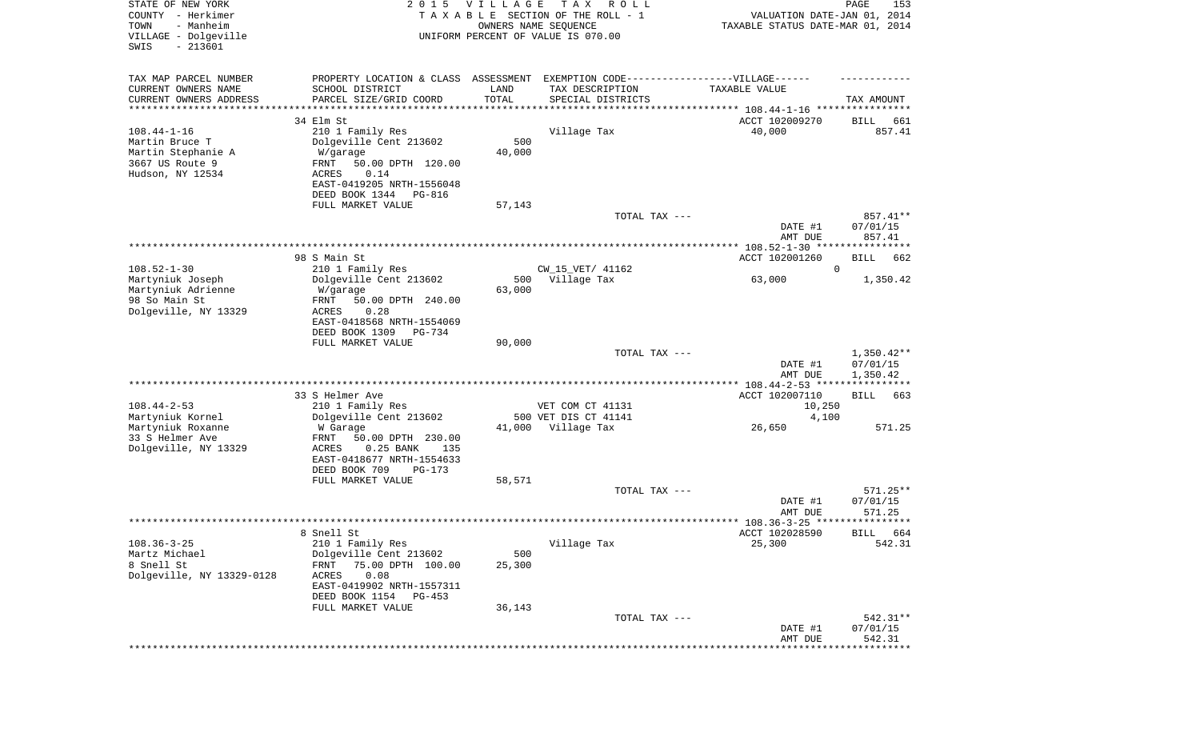| TAX MAP PARCEL NUMBER<br>PROPERTY LOCATION & CLASS ASSESSMENT EXEMPTION CODE-----------------VILLAGE------<br>CURRENT OWNERS NAME<br>SCHOOL DISTRICT<br>TAX DESCRIPTION<br>LAND<br>TAXABLE VALUE<br>TOTAL<br>CURRENT OWNERS ADDRESS<br>PARCEL SIZE/GRID COORD<br>SPECIAL DISTRICTS<br>TAX AMOUNT<br>*********************<br>******************<br>***********<br>34 Elm St<br>ACCT 102009270<br>BILL<br>661<br>857.41<br>$108.44 - 1 - 16$<br>210 1 Family Res<br>Village Tax<br>40,000<br>500<br>Martin Bruce T<br>Dolgeville Cent 213602<br>Martin Stephanie A<br>40,000<br>W/garage<br>3667 US Route 9<br>FRNT<br>50.00 DPTH 120.00<br>Hudson, NY 12534<br>0.14<br>ACRES<br>EAST-0419205 NRTH-1556048<br>DEED BOOK 1344<br>PG-816<br>FULL MARKET VALUE<br>57,143<br>TOTAL TAX ---<br>857.41**<br>DATE #1<br>07/01/15<br>857.41<br>AMT DUE<br>ACCT 102001260<br>98 S Main St<br>BILL<br>662<br>$108.52 - 1 - 30$<br>$\mathbf 0$<br>210 1 Family Res<br>CW_15_VET/ 41162<br>Dolgeville Cent 213602<br>Martyniuk Joseph<br>500<br>Village Tax<br>63,000<br>1,350.42<br>Martyniuk Adrienne<br>63,000<br>W/garage<br>98 So Main St<br>FRNT<br>50.00 DPTH 240.00<br>Dolgeville, NY 13329<br>ACRES<br>0.28<br>EAST-0418568 NRTH-1554069<br>DEED BOOK 1309<br><b>PG-734</b><br>FULL MARKET VALUE<br>90,000<br>$1,350.42**$<br>TOTAL TAX ---<br>DATE #1<br>07/01/15<br>AMT DUE<br>1,350.42<br>***************** 108.44-2-53 *****************<br>33 S Helmer Ave<br>ACCT 102007110<br>BILL<br>663<br>$108.44 - 2 - 53$<br>210 1 Family Res<br>VET COM CT 41131<br>10,250<br>Martyniuk Kornel<br>500 VET DIS CT 41141<br>Dolgeville Cent 213602<br>4,100<br>Martyniuk Roxanne<br>571.25<br>41,000 Village Tax<br>26,650<br>W Garage<br>33 S Helmer Ave<br>FRNT<br>50.00 DPTH 230.00<br>Dolgeville, NY 13329<br>ACRES<br>$0.25$ BANK<br>135<br>EAST-0418677 NRTH-1554633<br>DEED BOOK 709<br>$PG-173$<br>FULL MARKET VALUE<br>58,571<br>571.25**<br>TOTAL TAX ---<br>DATE #1<br>07/01/15<br>AMT DUE<br>571.25<br>ACCT 102028590<br>8 Snell St<br>BILL 664<br>$108.36 - 3 - 25$<br>Village Tax<br>210 1 Family Res<br>25,300<br>542.31<br>Martz Michael<br>Dolgeville Cent 213602<br>500<br>8 Snell St<br>FRNT<br>75.00 DPTH 100.00<br>25,300<br>Dolgeville, NY 13329-0128<br>ACRES<br>0.08<br>EAST-0419902 NRTH-1557311<br>DEED BOOK 1154<br>PG-453<br>36,143<br>FULL MARKET VALUE<br>542.31**<br>TOTAL TAX ---<br>DATE #1<br>07/01/15<br>542.31<br>AMT DUE<br>********* | STATE OF NEW YORK<br>COUNTY - Herkimer<br>- Manheim<br>TOWN<br>VILLAGE - Dolgeville<br>$-213601$<br>SWIS | 2 0 1 5 | <b>VILLAGE</b><br>OWNERS NAME SEQUENCE | T A X<br>R O L L<br>TAXABLE SECTION OF THE ROLL - 1<br>UNIFORM PERCENT OF VALUE IS 070.00 | VALUATION DATE-JAN 01, 2014<br>TAXABLE STATUS DATE-MAR 01, 2014 | 153<br>PAGE |
|-------------------------------------------------------------------------------------------------------------------------------------------------------------------------------------------------------------------------------------------------------------------------------------------------------------------------------------------------------------------------------------------------------------------------------------------------------------------------------------------------------------------------------------------------------------------------------------------------------------------------------------------------------------------------------------------------------------------------------------------------------------------------------------------------------------------------------------------------------------------------------------------------------------------------------------------------------------------------------------------------------------------------------------------------------------------------------------------------------------------------------------------------------------------------------------------------------------------------------------------------------------------------------------------------------------------------------------------------------------------------------------------------------------------------------------------------------------------------------------------------------------------------------------------------------------------------------------------------------------------------------------------------------------------------------------------------------------------------------------------------------------------------------------------------------------------------------------------------------------------------------------------------------------------------------------------------------------------------------------------------------------------------------------------------------------------------------------------------------------------------------------------------------------------------------------------------------------------------------------------------------------------------------------------------------------------------------------------------------------------------------------------------------------------------------------------------------------------|----------------------------------------------------------------------------------------------------------|---------|----------------------------------------|-------------------------------------------------------------------------------------------|-----------------------------------------------------------------|-------------|
|                                                                                                                                                                                                                                                                                                                                                                                                                                                                                                                                                                                                                                                                                                                                                                                                                                                                                                                                                                                                                                                                                                                                                                                                                                                                                                                                                                                                                                                                                                                                                                                                                                                                                                                                                                                                                                                                                                                                                                                                                                                                                                                                                                                                                                                                                                                                                                                                                                                                   |                                                                                                          |         |                                        |                                                                                           |                                                                 |             |
|                                                                                                                                                                                                                                                                                                                                                                                                                                                                                                                                                                                                                                                                                                                                                                                                                                                                                                                                                                                                                                                                                                                                                                                                                                                                                                                                                                                                                                                                                                                                                                                                                                                                                                                                                                                                                                                                                                                                                                                                                                                                                                                                                                                                                                                                                                                                                                                                                                                                   |                                                                                                          |         |                                        |                                                                                           |                                                                 |             |
|                                                                                                                                                                                                                                                                                                                                                                                                                                                                                                                                                                                                                                                                                                                                                                                                                                                                                                                                                                                                                                                                                                                                                                                                                                                                                                                                                                                                                                                                                                                                                                                                                                                                                                                                                                                                                                                                                                                                                                                                                                                                                                                                                                                                                                                                                                                                                                                                                                                                   |                                                                                                          |         |                                        |                                                                                           |                                                                 |             |
|                                                                                                                                                                                                                                                                                                                                                                                                                                                                                                                                                                                                                                                                                                                                                                                                                                                                                                                                                                                                                                                                                                                                                                                                                                                                                                                                                                                                                                                                                                                                                                                                                                                                                                                                                                                                                                                                                                                                                                                                                                                                                                                                                                                                                                                                                                                                                                                                                                                                   |                                                                                                          |         |                                        |                                                                                           |                                                                 |             |
|                                                                                                                                                                                                                                                                                                                                                                                                                                                                                                                                                                                                                                                                                                                                                                                                                                                                                                                                                                                                                                                                                                                                                                                                                                                                                                                                                                                                                                                                                                                                                                                                                                                                                                                                                                                                                                                                                                                                                                                                                                                                                                                                                                                                                                                                                                                                                                                                                                                                   |                                                                                                          |         |                                        |                                                                                           |                                                                 |             |
|                                                                                                                                                                                                                                                                                                                                                                                                                                                                                                                                                                                                                                                                                                                                                                                                                                                                                                                                                                                                                                                                                                                                                                                                                                                                                                                                                                                                                                                                                                                                                                                                                                                                                                                                                                                                                                                                                                                                                                                                                                                                                                                                                                                                                                                                                                                                                                                                                                                                   |                                                                                                          |         |                                        |                                                                                           |                                                                 |             |
|                                                                                                                                                                                                                                                                                                                                                                                                                                                                                                                                                                                                                                                                                                                                                                                                                                                                                                                                                                                                                                                                                                                                                                                                                                                                                                                                                                                                                                                                                                                                                                                                                                                                                                                                                                                                                                                                                                                                                                                                                                                                                                                                                                                                                                                                                                                                                                                                                                                                   |                                                                                                          |         |                                        |                                                                                           |                                                                 |             |
|                                                                                                                                                                                                                                                                                                                                                                                                                                                                                                                                                                                                                                                                                                                                                                                                                                                                                                                                                                                                                                                                                                                                                                                                                                                                                                                                                                                                                                                                                                                                                                                                                                                                                                                                                                                                                                                                                                                                                                                                                                                                                                                                                                                                                                                                                                                                                                                                                                                                   |                                                                                                          |         |                                        |                                                                                           |                                                                 |             |
|                                                                                                                                                                                                                                                                                                                                                                                                                                                                                                                                                                                                                                                                                                                                                                                                                                                                                                                                                                                                                                                                                                                                                                                                                                                                                                                                                                                                                                                                                                                                                                                                                                                                                                                                                                                                                                                                                                                                                                                                                                                                                                                                                                                                                                                                                                                                                                                                                                                                   |                                                                                                          |         |                                        |                                                                                           |                                                                 |             |
|                                                                                                                                                                                                                                                                                                                                                                                                                                                                                                                                                                                                                                                                                                                                                                                                                                                                                                                                                                                                                                                                                                                                                                                                                                                                                                                                                                                                                                                                                                                                                                                                                                                                                                                                                                                                                                                                                                                                                                                                                                                                                                                                                                                                                                                                                                                                                                                                                                                                   |                                                                                                          |         |                                        |                                                                                           |                                                                 |             |
|                                                                                                                                                                                                                                                                                                                                                                                                                                                                                                                                                                                                                                                                                                                                                                                                                                                                                                                                                                                                                                                                                                                                                                                                                                                                                                                                                                                                                                                                                                                                                                                                                                                                                                                                                                                                                                                                                                                                                                                                                                                                                                                                                                                                                                                                                                                                                                                                                                                                   |                                                                                                          |         |                                        |                                                                                           |                                                                 |             |
|                                                                                                                                                                                                                                                                                                                                                                                                                                                                                                                                                                                                                                                                                                                                                                                                                                                                                                                                                                                                                                                                                                                                                                                                                                                                                                                                                                                                                                                                                                                                                                                                                                                                                                                                                                                                                                                                                                                                                                                                                                                                                                                                                                                                                                                                                                                                                                                                                                                                   |                                                                                                          |         |                                        |                                                                                           |                                                                 |             |
|                                                                                                                                                                                                                                                                                                                                                                                                                                                                                                                                                                                                                                                                                                                                                                                                                                                                                                                                                                                                                                                                                                                                                                                                                                                                                                                                                                                                                                                                                                                                                                                                                                                                                                                                                                                                                                                                                                                                                                                                                                                                                                                                                                                                                                                                                                                                                                                                                                                                   |                                                                                                          |         |                                        |                                                                                           |                                                                 |             |
|                                                                                                                                                                                                                                                                                                                                                                                                                                                                                                                                                                                                                                                                                                                                                                                                                                                                                                                                                                                                                                                                                                                                                                                                                                                                                                                                                                                                                                                                                                                                                                                                                                                                                                                                                                                                                                                                                                                                                                                                                                                                                                                                                                                                                                                                                                                                                                                                                                                                   |                                                                                                          |         |                                        |                                                                                           |                                                                 |             |
|                                                                                                                                                                                                                                                                                                                                                                                                                                                                                                                                                                                                                                                                                                                                                                                                                                                                                                                                                                                                                                                                                                                                                                                                                                                                                                                                                                                                                                                                                                                                                                                                                                                                                                                                                                                                                                                                                                                                                                                                                                                                                                                                                                                                                                                                                                                                                                                                                                                                   |                                                                                                          |         |                                        |                                                                                           |                                                                 |             |
|                                                                                                                                                                                                                                                                                                                                                                                                                                                                                                                                                                                                                                                                                                                                                                                                                                                                                                                                                                                                                                                                                                                                                                                                                                                                                                                                                                                                                                                                                                                                                                                                                                                                                                                                                                                                                                                                                                                                                                                                                                                                                                                                                                                                                                                                                                                                                                                                                                                                   |                                                                                                          |         |                                        |                                                                                           |                                                                 |             |
|                                                                                                                                                                                                                                                                                                                                                                                                                                                                                                                                                                                                                                                                                                                                                                                                                                                                                                                                                                                                                                                                                                                                                                                                                                                                                                                                                                                                                                                                                                                                                                                                                                                                                                                                                                                                                                                                                                                                                                                                                                                                                                                                                                                                                                                                                                                                                                                                                                                                   |                                                                                                          |         |                                        |                                                                                           |                                                                 |             |
|                                                                                                                                                                                                                                                                                                                                                                                                                                                                                                                                                                                                                                                                                                                                                                                                                                                                                                                                                                                                                                                                                                                                                                                                                                                                                                                                                                                                                                                                                                                                                                                                                                                                                                                                                                                                                                                                                                                                                                                                                                                                                                                                                                                                                                                                                                                                                                                                                                                                   |                                                                                                          |         |                                        |                                                                                           |                                                                 |             |
|                                                                                                                                                                                                                                                                                                                                                                                                                                                                                                                                                                                                                                                                                                                                                                                                                                                                                                                                                                                                                                                                                                                                                                                                                                                                                                                                                                                                                                                                                                                                                                                                                                                                                                                                                                                                                                                                                                                                                                                                                                                                                                                                                                                                                                                                                                                                                                                                                                                                   |                                                                                                          |         |                                        |                                                                                           |                                                                 |             |
|                                                                                                                                                                                                                                                                                                                                                                                                                                                                                                                                                                                                                                                                                                                                                                                                                                                                                                                                                                                                                                                                                                                                                                                                                                                                                                                                                                                                                                                                                                                                                                                                                                                                                                                                                                                                                                                                                                                                                                                                                                                                                                                                                                                                                                                                                                                                                                                                                                                                   |                                                                                                          |         |                                        |                                                                                           |                                                                 |             |
|                                                                                                                                                                                                                                                                                                                                                                                                                                                                                                                                                                                                                                                                                                                                                                                                                                                                                                                                                                                                                                                                                                                                                                                                                                                                                                                                                                                                                                                                                                                                                                                                                                                                                                                                                                                                                                                                                                                                                                                                                                                                                                                                                                                                                                                                                                                                                                                                                                                                   |                                                                                                          |         |                                        |                                                                                           |                                                                 |             |
|                                                                                                                                                                                                                                                                                                                                                                                                                                                                                                                                                                                                                                                                                                                                                                                                                                                                                                                                                                                                                                                                                                                                                                                                                                                                                                                                                                                                                                                                                                                                                                                                                                                                                                                                                                                                                                                                                                                                                                                                                                                                                                                                                                                                                                                                                                                                                                                                                                                                   |                                                                                                          |         |                                        |                                                                                           |                                                                 |             |
|                                                                                                                                                                                                                                                                                                                                                                                                                                                                                                                                                                                                                                                                                                                                                                                                                                                                                                                                                                                                                                                                                                                                                                                                                                                                                                                                                                                                                                                                                                                                                                                                                                                                                                                                                                                                                                                                                                                                                                                                                                                                                                                                                                                                                                                                                                                                                                                                                                                                   |                                                                                                          |         |                                        |                                                                                           |                                                                 |             |
|                                                                                                                                                                                                                                                                                                                                                                                                                                                                                                                                                                                                                                                                                                                                                                                                                                                                                                                                                                                                                                                                                                                                                                                                                                                                                                                                                                                                                                                                                                                                                                                                                                                                                                                                                                                                                                                                                                                                                                                                                                                                                                                                                                                                                                                                                                                                                                                                                                                                   |                                                                                                          |         |                                        |                                                                                           |                                                                 |             |
|                                                                                                                                                                                                                                                                                                                                                                                                                                                                                                                                                                                                                                                                                                                                                                                                                                                                                                                                                                                                                                                                                                                                                                                                                                                                                                                                                                                                                                                                                                                                                                                                                                                                                                                                                                                                                                                                                                                                                                                                                                                                                                                                                                                                                                                                                                                                                                                                                                                                   |                                                                                                          |         |                                        |                                                                                           |                                                                 |             |
|                                                                                                                                                                                                                                                                                                                                                                                                                                                                                                                                                                                                                                                                                                                                                                                                                                                                                                                                                                                                                                                                                                                                                                                                                                                                                                                                                                                                                                                                                                                                                                                                                                                                                                                                                                                                                                                                                                                                                                                                                                                                                                                                                                                                                                                                                                                                                                                                                                                                   |                                                                                                          |         |                                        |                                                                                           |                                                                 |             |
|                                                                                                                                                                                                                                                                                                                                                                                                                                                                                                                                                                                                                                                                                                                                                                                                                                                                                                                                                                                                                                                                                                                                                                                                                                                                                                                                                                                                                                                                                                                                                                                                                                                                                                                                                                                                                                                                                                                                                                                                                                                                                                                                                                                                                                                                                                                                                                                                                                                                   |                                                                                                          |         |                                        |                                                                                           |                                                                 |             |
|                                                                                                                                                                                                                                                                                                                                                                                                                                                                                                                                                                                                                                                                                                                                                                                                                                                                                                                                                                                                                                                                                                                                                                                                                                                                                                                                                                                                                                                                                                                                                                                                                                                                                                                                                                                                                                                                                                                                                                                                                                                                                                                                                                                                                                                                                                                                                                                                                                                                   |                                                                                                          |         |                                        |                                                                                           |                                                                 |             |
|                                                                                                                                                                                                                                                                                                                                                                                                                                                                                                                                                                                                                                                                                                                                                                                                                                                                                                                                                                                                                                                                                                                                                                                                                                                                                                                                                                                                                                                                                                                                                                                                                                                                                                                                                                                                                                                                                                                                                                                                                                                                                                                                                                                                                                                                                                                                                                                                                                                                   |                                                                                                          |         |                                        |                                                                                           |                                                                 |             |
|                                                                                                                                                                                                                                                                                                                                                                                                                                                                                                                                                                                                                                                                                                                                                                                                                                                                                                                                                                                                                                                                                                                                                                                                                                                                                                                                                                                                                                                                                                                                                                                                                                                                                                                                                                                                                                                                                                                                                                                                                                                                                                                                                                                                                                                                                                                                                                                                                                                                   |                                                                                                          |         |                                        |                                                                                           |                                                                 |             |
|                                                                                                                                                                                                                                                                                                                                                                                                                                                                                                                                                                                                                                                                                                                                                                                                                                                                                                                                                                                                                                                                                                                                                                                                                                                                                                                                                                                                                                                                                                                                                                                                                                                                                                                                                                                                                                                                                                                                                                                                                                                                                                                                                                                                                                                                                                                                                                                                                                                                   |                                                                                                          |         |                                        |                                                                                           |                                                                 |             |
|                                                                                                                                                                                                                                                                                                                                                                                                                                                                                                                                                                                                                                                                                                                                                                                                                                                                                                                                                                                                                                                                                                                                                                                                                                                                                                                                                                                                                                                                                                                                                                                                                                                                                                                                                                                                                                                                                                                                                                                                                                                                                                                                                                                                                                                                                                                                                                                                                                                                   |                                                                                                          |         |                                        |                                                                                           |                                                                 |             |
|                                                                                                                                                                                                                                                                                                                                                                                                                                                                                                                                                                                                                                                                                                                                                                                                                                                                                                                                                                                                                                                                                                                                                                                                                                                                                                                                                                                                                                                                                                                                                                                                                                                                                                                                                                                                                                                                                                                                                                                                                                                                                                                                                                                                                                                                                                                                                                                                                                                                   |                                                                                                          |         |                                        |                                                                                           |                                                                 |             |
|                                                                                                                                                                                                                                                                                                                                                                                                                                                                                                                                                                                                                                                                                                                                                                                                                                                                                                                                                                                                                                                                                                                                                                                                                                                                                                                                                                                                                                                                                                                                                                                                                                                                                                                                                                                                                                                                                                                                                                                                                                                                                                                                                                                                                                                                                                                                                                                                                                                                   |                                                                                                          |         |                                        |                                                                                           |                                                                 |             |
|                                                                                                                                                                                                                                                                                                                                                                                                                                                                                                                                                                                                                                                                                                                                                                                                                                                                                                                                                                                                                                                                                                                                                                                                                                                                                                                                                                                                                                                                                                                                                                                                                                                                                                                                                                                                                                                                                                                                                                                                                                                                                                                                                                                                                                                                                                                                                                                                                                                                   |                                                                                                          |         |                                        |                                                                                           |                                                                 |             |
|                                                                                                                                                                                                                                                                                                                                                                                                                                                                                                                                                                                                                                                                                                                                                                                                                                                                                                                                                                                                                                                                                                                                                                                                                                                                                                                                                                                                                                                                                                                                                                                                                                                                                                                                                                                                                                                                                                                                                                                                                                                                                                                                                                                                                                                                                                                                                                                                                                                                   |                                                                                                          |         |                                        |                                                                                           |                                                                 |             |
|                                                                                                                                                                                                                                                                                                                                                                                                                                                                                                                                                                                                                                                                                                                                                                                                                                                                                                                                                                                                                                                                                                                                                                                                                                                                                                                                                                                                                                                                                                                                                                                                                                                                                                                                                                                                                                                                                                                                                                                                                                                                                                                                                                                                                                                                                                                                                                                                                                                                   |                                                                                                          |         |                                        |                                                                                           |                                                                 |             |
|                                                                                                                                                                                                                                                                                                                                                                                                                                                                                                                                                                                                                                                                                                                                                                                                                                                                                                                                                                                                                                                                                                                                                                                                                                                                                                                                                                                                                                                                                                                                                                                                                                                                                                                                                                                                                                                                                                                                                                                                                                                                                                                                                                                                                                                                                                                                                                                                                                                                   |                                                                                                          |         |                                        |                                                                                           |                                                                 |             |
|                                                                                                                                                                                                                                                                                                                                                                                                                                                                                                                                                                                                                                                                                                                                                                                                                                                                                                                                                                                                                                                                                                                                                                                                                                                                                                                                                                                                                                                                                                                                                                                                                                                                                                                                                                                                                                                                                                                                                                                                                                                                                                                                                                                                                                                                                                                                                                                                                                                                   |                                                                                                          |         |                                        |                                                                                           |                                                                 |             |
|                                                                                                                                                                                                                                                                                                                                                                                                                                                                                                                                                                                                                                                                                                                                                                                                                                                                                                                                                                                                                                                                                                                                                                                                                                                                                                                                                                                                                                                                                                                                                                                                                                                                                                                                                                                                                                                                                                                                                                                                                                                                                                                                                                                                                                                                                                                                                                                                                                                                   |                                                                                                          |         |                                        |                                                                                           |                                                                 |             |
|                                                                                                                                                                                                                                                                                                                                                                                                                                                                                                                                                                                                                                                                                                                                                                                                                                                                                                                                                                                                                                                                                                                                                                                                                                                                                                                                                                                                                                                                                                                                                                                                                                                                                                                                                                                                                                                                                                                                                                                                                                                                                                                                                                                                                                                                                                                                                                                                                                                                   |                                                                                                          |         |                                        |                                                                                           |                                                                 |             |
|                                                                                                                                                                                                                                                                                                                                                                                                                                                                                                                                                                                                                                                                                                                                                                                                                                                                                                                                                                                                                                                                                                                                                                                                                                                                                                                                                                                                                                                                                                                                                                                                                                                                                                                                                                                                                                                                                                                                                                                                                                                                                                                                                                                                                                                                                                                                                                                                                                                                   |                                                                                                          |         |                                        |                                                                                           |                                                                 |             |
|                                                                                                                                                                                                                                                                                                                                                                                                                                                                                                                                                                                                                                                                                                                                                                                                                                                                                                                                                                                                                                                                                                                                                                                                                                                                                                                                                                                                                                                                                                                                                                                                                                                                                                                                                                                                                                                                                                                                                                                                                                                                                                                                                                                                                                                                                                                                                                                                                                                                   |                                                                                                          |         |                                        |                                                                                           |                                                                 |             |
|                                                                                                                                                                                                                                                                                                                                                                                                                                                                                                                                                                                                                                                                                                                                                                                                                                                                                                                                                                                                                                                                                                                                                                                                                                                                                                                                                                                                                                                                                                                                                                                                                                                                                                                                                                                                                                                                                                                                                                                                                                                                                                                                                                                                                                                                                                                                                                                                                                                                   |                                                                                                          |         |                                        |                                                                                           |                                                                 |             |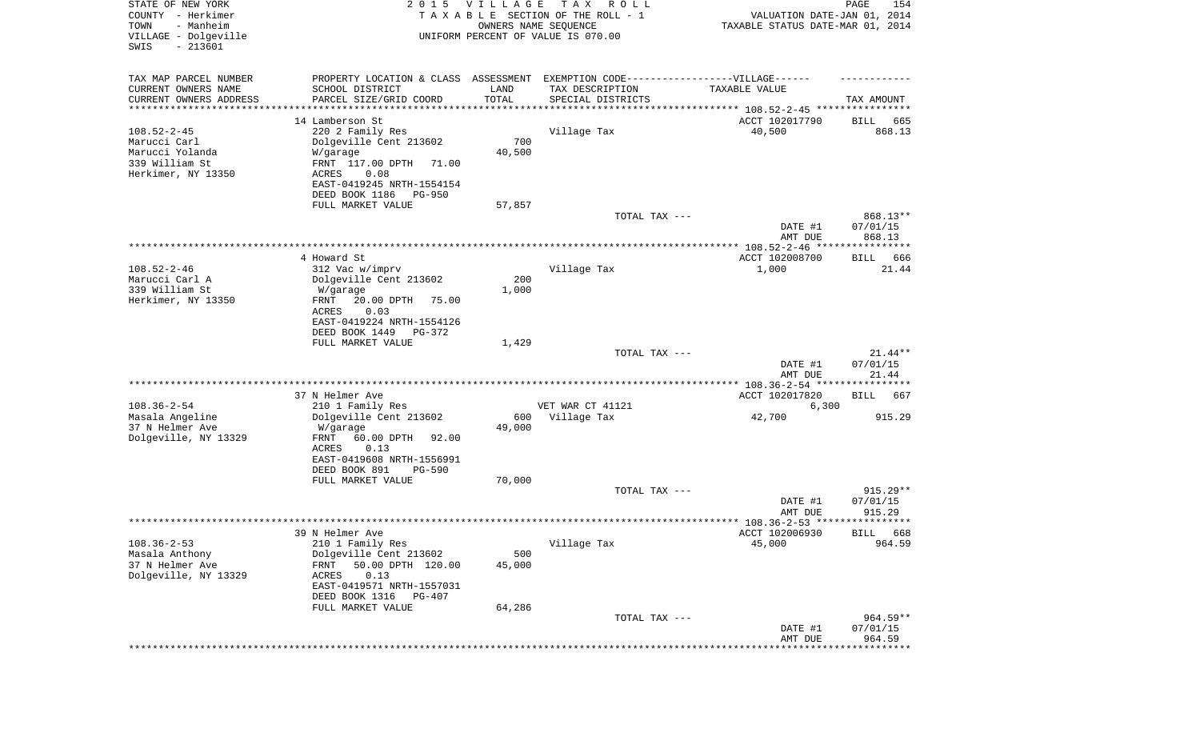| STATE OF NEW YORK<br>COUNTY - Herkimer<br>- Manheim<br>TOWN<br>VILLAGE - Dolgeville<br>$-213601$<br>SWIS | 2 0 1 5                                             | <b>VILLAGE</b><br>OWNERS NAME SEQUENCE | T A X<br>R O L L<br>TAXABLE SECTION OF THE ROLL - 1<br>UNIFORM PERCENT OF VALUE IS 070.00 | VALUATION DATE-JAN 01, 2014<br>TAXABLE STATUS DATE-MAR 01, 2014 | 154<br>PAGE           |
|----------------------------------------------------------------------------------------------------------|-----------------------------------------------------|----------------------------------------|-------------------------------------------------------------------------------------------|-----------------------------------------------------------------|-----------------------|
|                                                                                                          |                                                     |                                        |                                                                                           |                                                                 |                       |
| TAX MAP PARCEL NUMBER                                                                                    | PROPERTY LOCATION & CLASS ASSESSMENT                |                                        | EXEMPTION CODE-----------------VILLAGE------                                              |                                                                 |                       |
| CURRENT OWNERS NAME                                                                                      | SCHOOL DISTRICT                                     | LAND                                   | TAX DESCRIPTION                                                                           | TAXABLE VALUE                                                   |                       |
| CURRENT OWNERS ADDRESS<br>*********************                                                          | PARCEL SIZE/GRID COORD<br>*******************       | TOTAL<br>**********                    | SPECIAL DISTRICTS                                                                         |                                                                 | TAX AMOUNT            |
|                                                                                                          | 14 Lamberson St                                     |                                        |                                                                                           |                                                                 |                       |
| $108.52 - 2 - 45$                                                                                        | 220 2 Family Res                                    |                                        | Village Tax                                                                               | ACCT 102017790<br>40,500                                        | BILL<br>665<br>868.13 |
| Marucci Carl                                                                                             | Dolgeville Cent 213602                              | 700                                    |                                                                                           |                                                                 |                       |
| Marucci Yolanda                                                                                          | W/garage                                            | 40,500                                 |                                                                                           |                                                                 |                       |
| 339 William St                                                                                           | FRNT 117.00 DPTH<br>71.00                           |                                        |                                                                                           |                                                                 |                       |
| Herkimer, NY 13350                                                                                       | ACRES<br>0.08                                       |                                        |                                                                                           |                                                                 |                       |
|                                                                                                          | EAST-0419245 NRTH-1554154                           |                                        |                                                                                           |                                                                 |                       |
|                                                                                                          | DEED BOOK 1186<br>PG-950                            |                                        |                                                                                           |                                                                 |                       |
|                                                                                                          | FULL MARKET VALUE                                   | 57,857                                 |                                                                                           |                                                                 |                       |
|                                                                                                          |                                                     |                                        | TOTAL TAX ---                                                                             |                                                                 | 868.13**              |
|                                                                                                          |                                                     |                                        |                                                                                           | DATE #1                                                         | 07/01/15              |
|                                                                                                          |                                                     |                                        |                                                                                           | AMT DUE                                                         | 868.13                |
|                                                                                                          | 4 Howard St                                         |                                        |                                                                                           | ACCT 102008700                                                  | 666<br>BILL           |
| $108.52 - 2 - 46$                                                                                        | 312 Vac w/imprv                                     |                                        | Village Tax                                                                               | 1,000                                                           | 21.44                 |
| Marucci Carl A                                                                                           | Dolgeville Cent 213602                              | 200                                    |                                                                                           |                                                                 |                       |
| 339 William St                                                                                           | W/garage                                            | 1,000                                  |                                                                                           |                                                                 |                       |
| Herkimer, NY 13350                                                                                       | FRNT<br>20.00 DPTH<br>75.00                         |                                        |                                                                                           |                                                                 |                       |
|                                                                                                          | <b>ACRES</b><br>0.03                                |                                        |                                                                                           |                                                                 |                       |
|                                                                                                          | EAST-0419224 NRTH-1554126                           |                                        |                                                                                           |                                                                 |                       |
|                                                                                                          | DEED BOOK 1449<br>PG-372                            |                                        |                                                                                           |                                                                 |                       |
|                                                                                                          | FULL MARKET VALUE                                   | 1,429                                  |                                                                                           |                                                                 |                       |
|                                                                                                          |                                                     |                                        | TOTAL TAX ---                                                                             | DATE #1                                                         | $21.44**$<br>07/01/15 |
|                                                                                                          |                                                     |                                        |                                                                                           | AMT DUE                                                         | 21.44                 |
|                                                                                                          |                                                     |                                        |                                                                                           | ***************** 108.36-2-54 *****************                 |                       |
|                                                                                                          | 37 N Helmer Ave                                     |                                        |                                                                                           | ACCT 102017820                                                  | BILL<br>667           |
| $108.36 - 2 - 54$                                                                                        | 210 1 Family Res                                    |                                        | VET WAR CT 41121                                                                          | 6,300                                                           |                       |
| Masala Angeline                                                                                          | Dolgeville Cent 213602                              | 600                                    | Village Tax                                                                               | 42,700                                                          | 915.29                |
| 37 N Helmer Ave                                                                                          | W/garage                                            | 49,000                                 |                                                                                           |                                                                 |                       |
| Dolgeville, NY 13329                                                                                     | FRNT<br>60.00 DPTH<br>92.00                         |                                        |                                                                                           |                                                                 |                       |
|                                                                                                          | ACRES<br>0.13                                       |                                        |                                                                                           |                                                                 |                       |
|                                                                                                          | EAST-0419608 NRTH-1556991                           |                                        |                                                                                           |                                                                 |                       |
|                                                                                                          | DEED BOOK 891<br><b>PG-590</b><br>FULL MARKET VALUE | 70,000                                 |                                                                                           |                                                                 |                       |
|                                                                                                          |                                                     |                                        | TOTAL TAX ---                                                                             |                                                                 | 915.29**              |
|                                                                                                          |                                                     |                                        |                                                                                           | DATE #1                                                         | 07/01/15              |
|                                                                                                          |                                                     |                                        |                                                                                           | AMT DUE                                                         | 915.29                |
|                                                                                                          |                                                     |                                        |                                                                                           |                                                                 |                       |
|                                                                                                          | 39 N Helmer Ave                                     |                                        |                                                                                           | ACCT 102006930                                                  | BILL 668              |
| $108.36 - 2 - 53$                                                                                        | 210 1 Family Res                                    |                                        | Village Tax                                                                               | 45,000                                                          | 964.59                |
| Masala Anthony                                                                                           | Dolgeville Cent 213602                              | 500                                    |                                                                                           |                                                                 |                       |
| 37 N Helmer Ave                                                                                          | FRNT<br>50.00 DPTH 120.00                           | 45,000                                 |                                                                                           |                                                                 |                       |
| Dolgeville, NY 13329                                                                                     | ACRES<br>0.13                                       |                                        |                                                                                           |                                                                 |                       |
|                                                                                                          | EAST-0419571 NRTH-1557031                           |                                        |                                                                                           |                                                                 |                       |
|                                                                                                          | DEED BOOK 1316<br>$PG-407$                          | 64,286                                 |                                                                                           |                                                                 |                       |
|                                                                                                          | FULL MARKET VALUE                                   |                                        | TOTAL TAX ---                                                                             |                                                                 | 964.59**              |
|                                                                                                          |                                                     |                                        |                                                                                           | DATE #1                                                         | 07/01/15              |
|                                                                                                          |                                                     |                                        |                                                                                           | AMT DUE                                                         | 964.59                |
|                                                                                                          |                                                     |                                        |                                                                                           |                                                                 | * * * * * * * * *     |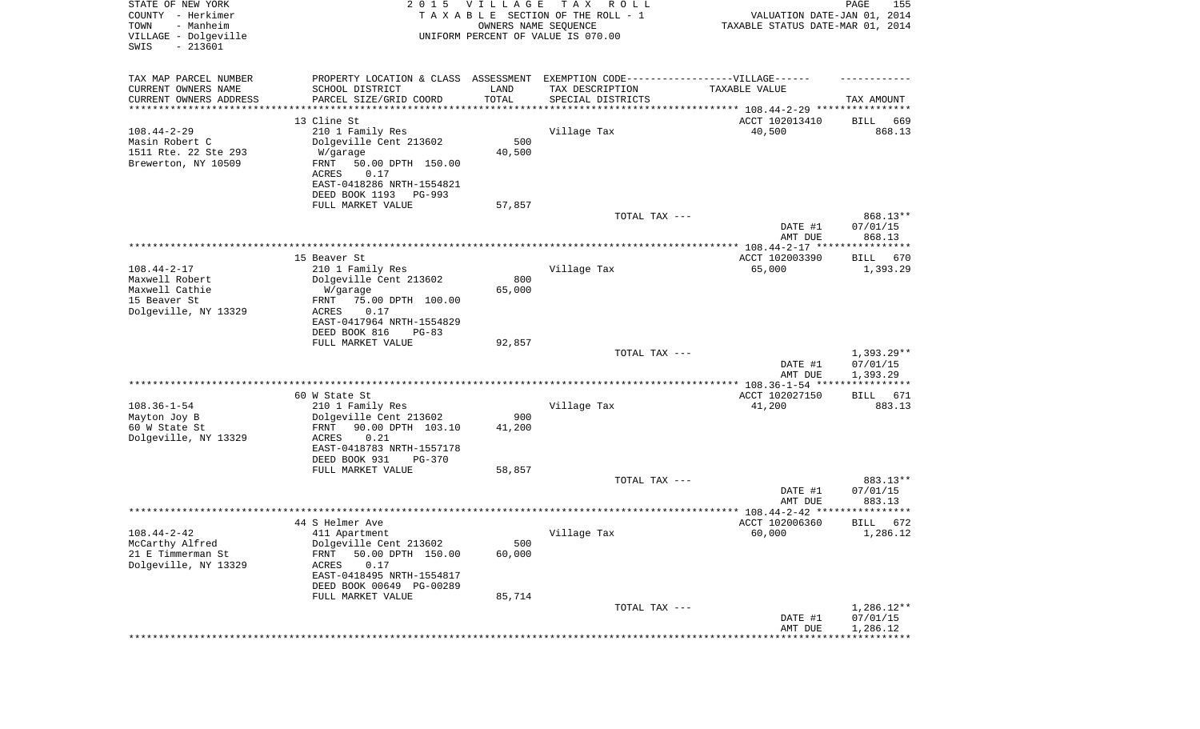| STATE OF NEW YORK<br>COUNTY - Herkimer<br>TOWN<br>- Manheim<br>VILLAGE - Dolgeville<br>SWIS<br>$-213601$ | 2 0 1 5                                                                          | <b>VILLAGE</b><br>OWNERS NAME SEQUENCE | T A X<br>R O L L<br>TAXABLE SECTION OF THE ROLL - 1<br>UNIFORM PERCENT OF VALUE IS 070.00 | VALUATION DATE-JAN 01, 2014<br>TAXABLE STATUS DATE-MAR 01, 2014      | PAGE<br>155              |
|----------------------------------------------------------------------------------------------------------|----------------------------------------------------------------------------------|----------------------------------------|-------------------------------------------------------------------------------------------|----------------------------------------------------------------------|--------------------------|
| TAX MAP PARCEL NUMBER                                                                                    | PROPERTY LOCATION & CLASS ASSESSMENT EXEMPTION CODE----------------VILLAGE------ |                                        |                                                                                           |                                                                      |                          |
| CURRENT OWNERS NAME                                                                                      | SCHOOL DISTRICT                                                                  | LAND                                   | TAX DESCRIPTION                                                                           | TAXABLE VALUE                                                        |                          |
| CURRENT OWNERS ADDRESS<br>*********************                                                          | PARCEL SIZE/GRID COORD                                                           | TOTAL                                  | SPECIAL DISTRICTS                                                                         | ************************************** 108.44-2-29 ***************** | TAX AMOUNT               |
|                                                                                                          | 13 Cline St                                                                      |                                        |                                                                                           | ACCT 102013410                                                       | 669<br>BILL              |
| $108.44 - 2 - 29$                                                                                        | 210 1 Family Res                                                                 |                                        | Village Tax                                                                               | 40,500                                                               | 868.13                   |
| Masin Robert C                                                                                           | Dolgeville Cent 213602                                                           | 500                                    |                                                                                           |                                                                      |                          |
| 1511 Rte. 22 Ste 293                                                                                     | W/garage                                                                         | 40,500                                 |                                                                                           |                                                                      |                          |
| Brewerton, NY 10509                                                                                      | FRNT<br>50.00 DPTH 150.00<br>0.17<br>ACRES                                       |                                        |                                                                                           |                                                                      |                          |
|                                                                                                          | EAST-0418286 NRTH-1554821                                                        |                                        |                                                                                           |                                                                      |                          |
|                                                                                                          | DEED BOOK 1193<br>PG-993                                                         |                                        |                                                                                           |                                                                      |                          |
|                                                                                                          | FULL MARKET VALUE                                                                | 57,857                                 |                                                                                           |                                                                      |                          |
|                                                                                                          |                                                                                  |                                        | TOTAL TAX ---                                                                             |                                                                      | 868.13**                 |
|                                                                                                          |                                                                                  |                                        |                                                                                           | DATE #1                                                              | 07/01/15<br>868.13       |
|                                                                                                          |                                                                                  |                                        |                                                                                           | AMT DUE                                                              |                          |
|                                                                                                          | 15 Beaver St                                                                     |                                        |                                                                                           | ACCT 102003390                                                       | BILL<br>670              |
| $108.44 - 2 - 17$                                                                                        | 210 1 Family Res                                                                 |                                        | Village Tax                                                                               | 65,000                                                               | 1,393.29                 |
| Maxwell Robert                                                                                           | Dolgeville Cent 213602                                                           | 800                                    |                                                                                           |                                                                      |                          |
| Maxwell Cathie<br>15 Beaver St                                                                           | W/garage<br>75.00 DPTH 100.00<br>FRNT                                            | 65,000                                 |                                                                                           |                                                                      |                          |
| Dolgeville, NY 13329                                                                                     | 0.17<br>ACRES                                                                    |                                        |                                                                                           |                                                                      |                          |
|                                                                                                          | EAST-0417964 NRTH-1554829                                                        |                                        |                                                                                           |                                                                      |                          |
|                                                                                                          | DEED BOOK 816<br>$PG-83$                                                         |                                        |                                                                                           |                                                                      |                          |
|                                                                                                          | FULL MARKET VALUE                                                                | 92,857                                 |                                                                                           |                                                                      |                          |
|                                                                                                          |                                                                                  |                                        | TOTAL TAX ---                                                                             | DATE #1                                                              | $1,393.29**$<br>07/01/15 |
|                                                                                                          |                                                                                  |                                        |                                                                                           | AMT DUE                                                              | 1,393.29                 |
|                                                                                                          |                                                                                  |                                        |                                                                                           |                                                                      | ***********              |
|                                                                                                          | 60 W State St                                                                    |                                        |                                                                                           | ACCT 102027150                                                       | BILL<br>671              |
| $108.36 - 1 - 54$                                                                                        | 210 1 Family Res                                                                 |                                        | Village Tax                                                                               | 41,200                                                               | 883.13                   |
| Mayton Joy B<br>60 W State St                                                                            | Dolgeville Cent 213602<br>FRNT<br>90.00 DPTH 103.10                              | 900<br>41,200                          |                                                                                           |                                                                      |                          |
| Dolgeville, NY 13329                                                                                     | ACRES<br>0.21                                                                    |                                        |                                                                                           |                                                                      |                          |
|                                                                                                          | EAST-0418783 NRTH-1557178                                                        |                                        |                                                                                           |                                                                      |                          |
|                                                                                                          | DEED BOOK 931<br>$PG-370$                                                        |                                        |                                                                                           |                                                                      |                          |
|                                                                                                          | FULL MARKET VALUE                                                                | 58,857                                 |                                                                                           |                                                                      |                          |
|                                                                                                          |                                                                                  |                                        | TOTAL TAX ---                                                                             | DATE #1                                                              | 883.13**<br>07/01/15     |
|                                                                                                          |                                                                                  |                                        |                                                                                           | AMT DUE                                                              | 883.13                   |
|                                                                                                          |                                                                                  |                                        |                                                                                           | ***************** 108.44-2-42 *********                              | *****                    |
|                                                                                                          | 44 S Helmer Ave                                                                  |                                        |                                                                                           | ACCT 102006360                                                       | 672<br>BILL              |
| $108.44 - 2 - 42$                                                                                        | 411 Apartment                                                                    |                                        | Village Tax                                                                               | 60,000                                                               | 1,286.12                 |
| McCarthy Alfred<br>21 E Timmerman St                                                                     | Dolgeville Cent 213602<br>50.00 DPTH 150.00<br>FRNT                              | 500<br>60,000                          |                                                                                           |                                                                      |                          |
| Dolgeville, NY 13329                                                                                     | ACRES<br>0.17                                                                    |                                        |                                                                                           |                                                                      |                          |
|                                                                                                          | EAST-0418495 NRTH-1554817                                                        |                                        |                                                                                           |                                                                      |                          |
|                                                                                                          | DEED BOOK 00649 PG-00289                                                         |                                        |                                                                                           |                                                                      |                          |
|                                                                                                          | FULL MARKET VALUE                                                                | 85,714                                 | TOTAL TAX ---                                                                             |                                                                      |                          |
|                                                                                                          |                                                                                  |                                        |                                                                                           | DATE #1                                                              | $1,286.12**$<br>07/01/15 |
|                                                                                                          |                                                                                  |                                        |                                                                                           | AMT DUE                                                              | 1,286.12                 |
|                                                                                                          |                                                                                  |                                        |                                                                                           |                                                                      |                          |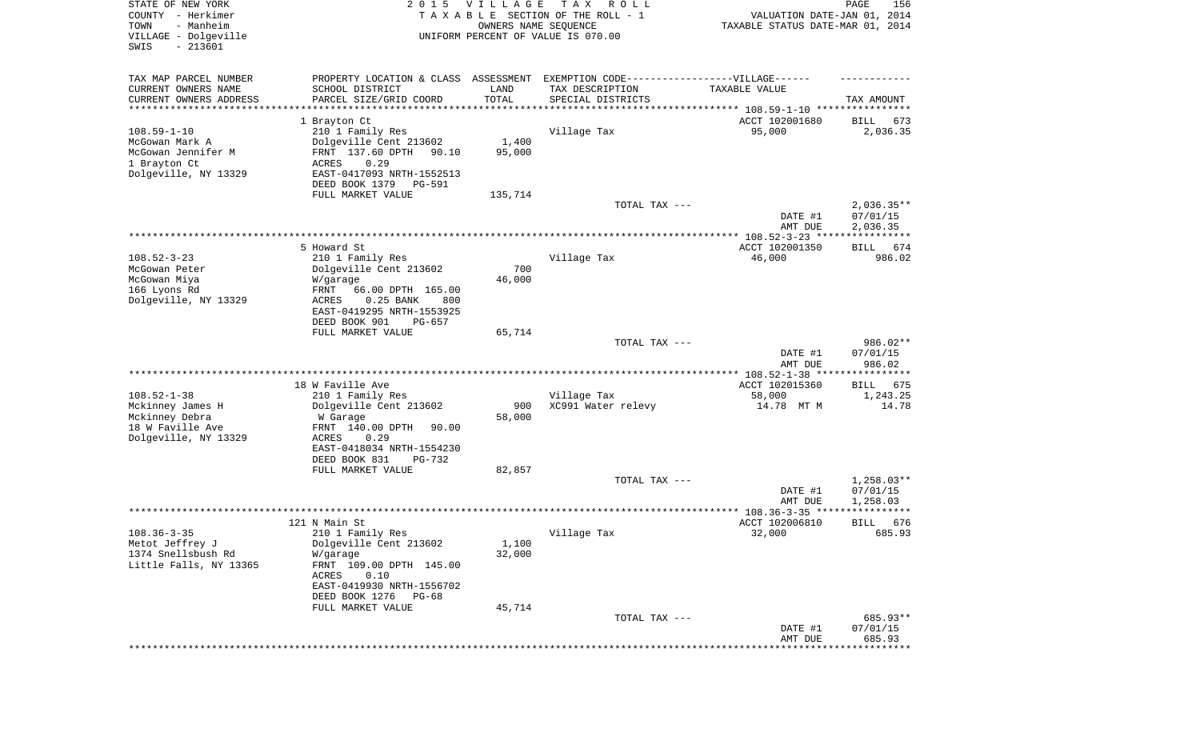| STATE OF NEW YORK<br>COUNTY - Herkimer<br>- Manheim<br>TOWN<br>VILLAGE - Dolgeville<br>SWIS<br>$-213601$ | 2 0 1 5                                             | VILLAGE<br>OWNERS NAME SEQUENCE | T A X<br>R O L L<br>TAXABLE SECTION OF THE ROLL - 1<br>UNIFORM PERCENT OF VALUE IS 070.00 | VALUATION DATE-JAN 01, 2014<br>TAXABLE STATUS DATE-MAR 01, 2014 | PAGE<br>156                          |
|----------------------------------------------------------------------------------------------------------|-----------------------------------------------------|---------------------------------|-------------------------------------------------------------------------------------------|-----------------------------------------------------------------|--------------------------------------|
|                                                                                                          |                                                     |                                 |                                                                                           |                                                                 |                                      |
| TAX MAP PARCEL NUMBER                                                                                    |                                                     |                                 | PROPERTY LOCATION & CLASS ASSESSMENT EXEMPTION CODE----------------VILLAGE------          |                                                                 |                                      |
| CURRENT OWNERS NAME<br>CURRENT OWNERS ADDRESS                                                            | SCHOOL DISTRICT<br>PARCEL SIZE/GRID COORD           | LAND<br>TOTAL                   | TAX DESCRIPTION<br>SPECIAL DISTRICTS                                                      | TAXABLE VALUE                                                   | TAX AMOUNT                           |
| ********************                                                                                     |                                                     |                                 |                                                                                           |                                                                 |                                      |
|                                                                                                          | 1 Brayton Ct                                        |                                 |                                                                                           | ACCT 102001680                                                  | BILL<br>673                          |
| $108.59 - 1 - 10$                                                                                        | 210 1 Family Res                                    |                                 | Village Tax                                                                               | 95,000                                                          | 2,036.35                             |
| McGowan Mark A<br>McGowan Jennifer M                                                                     | Dolgeville Cent 213602<br>FRNT 137.60 DPTH<br>90.10 | 1,400<br>95,000                 |                                                                                           |                                                                 |                                      |
| 1 Brayton Ct                                                                                             | ACRES<br>0.29                                       |                                 |                                                                                           |                                                                 |                                      |
| Dolgeville, NY 13329                                                                                     | EAST-0417093 NRTH-1552513                           |                                 |                                                                                           |                                                                 |                                      |
|                                                                                                          | DEED BOOK 1379<br>PG-591                            |                                 |                                                                                           |                                                                 |                                      |
|                                                                                                          | FULL MARKET VALUE                                   | 135,714                         |                                                                                           |                                                                 |                                      |
|                                                                                                          |                                                     |                                 | TOTAL TAX ---                                                                             | DATE #1                                                         | $2,036.35**$<br>07/01/15             |
|                                                                                                          |                                                     |                                 |                                                                                           | AMT DUE                                                         | 2,036.35                             |
|                                                                                                          |                                                     |                                 |                                                                                           |                                                                 |                                      |
|                                                                                                          | 5 Howard St                                         |                                 |                                                                                           | ACCT 102001350                                                  | 674<br>BILL                          |
| $108.52 - 3 - 23$                                                                                        | 210 1 Family Res                                    |                                 | Village Tax                                                                               | 46,000                                                          | 986.02                               |
| McGowan Peter<br>McGowan Miya                                                                            | Dolgeville Cent 213602<br>W/garage                  | 700<br>46,000                   |                                                                                           |                                                                 |                                      |
| 166 Lyons Rd                                                                                             | FRNT<br>66.00 DPTH 165.00                           |                                 |                                                                                           |                                                                 |                                      |
| Dolgeville, NY 13329                                                                                     | ACRES<br>$0.25$ BANK<br>800                         |                                 |                                                                                           |                                                                 |                                      |
|                                                                                                          | EAST-0419295 NRTH-1553925                           |                                 |                                                                                           |                                                                 |                                      |
|                                                                                                          | DEED BOOK 901<br>PG-657<br>FULL MARKET VALUE        | 65,714                          |                                                                                           |                                                                 |                                      |
|                                                                                                          |                                                     |                                 | TOTAL TAX ---                                                                             |                                                                 | 986.02**                             |
|                                                                                                          |                                                     |                                 |                                                                                           | DATE #1                                                         | 07/01/15                             |
|                                                                                                          |                                                     |                                 |                                                                                           | AMT DUE                                                         | 986.02                               |
|                                                                                                          | 18 W Faville Ave                                    |                                 |                                                                                           | ************ 108.52-1-38 ****<br>ACCT 102015360                 | * * * * * * * * * * *<br>675<br>BILL |
| $108.52 - 1 - 38$                                                                                        | 210 1 Family Res                                    |                                 | Village Tax                                                                               | 58,000                                                          | 1,243.25                             |
| Mckinney James H                                                                                         | Dolgeville Cent 213602                              | 900                             | XC991 Water relevy                                                                        | 14.78 MT M                                                      | 14.78                                |
| Mckinney Debra                                                                                           | W Garage                                            | 58,000                          |                                                                                           |                                                                 |                                      |
| 18 W Faville Ave                                                                                         | FRNT 140.00 DPTH<br>90.00                           |                                 |                                                                                           |                                                                 |                                      |
| Dolgeville, NY 13329                                                                                     | <b>ACRES</b><br>0.29<br>EAST-0418034 NRTH-1554230   |                                 |                                                                                           |                                                                 |                                      |
|                                                                                                          | DEED BOOK 831<br>PG-732                             |                                 |                                                                                           |                                                                 |                                      |
|                                                                                                          | FULL MARKET VALUE                                   | 82,857                          |                                                                                           |                                                                 |                                      |
|                                                                                                          |                                                     |                                 | TOTAL TAX ---                                                                             |                                                                 | $1,258.03**$                         |
|                                                                                                          |                                                     |                                 |                                                                                           | DATE #1                                                         | 07/01/15                             |
|                                                                                                          |                                                     |                                 |                                                                                           | AMT DUE                                                         | 1,258.03<br>******                   |
|                                                                                                          | 121 N Main St                                       |                                 |                                                                                           | ACCT 102006810                                                  | 676<br>BILL                          |
| $108.36 - 3 - 35$                                                                                        | 210 1 Family Res                                    |                                 | Village Tax                                                                               | 32,000                                                          | 685.93                               |
| Metot Jeffrey J                                                                                          | Dolgeville Cent 213602                              | 1,100                           |                                                                                           |                                                                 |                                      |
| 1374 Snellsbush Rd                                                                                       | W/garage<br>FRNT 109.00 DPTH 145.00                 | 32,000                          |                                                                                           |                                                                 |                                      |
| Little Falls, NY 13365                                                                                   | 0.10<br>ACRES                                       |                                 |                                                                                           |                                                                 |                                      |
|                                                                                                          | EAST-0419930 NRTH-1556702                           |                                 |                                                                                           |                                                                 |                                      |
|                                                                                                          | DEED BOOK 1276<br>PG-68                             |                                 |                                                                                           |                                                                 |                                      |
|                                                                                                          | FULL MARKET VALUE                                   | 45,714                          |                                                                                           |                                                                 |                                      |
|                                                                                                          |                                                     |                                 | TOTAL TAX ---                                                                             | DATE #1                                                         | 685.93**<br>07/01/15                 |
|                                                                                                          |                                                     |                                 |                                                                                           | AMT DUE                                                         | 685.93                               |
|                                                                                                          |                                                     |                                 |                                                                                           |                                                                 | * * * * * * * * *                    |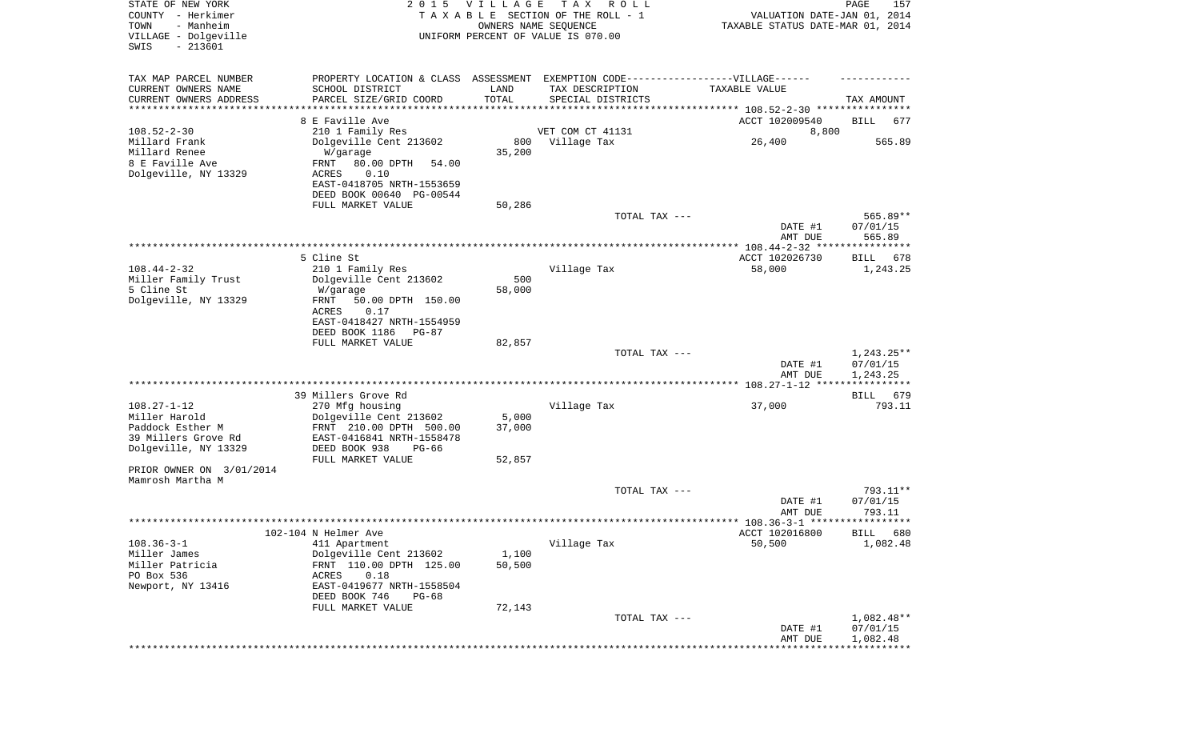| STATE OF NEW YORK<br>COUNTY - Herkimer<br>- Manheim<br>TOWN<br>VILLAGE - Dolgeville<br>$-213601$<br>SWIS | 2 0 1 5                                                                           | VILLAGE<br>OWNERS NAME SEQUENCE | T A X<br>R O L L<br>TAXABLE SECTION OF THE ROLL - 1<br>UNIFORM PERCENT OF VALUE IS 070.00 | VALUATION DATE-JAN 01, 2014<br>TAXABLE STATUS DATE-MAR 01, 2014 | PAGE<br>157          |
|----------------------------------------------------------------------------------------------------------|-----------------------------------------------------------------------------------|---------------------------------|-------------------------------------------------------------------------------------------|-----------------------------------------------------------------|----------------------|
|                                                                                                          |                                                                                   |                                 |                                                                                           |                                                                 |                      |
| TAX MAP PARCEL NUMBER                                                                                    | PROPERTY LOCATION & CLASS ASSESSMENT EXEMPTION CODE-----------------VILLAGE------ |                                 |                                                                                           |                                                                 |                      |
| CURRENT OWNERS NAME                                                                                      | SCHOOL DISTRICT                                                                   | LAND                            | TAX DESCRIPTION                                                                           | TAXABLE VALUE                                                   |                      |
| CURRENT OWNERS ADDRESS<br>*********************                                                          | PARCEL SIZE/GRID COORD                                                            | TOTAL                           | SPECIAL DISTRICTS                                                                         |                                                                 | TAX AMOUNT           |
|                                                                                                          | 8 E Faville Ave                                                                   |                                 |                                                                                           | ACCT 102009540                                                  | BILL<br>677          |
| $108.52 - 2 - 30$                                                                                        | 210 1 Family Res                                                                  |                                 | VET COM CT 41131                                                                          | 8,800                                                           |                      |
| Millard Frank                                                                                            | Dolgeville Cent 213602                                                            | 800                             | Village Tax                                                                               | 26,400                                                          | 565.89               |
| Millard Renee                                                                                            | W/garage                                                                          | 35,200                          |                                                                                           |                                                                 |                      |
| 8 E Faville Ave                                                                                          | 80.00 DPTH<br>FRNT<br>54.00                                                       |                                 |                                                                                           |                                                                 |                      |
| Dolgeville, NY 13329                                                                                     | 0.10<br>ACRES<br>EAST-0418705 NRTH-1553659                                        |                                 |                                                                                           |                                                                 |                      |
|                                                                                                          | DEED BOOK 00640 PG-00544                                                          |                                 |                                                                                           |                                                                 |                      |
|                                                                                                          | FULL MARKET VALUE                                                                 | 50,286                          |                                                                                           |                                                                 |                      |
|                                                                                                          |                                                                                   |                                 | TOTAL TAX ---                                                                             |                                                                 | 565.89**             |
|                                                                                                          |                                                                                   |                                 |                                                                                           | DATE #1                                                         | 07/01/15             |
|                                                                                                          |                                                                                   |                                 |                                                                                           | AMT DUE                                                         | 565.89               |
|                                                                                                          | 5 Cline St                                                                        |                                 |                                                                                           | ACCT 102026730                                                  | BILL<br>678          |
| $108.44 - 2 - 32$                                                                                        | 210 1 Family Res                                                                  |                                 | Village Tax                                                                               | 58,000                                                          | 1,243.25             |
| Miller Family Trust                                                                                      | Dolgeville Cent 213602                                                            | 500                             |                                                                                           |                                                                 |                      |
| 5 Cline St                                                                                               | W/garage                                                                          | 58,000                          |                                                                                           |                                                                 |                      |
| Dolgeville, NY 13329                                                                                     | FRNT<br>50.00 DPTH 150.00<br>ACRES<br>0.17                                        |                                 |                                                                                           |                                                                 |                      |
|                                                                                                          | EAST-0418427 NRTH-1554959                                                         |                                 |                                                                                           |                                                                 |                      |
|                                                                                                          | DEED BOOK 1186<br>$PG-87$                                                         |                                 |                                                                                           |                                                                 |                      |
|                                                                                                          | FULL MARKET VALUE                                                                 | 82,857                          |                                                                                           |                                                                 |                      |
|                                                                                                          |                                                                                   |                                 | TOTAL TAX ---                                                                             |                                                                 | $1,243.25**$         |
|                                                                                                          |                                                                                   |                                 |                                                                                           | DATE #1<br>AMT DUE                                              | 07/01/15<br>1,243.25 |
|                                                                                                          |                                                                                   |                                 |                                                                                           |                                                                 | ***********          |
|                                                                                                          | 39 Millers Grove Rd                                                               |                                 |                                                                                           |                                                                 | BILL 679             |
| $108.27 - 1 - 12$                                                                                        | 270 Mfg housing                                                                   |                                 | Village Tax                                                                               | 37,000                                                          | 793.11               |
| Miller Harold<br>Paddock Esther M                                                                        | Dolgeville Cent 213602<br>FRNT 210.00 DPTH 500.00                                 | 5,000<br>37,000                 |                                                                                           |                                                                 |                      |
| 39 Millers Grove Rd                                                                                      | EAST-0416841 NRTH-1558478                                                         |                                 |                                                                                           |                                                                 |                      |
| Dolgeville, NY 13329                                                                                     | DEED BOOK 938<br>PG-66                                                            |                                 |                                                                                           |                                                                 |                      |
|                                                                                                          | FULL MARKET VALUE                                                                 | 52,857                          |                                                                                           |                                                                 |                      |
| PRIOR OWNER ON 3/01/2014                                                                                 |                                                                                   |                                 |                                                                                           |                                                                 |                      |
| Mamrosh Martha M                                                                                         |                                                                                   |                                 | TOTAL TAX ---                                                                             |                                                                 | 793.11**             |
|                                                                                                          |                                                                                   |                                 |                                                                                           | DATE #1                                                         | 07/01/15             |
|                                                                                                          |                                                                                   |                                 |                                                                                           | AMT DUE                                                         | 793.11               |
|                                                                                                          |                                                                                   |                                 |                                                                                           |                                                                 |                      |
|                                                                                                          | 102-104 N Helmer Ave                                                              |                                 |                                                                                           | ACCT 102016800                                                  | BILL 680             |
| $108.36 - 3 - 1$<br>Miller James                                                                         | 411 Apartment<br>Dolgeville Cent 213602                                           | 1,100                           | Village Tax                                                                               | 50,500                                                          | 1,082.48             |
| Miller Patricia                                                                                          | FRNT 110.00 DPTH 125.00                                                           | 50,500                          |                                                                                           |                                                                 |                      |
| PO Box 536                                                                                               | 0.18<br>ACRES                                                                     |                                 |                                                                                           |                                                                 |                      |
| Newport, NY 13416                                                                                        | EAST-0419677 NRTH-1558504                                                         |                                 |                                                                                           |                                                                 |                      |
|                                                                                                          | DEED BOOK 746<br>$PG-68$                                                          |                                 |                                                                                           |                                                                 |                      |
|                                                                                                          | FULL MARKET VALUE                                                                 | 72,143                          | TOTAL TAX ---                                                                             |                                                                 | 1,082.48**           |
|                                                                                                          |                                                                                   |                                 |                                                                                           | DATE #1                                                         | 07/01/15             |
|                                                                                                          |                                                                                   |                                 |                                                                                           | AMT DUE                                                         | 1,082.48             |
|                                                                                                          |                                                                                   |                                 |                                                                                           |                                                                 |                      |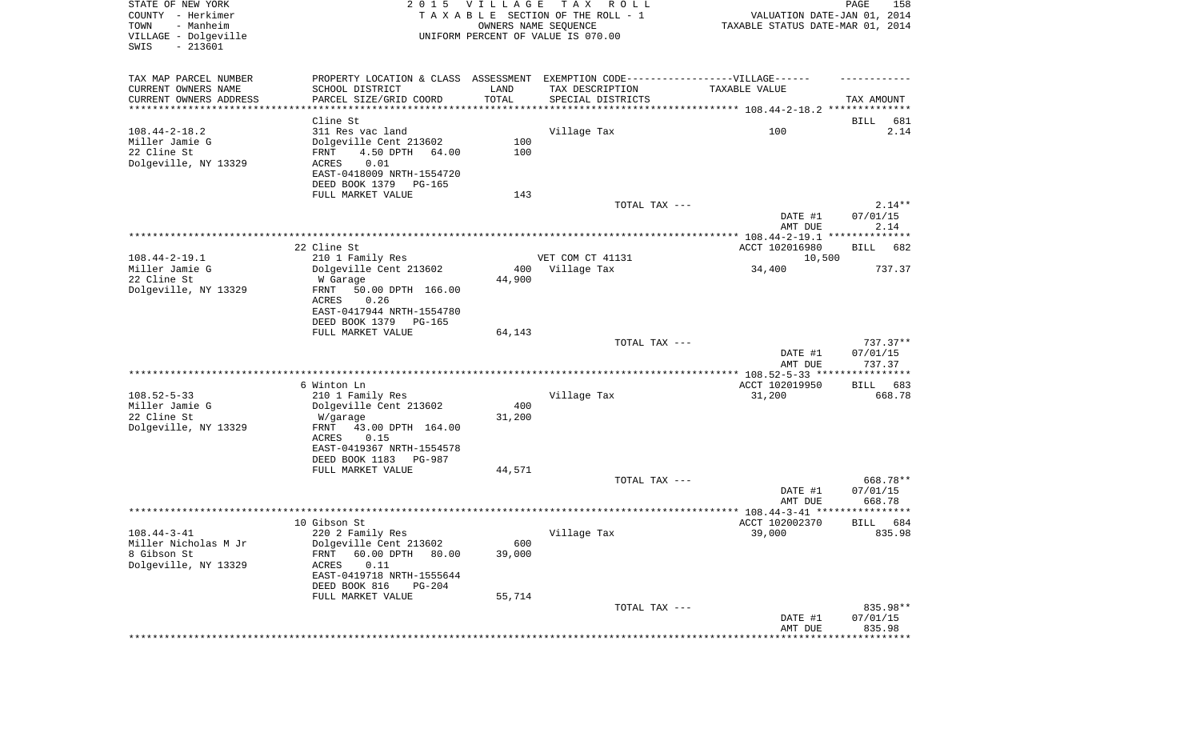| STATE OF NEW YORK<br>COUNTY - Herkimer<br>TOWN<br>- Manheim<br>VILLAGE - Dolgeville<br>SWIS<br>$-213601$ |                                                                                   | 2015 VILLAGE  | T A X<br>R O L L<br>TAXABLE SECTION OF THE ROLL - 1<br>OWNERS NAME SEQUENCE<br>UNIFORM PERCENT OF VALUE IS 070.00 | VALUATION DATE-JAN 01, 2014<br>TAXABLE STATUS DATE-MAR 01, 2014 | PAGE<br>158           |
|----------------------------------------------------------------------------------------------------------|-----------------------------------------------------------------------------------|---------------|-------------------------------------------------------------------------------------------------------------------|-----------------------------------------------------------------|-----------------------|
| TAX MAP PARCEL NUMBER                                                                                    | PROPERTY LOCATION & CLASS ASSESSMENT EXEMPTION CODE-----------------VILLAGE------ |               |                                                                                                                   |                                                                 |                       |
| CURRENT OWNERS NAME                                                                                      | SCHOOL DISTRICT                                                                   | LAND          | TAX DESCRIPTION                                                                                                   | TAXABLE VALUE                                                   |                       |
| CURRENT OWNERS ADDRESS<br>***********************                                                        | PARCEL SIZE/GRID COORD                                                            | TOTAL         | SPECIAL DISTRICTS                                                                                                 |                                                                 | TAX AMOUNT            |
|                                                                                                          | Cline St                                                                          |               |                                                                                                                   |                                                                 | 681<br>BILL           |
| $108.44 - 2 - 18.2$                                                                                      | 311 Res vac land                                                                  |               | Village Tax                                                                                                       | 100                                                             | 2.14                  |
| Miller Jamie G                                                                                           | Dolgeville Cent 213602                                                            | 100           |                                                                                                                   |                                                                 |                       |
| 22 Cline St                                                                                              | FRNT<br>4.50 DPTH<br>64.00                                                        | 100           |                                                                                                                   |                                                                 |                       |
| Dolgeville, NY 13329                                                                                     | ACRES<br>0.01<br>EAST-0418009 NRTH-1554720                                        |               |                                                                                                                   |                                                                 |                       |
|                                                                                                          | DEED BOOK 1379<br>PG-165                                                          |               |                                                                                                                   |                                                                 |                       |
|                                                                                                          | FULL MARKET VALUE                                                                 | 143           |                                                                                                                   |                                                                 |                       |
|                                                                                                          |                                                                                   |               | TOTAL TAX ---                                                                                                     |                                                                 | $2.14**$              |
|                                                                                                          |                                                                                   |               |                                                                                                                   | DATE #1<br>AMT DUE                                              | 07/01/15<br>2.14      |
|                                                                                                          |                                                                                   |               |                                                                                                                   |                                                                 |                       |
|                                                                                                          | 22 Cline St                                                                       |               |                                                                                                                   | ACCT 102016980                                                  | <b>BILL</b><br>682    |
| $108.44 - 2 - 19.1$                                                                                      | 210 1 Family Res                                                                  |               | VET COM CT 41131                                                                                                  | 10,500                                                          |                       |
| Miller Jamie G<br>22 Cline St                                                                            | Dolgeville Cent 213602<br>W Garage                                                | 400<br>44,900 | Village Tax                                                                                                       | 34,400                                                          | 737.37                |
| Dolgeville, NY 13329                                                                                     | FRNT<br>50.00 DPTH 166.00                                                         |               |                                                                                                                   |                                                                 |                       |
|                                                                                                          | ACRES<br>0.26                                                                     |               |                                                                                                                   |                                                                 |                       |
|                                                                                                          | EAST-0417944 NRTH-1554780                                                         |               |                                                                                                                   |                                                                 |                       |
|                                                                                                          | DEED BOOK 1379<br>PG-165<br>FULL MARKET VALUE                                     |               |                                                                                                                   |                                                                 |                       |
|                                                                                                          |                                                                                   | 64,143        | TOTAL TAX ---                                                                                                     |                                                                 | $737.37**$            |
|                                                                                                          |                                                                                   |               |                                                                                                                   | DATE #1<br>AMT DUE                                              | 07/01/15<br>737.37    |
|                                                                                                          |                                                                                   |               |                                                                                                                   | ************ 108.52-5-33 ****************                       |                       |
|                                                                                                          | 6 Winton Ln                                                                       |               |                                                                                                                   | ACCT 102019950                                                  | 683<br>BILL           |
| $108.52 - 5 - 33$                                                                                        | 210 1 Family Res                                                                  |               | Village Tax                                                                                                       | 31,200                                                          | 668.78                |
| Miller Jamie G<br>22 Cline St                                                                            | Dolgeville Cent 213602<br>W/garage                                                | 400<br>31,200 |                                                                                                                   |                                                                 |                       |
| Dolgeville, NY 13329                                                                                     | FRNT<br>43.00 DPTH 164.00                                                         |               |                                                                                                                   |                                                                 |                       |
|                                                                                                          | ACRES<br>0.15                                                                     |               |                                                                                                                   |                                                                 |                       |
|                                                                                                          | EAST-0419367 NRTH-1554578                                                         |               |                                                                                                                   |                                                                 |                       |
|                                                                                                          | DEED BOOK 1183 PG-987<br>FULL MARKET VALUE                                        | 44,571        |                                                                                                                   |                                                                 |                       |
|                                                                                                          |                                                                                   |               | TOTAL TAX ---                                                                                                     |                                                                 | 668.78**              |
|                                                                                                          |                                                                                   |               |                                                                                                                   | DATE #1                                                         | 07/01/15              |
|                                                                                                          |                                                                                   |               |                                                                                                                   | AMT DUE                                                         | 668.78                |
|                                                                                                          | 10 Gibson St                                                                      |               |                                                                                                                   | ACCT 102002370                                                  | * * * * * *           |
| $108.44 - 3 - 41$                                                                                        | 220 2 Family Res                                                                  |               | Village Tax                                                                                                       | 39,000                                                          | 684<br>BILL<br>835.98 |
| Miller Nicholas M Jr                                                                                     | Dolgeville Cent 213602                                                            | 600           |                                                                                                                   |                                                                 |                       |
| 8 Gibson St                                                                                              | 60.00 DPTH<br>FRNT<br>80.00                                                       | 39,000        |                                                                                                                   |                                                                 |                       |
| Dolgeville, NY 13329                                                                                     | 0.11<br>ACRES                                                                     |               |                                                                                                                   |                                                                 |                       |
|                                                                                                          | EAST-0419718 NRTH-1555644<br>DEED BOOK 816<br>$PG-204$                            |               |                                                                                                                   |                                                                 |                       |
|                                                                                                          | FULL MARKET VALUE                                                                 | 55,714        |                                                                                                                   |                                                                 |                       |
|                                                                                                          |                                                                                   |               | TOTAL TAX ---                                                                                                     |                                                                 | 835.98**              |
|                                                                                                          |                                                                                   |               |                                                                                                                   | DATE #1                                                         | 07/01/15              |
|                                                                                                          |                                                                                   |               |                                                                                                                   | AMT DUE                                                         | 835.98<br>*********** |
|                                                                                                          |                                                                                   |               |                                                                                                                   |                                                                 |                       |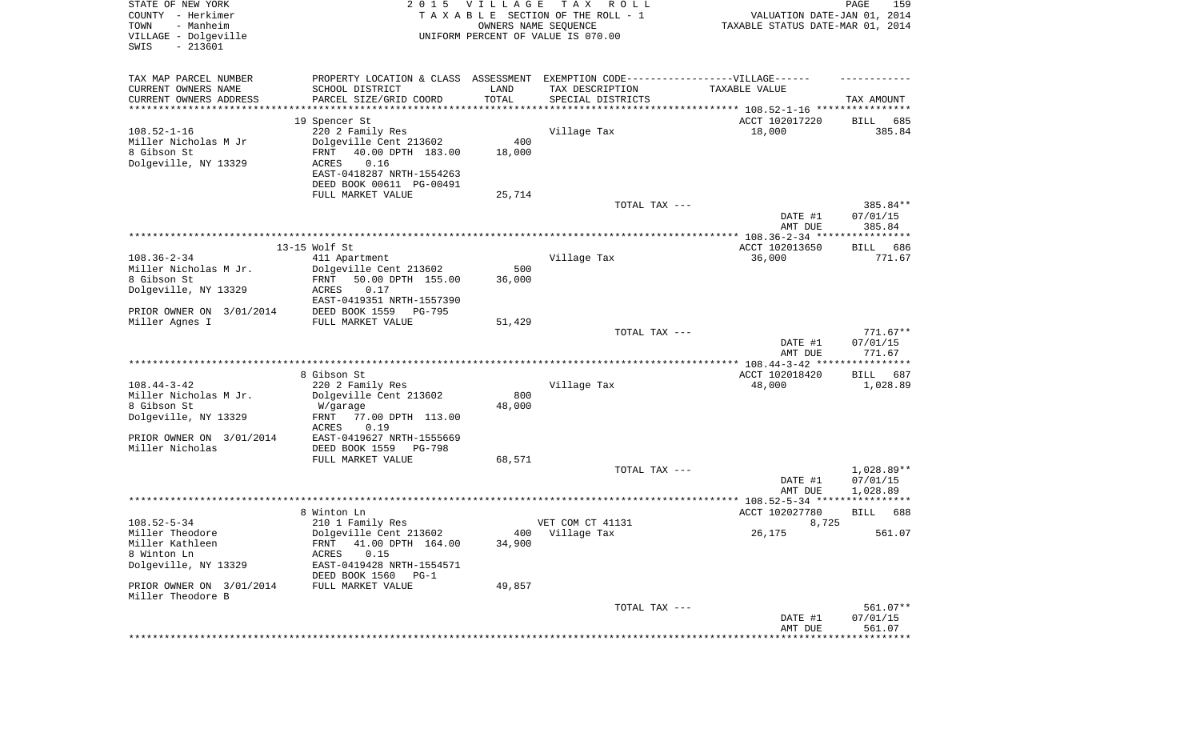| STATE OF NEW YORK<br>COUNTY - Herkimer<br>TOWN<br>- Manheim<br>VILLAGE - Dolgeville<br>SWIS<br>$-213601$ | 2 0 1 5                                                                           | VILLAGE<br>OWNERS NAME SEQUENCE | T A X<br>R O L L<br>TAXABLE SECTION OF THE ROLL - 1<br>UNIFORM PERCENT OF VALUE IS 070.00 | VALUATION DATE-JAN 01, 2014<br>TAXABLE STATUS DATE-MAR 01, 2014 | PAGE<br>159            |
|----------------------------------------------------------------------------------------------------------|-----------------------------------------------------------------------------------|---------------------------------|-------------------------------------------------------------------------------------------|-----------------------------------------------------------------|------------------------|
| TAX MAP PARCEL NUMBER                                                                                    | PROPERTY LOCATION & CLASS ASSESSMENT EXEMPTION CODE-----------------VILLAGE------ |                                 |                                                                                           |                                                                 |                        |
| CURRENT OWNERS NAME<br>CURRENT OWNERS ADDRESS                                                            | SCHOOL DISTRICT<br>PARCEL SIZE/GRID COORD                                         | LAND<br>TOTAL                   | TAX DESCRIPTION<br>SPECIAL DISTRICTS                                                      | TAXABLE VALUE                                                   | TAX AMOUNT             |
| *********************                                                                                    |                                                                                   |                                 |                                                                                           |                                                                 |                        |
|                                                                                                          | 19 Spencer St                                                                     |                                 |                                                                                           | ACCT 102017220                                                  | BILL<br>685            |
| $108.52 - 1 - 16$                                                                                        | 220 2 Family Res                                                                  |                                 | Village Tax                                                                               | 18,000                                                          | 385.84                 |
| Miller Nicholas M Jr                                                                                     | Dolgeville Cent 213602                                                            | 400                             |                                                                                           |                                                                 |                        |
| 8 Gibson St<br>Dolgeville, NY 13329                                                                      | FRNT<br>40.00 DPTH 183.00<br>ACRES<br>0.16                                        | 18,000                          |                                                                                           |                                                                 |                        |
|                                                                                                          | EAST-0418287 NRTH-1554263                                                         |                                 |                                                                                           |                                                                 |                        |
|                                                                                                          | DEED BOOK 00611 PG-00491                                                          |                                 |                                                                                           |                                                                 |                        |
|                                                                                                          | FULL MARKET VALUE                                                                 | 25,714                          |                                                                                           |                                                                 |                        |
|                                                                                                          |                                                                                   |                                 | TOTAL TAX ---                                                                             | DATE #1                                                         | 385.84**<br>07/01/15   |
|                                                                                                          |                                                                                   |                                 |                                                                                           | AMT DUE                                                         | 385.84                 |
|                                                                                                          |                                                                                   |                                 |                                                                                           |                                                                 |                        |
| $108.36 - 2 - 34$                                                                                        | 13-15 Wolf St<br>411 Apartment                                                    |                                 | Village Tax                                                                               | ACCT 102013650<br>36,000                                        | 686<br>BILL<br>771.67  |
| Miller Nicholas M Jr.                                                                                    | Dolgeville Cent 213602                                                            | 500                             |                                                                                           |                                                                 |                        |
| 8 Gibson St                                                                                              | 50.00 DPTH 155.00<br>FRNT                                                         | 36,000                          |                                                                                           |                                                                 |                        |
| Dolgeville, NY 13329                                                                                     | 0.17<br>ACRES<br>EAST-0419351 NRTH-1557390                                        |                                 |                                                                                           |                                                                 |                        |
| PRIOR OWNER ON 3/01/2014                                                                                 | DEED BOOK 1559<br><b>PG-795</b>                                                   |                                 |                                                                                           |                                                                 |                        |
| Miller Agnes I                                                                                           | FULL MARKET VALUE                                                                 | 51,429                          |                                                                                           |                                                                 |                        |
|                                                                                                          |                                                                                   |                                 | TOTAL TAX ---                                                                             | DATE #1                                                         | $771.67**$<br>07/01/15 |
|                                                                                                          |                                                                                   |                                 |                                                                                           | AMT DUE                                                         | 771.67                 |
|                                                                                                          | 8 Gibson St                                                                       |                                 |                                                                                           | ACCT 102018420                                                  | BILL<br>687            |
| $108.44 - 3 - 42$                                                                                        | 220 2 Family Res                                                                  |                                 | Village Tax                                                                               | 48,000                                                          | 1,028.89               |
| Miller Nicholas M Jr.                                                                                    | Dolgeville Cent 213602                                                            | 800                             |                                                                                           |                                                                 |                        |
| 8 Gibson St                                                                                              | W/garage                                                                          | 48,000                          |                                                                                           |                                                                 |                        |
| Dolgeville, NY 13329                                                                                     | 77.00 DPTH 113.00<br>FRNT<br><b>ACRES</b><br>0.19                                 |                                 |                                                                                           |                                                                 |                        |
| PRIOR OWNER ON 3/01/2014                                                                                 | EAST-0419627 NRTH-1555669                                                         |                                 |                                                                                           |                                                                 |                        |
| Miller Nicholas                                                                                          | DEED BOOK 1559<br>PG-798                                                          |                                 |                                                                                           |                                                                 |                        |
|                                                                                                          | FULL MARKET VALUE                                                                 | 68,571                          |                                                                                           |                                                                 |                        |
|                                                                                                          |                                                                                   |                                 | TOTAL TAX ---                                                                             | DATE #1                                                         | 1,028.89**<br>07/01/15 |
|                                                                                                          |                                                                                   |                                 |                                                                                           | AMT DUE                                                         | 1,028.89               |
|                                                                                                          |                                                                                   |                                 |                                                                                           |                                                                 |                        |
| $108.52 - 5 - 34$                                                                                        | 8 Winton Ln                                                                       |                                 | VET COM CT 41131                                                                          | ACCT 102027780                                                  | 688<br>BILL            |
| Miller Theodore                                                                                          | 210 1 Family Res<br>Dolgeville Cent 213602                                        |                                 | 400 Village Tax                                                                           | 8,725<br>26,175                                                 | 561.07                 |
| Miller Kathleen                                                                                          | FRNT 41.00 DPTH 164.00                                                            | 34,900                          |                                                                                           |                                                                 |                        |
| 8 Winton Ln                                                                                              | 0.15<br>ACRES                                                                     |                                 |                                                                                           |                                                                 |                        |
| Dolgeville, NY 13329                                                                                     | EAST-0419428 NRTH-1554571                                                         |                                 |                                                                                           |                                                                 |                        |
| PRIOR OWNER ON 3/01/2014                                                                                 | DEED BOOK 1560 PG-1<br>FULL MARKET VALUE                                          | 49,857                          |                                                                                           |                                                                 |                        |
| Miller Theodore B                                                                                        |                                                                                   |                                 |                                                                                           |                                                                 |                        |
|                                                                                                          |                                                                                   |                                 | TOTAL TAX ---                                                                             |                                                                 | 561.07**               |
|                                                                                                          |                                                                                   |                                 |                                                                                           | DATE #1                                                         | 07/01/15               |
|                                                                                                          |                                                                                   |                                 |                                                                                           | AMT DUE<br>****************************                         | 561.07                 |
|                                                                                                          |                                                                                   |                                 |                                                                                           |                                                                 |                        |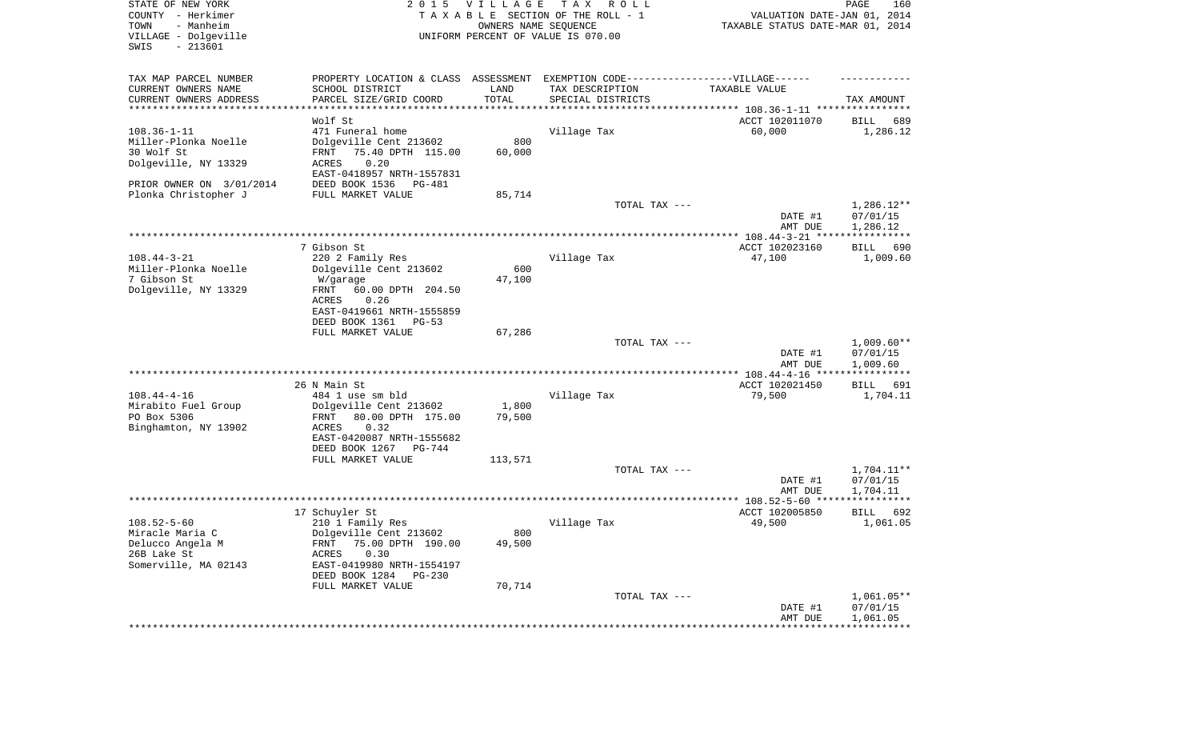| STATE OF NEW YORK<br>COUNTY - Herkimer<br>TOWN<br>- Manheim<br>VILLAGE - Dolgeville<br>$-213601$<br>SWIS | 2 0 1 5                                                                          | <b>VILLAGE</b><br>OWNERS NAME SEQUENCE | TAX ROLL<br>TAXABLE SECTION OF THE ROLL - 1<br>UNIFORM PERCENT OF VALUE IS 070.00 | VALUATION DATE-JAN 01, 2014<br>TAXABLE STATUS DATE-MAR 01, 2014 | PAGE<br>160                          |
|----------------------------------------------------------------------------------------------------------|----------------------------------------------------------------------------------|----------------------------------------|-----------------------------------------------------------------------------------|-----------------------------------------------------------------|--------------------------------------|
| TAX MAP PARCEL NUMBER                                                                                    | PROPERTY LOCATION & CLASS ASSESSMENT EXEMPTION CODE----------------VILLAGE------ |                                        |                                                                                   |                                                                 |                                      |
| CURRENT OWNERS NAME                                                                                      | SCHOOL DISTRICT                                                                  | LAND                                   | TAX DESCRIPTION                                                                   | TAXABLE VALUE                                                   |                                      |
| CURRENT OWNERS ADDRESS<br>**********************                                                         | PARCEL SIZE/GRID COORD                                                           | TOTAL<br>* * * * * * * * * * *         | SPECIAL DISTRICTS                                                                 |                                                                 | TAX AMOUNT                           |
|                                                                                                          | Wolf St                                                                          |                                        |                                                                                   | ACCT 102011070                                                  | BILL<br>689                          |
| $108.36 - 1 - 11$                                                                                        | 471 Funeral home                                                                 |                                        | Village Tax                                                                       | 60,000                                                          | 1,286.12                             |
| Miller-Plonka Noelle                                                                                     | Dolgeville Cent 213602                                                           | 800                                    |                                                                                   |                                                                 |                                      |
| 30 Wolf St                                                                                               | 75.40 DPTH 115.00<br>FRNT                                                        | 60,000                                 |                                                                                   |                                                                 |                                      |
| Dolgeville, NY 13329                                                                                     | 0.20<br>ACRES                                                                    |                                        |                                                                                   |                                                                 |                                      |
|                                                                                                          | EAST-0418957 NRTH-1557831                                                        |                                        |                                                                                   |                                                                 |                                      |
| PRIOR OWNER ON 3/01/2014                                                                                 | DEED BOOK 1536<br>PG-481                                                         |                                        |                                                                                   |                                                                 |                                      |
| Plonka Christopher J                                                                                     | FULL MARKET VALUE                                                                | 85,714                                 |                                                                                   |                                                                 |                                      |
|                                                                                                          |                                                                                  |                                        | TOTAL TAX ---                                                                     | DATE #1<br>AMT DUE                                              | $1,286.12**$<br>07/01/15<br>1,286.12 |
|                                                                                                          |                                                                                  |                                        |                                                                                   |                                                                 |                                      |
|                                                                                                          | 7 Gibson St                                                                      |                                        |                                                                                   | ACCT 102023160                                                  | 690<br>BILL                          |
| $108.44 - 3 - 21$                                                                                        | 220 2 Family Res                                                                 |                                        | Village Tax                                                                       | 47,100                                                          | 1,009.60                             |
| Miller-Plonka Noelle                                                                                     | Dolgeville Cent 213602                                                           | 600                                    |                                                                                   |                                                                 |                                      |
| 7 Gibson St                                                                                              | W/garage                                                                         | 47,100                                 |                                                                                   |                                                                 |                                      |
| Dolgeville, NY 13329                                                                                     | 60.00 DPTH 204.50<br>FRNT                                                        |                                        |                                                                                   |                                                                 |                                      |
|                                                                                                          | ACRES<br>0.26                                                                    |                                        |                                                                                   |                                                                 |                                      |
|                                                                                                          | EAST-0419661 NRTH-1555859<br>DEED BOOK 1361                                      |                                        |                                                                                   |                                                                 |                                      |
|                                                                                                          | PG-53<br>FULL MARKET VALUE                                                       | 67,286                                 |                                                                                   |                                                                 |                                      |
|                                                                                                          |                                                                                  |                                        | TOTAL TAX ---                                                                     |                                                                 | $1,009.60**$                         |
|                                                                                                          |                                                                                  |                                        |                                                                                   | DATE #1<br>AMT DUE                                              | 07/01/15<br>1,009.60                 |
|                                                                                                          |                                                                                  |                                        |                                                                                   | *************** 108.44-4-16 *****                               | ***********                          |
|                                                                                                          | 26 N Main St                                                                     |                                        |                                                                                   | ACCT 102021450                                                  | BILL 691                             |
| $108.44 - 4 - 16$                                                                                        | 484 1 use sm bld                                                                 |                                        | Village Tax                                                                       | 79,500                                                          | 1,704.11                             |
| Mirabito Fuel Group<br>PO Box 5306                                                                       | Dolgeville Cent 213602<br>80.00 DPTH 175.00<br>FRNT                              | 1,800<br>79,500                        |                                                                                   |                                                                 |                                      |
| Binghamton, NY 13902                                                                                     | ACRES<br>0.32                                                                    |                                        |                                                                                   |                                                                 |                                      |
|                                                                                                          | EAST-0420087 NRTH-1555682                                                        |                                        |                                                                                   |                                                                 |                                      |
|                                                                                                          | DEED BOOK 1267<br>PG-744                                                         |                                        |                                                                                   |                                                                 |                                      |
|                                                                                                          | FULL MARKET VALUE                                                                | 113,571                                |                                                                                   |                                                                 |                                      |
|                                                                                                          |                                                                                  |                                        | TOTAL TAX ---                                                                     |                                                                 | $1,704.11**$                         |
|                                                                                                          |                                                                                  |                                        |                                                                                   | DATE #1                                                         | 07/01/15                             |
|                                                                                                          |                                                                                  |                                        |                                                                                   | AMT DUE                                                         | 1,704.11                             |
|                                                                                                          | 17 Schuyler St                                                                   |                                        |                                                                                   | ACCT 102005850                                                  |                                      |
| $108.52 - 5 - 60$                                                                                        | 210 1 Family Res                                                                 |                                        | Village Tax                                                                       | 49,500                                                          | BILL<br>692<br>1,061.05              |
| Miracle Maria C                                                                                          | Dolgeville Cent 213602                                                           | 800                                    |                                                                                   |                                                                 |                                      |
| Delucco Angela M                                                                                         | FRNT 75.00 DPTH 190.00                                                           | 49,500                                 |                                                                                   |                                                                 |                                      |
| 26B Lake St                                                                                              | ACRES<br>0.30                                                                    |                                        |                                                                                   |                                                                 |                                      |
| Somerville, MA 02143                                                                                     | EAST-0419980 NRTH-1554197                                                        |                                        |                                                                                   |                                                                 |                                      |
|                                                                                                          | DEED BOOK 1284<br>PG-230                                                         |                                        |                                                                                   |                                                                 |                                      |
|                                                                                                          | FULL MARKET VALUE                                                                | 70,714                                 |                                                                                   |                                                                 |                                      |
|                                                                                                          |                                                                                  |                                        | TOTAL TAX ---                                                                     |                                                                 | 1,061.05**                           |
|                                                                                                          |                                                                                  |                                        |                                                                                   | DATE #1<br>AMT DUE                                              | 07/01/15<br>1,061.05                 |
|                                                                                                          |                                                                                  |                                        |                                                                                   | **********************************                              |                                      |
|                                                                                                          |                                                                                  |                                        |                                                                                   |                                                                 |                                      |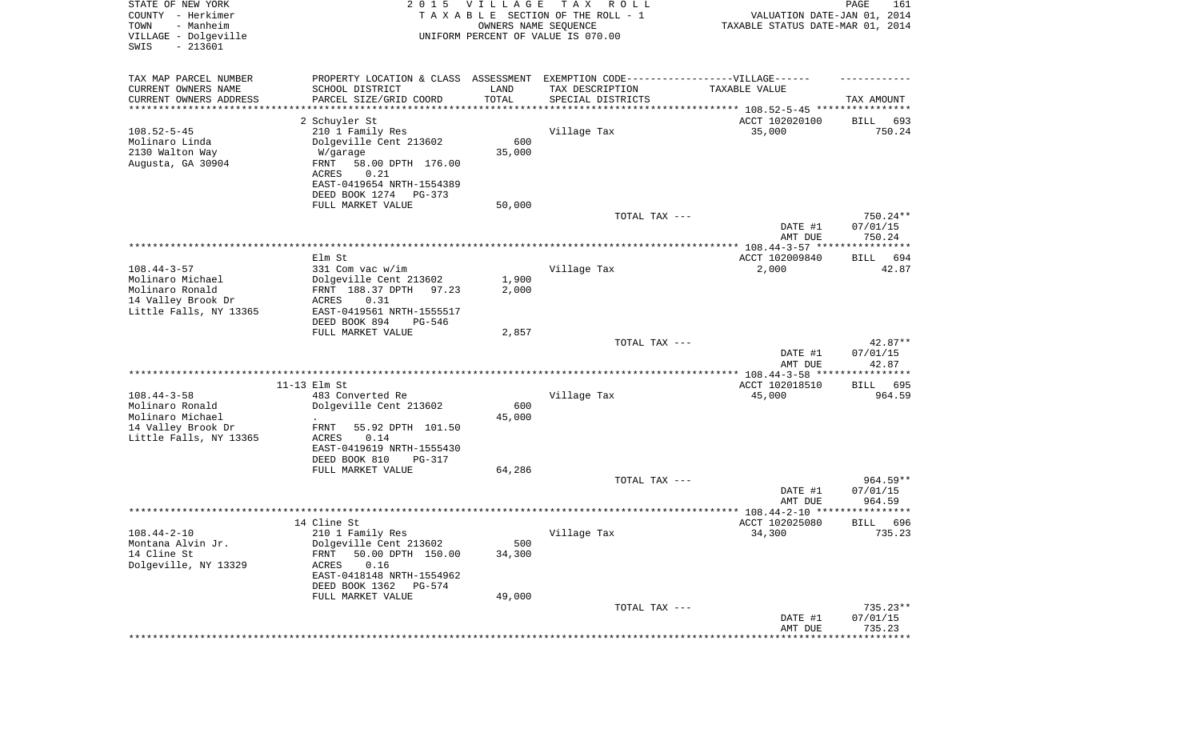| STATE OF NEW YORK<br>COUNTY - Herkimer<br>- Manheim<br>TOWN<br>VILLAGE - Dolgeville<br>SWIS<br>$-213601$ |                                                                                   | 2015 VILLAGE<br>OWNERS NAME SEQUENCE | T A X<br>R O L L<br>TAXABLE SECTION OF THE ROLL - 1<br>UNIFORM PERCENT OF VALUE IS 070.00 | VALUATION DATE-JAN 01, 2014<br>TAXABLE STATUS DATE-MAR 01, 2014 | $\mathop{\mathtt{PAGE}}$<br>161 |
|----------------------------------------------------------------------------------------------------------|-----------------------------------------------------------------------------------|--------------------------------------|-------------------------------------------------------------------------------------------|-----------------------------------------------------------------|---------------------------------|
| TAX MAP PARCEL NUMBER                                                                                    | PROPERTY LOCATION & CLASS ASSESSMENT EXEMPTION CODE-----------------VILLAGE------ |                                      |                                                                                           |                                                                 |                                 |
| CURRENT OWNERS NAME                                                                                      | SCHOOL DISTRICT                                                                   | LAND                                 | TAX DESCRIPTION                                                                           | TAXABLE VALUE                                                   |                                 |
| CURRENT OWNERS ADDRESS<br>*******************                                                            | PARCEL SIZE/GRID COORD                                                            | TOTAL                                | SPECIAL DISTRICTS                                                                         |                                                                 | TAX AMOUNT                      |
|                                                                                                          |                                                                                   |                                      |                                                                                           | ********************************* 108.52-5-45 ****************  |                                 |
| $108.52 - 5 - 45$                                                                                        | 2 Schuyler St<br>210 1 Family Res                                                 |                                      | Village Tax                                                                               | ACCT 102020100<br>35,000                                        | BILL<br>693<br>750.24           |
| Molinaro Linda                                                                                           | Dolgeville Cent 213602                                                            | 600                                  |                                                                                           |                                                                 |                                 |
| 2130 Walton Way                                                                                          | W/garage                                                                          | 35,000                               |                                                                                           |                                                                 |                                 |
| Augusta, GA 30904                                                                                        | FRNT<br>58.00 DPTH 176.00                                                         |                                      |                                                                                           |                                                                 |                                 |
|                                                                                                          | 0.21<br>ACRES                                                                     |                                      |                                                                                           |                                                                 |                                 |
|                                                                                                          | EAST-0419654 NRTH-1554389                                                         |                                      |                                                                                           |                                                                 |                                 |
|                                                                                                          | DEED BOOK 1274<br>PG-373                                                          |                                      |                                                                                           |                                                                 |                                 |
|                                                                                                          | FULL MARKET VALUE                                                                 | 50,000                               |                                                                                           |                                                                 |                                 |
|                                                                                                          |                                                                                   |                                      | TOTAL TAX ---                                                                             |                                                                 | 750.24**                        |
|                                                                                                          |                                                                                   |                                      |                                                                                           | DATE #1<br>AMT DUE                                              | 07/01/15<br>750.24              |
|                                                                                                          |                                                                                   |                                      |                                                                                           |                                                                 |                                 |
|                                                                                                          | Elm St                                                                            |                                      |                                                                                           | ACCT 102009840                                                  | 694<br>BILL                     |
| $108.44 - 3 - 57$                                                                                        | 331 Com vac w/im                                                                  |                                      | Village Tax                                                                               | 2,000                                                           | 42.87                           |
| Molinaro Michael<br>Molinaro Ronald                                                                      | Dolgeville Cent 213602<br>97.23                                                   | 1,900                                |                                                                                           |                                                                 |                                 |
| 14 Valley Brook Dr                                                                                       | FRNT 188.37 DPTH<br>ACRES<br>0.31                                                 | 2,000                                |                                                                                           |                                                                 |                                 |
| Little Falls, NY 13365                                                                                   | EAST-0419561 NRTH-1555517                                                         |                                      |                                                                                           |                                                                 |                                 |
|                                                                                                          | DEED BOOK 894<br>PG-546                                                           |                                      |                                                                                           |                                                                 |                                 |
|                                                                                                          | FULL MARKET VALUE                                                                 | 2,857                                |                                                                                           |                                                                 |                                 |
|                                                                                                          |                                                                                   |                                      | TOTAL TAX ---                                                                             |                                                                 | 42.87**                         |
|                                                                                                          |                                                                                   |                                      |                                                                                           | DATE #1                                                         | 07/01/15                        |
|                                                                                                          |                                                                                   |                                      |                                                                                           | AMT DUE<br>********** 108.44-3-58 **                            | 42.87<br>* * * * * * * * * * *  |
|                                                                                                          | $11-13$ Elm St                                                                    |                                      |                                                                                           | ACCT 102018510                                                  | 695<br>BILL                     |
| $108.44 - 3 - 58$                                                                                        | 483 Converted Re                                                                  |                                      | Village Tax                                                                               | 45,000                                                          | 964.59                          |
| Molinaro Ronald                                                                                          | Dolgeville Cent 213602                                                            | 600                                  |                                                                                           |                                                                 |                                 |
| Molinaro Michael                                                                                         | $\bullet$                                                                         | 45,000                               |                                                                                           |                                                                 |                                 |
| 14 Valley Brook Dr                                                                                       | 55.92 DPTH 101.50<br>FRNT                                                         |                                      |                                                                                           |                                                                 |                                 |
| Little Falls, NY 13365                                                                                   | ACRES<br>0.14                                                                     |                                      |                                                                                           |                                                                 |                                 |
|                                                                                                          | EAST-0419619 NRTH-1555430                                                         |                                      |                                                                                           |                                                                 |                                 |
|                                                                                                          | DEED BOOK 810<br>PG-317<br>FULL MARKET VALUE                                      | 64,286                               |                                                                                           |                                                                 |                                 |
|                                                                                                          |                                                                                   |                                      | TOTAL TAX ---                                                                             |                                                                 | 964.59**                        |
|                                                                                                          |                                                                                   |                                      |                                                                                           | DATE #1                                                         | 07/01/15                        |
|                                                                                                          |                                                                                   |                                      |                                                                                           | AMT DUE                                                         | 964.59                          |
|                                                                                                          |                                                                                   |                                      |                                                                                           | ******************* 108.44-2-10 ****                            | * * * * * *                     |
|                                                                                                          | 14 Cline St                                                                       |                                      |                                                                                           | ACCT 102025080                                                  | 696<br>BILL                     |
| $108.44 - 2 - 10$                                                                                        | 210 1 Family Res                                                                  |                                      | Village Tax                                                                               | 34,300                                                          | 735.23                          |
| Montana Alvin Jr.                                                                                        | Dolgeville Cent 213602                                                            | 500                                  |                                                                                           |                                                                 |                                 |
| 14 Cline St<br>Dolgeville, NY 13329                                                                      | 50.00 DPTH 150.00<br><b>FRNT</b><br>0.16<br>ACRES                                 | 34,300                               |                                                                                           |                                                                 |                                 |
|                                                                                                          | EAST-0418148 NRTH-1554962                                                         |                                      |                                                                                           |                                                                 |                                 |
|                                                                                                          | DEED BOOK 1362<br>PG-574                                                          |                                      |                                                                                           |                                                                 |                                 |
|                                                                                                          | FULL MARKET VALUE                                                                 | 49,000                               |                                                                                           |                                                                 |                                 |
|                                                                                                          |                                                                                   |                                      | TOTAL TAX ---                                                                             |                                                                 | 735.23**                        |
|                                                                                                          |                                                                                   |                                      |                                                                                           | DATE #1                                                         | 07/01/15                        |
|                                                                                                          |                                                                                   |                                      |                                                                                           | AMT DUE                                                         | 735.23                          |
|                                                                                                          |                                                                                   |                                      |                                                                                           |                                                                 | * * * * * * * * *               |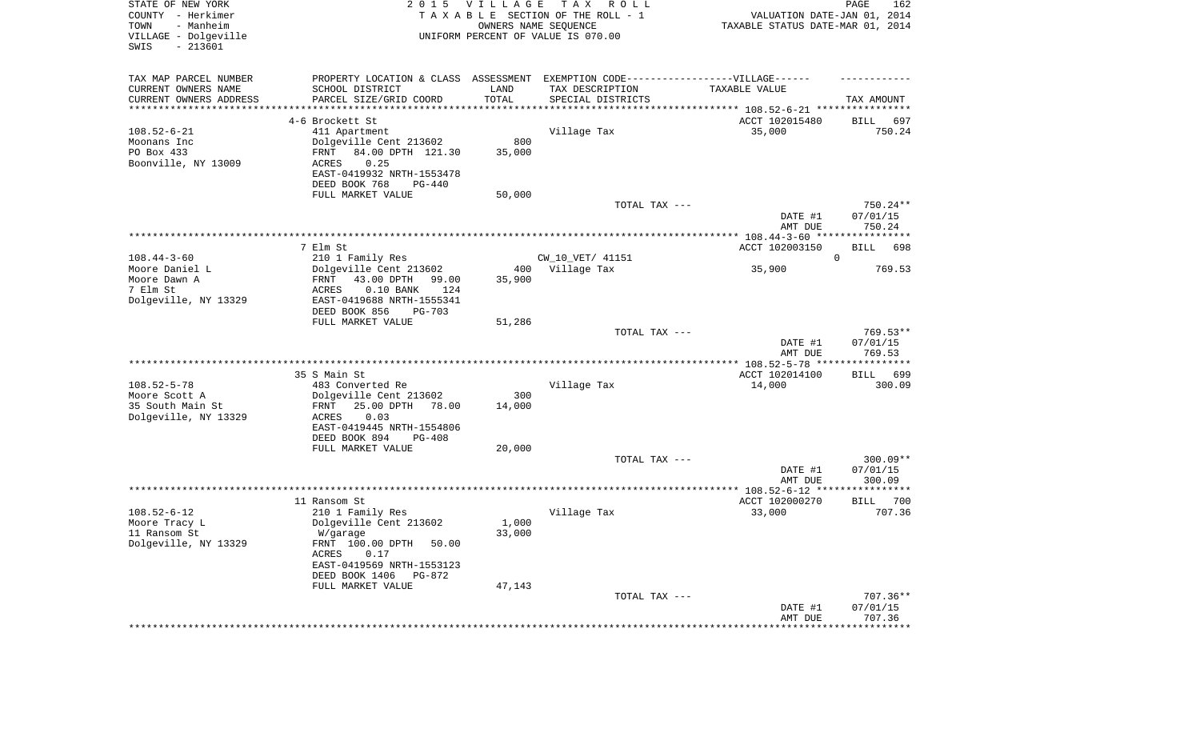| STATE OF NEW YORK<br>COUNTY - Herkimer<br>TOWN<br>- Manheim<br>VILLAGE - Dolgeville<br>SWIS<br>$-213601$ | 2 0 1 5                                                                          | <b>VILLAGE</b>           | T A X<br>R O L L<br>TAXABLE SECTION OF THE ROLL - 1<br>OWNERS NAME SEQUENCE<br>UNIFORM PERCENT OF VALUE IS 070.00 | VALUATION DATE-JAN 01, 2014<br>TAXABLE STATUS DATE-MAR 01, 2014 | PAGE<br>162              |
|----------------------------------------------------------------------------------------------------------|----------------------------------------------------------------------------------|--------------------------|-------------------------------------------------------------------------------------------------------------------|-----------------------------------------------------------------|--------------------------|
| TAX MAP PARCEL NUMBER                                                                                    | PROPERTY LOCATION & CLASS ASSESSMENT EXEMPTION CODE----------------VILLAGE------ |                          |                                                                                                                   |                                                                 |                          |
| CURRENT OWNERS NAME                                                                                      | SCHOOL DISTRICT                                                                  | LAND                     | TAX DESCRIPTION                                                                                                   | TAXABLE VALUE                                                   |                          |
| CURRENT OWNERS ADDRESS<br>*********************                                                          | PARCEL SIZE/GRID COORD                                                           | TOTAL<br>*************** | SPECIAL DISTRICTS                                                                                                 |                                                                 | TAX AMOUNT               |
|                                                                                                          | 4-6 Brockett St                                                                  |                          |                                                                                                                   | ACCT 102015480                                                  | 697<br>BILL              |
| $108.52 - 6 - 21$                                                                                        | 411 Apartment                                                                    |                          | Village Tax                                                                                                       | 35,000                                                          | 750.24                   |
| Moonans Inc                                                                                              | Dolgeville Cent 213602                                                           | 800                      |                                                                                                                   |                                                                 |                          |
| PO Box 433                                                                                               | 84.00 DPTH 121.30<br>FRNT                                                        | 35,000                   |                                                                                                                   |                                                                 |                          |
| Boonville, NY 13009                                                                                      | 0.25<br>ACRES<br>EAST-0419932 NRTH-1553478                                       |                          |                                                                                                                   |                                                                 |                          |
|                                                                                                          | DEED BOOK 768<br>PG-440                                                          |                          |                                                                                                                   |                                                                 |                          |
|                                                                                                          | FULL MARKET VALUE                                                                | 50,000                   |                                                                                                                   |                                                                 |                          |
|                                                                                                          |                                                                                  |                          | TOTAL TAX ---                                                                                                     |                                                                 | 750.24**                 |
|                                                                                                          |                                                                                  |                          |                                                                                                                   | DATE #1                                                         | 07/01/15                 |
|                                                                                                          |                                                                                  |                          |                                                                                                                   | AMT DUE                                                         | 750.24                   |
|                                                                                                          | 7 Elm St                                                                         |                          |                                                                                                                   | ACCT 102003150                                                  | BILL<br>698              |
| $108.44 - 3 - 60$                                                                                        | 210 1 Family Res                                                                 |                          | CW_10_VET/ 41151                                                                                                  |                                                                 | $\mathbf 0$              |
| Moore Daniel L                                                                                           | Dolgeville Cent 213602                                                           | 400                      | Village Tax                                                                                                       | 35,900                                                          | 769.53                   |
| Moore Dawn A<br>7 Elm St                                                                                 | 43.00 DPTH<br>FRNT<br>99.00<br>124                                               | 35,900                   |                                                                                                                   |                                                                 |                          |
| Dolgeville, NY 13329                                                                                     | $0.10$ BANK<br>ACRES<br>EAST-0419688 NRTH-1555341                                |                          |                                                                                                                   |                                                                 |                          |
|                                                                                                          | DEED BOOK 856<br><b>PG-703</b>                                                   |                          |                                                                                                                   |                                                                 |                          |
|                                                                                                          | FULL MARKET VALUE                                                                | 51,286                   |                                                                                                                   |                                                                 |                          |
|                                                                                                          |                                                                                  |                          | TOTAL TAX ---                                                                                                     |                                                                 | $769.53**$               |
|                                                                                                          |                                                                                  |                          |                                                                                                                   | DATE #1<br>AMT DUE                                              | 07/01/15<br>769.53       |
|                                                                                                          |                                                                                  |                          |                                                                                                                   |                                                                 |                          |
|                                                                                                          | 35 S Main St                                                                     |                          |                                                                                                                   | ACCT 102014100                                                  | <b>BILL</b><br>699       |
| $108.52 - 5 - 78$                                                                                        | 483 Converted Re                                                                 |                          | Village Tax                                                                                                       | 14,000                                                          | 300.09                   |
| Moore Scott A                                                                                            | Dolgeville Cent 213602<br>78.00                                                  | 300                      |                                                                                                                   |                                                                 |                          |
| 35 South Main St<br>Dolgeville, NY 13329                                                                 | 25.00 DPTH<br>FRNT<br>ACRES<br>0.03                                              | 14,000                   |                                                                                                                   |                                                                 |                          |
|                                                                                                          | EAST-0419445 NRTH-1554806                                                        |                          |                                                                                                                   |                                                                 |                          |
|                                                                                                          | DEED BOOK 894<br>$PG-408$                                                        |                          |                                                                                                                   |                                                                 |                          |
|                                                                                                          | FULL MARKET VALUE                                                                | 20,000                   |                                                                                                                   |                                                                 |                          |
|                                                                                                          |                                                                                  |                          | TOTAL TAX ---                                                                                                     | DATE #1                                                         | $300.09**$<br>07/01/15   |
|                                                                                                          |                                                                                  |                          |                                                                                                                   | AMT DUE                                                         | 300.09                   |
|                                                                                                          |                                                                                  |                          |                                                                                                                   |                                                                 |                          |
|                                                                                                          | 11 Ransom St                                                                     |                          |                                                                                                                   | ACCT 102000270                                                  | 700<br>BILL              |
| $108.52 - 6 - 12$<br>Moore Tracy L                                                                       | 210 1 Family Res<br>Dolgeville Cent 213602                                       | 1,000                    | Village Tax                                                                                                       | 33,000                                                          | 707.36                   |
| 11 Ransom St                                                                                             | W/garage                                                                         | 33,000                   |                                                                                                                   |                                                                 |                          |
| Dolgeville, NY 13329                                                                                     | FRNT 100.00 DPTH<br>50.00                                                        |                          |                                                                                                                   |                                                                 |                          |
|                                                                                                          | ACRES<br>0.17                                                                    |                          |                                                                                                                   |                                                                 |                          |
|                                                                                                          | EAST-0419569 NRTH-1553123                                                        |                          |                                                                                                                   |                                                                 |                          |
|                                                                                                          | DEED BOOK 1406 PG-872<br>FULL MARKET VALUE                                       | 47,143                   |                                                                                                                   |                                                                 |                          |
|                                                                                                          |                                                                                  |                          | TOTAL TAX ---                                                                                                     |                                                                 | $707.36**$               |
|                                                                                                          |                                                                                  |                          |                                                                                                                   | DATE #1                                                         | 07/01/15                 |
|                                                                                                          |                                                                                  |                          |                                                                                                                   | AMT DUE<br>*********************                                | 707.36<br>************** |
|                                                                                                          |                                                                                  |                          |                                                                                                                   |                                                                 |                          |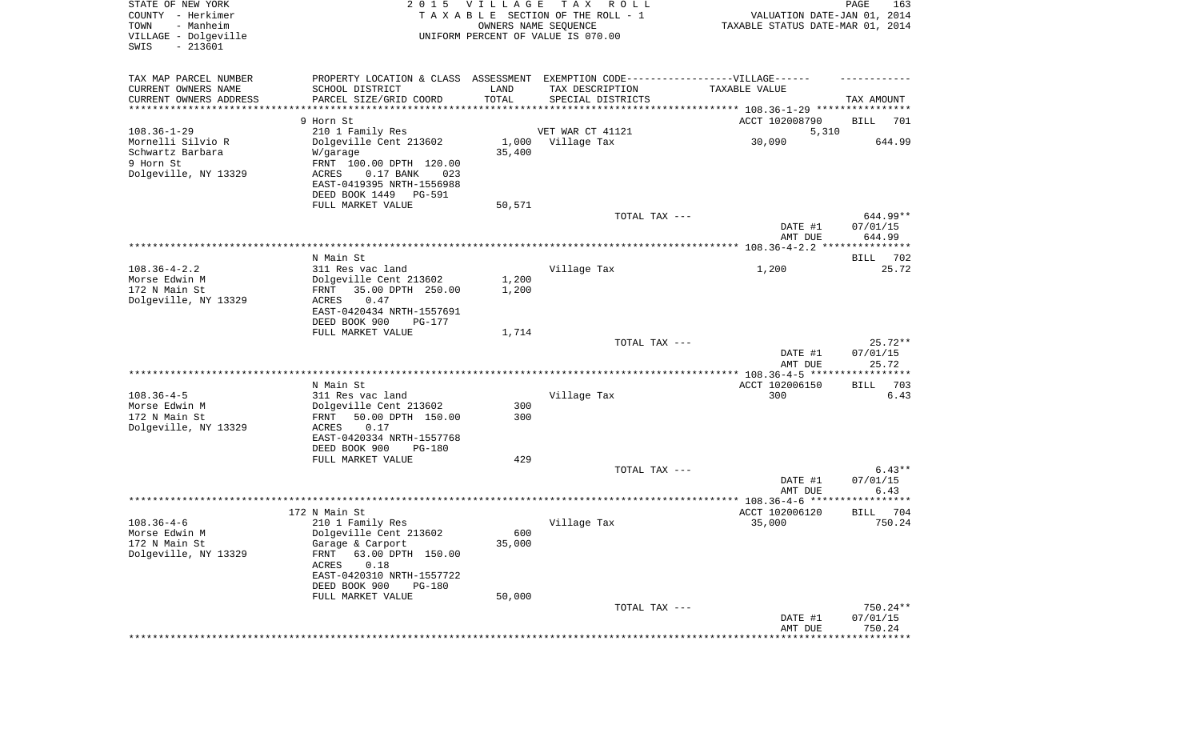| STATE OF NEW YORK<br>COUNTY - Herkimer<br>- Manheim<br>TOWN<br>VILLAGE - Dolgeville<br>$-213601$<br>SWIS | 2 0 1 5                                       | VILLAGE<br>OWNERS NAME SEQUENCE | T A X<br>R O L L<br>TAXABLE SECTION OF THE ROLL - 1<br>UNIFORM PERCENT OF VALUE IS 070.00 | VALUATION DATE-JAN 01, 2014<br>TAXABLE STATUS DATE-MAR 01, 2014   | $\mathop{\mathtt{PAGE}}$<br>163 |
|----------------------------------------------------------------------------------------------------------|-----------------------------------------------|---------------------------------|-------------------------------------------------------------------------------------------|-------------------------------------------------------------------|---------------------------------|
| TAX MAP PARCEL NUMBER                                                                                    | PROPERTY LOCATION & CLASS ASSESSMENT          |                                 | EXEMPTION CODE-----------------VILLAGE------                                              |                                                                   |                                 |
| CURRENT OWNERS NAME                                                                                      | SCHOOL DISTRICT                               | LAND                            | TAX DESCRIPTION                                                                           | TAXABLE VALUE                                                     |                                 |
| CURRENT OWNERS ADDRESS<br>*********************                                                          | PARCEL SIZE/GRID COORD                        | TOTAL                           | SPECIAL DISTRICTS                                                                         |                                                                   | TAX AMOUNT                      |
|                                                                                                          | 9 Horn St                                     |                                 |                                                                                           |                                                                   |                                 |
| $108.36 - 1 - 29$                                                                                        | 210 1 Family Res                              |                                 | VET WAR CT 41121                                                                          | ACCT 102008790<br>5,310                                           | BILL<br>701                     |
| Mornelli Silvio R                                                                                        | Dolgeville Cent 213602                        |                                 | 1,000 Village Tax                                                                         | 30,090                                                            | 644.99                          |
| Schwartz Barbara                                                                                         | W/garage                                      | 35,400                          |                                                                                           |                                                                   |                                 |
| 9 Horn St                                                                                                | FRNT 100.00 DPTH 120.00                       |                                 |                                                                                           |                                                                   |                                 |
| Dolgeville, NY 13329                                                                                     | $0.17$ BANK<br>ACRES<br>023                   |                                 |                                                                                           |                                                                   |                                 |
|                                                                                                          | EAST-0419395 NRTH-1556988                     |                                 |                                                                                           |                                                                   |                                 |
|                                                                                                          | DEED BOOK 1449<br>PG-591                      |                                 |                                                                                           |                                                                   |                                 |
|                                                                                                          | FULL MARKET VALUE                             | 50,571                          |                                                                                           |                                                                   | 644.99**                        |
|                                                                                                          |                                               |                                 | TOTAL TAX ---                                                                             | DATE #1                                                           | 07/01/15                        |
|                                                                                                          |                                               |                                 |                                                                                           | AMT DUE                                                           | 644.99                          |
|                                                                                                          |                                               |                                 |                                                                                           |                                                                   |                                 |
|                                                                                                          | N Main St                                     |                                 |                                                                                           |                                                                   | BILL<br>702                     |
| $108.36 - 4 - 2.2$                                                                                       | 311 Res vac land                              |                                 | Village Tax                                                                               | 1,200                                                             | 25.72                           |
| Morse Edwin M                                                                                            | Dolgeville Cent 213602                        | 1,200                           |                                                                                           |                                                                   |                                 |
| 172 N Main St                                                                                            | 35.00 DPTH 250.00<br>FRNT                     | 1,200                           |                                                                                           |                                                                   |                                 |
| Dolgeville, NY 13329                                                                                     | ACRES<br>0.47<br>EAST-0420434 NRTH-1557691    |                                 |                                                                                           |                                                                   |                                 |
|                                                                                                          | DEED BOOK 900<br><b>PG-177</b>                |                                 |                                                                                           |                                                                   |                                 |
|                                                                                                          | FULL MARKET VALUE                             | 1,714                           |                                                                                           |                                                                   |                                 |
|                                                                                                          |                                               |                                 | TOTAL TAX ---                                                                             |                                                                   | $25.72**$                       |
|                                                                                                          |                                               |                                 |                                                                                           | DATE #1                                                           | 07/01/15                        |
|                                                                                                          |                                               |                                 |                                                                                           | AMT DUE                                                           | 25.72                           |
|                                                                                                          | N Main St                                     |                                 |                                                                                           | ***************** 108.36-4-5 ******************<br>ACCT 102006150 | 703<br>BILL                     |
| $108.36 - 4 - 5$                                                                                         | 311 Res vac land                              |                                 | Village Tax                                                                               | 300                                                               | 6.43                            |
| Morse Edwin M                                                                                            | Dolgeville Cent 213602                        | 300                             |                                                                                           |                                                                   |                                 |
| 172 N Main St                                                                                            | 50.00 DPTH 150.00<br>FRNT                     | 300                             |                                                                                           |                                                                   |                                 |
| Dolgeville, NY 13329                                                                                     | ACRES<br>0.17                                 |                                 |                                                                                           |                                                                   |                                 |
|                                                                                                          | EAST-0420334 NRTH-1557768                     |                                 |                                                                                           |                                                                   |                                 |
|                                                                                                          | DEED BOOK 900<br>PG-180                       |                                 |                                                                                           |                                                                   |                                 |
|                                                                                                          | FULL MARKET VALUE                             | 429                             | TOTAL TAX ---                                                                             |                                                                   | $6.43**$                        |
|                                                                                                          |                                               |                                 |                                                                                           | DATE #1                                                           | 07/01/15                        |
|                                                                                                          |                                               |                                 |                                                                                           | AMT DUE                                                           | 6.43                            |
|                                                                                                          |                                               |                                 |                                                                                           |                                                                   |                                 |
|                                                                                                          | 172 N Main St                                 |                                 |                                                                                           | ACCT 102006120                                                    | 704<br><b>BILL</b>              |
| $108.36 - 4 - 6$                                                                                         | 210 1 Family Res                              |                                 | Village Tax                                                                               | 35,000                                                            | 750.24                          |
| Morse Edwin M                                                                                            | Dolgeville Cent 213602                        | 600                             |                                                                                           |                                                                   |                                 |
| 172 N Main St<br>Dolgeville, NY 13329                                                                    | Garage & Carport<br>FRNT<br>63.00 DPTH 150.00 | 35,000                          |                                                                                           |                                                                   |                                 |
|                                                                                                          | 0.18<br>ACRES                                 |                                 |                                                                                           |                                                                   |                                 |
|                                                                                                          | EAST-0420310 NRTH-1557722                     |                                 |                                                                                           |                                                                   |                                 |
|                                                                                                          | DEED BOOK 900<br><b>PG-180</b>                |                                 |                                                                                           |                                                                   |                                 |
|                                                                                                          | FULL MARKET VALUE                             | 50,000                          |                                                                                           |                                                                   |                                 |
|                                                                                                          |                                               |                                 | TOTAL TAX ---                                                                             |                                                                   | $750.24**$                      |
|                                                                                                          |                                               |                                 |                                                                                           | DATE #1                                                           | 07/01/15                        |
|                                                                                                          |                                               |                                 |                                                                                           | AMT DUE                                                           | 750.24<br>* * * * * * * *       |
|                                                                                                          |                                               |                                 |                                                                                           |                                                                   |                                 |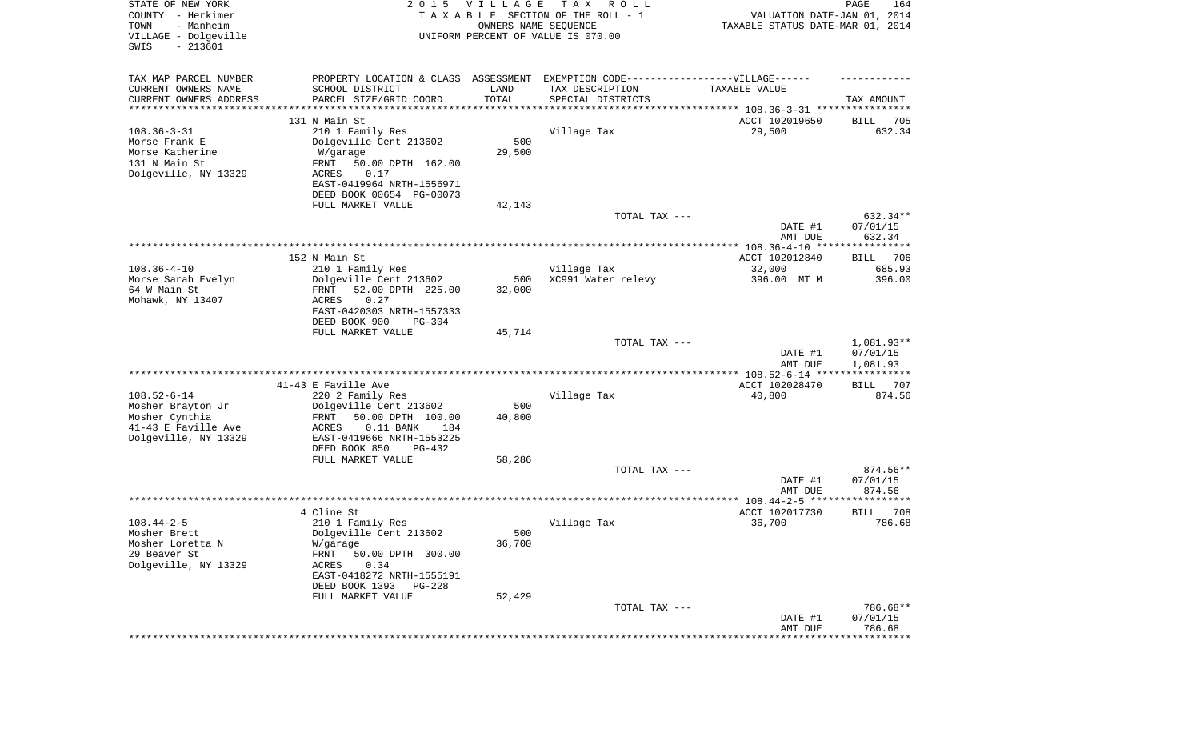| STATE OF NEW YORK<br>COUNTY - Herkimer<br>- Manheim<br>TOWN<br>VILLAGE - Dolgeville<br>$-213601$<br>SWIS | 2 0 1 5                                                                           | VILLAGE<br>OWNERS NAME SEQUENCE | T A X<br>R O L L<br>TAXABLE SECTION OF THE ROLL - 1<br>UNIFORM PERCENT OF VALUE IS 070.00 | VALUATION DATE-JAN 01, 2014<br>TAXABLE STATUS DATE-MAR 01, 2014 | PAGE<br>164            |
|----------------------------------------------------------------------------------------------------------|-----------------------------------------------------------------------------------|---------------------------------|-------------------------------------------------------------------------------------------|-----------------------------------------------------------------|------------------------|
| TAX MAP PARCEL NUMBER                                                                                    | PROPERTY LOCATION & CLASS ASSESSMENT EXEMPTION CODE-----------------VILLAGE------ |                                 |                                                                                           |                                                                 |                        |
| CURRENT OWNERS NAME                                                                                      | SCHOOL DISTRICT                                                                   | LAND                            | TAX DESCRIPTION                                                                           | TAXABLE VALUE                                                   |                        |
| CURRENT OWNERS ADDRESS                                                                                   | PARCEL SIZE/GRID COORD                                                            | TOTAL                           | SPECIAL DISTRICTS                                                                         |                                                                 | TAX AMOUNT             |
| ********************                                                                                     |                                                                                   | * * * * * * * * * * *           |                                                                                           | ********************************* 108.36-3-31 ****************  |                        |
| $108.36 - 3 - 31$                                                                                        | 131 N Main St<br>210 1 Family Res                                                 |                                 | Village Tax                                                                               | ACCT 102019650<br>29,500                                        | 705<br>BILL<br>632.34  |
| Morse Frank E                                                                                            | Dolgeville Cent 213602                                                            | 500                             |                                                                                           |                                                                 |                        |
| Morse Katherine                                                                                          | W/garage                                                                          | 29,500                          |                                                                                           |                                                                 |                        |
| 131 N Main St                                                                                            | FRNT<br>50.00 DPTH 162.00                                                         |                                 |                                                                                           |                                                                 |                        |
| Dolgeville, NY 13329                                                                                     | 0.17<br>ACRES                                                                     |                                 |                                                                                           |                                                                 |                        |
|                                                                                                          | EAST-0419964 NRTH-1556971                                                         |                                 |                                                                                           |                                                                 |                        |
|                                                                                                          | DEED BOOK 00654 PG-00073                                                          |                                 |                                                                                           |                                                                 |                        |
|                                                                                                          | FULL MARKET VALUE                                                                 | 42,143                          | TOTAL TAX ---                                                                             |                                                                 | 632.34**               |
|                                                                                                          |                                                                                   |                                 |                                                                                           | DATE #1                                                         | 07/01/15               |
|                                                                                                          |                                                                                   |                                 |                                                                                           | AMT DUE                                                         | 632.34                 |
|                                                                                                          |                                                                                   |                                 |                                                                                           |                                                                 |                        |
|                                                                                                          | 152 N Main St                                                                     |                                 |                                                                                           | ACCT 102012840                                                  | 706<br>BILL            |
| $108.36 - 4 - 10$                                                                                        | 210 1 Family Res                                                                  |                                 | Village Tax                                                                               | 32,000                                                          | 685.93                 |
| Morse Sarah Evelyn<br>64 W Main St                                                                       | Dolgeville Cent 213602<br>52.00 DPTH 225.00<br>FRNT                               | 500<br>32,000                   | XC991 Water relevy                                                                        | 396.00 MT M                                                     | 396.00                 |
| Mohawk, NY 13407                                                                                         | ACRES<br>0.27                                                                     |                                 |                                                                                           |                                                                 |                        |
|                                                                                                          | EAST-0420303 NRTH-1557333                                                         |                                 |                                                                                           |                                                                 |                        |
|                                                                                                          | DEED BOOK 900<br>$PG-304$                                                         |                                 |                                                                                           |                                                                 |                        |
|                                                                                                          | FULL MARKET VALUE                                                                 | 45,714                          |                                                                                           |                                                                 |                        |
|                                                                                                          |                                                                                   |                                 | TOTAL TAX ---                                                                             |                                                                 | 1,081.93**             |
|                                                                                                          |                                                                                   |                                 |                                                                                           | DATE #1<br>AMT DUE                                              | 07/01/15<br>1,081.93   |
|                                                                                                          |                                                                                   |                                 |                                                                                           | ************** 108.52-6-14 ****                                 | ************           |
|                                                                                                          | 41-43 E Faville Ave                                                               |                                 |                                                                                           | ACCT 102028470                                                  | 707<br>BILL            |
| $108.52 - 6 - 14$                                                                                        | 220 2 Family Res                                                                  |                                 | Village Tax                                                                               | 40,800                                                          | 874.56                 |
| Mosher Brayton Jr                                                                                        | Dolgeville Cent 213602                                                            | 500                             |                                                                                           |                                                                 |                        |
| Mosher Cynthia                                                                                           | FRNT<br>50.00 DPTH 100.00                                                         | 40,800                          |                                                                                           |                                                                 |                        |
| 41-43 E Faville Ave<br>Dolgeville, NY 13329                                                              | ACRES<br>$0.11$ BANK<br>184<br>EAST-0419666 NRTH-1553225                          |                                 |                                                                                           |                                                                 |                        |
|                                                                                                          | DEED BOOK 850<br>PG-432                                                           |                                 |                                                                                           |                                                                 |                        |
|                                                                                                          | FULL MARKET VALUE                                                                 | 58,286                          |                                                                                           |                                                                 |                        |
|                                                                                                          |                                                                                   |                                 | TOTAL TAX ---                                                                             |                                                                 | 874.56**               |
|                                                                                                          |                                                                                   |                                 |                                                                                           | DATE #1                                                         | 07/01/15               |
|                                                                                                          |                                                                                   |                                 |                                                                                           | AMT DUE                                                         | 874.56<br>************ |
|                                                                                                          | 4 Cline St                                                                        |                                 |                                                                                           | ACCT 102017730                                                  | 708<br><b>BILL</b>     |
| $108.44 - 2 - 5$                                                                                         | 210 1 Family Res                                                                  |                                 | Village Tax                                                                               | 36,700                                                          | 786.68                 |
| Mosher Brett                                                                                             | Dolgeville Cent 213602                                                            | 500                             |                                                                                           |                                                                 |                        |
| Mosher Loretta N                                                                                         | W/garage                                                                          | 36,700                          |                                                                                           |                                                                 |                        |
| 29 Beaver St                                                                                             | FRNT<br>50.00 DPTH 300.00                                                         |                                 |                                                                                           |                                                                 |                        |
| Dolgeville, NY 13329                                                                                     | 0.34<br>ACRES                                                                     |                                 |                                                                                           |                                                                 |                        |
|                                                                                                          | EAST-0418272 NRTH-1555191<br>DEED BOOK 1393 PG-228                                |                                 |                                                                                           |                                                                 |                        |
|                                                                                                          | FULL MARKET VALUE                                                                 | 52,429                          |                                                                                           |                                                                 |                        |
|                                                                                                          |                                                                                   |                                 | TOTAL TAX ---                                                                             |                                                                 | 786.68**               |
|                                                                                                          |                                                                                   |                                 |                                                                                           | DATE #1                                                         | 07/01/15               |
|                                                                                                          |                                                                                   |                                 |                                                                                           | AMT DUE                                                         | 786.68                 |
|                                                                                                          |                                                                                   |                                 |                                                                                           |                                                                 | ************           |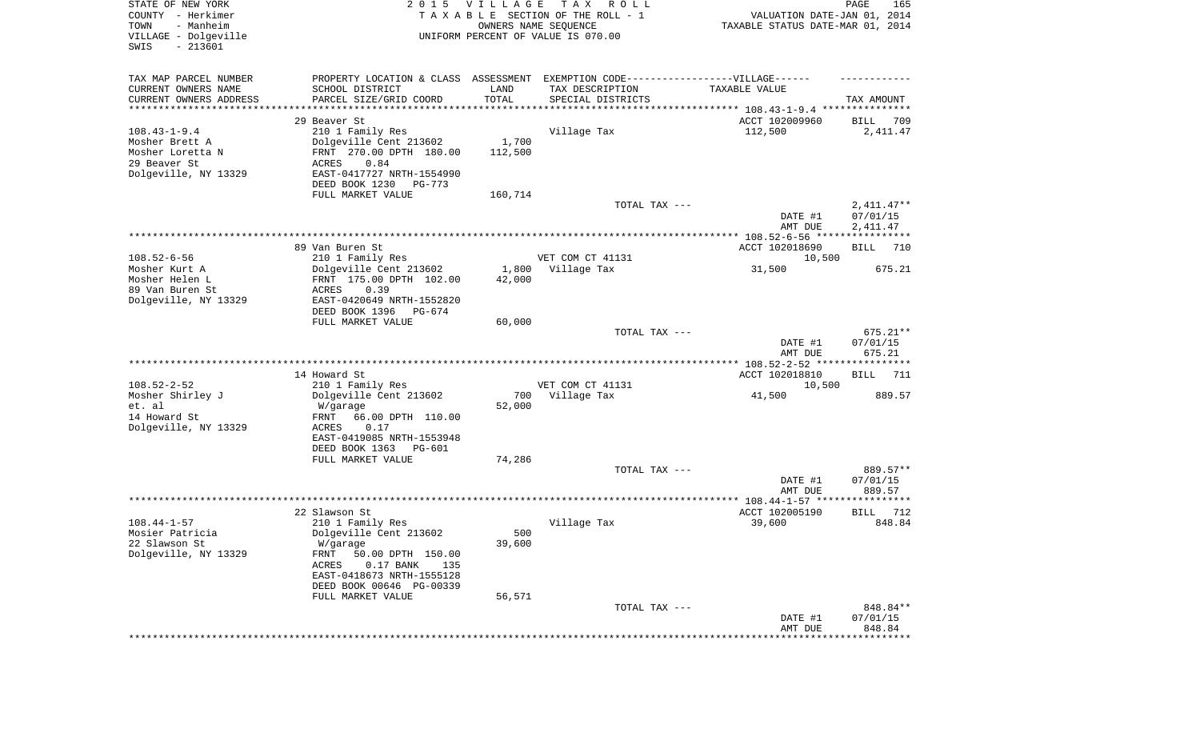| STATE OF NEW YORK<br>COUNTY - Herkimer<br>TOWN<br>- Manheim<br>VILLAGE - Dolgeville<br>SWIS<br>$-213601$ |                                                                                  | 2015 VILLAGE         | T A X<br>R O L L<br>TAXABLE SECTION OF THE ROLL - 1<br>OWNERS NAME SEQUENCE<br>UNIFORM PERCENT OF VALUE IS 070.00 | VALUATION DATE-JAN 01, 2014<br>TAXABLE STATUS DATE-MAR 01, 2014 | PAGE<br>165          |
|----------------------------------------------------------------------------------------------------------|----------------------------------------------------------------------------------|----------------------|-------------------------------------------------------------------------------------------------------------------|-----------------------------------------------------------------|----------------------|
| TAX MAP PARCEL NUMBER                                                                                    | PROPERTY LOCATION & CLASS ASSESSMENT EXEMPTION CODE----------------VILLAGE------ |                      |                                                                                                                   |                                                                 |                      |
| CURRENT OWNERS NAME                                                                                      | SCHOOL DISTRICT                                                                  | LAND                 | TAX DESCRIPTION                                                                                                   | TAXABLE VALUE                                                   |                      |
| CURRENT OWNERS ADDRESS<br>*********************                                                          | PARCEL SIZE/GRID COORD                                                           | TOTAL<br>*********** | SPECIAL DISTRICTS                                                                                                 | ********************************* 108.43-1-9.4 ***************  | TAX AMOUNT           |
|                                                                                                          | 29 Beaver St                                                                     |                      |                                                                                                                   | ACCT 102009960                                                  | BILL<br>709          |
| $108.43 - 1 - 9.4$                                                                                       | 210 1 Family Res                                                                 |                      | Village Tax                                                                                                       | 112,500                                                         | 2,411.47             |
| Mosher Brett A                                                                                           | Dolgeville Cent 213602                                                           | 1,700                |                                                                                                                   |                                                                 |                      |
| Mosher Loretta N                                                                                         | FRNT 270.00 DPTH 180.00                                                          | 112,500              |                                                                                                                   |                                                                 |                      |
| 29 Beaver St                                                                                             | ACRES<br>0.84                                                                    |                      |                                                                                                                   |                                                                 |                      |
| Dolgeville, NY 13329                                                                                     | EAST-0417727 NRTH-1554990                                                        |                      |                                                                                                                   |                                                                 |                      |
|                                                                                                          | DEED BOOK 1230<br>PG-773                                                         |                      |                                                                                                                   |                                                                 |                      |
|                                                                                                          | FULL MARKET VALUE                                                                | 160,714              | TOTAL TAX ---                                                                                                     |                                                                 | $2,411.47**$         |
|                                                                                                          |                                                                                  |                      |                                                                                                                   | DATE #1<br>AMT DUE                                              | 07/01/15<br>2,411.47 |
|                                                                                                          |                                                                                  |                      |                                                                                                                   |                                                                 |                      |
|                                                                                                          | 89 Van Buren St                                                                  |                      |                                                                                                                   | ACCT 102018690                                                  | <b>BILL</b><br>710   |
| $108.52 - 6 - 56$                                                                                        | 210 1 Family Res                                                                 |                      | VET COM CT 41131                                                                                                  | 10,500                                                          |                      |
| Mosher Kurt A                                                                                            | Dolgeville Cent 213602                                                           | 1,800                | Village Tax                                                                                                       | 31,500                                                          | 675.21               |
| Mosher Helen L                                                                                           | FRNT 175.00 DPTH 102.00                                                          | 42,000               |                                                                                                                   |                                                                 |                      |
| 89 Van Buren St<br>Dolgeville, NY 13329                                                                  | 0.39<br>ACRES<br>EAST-0420649 NRTH-1552820                                       |                      |                                                                                                                   |                                                                 |                      |
|                                                                                                          | DEED BOOK 1396<br>PG-674                                                         |                      |                                                                                                                   |                                                                 |                      |
|                                                                                                          | FULL MARKET VALUE                                                                | 60,000               |                                                                                                                   |                                                                 |                      |
|                                                                                                          |                                                                                  |                      | TOTAL TAX ---                                                                                                     |                                                                 | 675.21**             |
|                                                                                                          |                                                                                  |                      |                                                                                                                   | DATE #1<br>AMT DUE                                              | 07/01/15<br>675.21   |
|                                                                                                          |                                                                                  |                      |                                                                                                                   |                                                                 |                      |
| $108.52 - 2 - 52$                                                                                        | 14 Howard St                                                                     |                      | VET COM CT 41131                                                                                                  | ACCT 102018810                                                  | <b>BILL</b><br>711   |
| Mosher Shirley J                                                                                         | 210 1 Family Res<br>Dolgeville Cent 213602                                       | 700                  | Village Tax                                                                                                       | 10,500<br>41,500                                                | 889.57               |
| et. al                                                                                                   | W/garage                                                                         | 52,000               |                                                                                                                   |                                                                 |                      |
| 14 Howard St                                                                                             | FRNT<br>66.00 DPTH 110.00                                                        |                      |                                                                                                                   |                                                                 |                      |
| Dolgeville, NY 13329                                                                                     | ACRES<br>0.17                                                                    |                      |                                                                                                                   |                                                                 |                      |
|                                                                                                          | EAST-0419085 NRTH-1553948                                                        |                      |                                                                                                                   |                                                                 |                      |
|                                                                                                          | DEED BOOK 1363<br>PG-601                                                         |                      |                                                                                                                   |                                                                 |                      |
|                                                                                                          | FULL MARKET VALUE                                                                | 74,286               |                                                                                                                   |                                                                 |                      |
|                                                                                                          |                                                                                  |                      | TOTAL TAX ---                                                                                                     | DATE #1                                                         | 889.57**<br>07/01/15 |
|                                                                                                          |                                                                                  |                      |                                                                                                                   | AMT DUE                                                         | 889.57               |
|                                                                                                          |                                                                                  |                      |                                                                                                                   |                                                                 |                      |
|                                                                                                          | 22 Slawson St                                                                    |                      |                                                                                                                   | ACCT 102005190                                                  | 712<br>BILL          |
| $108.44 - 1 - 57$                                                                                        | 210 1 Family Res                                                                 |                      | Village Tax                                                                                                       | 39,600                                                          | 848.84               |
| Mosier Patricia                                                                                          | Dolgeville Cent 213602                                                           | 500                  |                                                                                                                   |                                                                 |                      |
| 22 Slawson St                                                                                            | W/garage                                                                         | 39,600               |                                                                                                                   |                                                                 |                      |
| Dolgeville, NY 13329                                                                                     | <b>FRNT</b><br>50.00 DPTH 150.00<br>ACRES<br>135                                 |                      |                                                                                                                   |                                                                 |                      |
|                                                                                                          | $0.17$ BANK<br>EAST-0418673 NRTH-1555128                                         |                      |                                                                                                                   |                                                                 |                      |
|                                                                                                          | DEED BOOK 00646 PG-00339                                                         |                      |                                                                                                                   |                                                                 |                      |
|                                                                                                          | FULL MARKET VALUE                                                                | 56,571               |                                                                                                                   |                                                                 |                      |
|                                                                                                          |                                                                                  |                      | TOTAL TAX ---                                                                                                     |                                                                 | 848.84**             |
|                                                                                                          |                                                                                  |                      |                                                                                                                   | DATE #1                                                         | 07/01/15             |
|                                                                                                          |                                                                                  |                      |                                                                                                                   | AMT DUE                                                         | 848.84               |
|                                                                                                          |                                                                                  |                      |                                                                                                                   |                                                                 |                      |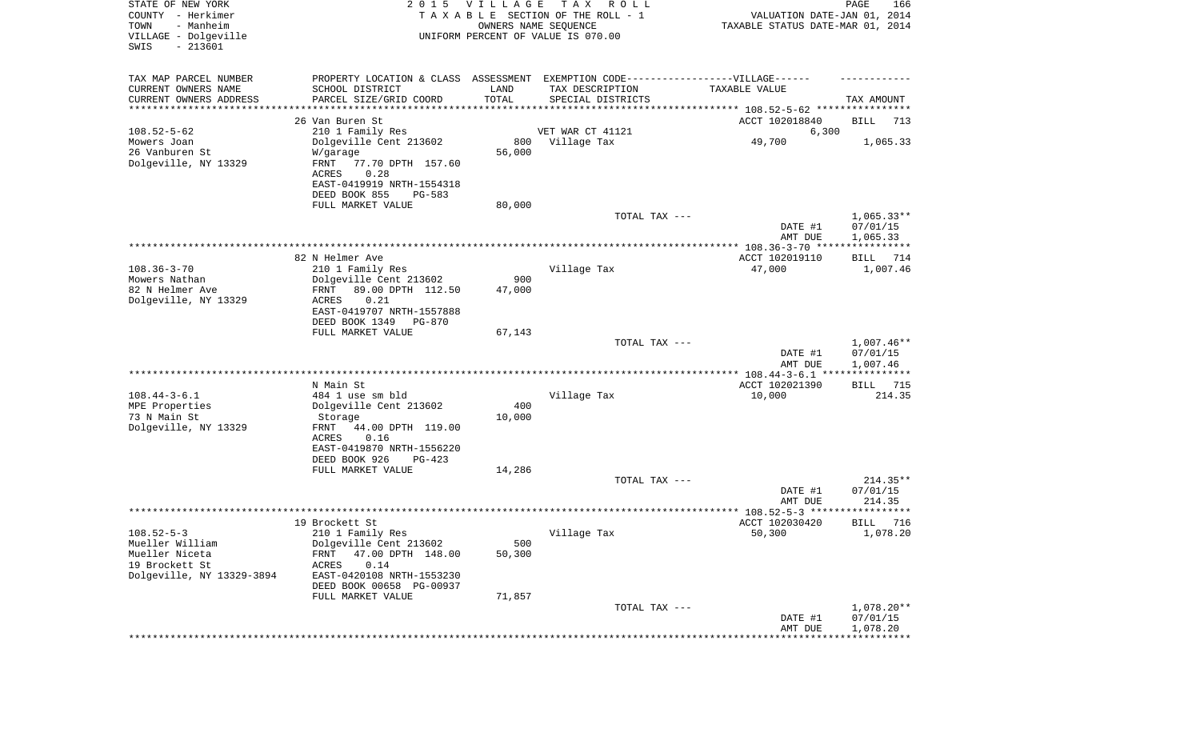| STATE OF NEW YORK<br>COUNTY - Herkimer<br>TOWN<br>- Manheim<br>VILLAGE - Dolgeville<br>SWIS<br>$-213601$ | 2 0 1 5                                               | VILLAGE<br>OWNERS NAME SEQUENCE | T A X<br>R O L L<br>TAXABLE SECTION OF THE ROLL - 1<br>UNIFORM PERCENT OF VALUE IS 070.00 | VALUATION DATE-JAN 01, 2014<br>TAXABLE STATUS DATE-MAR 01, 2014  | PAGE<br>166             |
|----------------------------------------------------------------------------------------------------------|-------------------------------------------------------|---------------------------------|-------------------------------------------------------------------------------------------|------------------------------------------------------------------|-------------------------|
| TAX MAP PARCEL NUMBER                                                                                    | PROPERTY LOCATION & CLASS ASSESSMENT                  |                                 | EXEMPTION CODE------------------VILLAGE------                                             |                                                                  |                         |
| CURRENT OWNERS NAME                                                                                      | SCHOOL DISTRICT                                       | LAND                            | TAX DESCRIPTION                                                                           | TAXABLE VALUE                                                    |                         |
| CURRENT OWNERS ADDRESS<br>********************                                                           | PARCEL SIZE/GRID COORD                                | TOTAL                           | SPECIAL DISTRICTS                                                                         | **************************** 108.52-5-62 *****************       | TAX AMOUNT              |
|                                                                                                          | 26 Van Buren St                                       |                                 |                                                                                           | ACCT 102018840                                                   | BILL<br>713             |
| $108.52 - 5 - 62$                                                                                        | 210 1 Family Res                                      |                                 | VET WAR CT 41121                                                                          | 6,300                                                            |                         |
| Mowers Joan                                                                                              | Dolgeville Cent 213602                                | 800                             | Village Tax                                                                               | 49,700                                                           | 1,065.33                |
| 26 Vanburen St                                                                                           | W/garage                                              | 56,000                          |                                                                                           |                                                                  |                         |
| Dolgeville, NY 13329                                                                                     | FRNT<br>77.70 DPTH 157.60                             |                                 |                                                                                           |                                                                  |                         |
|                                                                                                          | 0.28<br>ACRES                                         |                                 |                                                                                           |                                                                  |                         |
|                                                                                                          | EAST-0419919 NRTH-1554318<br>DEED BOOK 855<br>PG-583  |                                 |                                                                                           |                                                                  |                         |
|                                                                                                          | FULL MARKET VALUE                                     | 80,000                          |                                                                                           |                                                                  |                         |
|                                                                                                          |                                                       |                                 | TOTAL TAX ---                                                                             |                                                                  | $1,065.33**$            |
|                                                                                                          |                                                       |                                 |                                                                                           | DATE #1                                                          | 07/01/15                |
|                                                                                                          |                                                       |                                 |                                                                                           | AMT DUE                                                          | 1,065.33                |
|                                                                                                          | 82 N Helmer Ave                                       |                                 |                                                                                           | ***************** 108.36-3-70 ****************<br>ACCT 102019110 | BILL<br>714             |
| $108.36 - 3 - 70$                                                                                        | 210 1 Family Res                                      |                                 | Village Tax                                                                               | 47,000                                                           | 1,007.46                |
| Mowers Nathan                                                                                            | Dolgeville Cent 213602                                | 900                             |                                                                                           |                                                                  |                         |
| 82 N Helmer Ave                                                                                          | FRNT<br>89.00 DPTH 112.50                             | 47,000                          |                                                                                           |                                                                  |                         |
| Dolgeville, NY 13329                                                                                     | ACRES<br>0.21                                         |                                 |                                                                                           |                                                                  |                         |
|                                                                                                          | EAST-0419707 NRTH-1557888<br>DEED BOOK 1349<br>PG-870 |                                 |                                                                                           |                                                                  |                         |
|                                                                                                          | FULL MARKET VALUE                                     | 67,143                          |                                                                                           |                                                                  |                         |
|                                                                                                          |                                                       |                                 | TOTAL TAX ---                                                                             |                                                                  | $1,007.46**$            |
|                                                                                                          |                                                       |                                 |                                                                                           | DATE #1                                                          | 07/01/15                |
|                                                                                                          |                                                       |                                 |                                                                                           | AMT DUE                                                          | 1,007.46                |
|                                                                                                          | N Main St                                             |                                 | *******************************                                                           | ************ 108.44-3-6.1 ****************<br>ACCT 102021390     |                         |
| $108.44 - 3 - 6.1$                                                                                       | 484 1 use sm bld                                      |                                 | Village Tax                                                                               | 10,000                                                           | BILL<br>715<br>214.35   |
| MPE Properties                                                                                           | Dolgeville Cent 213602                                | 400                             |                                                                                           |                                                                  |                         |
| 73 N Main St                                                                                             | Storage                                               | 10,000                          |                                                                                           |                                                                  |                         |
| Dolgeville, NY 13329                                                                                     | FRNT<br>44.00 DPTH 119.00                             |                                 |                                                                                           |                                                                  |                         |
|                                                                                                          | ACRES<br>0.16                                         |                                 |                                                                                           |                                                                  |                         |
|                                                                                                          | EAST-0419870 NRTH-1556220<br>DEED BOOK 926<br>PG-423  |                                 |                                                                                           |                                                                  |                         |
|                                                                                                          | FULL MARKET VALUE                                     | 14,286                          |                                                                                           |                                                                  |                         |
|                                                                                                          |                                                       |                                 | TOTAL TAX ---                                                                             |                                                                  | $214.35**$              |
|                                                                                                          |                                                       |                                 |                                                                                           | DATE #1                                                          | 07/01/15                |
|                                                                                                          |                                                       |                                 |                                                                                           | AMT DUE                                                          | 214.35                  |
|                                                                                                          |                                                       |                                 |                                                                                           | ***************** 108.52-5-3 **********                          | ******                  |
| $108.52 - 5 - 3$                                                                                         | 19 Brockett St<br>210 1 Family Res                    |                                 | Village Tax                                                                               | ACCT 102030420<br>50,300                                         | 716<br>BILL<br>1,078.20 |
| Mueller William                                                                                          | Dolgeville Cent 213602                                | 500                             |                                                                                           |                                                                  |                         |
| Mueller Niceta                                                                                           | 47.00 DPTH 148.00<br>FRNT                             | 50,300                          |                                                                                           |                                                                  |                         |
| 19 Brockett St                                                                                           | 0.14<br>ACRES                                         |                                 |                                                                                           |                                                                  |                         |
| Dolgeville, NY 13329-3894                                                                                | EAST-0420108 NRTH-1553230                             |                                 |                                                                                           |                                                                  |                         |
|                                                                                                          | DEED BOOK 00658 PG-00937<br>FULL MARKET VALUE         | 71,857                          |                                                                                           |                                                                  |                         |
|                                                                                                          |                                                       |                                 | TOTAL TAX ---                                                                             |                                                                  | $1,078.20**$            |
|                                                                                                          |                                                       |                                 |                                                                                           | DATE #1                                                          | 07/01/15                |
|                                                                                                          |                                                       |                                 |                                                                                           | AMT DUE                                                          | 1,078.20                |
|                                                                                                          |                                                       |                                 |                                                                                           |                                                                  |                         |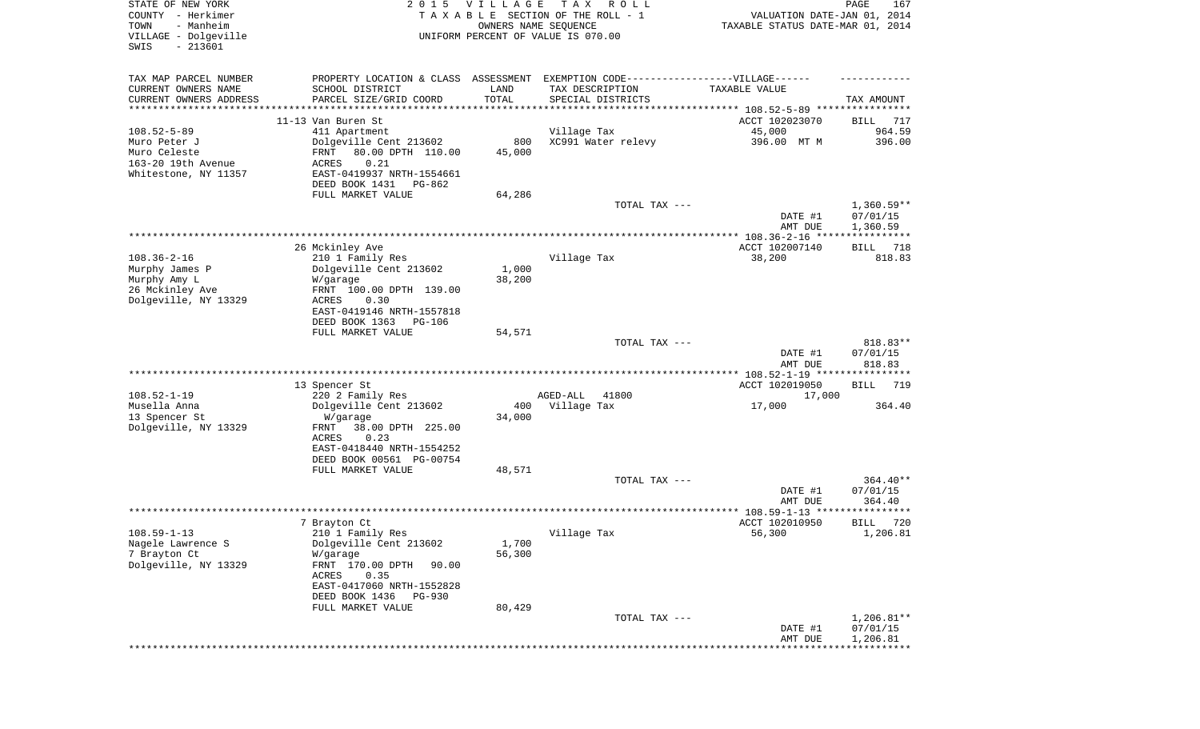| STATE OF NEW YORK<br>COUNTY - Herkimer<br>TOWN<br>- Manheim<br>VILLAGE - Dolgeville<br>SWIS<br>$-213601$ | 2 0 1 5                                                                                                                                                                                                   | <b>VILLAGE</b>            | T A X<br>R O L L<br>TAXABLE SECTION OF THE ROLL - 1<br>OWNERS NAME SEQUENCE<br>UNIFORM PERCENT OF VALUE IS 070.00                                                                            | VALUATION DATE-JAN 01, 2014<br>TAXABLE STATUS DATE-MAR 01, 2014 | PAGE<br>167                          |
|----------------------------------------------------------------------------------------------------------|-----------------------------------------------------------------------------------------------------------------------------------------------------------------------------------------------------------|---------------------------|----------------------------------------------------------------------------------------------------------------------------------------------------------------------------------------------|-----------------------------------------------------------------|--------------------------------------|
| TAX MAP PARCEL NUMBER<br>CURRENT OWNERS NAME<br>CURRENT OWNERS ADDRESS<br>********************           | SCHOOL DISTRICT<br>PARCEL SIZE/GRID COORD                                                                                                                                                                 | LAND<br>TOTAL             | PROPERTY LOCATION & CLASS ASSESSMENT EXEMPTION CODE----------------VILLAGE------<br>TAX DESCRIPTION<br>SPECIAL DISTRICTS<br>*********************************** 108.52-5-89 **************** | TAXABLE VALUE                                                   | TAX AMOUNT                           |
| $108.52 - 5 - 89$                                                                                        | 11-13 Van Buren St                                                                                                                                                                                        |                           |                                                                                                                                                                                              | ACCT 102023070<br>45,000                                        | 717<br>BILL<br>964.59                |
| Muro Peter J<br>Muro Celeste<br>163-20 19th Avenue<br>Whitestone, NY 11357                               | 411 Apartment<br>Dolgeville Cent 213602<br>80.00 DPTH 110.00<br>FRNT<br>0.21<br>ACRES<br>EAST-0419937 NRTH-1554661<br>DEED BOOK 1431<br>PG-862                                                            | 800<br>45,000             | Village Tax<br>XC991 Water relevy                                                                                                                                                            | 396.00 MT M                                                     | 396.00                               |
|                                                                                                          | FULL MARKET VALUE                                                                                                                                                                                         | 64,286                    |                                                                                                                                                                                              |                                                                 |                                      |
|                                                                                                          |                                                                                                                                                                                                           |                           | TOTAL TAX ---                                                                                                                                                                                | DATE #1<br>AMT DUE                                              | $1,360.59**$<br>07/01/15<br>1,360.59 |
|                                                                                                          |                                                                                                                                                                                                           |                           |                                                                                                                                                                                              |                                                                 |                                      |
| $108.36 - 2 - 16$<br>Murphy James P<br>Murphy Amy L<br>26 Mckinley Ave<br>Dolgeville, NY 13329           | 26 Mckinley Ave<br>210 1 Family Res<br>Dolgeville Cent 213602<br>W/garage<br>FRNT 100.00 DPTH 139.00<br>ACRES<br>0.30<br>EAST-0419146 NRTH-1557818                                                        | 1,000<br>38,200           | Village Tax                                                                                                                                                                                  | ACCT 102007140<br>38,200                                        | 718<br>BILL<br>818.83                |
|                                                                                                          | DEED BOOK 1363<br>PG-106                                                                                                                                                                                  |                           |                                                                                                                                                                                              |                                                                 |                                      |
|                                                                                                          | FULL MARKET VALUE                                                                                                                                                                                         | 54,571                    | TOTAL TAX ---                                                                                                                                                                                | DATE #1<br>AMT DUE                                              | 818.83**<br>07/01/15<br>818.83       |
|                                                                                                          |                                                                                                                                                                                                           |                           |                                                                                                                                                                                              | *************** 108.52-1-19 *****************                   |                                      |
| $108.52 - 1 - 19$<br>Musella Anna<br>13 Spencer St<br>Dolgeville, NY 13329                               | 13 Spencer St<br>220 2 Family Res<br>Dolgeville Cent 213602<br>W/garage<br>FRNT<br>38.00 DPTH 225.00<br>ACRES<br>0.23<br>EAST-0418440 NRTH-1554252                                                        | 400<br>34,000             | AGED-ALL<br>41800<br>Village Tax                                                                                                                                                             | ACCT 102019050<br>17,000<br>17,000                              | 719<br>BILL<br>364.40                |
|                                                                                                          | DEED BOOK 00561 PG-00754<br>FULL MARKET VALUE                                                                                                                                                             | 48,571                    |                                                                                                                                                                                              |                                                                 |                                      |
|                                                                                                          |                                                                                                                                                                                                           |                           | TOTAL TAX ---                                                                                                                                                                                | DATE #1<br>AMT DUE                                              | 364.40**<br>07/01/15<br>364.40       |
|                                                                                                          |                                                                                                                                                                                                           |                           |                                                                                                                                                                                              |                                                                 |                                      |
| $108.59 - 1 - 13$<br>Nagele Lawrence S<br>7 Brayton Ct<br>Dolgeville, NY 13329                           | 7 Brayton Ct<br>210 1 Family Res<br>Dolgeville Cent 213602<br>W/garage<br>FRNT 170.00 DPTH<br>90.00<br>ACRES<br>0.35<br>EAST-0417060 NRTH-1552828<br>DEED BOOK 1436<br><b>PG-930</b><br>FULL MARKET VALUE | 1,700<br>56,300<br>80,429 | Village Tax                                                                                                                                                                                  | ACCT 102010950<br>56,300                                        | 720<br>BILL<br>1,206.81              |
|                                                                                                          |                                                                                                                                                                                                           |                           | TOTAL TAX ---                                                                                                                                                                                |                                                                 | 1,206.81**                           |
|                                                                                                          |                                                                                                                                                                                                           |                           |                                                                                                                                                                                              | DATE #1<br>AMT DUE                                              | 07/01/15<br>1,206.81                 |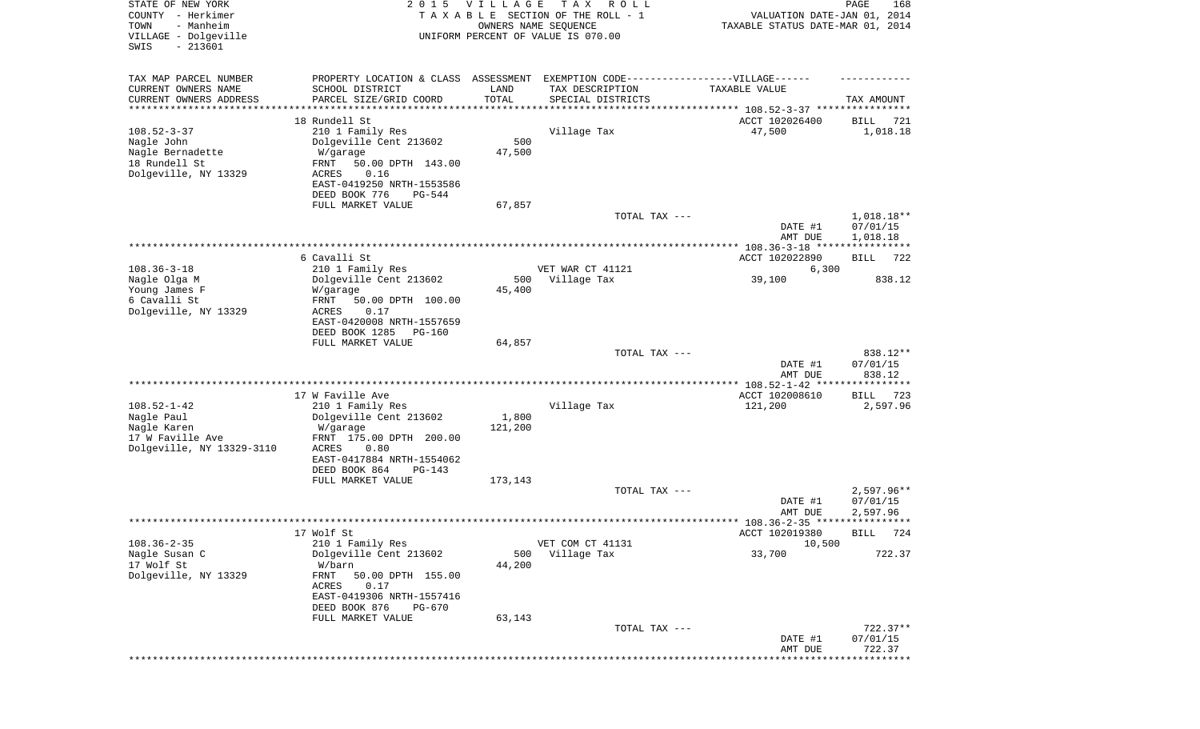| STATE OF NEW YORK<br>COUNTY - Herkimer<br>- Manheim<br>TOWN<br>VILLAGE - Dolgeville<br>$-213601$<br>SWIS | 2 0 1 5                                              | <b>VILLAGE</b><br>OWNERS NAME SEQUENCE | T A X<br>R O L L<br>TAXABLE SECTION OF THE ROLL - 1<br>UNIFORM PERCENT OF VALUE IS 070.00 | VALUATION DATE-JAN 01, 2014<br>TAXABLE STATUS DATE-MAR 01, 2014 | PAGE<br>168             |
|----------------------------------------------------------------------------------------------------------|------------------------------------------------------|----------------------------------------|-------------------------------------------------------------------------------------------|-----------------------------------------------------------------|-------------------------|
| TAX MAP PARCEL NUMBER                                                                                    | PROPERTY LOCATION & CLASS ASSESSMENT                 |                                        | EXEMPTION CODE-----------------VILLAGE------                                              |                                                                 |                         |
| CURRENT OWNERS NAME                                                                                      | SCHOOL DISTRICT                                      | LAND                                   | TAX DESCRIPTION                                                                           | TAXABLE VALUE                                                   |                         |
| CURRENT OWNERS ADDRESS<br>*********************                                                          | PARCEL SIZE/GRID COORD                               | TOTAL<br>* * * * * * * * * * *         | SPECIAL DISTRICTS                                                                         |                                                                 | TAX AMOUNT              |
|                                                                                                          | 18 Rundell St                                        |                                        |                                                                                           | ACCT 102026400                                                  | BILL<br>721             |
| $108.52 - 3 - 37$                                                                                        | 210 1 Family Res                                     |                                        | Village Tax                                                                               | 47,500                                                          | 1,018.18                |
| Nagle John                                                                                               | Dolgeville Cent 213602                               | 500                                    |                                                                                           |                                                                 |                         |
| Nagle Bernadette<br>18 Rundell St                                                                        | W/garage<br>FRNT<br>50.00 DPTH 143.00                | 47,500                                 |                                                                                           |                                                                 |                         |
| Dolgeville, NY 13329                                                                                     | 0.16<br>ACRES                                        |                                        |                                                                                           |                                                                 |                         |
|                                                                                                          | EAST-0419250 NRTH-1553586                            |                                        |                                                                                           |                                                                 |                         |
|                                                                                                          | DEED BOOK 776<br>PG-544                              |                                        |                                                                                           |                                                                 |                         |
|                                                                                                          | FULL MARKET VALUE                                    | 67,857                                 | TOTAL TAX ---                                                                             |                                                                 | 1,018.18**              |
|                                                                                                          |                                                      |                                        |                                                                                           | DATE #1                                                         | 07/01/15                |
|                                                                                                          |                                                      |                                        |                                                                                           | AMT DUE                                                         | 1,018.18                |
|                                                                                                          | 6 Cavalli St                                         |                                        |                                                                                           | ACCT 102022890                                                  | 722<br>BILL             |
| $108.36 - 3 - 18$                                                                                        | 210 1 Family Res                                     |                                        | VET WAR CT 41121                                                                          | 6,300                                                           |                         |
| Nagle Olga M                                                                                             | Dolgeville Cent 213602                               | 500                                    | Village Tax                                                                               | 39,100                                                          | 838.12                  |
| Young James F                                                                                            | W/garage                                             | 45,400                                 |                                                                                           |                                                                 |                         |
| 6 Cavalli St<br>Dolgeville, NY 13329                                                                     | FRNT<br>50.00 DPTH 100.00<br>ACRES<br>0.17           |                                        |                                                                                           |                                                                 |                         |
|                                                                                                          | EAST-0420008 NRTH-1557659                            |                                        |                                                                                           |                                                                 |                         |
|                                                                                                          | DEED BOOK 1285<br><b>PG-160</b>                      |                                        |                                                                                           |                                                                 |                         |
|                                                                                                          | FULL MARKET VALUE                                    | 64,857                                 |                                                                                           |                                                                 |                         |
|                                                                                                          |                                                      |                                        | TOTAL TAX ---                                                                             | DATE #1                                                         | 838.12**<br>07/01/15    |
|                                                                                                          |                                                      |                                        |                                                                                           | AMT DUE                                                         | 838.12                  |
|                                                                                                          |                                                      |                                        |                                                                                           |                                                                 |                         |
| $108.52 - 1 - 42$                                                                                        | 17 W Faville Ave<br>210 1 Family Res                 |                                        | Village Tax                                                                               | ACCT 102008610<br>121,200                                       | 723<br>BILL<br>2,597.96 |
| Nagle Paul                                                                                               | Dolgeville Cent 213602                               | 1,800                                  |                                                                                           |                                                                 |                         |
| Nagle Karen                                                                                              | W/garage                                             | 121,200                                |                                                                                           |                                                                 |                         |
| 17 W Faville Ave                                                                                         | FRNT 175.00 DPTH 200.00                              |                                        |                                                                                           |                                                                 |                         |
| Dolgeville, NY 13329-3110                                                                                | ACRES<br>0.80<br>EAST-0417884 NRTH-1554062           |                                        |                                                                                           |                                                                 |                         |
|                                                                                                          | DEED BOOK 864<br>$PG-143$                            |                                        |                                                                                           |                                                                 |                         |
|                                                                                                          | FULL MARKET VALUE                                    | 173,143                                |                                                                                           |                                                                 |                         |
|                                                                                                          |                                                      |                                        | TOTAL TAX ---                                                                             |                                                                 | $2,597.96**$            |
|                                                                                                          |                                                      |                                        |                                                                                           | DATE #1<br>AMT DUE                                              | 07/01/15<br>2,597.96    |
|                                                                                                          |                                                      |                                        |                                                                                           |                                                                 |                         |
|                                                                                                          | 17 Wolf St                                           |                                        |                                                                                           | ACCT 102019380                                                  | BILL 724                |
| $108.36 - 2 - 35$                                                                                        | 210 1 Family Res<br>Dolgeville Cent 213602           |                                        | VET COM CT 41131                                                                          | 10,500                                                          | 722.37                  |
| Nagle Susan C<br>17 Wolf St                                                                              | W/barn                                               | 500<br>44,200                          | Village Tax                                                                               | 33,700                                                          |                         |
| Dolgeville, NY 13329                                                                                     | FRNT<br>50.00 DPTH 155.00                            |                                        |                                                                                           |                                                                 |                         |
|                                                                                                          | <b>ACRES</b><br>0.17                                 |                                        |                                                                                           |                                                                 |                         |
|                                                                                                          | EAST-0419306 NRTH-1557416<br>DEED BOOK 876<br>PG-670 |                                        |                                                                                           |                                                                 |                         |
|                                                                                                          | FULL MARKET VALUE                                    | 63,143                                 |                                                                                           |                                                                 |                         |
|                                                                                                          |                                                      |                                        | TOTAL TAX ---                                                                             |                                                                 | $722.37**$              |
|                                                                                                          |                                                      |                                        |                                                                                           | DATE #1                                                         | 07/01/15                |
|                                                                                                          |                                                      |                                        |                                                                                           | AMT DUE                                                         | 722.37<br>*********     |
|                                                                                                          |                                                      |                                        |                                                                                           |                                                                 |                         |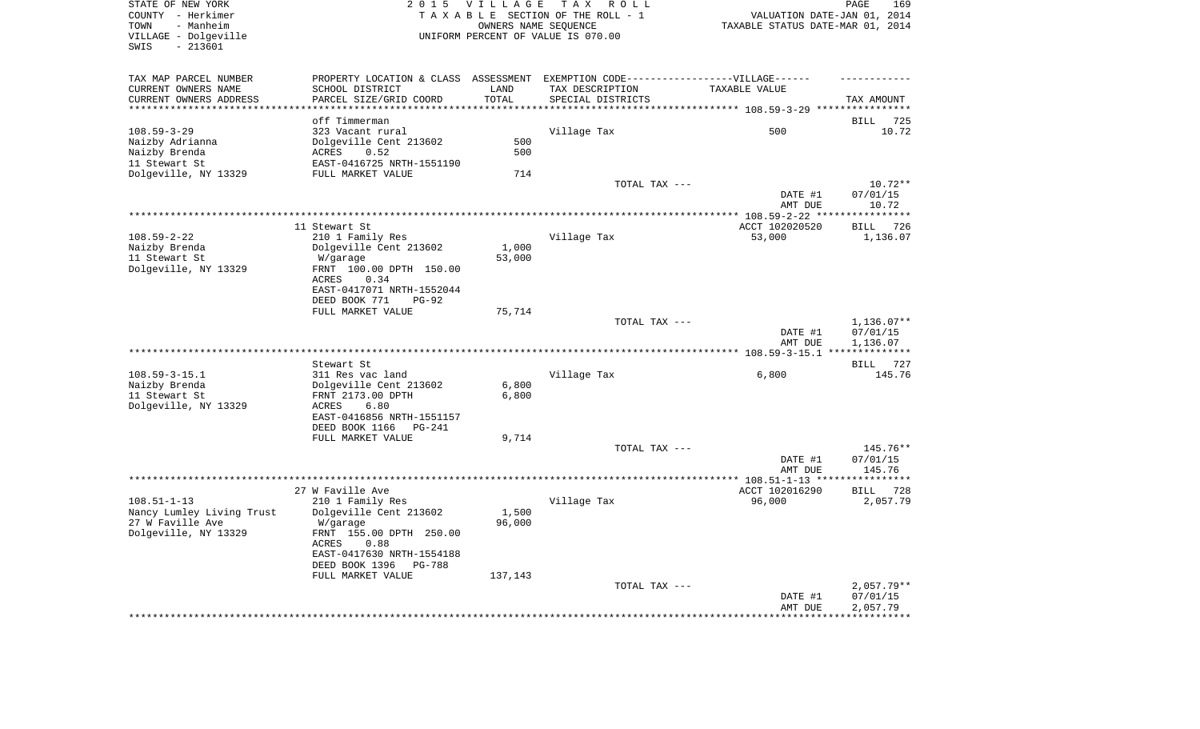| TOWN<br>- Manheim<br>VILLAGE - Dolgeville<br>$-213601$<br>SWIS |                                                                                   |         | TAXABLE SECTION OF THE ROLL - 1<br>OWNERS NAME SEQUENCE<br>UNIFORM PERCENT OF VALUE IS 070.00 | VALUATION DATE-JAN 01, 2014<br>TAXABLE STATUS DATE-MAR 01, 2014 |                               |
|----------------------------------------------------------------|-----------------------------------------------------------------------------------|---------|-----------------------------------------------------------------------------------------------|-----------------------------------------------------------------|-------------------------------|
|                                                                |                                                                                   |         |                                                                                               |                                                                 |                               |
| TAX MAP PARCEL NUMBER                                          | PROPERTY LOCATION & CLASS ASSESSMENT EXEMPTION CODE-----------------VILLAGE------ |         |                                                                                               |                                                                 |                               |
| CURRENT OWNERS NAME                                            | SCHOOL DISTRICT                                                                   | LAND    | TAX DESCRIPTION                                                                               | TAXABLE VALUE                                                   |                               |
| CURRENT OWNERS ADDRESS                                         | PARCEL SIZE/GRID COORD                                                            | TOTAL   | SPECIAL DISTRICTS                                                                             |                                                                 | TAX AMOUNT                    |
| ************************                                       |                                                                                   |         |                                                                                               |                                                                 |                               |
|                                                                | off Timmerman                                                                     |         |                                                                                               |                                                                 | <b>BILL</b><br>725            |
| $108.59 - 3 - 29$                                              | 323 Vacant rural                                                                  |         | Village Tax                                                                                   | 500                                                             | 10.72                         |
| Naizby Adrianna                                                | Dolgeville Cent 213602                                                            | 500     |                                                                                               |                                                                 |                               |
| Naizby Brenda                                                  | ACRES<br>0.52                                                                     | 500     |                                                                                               |                                                                 |                               |
| 11 Stewart St                                                  | EAST-0416725 NRTH-1551190                                                         | 714     |                                                                                               |                                                                 |                               |
| Dolgeville, NY 13329                                           | FULL MARKET VALUE                                                                 |         | TOTAL TAX ---                                                                                 |                                                                 | $10.72**$                     |
|                                                                |                                                                                   |         |                                                                                               | DATE #1                                                         | 07/01/15                      |
|                                                                |                                                                                   |         |                                                                                               | AMT DUE                                                         | 10.72                         |
|                                                                |                                                                                   |         |                                                                                               |                                                                 | **********                    |
|                                                                | 11 Stewart St                                                                     |         |                                                                                               | ACCT 102020520                                                  | 726<br>BILL                   |
| $108.59 - 2 - 22$                                              | 210 1 Family Res                                                                  |         | Village Tax                                                                                   | 53,000                                                          | 1,136.07                      |
| Naizby Brenda                                                  | Dolgeville Cent 213602                                                            | 1,000   |                                                                                               |                                                                 |                               |
| 11 Stewart St                                                  | W/garage                                                                          | 53,000  |                                                                                               |                                                                 |                               |
| Dolgeville, NY 13329                                           | FRNT 100.00 DPTH 150.00                                                           |         |                                                                                               |                                                                 |                               |
|                                                                | 0.34<br>ACRES                                                                     |         |                                                                                               |                                                                 |                               |
|                                                                | EAST-0417071 NRTH-1552044                                                         |         |                                                                                               |                                                                 |                               |
|                                                                | DEED BOOK 771<br>$PG-92$                                                          |         |                                                                                               |                                                                 |                               |
|                                                                | FULL MARKET VALUE                                                                 | 75,714  |                                                                                               |                                                                 |                               |
|                                                                |                                                                                   |         |                                                                                               |                                                                 |                               |
|                                                                |                                                                                   |         | TOTAL TAX ---                                                                                 |                                                                 |                               |
|                                                                |                                                                                   |         |                                                                                               | DATE #1                                                         | 07/01/15                      |
|                                                                |                                                                                   |         |                                                                                               | AMT DUE                                                         | 1,136.07                      |
|                                                                |                                                                                   |         |                                                                                               |                                                                 |                               |
|                                                                | Stewart St                                                                        |         |                                                                                               |                                                                 | BILL                          |
| $108.59 - 3 - 15.1$                                            | 311 Res vac land                                                                  |         | Village Tax                                                                                   | 6,800                                                           |                               |
| Naizby Brenda                                                  | Dolgeville Cent 213602                                                            | 6,800   |                                                                                               |                                                                 |                               |
| 11 Stewart St                                                  | FRNT 2173.00 DPTH                                                                 | 6,800   |                                                                                               |                                                                 | $1,136.07**$<br>727<br>145.76 |
| Dolgeville, NY 13329                                           | ACRES<br>6.80                                                                     |         |                                                                                               |                                                                 |                               |
|                                                                | EAST-0416856 NRTH-1551157                                                         |         |                                                                                               |                                                                 |                               |
|                                                                | DEED BOOK 1166<br>PG-241                                                          |         |                                                                                               |                                                                 |                               |
|                                                                | FULL MARKET VALUE                                                                 | 9,714   |                                                                                               |                                                                 |                               |
|                                                                |                                                                                   |         | TOTAL TAX ---                                                                                 |                                                                 | 145.76**                      |
|                                                                |                                                                                   |         |                                                                                               | DATE #1                                                         | 07/01/15                      |
|                                                                |                                                                                   |         |                                                                                               | AMT DUE                                                         | 145.76                        |
|                                                                | 27 W Faville Ave                                                                  |         |                                                                                               | ACCT 102016290                                                  | 728<br>BILL                   |
| $108.51 - 1 - 13$                                              |                                                                                   |         |                                                                                               | 96,000                                                          |                               |
|                                                                | 210 1 Family Res                                                                  | 1,500   | Village Tax                                                                                   |                                                                 |                               |
| Nancy Lumley Living Trust<br>27 W Faville Ave                  | Dolgeville Cent 213602<br>W/garage                                                | 96,000  |                                                                                               |                                                                 |                               |
| Dolgeville, NY 13329                                           | FRNT 155.00 DPTH 250.00                                                           |         |                                                                                               |                                                                 |                               |
|                                                                | <b>ACRES</b><br>0.88                                                              |         |                                                                                               |                                                                 |                               |
|                                                                | EAST-0417630 NRTH-1554188                                                         |         |                                                                                               |                                                                 |                               |
|                                                                | DEED BOOK 1396<br>PG-788                                                          |         |                                                                                               |                                                                 |                               |
|                                                                | FULL MARKET VALUE                                                                 | 137,143 |                                                                                               |                                                                 |                               |
|                                                                |                                                                                   |         | TOTAL TAX ---                                                                                 |                                                                 | 2,057.79<br>$2,057.79**$      |
|                                                                |                                                                                   |         |                                                                                               | DATE #1<br>AMT DUE                                              | 07/01/15<br>2,057.79          |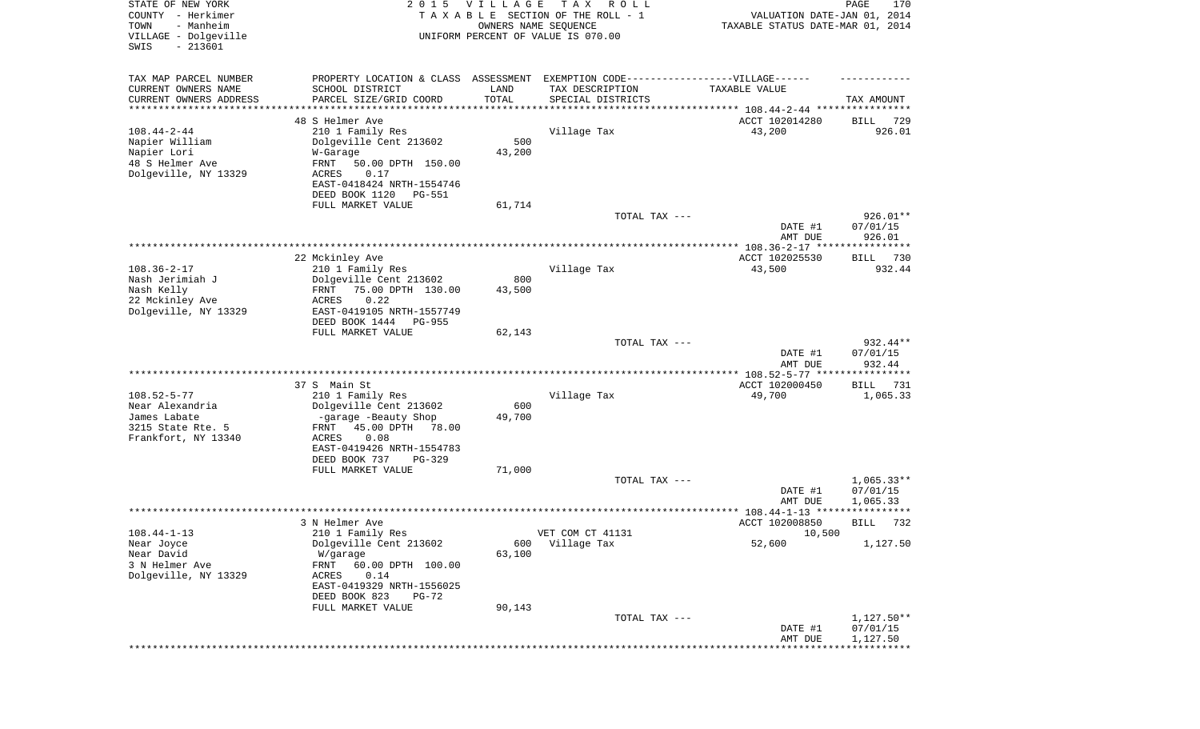| STATE OF NEW YORK<br>COUNTY - Herkimer<br>TOWN<br>- Manheim<br>VILLAGE - Dolgeville<br>SWIS<br>$-213601$ | 2 0 1 5                                                                                                                                                                                               | <b>VILLAGE</b><br>OWNERS NAME SEQUENCE | T A X<br>R O L L<br>TAXABLE SECTION OF THE ROLL - 1<br>UNIFORM PERCENT OF VALUE IS 070.00              | VALUATION DATE-JAN 01, 2014<br>TAXABLE STATUS DATE-MAR 01, 2014 | PAGE<br>170                        |
|----------------------------------------------------------------------------------------------------------|-------------------------------------------------------------------------------------------------------------------------------------------------------------------------------------------------------|----------------------------------------|--------------------------------------------------------------------------------------------------------|-----------------------------------------------------------------|------------------------------------|
| TAX MAP PARCEL NUMBER<br>CURRENT OWNERS NAME<br>CURRENT OWNERS ADDRESS<br>*********************          | PROPERTY LOCATION & CLASS ASSESSMENT EXEMPTION CODE----------------VILLAGE------<br>SCHOOL DISTRICT<br>PARCEL SIZE/GRID COORD                                                                         | LAND<br>TOTAL<br>* * * * * * * * * * * | TAX DESCRIPTION<br>SPECIAL DISTRICTS<br>********************************* 108.44-2-44 **************** | TAXABLE VALUE                                                   | TAX AMOUNT                         |
| $108.44 - 2 - 44$<br>Napier William<br>Napier Lori<br>48 S Helmer Ave<br>Dolgeville, NY 13329            | 48 S Helmer Ave<br>210 1 Family Res<br>Dolgeville Cent 213602<br>W-Garage<br>FRNT<br>50.00 DPTH 150.00<br>ACRES<br>0.17<br>EAST-0418424 NRTH-1554746<br>DEED BOOK 1120<br>PG-551<br>FULL MARKET VALUE | 500<br>43,200<br>61,714                | Village Tax                                                                                            | ACCT 102014280<br>43,200                                        | 729<br>BILL<br>926.01              |
|                                                                                                          |                                                                                                                                                                                                       |                                        | TOTAL TAX ---                                                                                          |                                                                 | 926.01**                           |
|                                                                                                          |                                                                                                                                                                                                       |                                        |                                                                                                        | DATE #1<br>AMT DUE                                              | 07/01/15<br>926.01                 |
|                                                                                                          |                                                                                                                                                                                                       |                                        |                                                                                                        |                                                                 |                                    |
| $108.36 - 2 - 17$<br>Nash Jerimiah J<br>Nash Kelly<br>22 Mckinley Ave<br>Dolgeville, NY 13329            | 22 Mckinley Ave<br>210 1 Family Res<br>Dolgeville Cent 213602<br>75.00 DPTH 130.00<br>FRNT<br>ACRES<br>0.22<br>EAST-0419105 NRTH-1557749                                                              | 800<br>43,500                          | Village Tax                                                                                            | ACCT 102025530<br>43,500                                        | BILL 730<br>932.44                 |
|                                                                                                          | DEED BOOK 1444<br><b>PG-955</b><br>FULL MARKET VALUE                                                                                                                                                  | 62,143                                 | TOTAL TAX ---                                                                                          | DATE #1<br>AMT DUE                                              | 932.44**<br>07/01/15<br>932.44     |
|                                                                                                          |                                                                                                                                                                                                       |                                        |                                                                                                        | ************ 108.52-5-77 *****************                      |                                    |
| $108.52 - 5 - 77$<br>Near Alexandria<br>James Labate<br>3215 State Rte. 5<br>Frankfort, NY 13340         | 37 S Main St<br>210 1 Family Res<br>Dolgeville Cent 213602<br>-garage -Beauty Shop<br>45.00 DPTH<br>78.00<br>FRNT<br>ACRES<br>0.08<br>EAST-0419426 NRTH-1554783<br>DEED BOOK 737<br>PG-329            | 600<br>49,700                          | Village Tax                                                                                            | ACCT 102000450<br>49,700                                        | <b>BILL</b><br>731<br>1,065.33     |
|                                                                                                          | FULL MARKET VALUE                                                                                                                                                                                     | 71,000                                 | TOTAL TAX ---                                                                                          | DATE #1<br>AMT DUE                                              | $1,065.33**$<br>07/01/15           |
|                                                                                                          |                                                                                                                                                                                                       |                                        |                                                                                                        |                                                                 | 1,065.33<br>*****                  |
| $108.44 - 1 - 13$<br>Near Joyce<br>Near David<br>3 N Helmer Ave<br>Dolgeville, NY 13329                  | 3 N Helmer Ave<br>210 1 Family Res<br>Dolgeville Cent 213602<br>W/garage<br>FRNT<br>60.00 DPTH 100.00<br>0.14<br>ACRES<br>EAST-0419329 NRTH-1556025<br>DEED BOOK 823<br><b>PG-72</b>                  | 600<br>63,100                          | VET COM CT 41131<br>Village Tax                                                                        | ACCT 102008850<br>10,500<br>52,600                              | 732<br>BILL<br>1,127.50            |
|                                                                                                          | FULL MARKET VALUE                                                                                                                                                                                     | 90,143                                 | TOTAL TAX ---                                                                                          | DATE #1<br>AMT DUE<br>***************                           | 1,127.50**<br>07/01/15<br>1,127.50 |
|                                                                                                          |                                                                                                                                                                                                       |                                        |                                                                                                        |                                                                 |                                    |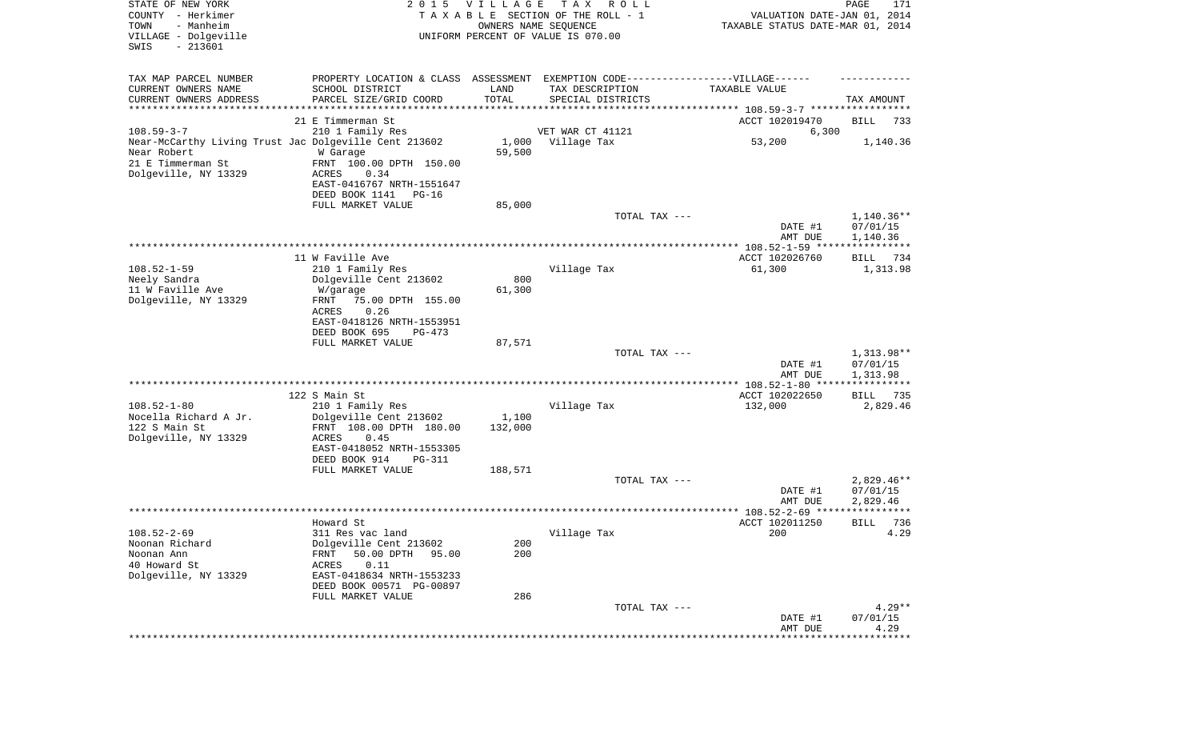| STATE OF NEW YORK<br>COUNTY - Herkimer<br>TOWN<br>- Manheim<br>VILLAGE - Dolgeville<br>SWIS<br>$-213601$ | 2 0 1 5                                                 | VILLAGE<br>OWNERS NAME SEQUENCE | T A X<br>R O L L<br>TAXABLE SECTION OF THE ROLL - 1<br>UNIFORM PERCENT OF VALUE IS 070.00 | VALUATION DATE-JAN 01, 2014<br>TAXABLE STATUS DATE-MAR 01, 2014 | $\mathop{\mathtt{PAGE}}$<br>171 |
|----------------------------------------------------------------------------------------------------------|---------------------------------------------------------|---------------------------------|-------------------------------------------------------------------------------------------|-----------------------------------------------------------------|---------------------------------|
| TAX MAP PARCEL NUMBER<br>CURRENT OWNERS NAME                                                             | PROPERTY LOCATION & CLASS ASSESSMENT<br>SCHOOL DISTRICT | LAND                            | EXEMPTION CODE------------------VILLAGE------<br>TAX DESCRIPTION                          | TAXABLE VALUE                                                   |                                 |
| CURRENT OWNERS ADDRESS<br>********************                                                           | PARCEL SIZE/GRID COORD<br>*******************           | TOTAL                           | SPECIAL DISTRICTS                                                                         |                                                                 | TAX AMOUNT                      |
|                                                                                                          | 21 E Timmerman St                                       |                                 |                                                                                           | ACCT 102019470                                                  | BILL<br>733                     |
| $108.59 - 3 - 7$                                                                                         | 210 1 Family Res                                        |                                 | VET WAR CT 41121                                                                          | 6,300                                                           |                                 |
| Near-McCarthy Living Trust Jac Dolgeville Cent 213602                                                    |                                                         |                                 | 1,000 Village Tax                                                                         | 53,200                                                          | 1,140.36                        |
| Near Robert                                                                                              | W Garage                                                | 59,500                          |                                                                                           |                                                                 |                                 |
| 21 E Timmerman St<br>Dolgeville, NY 13329                                                                | FRNT 100.00 DPTH 150.00<br>ACRES<br>0.34                |                                 |                                                                                           |                                                                 |                                 |
|                                                                                                          | EAST-0416767 NRTH-1551647                               |                                 |                                                                                           |                                                                 |                                 |
|                                                                                                          | DEED BOOK 1141<br>PG-16                                 |                                 |                                                                                           |                                                                 |                                 |
|                                                                                                          | FULL MARKET VALUE                                       | 85,000                          |                                                                                           |                                                                 |                                 |
|                                                                                                          |                                                         |                                 | TOTAL TAX ---                                                                             |                                                                 | $1,140.36**$                    |
|                                                                                                          |                                                         |                                 |                                                                                           | DATE #1<br>AMT DUE                                              | 07/01/15<br>1,140.36            |
|                                                                                                          |                                                         |                                 |                                                                                           |                                                                 |                                 |
|                                                                                                          | 11 W Faville Ave                                        |                                 |                                                                                           | ACCT 102026760                                                  | BILL<br>734                     |
| $108.52 - 1 - 59$<br>Neely Sandra                                                                        | 210 1 Family Res<br>Dolgeville Cent 213602              | 800                             | Village Tax                                                                               | 61,300                                                          | 1,313.98                        |
| 11 W Faville Ave                                                                                         | W/garage                                                | 61,300                          |                                                                                           |                                                                 |                                 |
| Dolgeville, NY 13329                                                                                     | 75.00 DPTH 155.00<br>FRNT                               |                                 |                                                                                           |                                                                 |                                 |
|                                                                                                          | ACRES<br>0.26                                           |                                 |                                                                                           |                                                                 |                                 |
|                                                                                                          | EAST-0418126 NRTH-1553951<br>DEED BOOK 695              |                                 |                                                                                           |                                                                 |                                 |
|                                                                                                          | PG-473<br>FULL MARKET VALUE                             | 87,571                          |                                                                                           |                                                                 |                                 |
|                                                                                                          |                                                         |                                 | TOTAL TAX ---                                                                             |                                                                 | 1,313.98**                      |
|                                                                                                          |                                                         |                                 |                                                                                           | DATE #1                                                         | 07/01/15                        |
|                                                                                                          |                                                         |                                 |                                                                                           | AMT DUE                                                         | 1,313.98                        |
|                                                                                                          | 122 S Main St                                           |                                 |                                                                                           | ACCT 102022650                                                  | BILL<br>735                     |
| $108.52 - 1 - 80$                                                                                        | 210 1 Family Res                                        |                                 | Village Tax                                                                               | 132,000                                                         | 2,829.46                        |
| Nocella Richard A Jr.                                                                                    | Dolgeville Cent 213602                                  | 1,100                           |                                                                                           |                                                                 |                                 |
| 122 S Main St<br>Dolgeville, NY 13329                                                                    | FRNT 108.00 DPTH 180.00<br>ACRES<br>0.45                | 132,000                         |                                                                                           |                                                                 |                                 |
|                                                                                                          | EAST-0418052 NRTH-1553305                               |                                 |                                                                                           |                                                                 |                                 |
|                                                                                                          | DEED BOOK 914<br>PG-311                                 |                                 |                                                                                           |                                                                 |                                 |
|                                                                                                          | FULL MARKET VALUE                                       | 188,571                         |                                                                                           |                                                                 |                                 |
|                                                                                                          |                                                         |                                 | TOTAL TAX ---                                                                             | DATE #1                                                         | $2,829.46**$                    |
|                                                                                                          |                                                         |                                 |                                                                                           | AMT DUE                                                         | 07/01/15<br>2,829.46            |
|                                                                                                          |                                                         |                                 |                                                                                           |                                                                 | * * * * *                       |
|                                                                                                          | Howard St                                               |                                 |                                                                                           | ACCT 102011250                                                  | 736<br>BILL                     |
| $108.52 - 2 - 69$<br>Noonan Richard                                                                      | 311 Res vac land<br>Dolgeville Cent 213602              |                                 | Village Tax                                                                               | 200                                                             | 4.29                            |
| Noonan Ann                                                                                               | 50.00 DPTH<br>FRNT<br>95.00                             | 200<br>200                      |                                                                                           |                                                                 |                                 |
| 40 Howard St                                                                                             | 0.11<br><b>ACRES</b>                                    |                                 |                                                                                           |                                                                 |                                 |
| Dolgeville, NY 13329                                                                                     | EAST-0418634 NRTH-1553233                               |                                 |                                                                                           |                                                                 |                                 |
|                                                                                                          | DEED BOOK 00571 PG-00897                                |                                 |                                                                                           |                                                                 |                                 |
|                                                                                                          | FULL MARKET VALUE                                       | 286                             | TOTAL TAX ---                                                                             |                                                                 | $4.29**$                        |
|                                                                                                          |                                                         |                                 |                                                                                           | DATE #1                                                         | 07/01/15                        |
|                                                                                                          |                                                         |                                 |                                                                                           | AMT DUE                                                         | 4.29                            |
|                                                                                                          |                                                         |                                 |                                                                                           |                                                                 |                                 |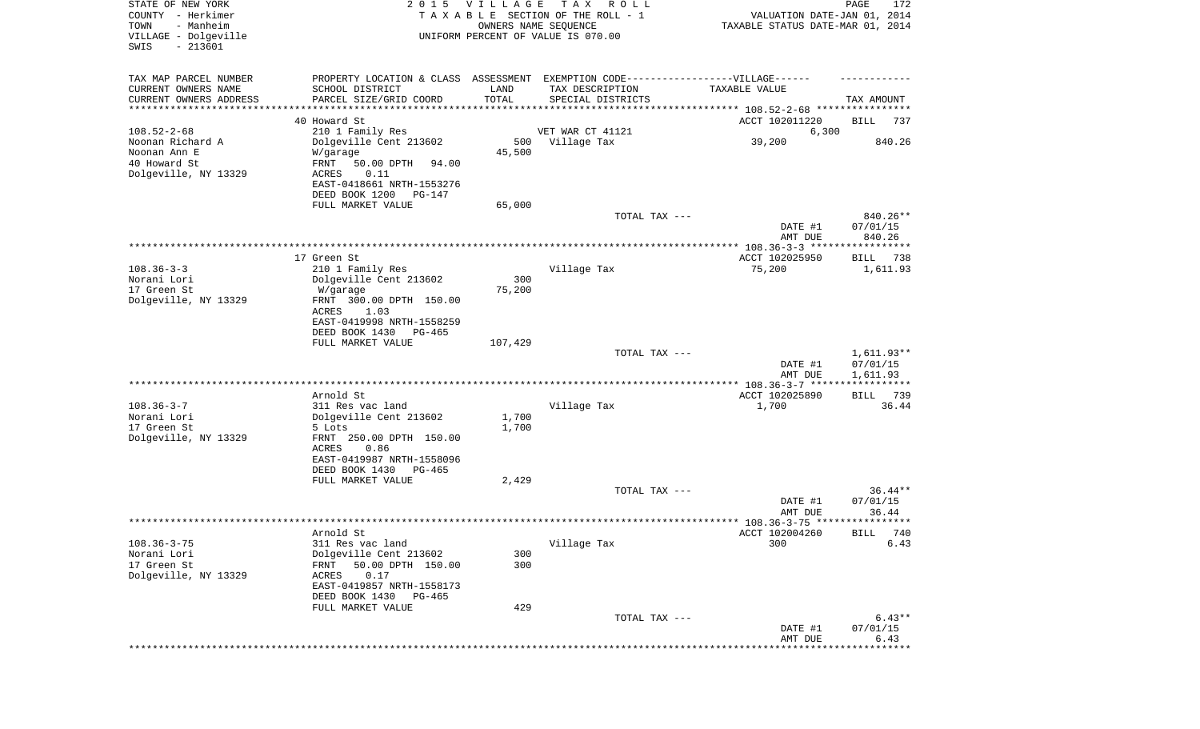| STATE OF NEW YORK<br>COUNTY - Herkimer<br>- Manheim<br>TOWN<br>VILLAGE - Dolgeville<br>$-213601$ | 2 0 1 5                                                                           | VILLAGE<br>OWNERS NAME SEQUENCE | T A X<br>R O L L<br>TAXABLE SECTION OF THE ROLL - 1<br>UNIFORM PERCENT OF VALUE IS 070.00 | VALUATION DATE-JAN 01, 2014<br>TAXABLE STATUS DATE-MAR 01, 2014 | PAGE<br>172             |
|--------------------------------------------------------------------------------------------------|-----------------------------------------------------------------------------------|---------------------------------|-------------------------------------------------------------------------------------------|-----------------------------------------------------------------|-------------------------|
| SWIS                                                                                             |                                                                                   |                                 |                                                                                           |                                                                 |                         |
| TAX MAP PARCEL NUMBER                                                                            | PROPERTY LOCATION & CLASS ASSESSMENT EXEMPTION CODE-----------------VILLAGE------ |                                 |                                                                                           |                                                                 |                         |
| CURRENT OWNERS NAME<br>CURRENT OWNERS ADDRESS                                                    | SCHOOL DISTRICT<br>PARCEL SIZE/GRID COORD                                         | LAND<br>TOTAL                   | TAX DESCRIPTION<br>SPECIAL DISTRICTS                                                      | TAXABLE VALUE                                                   | TAX AMOUNT              |
| *********************                                                                            |                                                                                   |                                 |                                                                                           |                                                                 |                         |
|                                                                                                  | 40 Howard St                                                                      |                                 |                                                                                           | ACCT 102011220                                                  | BILL<br>737             |
| $108.52 - 2 - 68$                                                                                | 210 1 Family Res                                                                  |                                 | VET WAR CT 41121                                                                          | 6,300                                                           |                         |
| Noonan Richard A<br>Noonan Ann E                                                                 | Dolgeville Cent 213602                                                            | 500<br>45,500                   | Village Tax                                                                               | 39,200                                                          | 840.26                  |
| 40 Howard St                                                                                     | W/garage<br>FRNT<br>50.00 DPTH<br>94.00                                           |                                 |                                                                                           |                                                                 |                         |
| Dolgeville, NY 13329                                                                             | 0.11<br>ACRES                                                                     |                                 |                                                                                           |                                                                 |                         |
|                                                                                                  | EAST-0418661 NRTH-1553276                                                         |                                 |                                                                                           |                                                                 |                         |
|                                                                                                  | DEED BOOK 1200<br>PG-147                                                          |                                 |                                                                                           |                                                                 |                         |
|                                                                                                  | FULL MARKET VALUE                                                                 | 65,000                          | TOTAL TAX ---                                                                             |                                                                 | 840.26**                |
|                                                                                                  |                                                                                   |                                 |                                                                                           | DATE #1                                                         | 07/01/15                |
|                                                                                                  |                                                                                   |                                 |                                                                                           | AMT DUE                                                         | 840.26                  |
|                                                                                                  |                                                                                   |                                 |                                                                                           |                                                                 |                         |
| $108.36 - 3 - 3$                                                                                 | 17 Green St<br>210 1 Family Res                                                   |                                 | Village Tax                                                                               | ACCT 102025950<br>75,200                                        | BILL<br>738<br>1,611.93 |
| Norani Lori                                                                                      | Dolgeville Cent 213602                                                            | 300                             |                                                                                           |                                                                 |                         |
| 17 Green St                                                                                      | W/garage                                                                          | 75,200                          |                                                                                           |                                                                 |                         |
| Dolgeville, NY 13329                                                                             | FRNT 300.00 DPTH 150.00                                                           |                                 |                                                                                           |                                                                 |                         |
|                                                                                                  | ACRES<br>1.03<br>EAST-0419998 NRTH-1558259                                        |                                 |                                                                                           |                                                                 |                         |
|                                                                                                  | DEED BOOK 1430<br>PG-465                                                          |                                 |                                                                                           |                                                                 |                         |
|                                                                                                  | FULL MARKET VALUE                                                                 | 107,429                         |                                                                                           |                                                                 |                         |
|                                                                                                  |                                                                                   |                                 | TOTAL TAX ---                                                                             |                                                                 | $1,611.93**$            |
|                                                                                                  |                                                                                   |                                 |                                                                                           | DATE #1<br>AMT DUE                                              | 07/01/15<br>1,611.93    |
|                                                                                                  |                                                                                   |                                 |                                                                                           |                                                                 | ***********             |
|                                                                                                  | Arnold St                                                                         |                                 |                                                                                           | ACCT 102025890                                                  | 739<br>BILL             |
| $108.36 - 3 - 7$                                                                                 | 311 Res vac land                                                                  |                                 | Village Tax                                                                               | 1,700                                                           | 36.44                   |
| Norani Lori<br>17 Green St                                                                       | Dolgeville Cent 213602<br>5 Lots                                                  | 1,700<br>1,700                  |                                                                                           |                                                                 |                         |
| Dolgeville, NY 13329                                                                             | FRNT 250.00 DPTH 150.00                                                           |                                 |                                                                                           |                                                                 |                         |
|                                                                                                  | ACRES<br>0.86                                                                     |                                 |                                                                                           |                                                                 |                         |
|                                                                                                  | EAST-0419987 NRTH-1558096                                                         |                                 |                                                                                           |                                                                 |                         |
|                                                                                                  | DEED BOOK 1430<br>PG-465<br>FULL MARKET VALUE                                     | 2,429                           |                                                                                           |                                                                 |                         |
|                                                                                                  |                                                                                   |                                 | TOTAL TAX ---                                                                             |                                                                 | $36.44**$               |
|                                                                                                  |                                                                                   |                                 |                                                                                           | DATE #1                                                         | 07/01/15                |
|                                                                                                  |                                                                                   |                                 |                                                                                           | AMT DUE                                                         | 36.44                   |
|                                                                                                  | Arnold St                                                                         |                                 |                                                                                           | ACCT 102004260                                                  | BILL 740                |
| $108.36 - 3 - 75$                                                                                | 311 Res vac land                                                                  |                                 | Village Tax                                                                               | 300                                                             | 6.43                    |
| Norani Lori                                                                                      | Dolgeville Cent 213602                                                            | 300                             |                                                                                           |                                                                 |                         |
| 17 Green St                                                                                      | FRNT<br>50.00 DPTH 150.00                                                         | 300                             |                                                                                           |                                                                 |                         |
| Dolgeville, NY 13329                                                                             | ACRES<br>0.17<br>EAST-0419857 NRTH-1558173                                        |                                 |                                                                                           |                                                                 |                         |
|                                                                                                  | DEED BOOK 1430<br>PG-465                                                          |                                 |                                                                                           |                                                                 |                         |
|                                                                                                  | FULL MARKET VALUE                                                                 | 429                             |                                                                                           |                                                                 |                         |
|                                                                                                  |                                                                                   |                                 | TOTAL TAX ---                                                                             |                                                                 | $6.43**$                |
|                                                                                                  |                                                                                   |                                 |                                                                                           | DATE #1<br>AMT DUE                                              | 07/01/15<br>6.43        |
|                                                                                                  |                                                                                   |                                 |                                                                                           |                                                                 | ********                |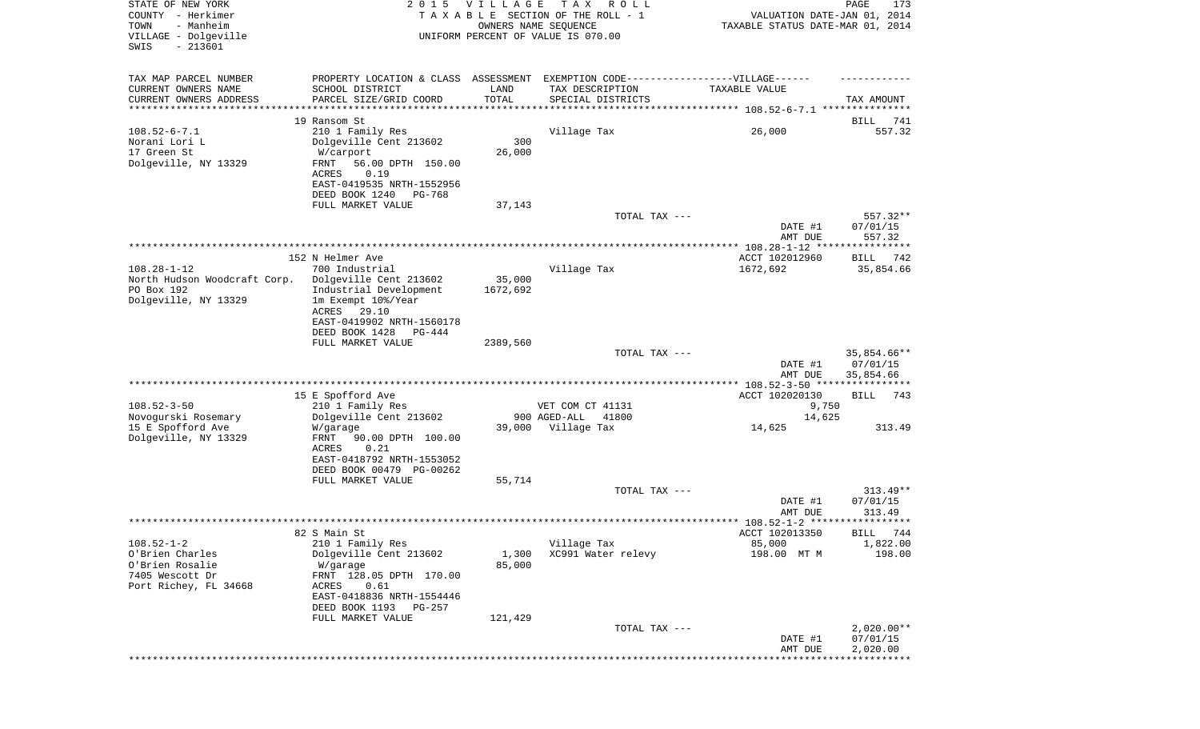| STATE OF NEW YORK<br>COUNTY - Herkimer<br>TOWN<br>- Manheim<br>VILLAGE - Dolgeville<br>$-213601$<br>SWIS | 2 0 1 5                                               | <b>VILLAGE</b><br>OWNERS NAME SEQUENCE | TAX ROLL<br>TAXABLE SECTION OF THE ROLL - 1<br>UNIFORM PERCENT OF VALUE IS 070.00 | VALUATION DATE-JAN 01, 2014<br>TAXABLE STATUS DATE-MAR 01, 2014 | PAGE<br>173             |
|----------------------------------------------------------------------------------------------------------|-------------------------------------------------------|----------------------------------------|-----------------------------------------------------------------------------------|-----------------------------------------------------------------|-------------------------|
|                                                                                                          |                                                       |                                        |                                                                                   |                                                                 |                         |
| TAX MAP PARCEL NUMBER                                                                                    | PROPERTY LOCATION & CLASS ASSESSMENT                  |                                        | EXEMPTION CODE-----------------VILLAGE------                                      |                                                                 |                         |
| CURRENT OWNERS NAME                                                                                      | SCHOOL DISTRICT                                       | LAND                                   | TAX DESCRIPTION                                                                   | TAXABLE VALUE                                                   |                         |
| CURRENT OWNERS ADDRESS                                                                                   | PARCEL SIZE/GRID COORD                                | TOTAL                                  | SPECIAL DISTRICTS                                                                 |                                                                 | TAX AMOUNT              |
| *********************                                                                                    |                                                       |                                        |                                                                                   |                                                                 |                         |
|                                                                                                          | 19 Ransom St                                          |                                        |                                                                                   |                                                                 | BILL<br>741<br>557.32   |
| $108.52 - 6 - 7.1$<br>Norani Lori L                                                                      | 210 1 Family Res<br>Dolgeville Cent 213602            | 300                                    | Village Tax                                                                       | 26,000                                                          |                         |
| 17 Green St                                                                                              | W/carport                                             | 26,000                                 |                                                                                   |                                                                 |                         |
| Dolgeville, NY 13329                                                                                     | FRNT<br>56.00 DPTH 150.00                             |                                        |                                                                                   |                                                                 |                         |
|                                                                                                          | 0.19<br>ACRES                                         |                                        |                                                                                   |                                                                 |                         |
|                                                                                                          | EAST-0419535 NRTH-1552956                             |                                        |                                                                                   |                                                                 |                         |
|                                                                                                          | DEED BOOK 1240<br>PG-768                              |                                        |                                                                                   |                                                                 |                         |
|                                                                                                          | FULL MARKET VALUE                                     | 37,143                                 |                                                                                   |                                                                 |                         |
|                                                                                                          |                                                       |                                        | TOTAL TAX ---                                                                     |                                                                 | 557.32**                |
|                                                                                                          |                                                       |                                        |                                                                                   | DATE #1                                                         | 07/01/15                |
|                                                                                                          |                                                       |                                        |                                                                                   | AMT DUE                                                         | 557.32                  |
|                                                                                                          | 152 N Helmer Ave                                      |                                        |                                                                                   | ACCT 102012960                                                  | BILL 742                |
| $108.28 - 1 - 12$                                                                                        | 700 Industrial                                        |                                        | Village Tax                                                                       | 1672,692                                                        | 35,854.66               |
| North Hudson Woodcraft Corp.                                                                             | Dolgeville Cent 213602                                | 35,000                                 |                                                                                   |                                                                 |                         |
| PO Box 192                                                                                               | Industrial Development                                | 1672,692                               |                                                                                   |                                                                 |                         |
| Dolgeville, NY 13329                                                                                     | 1m Exempt 10%/Year                                    |                                        |                                                                                   |                                                                 |                         |
|                                                                                                          | ACRES<br>29.10                                        |                                        |                                                                                   |                                                                 |                         |
|                                                                                                          | EAST-0419902 NRTH-1560178                             |                                        |                                                                                   |                                                                 |                         |
|                                                                                                          | DEED BOOK 1428<br>PG-444                              |                                        |                                                                                   |                                                                 |                         |
|                                                                                                          | FULL MARKET VALUE                                     | 2389,560                               |                                                                                   |                                                                 |                         |
|                                                                                                          |                                                       |                                        | TOTAL TAX ---                                                                     | DATE #1                                                         | 35,854.66**<br>07/01/15 |
|                                                                                                          |                                                       |                                        |                                                                                   | AMT DUE                                                         | 35,854.66               |
|                                                                                                          |                                                       |                                        |                                                                                   |                                                                 |                         |
|                                                                                                          | 15 E Spofford Ave                                     |                                        |                                                                                   | ACCT 102020130                                                  | BILL<br>743             |
| $108.52 - 3 - 50$                                                                                        | 210 1 Family Res                                      |                                        | VET COM CT 41131                                                                  | 9,750                                                           |                         |
| Novogurski Rosemary                                                                                      | Dolgeville Cent 213602                                |                                        | 900 AGED-ALL<br>41800                                                             | 14,625                                                          |                         |
| 15 E Spofford Ave                                                                                        | W/garage                                              |                                        | 39,000 Village Tax                                                                | 14,625                                                          | 313.49                  |
| Dolgeville, NY 13329                                                                                     | FRNT<br>90.00 DPTH 100.00                             |                                        |                                                                                   |                                                                 |                         |
|                                                                                                          | ACRES<br>0.21                                         |                                        |                                                                                   |                                                                 |                         |
|                                                                                                          | EAST-0418792 NRTH-1553052<br>DEED BOOK 00479 PG-00262 |                                        |                                                                                   |                                                                 |                         |
|                                                                                                          | FULL MARKET VALUE                                     | 55,714                                 |                                                                                   |                                                                 |                         |
|                                                                                                          |                                                       |                                        | TOTAL TAX ---                                                                     |                                                                 | $313.49**$              |
|                                                                                                          |                                                       |                                        |                                                                                   | DATE #1                                                         | 07/01/15                |
|                                                                                                          |                                                       |                                        |                                                                                   | AMT DUE                                                         | 313.49                  |
|                                                                                                          |                                                       |                                        |                                                                                   |                                                                 |                         |
|                                                                                                          | 82 S Main St                                          |                                        |                                                                                   | ACCT 102013350                                                  | BILL 744                |
| $108.52 - 1 - 2$                                                                                         | 210 1 Family Res                                      |                                        | Village Tax                                                                       | 85,000                                                          | 1,822.00                |
| O'Brien Charles                                                                                          | Dolgeville Cent 213602                                | 1,300                                  | XC991 Water relevy                                                                | 198.00 MT M                                                     | 198.00                  |
| O'Brien Rosalie<br>7405 Wescott Dr                                                                       | W/garage                                              | 85,000                                 |                                                                                   |                                                                 |                         |
| Port Richey, FL 34668                                                                                    | FRNT 128.05 DPTH 170.00<br>0.61<br>ACRES              |                                        |                                                                                   |                                                                 |                         |
|                                                                                                          | EAST-0418836 NRTH-1554446                             |                                        |                                                                                   |                                                                 |                         |
|                                                                                                          | DEED BOOK 1193<br>PG-257                              |                                        |                                                                                   |                                                                 |                         |
|                                                                                                          | FULL MARKET VALUE                                     | 121,429                                |                                                                                   |                                                                 |                         |
|                                                                                                          |                                                       |                                        | TOTAL TAX ---                                                                     |                                                                 | $2,020.00**$            |
|                                                                                                          |                                                       |                                        |                                                                                   | DATE #1                                                         | 07/01/15                |
|                                                                                                          |                                                       |                                        |                                                                                   | AMT DUE                                                         | 2,020.00                |
|                                                                                                          |                                                       |                                        |                                                                                   |                                                                 | ***********             |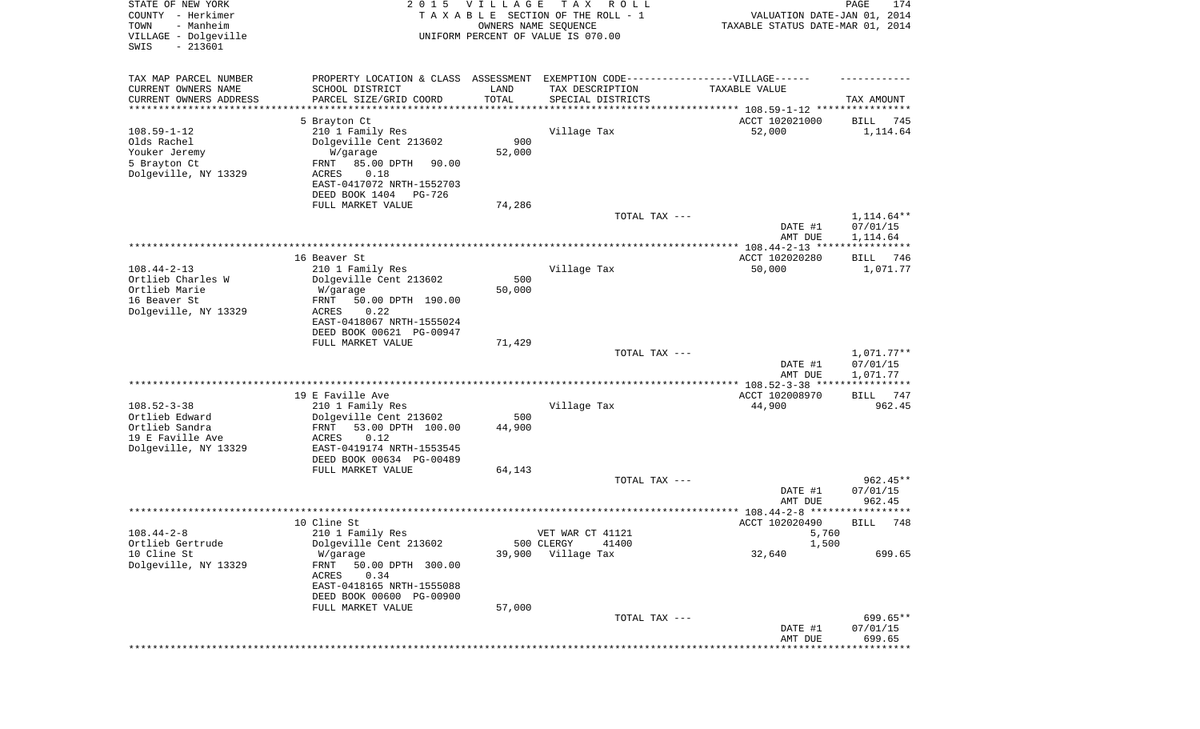| STATE OF NEW YORK<br>COUNTY - Herkimer<br>- Manheim<br>TOWN<br>VILLAGE - Dolgeville<br>SWIS<br>$-213601$ | 2 0 1 5                                                                                             | V I L L A G E | T A X<br>R O L L<br>TAXABLE SECTION OF THE ROLL - 1<br>OWNERS NAME SEQUENCE<br>UNIFORM PERCENT OF VALUE IS 070.00 | VALUATION DATE-JAN 01, 2014<br>TAXABLE STATUS DATE-MAR 01, 2014 | PAGE<br>174             |
|----------------------------------------------------------------------------------------------------------|-----------------------------------------------------------------------------------------------------|---------------|-------------------------------------------------------------------------------------------------------------------|-----------------------------------------------------------------|-------------------------|
| TAX MAP PARCEL NUMBER<br>CURRENT OWNERS NAME                                                             | PROPERTY LOCATION & CLASS ASSESSMENT EXEMPTION CODE----------------VILLAGE------<br>SCHOOL DISTRICT | LAND          | TAX DESCRIPTION                                                                                                   | TAXABLE VALUE                                                   |                         |
| CURRENT OWNERS ADDRESS                                                                                   | PARCEL SIZE/GRID COORD                                                                              | TOTAL         | SPECIAL DISTRICTS                                                                                                 |                                                                 | TAX AMOUNT              |
| ********************                                                                                     |                                                                                                     |               |                                                                                                                   |                                                                 |                         |
| $108.59 - 1 - 12$                                                                                        | 5 Brayton Ct<br>210 1 Family Res                                                                    |               | Village Tax                                                                                                       | ACCT 102021000<br>52,000                                        | 745<br>BILL<br>1,114.64 |
| Olds Rachel<br>Youker Jeremy                                                                             | Dolgeville Cent 213602                                                                              | 900<br>52,000 |                                                                                                                   |                                                                 |                         |
| 5 Brayton Ct                                                                                             | W/garage<br>85.00 DPTH<br>FRNT<br>90.00                                                             |               |                                                                                                                   |                                                                 |                         |
| Dolgeville, NY 13329                                                                                     | ACRES<br>0.18                                                                                       |               |                                                                                                                   |                                                                 |                         |
|                                                                                                          | EAST-0417072 NRTH-1552703<br>DEED BOOK 1404<br>PG-726                                               |               |                                                                                                                   |                                                                 |                         |
|                                                                                                          | FULL MARKET VALUE                                                                                   | 74,286        |                                                                                                                   |                                                                 |                         |
|                                                                                                          |                                                                                                     |               | TOTAL TAX ---                                                                                                     |                                                                 | 1,114.64**              |
|                                                                                                          |                                                                                                     |               |                                                                                                                   | DATE #1<br>AMT DUE                                              | 07/01/15<br>1,114.64    |
|                                                                                                          |                                                                                                     |               |                                                                                                                   | ***************** 108.44-2-13 ****************                  |                         |
|                                                                                                          | 16 Beaver St                                                                                        |               |                                                                                                                   | ACCT 102020280                                                  | BILL<br>746             |
| $108.44 - 2 - 13$                                                                                        | 210 1 Family Res                                                                                    |               | Village Tax                                                                                                       | 50,000                                                          | 1,071.77                |
| Ortlieb Charles W<br>Ortlieb Marie                                                                       | Dolgeville Cent 213602<br>W/garage                                                                  | 500<br>50,000 |                                                                                                                   |                                                                 |                         |
| 16 Beaver St                                                                                             | 50.00 DPTH 190.00<br>FRNT                                                                           |               |                                                                                                                   |                                                                 |                         |
| Dolgeville, NY 13329                                                                                     | ACRES<br>0.22                                                                                       |               |                                                                                                                   |                                                                 |                         |
|                                                                                                          | EAST-0418067 NRTH-1555024                                                                           |               |                                                                                                                   |                                                                 |                         |
|                                                                                                          | DEED BOOK 00621 PG-00947<br>FULL MARKET VALUE                                                       | 71,429        |                                                                                                                   |                                                                 |                         |
|                                                                                                          |                                                                                                     |               | TOTAL TAX ---                                                                                                     |                                                                 | $1,071.77**$            |
|                                                                                                          |                                                                                                     |               |                                                                                                                   | DATE #1                                                         | 07/01/15                |
|                                                                                                          |                                                                                                     |               | ***********************************                                                                               | AMT DUE<br>**************** 108.52-3-38 ****                    | 1,071.77<br>*********** |
|                                                                                                          | 19 E Faville Ave                                                                                    |               |                                                                                                                   | ACCT 102008970                                                  | BILL<br>747             |
| $108.52 - 3 - 38$                                                                                        | 210 1 Family Res                                                                                    |               | Village Tax                                                                                                       | 44,900                                                          | 962.45                  |
| Ortlieb Edward                                                                                           | Dolgeville Cent 213602                                                                              | 500           |                                                                                                                   |                                                                 |                         |
| Ortlieb Sandra<br>19 E Faville Ave                                                                       | FRNT<br>53.00 DPTH 100.00<br>ACRES<br>0.12                                                          | 44,900        |                                                                                                                   |                                                                 |                         |
| Dolgeville, NY 13329                                                                                     | EAST-0419174 NRTH-1553545                                                                           |               |                                                                                                                   |                                                                 |                         |
|                                                                                                          | DEED BOOK 00634 PG-00489                                                                            |               |                                                                                                                   |                                                                 |                         |
|                                                                                                          | FULL MARKET VALUE                                                                                   | 64,143        |                                                                                                                   |                                                                 |                         |
|                                                                                                          |                                                                                                     |               | TOTAL TAX ---                                                                                                     | DATE #1                                                         | $962.45**$<br>07/01/15  |
|                                                                                                          |                                                                                                     |               |                                                                                                                   | AMT DUE                                                         | 962.45                  |
|                                                                                                          |                                                                                                     |               |                                                                                                                   | ***************** 108.44-2-8 *********                          | ****                    |
|                                                                                                          | 10 Cline St                                                                                         |               |                                                                                                                   | ACCT 102020490                                                  | 748<br>BILL             |
| $108.44 - 2 - 8$<br>Ortlieb Gertrude                                                                     | 210 1 Family Res<br>Dolgeville Cent 213602                                                          |               | VET WAR CT 41121<br>500 CLERGY<br>41400                                                                           | 5,760<br>1,500                                                  |                         |
| 10 Cline St                                                                                              | W/garage                                                                                            | 39,900        | Village Tax                                                                                                       | 32,640                                                          | 699.65                  |
| Dolgeville, NY 13329                                                                                     | 50.00 DPTH 300.00<br>FRNT                                                                           |               |                                                                                                                   |                                                                 |                         |
|                                                                                                          | 0.34<br>ACRES                                                                                       |               |                                                                                                                   |                                                                 |                         |
|                                                                                                          | EAST-0418165 NRTH-1555088<br>DEED BOOK 00600 PG-00900                                               |               |                                                                                                                   |                                                                 |                         |
|                                                                                                          | FULL MARKET VALUE                                                                                   | 57,000        |                                                                                                                   |                                                                 |                         |
|                                                                                                          |                                                                                                     |               | TOTAL TAX ---                                                                                                     |                                                                 | 699.65**                |
|                                                                                                          |                                                                                                     |               |                                                                                                                   | DATE #1                                                         | 07/01/15                |
|                                                                                                          |                                                                                                     |               |                                                                                                                   | AMT DUE<br>***************************                          | 699.65                  |
|                                                                                                          |                                                                                                     |               |                                                                                                                   |                                                                 |                         |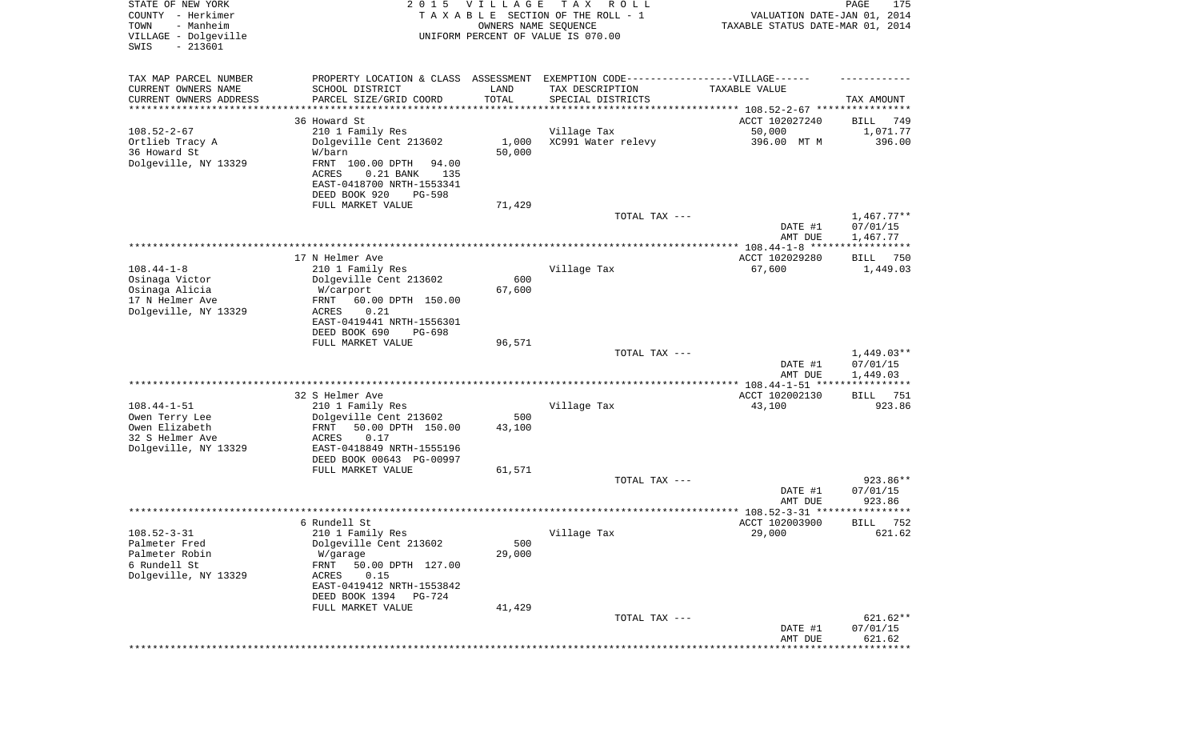| STATE OF NEW YORK<br>COUNTY - Herkimer<br>- Manheim<br>TOWN<br>VILLAGE - Dolgeville<br>SWIS<br>$-213601$ | 2 0 1 5                                                                                                                 | VILLAGE<br>OWNERS NAME SEQUENCE | T A X<br>R O L L<br>TAXABLE SECTION OF THE ROLL - 1<br>UNIFORM PERCENT OF VALUE IS 070.00 | VALUATION DATE-JAN 01, 2014<br>TAXABLE STATUS DATE-MAR 01, 2014 | PAGE<br>175          |
|----------------------------------------------------------------------------------------------------------|-------------------------------------------------------------------------------------------------------------------------|---------------------------------|-------------------------------------------------------------------------------------------|-----------------------------------------------------------------|----------------------|
| TAX MAP PARCEL NUMBER                                                                                    | PROPERTY LOCATION & CLASS ASSESSMENT EXEMPTION CODE-----------------VILLAGE------                                       |                                 |                                                                                           |                                                                 |                      |
| CURRENT OWNERS NAME<br>CURRENT OWNERS ADDRESS                                                            | SCHOOL DISTRICT<br>PARCEL SIZE/GRID COORD                                                                               | LAND<br>TOTAL                   | TAX DESCRIPTION<br>SPECIAL DISTRICTS                                                      | TAXABLE VALUE                                                   | TAX AMOUNT           |
| ********************                                                                                     |                                                                                                                         |                                 |                                                                                           |                                                                 |                      |
|                                                                                                          | 36 Howard St                                                                                                            |                                 |                                                                                           | ACCT 102027240                                                  | 749<br>BILL          |
| $108.52 - 2 - 67$<br>Ortlieb Tracy A                                                                     | 210 1 Family Res                                                                                                        | 1,000                           | Village Tax<br>XC991 Water relevy                                                         | 50,000<br>396.00 MT M                                           | 1,071.77<br>396.00   |
| 36 Howard St                                                                                             | Dolgeville Cent 213602<br>W/barn                                                                                        | 50,000                          |                                                                                           |                                                                 |                      |
| Dolgeville, NY 13329                                                                                     | FRNT 100.00 DPTH<br>94.00<br><b>ACRES</b><br>$0.21$ BANK<br>135<br>EAST-0418700 NRTH-1553341<br>DEED BOOK 920<br>PG-598 |                                 |                                                                                           |                                                                 |                      |
|                                                                                                          | FULL MARKET VALUE                                                                                                       | 71,429                          |                                                                                           |                                                                 |                      |
|                                                                                                          |                                                                                                                         |                                 | TOTAL TAX ---                                                                             |                                                                 | $1,467.77**$         |
|                                                                                                          |                                                                                                                         |                                 |                                                                                           | DATE #1<br>AMT DUE                                              | 07/01/15<br>1,467.77 |
|                                                                                                          |                                                                                                                         |                                 |                                                                                           |                                                                 |                      |
|                                                                                                          | 17 N Helmer Ave                                                                                                         |                                 |                                                                                           | ACCT 102029280                                                  | 750<br>BILL          |
| $108.44 - 1 - 8$                                                                                         | 210 1 Family Res                                                                                                        |                                 | Village Tax                                                                               | 67,600                                                          | 1,449.03             |
| Osinaga Victor                                                                                           | Dolgeville Cent 213602                                                                                                  | 600                             |                                                                                           |                                                                 |                      |
| Osinaga Alicia                                                                                           | W/carport                                                                                                               | 67,600                          |                                                                                           |                                                                 |                      |
| 17 N Helmer Ave                                                                                          | 60.00 DPTH 150.00<br>FRNT<br>ACRES<br>0.21                                                                              |                                 |                                                                                           |                                                                 |                      |
| Dolgeville, NY 13329                                                                                     | EAST-0419441 NRTH-1556301                                                                                               |                                 |                                                                                           |                                                                 |                      |
|                                                                                                          | DEED BOOK 690<br>PG-698                                                                                                 |                                 |                                                                                           |                                                                 |                      |
|                                                                                                          | FULL MARKET VALUE                                                                                                       | 96,571                          |                                                                                           |                                                                 |                      |
|                                                                                                          |                                                                                                                         |                                 | TOTAL TAX ---                                                                             |                                                                 | $1,449.03**$         |
|                                                                                                          |                                                                                                                         |                                 |                                                                                           | DATE #1                                                         | 07/01/15             |
|                                                                                                          |                                                                                                                         |                                 |                                                                                           | AMT DUE                                                         | 1,449.03             |
|                                                                                                          |                                                                                                                         |                                 |                                                                                           |                                                                 |                      |
|                                                                                                          | 32 S Helmer Ave                                                                                                         |                                 |                                                                                           | ACCT 102002130                                                  | 751<br>BILL          |
| $108.44 - 1 - 51$<br>Owen Terry Lee                                                                      | 210 1 Family Res<br>Dolgeville Cent 213602                                                                              | 500                             | Village Tax                                                                               | 43,100                                                          | 923.86               |
| Owen Elizabeth                                                                                           | FRNT<br>50.00 DPTH 150.00                                                                                               | 43,100                          |                                                                                           |                                                                 |                      |
| 32 S Helmer Ave                                                                                          | ACRES<br>0.17                                                                                                           |                                 |                                                                                           |                                                                 |                      |
| Dolgeville, NY 13329                                                                                     | EAST-0418849 NRTH-1555196                                                                                               |                                 |                                                                                           |                                                                 |                      |
|                                                                                                          | DEED BOOK 00643 PG-00997                                                                                                |                                 |                                                                                           |                                                                 |                      |
|                                                                                                          | FULL MARKET VALUE                                                                                                       | 61,571                          |                                                                                           |                                                                 |                      |
|                                                                                                          |                                                                                                                         |                                 | TOTAL TAX ---                                                                             |                                                                 | 923.86**             |
|                                                                                                          |                                                                                                                         |                                 |                                                                                           | DATE #1                                                         | 07/01/15             |
|                                                                                                          |                                                                                                                         |                                 |                                                                                           | AMT DUE                                                         | 923.86<br>*****      |
|                                                                                                          | 6 Rundell St                                                                                                            |                                 |                                                                                           | ACCT 102003900                                                  | 752<br>BILL          |
| $108.52 - 3 - 31$                                                                                        | 210 1 Family Res                                                                                                        |                                 | Village Tax                                                                               | 29,000                                                          | 621.62               |
| Palmeter Fred                                                                                            | Dolgeville Cent 213602                                                                                                  | 500                             |                                                                                           |                                                                 |                      |
| Palmeter Robin                                                                                           | W/garage                                                                                                                | 29,000                          |                                                                                           |                                                                 |                      |
| 6 Rundell St                                                                                             | FRNT<br>50.00 DPTH 127.00                                                                                               |                                 |                                                                                           |                                                                 |                      |
| Dolgeville, NY 13329                                                                                     | ACRES<br>0.15                                                                                                           |                                 |                                                                                           |                                                                 |                      |
|                                                                                                          | EAST-0419412 NRTH-1553842                                                                                               |                                 |                                                                                           |                                                                 |                      |
|                                                                                                          | DEED BOOK 1394 PG-724<br>FULL MARKET VALUE                                                                              | 41,429                          |                                                                                           |                                                                 |                      |
|                                                                                                          |                                                                                                                         |                                 | TOTAL TAX ---                                                                             |                                                                 | 621.62**             |
|                                                                                                          |                                                                                                                         |                                 |                                                                                           | DATE #1<br>AMT DUE                                              | 07/01/15<br>621.62   |
|                                                                                                          |                                                                                                                         |                                 |                                                                                           |                                                                 |                      |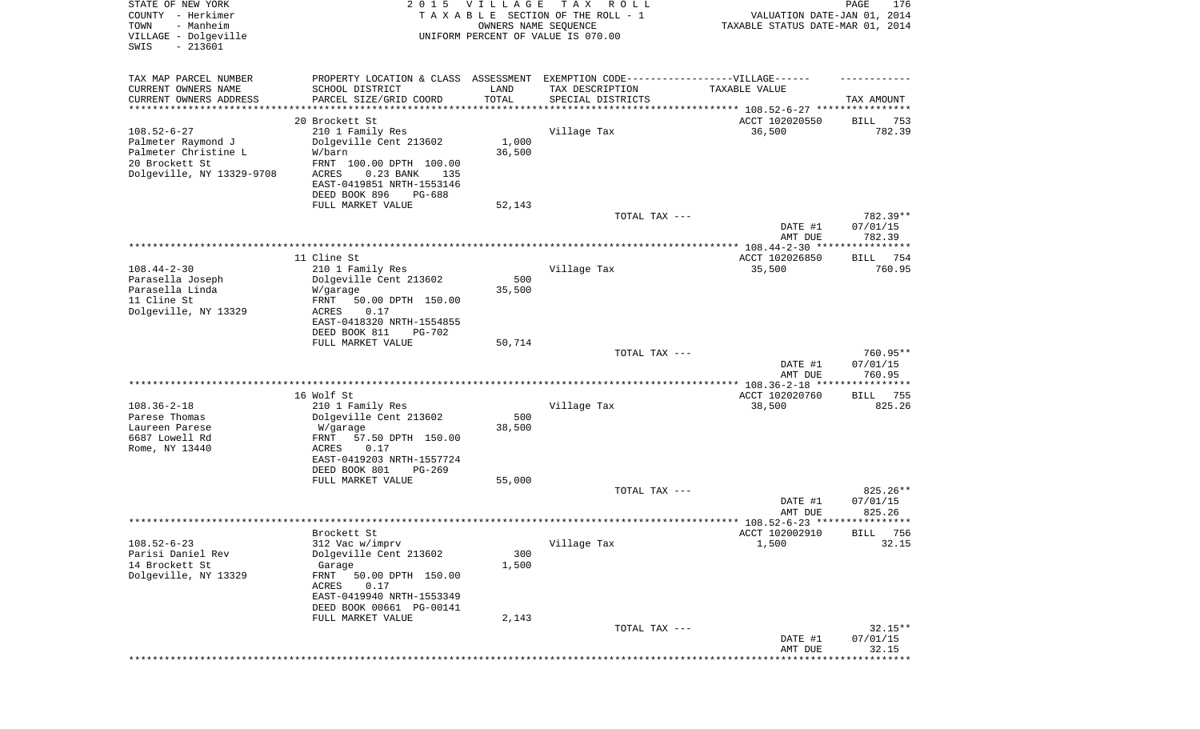| STATE OF NEW YORK<br>COUNTY - Herkimer<br>- Manheim<br>TOWN<br>VILLAGE - Dolgeville<br>$-213601$<br>SWIS       | 2 0 1 5                                                                                                                                                     | <b>VILLAGE</b><br>OWNERS NAME SEQUENCE | T A X<br>R O L L<br>TAXABLE SECTION OF THE ROLL - 1<br>UNIFORM PERCENT OF VALUE IS 070.00 | VALUATION DATE-JAN 01, 2014<br>TAXABLE STATUS DATE-MAR 01, 2014 | 176<br>PAGE                    |
|----------------------------------------------------------------------------------------------------------------|-------------------------------------------------------------------------------------------------------------------------------------------------------------|----------------------------------------|-------------------------------------------------------------------------------------------|-----------------------------------------------------------------|--------------------------------|
| TAX MAP PARCEL NUMBER<br>CURRENT OWNERS NAME<br>CURRENT OWNERS ADDRESS                                         | PROPERTY LOCATION & CLASS ASSESSMENT<br>SCHOOL DISTRICT<br>PARCEL SIZE/GRID COORD                                                                           | LAND<br>TOTAL                          | EXEMPTION CODE------------------VILLAGE------<br>TAX DESCRIPTION<br>SPECIAL DISTRICTS     | TAXABLE VALUE                                                   | TAX AMOUNT                     |
| *********************                                                                                          |                                                                                                                                                             | ***********                            |                                                                                           |                                                                 |                                |
| $108.52 - 6 - 27$<br>Palmeter Raymond J<br>Palmeter Christine L<br>20 Brockett St<br>Dolgeville, NY 13329-9708 | 20 Brockett St<br>210 1 Family Res<br>Dolgeville Cent 213602<br>W/barn<br>FRNT 100.00 DPTH 100.00<br>ACRES<br>0.23 BANK<br>135<br>EAST-0419851 NRTH-1553146 | 1,000<br>36,500                        | Village Tax                                                                               | ACCT 102020550<br>36,500                                        | 753<br>BILL<br>782.39          |
|                                                                                                                | DEED BOOK 896<br>PG-688                                                                                                                                     |                                        |                                                                                           |                                                                 |                                |
|                                                                                                                | FULL MARKET VALUE                                                                                                                                           | 52,143                                 | TOTAL TAX ---                                                                             |                                                                 | 782.39**                       |
|                                                                                                                |                                                                                                                                                             |                                        |                                                                                           | DATE #1<br>AMT DUE                                              | 07/01/15<br>782.39             |
|                                                                                                                |                                                                                                                                                             |                                        |                                                                                           |                                                                 |                                |
|                                                                                                                | 11 Cline St                                                                                                                                                 |                                        |                                                                                           | ACCT 102026850                                                  | 754<br>BILL                    |
| $108.44 - 2 - 30$<br>Parasella Joseph<br>Parasella Linda                                                       | 210 1 Family Res<br>Dolgeville Cent 213602<br>W/garage                                                                                                      | 500<br>35,500                          | Village Tax                                                                               | 35,500                                                          | 760.95                         |
| 11 Cline St<br>Dolgeville, NY 13329                                                                            | FRNT<br>50.00 DPTH 150.00<br>ACRES<br>0.17<br>EAST-0418320 NRTH-1554855<br>DEED BOOK 811<br>PG-702                                                          |                                        |                                                                                           |                                                                 |                                |
|                                                                                                                | FULL MARKET VALUE                                                                                                                                           | 50,714                                 |                                                                                           |                                                                 |                                |
|                                                                                                                |                                                                                                                                                             |                                        | TOTAL TAX ---                                                                             | DATE #1<br>AMT DUE                                              | 760.95**<br>07/01/15<br>760.95 |
|                                                                                                                |                                                                                                                                                             |                                        |                                                                                           |                                                                 | ***********                    |
| $108.36 - 2 - 18$<br>Parese Thomas                                                                             | 16 Wolf St<br>210 1 Family Res<br>Dolgeville Cent 213602                                                                                                    | 500                                    | Village Tax                                                                               | ACCT 102020760<br>38,500                                        | BILL 755<br>825.26             |
| Laureen Parese<br>6687 Lowell Rd<br>Rome, NY 13440                                                             | W/garage<br>FRNT<br>57.50 DPTH 150.00<br>ACRES<br>0.17<br>EAST-0419203 NRTH-1557724                                                                         | 38,500                                 |                                                                                           |                                                                 |                                |
|                                                                                                                | DEED BOOK 801<br>PG-269                                                                                                                                     |                                        |                                                                                           |                                                                 |                                |
|                                                                                                                | FULL MARKET VALUE                                                                                                                                           | 55,000                                 | TOTAL TAX ---                                                                             |                                                                 | 825.26**                       |
|                                                                                                                |                                                                                                                                                             |                                        |                                                                                           | DATE #1<br>AMT DUE                                              | 07/01/15<br>825.26             |
|                                                                                                                |                                                                                                                                                             |                                        |                                                                                           |                                                                 |                                |
| $108.52 - 6 - 23$                                                                                              | Brockett St<br>312 Vac w/imprv                                                                                                                              |                                        | Village Tax                                                                               | ACCT 102002910<br>1,500                                         | 756<br>BILL<br>32.15           |
| Parisi Daniel Rev<br>14 Brockett St<br>Dolgeville, NY 13329                                                    | Dolgeville Cent 213602<br>Garage<br>FRNT<br>50.00 DPTH 150.00<br>ACRES<br>0.17<br>EAST-0419940 NRTH-1553349<br>DEED BOOK 00661 PG-00141                     | 300<br>1,500                           |                                                                                           |                                                                 |                                |
|                                                                                                                | FULL MARKET VALUE                                                                                                                                           | 2,143                                  |                                                                                           |                                                                 |                                |
|                                                                                                                |                                                                                                                                                             |                                        | TOTAL TAX ---                                                                             | DATE #1<br>AMT DUE                                              | $32.15**$<br>07/01/15<br>32.15 |
|                                                                                                                |                                                                                                                                                             |                                        |                                                                                           |                                                                 | **********                     |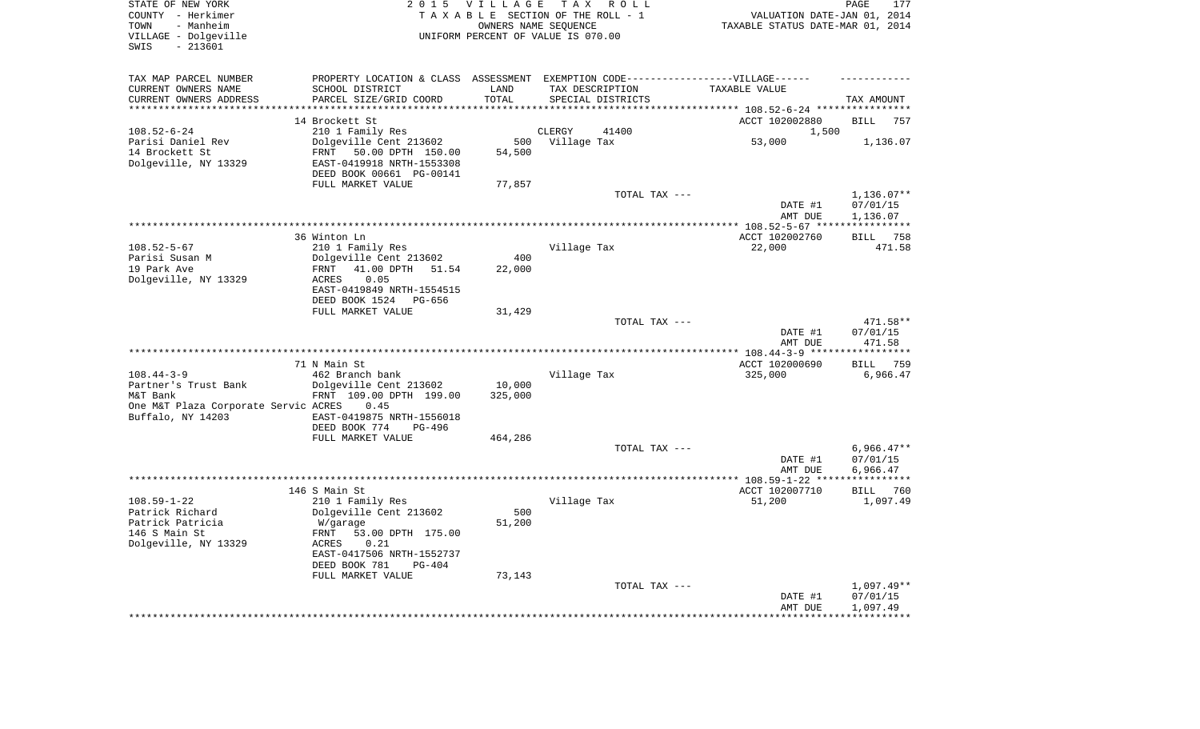| STATE OF NEW YORK<br>COUNTY - Herkimer<br>- Manheim<br>TOWN<br>VILLAGE - Dolgeville<br>$-213601$<br>SWIS | 2 0 1 5                                                 | VILLAGE       | TAX ROLL<br>TAXABLE SECTION OF THE ROLL - 1<br>OWNERS NAME SEQUENCE<br>UNIFORM PERCENT OF VALUE IS 070.00 | VALUATION DATE-JAN 01, 2014<br>TAXABLE STATUS DATE-MAR 01, 2014 | PAGE<br>177                    |
|----------------------------------------------------------------------------------------------------------|---------------------------------------------------------|---------------|-----------------------------------------------------------------------------------------------------------|-----------------------------------------------------------------|--------------------------------|
| TAX MAP PARCEL NUMBER<br>CURRENT OWNERS NAME                                                             | PROPERTY LOCATION & CLASS ASSESSMENT<br>SCHOOL DISTRICT | LAND          | EXEMPTION CODE------------------VILLAGE------<br>TAX DESCRIPTION                                          | TAXABLE VALUE                                                   |                                |
| CURRENT OWNERS ADDRESS                                                                                   | PARCEL SIZE/GRID COORD                                  | TOTAL         | SPECIAL DISTRICTS                                                                                         |                                                                 | TAX AMOUNT                     |
| **********************                                                                                   | 14 Brockett St                                          |               |                                                                                                           | ACCT 102002880                                                  | <b>BILL</b><br>757             |
| $108.52 - 6 - 24$                                                                                        | 210 1 Family Res                                        |               | CLERGY<br>41400                                                                                           | 1,500                                                           |                                |
| Parisi Daniel Rev                                                                                        | Dolgeville Cent 213602                                  | 500           | Village Tax                                                                                               | 53,000                                                          | 1,136.07                       |
| 14 Brockett St                                                                                           | FRNT<br>50.00 DPTH 150.00                               | 54,500        |                                                                                                           |                                                                 |                                |
| Dolgeville, NY 13329                                                                                     | EAST-0419918 NRTH-1553308<br>DEED BOOK 00661 PG-00141   |               |                                                                                                           |                                                                 |                                |
|                                                                                                          | FULL MARKET VALUE                                       | 77,857        |                                                                                                           |                                                                 | $1,136.07**$                   |
|                                                                                                          |                                                         |               | TOTAL TAX ---                                                                                             | DATE #1<br>AMT DUE                                              | 07/01/15<br>1,136.07           |
|                                                                                                          |                                                         |               |                                                                                                           |                                                                 |                                |
|                                                                                                          | 36 Winton Ln                                            |               |                                                                                                           | ACCT 102002760                                                  | <b>BILL</b><br>758             |
| $108.52 - 5 - 67$                                                                                        | 210 1 Family Res                                        |               | Village Tax                                                                                               | 22,000                                                          | 471.58                         |
| Parisi Susan M<br>19 Park Ave                                                                            | Dolgeville Cent 213602<br>41.00 DPTH<br>FRNT<br>51.54   | 400<br>22,000 |                                                                                                           |                                                                 |                                |
| Dolgeville, NY 13329                                                                                     | 0.05<br>ACRES                                           |               |                                                                                                           |                                                                 |                                |
|                                                                                                          | EAST-0419849 NRTH-1554515                               |               |                                                                                                           |                                                                 |                                |
|                                                                                                          | DEED BOOK 1524<br>PG-656<br>FULL MARKET VALUE           | 31,429        |                                                                                                           |                                                                 |                                |
|                                                                                                          |                                                         |               | TOTAL TAX ---                                                                                             |                                                                 | 471.58**                       |
|                                                                                                          |                                                         |               |                                                                                                           | DATE #1<br>AMT DUE                                              | 07/01/15<br>471.58             |
|                                                                                                          |                                                         |               | ************************                                                                                  | ************ 108.44-3-9 ****                                    | **********                     |
| $108.44 - 3 - 9$                                                                                         | 71 N Main St<br>462 Branch bank                         |               | Village Tax                                                                                               | ACCT 102000690<br>325,000                                       | 759<br><b>BILL</b><br>6,966.47 |
| Partner's Trust Bank                                                                                     | Dolgeville Cent 213602                                  | 10,000        |                                                                                                           |                                                                 |                                |
| M&T Bank                                                                                                 | FRNT 109.00 DPTH 199.00                                 | 325,000       |                                                                                                           |                                                                 |                                |
| One M&T Plaza Corporate Servic ACRES                                                                     | 0.45                                                    |               |                                                                                                           |                                                                 |                                |
| Buffalo, NY 14203                                                                                        | EAST-0419875 NRTH-1556018<br>DEED BOOK 774<br>PG-496    |               |                                                                                                           |                                                                 |                                |
|                                                                                                          | FULL MARKET VALUE                                       | 464,286       |                                                                                                           |                                                                 |                                |
|                                                                                                          |                                                         |               | TOTAL TAX ---                                                                                             |                                                                 | $6,966.47**$                   |
|                                                                                                          |                                                         |               |                                                                                                           | DATE #1<br>AMT DUE                                              | 07/01/15<br>6,966.47           |
|                                                                                                          |                                                         |               |                                                                                                           |                                                                 | * * * * * * * * * * * *        |
|                                                                                                          | 146 S Main St                                           |               |                                                                                                           | ACCT 102007710                                                  | 760<br>BILL                    |
| $108.59 - 1 - 22$                                                                                        | 210 1 Family Res                                        |               | Village Tax                                                                                               | 51,200                                                          | 1,097.49                       |
| Patrick Richard<br>Patrick Patricia                                                                      | Dolgeville Cent 213602<br>W/garage                      | 500<br>51,200 |                                                                                                           |                                                                 |                                |
| 146 S Main St                                                                                            | FRNT<br>53.00 DPTH 175.00                               |               |                                                                                                           |                                                                 |                                |
| Dolgeville, NY 13329                                                                                     | ACRES<br>0.21                                           |               |                                                                                                           |                                                                 |                                |
|                                                                                                          | EAST-0417506 NRTH-1552737<br>$PG-404$                   |               |                                                                                                           |                                                                 |                                |
|                                                                                                          | DEED BOOK 781<br>FULL MARKET VALUE                      | 73,143        |                                                                                                           |                                                                 |                                |
|                                                                                                          |                                                         |               | TOTAL TAX ---                                                                                             |                                                                 | $1,097.49**$                   |
|                                                                                                          |                                                         |               |                                                                                                           | DATE #1                                                         | 07/01/15                       |
|                                                                                                          |                                                         |               |                                                                                                           | AMT DUE                                                         | 1,097.49                       |
|                                                                                                          |                                                         |               |                                                                                                           |                                                                 |                                |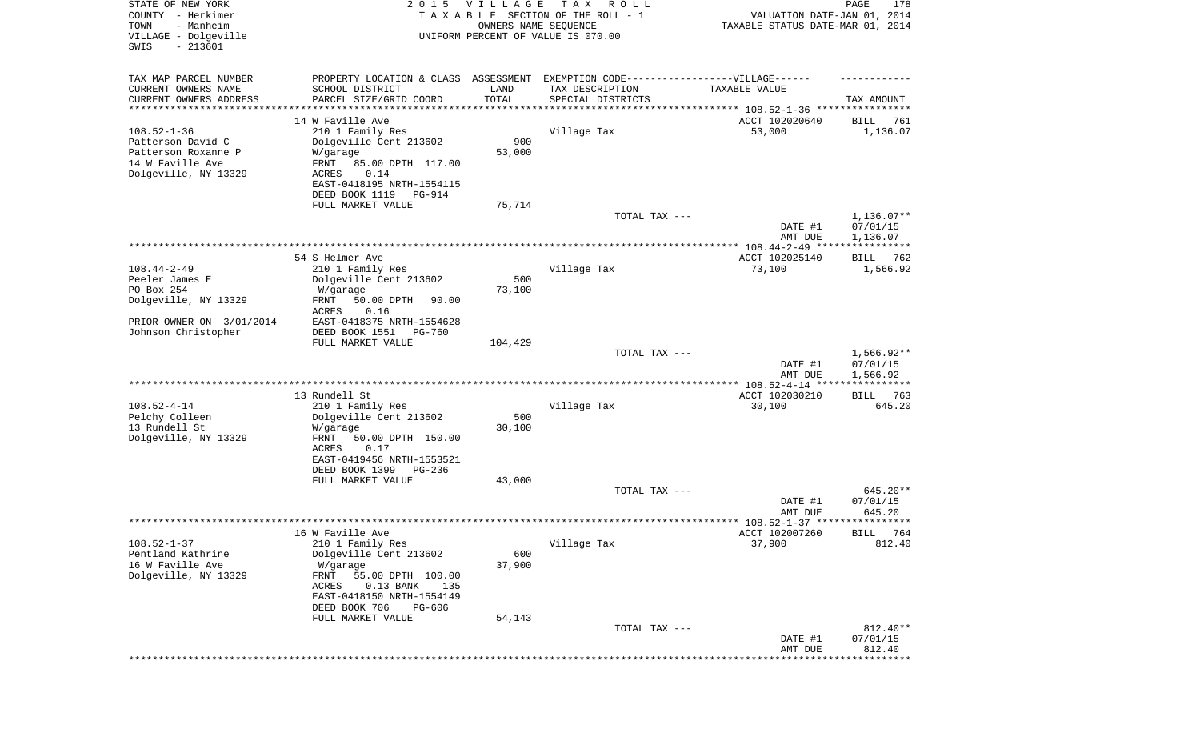| STATE OF NEW YORK<br>COUNTY - Herkimer<br>- Manheim<br>TOWN<br>VILLAGE - Dolgeville<br>$-213601$<br>SWIS | 2 0 1 5                                                         | <b>VILLAGE</b><br>OWNERS NAME SEQUENCE | T A X<br>R O L L<br>TAXABLE SECTION OF THE ROLL - 1<br>UNIFORM PERCENT OF VALUE IS 070.00 | VALUATION DATE-JAN 01, 2014<br>TAXABLE STATUS DATE-MAR 01, 2014 | PAGE<br>178          |
|----------------------------------------------------------------------------------------------------------|-----------------------------------------------------------------|----------------------------------------|-------------------------------------------------------------------------------------------|-----------------------------------------------------------------|----------------------|
| TAX MAP PARCEL NUMBER                                                                                    | PROPERTY LOCATION & CLASS ASSESSMENT                            |                                        | EXEMPTION CODE------------------VILLAGE------                                             |                                                                 |                      |
| CURRENT OWNERS NAME<br>CURRENT OWNERS ADDRESS                                                            | SCHOOL DISTRICT<br>PARCEL SIZE/GRID COORD                       | LAND<br>TOTAL                          | TAX DESCRIPTION<br>SPECIAL DISTRICTS                                                      | TAXABLE VALUE                                                   | TAX AMOUNT           |
| *********************                                                                                    |                                                                 | * * * * * * * * * * *                  |                                                                                           |                                                                 |                      |
|                                                                                                          | 14 W Faville Ave                                                |                                        |                                                                                           | ACCT 102020640                                                  | 761<br>BILL          |
| $108.52 - 1 - 36$                                                                                        | 210 1 Family Res                                                |                                        | Village Tax                                                                               | 53,000                                                          | 1,136.07             |
| Patterson David C<br>Patterson Roxanne P                                                                 | Dolgeville Cent 213602<br>W/garage                              | 900<br>53,000                          |                                                                                           |                                                                 |                      |
| 14 W Faville Ave                                                                                         | FRNT<br>85.00 DPTH 117.00                                       |                                        |                                                                                           |                                                                 |                      |
| Dolgeville, NY 13329                                                                                     | ACRES<br>0.14                                                   |                                        |                                                                                           |                                                                 |                      |
|                                                                                                          | EAST-0418195 NRTH-1554115                                       |                                        |                                                                                           |                                                                 |                      |
|                                                                                                          | DEED BOOK 1119<br>PG-914                                        |                                        |                                                                                           |                                                                 |                      |
|                                                                                                          | FULL MARKET VALUE                                               | 75,714                                 | TOTAL TAX ---                                                                             |                                                                 | $1,136.07**$         |
|                                                                                                          |                                                                 |                                        |                                                                                           | DATE #1                                                         | 07/01/15             |
|                                                                                                          |                                                                 |                                        |                                                                                           | AMT DUE                                                         | 1,136.07             |
|                                                                                                          | 54 S Helmer Ave                                                 |                                        |                                                                                           | ACCT 102025140                                                  |                      |
| $108.44 - 2 - 49$                                                                                        | 210 1 Family Res                                                |                                        | Village Tax                                                                               | 73,100                                                          | BILL 762<br>1,566.92 |
| Peeler James E                                                                                           | Dolgeville Cent 213602                                          | 500                                    |                                                                                           |                                                                 |                      |
| PO Box 254                                                                                               | W/garage                                                        | 73,100                                 |                                                                                           |                                                                 |                      |
| Dolgeville, NY 13329                                                                                     | 50.00 DPTH<br>FRNT<br>90.00                                     |                                        |                                                                                           |                                                                 |                      |
| PRIOR OWNER ON 3/01/2014                                                                                 | ACRES<br>0.16<br>EAST-0418375 NRTH-1554628                      |                                        |                                                                                           |                                                                 |                      |
| Johnson Christopher                                                                                      | DEED BOOK 1551<br>PG-760                                        |                                        |                                                                                           |                                                                 |                      |
|                                                                                                          | FULL MARKET VALUE                                               | 104,429                                |                                                                                           |                                                                 |                      |
|                                                                                                          |                                                                 |                                        | TOTAL TAX ---                                                                             |                                                                 | $1,566.92**$         |
|                                                                                                          |                                                                 |                                        |                                                                                           | DATE #1<br>AMT DUE                                              | 07/01/15<br>1,566.92 |
|                                                                                                          |                                                                 |                                        |                                                                                           |                                                                 | ***********          |
|                                                                                                          | 13 Rundell St                                                   |                                        |                                                                                           | ACCT 102030210                                                  | 763<br>BILL          |
| $108.52 - 4 - 14$                                                                                        | 210 1 Family Res                                                | 500                                    | Village Tax                                                                               | 30,100                                                          | 645.20               |
| Pelchy Colleen<br>13 Rundell St                                                                          | Dolgeville Cent 213602<br>W/garage                              | 30,100                                 |                                                                                           |                                                                 |                      |
| Dolgeville, NY 13329                                                                                     | FRNT<br>50.00 DPTH 150.00                                       |                                        |                                                                                           |                                                                 |                      |
|                                                                                                          | ACRES<br>0.17                                                   |                                        |                                                                                           |                                                                 |                      |
|                                                                                                          | EAST-0419456 NRTH-1553521                                       |                                        |                                                                                           |                                                                 |                      |
|                                                                                                          | DEED BOOK 1399<br>PG-236<br>FULL MARKET VALUE                   | 43,000                                 |                                                                                           |                                                                 |                      |
|                                                                                                          |                                                                 |                                        | TOTAL TAX ---                                                                             |                                                                 | 645.20**             |
|                                                                                                          |                                                                 |                                        |                                                                                           | DATE #1                                                         | 07/01/15             |
|                                                                                                          |                                                                 |                                        |                                                                                           | AMT DUE                                                         | 645.20               |
|                                                                                                          | 16 W Faville Ave                                                |                                        |                                                                                           | ACCT 102007260                                                  | BILL 764             |
| $108.52 - 1 - 37$                                                                                        | 210 1 Family Res                                                |                                        | Village Tax                                                                               | 37,900                                                          | 812.40               |
| Pentland Kathrine                                                                                        | Dolgeville Cent 213602                                          | 600                                    |                                                                                           |                                                                 |                      |
| 16 W Faville Ave                                                                                         | W/garage                                                        | 37,900                                 |                                                                                           |                                                                 |                      |
| Dolgeville, NY 13329                                                                                     | FRNT<br>55.00 DPTH 100.00<br><b>ACRES</b><br>$0.13$ BANK<br>135 |                                        |                                                                                           |                                                                 |                      |
|                                                                                                          | EAST-0418150 NRTH-1554149                                       |                                        |                                                                                           |                                                                 |                      |
|                                                                                                          | DEED BOOK 706<br>PG-606                                         |                                        |                                                                                           |                                                                 |                      |
|                                                                                                          | FULL MARKET VALUE                                               | 54,143                                 |                                                                                           |                                                                 |                      |
|                                                                                                          |                                                                 |                                        | TOTAL TAX ---                                                                             | DATE #1                                                         | 812.40**<br>07/01/15 |
|                                                                                                          |                                                                 |                                        |                                                                                           | AMT DUE                                                         | 812.40               |
|                                                                                                          |                                                                 |                                        |                                                                                           | * * * * * * * * * * * * * * * *                                 | *********            |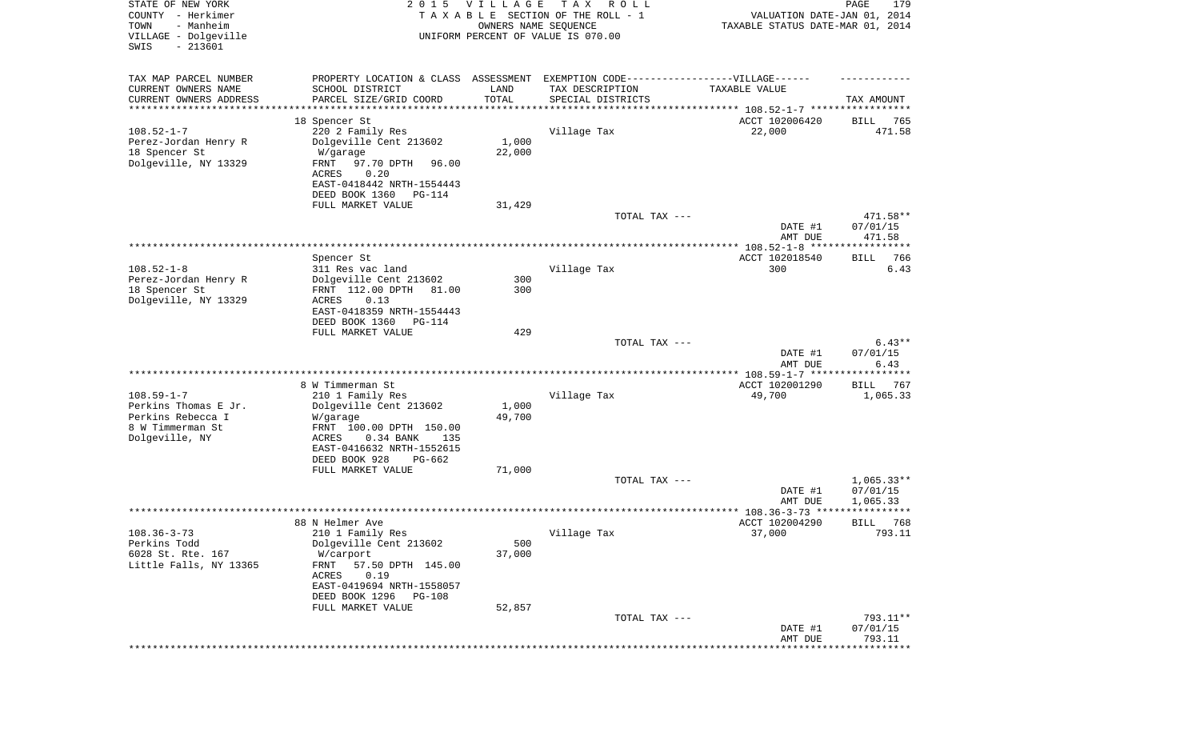| STATE OF NEW YORK<br>COUNTY - Herkimer<br>- Manheim<br>TOWN<br>VILLAGE - Dolgeville<br>SWIS<br>$-213601$ |                                                                                                                                                                                            | 2015 VILLAGE<br>OWNERS NAME SEQUENCE | T A X<br>ROLL<br>TAXABLE SECTION OF THE ROLL - 1<br>UNIFORM PERCENT OF VALUE IS 070.00 | VALUATION DATE-JAN 01, 2014<br>TAXABLE STATUS DATE-MAR 01, 2014 | PAGE<br>179                          |
|----------------------------------------------------------------------------------------------------------|--------------------------------------------------------------------------------------------------------------------------------------------------------------------------------------------|--------------------------------------|----------------------------------------------------------------------------------------|-----------------------------------------------------------------|--------------------------------------|
| TAX MAP PARCEL NUMBER<br>CURRENT OWNERS NAME                                                             | PROPERTY LOCATION & CLASS ASSESSMENT EXEMPTION CODE-----------------VILLAGE------<br>SCHOOL DISTRICT                                                                                       | LAND                                 | TAX DESCRIPTION                                                                        | TAXABLE VALUE                                                   |                                      |
| CURRENT OWNERS ADDRESS<br>********************                                                           | PARCEL SIZE/GRID COORD<br>****************                                                                                                                                                 | TOTAL<br>* * * * * * * * * * *       | SPECIAL DISTRICTS<br>********************************* 108.52-1-7 *****************    |                                                                 | TAX AMOUNT                           |
|                                                                                                          | 18 Spencer St                                                                                                                                                                              |                                      |                                                                                        | ACCT 102006420                                                  | 765<br>BILL                          |
| $108.52 - 1 - 7$<br>Perez-Jordan Henry R<br>18 Spencer St<br>Dolgeville, NY 13329                        | 220 2 Family Res<br>Dolgeville Cent 213602<br>W/garage<br>97.70 DPTH<br>FRNT<br>96.00<br>ACRES<br>0.20<br>EAST-0418442 NRTH-1554443<br>DEED BOOK 1360<br>PG-114                            | 1,000<br>22,000                      | Village Tax                                                                            | 22,000                                                          | 471.58                               |
|                                                                                                          | FULL MARKET VALUE                                                                                                                                                                          | 31,429                               |                                                                                        |                                                                 |                                      |
|                                                                                                          |                                                                                                                                                                                            |                                      | TOTAL TAX ---                                                                          | DATE #1                                                         | 471.58**<br>07/01/15                 |
|                                                                                                          |                                                                                                                                                                                            |                                      |                                                                                        | AMT DUE                                                         | 471.58                               |
|                                                                                                          | Spencer St                                                                                                                                                                                 |                                      |                                                                                        | ACCT 102018540                                                  | 766<br>BILL<br>6.43                  |
| $108.52 - 1 - 8$<br>Perez-Jordan Henry R<br>18 Spencer St<br>Dolgeville, NY 13329                        | 311 Res vac land<br>Dolgeville Cent 213602<br>FRNT 112.00 DPTH<br>81.00<br>ACRES<br>0.13<br>EAST-0418359 NRTH-1554443                                                                      | 300<br>300                           | Village Tax                                                                            | 300                                                             |                                      |
|                                                                                                          | DEED BOOK 1360<br>PG-114<br>FULL MARKET VALUE                                                                                                                                              | 429                                  |                                                                                        |                                                                 |                                      |
|                                                                                                          |                                                                                                                                                                                            |                                      | TOTAL TAX ---                                                                          | DATE #1<br>AMT DUE                                              | $6.43**$<br>07/01/15<br>6.43         |
|                                                                                                          |                                                                                                                                                                                            |                                      |                                                                                        | ************* 108.59-1-7 *****                                  | **********                           |
| $108.59 - 1 - 7$<br>Perkins Thomas E Jr.<br>Perkins Rebecca I<br>8 W Timmerman St<br>Dolgeville, NY      | 8 W Timmerman St<br>210 1 Family Res<br>Dolgeville Cent 213602<br>W/garage<br>FRNT 100.00 DPTH 150.00<br>ACRES<br>0.34 BANK<br>135<br>EAST-0416632 NRTH-1552615<br>DEED BOOK 928<br>PG-662 | 1,000<br>49,700                      | Village Tax                                                                            | ACCT 102001290<br>49,700                                        | 767<br>BILL<br>1,065.33              |
|                                                                                                          | FULL MARKET VALUE                                                                                                                                                                          | 71,000                               |                                                                                        |                                                                 |                                      |
|                                                                                                          |                                                                                                                                                                                            |                                      | TOTAL TAX ---                                                                          | DATE #1<br>AMT DUE                                              | $1,065.33**$<br>07/01/15<br>1,065.33 |
|                                                                                                          |                                                                                                                                                                                            |                                      |                                                                                        |                                                                 | * * * * * *                          |
| $108.36 - 3 - 73$<br>Perkins Todd<br>6028 St. Rte. 167<br>Little Falls, NY 13365                         | 88 N Helmer Ave<br>210 1 Family Res<br>Dolgeville Cent 213602<br>W/carport<br>57.50 DPTH 145.00<br>FRNT<br>ACRES<br>0.19<br>EAST-0419694 NRTH-1558057<br>DEED BOOK 1296<br>PG-108          | 500<br>37,000                        | Village Tax                                                                            | ACCT 102004290<br>37,000                                        | 768<br>BILL<br>793.11                |
|                                                                                                          | FULL MARKET VALUE                                                                                                                                                                          | 52,857                               |                                                                                        |                                                                 |                                      |
|                                                                                                          |                                                                                                                                                                                            |                                      | TOTAL TAX ---                                                                          | DATE #1<br>AMT DUE                                              | 793.11**<br>07/01/15<br>793.11       |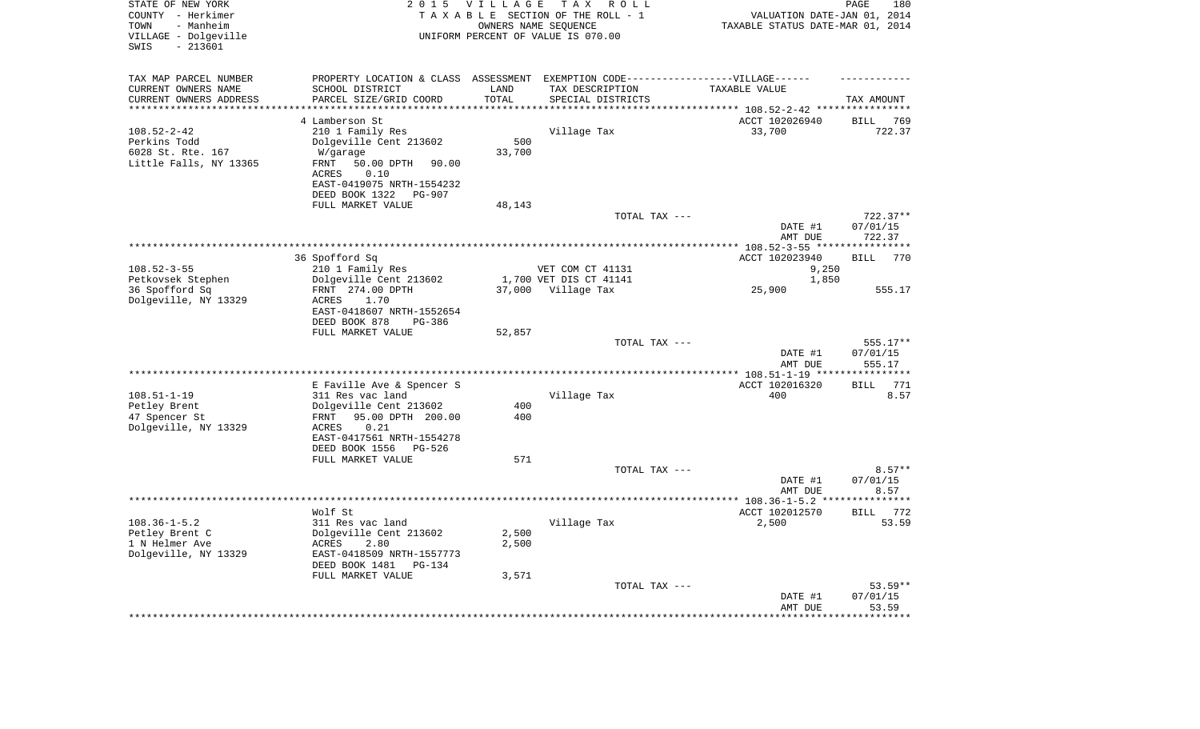| STATE OF NEW YORK<br>COUNTY - Herkimer<br>- Manheim<br>TOWN<br>VILLAGE - Dolgeville<br>$-213601$<br>SWIS | 2 0 1 5                                                      | <b>VILLAGE</b> | T A X<br>ROLL<br>TAXABLE SECTION OF THE ROLL - 1<br>OWNERS NAME SEQUENCE<br>UNIFORM PERCENT OF VALUE IS 070.00 | VALUATION DATE-JAN 01, 2014<br>TAXABLE STATUS DATE-MAR 01, 2014 | PAGE<br>180                |
|----------------------------------------------------------------------------------------------------------|--------------------------------------------------------------|----------------|----------------------------------------------------------------------------------------------------------------|-----------------------------------------------------------------|----------------------------|
| TAX MAP PARCEL NUMBER                                                                                    |                                                              |                | PROPERTY LOCATION & CLASS ASSESSMENT EXEMPTION CODE-----------------VILLAGE------                              |                                                                 |                            |
| CURRENT OWNERS NAME                                                                                      | SCHOOL DISTRICT                                              | LAND           | TAX DESCRIPTION                                                                                                | TAXABLE VALUE                                                   |                            |
| CURRENT OWNERS ADDRESS                                                                                   | PARCEL SIZE/GRID COORD                                       | TOTAL          | SPECIAL DISTRICTS                                                                                              |                                                                 | TAX AMOUNT                 |
| ********************                                                                                     | ******************                                           | ********       |                                                                                                                | ************** 108.52-2-42 ****                                 | ************               |
|                                                                                                          | 4 Lamberson St                                               |                |                                                                                                                | ACCT 102026940                                                  | <b>BILL</b><br>769         |
| $108.52 - 2 - 42$                                                                                        | 210 1 Family Res                                             |                | Village Tax                                                                                                    | 33,700                                                          | 722.37                     |
| Perkins Todd<br>6028 St. Rte. 167                                                                        | Dolgeville Cent 213602<br>W/garage                           | 500<br>33,700  |                                                                                                                |                                                                 |                            |
| Little Falls, NY 13365                                                                                   | 50.00 DPTH<br>FRNT<br>90.00<br><b>ACRES</b><br>0.10          |                |                                                                                                                |                                                                 |                            |
|                                                                                                          | EAST-0419075 NRTH-1554232<br>DEED BOOK 1322<br><b>PG-907</b> |                |                                                                                                                |                                                                 |                            |
|                                                                                                          | FULL MARKET VALUE                                            | 48,143         |                                                                                                                |                                                                 |                            |
|                                                                                                          |                                                              |                | TOTAL TAX ---                                                                                                  |                                                                 | 722.37**                   |
|                                                                                                          |                                                              |                |                                                                                                                | DATE #1<br>AMT DUE                                              | 07/01/15<br>722.37         |
|                                                                                                          |                                                              |                | *******************                                                                                            | * $108.52 - 3 - 55$ **                                          | *********                  |
|                                                                                                          | 36 Spofford Sq                                               |                |                                                                                                                | ACCT 102023940                                                  | 770<br><b>BILL</b>         |
| $108.52 - 3 - 55$                                                                                        | 210 1 Family Res                                             |                | VET COM CT 41131                                                                                               | 9,250                                                           |                            |
| Petkovsek Stephen<br>36 Spofford Sq                                                                      | Dolgeville Cent 213602<br>FRNT 274.00 DPTH                   | 37,000         | 1,700 VET DIS CT 41141<br>Village Tax                                                                          | 1,850<br>25,900                                                 | 555.17                     |
| Dolgeville, NY 13329                                                                                     | 1.70<br>ACRES                                                |                |                                                                                                                |                                                                 |                            |
|                                                                                                          | EAST-0418607 NRTH-1552654<br>DEED BOOK 878<br>$PG-386$       |                |                                                                                                                |                                                                 |                            |
|                                                                                                          | FULL MARKET VALUE                                            | 52,857         |                                                                                                                |                                                                 |                            |
|                                                                                                          |                                                              |                | TOTAL TAX ---                                                                                                  |                                                                 | 555.17**                   |
| ***********************                                                                                  |                                                              |                |                                                                                                                | DATE #1<br>AMT DUE                                              | 07/01/15<br>555.17         |
|                                                                                                          |                                                              |                |                                                                                                                | **************** 108.51-1-19 ***                                | ********                   |
| $108.51 - 1 - 19$                                                                                        | E Faville Ave & Spencer S<br>311 Res vac land                |                | Village Tax                                                                                                    | ACCT 102016320<br>400                                           | <b>BILL</b><br>771<br>8.57 |
| Petley Brent                                                                                             | Dolgeville Cent 213602                                       | 400            |                                                                                                                |                                                                 |                            |
| 47 Spencer St<br>Dolgeville, NY 13329                                                                    | 95.00 DPTH 200.00<br>FRNT<br>0.21<br>ACRES                   | 400            |                                                                                                                |                                                                 |                            |
|                                                                                                          | EAST-0417561 NRTH-1554278<br>DEED BOOK 1556<br>PG-526        |                |                                                                                                                |                                                                 |                            |
|                                                                                                          | FULL MARKET VALUE                                            | 571            |                                                                                                                |                                                                 |                            |
|                                                                                                          |                                                              |                | TOTAL TAX ---                                                                                                  | DATE #1                                                         | $8.57**$<br>07/01/15       |
|                                                                                                          |                                                              |                |                                                                                                                | AMT DUE                                                         | 8.57                       |
|                                                                                                          |                                                              |                | ********************                                                                                           | $** 108.36 - 1 - 5.2$ *                                         |                            |
|                                                                                                          | Wolf St                                                      |                |                                                                                                                | ACCT 102012570                                                  | 772<br><b>BILL</b>         |
| $108.36 - 1 - 5.2$                                                                                       | 311 Res vac land                                             |                | Village Tax                                                                                                    | 2,500                                                           | 53.59                      |
| Petley Brent C<br>1 N Helmer Ave                                                                         | Dolgeville Cent 213602<br>ACRES<br>2.80                      | 2,500<br>2,500 |                                                                                                                |                                                                 |                            |
| Dolgeville, NY 13329                                                                                     | EAST-0418509 NRTH-1557773                                    |                |                                                                                                                |                                                                 |                            |
|                                                                                                          | DEED BOOK 1481<br>$PG-134$                                   |                |                                                                                                                |                                                                 |                            |
|                                                                                                          | FULL MARKET VALUE                                            | 3,571          |                                                                                                                |                                                                 |                            |
|                                                                                                          |                                                              |                | TOTAL TAX ---                                                                                                  | DATE #1                                                         | $53.59**$<br>07/01/15      |
|                                                                                                          |                                                              |                |                                                                                                                | AMT DUE                                                         | 53.59                      |
|                                                                                                          |                                                              |                |                                                                                                                |                                                                 |                            |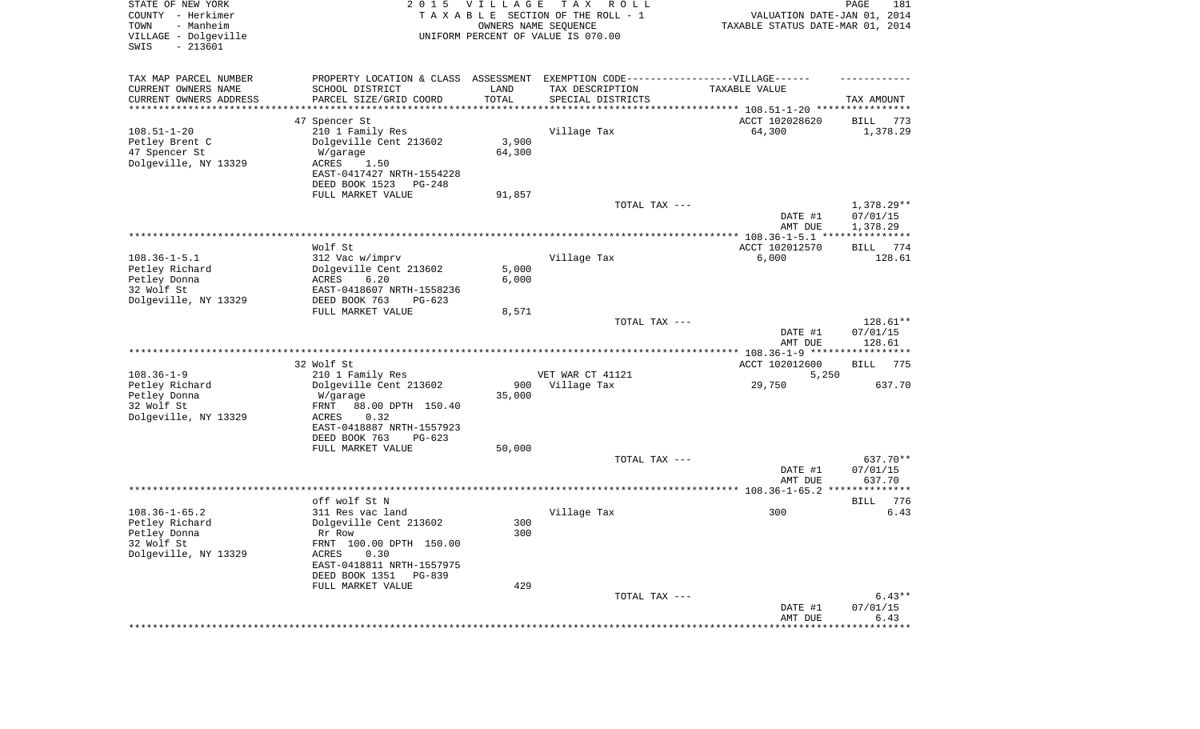| STATE OF NEW YORK<br>COUNTY - Herkimer<br>- Manheim<br>TOWN<br>VILLAGE - Dolgeville | 2 0 1 5                                                                           | VILLAGE<br>OWNERS NAME SEQUENCE | TAX ROLL<br>TAXABLE SECTION OF THE ROLL - 1<br>UNIFORM PERCENT OF VALUE IS 070.00 | VALUATION DATE-JAN 01, 2014<br>TAXABLE STATUS DATE-MAR 01, 2014 | PAGE<br>181            |
|-------------------------------------------------------------------------------------|-----------------------------------------------------------------------------------|---------------------------------|-----------------------------------------------------------------------------------|-----------------------------------------------------------------|------------------------|
| $-213601$<br>SWIS                                                                   |                                                                                   |                                 |                                                                                   |                                                                 |                        |
| TAX MAP PARCEL NUMBER                                                               | PROPERTY LOCATION & CLASS ASSESSMENT EXEMPTION CODE-----------------VILLAGE------ |                                 |                                                                                   |                                                                 |                        |
| CURRENT OWNERS NAME<br>CURRENT OWNERS ADDRESS                                       | SCHOOL DISTRICT<br>PARCEL SIZE/GRID COORD                                         | LAND<br>TOTAL                   | TAX DESCRIPTION<br>SPECIAL DISTRICTS                                              | TAXABLE VALUE                                                   | TAX AMOUNT             |
| *********************                                                               |                                                                                   |                                 |                                                                                   |                                                                 |                        |
|                                                                                     | 47 Spencer St                                                                     |                                 |                                                                                   | ACCT 102028620                                                  | BILL<br>773            |
| $108.51 - 1 - 20$<br>Petley Brent C                                                 | 210 1 Family Res                                                                  | 3,900                           | Village Tax                                                                       | 64,300                                                          | 1,378.29               |
| 47 Spencer St                                                                       | Dolgeville Cent 213602<br>W/garage                                                | 64,300                          |                                                                                   |                                                                 |                        |
| Dolgeville, NY 13329                                                                | 1.50<br>ACRES                                                                     |                                 |                                                                                   |                                                                 |                        |
|                                                                                     | EAST-0417427 NRTH-1554228                                                         |                                 |                                                                                   |                                                                 |                        |
|                                                                                     | DEED BOOK 1523<br>PG-248                                                          |                                 |                                                                                   |                                                                 |                        |
|                                                                                     | FULL MARKET VALUE                                                                 | 91,857                          |                                                                                   |                                                                 |                        |
|                                                                                     |                                                                                   |                                 | TOTAL TAX ---                                                                     | DATE #1                                                         | 1,378.29**<br>07/01/15 |
|                                                                                     |                                                                                   |                                 |                                                                                   | AMT DUE                                                         | 1,378.29               |
|                                                                                     |                                                                                   |                                 |                                                                                   |                                                                 |                        |
|                                                                                     | Wolf St                                                                           |                                 |                                                                                   | ACCT 102012570                                                  | 774<br>BILL            |
| $108.36 - 1 - 5.1$                                                                  | 312 Vac w/imprv                                                                   |                                 | Village Tax                                                                       | 6,000                                                           | 128.61                 |
| Petley Richard<br>Petley Donna                                                      | Dolgeville Cent 213602<br>ACRES<br>6.20                                           | 5,000<br>6,000                  |                                                                                   |                                                                 |                        |
| 32 Wolf St                                                                          | EAST-0418607 NRTH-1558236                                                         |                                 |                                                                                   |                                                                 |                        |
| Dolgeville, NY 13329                                                                | DEED BOOK 763<br>$PG-623$                                                         |                                 |                                                                                   |                                                                 |                        |
|                                                                                     | FULL MARKET VALUE                                                                 | 8,571                           |                                                                                   |                                                                 |                        |
|                                                                                     |                                                                                   |                                 | TOTAL TAX ---                                                                     |                                                                 | 128.61**               |
|                                                                                     |                                                                                   |                                 |                                                                                   | DATE #1<br>AMT DUE                                              | 07/01/15<br>128.61     |
|                                                                                     |                                                                                   |                                 |                                                                                   |                                                                 |                        |
|                                                                                     | 32 Wolf St                                                                        |                                 |                                                                                   | ACCT 102012600                                                  | BILL<br>775            |
| $108.36 - 1 - 9$                                                                    | 210 1 Family Res                                                                  |                                 | VET WAR CT 41121                                                                  | 5,250                                                           |                        |
| Petley Richard                                                                      | Dolgeville Cent 213602                                                            | 900                             | Village Tax                                                                       | 29,750                                                          | 637.70                 |
| Petley Donna<br>32 Wolf St                                                          | W/garage<br>88.00 DPTH 150.40<br>FRNT                                             | 35,000                          |                                                                                   |                                                                 |                        |
| Dolgeville, NY 13329                                                                | ACRES<br>0.32                                                                     |                                 |                                                                                   |                                                                 |                        |
|                                                                                     | EAST-0418887 NRTH-1557923                                                         |                                 |                                                                                   |                                                                 |                        |
|                                                                                     | DEED BOOK 763<br>$PG-623$                                                         |                                 |                                                                                   |                                                                 |                        |
|                                                                                     | FULL MARKET VALUE                                                                 | 50,000                          |                                                                                   |                                                                 |                        |
|                                                                                     |                                                                                   |                                 | TOTAL TAX ---                                                                     | DATE #1                                                         | 637.70**<br>07/01/15   |
|                                                                                     |                                                                                   |                                 |                                                                                   | AMT DUE                                                         | 637.70                 |
|                                                                                     |                                                                                   |                                 |                                                                                   |                                                                 |                        |
|                                                                                     | off wolf St N                                                                     |                                 |                                                                                   |                                                                 | 776<br>BILL            |
| $108.36 - 1 - 65.2$                                                                 | 311 Res vac land                                                                  |                                 | Village Tax                                                                       | 300                                                             | 6.43                   |
| Petley Richard<br>Petley Donna                                                      | Dolgeville Cent 213602<br>Rr Row                                                  | 300<br>300                      |                                                                                   |                                                                 |                        |
| 32 Wolf St                                                                          | FRNT 100.00 DPTH 150.00                                                           |                                 |                                                                                   |                                                                 |                        |
| Dolgeville, NY 13329                                                                | ACRES<br>0.30                                                                     |                                 |                                                                                   |                                                                 |                        |
|                                                                                     | EAST-0418811 NRTH-1557975                                                         |                                 |                                                                                   |                                                                 |                        |
|                                                                                     | DEED BOOK 1351<br>PG-839                                                          |                                 |                                                                                   |                                                                 |                        |
|                                                                                     | FULL MARKET VALUE                                                                 | 429                             | TOTAL TAX ---                                                                     |                                                                 | $6.43**$               |
|                                                                                     |                                                                                   |                                 |                                                                                   | DATE #1                                                         | 07/01/15               |
|                                                                                     |                                                                                   |                                 |                                                                                   | AMT DUE                                                         | 6.43                   |
|                                                                                     |                                                                                   |                                 |                                                                                   |                                                                 |                        |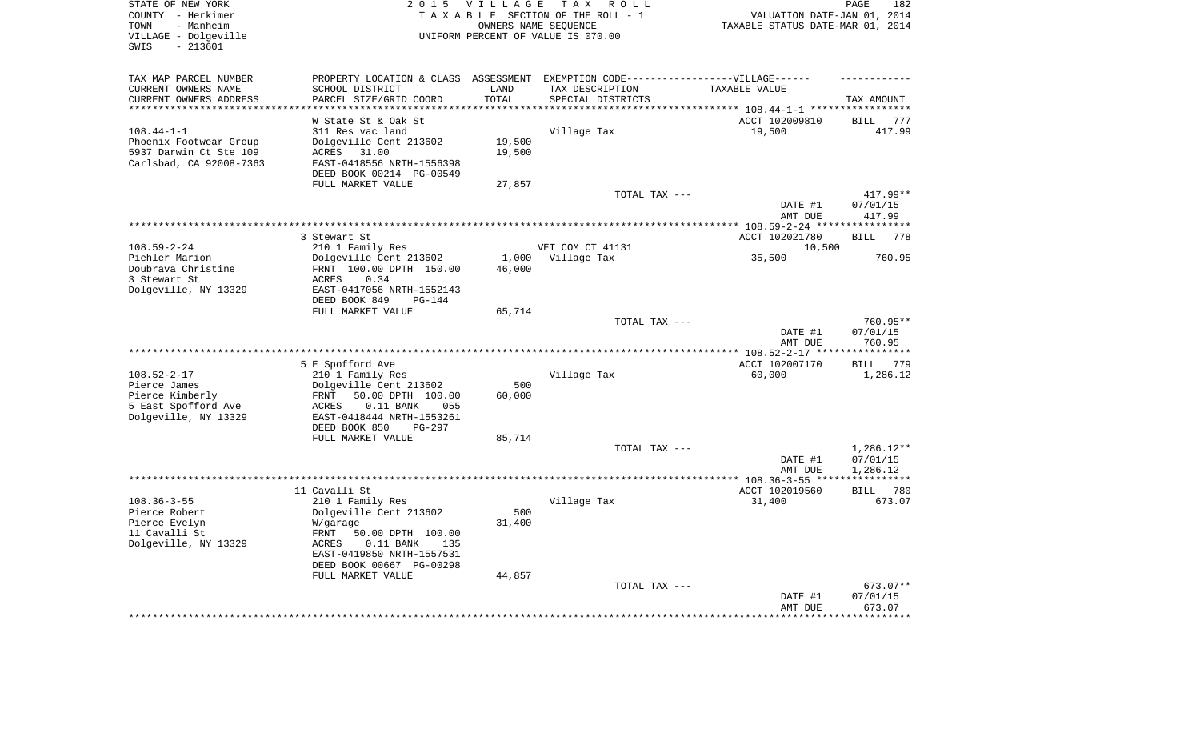| STATE OF NEW YORK<br>COUNTY - Herkimer<br>- Manheim<br>TOWN<br>VILLAGE - Dolgeville<br>$-213601$<br>SWIS | 2 0 1 5                                                                                                                                                          | <b>VILLAGE</b><br>OWNERS NAME SEQUENCE | T A X<br>ROLL<br>TAXABLE SECTION OF THE ROLL - 1<br>UNIFORM PERCENT OF VALUE IS 070.00 | VALUATION DATE-JAN 01, 2014<br>TAXABLE STATUS DATE-MAR 01, 2014 | PAGE<br>182                        |
|----------------------------------------------------------------------------------------------------------|------------------------------------------------------------------------------------------------------------------------------------------------------------------|----------------------------------------|----------------------------------------------------------------------------------------|-----------------------------------------------------------------|------------------------------------|
| TAX MAP PARCEL NUMBER<br>CURRENT OWNERS NAME<br>CURRENT OWNERS ADDRESS                                   | PROPERTY LOCATION & CLASS ASSESSMENT EXEMPTION CODE-----------------VILLAGE------<br>SCHOOL DISTRICT<br>PARCEL SIZE/GRID COORD                                   | LAND<br>TOTAL                          | TAX DESCRIPTION<br>SPECIAL DISTRICTS                                                   | TAXABLE VALUE                                                   | TAX AMOUNT                         |
| *********************                                                                                    | *******************                                                                                                                                              | *********                              |                                                                                        |                                                                 |                                    |
| $108.44 - 1 - 1$<br>Phoenix Footwear Group<br>5937 Darwin Ct Ste 109<br>Carlsbad, CA 92008-7363          | W State St & Oak St<br>311 Res vac land<br>Dolgeville Cent 213602<br>ACRES<br>31.00<br>EAST-0418556 NRTH-1556398<br>DEED BOOK 00214 PG-00549                     | 19,500<br>19,500                       | Village Tax                                                                            | ACCT 102009810<br>19,500                                        | BILL<br>777<br>417.99              |
|                                                                                                          | FULL MARKET VALUE                                                                                                                                                | 27,857                                 |                                                                                        |                                                                 |                                    |
|                                                                                                          |                                                                                                                                                                  |                                        | TOTAL TAX ---                                                                          | DATE #1<br>AMT DUE                                              | 417.99**<br>07/01/15<br>417.99     |
|                                                                                                          |                                                                                                                                                                  |                                        |                                                                                        |                                                                 |                                    |
| $108.59 - 2 - 24$<br>Piehler Marion<br>Doubrava Christine                                                | 3 Stewart St<br>210 1 Family Res<br>Dolgeville Cent 213602<br>FRNT 100.00 DPTH 150.00                                                                            | 1,000<br>46,000                        | VET COM CT 41131<br>Village Tax                                                        | ACCT 102021780<br>10,500<br>35,500                              | <b>BILL</b><br>778<br>760.95       |
| 3 Stewart St<br>Dolgeville, NY 13329                                                                     | <b>ACRES</b><br>0.34<br>EAST-0417056 NRTH-1552143<br>DEED BOOK 849<br>$PG-144$<br>FULL MARKET VALUE                                                              | 65,714                                 |                                                                                        |                                                                 |                                    |
|                                                                                                          |                                                                                                                                                                  |                                        | TOTAL TAX ---                                                                          |                                                                 | 760.95**                           |
|                                                                                                          |                                                                                                                                                                  |                                        |                                                                                        | DATE #1<br>AMT DUE                                              | 07/01/15<br>760.95<br>*********    |
|                                                                                                          | 5 E Spofford Ave                                                                                                                                                 |                                        |                                                                                        | ACCT 102007170                                                  | <b>BILL</b><br>779                 |
| $108.52 - 2 - 17$<br>Pierce James<br>Pierce Kimberly<br>5 East Spofford Ave<br>Dolgeville, NY 13329      | 210 1 Family Res<br>Dolgeville Cent 213602<br><b>FRNT</b><br>50.00 DPTH 100.00<br>ACRES<br>$0.11$ BANK<br>055<br>EAST-0418444 NRTH-1553261                       | 500<br>60,000                          | Village Tax                                                                            | 60,000                                                          | 1,286.12                           |
|                                                                                                          | DEED BOOK 850<br><b>PG-297</b>                                                                                                                                   |                                        |                                                                                        |                                                                 |                                    |
|                                                                                                          | FULL MARKET VALUE                                                                                                                                                | 85,714                                 |                                                                                        |                                                                 |                                    |
|                                                                                                          |                                                                                                                                                                  |                                        | TOTAL TAX ---                                                                          | DATE #1<br>AMT DUE                                              | 1,286.12**<br>07/01/15<br>1,286.12 |
|                                                                                                          |                                                                                                                                                                  |                                        |                                                                                        |                                                                 | * * * * * * * * * * *              |
| $108.36 - 3 - 55$<br>Pierce Robert<br>Pierce Evelyn<br>11 Cavalli St<br>Dolgeville, NY 13329             | 11 Cavalli St<br>210 1 Family Res<br>Dolgeville Cent 213602<br>W/garage<br>FRNT<br>50.00 DPTH 100.00<br>$0.11$ BANK<br>ACRES<br>135<br>EAST-0419850 NRTH-1557531 | 500<br>31,400                          | Village Tax                                                                            | ACCT 102019560<br>31,400                                        | 780<br>BILL<br>673.07              |
|                                                                                                          | DEED BOOK 00667 PG-00298                                                                                                                                         |                                        |                                                                                        |                                                                 |                                    |
|                                                                                                          | FULL MARKET VALUE                                                                                                                                                | 44,857                                 | TOTAL TAX ---                                                                          | DATE #1<br>AMT DUE                                              | 673.07**<br>07/01/15<br>673.07     |
|                                                                                                          |                                                                                                                                                                  |                                        |                                                                                        | ************                                                    | *********                          |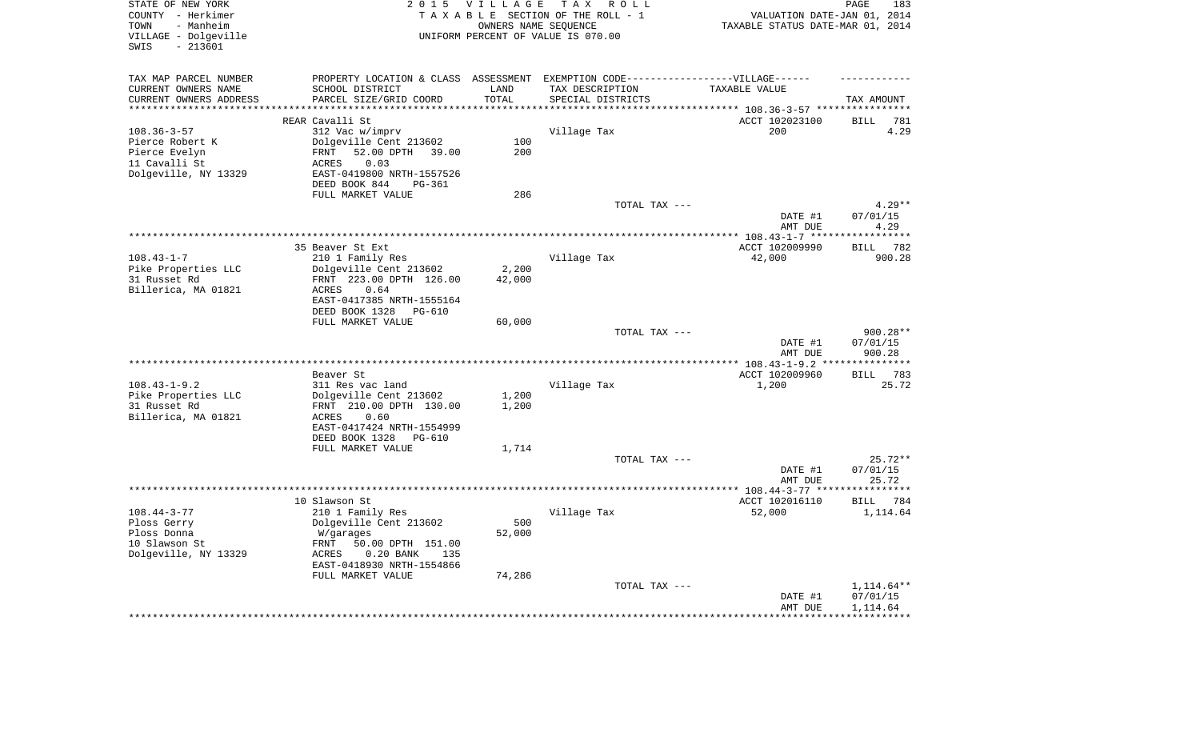| STATE OF NEW YORK<br>COUNTY - Herkimer<br>- Manheim<br>TOWN<br>VILLAGE - Dolgeville<br>$-213601$ | 2 0 1 5                                    | <b>VILLAGE</b>    | T A X<br>R O L L<br>TAXABLE SECTION OF THE ROLL - 1<br>OWNERS NAME SEQUENCE<br>UNIFORM PERCENT OF VALUE IS 070.00 | VALUATION DATE-JAN 01, 2014<br>TAXABLE STATUS DATE-MAR 01, 2014 | PAGE<br>183              |
|--------------------------------------------------------------------------------------------------|--------------------------------------------|-------------------|-------------------------------------------------------------------------------------------------------------------|-----------------------------------------------------------------|--------------------------|
| SWIS                                                                                             |                                            |                   |                                                                                                                   |                                                                 |                          |
| TAX MAP PARCEL NUMBER                                                                            | PROPERTY LOCATION & CLASS ASSESSMENT       |                   | EXEMPTION CODE------------------VILLAGE------                                                                     |                                                                 |                          |
| CURRENT OWNERS NAME                                                                              | SCHOOL DISTRICT                            | LAND              | TAX DESCRIPTION                                                                                                   | TAXABLE VALUE                                                   |                          |
| CURRENT OWNERS ADDRESS                                                                           | PARCEL SIZE/GRID COORD                     | TOTAL             | SPECIAL DISTRICTS                                                                                                 |                                                                 | TAX AMOUNT               |
| *******************                                                                              |                                            | * * * * * * * * * | ****************                                                                                                  | *********** 108.36-3-57 *****************                       |                          |
|                                                                                                  | REAR Cavalli St                            |                   |                                                                                                                   | ACCT 102023100                                                  | <b>BILL</b><br>781       |
| $108.36 - 3 - 57$                                                                                | 312 Vac w/imprv                            |                   | Village Tax                                                                                                       | 200                                                             | 4.29                     |
| Pierce Robert K                                                                                  | Dolgeville Cent 213602                     | 100               |                                                                                                                   |                                                                 |                          |
| Pierce Evelyn                                                                                    | 52.00 DPTH<br>FRNT<br>39.00                | 200               |                                                                                                                   |                                                                 |                          |
| 11 Cavalli St<br>Dolgeville, NY 13329                                                            | 0.03<br>ACRES<br>EAST-0419800 NRTH-1557526 |                   |                                                                                                                   |                                                                 |                          |
|                                                                                                  | DEED BOOK 844<br>PG-361                    |                   |                                                                                                                   |                                                                 |                          |
|                                                                                                  | FULL MARKET VALUE                          | 286               |                                                                                                                   |                                                                 |                          |
|                                                                                                  |                                            |                   | TOTAL TAX ---                                                                                                     |                                                                 | $4.29**$                 |
|                                                                                                  |                                            |                   |                                                                                                                   | DATE #1                                                         | 07/01/15                 |
|                                                                                                  |                                            |                   |                                                                                                                   | AMT DUE                                                         | 4.29                     |
|                                                                                                  |                                            |                   | **********************                                                                                            | ** $108.43 - 1 - 7$ ***                                         |                          |
|                                                                                                  | 35 Beaver St Ext                           |                   |                                                                                                                   | ACCT 102009990                                                  | 782<br>BILL              |
| $108.43 - 1 - 7$                                                                                 | 210 1 Family Res                           |                   | Village Tax                                                                                                       | 42,000                                                          | 900.28                   |
| Pike Properties LLC                                                                              | Dolgeville Cent 213602                     | 2,200             |                                                                                                                   |                                                                 |                          |
| 31 Russet Rd                                                                                     | FRNT 223.00 DPTH 126.00                    | 42,000            |                                                                                                                   |                                                                 |                          |
| Billerica, MA 01821                                                                              | 0.64<br>ACRES                              |                   |                                                                                                                   |                                                                 |                          |
|                                                                                                  | EAST-0417385 NRTH-1555164                  |                   |                                                                                                                   |                                                                 |                          |
|                                                                                                  | DEED BOOK 1328<br>PG-610                   |                   |                                                                                                                   |                                                                 |                          |
|                                                                                                  | FULL MARKET VALUE                          | 60,000            | TOTAL TAX ---                                                                                                     |                                                                 | 900.28**                 |
|                                                                                                  |                                            |                   |                                                                                                                   | DATE #1                                                         | 07/01/15                 |
|                                                                                                  |                                            |                   |                                                                                                                   | AMT DUE                                                         | 900.28                   |
|                                                                                                  |                                            |                   |                                                                                                                   | ** 108.43-1-9.2 *                                               | *********                |
|                                                                                                  | Beaver St                                  |                   |                                                                                                                   | ACCT 102009960                                                  | 783<br><b>BILL</b>       |
| $108.43 - 1 - 9.2$                                                                               | 311 Res vac land                           |                   | Village Tax                                                                                                       | 1,200                                                           | 25.72                    |
| Pike Properties LLC                                                                              | Dolgeville Cent 213602                     | 1,200             |                                                                                                                   |                                                                 |                          |
| 31 Russet Rd                                                                                     | FRNT 210.00 DPTH 130.00                    | 1,200             |                                                                                                                   |                                                                 |                          |
| Billerica, MA 01821                                                                              | ACRES<br>0.60                              |                   |                                                                                                                   |                                                                 |                          |
|                                                                                                  | EAST-0417424 NRTH-1554999                  |                   |                                                                                                                   |                                                                 |                          |
|                                                                                                  | DEED BOOK 1328<br><b>PG-610</b>            |                   |                                                                                                                   |                                                                 |                          |
|                                                                                                  | FULL MARKET VALUE                          | 1,714             |                                                                                                                   |                                                                 |                          |
|                                                                                                  |                                            |                   | TOTAL TAX ---                                                                                                     |                                                                 | $25.72**$                |
|                                                                                                  |                                            |                   |                                                                                                                   | DATE #1                                                         | 07/01/15                 |
|                                                                                                  |                                            |                   |                                                                                                                   | AMT DUE<br>********** 108.44-3-77 ***                           | 25.72<br>* * * * * * * * |
|                                                                                                  | 10 Slawson St                              |                   |                                                                                                                   | ACCT 102016110                                                  | <b>BILL</b><br>784       |
| $108.44 - 3 - 77$                                                                                | 210 1 Family Res                           |                   | Village Tax                                                                                                       | 52,000                                                          | 1,114.64                 |
| Ploss Gerry                                                                                      | Dolgeville Cent 213602                     | 500               |                                                                                                                   |                                                                 |                          |
| Ploss Donna                                                                                      | W/garages                                  | 52,000            |                                                                                                                   |                                                                 |                          |
| 10 Slawson St                                                                                    | FRNT<br>50.00 DPTH 151.00                  |                   |                                                                                                                   |                                                                 |                          |
| Dolgeville, NY 13329                                                                             | ACRES<br>$0.20$ BANK<br>135                |                   |                                                                                                                   |                                                                 |                          |
|                                                                                                  | EAST-0418930 NRTH-1554866                  |                   |                                                                                                                   |                                                                 |                          |
|                                                                                                  | FULL MARKET VALUE                          | 74,286            |                                                                                                                   |                                                                 |                          |
|                                                                                                  |                                            |                   | TOTAL TAX ---                                                                                                     |                                                                 | $1,114.64**$             |
|                                                                                                  |                                            |                   |                                                                                                                   | DATE #1                                                         | 07/01/15                 |
|                                                                                                  |                                            |                   |                                                                                                                   | AMT DUE                                                         | 1,114.64                 |
|                                                                                                  |                                            |                   |                                                                                                                   |                                                                 |                          |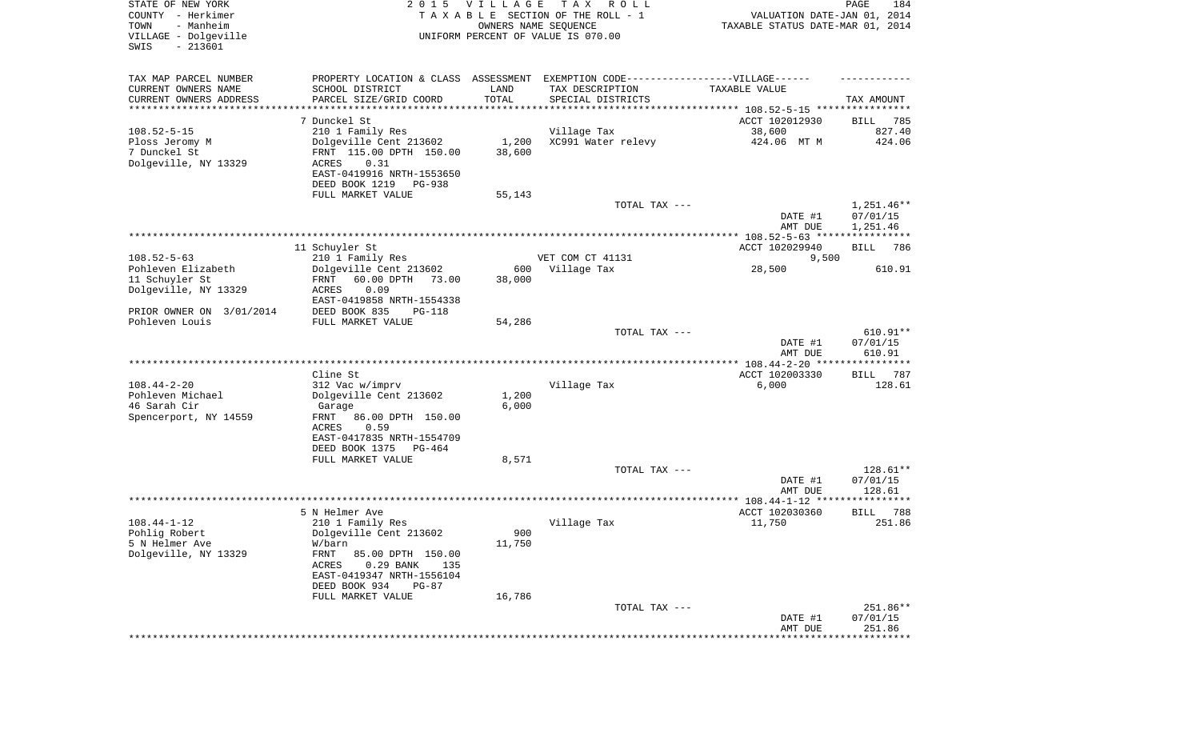| STATE OF NEW YORK<br>COUNTY - Herkimer<br>- Manheim<br>TOWN<br>VILLAGE - Dolgeville<br>SWIS<br>$-213601$ |                                                       | 2015 VILLAGE  | T A X<br>R O L L<br>TAXABLE SECTION OF THE ROLL - 1<br>OWNERS NAME SEQUENCE<br>UNIFORM PERCENT OF VALUE IS 070.00 | VALUATION DATE-JAN 01, 2014<br>TAXABLE STATUS DATE-MAR 01, 2014 | PAGE<br>184          |
|----------------------------------------------------------------------------------------------------------|-------------------------------------------------------|---------------|-------------------------------------------------------------------------------------------------------------------|-----------------------------------------------------------------|----------------------|
| TAX MAP PARCEL NUMBER                                                                                    |                                                       |               | PROPERTY LOCATION & CLASS ASSESSMENT EXEMPTION CODE----------------VILLAGE------                                  |                                                                 |                      |
| CURRENT OWNERS NAME                                                                                      | SCHOOL DISTRICT                                       | LAND          | TAX DESCRIPTION                                                                                                   | TAXABLE VALUE                                                   |                      |
| CURRENT OWNERS ADDRESS<br>********************                                                           | PARCEL SIZE/GRID COORD                                | TOTAL         | SPECIAL DISTRICTS                                                                                                 |                                                                 | TAX AMOUNT           |
|                                                                                                          | 7 Dunckel St                                          |               |                                                                                                                   | ACCT 102012930                                                  | 785<br>BILL          |
| $108.52 - 5 - 15$                                                                                        | 210 1 Family Res                                      |               | Village Tax                                                                                                       | 38,600                                                          | 827.40               |
| Ploss Jeromy M                                                                                           | Dolgeville Cent 213602                                | 1,200         | XC991 Water relevy                                                                                                | 424.06 MT M                                                     | 424.06               |
| 7 Dunckel St                                                                                             | FRNT 115.00 DPTH 150.00                               | 38,600        |                                                                                                                   |                                                                 |                      |
| Dolgeville, NY 13329                                                                                     | ACRES<br>0.31                                         |               |                                                                                                                   |                                                                 |                      |
|                                                                                                          | EAST-0419916 NRTH-1553650<br>DEED BOOK 1219<br>PG-938 |               |                                                                                                                   |                                                                 |                      |
|                                                                                                          | FULL MARKET VALUE                                     | 55,143        |                                                                                                                   |                                                                 |                      |
|                                                                                                          |                                                       |               | TOTAL TAX ---                                                                                                     |                                                                 | $1,251.46**$         |
|                                                                                                          |                                                       |               |                                                                                                                   | DATE #1<br>AMT DUE                                              | 07/01/15<br>1,251.46 |
|                                                                                                          |                                                       |               |                                                                                                                   |                                                                 |                      |
|                                                                                                          | 11 Schuyler St                                        |               | VET COM CT 41131                                                                                                  | ACCT 102029940                                                  | <b>BILL</b><br>786   |
| $108.52 - 5 - 63$<br>Pohleven Elizabeth                                                                  | 210 1 Family Res<br>Dolgeville Cent 213602            | 600           | Village Tax                                                                                                       | 9,500<br>28,500                                                 | 610.91               |
| 11 Schuyler St                                                                                           | FRNT<br>60.00 DPTH<br>73.00                           | 38,000        |                                                                                                                   |                                                                 |                      |
| Dolgeville, NY 13329                                                                                     | 0.09<br>ACRES                                         |               |                                                                                                                   |                                                                 |                      |
|                                                                                                          | EAST-0419858 NRTH-1554338                             |               |                                                                                                                   |                                                                 |                      |
| PRIOR OWNER ON 3/01/2014                                                                                 | DEED BOOK 835<br>$PG-118$                             |               |                                                                                                                   |                                                                 |                      |
| Pohleven Louis                                                                                           | FULL MARKET VALUE                                     | 54,286        |                                                                                                                   |                                                                 | $610.91**$           |
|                                                                                                          |                                                       |               | TOTAL TAX ---                                                                                                     | DATE #1                                                         | 07/01/15             |
|                                                                                                          |                                                       |               |                                                                                                                   | AMT DUE                                                         | 610.91               |
|                                                                                                          |                                                       |               |                                                                                                                   |                                                                 |                      |
|                                                                                                          | Cline St                                              |               |                                                                                                                   | ACCT 102003330                                                  | <b>BILL</b><br>787   |
| $108.44 - 2 - 20$<br>Pohleven Michael                                                                    | 312 Vac w/imprv<br>Dolgeville Cent 213602             | 1,200         | Village Tax                                                                                                       | 6,000                                                           | 128.61               |
| 46 Sarah Cir                                                                                             | Garage                                                | 6,000         |                                                                                                                   |                                                                 |                      |
| Spencerport, NY 14559                                                                                    | FRNT<br>86.00 DPTH 150.00                             |               |                                                                                                                   |                                                                 |                      |
|                                                                                                          | ACRES<br>0.59                                         |               |                                                                                                                   |                                                                 |                      |
|                                                                                                          | EAST-0417835 NRTH-1554709                             |               |                                                                                                                   |                                                                 |                      |
|                                                                                                          | DEED BOOK 1375<br>PG-464                              |               |                                                                                                                   |                                                                 |                      |
|                                                                                                          | FULL MARKET VALUE                                     | 8,571         | TOTAL TAX ---                                                                                                     |                                                                 | 128.61**             |
|                                                                                                          |                                                       |               |                                                                                                                   | DATE #1                                                         | 07/01/15             |
|                                                                                                          |                                                       |               |                                                                                                                   | AMT DUE                                                         | 128.61               |
|                                                                                                          |                                                       |               |                                                                                                                   |                                                                 |                      |
|                                                                                                          | 5 N Helmer Ave                                        |               |                                                                                                                   | ACCT 102030360                                                  | 788<br><b>BILL</b>   |
| $108.44 - 1 - 12$                                                                                        | 210 1 Family Res                                      |               | Village Tax                                                                                                       | 11,750                                                          | 251.86               |
| Pohlig Robert<br>5 N Helmer Ave                                                                          | Dolgeville Cent 213602<br>W/barn                      | 900<br>11,750 |                                                                                                                   |                                                                 |                      |
| Dolgeville, NY 13329                                                                                     | FRNT<br>85.00 DPTH 150.00                             |               |                                                                                                                   |                                                                 |                      |
|                                                                                                          | ACRES<br>$0.29$ BANK<br>135                           |               |                                                                                                                   |                                                                 |                      |
|                                                                                                          | EAST-0419347 NRTH-1556104                             |               |                                                                                                                   |                                                                 |                      |
|                                                                                                          | DEED BOOK 934<br>$PG-87$                              |               |                                                                                                                   |                                                                 |                      |
|                                                                                                          | FULL MARKET VALUE                                     | 16,786        | TOTAL TAX ---                                                                                                     |                                                                 | 251.86**             |
|                                                                                                          |                                                       |               |                                                                                                                   | DATE #1                                                         | 07/01/15             |
|                                                                                                          |                                                       |               |                                                                                                                   | AMT DUE                                                         | 251.86               |
|                                                                                                          |                                                       |               |                                                                                                                   |                                                                 | ************         |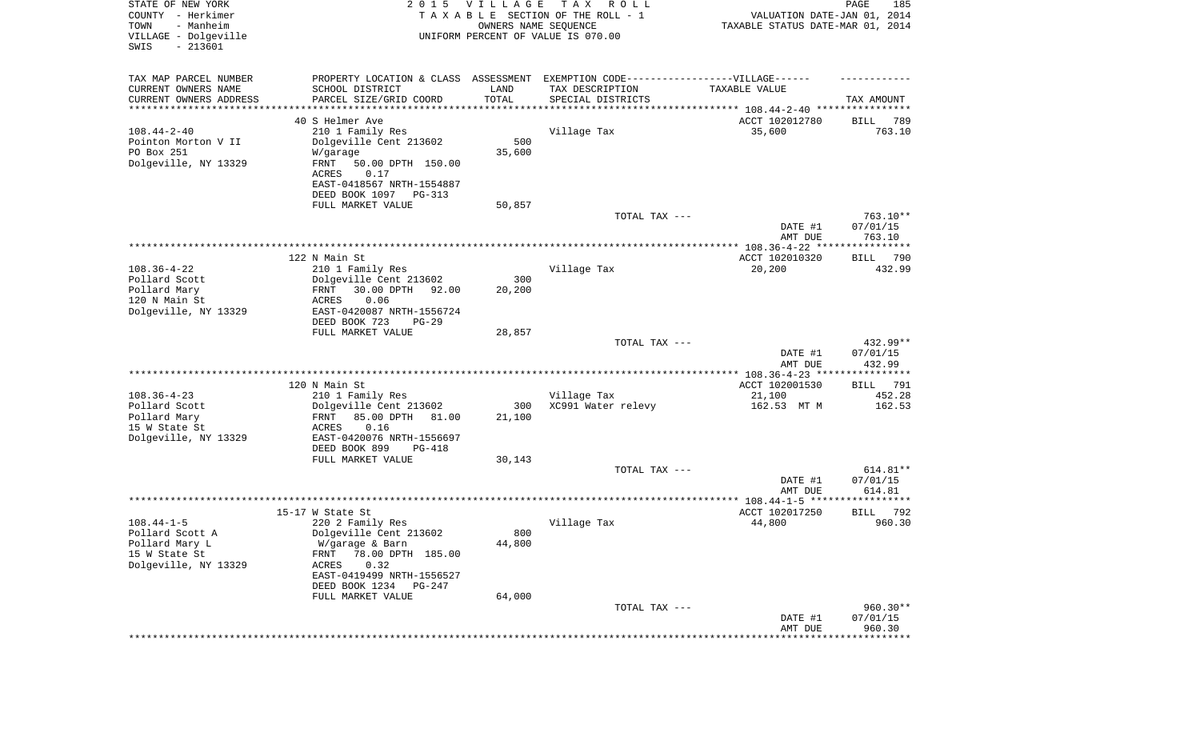| STATE OF NEW YORK<br>COUNTY - Herkimer<br>- Manheim<br>TOWN<br>VILLAGE - Dolgeville<br>SWIS<br>$-213601$ | 2 0 1 5                                                                          | VILLAGE<br>OWNERS NAME SEQUENCE | TAX ROLL<br>TAXABLE SECTION OF THE ROLL - 1<br>UNIFORM PERCENT OF VALUE IS 070.00 | VALUATION DATE-JAN 01, 2014<br>TAXABLE STATUS DATE-MAR 01, 2014 | PAGE<br>185            |
|----------------------------------------------------------------------------------------------------------|----------------------------------------------------------------------------------|---------------------------------|-----------------------------------------------------------------------------------|-----------------------------------------------------------------|------------------------|
| TAX MAP PARCEL NUMBER                                                                                    | PROPERTY LOCATION & CLASS ASSESSMENT EXEMPTION CODE----------------VILLAGE------ |                                 |                                                                                   |                                                                 |                        |
| CURRENT OWNERS NAME                                                                                      | SCHOOL DISTRICT                                                                  | LAND                            | TAX DESCRIPTION                                                                   | TAXABLE VALUE                                                   |                        |
| CURRENT OWNERS ADDRESS<br>********************                                                           | PARCEL SIZE/GRID COORD                                                           | TOTAL                           | SPECIAL DISTRICTS                                                                 |                                                                 | TAX AMOUNT             |
|                                                                                                          | 40 S Helmer Ave                                                                  |                                 |                                                                                   | ACCT 102012780                                                  | 789<br>BILL            |
| $108.44 - 2 - 40$                                                                                        | 210 1 Family Res                                                                 |                                 | Village Tax                                                                       | 35,600                                                          | 763.10                 |
| Pointon Morton V II                                                                                      | Dolgeville Cent 213602                                                           | 500                             |                                                                                   |                                                                 |                        |
| PO Box 251                                                                                               | W/garage                                                                         | 35,600                          |                                                                                   |                                                                 |                        |
| Dolgeville, NY 13329                                                                                     | FRNT<br>50.00 DPTH 150.00<br>0.17                                                |                                 |                                                                                   |                                                                 |                        |
|                                                                                                          | ACRES<br>EAST-0418567 NRTH-1554887                                               |                                 |                                                                                   |                                                                 |                        |
|                                                                                                          | DEED BOOK 1097<br>PG-313                                                         |                                 |                                                                                   |                                                                 |                        |
|                                                                                                          | FULL MARKET VALUE                                                                | 50,857                          |                                                                                   |                                                                 |                        |
|                                                                                                          |                                                                                  |                                 | TOTAL TAX ---                                                                     |                                                                 | 763.10**               |
|                                                                                                          |                                                                                  |                                 |                                                                                   | DATE #1                                                         | 07/01/15               |
|                                                                                                          |                                                                                  |                                 |                                                                                   | AMT DUE                                                         | 763.10                 |
|                                                                                                          | 122 N Main St                                                                    |                                 |                                                                                   | ACCT 102010320                                                  | BILL 790               |
| $108.36 - 4 - 22$                                                                                        | 210 1 Family Res                                                                 |                                 | Village Tax                                                                       | 20,200                                                          | 432.99                 |
| Pollard Scott                                                                                            | Dolgeville Cent 213602                                                           | 300                             |                                                                                   |                                                                 |                        |
| Pollard Mary                                                                                             | 30.00 DPTH<br>FRNT<br>92.00                                                      | 20,200                          |                                                                                   |                                                                 |                        |
| 120 N Main St<br>Dolgeville, NY 13329                                                                    | 0.06<br>ACRES<br>EAST-0420087 NRTH-1556724                                       |                                 |                                                                                   |                                                                 |                        |
|                                                                                                          | DEED BOOK 723<br>$PG-29$                                                         |                                 |                                                                                   |                                                                 |                        |
|                                                                                                          | FULL MARKET VALUE                                                                | 28,857                          |                                                                                   |                                                                 |                        |
|                                                                                                          |                                                                                  |                                 | TOTAL TAX ---                                                                     |                                                                 | 432.99**               |
|                                                                                                          |                                                                                  |                                 |                                                                                   | DATE #1<br>AMT DUE                                              | 07/01/15<br>432.99     |
|                                                                                                          |                                                                                  |                                 |                                                                                   | ************* 108.36-4-23 ****************                      |                        |
|                                                                                                          | 120 N Main St                                                                    |                                 |                                                                                   | ACCT 102001530                                                  | 791<br>BILL            |
| $108.36 - 4 - 23$                                                                                        | 210 1 Family Res                                                                 |                                 | Village Tax                                                                       | 21,100                                                          | 452.28                 |
| Pollard Scott                                                                                            | Dolgeville Cent 213602                                                           | 300                             | XC991 Water relevy                                                                | 162.53 MT M                                                     | 162.53                 |
| Pollard Mary<br>15 W State St                                                                            | 85.00 DPTH<br>81.00<br>FRNT<br>ACRES<br>0.16                                     | 21,100                          |                                                                                   |                                                                 |                        |
| Dolgeville, NY 13329                                                                                     | EAST-0420076 NRTH-1556697                                                        |                                 |                                                                                   |                                                                 |                        |
|                                                                                                          | DEED BOOK 899<br>PG-418                                                          |                                 |                                                                                   |                                                                 |                        |
|                                                                                                          | FULL MARKET VALUE                                                                | 30,143                          |                                                                                   |                                                                 |                        |
|                                                                                                          |                                                                                  |                                 | TOTAL TAX ---                                                                     |                                                                 | 614.81**               |
|                                                                                                          |                                                                                  |                                 |                                                                                   | DATE #1<br>AMT DUE                                              | 07/01/15<br>614.81     |
|                                                                                                          |                                                                                  |                                 |                                                                                   |                                                                 |                        |
|                                                                                                          | 15-17 W State St                                                                 |                                 |                                                                                   | ACCT 102017250                                                  | 792<br>BILL            |
| $108.44 - 1 - 5$                                                                                         | 220 2 Family Res                                                                 |                                 | Village Tax                                                                       | 44,800                                                          | 960.30                 |
| Pollard Scott A                                                                                          | Dolgeville Cent 213602                                                           | 800                             |                                                                                   |                                                                 |                        |
| Pollard Mary L<br>15 W State St                                                                          | W/garage & Barn<br>78.00 DPTH 185.00<br>FRNT                                     | 44,800                          |                                                                                   |                                                                 |                        |
| Dolgeville, NY 13329                                                                                     | 0.32<br>ACRES                                                                    |                                 |                                                                                   |                                                                 |                        |
|                                                                                                          | EAST-0419499 NRTH-1556527                                                        |                                 |                                                                                   |                                                                 |                        |
|                                                                                                          | DEED BOOK 1234<br>PG-247                                                         |                                 |                                                                                   |                                                                 |                        |
|                                                                                                          | FULL MARKET VALUE                                                                | 64,000                          |                                                                                   |                                                                 |                        |
|                                                                                                          |                                                                                  |                                 | TOTAL TAX ---                                                                     |                                                                 | $960.30**$<br>07/01/15 |
|                                                                                                          |                                                                                  |                                 |                                                                                   | DATE #1<br>AMT DUE                                              | 960.30                 |
|                                                                                                          |                                                                                  |                                 |                                                                                   |                                                                 | *********              |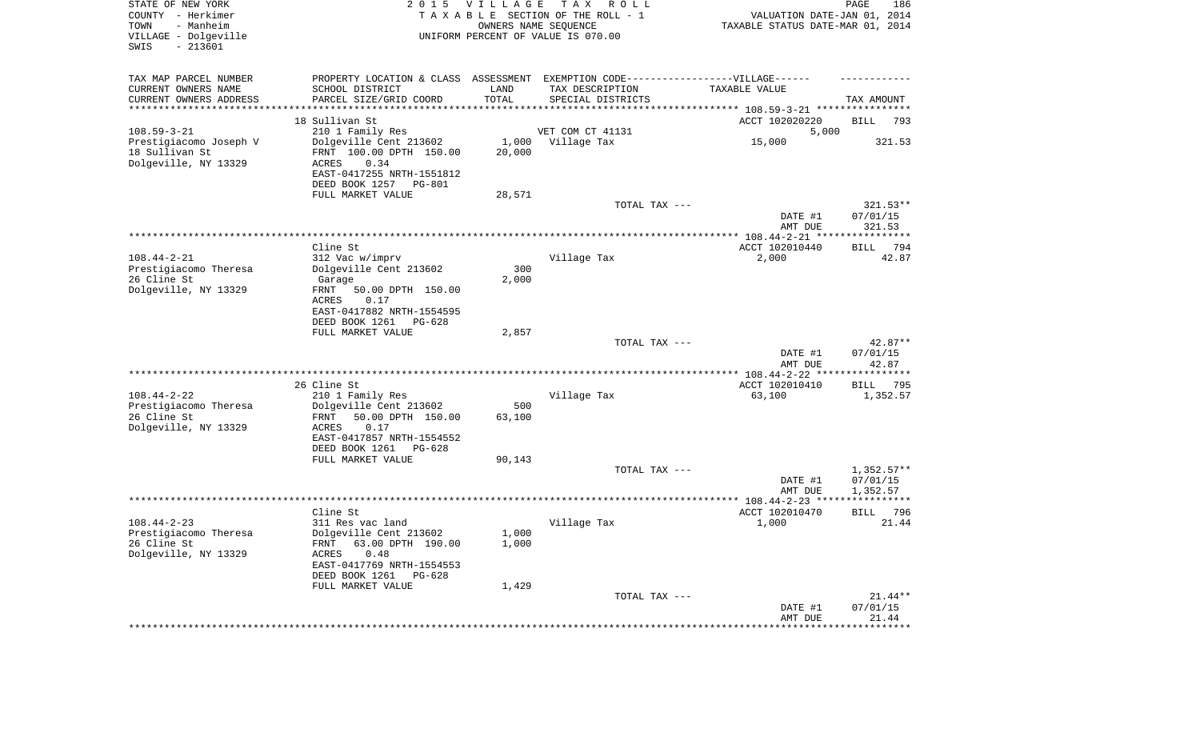| STATE OF NEW YORK<br>COUNTY - Herkimer<br>- Manheim<br>TOWN<br>VILLAGE - Dolgeville<br>$-213601$<br>SWIS | 2 0 1 5                                                                                              | VILLAGE        | T A X<br>R O L L<br>TAXABLE SECTION OF THE ROLL - 1<br>OWNERS NAME SEQUENCE<br>UNIFORM PERCENT OF VALUE IS 070.00 | VALUATION DATE-JAN 01, 2014<br>TAXABLE STATUS DATE-MAR 01, 2014 | $\mathop{\mathtt{PAGE}}$<br>186 |
|----------------------------------------------------------------------------------------------------------|------------------------------------------------------------------------------------------------------|----------------|-------------------------------------------------------------------------------------------------------------------|-----------------------------------------------------------------|---------------------------------|
| TAX MAP PARCEL NUMBER<br>CURRENT OWNERS NAME                                                             | PROPERTY LOCATION & CLASS ASSESSMENT EXEMPTION CODE-----------------VILLAGE------<br>SCHOOL DISTRICT | LAND           | TAX DESCRIPTION                                                                                                   | TAXABLE VALUE                                                   |                                 |
| CURRENT OWNERS ADDRESS                                                                                   | PARCEL SIZE/GRID COORD                                                                               | TOTAL          | SPECIAL DISTRICTS                                                                                                 |                                                                 | TAX AMOUNT                      |
| *********************                                                                                    |                                                                                                      | **********     |                                                                                                                   |                                                                 |                                 |
|                                                                                                          | 18 Sullivan St                                                                                       |                |                                                                                                                   | ACCT 102020220                                                  | BILL<br>793                     |
| $108.59 - 3 - 21$<br>Prestigiacomo Joseph V                                                              | 210 1 Family Res<br>Dolgeville Cent 213602                                                           | 1,000          | VET COM CT 41131<br>Village Tax                                                                                   | 5,000<br>15,000                                                 | 321.53                          |
| 18 Sullivan St                                                                                           | FRNT 100.00 DPTH 150.00                                                                              | 20,000         |                                                                                                                   |                                                                 |                                 |
| Dolgeville, NY 13329                                                                                     | ACRES<br>0.34                                                                                        |                |                                                                                                                   |                                                                 |                                 |
|                                                                                                          | EAST-0417255 NRTH-1551812                                                                            |                |                                                                                                                   |                                                                 |                                 |
|                                                                                                          | DEED BOOK 1257<br>PG-801<br>FULL MARKET VALUE                                                        | 28,571         |                                                                                                                   |                                                                 |                                 |
|                                                                                                          |                                                                                                      |                | TOTAL TAX ---                                                                                                     |                                                                 | $321.53**$                      |
|                                                                                                          |                                                                                                      |                |                                                                                                                   | DATE #1                                                         | 07/01/15                        |
|                                                                                                          |                                                                                                      |                |                                                                                                                   | AMT DUE                                                         | 321.53                          |
|                                                                                                          |                                                                                                      |                |                                                                                                                   |                                                                 |                                 |
| $108.44 - 2 - 21$                                                                                        | Cline St<br>312 Vac w/imprv                                                                          |                | Village Tax                                                                                                       | ACCT 102010440<br>2,000                                         | 794<br>BILL<br>42.87            |
| Prestigiacomo Theresa                                                                                    | Dolgeville Cent 213602                                                                               | 300            |                                                                                                                   |                                                                 |                                 |
| 26 Cline St                                                                                              | Garage                                                                                               | 2,000          |                                                                                                                   |                                                                 |                                 |
| Dolgeville, NY 13329                                                                                     | 50.00 DPTH 150.00<br>FRNT                                                                            |                |                                                                                                                   |                                                                 |                                 |
|                                                                                                          | ACRES<br>0.17<br>EAST-0417882 NRTH-1554595                                                           |                |                                                                                                                   |                                                                 |                                 |
|                                                                                                          | DEED BOOK 1261<br>PG-628                                                                             |                |                                                                                                                   |                                                                 |                                 |
|                                                                                                          | FULL MARKET VALUE                                                                                    | 2,857          |                                                                                                                   |                                                                 |                                 |
|                                                                                                          |                                                                                                      |                | TOTAL TAX ---                                                                                                     |                                                                 | $42.87**$                       |
|                                                                                                          |                                                                                                      |                |                                                                                                                   | DATE #1                                                         | 07/01/15                        |
|                                                                                                          |                                                                                                      |                | ********************************                                                                                  | AMT DUE<br>*********** 108.44-2-22 ****************             | 42.87                           |
|                                                                                                          | 26 Cline St                                                                                          |                |                                                                                                                   | ACCT 102010410                                                  | <b>BILL</b><br>795              |
| $108.44 - 2 - 22$                                                                                        | 210 1 Family Res                                                                                     |                | Village Tax                                                                                                       | 63,100                                                          | 1,352.57                        |
| Prestigiacomo Theresa                                                                                    | Dolgeville Cent 213602                                                                               | 500            |                                                                                                                   |                                                                 |                                 |
| 26 Cline St<br>Dolgeville, NY 13329                                                                      | FRNT<br>50.00 DPTH 150.00<br>ACRES<br>0.17                                                           | 63,100         |                                                                                                                   |                                                                 |                                 |
|                                                                                                          | EAST-0417857 NRTH-1554552                                                                            |                |                                                                                                                   |                                                                 |                                 |
|                                                                                                          | DEED BOOK 1261<br>PG-628                                                                             |                |                                                                                                                   |                                                                 |                                 |
|                                                                                                          | FULL MARKET VALUE                                                                                    | 90,143         |                                                                                                                   |                                                                 |                                 |
|                                                                                                          |                                                                                                      |                | TOTAL TAX ---                                                                                                     |                                                                 | $1,352.57**$<br>07/01/15        |
|                                                                                                          |                                                                                                      |                |                                                                                                                   | DATE #1<br>AMT DUE                                              | 1,352.57                        |
|                                                                                                          |                                                                                                      |                |                                                                                                                   |                                                                 |                                 |
|                                                                                                          | Cline St                                                                                             |                |                                                                                                                   | ACCT 102010470                                                  | 796<br><b>BILL</b>              |
| $108.44 - 2 - 23$                                                                                        | 311 Res vac land                                                                                     |                | Village Tax                                                                                                       | 1,000                                                           | 21.44                           |
| Prestigiacomo Theresa<br>26 Cline St                                                                     | Dolgeville Cent 213602<br>63.00 DPTH 190.00<br>FRNT                                                  | 1,000<br>1,000 |                                                                                                                   |                                                                 |                                 |
| Dolgeville, NY 13329                                                                                     | ACRES<br>0.48                                                                                        |                |                                                                                                                   |                                                                 |                                 |
|                                                                                                          | EAST-0417769 NRTH-1554553                                                                            |                |                                                                                                                   |                                                                 |                                 |
|                                                                                                          | DEED BOOK 1261<br>PG-628                                                                             |                |                                                                                                                   |                                                                 |                                 |
|                                                                                                          | FULL MARKET VALUE                                                                                    | 1,429          | TOTAL TAX ---                                                                                                     |                                                                 | $21.44**$                       |
|                                                                                                          |                                                                                                      |                |                                                                                                                   | DATE #1                                                         | 07/01/15                        |
|                                                                                                          |                                                                                                      |                |                                                                                                                   | AMT DUE                                                         | 21.44                           |
|                                                                                                          |                                                                                                      |                |                                                                                                                   | *******************                                             | **************                  |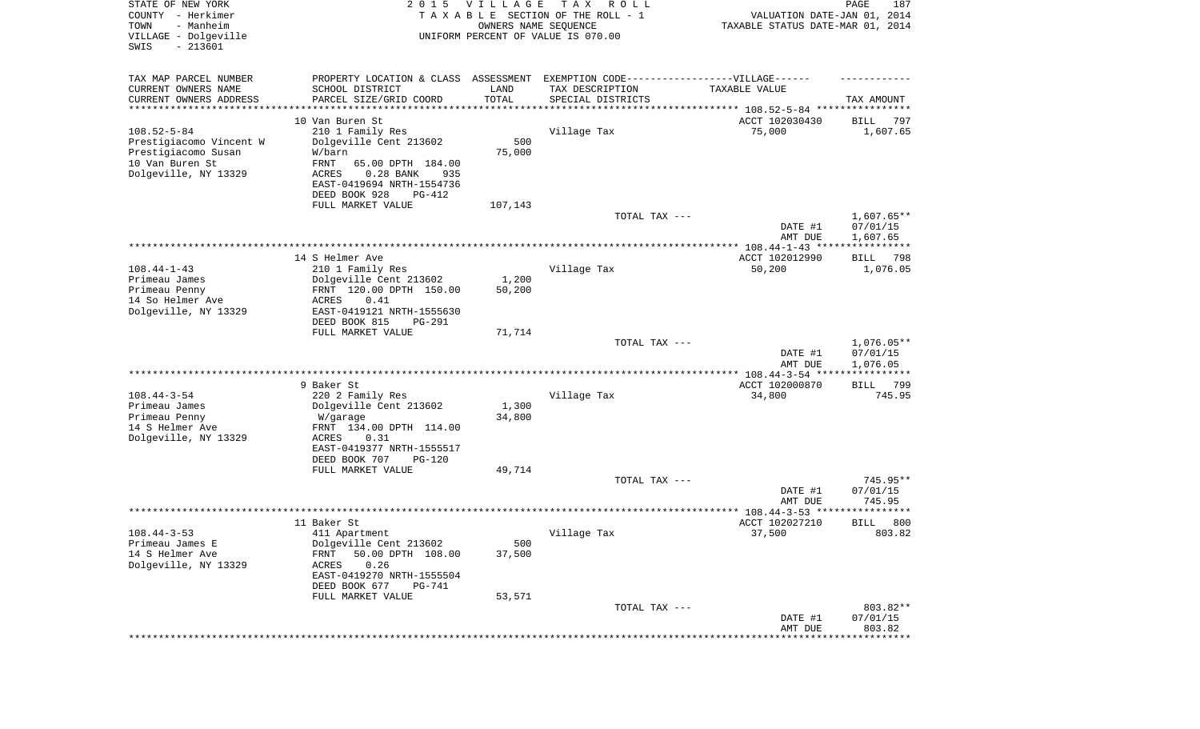| STATE OF NEW YORK<br>COUNTY - Herkimer<br>TOWN<br>- Manheim<br>VILLAGE - Dolgeville<br>SWIS<br>$-213601$ | 2 0 1 5                                                                                              | VILLAGE<br>OWNERS NAME SEQUENCE | T A X<br>R O L L<br>TAXABLE SECTION OF THE ROLL - 1<br>UNIFORM PERCENT OF VALUE IS 070.00 | VALUATION DATE-JAN 01, 2014<br>TAXABLE STATUS DATE-MAR 01, 2014 | PAGE<br>187           |
|----------------------------------------------------------------------------------------------------------|------------------------------------------------------------------------------------------------------|---------------------------------|-------------------------------------------------------------------------------------------|-----------------------------------------------------------------|-----------------------|
| TAX MAP PARCEL NUMBER<br>CURRENT OWNERS NAME                                                             | PROPERTY LOCATION & CLASS ASSESSMENT EXEMPTION CODE-----------------VILLAGE------<br>SCHOOL DISTRICT | LAND                            | TAX DESCRIPTION                                                                           | TAXABLE VALUE                                                   |                       |
| CURRENT OWNERS ADDRESS<br>********************                                                           | PARCEL SIZE/GRID COORD                                                                               | TOTAL<br>* * * * * * * * * * *  | SPECIAL DISTRICTS                                                                         | ********************************* 108.52-5-84 ****************  | TAX AMOUNT            |
|                                                                                                          | 10 Van Buren St                                                                                      |                                 |                                                                                           | ACCT 102030430                                                  | 797<br>BILL           |
| $108.52 - 5 - 84$                                                                                        | 210 1 Family Res                                                                                     |                                 | Village Tax                                                                               | 75,000                                                          | 1,607.65              |
| Prestigiacomo Vincent W                                                                                  | Dolgeville Cent 213602                                                                               | 500                             |                                                                                           |                                                                 |                       |
| Prestigiacomo Susan                                                                                      | W/barn                                                                                               | 75,000                          |                                                                                           |                                                                 |                       |
| 10 Van Buren St<br>Dolgeville, NY 13329                                                                  | FRNT<br>65.00 DPTH 184.00<br>ACRES<br>$0.28$ BANK<br>935                                             |                                 |                                                                                           |                                                                 |                       |
|                                                                                                          | EAST-0419694 NRTH-1554736                                                                            |                                 |                                                                                           |                                                                 |                       |
|                                                                                                          | DEED BOOK 928<br>PG-412                                                                              |                                 |                                                                                           |                                                                 |                       |
|                                                                                                          | FULL MARKET VALUE                                                                                    | 107,143                         |                                                                                           |                                                                 |                       |
|                                                                                                          |                                                                                                      |                                 | TOTAL TAX ---                                                                             |                                                                 | $1,607.65**$          |
|                                                                                                          |                                                                                                      |                                 |                                                                                           | DATE #1<br>AMT DUE                                              | 07/01/15<br>1,607.65  |
|                                                                                                          |                                                                                                      |                                 |                                                                                           |                                                                 |                       |
|                                                                                                          | 14 S Helmer Ave                                                                                      |                                 |                                                                                           | ACCT 102012990                                                  | BILL<br>798           |
| $108.44 - 1 - 43$                                                                                        | 210 1 Family Res                                                                                     |                                 | Village Tax                                                                               | 50,200                                                          | 1,076.05              |
| Primeau James<br>Primeau Penny                                                                           | Dolgeville Cent 213602<br>FRNT 120.00 DPTH 150.00                                                    | 1,200<br>50,200                 |                                                                                           |                                                                 |                       |
| 14 So Helmer Ave                                                                                         | ACRES<br>0.41                                                                                        |                                 |                                                                                           |                                                                 |                       |
| Dolgeville, NY 13329                                                                                     | EAST-0419121 NRTH-1555630                                                                            |                                 |                                                                                           |                                                                 |                       |
|                                                                                                          | DEED BOOK 815<br>PG-291                                                                              |                                 |                                                                                           |                                                                 |                       |
|                                                                                                          | FULL MARKET VALUE                                                                                    | 71,714                          | TOTAL TAX ---                                                                             |                                                                 | $1,076.05**$          |
|                                                                                                          |                                                                                                      |                                 |                                                                                           | DATE #1                                                         | 07/01/15              |
|                                                                                                          |                                                                                                      |                                 |                                                                                           | AMT DUE                                                         | 1,076.05              |
|                                                                                                          |                                                                                                      |                                 |                                                                                           | ************ 108.44-3-54 ****                                   | ***********           |
| $108.44 - 3 - 54$                                                                                        | 9 Baker St<br>220 2 Family Res                                                                       |                                 | Village Tax                                                                               | ACCT 102000870<br>34,800                                        | 799<br>BILL<br>745.95 |
| Primeau James                                                                                            | Dolgeville Cent 213602                                                                               | 1,300                           |                                                                                           |                                                                 |                       |
| Primeau Penny                                                                                            | W/garage                                                                                             | 34,800                          |                                                                                           |                                                                 |                       |
| 14 S Helmer Ave                                                                                          | FRNT 134.00 DPTH 114.00                                                                              |                                 |                                                                                           |                                                                 |                       |
| Dolgeville, NY 13329                                                                                     | ACRES<br>0.31<br>EAST-0419377 NRTH-1555517                                                           |                                 |                                                                                           |                                                                 |                       |
|                                                                                                          | DEED BOOK 707<br>PG-120                                                                              |                                 |                                                                                           |                                                                 |                       |
|                                                                                                          | FULL MARKET VALUE                                                                                    | 49,714                          |                                                                                           |                                                                 |                       |
|                                                                                                          |                                                                                                      |                                 | TOTAL TAX ---                                                                             |                                                                 | 745.95**              |
|                                                                                                          |                                                                                                      |                                 |                                                                                           | DATE #1                                                         | 07/01/15              |
|                                                                                                          |                                                                                                      |                                 |                                                                                           | AMT DUE                                                         | 745.95<br>*****       |
|                                                                                                          | 11 Baker St                                                                                          |                                 |                                                                                           | ACCT 102027210                                                  | 800<br>BILL           |
| $108.44 - 3 - 53$                                                                                        | 411 Apartment                                                                                        |                                 | Village Tax                                                                               | 37,500                                                          | 803.82                |
| Primeau James E                                                                                          | Dolgeville Cent 213602                                                                               | 500                             |                                                                                           |                                                                 |                       |
| 14 S Helmer Ave<br>Dolgeville, NY 13329                                                                  | 50.00 DPTH 108.00<br>FRNT<br>ACRES<br>0.26                                                           | 37,500                          |                                                                                           |                                                                 |                       |
|                                                                                                          | EAST-0419270 NRTH-1555504                                                                            |                                 |                                                                                           |                                                                 |                       |
|                                                                                                          | DEED BOOK 677<br>PG-741                                                                              |                                 |                                                                                           |                                                                 |                       |
|                                                                                                          | FULL MARKET VALUE                                                                                    | 53,571                          |                                                                                           |                                                                 |                       |
|                                                                                                          |                                                                                                      |                                 | TOTAL TAX ---                                                                             | DATE #1                                                         | 803.82**<br>07/01/15  |
|                                                                                                          |                                                                                                      |                                 |                                                                                           | AMT DUE                                                         | 803.82                |
|                                                                                                          |                                                                                                      |                                 |                                                                                           |                                                                 | ***********           |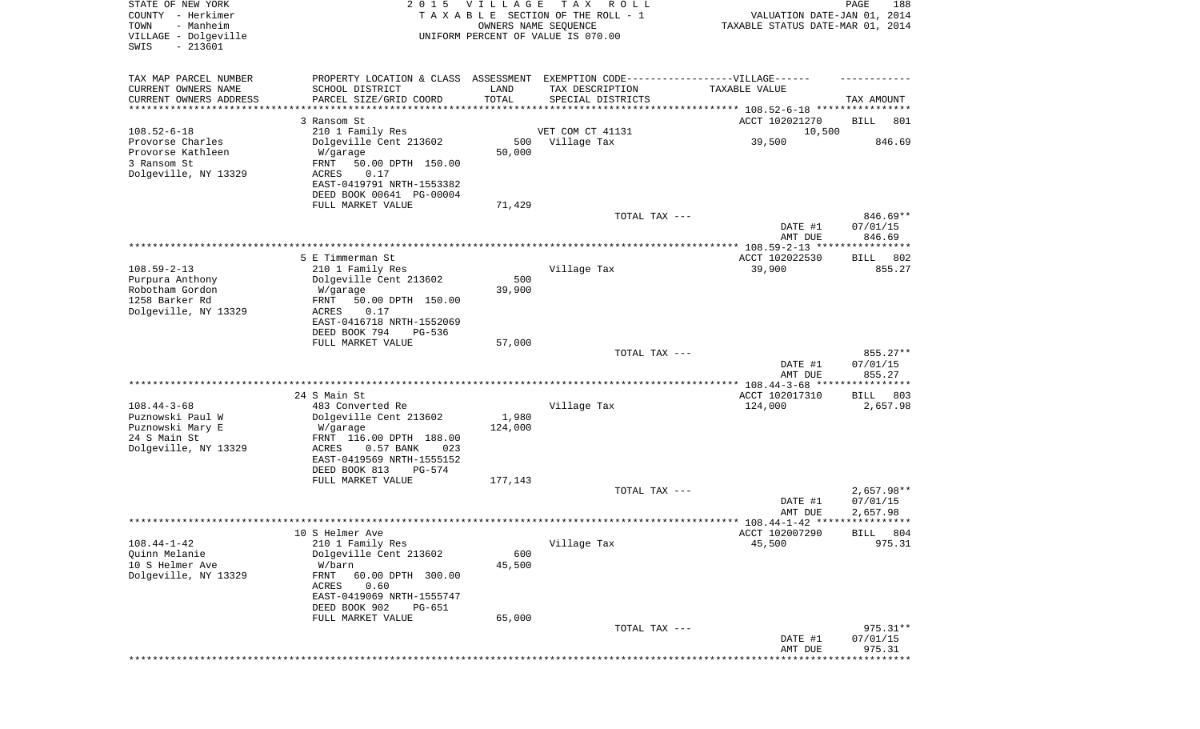|                                                                               |                                                                                   |                      |                                                                                  |                                                       | **********            |
|-------------------------------------------------------------------------------|-----------------------------------------------------------------------------------|----------------------|----------------------------------------------------------------------------------|-------------------------------------------------------|-----------------------|
|                                                                               |                                                                                   |                      |                                                                                  | DATE #1<br>AMT DUE                                    | 07/01/15<br>975.31    |
|                                                                               | FULL MARKET VALUE                                                                 | 65,000               | TOTAL TAX ---                                                                    |                                                       | $975.31**$            |
|                                                                               | ACRES<br>0.60<br>EAST-0419069 NRTH-1555747<br>DEED BOOK 902<br>PG-651             |                      |                                                                                  |                                                       |                       |
| $108.44 - 1 - 42$<br>Ouinn Melanie<br>10 S Helmer Ave<br>Dolgeville, NY 13329 | 210 1 Family Res<br>Dolgeville Cent 213602<br>W/barn<br>FRNT<br>60.00 DPTH 300.00 | 600<br>45,500        | Village Tax                                                                      | 45,500                                                | 975.31                |
|                                                                               | 10 S Helmer Ave                                                                   |                      |                                                                                  | ACCT 102007290                                        | BILL 804              |
|                                                                               |                                                                                   |                      |                                                                                  | AMT DUE                                               | 2,657.98              |
|                                                                               |                                                                                   |                      |                                                                                  | DATE #1                                               | 07/01/15              |
|                                                                               | FULL MARKET VALUE                                                                 | 177,143              | TOTAL TAX ---                                                                    |                                                       | $2,657.98**$          |
|                                                                               | EAST-0419569 NRTH-1555152<br>DEED BOOK 813<br>PG-574                              |                      |                                                                                  |                                                       |                       |
| 24 S Main St<br>Dolgeville, NY 13329                                          | FRNT 116.00 DPTH 188.00<br>ACRES<br>0.57 BANK<br>023                              |                      |                                                                                  |                                                       |                       |
| Puznowski Mary E                                                              | W/garage                                                                          | 124,000              |                                                                                  |                                                       |                       |
| $108.44 - 3 - 68$<br>Puznowski Paul W                                         | 483 Converted Re<br>Dolgeville Cent 213602                                        | 1,980                | Village Tax                                                                      | 124,000                                               | 2,657.98              |
|                                                                               | 24 S Main St                                                                      |                      |                                                                                  | ***************** 108.44-3-68 *****<br>ACCT 102017310 | 803<br>BILL           |
|                                                                               |                                                                                   |                      |                                                                                  | DATE #1<br>AMT DUE                                    | 07/01/15<br>855.27    |
|                                                                               |                                                                                   |                      | TOTAL TAX ---                                                                    |                                                       | 855.27**              |
|                                                                               | DEED BOOK 794<br><b>PG-536</b><br>FULL MARKET VALUE                               | 57,000               |                                                                                  |                                                       |                       |
| Dolgeville, NY 13329                                                          | ACRES<br>0.17<br>EAST-0416718 NRTH-1552069                                        |                      |                                                                                  |                                                       |                       |
| 1258 Barker Rd                                                                | 50.00 DPTH 150.00<br>FRNT                                                         |                      |                                                                                  |                                                       |                       |
| Purpura Anthony<br>Robotham Gordon                                            | Dolgeville Cent 213602<br>W/garage                                                | 500<br>39,900        |                                                                                  |                                                       |                       |
| $108.59 - 2 - 13$                                                             | 5 E Timmerman St<br>210 1 Family Res                                              |                      | Village Tax                                                                      | ACCT 102022530<br>39,900                              | 802<br>BILL<br>855.27 |
|                                                                               |                                                                                   |                      |                                                                                  |                                                       |                       |
|                                                                               |                                                                                   |                      |                                                                                  | DATE #1<br>AMT DUE                                    | 07/01/15<br>846.69    |
|                                                                               | FULL MARKET VALUE                                                                 | 71,429               | TOTAL TAX ---                                                                    |                                                       | 846.69**              |
|                                                                               | DEED BOOK 00641 PG-00004                                                          |                      |                                                                                  |                                                       |                       |
| Dolgeville, NY 13329                                                          | 0.17<br>ACRES<br>EAST-0419791 NRTH-1553382                                        |                      |                                                                                  |                                                       |                       |
| Provorse Kathleen<br>3 Ransom St                                              | W/garage<br>FRNT<br>50.00 DPTH 150.00                                             | 50,000               |                                                                                  |                                                       |                       |
| Provorse Charles                                                              | Dolgeville Cent 213602                                                            | 500                  | Village Tax                                                                      | 39,500                                                | 846.69                |
| $108.52 - 6 - 18$                                                             | 3 Ransom St<br>210 1 Family Res                                                   |                      | VET COM CT 41131                                                                 | ACCT 102021270<br>10,500                              | BILL<br>801           |
| CURRENT OWNERS ADDRESS<br>*********************                               | PARCEL SIZE/GRID COORD                                                            | TOTAL                | SPECIAL DISTRICTS                                                                |                                                       | TAX AMOUNT            |
| CURRENT OWNERS NAME                                                           | SCHOOL DISTRICT                                                                   | LAND                 | TAX DESCRIPTION                                                                  | TAXABLE VALUE                                         |                       |
| TAX MAP PARCEL NUMBER                                                         |                                                                                   |                      | PROPERTY LOCATION & CLASS ASSESSMENT EXEMPTION CODE----------------VILLAGE------ |                                                       |                       |
| SWIS<br>$-213601$                                                             |                                                                                   |                      |                                                                                  |                                                       |                       |
| - Manheim<br>TOWN<br>VILLAGE - Dolgeville                                     |                                                                                   | OWNERS NAME SEQUENCE | UNIFORM PERCENT OF VALUE IS 070.00                                               | TAXABLE STATUS DATE-MAR 01, 2014                      |                       |
| COUNTY - Herkimer                                                             |                                                                                   |                      | TAXABLE SECTION OF THE ROLL - 1                                                  | VALUATION DATE-JAN 01, 2014                           |                       |
| STATE OF NEW YORK                                                             | 2 0 1 5                                                                           | <b>VILLAGE</b>       | T A X<br>R O L L                                                                 |                                                       | PAGE<br>188           |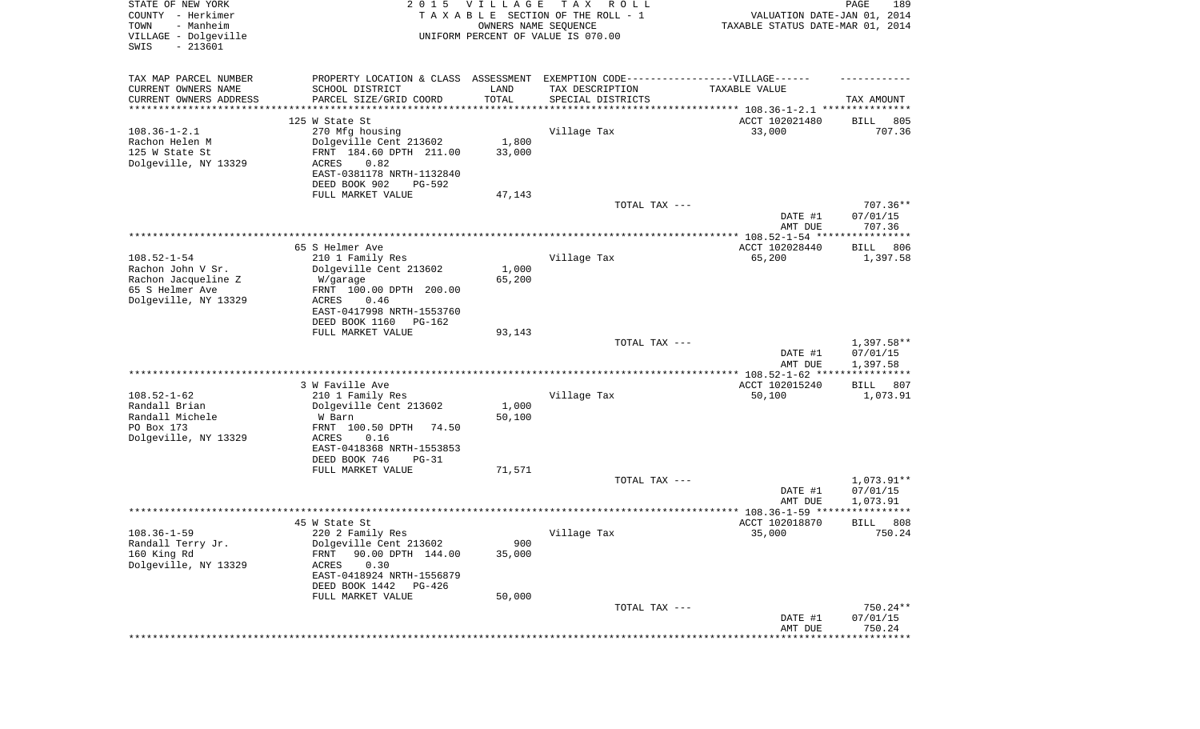| STATE OF NEW YORK<br>COUNTY - Herkimer<br>- Manheim<br>TOWN<br>VILLAGE - Dolgeville<br>SWIS<br>$-213601$ |                                                                                  | 2015 VILLAGE<br>OWNERS NAME SEQUENCE | T A X<br>R O L L<br>TAXABLE SECTION OF THE ROLL - 1<br>UNIFORM PERCENT OF VALUE IS 070.00 | VALUATION DATE-JAN 01, 2014<br>TAXABLE STATUS DATE-MAR 01, 2014 | PAGE<br>189              |
|----------------------------------------------------------------------------------------------------------|----------------------------------------------------------------------------------|--------------------------------------|-------------------------------------------------------------------------------------------|-----------------------------------------------------------------|--------------------------|
| TAX MAP PARCEL NUMBER                                                                                    | PROPERTY LOCATION & CLASS ASSESSMENT EXEMPTION CODE----------------VILLAGE------ |                                      |                                                                                           |                                                                 |                          |
| CURRENT OWNERS NAME                                                                                      | SCHOOL DISTRICT                                                                  | LAND                                 | TAX DESCRIPTION                                                                           | TAXABLE VALUE                                                   |                          |
| CURRENT OWNERS ADDRESS<br>********************                                                           | PARCEL SIZE/GRID COORD                                                           | TOTAL                                | SPECIAL DISTRICTS                                                                         |                                                                 | TAX AMOUNT               |
|                                                                                                          | 125 W State St                                                                   |                                      |                                                                                           | ACCT 102021480                                                  | 805<br>BILL              |
| $108.36 - 1 - 2.1$                                                                                       | 270 Mfg housing                                                                  |                                      | Village Tax                                                                               | 33,000                                                          | 707.36                   |
| Rachon Helen M                                                                                           | Dolgeville Cent 213602                                                           | 1,800                                |                                                                                           |                                                                 |                          |
| 125 W State St                                                                                           | FRNT 184.60 DPTH 211.00                                                          | 33,000                               |                                                                                           |                                                                 |                          |
| Dolgeville, NY 13329                                                                                     | 0.82<br>ACRES<br>EAST-0381178 NRTH-1132840                                       |                                      |                                                                                           |                                                                 |                          |
|                                                                                                          | DEED BOOK 902<br>PG-592                                                          |                                      |                                                                                           |                                                                 |                          |
|                                                                                                          | FULL MARKET VALUE                                                                | 47,143                               |                                                                                           |                                                                 |                          |
|                                                                                                          |                                                                                  |                                      | TOTAL TAX ---                                                                             |                                                                 | $707.36**$               |
|                                                                                                          |                                                                                  |                                      |                                                                                           | DATE #1<br>AMT DUE                                              | 07/01/15<br>707.36       |
|                                                                                                          |                                                                                  |                                      |                                                                                           |                                                                 |                          |
|                                                                                                          | 65 S Helmer Ave                                                                  |                                      |                                                                                           | ACCT 102028440                                                  | BILL<br>806              |
| $108.52 - 1 - 54$                                                                                        | 210 1 Family Res                                                                 |                                      | Village Tax                                                                               | 65,200                                                          | 1,397.58                 |
| Rachon John V Sr.<br>Rachon Jacqueline Z                                                                 | Dolgeville Cent 213602<br>W/garage                                               | 1,000<br>65,200                      |                                                                                           |                                                                 |                          |
| 65 S Helmer Ave                                                                                          | FRNT 100.00 DPTH 200.00                                                          |                                      |                                                                                           |                                                                 |                          |
| Dolgeville, NY 13329                                                                                     | ACRES<br>0.46                                                                    |                                      |                                                                                           |                                                                 |                          |
|                                                                                                          | EAST-0417998 NRTH-1553760<br>DEED BOOK 1160<br>PG-162                            |                                      |                                                                                           |                                                                 |                          |
|                                                                                                          | FULL MARKET VALUE                                                                | 93,143                               |                                                                                           |                                                                 |                          |
|                                                                                                          |                                                                                  |                                      | TOTAL TAX ---                                                                             |                                                                 | $1,397.58**$             |
|                                                                                                          |                                                                                  |                                      |                                                                                           | DATE #1                                                         | 07/01/15                 |
|                                                                                                          |                                                                                  |                                      |                                                                                           | AMT DUE<br>************* 108.52-1-62 ****                       | 1,397.58<br>************ |
|                                                                                                          | 3 W Faville Ave                                                                  |                                      |                                                                                           | ACCT 102015240                                                  | 807<br>BILL              |
| $108.52 - 1 - 62$                                                                                        | 210 1 Family Res                                                                 |                                      | Village Tax                                                                               | 50,100                                                          | 1,073.91                 |
| Randall Brian                                                                                            | Dolgeville Cent 213602                                                           | 1,000                                |                                                                                           |                                                                 |                          |
| Randall Michele<br>PO Box 173                                                                            | W Barn                                                                           | 50,100                               |                                                                                           |                                                                 |                          |
| Dolgeville, NY 13329                                                                                     | FRNT 100.50 DPTH<br>74.50<br>ACRES<br>0.16                                       |                                      |                                                                                           |                                                                 |                          |
|                                                                                                          | EAST-0418368 NRTH-1553853                                                        |                                      |                                                                                           |                                                                 |                          |
|                                                                                                          | DEED BOOK 746<br>$PG-31$                                                         |                                      |                                                                                           |                                                                 |                          |
|                                                                                                          | FULL MARKET VALUE                                                                | 71,571                               | TOTAL TAX ---                                                                             |                                                                 | 1,073.91**               |
|                                                                                                          |                                                                                  |                                      |                                                                                           | DATE #1                                                         | 07/01/15                 |
|                                                                                                          |                                                                                  |                                      |                                                                                           | AMT DUE                                                         | 1,073.91                 |
|                                                                                                          |                                                                                  |                                      |                                                                                           |                                                                 | ****                     |
|                                                                                                          | 45 W State St                                                                    |                                      |                                                                                           | ACCT 102018870                                                  | 808<br>BILL              |
| $108.36 - 1 - 59$<br>Randall Terry Jr.                                                                   | 220 2 Family Res<br>Dolgeville Cent 213602                                       | 900                                  | Village Tax                                                                               | 35,000                                                          | 750.24                   |
| 160 King Rd                                                                                              | 90.00 DPTH 144.00<br>FRNT                                                        | 35,000                               |                                                                                           |                                                                 |                          |
| Dolgeville, NY 13329                                                                                     | 0.30<br>ACRES                                                                    |                                      |                                                                                           |                                                                 |                          |
|                                                                                                          | EAST-0418924 NRTH-1556879                                                        |                                      |                                                                                           |                                                                 |                          |
|                                                                                                          | DEED BOOK 1442<br>PG-426<br>FULL MARKET VALUE                                    | 50,000                               |                                                                                           |                                                                 |                          |
|                                                                                                          |                                                                                  |                                      | TOTAL TAX ---                                                                             |                                                                 | 750.24**                 |
|                                                                                                          |                                                                                  |                                      |                                                                                           | DATE #1                                                         | 07/01/15                 |
|                                                                                                          |                                                                                  |                                      |                                                                                           | AMT DUE                                                         | 750.24<br>**********     |
|                                                                                                          |                                                                                  |                                      |                                                                                           |                                                                 |                          |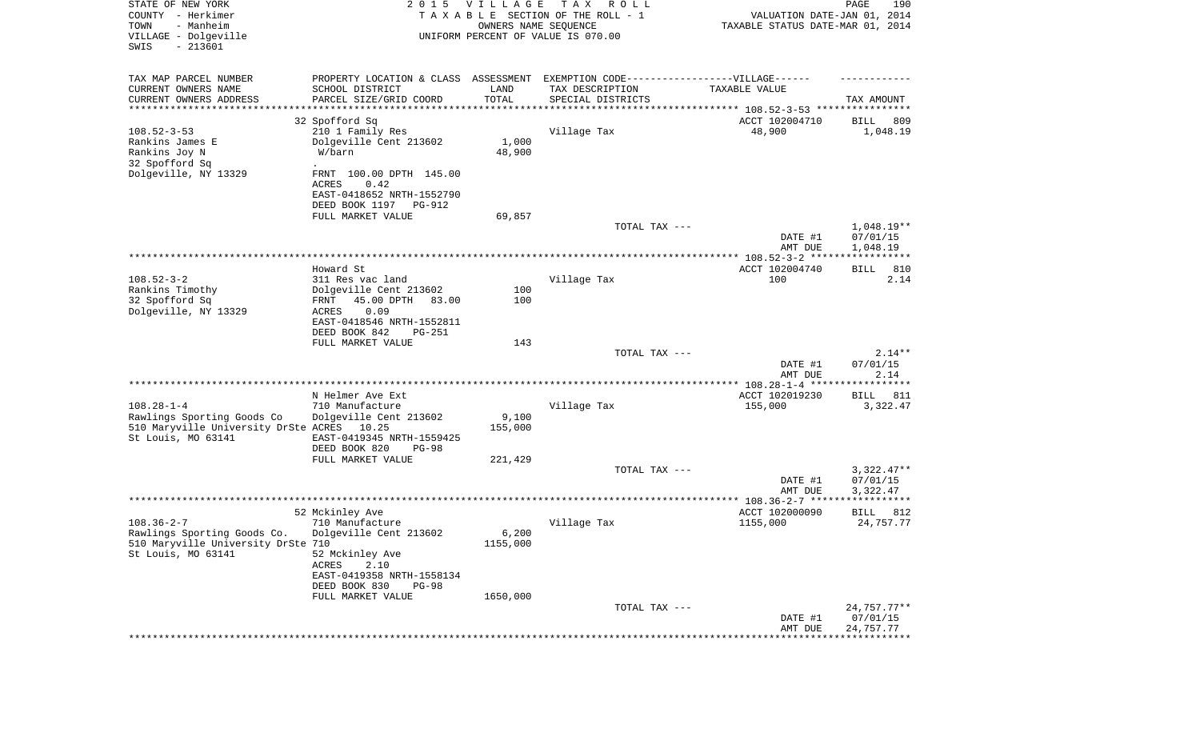| STATE OF NEW YORK<br>COUNTY - Herkimer<br>- Manheim<br>TOWN<br>VILLAGE - Dolgeville<br>SWIS<br>$-213601$ | 2 0 1 5                                                                                           | VILLAGE<br>OWNERS NAME SEQUENCE | TAX ROLL<br>TAXABLE SECTION OF THE ROLL - 1<br>UNIFORM PERCENT OF VALUE IS 070.00                                                                           | VALUATION DATE-JAN 01, 2014<br>TAXABLE STATUS DATE-MAR 01, 2014 | 190<br>PAGE                       |
|----------------------------------------------------------------------------------------------------------|---------------------------------------------------------------------------------------------------|---------------------------------|-------------------------------------------------------------------------------------------------------------------------------------------------------------|-----------------------------------------------------------------|-----------------------------------|
| TAX MAP PARCEL NUMBER<br>CURRENT OWNERS NAME<br>CURRENT OWNERS ADDRESS<br>*********************          | PROPERTY LOCATION & CLASS ASSESSMENT<br>SCHOOL DISTRICT<br>PARCEL SIZE/GRID COORD                 | LAND<br>TOTAL<br>*************  | EXEMPTION CODE------------------VILLAGE------<br>TAX DESCRIPTION<br>SPECIAL DISTRICTS<br>************************************* 108.52-3-53 **************** | TAXABLE VALUE                                                   | TAX AMOUNT                        |
|                                                                                                          | 32 Spofford Sq                                                                                    |                                 |                                                                                                                                                             | ACCT 102004710                                                  | 809<br>BILL                       |
| $108.52 - 3 - 53$<br>Rankins James E<br>Rankins Joy N<br>32 Spofford Sq                                  | 210 1 Family Res<br>Dolgeville Cent 213602<br>W/barn                                              | 1,000<br>48,900                 | Village Tax                                                                                                                                                 | 48,900                                                          | 1,048.19                          |
| Dolgeville, NY 13329                                                                                     | FRNT 100.00 DPTH 145.00<br>ACRES<br>0.42<br>EAST-0418652 NRTH-1552790<br>DEED BOOK 1197<br>PG-912 |                                 |                                                                                                                                                             |                                                                 |                                   |
|                                                                                                          | FULL MARKET VALUE                                                                                 | 69,857                          |                                                                                                                                                             |                                                                 |                                   |
|                                                                                                          |                                                                                                   |                                 | TOTAL TAX ---                                                                                                                                               | DATE #1                                                         | $1,048.19**$<br>07/01/15          |
|                                                                                                          |                                                                                                   |                                 |                                                                                                                                                             | AMT DUE                                                         | 1,048.19<br>* * * * * * * * * * * |
|                                                                                                          | Howard St                                                                                         |                                 |                                                                                                                                                             | ACCT 102004740                                                  | 810<br>BILL                       |
| $108.52 - 3 - 2$<br>Rankins Timothy                                                                      | 311 Res vac land<br>Dolgeville Cent 213602                                                        | 100                             | Village Tax                                                                                                                                                 | 100                                                             | 2.14                              |
| 32 Spofford Sq<br>Dolgeville, NY 13329                                                                   | 45.00 DPTH<br>83.00<br>FRNT<br>ACRES<br>0.09<br>EAST-0418546 NRTH-1552811                         | 100                             |                                                                                                                                                             |                                                                 |                                   |
|                                                                                                          | DEED BOOK 842<br>PG-251<br>FULL MARKET VALUE                                                      | 143                             |                                                                                                                                                             |                                                                 |                                   |
|                                                                                                          |                                                                                                   |                                 | TOTAL TAX ---                                                                                                                                               |                                                                 | $2.14**$                          |
|                                                                                                          |                                                                                                   |                                 |                                                                                                                                                             | DATE #1<br>AMT DUE                                              | 07/01/15<br>2.14                  |
|                                                                                                          |                                                                                                   |                                 |                                                                                                                                                             | ******                                                          | ***********                       |
| $108.28 - 1 - 4$                                                                                         | N Helmer Ave Ext<br>710 Manufacture                                                               |                                 | Village Tax                                                                                                                                                 | ACCT 102019230<br>155,000                                       | 811<br>BILL<br>3,322.47           |
| Rawlings Sporting Goods Co                                                                               | Dolgeville Cent 213602                                                                            | 9,100                           |                                                                                                                                                             |                                                                 |                                   |
| 510 Maryville University DrSte ACRES<br>St Louis, MO 63141                                               | 10.25<br>EAST-0419345 NRTH-1559425                                                                | 155,000                         |                                                                                                                                                             |                                                                 |                                   |
|                                                                                                          | DEED BOOK 820<br><b>PG-98</b><br>FULL MARKET VALUE                                                | 221,429                         |                                                                                                                                                             |                                                                 |                                   |
|                                                                                                          |                                                                                                   |                                 | TOTAL TAX ---                                                                                                                                               |                                                                 | $3,322.47**$                      |
|                                                                                                          |                                                                                                   |                                 |                                                                                                                                                             | DATE #1<br>AMT DUE                                              | 07/01/15<br>3,322.47              |
|                                                                                                          |                                                                                                   |                                 |                                                                                                                                                             |                                                                 | ***********                       |
| $108.36 - 2 - 7$                                                                                         | 52 Mckinley Ave<br>710 Manufacture                                                                |                                 | Village Tax                                                                                                                                                 | ACCT 102000090<br>1155,000                                      | 812<br>BILL<br>24,757.77          |
| Rawlings Sporting Goods Co.<br>510 Maryville University DrSte 710<br>St Louis, MO 63141                  | Dolgeville Cent 213602<br>52 Mckinley Ave                                                         | $6,200$<br>1155,000             |                                                                                                                                                             |                                                                 |                                   |
|                                                                                                          | ACRES<br>2.10<br>EAST-0419358 NRTH-1558134<br>DEED BOOK 830<br><b>PG-98</b>                       |                                 |                                                                                                                                                             |                                                                 |                                   |
|                                                                                                          | FULL MARKET VALUE                                                                                 | 1650,000                        | TOTAL TAX ---                                                                                                                                               |                                                                 | 24,757.77**                       |
|                                                                                                          |                                                                                                   |                                 |                                                                                                                                                             | DATE #1<br>AMT DUE                                              | 07/01/15<br>24,757.77             |
|                                                                                                          |                                                                                                   |                                 |                                                                                                                                                             |                                                                 |                                   |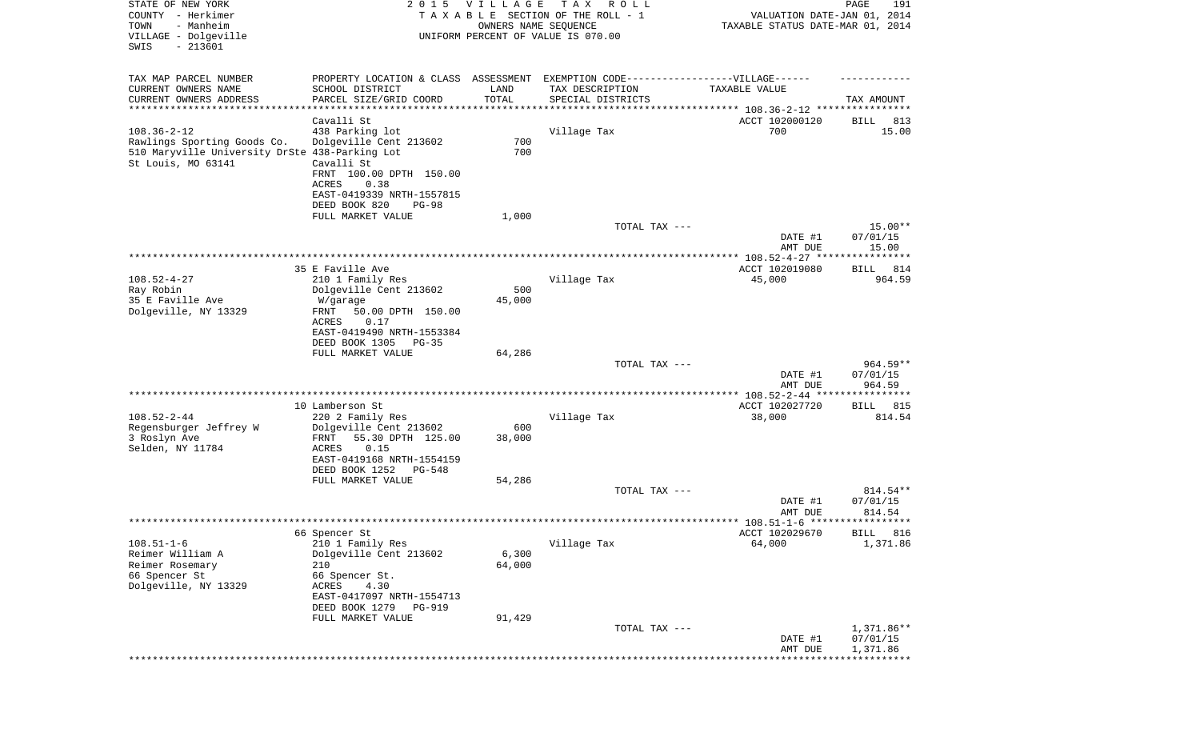| STATE OF NEW YORK<br>COUNTY - Herkimer<br>- Manheim<br>TOWN<br>VILLAGE - Dolgeville<br>$-213601$<br>SWIS                 | 2 0 1 5                                                                                                                                                    | <b>VILLAGE</b><br>OWNERS NAME SEQUENCE | T A X<br>R O L L<br>TAXABLE SECTION OF THE ROLL - 1<br>UNIFORM PERCENT OF VALUE IS 070.00           | VALUATION DATE-JAN 01, 2014<br>TAXABLE STATUS DATE-MAR 01, 2014 | 191<br>PAGE                       |
|--------------------------------------------------------------------------------------------------------------------------|------------------------------------------------------------------------------------------------------------------------------------------------------------|----------------------------------------|-----------------------------------------------------------------------------------------------------|-----------------------------------------------------------------|-----------------------------------|
| TAX MAP PARCEL NUMBER<br>CURRENT OWNERS NAME                                                                             | SCHOOL DISTRICT                                                                                                                                            | LAND<br>TOTAL                          | PROPERTY LOCATION & CLASS ASSESSMENT EXEMPTION CODE----------------VILLAGE------<br>TAX DESCRIPTION | TAXABLE VALUE                                                   |                                   |
| CURRENT OWNERS ADDRESS<br>*********************                                                                          | PARCEL SIZE/GRID COORD                                                                                                                                     | *************                          | SPECIAL DISTRICTS<br>************************************* 108.36-2-12 *****************            |                                                                 | TAX AMOUNT                        |
|                                                                                                                          | Cavalli St                                                                                                                                                 |                                        |                                                                                                     | ACCT 102000120                                                  | BILL<br>813                       |
| $108.36 - 2 - 12$<br>Rawlings Sporting Goods Co.<br>510 Maryville University DrSte 438-Parking Lot<br>St Louis, MO 63141 | 438 Parking lot<br>Dolgeville Cent 213602<br>Cavalli St<br>FRNT 100.00 DPTH 150.00<br>ACRES<br>0.38<br>EAST-0419339 NRTH-1557815<br>DEED BOOK 820<br>PG-98 | 700<br>700                             | Village Tax                                                                                         | 700                                                             | 15.00                             |
|                                                                                                                          | FULL MARKET VALUE                                                                                                                                          | 1,000                                  |                                                                                                     |                                                                 |                                   |
|                                                                                                                          |                                                                                                                                                            |                                        | TOTAL TAX ---                                                                                       | DATE #1                                                         | $15.00**$<br>07/01/15             |
|                                                                                                                          |                                                                                                                                                            |                                        |                                                                                                     | AMT DUE                                                         | 15.00                             |
|                                                                                                                          | 35 E Faville Ave                                                                                                                                           |                                        |                                                                                                     | ACCT 102019080                                                  | 814<br>BILL                       |
| $108.52 - 4 - 27$<br>Ray Robin                                                                                           | 210 1 Family Res                                                                                                                                           | 500                                    | Village Tax                                                                                         | 45,000                                                          | 964.59                            |
| 35 E Faville Ave                                                                                                         | Dolgeville Cent 213602<br>W/garage                                                                                                                         | 45,000                                 |                                                                                                     |                                                                 |                                   |
| Dolgeville, NY 13329                                                                                                     | FRNT<br>50.00 DPTH 150.00<br>ACRES<br>0.17<br>EAST-0419490 NRTH-1553384<br>DEED BOOK 1305<br>PG-35                                                         |                                        |                                                                                                     |                                                                 |                                   |
|                                                                                                                          | FULL MARKET VALUE                                                                                                                                          | 64,286                                 |                                                                                                     |                                                                 |                                   |
|                                                                                                                          |                                                                                                                                                            |                                        | TOTAL TAX ---                                                                                       | DATE #1<br>AMT DUE                                              | $964.59**$<br>07/01/15<br>964.59  |
|                                                                                                                          |                                                                                                                                                            |                                        |                                                                                                     | *************** 108.52-2-44 *****                               | ***********                       |
| $108.52 - 2 - 44$                                                                                                        | 10 Lamberson St<br>220 2 Family Res                                                                                                                        |                                        | Village Tax                                                                                         | ACCT 102027720<br>38,000                                        | 815<br>BILL<br>814.54             |
| Regensburger Jeffrey W                                                                                                   | Dolgeville Cent 213602                                                                                                                                     | 600                                    |                                                                                                     |                                                                 |                                   |
| 3 Roslyn Ave<br>Selden, NY 11784                                                                                         | FRNT<br>55.30 DPTH 125.00<br>ACRES<br>0.15<br>EAST-0419168 NRTH-1554159                                                                                    | 38,000                                 |                                                                                                     |                                                                 |                                   |
|                                                                                                                          | DEED BOOK 1252<br>PG-548                                                                                                                                   |                                        |                                                                                                     |                                                                 |                                   |
|                                                                                                                          | FULL MARKET VALUE                                                                                                                                          | 54,286                                 |                                                                                                     |                                                                 |                                   |
|                                                                                                                          |                                                                                                                                                            |                                        | TOTAL TAX ---                                                                                       | DATE #1<br>AMT DUE                                              | 814.54**<br>07/01/15<br>814.54    |
|                                                                                                                          |                                                                                                                                                            |                                        |                                                                                                     |                                                                 | BILL 816                          |
| $108.51 - 1 - 6$                                                                                                         | 66 Spencer St<br>210 1 Family Res                                                                                                                          |                                        | Village Tax                                                                                         | ACCT 102029670<br>64,000                                        | 1,371.86                          |
| Reimer William A                                                                                                         | Dolgeville Cent 213602                                                                                                                                     | 6,300                                  |                                                                                                     |                                                                 |                                   |
| Reimer Rosemary                                                                                                          | 210                                                                                                                                                        | 64,000                                 |                                                                                                     |                                                                 |                                   |
| 66 Spencer St<br>Dolgeville, NY 13329                                                                                    | 66 Spencer St.<br>ACRES<br>4.30<br>EAST-0417097 NRTH-1554713                                                                                               |                                        |                                                                                                     |                                                                 |                                   |
|                                                                                                                          | DEED BOOK 1279<br>PG-919                                                                                                                                   |                                        |                                                                                                     |                                                                 |                                   |
|                                                                                                                          | FULL MARKET VALUE                                                                                                                                          | 91,429                                 | TOTAL TAX ---                                                                                       | DATE #1                                                         | 1,371.86**<br>07/01/15            |
|                                                                                                                          |                                                                                                                                                            |                                        |                                                                                                     | AMT DUE                                                         | 1,371.86<br>* * * * * * * * * * * |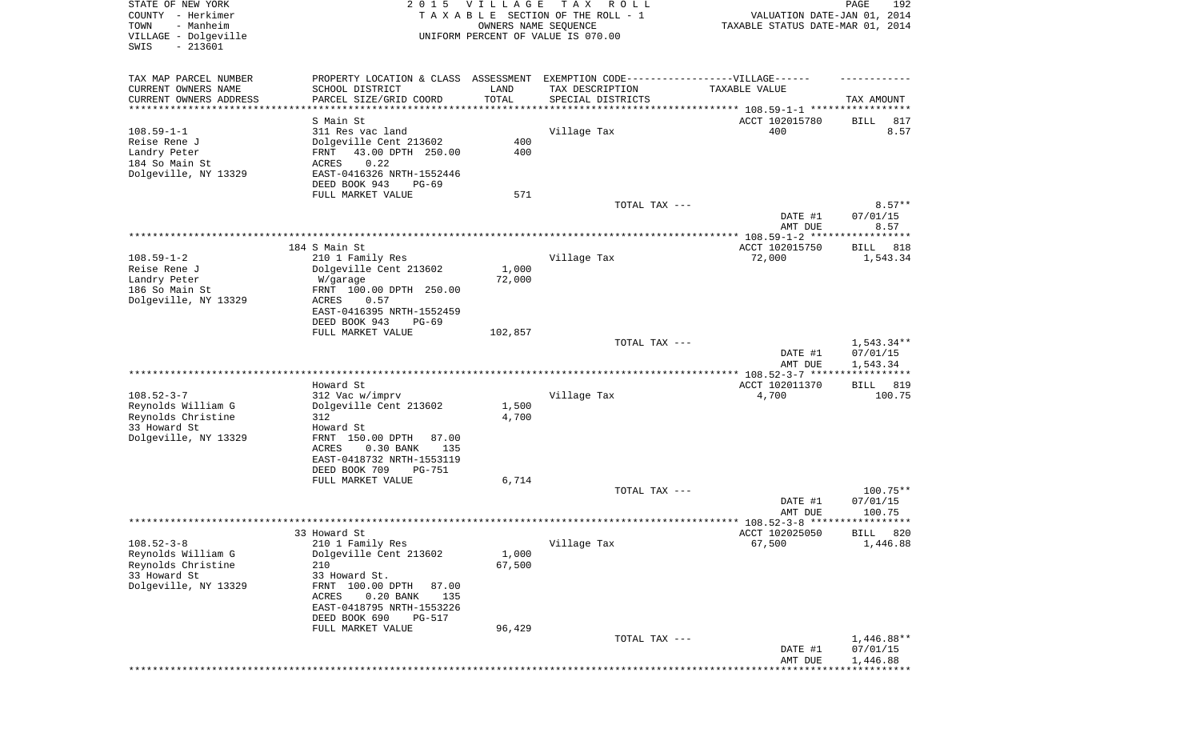| STATE OF NEW YORK<br>COUNTY - Herkimer<br>TOWN<br>- Manheim<br>VILLAGE - Dolgeville<br>$-213601$<br>SWIS | 2 0 1 5                                                                                                                                                                                                     | <b>VILLAGE</b>                         | T A X<br>R O L L<br>TAXABLE SECTION OF THE ROLL - 1<br>OWNERS NAME SEQUENCE<br>UNIFORM PERCENT OF VALUE IS 070.00 | VALUATION DATE-JAN 01, 2014<br>TAXABLE STATUS DATE-MAR 01, 2014                 | 192<br>PAGE                          |
|----------------------------------------------------------------------------------------------------------|-------------------------------------------------------------------------------------------------------------------------------------------------------------------------------------------------------------|----------------------------------------|-------------------------------------------------------------------------------------------------------------------|---------------------------------------------------------------------------------|--------------------------------------|
| TAX MAP PARCEL NUMBER<br>CURRENT OWNERS NAME<br>CURRENT OWNERS ADDRESS<br>*********************          | PROPERTY LOCATION & CLASS ASSESSMENT EXEMPTION CODE-----------------VILLAGE------<br>SCHOOL DISTRICT<br>PARCEL SIZE/GRID COORD<br>****************                                                          | LAND<br>TOTAL<br>* * * * * * * * * * * | TAX DESCRIPTION<br>SPECIAL DISTRICTS                                                                              | TAXABLE VALUE<br>********************************* 108.59-1-1 ***************** | TAX AMOUNT                           |
|                                                                                                          | S Main St                                                                                                                                                                                                   |                                        |                                                                                                                   | ACCT 102015780                                                                  | 817<br>BILL                          |
| $108.59 - 1 - 1$<br>Reise Rene J<br>Landry Peter<br>184 So Main St<br>Dolgeville, NY 13329               | 311 Res vac land<br>Dolgeville Cent 213602<br>43.00 DPTH 250.00<br>FRNT<br>0.22<br><b>ACRES</b><br>EAST-0416326 NRTH-1552446<br>DEED BOOK 943<br>PG-69                                                      | 400<br>400                             | Village Tax                                                                                                       | 400                                                                             | 8.57                                 |
|                                                                                                          | FULL MARKET VALUE                                                                                                                                                                                           | 571                                    |                                                                                                                   |                                                                                 |                                      |
|                                                                                                          |                                                                                                                                                                                                             |                                        | TOTAL TAX ---                                                                                                     | DATE #1<br>AMT DUE                                                              | $8.57**$<br>07/01/15<br>8.57         |
|                                                                                                          |                                                                                                                                                                                                             |                                        |                                                                                                                   |                                                                                 | ***********                          |
| $108.59 - 1 - 2$                                                                                         | 184 S Main St                                                                                                                                                                                               |                                        |                                                                                                                   | ACCT 102015750                                                                  | BILL<br>818                          |
| Reise Rene J<br>Landry Peter<br>186 So Main St<br>Dolgeville, NY 13329                                   | 210 1 Family Res<br>Dolgeville Cent 213602<br>W/garage<br>FRNT 100.00 DPTH 250.00<br><b>ACRES</b><br>0.57<br>EAST-0416395 NRTH-1552459<br>DEED BOOK 943<br>$PG-69$                                          | 1,000<br>72,000                        | Village Tax                                                                                                       | 72,000                                                                          | 1,543.34                             |
|                                                                                                          | FULL MARKET VALUE                                                                                                                                                                                           | 102,857                                |                                                                                                                   |                                                                                 |                                      |
|                                                                                                          |                                                                                                                                                                                                             |                                        | TOTAL TAX ---                                                                                                     | DATE #1<br>AMT DUE                                                              | $1,543.34**$<br>07/01/15<br>1,543.34 |
|                                                                                                          |                                                                                                                                                                                                             |                                        |                                                                                                                   | ************ 108.52-3-7 *****                                                   | * * * * * * * * * * *                |
| $108.52 - 3 - 7$<br>Reynolds William G<br>Reynolds Christine<br>33 Howard St<br>Dolgeville, NY 13329     | Howard St<br>312 Vac w/imprv<br>Dolgeville Cent 213602<br>312<br>Howard St<br>FRNT 150.00 DPTH<br>87.00<br>$0.30$ BANK<br>135<br>ACRES<br>EAST-0418732 NRTH-1553119<br>DEED BOOK 709<br><b>PG-751</b>       | 1,500<br>4,700                         | Village Tax                                                                                                       | ACCT 102011370<br>4,700                                                         | <b>BILL</b><br>819<br>100.75         |
|                                                                                                          | FULL MARKET VALUE                                                                                                                                                                                           | 6,714                                  |                                                                                                                   |                                                                                 |                                      |
|                                                                                                          |                                                                                                                                                                                                             |                                        | TOTAL TAX ---                                                                                                     | DATE #1<br>AMT DUE                                                              | $100.75**$<br>07/01/15<br>100.75     |
|                                                                                                          |                                                                                                                                                                                                             |                                        |                                                                                                                   |                                                                                 |                                      |
| $108.52 - 3 - 8$                                                                                         | 33 Howard St                                                                                                                                                                                                |                                        | Village Tax                                                                                                       | ACCT 102025050<br>67,500                                                        | <b>BILL</b> 820<br>1,446.88          |
| Reynolds William G<br>Reynolds Christine<br>33 Howard St<br>Dolgeville, NY 13329                         | 210 1 Family Res<br>Dolgeville Cent 213602<br>210<br>33 Howard St.<br>FRNT 100.00 DPTH<br>87.00<br>$0.20$ BANK<br>135<br>ACRES<br>EAST-0418795 NRTH-1553226<br>DEED BOOK 690<br>PG-517<br>FULL MARKET VALUE | 1,000<br>67,500<br>96,429              |                                                                                                                   |                                                                                 |                                      |
|                                                                                                          |                                                                                                                                                                                                             |                                        | TOTAL TAX ---                                                                                                     | DATE #1<br>AMT DUE                                                              | $1,446.88**$<br>07/01/15<br>1,446.88 |
|                                                                                                          |                                                                                                                                                                                                             |                                        |                                                                                                                   |                                                                                 |                                      |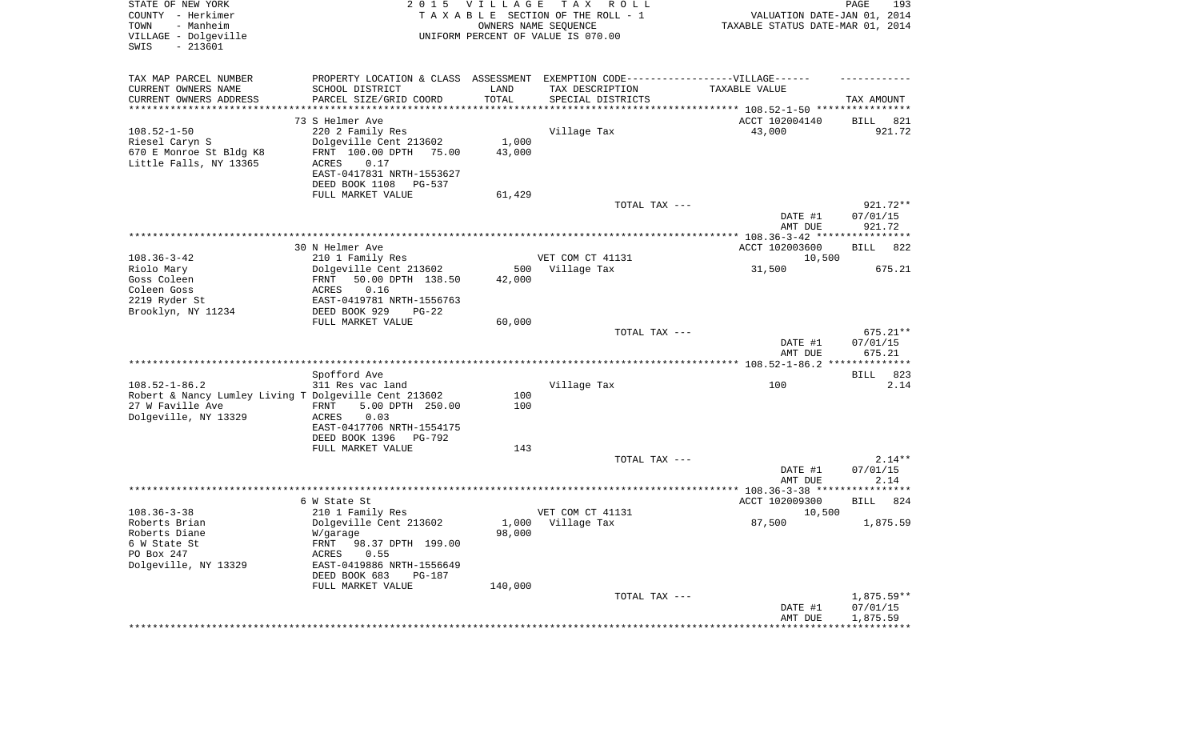| STATE OF NEW YORK<br>COUNTY - Herkimer<br>- Manheim<br>TOWN<br>VILLAGE - Dolgeville<br>SWIS<br>$-213601$ |                                                                                  | 2015 VILLAGE         | T A X<br>R O L L<br>TAXABLE SECTION OF THE ROLL - 1<br>OWNERS NAME SEQUENCE<br>UNIFORM PERCENT OF VALUE IS 070.00 | VALUATION DATE-JAN 01, 2014<br>TAXABLE STATUS DATE-MAR 01, 2014 | PAGE<br>193                    |
|----------------------------------------------------------------------------------------------------------|----------------------------------------------------------------------------------|----------------------|-------------------------------------------------------------------------------------------------------------------|-----------------------------------------------------------------|--------------------------------|
| TAX MAP PARCEL NUMBER                                                                                    | PROPERTY LOCATION & CLASS ASSESSMENT EXEMPTION CODE----------------VILLAGE------ |                      |                                                                                                                   |                                                                 |                                |
| CURRENT OWNERS NAME                                                                                      | SCHOOL DISTRICT                                                                  | LAND                 | TAX DESCRIPTION                                                                                                   | TAXABLE VALUE                                                   |                                |
| CURRENT OWNERS ADDRESS<br>*********************                                                          | PARCEL SIZE/GRID COORD                                                           | TOTAL<br>*********** | SPECIAL DISTRICTS                                                                                                 |                                                                 | TAX AMOUNT                     |
|                                                                                                          | 73 S Helmer Ave                                                                  |                      |                                                                                                                   | ACCT 102004140                                                  | BILL<br>821                    |
| $108.52 - 1 - 50$                                                                                        | 220 2 Family Res                                                                 |                      | Village Tax                                                                                                       | 43,000                                                          | 921.72                         |
| Riesel Caryn S                                                                                           | Dolgeville Cent 213602                                                           | 1,000                |                                                                                                                   |                                                                 |                                |
| 670 E Monroe St Bldg K8                                                                                  | FRNT 100.00 DPTH<br>75.00                                                        | 43,000               |                                                                                                                   |                                                                 |                                |
| Little Falls, NY 13365                                                                                   | ACRES<br>0.17                                                                    |                      |                                                                                                                   |                                                                 |                                |
|                                                                                                          | EAST-0417831 NRTH-1553627<br>DEED BOOK 1108<br>PG-537                            |                      |                                                                                                                   |                                                                 |                                |
|                                                                                                          | FULL MARKET VALUE                                                                | 61,429               |                                                                                                                   |                                                                 |                                |
|                                                                                                          |                                                                                  |                      | TOTAL TAX ---                                                                                                     |                                                                 | 921.72**                       |
|                                                                                                          |                                                                                  |                      |                                                                                                                   | DATE #1                                                         | 07/01/15                       |
|                                                                                                          |                                                                                  |                      |                                                                                                                   | AMT DUE                                                         | 921.72                         |
|                                                                                                          | 30 N Helmer Ave                                                                  |                      |                                                                                                                   | ACCT 102003600                                                  | <b>BILL</b><br>822             |
| $108.36 - 3 - 42$                                                                                        | 210 1 Family Res                                                                 |                      | VET COM CT 41131                                                                                                  | 10,500                                                          |                                |
| Riolo Mary                                                                                               | Dolgeville Cent 213602                                                           | 500                  | Village Tax                                                                                                       | 31,500                                                          | 675.21                         |
| Goss Coleen                                                                                              | FRNT<br>50.00 DPTH 138.50                                                        | 42,000               |                                                                                                                   |                                                                 |                                |
| Coleen Goss<br>2219 Ryder St                                                                             | 0.16<br>ACRES<br>EAST-0419781 NRTH-1556763                                       |                      |                                                                                                                   |                                                                 |                                |
| Brooklyn, NY 11234                                                                                       | DEED BOOK 929<br>$PG-22$                                                         |                      |                                                                                                                   |                                                                 |                                |
|                                                                                                          | FULL MARKET VALUE                                                                | 60,000               |                                                                                                                   |                                                                 |                                |
|                                                                                                          |                                                                                  |                      | TOTAL TAX ---                                                                                                     | DATE #1<br>AMT DUE                                              | 675.21**<br>07/01/15<br>675.21 |
|                                                                                                          |                                                                                  |                      |                                                                                                                   |                                                                 |                                |
|                                                                                                          | Spofford Ave                                                                     |                      |                                                                                                                   |                                                                 | <b>BILL</b><br>823             |
| $108.52 - 1 - 86.2$                                                                                      | 311 Res vac land                                                                 |                      | Village Tax                                                                                                       | 100                                                             | 2.14                           |
| Robert & Nancy Lumley Living T Dolgeville Cent 213602<br>27 W Faville Ave                                | 5.00 DPTH 250.00<br>FRNT                                                         | 100<br>100           |                                                                                                                   |                                                                 |                                |
| Dolgeville, NY 13329                                                                                     | ACRES<br>0.03                                                                    |                      |                                                                                                                   |                                                                 |                                |
|                                                                                                          | EAST-0417706 NRTH-1554175                                                        |                      |                                                                                                                   |                                                                 |                                |
|                                                                                                          | DEED BOOK 1396<br><b>PG-792</b>                                                  |                      |                                                                                                                   |                                                                 |                                |
|                                                                                                          | FULL MARKET VALUE                                                                | 143                  | TOTAL TAX ---                                                                                                     |                                                                 | $2.14**$                       |
|                                                                                                          |                                                                                  |                      |                                                                                                                   | DATE #1                                                         | 07/01/15                       |
|                                                                                                          |                                                                                  |                      |                                                                                                                   | AMT DUE                                                         | 2.14                           |
|                                                                                                          |                                                                                  |                      |                                                                                                                   |                                                                 |                                |
| $108.36 - 3 - 38$                                                                                        | 6 W State St<br>210 1 Family Res                                                 |                      | VET COM CT 41131                                                                                                  | ACCT 102009300<br>10,500                                        | 824<br>BILL                    |
| Roberts Brian                                                                                            | Dolgeville Cent 213602                                                           | 1,000                | Village Tax                                                                                                       | 87,500                                                          | 1,875.59                       |
| Roberts Diane                                                                                            | W/garage                                                                         | 98,000               |                                                                                                                   |                                                                 |                                |
| 6 W State St                                                                                             | FRNT 98.37 DPTH 199.00                                                           |                      |                                                                                                                   |                                                                 |                                |
| PO Box 247<br>Dolgeville, NY 13329                                                                       | 0.55<br>ACRES<br>EAST-0419886 NRTH-1556649                                       |                      |                                                                                                                   |                                                                 |                                |
|                                                                                                          | DEED BOOK 683<br>PG-187                                                          |                      |                                                                                                                   |                                                                 |                                |
|                                                                                                          | FULL MARKET VALUE                                                                | 140,000              |                                                                                                                   |                                                                 |                                |
|                                                                                                          |                                                                                  |                      | TOTAL TAX ---                                                                                                     |                                                                 | $1,875.59**$                   |
|                                                                                                          |                                                                                  |                      |                                                                                                                   | DATE #1                                                         | 07/01/15                       |
|                                                                                                          |                                                                                  |                      |                                                                                                                   | AMT DUE<br>**********************************                   | 1,875.59                       |
|                                                                                                          |                                                                                  |                      |                                                                                                                   |                                                                 |                                |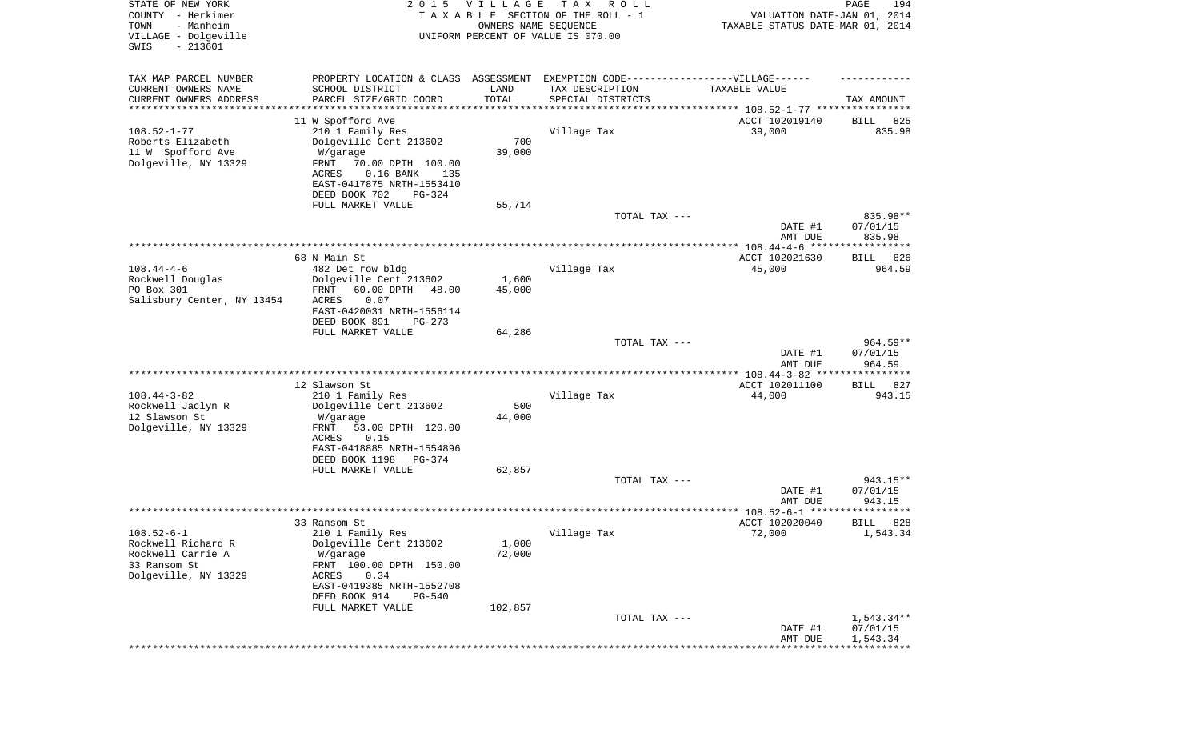| TAX MAP PARCEL NUMBER<br>PROPERTY LOCATION & CLASS ASSESSMENT EXEMPTION CODE----------------VILLAGE------<br>CURRENT OWNERS NAME<br>SCHOOL DISTRICT<br>TAX DESCRIPTION<br>LAND<br>TAXABLE VALUE<br>TOTAL<br>CURRENT OWNERS ADDRESS<br>PARCEL SIZE/GRID COORD<br>SPECIAL DISTRICTS<br>TAX AMOUNT<br>*********************<br>****************<br>11 W Spofford Ave<br>825<br>ACCT 102019140<br>BILL<br>$108.52 - 1 - 77$<br>835.98<br>210 1 Family Res<br>Village Tax<br>39,000<br>700<br>Roberts Elizabeth<br>Dolgeville Cent 213602<br>11 W Spofford Ave<br>39,000<br>W/garage<br>Dolgeville, NY 13329<br>FRNT<br>70.00 DPTH 100.00<br>$0.16$ BANK<br>ACRES<br>135<br>EAST-0417875 NRTH-1553410<br>DEED BOOK 702<br>PG-324<br>FULL MARKET VALUE<br>55,714<br>835.98**<br>TOTAL TAX ---<br>07/01/15<br>DATE #1<br>835.98<br>AMT DUE<br>68 N Main St<br>ACCT 102021630<br>BILL 826<br>$108.44 - 4 - 6$<br>Village Tax<br>45,000<br>482 Det row bldg<br>964.59<br>Rockwell Douglas<br>Dolgeville Cent 213602<br>1,600<br>PO Box 301<br>FRNT<br>60.00 DPTH<br>48.00<br>45,000<br>Salisbury Center, NY 13454<br>ACRES<br>0.07<br>EAST-0420031 NRTH-1556114<br>DEED BOOK 891<br>$PG-273$<br>FULL MARKET VALUE<br>64,286<br>$964.59**$<br>TOTAL TAX ---<br>07/01/15<br>DATE #1<br>964.59<br>AMT DUE<br>************ 108.44-3-82 *****************<br>12 Slawson St<br>ACCT 102011100<br><b>BILL</b><br>827<br>$108.44 - 3 - 82$<br>Village Tax<br>210 1 Family Res<br>44,000<br>943.15<br>500<br>Rockwell Jaclyn R<br>Dolgeville Cent 213602<br>12 Slawson St<br>44,000<br>W/garage<br>Dolgeville, NY 13329<br>FRNT<br>53.00 DPTH 120.00<br>ACRES<br>0.15<br>EAST-0418885 NRTH-1554896<br>DEED BOOK 1198<br>PG-374<br>FULL MARKET VALUE<br>62,857<br>943.15**<br>TOTAL TAX ---<br>DATE #1<br>07/01/15<br>AMT DUE<br>943.15<br>***************** 108.52-6-1 **********<br>* * * * * *<br>ACCT 102020040<br>33 Ransom St<br>828<br>BILL<br>72,000<br>1,543.34<br>$108.52 - 6 - 1$<br>210 1 Family Res<br>Village Tax<br>Rockwell Richard R<br>Dolgeville Cent 213602<br>1,000<br>Rockwell Carrie A<br>72,000<br>W/garage<br>33 Ransom St<br>FRNT 100.00 DPTH 150.00<br>Dolgeville, NY 13329<br>0.34<br>ACRES<br>EAST-0419385 NRTH-1552708<br>DEED BOOK 914<br>PG-540<br>FULL MARKET VALUE<br>102,857<br>$1,543.34**$<br>TOTAL TAX ---<br>DATE #1<br>07/01/15<br>1,543.34<br>AMT DUE | STATE OF NEW YORK<br>COUNTY - Herkimer<br>- Manheim<br>TOWN<br>VILLAGE - Dolgeville<br>$-213601$<br>SWIS | 2 0 1 5 | VILLAGE<br>OWNERS NAME SEQUENCE | T A X<br>R O L L<br>TAXABLE SECTION OF THE ROLL - 1<br>UNIFORM PERCENT OF VALUE IS 070.00 | VALUATION DATE-JAN 01, 2014<br>TAXABLE STATUS DATE-MAR 01, 2014 | PAGE<br>194 |
|-----------------------------------------------------------------------------------------------------------------------------------------------------------------------------------------------------------------------------------------------------------------------------------------------------------------------------------------------------------------------------------------------------------------------------------------------------------------------------------------------------------------------------------------------------------------------------------------------------------------------------------------------------------------------------------------------------------------------------------------------------------------------------------------------------------------------------------------------------------------------------------------------------------------------------------------------------------------------------------------------------------------------------------------------------------------------------------------------------------------------------------------------------------------------------------------------------------------------------------------------------------------------------------------------------------------------------------------------------------------------------------------------------------------------------------------------------------------------------------------------------------------------------------------------------------------------------------------------------------------------------------------------------------------------------------------------------------------------------------------------------------------------------------------------------------------------------------------------------------------------------------------------------------------------------------------------------------------------------------------------------------------------------------------------------------------------------------------------------------------------------------------------------------------------------------------------------------------------------------------------------------------------------------------------------------------------------------------------------------------------------|----------------------------------------------------------------------------------------------------------|---------|---------------------------------|-------------------------------------------------------------------------------------------|-----------------------------------------------------------------|-------------|
|                                                                                                                                                                                                                                                                                                                                                                                                                                                                                                                                                                                                                                                                                                                                                                                                                                                                                                                                                                                                                                                                                                                                                                                                                                                                                                                                                                                                                                                                                                                                                                                                                                                                                                                                                                                                                                                                                                                                                                                                                                                                                                                                                                                                                                                                                                                                                                             |                                                                                                          |         |                                 |                                                                                           |                                                                 |             |
|                                                                                                                                                                                                                                                                                                                                                                                                                                                                                                                                                                                                                                                                                                                                                                                                                                                                                                                                                                                                                                                                                                                                                                                                                                                                                                                                                                                                                                                                                                                                                                                                                                                                                                                                                                                                                                                                                                                                                                                                                                                                                                                                                                                                                                                                                                                                                                             |                                                                                                          |         |                                 |                                                                                           |                                                                 |             |
|                                                                                                                                                                                                                                                                                                                                                                                                                                                                                                                                                                                                                                                                                                                                                                                                                                                                                                                                                                                                                                                                                                                                                                                                                                                                                                                                                                                                                                                                                                                                                                                                                                                                                                                                                                                                                                                                                                                                                                                                                                                                                                                                                                                                                                                                                                                                                                             |                                                                                                          |         |                                 |                                                                                           |                                                                 |             |
|                                                                                                                                                                                                                                                                                                                                                                                                                                                                                                                                                                                                                                                                                                                                                                                                                                                                                                                                                                                                                                                                                                                                                                                                                                                                                                                                                                                                                                                                                                                                                                                                                                                                                                                                                                                                                                                                                                                                                                                                                                                                                                                                                                                                                                                                                                                                                                             |                                                                                                          |         |                                 |                                                                                           |                                                                 |             |
|                                                                                                                                                                                                                                                                                                                                                                                                                                                                                                                                                                                                                                                                                                                                                                                                                                                                                                                                                                                                                                                                                                                                                                                                                                                                                                                                                                                                                                                                                                                                                                                                                                                                                                                                                                                                                                                                                                                                                                                                                                                                                                                                                                                                                                                                                                                                                                             |                                                                                                          |         |                                 |                                                                                           |                                                                 |             |
|                                                                                                                                                                                                                                                                                                                                                                                                                                                                                                                                                                                                                                                                                                                                                                                                                                                                                                                                                                                                                                                                                                                                                                                                                                                                                                                                                                                                                                                                                                                                                                                                                                                                                                                                                                                                                                                                                                                                                                                                                                                                                                                                                                                                                                                                                                                                                                             |                                                                                                          |         |                                 |                                                                                           |                                                                 |             |
|                                                                                                                                                                                                                                                                                                                                                                                                                                                                                                                                                                                                                                                                                                                                                                                                                                                                                                                                                                                                                                                                                                                                                                                                                                                                                                                                                                                                                                                                                                                                                                                                                                                                                                                                                                                                                                                                                                                                                                                                                                                                                                                                                                                                                                                                                                                                                                             |                                                                                                          |         |                                 |                                                                                           |                                                                 |             |
|                                                                                                                                                                                                                                                                                                                                                                                                                                                                                                                                                                                                                                                                                                                                                                                                                                                                                                                                                                                                                                                                                                                                                                                                                                                                                                                                                                                                                                                                                                                                                                                                                                                                                                                                                                                                                                                                                                                                                                                                                                                                                                                                                                                                                                                                                                                                                                             |                                                                                                          |         |                                 |                                                                                           |                                                                 |             |
|                                                                                                                                                                                                                                                                                                                                                                                                                                                                                                                                                                                                                                                                                                                                                                                                                                                                                                                                                                                                                                                                                                                                                                                                                                                                                                                                                                                                                                                                                                                                                                                                                                                                                                                                                                                                                                                                                                                                                                                                                                                                                                                                                                                                                                                                                                                                                                             |                                                                                                          |         |                                 |                                                                                           |                                                                 |             |
|                                                                                                                                                                                                                                                                                                                                                                                                                                                                                                                                                                                                                                                                                                                                                                                                                                                                                                                                                                                                                                                                                                                                                                                                                                                                                                                                                                                                                                                                                                                                                                                                                                                                                                                                                                                                                                                                                                                                                                                                                                                                                                                                                                                                                                                                                                                                                                             |                                                                                                          |         |                                 |                                                                                           |                                                                 |             |
|                                                                                                                                                                                                                                                                                                                                                                                                                                                                                                                                                                                                                                                                                                                                                                                                                                                                                                                                                                                                                                                                                                                                                                                                                                                                                                                                                                                                                                                                                                                                                                                                                                                                                                                                                                                                                                                                                                                                                                                                                                                                                                                                                                                                                                                                                                                                                                             |                                                                                                          |         |                                 |                                                                                           |                                                                 |             |
|                                                                                                                                                                                                                                                                                                                                                                                                                                                                                                                                                                                                                                                                                                                                                                                                                                                                                                                                                                                                                                                                                                                                                                                                                                                                                                                                                                                                                                                                                                                                                                                                                                                                                                                                                                                                                                                                                                                                                                                                                                                                                                                                                                                                                                                                                                                                                                             |                                                                                                          |         |                                 |                                                                                           |                                                                 |             |
|                                                                                                                                                                                                                                                                                                                                                                                                                                                                                                                                                                                                                                                                                                                                                                                                                                                                                                                                                                                                                                                                                                                                                                                                                                                                                                                                                                                                                                                                                                                                                                                                                                                                                                                                                                                                                                                                                                                                                                                                                                                                                                                                                                                                                                                                                                                                                                             |                                                                                                          |         |                                 |                                                                                           |                                                                 |             |
|                                                                                                                                                                                                                                                                                                                                                                                                                                                                                                                                                                                                                                                                                                                                                                                                                                                                                                                                                                                                                                                                                                                                                                                                                                                                                                                                                                                                                                                                                                                                                                                                                                                                                                                                                                                                                                                                                                                                                                                                                                                                                                                                                                                                                                                                                                                                                                             |                                                                                                          |         |                                 |                                                                                           |                                                                 |             |
|                                                                                                                                                                                                                                                                                                                                                                                                                                                                                                                                                                                                                                                                                                                                                                                                                                                                                                                                                                                                                                                                                                                                                                                                                                                                                                                                                                                                                                                                                                                                                                                                                                                                                                                                                                                                                                                                                                                                                                                                                                                                                                                                                                                                                                                                                                                                                                             |                                                                                                          |         |                                 |                                                                                           |                                                                 |             |
|                                                                                                                                                                                                                                                                                                                                                                                                                                                                                                                                                                                                                                                                                                                                                                                                                                                                                                                                                                                                                                                                                                                                                                                                                                                                                                                                                                                                                                                                                                                                                                                                                                                                                                                                                                                                                                                                                                                                                                                                                                                                                                                                                                                                                                                                                                                                                                             |                                                                                                          |         |                                 |                                                                                           |                                                                 |             |
|                                                                                                                                                                                                                                                                                                                                                                                                                                                                                                                                                                                                                                                                                                                                                                                                                                                                                                                                                                                                                                                                                                                                                                                                                                                                                                                                                                                                                                                                                                                                                                                                                                                                                                                                                                                                                                                                                                                                                                                                                                                                                                                                                                                                                                                                                                                                                                             |                                                                                                          |         |                                 |                                                                                           |                                                                 |             |
|                                                                                                                                                                                                                                                                                                                                                                                                                                                                                                                                                                                                                                                                                                                                                                                                                                                                                                                                                                                                                                                                                                                                                                                                                                                                                                                                                                                                                                                                                                                                                                                                                                                                                                                                                                                                                                                                                                                                                                                                                                                                                                                                                                                                                                                                                                                                                                             |                                                                                                          |         |                                 |                                                                                           |                                                                 |             |
|                                                                                                                                                                                                                                                                                                                                                                                                                                                                                                                                                                                                                                                                                                                                                                                                                                                                                                                                                                                                                                                                                                                                                                                                                                                                                                                                                                                                                                                                                                                                                                                                                                                                                                                                                                                                                                                                                                                                                                                                                                                                                                                                                                                                                                                                                                                                                                             |                                                                                                          |         |                                 |                                                                                           |                                                                 |             |
|                                                                                                                                                                                                                                                                                                                                                                                                                                                                                                                                                                                                                                                                                                                                                                                                                                                                                                                                                                                                                                                                                                                                                                                                                                                                                                                                                                                                                                                                                                                                                                                                                                                                                                                                                                                                                                                                                                                                                                                                                                                                                                                                                                                                                                                                                                                                                                             |                                                                                                          |         |                                 |                                                                                           |                                                                 |             |
|                                                                                                                                                                                                                                                                                                                                                                                                                                                                                                                                                                                                                                                                                                                                                                                                                                                                                                                                                                                                                                                                                                                                                                                                                                                                                                                                                                                                                                                                                                                                                                                                                                                                                                                                                                                                                                                                                                                                                                                                                                                                                                                                                                                                                                                                                                                                                                             |                                                                                                          |         |                                 |                                                                                           |                                                                 |             |
|                                                                                                                                                                                                                                                                                                                                                                                                                                                                                                                                                                                                                                                                                                                                                                                                                                                                                                                                                                                                                                                                                                                                                                                                                                                                                                                                                                                                                                                                                                                                                                                                                                                                                                                                                                                                                                                                                                                                                                                                                                                                                                                                                                                                                                                                                                                                                                             |                                                                                                          |         |                                 |                                                                                           |                                                                 |             |
|                                                                                                                                                                                                                                                                                                                                                                                                                                                                                                                                                                                                                                                                                                                                                                                                                                                                                                                                                                                                                                                                                                                                                                                                                                                                                                                                                                                                                                                                                                                                                                                                                                                                                                                                                                                                                                                                                                                                                                                                                                                                                                                                                                                                                                                                                                                                                                             |                                                                                                          |         |                                 |                                                                                           |                                                                 |             |
|                                                                                                                                                                                                                                                                                                                                                                                                                                                                                                                                                                                                                                                                                                                                                                                                                                                                                                                                                                                                                                                                                                                                                                                                                                                                                                                                                                                                                                                                                                                                                                                                                                                                                                                                                                                                                                                                                                                                                                                                                                                                                                                                                                                                                                                                                                                                                                             |                                                                                                          |         |                                 |                                                                                           |                                                                 |             |
|                                                                                                                                                                                                                                                                                                                                                                                                                                                                                                                                                                                                                                                                                                                                                                                                                                                                                                                                                                                                                                                                                                                                                                                                                                                                                                                                                                                                                                                                                                                                                                                                                                                                                                                                                                                                                                                                                                                                                                                                                                                                                                                                                                                                                                                                                                                                                                             |                                                                                                          |         |                                 |                                                                                           |                                                                 |             |
|                                                                                                                                                                                                                                                                                                                                                                                                                                                                                                                                                                                                                                                                                                                                                                                                                                                                                                                                                                                                                                                                                                                                                                                                                                                                                                                                                                                                                                                                                                                                                                                                                                                                                                                                                                                                                                                                                                                                                                                                                                                                                                                                                                                                                                                                                                                                                                             |                                                                                                          |         |                                 |                                                                                           |                                                                 |             |
|                                                                                                                                                                                                                                                                                                                                                                                                                                                                                                                                                                                                                                                                                                                                                                                                                                                                                                                                                                                                                                                                                                                                                                                                                                                                                                                                                                                                                                                                                                                                                                                                                                                                                                                                                                                                                                                                                                                                                                                                                                                                                                                                                                                                                                                                                                                                                                             |                                                                                                          |         |                                 |                                                                                           |                                                                 |             |
|                                                                                                                                                                                                                                                                                                                                                                                                                                                                                                                                                                                                                                                                                                                                                                                                                                                                                                                                                                                                                                                                                                                                                                                                                                                                                                                                                                                                                                                                                                                                                                                                                                                                                                                                                                                                                                                                                                                                                                                                                                                                                                                                                                                                                                                                                                                                                                             |                                                                                                          |         |                                 |                                                                                           |                                                                 |             |
|                                                                                                                                                                                                                                                                                                                                                                                                                                                                                                                                                                                                                                                                                                                                                                                                                                                                                                                                                                                                                                                                                                                                                                                                                                                                                                                                                                                                                                                                                                                                                                                                                                                                                                                                                                                                                                                                                                                                                                                                                                                                                                                                                                                                                                                                                                                                                                             |                                                                                                          |         |                                 |                                                                                           |                                                                 |             |
|                                                                                                                                                                                                                                                                                                                                                                                                                                                                                                                                                                                                                                                                                                                                                                                                                                                                                                                                                                                                                                                                                                                                                                                                                                                                                                                                                                                                                                                                                                                                                                                                                                                                                                                                                                                                                                                                                                                                                                                                                                                                                                                                                                                                                                                                                                                                                                             |                                                                                                          |         |                                 |                                                                                           |                                                                 |             |
|                                                                                                                                                                                                                                                                                                                                                                                                                                                                                                                                                                                                                                                                                                                                                                                                                                                                                                                                                                                                                                                                                                                                                                                                                                                                                                                                                                                                                                                                                                                                                                                                                                                                                                                                                                                                                                                                                                                                                                                                                                                                                                                                                                                                                                                                                                                                                                             |                                                                                                          |         |                                 |                                                                                           |                                                                 |             |
|                                                                                                                                                                                                                                                                                                                                                                                                                                                                                                                                                                                                                                                                                                                                                                                                                                                                                                                                                                                                                                                                                                                                                                                                                                                                                                                                                                                                                                                                                                                                                                                                                                                                                                                                                                                                                                                                                                                                                                                                                                                                                                                                                                                                                                                                                                                                                                             |                                                                                                          |         |                                 |                                                                                           |                                                                 |             |
|                                                                                                                                                                                                                                                                                                                                                                                                                                                                                                                                                                                                                                                                                                                                                                                                                                                                                                                                                                                                                                                                                                                                                                                                                                                                                                                                                                                                                                                                                                                                                                                                                                                                                                                                                                                                                                                                                                                                                                                                                                                                                                                                                                                                                                                                                                                                                                             |                                                                                                          |         |                                 |                                                                                           |                                                                 |             |
|                                                                                                                                                                                                                                                                                                                                                                                                                                                                                                                                                                                                                                                                                                                                                                                                                                                                                                                                                                                                                                                                                                                                                                                                                                                                                                                                                                                                                                                                                                                                                                                                                                                                                                                                                                                                                                                                                                                                                                                                                                                                                                                                                                                                                                                                                                                                                                             |                                                                                                          |         |                                 |                                                                                           |                                                                 |             |
|                                                                                                                                                                                                                                                                                                                                                                                                                                                                                                                                                                                                                                                                                                                                                                                                                                                                                                                                                                                                                                                                                                                                                                                                                                                                                                                                                                                                                                                                                                                                                                                                                                                                                                                                                                                                                                                                                                                                                                                                                                                                                                                                                                                                                                                                                                                                                                             |                                                                                                          |         |                                 |                                                                                           |                                                                 |             |
|                                                                                                                                                                                                                                                                                                                                                                                                                                                                                                                                                                                                                                                                                                                                                                                                                                                                                                                                                                                                                                                                                                                                                                                                                                                                                                                                                                                                                                                                                                                                                                                                                                                                                                                                                                                                                                                                                                                                                                                                                                                                                                                                                                                                                                                                                                                                                                             |                                                                                                          |         |                                 |                                                                                           |                                                                 |             |
|                                                                                                                                                                                                                                                                                                                                                                                                                                                                                                                                                                                                                                                                                                                                                                                                                                                                                                                                                                                                                                                                                                                                                                                                                                                                                                                                                                                                                                                                                                                                                                                                                                                                                                                                                                                                                                                                                                                                                                                                                                                                                                                                                                                                                                                                                                                                                                             |                                                                                                          |         |                                 |                                                                                           |                                                                 |             |
|                                                                                                                                                                                                                                                                                                                                                                                                                                                                                                                                                                                                                                                                                                                                                                                                                                                                                                                                                                                                                                                                                                                                                                                                                                                                                                                                                                                                                                                                                                                                                                                                                                                                                                                                                                                                                                                                                                                                                                                                                                                                                                                                                                                                                                                                                                                                                                             |                                                                                                          |         |                                 |                                                                                           |                                                                 |             |
|                                                                                                                                                                                                                                                                                                                                                                                                                                                                                                                                                                                                                                                                                                                                                                                                                                                                                                                                                                                                                                                                                                                                                                                                                                                                                                                                                                                                                                                                                                                                                                                                                                                                                                                                                                                                                                                                                                                                                                                                                                                                                                                                                                                                                                                                                                                                                                             |                                                                                                          |         |                                 |                                                                                           |                                                                 |             |
|                                                                                                                                                                                                                                                                                                                                                                                                                                                                                                                                                                                                                                                                                                                                                                                                                                                                                                                                                                                                                                                                                                                                                                                                                                                                                                                                                                                                                                                                                                                                                                                                                                                                                                                                                                                                                                                                                                                                                                                                                                                                                                                                                                                                                                                                                                                                                                             |                                                                                                          |         |                                 |                                                                                           |                                                                 |             |
|                                                                                                                                                                                                                                                                                                                                                                                                                                                                                                                                                                                                                                                                                                                                                                                                                                                                                                                                                                                                                                                                                                                                                                                                                                                                                                                                                                                                                                                                                                                                                                                                                                                                                                                                                                                                                                                                                                                                                                                                                                                                                                                                                                                                                                                                                                                                                                             |                                                                                                          |         |                                 |                                                                                           |                                                                 |             |
|                                                                                                                                                                                                                                                                                                                                                                                                                                                                                                                                                                                                                                                                                                                                                                                                                                                                                                                                                                                                                                                                                                                                                                                                                                                                                                                                                                                                                                                                                                                                                                                                                                                                                                                                                                                                                                                                                                                                                                                                                                                                                                                                                                                                                                                                                                                                                                             |                                                                                                          |         |                                 |                                                                                           |                                                                 |             |
|                                                                                                                                                                                                                                                                                                                                                                                                                                                                                                                                                                                                                                                                                                                                                                                                                                                                                                                                                                                                                                                                                                                                                                                                                                                                                                                                                                                                                                                                                                                                                                                                                                                                                                                                                                                                                                                                                                                                                                                                                                                                                                                                                                                                                                                                                                                                                                             |                                                                                                          |         |                                 |                                                                                           |                                                                 |             |
|                                                                                                                                                                                                                                                                                                                                                                                                                                                                                                                                                                                                                                                                                                                                                                                                                                                                                                                                                                                                                                                                                                                                                                                                                                                                                                                                                                                                                                                                                                                                                                                                                                                                                                                                                                                                                                                                                                                                                                                                                                                                                                                                                                                                                                                                                                                                                                             |                                                                                                          |         |                                 |                                                                                           |                                                                 |             |
|                                                                                                                                                                                                                                                                                                                                                                                                                                                                                                                                                                                                                                                                                                                                                                                                                                                                                                                                                                                                                                                                                                                                                                                                                                                                                                                                                                                                                                                                                                                                                                                                                                                                                                                                                                                                                                                                                                                                                                                                                                                                                                                                                                                                                                                                                                                                                                             |                                                                                                          |         |                                 |                                                                                           |                                                                 |             |
|                                                                                                                                                                                                                                                                                                                                                                                                                                                                                                                                                                                                                                                                                                                                                                                                                                                                                                                                                                                                                                                                                                                                                                                                                                                                                                                                                                                                                                                                                                                                                                                                                                                                                                                                                                                                                                                                                                                                                                                                                                                                                                                                                                                                                                                                                                                                                                             |                                                                                                          |         |                                 |                                                                                           |                                                                 |             |
|                                                                                                                                                                                                                                                                                                                                                                                                                                                                                                                                                                                                                                                                                                                                                                                                                                                                                                                                                                                                                                                                                                                                                                                                                                                                                                                                                                                                                                                                                                                                                                                                                                                                                                                                                                                                                                                                                                                                                                                                                                                                                                                                                                                                                                                                                                                                                                             |                                                                                                          |         |                                 |                                                                                           |                                                                 |             |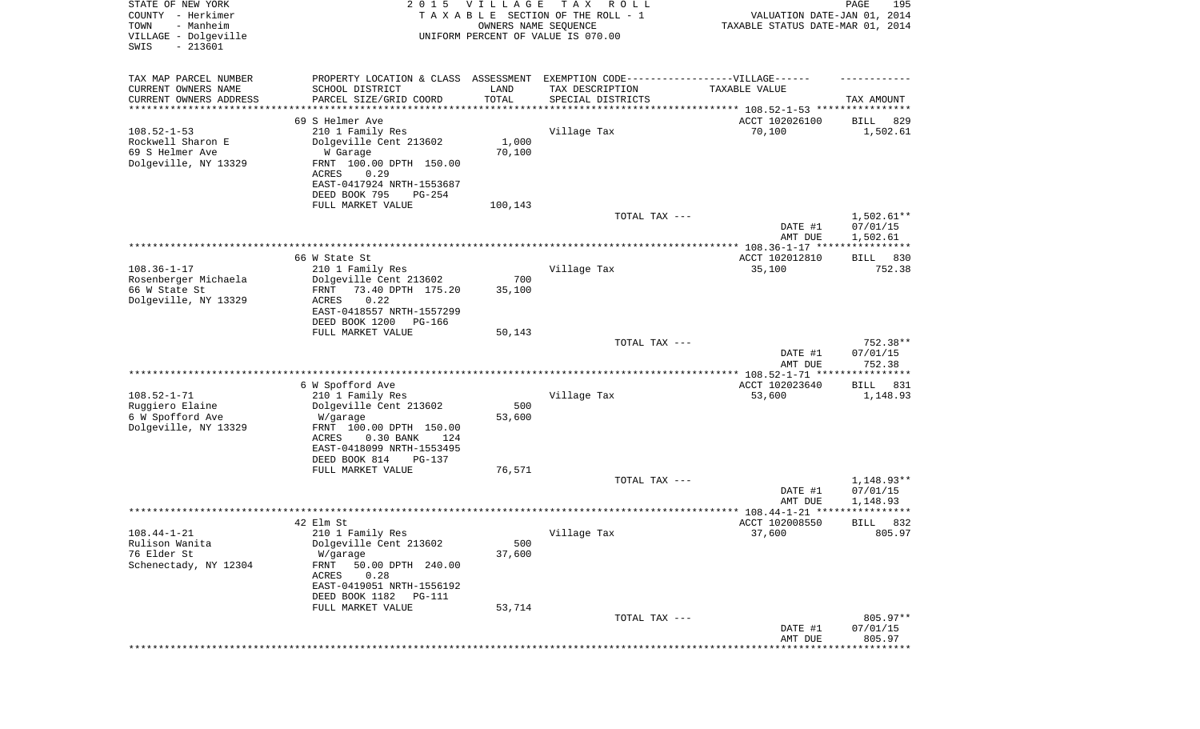| TAX MAP PARCEL NUMBER<br>PROPERTY LOCATION & CLASS ASSESSMENT EXEMPTION CODE-----------------VILLAGE------<br>CURRENT OWNERS NAME<br>SCHOOL DISTRICT<br>LAND<br>TAX DESCRIPTION<br>TAXABLE VALUE<br>TOTAL<br>CURRENT OWNERS ADDRESS<br>PARCEL SIZE/GRID COORD<br>SPECIAL DISTRICTS<br>TAX AMOUNT<br>********************<br>*********<br>********************************* 108.52-1-53 ****************<br>69 S Helmer Ave<br>ACCT 102026100<br>829<br>BILL<br>$108.52 - 1 - 53$<br>210 1 Family Res<br>Village Tax<br>70,100<br>1,502.61<br>Rockwell Sharon E<br>Dolgeville Cent 213602<br>1,000<br>69 S Helmer Ave<br>70,100<br>W Garage<br>Dolgeville, NY 13329<br>FRNT 100.00 DPTH 150.00<br>ACRES<br>0.29<br>EAST-0417924 NRTH-1553687<br>DEED BOOK 795<br>PG-254<br>FULL MARKET VALUE<br>100,143<br>$1,502.61**$<br>TOTAL TAX ---<br>07/01/15<br>DATE #1<br>1,502.61<br>AMT DUE<br>66 W State St<br>ACCT 102012810<br>BILL<br>830<br>$108.36 - 1 - 17$<br>752.38<br>210 1 Family Res<br>Village Tax<br>35,100<br>700<br>Rosenberger Michaela<br>Dolgeville Cent 213602<br>66 W State St<br>FRNT<br>73.40 DPTH 175.20<br>35,100<br>Dolgeville, NY 13329<br>ACRES<br>0.22<br>EAST-0418557 NRTH-1557299<br>DEED BOOK 1200<br>PG-166<br>FULL MARKET VALUE<br>50,143<br>752.38**<br>TOTAL TAX ---<br>07/01/15<br>DATE #1<br>AMT DUE<br>752.38<br>********** 108.52-1-71 ****************<br>6 W Spofford Ave<br>ACCT 102023640<br>831<br>BILL<br>$108.52 - 1 - 71$<br>Village Tax<br>210 1 Family Res<br>53,600<br>1,148.93<br>Ruggiero Elaine<br>500<br>Dolgeville Cent 213602<br>6 W Spofford Ave<br>53,600<br>W/garage<br>Dolgeville, NY 13329<br>FRNT 100.00 DPTH 150.00<br>ACRES<br>$0.30$ BANK<br>124<br>EAST-0418099 NRTH-1553495<br>DEED BOOK 814<br>PG-137<br>FULL MARKET VALUE<br>76,571<br>1,148.93**<br>TOTAL TAX ---<br>DATE #1<br>07/01/15<br>AMT DUE<br>1,148.93<br>42 Elm St<br>ACCT 102008550<br>832<br>BILL<br>37,600<br>805.97<br>210 1 Family Res<br>Village Tax<br>$108.44 - 1 - 21$<br>Rulison Wanita<br>Dolgeville Cent 213602<br>500<br>76 Elder St<br>W/garage<br>37,600<br>Schenectady, NY 12304<br>50.00 DPTH 240.00<br>FRNT<br>0.28<br>ACRES<br>EAST-0419051 NRTH-1556192<br>DEED BOOK 1182<br>PG-111<br>FULL MARKET VALUE<br>53,714<br>805.97**<br>TOTAL TAX ---<br>DATE #1<br>07/01/15<br>805.97<br>AMT DUE<br>************************* | STATE OF NEW YORK<br>COUNTY - Herkimer<br>- Manheim<br>TOWN<br>VILLAGE - Dolgeville<br>$-213601$<br>SWIS | 2 0 1 5 | VILLAGE<br>OWNERS NAME SEQUENCE | T A X<br>R O L L<br>TAXABLE SECTION OF THE ROLL - 1<br>UNIFORM PERCENT OF VALUE IS 070.00 | VALUATION DATE-JAN 01, 2014<br>TAXABLE STATUS DATE-MAR 01, 2014 | PAGE<br>195 |
|-------------------------------------------------------------------------------------------------------------------------------------------------------------------------------------------------------------------------------------------------------------------------------------------------------------------------------------------------------------------------------------------------------------------------------------------------------------------------------------------------------------------------------------------------------------------------------------------------------------------------------------------------------------------------------------------------------------------------------------------------------------------------------------------------------------------------------------------------------------------------------------------------------------------------------------------------------------------------------------------------------------------------------------------------------------------------------------------------------------------------------------------------------------------------------------------------------------------------------------------------------------------------------------------------------------------------------------------------------------------------------------------------------------------------------------------------------------------------------------------------------------------------------------------------------------------------------------------------------------------------------------------------------------------------------------------------------------------------------------------------------------------------------------------------------------------------------------------------------------------------------------------------------------------------------------------------------------------------------------------------------------------------------------------------------------------------------------------------------------------------------------------------------------------------------------------------------------------------------------------------------------------------------------------------------------------------------------------------------------------------|----------------------------------------------------------------------------------------------------------|---------|---------------------------------|-------------------------------------------------------------------------------------------|-----------------------------------------------------------------|-------------|
|                                                                                                                                                                                                                                                                                                                                                                                                                                                                                                                                                                                                                                                                                                                                                                                                                                                                                                                                                                                                                                                                                                                                                                                                                                                                                                                                                                                                                                                                                                                                                                                                                                                                                                                                                                                                                                                                                                                                                                                                                                                                                                                                                                                                                                                                                                                                                                         |                                                                                                          |         |                                 |                                                                                           |                                                                 |             |
|                                                                                                                                                                                                                                                                                                                                                                                                                                                                                                                                                                                                                                                                                                                                                                                                                                                                                                                                                                                                                                                                                                                                                                                                                                                                                                                                                                                                                                                                                                                                                                                                                                                                                                                                                                                                                                                                                                                                                                                                                                                                                                                                                                                                                                                                                                                                                                         |                                                                                                          |         |                                 |                                                                                           |                                                                 |             |
|                                                                                                                                                                                                                                                                                                                                                                                                                                                                                                                                                                                                                                                                                                                                                                                                                                                                                                                                                                                                                                                                                                                                                                                                                                                                                                                                                                                                                                                                                                                                                                                                                                                                                                                                                                                                                                                                                                                                                                                                                                                                                                                                                                                                                                                                                                                                                                         |                                                                                                          |         |                                 |                                                                                           |                                                                 |             |
|                                                                                                                                                                                                                                                                                                                                                                                                                                                                                                                                                                                                                                                                                                                                                                                                                                                                                                                                                                                                                                                                                                                                                                                                                                                                                                                                                                                                                                                                                                                                                                                                                                                                                                                                                                                                                                                                                                                                                                                                                                                                                                                                                                                                                                                                                                                                                                         |                                                                                                          |         |                                 |                                                                                           |                                                                 |             |
|                                                                                                                                                                                                                                                                                                                                                                                                                                                                                                                                                                                                                                                                                                                                                                                                                                                                                                                                                                                                                                                                                                                                                                                                                                                                                                                                                                                                                                                                                                                                                                                                                                                                                                                                                                                                                                                                                                                                                                                                                                                                                                                                                                                                                                                                                                                                                                         |                                                                                                          |         |                                 |                                                                                           |                                                                 |             |
|                                                                                                                                                                                                                                                                                                                                                                                                                                                                                                                                                                                                                                                                                                                                                                                                                                                                                                                                                                                                                                                                                                                                                                                                                                                                                                                                                                                                                                                                                                                                                                                                                                                                                                                                                                                                                                                                                                                                                                                                                                                                                                                                                                                                                                                                                                                                                                         |                                                                                                          |         |                                 |                                                                                           |                                                                 |             |
|                                                                                                                                                                                                                                                                                                                                                                                                                                                                                                                                                                                                                                                                                                                                                                                                                                                                                                                                                                                                                                                                                                                                                                                                                                                                                                                                                                                                                                                                                                                                                                                                                                                                                                                                                                                                                                                                                                                                                                                                                                                                                                                                                                                                                                                                                                                                                                         |                                                                                                          |         |                                 |                                                                                           |                                                                 |             |
|                                                                                                                                                                                                                                                                                                                                                                                                                                                                                                                                                                                                                                                                                                                                                                                                                                                                                                                                                                                                                                                                                                                                                                                                                                                                                                                                                                                                                                                                                                                                                                                                                                                                                                                                                                                                                                                                                                                                                                                                                                                                                                                                                                                                                                                                                                                                                                         |                                                                                                          |         |                                 |                                                                                           |                                                                 |             |
|                                                                                                                                                                                                                                                                                                                                                                                                                                                                                                                                                                                                                                                                                                                                                                                                                                                                                                                                                                                                                                                                                                                                                                                                                                                                                                                                                                                                                                                                                                                                                                                                                                                                                                                                                                                                                                                                                                                                                                                                                                                                                                                                                                                                                                                                                                                                                                         |                                                                                                          |         |                                 |                                                                                           |                                                                 |             |
|                                                                                                                                                                                                                                                                                                                                                                                                                                                                                                                                                                                                                                                                                                                                                                                                                                                                                                                                                                                                                                                                                                                                                                                                                                                                                                                                                                                                                                                                                                                                                                                                                                                                                                                                                                                                                                                                                                                                                                                                                                                                                                                                                                                                                                                                                                                                                                         |                                                                                                          |         |                                 |                                                                                           |                                                                 |             |
|                                                                                                                                                                                                                                                                                                                                                                                                                                                                                                                                                                                                                                                                                                                                                                                                                                                                                                                                                                                                                                                                                                                                                                                                                                                                                                                                                                                                                                                                                                                                                                                                                                                                                                                                                                                                                                                                                                                                                                                                                                                                                                                                                                                                                                                                                                                                                                         |                                                                                                          |         |                                 |                                                                                           |                                                                 |             |
|                                                                                                                                                                                                                                                                                                                                                                                                                                                                                                                                                                                                                                                                                                                                                                                                                                                                                                                                                                                                                                                                                                                                                                                                                                                                                                                                                                                                                                                                                                                                                                                                                                                                                                                                                                                                                                                                                                                                                                                                                                                                                                                                                                                                                                                                                                                                                                         |                                                                                                          |         |                                 |                                                                                           |                                                                 |             |
|                                                                                                                                                                                                                                                                                                                                                                                                                                                                                                                                                                                                                                                                                                                                                                                                                                                                                                                                                                                                                                                                                                                                                                                                                                                                                                                                                                                                                                                                                                                                                                                                                                                                                                                                                                                                                                                                                                                                                                                                                                                                                                                                                                                                                                                                                                                                                                         |                                                                                                          |         |                                 |                                                                                           |                                                                 |             |
|                                                                                                                                                                                                                                                                                                                                                                                                                                                                                                                                                                                                                                                                                                                                                                                                                                                                                                                                                                                                                                                                                                                                                                                                                                                                                                                                                                                                                                                                                                                                                                                                                                                                                                                                                                                                                                                                                                                                                                                                                                                                                                                                                                                                                                                                                                                                                                         |                                                                                                          |         |                                 |                                                                                           |                                                                 |             |
|                                                                                                                                                                                                                                                                                                                                                                                                                                                                                                                                                                                                                                                                                                                                                                                                                                                                                                                                                                                                                                                                                                                                                                                                                                                                                                                                                                                                                                                                                                                                                                                                                                                                                                                                                                                                                                                                                                                                                                                                                                                                                                                                                                                                                                                                                                                                                                         |                                                                                                          |         |                                 |                                                                                           |                                                                 |             |
|                                                                                                                                                                                                                                                                                                                                                                                                                                                                                                                                                                                                                                                                                                                                                                                                                                                                                                                                                                                                                                                                                                                                                                                                                                                                                                                                                                                                                                                                                                                                                                                                                                                                                                                                                                                                                                                                                                                                                                                                                                                                                                                                                                                                                                                                                                                                                                         |                                                                                                          |         |                                 |                                                                                           |                                                                 |             |
|                                                                                                                                                                                                                                                                                                                                                                                                                                                                                                                                                                                                                                                                                                                                                                                                                                                                                                                                                                                                                                                                                                                                                                                                                                                                                                                                                                                                                                                                                                                                                                                                                                                                                                                                                                                                                                                                                                                                                                                                                                                                                                                                                                                                                                                                                                                                                                         |                                                                                                          |         |                                 |                                                                                           |                                                                 |             |
|                                                                                                                                                                                                                                                                                                                                                                                                                                                                                                                                                                                                                                                                                                                                                                                                                                                                                                                                                                                                                                                                                                                                                                                                                                                                                                                                                                                                                                                                                                                                                                                                                                                                                                                                                                                                                                                                                                                                                                                                                                                                                                                                                                                                                                                                                                                                                                         |                                                                                                          |         |                                 |                                                                                           |                                                                 |             |
|                                                                                                                                                                                                                                                                                                                                                                                                                                                                                                                                                                                                                                                                                                                                                                                                                                                                                                                                                                                                                                                                                                                                                                                                                                                                                                                                                                                                                                                                                                                                                                                                                                                                                                                                                                                                                                                                                                                                                                                                                                                                                                                                                                                                                                                                                                                                                                         |                                                                                                          |         |                                 |                                                                                           |                                                                 |             |
|                                                                                                                                                                                                                                                                                                                                                                                                                                                                                                                                                                                                                                                                                                                                                                                                                                                                                                                                                                                                                                                                                                                                                                                                                                                                                                                                                                                                                                                                                                                                                                                                                                                                                                                                                                                                                                                                                                                                                                                                                                                                                                                                                                                                                                                                                                                                                                         |                                                                                                          |         |                                 |                                                                                           |                                                                 |             |
|                                                                                                                                                                                                                                                                                                                                                                                                                                                                                                                                                                                                                                                                                                                                                                                                                                                                                                                                                                                                                                                                                                                                                                                                                                                                                                                                                                                                                                                                                                                                                                                                                                                                                                                                                                                                                                                                                                                                                                                                                                                                                                                                                                                                                                                                                                                                                                         |                                                                                                          |         |                                 |                                                                                           |                                                                 |             |
|                                                                                                                                                                                                                                                                                                                                                                                                                                                                                                                                                                                                                                                                                                                                                                                                                                                                                                                                                                                                                                                                                                                                                                                                                                                                                                                                                                                                                                                                                                                                                                                                                                                                                                                                                                                                                                                                                                                                                                                                                                                                                                                                                                                                                                                                                                                                                                         |                                                                                                          |         |                                 |                                                                                           |                                                                 |             |
|                                                                                                                                                                                                                                                                                                                                                                                                                                                                                                                                                                                                                                                                                                                                                                                                                                                                                                                                                                                                                                                                                                                                                                                                                                                                                                                                                                                                                                                                                                                                                                                                                                                                                                                                                                                                                                                                                                                                                                                                                                                                                                                                                                                                                                                                                                                                                                         |                                                                                                          |         |                                 |                                                                                           |                                                                 |             |
|                                                                                                                                                                                                                                                                                                                                                                                                                                                                                                                                                                                                                                                                                                                                                                                                                                                                                                                                                                                                                                                                                                                                                                                                                                                                                                                                                                                                                                                                                                                                                                                                                                                                                                                                                                                                                                                                                                                                                                                                                                                                                                                                                                                                                                                                                                                                                                         |                                                                                                          |         |                                 |                                                                                           |                                                                 |             |
|                                                                                                                                                                                                                                                                                                                                                                                                                                                                                                                                                                                                                                                                                                                                                                                                                                                                                                                                                                                                                                                                                                                                                                                                                                                                                                                                                                                                                                                                                                                                                                                                                                                                                                                                                                                                                                                                                                                                                                                                                                                                                                                                                                                                                                                                                                                                                                         |                                                                                                          |         |                                 |                                                                                           |                                                                 |             |
|                                                                                                                                                                                                                                                                                                                                                                                                                                                                                                                                                                                                                                                                                                                                                                                                                                                                                                                                                                                                                                                                                                                                                                                                                                                                                                                                                                                                                                                                                                                                                                                                                                                                                                                                                                                                                                                                                                                                                                                                                                                                                                                                                                                                                                                                                                                                                                         |                                                                                                          |         |                                 |                                                                                           |                                                                 |             |
|                                                                                                                                                                                                                                                                                                                                                                                                                                                                                                                                                                                                                                                                                                                                                                                                                                                                                                                                                                                                                                                                                                                                                                                                                                                                                                                                                                                                                                                                                                                                                                                                                                                                                                                                                                                                                                                                                                                                                                                                                                                                                                                                                                                                                                                                                                                                                                         |                                                                                                          |         |                                 |                                                                                           |                                                                 |             |
|                                                                                                                                                                                                                                                                                                                                                                                                                                                                                                                                                                                                                                                                                                                                                                                                                                                                                                                                                                                                                                                                                                                                                                                                                                                                                                                                                                                                                                                                                                                                                                                                                                                                                                                                                                                                                                                                                                                                                                                                                                                                                                                                                                                                                                                                                                                                                                         |                                                                                                          |         |                                 |                                                                                           |                                                                 |             |
|                                                                                                                                                                                                                                                                                                                                                                                                                                                                                                                                                                                                                                                                                                                                                                                                                                                                                                                                                                                                                                                                                                                                                                                                                                                                                                                                                                                                                                                                                                                                                                                                                                                                                                                                                                                                                                                                                                                                                                                                                                                                                                                                                                                                                                                                                                                                                                         |                                                                                                          |         |                                 |                                                                                           |                                                                 |             |
|                                                                                                                                                                                                                                                                                                                                                                                                                                                                                                                                                                                                                                                                                                                                                                                                                                                                                                                                                                                                                                                                                                                                                                                                                                                                                                                                                                                                                                                                                                                                                                                                                                                                                                                                                                                                                                                                                                                                                                                                                                                                                                                                                                                                                                                                                                                                                                         |                                                                                                          |         |                                 |                                                                                           |                                                                 |             |
|                                                                                                                                                                                                                                                                                                                                                                                                                                                                                                                                                                                                                                                                                                                                                                                                                                                                                                                                                                                                                                                                                                                                                                                                                                                                                                                                                                                                                                                                                                                                                                                                                                                                                                                                                                                                                                                                                                                                                                                                                                                                                                                                                                                                                                                                                                                                                                         |                                                                                                          |         |                                 |                                                                                           |                                                                 |             |
|                                                                                                                                                                                                                                                                                                                                                                                                                                                                                                                                                                                                                                                                                                                                                                                                                                                                                                                                                                                                                                                                                                                                                                                                                                                                                                                                                                                                                                                                                                                                                                                                                                                                                                                                                                                                                                                                                                                                                                                                                                                                                                                                                                                                                                                                                                                                                                         |                                                                                                          |         |                                 |                                                                                           |                                                                 |             |
|                                                                                                                                                                                                                                                                                                                                                                                                                                                                                                                                                                                                                                                                                                                                                                                                                                                                                                                                                                                                                                                                                                                                                                                                                                                                                                                                                                                                                                                                                                                                                                                                                                                                                                                                                                                                                                                                                                                                                                                                                                                                                                                                                                                                                                                                                                                                                                         |                                                                                                          |         |                                 |                                                                                           |                                                                 |             |
|                                                                                                                                                                                                                                                                                                                                                                                                                                                                                                                                                                                                                                                                                                                                                                                                                                                                                                                                                                                                                                                                                                                                                                                                                                                                                                                                                                                                                                                                                                                                                                                                                                                                                                                                                                                                                                                                                                                                                                                                                                                                                                                                                                                                                                                                                                                                                                         |                                                                                                          |         |                                 |                                                                                           |                                                                 |             |
|                                                                                                                                                                                                                                                                                                                                                                                                                                                                                                                                                                                                                                                                                                                                                                                                                                                                                                                                                                                                                                                                                                                                                                                                                                                                                                                                                                                                                                                                                                                                                                                                                                                                                                                                                                                                                                                                                                                                                                                                                                                                                                                                                                                                                                                                                                                                                                         |                                                                                                          |         |                                 |                                                                                           |                                                                 |             |
|                                                                                                                                                                                                                                                                                                                                                                                                                                                                                                                                                                                                                                                                                                                                                                                                                                                                                                                                                                                                                                                                                                                                                                                                                                                                                                                                                                                                                                                                                                                                                                                                                                                                                                                                                                                                                                                                                                                                                                                                                                                                                                                                                                                                                                                                                                                                                                         |                                                                                                          |         |                                 |                                                                                           |                                                                 |             |
|                                                                                                                                                                                                                                                                                                                                                                                                                                                                                                                                                                                                                                                                                                                                                                                                                                                                                                                                                                                                                                                                                                                                                                                                                                                                                                                                                                                                                                                                                                                                                                                                                                                                                                                                                                                                                                                                                                                                                                                                                                                                                                                                                                                                                                                                                                                                                                         |                                                                                                          |         |                                 |                                                                                           |                                                                 |             |
|                                                                                                                                                                                                                                                                                                                                                                                                                                                                                                                                                                                                                                                                                                                                                                                                                                                                                                                                                                                                                                                                                                                                                                                                                                                                                                                                                                                                                                                                                                                                                                                                                                                                                                                                                                                                                                                                                                                                                                                                                                                                                                                                                                                                                                                                                                                                                                         |                                                                                                          |         |                                 |                                                                                           |                                                                 |             |
|                                                                                                                                                                                                                                                                                                                                                                                                                                                                                                                                                                                                                                                                                                                                                                                                                                                                                                                                                                                                                                                                                                                                                                                                                                                                                                                                                                                                                                                                                                                                                                                                                                                                                                                                                                                                                                                                                                                                                                                                                                                                                                                                                                                                                                                                                                                                                                         |                                                                                                          |         |                                 |                                                                                           |                                                                 |             |
|                                                                                                                                                                                                                                                                                                                                                                                                                                                                                                                                                                                                                                                                                                                                                                                                                                                                                                                                                                                                                                                                                                                                                                                                                                                                                                                                                                                                                                                                                                                                                                                                                                                                                                                                                                                                                                                                                                                                                                                                                                                                                                                                                                                                                                                                                                                                                                         |                                                                                                          |         |                                 |                                                                                           |                                                                 |             |
|                                                                                                                                                                                                                                                                                                                                                                                                                                                                                                                                                                                                                                                                                                                                                                                                                                                                                                                                                                                                                                                                                                                                                                                                                                                                                                                                                                                                                                                                                                                                                                                                                                                                                                                                                                                                                                                                                                                                                                                                                                                                                                                                                                                                                                                                                                                                                                         |                                                                                                          |         |                                 |                                                                                           |                                                                 |             |
|                                                                                                                                                                                                                                                                                                                                                                                                                                                                                                                                                                                                                                                                                                                                                                                                                                                                                                                                                                                                                                                                                                                                                                                                                                                                                                                                                                                                                                                                                                                                                                                                                                                                                                                                                                                                                                                                                                                                                                                                                                                                                                                                                                                                                                                                                                                                                                         |                                                                                                          |         |                                 |                                                                                           |                                                                 |             |
|                                                                                                                                                                                                                                                                                                                                                                                                                                                                                                                                                                                                                                                                                                                                                                                                                                                                                                                                                                                                                                                                                                                                                                                                                                                                                                                                                                                                                                                                                                                                                                                                                                                                                                                                                                                                                                                                                                                                                                                                                                                                                                                                                                                                                                                                                                                                                                         |                                                                                                          |         |                                 |                                                                                           |                                                                 |             |
|                                                                                                                                                                                                                                                                                                                                                                                                                                                                                                                                                                                                                                                                                                                                                                                                                                                                                                                                                                                                                                                                                                                                                                                                                                                                                                                                                                                                                                                                                                                                                                                                                                                                                                                                                                                                                                                                                                                                                                                                                                                                                                                                                                                                                                                                                                                                                                         |                                                                                                          |         |                                 |                                                                                           |                                                                 |             |
|                                                                                                                                                                                                                                                                                                                                                                                                                                                                                                                                                                                                                                                                                                                                                                                                                                                                                                                                                                                                                                                                                                                                                                                                                                                                                                                                                                                                                                                                                                                                                                                                                                                                                                                                                                                                                                                                                                                                                                                                                                                                                                                                                                                                                                                                                                                                                                         |                                                                                                          |         |                                 |                                                                                           |                                                                 |             |
|                                                                                                                                                                                                                                                                                                                                                                                                                                                                                                                                                                                                                                                                                                                                                                                                                                                                                                                                                                                                                                                                                                                                                                                                                                                                                                                                                                                                                                                                                                                                                                                                                                                                                                                                                                                                                                                                                                                                                                                                                                                                                                                                                                                                                                                                                                                                                                         |                                                                                                          |         |                                 |                                                                                           |                                                                 |             |
|                                                                                                                                                                                                                                                                                                                                                                                                                                                                                                                                                                                                                                                                                                                                                                                                                                                                                                                                                                                                                                                                                                                                                                                                                                                                                                                                                                                                                                                                                                                                                                                                                                                                                                                                                                                                                                                                                                                                                                                                                                                                                                                                                                                                                                                                                                                                                                         |                                                                                                          |         |                                 |                                                                                           |                                                                 |             |
|                                                                                                                                                                                                                                                                                                                                                                                                                                                                                                                                                                                                                                                                                                                                                                                                                                                                                                                                                                                                                                                                                                                                                                                                                                                                                                                                                                                                                                                                                                                                                                                                                                                                                                                                                                                                                                                                                                                                                                                                                                                                                                                                                                                                                                                                                                                                                                         |                                                                                                          |         |                                 |                                                                                           |                                                                 |             |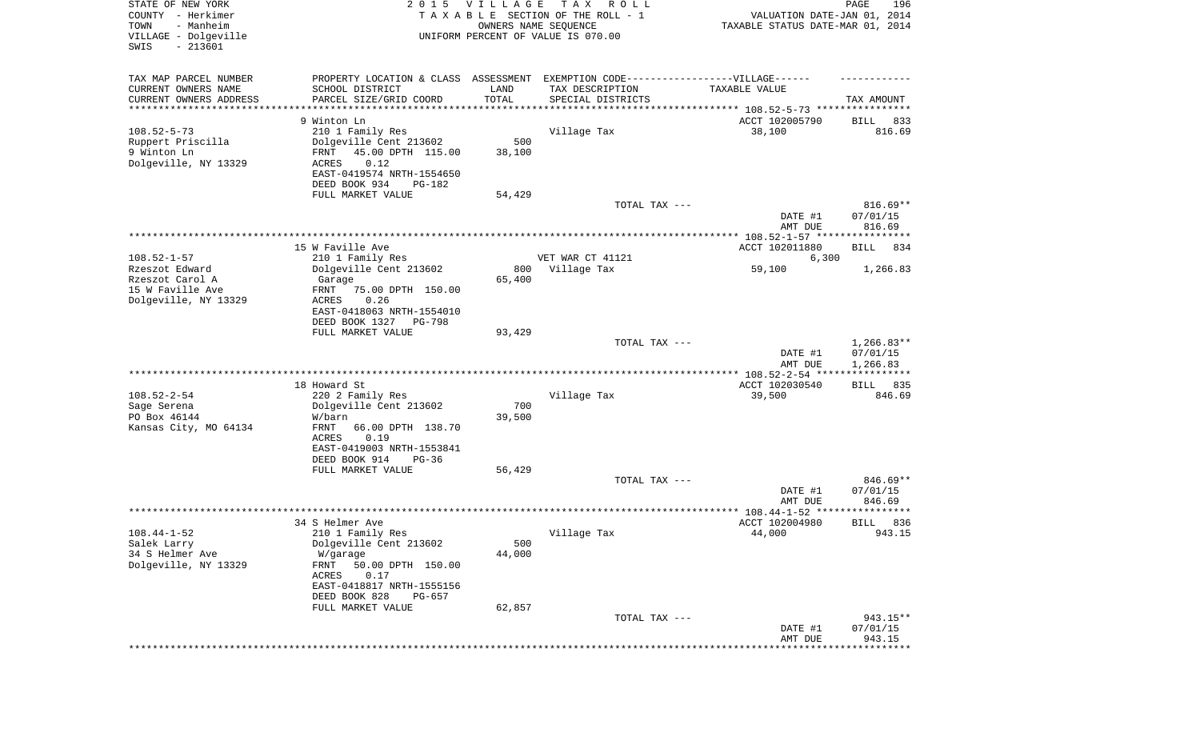| STATE OF NEW YORK<br>COUNTY - Herkimer<br>- Manheim<br>TOWN<br>VILLAGE - Dolgeville<br>SWIS<br>$-213601$ |                                                                                   | 2015 VILLAGE<br>OWNERS NAME SEQUENCE | T A X<br>R O L L<br>TAXABLE SECTION OF THE ROLL - 1<br>UNIFORM PERCENT OF VALUE IS 070.00 | VALUATION DATE-JAN 01, 2014<br>TAXABLE STATUS DATE-MAR 01, 2014 | PAGE<br>196            |
|----------------------------------------------------------------------------------------------------------|-----------------------------------------------------------------------------------|--------------------------------------|-------------------------------------------------------------------------------------------|-----------------------------------------------------------------|------------------------|
| TAX MAP PARCEL NUMBER                                                                                    | PROPERTY LOCATION & CLASS ASSESSMENT EXEMPTION CODE-----------------VILLAGE------ |                                      |                                                                                           |                                                                 |                        |
| CURRENT OWNERS NAME<br>CURRENT OWNERS ADDRESS                                                            | SCHOOL DISTRICT<br>PARCEL SIZE/GRID COORD                                         | LAND<br>TOTAL                        | TAX DESCRIPTION<br>SPECIAL DISTRICTS                                                      | TAXABLE VALUE                                                   | TAX AMOUNT             |
| ********************                                                                                     | * * * * * * * * * * * * * * * *                                                   | * * * * * * * * * * *                |                                                                                           | ********************************* 108.52-5-73 ****************  |                        |
|                                                                                                          | 9 Winton Ln                                                                       |                                      |                                                                                           | ACCT 102005790                                                  | 833<br>BILL            |
| $108.52 - 5 - 73$                                                                                        | 210 1 Family Res                                                                  |                                      | Village Tax                                                                               | 38,100                                                          | 816.69                 |
| Ruppert Priscilla                                                                                        | Dolgeville Cent 213602                                                            | 500                                  |                                                                                           |                                                                 |                        |
| 9 Winton Ln<br>Dolgeville, NY 13329                                                                      | 45.00 DPTH 115.00<br>FRNT<br>0.12<br>ACRES                                        | 38,100                               |                                                                                           |                                                                 |                        |
|                                                                                                          | EAST-0419574 NRTH-1554650                                                         |                                      |                                                                                           |                                                                 |                        |
|                                                                                                          | DEED BOOK 934<br>PG-182                                                           |                                      |                                                                                           |                                                                 |                        |
|                                                                                                          | FULL MARKET VALUE                                                                 | 54,429                               |                                                                                           |                                                                 |                        |
|                                                                                                          |                                                                                   |                                      | TOTAL TAX ---                                                                             |                                                                 | $816.69**$<br>07/01/15 |
|                                                                                                          |                                                                                   |                                      |                                                                                           | DATE #1<br>AMT DUE                                              | 816.69                 |
|                                                                                                          |                                                                                   |                                      |                                                                                           |                                                                 |                        |
|                                                                                                          | 15 W Faville Ave                                                                  |                                      |                                                                                           | ACCT 102011880                                                  | 834<br>BILL            |
| $108.52 - 1 - 57$                                                                                        | 210 1 Family Res                                                                  |                                      | VET WAR CT 41121                                                                          | 6,300                                                           |                        |
| Rzeszot Edward<br>Rzeszot Carol A                                                                        | Dolgeville Cent 213602<br>Garage                                                  | 800<br>65,400                        | Village Tax                                                                               | 59,100                                                          | 1,266.83               |
| 15 W Faville Ave                                                                                         | 75.00 DPTH 150.00<br>FRNT                                                         |                                      |                                                                                           |                                                                 |                        |
| Dolgeville, NY 13329                                                                                     | ACRES<br>0.26                                                                     |                                      |                                                                                           |                                                                 |                        |
|                                                                                                          | EAST-0418063 NRTH-1554010                                                         |                                      |                                                                                           |                                                                 |                        |
|                                                                                                          | DEED BOOK 1327<br>PG-798                                                          |                                      |                                                                                           |                                                                 |                        |
|                                                                                                          | FULL MARKET VALUE                                                                 | 93,429                               | TOTAL TAX ---                                                                             |                                                                 | $1,266.83**$           |
|                                                                                                          |                                                                                   |                                      |                                                                                           | DATE #1                                                         | 07/01/15               |
|                                                                                                          |                                                                                   |                                      |                                                                                           | AMT DUE                                                         | 1,266.83               |
|                                                                                                          |                                                                                   |                                      |                                                                                           | ************* 108.52-2-54 *****************                     |                        |
| $108.52 - 2 - 54$                                                                                        | 18 Howard St<br>220 2 Family Res                                                  |                                      | Village Tax                                                                               | ACCT 102030540<br>39,500                                        | 835<br>BILL<br>846.69  |
| Sage Serena                                                                                              | Dolgeville Cent 213602                                                            | 700                                  |                                                                                           |                                                                 |                        |
| PO Box 46144                                                                                             | W/barn                                                                            | 39,500                               |                                                                                           |                                                                 |                        |
| Kansas City, MO 64134                                                                                    | FRNT<br>66.00 DPTH 138.70                                                         |                                      |                                                                                           |                                                                 |                        |
|                                                                                                          | ACRES<br>0.19                                                                     |                                      |                                                                                           |                                                                 |                        |
|                                                                                                          | EAST-0419003 NRTH-1553841<br>DEED BOOK 914<br>$PG-36$                             |                                      |                                                                                           |                                                                 |                        |
|                                                                                                          | FULL MARKET VALUE                                                                 | 56,429                               |                                                                                           |                                                                 |                        |
|                                                                                                          |                                                                                   |                                      | TOTAL TAX ---                                                                             |                                                                 | 846.69**               |
|                                                                                                          |                                                                                   |                                      |                                                                                           | DATE #1                                                         | 07/01/15               |
|                                                                                                          |                                                                                   |                                      |                                                                                           | AMT DUE                                                         | 846.69<br>******       |
|                                                                                                          | 34 S Helmer Ave                                                                   |                                      |                                                                                           | ACCT 102004980                                                  | 836<br>BILL            |
| $108.44 - 1 - 52$                                                                                        | 210 1 Family Res                                                                  |                                      | Village Tax                                                                               | 44,000                                                          | 943.15                 |
| Salek Larry                                                                                              | Dolgeville Cent 213602                                                            | 500                                  |                                                                                           |                                                                 |                        |
| 34 S Helmer Ave                                                                                          | W/garage                                                                          | 44,000                               |                                                                                           |                                                                 |                        |
| Dolgeville, NY 13329                                                                                     | FRNT<br>50.00 DPTH 150.00<br>ACRES<br>0.17                                        |                                      |                                                                                           |                                                                 |                        |
|                                                                                                          | EAST-0418817 NRTH-1555156                                                         |                                      |                                                                                           |                                                                 |                        |
|                                                                                                          | DEED BOOK 828<br>PG-657                                                           |                                      |                                                                                           |                                                                 |                        |
|                                                                                                          | FULL MARKET VALUE                                                                 | 62,857                               |                                                                                           |                                                                 |                        |
|                                                                                                          |                                                                                   |                                      | TOTAL TAX ---                                                                             |                                                                 | 943.15**               |
|                                                                                                          |                                                                                   |                                      |                                                                                           | DATE #1<br>AMT DUE                                              | 07/01/15<br>943.15     |
|                                                                                                          |                                                                                   |                                      |                                                                                           |                                                                 |                        |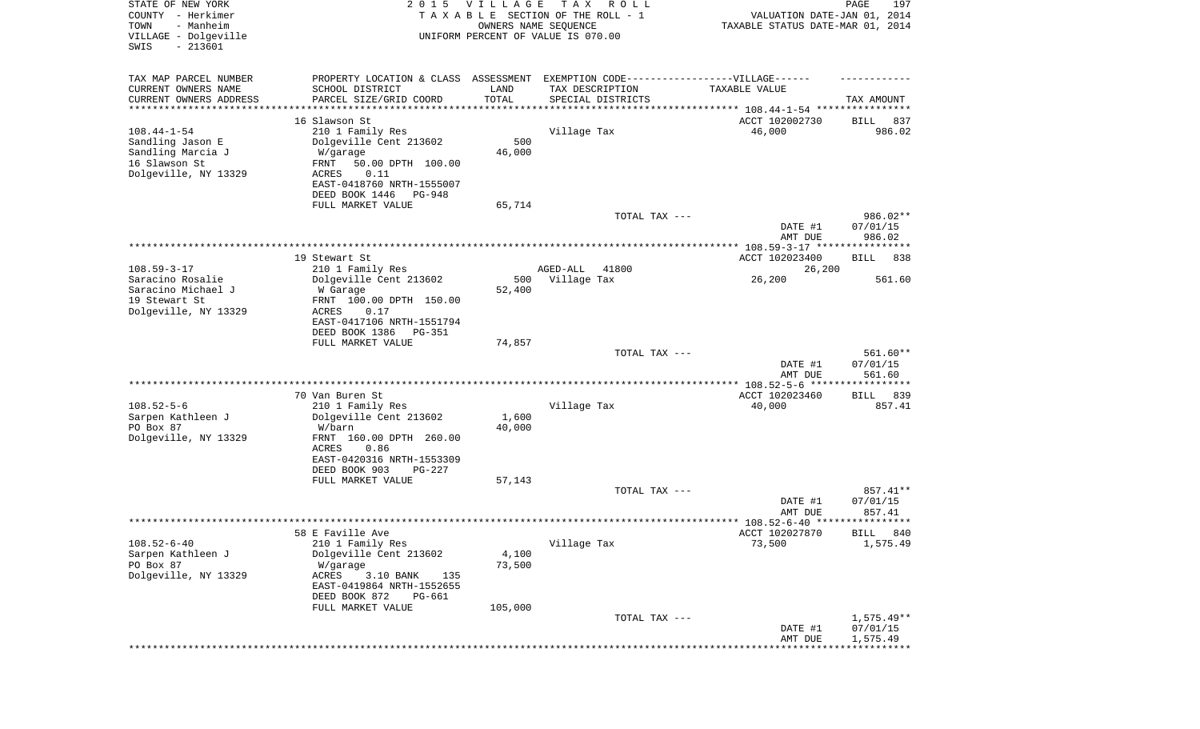| STATE OF NEW YORK<br>COUNTY - Herkimer<br>- Manheim<br>TOWN<br>VILLAGE - Dolgeville<br>$-213601$<br>SWIS | 2 0 1 5                                                                          | <b>VILLAGE</b><br>OWNERS NAME SEQUENCE | T A X<br>R O L L<br>TAXABLE SECTION OF THE ROLL - 1<br>UNIFORM PERCENT OF VALUE IS 070.00 | VALUATION DATE-JAN 01, 2014<br>TAXABLE STATUS DATE-MAR 01, 2014 | 197<br>PAGE           |
|----------------------------------------------------------------------------------------------------------|----------------------------------------------------------------------------------|----------------------------------------|-------------------------------------------------------------------------------------------|-----------------------------------------------------------------|-----------------------|
|                                                                                                          |                                                                                  |                                        |                                                                                           |                                                                 |                       |
| TAX MAP PARCEL NUMBER                                                                                    | PROPERTY LOCATION & CLASS ASSESSMENT EXEMPTION CODE----------------VILLAGE------ |                                        |                                                                                           |                                                                 |                       |
| CURRENT OWNERS NAME<br>CURRENT OWNERS ADDRESS                                                            | SCHOOL DISTRICT<br>PARCEL SIZE/GRID COORD                                        | LAND<br>TOTAL                          | TAX DESCRIPTION<br>SPECIAL DISTRICTS                                                      | TAXABLE VALUE                                                   | TAX AMOUNT            |
| *********************                                                                                    | *******************                                                              |                                        |                                                                                           |                                                                 |                       |
|                                                                                                          | 16 Slawson St                                                                    |                                        |                                                                                           | ACCT 102002730                                                  | 837<br>BILL           |
| $108.44 - 1 - 54$                                                                                        | 210 1 Family Res                                                                 |                                        | Village Tax                                                                               | 46,000                                                          | 986.02                |
| Sandling Jason E                                                                                         | Dolgeville Cent 213602                                                           | 500                                    |                                                                                           |                                                                 |                       |
| Sandling Marcia J                                                                                        | W/garage                                                                         | 46,000                                 |                                                                                           |                                                                 |                       |
| 16 Slawson St                                                                                            | FRNT<br>50.00 DPTH 100.00                                                        |                                        |                                                                                           |                                                                 |                       |
| Dolgeville, NY 13329                                                                                     | 0.11<br>ACRES<br>EAST-0418760 NRTH-1555007                                       |                                        |                                                                                           |                                                                 |                       |
|                                                                                                          | DEED BOOK 1446<br>PG-948                                                         |                                        |                                                                                           |                                                                 |                       |
|                                                                                                          | FULL MARKET VALUE                                                                | 65,714                                 |                                                                                           |                                                                 |                       |
|                                                                                                          |                                                                                  |                                        | TOTAL TAX ---                                                                             |                                                                 | 986.02**              |
|                                                                                                          |                                                                                  |                                        |                                                                                           | DATE #1                                                         | 07/01/15              |
|                                                                                                          |                                                                                  |                                        |                                                                                           | AMT DUE                                                         | 986.02                |
|                                                                                                          |                                                                                  |                                        |                                                                                           |                                                                 |                       |
| $108.59 - 3 - 17$                                                                                        | 19 Stewart St                                                                    |                                        |                                                                                           | ACCT 102023400                                                  | BILL<br>838           |
| Saracino Rosalie                                                                                         | 210 1 Family Res<br>Dolgeville Cent 213602                                       | 500                                    | 41800<br>AGED-ALL<br>Village Tax                                                          | 26,200<br>26,200                                                | 561.60                |
| Saracino Michael J                                                                                       | W Garage                                                                         | 52,400                                 |                                                                                           |                                                                 |                       |
| 19 Stewart St                                                                                            | FRNT 100.00 DPTH 150.00                                                          |                                        |                                                                                           |                                                                 |                       |
| Dolgeville, NY 13329                                                                                     | ACRES<br>0.17                                                                    |                                        |                                                                                           |                                                                 |                       |
|                                                                                                          | EAST-0417106 NRTH-1551794                                                        |                                        |                                                                                           |                                                                 |                       |
|                                                                                                          | DEED BOOK 1386<br>PG-351                                                         |                                        |                                                                                           |                                                                 |                       |
|                                                                                                          | FULL MARKET VALUE                                                                | 74,857                                 |                                                                                           |                                                                 |                       |
|                                                                                                          |                                                                                  |                                        | TOTAL TAX ---                                                                             | DATE #1                                                         | 561.60**<br>07/01/15  |
|                                                                                                          |                                                                                  |                                        |                                                                                           | AMT DUE                                                         | 561.60                |
|                                                                                                          |                                                                                  |                                        |                                                                                           |                                                                 |                       |
|                                                                                                          | 70 Van Buren St                                                                  |                                        |                                                                                           | ACCT 102023460                                                  | 839<br>BILL           |
| $108.52 - 5 - 6$                                                                                         | 210 1 Family Res                                                                 |                                        | Village Tax                                                                               | 40,000                                                          | 857.41                |
| Sarpen Kathleen J                                                                                        | Dolgeville Cent 213602                                                           | 1,600                                  |                                                                                           |                                                                 |                       |
| PO Box 87                                                                                                | W/barn                                                                           | 40,000                                 |                                                                                           |                                                                 |                       |
| Dolgeville, NY 13329                                                                                     | FRNT 160.00 DPTH 260.00<br>ACRES<br>0.86                                         |                                        |                                                                                           |                                                                 |                       |
|                                                                                                          | EAST-0420316 NRTH-1553309                                                        |                                        |                                                                                           |                                                                 |                       |
|                                                                                                          | DEED BOOK 903<br>$PG-227$                                                        |                                        |                                                                                           |                                                                 |                       |
|                                                                                                          | FULL MARKET VALUE                                                                | 57,143                                 |                                                                                           |                                                                 |                       |
|                                                                                                          |                                                                                  |                                        | TOTAL TAX ---                                                                             |                                                                 | 857.41**              |
|                                                                                                          |                                                                                  |                                        |                                                                                           | DATE #1                                                         | 07/01/15              |
|                                                                                                          |                                                                                  |                                        |                                                                                           | AMT DUE                                                         | 857.41                |
|                                                                                                          | 58 E Faville Ave                                                                 |                                        |                                                                                           | ACCT 102027870                                                  | BILL 840              |
| $108.52 - 6 - 40$                                                                                        | 210 1 Family Res                                                                 |                                        | Village Tax                                                                               | 73,500                                                          | 1,575.49              |
| Sarpen Kathleen J                                                                                        | Dolgeville Cent 213602                                                           | 4,100                                  |                                                                                           |                                                                 |                       |
| PO Box 87                                                                                                | W/garage                                                                         | 73,500                                 |                                                                                           |                                                                 |                       |
| Dolgeville, NY 13329                                                                                     | ACRES<br>3.10 BANK<br>135                                                        |                                        |                                                                                           |                                                                 |                       |
|                                                                                                          | EAST-0419864 NRTH-1552655                                                        |                                        |                                                                                           |                                                                 |                       |
|                                                                                                          | DEED BOOK 872<br>PG-661                                                          |                                        |                                                                                           |                                                                 |                       |
|                                                                                                          | FULL MARKET VALUE                                                                | 105,000                                |                                                                                           |                                                                 | $1,575.49**$          |
|                                                                                                          |                                                                                  |                                        | TOTAL TAX ---                                                                             | DATE #1                                                         | 07/01/15              |
|                                                                                                          |                                                                                  |                                        |                                                                                           | AMT DUE                                                         | 1,575.49              |
|                                                                                                          |                                                                                  |                                        |                                                                                           |                                                                 | * * * * * * * * * * * |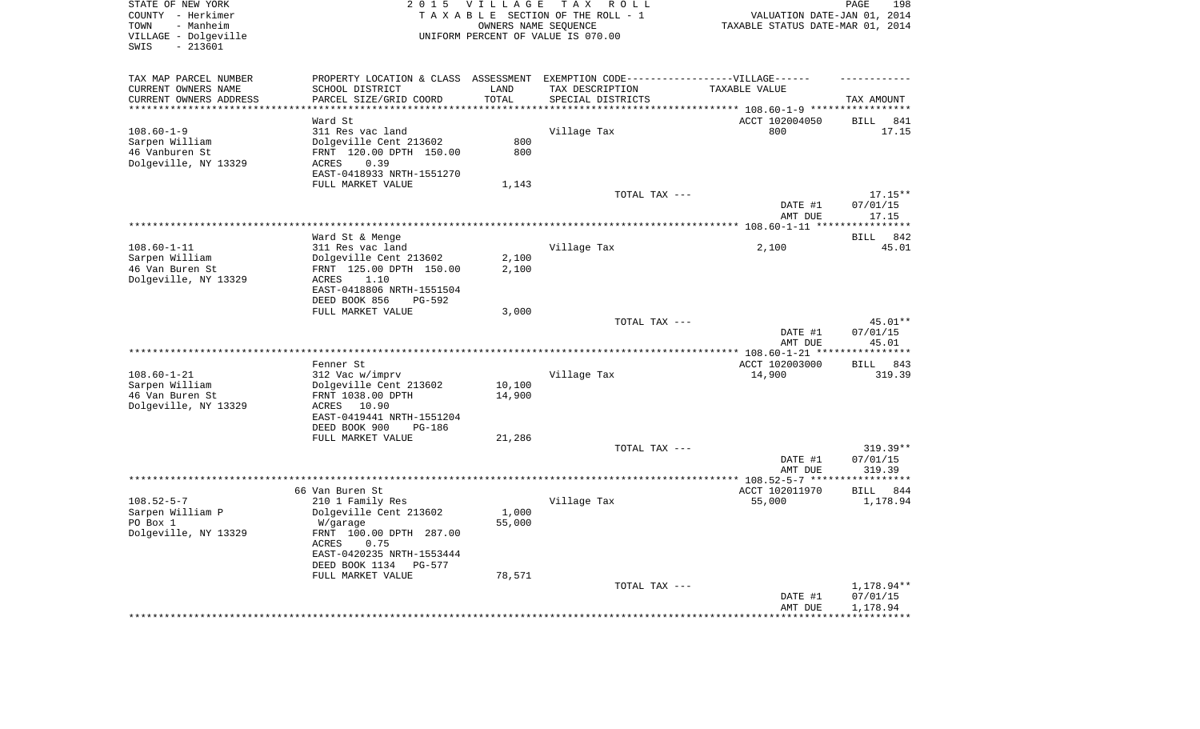| STATE OF NEW YORK<br>COUNTY - Herkimer          | 2 0 1 5                                                                          |                     | VILLAGE TAX ROLL<br>T A X A B L E SECTION OF THE ROLL - 1 | VALUATION DATE-JAN 01, 2014                                | 198<br>PAGE           |
|-------------------------------------------------|----------------------------------------------------------------------------------|---------------------|-----------------------------------------------------------|------------------------------------------------------------|-----------------------|
| TOWN<br>- Manheim                               |                                                                                  |                     | OWNERS NAME SEQUENCE                                      | TAXABLE STATUS DATE-MAR 01, 2014                           |                       |
| VILLAGE - Dolgeville<br>SWIS<br>$-213601$       |                                                                                  |                     | UNIFORM PERCENT OF VALUE IS 070.00                        |                                                            |                       |
| TAX MAP PARCEL NUMBER                           | PROPERTY LOCATION & CLASS ASSESSMENT EXEMPTION CODE----------------VILLAGE------ |                     |                                                           |                                                            |                       |
| CURRENT OWNERS NAME                             | SCHOOL DISTRICT                                                                  | LAND                | TAX DESCRIPTION                                           | TAXABLE VALUE                                              |                       |
| CURRENT OWNERS ADDRESS<br>********************* | PARCEL SIZE/GRID COORD                                                           | TOTAL<br>********** | SPECIAL DISTRICTS                                         |                                                            | TAX AMOUNT            |
|                                                 | Ward St                                                                          |                     |                                                           | ********** 108.60-1-9 ******************<br>ACCT 102004050 | BILL 841              |
| $108.60 - 1 - 9$                                | 311 Res vac land                                                                 |                     | Village Tax                                               | 800                                                        | 17.15                 |
| Sarpen William                                  | Dolgeville Cent 213602                                                           | 800                 |                                                           |                                                            |                       |
| 46 Vanburen St                                  | FRNT 120.00 DPTH 150.00                                                          | 800                 |                                                           |                                                            |                       |
| Dolgeville, NY 13329                            | ACRES<br>0.39                                                                    |                     |                                                           |                                                            |                       |
|                                                 | EAST-0418933 NRTH-1551270                                                        |                     |                                                           |                                                            |                       |
|                                                 | FULL MARKET VALUE                                                                | 1,143               | TOTAL TAX ---                                             |                                                            | $17.15**$             |
|                                                 |                                                                                  |                     |                                                           | DATE #1                                                    | 07/01/15              |
|                                                 |                                                                                  |                     |                                                           | AMT DUE                                                    | 17.15                 |
|                                                 |                                                                                  |                     |                                                           |                                                            |                       |
|                                                 | Ward St & Menge                                                                  |                     |                                                           |                                                            | BILL 842              |
| $108.60 - 1 - 11$                               | 311 Res vac land                                                                 |                     | Village Tax                                               | 2,100                                                      | 45.01                 |
| Sarpen William<br>46 Van Buren St               | Dolgeville Cent 213602<br>FRNT 125.00 DPTH 150.00                                | 2,100<br>2,100      |                                                           |                                                            |                       |
| Dolgeville, NY 13329                            | 1.10<br>ACRES                                                                    |                     |                                                           |                                                            |                       |
|                                                 | EAST-0418806 NRTH-1551504                                                        |                     |                                                           |                                                            |                       |
|                                                 | DEED BOOK 856<br><b>PG-592</b>                                                   |                     |                                                           |                                                            |                       |
|                                                 | FULL MARKET VALUE                                                                | 3,000               |                                                           |                                                            |                       |
|                                                 |                                                                                  |                     | TOTAL TAX ---                                             |                                                            | 45.01**               |
|                                                 |                                                                                  |                     |                                                           | DATE #1<br>AMT DUE                                         | 07/01/15<br>45.01     |
|                                                 |                                                                                  |                     |                                                           |                                                            | **********            |
|                                                 | Fenner St                                                                        |                     |                                                           | ACCT 102003000                                             | BILL 843              |
| $108.60 - 1 - 21$                               | 312 Vac w/imprv                                                                  |                     | Village Tax                                               | 14,900                                                     | 319.39                |
| Sarpen William                                  | Dolgeville Cent 213602                                                           | 10,100              |                                                           |                                                            |                       |
| 46 Van Buren St<br>Dolgeville, NY 13329         | FRNT 1038.00 DPTH<br>ACRES<br>10.90                                              | 14,900              |                                                           |                                                            |                       |
|                                                 | EAST-0419441 NRTH-1551204                                                        |                     |                                                           |                                                            |                       |
|                                                 | DEED BOOK 900<br><b>PG-186</b>                                                   |                     |                                                           |                                                            |                       |
|                                                 | FULL MARKET VALUE                                                                | 21,286              |                                                           |                                                            |                       |
|                                                 |                                                                                  |                     | TOTAL TAX ---                                             |                                                            | $319.39**$            |
|                                                 |                                                                                  |                     |                                                           | DATE #1<br>AMT DUE                                         | 07/01/15<br>319.39    |
|                                                 |                                                                                  |                     |                                                           |                                                            | * * * * * * * * * * * |
|                                                 | 66 Van Buren St                                                                  |                     |                                                           | ACCT 102011970                                             | BILL 844              |
| $108.52 - 5 - 7$                                | 210 1 Family Res                                                                 |                     | Village Tax                                               | 55,000                                                     | 1,178.94              |
| Sarpen William P                                | Dolgeville Cent 213602                                                           | 1,000               |                                                           |                                                            |                       |
| PO Box 1                                        | W/garage                                                                         | 55,000              |                                                           |                                                            |                       |
| Dolgeville, NY 13329                            | FRNT 100.00 DPTH 287.00<br>ACRES<br>0.75                                         |                     |                                                           |                                                            |                       |
|                                                 | EAST-0420235 NRTH-1553444                                                        |                     |                                                           |                                                            |                       |
|                                                 | DEED BOOK 1134<br>PG-577                                                         |                     |                                                           |                                                            |                       |
|                                                 | FULL MARKET VALUE                                                                | 78,571              |                                                           |                                                            |                       |
|                                                 |                                                                                  |                     | TOTAL TAX ---                                             |                                                            | 1,178.94**            |
|                                                 |                                                                                  |                     |                                                           | DATE #1<br>AMT DUE                                         | 07/01/15<br>1,178.94  |
|                                                 |                                                                                  |                     |                                                           |                                                            |                       |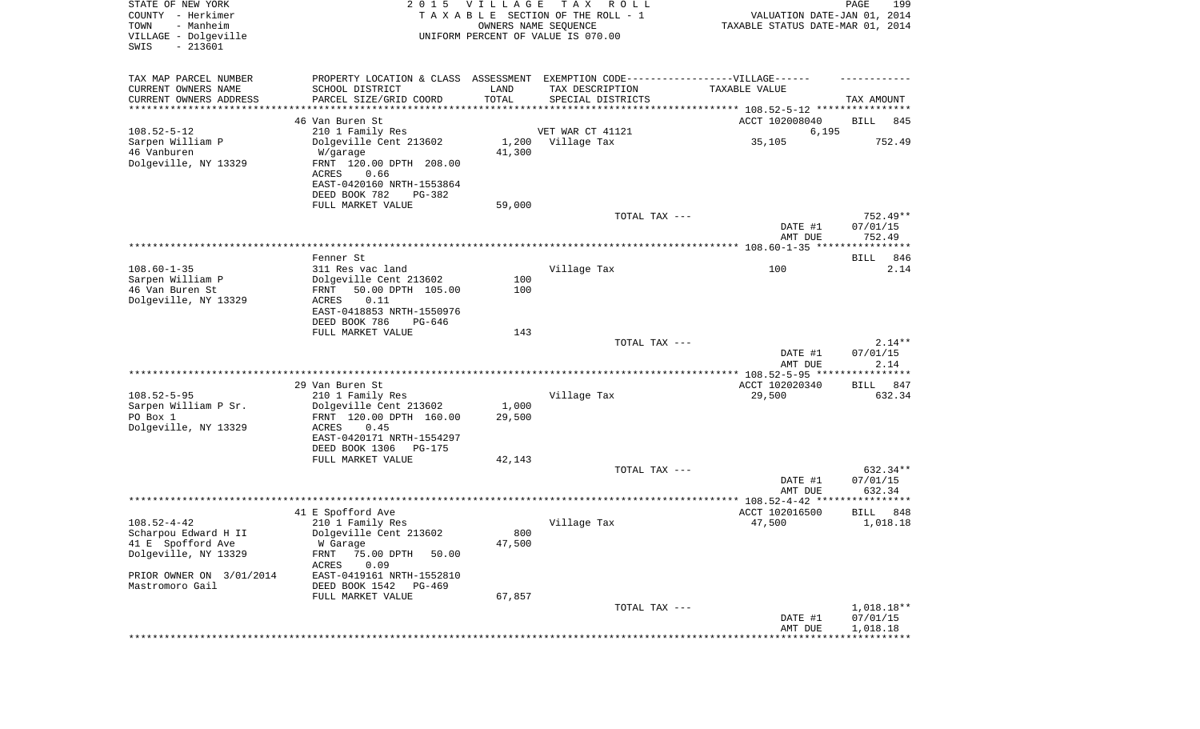| STATE OF NEW YORK<br>COUNTY - Herkimer<br>- Manheim<br>TOWN<br>VILLAGE - Dolgeville<br>SWIS<br>$-213601$ | 2 0 1 5                                                                           | VILLAGE<br>OWNERS NAME SEQUENCE | T A X<br>R O L L<br>TAXABLE SECTION OF THE ROLL - 1<br>UNIFORM PERCENT OF VALUE IS 070.00 | VALUATION DATE-JAN 01, 2014<br>TAXABLE STATUS DATE-MAR 01, 2014 | PAGE<br>199      |
|----------------------------------------------------------------------------------------------------------|-----------------------------------------------------------------------------------|---------------------------------|-------------------------------------------------------------------------------------------|-----------------------------------------------------------------|------------------|
| TAX MAP PARCEL NUMBER                                                                                    | PROPERTY LOCATION & CLASS ASSESSMENT EXEMPTION CODE-----------------VILLAGE------ |                                 |                                                                                           |                                                                 |                  |
| CURRENT OWNERS NAME                                                                                      | SCHOOL DISTRICT                                                                   | LAND                            | TAX DESCRIPTION                                                                           | TAXABLE VALUE                                                   |                  |
| CURRENT OWNERS ADDRESS<br>*********************                                                          | PARCEL SIZE/GRID COORD                                                            | TOTAL<br>**********             | SPECIAL DISTRICTS                                                                         |                                                                 | TAX AMOUNT       |
|                                                                                                          | 46 Van Buren St                                                                   |                                 |                                                                                           | ACCT 102008040                                                  | BILL<br>845      |
| $108.52 - 5 - 12$                                                                                        | 210 1 Family Res                                                                  |                                 | VET WAR CT 41121                                                                          | 6,195                                                           |                  |
| Sarpen William P                                                                                         | Dolgeville Cent 213602                                                            |                                 | 1,200 Village Tax                                                                         | 35,105                                                          | 752.49           |
| 46 Vanburen                                                                                              | W/garage                                                                          | 41,300                          |                                                                                           |                                                                 |                  |
| Dolgeville, NY 13329                                                                                     | FRNT 120.00 DPTH 208.00                                                           |                                 |                                                                                           |                                                                 |                  |
|                                                                                                          | ACRES<br>0.66                                                                     |                                 |                                                                                           |                                                                 |                  |
|                                                                                                          | EAST-0420160 NRTH-1553864                                                         |                                 |                                                                                           |                                                                 |                  |
|                                                                                                          | DEED BOOK 782<br>PG-382<br>FULL MARKET VALUE                                      | 59,000                          |                                                                                           |                                                                 |                  |
|                                                                                                          |                                                                                   |                                 | TOTAL TAX ---                                                                             |                                                                 | 752.49**         |
|                                                                                                          |                                                                                   |                                 |                                                                                           | DATE #1                                                         | 07/01/15         |
|                                                                                                          |                                                                                   |                                 |                                                                                           | AMT DUE                                                         | 752.49           |
|                                                                                                          |                                                                                   |                                 |                                                                                           |                                                                 |                  |
|                                                                                                          | Fenner St                                                                         |                                 |                                                                                           |                                                                 | 846<br>BILL      |
| $108.60 - 1 - 35$                                                                                        | 311 Res vac land                                                                  | 100                             | Village Tax                                                                               | 100                                                             | 2.14             |
| Sarpen William P<br>46 Van Buren St                                                                      | Dolgeville Cent 213602<br>50.00 DPTH 105.00<br>FRNT                               | 100                             |                                                                                           |                                                                 |                  |
| Dolgeville, NY 13329                                                                                     | ACRES<br>0.11                                                                     |                                 |                                                                                           |                                                                 |                  |
|                                                                                                          | EAST-0418853 NRTH-1550976                                                         |                                 |                                                                                           |                                                                 |                  |
|                                                                                                          | DEED BOOK 786<br>PG-646                                                           |                                 |                                                                                           |                                                                 |                  |
|                                                                                                          | FULL MARKET VALUE                                                                 | 143                             |                                                                                           |                                                                 |                  |
|                                                                                                          |                                                                                   |                                 | TOTAL TAX ---                                                                             |                                                                 | $2.14**$         |
|                                                                                                          |                                                                                   |                                 |                                                                                           | DATE #1<br>AMT DUE                                              | 07/01/15<br>2.14 |
|                                                                                                          |                                                                                   |                                 |                                                                                           | ************ 108.52-5-95 *********                              | ******           |
|                                                                                                          | 29 Van Buren St                                                                   |                                 |                                                                                           | ACCT 102020340                                                  | 847<br>BILL      |
| $108.52 - 5 - 95$                                                                                        | 210 1 Family Res                                                                  |                                 | Village Tax                                                                               | 29,500                                                          | 632.34           |
| Sarpen William P Sr.                                                                                     | Dolgeville Cent 213602                                                            | 1,000                           |                                                                                           |                                                                 |                  |
| PO Box 1                                                                                                 | FRNT 120.00 DPTH 160.00                                                           | 29,500                          |                                                                                           |                                                                 |                  |
| Dolgeville, NY 13329                                                                                     | ACRES<br>0.45<br>EAST-0420171 NRTH-1554297                                        |                                 |                                                                                           |                                                                 |                  |
|                                                                                                          | DEED BOOK 1306<br>PG-175                                                          |                                 |                                                                                           |                                                                 |                  |
|                                                                                                          | FULL MARKET VALUE                                                                 | 42,143                          |                                                                                           |                                                                 |                  |
|                                                                                                          |                                                                                   |                                 | TOTAL TAX ---                                                                             |                                                                 | 632.34**         |
|                                                                                                          |                                                                                   |                                 |                                                                                           | DATE #1                                                         | 07/01/15         |
|                                                                                                          |                                                                                   |                                 |                                                                                           | AMT DUE                                                         | 632.34           |
|                                                                                                          | 41 E Spofford Ave                                                                 |                                 |                                                                                           | ACCT 102016500                                                  | BILL<br>848      |
| $108.52 - 4 - 42$                                                                                        | 210 1 Family Res                                                                  |                                 | Village Tax                                                                               | 47,500                                                          | 1,018.18         |
| Scharpou Edward H II                                                                                     | Dolgeville Cent 213602                                                            | 800                             |                                                                                           |                                                                 |                  |
| 41 E Spofford Ave                                                                                        | W Garage                                                                          | 47,500                          |                                                                                           |                                                                 |                  |
| Dolgeville, NY 13329                                                                                     | FRNT<br>75.00 DPTH<br>50.00                                                       |                                 |                                                                                           |                                                                 |                  |
|                                                                                                          | ACRES<br>0.09                                                                     |                                 |                                                                                           |                                                                 |                  |
| PRIOR OWNER ON 3/01/2014<br>Mastromoro Gail                                                              | EAST-0419161 NRTH-1552810<br>DEED BOOK 1542<br>$PG-469$                           |                                 |                                                                                           |                                                                 |                  |
|                                                                                                          | FULL MARKET VALUE                                                                 | 67,857                          |                                                                                           |                                                                 |                  |
|                                                                                                          |                                                                                   |                                 | TOTAL TAX ---                                                                             |                                                                 | $1,018.18**$     |
|                                                                                                          |                                                                                   |                                 |                                                                                           | DATE #1                                                         | 07/01/15         |
|                                                                                                          |                                                                                   |                                 |                                                                                           | AMT DUE                                                         | 1,018.18         |
|                                                                                                          |                                                                                   |                                 |                                                                                           |                                                                 |                  |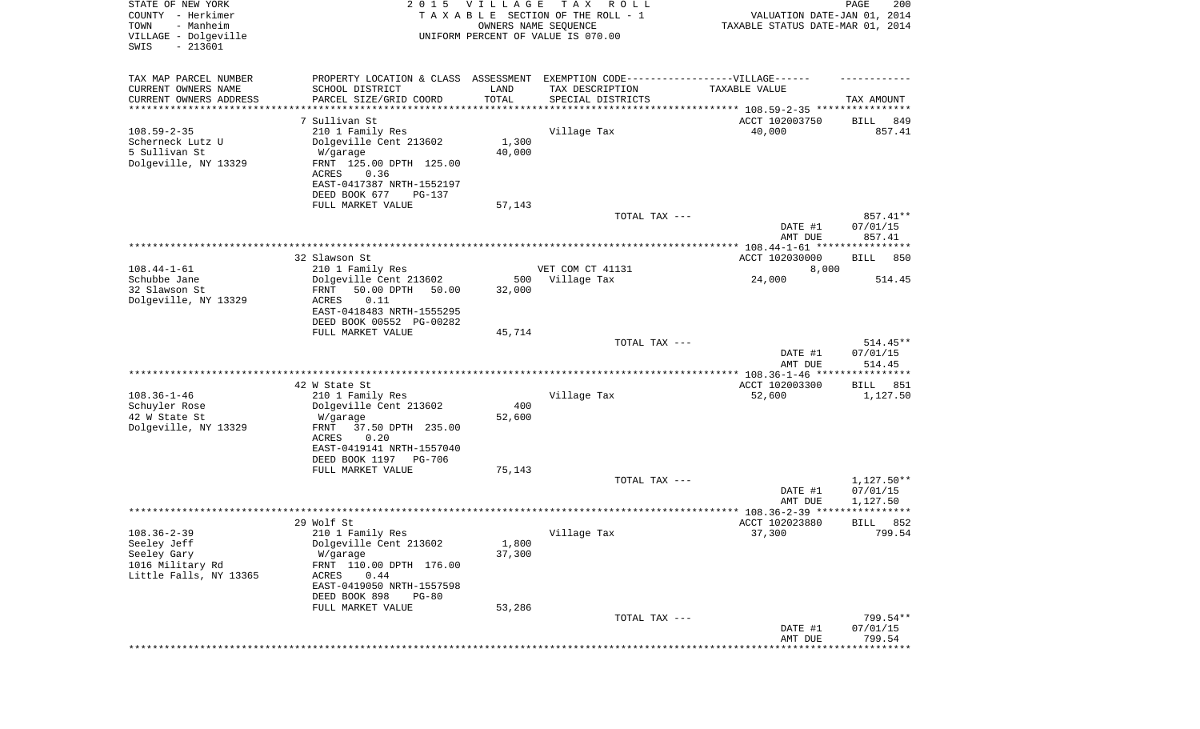| STATE OF NEW YORK<br>COUNTY - Herkimer<br>- Manheim<br>TOWN<br>VILLAGE - Dolgeville | 2 0 1 5                                                                           | VILLAGE             | T A X<br>R O L L<br>TAXABLE SECTION OF THE ROLL - 1<br>OWNERS NAME SEQUENCE<br>UNIFORM PERCENT OF VALUE IS 070.00 | VALUATION DATE-JAN 01, 2014<br>TAXABLE STATUS DATE-MAR 01, 2014 | PAGE<br>200        |
|-------------------------------------------------------------------------------------|-----------------------------------------------------------------------------------|---------------------|-------------------------------------------------------------------------------------------------------------------|-----------------------------------------------------------------|--------------------|
| $-213601$<br>SWIS                                                                   |                                                                                   |                     |                                                                                                                   |                                                                 |                    |
| TAX MAP PARCEL NUMBER                                                               | PROPERTY LOCATION & CLASS ASSESSMENT EXEMPTION CODE-----------------VILLAGE------ |                     |                                                                                                                   |                                                                 |                    |
| CURRENT OWNERS NAME                                                                 | SCHOOL DISTRICT                                                                   | LAND                | TAX DESCRIPTION                                                                                                   | TAXABLE VALUE                                                   |                    |
| CURRENT OWNERS ADDRESS<br>********************                                      | PARCEL SIZE/GRID COORD                                                            | TOTAL<br>********** | SPECIAL DISTRICTS                                                                                                 |                                                                 | TAX AMOUNT         |
|                                                                                     | 7 Sullivan St                                                                     |                     |                                                                                                                   | ACCT 102003750                                                  | 849<br>BILL        |
| $108.59 - 2 - 35$                                                                   | 210 1 Family Res                                                                  |                     | Village Tax                                                                                                       | 40,000                                                          | 857.41             |
| Scherneck Lutz U                                                                    | Dolgeville Cent 213602                                                            | 1,300               |                                                                                                                   |                                                                 |                    |
| 5 Sullivan St                                                                       | W/garage                                                                          | 40,000              |                                                                                                                   |                                                                 |                    |
| Dolgeville, NY 13329                                                                | FRNT 125.00 DPTH 125.00<br>ACRES<br>0.36                                          |                     |                                                                                                                   |                                                                 |                    |
|                                                                                     | EAST-0417387 NRTH-1552197                                                         |                     |                                                                                                                   |                                                                 |                    |
|                                                                                     | DEED BOOK 677<br>PG-137                                                           |                     |                                                                                                                   |                                                                 |                    |
|                                                                                     | FULL MARKET VALUE                                                                 | 57,143              |                                                                                                                   |                                                                 |                    |
|                                                                                     |                                                                                   |                     | TOTAL TAX ---                                                                                                     |                                                                 | 857.41**           |
|                                                                                     |                                                                                   |                     |                                                                                                                   | DATE #1<br>AMT DUE                                              | 07/01/15<br>857.41 |
|                                                                                     |                                                                                   |                     |                                                                                                                   |                                                                 |                    |
|                                                                                     | 32 Slawson St                                                                     |                     |                                                                                                                   | ACCT 102030000                                                  | 850<br>BILL        |
| $108.44 - 1 - 61$                                                                   | 210 1 Family Res                                                                  |                     | VET COM CT 41131                                                                                                  | 8,000                                                           |                    |
| Schubbe Jane                                                                        | Dolgeville Cent 213602                                                            | 500                 | Village Tax                                                                                                       | 24,000                                                          | 514.45             |
| 32 Slawson St<br>Dolgeville, NY 13329                                               | 50.00 DPTH<br>FRNT<br>50.00<br>ACRES<br>0.11                                      | 32,000              |                                                                                                                   |                                                                 |                    |
|                                                                                     | EAST-0418483 NRTH-1555295                                                         |                     |                                                                                                                   |                                                                 |                    |
|                                                                                     | DEED BOOK 00552 PG-00282                                                          |                     |                                                                                                                   |                                                                 |                    |
|                                                                                     | FULL MARKET VALUE                                                                 | 45,714              |                                                                                                                   |                                                                 |                    |
|                                                                                     |                                                                                   |                     | TOTAL TAX ---                                                                                                     |                                                                 | $514.45**$         |
|                                                                                     |                                                                                   |                     |                                                                                                                   | DATE #1<br>AMT DUE                                              | 07/01/15<br>514.45 |
|                                                                                     |                                                                                   |                     |                                                                                                                   | ********** 108.36-1-46 *****************                        |                    |
|                                                                                     | 42 W State St                                                                     |                     |                                                                                                                   | ACCT 102003300                                                  | 851<br>BILL        |
| $108.36 - 1 - 46$                                                                   | 210 1 Family Res                                                                  |                     | Village Tax                                                                                                       | 52,600                                                          | 1,127.50           |
| Schuyler Rose<br>42 W State St                                                      | Dolgeville Cent 213602                                                            | 400<br>52,600       |                                                                                                                   |                                                                 |                    |
| Dolgeville, NY 13329                                                                | W/garage<br>FRNT<br>37.50 DPTH 235.00                                             |                     |                                                                                                                   |                                                                 |                    |
|                                                                                     | ACRES<br>0.20                                                                     |                     |                                                                                                                   |                                                                 |                    |
|                                                                                     | EAST-0419141 NRTH-1557040                                                         |                     |                                                                                                                   |                                                                 |                    |
|                                                                                     | DEED BOOK 1197 PG-706                                                             |                     |                                                                                                                   |                                                                 |                    |
|                                                                                     | FULL MARKET VALUE                                                                 | 75,143              | TOTAL TAX ---                                                                                                     |                                                                 | $1,127.50**$       |
|                                                                                     |                                                                                   |                     |                                                                                                                   | DATE #1                                                         | 07/01/15           |
|                                                                                     |                                                                                   |                     |                                                                                                                   | AMT DUE                                                         | 1,127.50           |
|                                                                                     |                                                                                   |                     |                                                                                                                   |                                                                 | * * * *            |
|                                                                                     | 29 Wolf St                                                                        |                     |                                                                                                                   | ACCT 102023880                                                  | 852<br>BILL        |
| $108.36 - 2 - 39$<br>Seeley Jeff                                                    | 210 1 Family Res<br>Dolgeville Cent 213602                                        | 1,800               | Village Tax                                                                                                       | 37,300                                                          | 799.54             |
| Seeley Gary                                                                         | W/garage                                                                          | 37,300              |                                                                                                                   |                                                                 |                    |
| 1016 Military Rd                                                                    | FRNT 110.00 DPTH 176.00                                                           |                     |                                                                                                                   |                                                                 |                    |
| Little Falls, NY 13365                                                              | 0.44<br>ACRES                                                                     |                     |                                                                                                                   |                                                                 |                    |
|                                                                                     | EAST-0419050 NRTH-1557598                                                         |                     |                                                                                                                   |                                                                 |                    |
|                                                                                     | DEED BOOK 898<br>$PG-80$<br>FULL MARKET VALUE                                     | 53,286              |                                                                                                                   |                                                                 |                    |
|                                                                                     |                                                                                   |                     | TOTAL TAX ---                                                                                                     |                                                                 | 799.54**           |
|                                                                                     |                                                                                   |                     |                                                                                                                   | DATE #1                                                         | 07/01/15           |
|                                                                                     |                                                                                   |                     |                                                                                                                   | AMT DUE                                                         | 799.54             |
|                                                                                     |                                                                                   |                     |                                                                                                                   | **************************                                      |                    |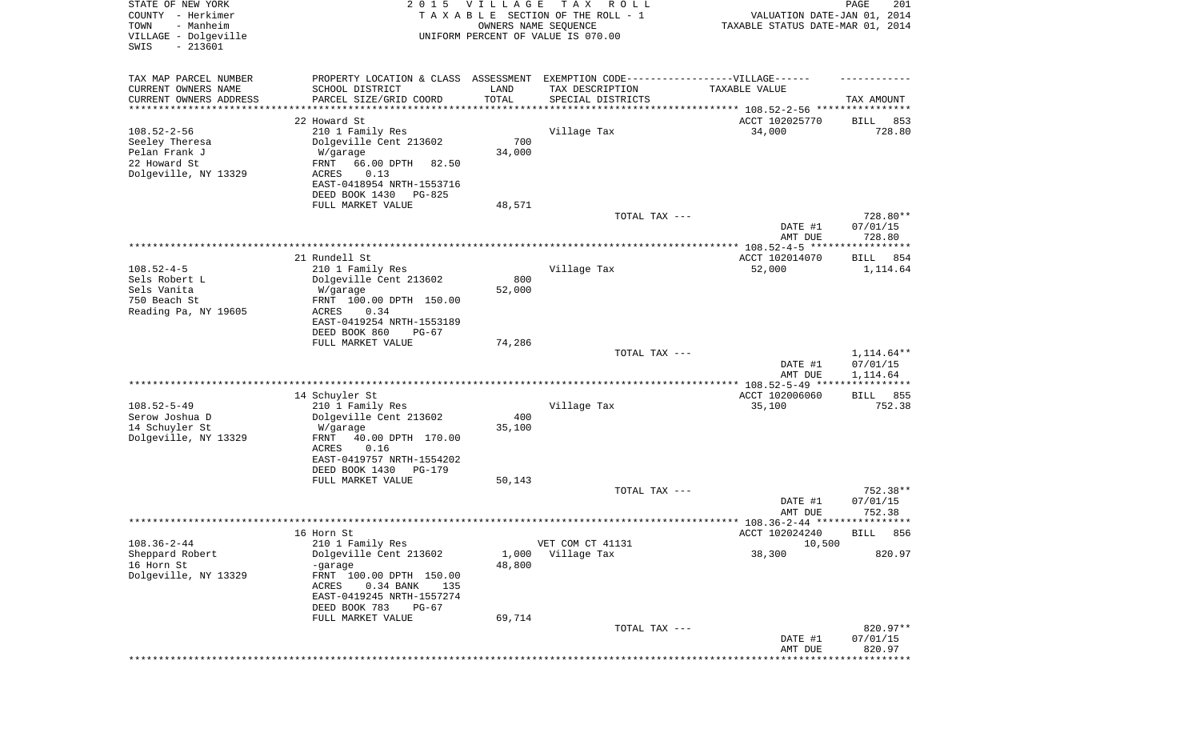| STATE OF NEW YORK<br>COUNTY - Herkimer<br>- Manheim<br>TOWN<br>VILLAGE - Dolgeville<br>$-213601$<br>SWIS | <b>VILLAGE</b><br>T A X<br>2 0 1 5<br>R O L L<br>TAXABLE SECTION OF THE ROLL - 1<br>OWNERS NAME SEQUENCE<br>UNIFORM PERCENT OF VALUE IS 070.00                                  |                                        |                                                                                       | VALUATION DATE-JAN 01, 2014<br>TAXABLE STATUS DATE-MAR 01, 2014 | PAGE<br>201                        |
|----------------------------------------------------------------------------------------------------------|---------------------------------------------------------------------------------------------------------------------------------------------------------------------------------|----------------------------------------|---------------------------------------------------------------------------------------|-----------------------------------------------------------------|------------------------------------|
| TAX MAP PARCEL NUMBER<br>CURRENT OWNERS NAME<br>CURRENT OWNERS ADDRESS<br>*********************          | PROPERTY LOCATION & CLASS ASSESSMENT<br>SCHOOL DISTRICT<br>PARCEL SIZE/GRID COORD                                                                                               | LAND<br>TOTAL<br>* * * * * * * * * * * | EXEMPTION CODE------------------VILLAGE------<br>TAX DESCRIPTION<br>SPECIAL DISTRICTS | TAXABLE VALUE                                                   | TAX AMOUNT                         |
|                                                                                                          | 22 Howard St                                                                                                                                                                    |                                        |                                                                                       | ACCT 102025770                                                  | 853<br>BILL                        |
| $108.52 - 2 - 56$<br>Seeley Theresa<br>Pelan Frank J<br>22 Howard St<br>Dolgeville, NY 13329             | 210 1 Family Res<br>Dolgeville Cent 213602<br>W/garage<br>FRNT<br>66.00 DPTH<br>82.50<br>ACRES<br>0.13<br>EAST-0418954 NRTH-1553716<br>DEED BOOK 1430<br>PG-825                 | 700<br>34,000                          | Village Tax                                                                           | 34,000                                                          | 728.80                             |
|                                                                                                          | FULL MARKET VALUE                                                                                                                                                               | 48,571                                 | TOTAL TAX ---                                                                         |                                                                 | 728.80**                           |
|                                                                                                          |                                                                                                                                                                                 |                                        |                                                                                       | DATE #1                                                         | 07/01/15                           |
|                                                                                                          |                                                                                                                                                                                 |                                        |                                                                                       | AMT DUE                                                         | 728.80                             |
|                                                                                                          | 21 Rundell St                                                                                                                                                                   |                                        |                                                                                       | ACCT 102014070                                                  | 854<br>BILL                        |
| $108.52 - 4 - 5$<br>Sels Robert L<br>Sels Vanita<br>750 Beach St<br>Reading Pa, NY 19605                 | 210 1 Family Res<br>Dolgeville Cent 213602<br>W/garage<br>FRNT 100.00 DPTH 150.00<br>ACRES<br>0.34<br>EAST-0419254 NRTH-1553189                                                 | 800<br>52,000                          | Village Tax                                                                           | 52,000                                                          | 1,114.64                           |
|                                                                                                          | DEED BOOK 860<br>$PG-67$                                                                                                                                                        |                                        |                                                                                       |                                                                 |                                    |
|                                                                                                          | FULL MARKET VALUE                                                                                                                                                               | 74,286                                 | TOTAL TAX ---                                                                         | DATE #1<br>AMT DUE                                              | 1,114.64**<br>07/01/15<br>1,114.64 |
|                                                                                                          |                                                                                                                                                                                 |                                        |                                                                                       |                                                                 | ***********                        |
| $108.52 - 5 - 49$<br>Serow Joshua D<br>14 Schuyler St<br>Dolgeville, NY 13329                            | 14 Schuyler St<br>210 1 Family Res<br>Dolgeville Cent 213602<br>W/garage<br>FRNT<br>40.00 DPTH 170.00<br>ACRES<br>0.16<br>EAST-0419757 NRTH-1554202<br>DEED BOOK 1430<br>PG-179 | 400<br>35,100                          | Village Tax                                                                           | ACCT 102006060<br>35,100                                        | 855<br>BILL<br>752.38              |
|                                                                                                          | FULL MARKET VALUE                                                                                                                                                               | 50,143                                 |                                                                                       |                                                                 |                                    |
|                                                                                                          |                                                                                                                                                                                 |                                        | TOTAL TAX ---                                                                         | DATE #1<br>AMT DUE                                              | 752.38**<br>07/01/15<br>752.38     |
|                                                                                                          |                                                                                                                                                                                 |                                        |                                                                                       |                                                                 |                                    |
| $108.36 - 2 - 44$                                                                                        | 16 Horn St<br>210 1 Family Res                                                                                                                                                  |                                        | VET COM CT 41131                                                                      | ACCT 102024240                                                  | BILL 856                           |
| Sheppard Robert<br>16 Horn St<br>Dolgeville, NY 13329                                                    | Dolgeville Cent 213602<br>-garage<br>FRNT 100.00 DPTH 150.00<br>ACRES<br>0.34 BANK<br>135<br>EAST-0419245 NRTH-1557274<br>DEED BOOK 783<br>PG-67                                | 1,000<br>48,800                        | Village Tax                                                                           | 10,500<br>38,300                                                | 820.97                             |
|                                                                                                          | FULL MARKET VALUE                                                                                                                                                               | 69,714                                 |                                                                                       |                                                                 |                                    |
|                                                                                                          |                                                                                                                                                                                 |                                        | TOTAL TAX ---                                                                         | DATE #1<br>AMT DUE                                              | 820.97**<br>07/01/15<br>820.97     |
|                                                                                                          |                                                                                                                                                                                 |                                        |                                                                                       |                                                                 | ********                           |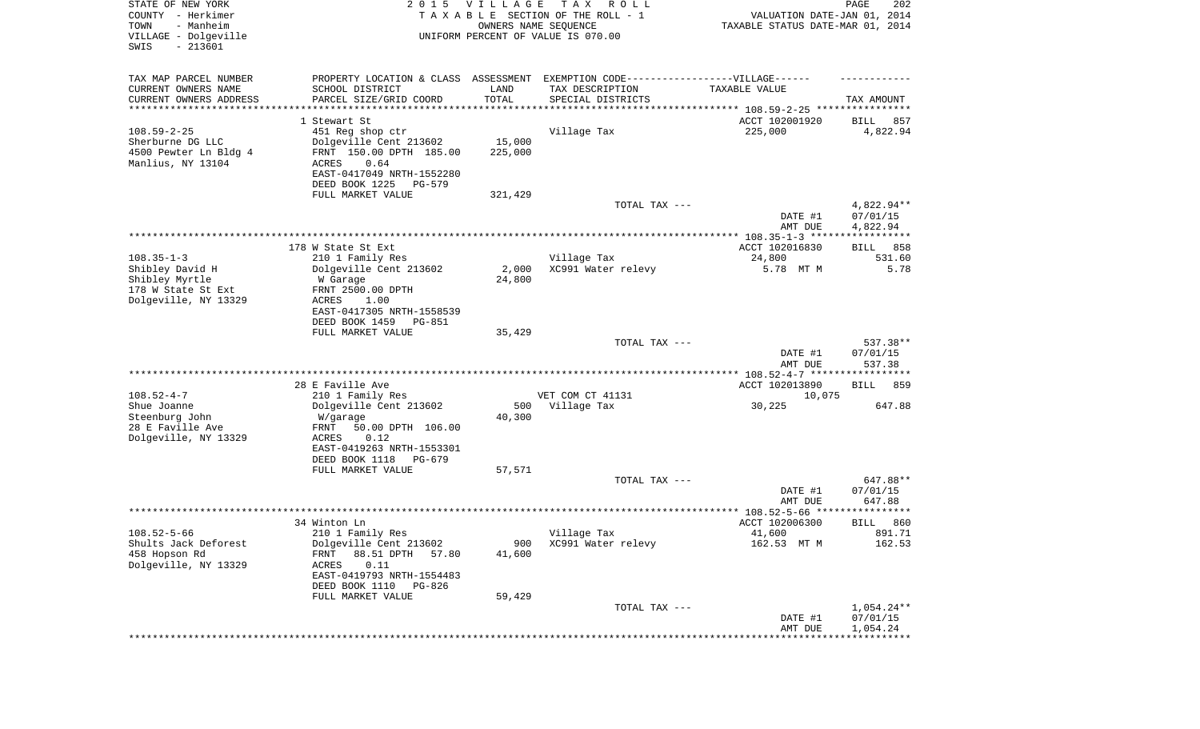| STATE OF NEW YORK<br>COUNTY - Herkimer<br>- Manheim<br>TOWN<br>VILLAGE - Dolgeville<br>SWIS<br>$-213601$ |                                           | 2015 VILLAGE  | T A X<br>R O L L<br>TAXABLE SECTION OF THE ROLL - 1<br>OWNERS NAME SEQUENCE<br>UNIFORM PERCENT OF VALUE IS 070.00 | VALUATION DATE-JAN 01, 2014<br>TAXABLE STATUS DATE-MAR 01, 2014 | PAGE<br>202                    |
|----------------------------------------------------------------------------------------------------------|-------------------------------------------|---------------|-------------------------------------------------------------------------------------------------------------------|-----------------------------------------------------------------|--------------------------------|
| TAX MAP PARCEL NUMBER                                                                                    |                                           |               | PROPERTY LOCATION & CLASS ASSESSMENT EXEMPTION CODE-----------------VILLAGE------                                 |                                                                 |                                |
| CURRENT OWNERS NAME<br>CURRENT OWNERS ADDRESS                                                            | SCHOOL DISTRICT<br>PARCEL SIZE/GRID COORD | LAND<br>TOTAL | TAX DESCRIPTION<br>SPECIAL DISTRICTS                                                                              | TAXABLE VALUE                                                   | TAX AMOUNT                     |
| ********************                                                                                     |                                           |               |                                                                                                                   |                                                                 |                                |
|                                                                                                          | 1 Stewart St                              |               |                                                                                                                   | ACCT 102001920                                                  | 857<br>BILL                    |
| $108.59 - 2 - 25$                                                                                        | 451 Reg shop ctr                          |               | Village Tax                                                                                                       | 225,000                                                         | 4,822.94                       |
| Sherburne DG LLC                                                                                         | Dolgeville Cent 213602                    | 15,000        |                                                                                                                   |                                                                 |                                |
| 4500 Pewter Ln Bldg 4                                                                                    | FRNT 150.00 DPTH 185.00                   | 225,000       |                                                                                                                   |                                                                 |                                |
| Manlius, NY 13104                                                                                        | ACRES<br>0.64                             |               |                                                                                                                   |                                                                 |                                |
|                                                                                                          | EAST-0417049 NRTH-1552280                 |               |                                                                                                                   |                                                                 |                                |
|                                                                                                          | DEED BOOK 1225<br>PG-579                  |               |                                                                                                                   |                                                                 |                                |
|                                                                                                          | FULL MARKET VALUE                         | 321,429       |                                                                                                                   |                                                                 |                                |
|                                                                                                          |                                           |               | TOTAL TAX ---                                                                                                     |                                                                 | $4,822.94**$<br>07/01/15       |
|                                                                                                          |                                           |               |                                                                                                                   | DATE #1<br>AMT DUE                                              | 4,822.94                       |
|                                                                                                          |                                           |               |                                                                                                                   |                                                                 |                                |
|                                                                                                          | 178 W State St Ext                        |               |                                                                                                                   | ACCT 102016830                                                  | 858<br>BILL                    |
| $108.35 - 1 - 3$                                                                                         | 210 1 Family Res                          |               | Village Tax                                                                                                       | 24,800                                                          | 531.60                         |
| Shibley David H                                                                                          | Dolgeville Cent 213602                    | 2,000         | XC991 Water relevy                                                                                                | 5.78 MT M                                                       | 5.78                           |
| Shibley Myrtle                                                                                           | W Garage                                  | 24,800        |                                                                                                                   |                                                                 |                                |
| 178 W State St Ext                                                                                       | FRNT 2500.00 DPTH                         |               |                                                                                                                   |                                                                 |                                |
| Dolgeville, NY 13329                                                                                     | ACRES<br>1.00                             |               |                                                                                                                   |                                                                 |                                |
|                                                                                                          | EAST-0417305 NRTH-1558539                 |               |                                                                                                                   |                                                                 |                                |
|                                                                                                          | DEED BOOK 1459<br><b>PG-851</b>           |               |                                                                                                                   |                                                                 |                                |
|                                                                                                          | FULL MARKET VALUE                         | 35,429        |                                                                                                                   |                                                                 |                                |
|                                                                                                          |                                           |               | TOTAL TAX ---                                                                                                     | DATE #1<br>AMT DUE                                              | 537.38**<br>07/01/15<br>537.38 |
|                                                                                                          |                                           |               |                                                                                                                   | *********** 108.52-4-7 ******************                       |                                |
|                                                                                                          | 28 E Faville Ave                          |               |                                                                                                                   | ACCT 102013890                                                  | 859<br>BILL                    |
| $108.52 - 4 - 7$                                                                                         | 210 1 Family Res                          |               | VET COM CT 41131                                                                                                  | 10,075                                                          |                                |
| Shue Joanne                                                                                              | Dolgeville Cent 213602                    | 500           | Village Tax                                                                                                       | 30,225                                                          | 647.88                         |
| Steenburg John                                                                                           | W/garage                                  | 40,300        |                                                                                                                   |                                                                 |                                |
| 28 E Faville Ave                                                                                         | FRNT<br>50.00 DPTH 106.00                 |               |                                                                                                                   |                                                                 |                                |
| Dolgeville, NY 13329                                                                                     | ACRES<br>0.12                             |               |                                                                                                                   |                                                                 |                                |
|                                                                                                          | EAST-0419263 NRTH-1553301                 |               |                                                                                                                   |                                                                 |                                |
|                                                                                                          | DEED BOOK 1118<br>PG-679                  |               |                                                                                                                   |                                                                 |                                |
|                                                                                                          | FULL MARKET VALUE                         | 57,571        |                                                                                                                   |                                                                 |                                |
|                                                                                                          |                                           |               | TOTAL TAX ---                                                                                                     |                                                                 | 647.88**                       |
|                                                                                                          |                                           |               |                                                                                                                   | DATE #1                                                         | 07/01/15                       |
|                                                                                                          |                                           |               |                                                                                                                   | AMT DUE                                                         | 647.88<br>*****                |
|                                                                                                          | 34 Winton Ln                              |               |                                                                                                                   | ACCT 102006300                                                  | 860<br>BILL                    |
| $108.52 - 5 - 66$                                                                                        | 210 1 Family Res                          |               | Village Tax                                                                                                       | 41,600                                                          | 891.71                         |
| Shults Jack Deforest                                                                                     | Dolgeville Cent 213602                    | 900           | XC991 Water relevy                                                                                                | 162.53 MT M                                                     | 162.53                         |
| 458 Hopson Rd                                                                                            | 88.51 DPTH<br>FRNT<br>57.80               | 41,600        |                                                                                                                   |                                                                 |                                |
| Dolgeville, NY 13329                                                                                     | 0.11<br>ACRES                             |               |                                                                                                                   |                                                                 |                                |
|                                                                                                          | EAST-0419793 NRTH-1554483                 |               |                                                                                                                   |                                                                 |                                |
|                                                                                                          | DEED BOOK 1110<br>PG-826                  |               |                                                                                                                   |                                                                 |                                |
|                                                                                                          | FULL MARKET VALUE                         | 59,429        |                                                                                                                   |                                                                 |                                |
|                                                                                                          |                                           |               | TOTAL TAX ---                                                                                                     |                                                                 | $1,054.24**$                   |
|                                                                                                          |                                           |               |                                                                                                                   | DATE #1                                                         | 07/01/15                       |
|                                                                                                          |                                           |               |                                                                                                                   | AMT DUE                                                         | 1,054.24                       |
|                                                                                                          |                                           |               |                                                                                                                   |                                                                 |                                |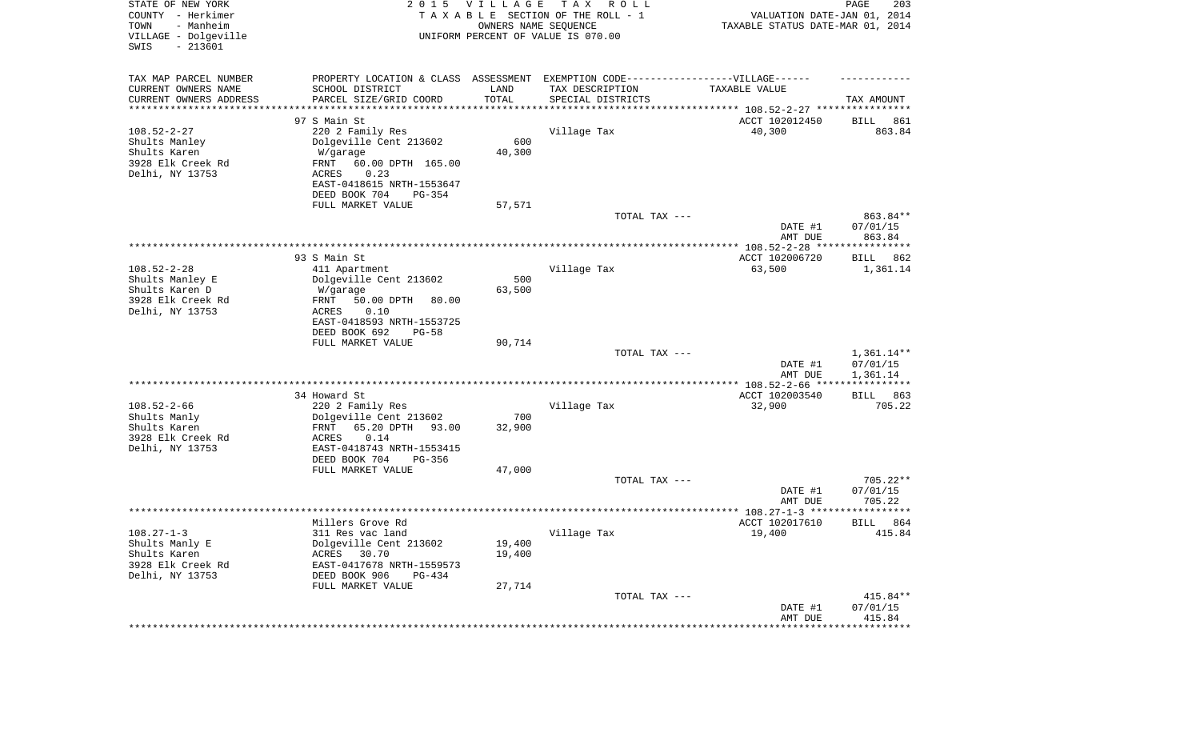| STATE OF NEW YORK<br>COUNTY - Herkimer<br>TOWN<br>- Manheim<br>VILLAGE - Dolgeville<br>SWIS<br>$-213601$ | 2 0 1 5                                              | <b>VILLAGE</b><br>OWNERS NAME SEQUENCE | T A X<br>R O L L<br>TAXABLE SECTION OF THE ROLL - 1<br>UNIFORM PERCENT OF VALUE IS 070.00 | VALUATION DATE-JAN 01, 2014<br>TAXABLE STATUS DATE-MAR 01, 2014 | 203<br>PAGE            |
|----------------------------------------------------------------------------------------------------------|------------------------------------------------------|----------------------------------------|-------------------------------------------------------------------------------------------|-----------------------------------------------------------------|------------------------|
| TAX MAP PARCEL NUMBER                                                                                    | PROPERTY LOCATION & CLASS ASSESSMENT                 |                                        | EXEMPTION CODE-----------------VILLAGE------                                              |                                                                 |                        |
| CURRENT OWNERS NAME                                                                                      | SCHOOL DISTRICT                                      | LAND                                   | TAX DESCRIPTION                                                                           | TAXABLE VALUE                                                   |                        |
| CURRENT OWNERS ADDRESS<br>********************                                                           | PARCEL SIZE/GRID COORD                               | TOTAL                                  | SPECIAL DISTRICTS                                                                         |                                                                 | TAX AMOUNT             |
|                                                                                                          | 97 S Main St                                         |                                        |                                                                                           | ACCT 102012450                                                  | 861<br>BILL            |
| $108.52 - 2 - 27$                                                                                        | 220 2 Family Res                                     |                                        | Village Tax                                                                               | 40,300                                                          | 863.84                 |
| Shults Manley                                                                                            | Dolgeville Cent 213602                               | 600                                    |                                                                                           |                                                                 |                        |
| Shults Karen                                                                                             | W/garage                                             | 40,300                                 |                                                                                           |                                                                 |                        |
| 3928 Elk Creek Rd                                                                                        | FRNT<br>60.00 DPTH 165.00                            |                                        |                                                                                           |                                                                 |                        |
| Delhi, NY 13753                                                                                          | 0.23<br>ACRES<br>EAST-0418615 NRTH-1553647           |                                        |                                                                                           |                                                                 |                        |
|                                                                                                          | DEED BOOK 704<br>PG-354                              |                                        |                                                                                           |                                                                 |                        |
|                                                                                                          | FULL MARKET VALUE                                    | 57,571                                 |                                                                                           |                                                                 |                        |
|                                                                                                          |                                                      |                                        | TOTAL TAX ---                                                                             |                                                                 | 863.84**               |
|                                                                                                          |                                                      |                                        |                                                                                           | DATE #1<br>AMT DUE                                              | 07/01/15<br>863.84     |
|                                                                                                          | 93 S Main St                                         |                                        |                                                                                           | ACCT 102006720                                                  |                        |
| $108.52 - 2 - 28$                                                                                        | 411 Apartment                                        |                                        | Village Tax                                                                               | 63,500                                                          | BILL 862<br>1,361.14   |
| Shults Manley E                                                                                          | Dolgeville Cent 213602                               | 500                                    |                                                                                           |                                                                 |                        |
| Shults Karen D                                                                                           | W/garage                                             | 63,500                                 |                                                                                           |                                                                 |                        |
| 3928 Elk Creek Rd                                                                                        | 50.00 DPTH<br>FRNT<br>80.00                          |                                        |                                                                                           |                                                                 |                        |
| Delhi, NY 13753                                                                                          | 0.10<br>ACRES                                        |                                        |                                                                                           |                                                                 |                        |
|                                                                                                          | EAST-0418593 NRTH-1553725                            |                                        |                                                                                           |                                                                 |                        |
|                                                                                                          | DEED BOOK 692<br>PG-58<br>FULL MARKET VALUE          | 90,714                                 |                                                                                           |                                                                 |                        |
|                                                                                                          |                                                      |                                        | TOTAL TAX ---                                                                             |                                                                 | $1,361.14**$           |
|                                                                                                          |                                                      |                                        |                                                                                           | DATE #1                                                         | 07/01/15               |
|                                                                                                          |                                                      |                                        |                                                                                           | AMT DUE                                                         | 1,361.14               |
|                                                                                                          |                                                      |                                        |                                                                                           |                                                                 | ***********            |
| $108.52 - 2 - 66$                                                                                        | 34 Howard St                                         |                                        | Village Tax                                                                               | ACCT 102003540<br>32,900                                        | 863<br>BILL<br>705.22  |
| Shults Manly                                                                                             | 220 2 Family Res<br>Dolgeville Cent 213602           | 700                                    |                                                                                           |                                                                 |                        |
| Shults Karen                                                                                             | FRNT<br>65.20 DPTH<br>93.00                          | 32,900                                 |                                                                                           |                                                                 |                        |
| 3928 Elk Creek Rd                                                                                        | ACRES<br>0.14                                        |                                        |                                                                                           |                                                                 |                        |
| Delhi, NY 13753                                                                                          | EAST-0418743 NRTH-1553415                            |                                        |                                                                                           |                                                                 |                        |
|                                                                                                          | DEED BOOK 704<br>PG-356                              |                                        |                                                                                           |                                                                 |                        |
|                                                                                                          | FULL MARKET VALUE                                    | 47,000                                 |                                                                                           |                                                                 |                        |
|                                                                                                          |                                                      |                                        | TOTAL TAX ---                                                                             | DATE #1                                                         | $705.22**$<br>07/01/15 |
|                                                                                                          |                                                      |                                        |                                                                                           | AMT DUE                                                         | 705.22                 |
|                                                                                                          |                                                      |                                        |                                                                                           | ******************** 108.27-1-3 ******************              |                        |
|                                                                                                          | Millers Grove Rd                                     |                                        |                                                                                           | ACCT 102017610                                                  | 864<br>BILL            |
| $108.27 - 1 - 3$                                                                                         | 311 Res vac land                                     |                                        | Village Tax                                                                               | 19,400                                                          | 415.84                 |
| Shults Manly E                                                                                           | Dolgeville Cent 213602                               | 19,400                                 |                                                                                           |                                                                 |                        |
| Shults Karen<br>3928 Elk Creek Rd                                                                        | 30.70<br>ACRES                                       | 19,400                                 |                                                                                           |                                                                 |                        |
| Delhi, NY 13753                                                                                          | EAST-0417678 NRTH-1559573<br>DEED BOOK 906<br>PG-434 |                                        |                                                                                           |                                                                 |                        |
|                                                                                                          | FULL MARKET VALUE                                    | 27,714                                 |                                                                                           |                                                                 |                        |
|                                                                                                          |                                                      |                                        | TOTAL TAX ---                                                                             |                                                                 | $415.84**$             |
|                                                                                                          |                                                      |                                        |                                                                                           | DATE #1                                                         | 07/01/15               |
|                                                                                                          |                                                      |                                        |                                                                                           | AMT DUE                                                         | 415.84                 |
|                                                                                                          |                                                      |                                        |                                                                                           |                                                                 |                        |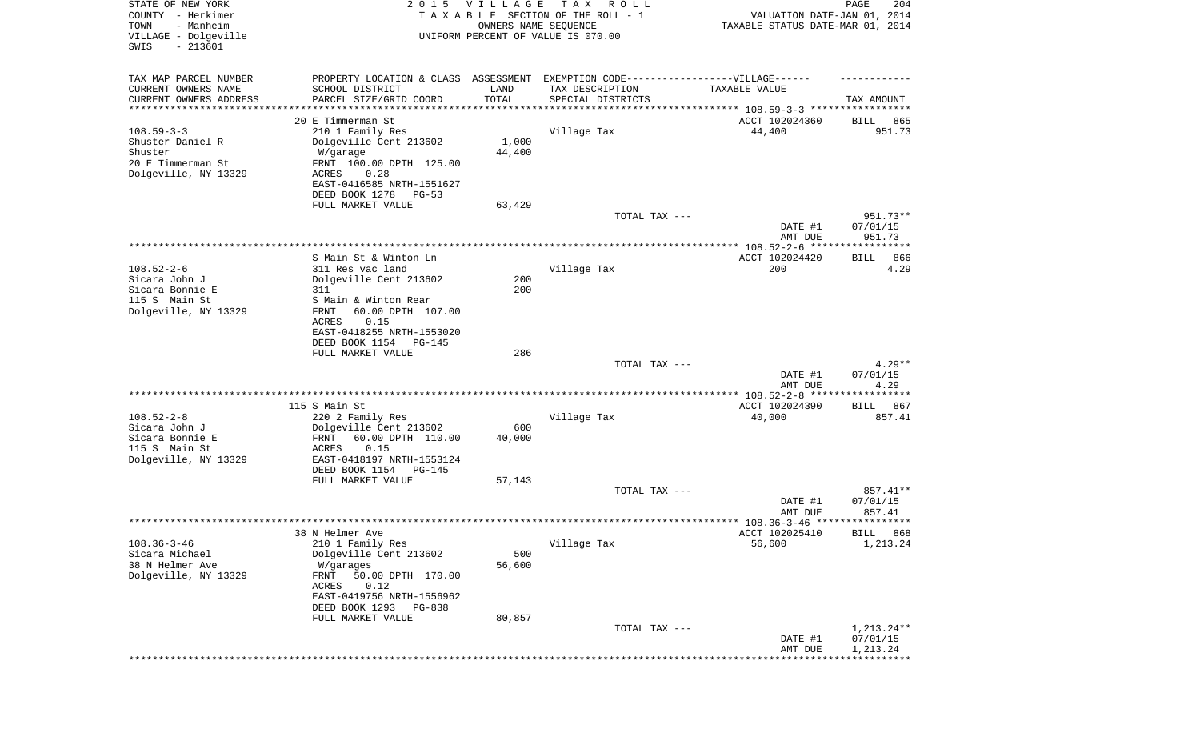| STATE OF NEW YORK<br>COUNTY - Herkimer<br>TOWN<br>- Manheim<br>VILLAGE - Dolgeville<br>SWIS<br>$-213601$ | 2 0 1 5                                           | VILLAGE<br>OWNERS NAME SEQUENCE | T A X<br>R O L L<br>TAXABLE SECTION OF THE ROLL - 1<br>UNIFORM PERCENT OF VALUE IS 070.00            | VALUATION DATE-JAN 01, 2014<br>TAXABLE STATUS DATE-MAR 01, 2014 | 204<br>PAGE           |
|----------------------------------------------------------------------------------------------------------|---------------------------------------------------|---------------------------------|------------------------------------------------------------------------------------------------------|-----------------------------------------------------------------|-----------------------|
| TAX MAP PARCEL NUMBER<br>CURRENT OWNERS NAME                                                             | SCHOOL DISTRICT                                   | LAND                            | PROPERTY LOCATION & CLASS ASSESSMENT EXEMPTION CODE-----------------VILLAGE------<br>TAX DESCRIPTION | TAXABLE VALUE                                                   |                       |
| CURRENT OWNERS ADDRESS                                                                                   | PARCEL SIZE/GRID COORD                            | TOTAL                           | SPECIAL DISTRICTS                                                                                    |                                                                 | TAX AMOUNT            |
| **********************                                                                                   | 20 E Timmerman St                                 |                                 |                                                                                                      | ACCT 102024360                                                  | 865<br>BILL           |
| $108.59 - 3 - 3$                                                                                         | 210 1 Family Res                                  |                                 | Village Tax                                                                                          | 44,400                                                          | 951.73                |
| Shuster Daniel R                                                                                         | Dolgeville Cent 213602                            | 1,000                           |                                                                                                      |                                                                 |                       |
| Shuster<br>20 E Timmerman St                                                                             | W/garage                                          | 44,400                          |                                                                                                      |                                                                 |                       |
| Dolgeville, NY 13329                                                                                     | FRNT 100.00 DPTH 125.00<br>ACRES<br>0.28          |                                 |                                                                                                      |                                                                 |                       |
|                                                                                                          | EAST-0416585 NRTH-1551627                         |                                 |                                                                                                      |                                                                 |                       |
|                                                                                                          | DEED BOOK 1278<br>PG-53                           |                                 |                                                                                                      |                                                                 |                       |
|                                                                                                          | FULL MARKET VALUE                                 | 63,429                          | TOTAL TAX ---                                                                                        |                                                                 | 951.73**              |
|                                                                                                          |                                                   |                                 |                                                                                                      | DATE #1                                                         | 07/01/15              |
|                                                                                                          |                                                   |                                 |                                                                                                      | AMT DUE                                                         | 951.73                |
|                                                                                                          | S Main St & Winton Ln                             |                                 |                                                                                                      | ACCT 102024420                                                  | 866<br>BILL           |
| $108.52 - 2 - 6$                                                                                         | 311 Res vac land                                  |                                 | Village Tax                                                                                          | 200                                                             | 4.29                  |
| Sicara John J                                                                                            | Dolgeville Cent 213602                            | 200                             |                                                                                                      |                                                                 |                       |
| Sicara Bonnie E<br>115 S Main St                                                                         | 311                                               | 200                             |                                                                                                      |                                                                 |                       |
| Dolgeville, NY 13329                                                                                     | S Main & Winton Rear<br>60.00 DPTH 107.00<br>FRNT |                                 |                                                                                                      |                                                                 |                       |
|                                                                                                          | ACRES<br>0.15                                     |                                 |                                                                                                      |                                                                 |                       |
|                                                                                                          | EAST-0418255 NRTH-1553020                         |                                 |                                                                                                      |                                                                 |                       |
|                                                                                                          | DEED BOOK 1154<br>PG-145<br>FULL MARKET VALUE     | 286                             |                                                                                                      |                                                                 |                       |
|                                                                                                          |                                                   |                                 | TOTAL TAX ---                                                                                        |                                                                 | $4.29**$              |
|                                                                                                          |                                                   |                                 |                                                                                                      | DATE #1                                                         | 07/01/15              |
|                                                                                                          |                                                   |                                 |                                                                                                      | AMT DUE                                                         | 4.29<br>********      |
|                                                                                                          | 115 S Main St                                     |                                 |                                                                                                      | ACCT 102024390                                                  | 867<br>BILL           |
| $108.52 - 2 - 8$                                                                                         | 220 2 Family Res                                  |                                 | Village Tax                                                                                          | 40,000                                                          | 857.41                |
| Sicara John J                                                                                            | Dolgeville Cent 213602                            | 600                             |                                                                                                      |                                                                 |                       |
| Sicara Bonnie E<br>115 S Main St                                                                         | 60.00 DPTH 110.00<br>FRNT<br>0.15<br>ACRES        | 40,000                          |                                                                                                      |                                                                 |                       |
| Dolgeville, NY 13329                                                                                     | EAST-0418197 NRTH-1553124                         |                                 |                                                                                                      |                                                                 |                       |
|                                                                                                          | DEED BOOK 1154<br>PG-145                          |                                 |                                                                                                      |                                                                 |                       |
|                                                                                                          | FULL MARKET VALUE                                 | 57,143                          | TOTAL TAX ---                                                                                        |                                                                 | 857.41**              |
|                                                                                                          |                                                   |                                 |                                                                                                      | DATE #1                                                         | 07/01/15              |
|                                                                                                          |                                                   |                                 |                                                                                                      | AMT DUE                                                         | 857.41                |
|                                                                                                          |                                                   |                                 |                                                                                                      |                                                                 | BILL 868              |
| $108.36 - 3 - 46$                                                                                        | 38 N Helmer Ave<br>210 1 Family Res               |                                 | Village Tax                                                                                          | ACCT 102025410<br>56,600                                        | 1,213.24              |
| Sicara Michael                                                                                           | Dolgeville Cent 213602                            | 500                             |                                                                                                      |                                                                 |                       |
| 38 N Helmer Ave                                                                                          | W/garages                                         | 56,600                          |                                                                                                      |                                                                 |                       |
| Dolgeville, NY 13329                                                                                     | 50.00 DPTH 170.00<br>FRNT<br>ACRES<br>0.12        |                                 |                                                                                                      |                                                                 |                       |
|                                                                                                          | EAST-0419756 NRTH-1556962                         |                                 |                                                                                                      |                                                                 |                       |
|                                                                                                          | DEED BOOK 1293<br>PG-838                          |                                 |                                                                                                      |                                                                 |                       |
|                                                                                                          | FULL MARKET VALUE                                 | 80,857                          | TOTAL TAX ---                                                                                        |                                                                 | 1,213.24**            |
|                                                                                                          |                                                   |                                 |                                                                                                      | DATE #1                                                         | 07/01/15              |
|                                                                                                          |                                                   |                                 |                                                                                                      | AMT DUE                                                         | 1,213.24              |
|                                                                                                          |                                                   |                                 |                                                                                                      |                                                                 | * * * * * * * * * * * |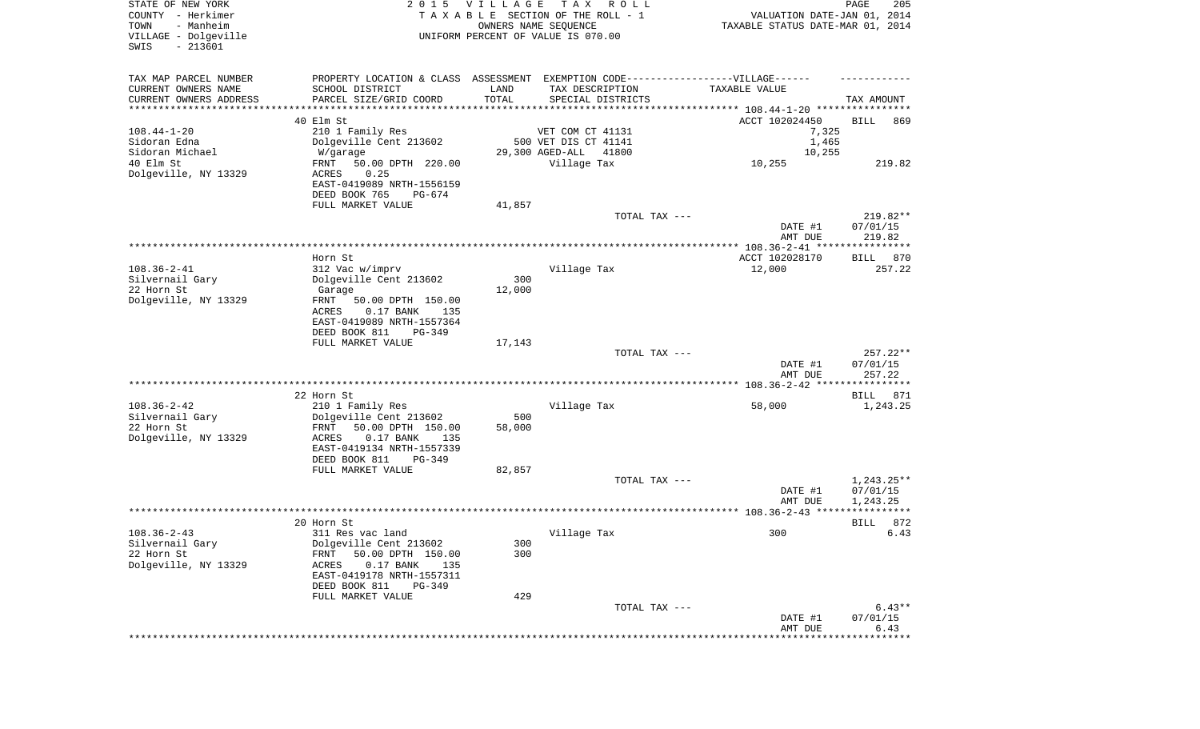| STATE OF NEW YORK<br>COUNTY - Herkimer<br>- Manheim<br>TOWN<br>VILLAGE - Dolgeville<br>$-213601$<br>SWIS |                                                          | 2015 VILLAGE  | TAX ROLL<br>TAXABLE SECTION OF THE ROLL - 1<br>OWNERS NAME SEQUENCE<br>UNIFORM PERCENT OF VALUE IS 070.00 | TAXABLE STATUS DATE-MAR 01, 2014                                                 | PAGE<br>205<br>VALUATION DATE-JAN 01, 2014 |
|----------------------------------------------------------------------------------------------------------|----------------------------------------------------------|---------------|-----------------------------------------------------------------------------------------------------------|----------------------------------------------------------------------------------|--------------------------------------------|
| TAX MAP PARCEL NUMBER                                                                                    |                                                          |               |                                                                                                           | PROPERTY LOCATION & CLASS ASSESSMENT EXEMPTION CODE----------------VILLAGE------ |                                            |
| CURRENT OWNERS NAME                                                                                      | SCHOOL DISTRICT                                          | LAND          | TAX DESCRIPTION                                                                                           | TAXABLE VALUE                                                                    |                                            |
| CURRENT OWNERS ADDRESS<br>**********************                                                         | PARCEL SIZE/GRID COORD<br>*******************            | TOTAL         | SPECIAL DISTRICTS                                                                                         |                                                                                  | TAX AMOUNT                                 |
|                                                                                                          | 40 Elm St                                                |               |                                                                                                           | ACCT 102024450                                                                   | BILL<br>869                                |
| $108.44 - 1 - 20$                                                                                        | 210 1 Family Res                                         |               | VET COM CT 41131                                                                                          |                                                                                  | 7,325                                      |
| Sidoran Edna                                                                                             | Dolgeville Cent 213602                                   |               | 500 VET DIS CT 41141                                                                                      |                                                                                  | 1,465                                      |
| Sidoran Michael                                                                                          | W/garage                                                 |               | 29,300 AGED-ALL<br>41800                                                                                  |                                                                                  | 10,255                                     |
| 40 Elm St                                                                                                | 50.00 DPTH 220.00<br>FRNT                                |               | Village Tax                                                                                               | 10,255                                                                           | 219.82                                     |
| Dolgeville, NY 13329                                                                                     | 0.25<br>ACRES<br>EAST-0419089 NRTH-1556159               |               |                                                                                                           |                                                                                  |                                            |
|                                                                                                          | DEED BOOK 765<br>PG-674                                  |               |                                                                                                           |                                                                                  |                                            |
|                                                                                                          | FULL MARKET VALUE                                        | 41,857        |                                                                                                           | TOTAL TAX ---                                                                    | $219.82**$                                 |
|                                                                                                          |                                                          |               |                                                                                                           | DATE #1                                                                          | 07/01/15                                   |
|                                                                                                          |                                                          |               |                                                                                                           | AMT DUE                                                                          | 219.82                                     |
|                                                                                                          |                                                          |               |                                                                                                           |                                                                                  |                                            |
|                                                                                                          | Horn St                                                  |               |                                                                                                           | ACCT 102028170                                                                   | BILL<br>870                                |
| $108.36 - 2 - 41$                                                                                        | 312 Vac w/imprv                                          |               | Village Tax                                                                                               | 12,000                                                                           | 257.22                                     |
| Silvernail Gary<br>22 Horn St                                                                            | Dolgeville Cent 213602<br>Garage                         | 300<br>12,000 |                                                                                                           |                                                                                  |                                            |
| Dolgeville, NY 13329                                                                                     | FRNT<br>50.00 DPTH 150.00                                |               |                                                                                                           |                                                                                  |                                            |
|                                                                                                          | ACRES<br>$0.17$ BANK<br>135                              |               |                                                                                                           |                                                                                  |                                            |
|                                                                                                          | EAST-0419089 NRTH-1557364                                |               |                                                                                                           |                                                                                  |                                            |
|                                                                                                          | DEED BOOK 811<br>$PG-349$                                |               |                                                                                                           |                                                                                  |                                            |
|                                                                                                          | FULL MARKET VALUE                                        | 17,143        |                                                                                                           |                                                                                  |                                            |
|                                                                                                          |                                                          |               |                                                                                                           | TOTAL TAX ---<br>DATE #1                                                         | $257.22**$<br>07/01/15                     |
|                                                                                                          |                                                          |               |                                                                                                           | AMT DUE                                                                          | 257.22                                     |
|                                                                                                          |                                                          |               |                                                                                                           |                                                                                  |                                            |
|                                                                                                          | 22 Horn St                                               |               |                                                                                                           |                                                                                  | 871<br>BILL                                |
| $108.36 - 2 - 42$                                                                                        | 210 1 Family Res                                         |               | Village Tax                                                                                               | 58,000                                                                           | 1,243.25                                   |
| Silvernail Gary                                                                                          | Dolgeville Cent 213602                                   | 500           |                                                                                                           |                                                                                  |                                            |
| 22 Horn St<br>Dolgeville, NY 13329                                                                       | FRNT<br>50.00 DPTH 150.00<br>ACRES<br>$0.17$ BANK<br>135 | 58,000        |                                                                                                           |                                                                                  |                                            |
|                                                                                                          | EAST-0419134 NRTH-1557339                                |               |                                                                                                           |                                                                                  |                                            |
|                                                                                                          | DEED BOOK 811<br>PG-349                                  |               |                                                                                                           |                                                                                  |                                            |
|                                                                                                          | FULL MARKET VALUE                                        | 82,857        |                                                                                                           |                                                                                  |                                            |
|                                                                                                          |                                                          |               |                                                                                                           | TOTAL TAX ---                                                                    | $1,243.25**$                               |
|                                                                                                          |                                                          |               |                                                                                                           | DATE #1                                                                          | 07/01/15                                   |
|                                                                                                          |                                                          |               |                                                                                                           | AMT DUE                                                                          | 1,243.25<br>****                           |
|                                                                                                          | 20 Horn St                                               |               |                                                                                                           |                                                                                  | 872<br>BILL                                |
| $108.36 - 2 - 43$                                                                                        | 311 Res vac land                                         |               | Village Tax                                                                                               | 300                                                                              | 6.43                                       |
| Silvernail Gary                                                                                          | Dolgeville Cent 213602                                   | 300           |                                                                                                           |                                                                                  |                                            |
| 22 Horn St                                                                                               | FRNT<br>50.00 DPTH 150.00                                | 300           |                                                                                                           |                                                                                  |                                            |
| Dolgeville, NY 13329                                                                                     | $0.17$ BANK<br>ACRES<br>135                              |               |                                                                                                           |                                                                                  |                                            |
|                                                                                                          | EAST-0419178 NRTH-1557311                                |               |                                                                                                           |                                                                                  |                                            |
|                                                                                                          | DEED BOOK 811<br>$PG-349$<br>FULL MARKET VALUE           | 429           |                                                                                                           |                                                                                  |                                            |
|                                                                                                          |                                                          |               |                                                                                                           | TOTAL TAX ---                                                                    | $6.43**$                                   |
|                                                                                                          |                                                          |               |                                                                                                           | DATE #1                                                                          | 07/01/15                                   |
|                                                                                                          |                                                          |               |                                                                                                           | AMT DUE                                                                          | 6.43                                       |
|                                                                                                          |                                                          |               |                                                                                                           |                                                                                  |                                            |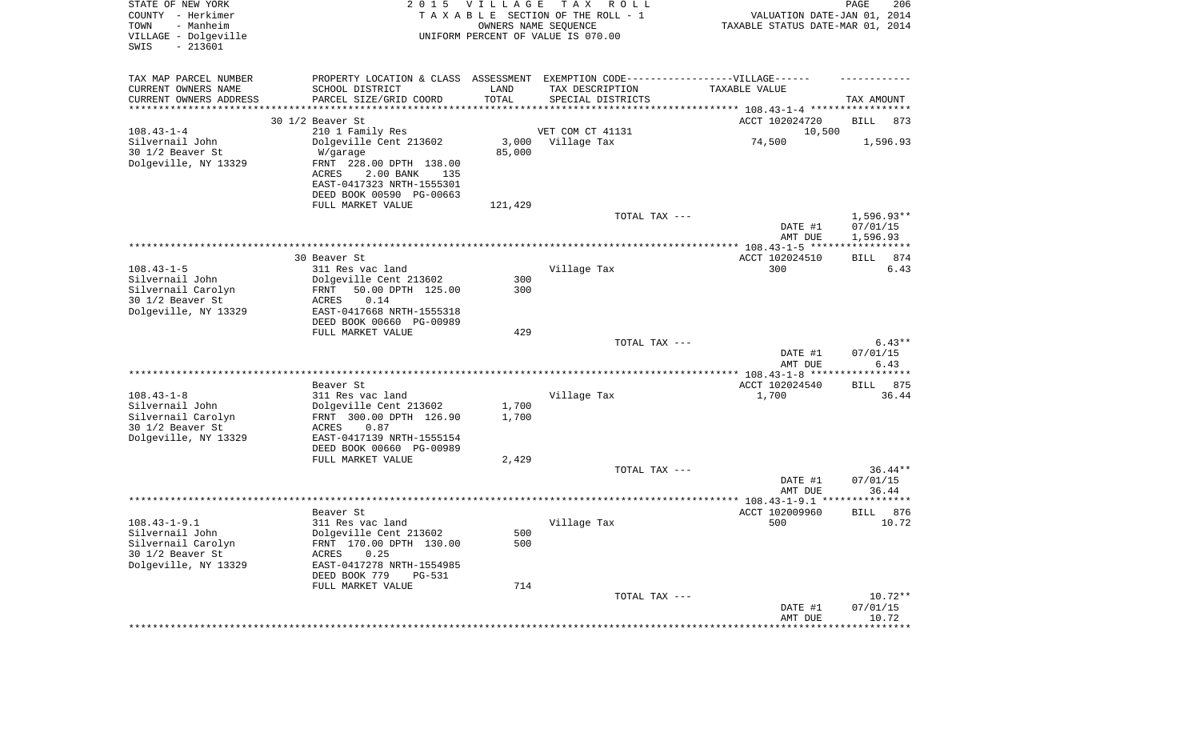| STATE OF NEW YORK<br>COUNTY - Herkimer<br>- Manheim<br>TOWN<br>VILLAGE - Dolgeville<br>$-213601$<br>SWIS | 2 0 1 5                                                                                                                                                                 | VILLAGE         | T A X<br>R O L L<br>TAXABLE SECTION OF THE ROLL - 1<br>OWNERS NAME SEQUENCE<br>UNIFORM PERCENT OF VALUE IS 070.00 | VALUATION DATE-JAN 01, 2014<br>TAXABLE STATUS DATE-MAR 01, 2014       | PAGE<br>206                          |
|----------------------------------------------------------------------------------------------------------|-------------------------------------------------------------------------------------------------------------------------------------------------------------------------|-----------------|-------------------------------------------------------------------------------------------------------------------|-----------------------------------------------------------------------|--------------------------------------|
| TAX MAP PARCEL NUMBER<br>CURRENT OWNERS NAME<br>CURRENT OWNERS ADDRESS<br>********************           | PROPERTY LOCATION & CLASS ASSESSMENT EXEMPTION CODE-----------------VILLAGE------<br>SCHOOL DISTRICT<br>PARCEL SIZE/GRID COORD                                          | LAND<br>TOTAL   | TAX DESCRIPTION<br>SPECIAL DISTRICTS                                                                              | TAXABLE VALUE<br>**************************** 108.43-1-4 ************ | TAX AMOUNT                           |
| $108.43 - 1 - 4$                                                                                         | 30 1/2 Beaver St                                                                                                                                                        |                 | VET COM CT 41131                                                                                                  | ACCT 102024720                                                        | BILL<br>873                          |
| Silvernail John<br>30 1/2 Beaver St<br>Dolgeville, NY 13329                                              | 210 1 Family Res<br>Dolgeville Cent 213602<br>W/garage<br>FRNT 228.00 DPTH 138.00<br>2.00 BANK<br>ACRES<br>135<br>EAST-0417323 NRTH-1555301<br>DEED BOOK 00590 PG-00663 | 3,000<br>85,000 | Village Tax                                                                                                       | 10,500<br>74,500                                                      | 1,596.93                             |
|                                                                                                          | FULL MARKET VALUE                                                                                                                                                       | 121,429         |                                                                                                                   |                                                                       |                                      |
|                                                                                                          |                                                                                                                                                                         |                 | TOTAL TAX ---                                                                                                     | DATE #1<br>AMT DUE                                                    | $1,596.93**$<br>07/01/15<br>1,596.93 |
|                                                                                                          | 30 Beaver St                                                                                                                                                            |                 |                                                                                                                   | ACCT 102024510                                                        | 874<br>BILL                          |
| $108.43 - 1 - 5$<br>Silvernail John<br>Silvernail Carolyn<br>30 1/2 Beaver St<br>Dolgeville, NY 13329    | 311 Res vac land<br>Dolgeville Cent 213602<br>50.00 DPTH 125.00<br>FRNT<br>ACRES<br>0.14<br>EAST-0417668 NRTH-1555318<br>DEED BOOK 00660 PG-00989                       | 300<br>300      | Village Tax                                                                                                       | 300                                                                   | 6.43                                 |
|                                                                                                          | FULL MARKET VALUE                                                                                                                                                       | 429             |                                                                                                                   |                                                                       |                                      |
|                                                                                                          |                                                                                                                                                                         |                 | TOTAL TAX ---                                                                                                     | DATE #1<br>AMT DUE                                                    | $6.43**$<br>07/01/15<br>6.43         |
|                                                                                                          | Beaver St                                                                                                                                                               |                 |                                                                                                                   | ************* 108.43-1-8 **********<br>ACCT 102024540                 | *******<br>875<br>BILL               |
| $108.43 - 1 - 8$<br>Silvernail John<br>Silvernail Carolyn<br>30 1/2 Beaver St<br>Dolgeville, NY 13329    | 311 Res vac land<br>Dolgeville Cent 213602<br>FRNT 300.00 DPTH 126.90<br>0.87<br>ACRES<br>EAST-0417139 NRTH-1555154<br>DEED BOOK 00660 PG-00989                         | 1,700<br>1,700  | Village Tax                                                                                                       | 1,700                                                                 | 36.44                                |
|                                                                                                          | FULL MARKET VALUE                                                                                                                                                       | 2,429           | TOTAL TAX ---                                                                                                     | DATE #1                                                               | $36.44**$<br>07/01/15                |
|                                                                                                          |                                                                                                                                                                         |                 |                                                                                                                   | AMT DUE                                                               | 36.44                                |
| $108.43 - 1 - 9.1$<br>Silvernail John<br>Silvernail Carolyn<br>30 1/2 Beaver St<br>Dolgeville, NY 13329  | Beaver St<br>311 Res vac land<br>Dolgeville Cent 213602<br>FRNT 170.00 DPTH 130.00<br><b>ACRES</b><br>0.25<br>EAST-0417278 NRTH-1554985<br>DEED BOOK 779<br>PG-531      | 500<br>500      | Village Tax                                                                                                       | ACCT 102009960<br>500                                                 | 876<br>BILL<br>10.72                 |
|                                                                                                          | FULL MARKET VALUE                                                                                                                                                       | 714             | TOTAL TAX ---                                                                                                     | DATE #1<br>AMT DUE                                                    | $10.72**$<br>07/01/15<br>10.72       |
|                                                                                                          |                                                                                                                                                                         |                 |                                                                                                                   |                                                                       | **************                       |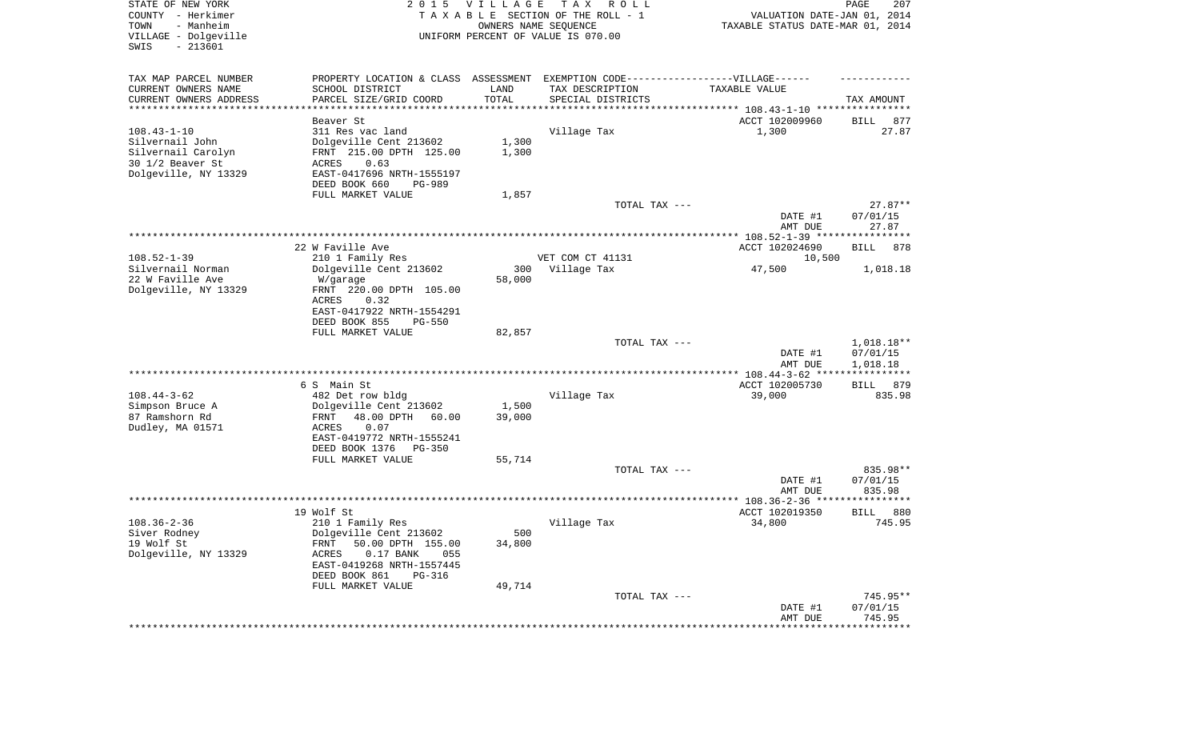| STATE OF NEW YORK<br>COUNTY - Herkimer<br>TOWN<br>- Manheim<br>VILLAGE - Dolgeville | 2 0 1 5                                                                           | <b>VILLAGE</b> | T A X<br>R O L L<br>TAXABLE SECTION OF THE ROLL - 1<br>OWNERS NAME SEQUENCE<br>UNIFORM PERCENT OF VALUE IS 070.00 | VALUATION DATE-JAN 01, 2014<br>TAXABLE STATUS DATE-MAR 01, 2014 | PAGE<br>207           |
|-------------------------------------------------------------------------------------|-----------------------------------------------------------------------------------|----------------|-------------------------------------------------------------------------------------------------------------------|-----------------------------------------------------------------|-----------------------|
| SWIS<br>$-213601$                                                                   |                                                                                   |                |                                                                                                                   |                                                                 |                       |
| TAX MAP PARCEL NUMBER                                                               | PROPERTY LOCATION & CLASS ASSESSMENT EXEMPTION CODE-----------------VILLAGE------ |                |                                                                                                                   |                                                                 |                       |
| CURRENT OWNERS NAME                                                                 | SCHOOL DISTRICT                                                                   | LAND           | TAX DESCRIPTION                                                                                                   | TAXABLE VALUE                                                   |                       |
| CURRENT OWNERS ADDRESS<br>*********************                                     | PARCEL SIZE/GRID COORD                                                            | TOTAL          | SPECIAL DISTRICTS                                                                                                 |                                                                 | TAX AMOUNT            |
|                                                                                     | Beaver St                                                                         |                |                                                                                                                   | ACCT 102009960                                                  | BILL<br>877           |
| $108.43 - 1 - 10$                                                                   | 311 Res vac land                                                                  |                | Village Tax                                                                                                       | 1,300                                                           | 27.87                 |
| Silvernail John                                                                     | Dolgeville Cent 213602                                                            | 1,300          |                                                                                                                   |                                                                 |                       |
| Silvernail Carolyn<br>30 1/2 Beaver St                                              | FRNT 215.00 DPTH 125.00<br>ACRES<br>0.63                                          | 1,300          |                                                                                                                   |                                                                 |                       |
| Dolgeville, NY 13329                                                                | EAST-0417696 NRTH-1555197                                                         |                |                                                                                                                   |                                                                 |                       |
|                                                                                     | DEED BOOK 660<br>PG-989                                                           |                |                                                                                                                   |                                                                 |                       |
|                                                                                     | FULL MARKET VALUE                                                                 | 1,857          |                                                                                                                   |                                                                 |                       |
|                                                                                     |                                                                                   |                | TOTAL TAX ---                                                                                                     |                                                                 | $27.87**$             |
|                                                                                     |                                                                                   |                |                                                                                                                   | DATE #1<br>AMT DUE                                              | 07/01/15<br>27.87     |
|                                                                                     |                                                                                   |                |                                                                                                                   |                                                                 |                       |
|                                                                                     | 22 W Faville Ave                                                                  |                |                                                                                                                   | ACCT 102024690                                                  | BILL<br>878           |
| $108.52 - 1 - 39$                                                                   | 210 1 Family Res                                                                  |                | VET COM CT 41131                                                                                                  | 10,500                                                          |                       |
| Silvernail Norman<br>22 W Faville Ave                                               | Dolgeville Cent 213602                                                            | 300<br>58,000  | Village Tax                                                                                                       | 47,500                                                          | 1,018.18              |
| Dolgeville, NY 13329                                                                | W/garage<br>FRNT 220.00 DPTH 105.00                                               |                |                                                                                                                   |                                                                 |                       |
|                                                                                     | ACRES<br>0.32                                                                     |                |                                                                                                                   |                                                                 |                       |
|                                                                                     | EAST-0417922 NRTH-1554291                                                         |                |                                                                                                                   |                                                                 |                       |
|                                                                                     | DEED BOOK 855<br><b>PG-550</b>                                                    |                |                                                                                                                   |                                                                 |                       |
|                                                                                     | FULL MARKET VALUE                                                                 | 82,857         | TOTAL TAX ---                                                                                                     |                                                                 | $1,018.18**$          |
|                                                                                     |                                                                                   |                |                                                                                                                   | DATE #1                                                         | 07/01/15              |
|                                                                                     |                                                                                   |                |                                                                                                                   | AMT DUE                                                         | 1,018.18              |
|                                                                                     |                                                                                   |                |                                                                                                                   | *************** 108.44-3-62 *****                               | ***********           |
| $108.44 - 3 - 62$                                                                   | 6 S Main St<br>482 Det row bldg                                                   |                | Village Tax                                                                                                       | ACCT 102005730<br>39,000                                        | 879<br>BILL<br>835.98 |
| Simpson Bruce A                                                                     | Dolgeville Cent 213602                                                            | 1,500          |                                                                                                                   |                                                                 |                       |
| 87 Ramshorn Rd                                                                      | 48.00 DPTH<br>60.00<br>FRNT                                                       | 39,000         |                                                                                                                   |                                                                 |                       |
| Dudley, MA 01571                                                                    | ACRES<br>0.07                                                                     |                |                                                                                                                   |                                                                 |                       |
|                                                                                     | EAST-0419772 NRTH-1555241                                                         |                |                                                                                                                   |                                                                 |                       |
|                                                                                     | DEED BOOK 1376<br>PG-350<br>FULL MARKET VALUE                                     | 55,714         |                                                                                                                   |                                                                 |                       |
|                                                                                     |                                                                                   |                | TOTAL TAX ---                                                                                                     |                                                                 | 835.98**              |
|                                                                                     |                                                                                   |                |                                                                                                                   | DATE #1                                                         | 07/01/15              |
|                                                                                     |                                                                                   |                |                                                                                                                   | AMT DUE                                                         | 835.98                |
|                                                                                     | 19 Wolf St                                                                        |                |                                                                                                                   | ACCT 102019350                                                  | 880<br><b>BILL</b>    |
| $108.36 - 2 - 36$                                                                   | 210 1 Family Res                                                                  |                | Village Tax                                                                                                       | 34,800                                                          | 745.95                |
| Siver Rodney                                                                        | Dolgeville Cent 213602                                                            | 500            |                                                                                                                   |                                                                 |                       |
| 19 Wolf St                                                                          | 50.00 DPTH 155.00<br>FRNT                                                         | 34,800         |                                                                                                                   |                                                                 |                       |
| Dolgeville, NY 13329                                                                | $0.17$ BANK<br>055<br>ACRES                                                       |                |                                                                                                                   |                                                                 |                       |
|                                                                                     | EAST-0419268 NRTH-1557445<br>DEED BOOK 861<br>PG-316                              |                |                                                                                                                   |                                                                 |                       |
|                                                                                     | FULL MARKET VALUE                                                                 | 49,714         |                                                                                                                   |                                                                 |                       |
|                                                                                     |                                                                                   |                | TOTAL TAX ---                                                                                                     |                                                                 | 745.95**              |
|                                                                                     |                                                                                   |                |                                                                                                                   | DATE #1                                                         | 07/01/15              |
|                                                                                     |                                                                                   |                |                                                                                                                   | AMT DUE<br>***********************************                  | 745.95                |
|                                                                                     |                                                                                   |                |                                                                                                                   |                                                                 |                       |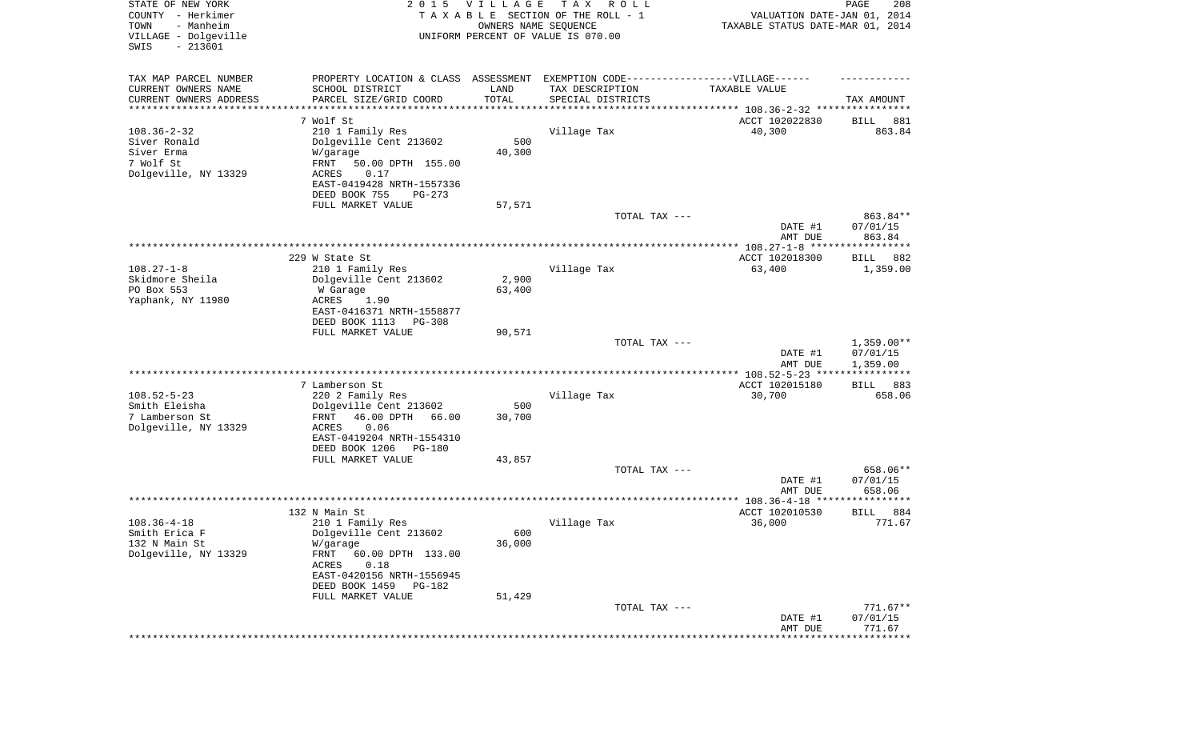| STATE OF NEW YORK<br>COUNTY - Herkimer<br>TOWN<br>- Manheim<br>VILLAGE - Dolgeville<br>SWIS<br>$-213601$ | 2 0 1 5                                                                           | <b>VILLAGE</b><br>OWNERS NAME SEQUENCE | T A X<br>R O L L<br>TAXABLE SECTION OF THE ROLL - 1<br>UNIFORM PERCENT OF VALUE IS 070.00 | VALUATION DATE-JAN 01, 2014<br>TAXABLE STATUS DATE-MAR 01, 2014 | PAGE<br>208                 |
|----------------------------------------------------------------------------------------------------------|-----------------------------------------------------------------------------------|----------------------------------------|-------------------------------------------------------------------------------------------|-----------------------------------------------------------------|-----------------------------|
| TAX MAP PARCEL NUMBER                                                                                    | PROPERTY LOCATION & CLASS ASSESSMENT EXEMPTION CODE-----------------VILLAGE------ |                                        |                                                                                           |                                                                 |                             |
| CURRENT OWNERS NAME                                                                                      | SCHOOL DISTRICT                                                                   | LAND                                   | TAX DESCRIPTION                                                                           | TAXABLE VALUE                                                   |                             |
| CURRENT OWNERS ADDRESS<br>*********************                                                          | PARCEL SIZE/GRID COORD                                                            | TOTAL                                  | SPECIAL DISTRICTS                                                                         |                                                                 | TAX AMOUNT                  |
|                                                                                                          | 7 Wolf St                                                                         |                                        |                                                                                           | ACCT 102022830                                                  | 881<br>BILL                 |
| $108.36 - 2 - 32$                                                                                        | 210 1 Family Res                                                                  |                                        | Village Tax                                                                               | 40,300                                                          | 863.84                      |
| Siver Ronald                                                                                             | Dolgeville Cent 213602                                                            | 500                                    |                                                                                           |                                                                 |                             |
| Siver Erma                                                                                               | W/garage                                                                          | 40,300                                 |                                                                                           |                                                                 |                             |
| 7 Wolf St                                                                                                | FRNT<br>50.00 DPTH 155.00                                                         |                                        |                                                                                           |                                                                 |                             |
| Dolgeville, NY 13329                                                                                     | ACRES<br>0.17                                                                     |                                        |                                                                                           |                                                                 |                             |
|                                                                                                          | EAST-0419428 NRTH-1557336                                                         |                                        |                                                                                           |                                                                 |                             |
|                                                                                                          | DEED BOOK 755<br>$PG-273$                                                         |                                        |                                                                                           |                                                                 |                             |
|                                                                                                          | FULL MARKET VALUE                                                                 | 57,571                                 | TOTAL TAX ---                                                                             |                                                                 | 863.84**                    |
|                                                                                                          |                                                                                   |                                        |                                                                                           | DATE #1                                                         | 07/01/15                    |
|                                                                                                          |                                                                                   |                                        |                                                                                           | AMT DUE                                                         | 863.84                      |
|                                                                                                          |                                                                                   |                                        |                                                                                           |                                                                 |                             |
|                                                                                                          | 229 W State St                                                                    |                                        |                                                                                           | ACCT 102018300                                                  | BILL<br>882                 |
| $108.27 - 1 - 8$                                                                                         | 210 1 Family Res                                                                  |                                        | Village Tax                                                                               | 63,400                                                          | 1,359.00                    |
| Skidmore Sheila                                                                                          | Dolgeville Cent 213602                                                            | 2,900                                  |                                                                                           |                                                                 |                             |
| PO Box 553                                                                                               | W Garage<br><b>ACRES</b>                                                          | 63,400                                 |                                                                                           |                                                                 |                             |
| Yaphank, NY 11980                                                                                        | 1.90<br>EAST-0416371 NRTH-1558877                                                 |                                        |                                                                                           |                                                                 |                             |
|                                                                                                          | DEED BOOK 1113<br>$PG-308$                                                        |                                        |                                                                                           |                                                                 |                             |
|                                                                                                          | FULL MARKET VALUE                                                                 | 90,571                                 |                                                                                           |                                                                 |                             |
|                                                                                                          |                                                                                   |                                        | TOTAL TAX ---                                                                             |                                                                 | $1,359.00**$                |
|                                                                                                          |                                                                                   |                                        |                                                                                           | DATE #1                                                         | 07/01/15                    |
|                                                                                                          |                                                                                   |                                        |                                                                                           | AMT DUE                                                         | 1,359.00<br>***********     |
|                                                                                                          | 7 Lamberson St                                                                    |                                        |                                                                                           | ************ 108.52-5-23 ****<br>ACCT 102015180                 | <b>BILL</b><br>883          |
| $108.52 - 5 - 23$                                                                                        | 220 2 Family Res                                                                  |                                        | Village Tax                                                                               | 30,700                                                          | 658.06                      |
| Smith Eleisha                                                                                            | Dolgeville Cent 213602                                                            | 500                                    |                                                                                           |                                                                 |                             |
| 7 Lamberson St                                                                                           | 46.00 DPTH<br>66.00<br>FRNT                                                       | 30,700                                 |                                                                                           |                                                                 |                             |
| Dolgeville, NY 13329                                                                                     | <b>ACRES</b><br>0.06                                                              |                                        |                                                                                           |                                                                 |                             |
|                                                                                                          | EAST-0419204 NRTH-1554310                                                         |                                        |                                                                                           |                                                                 |                             |
|                                                                                                          | DEED BOOK 1206<br>PG-180                                                          |                                        |                                                                                           |                                                                 |                             |
|                                                                                                          | FULL MARKET VALUE                                                                 | 43,857                                 |                                                                                           |                                                                 |                             |
|                                                                                                          |                                                                                   |                                        | TOTAL TAX ---                                                                             | DATE #1                                                         | 658.06**<br>07/01/15        |
|                                                                                                          |                                                                                   |                                        |                                                                                           | AMT DUE                                                         | 658.06                      |
|                                                                                                          |                                                                                   |                                        |                                                                                           |                                                                 | **********                  |
|                                                                                                          | 132 N Main St                                                                     |                                        |                                                                                           | ACCT 102010530                                                  | 884<br><b>BILL</b>          |
| $108.36 - 4 - 18$                                                                                        | 210 1 Family Res                                                                  |                                        | Village Tax                                                                               | 36,000                                                          | 771.67                      |
| Smith Erica F                                                                                            | Dolgeville Cent 213602                                                            | 600                                    |                                                                                           |                                                                 |                             |
| 132 N Main St                                                                                            | W/garage                                                                          | 36,000                                 |                                                                                           |                                                                 |                             |
| Dolgeville, NY 13329                                                                                     | FRNT<br>60.00 DPTH 133.00                                                         |                                        |                                                                                           |                                                                 |                             |
|                                                                                                          | ACRES<br>0.18<br>EAST-0420156 NRTH-1556945                                        |                                        |                                                                                           |                                                                 |                             |
|                                                                                                          | DEED BOOK 1459<br><b>PG-182</b>                                                   |                                        |                                                                                           |                                                                 |                             |
|                                                                                                          | FULL MARKET VALUE                                                                 | 51,429                                 |                                                                                           |                                                                 |                             |
|                                                                                                          |                                                                                   |                                        | TOTAL TAX ---                                                                             |                                                                 | $771.67**$                  |
|                                                                                                          |                                                                                   |                                        |                                                                                           | DATE #1                                                         | 07/01/15                    |
|                                                                                                          |                                                                                   |                                        |                                                                                           | AMT DUE                                                         | 771.67                      |
|                                                                                                          |                                                                                   |                                        |                                                                                           |                                                                 | * * * * * * * * * * * * * * |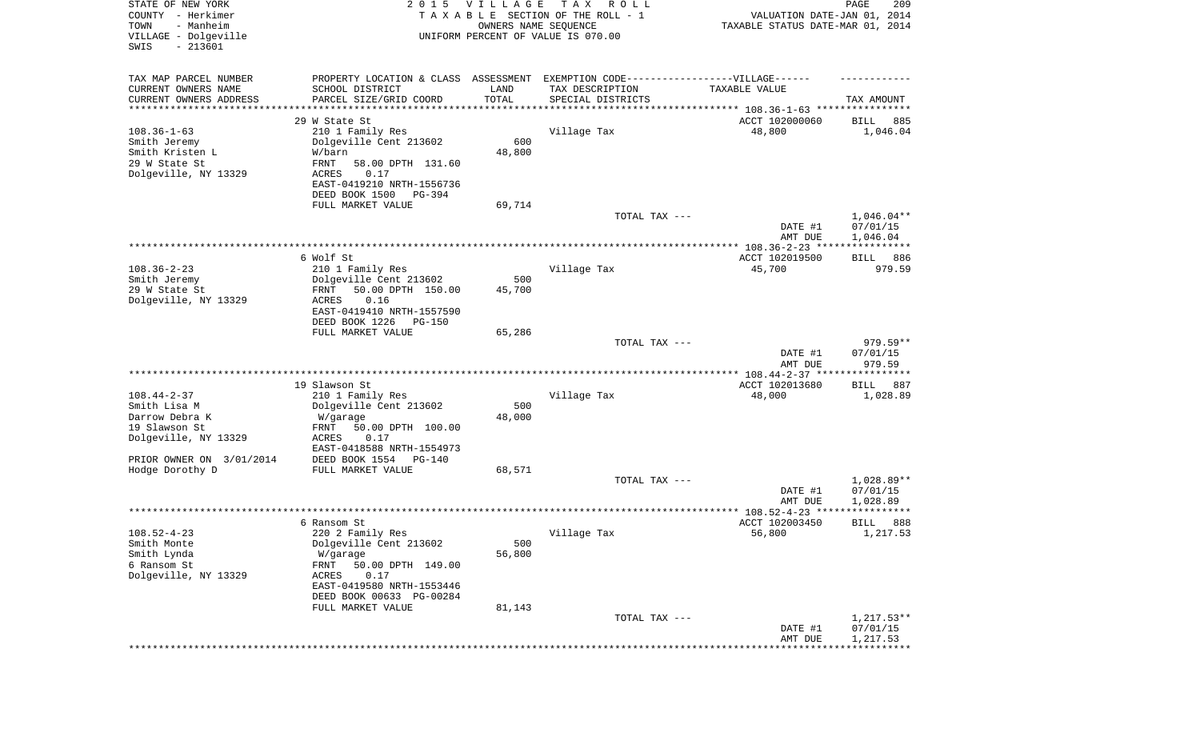| STATE OF NEW YORK<br>COUNTY - Herkimer<br>- Manheim<br>TOWN<br>VILLAGE - Dolgeville<br>$-213601$<br>SWIS | 2 0 1 5                                                                           | VILLAGE<br>OWNERS NAME SEQUENCE | T A X<br>R O L L<br>TAXABLE SECTION OF THE ROLL - 1<br>UNIFORM PERCENT OF VALUE IS 070.00 | VALUATION DATE-JAN 01, 2014<br>TAXABLE STATUS DATE-MAR 01, 2014 | PAGE<br>209        |
|----------------------------------------------------------------------------------------------------------|-----------------------------------------------------------------------------------|---------------------------------|-------------------------------------------------------------------------------------------|-----------------------------------------------------------------|--------------------|
| TAX MAP PARCEL NUMBER                                                                                    | PROPERTY LOCATION & CLASS ASSESSMENT EXEMPTION CODE-----------------VILLAGE------ |                                 |                                                                                           |                                                                 |                    |
| CURRENT OWNERS NAME<br>CURRENT OWNERS ADDRESS                                                            | SCHOOL DISTRICT<br>PARCEL SIZE/GRID COORD                                         | LAND<br>TOTAL                   | TAX DESCRIPTION<br>SPECIAL DISTRICTS                                                      | TAXABLE VALUE                                                   | TAX AMOUNT         |
| *********************                                                                                    |                                                                                   | * * * * * * * * * * *           |                                                                                           |                                                                 |                    |
|                                                                                                          | 29 W State St                                                                     |                                 |                                                                                           | ACCT 102000060                                                  | 885<br>BILL        |
| $108.36 - 1 - 63$                                                                                        | 210 1 Family Res                                                                  |                                 | Village Tax                                                                               | 48,800                                                          | 1,046.04           |
| Smith Jeremy<br>Smith Kristen L                                                                          | Dolgeville Cent 213602                                                            | 600                             |                                                                                           |                                                                 |                    |
| 29 W State St                                                                                            | W/barn<br>FRNT<br>58.00 DPTH 131.60                                               | 48,800                          |                                                                                           |                                                                 |                    |
| Dolgeville, NY 13329                                                                                     | ACRES<br>0.17                                                                     |                                 |                                                                                           |                                                                 |                    |
|                                                                                                          | EAST-0419210 NRTH-1556736                                                         |                                 |                                                                                           |                                                                 |                    |
|                                                                                                          | DEED BOOK 1500<br>PG-394                                                          |                                 |                                                                                           |                                                                 |                    |
|                                                                                                          | FULL MARKET VALUE                                                                 | 69,714                          |                                                                                           |                                                                 |                    |
|                                                                                                          |                                                                                   |                                 | TOTAL TAX ---                                                                             |                                                                 | $1,046.04**$       |
|                                                                                                          |                                                                                   |                                 |                                                                                           | DATE #1                                                         | 07/01/15           |
|                                                                                                          |                                                                                   |                                 |                                                                                           | AMT DUE                                                         | 1,046.04           |
|                                                                                                          |                                                                                   |                                 |                                                                                           |                                                                 |                    |
|                                                                                                          | 6 Wolf St                                                                         |                                 |                                                                                           | ACCT 102019500                                                  | 886<br>BILL        |
| $108.36 - 2 - 23$                                                                                        | 210 1 Family Res                                                                  |                                 | Village Tax                                                                               | 45,700                                                          | 979.59             |
| Smith Jeremy                                                                                             | Dolgeville Cent 213602                                                            | 500                             |                                                                                           |                                                                 |                    |
| 29 W State St                                                                                            | 50.00 DPTH 150.00<br>FRNT                                                         | 45,700                          |                                                                                           |                                                                 |                    |
| Dolgeville, NY 13329                                                                                     | ACRES<br>0.16                                                                     |                                 |                                                                                           |                                                                 |                    |
|                                                                                                          | EAST-0419410 NRTH-1557590<br>DEED BOOK 1226<br><b>PG-150</b>                      |                                 |                                                                                           |                                                                 |                    |
|                                                                                                          | FULL MARKET VALUE                                                                 | 65,286                          |                                                                                           |                                                                 |                    |
|                                                                                                          |                                                                                   |                                 | TOTAL TAX ---                                                                             |                                                                 | 979.59**           |
|                                                                                                          |                                                                                   |                                 |                                                                                           | DATE #1                                                         | 07/01/15           |
|                                                                                                          |                                                                                   |                                 |                                                                                           | AMT DUE                                                         | 979.59             |
|                                                                                                          |                                                                                   |                                 |                                                                                           | ************ 108.44-2-37 *****************                      |                    |
|                                                                                                          | 19 Slawson St                                                                     |                                 |                                                                                           | ACCT 102013680                                                  | <b>BILL</b><br>887 |
| $108.44 - 2 - 37$                                                                                        | 210 1 Family Res                                                                  |                                 | Village Tax                                                                               | 48,000                                                          | 1,028.89           |
| Smith Lisa M                                                                                             | Dolgeville Cent 213602                                                            | 500                             |                                                                                           |                                                                 |                    |
| Darrow Debra K                                                                                           | W/garage                                                                          | 48,000                          |                                                                                           |                                                                 |                    |
| 19 Slawson St                                                                                            | FRNT<br>50.00 DPTH 100.00                                                         |                                 |                                                                                           |                                                                 |                    |
| Dolgeville, NY 13329                                                                                     | ACRES<br>0.17                                                                     |                                 |                                                                                           |                                                                 |                    |
|                                                                                                          | EAST-0418588 NRTH-1554973                                                         |                                 |                                                                                           |                                                                 |                    |
| PRIOR OWNER ON 3/01/2014<br>Hodge Dorothy D                                                              | DEED BOOK 1554<br>PG-140<br>FULL MARKET VALUE                                     | 68,571                          |                                                                                           |                                                                 |                    |
|                                                                                                          |                                                                                   |                                 | TOTAL TAX ---                                                                             |                                                                 | 1,028.89**         |
|                                                                                                          |                                                                                   |                                 |                                                                                           | DATE #1                                                         | 07/01/15           |
|                                                                                                          |                                                                                   |                                 |                                                                                           | AMT DUE                                                         | 1,028.89           |
|                                                                                                          |                                                                                   |                                 |                                                                                           | **************** 108.52-4-23 *****                              | * * * * *          |
|                                                                                                          | 6 Ransom St                                                                       |                                 |                                                                                           | ACCT 102003450                                                  | 888<br>BILL        |
| $108.52 - 4 - 23$                                                                                        | 220 2 Family Res                                                                  |                                 | Village Tax                                                                               | 56,800                                                          | 1,217.53           |
| Smith Monte                                                                                              | Dolgeville Cent 213602                                                            | 500                             |                                                                                           |                                                                 |                    |
| Smith Lynda                                                                                              | W/garage                                                                          | 56,800                          |                                                                                           |                                                                 |                    |
| 6 Ransom St                                                                                              | FRNT<br>50.00 DPTH 149.00                                                         |                                 |                                                                                           |                                                                 |                    |
| Dolgeville, NY 13329                                                                                     | 0.17<br>ACRES                                                                     |                                 |                                                                                           |                                                                 |                    |
|                                                                                                          | EAST-0419580 NRTH-1553446                                                         |                                 |                                                                                           |                                                                 |                    |
|                                                                                                          | DEED BOOK 00633 PG-00284                                                          |                                 |                                                                                           |                                                                 |                    |
|                                                                                                          | FULL MARKET VALUE                                                                 | 81,143                          | TOTAL TAX ---                                                                             |                                                                 | $1,217.53**$       |
|                                                                                                          |                                                                                   |                                 |                                                                                           | DATE #1                                                         | 07/01/15           |
|                                                                                                          |                                                                                   |                                 |                                                                                           | AMT DUE                                                         | 1,217.53           |
|                                                                                                          |                                                                                   |                                 |                                                                                           |                                                                 |                    |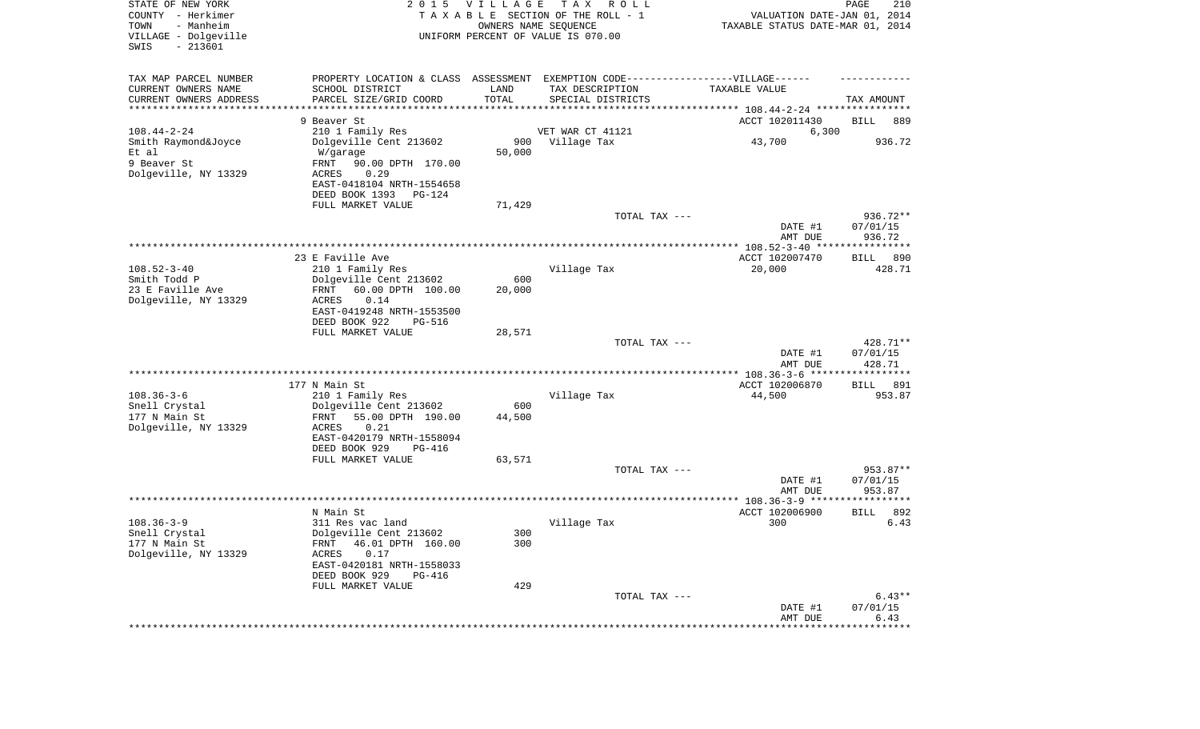| STATE OF NEW YORK<br>COUNTY - Herkimer<br>- Manheim<br>TOWN<br>VILLAGE - Dolgeville<br>$-213601$<br>SWIS | 2 0 1 5                                                                                             | V I L L A G E | T A X<br>R O L L<br>TAXABLE SECTION OF THE ROLL - 1<br>OWNERS NAME SEQUENCE<br>UNIFORM PERCENT OF VALUE IS 070.00 | VALUATION DATE-JAN 01, 2014<br>TAXABLE STATUS DATE-MAR 01, 2014 | PAGE<br>210          |
|----------------------------------------------------------------------------------------------------------|-----------------------------------------------------------------------------------------------------|---------------|-------------------------------------------------------------------------------------------------------------------|-----------------------------------------------------------------|----------------------|
| TAX MAP PARCEL NUMBER<br>CURRENT OWNERS NAME                                                             | PROPERTY LOCATION & CLASS ASSESSMENT EXEMPTION CODE----------------VILLAGE------<br>SCHOOL DISTRICT | LAND          | TAX DESCRIPTION                                                                                                   | TAXABLE VALUE                                                   |                      |
| CURRENT OWNERS ADDRESS                                                                                   | PARCEL SIZE/GRID COORD                                                                              | TOTAL         | SPECIAL DISTRICTS                                                                                                 |                                                                 | TAX AMOUNT           |
| ********************                                                                                     |                                                                                                     |               |                                                                                                                   |                                                                 |                      |
| $108.44 - 2 - 24$                                                                                        | 9 Beaver St<br>210 1 Family Res                                                                     |               | VET WAR CT 41121                                                                                                  | ACCT 102011430<br>6,300                                         | BILL<br>889          |
| Smith Raymond&Joyce                                                                                      | Dolgeville Cent 213602                                                                              | 900           | Village Tax                                                                                                       | 43,700                                                          | 936.72               |
| Et al                                                                                                    | W/garage                                                                                            | 50,000        |                                                                                                                   |                                                                 |                      |
| 9 Beaver St                                                                                              | FRNT<br>90.00 DPTH 170.00                                                                           |               |                                                                                                                   |                                                                 |                      |
| Dolgeville, NY 13329                                                                                     | 0.29<br>ACRES                                                                                       |               |                                                                                                                   |                                                                 |                      |
|                                                                                                          | EAST-0418104 NRTH-1554658<br>DEED BOOK 1393<br>PG-124                                               |               |                                                                                                                   |                                                                 |                      |
|                                                                                                          | FULL MARKET VALUE                                                                                   | 71,429        |                                                                                                                   |                                                                 |                      |
|                                                                                                          |                                                                                                     |               | TOTAL TAX ---                                                                                                     |                                                                 | $936.72**$           |
|                                                                                                          |                                                                                                     |               |                                                                                                                   | DATE #1                                                         | 07/01/15             |
|                                                                                                          |                                                                                                     |               |                                                                                                                   | AMT DUE                                                         | 936.72               |
|                                                                                                          | 23 E Faville Ave                                                                                    |               |                                                                                                                   | ACCT 102007470                                                  | 890<br>BILL          |
| $108.52 - 3 - 40$                                                                                        | 210 1 Family Res                                                                                    |               | Village Tax                                                                                                       | 20,000                                                          | 428.71               |
| Smith Todd P                                                                                             | Dolgeville Cent 213602                                                                              | 600           |                                                                                                                   |                                                                 |                      |
| 23 E Faville Ave                                                                                         | FRNT<br>60.00 DPTH 100.00<br>0.14                                                                   | 20,000        |                                                                                                                   |                                                                 |                      |
| Dolgeville, NY 13329                                                                                     | ACRES<br>EAST-0419248 NRTH-1553500                                                                  |               |                                                                                                                   |                                                                 |                      |
|                                                                                                          | DEED BOOK 922<br><b>PG-516</b>                                                                      |               |                                                                                                                   |                                                                 |                      |
|                                                                                                          | FULL MARKET VALUE                                                                                   | 28,571        |                                                                                                                   |                                                                 |                      |
|                                                                                                          |                                                                                                     |               | TOTAL TAX ---                                                                                                     |                                                                 | 428.71**             |
|                                                                                                          |                                                                                                     |               |                                                                                                                   | DATE #1<br>AMT DUE                                              | 07/01/15<br>428.71   |
|                                                                                                          |                                                                                                     |               |                                                                                                                   | ************** 108.36-3-6 ******************                    |                      |
|                                                                                                          | 177 N Main St                                                                                       |               |                                                                                                                   | ACCT 102006870                                                  | 891<br>BILL          |
| $108.36 - 3 - 6$                                                                                         | 210 1 Family Res                                                                                    |               | Village Tax                                                                                                       | 44,500                                                          | 953.87               |
| Snell Crystal<br>177 N Main St                                                                           | Dolgeville Cent 213602<br>FRNT<br>55.00 DPTH 190.00                                                 | 600<br>44,500 |                                                                                                                   |                                                                 |                      |
| Dolgeville, NY 13329                                                                                     | ACRES<br>0.21                                                                                       |               |                                                                                                                   |                                                                 |                      |
|                                                                                                          | EAST-0420179 NRTH-1558094                                                                           |               |                                                                                                                   |                                                                 |                      |
|                                                                                                          | DEED BOOK 929<br>PG-416                                                                             |               |                                                                                                                   |                                                                 |                      |
|                                                                                                          | FULL MARKET VALUE                                                                                   | 63,571        |                                                                                                                   |                                                                 |                      |
|                                                                                                          |                                                                                                     |               | TOTAL TAX ---                                                                                                     | DATE #1                                                         | 953.87**<br>07/01/15 |
|                                                                                                          |                                                                                                     |               |                                                                                                                   | AMT DUE                                                         | 953.87               |
|                                                                                                          |                                                                                                     |               |                                                                                                                   |                                                                 | **********           |
|                                                                                                          | N Main St                                                                                           |               |                                                                                                                   | ACCT 102006900                                                  | 892<br>BILL          |
| $108.36 - 3 - 9$<br>Snell Crystal                                                                        | 311 Res vac land<br>Dolgeville Cent 213602                                                          | 300           | Village Tax                                                                                                       | 300                                                             | 6.43                 |
| 177 N Main St                                                                                            | 46.01 DPTH 160.00<br>FRNT                                                                           | 300           |                                                                                                                   |                                                                 |                      |
| Dolgeville, NY 13329                                                                                     | 0.17<br>ACRES                                                                                       |               |                                                                                                                   |                                                                 |                      |
|                                                                                                          | EAST-0420181 NRTH-1558033                                                                           |               |                                                                                                                   |                                                                 |                      |
|                                                                                                          | DEED BOOK 929<br>PG-416                                                                             |               |                                                                                                                   |                                                                 |                      |
|                                                                                                          | FULL MARKET VALUE                                                                                   | 429           | TOTAL TAX ---                                                                                                     |                                                                 | $6.43**$             |
|                                                                                                          |                                                                                                     |               |                                                                                                                   | DATE #1                                                         | 07/01/15             |
|                                                                                                          |                                                                                                     |               |                                                                                                                   | AMT DUE                                                         | 6.43                 |
|                                                                                                          |                                                                                                     |               |                                                                                                                   |                                                                 |                      |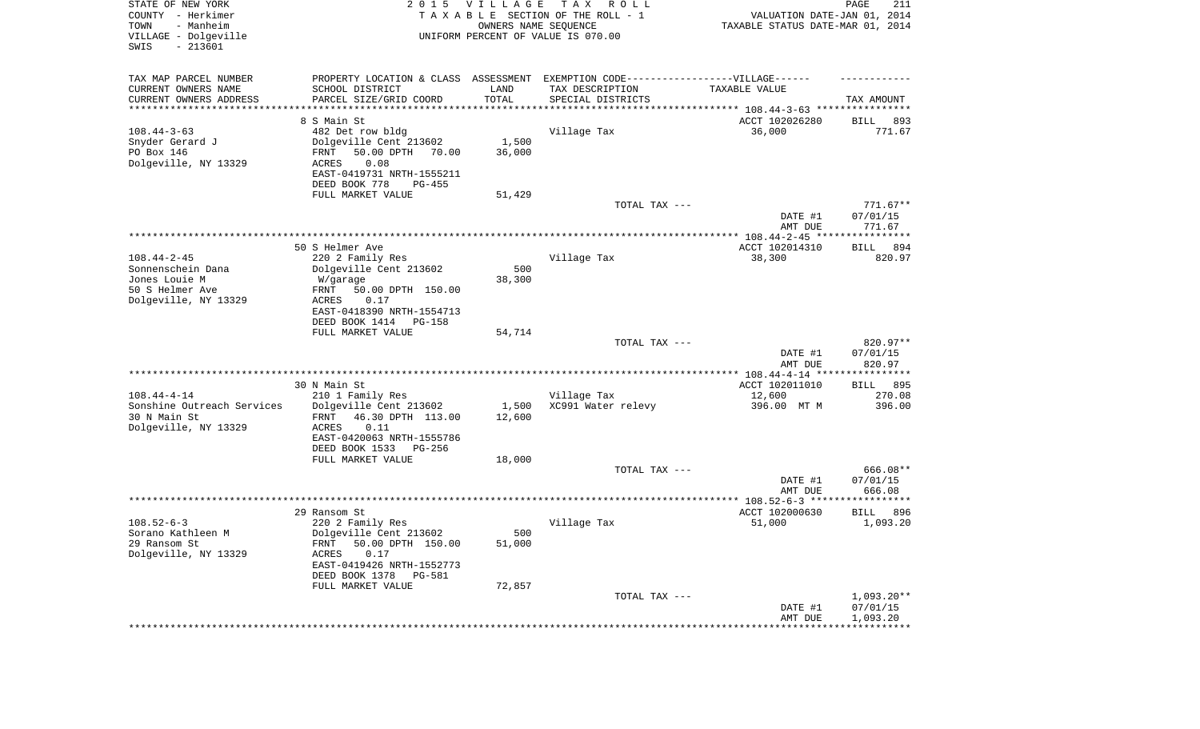| TAX MAP PARCEL NUMBER<br>PROPERTY LOCATION & CLASS ASSESSMENT EXEMPTION CODE----------------VILLAGE------<br>CURRENT OWNERS NAME<br>LAND<br>TAX DESCRIPTION<br>SCHOOL DISTRICT<br>TAXABLE VALUE<br>TOTAL<br>CURRENT OWNERS ADDRESS<br>PARCEL SIZE/GRID COORD<br>SPECIAL DISTRICTS<br>TAX AMOUNT<br>*********************<br>* * * * * * * * * * *<br>8 S Main St<br>ACCT 102026280<br>893<br>BILL<br>$108.44 - 3 - 63$<br>482 Det row bldg<br>Village Tax<br>36,000<br>771.67<br>1,500<br>Snyder Gerard J<br>Dolgeville Cent 213602<br>PO Box 146<br>50.00 DPTH<br>36,000<br>FRNT<br>70.00<br>Dolgeville, NY 13329<br>0.08<br>ACRES<br>EAST-0419731 NRTH-1555211<br>DEED BOOK 778<br>$PG-455$<br>FULL MARKET VALUE<br>51,429<br>TOTAL TAX ---<br>$771.67**$<br>DATE #1<br>07/01/15<br>AMT DUE<br>771.67<br>50 S Helmer Ave<br>ACCT 102014310<br>894<br>BILL<br>$108.44 - 2 - 45$<br>220 2 Family Res<br>Village Tax<br>38,300<br>820.97<br>Dolgeville Cent 213602<br>500<br>Sonnenschein Dana<br>Jones Louie M<br>38,300<br>W/garage<br>50 S Helmer Ave<br>50.00 DPTH 150.00<br>FRNT<br>Dolgeville, NY 13329<br><b>ACRES</b><br>0.17<br>EAST-0418390 NRTH-1554713<br>DEED BOOK 1414<br>PG-158<br>FULL MARKET VALUE<br>54,714<br>820.97**<br>TOTAL TAX ---<br>07/01/15<br>DATE #1<br>820.97<br>AMT DUE<br>************ 108.44-4-14 *****************<br>ACCT 102011010<br>30 N Main St<br>895<br>BILL<br>$108.44 - 4 - 14$<br>210 1 Family Res<br>Village Tax<br>12,600<br>270.08<br>Sonshine Outreach Services<br>XC991 Water relevy<br>Dolgeville Cent 213602<br>1,500<br>396.00 MT M<br>396.00<br>30 N Main St<br>46.30 DPTH 113.00<br>12,600<br>FRNT<br>Dolgeville, NY 13329<br><b>ACRES</b><br>0.11<br>EAST-0420063 NRTH-1555786<br>DEED BOOK 1533<br>PG-256<br>FULL MARKET VALUE<br>18,000<br>TOTAL TAX ---<br>666.08**<br>07/01/15<br>DATE #1<br>AMT DUE<br>666.08<br>29 Ransom St<br>ACCT 102000630<br>896<br>BILL<br>$108.52 - 6 - 3$<br>220 2 Family Res<br>Village Tax<br>51,000<br>1,093.20<br>500<br>Dolgeville Cent 213602<br>Sorano Kathleen M<br>29 Ransom St<br>FRNT 50.00 DPTH 150.00<br>51,000<br>Dolgeville, NY 13329<br>ACRES<br>0.17<br>EAST-0419426 NRTH-1552773<br>DEED BOOK 1378<br>PG-581<br>FULL MARKET VALUE<br>72,857<br>$1,093.20**$<br>TOTAL TAX ---<br>DATE #1<br>07/01/15<br>AMT DUE<br>1,093.20<br>*********************************** | STATE OF NEW YORK<br>COUNTY - Herkimer<br>TOWN<br>- Manheim<br>VILLAGE - Dolgeville<br>SWIS<br>$-213601$ | 2 0 1 5 | <b>VILLAGE</b><br>OWNERS NAME SEQUENCE | T A X<br>R O L L<br>TAXABLE SECTION OF THE ROLL - 1<br>UNIFORM PERCENT OF VALUE IS 070.00 | VALUATION DATE-JAN 01, 2014<br>TAXABLE STATUS DATE-MAR 01, 2014 | 211<br>PAGE |
|-------------------------------------------------------------------------------------------------------------------------------------------------------------------------------------------------------------------------------------------------------------------------------------------------------------------------------------------------------------------------------------------------------------------------------------------------------------------------------------------------------------------------------------------------------------------------------------------------------------------------------------------------------------------------------------------------------------------------------------------------------------------------------------------------------------------------------------------------------------------------------------------------------------------------------------------------------------------------------------------------------------------------------------------------------------------------------------------------------------------------------------------------------------------------------------------------------------------------------------------------------------------------------------------------------------------------------------------------------------------------------------------------------------------------------------------------------------------------------------------------------------------------------------------------------------------------------------------------------------------------------------------------------------------------------------------------------------------------------------------------------------------------------------------------------------------------------------------------------------------------------------------------------------------------------------------------------------------------------------------------------------------------------------------------------------------------------------------------------------------------------------------------------------------------------------------------------------------------------------------------------------------------------------------------------------------------------------------------------------------------|----------------------------------------------------------------------------------------------------------|---------|----------------------------------------|-------------------------------------------------------------------------------------------|-----------------------------------------------------------------|-------------|
|                                                                                                                                                                                                                                                                                                                                                                                                                                                                                                                                                                                                                                                                                                                                                                                                                                                                                                                                                                                                                                                                                                                                                                                                                                                                                                                                                                                                                                                                                                                                                                                                                                                                                                                                                                                                                                                                                                                                                                                                                                                                                                                                                                                                                                                                                                                                                                         |                                                                                                          |         |                                        |                                                                                           |                                                                 |             |
|                                                                                                                                                                                                                                                                                                                                                                                                                                                                                                                                                                                                                                                                                                                                                                                                                                                                                                                                                                                                                                                                                                                                                                                                                                                                                                                                                                                                                                                                                                                                                                                                                                                                                                                                                                                                                                                                                                                                                                                                                                                                                                                                                                                                                                                                                                                                                                         |                                                                                                          |         |                                        |                                                                                           |                                                                 |             |
|                                                                                                                                                                                                                                                                                                                                                                                                                                                                                                                                                                                                                                                                                                                                                                                                                                                                                                                                                                                                                                                                                                                                                                                                                                                                                                                                                                                                                                                                                                                                                                                                                                                                                                                                                                                                                                                                                                                                                                                                                                                                                                                                                                                                                                                                                                                                                                         |                                                                                                          |         |                                        |                                                                                           |                                                                 |             |
|                                                                                                                                                                                                                                                                                                                                                                                                                                                                                                                                                                                                                                                                                                                                                                                                                                                                                                                                                                                                                                                                                                                                                                                                                                                                                                                                                                                                                                                                                                                                                                                                                                                                                                                                                                                                                                                                                                                                                                                                                                                                                                                                                                                                                                                                                                                                                                         |                                                                                                          |         |                                        |                                                                                           |                                                                 |             |
|                                                                                                                                                                                                                                                                                                                                                                                                                                                                                                                                                                                                                                                                                                                                                                                                                                                                                                                                                                                                                                                                                                                                                                                                                                                                                                                                                                                                                                                                                                                                                                                                                                                                                                                                                                                                                                                                                                                                                                                                                                                                                                                                                                                                                                                                                                                                                                         |                                                                                                          |         |                                        |                                                                                           |                                                                 |             |
|                                                                                                                                                                                                                                                                                                                                                                                                                                                                                                                                                                                                                                                                                                                                                                                                                                                                                                                                                                                                                                                                                                                                                                                                                                                                                                                                                                                                                                                                                                                                                                                                                                                                                                                                                                                                                                                                                                                                                                                                                                                                                                                                                                                                                                                                                                                                                                         |                                                                                                          |         |                                        |                                                                                           |                                                                 |             |
|                                                                                                                                                                                                                                                                                                                                                                                                                                                                                                                                                                                                                                                                                                                                                                                                                                                                                                                                                                                                                                                                                                                                                                                                                                                                                                                                                                                                                                                                                                                                                                                                                                                                                                                                                                                                                                                                                                                                                                                                                                                                                                                                                                                                                                                                                                                                                                         |                                                                                                          |         |                                        |                                                                                           |                                                                 |             |
|                                                                                                                                                                                                                                                                                                                                                                                                                                                                                                                                                                                                                                                                                                                                                                                                                                                                                                                                                                                                                                                                                                                                                                                                                                                                                                                                                                                                                                                                                                                                                                                                                                                                                                                                                                                                                                                                                                                                                                                                                                                                                                                                                                                                                                                                                                                                                                         |                                                                                                          |         |                                        |                                                                                           |                                                                 |             |
|                                                                                                                                                                                                                                                                                                                                                                                                                                                                                                                                                                                                                                                                                                                                                                                                                                                                                                                                                                                                                                                                                                                                                                                                                                                                                                                                                                                                                                                                                                                                                                                                                                                                                                                                                                                                                                                                                                                                                                                                                                                                                                                                                                                                                                                                                                                                                                         |                                                                                                          |         |                                        |                                                                                           |                                                                 |             |
|                                                                                                                                                                                                                                                                                                                                                                                                                                                                                                                                                                                                                                                                                                                                                                                                                                                                                                                                                                                                                                                                                                                                                                                                                                                                                                                                                                                                                                                                                                                                                                                                                                                                                                                                                                                                                                                                                                                                                                                                                                                                                                                                                                                                                                                                                                                                                                         |                                                                                                          |         |                                        |                                                                                           |                                                                 |             |
|                                                                                                                                                                                                                                                                                                                                                                                                                                                                                                                                                                                                                                                                                                                                                                                                                                                                                                                                                                                                                                                                                                                                                                                                                                                                                                                                                                                                                                                                                                                                                                                                                                                                                                                                                                                                                                                                                                                                                                                                                                                                                                                                                                                                                                                                                                                                                                         |                                                                                                          |         |                                        |                                                                                           |                                                                 |             |
|                                                                                                                                                                                                                                                                                                                                                                                                                                                                                                                                                                                                                                                                                                                                                                                                                                                                                                                                                                                                                                                                                                                                                                                                                                                                                                                                                                                                                                                                                                                                                                                                                                                                                                                                                                                                                                                                                                                                                                                                                                                                                                                                                                                                                                                                                                                                                                         |                                                                                                          |         |                                        |                                                                                           |                                                                 |             |
|                                                                                                                                                                                                                                                                                                                                                                                                                                                                                                                                                                                                                                                                                                                                                                                                                                                                                                                                                                                                                                                                                                                                                                                                                                                                                                                                                                                                                                                                                                                                                                                                                                                                                                                                                                                                                                                                                                                                                                                                                                                                                                                                                                                                                                                                                                                                                                         |                                                                                                          |         |                                        |                                                                                           |                                                                 |             |
|                                                                                                                                                                                                                                                                                                                                                                                                                                                                                                                                                                                                                                                                                                                                                                                                                                                                                                                                                                                                                                                                                                                                                                                                                                                                                                                                                                                                                                                                                                                                                                                                                                                                                                                                                                                                                                                                                                                                                                                                                                                                                                                                                                                                                                                                                                                                                                         |                                                                                                          |         |                                        |                                                                                           |                                                                 |             |
|                                                                                                                                                                                                                                                                                                                                                                                                                                                                                                                                                                                                                                                                                                                                                                                                                                                                                                                                                                                                                                                                                                                                                                                                                                                                                                                                                                                                                                                                                                                                                                                                                                                                                                                                                                                                                                                                                                                                                                                                                                                                                                                                                                                                                                                                                                                                                                         |                                                                                                          |         |                                        |                                                                                           |                                                                 |             |
|                                                                                                                                                                                                                                                                                                                                                                                                                                                                                                                                                                                                                                                                                                                                                                                                                                                                                                                                                                                                                                                                                                                                                                                                                                                                                                                                                                                                                                                                                                                                                                                                                                                                                                                                                                                                                                                                                                                                                                                                                                                                                                                                                                                                                                                                                                                                                                         |                                                                                                          |         |                                        |                                                                                           |                                                                 |             |
|                                                                                                                                                                                                                                                                                                                                                                                                                                                                                                                                                                                                                                                                                                                                                                                                                                                                                                                                                                                                                                                                                                                                                                                                                                                                                                                                                                                                                                                                                                                                                                                                                                                                                                                                                                                                                                                                                                                                                                                                                                                                                                                                                                                                                                                                                                                                                                         |                                                                                                          |         |                                        |                                                                                           |                                                                 |             |
|                                                                                                                                                                                                                                                                                                                                                                                                                                                                                                                                                                                                                                                                                                                                                                                                                                                                                                                                                                                                                                                                                                                                                                                                                                                                                                                                                                                                                                                                                                                                                                                                                                                                                                                                                                                                                                                                                                                                                                                                                                                                                                                                                                                                                                                                                                                                                                         |                                                                                                          |         |                                        |                                                                                           |                                                                 |             |
|                                                                                                                                                                                                                                                                                                                                                                                                                                                                                                                                                                                                                                                                                                                                                                                                                                                                                                                                                                                                                                                                                                                                                                                                                                                                                                                                                                                                                                                                                                                                                                                                                                                                                                                                                                                                                                                                                                                                                                                                                                                                                                                                                                                                                                                                                                                                                                         |                                                                                                          |         |                                        |                                                                                           |                                                                 |             |
|                                                                                                                                                                                                                                                                                                                                                                                                                                                                                                                                                                                                                                                                                                                                                                                                                                                                                                                                                                                                                                                                                                                                                                                                                                                                                                                                                                                                                                                                                                                                                                                                                                                                                                                                                                                                                                                                                                                                                                                                                                                                                                                                                                                                                                                                                                                                                                         |                                                                                                          |         |                                        |                                                                                           |                                                                 |             |
|                                                                                                                                                                                                                                                                                                                                                                                                                                                                                                                                                                                                                                                                                                                                                                                                                                                                                                                                                                                                                                                                                                                                                                                                                                                                                                                                                                                                                                                                                                                                                                                                                                                                                                                                                                                                                                                                                                                                                                                                                                                                                                                                                                                                                                                                                                                                                                         |                                                                                                          |         |                                        |                                                                                           |                                                                 |             |
|                                                                                                                                                                                                                                                                                                                                                                                                                                                                                                                                                                                                                                                                                                                                                                                                                                                                                                                                                                                                                                                                                                                                                                                                                                                                                                                                                                                                                                                                                                                                                                                                                                                                                                                                                                                                                                                                                                                                                                                                                                                                                                                                                                                                                                                                                                                                                                         |                                                                                                          |         |                                        |                                                                                           |                                                                 |             |
|                                                                                                                                                                                                                                                                                                                                                                                                                                                                                                                                                                                                                                                                                                                                                                                                                                                                                                                                                                                                                                                                                                                                                                                                                                                                                                                                                                                                                                                                                                                                                                                                                                                                                                                                                                                                                                                                                                                                                                                                                                                                                                                                                                                                                                                                                                                                                                         |                                                                                                          |         |                                        |                                                                                           |                                                                 |             |
|                                                                                                                                                                                                                                                                                                                                                                                                                                                                                                                                                                                                                                                                                                                                                                                                                                                                                                                                                                                                                                                                                                                                                                                                                                                                                                                                                                                                                                                                                                                                                                                                                                                                                                                                                                                                                                                                                                                                                                                                                                                                                                                                                                                                                                                                                                                                                                         |                                                                                                          |         |                                        |                                                                                           |                                                                 |             |
|                                                                                                                                                                                                                                                                                                                                                                                                                                                                                                                                                                                                                                                                                                                                                                                                                                                                                                                                                                                                                                                                                                                                                                                                                                                                                                                                                                                                                                                                                                                                                                                                                                                                                                                                                                                                                                                                                                                                                                                                                                                                                                                                                                                                                                                                                                                                                                         |                                                                                                          |         |                                        |                                                                                           |                                                                 |             |
|                                                                                                                                                                                                                                                                                                                                                                                                                                                                                                                                                                                                                                                                                                                                                                                                                                                                                                                                                                                                                                                                                                                                                                                                                                                                                                                                                                                                                                                                                                                                                                                                                                                                                                                                                                                                                                                                                                                                                                                                                                                                                                                                                                                                                                                                                                                                                                         |                                                                                                          |         |                                        |                                                                                           |                                                                 |             |
|                                                                                                                                                                                                                                                                                                                                                                                                                                                                                                                                                                                                                                                                                                                                                                                                                                                                                                                                                                                                                                                                                                                                                                                                                                                                                                                                                                                                                                                                                                                                                                                                                                                                                                                                                                                                                                                                                                                                                                                                                                                                                                                                                                                                                                                                                                                                                                         |                                                                                                          |         |                                        |                                                                                           |                                                                 |             |
|                                                                                                                                                                                                                                                                                                                                                                                                                                                                                                                                                                                                                                                                                                                                                                                                                                                                                                                                                                                                                                                                                                                                                                                                                                                                                                                                                                                                                                                                                                                                                                                                                                                                                                                                                                                                                                                                                                                                                                                                                                                                                                                                                                                                                                                                                                                                                                         |                                                                                                          |         |                                        |                                                                                           |                                                                 |             |
|                                                                                                                                                                                                                                                                                                                                                                                                                                                                                                                                                                                                                                                                                                                                                                                                                                                                                                                                                                                                                                                                                                                                                                                                                                                                                                                                                                                                                                                                                                                                                                                                                                                                                                                                                                                                                                                                                                                                                                                                                                                                                                                                                                                                                                                                                                                                                                         |                                                                                                          |         |                                        |                                                                                           |                                                                 |             |
|                                                                                                                                                                                                                                                                                                                                                                                                                                                                                                                                                                                                                                                                                                                                                                                                                                                                                                                                                                                                                                                                                                                                                                                                                                                                                                                                                                                                                                                                                                                                                                                                                                                                                                                                                                                                                                                                                                                                                                                                                                                                                                                                                                                                                                                                                                                                                                         |                                                                                                          |         |                                        |                                                                                           |                                                                 |             |
|                                                                                                                                                                                                                                                                                                                                                                                                                                                                                                                                                                                                                                                                                                                                                                                                                                                                                                                                                                                                                                                                                                                                                                                                                                                                                                                                                                                                                                                                                                                                                                                                                                                                                                                                                                                                                                                                                                                                                                                                                                                                                                                                                                                                                                                                                                                                                                         |                                                                                                          |         |                                        |                                                                                           |                                                                 |             |
|                                                                                                                                                                                                                                                                                                                                                                                                                                                                                                                                                                                                                                                                                                                                                                                                                                                                                                                                                                                                                                                                                                                                                                                                                                                                                                                                                                                                                                                                                                                                                                                                                                                                                                                                                                                                                                                                                                                                                                                                                                                                                                                                                                                                                                                                                                                                                                         |                                                                                                          |         |                                        |                                                                                           |                                                                 |             |
|                                                                                                                                                                                                                                                                                                                                                                                                                                                                                                                                                                                                                                                                                                                                                                                                                                                                                                                                                                                                                                                                                                                                                                                                                                                                                                                                                                                                                                                                                                                                                                                                                                                                                                                                                                                                                                                                                                                                                                                                                                                                                                                                                                                                                                                                                                                                                                         |                                                                                                          |         |                                        |                                                                                           |                                                                 |             |
|                                                                                                                                                                                                                                                                                                                                                                                                                                                                                                                                                                                                                                                                                                                                                                                                                                                                                                                                                                                                                                                                                                                                                                                                                                                                                                                                                                                                                                                                                                                                                                                                                                                                                                                                                                                                                                                                                                                                                                                                                                                                                                                                                                                                                                                                                                                                                                         |                                                                                                          |         |                                        |                                                                                           |                                                                 |             |
|                                                                                                                                                                                                                                                                                                                                                                                                                                                                                                                                                                                                                                                                                                                                                                                                                                                                                                                                                                                                                                                                                                                                                                                                                                                                                                                                                                                                                                                                                                                                                                                                                                                                                                                                                                                                                                                                                                                                                                                                                                                                                                                                                                                                                                                                                                                                                                         |                                                                                                          |         |                                        |                                                                                           |                                                                 |             |
|                                                                                                                                                                                                                                                                                                                                                                                                                                                                                                                                                                                                                                                                                                                                                                                                                                                                                                                                                                                                                                                                                                                                                                                                                                                                                                                                                                                                                                                                                                                                                                                                                                                                                                                                                                                                                                                                                                                                                                                                                                                                                                                                                                                                                                                                                                                                                                         |                                                                                                          |         |                                        |                                                                                           |                                                                 |             |
|                                                                                                                                                                                                                                                                                                                                                                                                                                                                                                                                                                                                                                                                                                                                                                                                                                                                                                                                                                                                                                                                                                                                                                                                                                                                                                                                                                                                                                                                                                                                                                                                                                                                                                                                                                                                                                                                                                                                                                                                                                                                                                                                                                                                                                                                                                                                                                         |                                                                                                          |         |                                        |                                                                                           |                                                                 |             |
|                                                                                                                                                                                                                                                                                                                                                                                                                                                                                                                                                                                                                                                                                                                                                                                                                                                                                                                                                                                                                                                                                                                                                                                                                                                                                                                                                                                                                                                                                                                                                                                                                                                                                                                                                                                                                                                                                                                                                                                                                                                                                                                                                                                                                                                                                                                                                                         |                                                                                                          |         |                                        |                                                                                           |                                                                 |             |
|                                                                                                                                                                                                                                                                                                                                                                                                                                                                                                                                                                                                                                                                                                                                                                                                                                                                                                                                                                                                                                                                                                                                                                                                                                                                                                                                                                                                                                                                                                                                                                                                                                                                                                                                                                                                                                                                                                                                                                                                                                                                                                                                                                                                                                                                                                                                                                         |                                                                                                          |         |                                        |                                                                                           |                                                                 |             |
|                                                                                                                                                                                                                                                                                                                                                                                                                                                                                                                                                                                                                                                                                                                                                                                                                                                                                                                                                                                                                                                                                                                                                                                                                                                                                                                                                                                                                                                                                                                                                                                                                                                                                                                                                                                                                                                                                                                                                                                                                                                                                                                                                                                                                                                                                                                                                                         |                                                                                                          |         |                                        |                                                                                           |                                                                 |             |
|                                                                                                                                                                                                                                                                                                                                                                                                                                                                                                                                                                                                                                                                                                                                                                                                                                                                                                                                                                                                                                                                                                                                                                                                                                                                                                                                                                                                                                                                                                                                                                                                                                                                                                                                                                                                                                                                                                                                                                                                                                                                                                                                                                                                                                                                                                                                                                         |                                                                                                          |         |                                        |                                                                                           |                                                                 |             |
|                                                                                                                                                                                                                                                                                                                                                                                                                                                                                                                                                                                                                                                                                                                                                                                                                                                                                                                                                                                                                                                                                                                                                                                                                                                                                                                                                                                                                                                                                                                                                                                                                                                                                                                                                                                                                                                                                                                                                                                                                                                                                                                                                                                                                                                                                                                                                                         |                                                                                                          |         |                                        |                                                                                           |                                                                 |             |
|                                                                                                                                                                                                                                                                                                                                                                                                                                                                                                                                                                                                                                                                                                                                                                                                                                                                                                                                                                                                                                                                                                                                                                                                                                                                                                                                                                                                                                                                                                                                                                                                                                                                                                                                                                                                                                                                                                                                                                                                                                                                                                                                                                                                                                                                                                                                                                         |                                                                                                          |         |                                        |                                                                                           |                                                                 |             |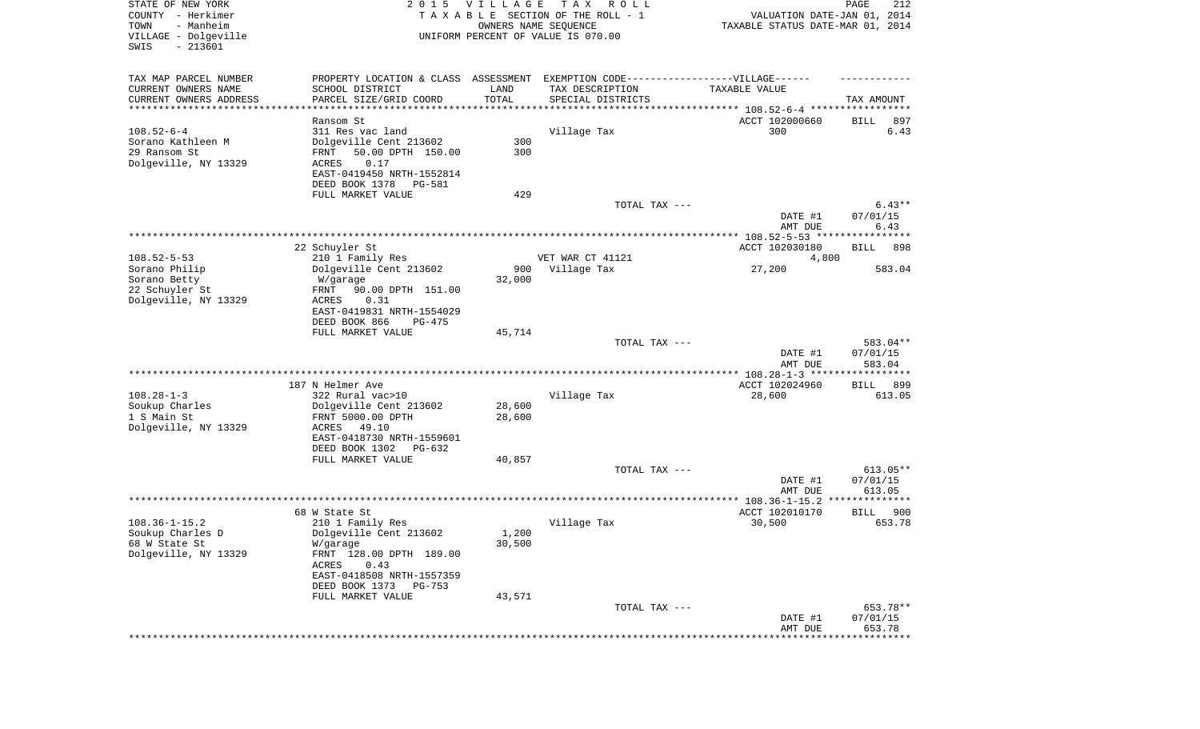| STATE OF NEW YORK<br>COUNTY - Herkimer<br>- Manheim<br>TOWN<br>VILLAGE - Dolgeville<br>SWIS<br>$-213601$ | 2 0 1 5                                                                           | <b>VILLAGE</b><br>OWNERS NAME SEQUENCE | T A X<br>R O L L<br>TAXABLE SECTION OF THE ROLL - 1<br>UNIFORM PERCENT OF VALUE IS 070.00 | VALUATION DATE-JAN 01, 2014<br>TAXABLE STATUS DATE-MAR 01, 2014 | 212<br>PAGE                  |
|----------------------------------------------------------------------------------------------------------|-----------------------------------------------------------------------------------|----------------------------------------|-------------------------------------------------------------------------------------------|-----------------------------------------------------------------|------------------------------|
| TAX MAP PARCEL NUMBER                                                                                    | PROPERTY LOCATION & CLASS ASSESSMENT EXEMPTION CODE-----------------VILLAGE------ |                                        |                                                                                           |                                                                 |                              |
| CURRENT OWNERS NAME                                                                                      | SCHOOL DISTRICT                                                                   | LAND                                   | TAX DESCRIPTION                                                                           | TAXABLE VALUE                                                   |                              |
| CURRENT OWNERS ADDRESS<br>**********************                                                         | PARCEL SIZE/GRID COORD                                                            | TOTAL<br>***********                   | SPECIAL DISTRICTS                                                                         |                                                                 | TAX AMOUNT                   |
|                                                                                                          | Ransom St                                                                         |                                        |                                                                                           | ACCT 102000660                                                  | BILL<br>897                  |
| $108.52 - 6 - 4$                                                                                         | 311 Res vac land                                                                  |                                        | Village Tax                                                                               | 300                                                             | 6.43                         |
| Sorano Kathleen M                                                                                        | Dolgeville Cent 213602                                                            | 300                                    |                                                                                           |                                                                 |                              |
| 29 Ransom St                                                                                             | 50.00 DPTH 150.00<br>FRNT                                                         | 300                                    |                                                                                           |                                                                 |                              |
| Dolgeville, NY 13329                                                                                     | ACRES<br>0.17                                                                     |                                        |                                                                                           |                                                                 |                              |
|                                                                                                          | EAST-0419450 NRTH-1552814                                                         |                                        |                                                                                           |                                                                 |                              |
|                                                                                                          | DEED BOOK 1378<br>PG-581                                                          |                                        |                                                                                           |                                                                 |                              |
|                                                                                                          | FULL MARKET VALUE                                                                 | 429                                    |                                                                                           |                                                                 |                              |
|                                                                                                          |                                                                                   |                                        | TOTAL TAX ---                                                                             | DATE #1<br>AMT DUE                                              | $6.43**$<br>07/01/15<br>6.43 |
|                                                                                                          |                                                                                   |                                        |                                                                                           |                                                                 |                              |
|                                                                                                          | 22 Schuyler St                                                                    |                                        |                                                                                           | ACCT 102030180                                                  | <b>BILL</b><br>898           |
| $108.52 - 5 - 53$                                                                                        | 210 1 Family Res                                                                  |                                        | VET WAR CT 41121                                                                          | 4,800                                                           |                              |
| Sorano Philip                                                                                            | Dolgeville Cent 213602                                                            | 900                                    | Village Tax                                                                               | 27,200                                                          | 583.04                       |
| Sorano Betty                                                                                             | W/garage                                                                          | 32,000                                 |                                                                                           |                                                                 |                              |
| 22 Schuyler St                                                                                           | 90.00 DPTH 151.00<br>FRNT                                                         |                                        |                                                                                           |                                                                 |                              |
| Dolgeville, NY 13329                                                                                     | ACRES<br>0.31<br>EAST-0419831 NRTH-1554029                                        |                                        |                                                                                           |                                                                 |                              |
|                                                                                                          | DEED BOOK 866<br>$PG-475$                                                         |                                        |                                                                                           |                                                                 |                              |
|                                                                                                          | FULL MARKET VALUE                                                                 | 45,714                                 |                                                                                           |                                                                 |                              |
|                                                                                                          |                                                                                   |                                        | TOTAL TAX ---                                                                             |                                                                 | 583.04**                     |
|                                                                                                          |                                                                                   |                                        |                                                                                           | DATE #1                                                         | 07/01/15                     |
|                                                                                                          |                                                                                   |                                        |                                                                                           | AMT DUE                                                         | 583.04                       |
|                                                                                                          |                                                                                   |                                        |                                                                                           | *************** 108.28-1-3 ******************                   |                              |
| $108.28 - 1 - 3$                                                                                         | 187 N Helmer Ave<br>322 Rural vac>10                                              |                                        | Village Tax                                                                               | ACCT 102024960<br>28,600                                        | 899<br>BILL<br>613.05        |
| Soukup Charles                                                                                           | Dolgeville Cent 213602                                                            | 28,600                                 |                                                                                           |                                                                 |                              |
| 1 S Main St                                                                                              | FRNT 5000.00 DPTH                                                                 | 28,600                                 |                                                                                           |                                                                 |                              |
| Dolgeville, NY 13329                                                                                     | ACRES<br>49.10                                                                    |                                        |                                                                                           |                                                                 |                              |
|                                                                                                          | EAST-0418730 NRTH-1559601                                                         |                                        |                                                                                           |                                                                 |                              |
|                                                                                                          | DEED BOOK 1302<br>PG-632                                                          |                                        |                                                                                           |                                                                 |                              |
|                                                                                                          | FULL MARKET VALUE                                                                 | 40,857                                 |                                                                                           |                                                                 |                              |
|                                                                                                          |                                                                                   |                                        | TOTAL TAX ---                                                                             | DATE #1                                                         | 613.05**                     |
|                                                                                                          |                                                                                   |                                        |                                                                                           | AMT DUE                                                         | 07/01/15<br>613.05           |
|                                                                                                          |                                                                                   |                                        |                                                                                           |                                                                 | **************               |
|                                                                                                          | 68 W State St                                                                     |                                        |                                                                                           | ACCT 102010170                                                  | 900<br>BILL                  |
| $108.36 - 1 - 15.2$                                                                                      | 210 1 Family Res                                                                  |                                        | Village Tax                                                                               | 30,500                                                          | 653.78                       |
| Soukup Charles D                                                                                         | Dolgeville Cent 213602                                                            | 1,200                                  |                                                                                           |                                                                 |                              |
| 68 W State St                                                                                            | W/garage                                                                          | 30,500                                 |                                                                                           |                                                                 |                              |
| Dolgeville, NY 13329                                                                                     | FRNT 128.00 DPTH 189.00                                                           |                                        |                                                                                           |                                                                 |                              |
|                                                                                                          | 0.43<br>ACRES                                                                     |                                        |                                                                                           |                                                                 |                              |
|                                                                                                          | EAST-0418508 NRTH-1557359<br>DEED BOOK 1373<br>PG-753                             |                                        |                                                                                           |                                                                 |                              |
|                                                                                                          | FULL MARKET VALUE                                                                 | 43,571                                 |                                                                                           |                                                                 |                              |
|                                                                                                          |                                                                                   |                                        | TOTAL TAX ---                                                                             |                                                                 | 653.78**                     |
|                                                                                                          |                                                                                   |                                        |                                                                                           | DATE #1                                                         | 07/01/15                     |
|                                                                                                          |                                                                                   |                                        |                                                                                           | AMT DUE                                                         | 653.78                       |
|                                                                                                          |                                                                                   |                                        |                                                                                           |                                                                 | *************                |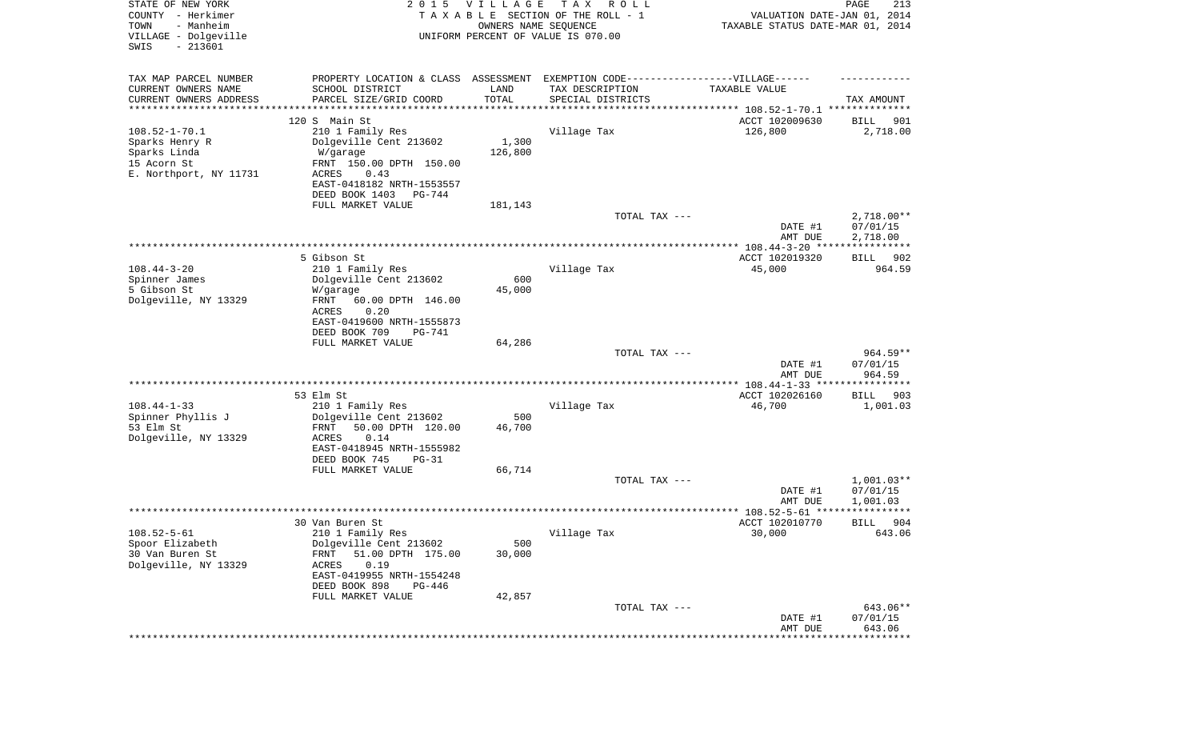| STATE OF NEW YORK<br>COUNTY - Herkimer<br>- Manheim<br>TOWN<br>VILLAGE - Dolgeville<br>SWIS<br>$-213601$ | 2 0 1 5                                                                           | V I L L A G E<br>OWNERS NAME SEQUENCE | T A X<br>R O L L<br>TAXABLE SECTION OF THE ROLL - 1<br>UNIFORM PERCENT OF VALUE IS 070.00 | VALUATION DATE-JAN 01, 2014<br>TAXABLE STATUS DATE-MAR 01, 2014 | PAGE<br>213             |
|----------------------------------------------------------------------------------------------------------|-----------------------------------------------------------------------------------|---------------------------------------|-------------------------------------------------------------------------------------------|-----------------------------------------------------------------|-------------------------|
| TAX MAP PARCEL NUMBER                                                                                    | PROPERTY LOCATION & CLASS ASSESSMENT EXEMPTION CODE-----------------VILLAGE------ |                                       |                                                                                           |                                                                 |                         |
| CURRENT OWNERS NAME                                                                                      | SCHOOL DISTRICT                                                                   | LAND<br>TOTAL                         | TAX DESCRIPTION                                                                           | TAXABLE VALUE                                                   |                         |
| CURRENT OWNERS ADDRESS<br>*********************                                                          | PARCEL SIZE/GRID COORD                                                            | **********                            | SPECIAL DISTRICTS                                                                         | ********************************* 108.52-1-70.1 **************  | TAX AMOUNT              |
|                                                                                                          | 120 S Main St                                                                     |                                       |                                                                                           | ACCT 102009630                                                  | <b>BILL</b><br>901      |
| $108.52 - 1 - 70.1$                                                                                      | 210 1 Family Res                                                                  |                                       | Village Tax                                                                               | 126,800                                                         | 2,718.00                |
| Sparks Henry R                                                                                           | Dolgeville Cent 213602                                                            | 1,300                                 |                                                                                           |                                                                 |                         |
| Sparks Linda                                                                                             | W/garage                                                                          | 126,800                               |                                                                                           |                                                                 |                         |
| 15 Acorn St<br>E. Northport, NY 11731                                                                    | FRNT 150.00 DPTH 150.00<br>ACRES<br>0.43                                          |                                       |                                                                                           |                                                                 |                         |
|                                                                                                          | EAST-0418182 NRTH-1553557                                                         |                                       |                                                                                           |                                                                 |                         |
|                                                                                                          | DEED BOOK 1403<br>PG-744                                                          |                                       |                                                                                           |                                                                 |                         |
|                                                                                                          | FULL MARKET VALUE                                                                 | 181,143                               |                                                                                           |                                                                 |                         |
|                                                                                                          |                                                                                   |                                       | TOTAL TAX ---                                                                             |                                                                 | $2,718.00**$            |
|                                                                                                          |                                                                                   |                                       |                                                                                           | DATE #1<br>AMT DUE                                              | 07/01/15<br>2,718.00    |
|                                                                                                          |                                                                                   |                                       |                                                                                           |                                                                 |                         |
|                                                                                                          | 5 Gibson St                                                                       |                                       |                                                                                           | ACCT 102019320                                                  | BILL<br>902             |
| $108.44 - 3 - 20$                                                                                        | 210 1 Family Res                                                                  |                                       | Village Tax                                                                               | 45,000                                                          | 964.59                  |
| Spinner James                                                                                            | Dolgeville Cent 213602                                                            | 600                                   |                                                                                           |                                                                 |                         |
| 5 Gibson St<br>Dolgeville, NY 13329                                                                      | W/garage<br>60.00 DPTH 146.00<br>FRNT                                             | 45,000                                |                                                                                           |                                                                 |                         |
|                                                                                                          | ACRES<br>0.20                                                                     |                                       |                                                                                           |                                                                 |                         |
|                                                                                                          | EAST-0419600 NRTH-1555873                                                         |                                       |                                                                                           |                                                                 |                         |
|                                                                                                          | DEED BOOK 709<br>PG-741                                                           |                                       |                                                                                           |                                                                 |                         |
|                                                                                                          | FULL MARKET VALUE                                                                 | 64,286                                |                                                                                           |                                                                 |                         |
|                                                                                                          |                                                                                   |                                       | TOTAL TAX ---                                                                             | DATE #1                                                         | $964.59**$<br>07/01/15  |
|                                                                                                          |                                                                                   |                                       |                                                                                           | AMT DUE                                                         | 964.59                  |
|                                                                                                          |                                                                                   |                                       |                                                                                           |                                                                 |                         |
|                                                                                                          | 53 Elm St                                                                         |                                       |                                                                                           | ACCT 102026160                                                  | 903<br>BILL             |
| $108.44 - 1 - 33$<br>Spinner Phyllis J                                                                   | 210 1 Family Res<br>Dolgeville Cent 213602                                        | 500                                   | Village Tax                                                                               | 46,700                                                          | 1,001.03                |
| 53 Elm St                                                                                                | FRNT<br>50.00 DPTH 120.00                                                         | 46,700                                |                                                                                           |                                                                 |                         |
| Dolgeville, NY 13329                                                                                     | ACRES<br>0.14                                                                     |                                       |                                                                                           |                                                                 |                         |
|                                                                                                          | EAST-0418945 NRTH-1555982                                                         |                                       |                                                                                           |                                                                 |                         |
|                                                                                                          | DEED BOOK 745<br>$PG-31$                                                          |                                       |                                                                                           |                                                                 |                         |
|                                                                                                          | FULL MARKET VALUE                                                                 | 66,714                                | TOTAL TAX ---                                                                             |                                                                 | $1,001.03**$            |
|                                                                                                          |                                                                                   |                                       |                                                                                           | DATE #1                                                         | 07/01/15                |
|                                                                                                          |                                                                                   |                                       |                                                                                           | AMT DUE                                                         | 1,001.03                |
|                                                                                                          |                                                                                   |                                       |                                                                                           |                                                                 | * * * * * *             |
|                                                                                                          | 30 Van Buren St                                                                   |                                       |                                                                                           | ACCT 102010770                                                  | 904<br>BILL             |
| $108.52 - 5 - 61$<br>Spoor Elizabeth                                                                     | 210 1 Family Res<br>Dolgeville Cent 213602                                        | 500                                   | Village Tax                                                                               | 30,000                                                          | 643.06                  |
| 30 Van Buren St                                                                                          | 51.00 DPTH 175.00<br><b>FRNT</b>                                                  | 30,000                                |                                                                                           |                                                                 |                         |
| Dolgeville, NY 13329                                                                                     | 0.19<br>ACRES                                                                     |                                       |                                                                                           |                                                                 |                         |
|                                                                                                          | EAST-0419955 NRTH-1554248                                                         |                                       |                                                                                           |                                                                 |                         |
|                                                                                                          | DEED BOOK 898<br>PG-446                                                           |                                       |                                                                                           |                                                                 |                         |
|                                                                                                          | FULL MARKET VALUE                                                                 | 42,857                                | TOTAL TAX ---                                                                             |                                                                 | 643.06**                |
|                                                                                                          |                                                                                   |                                       |                                                                                           | DATE #1                                                         | 07/01/15                |
|                                                                                                          |                                                                                   |                                       |                                                                                           | AMT DUE                                                         | 643.06                  |
|                                                                                                          |                                                                                   |                                       |                                                                                           |                                                                 | * * * * * * * * * * * * |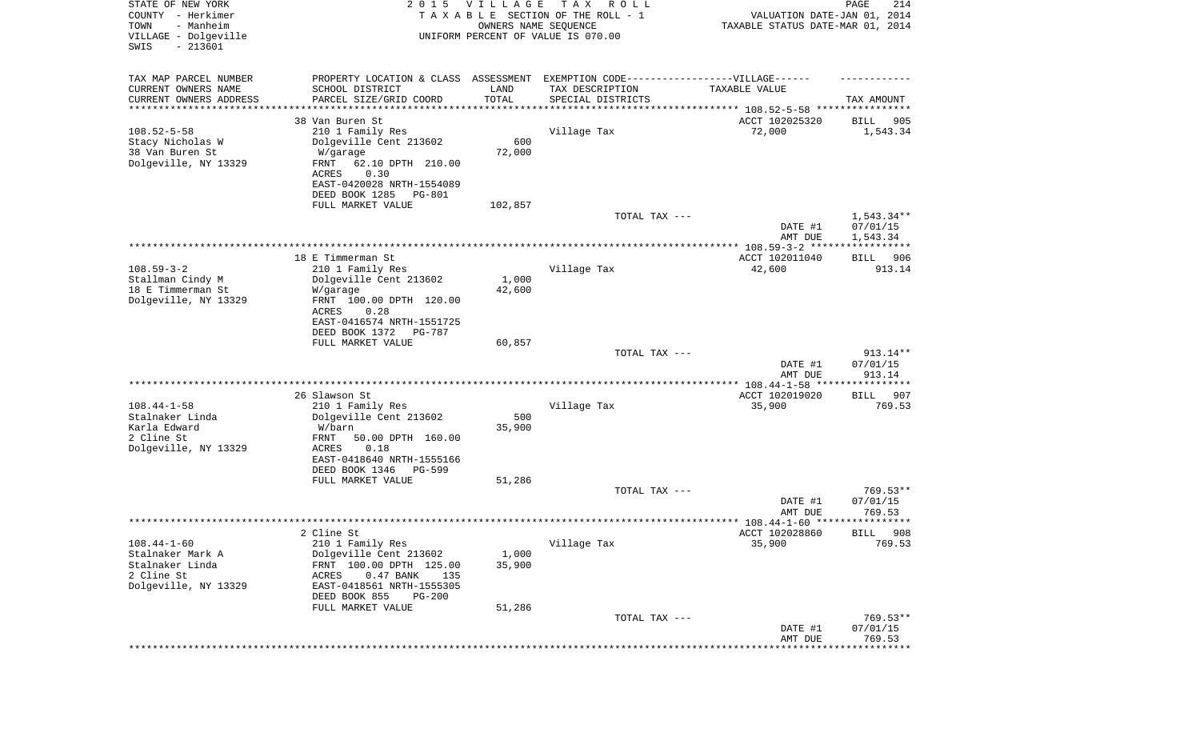| STATE OF NEW YORK<br>COUNTY - Herkimer<br>- Manheim<br>TOWN<br>VILLAGE - Dolgeville<br>$-213601$<br>SWIS | 2 0 1 5                                                                          | VILLAGE<br>OWNERS NAME SEQUENCE | T A X<br>R O L L<br>TAXABLE SECTION OF THE ROLL - 1<br>UNIFORM PERCENT OF VALUE IS 070.00 | VALUATION DATE-JAN 01, 2014<br>TAXABLE STATUS DATE-MAR 01, 2014 | PAGE<br>214           |
|----------------------------------------------------------------------------------------------------------|----------------------------------------------------------------------------------|---------------------------------|-------------------------------------------------------------------------------------------|-----------------------------------------------------------------|-----------------------|
| TAX MAP PARCEL NUMBER                                                                                    | PROPERTY LOCATION & CLASS ASSESSMENT EXEMPTION CODE----------------VILLAGE------ |                                 |                                                                                           |                                                                 |                       |
| CURRENT OWNERS NAME<br>CURRENT OWNERS ADDRESS                                                            | SCHOOL DISTRICT<br>PARCEL SIZE/GRID COORD                                        | LAND<br>TOTAL                   | TAX DESCRIPTION<br>SPECIAL DISTRICTS                                                      | TAXABLE VALUE                                                   | TAX AMOUNT            |
| *********************                                                                                    | *******************                                                              | * * * * * * * * * * *           |                                                                                           |                                                                 |                       |
|                                                                                                          | 38 Van Buren St                                                                  |                                 |                                                                                           | ACCT 102025320                                                  | 905<br>BILL           |
| $108.52 - 5 - 58$                                                                                        | 210 1 Family Res                                                                 |                                 | Village Tax                                                                               | 72,000                                                          | 1,543.34              |
| Stacy Nicholas W                                                                                         | Dolgeville Cent 213602                                                           | 600                             |                                                                                           |                                                                 |                       |
| 38 Van Buren St                                                                                          | W/garage                                                                         | 72,000                          |                                                                                           |                                                                 |                       |
| Dolgeville, NY 13329                                                                                     | FRNT<br>62.10 DPTH 210.00<br>0.30<br>ACRES                                       |                                 |                                                                                           |                                                                 |                       |
|                                                                                                          | EAST-0420028 NRTH-1554089                                                        |                                 |                                                                                           |                                                                 |                       |
|                                                                                                          | DEED BOOK 1285<br>PG-801                                                         |                                 |                                                                                           |                                                                 |                       |
|                                                                                                          | FULL MARKET VALUE                                                                | 102,857                         |                                                                                           |                                                                 |                       |
|                                                                                                          |                                                                                  |                                 | TOTAL TAX ---                                                                             |                                                                 | 1,543.34**            |
|                                                                                                          |                                                                                  |                                 |                                                                                           | DATE #1                                                         | 07/01/15              |
|                                                                                                          |                                                                                  |                                 |                                                                                           | AMT DUE                                                         | 1,543.34              |
|                                                                                                          |                                                                                  |                                 |                                                                                           |                                                                 |                       |
| $108.59 - 3 - 2$                                                                                         | 18 E Timmerman St<br>210 1 Family Res                                            |                                 | Village Tax                                                                               | ACCT 102011040<br>42,600                                        | 906<br>BILL<br>913.14 |
| Stallman Cindy M                                                                                         | Dolgeville Cent 213602                                                           | 1,000                           |                                                                                           |                                                                 |                       |
| 18 E Timmerman St                                                                                        | W/garage                                                                         | 42,600                          |                                                                                           |                                                                 |                       |
| Dolgeville, NY 13329                                                                                     | FRNT 100.00 DPTH 120.00                                                          |                                 |                                                                                           |                                                                 |                       |
|                                                                                                          | ACRES<br>0.28                                                                    |                                 |                                                                                           |                                                                 |                       |
|                                                                                                          | EAST-0416574 NRTH-1551725                                                        |                                 |                                                                                           |                                                                 |                       |
|                                                                                                          | DEED BOOK 1372<br>PG-787                                                         |                                 |                                                                                           |                                                                 |                       |
|                                                                                                          | FULL MARKET VALUE                                                                | 60,857                          |                                                                                           |                                                                 |                       |
|                                                                                                          |                                                                                  |                                 | TOTAL TAX ---                                                                             | DATE #1                                                         | 913.14**<br>07/01/15  |
|                                                                                                          |                                                                                  |                                 |                                                                                           | AMT DUE                                                         | 913.14                |
|                                                                                                          |                                                                                  |                                 |                                                                                           |                                                                 |                       |
|                                                                                                          | 26 Slawson St                                                                    |                                 |                                                                                           | ACCT 102019020                                                  | 907<br>BILL           |
| $108.44 - 1 - 58$                                                                                        | 210 1 Family Res                                                                 |                                 | Village Tax                                                                               | 35,900                                                          | 769.53                |
| Stalnaker Linda                                                                                          | Dolgeville Cent 213602                                                           | 500                             |                                                                                           |                                                                 |                       |
| Karla Edward                                                                                             | W/barn                                                                           | 35,900                          |                                                                                           |                                                                 |                       |
| 2 Cline St<br>Dolgeville, NY 13329                                                                       | FRNT<br>50.00 DPTH 160.00<br>ACRES<br>0.18                                       |                                 |                                                                                           |                                                                 |                       |
|                                                                                                          | EAST-0418640 NRTH-1555166                                                        |                                 |                                                                                           |                                                                 |                       |
|                                                                                                          | DEED BOOK 1346<br>PG-599                                                         |                                 |                                                                                           |                                                                 |                       |
|                                                                                                          | FULL MARKET VALUE                                                                | 51,286                          |                                                                                           |                                                                 |                       |
|                                                                                                          |                                                                                  |                                 | TOTAL TAX ---                                                                             |                                                                 | $769.53**$            |
|                                                                                                          |                                                                                  |                                 |                                                                                           | DATE #1                                                         | 07/01/15              |
|                                                                                                          |                                                                                  |                                 |                                                                                           | AMT DUE                                                         | 769.53                |
|                                                                                                          |                                                                                  |                                 |                                                                                           | ACCT 102028860                                                  | 908<br><b>BILL</b>    |
| $108.44 - 1 - 60$                                                                                        | 2 Cline St<br>210 1 Family Res                                                   |                                 | Village Tax                                                                               | 35,900                                                          | 769.53                |
| Stalnaker Mark A                                                                                         | Dolgeville Cent 213602                                                           | 1,000                           |                                                                                           |                                                                 |                       |
| Stalnaker Linda                                                                                          | FRNT 100.00 DPTH 125.00                                                          | 35,900                          |                                                                                           |                                                                 |                       |
| 2 Cline St                                                                                               | $0.47$ BANK<br>ACRES<br>135                                                      |                                 |                                                                                           |                                                                 |                       |
| Dolgeville, NY 13329                                                                                     | EAST-0418561 NRTH-1555305                                                        |                                 |                                                                                           |                                                                 |                       |
|                                                                                                          | DEED BOOK 855<br>$PG-200$                                                        |                                 |                                                                                           |                                                                 |                       |
|                                                                                                          | FULL MARKET VALUE                                                                | 51,286                          |                                                                                           |                                                                 |                       |
|                                                                                                          |                                                                                  |                                 | TOTAL TAX ---                                                                             | DATE #1                                                         | 769.53**<br>07/01/15  |
|                                                                                                          |                                                                                  |                                 |                                                                                           | AMT DUE                                                         | 769.53                |
|                                                                                                          |                                                                                  |                                 |                                                                                           |                                                                 | *********             |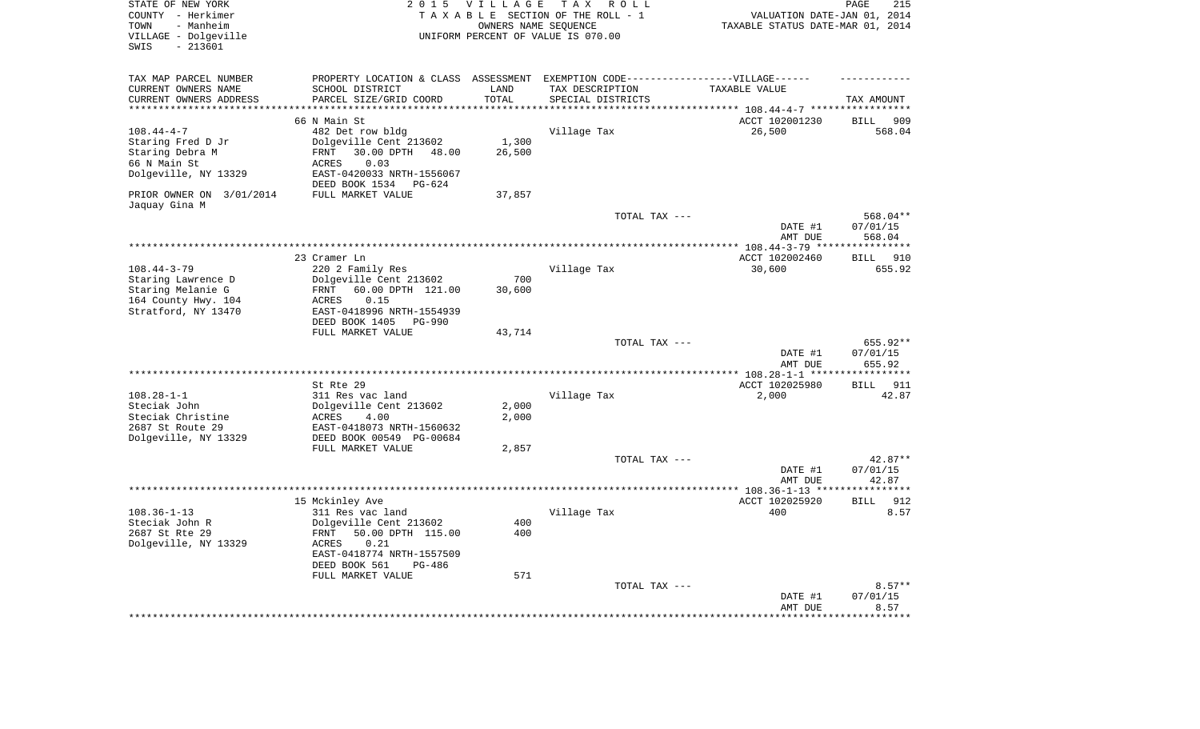| STATE OF NEW YORK<br>COUNTY - Herkimer<br>- Manheim<br>TOWN<br>VILLAGE - Dolgeville<br>$-213601$<br>SWIS   | 2 0 1 5                                                                                                                                                                                    | <b>VILLAGE</b>          | T A X<br>R O L L<br>TAXABLE SECTION OF THE ROLL - 1<br>OWNERS NAME SEQUENCE<br>UNIFORM PERCENT OF VALUE IS 070.00 | VALUATION DATE-JAN 01, 2014<br>TAXABLE STATUS DATE-MAR 01, 2014 | PAGE<br>215                    |
|------------------------------------------------------------------------------------------------------------|--------------------------------------------------------------------------------------------------------------------------------------------------------------------------------------------|-------------------------|-------------------------------------------------------------------------------------------------------------------|-----------------------------------------------------------------|--------------------------------|
| TAX MAP PARCEL NUMBER<br>CURRENT OWNERS NAME<br>CURRENT OWNERS ADDRESS                                     | PROPERTY LOCATION & CLASS ASSESSMENT EXEMPTION CODE-----------------VILLAGE------<br>SCHOOL DISTRICT<br>PARCEL SIZE/GRID COORD                                                             | LAND<br>TOTAL           | TAX DESCRIPTION<br>SPECIAL DISTRICTS                                                                              | TAXABLE VALUE                                                   | TAX AMOUNT                     |
| ********************                                                                                       |                                                                                                                                                                                            | *******                 |                                                                                                                   | *************************** 108.44-4-7 *****                    | * * * * * * * * * * * *        |
| $108.44 - 4 - 7$<br>Staring Fred D Jr<br>Staring Debra M<br>66 N Main St<br>Dolgeville, NY 13329           | 66 N Main St<br>482 Det row bldg<br>Dolgeville Cent 213602<br>30.00 DPTH 48.00<br><b>FRNT</b><br>0.03<br>ACRES<br>EAST-0420033 NRTH-1556067<br>DEED BOOK 1534<br>$PG-624$                  | 1,300<br>26,500         | Village Tax                                                                                                       | ACCT 102001230<br>26,500                                        | <b>BILL</b><br>909<br>568.04   |
| PRIOR OWNER ON 3/01/2014                                                                                   | FULL MARKET VALUE                                                                                                                                                                          | 37,857                  |                                                                                                                   |                                                                 |                                |
| Jaquay Gina M                                                                                              |                                                                                                                                                                                            |                         | TOTAL TAX ---                                                                                                     | DATE #1                                                         | 568.04**<br>07/01/15           |
|                                                                                                            |                                                                                                                                                                                            |                         |                                                                                                                   | AMT DUE                                                         | 568.04                         |
|                                                                                                            |                                                                                                                                                                                            |                         |                                                                                                                   | ** $108.44 - 3 - 79$ **                                         |                                |
|                                                                                                            | 23 Cramer Ln                                                                                                                                                                               |                         |                                                                                                                   | ACCT 102002460                                                  | 910<br>BILL                    |
| $108.44 - 3 - 79$<br>Staring Lawrence D<br>Staring Melanie G<br>164 County Hwy. 104<br>Stratford, NY 13470 | 220 2 Family Res<br>Dolgeville Cent 213602<br>60.00 DPTH 121.00<br>FRNT<br>0.15<br>ACRES<br>EAST-0418996 NRTH-1554939                                                                      | 700<br>30,600           | Village Tax                                                                                                       | 30,600                                                          | 655.92                         |
|                                                                                                            | DEED BOOK 1405<br><b>PG-990</b>                                                                                                                                                            |                         |                                                                                                                   |                                                                 |                                |
|                                                                                                            | FULL MARKET VALUE                                                                                                                                                                          | 43,714                  |                                                                                                                   |                                                                 |                                |
|                                                                                                            |                                                                                                                                                                                            |                         | TOTAL TAX ---                                                                                                     | DATE #1<br>AMT DUE                                              | 655.92**<br>07/01/15<br>655.92 |
|                                                                                                            |                                                                                                                                                                                            |                         |                                                                                                                   |                                                                 | *********                      |
|                                                                                                            | St Rte 29                                                                                                                                                                                  |                         |                                                                                                                   | ACCT 102025980                                                  | <b>BILL</b><br>911             |
| $108.28 - 1 - 1$<br>Steciak John<br>Steciak Christine<br>2687 St Route 29<br>Dolgeville, NY 13329          | 311 Res vac land<br>Dolgeville Cent 213602<br>ACRES<br>4.00<br>EAST-0418073 NRTH-1560632<br>DEED BOOK 00549 PG-00684<br>FULL MARKET VALUE                                                  | 2,000<br>2,000<br>2,857 | Village Tax                                                                                                       | 2,000                                                           | 42.87                          |
|                                                                                                            |                                                                                                                                                                                            |                         | TOTAL TAX ---                                                                                                     |                                                                 | $42.87**$                      |
|                                                                                                            |                                                                                                                                                                                            |                         |                                                                                                                   | DATE #1<br>AMT DUE                                              | 07/01/15<br>42.87              |
|                                                                                                            |                                                                                                                                                                                            |                         |                                                                                                                   |                                                                 | *********                      |
| $108.36 - 1 - 13$<br>Steciak John R<br>2687 St Rte 29<br>Dolgeville, NY 13329                              | 15 Mckinley Ave<br>311 Res vac land<br>Dolgeville Cent 213602<br>FRNT<br>50.00 DPTH 115.00<br>0.21<br>ACRES<br>EAST-0418774 NRTH-1557509<br>DEED BOOK 561<br>$PG-486$<br>FULL MARKET VALUE | 400<br>400<br>571       | Village Tax                                                                                                       | ACCT 102025920<br>400                                           | <b>BILL</b><br>912<br>8.57     |
|                                                                                                            |                                                                                                                                                                                            |                         | TOTAL TAX ---                                                                                                     |                                                                 | $8.57**$                       |
|                                                                                                            |                                                                                                                                                                                            |                         |                                                                                                                   | DATE #1<br>AMT DUE                                              | 07/01/15<br>8.57               |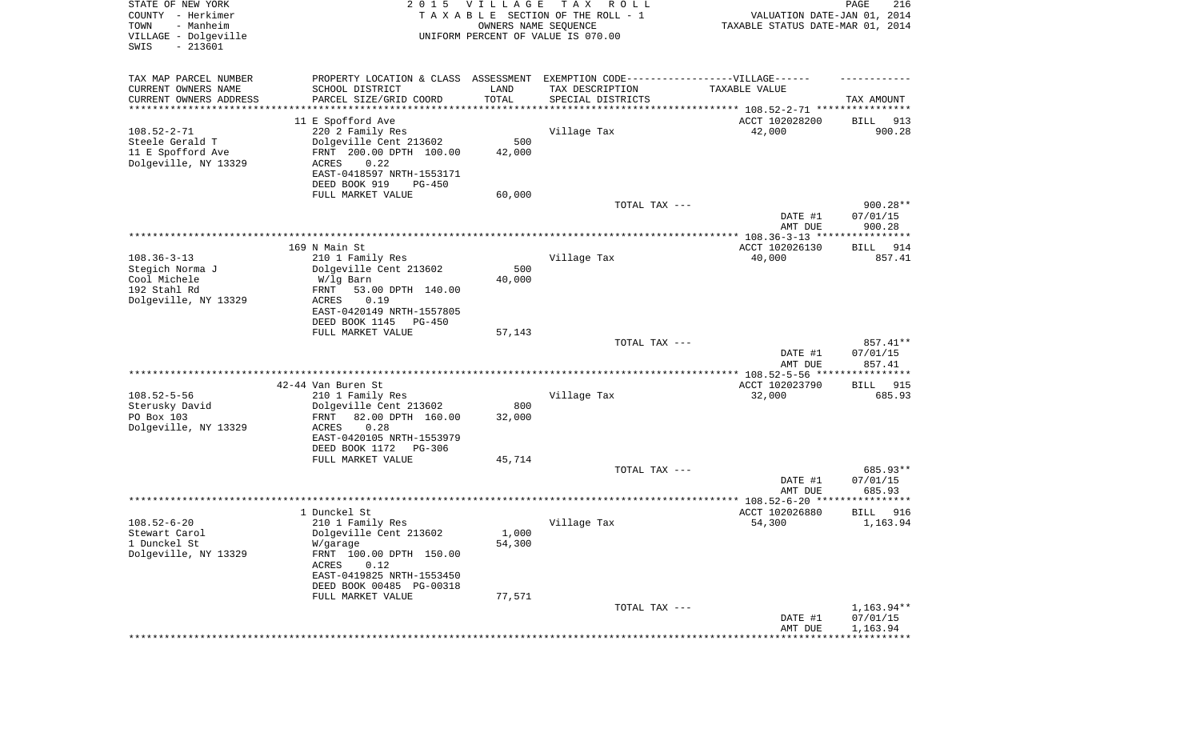| STATE OF NEW YORK<br>COUNTY - Herkimer<br>- Manheim<br>TOWN<br>VILLAGE - Dolgeville<br>SWIS<br>$-213601$ | 2 0 1 5                                                                          | <b>VILLAGE</b><br>OWNERS NAME SEQUENCE | T A X<br>R O L L<br>TAXABLE SECTION OF THE ROLL - 1<br>UNIFORM PERCENT OF VALUE IS 070.00 | VALUATION DATE-JAN 01, 2014<br>TAXABLE STATUS DATE-MAR 01, 2014     | 216<br>PAGE                    |
|----------------------------------------------------------------------------------------------------------|----------------------------------------------------------------------------------|----------------------------------------|-------------------------------------------------------------------------------------------|---------------------------------------------------------------------|--------------------------------|
| TAX MAP PARCEL NUMBER                                                                                    | PROPERTY LOCATION & CLASS ASSESSMENT EXEMPTION CODE----------------VILLAGE------ |                                        |                                                                                           |                                                                     |                                |
| CURRENT OWNERS NAME                                                                                      | SCHOOL DISTRICT                                                                  | LAND                                   | TAX DESCRIPTION                                                                           | TAXABLE VALUE                                                       |                                |
| CURRENT OWNERS ADDRESS<br>********************                                                           | PARCEL SIZE/GRID COORD                                                           | TOTAL<br>* * * * * * * * * * *         | SPECIAL DISTRICTS                                                                         | ************************************* 108.52-2-71 ***************** | TAX AMOUNT                     |
|                                                                                                          | 11 E Spofford Ave                                                                |                                        |                                                                                           | ACCT 102028200                                                      | BILL<br>913                    |
| $108.52 - 2 - 71$                                                                                        | 220 2 Family Res                                                                 |                                        | Village Tax                                                                               | 42,000                                                              | 900.28                         |
| Steele Gerald T                                                                                          | Dolgeville Cent 213602                                                           | 500                                    |                                                                                           |                                                                     |                                |
| 11 E Spofford Ave<br>Dolgeville, NY 13329                                                                | FRNT 200.00 DPTH 100.00<br>0.22<br><b>ACRES</b>                                  | 42,000                                 |                                                                                           |                                                                     |                                |
|                                                                                                          | EAST-0418597 NRTH-1553171                                                        |                                        |                                                                                           |                                                                     |                                |
|                                                                                                          | DEED BOOK 919<br>$PG-450$                                                        |                                        |                                                                                           |                                                                     |                                |
|                                                                                                          | FULL MARKET VALUE                                                                | 60,000                                 |                                                                                           |                                                                     |                                |
|                                                                                                          |                                                                                  |                                        | TOTAL TAX ---                                                                             | DATE #1<br>AMT DUE                                                  | 900.28**<br>07/01/15<br>900.28 |
|                                                                                                          |                                                                                  |                                        |                                                                                           |                                                                     |                                |
|                                                                                                          | 169 N Main St                                                                    |                                        |                                                                                           | ACCT 102026130                                                      | 914<br>BILL                    |
| $108.36 - 3 - 13$                                                                                        | 210 1 Family Res                                                                 | 500                                    | Village Tax                                                                               | 40,000                                                              | 857.41                         |
| Stegich Norma J<br>Cool Michele                                                                          | Dolgeville Cent 213602<br>W/lg Barn                                              | 40,000                                 |                                                                                           |                                                                     |                                |
| 192 Stahl Rd                                                                                             | 53.00 DPTH 140.00<br>FRNT                                                        |                                        |                                                                                           |                                                                     |                                |
| Dolgeville, NY 13329                                                                                     | <b>ACRES</b><br>0.19                                                             |                                        |                                                                                           |                                                                     |                                |
|                                                                                                          | EAST-0420149 NRTH-1557805<br>DEED BOOK 1145<br>$PG-450$                          |                                        |                                                                                           |                                                                     |                                |
|                                                                                                          | FULL MARKET VALUE                                                                | 57,143                                 |                                                                                           |                                                                     |                                |
|                                                                                                          |                                                                                  |                                        | TOTAL TAX ---                                                                             |                                                                     | 857.41**                       |
|                                                                                                          |                                                                                  |                                        |                                                                                           | DATE #1<br>AMT DUE                                                  | 07/01/15<br>857.41             |
|                                                                                                          | 42-44 Van Buren St                                                               |                                        |                                                                                           | ************ 108.52-5-56 *****************<br>ACCT 102023790        | <b>BILL</b><br>915             |
| $108.52 - 5 - 56$                                                                                        | 210 1 Family Res                                                                 |                                        | Village Tax                                                                               | 32,000                                                              | 685.93                         |
| Sterusky David                                                                                           | Dolgeville Cent 213602                                                           | 800                                    |                                                                                           |                                                                     |                                |
| PO Box 103<br>Dolgeville, NY 13329                                                                       | 82.00 DPTH 160.00<br>FRNT<br>0.28<br><b>ACRES</b>                                | 32,000                                 |                                                                                           |                                                                     |                                |
|                                                                                                          | EAST-0420105 NRTH-1553979                                                        |                                        |                                                                                           |                                                                     |                                |
|                                                                                                          | DEED BOOK 1172<br>PG-306                                                         |                                        |                                                                                           |                                                                     |                                |
|                                                                                                          | FULL MARKET VALUE                                                                | 45,714                                 |                                                                                           |                                                                     |                                |
|                                                                                                          |                                                                                  |                                        | TOTAL TAX ---                                                                             | DATE #1                                                             | 685.93**<br>07/01/15           |
|                                                                                                          |                                                                                  |                                        |                                                                                           | AMT DUE                                                             | 685.93                         |
|                                                                                                          |                                                                                  |                                        |                                                                                           |                                                                     | **********                     |
|                                                                                                          | 1 Dunckel St                                                                     |                                        |                                                                                           | ACCT 102026880                                                      | 916<br>BILL                    |
| $108.52 - 6 - 20$<br>Stewart Carol                                                                       | 210 1 Family Res<br>Dolgeville Cent 213602                                       | 1,000                                  | Village Tax                                                                               | 54,300                                                              | 1,163.94                       |
| 1 Dunckel St                                                                                             | W/garage                                                                         | 54,300                                 |                                                                                           |                                                                     |                                |
| Dolgeville, NY 13329                                                                                     | FRNT 100.00 DPTH 150.00                                                          |                                        |                                                                                           |                                                                     |                                |
|                                                                                                          | ACRES<br>0.12                                                                    |                                        |                                                                                           |                                                                     |                                |
|                                                                                                          | EAST-0419825 NRTH-1553450<br>DEED BOOK 00485 PG-00318                            |                                        |                                                                                           |                                                                     |                                |
|                                                                                                          | FULL MARKET VALUE                                                                | 77,571                                 |                                                                                           |                                                                     |                                |
|                                                                                                          |                                                                                  |                                        | TOTAL TAX ---                                                                             |                                                                     | 1,163.94**                     |
|                                                                                                          |                                                                                  |                                        |                                                                                           | DATE #1                                                             | 07/01/15                       |
|                                                                                                          |                                                                                  |                                        |                                                                                           | AMT DUE                                                             | 1,163.94                       |
|                                                                                                          |                                                                                  |                                        |                                                                                           |                                                                     |                                |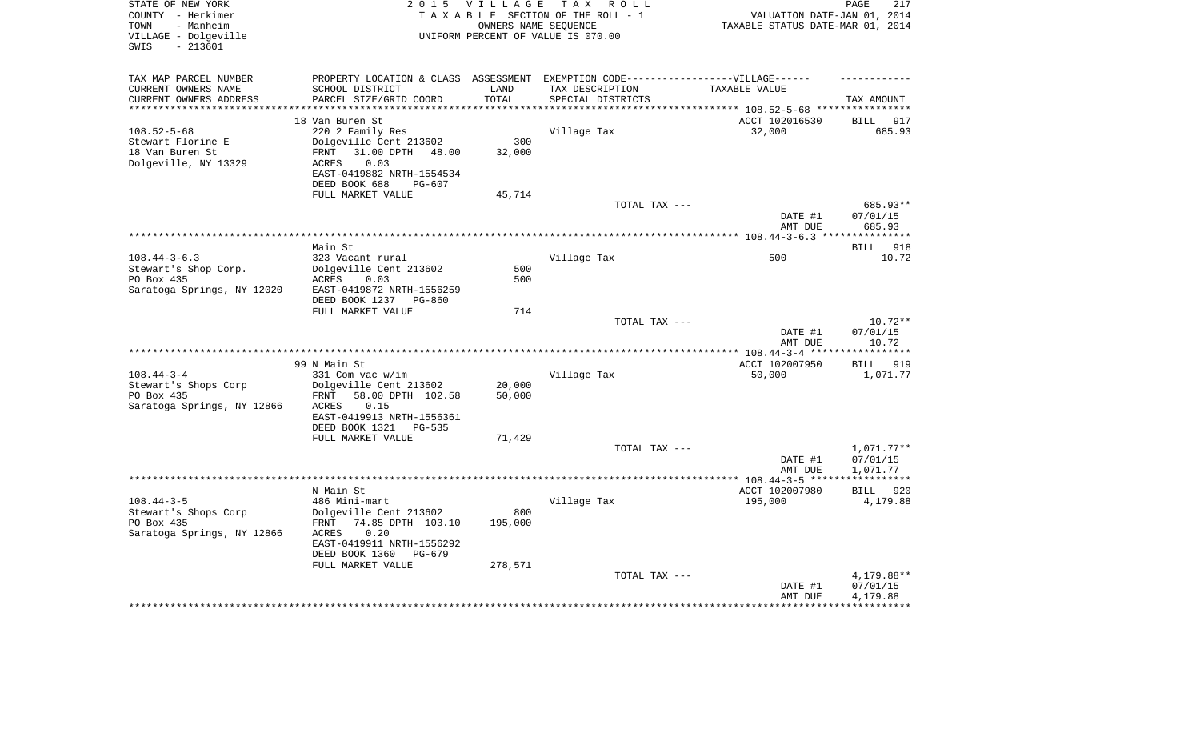| STATE OF NEW YORK<br>COUNTY - Herkimer<br>- Manheim<br>TOWN |                                            |            | 2015 VILLAGE TAX ROLL<br>TAXABLE SECTION OF THE ROLL - 1<br>OWNERS NAME SEOUENCE  | VALUATION DATE-JAN 01, 2014<br>TAXABLE STATUS DATE-MAR 01, 2014 | PAGE<br>217           |
|-------------------------------------------------------------|--------------------------------------------|------------|-----------------------------------------------------------------------------------|-----------------------------------------------------------------|-----------------------|
| VILLAGE - Dolgeville<br>- 213601<br>SWIS                    |                                            |            | UNIFORM PERCENT OF VALUE IS 070.00                                                |                                                                 |                       |
| TAX MAP PARCEL NUMBER                                       |                                            |            | PROPERTY LOCATION & CLASS ASSESSMENT EXEMPTION CODE-----------------VILLAGE------ |                                                                 |                       |
| CURRENT OWNERS NAME                                         | SCHOOL DISTRICT                            | LAND       | TAX DESCRIPTION                                                                   | TAXABLE VALUE                                                   |                       |
| CURRENT OWNERS ADDRESS                                      | PARCEL SIZE/GRID COORD                     | TOTAL      | SPECIAL DISTRICTS                                                                 |                                                                 | TAX AMOUNT            |
|                                                             |                                            | ********** |                                                                                   | ************************** 108.52-5-68 ***********              |                       |
| $108.52 - 5 - 68$                                           | 18 Van Buren St<br>220 2 Family Res        |            | Village Tax                                                                       | ACCT 102016530<br>32,000                                        | BILL<br>917<br>685.93 |
| Stewart Florine E                                           | Dolgeville Cent 213602                     | 300        |                                                                                   |                                                                 |                       |
| 18 Van Buren St                                             | FRNT 31.00 DPTH 48.00                      | 32,000     |                                                                                   |                                                                 |                       |
| Dolgeville, NY 13329                                        | 0.03<br>ACRES                              |            |                                                                                   |                                                                 |                       |
|                                                             | EAST-0419882 NRTH-1554534                  |            |                                                                                   |                                                                 |                       |
|                                                             | DEED BOOK 688<br>$PG-607$                  |            |                                                                                   |                                                                 |                       |
|                                                             | FULL MARKET VALUE                          | 45,714     |                                                                                   |                                                                 |                       |
|                                                             |                                            |            | TOTAL TAX ---                                                                     | DATE #1                                                         | 685.93**<br>07/01/15  |
|                                                             |                                            |            |                                                                                   | AMT DUE                                                         | 685.93                |
|                                                             |                                            |            |                                                                                   |                                                                 |                       |
|                                                             | Main St                                    |            |                                                                                   |                                                                 | BILL 918              |
| $108.44 - 3 - 6.3$                                          | 323 Vacant rural                           |            | Village Tax                                                                       | 500                                                             | 10.72                 |
| Stewart's Shop Corp.                                        | Dolgeville Cent 213602                     | 500        |                                                                                   |                                                                 |                       |
| PO Box 435<br>Saratoga Springs, NY 12020                    | ACRES<br>0.03<br>EAST-0419872 NRTH-1556259 | 500        |                                                                                   |                                                                 |                       |
|                                                             | DEED BOOK 1237 PG-860                      | 714        |                                                                                   |                                                                 |                       |
|                                                             | FULL MARKET VALUE                          |            | TOTAL TAX ---                                                                     |                                                                 | $10.72**$             |
|                                                             |                                            |            |                                                                                   | DATE #1<br>AMT DUE                                              | 07/01/15<br>10.72     |
|                                                             |                                            |            |                                                                                   |                                                                 |                       |
|                                                             | 99 N Main St                               |            |                                                                                   | ACCT 102007950                                                  | <b>BILL</b><br>919    |
| $108.44 - 3 - 4$                                            | 331 Com vac w/im                           |            | Village Tax                                                                       | 50,000                                                          | 1,071.77              |
| Stewart's Shops Corp<br>PO Box 435                          | Dolgeville Cent 213602<br>FRNT             | 20,000     |                                                                                   |                                                                 |                       |
| Saratoga Springs, NY 12866                                  | 58.00 DPTH 102.58<br>0.15<br>ACRES         | 50,000     |                                                                                   |                                                                 |                       |
|                                                             | EAST-0419913 NRTH-1556361                  |            |                                                                                   |                                                                 |                       |
|                                                             | DEED BOOK 1321 PG-535                      |            |                                                                                   |                                                                 |                       |
|                                                             | FULL MARKET VALUE                          | 71,429     |                                                                                   |                                                                 |                       |
|                                                             |                                            |            | TOTAL TAX ---                                                                     |                                                                 | 1,071.77**            |
|                                                             |                                            |            |                                                                                   | DATE #1                                                         | 07/01/15              |
|                                                             |                                            |            |                                                                                   | AMT DUE                                                         | 1,071.77              |
|                                                             | N Main St                                  |            |                                                                                   | ACCT 102007980                                                  | BILL 920              |
| $108.44 - 3 - 5$                                            | 486 Mini-mart                              |            | Village Tax                                                                       | 195,000                                                         | 4,179.88              |
| Stewart's Shops Corp                                        | Dolgeville Cent 213602                     | 800        |                                                                                   |                                                                 |                       |
| PO Box 435                                                  | FRNT 74.85 DPTH 103.10                     | 195,000    |                                                                                   |                                                                 |                       |
| Saratoga Springs, NY 12866                                  | 0.20<br>ACRES<br>EAST-0419911 NRTH-1556292 |            |                                                                                   |                                                                 |                       |
|                                                             | DEED BOOK 1360<br>PG-679                   |            |                                                                                   |                                                                 |                       |
|                                                             | FULL MARKET VALUE                          | 278,571    |                                                                                   |                                                                 |                       |
|                                                             |                                            |            | TOTAL TAX ---                                                                     |                                                                 | 4,179.88**            |
|                                                             |                                            |            |                                                                                   | DATE #1                                                         | 07/01/15              |
|                                                             |                                            |            |                                                                                   | AMT DUE                                                         | 4,179.88              |
|                                                             |                                            |            |                                                                                   |                                                                 |                       |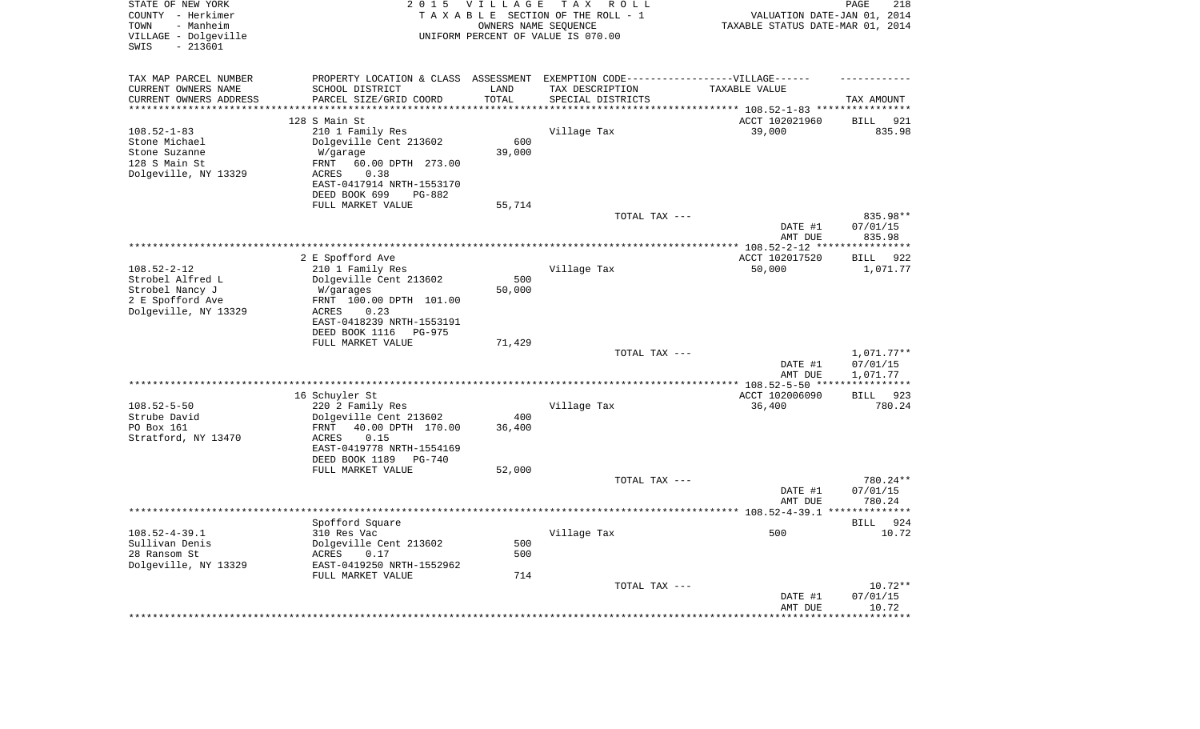| STATE OF NEW YORK<br>COUNTY - Herkimer<br>- Manheim<br>TOWN<br>VILLAGE - Dolgeville<br>$-213601$<br>SWIS | 2 0 1 5                                              | <b>VILLAGE</b><br>OWNERS NAME SEQUENCE | T A X<br>R O L L<br>TAXABLE SECTION OF THE ROLL - 1<br>UNIFORM PERCENT OF VALUE IS 070.00 | VALUATION DATE-JAN 01, 2014<br>TAXABLE STATUS DATE-MAR 01, 2014 | PAGE<br>218                  |
|----------------------------------------------------------------------------------------------------------|------------------------------------------------------|----------------------------------------|-------------------------------------------------------------------------------------------|-----------------------------------------------------------------|------------------------------|
| TAX MAP PARCEL NUMBER                                                                                    |                                                      |                                        | PROPERTY LOCATION & CLASS ASSESSMENT EXEMPTION CODE-----------------VILLAGE------         |                                                                 |                              |
| CURRENT OWNERS NAME                                                                                      | SCHOOL DISTRICT                                      | LAND                                   | TAX DESCRIPTION                                                                           | TAXABLE VALUE                                                   |                              |
| CURRENT OWNERS ADDRESS                                                                                   | PARCEL SIZE/GRID COORD<br>************************** | TOTAL<br>*********                     | SPECIAL DISTRICTS                                                                         |                                                                 | TAX AMOUNT                   |
| **********************                                                                                   |                                                      |                                        |                                                                                           |                                                                 |                              |
| $108.52 - 1 - 83$                                                                                        | 128 S Main St<br>210 1 Family Res                    |                                        | Village Tax                                                                               | ACCT 102021960<br>39,000                                        | <b>BILL</b><br>921<br>835.98 |
| Stone Michael                                                                                            | Dolgeville Cent 213602                               | 600                                    |                                                                                           |                                                                 |                              |
| Stone Suzanne                                                                                            | W/garage                                             | 39,000                                 |                                                                                           |                                                                 |                              |
| 128 S Main St                                                                                            | 60.00 DPTH 273.00<br>FRNT                            |                                        |                                                                                           |                                                                 |                              |
| Dolgeville, NY 13329                                                                                     | ACRES<br>0.38                                        |                                        |                                                                                           |                                                                 |                              |
|                                                                                                          | EAST-0417914 NRTH-1553170                            |                                        |                                                                                           |                                                                 |                              |
|                                                                                                          | DEED BOOK 699<br>PG-882                              |                                        |                                                                                           |                                                                 |                              |
|                                                                                                          | FULL MARKET VALUE                                    | 55,714                                 |                                                                                           |                                                                 |                              |
|                                                                                                          |                                                      |                                        | TOTAL TAX ---                                                                             |                                                                 | 835.98**                     |
|                                                                                                          |                                                      |                                        |                                                                                           | DATE #1                                                         | 07/01/15                     |
|                                                                                                          |                                                      |                                        |                                                                                           | AMT DUE                                                         | 835.98<br>*********          |
|                                                                                                          | 2 E Spofford Ave                                     |                                        |                                                                                           | ACCT 102017520                                                  | 922<br>BILL                  |
| $108.52 - 2 - 12$                                                                                        | 210 1 Family Res                                     |                                        | Village Tax                                                                               | 50,000                                                          | 1,071.77                     |
| Strobel Alfred L                                                                                         | Dolgeville Cent 213602                               | 500                                    |                                                                                           |                                                                 |                              |
| Strobel Nancy J                                                                                          | W/garages                                            | 50,000                                 |                                                                                           |                                                                 |                              |
| 2 E Spofford Ave                                                                                         | FRNT 100.00 DPTH 101.00                              |                                        |                                                                                           |                                                                 |                              |
| Dolgeville, NY 13329                                                                                     | 0.23<br>ACRES                                        |                                        |                                                                                           |                                                                 |                              |
|                                                                                                          | EAST-0418239 NRTH-1553191                            |                                        |                                                                                           |                                                                 |                              |
|                                                                                                          | DEED BOOK 1116<br>$PG-975$                           |                                        |                                                                                           |                                                                 |                              |
|                                                                                                          | FULL MARKET VALUE                                    | 71,429                                 |                                                                                           |                                                                 |                              |
|                                                                                                          |                                                      |                                        | TOTAL TAX ---                                                                             |                                                                 | 1,071.77**                   |
|                                                                                                          |                                                      |                                        |                                                                                           | DATE #1<br>AMT DUE                                              | 07/01/15<br>1,071.77         |
|                                                                                                          |                                                      |                                        | *************************                                                                 | ** 108.52-5-50 **                                               | **********                   |
|                                                                                                          | 16 Schuyler St                                       |                                        |                                                                                           | ACCT 102006090                                                  | BILL 923                     |
| $108.52 - 5 - 50$                                                                                        | 220 2 Family Res                                     |                                        | Village Tax                                                                               | 36,400                                                          | 780.24                       |
| Strube David                                                                                             | Dolgeville Cent 213602                               | 400                                    |                                                                                           |                                                                 |                              |
| PO Box 161                                                                                               | 40.00 DPTH 170.00<br>FRNT                            | 36,400                                 |                                                                                           |                                                                 |                              |
| Stratford, NY 13470                                                                                      | 0.15<br><b>ACRES</b>                                 |                                        |                                                                                           |                                                                 |                              |
|                                                                                                          | EAST-0419778 NRTH-1554169                            |                                        |                                                                                           |                                                                 |                              |
|                                                                                                          | DEED BOOK 1189<br>$PG-740$                           |                                        |                                                                                           |                                                                 |                              |
|                                                                                                          | FULL MARKET VALUE                                    | 52,000                                 |                                                                                           |                                                                 | 780.24**                     |
|                                                                                                          |                                                      |                                        | TOTAL TAX ---                                                                             | DATE #1                                                         | 07/01/15                     |
|                                                                                                          |                                                      |                                        |                                                                                           | AMT DUE                                                         | 780.24                       |
|                                                                                                          |                                                      |                                        |                                                                                           |                                                                 | *******                      |
|                                                                                                          | Spofford Square                                      |                                        |                                                                                           |                                                                 | 924<br>BILL                  |
| $108.52 - 4 - 39.1$                                                                                      | 310 Res Vac                                          |                                        | Village Tax                                                                               | 500                                                             | 10.72                        |
| Sullivan Denis                                                                                           | Dolgeville Cent 213602                               | 500                                    |                                                                                           |                                                                 |                              |
| 28 Ransom St                                                                                             | ACRES<br>0.17                                        | 500                                    |                                                                                           |                                                                 |                              |
| Dolgeville, NY 13329                                                                                     | EAST-0419250 NRTH-1552962                            |                                        |                                                                                           |                                                                 |                              |
|                                                                                                          | FULL MARKET VALUE                                    | 714                                    |                                                                                           |                                                                 |                              |
|                                                                                                          |                                                      |                                        | TOTAL TAX ---                                                                             |                                                                 | $10.72**$                    |
|                                                                                                          |                                                      |                                        |                                                                                           | DATE #1<br>AMT DUE                                              | 07/01/15<br>10.72            |
|                                                                                                          |                                                      |                                        |                                                                                           | ***********                                                     | * * * * * * * * * * *        |
|                                                                                                          |                                                      |                                        |                                                                                           |                                                                 |                              |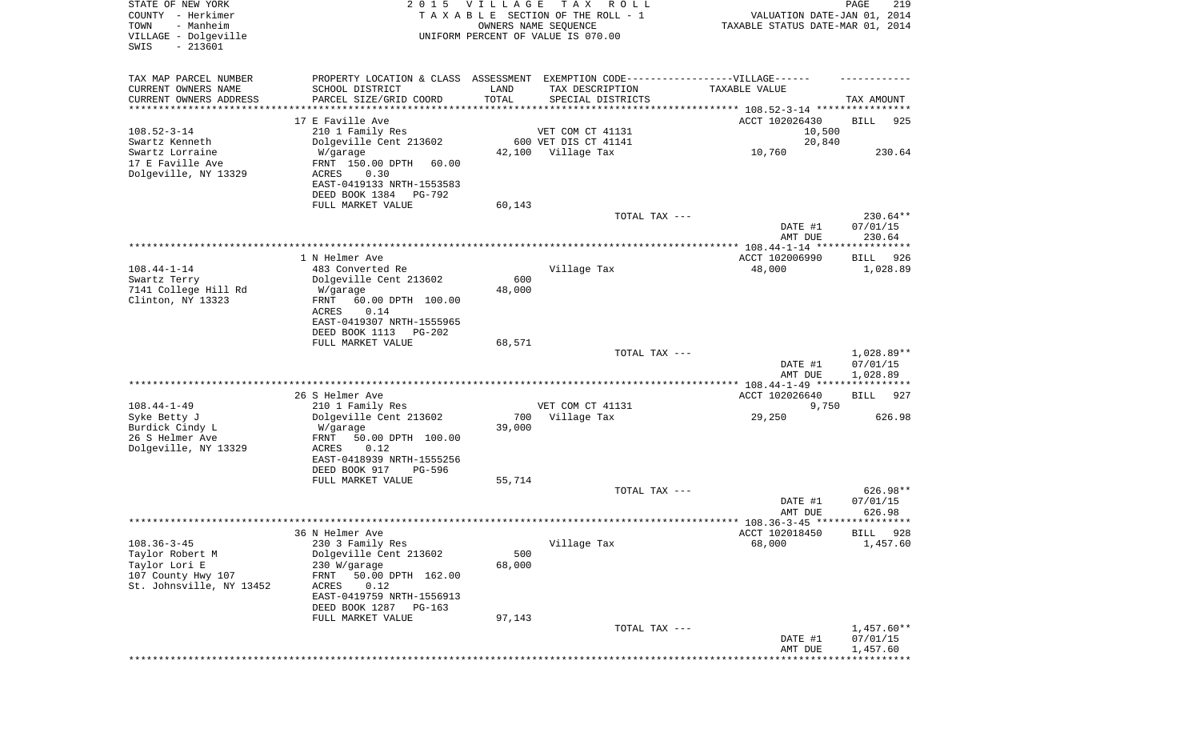| STATE OF NEW YORK<br>COUNTY - Herkimer<br>- Manheim<br>TOWN<br>VILLAGE - Dolgeville<br>$-213601$<br>SWIS | 2 0 1 5                                                                                                                                                                              | VILLAGE       | T A X<br>R O L L<br>TAXABLE SECTION OF THE ROLL - 1<br>OWNERS NAME SEQUENCE<br>UNIFORM PERCENT OF VALUE IS 070.00         | VALUATION DATE-JAN 01, 2014<br>TAXABLE STATUS DATE-MAR 01, 2014 | PAGE<br>219                        |
|----------------------------------------------------------------------------------------------------------|--------------------------------------------------------------------------------------------------------------------------------------------------------------------------------------|---------------|---------------------------------------------------------------------------------------------------------------------------|-----------------------------------------------------------------|------------------------------------|
| TAX MAP PARCEL NUMBER<br>CURRENT OWNERS NAME<br>CURRENT OWNERS ADDRESS<br>********************           | SCHOOL DISTRICT<br>PARCEL SIZE/GRID COORD<br>*****************                                                                                                                       | LAND<br>TOTAL | PROPERTY LOCATION & CLASS ASSESSMENT EXEMPTION CODE-----------------VILLAGE------<br>TAX DESCRIPTION<br>SPECIAL DISTRICTS | TAXABLE VALUE                                                   | TAX AMOUNT                         |
| $108.52 - 3 - 14$<br>Swartz Kenneth<br>Swartz Lorraine<br>17 E Faville Ave<br>Dolgeville, NY 13329       | 17 E Faville Ave<br>210 1 Family Res<br>Dolgeville Cent 213602<br>W/garage<br>FRNT 150.00 DPTH<br>60.00<br>ACRES<br>0.30                                                             | 42,100        | VET COM CT 41131<br>600 VET DIS CT 41141<br>Village Tax                                                                   | ACCT 102026430<br>10,500<br>20,840<br>10,760                    | <b>BILL</b><br>925<br>230.64       |
|                                                                                                          | EAST-0419133 NRTH-1553583<br>DEED BOOK 1384<br>PG-792<br>FULL MARKET VALUE                                                                                                           | 60,143        | TOTAL TAX ---                                                                                                             | DATE #1<br>AMT DUE                                              | 230.64**<br>07/01/15<br>230.64     |
|                                                                                                          |                                                                                                                                                                                      |               |                                                                                                                           |                                                                 |                                    |
| $108.44 - 1 - 14$<br>Swartz Terry<br>7141 College Hill Rd<br>Clinton, NY 13323                           | 1 N Helmer Ave<br>483 Converted Re<br>Dolgeville Cent 213602<br>W/garage<br>FRNT<br>60.00 DPTH 100.00<br>ACRES<br>0.14                                                               | 600<br>48,000 | Village Tax                                                                                                               | ACCT 102006990<br>48,000                                        | 926<br>BILL<br>1,028.89            |
|                                                                                                          | EAST-0419307 NRTH-1555965<br>DEED BOOK 1113 PG-202<br>FULL MARKET VALUE                                                                                                              | 68,571        | TOTAL TAX ---                                                                                                             | DATE #1<br>AMT DUE                                              | 1,028.89**<br>07/01/15<br>1,028.89 |
|                                                                                                          |                                                                                                                                                                                      |               |                                                                                                                           |                                                                 |                                    |
| $108.44 - 1 - 49$<br>Syke Betty J<br>Burdick Cindy L<br>26 S Helmer Ave<br>Dolgeville, NY 13329          | 26 S Helmer Ave<br>210 1 Family Res<br>Dolgeville Cent 213602<br>W/garage<br>FRNT<br>50.00 DPTH 100.00<br>ACRES<br>0.12<br>EAST-0418939 NRTH-1555256                                 | 700<br>39,000 | VET COM CT 41131<br>Village Tax                                                                                           | ACCT 102026640<br>9,750<br>29,250                               | 927<br>BILL<br>626.98              |
|                                                                                                          | DEED BOOK 917<br>PG-596<br>FULL MARKET VALUE                                                                                                                                         | 55,714        | TOTAL TAX ---                                                                                                             | DATE #1                                                         | 626.98**<br>07/01/15               |
|                                                                                                          |                                                                                                                                                                                      |               |                                                                                                                           | AMT DUE                                                         | 626.98                             |
| $108.36 - 3 - 45$<br>Taylor Robert M<br>Taylor Lori E<br>107 County Hwy 107<br>St. Johnsville, NY 13452  | 36 N Helmer Ave<br>230 3 Family Res<br>Dolgeville Cent 213602<br>230 W/garage<br>50.00 DPTH 162.00<br>FRNT<br>0.12<br>ACRES<br>EAST-0419759 NRTH-1556913<br>DEED BOOK 1287<br>PG-163 | 500<br>68,000 | Village Tax                                                                                                               | ACCT 102018450<br>68,000                                        | 928<br><b>BILL</b><br>1,457.60     |
|                                                                                                          | FULL MARKET VALUE                                                                                                                                                                    | 97,143        | TOTAL TAX ---                                                                                                             | DATE #1                                                         | $1,457.60**$<br>07/01/15           |
|                                                                                                          |                                                                                                                                                                                      |               |                                                                                                                           | AMT DUE<br>******************************                       | 1,457.60                           |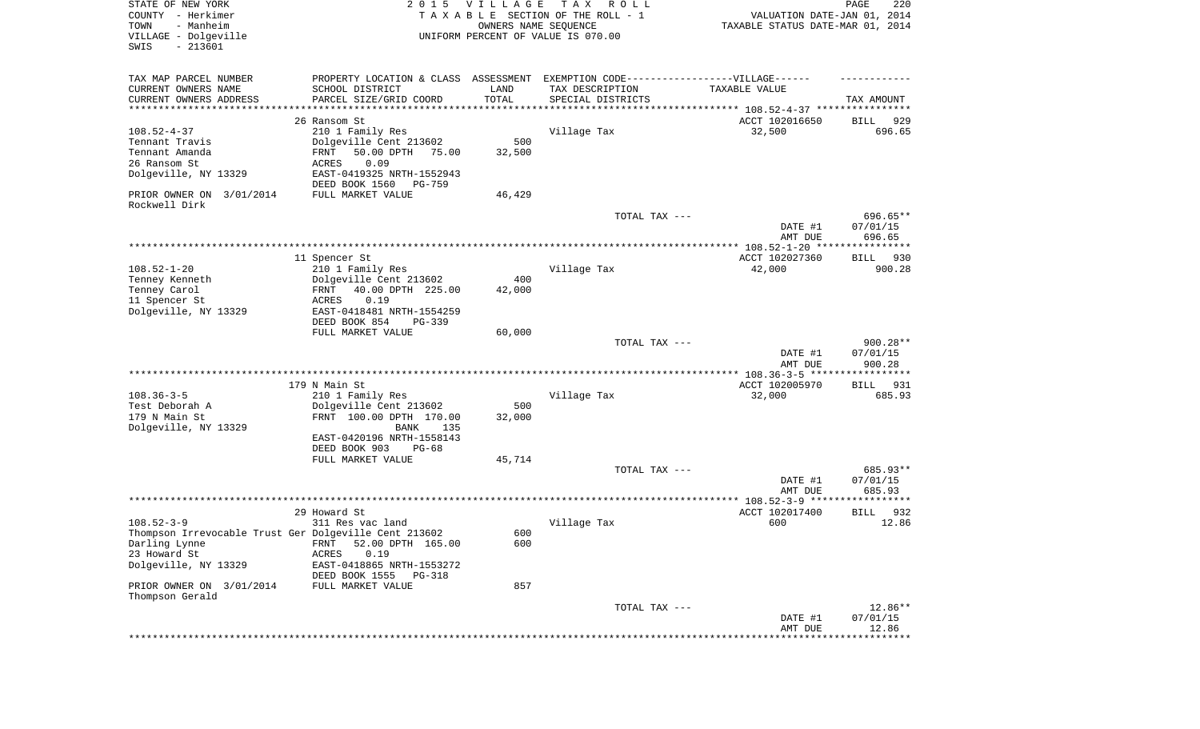| STATE OF NEW YORK<br>COUNTY - Herkimer<br>- Manheim<br>TOWN<br>VILLAGE - Dolgeville<br>SWIS<br>$-213601$                                                       | 2 0 1 5                                                                                                                                                             | <b>VILLAGE</b><br>OWNERS NAME SEQUENCE | T A X<br>R O L L<br>TAXABLE SECTION OF THE ROLL - 1<br>UNIFORM PERCENT OF VALUE IS 070.00 | VALUATION DATE-JAN 01, 2014<br>TAXABLE STATUS DATE-MAR 01, 2014                       | PAGE<br>220                    |
|----------------------------------------------------------------------------------------------------------------------------------------------------------------|---------------------------------------------------------------------------------------------------------------------------------------------------------------------|----------------------------------------|-------------------------------------------------------------------------------------------|---------------------------------------------------------------------------------------|--------------------------------|
| TAX MAP PARCEL NUMBER<br>CURRENT OWNERS NAME<br>CURRENT OWNERS ADDRESS<br>*********************                                                                | PROPERTY LOCATION & CLASS ASSESSMENT EXEMPTION CODE----------------VILLAGE------<br>SCHOOL DISTRICT<br>PARCEL SIZE/GRID COORD                                       | LAND<br>TOTAL<br>**********            | TAX DESCRIPTION<br>SPECIAL DISTRICTS                                                      | TAXABLE VALUE<br>************************************** 108.52-4-37 ***************** | TAX AMOUNT                     |
|                                                                                                                                                                | 26 Ransom St                                                                                                                                                        |                                        |                                                                                           | ACCT 102016650                                                                        | 929<br>BILL                    |
| $108.52 - 4 - 37$<br>Tennant Travis<br>Tennant Amanda<br>26 Ransom St<br>Dolgeville, NY 13329                                                                  | 210 1 Family Res<br>Dolgeville Cent 213602<br>FRNT<br>50.00 DPTH<br>75.00<br>0.09<br><b>ACRES</b><br>EAST-0419325 NRTH-1552943<br>DEED BOOK 1560<br>PG-759          | 500<br>32,500                          | Village Tax                                                                               | 32,500                                                                                | 696.65                         |
| PRIOR OWNER ON 3/01/2014                                                                                                                                       | FULL MARKET VALUE                                                                                                                                                   | 46,429                                 |                                                                                           |                                                                                       |                                |
| Rockwell Dirk                                                                                                                                                  |                                                                                                                                                                     |                                        | TOTAL TAX ---                                                                             | DATE #1<br>AMT DUE                                                                    | 696.65**<br>07/01/15<br>696.65 |
|                                                                                                                                                                |                                                                                                                                                                     |                                        |                                                                                           |                                                                                       |                                |
| $108.52 - 1 - 20$<br>Tenney Kenneth<br>Tenney Carol<br>11 Spencer St<br>Dolgeville, NY 13329                                                                   | 11 Spencer St<br>210 1 Family Res<br>Dolgeville Cent 213602<br>FRNT<br>40.00 DPTH 225.00<br>ACRES<br>0.19<br>EAST-0418481 NRTH-1554259<br>DEED BOOK 854<br>$PG-339$ | 400<br>42,000                          | Village Tax                                                                               | ACCT 102027360<br>42,000                                                              | BILL<br>930<br>900.28          |
|                                                                                                                                                                | FULL MARKET VALUE                                                                                                                                                   | 60,000                                 | TOTAL TAX ---                                                                             | DATE #1                                                                               | $900.28**$<br>07/01/15         |
|                                                                                                                                                                |                                                                                                                                                                     |                                        |                                                                                           | AMT DUE                                                                               | 900.28                         |
|                                                                                                                                                                |                                                                                                                                                                     |                                        |                                                                                           | ************* 108.36-3-5 ******************                                           |                                |
| $108.36 - 3 - 5$<br>Test Deborah A<br>179 N Main St<br>Dolgeville, NY 13329                                                                                    | 179 N Main St<br>210 1 Family Res<br>Dolgeville Cent 213602<br>FRNT 100.00 DPTH 170.00<br><b>BANK</b><br>135<br>EAST-0420196 NRTH-1558143                           | 500<br>32,000                          | Village Tax                                                                               | ACCT 102005970<br>32,000                                                              | 931<br>BILL<br>685.93          |
|                                                                                                                                                                | DEED BOOK 903<br>$PG-68$<br>FULL MARKET VALUE                                                                                                                       | 45,714                                 |                                                                                           |                                                                                       |                                |
|                                                                                                                                                                |                                                                                                                                                                     |                                        | TOTAL TAX ---                                                                             | DATE #1<br>AMT DUE                                                                    | 685.93**<br>07/01/15<br>685.93 |
|                                                                                                                                                                |                                                                                                                                                                     |                                        |                                                                                           |                                                                                       |                                |
| $108.52 - 3 - 9$<br>Thompson Irrevocable Trust Ger Dolgeville Cent 213602<br>Darling Lynne<br>23 Howard St<br>Dolgeville, NY 13329<br>PRIOR OWNER ON 3/01/2014 | 29 Howard St<br>311 Res vac land<br>52.00 DPTH 165.00<br>FRNT<br>0.19<br><b>ACRES</b><br>EAST-0418865 NRTH-1553272<br>DEED BOOK 1555<br>PG-318<br>FULL MARKET VALUE | 600<br>600<br>857                      | Village Tax                                                                               | ACCT 102017400<br>600                                                                 | 932<br>BILL<br>12.86           |
| Thompson Gerald                                                                                                                                                |                                                                                                                                                                     |                                        | TOTAL TAX ---                                                                             | DATE #1<br>AMT DUE                                                                    | 12.86**<br>07/01/15<br>12.86   |
|                                                                                                                                                                |                                                                                                                                                                     |                                        |                                                                                           |                                                                                       | ********                       |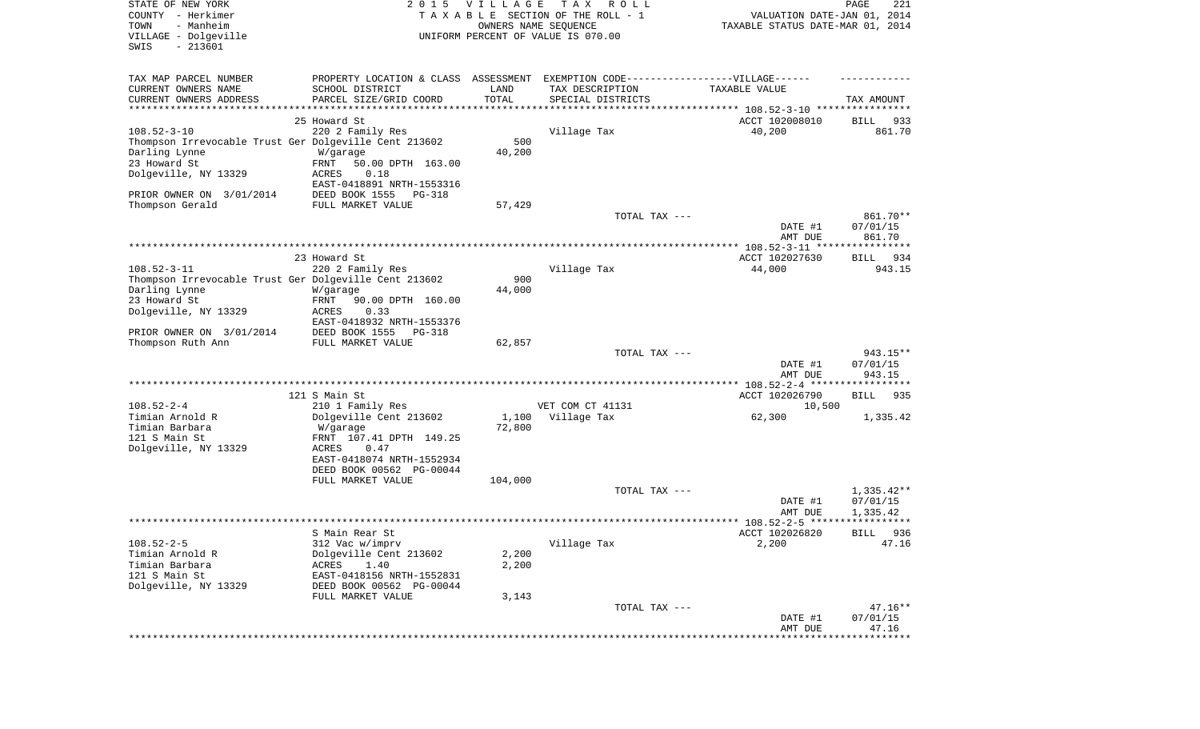| STATE OF NEW YORK<br>COUNTY - Herkimer<br>- Manheim<br>TOWN<br>VILLAGE - Dolgeville<br>SWIS<br>$-213601$ | 2 0 1 5                                                                                             | <b>VILLAGE</b> | T A X<br>R O L L<br>TAXABLE SECTION OF THE ROLL - 1<br>OWNERS NAME SEQUENCE<br>UNIFORM PERCENT OF VALUE IS 070.00 | VALUATION DATE-JAN 01, 2014<br>TAXABLE STATUS DATE-MAR 01, 2014 | PAGE<br>221                 |
|----------------------------------------------------------------------------------------------------------|-----------------------------------------------------------------------------------------------------|----------------|-------------------------------------------------------------------------------------------------------------------|-----------------------------------------------------------------|-----------------------------|
| TAX MAP PARCEL NUMBER<br>CURRENT OWNERS NAME                                                             | PROPERTY LOCATION & CLASS ASSESSMENT EXEMPTION CODE----------------VILLAGE------<br>SCHOOL DISTRICT | LAND           | TAX DESCRIPTION                                                                                                   | TAXABLE VALUE                                                   |                             |
| CURRENT OWNERS ADDRESS<br>************************                                                       | PARCEL SIZE/GRID COORD                                                                              | TOTAL          | SPECIAL DISTRICTS                                                                                                 |                                                                 | TAX AMOUNT                  |
|                                                                                                          | 25 Howard St                                                                                        |                |                                                                                                                   |                                                                 |                             |
| $108.52 - 3 - 10$                                                                                        | 220 2 Family Res                                                                                    |                | Village Tax                                                                                                       | ACCT 102008010<br>40,200                                        | BILL<br>933<br>861.70       |
| Thompson Irrevocable Trust Ger Dolgeville Cent 213602                                                    |                                                                                                     | 500            |                                                                                                                   |                                                                 |                             |
| Darling Lynne                                                                                            | W/garage                                                                                            | 40,200         |                                                                                                                   |                                                                 |                             |
| 23 Howard St                                                                                             | FRNT<br>50.00 DPTH 163.00                                                                           |                |                                                                                                                   |                                                                 |                             |
| Dolgeville, NY 13329                                                                                     | 0.18<br>ACRES                                                                                       |                |                                                                                                                   |                                                                 |                             |
|                                                                                                          | EAST-0418891 NRTH-1553316                                                                           |                |                                                                                                                   |                                                                 |                             |
| PRIOR OWNER ON 3/01/2014                                                                                 | DEED BOOK 1555<br>PG-318                                                                            |                |                                                                                                                   |                                                                 |                             |
| Thompson Gerald                                                                                          | FULL MARKET VALUE                                                                                   | 57,429         |                                                                                                                   |                                                                 |                             |
|                                                                                                          |                                                                                                     |                | TOTAL TAX ---                                                                                                     | DATE #1                                                         | 861.70**<br>07/01/15        |
|                                                                                                          |                                                                                                     |                |                                                                                                                   | AMT DUE                                                         | 861.70                      |
|                                                                                                          |                                                                                                     |                |                                                                                                                   |                                                                 |                             |
|                                                                                                          | 23 Howard St                                                                                        |                |                                                                                                                   | ACCT 102027630                                                  | 934<br>BILL                 |
| $108.52 - 3 - 11$                                                                                        | 220 2 Family Res                                                                                    |                | Village Tax                                                                                                       | 44,000                                                          | 943.15                      |
| Thompson Irrevocable Trust Ger Dolgeville Cent 213602                                                    |                                                                                                     | 900            |                                                                                                                   |                                                                 |                             |
| Darling Lynne                                                                                            | W/garage                                                                                            | 44,000         |                                                                                                                   |                                                                 |                             |
| 23 Howard St<br>Dolgeville, NY 13329                                                                     | FRNT<br>90.00 DPTH 160.00<br>ACRES<br>0.33                                                          |                |                                                                                                                   |                                                                 |                             |
|                                                                                                          | EAST-0418932 NRTH-1553376                                                                           |                |                                                                                                                   |                                                                 |                             |
| PRIOR OWNER ON 3/01/2014                                                                                 | DEED BOOK 1555<br>PG-318                                                                            |                |                                                                                                                   |                                                                 |                             |
| Thompson Ruth Ann                                                                                        | FULL MARKET VALUE                                                                                   | 62,857         |                                                                                                                   |                                                                 |                             |
|                                                                                                          |                                                                                                     |                | TOTAL TAX ---                                                                                                     |                                                                 | 943.15**                    |
|                                                                                                          |                                                                                                     |                |                                                                                                                   | DATE #1                                                         | 07/01/15                    |
|                                                                                                          |                                                                                                     |                |                                                                                                                   | AMT DUE                                                         | 943.15                      |
|                                                                                                          | 121 S Main St                                                                                       |                |                                                                                                                   | ACCT 102026790                                                  | BILL<br>935                 |
| $108.52 - 2 - 4$                                                                                         | 210 1 Family Res                                                                                    |                | VET COM CT 41131                                                                                                  | 10,500                                                          |                             |
| Timian Arnold R                                                                                          | Dolgeville Cent 213602                                                                              | 1,100          | Village Tax                                                                                                       | 62,300                                                          | 1,335.42                    |
| Timian Barbara                                                                                           | W/garage                                                                                            | 72,800         |                                                                                                                   |                                                                 |                             |
| 121 S Main St                                                                                            | FRNT 107.41 DPTH 149.25                                                                             |                |                                                                                                                   |                                                                 |                             |
| Dolgeville, NY 13329                                                                                     | ACRES<br>0.47<br>EAST-0418074 NRTH-1552934                                                          |                |                                                                                                                   |                                                                 |                             |
|                                                                                                          | DEED BOOK 00562 PG-00044                                                                            |                |                                                                                                                   |                                                                 |                             |
|                                                                                                          | FULL MARKET VALUE                                                                                   | 104,000        |                                                                                                                   |                                                                 |                             |
|                                                                                                          |                                                                                                     |                | TOTAL TAX ---                                                                                                     |                                                                 | $1,335.42**$                |
|                                                                                                          |                                                                                                     |                |                                                                                                                   | DATE #1                                                         | 07/01/15                    |
|                                                                                                          |                                                                                                     |                |                                                                                                                   | AMT DUE                                                         | 1,335.42                    |
|                                                                                                          |                                                                                                     |                |                                                                                                                   |                                                                 |                             |
| $108.52 - 2 - 5$                                                                                         | S Main Rear St<br>312 Vac w/imprv                                                                   |                | Village Tax                                                                                                       | ACCT 102026820<br>2,200                                         | 936<br><b>BILL</b><br>47.16 |
| Timian Arnold R                                                                                          | Dolgeville Cent 213602                                                                              | 2,200          |                                                                                                                   |                                                                 |                             |
| Timian Barbara                                                                                           | 1.40<br><b>ACRES</b>                                                                                | 2,200          |                                                                                                                   |                                                                 |                             |
| 121 S Main St                                                                                            | EAST-0418156 NRTH-1552831                                                                           |                |                                                                                                                   |                                                                 |                             |
| Dolgeville, NY 13329                                                                                     | DEED BOOK 00562 PG-00044                                                                            |                |                                                                                                                   |                                                                 |                             |
|                                                                                                          | FULL MARKET VALUE                                                                                   | 3,143          |                                                                                                                   |                                                                 |                             |
|                                                                                                          |                                                                                                     |                | TOTAL TAX ---                                                                                                     |                                                                 | $47.16**$                   |
|                                                                                                          |                                                                                                     |                |                                                                                                                   | DATE #1<br>AMT DUE                                              | 07/01/15<br>47.16           |
|                                                                                                          |                                                                                                     |                |                                                                                                                   |                                                                 | ***********                 |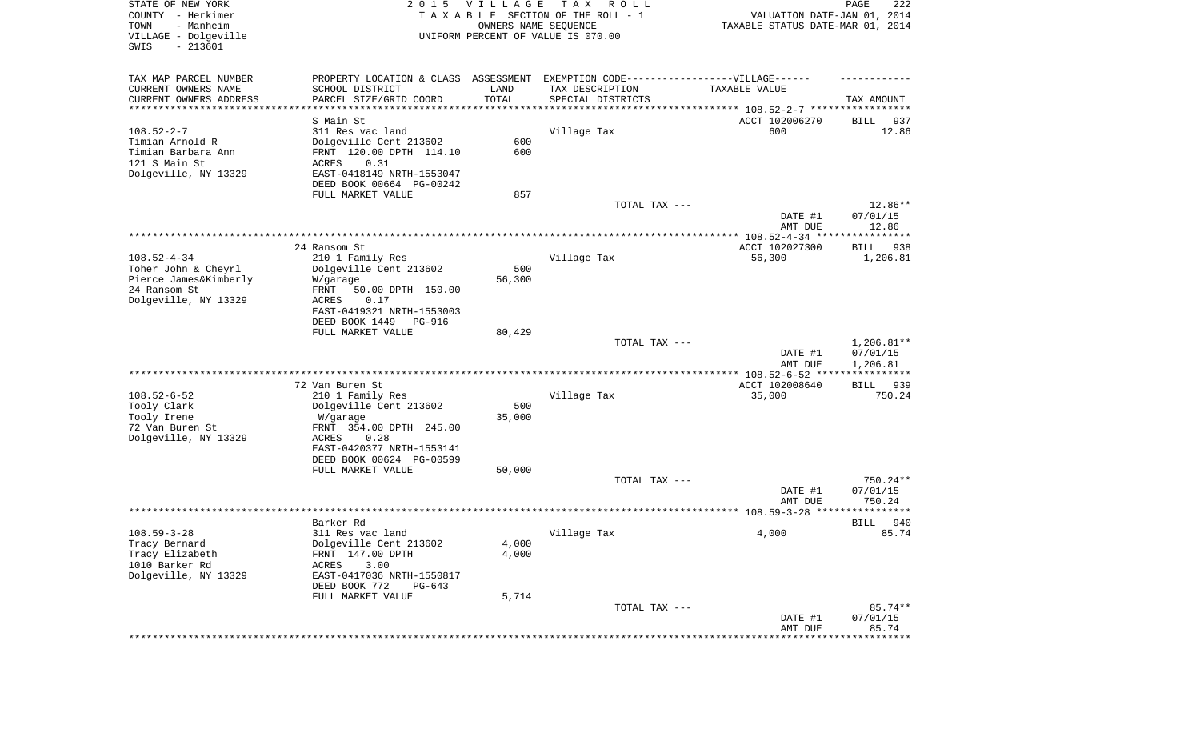| STATE OF NEW YORK<br>COUNTY - Herkimer<br>- Manheim<br>TOWN<br>VILLAGE - Dolgeville<br>SWIS<br>$-213601$ | 2 0 1 5                                                                           | VILLAGE<br>OWNERS NAME SEQUENCE | T A X<br>R O L L<br>TAXABLE SECTION OF THE ROLL - 1<br>UNIFORM PERCENT OF VALUE IS 070.00 | VALUATION DATE-JAN 01, 2014<br>TAXABLE STATUS DATE-MAR 01, 2014 | PAGE<br>222                  |
|----------------------------------------------------------------------------------------------------------|-----------------------------------------------------------------------------------|---------------------------------|-------------------------------------------------------------------------------------------|-----------------------------------------------------------------|------------------------------|
| TAX MAP PARCEL NUMBER                                                                                    | PROPERTY LOCATION & CLASS ASSESSMENT EXEMPTION CODE-----------------VILLAGE------ |                                 |                                                                                           |                                                                 |                              |
| CURRENT OWNERS NAME                                                                                      | SCHOOL DISTRICT                                                                   | LAND                            | TAX DESCRIPTION                                                                           | TAXABLE VALUE                                                   |                              |
| CURRENT OWNERS ADDRESS<br>*********************                                                          | PARCEL SIZE/GRID COORD<br>****************                                        | TOTAL<br>* * * * * * * * * * *  | SPECIAL DISTRICTS                                                                         | ********************************* 108.52-2-7 *****************  | TAX AMOUNT                   |
|                                                                                                          | S Main St                                                                         |                                 |                                                                                           | ACCT 102006270                                                  | BILL<br>937                  |
| $108.52 - 2 - 7$                                                                                         | 311 Res vac land                                                                  |                                 | Village Tax                                                                               | 600                                                             | 12.86                        |
| Timian Arnold R                                                                                          | Dolgeville Cent 213602                                                            | 600                             |                                                                                           |                                                                 |                              |
| Timian Barbara Ann                                                                                       | FRNT 120.00 DPTH 114.10                                                           | 600                             |                                                                                           |                                                                 |                              |
| 121 S Main St                                                                                            | ACRES<br>0.31                                                                     |                                 |                                                                                           |                                                                 |                              |
| Dolgeville, NY 13329                                                                                     | EAST-0418149 NRTH-1553047                                                         |                                 |                                                                                           |                                                                 |                              |
|                                                                                                          | DEED BOOK 00664 PG-00242                                                          |                                 |                                                                                           |                                                                 |                              |
|                                                                                                          | FULL MARKET VALUE                                                                 | 857                             |                                                                                           |                                                                 |                              |
|                                                                                                          |                                                                                   |                                 | TOTAL TAX ---                                                                             | DATE #1<br>AMT DUE                                              | 12.86**<br>07/01/15<br>12.86 |
|                                                                                                          |                                                                                   |                                 |                                                                                           |                                                                 |                              |
|                                                                                                          | 24 Ransom St                                                                      |                                 |                                                                                           | ACCT 102027300                                                  | 938<br>BILL                  |
| $108.52 - 4 - 34$                                                                                        | 210 1 Family Res                                                                  |                                 | Village Tax                                                                               | 56,300                                                          | 1,206.81                     |
| Toher John & Cheyrl                                                                                      | Dolgeville Cent 213602                                                            | 500                             |                                                                                           |                                                                 |                              |
| Pierce James&Kimberly                                                                                    | W/garage                                                                          | 56,300                          |                                                                                           |                                                                 |                              |
| 24 Ransom St                                                                                             | FRNT<br>50.00 DPTH 150.00                                                         |                                 |                                                                                           |                                                                 |                              |
| Dolgeville, NY 13329                                                                                     | ACRES<br>0.17<br>EAST-0419321 NRTH-1553003                                        |                                 |                                                                                           |                                                                 |                              |
|                                                                                                          | DEED BOOK 1449<br>PG-916                                                          |                                 |                                                                                           |                                                                 |                              |
|                                                                                                          | FULL MARKET VALUE                                                                 | 80,429                          |                                                                                           |                                                                 |                              |
|                                                                                                          |                                                                                   |                                 | TOTAL TAX ---                                                                             |                                                                 | $1,206.81**$                 |
|                                                                                                          |                                                                                   |                                 |                                                                                           | DATE #1<br>AMT DUE                                              | 07/01/15<br>1,206.81         |
|                                                                                                          |                                                                                   |                                 |                                                                                           | ************ 108.52-6-52 ****                                   | * * * * * * * * * * * *      |
| $108.52 - 6 - 52$                                                                                        | 72 Van Buren St                                                                   |                                 |                                                                                           | ACCT 102008640                                                  | 939<br>BILL<br>750.24        |
| Tooly Clark                                                                                              | 210 1 Family Res<br>Dolgeville Cent 213602                                        | 500                             | Village Tax                                                                               | 35,000                                                          |                              |
| Tooly Irene                                                                                              | W/garage                                                                          | 35,000                          |                                                                                           |                                                                 |                              |
| 72 Van Buren St                                                                                          | FRNT 354.00 DPTH 245.00                                                           |                                 |                                                                                           |                                                                 |                              |
| Dolgeville, NY 13329                                                                                     | ACRES<br>0.28                                                                     |                                 |                                                                                           |                                                                 |                              |
|                                                                                                          | EAST-0420377 NRTH-1553141                                                         |                                 |                                                                                           |                                                                 |                              |
|                                                                                                          | DEED BOOK 00624 PG-00599                                                          |                                 |                                                                                           |                                                                 |                              |
|                                                                                                          | FULL MARKET VALUE                                                                 | 50,000                          |                                                                                           |                                                                 |                              |
|                                                                                                          |                                                                                   |                                 | TOTAL TAX ---                                                                             | DATE #1                                                         | 750.24**                     |
|                                                                                                          |                                                                                   |                                 |                                                                                           | AMT DUE                                                         | 07/01/15<br>750.24           |
|                                                                                                          |                                                                                   |                                 |                                                                                           |                                                                 |                              |
|                                                                                                          | Barker Rd                                                                         |                                 |                                                                                           |                                                                 | 940<br>BILL                  |
| $108.59 - 3 - 28$                                                                                        | 311 Res vac land                                                                  |                                 | Village Tax                                                                               | 4,000                                                           | 85.74                        |
| Tracy Bernard                                                                                            | Dolgeville Cent 213602                                                            | 4,000                           |                                                                                           |                                                                 |                              |
| Tracy Elizabeth                                                                                          | FRNT 147.00 DPTH                                                                  | 4,000                           |                                                                                           |                                                                 |                              |
| 1010 Barker Rd                                                                                           | 3.00<br>ACRES                                                                     |                                 |                                                                                           |                                                                 |                              |
| Dolgeville, NY 13329                                                                                     | EAST-0417036 NRTH-1550817                                                         |                                 |                                                                                           |                                                                 |                              |
|                                                                                                          | DEED BOOK 772<br>$PG-643$<br>FULL MARKET VALUE                                    | 5,714                           |                                                                                           |                                                                 |                              |
|                                                                                                          |                                                                                   |                                 | TOTAL TAX ---                                                                             |                                                                 | 85.74**                      |
|                                                                                                          |                                                                                   |                                 |                                                                                           | DATE #1                                                         | 07/01/15                     |
|                                                                                                          |                                                                                   |                                 |                                                                                           | AMT DUE                                                         | 85.74                        |
|                                                                                                          |                                                                                   |                                 |                                                                                           |                                                                 |                              |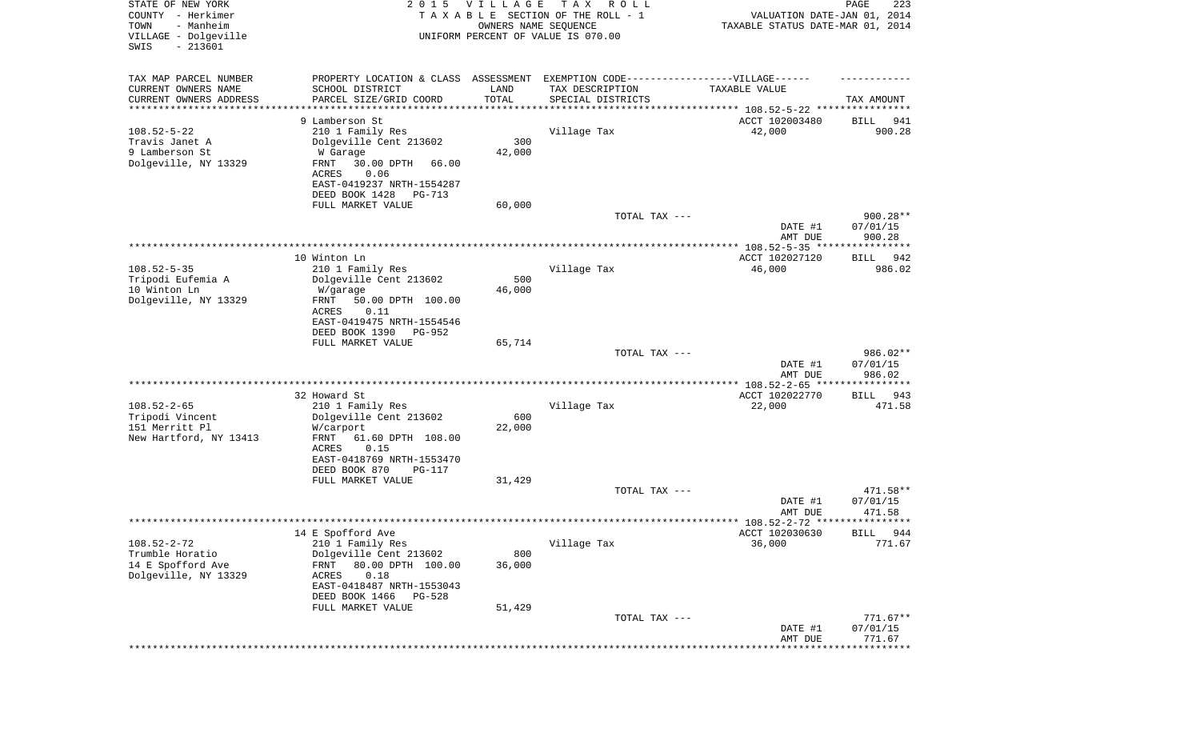| STATE OF NEW YORK<br>COUNTY - Herkimer<br>- Manheim<br>TOWN | 2 0 1 5                                               | <b>VILLAGE</b><br>OWNERS NAME SEQUENCE | T A X<br>R O L L<br>TAXABLE SECTION OF THE ROLL - 1 | VALUATION DATE-JAN 01, 2014<br>TAXABLE STATUS DATE-MAR 01, 2014 | 223<br>PAGE        |
|-------------------------------------------------------------|-------------------------------------------------------|----------------------------------------|-----------------------------------------------------|-----------------------------------------------------------------|--------------------|
| VILLAGE - Dolgeville<br>$-213601$<br>SWIS                   |                                                       |                                        | UNIFORM PERCENT OF VALUE IS 070.00                  |                                                                 |                    |
| TAX MAP PARCEL NUMBER                                       | PROPERTY LOCATION & CLASS ASSESSMENT                  |                                        | EXEMPTION CODE-----------------VILLAGE------        |                                                                 |                    |
| CURRENT OWNERS NAME                                         | SCHOOL DISTRICT                                       | LAND                                   | TAX DESCRIPTION                                     | TAXABLE VALUE                                                   |                    |
| CURRENT OWNERS ADDRESS                                      | PARCEL SIZE/GRID COORD                                | TOTAL                                  | SPECIAL DISTRICTS                                   |                                                                 | TAX AMOUNT         |
| *********************                                       |                                                       |                                        |                                                     |                                                                 |                    |
|                                                             | 9 Lamberson St                                        |                                        |                                                     | ACCT 102003480                                                  | BILL<br>941        |
| $108.52 - 5 - 22$<br>Travis Janet A                         | 210 1 Family Res<br>Dolgeville Cent 213602            | 300                                    | Village Tax                                         | 42,000                                                          | 900.28             |
| 9 Lamberson St                                              | W Garage                                              | 42,000                                 |                                                     |                                                                 |                    |
| Dolgeville, NY 13329                                        | FRNT<br>30.00 DPTH<br>66.00                           |                                        |                                                     |                                                                 |                    |
|                                                             | ACRES<br>0.06                                         |                                        |                                                     |                                                                 |                    |
|                                                             | EAST-0419237 NRTH-1554287                             |                                        |                                                     |                                                                 |                    |
|                                                             | DEED BOOK 1428<br>PG-713                              |                                        |                                                     |                                                                 |                    |
|                                                             | FULL MARKET VALUE                                     | 60,000                                 |                                                     |                                                                 |                    |
|                                                             |                                                       |                                        | TOTAL TAX ---                                       |                                                                 | 900.28**           |
|                                                             |                                                       |                                        |                                                     | DATE #1                                                         | 07/01/15<br>900.28 |
|                                                             |                                                       |                                        |                                                     | AMT DUE                                                         |                    |
|                                                             | 10 Winton Ln                                          |                                        |                                                     | ACCT 102027120                                                  | BILL 942           |
| $108.52 - 5 - 35$                                           | 210 1 Family Res                                      |                                        | Village Tax                                         | 46,000                                                          | 986.02             |
| Tripodi Eufemia A                                           | Dolgeville Cent 213602                                | 500                                    |                                                     |                                                                 |                    |
| 10 Winton Ln                                                | W/garage                                              | 46,000                                 |                                                     |                                                                 |                    |
| Dolgeville, NY 13329                                        | FRNT<br>50.00 DPTH 100.00                             |                                        |                                                     |                                                                 |                    |
|                                                             | ACRES<br>0.11                                         |                                        |                                                     |                                                                 |                    |
|                                                             | EAST-0419475 NRTH-1554546<br>PG-952                   |                                        |                                                     |                                                                 |                    |
|                                                             | DEED BOOK 1390<br>FULL MARKET VALUE                   | 65,714                                 |                                                     |                                                                 |                    |
|                                                             |                                                       |                                        | TOTAL TAX ---                                       |                                                                 | 986.02**           |
|                                                             |                                                       |                                        |                                                     | DATE #1                                                         | 07/01/15           |
|                                                             |                                                       |                                        |                                                     | AMT DUE                                                         | 986.02             |
|                                                             |                                                       |                                        |                                                     |                                                                 |                    |
|                                                             | 32 Howard St                                          |                                        |                                                     | ACCT 102022770                                                  | BILL<br>943        |
| $108.52 - 2 - 65$<br>Tripodi Vincent                        | 210 1 Family Res                                      | 600                                    | Village Tax                                         | 22,000                                                          | 471.58             |
| 151 Merritt Pl                                              | Dolgeville Cent 213602<br>W/carport                   | 22,000                                 |                                                     |                                                                 |                    |
| New Hartford, NY 13413                                      | <b>FRNT</b><br>61.60 DPTH 108.00                      |                                        |                                                     |                                                                 |                    |
|                                                             | ACRES<br>0.15                                         |                                        |                                                     |                                                                 |                    |
|                                                             | EAST-0418769 NRTH-1553470                             |                                        |                                                     |                                                                 |                    |
|                                                             | DEED BOOK 870<br><b>PG-117</b>                        |                                        |                                                     |                                                                 |                    |
|                                                             | FULL MARKET VALUE                                     | 31,429                                 |                                                     |                                                                 |                    |
|                                                             |                                                       |                                        | TOTAL TAX ---                                       |                                                                 | 471.58**           |
|                                                             |                                                       |                                        |                                                     | DATE #1<br>AMT DUE                                              | 07/01/15<br>471.58 |
|                                                             |                                                       |                                        |                                                     |                                                                 |                    |
|                                                             | 14 E Spofford Ave                                     |                                        |                                                     | ACCT 102030630                                                  | BILL 944           |
| $108.52 - 2 - 72$                                           | 210 1 Family Res                                      |                                        | Village Tax                                         | 36,000                                                          | 771.67             |
| Trumble Horatio                                             | Dolgeville Cent 213602                                | 800                                    |                                                     |                                                                 |                    |
| 14 E Spofford Ave                                           | 80.00 DPTH 100.00<br>FRNT                             | 36,000                                 |                                                     |                                                                 |                    |
| Dolgeville, NY 13329                                        | 0.18<br>ACRES                                         |                                        |                                                     |                                                                 |                    |
|                                                             | EAST-0418487 NRTH-1553043<br>DEED BOOK 1466<br>PG-528 |                                        |                                                     |                                                                 |                    |
|                                                             | FULL MARKET VALUE                                     | 51,429                                 |                                                     |                                                                 |                    |
|                                                             |                                                       |                                        | TOTAL TAX ---                                       |                                                                 | $771.67**$         |
|                                                             |                                                       |                                        |                                                     | DATE #1                                                         | 07/01/15           |
|                                                             |                                                       |                                        |                                                     | AMT DUE                                                         | 771.67             |
|                                                             |                                                       |                                        |                                                     |                                                                 | ********           |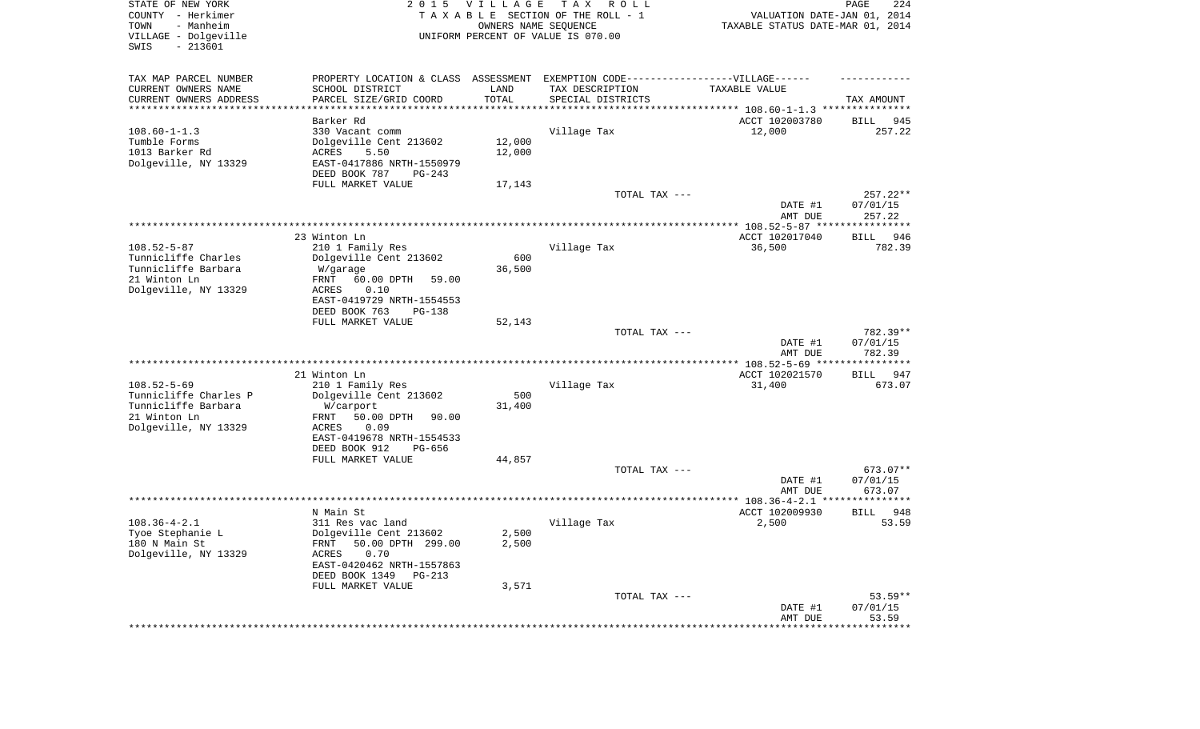| STATE OF NEW YORK<br>COUNTY - Herkimer<br>TOWN<br>- Manheim<br>VILLAGE - Dolgeville<br>SWIS<br>$-213601$ | 2 0 1 5                                                                          | <b>VILLAGE</b> | T A X<br>R O L L<br>TAXABLE SECTION OF THE ROLL - 1<br>OWNERS NAME SEQUENCE<br>UNIFORM PERCENT OF VALUE IS 070.00 | VALUATION DATE-JAN 01, 2014<br>TAXABLE STATUS DATE-MAR 01, 2014 | 224<br>PAGE          |
|----------------------------------------------------------------------------------------------------------|----------------------------------------------------------------------------------|----------------|-------------------------------------------------------------------------------------------------------------------|-----------------------------------------------------------------|----------------------|
| TAX MAP PARCEL NUMBER                                                                                    | PROPERTY LOCATION & CLASS ASSESSMENT EXEMPTION CODE----------------VILLAGE------ |                |                                                                                                                   |                                                                 |                      |
| CURRENT OWNERS NAME<br>CURRENT OWNERS ADDRESS                                                            | SCHOOL DISTRICT<br>PARCEL SIZE/GRID COORD                                        | LAND<br>TOTAL  | TAX DESCRIPTION                                                                                                   | TAXABLE VALUE                                                   | TAX AMOUNT           |
| **********************                                                                                   |                                                                                  |                | SPECIAL DISTRICTS                                                                                                 |                                                                 |                      |
|                                                                                                          | Barker Rd                                                                        |                |                                                                                                                   | ACCT 102003780                                                  | 945<br>BILL          |
| $108.60 - 1 - 1.3$                                                                                       | 330 Vacant comm                                                                  |                | Village Tax                                                                                                       | 12,000                                                          | 257.22               |
| Tumble Forms                                                                                             | Dolgeville Cent 213602                                                           | 12,000         |                                                                                                                   |                                                                 |                      |
| 1013 Barker Rd                                                                                           | <b>ACRES</b><br>5.50                                                             | 12,000         |                                                                                                                   |                                                                 |                      |
| Dolgeville, NY 13329                                                                                     | EAST-0417886 NRTH-1550979                                                        |                |                                                                                                                   |                                                                 |                      |
|                                                                                                          | DEED BOOK 787<br>$PG-243$<br>FULL MARKET VALUE                                   | 17,143         |                                                                                                                   |                                                                 |                      |
|                                                                                                          |                                                                                  |                | TOTAL TAX ---                                                                                                     |                                                                 | $257.22**$           |
|                                                                                                          |                                                                                  |                |                                                                                                                   | DATE #1                                                         | 07/01/15             |
|                                                                                                          |                                                                                  |                |                                                                                                                   | AMT DUE                                                         | 257.22               |
|                                                                                                          |                                                                                  |                |                                                                                                                   |                                                                 |                      |
|                                                                                                          | 23 Winton Ln                                                                     |                |                                                                                                                   | ACCT 102017040                                                  | 946<br>BILL          |
| $108.52 - 5 - 87$<br>Tunnicliffe Charles                                                                 | 210 1 Family Res                                                                 | 600            | Village Tax                                                                                                       | 36,500                                                          | 782.39               |
| Tunnicliffe Barbara                                                                                      | Dolgeville Cent 213602<br>W/garage                                               | 36,500         |                                                                                                                   |                                                                 |                      |
| 21 Winton Ln                                                                                             | 60.00 DPTH<br>FRNT<br>59.00                                                      |                |                                                                                                                   |                                                                 |                      |
| Dolgeville, NY 13329                                                                                     | 0.10<br>ACRES                                                                    |                |                                                                                                                   |                                                                 |                      |
|                                                                                                          | EAST-0419729 NRTH-1554553                                                        |                |                                                                                                                   |                                                                 |                      |
|                                                                                                          | DEED BOOK 763<br>$PG-138$                                                        |                |                                                                                                                   |                                                                 |                      |
|                                                                                                          | FULL MARKET VALUE                                                                | 52,143         | TOTAL TAX ---                                                                                                     |                                                                 | 782.39**             |
|                                                                                                          |                                                                                  |                |                                                                                                                   | DATE #1                                                         | 07/01/15             |
|                                                                                                          |                                                                                  |                |                                                                                                                   | AMT DUE                                                         | 782.39               |
|                                                                                                          |                                                                                  |                |                                                                                                                   |                                                                 |                      |
|                                                                                                          | 21 Winton Ln                                                                     |                |                                                                                                                   | ACCT 102021570                                                  | BILL<br>947          |
| $108.52 - 5 - 69$                                                                                        | 210 1 Family Res                                                                 |                | Village Tax                                                                                                       | 31,400                                                          | 673.07               |
| Tunnicliffe Charles P<br>Tunnicliffe Barbara                                                             | Dolgeville Cent 213602                                                           | 500<br>31,400  |                                                                                                                   |                                                                 |                      |
| 21 Winton Ln                                                                                             | W/carport<br>50.00 DPTH<br>90.00<br>FRNT                                         |                |                                                                                                                   |                                                                 |                      |
| Dolgeville, NY 13329                                                                                     | <b>ACRES</b><br>0.09                                                             |                |                                                                                                                   |                                                                 |                      |
|                                                                                                          | EAST-0419678 NRTH-1554533                                                        |                |                                                                                                                   |                                                                 |                      |
|                                                                                                          | DEED BOOK 912<br>PG-656                                                          |                |                                                                                                                   |                                                                 |                      |
|                                                                                                          | FULL MARKET VALUE                                                                | 44,857         |                                                                                                                   |                                                                 |                      |
|                                                                                                          |                                                                                  |                | TOTAL TAX ---                                                                                                     | DATE #1                                                         | 673.07**<br>07/01/15 |
|                                                                                                          |                                                                                  |                |                                                                                                                   | AMT DUE                                                         | 673.07               |
|                                                                                                          |                                                                                  |                |                                                                                                                   |                                                                 |                      |
|                                                                                                          | N Main St                                                                        |                |                                                                                                                   | ACCT 102009930                                                  | 948<br>BILL          |
| $108.36 - 4 - 2.1$                                                                                       | 311 Res vac land                                                                 |                | Village Tax                                                                                                       | 2,500                                                           | 53.59                |
| Tyoe Stephanie L                                                                                         | Dolgeville Cent 213602                                                           | 2,500          |                                                                                                                   |                                                                 |                      |
| 180 N Main St<br>Dolgeville, NY 13329                                                                    | FRNT 50.00 DPTH 299.00<br>ACRES<br>0.70                                          | 2,500          |                                                                                                                   |                                                                 |                      |
|                                                                                                          | EAST-0420462 NRTH-1557863                                                        |                |                                                                                                                   |                                                                 |                      |
|                                                                                                          | DEED BOOK 1349<br>PG-213                                                         |                |                                                                                                                   |                                                                 |                      |
|                                                                                                          | FULL MARKET VALUE                                                                | 3,571          |                                                                                                                   |                                                                 |                      |
|                                                                                                          |                                                                                  |                | TOTAL TAX ---                                                                                                     |                                                                 | $53.59**$            |
|                                                                                                          |                                                                                  |                |                                                                                                                   | DATE #1                                                         | 07/01/15             |
|                                                                                                          |                                                                                  |                |                                                                                                                   | AMT DUE<br>*************************************                | 53.59                |
|                                                                                                          |                                                                                  |                |                                                                                                                   |                                                                 |                      |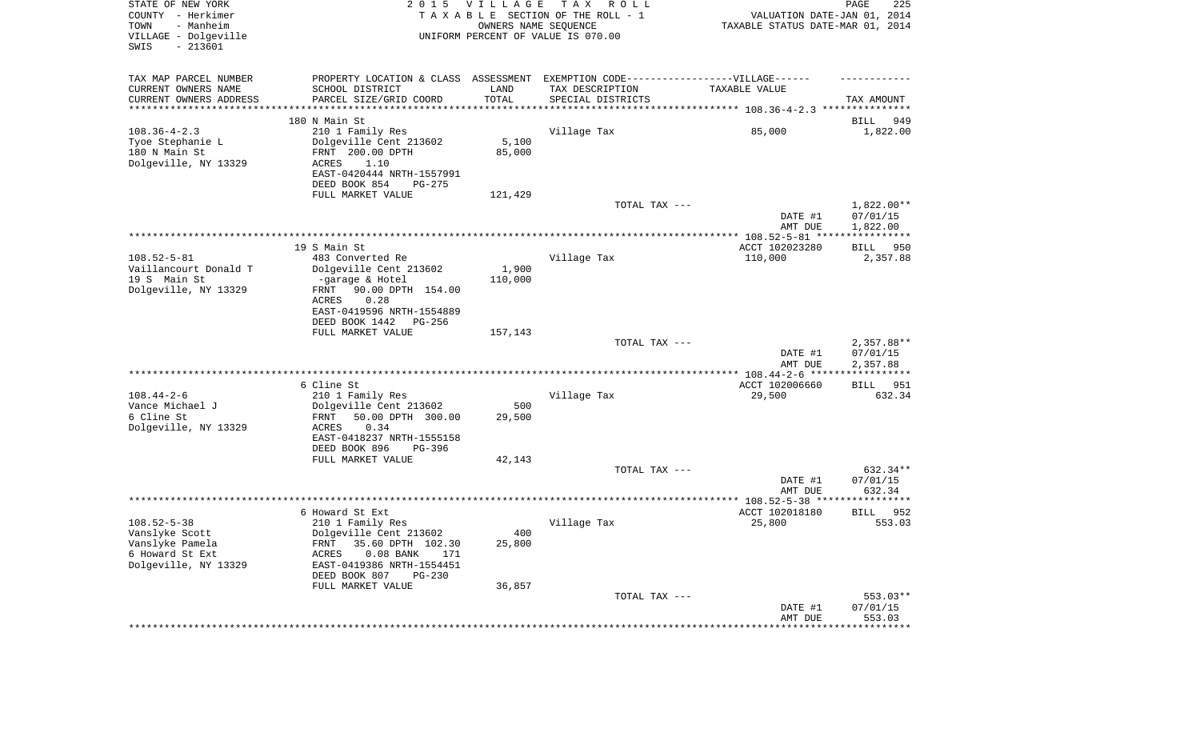| TAX MAP PARCEL NUMBER                         | PROPERTY LOCATION & CLASS ASSESSMENT EXEMPTION CODE----------------VILLAGE------ |                 |                                      |                                       |                          |
|-----------------------------------------------|----------------------------------------------------------------------------------|-----------------|--------------------------------------|---------------------------------------|--------------------------|
| CURRENT OWNERS NAME<br>CURRENT OWNERS ADDRESS | SCHOOL DISTRICT<br>PARCEL SIZE/GRID COORD                                        | LAND<br>TOTAL   | TAX DESCRIPTION<br>SPECIAL DISTRICTS | TAXABLE VALUE                         | TAX AMOUNT               |
| *********************                         |                                                                                  |                 |                                      |                                       |                          |
|                                               | 180 N Main St                                                                    |                 |                                      |                                       | 949<br>BILL              |
| $108.36 - 4 - 2.3$                            | 210 1 Family Res                                                                 |                 | Village Tax                          | 85,000                                | 1,822.00                 |
| Tyoe Stephanie L<br>180 N Main St             | Dolgeville Cent 213602<br>FRNT 200.00 DPTH                                       | 5,100<br>85,000 |                                      |                                       |                          |
| Dolgeville, NY 13329                          | ACRES<br>1.10                                                                    |                 |                                      |                                       |                          |
|                                               | EAST-0420444 NRTH-1557991                                                        |                 |                                      |                                       |                          |
|                                               | DEED BOOK 854<br>PG-275                                                          |                 |                                      |                                       |                          |
|                                               | FULL MARKET VALUE                                                                | 121,429         | TOTAL TAX ---                        |                                       | 1,822.00**               |
|                                               |                                                                                  |                 |                                      | DATE #1                               | 07/01/15                 |
|                                               |                                                                                  |                 |                                      | AMT DUE                               | 1,822.00                 |
|                                               | 19 S Main St                                                                     |                 |                                      | ACCT 102023280                        | 950                      |
| $108.52 - 5 - 81$                             | 483 Converted Re                                                                 |                 | Village Tax                          | 110,000                               | BILL<br>2,357.88         |
| Vaillancourt Donald T                         | Dolgeville Cent 213602                                                           | 1,900           |                                      |                                       |                          |
| 19 S Main St                                  | -garage & Hotel                                                                  | 110,000         |                                      |                                       |                          |
| Dolgeville, NY 13329                          | 90.00 DPTH 154.00<br>FRNT<br>ACRES<br>0.28                                       |                 |                                      |                                       |                          |
|                                               | EAST-0419596 NRTH-1554889                                                        |                 |                                      |                                       |                          |
|                                               | DEED BOOK 1442<br>PG-256                                                         |                 |                                      |                                       |                          |
|                                               | FULL MARKET VALUE                                                                | 157,143         |                                      |                                       |                          |
|                                               |                                                                                  |                 | TOTAL TAX ---                        | DATE #1                               | $2,357.88**$<br>07/01/15 |
|                                               |                                                                                  |                 |                                      | AMT DUE                               | 2,357.88                 |
|                                               |                                                                                  |                 |                                      | **************** 108.44-2-6 ******    | ***********              |
| $108.44 - 2 - 6$                              | 6 Cline St<br>210 1 Family Res                                                   |                 | Village Tax                          | ACCT 102006660<br>29,500              | 951<br>BILL<br>632.34    |
| Vance Michael J                               | Dolgeville Cent 213602                                                           | 500             |                                      |                                       |                          |
| 6 Cline St                                    | 50.00 DPTH 300.00<br>FRNT                                                        | 29,500          |                                      |                                       |                          |
| Dolgeville, NY 13329                          | ACRES<br>0.34                                                                    |                 |                                      |                                       |                          |
|                                               | EAST-0418237 NRTH-1555158<br>DEED BOOK 896<br>PG-396                             |                 |                                      |                                       |                          |
|                                               | FULL MARKET VALUE                                                                | 42,143          |                                      |                                       |                          |
|                                               |                                                                                  |                 | TOTAL TAX ---                        |                                       | 632.34**                 |
|                                               |                                                                                  |                 |                                      | DATE #1                               | 07/01/15                 |
|                                               |                                                                                  |                 |                                      | AMT DUE                               | 632.34                   |
|                                               | 6 Howard St Ext                                                                  |                 |                                      | ACCT 102018180                        | 952<br>BILL              |
| $108.52 - 5 - 38$                             | 210 1 Family Res                                                                 |                 | Village Tax                          | 25,800                                | 553.03                   |
| Vanslyke Scott                                | Dolgeville Cent 213602                                                           | 400             |                                      |                                       |                          |
| Vanslyke Pamela<br>6 Howard St Ext            | FRNT 35.60 DPTH 102.30<br>ACRES<br>$0.08$ BANK<br>171                            | 25,800          |                                      |                                       |                          |
| Dolgeville, NY 13329                          | EAST-0419386 NRTH-1554451                                                        |                 |                                      |                                       |                          |
|                                               | DEED BOOK 807<br>$PG-230$                                                        |                 |                                      |                                       |                          |
|                                               | FULL MARKET VALUE                                                                | 36,857          |                                      |                                       |                          |
|                                               |                                                                                  |                 | TOTAL TAX ---                        | DATE #1                               | 553.03**<br>07/01/15     |
|                                               |                                                                                  |                 |                                      | AMT DUE                               | 553.03                   |
|                                               |                                                                                  |                 |                                      | ************************************* |                          |
|                                               |                                                                                  |                 |                                      |                                       |                          |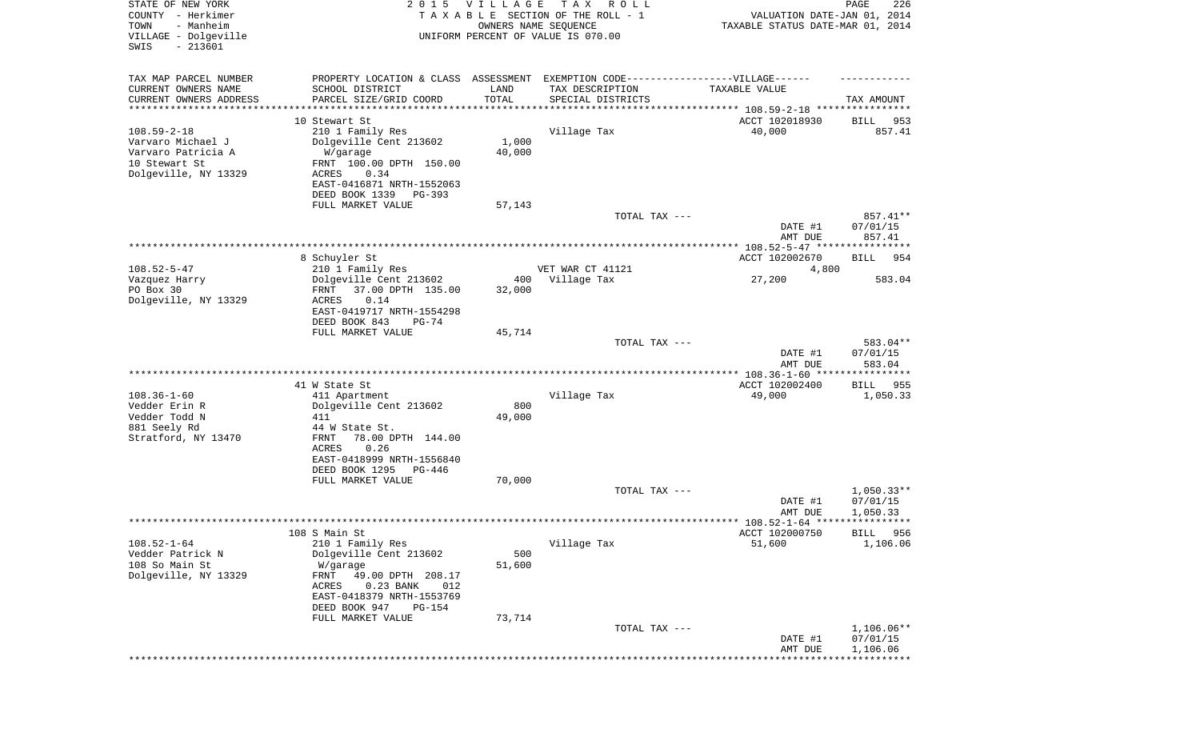| STATE OF NEW YORK<br>COUNTY - Herkimer<br>- Manheim<br>TOWN<br>VILLAGE - Dolgeville<br>SWIS<br>$-213601$ | 2 0 1 5                                                | <b>VILLAGE</b><br>OWNERS NAME SEQUENCE | T A X<br>R O L L<br>TAXABLE SECTION OF THE ROLL - 1<br>UNIFORM PERCENT OF VALUE IS 070.00 | VALUATION DATE-JAN 01, 2014<br>TAXABLE STATUS DATE-MAR 01, 2014 | 226<br>PAGE            |
|----------------------------------------------------------------------------------------------------------|--------------------------------------------------------|----------------------------------------|-------------------------------------------------------------------------------------------|-----------------------------------------------------------------|------------------------|
| TAX MAP PARCEL NUMBER                                                                                    | PROPERTY LOCATION & CLASS ASSESSMENT                   |                                        | EXEMPTION CODE------------------VILLAGE------                                             |                                                                 |                        |
| CURRENT OWNERS NAME                                                                                      | SCHOOL DISTRICT                                        | LAND                                   | TAX DESCRIPTION                                                                           | TAXABLE VALUE                                                   |                        |
| CURRENT OWNERS ADDRESS<br>*********************                                                          | PARCEL SIZE/GRID COORD                                 | TOTAL<br>* * * * * * * * * * *         | SPECIAL DISTRICTS                                                                         |                                                                 | TAX AMOUNT             |
|                                                                                                          | 10 Stewart St                                          |                                        |                                                                                           | ACCT 102018930                                                  | 953<br>BILL            |
| $108.59 - 2 - 18$                                                                                        | 210 1 Family Res                                       |                                        | Village Tax                                                                               | 40,000                                                          | 857.41                 |
| Varvaro Michael J                                                                                        | Dolgeville Cent 213602                                 | 1,000                                  |                                                                                           |                                                                 |                        |
| Varvaro Patricia A                                                                                       | W/garage                                               | 40,000                                 |                                                                                           |                                                                 |                        |
| 10 Stewart St<br>Dolgeville, NY 13329                                                                    | FRNT 100.00 DPTH 150.00<br>ACRES<br>0.34               |                                        |                                                                                           |                                                                 |                        |
|                                                                                                          | EAST-0416871 NRTH-1552063                              |                                        |                                                                                           |                                                                 |                        |
|                                                                                                          | DEED BOOK 1339<br>PG-393                               |                                        |                                                                                           |                                                                 |                        |
|                                                                                                          | FULL MARKET VALUE                                      | 57,143                                 |                                                                                           |                                                                 |                        |
|                                                                                                          |                                                        |                                        | TOTAL TAX ---                                                                             | DATE #1                                                         | 857.41**<br>07/01/15   |
|                                                                                                          |                                                        |                                        |                                                                                           | AMT DUE                                                         | 857.41                 |
|                                                                                                          |                                                        |                                        |                                                                                           |                                                                 |                        |
| $108.52 - 5 - 47$                                                                                        | 8 Schuyler St<br>210 1 Family Res                      |                                        | VET WAR CT 41121                                                                          | ACCT 102002670                                                  | 954<br>BILL            |
| Vazquez Harry                                                                                            | Dolgeville Cent 213602                                 | 400                                    | Village Tax                                                                               | 4,800<br>27,200                                                 | 583.04                 |
| PO Box 30                                                                                                | 37.00 DPTH 135.00<br>FRNT                              | 32,000                                 |                                                                                           |                                                                 |                        |
| Dolgeville, NY 13329                                                                                     | ACRES<br>0.14                                          |                                        |                                                                                           |                                                                 |                        |
|                                                                                                          | EAST-0419717 NRTH-1554298<br>DEED BOOK 843<br>$PG-74$  |                                        |                                                                                           |                                                                 |                        |
|                                                                                                          | FULL MARKET VALUE                                      | 45,714                                 |                                                                                           |                                                                 |                        |
|                                                                                                          |                                                        |                                        | TOTAL TAX ---                                                                             |                                                                 | 583.04**               |
|                                                                                                          |                                                        |                                        |                                                                                           | DATE #1<br>AMT DUE                                              | 07/01/15<br>583.04     |
|                                                                                                          | 41 W State St                                          |                                        |                                                                                           | *************** 108.36-1-60 *****************<br>ACCT 102002400 | 955<br>BILL            |
| $108.36 - 1 - 60$                                                                                        | 411 Apartment                                          |                                        | Village Tax                                                                               | 49,000                                                          | 1,050.33               |
| Vedder Erin R                                                                                            | Dolgeville Cent 213602                                 | 800                                    |                                                                                           |                                                                 |                        |
| Vedder Todd N                                                                                            | 411                                                    | 49,000                                 |                                                                                           |                                                                 |                        |
| 881 Seely Rd<br>Stratford, NY 13470                                                                      | 44 W State St.<br><b>FRNT</b><br>78.00 DPTH 144.00     |                                        |                                                                                           |                                                                 |                        |
|                                                                                                          | ACRES<br>0.26                                          |                                        |                                                                                           |                                                                 |                        |
|                                                                                                          | EAST-0418999 NRTH-1556840                              |                                        |                                                                                           |                                                                 |                        |
|                                                                                                          | DEED BOOK 1295<br>PG-446                               |                                        |                                                                                           |                                                                 |                        |
|                                                                                                          | FULL MARKET VALUE                                      | 70,000                                 | TOTAL TAX ---                                                                             |                                                                 | $1,050.33**$           |
|                                                                                                          |                                                        |                                        |                                                                                           | DATE #1                                                         | 07/01/15               |
|                                                                                                          |                                                        |                                        |                                                                                           | AMT DUE                                                         | 1,050.33               |
|                                                                                                          | 108 S Main St                                          |                                        |                                                                                           | ACCT 102000750                                                  | 956<br>BILL            |
| $108.52 - 1 - 64$                                                                                        | 210 1 Family Res                                       |                                        | Village Tax                                                                               | 51,600                                                          | 1,106.06               |
| Vedder Patrick N                                                                                         | Dolgeville Cent 213602                                 | 500                                    |                                                                                           |                                                                 |                        |
| 108 So Main St                                                                                           | W/garage                                               | 51,600                                 |                                                                                           |                                                                 |                        |
| Dolgeville, NY 13329                                                                                     | FRNT<br>49.00 DPTH 208.17<br>ACRES<br>0.23 BANK<br>012 |                                        |                                                                                           |                                                                 |                        |
|                                                                                                          | EAST-0418379 NRTH-1553769                              |                                        |                                                                                           |                                                                 |                        |
|                                                                                                          | DEED BOOK 947<br><b>PG-154</b>                         |                                        |                                                                                           |                                                                 |                        |
|                                                                                                          | FULL MARKET VALUE                                      | 73,714                                 |                                                                                           |                                                                 |                        |
|                                                                                                          |                                                        |                                        | TOTAL TAX ---                                                                             | DATE #1                                                         | 1,106.06**<br>07/01/15 |
|                                                                                                          |                                                        |                                        |                                                                                           | AMT DUE                                                         | 1,106.06               |
|                                                                                                          |                                                        |                                        |                                                                                           |                                                                 | * * * * * * * * * * *  |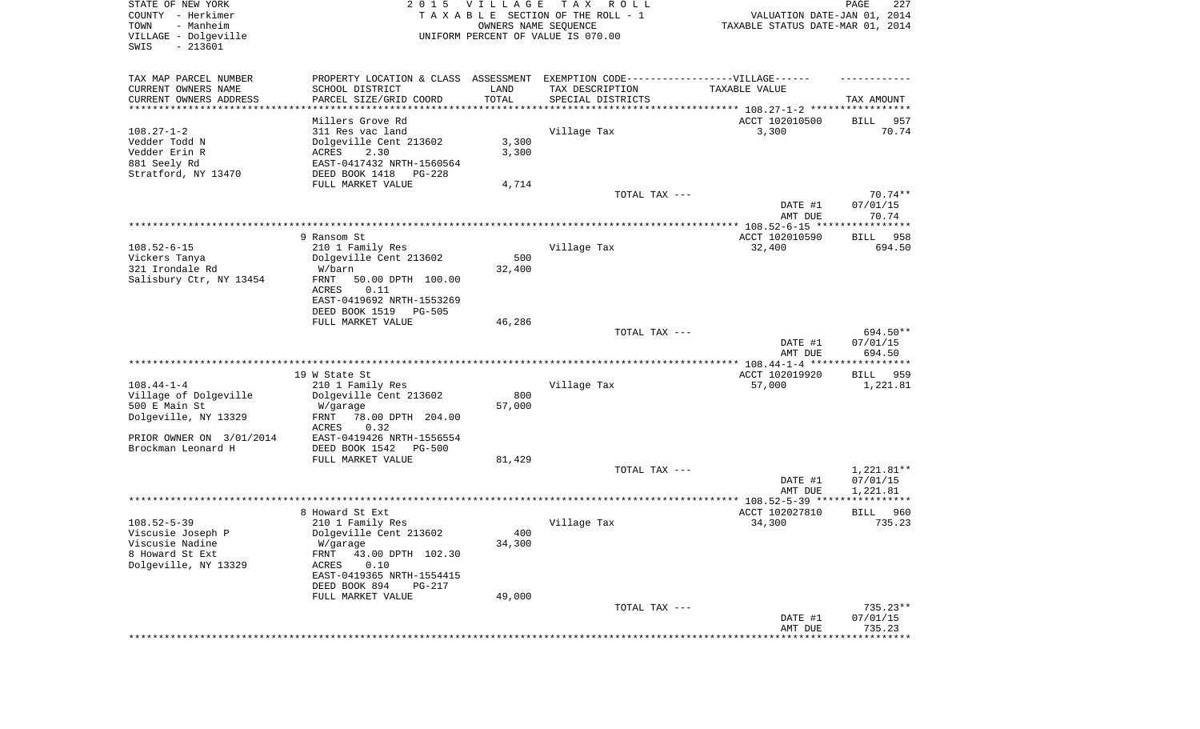| STATE OF NEW YORK<br>COUNTY - Herkimer<br>TOWN<br>- Manheim<br>VILLAGE - Dolgeville | 2 0 1 5                                                                          | VILLAGE<br>OWNERS NAME SEQUENCE | TAX ROLL<br>TAXABLE SECTION OF THE ROLL - 1<br>UNIFORM PERCENT OF VALUE IS 070.00 | VALUATION DATE-JAN 01, 2014<br>TAXABLE STATUS DATE-MAR 01, 2014              | PAGE<br>227              |
|-------------------------------------------------------------------------------------|----------------------------------------------------------------------------------|---------------------------------|-----------------------------------------------------------------------------------|------------------------------------------------------------------------------|--------------------------|
| $-213601$<br>SWIS                                                                   |                                                                                  |                                 |                                                                                   |                                                                              |                          |
| TAX MAP PARCEL NUMBER                                                               | PROPERTY LOCATION & CLASS ASSESSMENT EXEMPTION CODE----------------VILLAGE------ |                                 |                                                                                   |                                                                              |                          |
| CURRENT OWNERS NAME                                                                 | SCHOOL DISTRICT                                                                  | LAND                            | TAX DESCRIPTION                                                                   | TAXABLE VALUE                                                                |                          |
| CURRENT OWNERS ADDRESS<br>***************                                           | PARCEL SIZE/GRID COORD                                                           | TOTAL                           | SPECIAL DISTRICTS                                                                 |                                                                              | TAX AMOUNT               |
|                                                                                     | Millers Grove Rd                                                                 |                                 |                                                                                   | ***************************** 108.27-1-2 *****************<br>ACCT 102010500 | BILL<br>957              |
| $108.27 - 1 - 2$                                                                    | 311 Res vac land                                                                 |                                 | Village Tax                                                                       | 3,300                                                                        | 70.74                    |
| Vedder Todd N                                                                       | Dolgeville Cent 213602                                                           | 3,300                           |                                                                                   |                                                                              |                          |
| Vedder Erin R                                                                       | ACRES<br>2.30                                                                    | 3,300                           |                                                                                   |                                                                              |                          |
| 881 Seely Rd                                                                        | EAST-0417432 NRTH-1560564                                                        |                                 |                                                                                   |                                                                              |                          |
| Stratford, NY 13470                                                                 | DEED BOOK 1418<br>PG-228                                                         |                                 |                                                                                   |                                                                              |                          |
|                                                                                     | FULL MARKET VALUE                                                                | 4,714                           | TOTAL TAX ---                                                                     |                                                                              | $70.74**$                |
|                                                                                     |                                                                                  |                                 |                                                                                   | DATE #1                                                                      | 07/01/15                 |
|                                                                                     |                                                                                  |                                 |                                                                                   | AMT DUE                                                                      | 70.74                    |
|                                                                                     |                                                                                  |                                 |                                                                                   |                                                                              |                          |
| $108.52 - 6 - 15$                                                                   | 9 Ransom St<br>210 1 Family Res                                                  |                                 | Village Tax                                                                       | ACCT 102010590<br>32,400                                                     | 958<br>BILL<br>694.50    |
| Vickers Tanya                                                                       | Dolgeville Cent 213602                                                           | 500                             |                                                                                   |                                                                              |                          |
| 321 Irondale Rd                                                                     | W/barn                                                                           | 32,400                          |                                                                                   |                                                                              |                          |
| Salisbury Ctr, NY 13454                                                             | FRNT<br>50.00 DPTH 100.00                                                        |                                 |                                                                                   |                                                                              |                          |
|                                                                                     | ACRES<br>0.11                                                                    |                                 |                                                                                   |                                                                              |                          |
|                                                                                     | EAST-0419692 NRTH-1553269<br>DEED BOOK 1519<br>PG-505                            |                                 |                                                                                   |                                                                              |                          |
|                                                                                     | FULL MARKET VALUE                                                                | 46,286                          |                                                                                   |                                                                              |                          |
|                                                                                     |                                                                                  |                                 | TOTAL TAX ---                                                                     |                                                                              | 694.50**                 |
|                                                                                     |                                                                                  |                                 |                                                                                   | DATE #1                                                                      | 07/01/15                 |
|                                                                                     |                                                                                  |                                 |                                                                                   | AMT DUE                                                                      | 694.50                   |
|                                                                                     | 19 W State St                                                                    |                                 |                                                                                   | ACCT 102019920                                                               | BILL<br>959              |
| $108.44 - 1 - 4$                                                                    | 210 1 Family Res                                                                 |                                 | Village Tax                                                                       | 57,000                                                                       | 1,221.81                 |
| Village of Dolgeville                                                               | Dolgeville Cent 213602                                                           | 800                             |                                                                                   |                                                                              |                          |
| 500 E Main St                                                                       | W/garage                                                                         | 57,000                          |                                                                                   |                                                                              |                          |
| Dolgeville, NY 13329                                                                | FRNT<br>78.00 DPTH 204.00<br>ACRES<br>0.32                                       |                                 |                                                                                   |                                                                              |                          |
| PRIOR OWNER ON 3/01/2014                                                            | EAST-0419426 NRTH-1556554                                                        |                                 |                                                                                   |                                                                              |                          |
| Brockman Leonard H                                                                  | DEED BOOK 1542<br>PG-500                                                         |                                 |                                                                                   |                                                                              |                          |
|                                                                                     | FULL MARKET VALUE                                                                | 81,429                          |                                                                                   |                                                                              |                          |
|                                                                                     |                                                                                  |                                 | TOTAL TAX ---                                                                     | DATE #1                                                                      | $1,221.81**$<br>07/01/15 |
|                                                                                     |                                                                                  |                                 |                                                                                   | AMT DUE                                                                      | 1,221.81                 |
|                                                                                     |                                                                                  |                                 |                                                                                   |                                                                              |                          |
|                                                                                     | 8 Howard St Ext                                                                  |                                 |                                                                                   | ACCT 102027810                                                               | 960<br>BILL              |
| $108.52 - 5 - 39$                                                                   | 210 1 Family Res                                                                 |                                 | Village Tax                                                                       | 34,300                                                                       | 735.23                   |
| Viscusie Joseph P<br>Viscusie Nadine                                                | Dolgeville Cent 213602<br>W/garage                                               | 400<br>34,300                   |                                                                                   |                                                                              |                          |
| 8 Howard St Ext                                                                     | 43.00 DPTH 102.30<br>FRNT                                                        |                                 |                                                                                   |                                                                              |                          |
| Dolgeville, NY 13329                                                                | ACRES<br>0.10                                                                    |                                 |                                                                                   |                                                                              |                          |
|                                                                                     | EAST-0419365 NRTH-1554415                                                        |                                 |                                                                                   |                                                                              |                          |
|                                                                                     | DEED BOOK 894<br>PG-217<br>FULL MARKET VALUE                                     | 49,000                          |                                                                                   |                                                                              |                          |
|                                                                                     |                                                                                  |                                 | TOTAL TAX ---                                                                     |                                                                              | $735.23**$               |
|                                                                                     |                                                                                  |                                 |                                                                                   | DATE #1                                                                      | 07/01/15                 |
|                                                                                     |                                                                                  |                                 |                                                                                   | AMT DUE                                                                      | 735.23                   |
|                                                                                     |                                                                                  |                                 |                                                                                   |                                                                              |                          |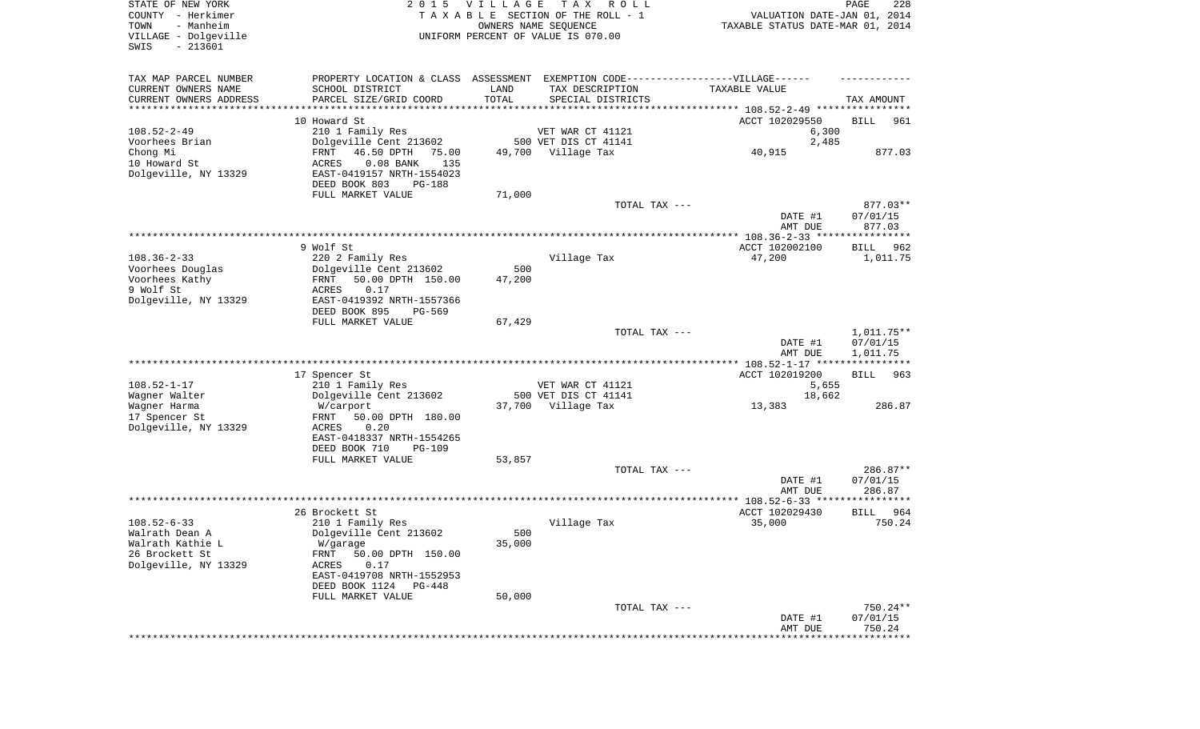| STATE OF NEW YORK<br>COUNTY - Herkimer<br>- Manheim<br>TOWN<br>VILLAGE - Dolgeville<br>$-213601$<br>SWIS | 2 0 1 5                                    | <b>VILLAGE</b> | T A X<br>R O L L<br>TAXABLE SECTION OF THE ROLL - 1<br>OWNERS NAME SEQUENCE<br>UNIFORM PERCENT OF VALUE IS 070.00 | VALUATION DATE-JAN 01, 2014<br>TAXABLE STATUS DATE-MAR 01, 2014 | PAGE<br>228              |
|----------------------------------------------------------------------------------------------------------|--------------------------------------------|----------------|-------------------------------------------------------------------------------------------------------------------|-----------------------------------------------------------------|--------------------------|
| TAX MAP PARCEL NUMBER                                                                                    | PROPERTY LOCATION & CLASS ASSESSMENT       |                | EXEMPTION CODE------------------VILLAGE------                                                                     |                                                                 |                          |
| CURRENT OWNERS NAME                                                                                      | SCHOOL DISTRICT                            | LAND           | TAX DESCRIPTION                                                                                                   | TAXABLE VALUE                                                   |                          |
| CURRENT OWNERS ADDRESS                                                                                   | PARCEL SIZE/GRID COORD                     | TOTAL          | SPECIAL DISTRICTS                                                                                                 |                                                                 | TAX AMOUNT               |
| *********************                                                                                    |                                            |                |                                                                                                                   |                                                                 |                          |
| $108.52 - 2 - 49$                                                                                        | 10 Howard St<br>210 1 Family Res           |                | VET WAR CT 41121                                                                                                  | ACCT 102029550<br>6,300                                         | BILL<br>961              |
| Voorhees Brian                                                                                           | Dolgeville Cent 213602                     |                | 500 VET DIS CT 41141                                                                                              | 2,485                                                           |                          |
| Chong Mi                                                                                                 | FRNT<br>46.50 DPTH<br>75.00                | 49,700         | Village Tax                                                                                                       | 40,915                                                          | 877.03                   |
| 10 Howard St                                                                                             | $0.08$ BANK<br>ACRES<br>135                |                |                                                                                                                   |                                                                 |                          |
| Dolgeville, NY 13329                                                                                     | EAST-0419157 NRTH-1554023                  |                |                                                                                                                   |                                                                 |                          |
|                                                                                                          | DEED BOOK 803<br>PG-188                    |                |                                                                                                                   |                                                                 |                          |
|                                                                                                          | FULL MARKET VALUE                          | 71,000         | TOTAL TAX ---                                                                                                     |                                                                 | 877.03**                 |
|                                                                                                          |                                            |                |                                                                                                                   | DATE #1<br>AMT DUE                                              | 07/01/15<br>877.03       |
|                                                                                                          |                                            |                |                                                                                                                   |                                                                 |                          |
|                                                                                                          | 9 Wolf St                                  |                |                                                                                                                   | ACCT 102002100                                                  | BILL<br>962              |
| $108.36 - 2 - 33$                                                                                        | 220 2 Family Res                           |                | Village Tax                                                                                                       | 47,200                                                          | 1,011.75                 |
| Voorhees Douglas                                                                                         | Dolgeville Cent 213602                     | 500            |                                                                                                                   |                                                                 |                          |
| Voorhees Kathy<br>9 Wolf St                                                                              | FRNT<br>50.00 DPTH 150.00<br>0.17<br>ACRES | 47,200         |                                                                                                                   |                                                                 |                          |
| Dolgeville, NY 13329                                                                                     | EAST-0419392 NRTH-1557366                  |                |                                                                                                                   |                                                                 |                          |
|                                                                                                          | DEED BOOK 895<br>PG-569                    |                |                                                                                                                   |                                                                 |                          |
|                                                                                                          | FULL MARKET VALUE                          | 67,429         |                                                                                                                   |                                                                 |                          |
|                                                                                                          |                                            |                | TOTAL TAX ---                                                                                                     | DATE #1                                                         | $1,011.75**$<br>07/01/15 |
|                                                                                                          |                                            |                |                                                                                                                   | AMT DUE                                                         | 1,011.75                 |
|                                                                                                          | 17 Spencer St                              |                |                                                                                                                   | ACCT 102019200                                                  | <b>BILL</b><br>963       |
| $108.52 - 1 - 17$                                                                                        | 210 1 Family Res                           |                | VET WAR CT 41121                                                                                                  | 5,655                                                           |                          |
| Wagner Walter                                                                                            | Dolgeville Cent 213602                     |                | 500 VET DIS CT 41141                                                                                              | 18,662                                                          |                          |
| Wagner Harma                                                                                             | W/carport                                  |                | 37,700 Village Tax                                                                                                | 13,383                                                          | 286.87                   |
| 17 Spencer St                                                                                            | 50.00 DPTH 180.00<br>FRNT                  |                |                                                                                                                   |                                                                 |                          |
| Dolgeville, NY 13329                                                                                     | ACRES<br>0.20<br>EAST-0418337 NRTH-1554265 |                |                                                                                                                   |                                                                 |                          |
|                                                                                                          | DEED BOOK 710<br><b>PG-109</b>             |                |                                                                                                                   |                                                                 |                          |
|                                                                                                          | FULL MARKET VALUE                          | 53,857         |                                                                                                                   |                                                                 |                          |
|                                                                                                          |                                            |                | TOTAL TAX ---                                                                                                     |                                                                 | 286.87**                 |
|                                                                                                          |                                            |                |                                                                                                                   | DATE #1                                                         | 07/01/15                 |
|                                                                                                          |                                            |                |                                                                                                                   | AMT DUE                                                         | 286.87                   |
|                                                                                                          | 26 Brockett St                             |                |                                                                                                                   | ACCT 102029430                                                  | 964<br>BILL              |
| $108.52 - 6 - 33$                                                                                        | 210 1 Family Res                           |                | Village Tax                                                                                                       | 35,000                                                          | 750.24                   |
| Walrath Dean A                                                                                           | Dolgeville Cent 213602                     | 500            |                                                                                                                   |                                                                 |                          |
| Walrath Kathie L                                                                                         | W/garage                                   | 35,000         |                                                                                                                   |                                                                 |                          |
| 26 Brockett St                                                                                           | FRNT<br>50.00 DPTH 150.00                  |                |                                                                                                                   |                                                                 |                          |
| Dolgeville, NY 13329                                                                                     | ACRES<br>0.17<br>EAST-0419708 NRTH-1552953 |                |                                                                                                                   |                                                                 |                          |
|                                                                                                          | DEED BOOK 1124 PG-448                      |                |                                                                                                                   |                                                                 |                          |
|                                                                                                          | FULL MARKET VALUE                          | 50,000         |                                                                                                                   |                                                                 |                          |
|                                                                                                          |                                            |                | TOTAL TAX ---                                                                                                     |                                                                 | $750.24**$               |
|                                                                                                          |                                            |                |                                                                                                                   | DATE #1                                                         | 07/01/15                 |
|                                                                                                          |                                            |                |                                                                                                                   | AMT DUE                                                         | 750.24                   |
|                                                                                                          |                                            |                |                                                                                                                   |                                                                 |                          |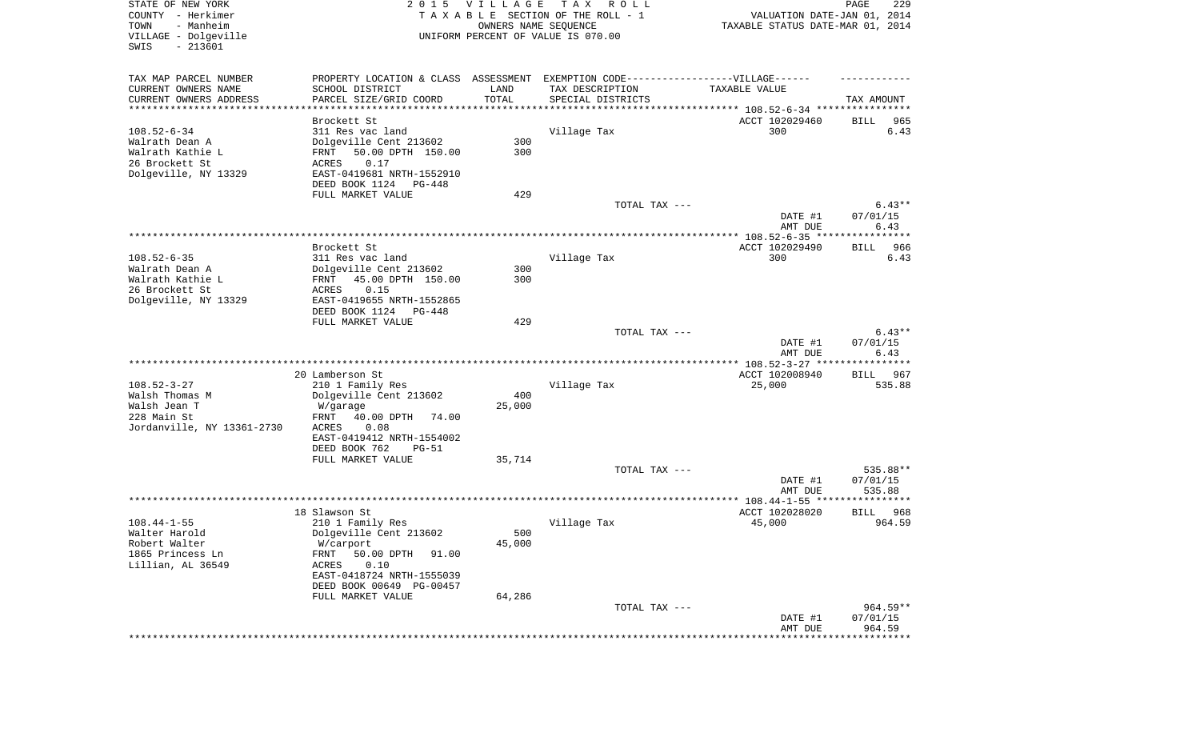| STATE OF NEW YORK<br>COUNTY - Herkimer<br>TOWN<br>- Manheim |                                                                                   | 2015 VILLAGE<br>OWNERS NAME SEQUENCE | T A X<br>R O L L<br>TAXABLE SECTION OF THE ROLL - 1 | VALUATION DATE-JAN 01, 2014<br>TAXABLE STATUS DATE-MAR 01, 2014 | 229<br>PAGE        |
|-------------------------------------------------------------|-----------------------------------------------------------------------------------|--------------------------------------|-----------------------------------------------------|-----------------------------------------------------------------|--------------------|
| VILLAGE - Dolgeville<br>SWIS<br>$-213601$                   |                                                                                   |                                      | UNIFORM PERCENT OF VALUE IS 070.00                  |                                                                 |                    |
| TAX MAP PARCEL NUMBER                                       | PROPERTY LOCATION & CLASS ASSESSMENT EXEMPTION CODE-----------------VILLAGE------ |                                      |                                                     |                                                                 |                    |
| CURRENT OWNERS NAME                                         | SCHOOL DISTRICT                                                                   | LAND                                 | TAX DESCRIPTION                                     | TAXABLE VALUE                                                   |                    |
| CURRENT OWNERS ADDRESS<br>********************              | PARCEL SIZE/GRID COORD                                                            | TOTAL                                | SPECIAL DISTRICTS                                   | ***************************** 108.52-6-34 ****************      | TAX AMOUNT         |
|                                                             | Brockett St                                                                       |                                      |                                                     | ACCT 102029460                                                  | BILL<br>965        |
| $108.52 - 6 - 34$                                           | 311 Res vac land                                                                  |                                      | Village Tax                                         | 300                                                             | 6.43               |
| Walrath Dean A                                              | Dolgeville Cent 213602                                                            | 300                                  |                                                     |                                                                 |                    |
| Walrath Kathie L                                            | 50.00 DPTH 150.00<br>FRNT                                                         | 300                                  |                                                     |                                                                 |                    |
| 26 Brockett St                                              | ACRES<br>0.17                                                                     |                                      |                                                     |                                                                 |                    |
| Dolgeville, NY 13329                                        | EAST-0419681 NRTH-1552910                                                         |                                      |                                                     |                                                                 |                    |
|                                                             | DEED BOOK 1124<br>PG-448                                                          |                                      |                                                     |                                                                 |                    |
|                                                             | FULL MARKET VALUE                                                                 | 429                                  | TOTAL TAX ---                                       |                                                                 | $6.43**$           |
|                                                             |                                                                                   |                                      |                                                     | DATE #1<br>AMT DUE                                              | 07/01/15<br>6.43   |
|                                                             |                                                                                   |                                      |                                                     |                                                                 |                    |
|                                                             | Brockett St                                                                       |                                      |                                                     | ACCT 102029490                                                  | 966<br>BILL        |
| $108.52 - 6 - 35$                                           | 311 Res vac land                                                                  |                                      | Village Tax                                         | 300                                                             | 6.43               |
| Walrath Dean A                                              | Dolgeville Cent 213602                                                            | 300                                  |                                                     |                                                                 |                    |
| Walrath Kathie L                                            | 45.00 DPTH 150.00<br>FRNT                                                         | 300                                  |                                                     |                                                                 |                    |
| 26 Brockett St                                              | 0.15<br>ACRES                                                                     |                                      |                                                     |                                                                 |                    |
| Dolgeville, NY 13329                                        | EAST-0419655 NRTH-1552865<br>DEED BOOK 1124<br>PG-448                             |                                      |                                                     |                                                                 |                    |
|                                                             | FULL MARKET VALUE                                                                 | 429                                  |                                                     |                                                                 |                    |
|                                                             |                                                                                   |                                      | TOTAL TAX ---                                       |                                                                 | $6.43**$           |
|                                                             |                                                                                   |                                      |                                                     | DATE #1                                                         | 07/01/15           |
|                                                             |                                                                                   |                                      |                                                     | AMT DUE                                                         | 6.43               |
|                                                             | 20 Lamberson St                                                                   |                                      |                                                     | ACCT 102008940                                                  | BILL<br>967        |
| $108.52 - 3 - 27$                                           | 210 1 Family Res                                                                  |                                      | Village Tax                                         | 25,000                                                          | 535.88             |
| Walsh Thomas M                                              | Dolgeville Cent 213602                                                            | 400                                  |                                                     |                                                                 |                    |
| Walsh Jean T                                                | W/garage                                                                          | 25,000                               |                                                     |                                                                 |                    |
| 228 Main St                                                 | FRNT<br>40.00 DPTH<br>74.00                                                       |                                      |                                                     |                                                                 |                    |
| Jordanville, NY 13361-2730                                  | ACRES<br>0.08                                                                     |                                      |                                                     |                                                                 |                    |
|                                                             | EAST-0419412 NRTH-1554002                                                         |                                      |                                                     |                                                                 |                    |
|                                                             | DEED BOOK 762<br>$PG-51$                                                          |                                      |                                                     |                                                                 |                    |
|                                                             | FULL MARKET VALUE                                                                 | 35,714                               |                                                     |                                                                 |                    |
|                                                             |                                                                                   |                                      | TOTAL TAX ---                                       |                                                                 | 535.88**           |
|                                                             |                                                                                   |                                      |                                                     | DATE #1<br>AMT DUE                                              | 07/01/15<br>535.88 |
|                                                             |                                                                                   |                                      |                                                     |                                                                 |                    |
|                                                             | 18 Slawson St                                                                     |                                      |                                                     | ACCT 102028020                                                  | 968<br>BILL        |
| $108.44 - 1 - 55$                                           | 210 1 Family Res                                                                  |                                      | Village Tax                                         | 45,000                                                          | 964.59             |
| Walter Harold                                               | Dolgeville Cent 213602                                                            | 500                                  |                                                     |                                                                 |                    |
| Robert Walter                                               | W/carport                                                                         | 45,000                               |                                                     |                                                                 |                    |
| 1865 Princess Ln                                            | 50.00 DPTH<br>FRNT<br>91.00                                                       |                                      |                                                     |                                                                 |                    |
| Lillian, AL 36549                                           | 0.10<br>ACRES                                                                     |                                      |                                                     |                                                                 |                    |
|                                                             | EAST-0418724 NRTH-1555039                                                         |                                      |                                                     |                                                                 |                    |
|                                                             | DEED BOOK 00649 PG-00457                                                          | 64,286                               |                                                     |                                                                 |                    |
|                                                             | FULL MARKET VALUE                                                                 |                                      | TOTAL TAX ---                                       |                                                                 | $964.59**$         |
|                                                             |                                                                                   |                                      |                                                     | DATE #1                                                         | 07/01/15           |
|                                                             |                                                                                   |                                      |                                                     | AMT DUE                                                         | 964.59             |
|                                                             |                                                                                   |                                      |                                                     |                                                                 |                    |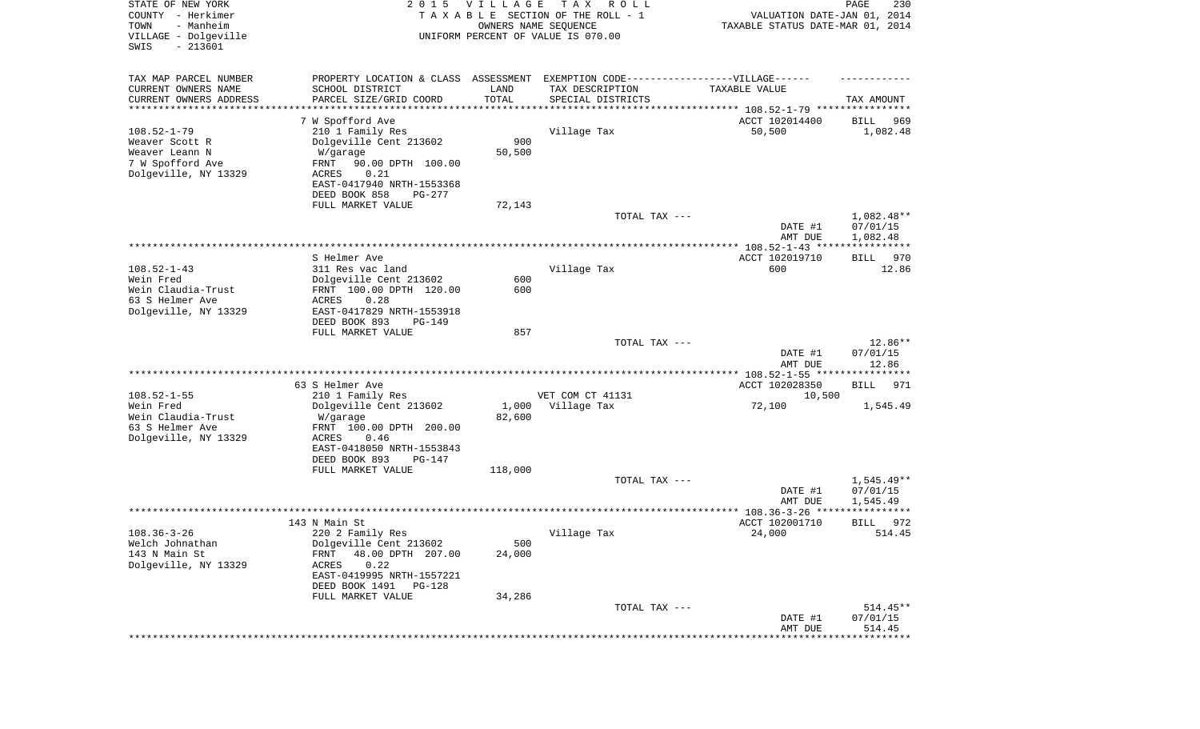| STATE OF NEW YORK<br>COUNTY - Herkimer<br>- Manheim<br>TOWN<br>VILLAGE - Dolgeville<br>SWIS<br>$-213601$ |                                                                                   | 2015 VILLAGE<br>OWNERS NAME SEQUENCE | T A X<br>R O L L<br>TAXABLE SECTION OF THE ROLL - 1<br>UNIFORM PERCENT OF VALUE IS 070.00 | VALUATION DATE-JAN 01, 2014<br>TAXABLE STATUS DATE-MAR 01, 2014 | PAGE<br>230            |
|----------------------------------------------------------------------------------------------------------|-----------------------------------------------------------------------------------|--------------------------------------|-------------------------------------------------------------------------------------------|-----------------------------------------------------------------|------------------------|
| TAX MAP PARCEL NUMBER                                                                                    | PROPERTY LOCATION & CLASS ASSESSMENT EXEMPTION CODE-----------------VILLAGE------ |                                      |                                                                                           |                                                                 |                        |
| CURRENT OWNERS NAME                                                                                      | SCHOOL DISTRICT                                                                   | LAND                                 | TAX DESCRIPTION                                                                           | TAXABLE VALUE                                                   |                        |
| CURRENT OWNERS ADDRESS<br>********************                                                           | PARCEL SIZE/GRID COORD<br>* * * * * * * * * * * * * * * * *                       | TOTAL<br>* * * * * * * * * * *       | SPECIAL DISTRICTS                                                                         | ********************************* 108.52-1-79 ****************  | TAX AMOUNT             |
|                                                                                                          | 7 W Spofford Ave                                                                  |                                      |                                                                                           | ACCT 102014400                                                  | 969<br>BILL            |
| $108.52 - 1 - 79$                                                                                        | 210 1 Family Res                                                                  |                                      | Village Tax                                                                               | 50,500                                                          | 1,082.48               |
| Weaver Scott R                                                                                           | Dolgeville Cent 213602                                                            | 900                                  |                                                                                           |                                                                 |                        |
| Weaver Leann N                                                                                           | W/garage                                                                          | 50,500                               |                                                                                           |                                                                 |                        |
| 7 W Spofford Ave                                                                                         | FRNT<br>90.00 DPTH 100.00                                                         |                                      |                                                                                           |                                                                 |                        |
| Dolgeville, NY 13329                                                                                     | ACRES<br>0.21                                                                     |                                      |                                                                                           |                                                                 |                        |
|                                                                                                          | EAST-0417940 NRTH-1553368                                                         |                                      |                                                                                           |                                                                 |                        |
|                                                                                                          | DEED BOOK 858<br>PG-277<br>FULL MARKET VALUE                                      | 72,143                               |                                                                                           |                                                                 |                        |
|                                                                                                          |                                                                                   |                                      | TOTAL TAX ---                                                                             |                                                                 | 1,082.48**             |
|                                                                                                          |                                                                                   |                                      |                                                                                           | DATE #1                                                         | 07/01/15               |
|                                                                                                          |                                                                                   |                                      |                                                                                           | AMT DUE                                                         | 1,082.48               |
|                                                                                                          |                                                                                   |                                      |                                                                                           |                                                                 |                        |
| $108.52 - 1 - 43$                                                                                        | S Helmer Ave<br>311 Res vac land                                                  |                                      | Village Tax                                                                               | ACCT 102019710<br>600                                           | 970<br>BILL<br>12.86   |
| Wein Fred                                                                                                | Dolgeville Cent 213602                                                            | 600                                  |                                                                                           |                                                                 |                        |
| Wein Claudia-Trust                                                                                       | FRNT 100.00 DPTH 120.00                                                           | 600                                  |                                                                                           |                                                                 |                        |
| 63 S Helmer Ave                                                                                          | ACRES<br>0.28                                                                     |                                      |                                                                                           |                                                                 |                        |
| Dolgeville, NY 13329                                                                                     | EAST-0417829 NRTH-1553918                                                         |                                      |                                                                                           |                                                                 |                        |
|                                                                                                          | DEED BOOK 893<br>$PG-149$                                                         |                                      |                                                                                           |                                                                 |                        |
|                                                                                                          | FULL MARKET VALUE                                                                 | 857                                  | TOTAL TAX ---                                                                             |                                                                 | 12.86**                |
|                                                                                                          |                                                                                   |                                      |                                                                                           | DATE #1                                                         | 07/01/15               |
|                                                                                                          |                                                                                   |                                      |                                                                                           | AMT DUE                                                         | 12.86                  |
|                                                                                                          |                                                                                   |                                      |                                                                                           | ************* 108.52-1-55 *****************                     |                        |
|                                                                                                          | 63 S Helmer Ave                                                                   |                                      |                                                                                           | ACCT 102028350                                                  | 971<br>BILL            |
| $108.52 - 1 - 55$                                                                                        | 210 1 Family Res                                                                  |                                      | VET COM CT 41131                                                                          | 10,500                                                          |                        |
| Wein Fred<br>Wein Claudia-Trust                                                                          | Dolgeville Cent 213602                                                            |                                      | 1,000 Village Tax                                                                         | 72,100                                                          | 1,545.49               |
| 63 S Helmer Ave                                                                                          | W/garage<br>FRNT 100.00 DPTH 200.00                                               | 82,600                               |                                                                                           |                                                                 |                        |
| Dolgeville, NY 13329                                                                                     | ACRES<br>0.46                                                                     |                                      |                                                                                           |                                                                 |                        |
|                                                                                                          | EAST-0418050 NRTH-1553843                                                         |                                      |                                                                                           |                                                                 |                        |
|                                                                                                          | DEED BOOK 893<br>PG-147                                                           |                                      |                                                                                           |                                                                 |                        |
|                                                                                                          | FULL MARKET VALUE                                                                 | 118,000                              |                                                                                           |                                                                 |                        |
|                                                                                                          |                                                                                   |                                      | TOTAL TAX ---                                                                             |                                                                 | $1,545.49**$           |
|                                                                                                          |                                                                                   |                                      |                                                                                           | DATE #1<br>AMT DUE                                              | 07/01/15<br>1,545.49   |
|                                                                                                          |                                                                                   |                                      |                                                                                           |                                                                 | ****                   |
|                                                                                                          | 143 N Main St                                                                     |                                      |                                                                                           | ACCT 102001710                                                  | 972<br>BILL            |
| $108.36 - 3 - 26$                                                                                        | 220 2 Family Res                                                                  |                                      | Village Tax                                                                               | 24,000                                                          | 514.45                 |
| Welch Johnathan                                                                                          | Dolgeville Cent 213602                                                            | 500                                  |                                                                                           |                                                                 |                        |
| 143 N Main St                                                                                            | 48.00 DPTH 207.00<br><b>FRNT</b>                                                  | 24,000                               |                                                                                           |                                                                 |                        |
| Dolgeville, NY 13329                                                                                     | 0.22<br>ACRES<br>EAST-0419995 NRTH-1557221                                        |                                      |                                                                                           |                                                                 |                        |
|                                                                                                          | DEED BOOK 1491<br>PG-128                                                          |                                      |                                                                                           |                                                                 |                        |
|                                                                                                          | FULL MARKET VALUE                                                                 | 34,286                               |                                                                                           |                                                                 |                        |
|                                                                                                          |                                                                                   |                                      | TOTAL TAX ---                                                                             |                                                                 | $514.45**$             |
|                                                                                                          |                                                                                   |                                      |                                                                                           | DATE #1                                                         | 07/01/15               |
|                                                                                                          |                                                                                   |                                      |                                                                                           | AMT DUE                                                         | 514.45<br>************ |
|                                                                                                          |                                                                                   |                                      |                                                                                           |                                                                 |                        |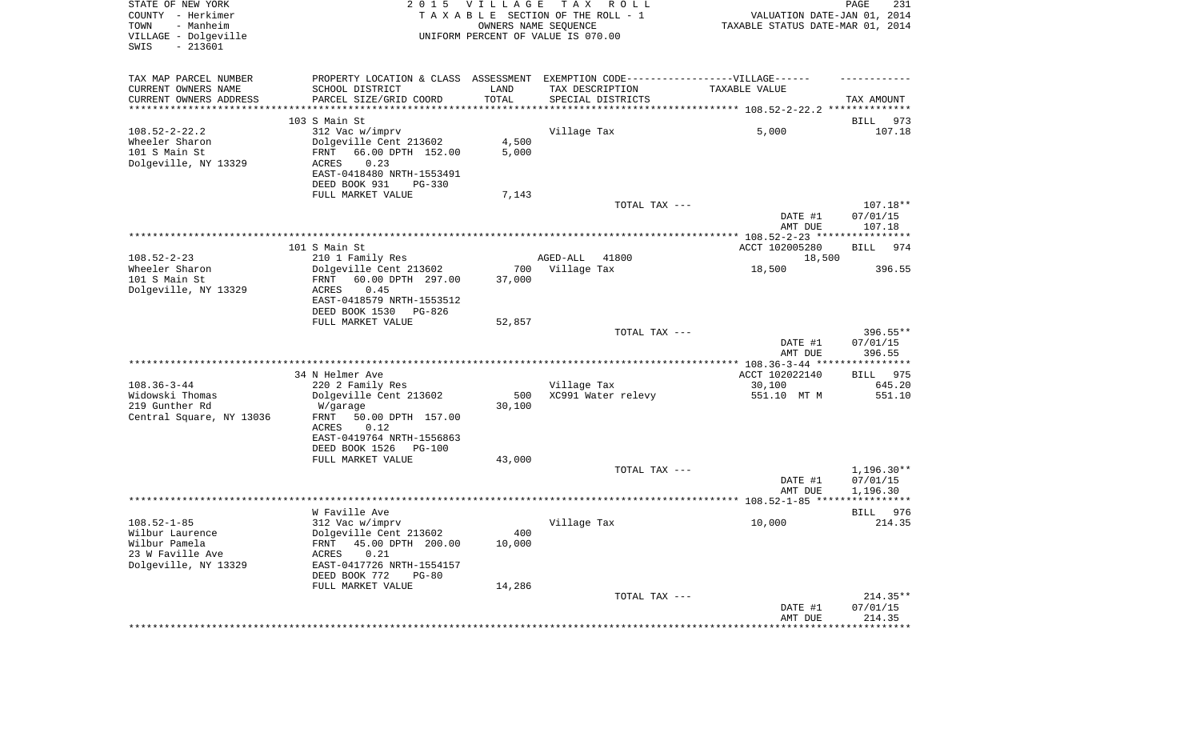| STATE OF NEW YORK<br>COUNTY - Herkimer<br>- Manheim<br>TOWN<br>VILLAGE - Dolgeville<br>SWIS<br>$-213601$ |                                                                                  | 2015 VILLAGE         | T A X<br>R O L L<br>TAXABLE SECTION OF THE ROLL - 1<br>OWNERS NAME SEQUENCE<br>UNIFORM PERCENT OF VALUE IS 070.00 | VALUATION DATE-JAN 01, 2014<br>TAXABLE STATUS DATE-MAR 01, 2014 | PAGE<br>231              |
|----------------------------------------------------------------------------------------------------------|----------------------------------------------------------------------------------|----------------------|-------------------------------------------------------------------------------------------------------------------|-----------------------------------------------------------------|--------------------------|
| TAX MAP PARCEL NUMBER                                                                                    | PROPERTY LOCATION & CLASS ASSESSMENT EXEMPTION CODE----------------VILLAGE------ |                      |                                                                                                                   |                                                                 |                          |
| CURRENT OWNERS NAME                                                                                      | SCHOOL DISTRICT                                                                  | LAND                 | TAX DESCRIPTION                                                                                                   | TAXABLE VALUE                                                   |                          |
| CURRENT OWNERS ADDRESS<br>*********************                                                          | PARCEL SIZE/GRID COORD<br>************************                               | TOTAL<br>*********** | SPECIAL DISTRICTS                                                                                                 |                                                                 | TAX AMOUNT               |
|                                                                                                          | 103 S Main St                                                                    |                      |                                                                                                                   |                                                                 | 973<br>BILL              |
| $108.52 - 2 - 22.2$                                                                                      | 312 Vac w/imprv                                                                  |                      | Village Tax                                                                                                       | 5,000                                                           | 107.18                   |
| Wheeler Sharon                                                                                           | Dolgeville Cent 213602                                                           | 4,500                |                                                                                                                   |                                                                 |                          |
| 101 S Main St                                                                                            | 66.00 DPTH 152.00<br>FRNT                                                        | 5,000                |                                                                                                                   |                                                                 |                          |
| Dolgeville, NY 13329                                                                                     | 0.23<br>ACRES<br>EAST-0418480 NRTH-1553491                                       |                      |                                                                                                                   |                                                                 |                          |
|                                                                                                          | DEED BOOK 931<br>$PG-330$                                                        |                      |                                                                                                                   |                                                                 |                          |
|                                                                                                          | FULL MARKET VALUE                                                                | 7,143                |                                                                                                                   |                                                                 |                          |
|                                                                                                          |                                                                                  |                      | TOTAL TAX ---                                                                                                     |                                                                 | 107.18**                 |
|                                                                                                          |                                                                                  |                      |                                                                                                                   | DATE #1                                                         | 07/01/15<br>107.18       |
|                                                                                                          |                                                                                  |                      |                                                                                                                   | AMT DUE                                                         |                          |
|                                                                                                          | 101 S Main St                                                                    |                      |                                                                                                                   | ACCT 102005280                                                  | BILL<br>974              |
| $108.52 - 2 - 23$                                                                                        | 210 1 Family Res                                                                 |                      | 41800<br>AGED-ALL                                                                                                 | 18,500                                                          |                          |
| Wheeler Sharon                                                                                           | Dolgeville Cent 213602                                                           | 700                  | Village Tax                                                                                                       | 18,500                                                          | 396.55                   |
| 101 S Main St<br>Dolgeville, NY 13329                                                                    | 60.00 DPTH 297.00<br>FRNT<br>ACRES<br>0.45                                       | 37,000               |                                                                                                                   |                                                                 |                          |
|                                                                                                          | EAST-0418579 NRTH-1553512                                                        |                      |                                                                                                                   |                                                                 |                          |
|                                                                                                          | DEED BOOK 1530<br>PG-826                                                         |                      |                                                                                                                   |                                                                 |                          |
|                                                                                                          | FULL MARKET VALUE                                                                | 52,857               |                                                                                                                   |                                                                 |                          |
|                                                                                                          |                                                                                  |                      | TOTAL TAX ---                                                                                                     | DATE #1                                                         | 396.55**<br>07/01/15     |
|                                                                                                          |                                                                                  |                      |                                                                                                                   | AMT DUE                                                         | 396.55                   |
|                                                                                                          | 34 N Helmer Ave                                                                  |                      |                                                                                                                   | ACCT 102022140                                                  | BILL 975                 |
| $108.36 - 3 - 44$                                                                                        | 220 2 Family Res                                                                 |                      | Village Tax                                                                                                       | 30,100                                                          | 645.20                   |
| Widowski Thomas                                                                                          | Dolgeville Cent 213602                                                           | 500                  | XC991 Water relevy                                                                                                | 551.10 MT M                                                     | 551.10                   |
| 219 Gunther Rd<br>Central Square, NY 13036                                                               | W/garage<br>FRNT<br>50.00 DPTH 157.00                                            | 30,100               |                                                                                                                   |                                                                 |                          |
|                                                                                                          | ACRES<br>0.12                                                                    |                      |                                                                                                                   |                                                                 |                          |
|                                                                                                          | EAST-0419764 NRTH-1556863                                                        |                      |                                                                                                                   |                                                                 |                          |
|                                                                                                          | DEED BOOK 1526<br>PG-100                                                         |                      |                                                                                                                   |                                                                 |                          |
|                                                                                                          | FULL MARKET VALUE                                                                | 43,000               |                                                                                                                   |                                                                 |                          |
|                                                                                                          |                                                                                  |                      | TOTAL TAX ---                                                                                                     | DATE #1                                                         | $1,196.30**$<br>07/01/15 |
|                                                                                                          |                                                                                  |                      |                                                                                                                   | AMT DUE                                                         | 1,196.30                 |
|                                                                                                          |                                                                                  |                      |                                                                                                                   |                                                                 |                          |
|                                                                                                          | W Faville Ave                                                                    |                      |                                                                                                                   |                                                                 | 976<br>BILL              |
| $108.52 - 1 - 85$<br>Wilbur Laurence                                                                     | 312 Vac w/imprv<br>Dolgeville Cent 213602                                        | 400                  | Village Tax                                                                                                       | 10,000                                                          | 214.35                   |
| Wilbur Pamela                                                                                            | 45.00 DPTH 200.00<br>FRNT                                                        | 10,000               |                                                                                                                   |                                                                 |                          |
| 23 W Faville Ave                                                                                         | 0.21<br>ACRES                                                                    |                      |                                                                                                                   |                                                                 |                          |
| Dolgeville, NY 13329                                                                                     | EAST-0417726 NRTH-1554157                                                        |                      |                                                                                                                   |                                                                 |                          |
|                                                                                                          | DEED BOOK 772<br>$PG-80$                                                         |                      |                                                                                                                   |                                                                 |                          |
|                                                                                                          | FULL MARKET VALUE                                                                | 14,286               | TOTAL TAX ---                                                                                                     |                                                                 | $214.35**$               |
|                                                                                                          |                                                                                  |                      |                                                                                                                   | DATE #1                                                         | 07/01/15                 |
|                                                                                                          |                                                                                  |                      |                                                                                                                   | AMT DUE                                                         | 214.35                   |
|                                                                                                          |                                                                                  |                      |                                                                                                                   |                                                                 |                          |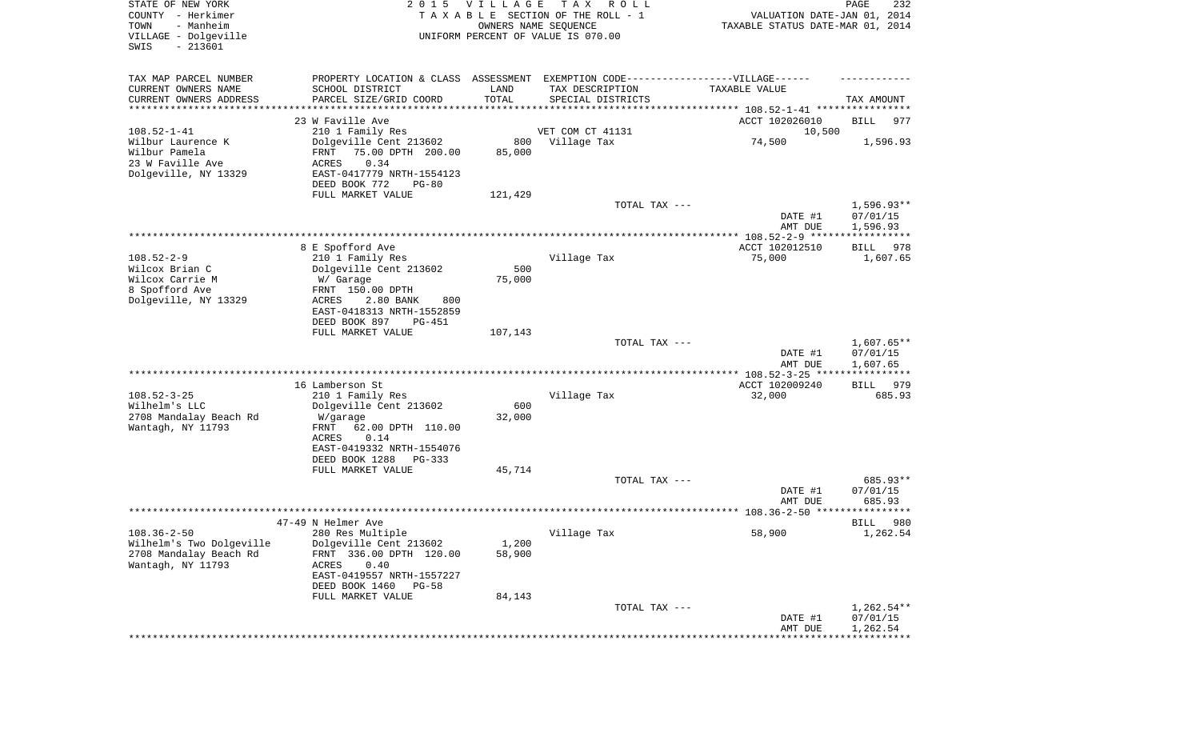| STATE OF NEW YORK<br>COUNTY - Herkimer<br>- Manheim<br>TOWN<br>VILLAGE - Dolgeville<br>$-213601$<br>SWIS | 2 0 1 5                                                                          | VILLAGE<br>OWNERS NAME SEQUENCE | T A X<br>R O L L<br>TAXABLE SECTION OF THE ROLL - 1<br>UNIFORM PERCENT OF VALUE IS 070.00 | VALUATION DATE-JAN 01, 2014<br>TAXABLE STATUS DATE-MAR 01, 2014 | PAGE<br>232              |
|----------------------------------------------------------------------------------------------------------|----------------------------------------------------------------------------------|---------------------------------|-------------------------------------------------------------------------------------------|-----------------------------------------------------------------|--------------------------|
| TAX MAP PARCEL NUMBER                                                                                    | PROPERTY LOCATION & CLASS ASSESSMENT EXEMPTION CODE----------------VILLAGE------ |                                 |                                                                                           |                                                                 |                          |
| CURRENT OWNERS NAME                                                                                      | SCHOOL DISTRICT                                                                  | LAND                            | TAX DESCRIPTION                                                                           | TAXABLE VALUE                                                   |                          |
| CURRENT OWNERS ADDRESS<br>********************                                                           | PARCEL SIZE/GRID COORD                                                           | TOTAL                           | SPECIAL DISTRICTS                                                                         |                                                                 | TAX AMOUNT               |
|                                                                                                          | 23 W Faville Ave                                                                 |                                 |                                                                                           | ACCT 102026010                                                  | BILL<br>977              |
| $108.52 - 1 - 41$                                                                                        | 210 1 Family Res                                                                 |                                 | VET COM CT 41131                                                                          | 10,500                                                          |                          |
| Wilbur Laurence K                                                                                        | Dolgeville Cent 213602                                                           | 800                             | Village Tax                                                                               | 74,500                                                          | 1,596.93                 |
| Wilbur Pamela<br>23 W Faville Ave                                                                        | FRNT<br>75.00 DPTH 200.00<br>0.34                                                | 85,000                          |                                                                                           |                                                                 |                          |
| Dolgeville, NY 13329                                                                                     | ACRES<br>EAST-0417779 NRTH-1554123                                               |                                 |                                                                                           |                                                                 |                          |
|                                                                                                          | DEED BOOK 772<br>$PG-80$                                                         |                                 |                                                                                           |                                                                 |                          |
|                                                                                                          | FULL MARKET VALUE                                                                | 121,429                         |                                                                                           |                                                                 |                          |
|                                                                                                          |                                                                                  |                                 | TOTAL TAX ---                                                                             |                                                                 | $1,596.93**$<br>07/01/15 |
|                                                                                                          |                                                                                  |                                 |                                                                                           | DATE #1<br>AMT DUE                                              | 1,596.93                 |
|                                                                                                          |                                                                                  |                                 |                                                                                           |                                                                 |                          |
|                                                                                                          | 8 E Spofford Ave                                                                 |                                 |                                                                                           | ACCT 102012510                                                  | 978<br>BILL              |
| $108.52 - 2 - 9$                                                                                         | 210 1 Family Res                                                                 |                                 | Village Tax                                                                               | 75,000                                                          | 1,607.65                 |
| Wilcox Brian C<br>Wilcox Carrie M                                                                        | Dolgeville Cent 213602<br>W/ Garage                                              | 500<br>75,000                   |                                                                                           |                                                                 |                          |
| 8 Spofford Ave                                                                                           | FRNT 150.00 DPTH                                                                 |                                 |                                                                                           |                                                                 |                          |
| Dolgeville, NY 13329                                                                                     | ACRES<br>2.80 BANK<br>800                                                        |                                 |                                                                                           |                                                                 |                          |
|                                                                                                          | EAST-0418313 NRTH-1552859                                                        |                                 |                                                                                           |                                                                 |                          |
|                                                                                                          | DEED BOOK 897<br>PG-451<br>FULL MARKET VALUE                                     | 107,143                         |                                                                                           |                                                                 |                          |
|                                                                                                          |                                                                                  |                                 | TOTAL TAX ---                                                                             |                                                                 | $1,607.65**$             |
|                                                                                                          |                                                                                  |                                 |                                                                                           | DATE #1<br>AMT DUE                                              | 07/01/15<br>1,607.65     |
|                                                                                                          |                                                                                  |                                 |                                                                                           | *********** 108.52-3-25 ****                                    | ************             |
|                                                                                                          | 16 Lamberson St                                                                  |                                 |                                                                                           | ACCT 102009240                                                  | 979<br><b>BILL</b>       |
| $108.52 - 3 - 25$<br>Wilhelm's LLC                                                                       | 210 1 Family Res<br>Dolgeville Cent 213602                                       | 600                             | Village Tax                                                                               | 32,000                                                          | 685.93                   |
| 2708 Mandalay Beach Rd                                                                                   | W/garage                                                                         | 32,000                          |                                                                                           |                                                                 |                          |
| Wantagh, NY 11793                                                                                        | FRNT<br>62.00 DPTH 110.00                                                        |                                 |                                                                                           |                                                                 |                          |
|                                                                                                          | ACRES<br>0.14                                                                    |                                 |                                                                                           |                                                                 |                          |
|                                                                                                          | EAST-0419332 NRTH-1554076<br>DEED BOOK 1288<br>PG-333                            |                                 |                                                                                           |                                                                 |                          |
|                                                                                                          | FULL MARKET VALUE                                                                | 45,714                          |                                                                                           |                                                                 |                          |
|                                                                                                          |                                                                                  |                                 | TOTAL TAX ---                                                                             |                                                                 | 685.93**                 |
|                                                                                                          |                                                                                  |                                 |                                                                                           | DATE #1                                                         | 07/01/15                 |
|                                                                                                          |                                                                                  |                                 |                                                                                           | AMT DUE                                                         | 685.93                   |
|                                                                                                          | 47-49 N Helmer Ave                                                               |                                 |                                                                                           |                                                                 | 980<br>BILL              |
| $108.36 - 2 - 50$                                                                                        | 280 Res Multiple                                                                 |                                 | Village Tax                                                                               | 58,900                                                          | 1,262.54                 |
| Wilhelm's Two Dolgeville                                                                                 | Dolgeville Cent 213602                                                           | 1,200                           |                                                                                           |                                                                 |                          |
| 2708 Mandalay Beach Rd                                                                                   | FRNT 336.00 DPTH 120.00<br><b>ACRES</b>                                          | 58,900                          |                                                                                           |                                                                 |                          |
| Wantagh, NY 11793                                                                                        | 0.40<br>EAST-0419557 NRTH-1557227                                                |                                 |                                                                                           |                                                                 |                          |
|                                                                                                          | DEED BOOK 1460<br>$PG-58$                                                        |                                 |                                                                                           |                                                                 |                          |
|                                                                                                          | FULL MARKET VALUE                                                                | 84,143                          |                                                                                           |                                                                 |                          |
|                                                                                                          |                                                                                  |                                 | TOTAL TAX ---                                                                             |                                                                 | $1,262.54**$             |
|                                                                                                          |                                                                                  |                                 |                                                                                           | DATE #1<br>AMT DUE                                              | 07/01/15<br>1,262.54     |
|                                                                                                          |                                                                                  |                                 |                                                                                           |                                                                 |                          |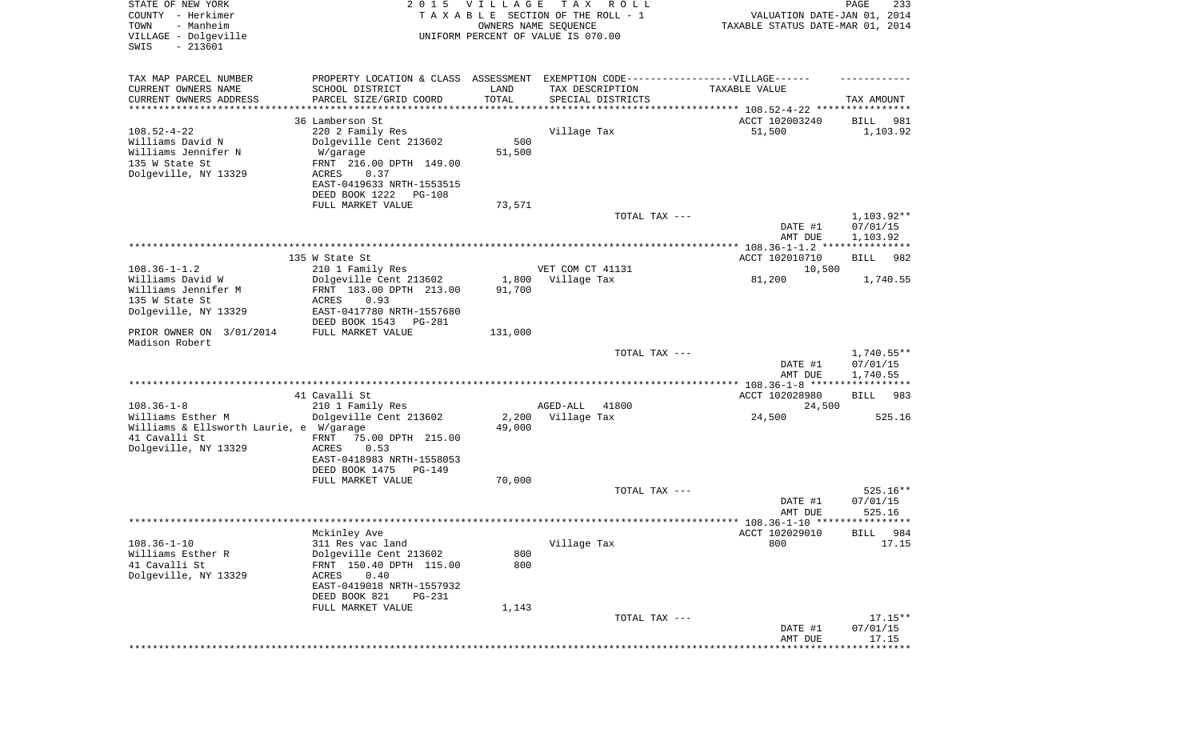| STATE OF NEW YORK<br>COUNTY - Herkimer<br>- Manheim<br>TOWN<br>VILLAGE - Dolgeville<br>$-213601$<br>SWIS | 2 0 1 5                                                                                                                                                                        | VILLAGE         | T A X<br>R O L L<br>TAXABLE SECTION OF THE ROLL - 1<br>OWNERS NAME SEQUENCE<br>UNIFORM PERCENT OF VALUE IS 070.00 | VALUATION DATE-JAN 01, 2014<br>TAXABLE STATUS DATE-MAR 01, 2014 | PAGE<br>233                        |
|----------------------------------------------------------------------------------------------------------|--------------------------------------------------------------------------------------------------------------------------------------------------------------------------------|-----------------|-------------------------------------------------------------------------------------------------------------------|-----------------------------------------------------------------|------------------------------------|
| TAX MAP PARCEL NUMBER<br>CURRENT OWNERS NAME<br>CURRENT OWNERS ADDRESS                                   | PROPERTY LOCATION & CLASS ASSESSMENT EXEMPTION CODE-----------------VILLAGE------<br>SCHOOL DISTRICT<br>PARCEL SIZE/GRID COORD                                                 | LAND<br>TOTAL   | TAX DESCRIPTION<br>SPECIAL DISTRICTS                                                                              | TAXABLE VALUE                                                   | TAX AMOUNT                         |
| *********************                                                                                    | ********************                                                                                                                                                           |                 |                                                                                                                   |                                                                 |                                    |
| $108.52 - 4 - 22$<br>Williams David N<br>Williams Jennifer N<br>135 W State St<br>Dolgeville, NY 13329   | 36 Lamberson St<br>220 2 Family Res<br>Dolgeville Cent 213602<br>W/garage<br>FRNT 216.00 DPTH 149.00<br>ACRES<br>0.37<br>EAST-0419633 NRTH-1553515<br>DEED BOOK 1222<br>PG-108 | 500<br>51,500   | Village Tax                                                                                                       | ACCT 102003240<br>51,500                                        | 981<br>BILL<br>1,103.92            |
|                                                                                                          | FULL MARKET VALUE                                                                                                                                                              | 73,571          |                                                                                                                   |                                                                 |                                    |
|                                                                                                          |                                                                                                                                                                                |                 | TOTAL TAX ---                                                                                                     | DATE #1<br>AMT DUE                                              | 1,103.92**<br>07/01/15<br>1,103.92 |
|                                                                                                          |                                                                                                                                                                                |                 |                                                                                                                   |                                                                 |                                    |
|                                                                                                          | 135 W State St                                                                                                                                                                 |                 |                                                                                                                   | ACCT 102010710                                                  | 982<br>BILL                        |
| $108.36 - 1 - 1.2$                                                                                       | 210 1 Family Res                                                                                                                                                               |                 | VET COM CT 41131                                                                                                  | 10,500                                                          |                                    |
| Williams David W<br>Williams Jennifer M                                                                  | Dolgeville Cent 213602                                                                                                                                                         | 1,800           | Village Tax                                                                                                       | 81,200                                                          | 1,740.55                           |
| 135 W State St<br>Dolgeville, NY 13329                                                                   | FRNT 183.00 DPTH 213.00<br>ACRES<br>0.93<br>EAST-0417780 NRTH-1557680<br>DEED BOOK 1543<br>PG-281                                                                              | 91,700          |                                                                                                                   |                                                                 |                                    |
| PRIOR OWNER ON 3/01/2014<br>Madison Robert                                                               | FULL MARKET VALUE                                                                                                                                                              | 131,000         |                                                                                                                   |                                                                 |                                    |
|                                                                                                          |                                                                                                                                                                                |                 | TOTAL TAX ---                                                                                                     | DATE #1<br>AMT DUE                                              | 1,740.55**<br>07/01/15<br>1,740.55 |
|                                                                                                          | 41 Cavalli St                                                                                                                                                                  |                 |                                                                                                                   | ACCT 102028980                                                  | 983<br>BILL                        |
| $108.36 - 1 - 8$                                                                                         | 210 1 Family Res                                                                                                                                                               |                 | 41800<br>AGED-ALL                                                                                                 | 24,500                                                          |                                    |
| Williams Esther M<br>Williams & Ellsworth Laurie, e W/garage                                             | Dolgeville Cent 213602                                                                                                                                                         | 2,200<br>49,000 | Village Tax                                                                                                       | 24,500                                                          | 525.16                             |
| 41 Cavalli St<br>Dolgeville, NY 13329                                                                    | FRNT<br>75.00 DPTH 215.00<br>ACRES<br>0.53<br>EAST-0418983 NRTH-1558053<br>DEED BOOK 1475<br>PG-149                                                                            |                 |                                                                                                                   |                                                                 |                                    |
|                                                                                                          | FULL MARKET VALUE                                                                                                                                                              | 70,000          |                                                                                                                   |                                                                 |                                    |
|                                                                                                          |                                                                                                                                                                                |                 | TOTAL TAX ---                                                                                                     | DATE #1<br>AMT DUE                                              | $525.16**$<br>07/01/15<br>525.16   |
|                                                                                                          |                                                                                                                                                                                |                 |                                                                                                                   |                                                                 |                                    |
|                                                                                                          | Mckinley Ave                                                                                                                                                                   |                 |                                                                                                                   | ACCT 102029010                                                  | 984<br><b>BILL</b>                 |
| $108.36 - 1 - 10$                                                                                        | 311 Res vac land                                                                                                                                                               |                 | Village Tax                                                                                                       | 800                                                             | 17.15                              |
| Williams Esther R                                                                                        | Dolgeville Cent 213602                                                                                                                                                         | 800             |                                                                                                                   |                                                                 |                                    |
| 41 Cavalli St<br>Dolgeville, NY 13329                                                                    | FRNT 150.40 DPTH 115.00<br>0.40<br>ACRES<br>EAST-0419018 NRTH-1557932                                                                                                          | 800             |                                                                                                                   |                                                                 |                                    |
|                                                                                                          | DEED BOOK 821<br>PG-231                                                                                                                                                        |                 |                                                                                                                   |                                                                 |                                    |
|                                                                                                          | FULL MARKET VALUE                                                                                                                                                              | 1,143           |                                                                                                                   |                                                                 |                                    |
|                                                                                                          |                                                                                                                                                                                |                 | TOTAL TAX ---                                                                                                     | DATE #1<br>AMT DUE                                              | $17.15**$<br>07/01/15<br>17.15     |
|                                                                                                          |                                                                                                                                                                                |                 |                                                                                                                   |                                                                 | **********                         |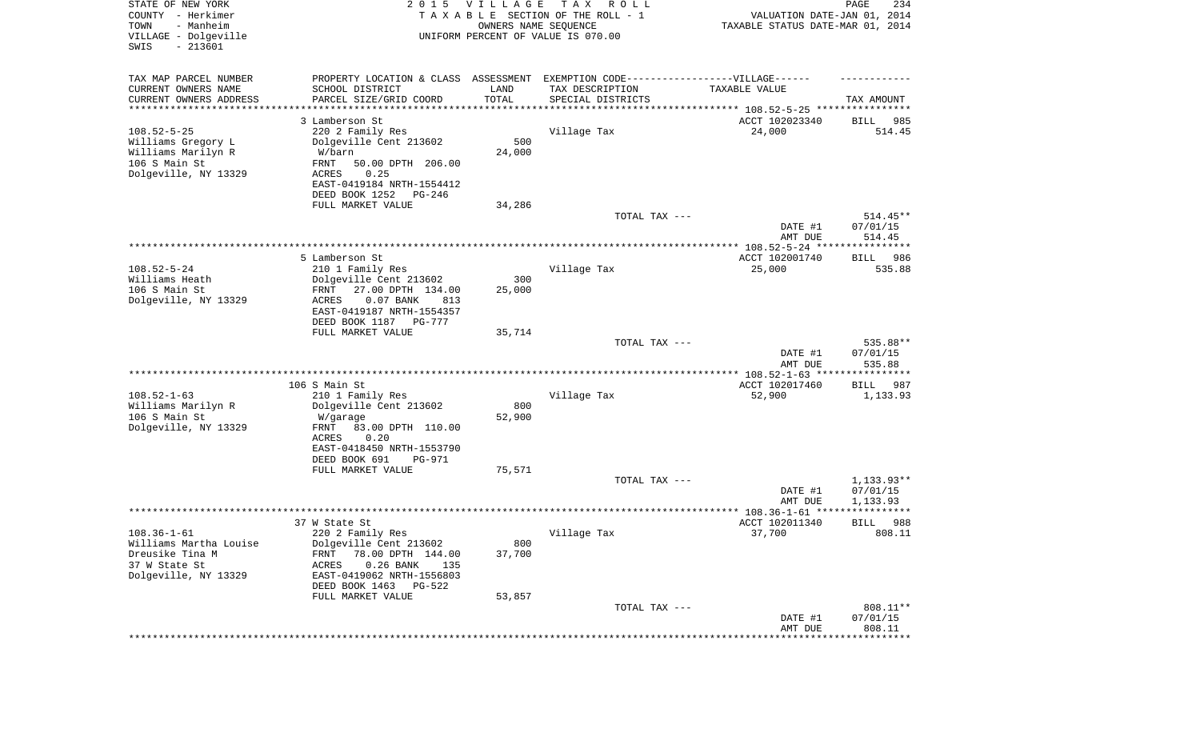| STATE OF NEW YORK<br>COUNTY - Herkimer<br>- Manheim<br>TOWN<br>VILLAGE - Dolgeville<br>SWIS<br>$-213601$ | 2 0 1 5                                                                           | VILLAGE<br>OWNERS NAME SEQUENCE | T A X<br>R O L L<br>TAXABLE SECTION OF THE ROLL - 1<br>UNIFORM PERCENT OF VALUE IS 070.00 | VALUATION DATE-JAN 01, 2014<br>TAXABLE STATUS DATE-MAR 01, 2014                  | PAGE<br>234            |
|----------------------------------------------------------------------------------------------------------|-----------------------------------------------------------------------------------|---------------------------------|-------------------------------------------------------------------------------------------|----------------------------------------------------------------------------------|------------------------|
| TAX MAP PARCEL NUMBER                                                                                    | PROPERTY LOCATION & CLASS ASSESSMENT EXEMPTION CODE-----------------VILLAGE------ |                                 |                                                                                           |                                                                                  |                        |
| CURRENT OWNERS NAME                                                                                      | SCHOOL DISTRICT                                                                   | LAND                            | TAX DESCRIPTION                                                                           | TAXABLE VALUE                                                                    |                        |
| CURRENT OWNERS ADDRESS<br>********************                                                           | PARCEL SIZE/GRID COORD                                                            | TOTAL<br>* * * * * * * * * * *  | SPECIAL DISTRICTS                                                                         |                                                                                  | TAX AMOUNT             |
|                                                                                                          | 3 Lamberson St                                                                    |                                 |                                                                                           | ********************************* 108.52-5-25 ****************<br>ACCT 102023340 |                        |
| $108.52 - 5 - 25$                                                                                        | 220 2 Family Res                                                                  |                                 | Village Tax                                                                               | 24,000                                                                           | BILL<br>985<br>514.45  |
| Williams Gregory L                                                                                       | Dolgeville Cent 213602                                                            | 500                             |                                                                                           |                                                                                  |                        |
| Williams Marilyn R                                                                                       | W/barn                                                                            | 24,000                          |                                                                                           |                                                                                  |                        |
| 106 S Main St                                                                                            | FRNT<br>50.00 DPTH 206.00                                                         |                                 |                                                                                           |                                                                                  |                        |
| Dolgeville, NY 13329                                                                                     | ACRES<br>0.25                                                                     |                                 |                                                                                           |                                                                                  |                        |
|                                                                                                          | EAST-0419184 NRTH-1554412<br>DEED BOOK 1252<br>PG-246                             |                                 |                                                                                           |                                                                                  |                        |
|                                                                                                          | FULL MARKET VALUE                                                                 | 34,286                          |                                                                                           |                                                                                  |                        |
|                                                                                                          |                                                                                   |                                 | TOTAL TAX ---                                                                             |                                                                                  | $514.45**$             |
|                                                                                                          |                                                                                   |                                 |                                                                                           | DATE #1                                                                          | 07/01/15               |
|                                                                                                          |                                                                                   |                                 |                                                                                           | AMT DUE                                                                          | 514.45                 |
|                                                                                                          | 5 Lamberson St                                                                    |                                 |                                                                                           | ACCT 102001740                                                                   | BILL<br>986            |
| $108.52 - 5 - 24$                                                                                        | 210 1 Family Res                                                                  |                                 | Village Tax                                                                               | 25,000                                                                           | 535.88                 |
| Williams Heath                                                                                           | Dolgeville Cent 213602                                                            | 300                             |                                                                                           |                                                                                  |                        |
| 106 S Main St                                                                                            | 27.00 DPTH 134.00<br>FRNT                                                         | 25,000                          |                                                                                           |                                                                                  |                        |
| Dolgeville, NY 13329                                                                                     | $0.07$ BANK<br>ACRES<br>813                                                       |                                 |                                                                                           |                                                                                  |                        |
|                                                                                                          | EAST-0419187 NRTH-1554357<br>DEED BOOK 1187<br>PG-777                             |                                 |                                                                                           |                                                                                  |                        |
|                                                                                                          | FULL MARKET VALUE                                                                 | 35,714                          |                                                                                           |                                                                                  |                        |
|                                                                                                          |                                                                                   |                                 | TOTAL TAX ---                                                                             |                                                                                  | 535.88**               |
|                                                                                                          |                                                                                   |                                 |                                                                                           | DATE #1                                                                          | 07/01/15               |
|                                                                                                          |                                                                                   |                                 |                                                                                           | AMT DUE                                                                          | 535.88                 |
|                                                                                                          | 106 S Main St                                                                     |                                 |                                                                                           | ************* 108.52-1-63 *****************<br>ACCT 102017460                    | 987<br>BILL            |
| $108.52 - 1 - 63$                                                                                        | 210 1 Family Res                                                                  |                                 | Village Tax                                                                               | 52,900                                                                           | 1,133.93               |
| Williams Marilyn R                                                                                       | Dolgeville Cent 213602                                                            | 800                             |                                                                                           |                                                                                  |                        |
| 106 S Main St                                                                                            | W/garage                                                                          | 52,900                          |                                                                                           |                                                                                  |                        |
| Dolgeville, NY 13329                                                                                     | FRNT<br>83.00 DPTH 110.00                                                         |                                 |                                                                                           |                                                                                  |                        |
|                                                                                                          | ACRES<br>0.20<br>EAST-0418450 NRTH-1553790                                        |                                 |                                                                                           |                                                                                  |                        |
|                                                                                                          | DEED BOOK 691<br>PG-971                                                           |                                 |                                                                                           |                                                                                  |                        |
|                                                                                                          | FULL MARKET VALUE                                                                 | 75,571                          |                                                                                           |                                                                                  |                        |
|                                                                                                          |                                                                                   |                                 | TOTAL TAX ---                                                                             |                                                                                  | $1,133.93**$           |
|                                                                                                          |                                                                                   |                                 |                                                                                           | DATE #1                                                                          | 07/01/15               |
|                                                                                                          |                                                                                   |                                 |                                                                                           | AMT DUE                                                                          | 1,133.93<br>****       |
|                                                                                                          | 37 W State St                                                                     |                                 |                                                                                           | ACCT 102011340                                                                   | 988<br>BILL            |
| $108.36 - 1 - 61$                                                                                        | 220 2 Family Res                                                                  |                                 | Village Tax                                                                               | 37,700                                                                           | 808.11                 |
| Williams Martha Louise                                                                                   | Dolgeville Cent 213602                                                            | 800                             |                                                                                           |                                                                                  |                        |
| Dreusike Tina M                                                                                          | 78.00 DPTH 144.00<br><b>FRNT</b>                                                  | 37,700                          |                                                                                           |                                                                                  |                        |
| 37 W State St<br>Dolgeville, NY 13329                                                                    | <b>ACRES</b><br>$0.26$ BANK<br>135<br>EAST-0419062 NRTH-1556803                   |                                 |                                                                                           |                                                                                  |                        |
|                                                                                                          | DEED BOOK 1463 PG-522                                                             |                                 |                                                                                           |                                                                                  |                        |
|                                                                                                          | FULL MARKET VALUE                                                                 | 53,857                          |                                                                                           |                                                                                  |                        |
|                                                                                                          |                                                                                   |                                 | TOTAL TAX ---                                                                             |                                                                                  | 808.11**               |
|                                                                                                          |                                                                                   |                                 |                                                                                           | DATE #1                                                                          | 07/01/15               |
|                                                                                                          |                                                                                   |                                 |                                                                                           | AMT DUE                                                                          | 808.11<br>************ |
|                                                                                                          |                                                                                   |                                 |                                                                                           |                                                                                  |                        |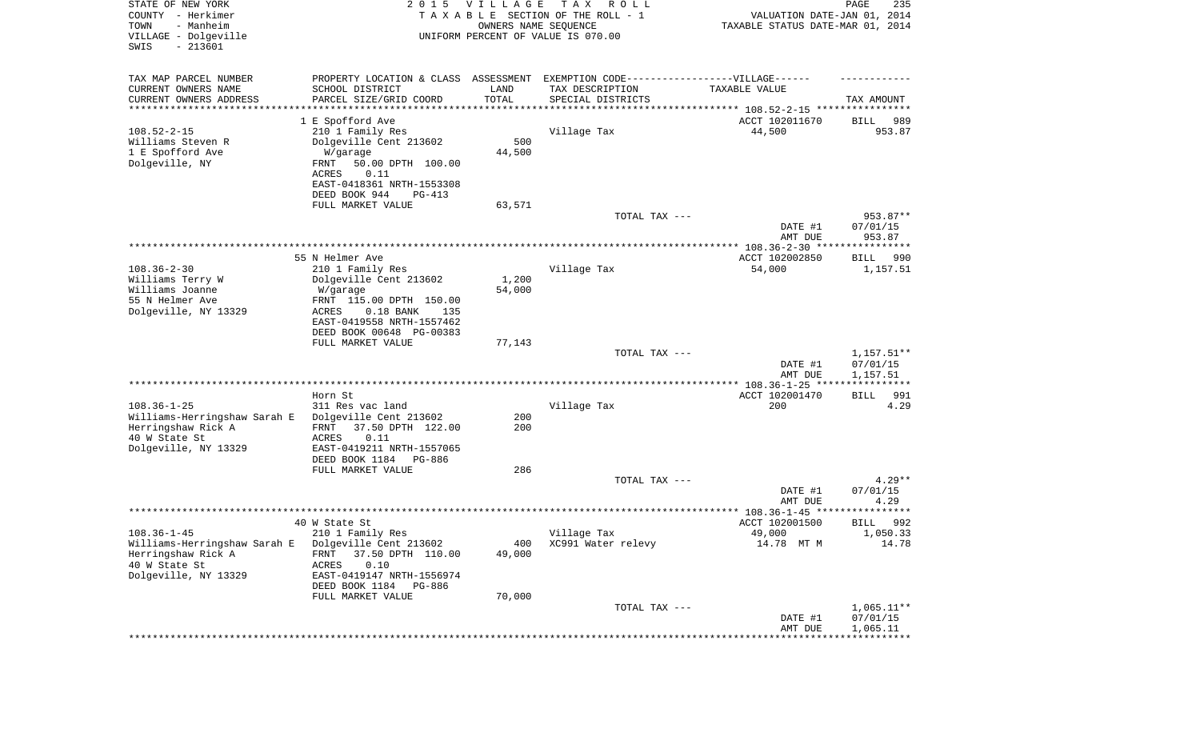| STATE OF NEW YORK<br>COUNTY - Herkimer<br>- Manheim<br>TOWN<br>VILLAGE - Dolgeville<br>SWIS<br>$-213601$ | 2 0 1 5                                                                                              | VILLAGE<br>OWNERS NAME SEQUENCE | T A X<br>R O L L<br>TAXABLE SECTION OF THE ROLL - 1<br>UNIFORM PERCENT OF VALUE IS 070.00 | VALUATION DATE-JAN 01, 2014<br>TAXABLE STATUS DATE-MAR 01, 2014 | PAGE<br>235           |
|----------------------------------------------------------------------------------------------------------|------------------------------------------------------------------------------------------------------|---------------------------------|-------------------------------------------------------------------------------------------|-----------------------------------------------------------------|-----------------------|
| TAX MAP PARCEL NUMBER<br>CURRENT OWNERS NAME                                                             | PROPERTY LOCATION & CLASS ASSESSMENT EXEMPTION CODE-----------------VILLAGE------<br>SCHOOL DISTRICT | LAND                            | TAX DESCRIPTION                                                                           | TAXABLE VALUE                                                   |                       |
| CURRENT OWNERS ADDRESS<br>********************                                                           | PARCEL SIZE/GRID COORD                                                                               | TOTAL<br>* * * * * * * * * * *  | SPECIAL DISTRICTS                                                                         |                                                                 | TAX AMOUNT            |
|                                                                                                          |                                                                                                      |                                 |                                                                                           |                                                                 |                       |
| $108.52 - 2 - 15$                                                                                        | 1 E Spofford Ave<br>210 1 Family Res                                                                 |                                 | Village Tax                                                                               | ACCT 102011670<br>44,500                                        | 989<br>BILL<br>953.87 |
| Williams Steven R                                                                                        | Dolgeville Cent 213602                                                                               | 500                             |                                                                                           |                                                                 |                       |
| 1 E Spofford Ave                                                                                         | W/garage                                                                                             | 44,500                          |                                                                                           |                                                                 |                       |
| Dolgeville, NY                                                                                           | 50.00 DPTH 100.00<br>FRNT                                                                            |                                 |                                                                                           |                                                                 |                       |
|                                                                                                          | 0.11<br>ACRES                                                                                        |                                 |                                                                                           |                                                                 |                       |
|                                                                                                          | EAST-0418361 NRTH-1553308                                                                            |                                 |                                                                                           |                                                                 |                       |
|                                                                                                          | DEED BOOK 944<br>PG-413                                                                              |                                 |                                                                                           |                                                                 |                       |
|                                                                                                          | FULL MARKET VALUE                                                                                    | 63,571                          |                                                                                           |                                                                 |                       |
|                                                                                                          |                                                                                                      |                                 | TOTAL TAX ---                                                                             |                                                                 | 953.87**              |
|                                                                                                          |                                                                                                      |                                 |                                                                                           | DATE #1<br>AMT DUE                                              | 07/01/15<br>953.87    |
|                                                                                                          |                                                                                                      |                                 |                                                                                           |                                                                 |                       |
|                                                                                                          | 55 N Helmer Ave                                                                                      |                                 |                                                                                           | ACCT 102002850                                                  | BILL<br>990           |
| $108.36 - 2 - 30$                                                                                        | 210 1 Family Res                                                                                     |                                 | Village Tax                                                                               | 54,000                                                          | 1,157.51              |
| Williams Terry W                                                                                         | Dolgeville Cent 213602                                                                               | 1,200                           |                                                                                           |                                                                 |                       |
| Williams Joanne                                                                                          | W/garage                                                                                             | 54,000                          |                                                                                           |                                                                 |                       |
| 55 N Helmer Ave                                                                                          | FRNT 115.00 DPTH 150.00                                                                              |                                 |                                                                                           |                                                                 |                       |
| Dolgeville, NY 13329                                                                                     | ACRES<br>$0.18$ BANK<br>135<br>EAST-0419558 NRTH-1557462                                             |                                 |                                                                                           |                                                                 |                       |
|                                                                                                          | DEED BOOK 00648 PG-00383                                                                             |                                 |                                                                                           |                                                                 |                       |
|                                                                                                          | FULL MARKET VALUE                                                                                    | 77,143                          |                                                                                           |                                                                 |                       |
|                                                                                                          |                                                                                                      |                                 | TOTAL TAX ---                                                                             |                                                                 | $1,157.51**$          |
|                                                                                                          |                                                                                                      |                                 |                                                                                           | DATE #1                                                         | 07/01/15              |
|                                                                                                          |                                                                                                      |                                 |                                                                                           | AMT DUE                                                         | 1,157.51              |
|                                                                                                          | Horn St                                                                                              |                                 |                                                                                           | ACCT 102001470                                                  | 991                   |
| $108.36 - 1 - 25$                                                                                        | 311 Res vac land                                                                                     |                                 | Village Tax                                                                               | 200                                                             | BILL<br>4.29          |
| Williams-Herringshaw Sarah E                                                                             | Dolgeville Cent 213602                                                                               | 200                             |                                                                                           |                                                                 |                       |
| Herringshaw Rick A                                                                                       | FRNT<br>37.50 DPTH 122.00                                                                            | 200                             |                                                                                           |                                                                 |                       |
| 40 W State St                                                                                            | ACRES<br>0.11                                                                                        |                                 |                                                                                           |                                                                 |                       |
| Dolgeville, NY 13329                                                                                     | EAST-0419211 NRTH-1557065                                                                            |                                 |                                                                                           |                                                                 |                       |
|                                                                                                          | DEED BOOK 1184<br>PG-886                                                                             |                                 |                                                                                           |                                                                 |                       |
|                                                                                                          | FULL MARKET VALUE                                                                                    | 286                             |                                                                                           |                                                                 | $4.29**$              |
|                                                                                                          |                                                                                                      |                                 | TOTAL TAX ---                                                                             | DATE #1                                                         | 07/01/15              |
|                                                                                                          |                                                                                                      |                                 |                                                                                           | AMT DUE                                                         | 4.29                  |
|                                                                                                          |                                                                                                      |                                 |                                                                                           |                                                                 | * * * * * *           |
|                                                                                                          | 40 W State St                                                                                        |                                 |                                                                                           | ACCT 102001500                                                  | 992<br>BILL           |
| $108.36 - 1 - 45$                                                                                        | 210 1 Family Res                                                                                     |                                 | Village Tax                                                                               | 49,000                                                          | 1,050.33              |
| Williams-Herringshaw Sarah E                                                                             | Dolgeville Cent 213602                                                                               | 400                             | XC991 Water relevy                                                                        | 14.78 MT M                                                      | 14.78                 |
| Herringshaw Rick A<br>40 W State St                                                                      | 37.50 DPTH 110.00<br><b>FRNT</b><br>ACRES<br>0.10                                                    | 49,000                          |                                                                                           |                                                                 |                       |
| Dolgeville, NY 13329                                                                                     | EAST-0419147 NRTH-1556974                                                                            |                                 |                                                                                           |                                                                 |                       |
|                                                                                                          | DEED BOOK 1184<br>PG-886                                                                             |                                 |                                                                                           |                                                                 |                       |
|                                                                                                          | FULL MARKET VALUE                                                                                    | 70,000                          |                                                                                           |                                                                 |                       |
|                                                                                                          |                                                                                                      |                                 | TOTAL TAX ---                                                                             |                                                                 | $1,065.11**$          |
|                                                                                                          |                                                                                                      |                                 |                                                                                           | DATE #1                                                         | 07/01/15              |
|                                                                                                          |                                                                                                      |                                 |                                                                                           | AMT DUE                                                         | 1,065.11              |
|                                                                                                          |                                                                                                      |                                 |                                                                                           |                                                                 |                       |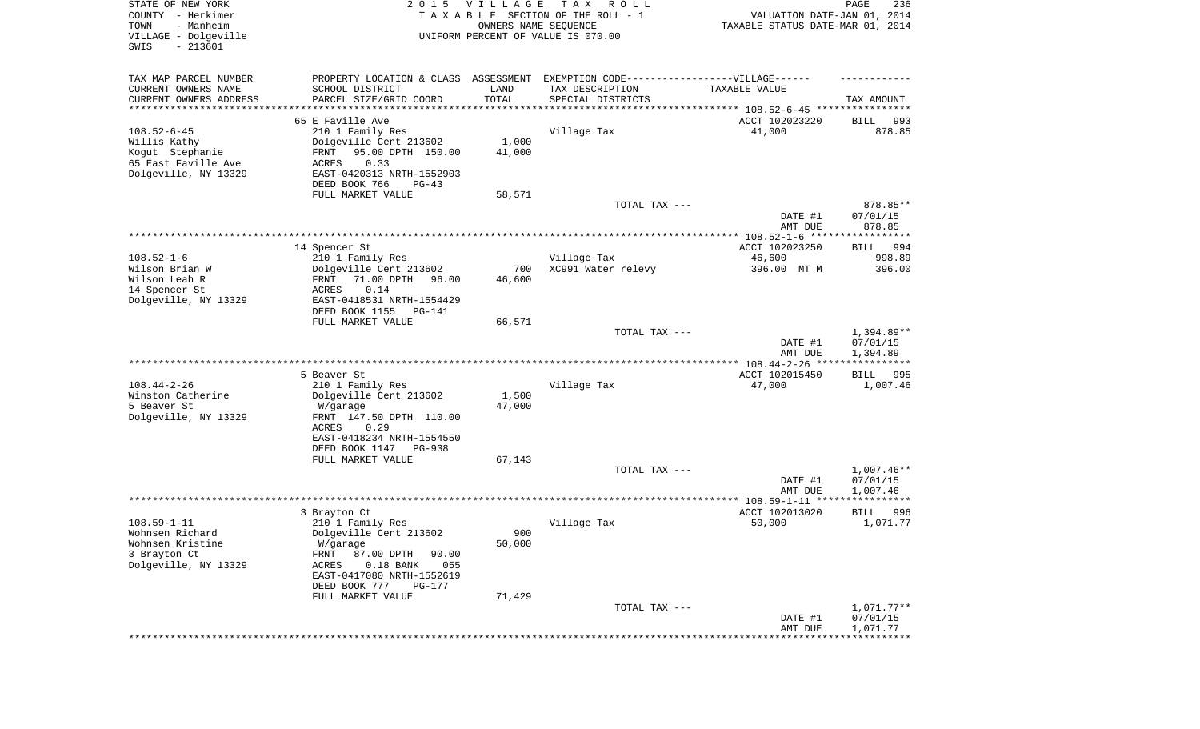| STATE OF NEW YORK<br>COUNTY - Herkimer<br>- Manheim<br>TOWN<br>VILLAGE - Dolgeville<br>SWIS<br>$-213601$ | 2 0 1 5                                                                          | <b>VILLAGE</b><br>OWNERS NAME SEQUENCE | T A X<br>R O L L<br>TAXABLE SECTION OF THE ROLL - 1<br>UNIFORM PERCENT OF VALUE IS 070.00 | VALUATION DATE-JAN 01, 2014<br>TAXABLE STATUS DATE-MAR 01, 2014 | PAGE<br>236            |
|----------------------------------------------------------------------------------------------------------|----------------------------------------------------------------------------------|----------------------------------------|-------------------------------------------------------------------------------------------|-----------------------------------------------------------------|------------------------|
| TAX MAP PARCEL NUMBER                                                                                    | PROPERTY LOCATION & CLASS ASSESSMENT EXEMPTION CODE----------------VILLAGE------ |                                        |                                                                                           |                                                                 |                        |
| CURRENT OWNERS NAME                                                                                      | SCHOOL DISTRICT                                                                  | LAND                                   | TAX DESCRIPTION                                                                           | TAXABLE VALUE                                                   |                        |
| CURRENT OWNERS ADDRESS<br>********************                                                           | PARCEL SIZE/GRID COORD                                                           | TOTAL                                  | SPECIAL DISTRICTS                                                                         |                                                                 | TAX AMOUNT             |
|                                                                                                          | 65 E Faville Ave                                                                 |                                        |                                                                                           | ACCT 102023220                                                  | BILL<br>993            |
| $108.52 - 6 - 45$                                                                                        | 210 1 Family Res                                                                 |                                        | Village Tax                                                                               | 41,000                                                          | 878.85                 |
| Willis Kathy                                                                                             | Dolgeville Cent 213602                                                           | 1,000                                  |                                                                                           |                                                                 |                        |
| Kogut Stephanie                                                                                          | 95.00 DPTH 150.00<br>FRNT                                                        | 41,000                                 |                                                                                           |                                                                 |                        |
| 65 East Faville Ave                                                                                      | <b>ACRES</b><br>0.33                                                             |                                        |                                                                                           |                                                                 |                        |
| Dolgeville, NY 13329                                                                                     | EAST-0420313 NRTH-1552903<br>DEED BOOK 766<br>$PG-43$                            |                                        |                                                                                           |                                                                 |                        |
|                                                                                                          | FULL MARKET VALUE                                                                | 58,571                                 |                                                                                           |                                                                 |                        |
|                                                                                                          |                                                                                  |                                        | TOTAL TAX ---                                                                             |                                                                 | 878.85**               |
|                                                                                                          |                                                                                  |                                        |                                                                                           | DATE #1                                                         | 07/01/15               |
|                                                                                                          |                                                                                  |                                        |                                                                                           | AMT DUE                                                         | 878.85                 |
|                                                                                                          | 14 Spencer St                                                                    |                                        |                                                                                           | ACCT 102023250                                                  | 994<br>BILL            |
| $108.52 - 1 - 6$                                                                                         | 210 1 Family Res                                                                 |                                        | Village Tax                                                                               | 46,600                                                          | 998.89                 |
| Wilson Brian W                                                                                           | Dolgeville Cent 213602                                                           | 700                                    | XC991 Water relevy                                                                        | 396.00 MT M                                                     | 396.00                 |
| Wilson Leah R                                                                                            | 71.00 DPTH<br>FRNT<br>96.00                                                      | 46,600                                 |                                                                                           |                                                                 |                        |
| 14 Spencer St                                                                                            | 0.14<br>ACRES<br>EAST-0418531 NRTH-1554429                                       |                                        |                                                                                           |                                                                 |                        |
| Dolgeville, NY 13329                                                                                     | DEED BOOK 1155<br>PG-141                                                         |                                        |                                                                                           |                                                                 |                        |
|                                                                                                          | FULL MARKET VALUE                                                                | 66,571                                 |                                                                                           |                                                                 |                        |
|                                                                                                          |                                                                                  |                                        | TOTAL TAX ---                                                                             |                                                                 | 1,394.89**             |
|                                                                                                          |                                                                                  |                                        |                                                                                           | DATE #1<br>AMT DUE                                              | 07/01/15<br>1,394.89   |
|                                                                                                          |                                                                                  |                                        |                                                                                           |                                                                 |                        |
|                                                                                                          | 5 Beaver St                                                                      |                                        |                                                                                           | ACCT 102015450                                                  | BILL<br>995            |
| $108.44 - 2 - 26$                                                                                        | 210 1 Family Res                                                                 |                                        | Village Tax                                                                               | 47,000                                                          | 1,007.46               |
| Winston Catherine                                                                                        | Dolgeville Cent 213602                                                           | 1,500                                  |                                                                                           |                                                                 |                        |
| 5 Beaver St<br>Dolgeville, NY 13329                                                                      | W/garage<br>FRNT 147.50 DPTH 110.00                                              | 47,000                                 |                                                                                           |                                                                 |                        |
|                                                                                                          | ACRES<br>0.29                                                                    |                                        |                                                                                           |                                                                 |                        |
|                                                                                                          | EAST-0418234 NRTH-1554550                                                        |                                        |                                                                                           |                                                                 |                        |
|                                                                                                          | DEED BOOK 1147<br><b>PG-938</b>                                                  |                                        |                                                                                           |                                                                 |                        |
|                                                                                                          | FULL MARKET VALUE                                                                | 67,143                                 |                                                                                           |                                                                 |                        |
|                                                                                                          |                                                                                  |                                        | TOTAL TAX ---                                                                             | DATE #1                                                         | 1,007.46**<br>07/01/15 |
|                                                                                                          |                                                                                  |                                        |                                                                                           | AMT DUE                                                         | 1,007.46               |
|                                                                                                          |                                                                                  |                                        |                                                                                           |                                                                 |                        |
|                                                                                                          | 3 Brayton Ct                                                                     |                                        |                                                                                           | ACCT 102013020                                                  | 996<br>BILL            |
| $108.59 - 1 - 11$                                                                                        | 210 1 Family Res                                                                 |                                        | Village Tax                                                                               | 50,000                                                          | 1,071.77               |
| Wohnsen Richard<br>Wohnsen Kristine                                                                      | Dolgeville Cent 213602<br>W/garage                                               | 900<br>50,000                          |                                                                                           |                                                                 |                        |
| 3 Brayton Ct                                                                                             | FRNT<br>87.00 DPTH<br>90.00                                                      |                                        |                                                                                           |                                                                 |                        |
| Dolgeville, NY 13329                                                                                     | 055<br>ACRES<br>$0.18$ BANK                                                      |                                        |                                                                                           |                                                                 |                        |
|                                                                                                          | EAST-0417080 NRTH-1552619                                                        |                                        |                                                                                           |                                                                 |                        |
|                                                                                                          | DEED BOOK 777<br>PG-177                                                          |                                        |                                                                                           |                                                                 |                        |
|                                                                                                          | FULL MARKET VALUE                                                                | 71,429                                 | TOTAL TAX ---                                                                             |                                                                 | 1,071.77**             |
|                                                                                                          |                                                                                  |                                        |                                                                                           | DATE #1                                                         | 07/01/15               |
|                                                                                                          |                                                                                  |                                        |                                                                                           | AMT DUE                                                         | 1,071.77               |
|                                                                                                          |                                                                                  |                                        |                                                                                           |                                                                 | **********             |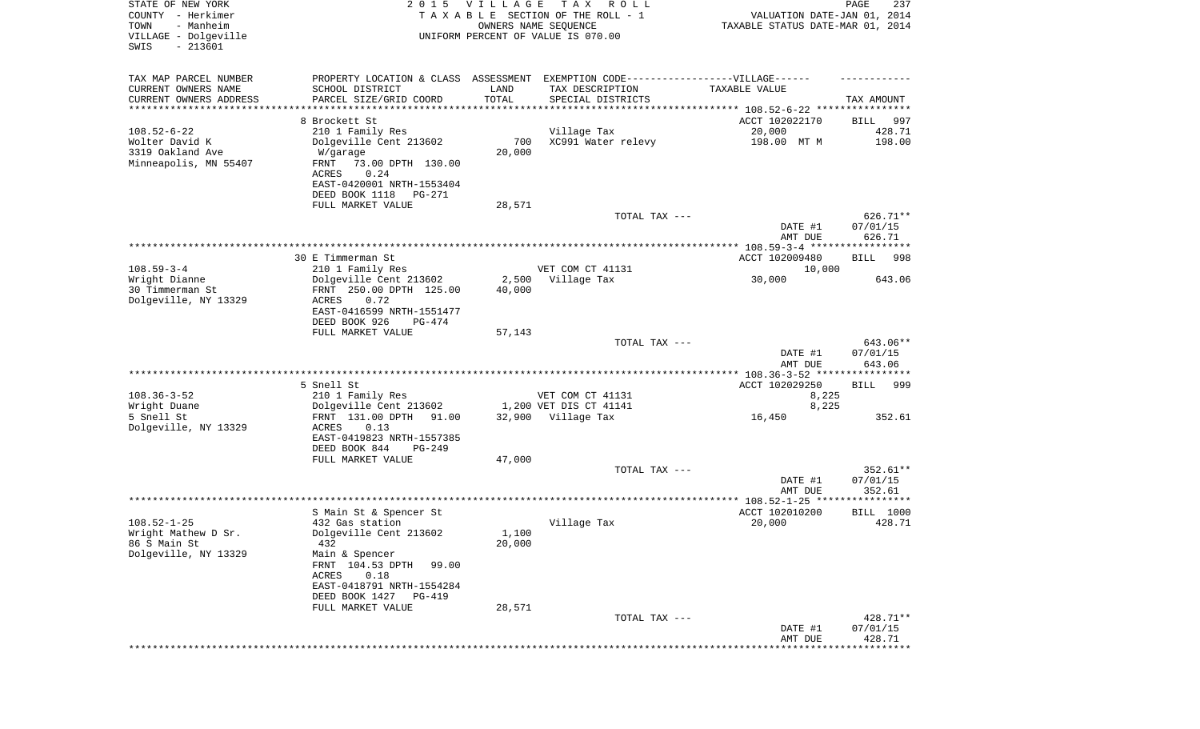| STATE OF NEW YORK<br>COUNTY - Herkimer<br>- Manheim<br>TOWN<br>VILLAGE - Dolgeville<br>SWIS<br>$-213601$ | 2 0 1 5                                                                           | <b>VILLAGE</b>  | T A X<br>R O L L<br>TAXABLE SECTION OF THE ROLL - 1<br>OWNERS NAME SEQUENCE<br>UNIFORM PERCENT OF VALUE IS 070.00 | VALUATION DATE-JAN 01, 2014<br>TAXABLE STATUS DATE-MAR 01, 2014 | PAGE<br>237          |
|----------------------------------------------------------------------------------------------------------|-----------------------------------------------------------------------------------|-----------------|-------------------------------------------------------------------------------------------------------------------|-----------------------------------------------------------------|----------------------|
| TAX MAP PARCEL NUMBER                                                                                    | PROPERTY LOCATION & CLASS ASSESSMENT EXEMPTION CODE-----------------VILLAGE------ |                 |                                                                                                                   |                                                                 |                      |
| CURRENT OWNERS NAME<br>CURRENT OWNERS ADDRESS                                                            | SCHOOL DISTRICT<br>PARCEL SIZE/GRID COORD                                         | LAND<br>TOTAL   | TAX DESCRIPTION<br>SPECIAL DISTRICTS                                                                              | TAXABLE VALUE                                                   | TAX AMOUNT           |
| *********************                                                                                    |                                                                                   |                 |                                                                                                                   |                                                                 |                      |
|                                                                                                          | 8 Brockett St                                                                     |                 |                                                                                                                   | ACCT 102022170                                                  | 997<br>BILL          |
| $108.52 - 6 - 22$<br>Wolter David K                                                                      | 210 1 Family Res<br>Dolgeville Cent 213602                                        | 700             | Village Tax<br>XC991 Water relevy                                                                                 | 20,000<br>198.00 MT M                                           | 428.71<br>198.00     |
| 3319 Oakland Ave                                                                                         | W/garage                                                                          | 20,000          |                                                                                                                   |                                                                 |                      |
| Minneapolis, MN 55407                                                                                    | FRNT<br>73.00 DPTH 130.00<br>0.24<br>ACRES                                        |                 |                                                                                                                   |                                                                 |                      |
|                                                                                                          | EAST-0420001 NRTH-1553404<br>DEED BOOK 1118<br>PG-271                             |                 |                                                                                                                   |                                                                 |                      |
|                                                                                                          | FULL MARKET VALUE                                                                 | 28,571          |                                                                                                                   |                                                                 |                      |
|                                                                                                          |                                                                                   |                 | TOTAL TAX ---                                                                                                     |                                                                 | 626.71**             |
|                                                                                                          |                                                                                   |                 |                                                                                                                   | DATE #1                                                         | 07/01/15             |
|                                                                                                          |                                                                                   |                 |                                                                                                                   | AMT DUE                                                         | 626.71               |
|                                                                                                          | 30 E Timmerman St                                                                 |                 |                                                                                                                   | ACCT 102009480                                                  | BILL<br>998          |
| $108.59 - 3 - 4$                                                                                         | 210 1 Family Res                                                                  |                 | VET COM CT 41131                                                                                                  | 10,000                                                          |                      |
| Wright Dianne<br>30 Timmerman St                                                                         | Dolgeville Cent 213602<br>FRNT 250.00 DPTH 125.00                                 | 2,500<br>40,000 | Village Tax                                                                                                       | 30,000                                                          | 643.06               |
| Dolgeville, NY 13329                                                                                     | ACRES<br>0.72                                                                     |                 |                                                                                                                   |                                                                 |                      |
|                                                                                                          | EAST-0416599 NRTH-1551477<br>DEED BOOK 926<br>PG-474                              |                 |                                                                                                                   |                                                                 |                      |
|                                                                                                          | FULL MARKET VALUE                                                                 | 57,143          |                                                                                                                   |                                                                 |                      |
|                                                                                                          |                                                                                   |                 | TOTAL TAX ---                                                                                                     |                                                                 | 643.06**             |
|                                                                                                          |                                                                                   |                 |                                                                                                                   | DATE #1<br>AMT DUE                                              | 07/01/15<br>643.06   |
|                                                                                                          |                                                                                   |                 |                                                                                                                   | **************** 108.36-3-52 *****************                  |                      |
|                                                                                                          | 5 Snell St                                                                        |                 |                                                                                                                   | ACCT 102029250                                                  | <b>BILL</b><br>999   |
| $108.36 - 3 - 52$                                                                                        | 210 1 Family Res                                                                  |                 | VET COM CT 41131                                                                                                  | 8,225                                                           |                      |
| Wright Duane                                                                                             | Dolgeville Cent 213602                                                            |                 | 1,200 VET DIS CT 41141                                                                                            | 8,225                                                           |                      |
| 5 Snell St<br>Dolgeville, NY 13329                                                                       | FRNT 131.00 DPTH<br>91.00<br>ACRES<br>0.13                                        |                 | 32,900 Village Tax                                                                                                | 16,450                                                          | 352.61               |
|                                                                                                          | EAST-0419823 NRTH-1557385<br>DEED BOOK 844<br>PG-249                              |                 |                                                                                                                   |                                                                 |                      |
|                                                                                                          | FULL MARKET VALUE                                                                 | 47,000          |                                                                                                                   |                                                                 |                      |
|                                                                                                          |                                                                                   |                 | TOTAL TAX ---                                                                                                     |                                                                 | 352.61**             |
|                                                                                                          |                                                                                   |                 |                                                                                                                   | DATE #1                                                         | 07/01/15             |
|                                                                                                          |                                                                                   |                 |                                                                                                                   | AMT DUE                                                         | 352.61               |
|                                                                                                          |                                                                                   |                 |                                                                                                                   |                                                                 |                      |
| $108.52 - 1 - 25$                                                                                        | S Main St & Spencer St<br>432 Gas station                                         |                 | Village Tax                                                                                                       | ACCT 102010200<br>20,000                                        | BILL 1000<br>428.71  |
| Wright Mathew D Sr.                                                                                      | Dolgeville Cent 213602                                                            | 1,100           |                                                                                                                   |                                                                 |                      |
| 86 S Main St                                                                                             | 432                                                                               | 20,000          |                                                                                                                   |                                                                 |                      |
| Dolgeville, NY 13329                                                                                     | Main & Spencer                                                                    |                 |                                                                                                                   |                                                                 |                      |
|                                                                                                          | FRNT 104.53 DPTH<br>99.00<br>0.18<br>ACRES                                        |                 |                                                                                                                   |                                                                 |                      |
|                                                                                                          | EAST-0418791 NRTH-1554284                                                         |                 |                                                                                                                   |                                                                 |                      |
|                                                                                                          | DEED BOOK 1427<br><b>PG-419</b>                                                   |                 |                                                                                                                   |                                                                 |                      |
|                                                                                                          | FULL MARKET VALUE                                                                 | 28,571          |                                                                                                                   |                                                                 |                      |
|                                                                                                          |                                                                                   |                 | TOTAL TAX ---                                                                                                     | DATE #1                                                         | 428.71**<br>07/01/15 |
|                                                                                                          |                                                                                   |                 |                                                                                                                   | AMT DUE                                                         | 428.71               |
|                                                                                                          |                                                                                   |                 |                                                                                                                   |                                                                 | **********           |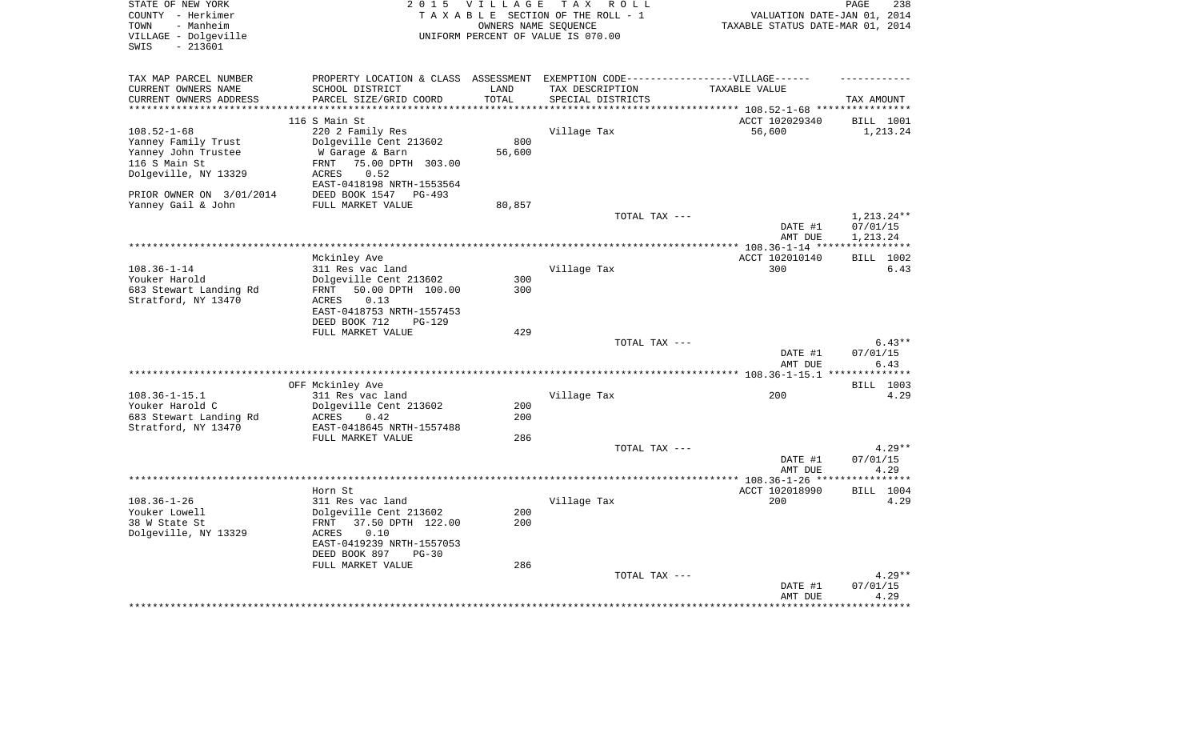| STATE OF NEW YORK<br>COUNTY - Herkimer        | 2 0 1 5                                                                           | <b>VILLAGE</b>       | TAX ROLL<br>TAXABLE SECTION OF THE ROLL - 1 | VALUATION DATE-JAN 01, 2014           | PAGE<br>238            |
|-----------------------------------------------|-----------------------------------------------------------------------------------|----------------------|---------------------------------------------|---------------------------------------|------------------------|
| - Manheim<br>TOWN                             |                                                                                   | OWNERS NAME SEOUENCE |                                             | TAXABLE STATUS DATE-MAR 01, 2014      |                        |
| VILLAGE - Dolgeville<br>$-213601$<br>SWIS     |                                                                                   |                      | UNIFORM PERCENT OF VALUE IS 070.00          |                                       |                        |
|                                               |                                                                                   |                      |                                             |                                       |                        |
| TAX MAP PARCEL NUMBER                         | PROPERTY LOCATION & CLASS ASSESSMENT EXEMPTION CODE-----------------VILLAGE------ |                      |                                             |                                       |                        |
| CURRENT OWNERS NAME<br>CURRENT OWNERS ADDRESS | SCHOOL DISTRICT<br>PARCEL SIZE/GRID COORD                                         | LAND<br>TOTAL        | TAX DESCRIPTION<br>SPECIAL DISTRICTS        | TAXABLE VALUE                         |                        |
|                                               |                                                                                   |                      |                                             | ******* 108.52-1-68 ***************** | TAX AMOUNT             |
|                                               | 116 S Main St                                                                     |                      |                                             | ACCT 102029340                        | BILL 1001              |
| $108.52 - 1 - 68$                             | 220 2 Family Res                                                                  |                      | Village Tax                                 | 56,600                                | 1,213.24               |
| Yanney Family Trust                           | Dolgeville Cent 213602                                                            | 800                  |                                             |                                       |                        |
| Yanney John Trustee                           | W Garage & Barn                                                                   | 56,600               |                                             |                                       |                        |
| 116 S Main St                                 | 75.00 DPTH 303.00<br>FRNT                                                         |                      |                                             |                                       |                        |
| Dolgeville, NY 13329                          | ACRES<br>0.52                                                                     |                      |                                             |                                       |                        |
|                                               | EAST-0418198 NRTH-1553564                                                         |                      |                                             |                                       |                        |
| PRIOR OWNER ON 3/01/2014                      | DEED BOOK 1547<br>$PG-493$                                                        |                      |                                             |                                       |                        |
| Yanney Gail & John                            | FULL MARKET VALUE                                                                 | 80,857               |                                             |                                       |                        |
|                                               |                                                                                   |                      | TOTAL TAX ---                               | DATE #1                               | 1,213.24**<br>07/01/15 |
|                                               |                                                                                   |                      |                                             | AMT DUE                               | 1,213.24               |
|                                               |                                                                                   |                      |                                             |                                       | ***********            |
|                                               | Mckinley Ave                                                                      |                      |                                             | ACCT 102010140                        | BILL 1002              |
| $108.36 - 1 - 14$                             | 311 Res vac land                                                                  |                      | Village Tax                                 | 300                                   | 6.43                   |
| Youker Harold                                 | Dolgeville Cent 213602                                                            | 300                  |                                             |                                       |                        |
| 683 Stewart Landing Rd                        | 50.00 DPTH 100.00<br>FRNT                                                         | 300                  |                                             |                                       |                        |
| Stratford, NY 13470                           | 0.13<br>ACRES                                                                     |                      |                                             |                                       |                        |
|                                               | EAST-0418753 NRTH-1557453                                                         |                      |                                             |                                       |                        |
|                                               | DEED BOOK 712<br><b>PG-129</b>                                                    | 429                  |                                             |                                       |                        |
|                                               | FULL MARKET VALUE                                                                 |                      | TOTAL TAX ---                               |                                       | $6.43**$               |
|                                               |                                                                                   |                      |                                             | DATE #1                               | 07/01/15               |
|                                               |                                                                                   |                      |                                             | AMT DUE                               | 6.43                   |
|                                               |                                                                                   |                      |                                             |                                       |                        |
|                                               | OFF Mckinley Ave                                                                  |                      |                                             |                                       | BILL 1003              |
| $108.36 - 1 - 15.1$                           | 311 Res vac land                                                                  |                      | Village Tax                                 | 200                                   | 4.29                   |
| Youker Harold C                               | Dolgeville Cent 213602                                                            | 200                  |                                             |                                       |                        |
| 683 Stewart Landing Rd                        | ACRES<br>0.42                                                                     | 200                  |                                             |                                       |                        |
| Stratford, NY 13470                           | EAST-0418645 NRTH-1557488                                                         |                      |                                             |                                       |                        |
|                                               | FULL MARKET VALUE                                                                 | 286                  |                                             |                                       |                        |
|                                               |                                                                                   |                      | TOTAL TAX ---                               |                                       | $4.29**$               |
|                                               |                                                                                   |                      |                                             | DATE #1<br>AMT DUE                    | 07/01/15<br>4.29       |
|                                               |                                                                                   |                      | ***********************                     | $* 108.36 - 1 - 26$ **                | ******                 |
|                                               | Horn St                                                                           |                      |                                             | ACCT 102018990                        | <b>BILL</b> 1004       |
| $108.36 - 1 - 26$                             | 311 Res vac land                                                                  |                      | Village Tax                                 | 200                                   | 4.29                   |
| Youker Lowell                                 | Dolgeville Cent 213602                                                            | 200                  |                                             |                                       |                        |
| 38 W State St                                 | 37.50 DPTH 122.00<br>FRNT                                                         | 200                  |                                             |                                       |                        |
| Dolgeville, NY 13329                          | 0.10<br>ACRES                                                                     |                      |                                             |                                       |                        |
|                                               | EAST-0419239 NRTH-1557053                                                         |                      |                                             |                                       |                        |
|                                               | DEED BOOK 897<br>$PG-30$                                                          |                      |                                             |                                       |                        |
|                                               | FULL MARKET VALUE                                                                 | 286                  |                                             |                                       |                        |
|                                               |                                                                                   |                      | TOTAL TAX ---                               | DATE #1                               | $4.29**$<br>07/01/15   |
|                                               |                                                                                   |                      |                                             | AMT DUE                               | 4.29                   |
|                                               |                                                                                   |                      |                                             |                                       |                        |
|                                               |                                                                                   |                      |                                             |                                       |                        |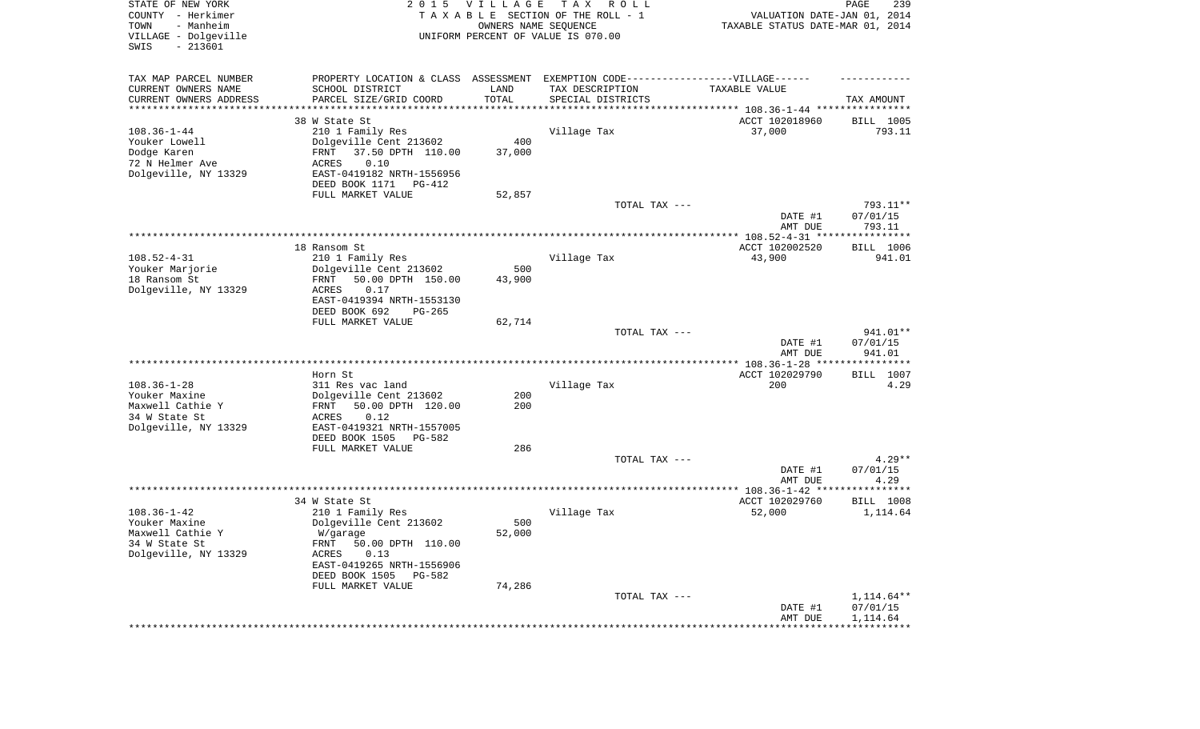| STATE OF NEW YORK<br>COUNTY - Herkimer<br>- Manheim<br>TOWN<br>VILLAGE - Dolgeville<br>$-213601$<br>SWIS | 2 0 1 5                                                                                                                                                                                       | <b>VILLAGE</b><br>OWNERS NAME SEQUENCE | T A X<br>R O L L<br>TAXABLE SECTION OF THE ROLL - 1<br>UNIFORM PERCENT OF VALUE IS 070.00 | VALUATION DATE-JAN 01, 2014<br>TAXABLE STATUS DATE-MAR 01, 2014 | PAGE<br>239                        |
|----------------------------------------------------------------------------------------------------------|-----------------------------------------------------------------------------------------------------------------------------------------------------------------------------------------------|----------------------------------------|-------------------------------------------------------------------------------------------|-----------------------------------------------------------------|------------------------------------|
| TAX MAP PARCEL NUMBER<br>CURRENT OWNERS NAME<br>CURRENT OWNERS ADDRESS<br>*********************          | PROPERTY LOCATION & CLASS ASSESSMENT<br>SCHOOL DISTRICT<br>PARCEL SIZE/GRID COORD                                                                                                             | LAND<br>TOTAL<br>* * * * * * * * * *   | EXEMPTION CODE------------------VILLAGE------<br>TAX DESCRIPTION<br>SPECIAL DISTRICTS     | TAXABLE VALUE                                                   | TAX AMOUNT                         |
| $108.36 - 1 - 44$<br>Youker Lowell<br>Dodge Karen<br>72 N Helmer Ave<br>Dolgeville, NY 13329             | 38 W State St<br>210 1 Family Res<br>Dolgeville Cent 213602<br>37.50 DPTH 110.00<br>FRNT<br>ACRES<br>0.10<br>EAST-0419182 NRTH-1556956<br>DEED BOOK 1171<br>PG-412<br>FULL MARKET VALUE       | 400<br>37,000<br>52,857                | Village Tax                                                                               | ACCT 102018960<br>37,000                                        | BILL 1005<br>793.11                |
|                                                                                                          |                                                                                                                                                                                               |                                        | TOTAL TAX ---                                                                             | DATE #1<br>AMT DUE                                              | 793.11**<br>07/01/15<br>793.11     |
| $108.52 - 4 - 31$<br>Youker Marjorie<br>18 Ransom St<br>Dolgeville, NY 13329                             | 18 Ransom St.<br>210 1 Family Res<br>Dolgeville Cent 213602<br>50.00 DPTH 150.00<br>FRNT<br>0.17<br>ACRES                                                                                     | 500<br>43,900                          | Village Tax                                                                               | ACCT 102002520<br>43,900                                        | BILL 1006<br>941.01                |
|                                                                                                          | EAST-0419394 NRTH-1553130<br>DEED BOOK 692<br>$PG-265$<br>FULL MARKET VALUE                                                                                                                   | 62,714                                 | TOTAL TAX ---                                                                             | DATE #1                                                         | 941.01**<br>07/01/15               |
|                                                                                                          |                                                                                                                                                                                               |                                        |                                                                                           | AMT DUE                                                         | 941.01                             |
| $108.36 - 1 - 28$<br>Youker Maxine<br>Maxwell Cathie Y<br>34 W State St<br>Dolgeville, NY 13329          | Horn St<br>311 Res vac land<br>Dolgeville Cent 213602<br>50.00 DPTH 120.00<br>FRNT<br>ACRES<br>0.12<br>EAST-0419321 NRTH-1557005<br>DEED BOOK 1505<br>PG-582                                  | 200<br>200                             | Village Tax                                                                               | ACCT 102029790<br>200                                           | BILL 1007<br>4.29                  |
|                                                                                                          | FULL MARKET VALUE                                                                                                                                                                             | 286                                    | TOTAL TAX ---                                                                             | DATE #1                                                         | $4.29**$<br>07/01/15               |
|                                                                                                          |                                                                                                                                                                                               |                                        |                                                                                           | AMT DUE                                                         | 4.29                               |
| $108.36 - 1 - 42$<br>Youker Maxine<br>Maxwell Cathie Y<br>34 W State St<br>Dolgeville, NY 13329          | 34 W State St<br>210 1 Family Res<br>Dolgeville Cent 213602<br>W/garage<br>FRNT 50.00 DPTH 110.00<br>ACRES<br>0.13<br>EAST-0419265 NRTH-1556906<br>DEED BOOK 1505 PG-582<br>FULL MARKET VALUE | 500<br>52,000<br>74,286                | Village Tax                                                                               | ACCT 102029760<br>52,000                                        | <b>BILL</b> 1008<br>1,114.64       |
|                                                                                                          |                                                                                                                                                                                               |                                        | TOTAL TAX ---<br>**********************************                                       | DATE #1<br>AMT DUE<br>**********************************        | 1,114.64**<br>07/01/15<br>1,114.64 |
|                                                                                                          |                                                                                                                                                                                               |                                        |                                                                                           |                                                                 |                                    |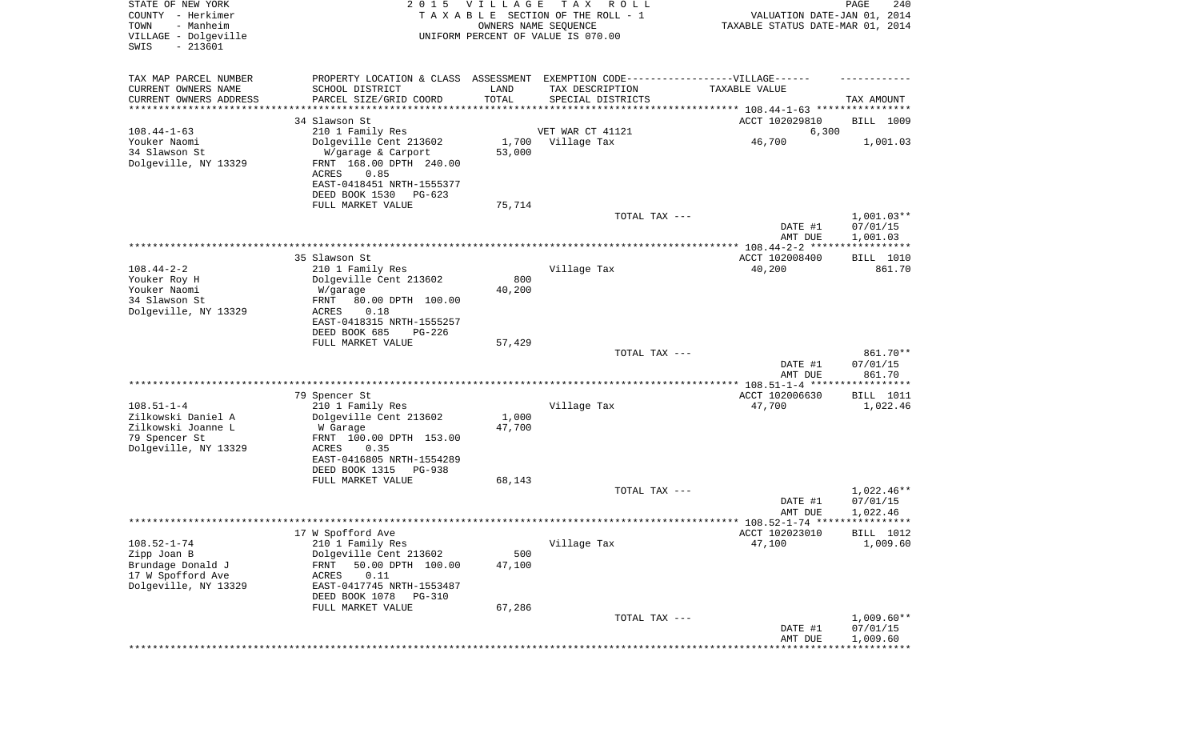| STATE OF NEW YORK<br>COUNTY - Herkimer<br>- Manheim<br>TOWN<br>VILLAGE - Dolgeville<br>SWIS<br>$-213601$ | 2 0 1 5                                                                          | <b>VILLAGE</b><br>OWNERS NAME SEQUENCE | T A X<br>R O L L<br>TAXABLE SECTION OF THE ROLL - 1<br>UNIFORM PERCENT OF VALUE IS 070.00 | VALUATION DATE-JAN 01, 2014<br>TAXABLE STATUS DATE-MAR 01, 2014 | PAGE<br>240           |
|----------------------------------------------------------------------------------------------------------|----------------------------------------------------------------------------------|----------------------------------------|-------------------------------------------------------------------------------------------|-----------------------------------------------------------------|-----------------------|
| TAX MAP PARCEL NUMBER                                                                                    | PROPERTY LOCATION & CLASS ASSESSMENT EXEMPTION CODE----------------VILLAGE------ |                                        |                                                                                           |                                                                 |                       |
| CURRENT OWNERS NAME<br>CURRENT OWNERS ADDRESS                                                            | SCHOOL DISTRICT<br>PARCEL SIZE/GRID COORD                                        | LAND<br>TOTAL                          | TAX DESCRIPTION<br>SPECIAL DISTRICTS                                                      | TAXABLE VALUE                                                   | TAX AMOUNT            |
| ********************                                                                                     |                                                                                  |                                        |                                                                                           |                                                                 |                       |
|                                                                                                          | 34 Slawson St                                                                    |                                        |                                                                                           | ACCT 102029810                                                  | BILL 1009             |
| $108.44 - 1 - 63$                                                                                        | 210 1 Family Res                                                                 |                                        | VET WAR CT 41121                                                                          | 6,300                                                           |                       |
| Youker Naomi<br>34 Slawson St                                                                            | Dolgeville Cent 213602<br>W/garage & Carport                                     | 1,700<br>53,000                        | Village Tax                                                                               | 46,700                                                          | 1,001.03              |
| Dolgeville, NY 13329                                                                                     | FRNT 168.00 DPTH 240.00<br>ACRES<br>0.85                                         |                                        |                                                                                           |                                                                 |                       |
|                                                                                                          | EAST-0418451 NRTH-1555377<br>DEED BOOK 1530<br>$PG-623$                          |                                        |                                                                                           |                                                                 |                       |
|                                                                                                          | FULL MARKET VALUE                                                                | 75,714                                 |                                                                                           |                                                                 |                       |
|                                                                                                          |                                                                                  |                                        | TOTAL TAX ---                                                                             |                                                                 | $1,001.03**$          |
|                                                                                                          |                                                                                  |                                        |                                                                                           | DATE #1                                                         | 07/01/15              |
|                                                                                                          |                                                                                  |                                        |                                                                                           | AMT DUE                                                         | 1,001.03              |
|                                                                                                          | 35 Slawson St                                                                    |                                        |                                                                                           | ACCT 102008400                                                  | BILL 1010             |
| $108.44 - 2 - 2$                                                                                         | 210 1 Family Res                                                                 |                                        | Village Tax                                                                               | 40,200                                                          | 861.70                |
| Youker Roy H                                                                                             | Dolgeville Cent 213602                                                           | 800                                    |                                                                                           |                                                                 |                       |
| Youker Naomi<br>34 Slawson St                                                                            | W/garage<br>FRNT                                                                 | 40,200                                 |                                                                                           |                                                                 |                       |
| Dolgeville, NY 13329                                                                                     | 80.00 DPTH 100.00<br>ACRES<br>0.18                                               |                                        |                                                                                           |                                                                 |                       |
|                                                                                                          | EAST-0418315 NRTH-1555257                                                        |                                        |                                                                                           |                                                                 |                       |
|                                                                                                          | DEED BOOK 685<br>$PG-226$                                                        |                                        |                                                                                           |                                                                 |                       |
|                                                                                                          | FULL MARKET VALUE                                                                | 57,429                                 |                                                                                           |                                                                 |                       |
|                                                                                                          |                                                                                  |                                        | TOTAL TAX ---                                                                             | DATE #1                                                         | 861.70**<br>07/01/15  |
|                                                                                                          |                                                                                  |                                        |                                                                                           | AMT DUE                                                         | 861.70                |
|                                                                                                          |                                                                                  |                                        |                                                                                           |                                                                 | * * * * * * * * * * * |
|                                                                                                          | 79 Spencer St                                                                    |                                        |                                                                                           | ACCT 102006630                                                  | BILL 1011             |
| $108.51 - 1 - 4$<br>Zilkowski Daniel A                                                                   | 210 1 Family Res<br>Dolgeville Cent 213602                                       | 1,000                                  | Village Tax                                                                               | 47,700                                                          | 1,022.46              |
| Zilkowski Joanne L                                                                                       | W Garage                                                                         | 47,700                                 |                                                                                           |                                                                 |                       |
| 79 Spencer St                                                                                            | FRNT 100.00 DPTH 153.00                                                          |                                        |                                                                                           |                                                                 |                       |
| Dolgeville, NY 13329                                                                                     | ACRES<br>0.35                                                                    |                                        |                                                                                           |                                                                 |                       |
|                                                                                                          | EAST-0416805 NRTH-1554289                                                        |                                        |                                                                                           |                                                                 |                       |
|                                                                                                          | DEED BOOK 1315<br><b>PG-938</b><br>FULL MARKET VALUE                             | 68,143                                 |                                                                                           |                                                                 |                       |
|                                                                                                          |                                                                                  |                                        | TOTAL TAX ---                                                                             |                                                                 | 1,022.46**            |
|                                                                                                          |                                                                                  |                                        |                                                                                           | DATE #1                                                         | 07/01/15              |
|                                                                                                          |                                                                                  |                                        |                                                                                           | AMT DUE                                                         | 1,022.46              |
|                                                                                                          |                                                                                  |                                        |                                                                                           |                                                                 | BILL 1012             |
| $108.52 - 1 - 74$                                                                                        | 17 W Spofford Ave<br>210 1 Family Res                                            |                                        | Village Tax                                                                               | ACCT 102023010<br>47,100                                        | 1,009.60              |
| Zipp Joan B                                                                                              | Dolgeville Cent 213602                                                           | 500                                    |                                                                                           |                                                                 |                       |
| Brundage Donald J                                                                                        | 50.00 DPTH 100.00<br>FRNT                                                        | 47,100                                 |                                                                                           |                                                                 |                       |
| 17 W Spofford Ave                                                                                        | 0.11<br>ACRES                                                                    |                                        |                                                                                           |                                                                 |                       |
| Dolgeville, NY 13329                                                                                     | EAST-0417745 NRTH-1553487<br>DEED BOOK 1078<br>PG-310                            |                                        |                                                                                           |                                                                 |                       |
|                                                                                                          | FULL MARKET VALUE                                                                | 67,286                                 |                                                                                           |                                                                 |                       |
|                                                                                                          |                                                                                  |                                        | TOTAL TAX ---                                                                             |                                                                 | $1,009.60**$          |
|                                                                                                          |                                                                                  |                                        |                                                                                           | DATE #1                                                         | 07/01/15              |
|                                                                                                          |                                                                                  |                                        |                                                                                           | AMT DUE                                                         | 1,009.60              |
|                                                                                                          |                                                                                  |                                        |                                                                                           |                                                                 |                       |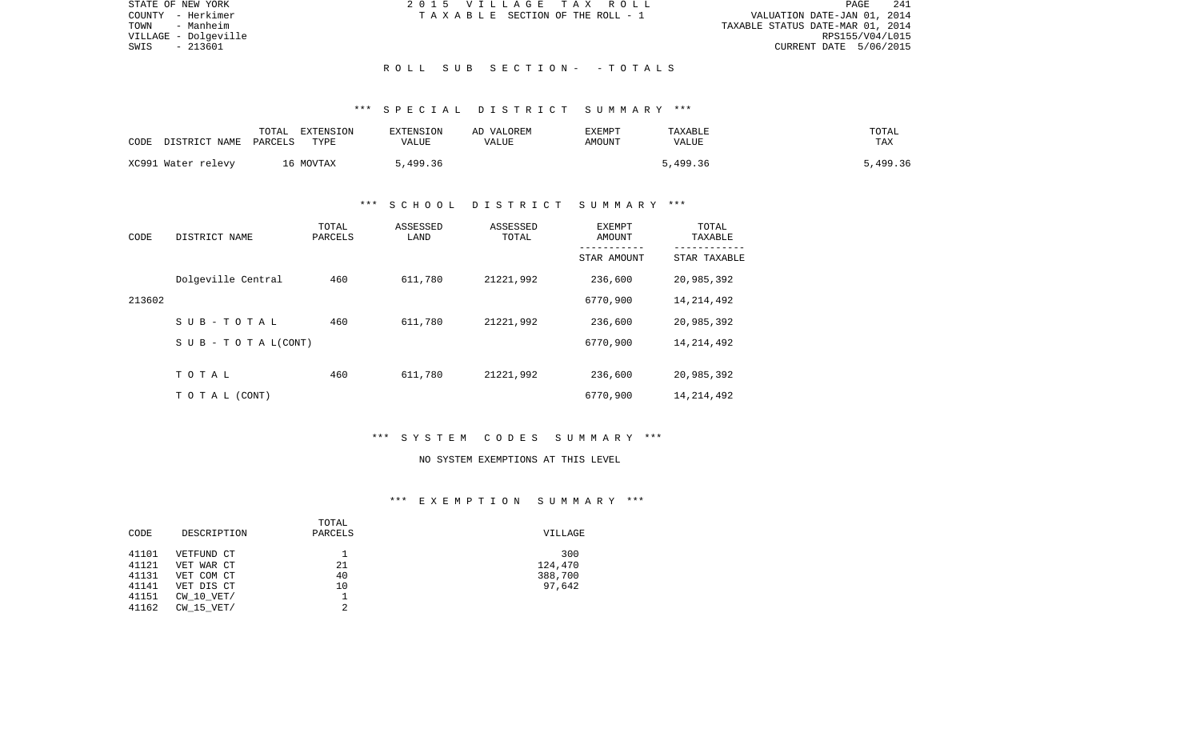| STATE OF NEW YORK    | 2015 VILLAGE TAX ROLL                 | 241<br>PAGE                      |
|----------------------|---------------------------------------|----------------------------------|
| COUNTY - Herkimer    | T A X A B L E SECTION OF THE ROLL - 1 | VALUATION DATE-JAN 01, 2014      |
| TOWN<br>- Manheim    |                                       | TAXABLE STATUS DATE-MAR 01, 2014 |
| VILLAGE - Dolgeville |                                       | RPS155/V04/L015                  |
| - 213601<br>SWIS     |                                       | CURRENT DATE 5/06/2015           |
|                      |                                       |                                  |
|                      | ROLL SUB SECTION- - TOTALS            |                                  |

# \*\*\* S P E C I A L D I S T R I C T S U M M A R Y \*\*\*

| CODE | DISTRICT NAME      | TOTAL<br>PARCELS | EXTENSION<br>TYPE | EXTENSION<br>VALUE | AD VALOREM<br>VALUE | <b>EXEMPT</b><br>AMOUNT | TAXABLE<br>VALUE | TOTAL<br>TAX |
|------|--------------------|------------------|-------------------|--------------------|---------------------|-------------------------|------------------|--------------|
|      | XC991 Water relevy |                  | 16 MOVTAX         | 5,499.36           |                     |                         | 5,499.36         | 5,499.36     |

## \*\*\* S C H O O L D I S T R I C T S U M M A R Y \*\*\*

| CODE   | DISTRICT NAME                    | TOTAL<br>PARCELS | ASSESSED<br>LAND | ASSESSED<br>TOTAL | EXEMPT<br>AMOUNT<br>---------- | TOTAL<br>TAXABLE<br>----------- |
|--------|----------------------------------|------------------|------------------|-------------------|--------------------------------|---------------------------------|
|        |                                  |                  |                  |                   | STAR AMOUNT                    | STAR TAXABLE                    |
|        | Dolgeville Central               | 460              | 611,780          | 21221,992         | 236,600                        | 20,985,392                      |
| 213602 |                                  |                  |                  |                   | 6770,900                       | 14, 214, 492                    |
|        | SUB-TOTAL                        | 460              | 611,780          | 21221,992         | 236,600                        | 20,985,392                      |
|        | $S \cup B - T \cup T A L (CONT)$ |                  |                  |                   | 6770,900                       | 14, 214, 492                    |
|        |                                  |                  |                  |                   |                                |                                 |
|        | TOTAL                            | 460              | 611,780          | 21221,992         | 236,600                        | 20,985,392                      |
|        | TO TAL (CONT)                    |                  |                  |                   | 6770,900                       | 14, 214, 492                    |

### \*\*\* S Y S T E M C O D E S S U M M A R Y \*\*\*

#### NO SYSTEM EXEMPTIONS AT THIS LEVEL

# \*\*\* E X E M P T I O N S U M M A R Y \*\*\*

|       |                | TOTAL   |         |
|-------|----------------|---------|---------|
| CODE  | DESCRIPTION    | PARCELS | VILLAGE |
| 41101 | VETFUND CT     |         | 300     |
| 41121 | VET WAR CT     | 21      | 124,470 |
| 41131 | VET COM CT     | 40      | 388,700 |
| 41141 | VET DIS CT     | 10      | 97,642  |
| 41151 | $CW$ 10 $VET/$ |         |         |
| 41162 | CW 15 VET/     | 2       |         |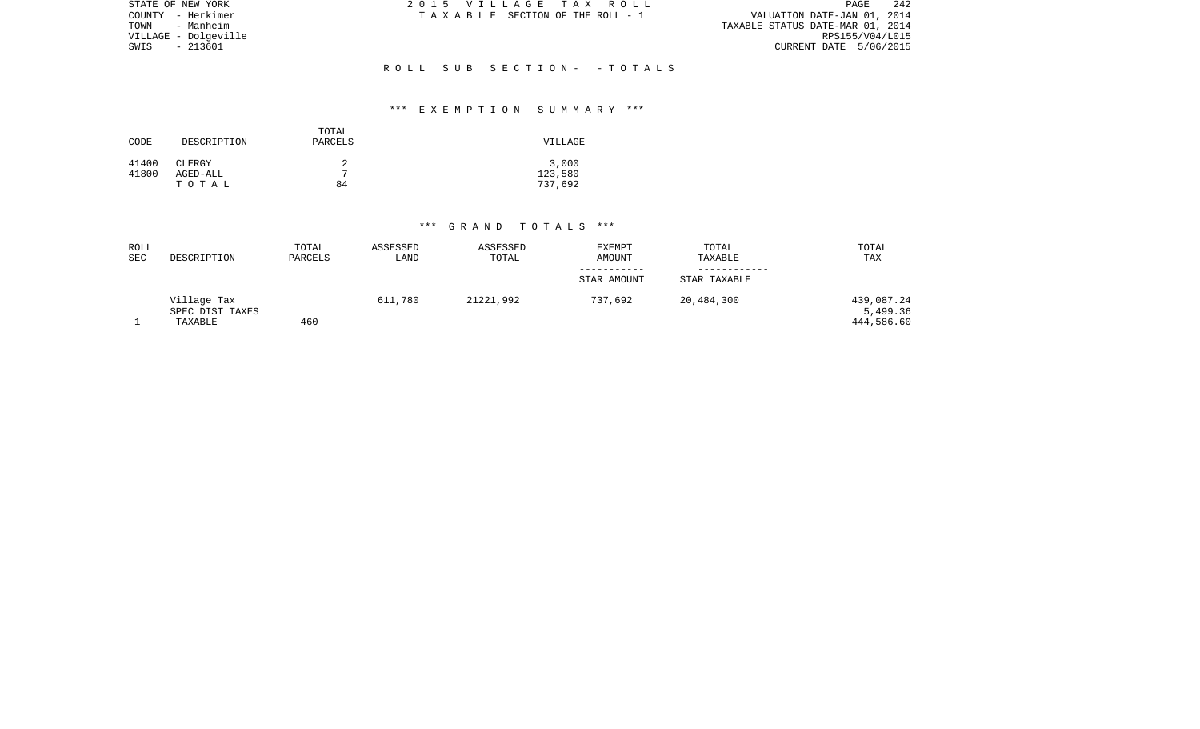| STATE OF NEW YORK    | 2015 VILLAGE TAX ROLL           | 242<br>PAGE                      |
|----------------------|---------------------------------|----------------------------------|
| COUNTY - Herkimer    | TAXABLE SECTION OF THE ROLL - 1 | VALUATION DATE-JAN 01, 2014      |
| TOWN<br>- Manheim    |                                 | TAXABLE STATUS DATE-MAR 01, 2014 |
| VILLAGE - Dolgeville |                                 | RPS155/V04/L015                  |
| - 213601<br>SWIS     |                                 | CURRENT DATE 5/06/2015           |
|                      |                                 |                                  |
|                      | ROLL SUB SECTION- - TOTALS      |                                  |

# \*\*\* E X E M P T I O N S U M M A R Y \*\*\*

| CODE           | DESCRIPTION        | TOTAL<br>PARCELS | VILLAGE          |
|----------------|--------------------|------------------|------------------|
| 41400<br>41800 | CLERGY<br>AGED-ALL | 2<br>7           | 3,000<br>123,580 |
|                | TOTAL              | 84               | 737,692          |

| ROLL<br><b>SEC</b> | DESCRIPTION     | TOTAL<br>PARCELS | ASSESSED<br>LAND | ASSESSED<br>TOTAL | <b>EXEMPT</b><br>AMOUNT | TOTAL<br>TAXABLE | TOTAL<br>TAX |
|--------------------|-----------------|------------------|------------------|-------------------|-------------------------|------------------|--------------|
|                    |                 |                  |                  |                   | -----------             |                  |              |
|                    |                 |                  |                  |                   | STAR AMOUNT             | STAR TAXABLE     |              |
|                    | Village Tax     |                  | 611,780          | 21221,992         | 737,692                 | 20,484,300       | 439,087.24   |
|                    | SPEC DIST TAXES |                  |                  |                   |                         |                  | 5,499.36     |
|                    | TAXABLE         | 460              |                  |                   |                         |                  | 444,586.60   |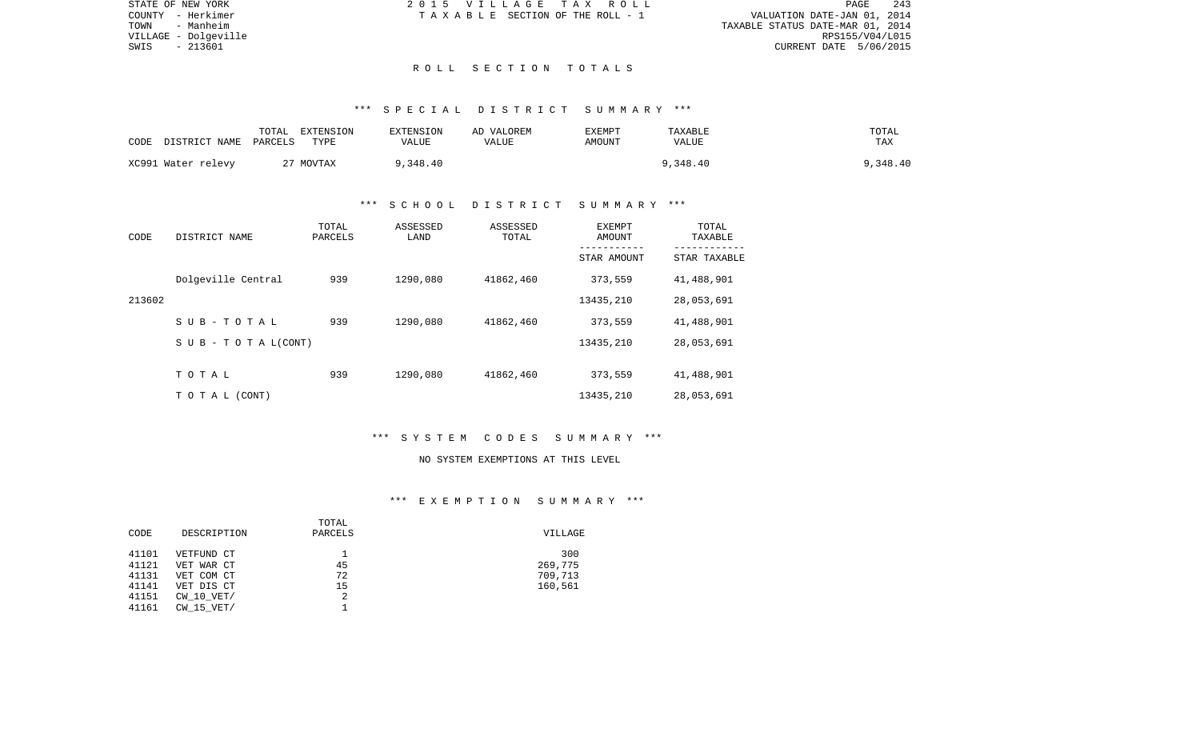| STATE OF NEW YORK    | 2015 VILLAGE TAX ROLL            | PAGE                        | 243 |
|----------------------|----------------------------------|-----------------------------|-----|
| COUNTY - Herkimer    | TAXABLE SECTION OF THE ROLL - 1  | VALUATION DATE-JAN 01, 2014 |     |
| TOWN<br>- Manheim    | TAXABLE STATUS DATE-MAR 01, 2014 |                             |     |
| VILLAGE - Dolgeville |                                  | RPS155/V04/L015             |     |
| SWIS<br>- 213601     |                                  | CURRENT DATE 5/06/2015      |     |
|                      |                                  |                             |     |

### R O L L S E C T I O N T O T A L S

### \*\*\* S P E C I A L D I S T R I C T S U M M A R Y \*\*\*

| CODE | DISTRICT NAME      | TOTAL<br>PARCELS | EXTENSION<br>TYPE | EXTENSION<br>VALUE | AD VALOREM<br>VALUE | <b>EXEMPT</b><br>AMOUNT | TAXABLE<br>VALUE | TOTAL<br>TAX |
|------|--------------------|------------------|-------------------|--------------------|---------------------|-------------------------|------------------|--------------|
|      | XC991 Water relevy |                  | 27 MOVTAX         | 9,348.40           |                     |                         | 9,348.40         | 9,348.40     |

### \*\*\* S C H O O L D I S T R I C T S U M M A R Y \*\*\*

| CODE   | DISTRICT NAME                    | TOTAL<br>PARCELS | ASSESSED<br>LAND | ASSESSED<br>TOTAL | EXEMPT<br>AMOUNT<br>---------- | TOTAL<br>TAXABLE<br>----------- |
|--------|----------------------------------|------------------|------------------|-------------------|--------------------------------|---------------------------------|
|        |                                  |                  |                  |                   | STAR AMOUNT                    | STAR TAXABLE                    |
|        | Dolgeville Central               | 939              | 1290,080         | 41862,460         | 373,559                        | 41,488,901                      |
| 213602 |                                  |                  |                  |                   | 13435,210                      | 28,053,691                      |
|        | SUB-TOTAL                        | 939              | 1290,080         | 41862,460         | 373,559                        | 41,488,901                      |
|        | $S \cup B - T \cup T A L (CONT)$ |                  |                  |                   | 13435,210                      | 28,053,691                      |
|        |                                  |                  |                  |                   |                                |                                 |
|        | TOTAL                            | 939              | 1290,080         | 41862,460         | 373,559                        | 41,488,901                      |
|        | TO TAL (CONT)                    |                  |                  |                   | 13435,210                      | 28,053,691                      |

### \*\*\* S Y S T E M C O D E S S U M M A R Y \*\*\*

#### NO SYSTEM EXEMPTIONS AT THIS LEVEL

# \*\*\* E X E M P T I O N S U M M A R Y \*\*\*

|       |                | TOTAL   |         |
|-------|----------------|---------|---------|
| CODE  | DESCRIPTION    | PARCELS | VILLAGE |
| 41101 | VETFUND CT     |         | 300     |
| 41121 | VET WAR CT     | 45      | 269,775 |
| 41131 | VET COM CT     | 72      | 709,713 |
| 41141 | VET DIS CT     | 15      | 160,561 |
| 41151 | $CW$ 10 $VET/$ | 2       |         |
| 41161 | CW 15 VET/     |         |         |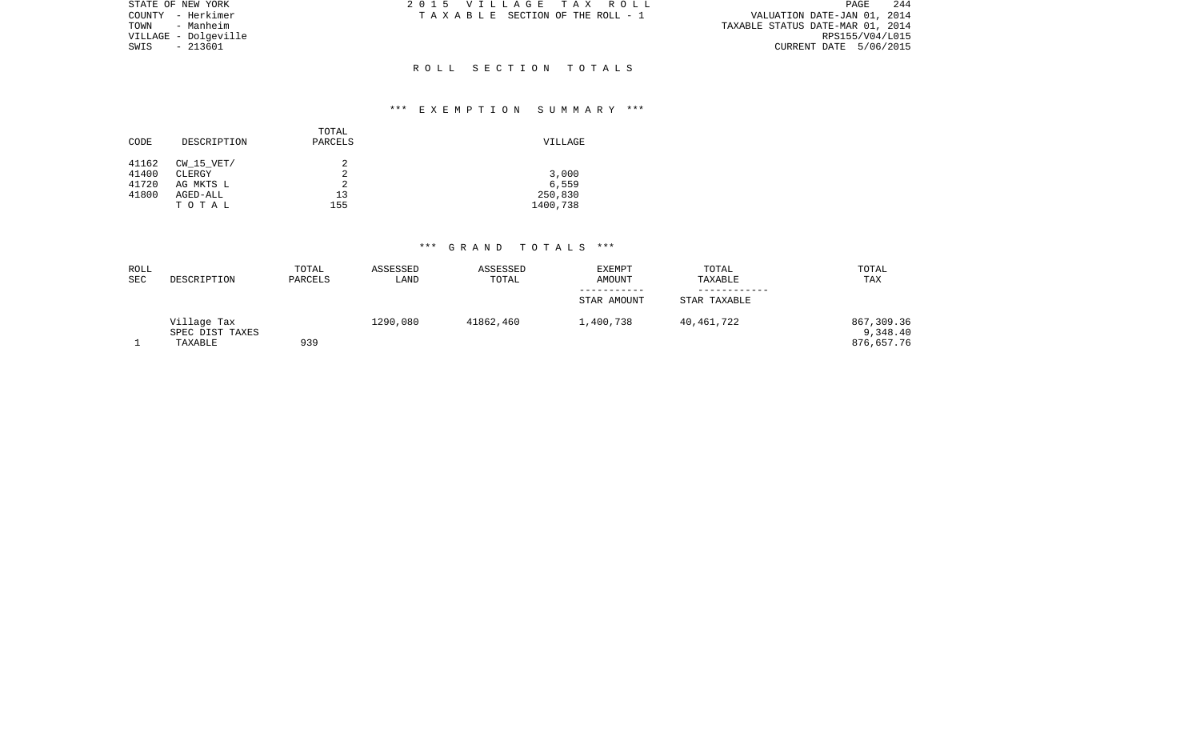| STATE OF NEW YORK    | 2015 VILLAGE TAX ROLL           | 244<br>PAGE                      |
|----------------------|---------------------------------|----------------------------------|
| COUNTY - Herkimer    | TAXABLE SECTION OF THE ROLL - 1 | VALUATION DATE-JAN 01, 2014      |
| TOWN<br>- Manheim    |                                 | TAXABLE STATUS DATE-MAR 01, 2014 |
| VILLAGE - Dolgeville |                                 | RPS155/V04/L015                  |
| SWIS<br>- 213601     |                                 | CURRENT DATE 5/06/2015           |
|                      |                                 |                                  |
|                      | ROLL SECTION TOTALS             |                                  |

# \*\*\* E X E M P T I O N S U M M A R Y \*\*\*

|       |                | TOTAL   |          |
|-------|----------------|---------|----------|
| CODE  | DESCRIPTION    | PARCELS | VILLAGE  |
|       |                |         |          |
| 41162 | $CW$ 15 $VET/$ | 2       |          |
| 41400 | CLERGY         | 2       | 3,000    |
| 41720 | AG MKTS L      | 2       | 6,559    |
| 41800 | AGED-ALL       | 13      | 250,830  |
|       | TOTAL          | 155     | 1400,738 |
|       |                |         |          |

| ROLL<br>SEC | DESCRIPTION                               | TOTAL<br>PARCELS | ASSESSED<br>LAND | ASSESSED<br>TOTAL | <b>EXEMPT</b><br>AMOUNT | TOTAL<br>TAXABLE | TOTAL<br>TAX                         |
|-------------|-------------------------------------------|------------------|------------------|-------------------|-------------------------|------------------|--------------------------------------|
|             |                                           |                  |                  |                   | STAR AMOUNT             | STAR TAXABLE     |                                      |
|             |                                           |                  |                  |                   |                         |                  |                                      |
|             | Village Tax<br>SPEC DIST TAXES<br>TAXABLE | 939              | 1290,080         | 41862,460         | 1,400,738               | 40,461,722       | 867,309.36<br>9,348.40<br>876,657.76 |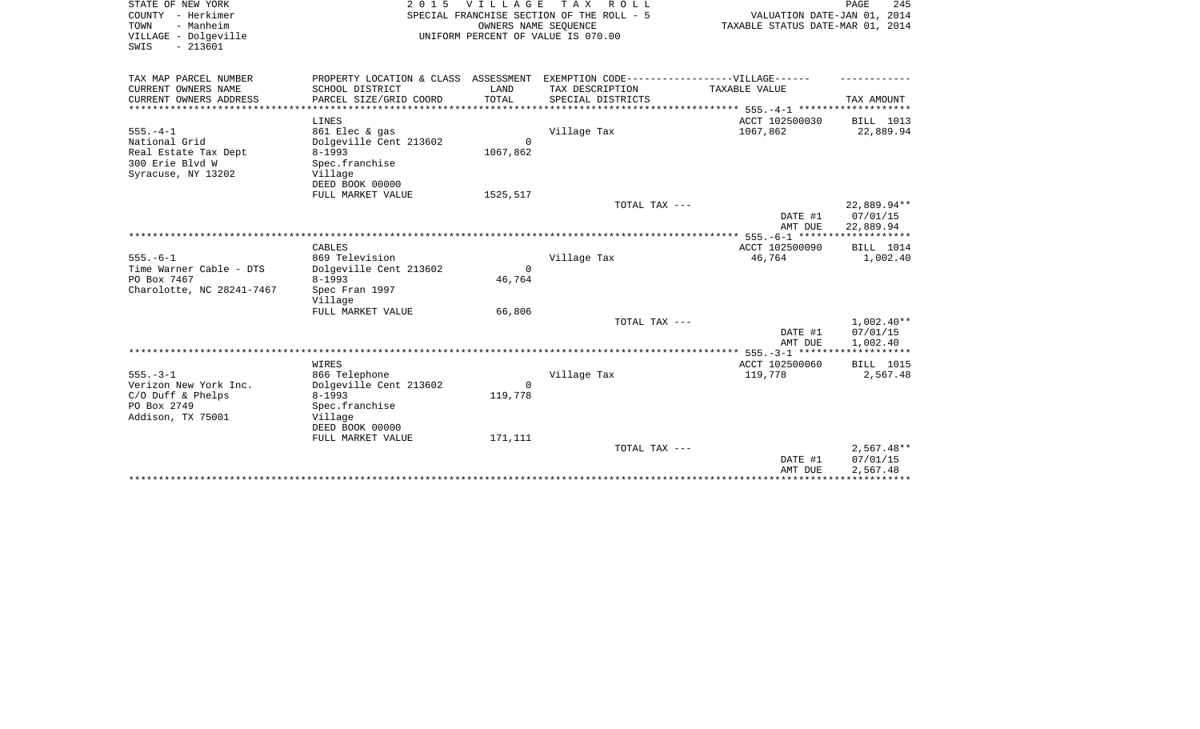| STATE OF NEW YORK         | 2 0 1 5                | <b>VILLAGE</b>  | T A X<br>R O L L                                                                  |                                  | PAGE<br>245             |
|---------------------------|------------------------|-----------------|-----------------------------------------------------------------------------------|----------------------------------|-------------------------|
| COUNTY - Herkimer         |                        |                 | SPECIAL FRANCHISE SECTION OF THE ROLL - 5                                         | VALUATION DATE-JAN 01, 2014      |                         |
| - Manheim<br>TOWN         |                        |                 | OWNERS NAME SEOUENCE                                                              | TAXABLE STATUS DATE-MAR 01, 2014 |                         |
| VILLAGE - Dolgeville      |                        |                 | UNIFORM PERCENT OF VALUE IS 070.00                                                |                                  |                         |
| $-213601$<br>SWIS         |                        |                 |                                                                                   |                                  |                         |
|                           |                        |                 |                                                                                   |                                  |                         |
| TAX MAP PARCEL NUMBER     |                        |                 | PROPERTY LOCATION & CLASS ASSESSMENT EXEMPTION CODE-----------------VILLAGE------ |                                  |                         |
| CURRENT OWNERS NAME       | SCHOOL DISTRICT        | LAND            | TAX DESCRIPTION                                                                   | TAXABLE VALUE                    |                         |
| CURRENT OWNERS ADDRESS    | PARCEL SIZE/GRID COORD | TOTAL           | SPECIAL DISTRICTS                                                                 |                                  | TAX AMOUNT              |
| *************             |                        | *************** | ********************************** 555._4_1 *******************                   |                                  |                         |
|                           | LINES                  |                 |                                                                                   | ACCT 102500030                   | BILL 1013               |
| $555. - 4 - 1$            | 861 Elec & gas         |                 | Village Tax                                                                       | 1067,862                         | 22,889.94               |
| National Grid             | Dolgeville Cent 213602 | $\Omega$        |                                                                                   |                                  |                         |
| Real Estate Tax Dept      | $8 - 1993$             | 1067,862        |                                                                                   |                                  |                         |
| 300 Erie Blvd W           | Spec.franchise         |                 |                                                                                   |                                  |                         |
| Syracuse, NY 13202        | Village                |                 |                                                                                   |                                  |                         |
|                           | DEED BOOK 00000        |                 |                                                                                   |                                  |                         |
|                           | FULL MARKET VALUE      | 1525,517        |                                                                                   |                                  |                         |
|                           |                        |                 | TOTAL TAX ---                                                                     |                                  | 22,889.94**             |
|                           |                        |                 |                                                                                   | DATE #1                          | 07/01/15                |
|                           |                        |                 |                                                                                   | AMT DUE                          | 22,889.94               |
|                           |                        |                 |                                                                                   |                                  |                         |
|                           | CABLES                 |                 |                                                                                   | ACCT 102500090                   | BILL 1014               |
| $555. - 6 - 1$            | 869 Television         |                 | Village Tax                                                                       | 46,764                           | 1,002.40                |
| Time Warner Cable - DTS   | Dolgeville Cent 213602 | $\Omega$        |                                                                                   |                                  |                         |
| PO Box 7467               | $8 - 1993$             | 46,764          |                                                                                   |                                  |                         |
| Charolotte, NC 28241-7467 | Spec Fran 1997         |                 |                                                                                   |                                  |                         |
|                           | Village                |                 |                                                                                   |                                  |                         |
|                           | FULL MARKET VALUE      | 66,806          |                                                                                   |                                  |                         |
|                           |                        |                 | TOTAL TAX ---                                                                     |                                  | $1,002.40**$            |
|                           |                        |                 |                                                                                   | DATE #1                          | 07/01/15                |
|                           |                        |                 |                                                                                   | AMT DUE                          | 1,002.40                |
|                           |                        |                 |                                                                                   |                                  | * * * * * * * * * * * * |
|                           | WIRES                  |                 |                                                                                   | ACCT 102500060                   | BILL 1015               |
| $555. - 3 - 1$            | 866 Telephone          |                 | Village Tax                                                                       | 119,778                          | 2,567.48                |
| Verizon New York Inc.     | Dolgeville Cent 213602 | 0               |                                                                                   |                                  |                         |
| $C/O$ Duff & Phelps       | $8 - 1993$             | 119,778         |                                                                                   |                                  |                         |
| PO Box 2749               | Spec.franchise         |                 |                                                                                   |                                  |                         |
| Addison, TX 75001         | Village                |                 |                                                                                   |                                  |                         |
|                           | DEED BOOK 00000        |                 |                                                                                   |                                  |                         |
|                           | FULL MARKET VALUE      | 171,111         |                                                                                   |                                  |                         |
|                           |                        |                 | TOTAL TAX ---                                                                     |                                  | $2,567.48**$            |
|                           |                        |                 |                                                                                   | DATE #1                          | 07/01/15                |
|                           |                        |                 |                                                                                   | AMT DUE                          | 2,567.48                |
|                           |                        |                 |                                                                                   |                                  |                         |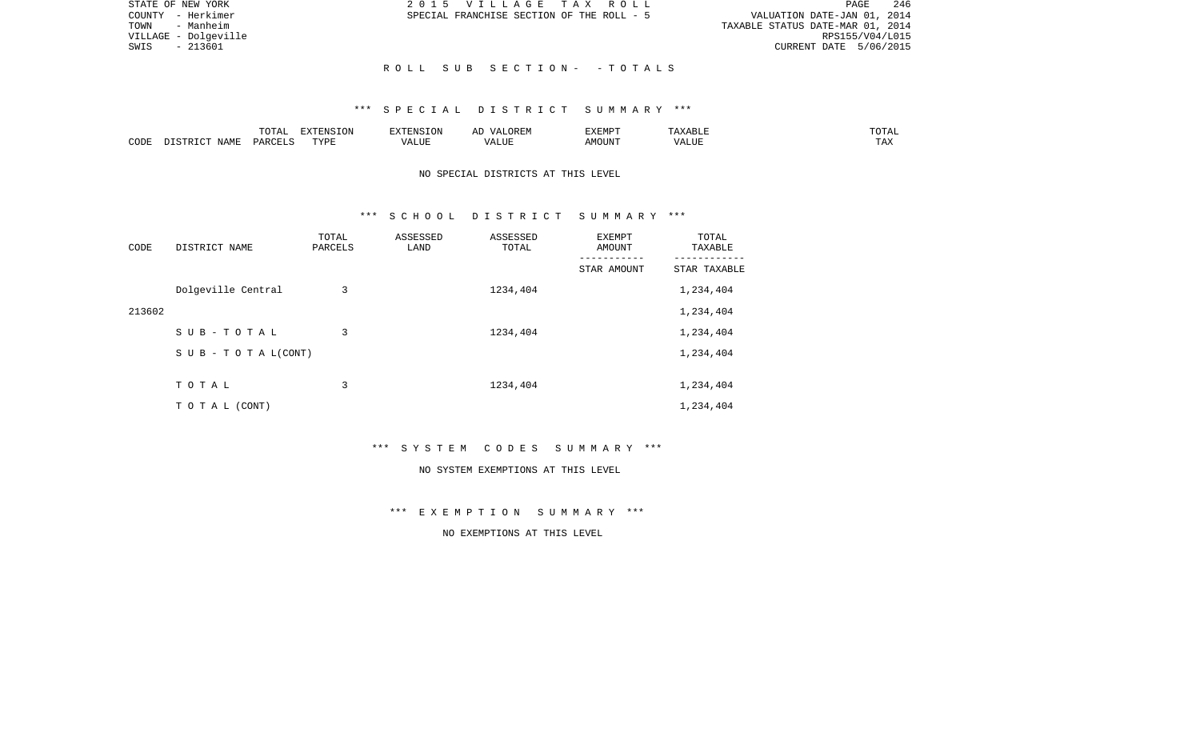| STATE OF NEW YORK    | 2015 VILLAGE TAX ROLL                     | 246<br>PAGE                      |
|----------------------|-------------------------------------------|----------------------------------|
| COUNTY - Herkimer    | SPECIAL FRANCHISE SECTION OF THE ROLL - 5 | VALUATION DATE-JAN 01, 2014      |
| TOWN<br>- Manheim    |                                           | TAXABLE STATUS DATE-MAR 01, 2014 |
| VILLAGE - Dolgeville |                                           | RPS155/V04/L015                  |
| SWIS<br>- 213601     |                                           | CURRENT DATE 5/06/2015           |
|                      |                                           |                                  |
|                      | ROLL SUB SECTION- -TOTALS                 |                                  |

### \*\*\* S P E C I A L D I S T R I C T S U M M A R Y \*\*\*

|      |      | <b>momm</b><br>◡∸⊷          | $\blacksquare$<br>N L'<br>LUN |                     |              | <b>EXEMPT</b> | . .            | ◡--                   |
|------|------|-----------------------------|-------------------------------|---------------------|--------------|---------------|----------------|-----------------------|
| CODE | NAME | $\alpha$ DORT $\beta$<br>◡▵ | FVDI                          | $\cdots$<br>ALILI P | י י<br>7 O T | )UN           | ----<br>יש שבא | m 7<br>L <i>L</i> 14. |

# NO SPECIAL DISTRICTS AT THIS LEVEL

### \*\*\* S C H O O L D I S T R I C T S U M M A R Y \*\*\*

| CODE   | DISTRICT NAME      | TOTAL<br>PARCELS | ASSESSED<br>LAND | ASSESSED<br>TOTAL | EXEMPT<br>AMOUNT | TOTAL<br>TAXABLE |
|--------|--------------------|------------------|------------------|-------------------|------------------|------------------|
|        |                    |                  |                  |                   | STAR AMOUNT      | STAR TAXABLE     |
|        | Dolgeville Central | 3                |                  | 1234,404          |                  | 1,234,404        |
| 213602 |                    |                  |                  |                   |                  | 1,234,404        |
|        | SUB-TOTAL          | 3                |                  | 1234,404          |                  | 1,234,404        |
|        | SUB - TO TAL(CONT) |                  |                  |                   |                  | 1,234,404        |
|        |                    |                  |                  |                   |                  |                  |
|        | TOTAL              | 3                |                  | 1234,404          |                  | 1,234,404        |
|        | T O T A L (CONT)   |                  |                  |                   |                  | 1,234,404        |

\*\*\* S Y S T E M C O D E S S U M M A R Y \*\*\*

#### NO SYSTEM EXEMPTIONS AT THIS LEVEL

\*\*\* E X E M P T I O N S U M M A R Y \*\*\*

NO EXEMPTIONS AT THIS LEVEL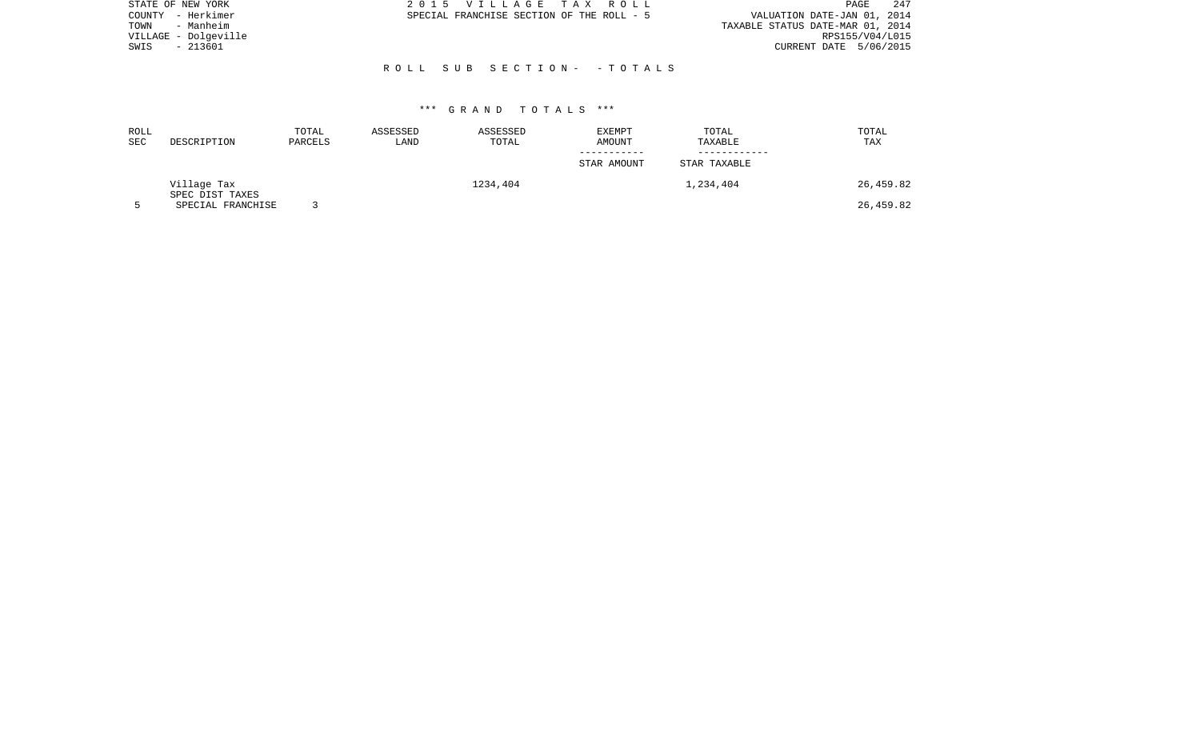| STATE OF NEW YORK    | 2015 VILLAGE TAX ROLL                     | -247<br>PAGE                     |
|----------------------|-------------------------------------------|----------------------------------|
| - Herkimer<br>COUNTY | SPECIAL FRANCHISE SECTION OF THE ROLL - 5 | VALUATION DATE-JAN 01, 2014      |
| - Manheim<br>TOWN    |                                           | TAXABLE STATUS DATE-MAR 01, 2014 |
| VILLAGE - Dolgeville |                                           | RPS155/V04/L015                  |
| - 213601<br>SWIS     |                                           | CURRENT DATE 5/06/2015           |
|                      |                                           |                                  |
|                      | ROLL SUB SECTION- - TOTALS                |                                  |
|                      |                                           |                                  |

| ROLL       |                                | TOTAL   | ASSESSED | ASSESSED | EXEMPT      | TOTAL        | TOTAL     |
|------------|--------------------------------|---------|----------|----------|-------------|--------------|-----------|
| <b>SEC</b> | DESCRIPTION                    | PARCELS | LAND     | TOTAL    | AMOUNT      | TAXABLE      | TAX       |
|            |                                |         |          |          | STAR AMOUNT | STAR TAXABLE |           |
|            | Village Tax<br>SPEC DIST TAXES |         |          | 1234,404 |             | 1,234,404    | 26,459.82 |
|            | SPECIAL FRANCHISE              |         |          |          |             |              | 26,459.82 |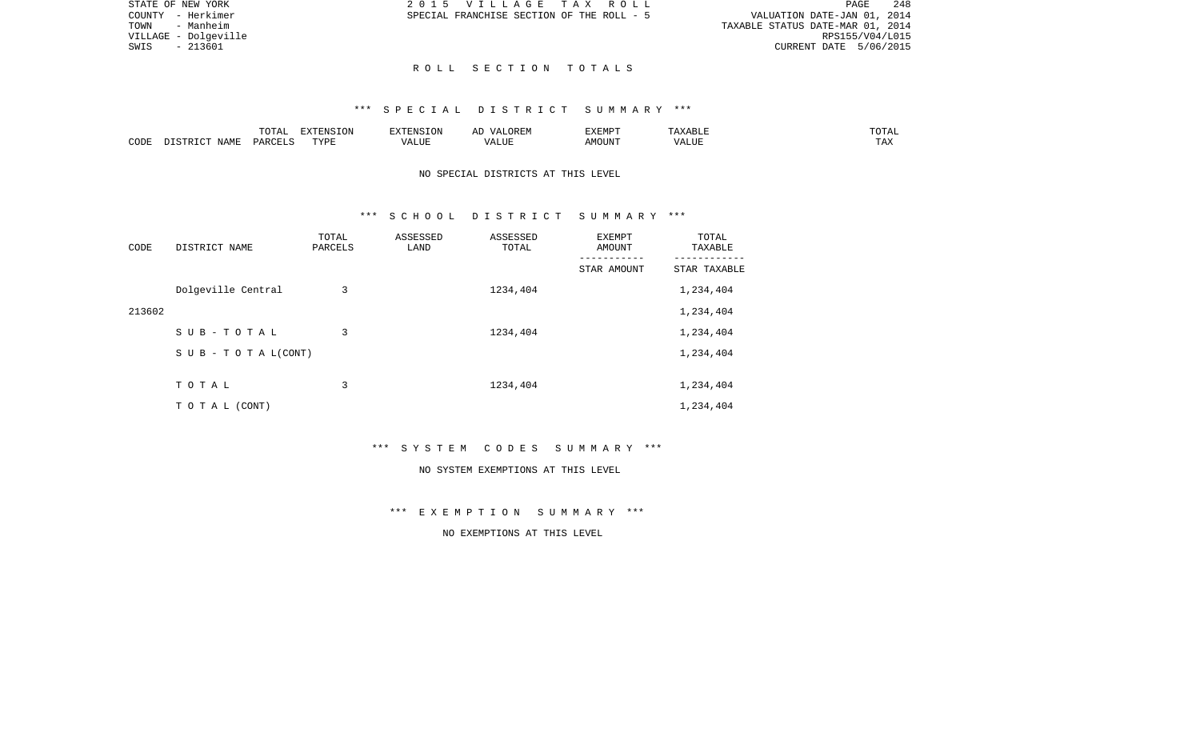|  | E TAX ROLL           |  |                                  |                             |  | PAGE. | 2.48            |
|--|----------------------|--|----------------------------------|-----------------------------|--|-------|-----------------|
|  | ION OF THE ROLL - 5" |  |                                  | VALUATION DATE-JAN 01, 2014 |  |       |                 |
|  |                      |  | TAXABLE STATUS DATE-MAR 01, 2014 |                             |  |       |                 |
|  |                      |  |                                  |                             |  |       | RPS155/V04/L015 |
|  |                      |  |                                  | CURRENT DATE 5/06/2015      |  |       |                 |

STATE OF NEW YORK  $2015$  V I L L A G COUNTY - Herkimer SPECIAL FRANCHISE SECT TOWN - Manheim VILLAGE - Dolgeville  $SWIS$  - 213601

#### R O L L S E C T I O N T O T A L S

#### \*\*\* S P E C I A L D I S T R I C T S U M M A R Y \*\*\*

|      |                               | <b>TOTA</b><br>- ∪ + ד | EXTENSION | ATAYA T QY<br>$\pm 1$ | )REM<br>$\Lambda$ / $\Delta$ . | EXEMP <sup>T</sup> | maxzanti       | $T \cap T \cap T$<br>UTAL: |
|------|-------------------------------|------------------------|-----------|-----------------------|--------------------------------|--------------------|----------------|----------------------------|
| CODE | $\Lambda$ $\Delta$ M $\Gamma$ | $C$ $T$ $T$ $C$<br>DAR | TYPE<br>. | /ALUE                 | $\sqrt{ }$<br>⊔∪r              | ™OUN'I             | T T T<br>ʻALU. | $- - - -$<br>⊥AA           |

# NO SPECIAL DISTRICTS AT THIS LEVEL

#### \*\*\* S C H O O L D I S T R I C T S U M M A R Y \*\*\*

| CODE   | DISTRICT NAME                    | TOTAL<br>PARCELS | ASSESSED<br>LAND | ASSESSED<br>TOTAL | EXEMPT<br>AMOUNT | TOTAL<br>TAXABLE |
|--------|----------------------------------|------------------|------------------|-------------------|------------------|------------------|
|        |                                  |                  |                  |                   | STAR AMOUNT      | STAR TAXABLE     |
|        | Dolgeville Central               | 3                |                  | 1234,404          |                  | 1,234,404        |
| 213602 |                                  |                  |                  |                   |                  | 1,234,404        |
|        | SUB-TOTAL                        | 3                |                  | 1234,404          |                  | 1,234,404        |
|        | $S \cup B - T \cup T A L (CONT)$ |                  |                  |                   |                  | 1,234,404        |
|        |                                  |                  |                  |                   |                  |                  |
|        | TOTAL                            | 3                |                  | 1234,404          |                  | 1,234,404        |
|        | T O T A L (CONT)                 |                  |                  |                   |                  | 1,234,404        |

\*\*\* S Y S T E M C O D E S S U M M A R Y \*\*\*

#### NO SYSTEM EXEMPTIONS AT THIS LEVEL

\*\*\* E X E M P T I O N S U M M A R Y \*\*\*

# NO EXEMPTIONS AT THIS LEVEL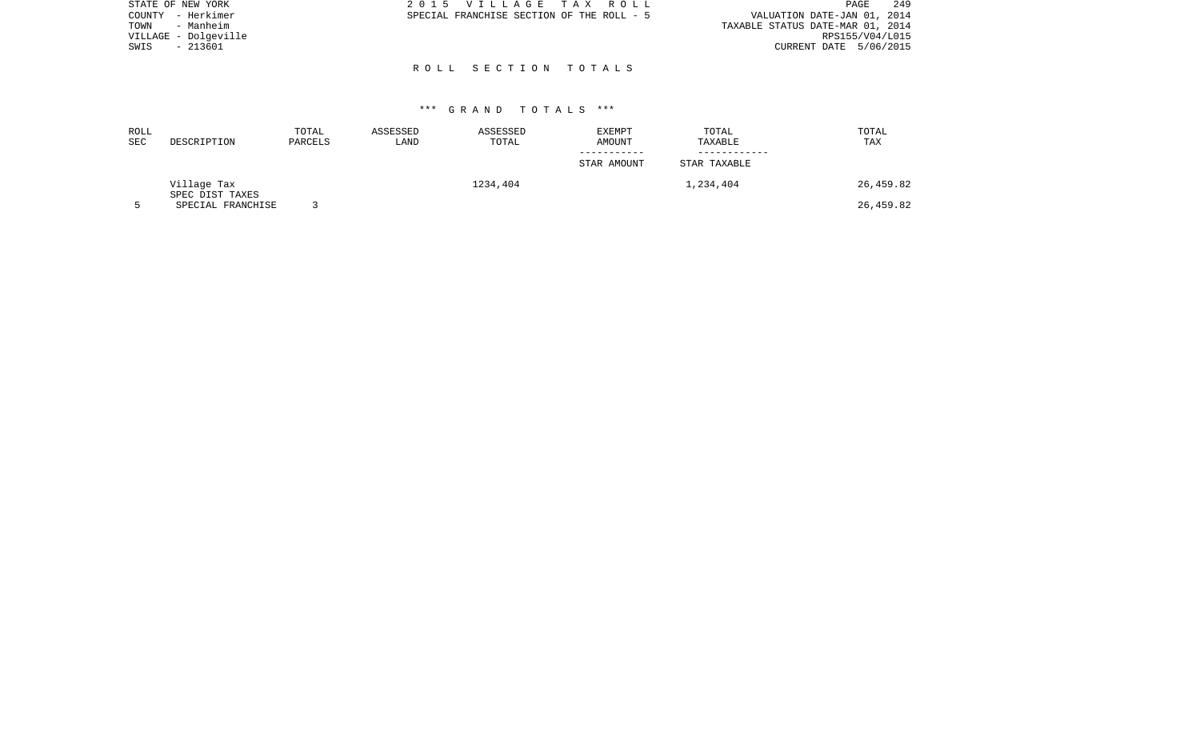| STATE OF NEW YORK    | 2015 VILLAGE TAX ROLL                     | 249<br>PAGE                      |
|----------------------|-------------------------------------------|----------------------------------|
| COUNTY - Herkimer    | SPECIAL FRANCHISE SECTION OF THE ROLL - 5 | VALUATION DATE-JAN 01, 2014      |
| - Manheim<br>TOWN    |                                           | TAXABLE STATUS DATE-MAR 01, 2014 |
| VILLAGE - Dolgeville |                                           | RPS155/V04/L015                  |
| - 213601<br>SWIS     |                                           | CURRENT DATE 5/06/2015           |
|                      |                                           |                                  |
|                      | ROLL SECTION TOTALS                       |                                  |

| ROLL<br><b>SEC</b> | DESCRIPTION                          | TOTAL<br>PARCELS | ASSESSED<br>LAND | ASSESSED<br>TOTAL | EXEMPT<br>AMOUNT | TOTAL<br>TAXABLE | TOTAL<br>TAX |
|--------------------|--------------------------------------|------------------|------------------|-------------------|------------------|------------------|--------------|
|                    |                                      |                  |                  |                   |                  |                  |              |
|                    |                                      |                  |                  |                   | STAR AMOUNT      | STAR TAXABLE     |              |
|                    | Village Tax                          |                  |                  | 1234,404          |                  | 1,234,404        | 26,459.82    |
|                    | SPEC DIST TAXES<br>SPECIAL FRANCHISE |                  |                  |                   |                  |                  | 26,459.82    |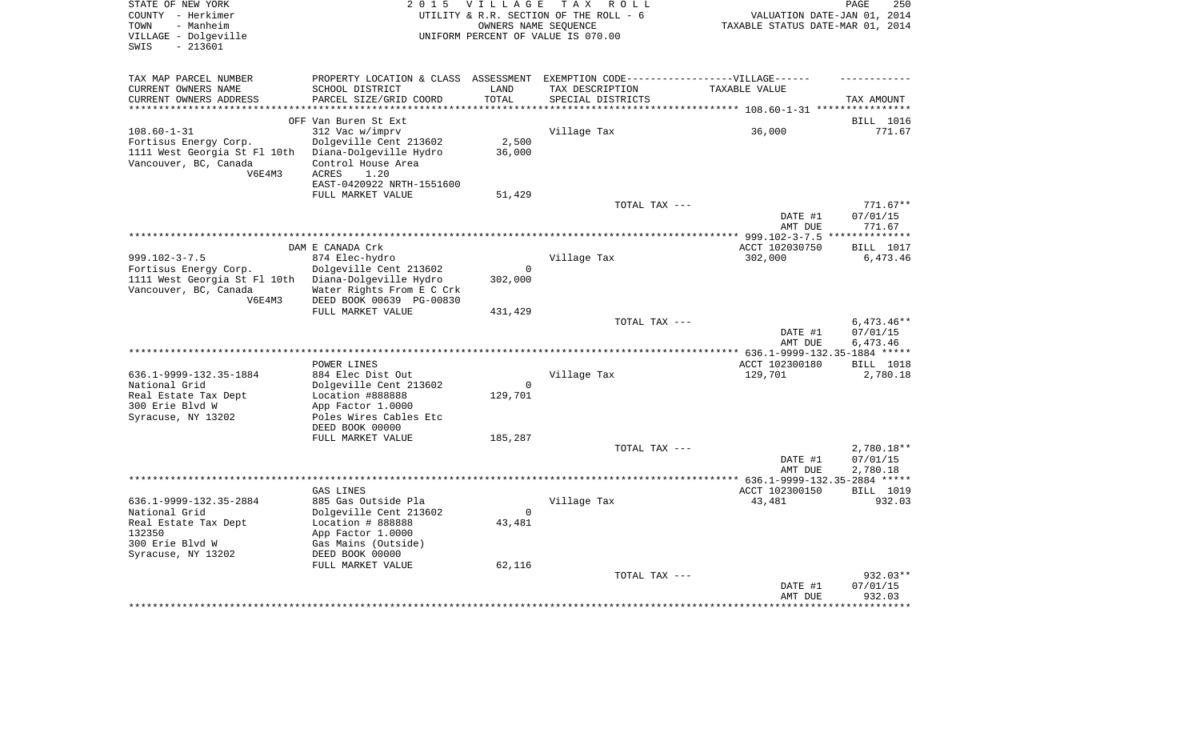| STATE OF NEW YORK<br>COUNTY - Herkimer                | 2 0 1 5                                                                           | VILLAGE                          | TAX ROLL<br>UTILITY & R.R. SECTION OF THE ROLL - 6 | VALUATION DATE-JAN 01, 2014                              | PAGE<br>250           |
|-------------------------------------------------------|-----------------------------------------------------------------------------------|----------------------------------|----------------------------------------------------|----------------------------------------------------------|-----------------------|
| - Manheim<br>TOWN                                     |                                                                                   | TAXABLE STATUS DATE-MAR 01, 2014 |                                                    |                                                          |                       |
| VILLAGE - Dolgeville<br>$-213601$<br>SWIS             | UNIFORM PERCENT OF VALUE IS 070.00                                                |                                  |                                                    |                                                          |                       |
| TAX MAP PARCEL NUMBER                                 | PROPERTY LOCATION & CLASS ASSESSMENT EXEMPTION CODE-----------------VILLAGE------ |                                  |                                                    |                                                          |                       |
| CURRENT OWNERS NAME                                   | SCHOOL DISTRICT                                                                   | LAND                             | TAX DESCRIPTION                                    | TAXABLE VALUE                                            |                       |
| CURRENT OWNERS ADDRESS                                | PARCEL SIZE/GRID COORD                                                            | TOTAL                            | SPECIAL DISTRICTS                                  |                                                          | TAX AMOUNT            |
| *******************                                   |                                                                                   | **********                       |                                                    | *************************** 108.60-1-31 **************** |                       |
|                                                       | OFF Van Buren St Ext                                                              |                                  |                                                    |                                                          | BILL 1016             |
| $108.60 - 1 - 31$                                     | 312 Vac w/imprv                                                                   |                                  | Village Tax                                        | 36,000                                                   | 771.67                |
| Fortisus Energy Corp.<br>1111 West Georgia St Fl 10th | Dolgeville Cent 213602<br>Diana-Dolgeville Hydro                                  | 2,500<br>36,000                  |                                                    |                                                          |                       |
| Vancouver, BC, Canada                                 | Control House Area                                                                |                                  |                                                    |                                                          |                       |
| V6E4M3                                                | ACRES<br>1.20                                                                     |                                  |                                                    |                                                          |                       |
|                                                       | EAST-0420922 NRTH-1551600                                                         |                                  |                                                    |                                                          |                       |
|                                                       | FULL MARKET VALUE                                                                 | 51,429                           |                                                    |                                                          |                       |
|                                                       |                                                                                   |                                  | TOTAL TAX ---                                      |                                                          | $771.67**$            |
|                                                       |                                                                                   |                                  |                                                    | DATE #1<br>AMT DUE                                       | 07/01/15<br>771.67    |
|                                                       |                                                                                   |                                  |                                                    | ACCT 102030750                                           |                       |
| $999.102 - 3 - 7.5$                                   | DAM E CANADA Crk<br>874 Elec-hydro                                                |                                  | Village Tax                                        | 302,000                                                  | BILL 1017<br>6,473.46 |
| Fortisus Energy Corp.                                 | Dolgeville Cent 213602                                                            | $\overline{0}$                   |                                                    |                                                          |                       |
| 1111 West Georgia St Fl 10th                          | Diana-Dolgeville Hydro                                                            | 302,000                          |                                                    |                                                          |                       |
| Vancouver, BC, Canada                                 | Water Rights From E C Crk                                                         |                                  |                                                    |                                                          |                       |
| V6E4M3                                                | DEED BOOK 00639 PG-00830                                                          |                                  |                                                    |                                                          |                       |
|                                                       | FULL MARKET VALUE                                                                 | 431,429                          | TOTAL TAX ---                                      |                                                          | $6,473.46**$          |
|                                                       |                                                                                   |                                  |                                                    | DATE #1                                                  | 07/01/15              |
|                                                       |                                                                                   |                                  |                                                    | AMT DUE                                                  | 6,473.46              |
|                                                       |                                                                                   |                                  |                                                    | *************** 636.1-9999-132.35-1884 *****             |                       |
|                                                       | POWER LINES                                                                       |                                  |                                                    | ACCT 102300180                                           | BILL 1018             |
| 636.1-9999-132.35-1884<br>National Grid               | 884 Elec Dist Out                                                                 | $\mathbf 0$                      | Village Tax                                        | 129,701                                                  | 2,780.18              |
| Real Estate Tax Dept                                  | Dolgeville Cent 213602<br>Location #888888                                        | 129,701                          |                                                    |                                                          |                       |
| 300 Erie Blvd W                                       | App Factor 1.0000                                                                 |                                  |                                                    |                                                          |                       |
| Syracuse, NY 13202                                    | Poles Wires Cables Etc                                                            |                                  |                                                    |                                                          |                       |
|                                                       | DEED BOOK 00000                                                                   |                                  |                                                    |                                                          |                       |
|                                                       | FULL MARKET VALUE                                                                 | 185,287                          |                                                    |                                                          |                       |
|                                                       |                                                                                   |                                  | TOTAL TAX ---                                      |                                                          | 2,780.18**            |
|                                                       |                                                                                   |                                  |                                                    | DATE #1<br>AMT DUE                                       | 07/01/15<br>2,780.18  |
|                                                       |                                                                                   |                                  | **************************************             | ************** 636.1-9999-132.35-2884 *****              |                       |
|                                                       | GAS LINES                                                                         |                                  |                                                    | ACCT 102300150                                           | BILL 1019             |
| 636.1-9999-132.35-2884                                | 885 Gas Outside Pla                                                               |                                  | Village Tax                                        | 43,481                                                   | 932.03                |
| National Grid                                         | Dolgeville Cent 213602                                                            | $\mathbf 0$                      |                                                    |                                                          |                       |
| Real Estate Tax Dept<br>132350                        | Location # 888888<br>App Factor 1.0000                                            | 43,481                           |                                                    |                                                          |                       |
| 300 Erie Blvd W                                       | Gas Mains (Outside)                                                               |                                  |                                                    |                                                          |                       |
| Syracuse, NY 13202                                    | DEED BOOK 00000                                                                   |                                  |                                                    |                                                          |                       |
|                                                       | FULL MARKET VALUE                                                                 | 62,116                           |                                                    |                                                          |                       |
|                                                       |                                                                                   |                                  | TOTAL TAX ---                                      |                                                          | 932.03**              |
|                                                       |                                                                                   |                                  |                                                    | DATE #1<br>AMT DUE                                       | 07/01/15              |
|                                                       |                                                                                   |                                  |                                                    |                                                          | 932.03                |
|                                                       |                                                                                   |                                  |                                                    |                                                          |                       |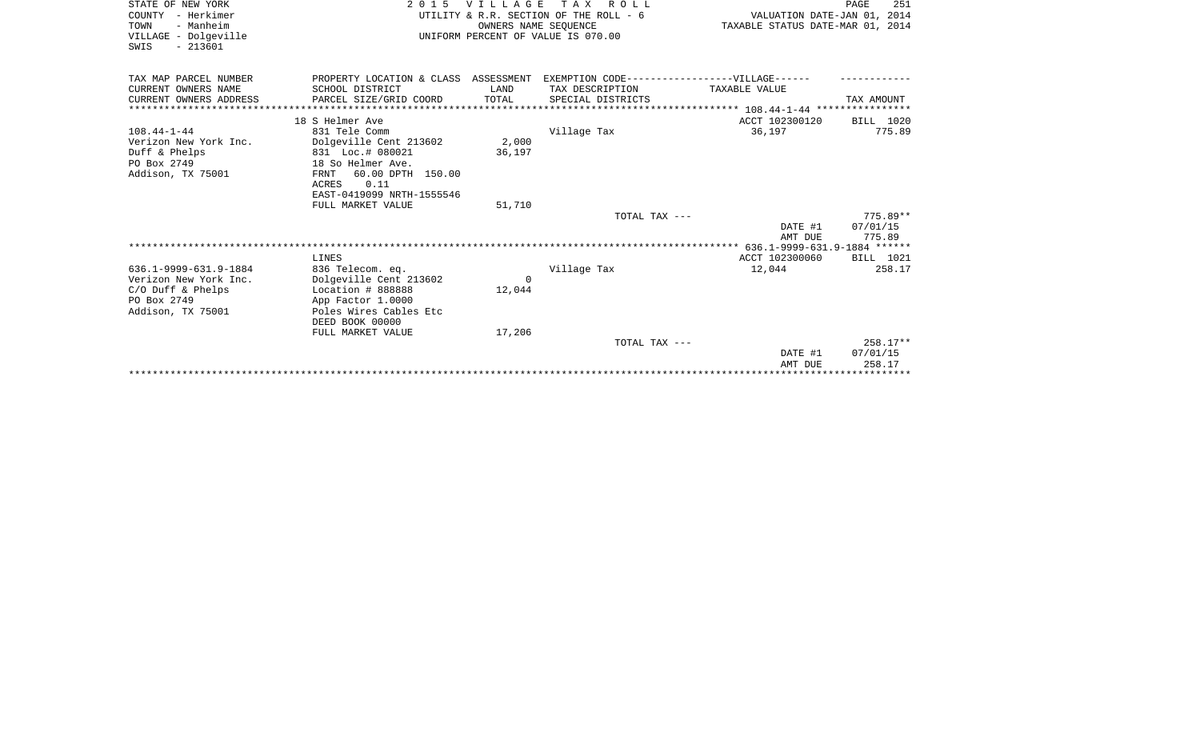| STATE OF NEW YORK      | 2015                                   | <b>VILLAGE</b> | T A X<br>R O L L                              |                                  | PAGE<br>251 |
|------------------------|----------------------------------------|----------------|-----------------------------------------------|----------------------------------|-------------|
| COUNTY - Herkimer      | UTILITY & R.R. SECTION OF THE ROLL - 6 |                |                                               | VALUATION DATE-JAN 01, 2014      |             |
| - Manheim<br>TOWN      | OWNERS NAME SEOUENCE                   |                |                                               | TAXABLE STATUS DATE-MAR 01, 2014 |             |
| VILLAGE - Dolgeville   | UNIFORM PERCENT OF VALUE IS 070.00     |                |                                               |                                  |             |
| SWIS<br>$-213601$      |                                        |                |                                               |                                  |             |
|                        |                                        |                |                                               |                                  |             |
|                        |                                        |                |                                               |                                  |             |
| TAX MAP PARCEL NUMBER  | PROPERTY LOCATION & CLASS ASSESSMENT   |                | EXEMPTION CODE------------------VILLAGE------ |                                  |             |
| CURRENT OWNERS NAME    | SCHOOL DISTRICT                        | LAND           | TAX DESCRIPTION                               | TAXABLE VALUE                    |             |
| CURRENT OWNERS ADDRESS | PARCEL SIZE/GRID COORD                 | TOTAL          | SPECIAL DISTRICTS                             |                                  | TAX AMOUNT  |
|                        |                                        |                |                                               |                                  |             |
|                        | 18 S Helmer Ave                        |                |                                               | ACCT 102300120                   | BILL 1020   |
| $108.44 - 1 - 44$      | 831 Tele Comm                          |                | Village Tax                                   | 36,197                           | 775.89      |
| Verizon New York Inc.  | Dolgeville Cent 213602                 | 2,000          |                                               |                                  |             |
| Duff & Phelps          | 831 Loc.# 080021                       | 36,197         |                                               |                                  |             |
| PO Box 2749            | 18 So Helmer Ave.                      |                |                                               |                                  |             |
| Addison, TX 75001      | 60.00 DPTH 150.00<br>FRNT              |                |                                               |                                  |             |
|                        | ACRES<br>0.11                          |                |                                               |                                  |             |
|                        | EAST-0419099 NRTH-1555546              |                |                                               |                                  |             |
|                        | FULL MARKET VALUE                      | 51,710         |                                               |                                  |             |
|                        |                                        |                | TOTAL TAX ---                                 |                                  | $775.89**$  |
|                        |                                        |                |                                               | DATE #1                          | 07/01/15    |
|                        |                                        |                |                                               | AMT DUE                          | 775.89      |
|                        |                                        |                |                                               |                                  |             |
|                        | LINES                                  |                |                                               | ACCT 102300060                   | BILL 1021   |
| 636.1-9999-631.9-1884  | 836 Telecom. eq.                       |                | Village Tax                                   | 12,044                           | 258.17      |
| Verizon New York Inc.  | Dolgeville Cent 213602                 | $\Omega$       |                                               |                                  |             |
| $C/O$ Duff & Phelps    | Location # 888888                      | 12,044         |                                               |                                  |             |
| PO Box 2749            | App Factor 1.0000                      |                |                                               |                                  |             |
| Addison, TX 75001      | Poles Wires Cables Etc                 |                |                                               |                                  |             |
|                        | DEED BOOK 00000                        |                |                                               |                                  |             |
|                        | FULL MARKET VALUE                      | 17,206         |                                               |                                  |             |
|                        |                                        |                | TOTAL TAX ---                                 |                                  | $258.17**$  |
|                        |                                        |                |                                               | DATE #1                          | 07/01/15    |
|                        |                                        |                |                                               | AMT DUE                          | 258.17      |
|                        |                                        |                |                                               |                                  |             |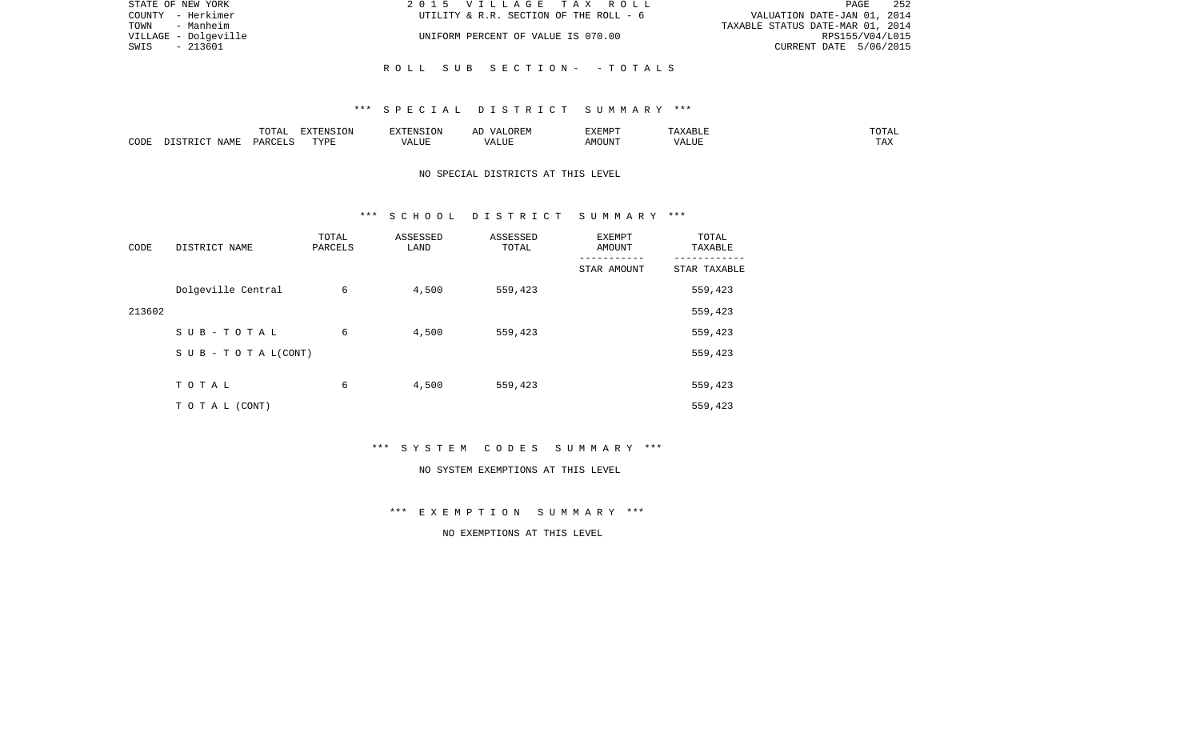| STATE OF NEW YORK    | 2015 VILLAGE TAX ROLL                  | 252<br>PAGE                      |
|----------------------|----------------------------------------|----------------------------------|
| COUNTY - Herkimer    | UTILITY & R.R. SECTION OF THE ROLL - 6 | VALUATION DATE-JAN 01, 2014      |
| TOWN - Manheim       |                                        | TAXABLE STATUS DATE-MAR 01, 2014 |
| VILLAGE - Dolgeville | UNIFORM PERCENT OF VALUE IS 070.00     | RPS155/V04/L015                  |
| - 213601<br>SWIS     |                                        | CURRENT DATE 5/06/2015           |
|                      |                                        |                                  |
|                      | ROLL SUB SECTION- -TOTALS              |                                  |

|      |       | <b><u>noma</u></b><br>- ∪ + ד | EXTENSION |                | ---<br>'X FIVIP | ----         |
|------|-------|-------------------------------|-----------|----------------|-----------------|--------------|
| CODE | √Т∆МП | DAR'                          | TVDI<br>. | . <del>.</del> |                 | may<br>L LAS |

# NO SPECIAL DISTRICTS AT THIS LEVEL

#### \*\*\* S C H O O L D I S T R I C T S U M M A R Y \*\*\*

| CODE   | DISTRICT NAME                    | TOTAL<br>PARCELS | ASSESSED<br>LAND | ASSESSED<br>TOTAL | EXEMPT<br>AMOUNT | TOTAL<br>TAXABLE |
|--------|----------------------------------|------------------|------------------|-------------------|------------------|------------------|
|        |                                  |                  |                  |                   | STAR AMOUNT      | STAR TAXABLE     |
|        | Dolgeville Central               | 6                | 4,500            | 559,423           |                  | 559,423          |
| 213602 |                                  |                  |                  |                   |                  | 559,423          |
|        | SUB-TOTAL                        | 6                | 4,500            | 559,423           |                  | 559,423          |
|        | $S \cup B - T \cup T A L (CONT)$ |                  |                  |                   |                  | 559,423          |
|        |                                  |                  |                  |                   |                  |                  |
|        | TOTAL                            | 6                | 4,500            | 559,423           |                  | 559,423          |
|        | T O T A L (CONT)                 |                  |                  |                   |                  | 559,423          |

\*\*\* S Y S T E M C O D E S S U M M A R Y \*\*\*

#### NO SYSTEM EXEMPTIONS AT THIS LEVEL

\*\*\* E X E M P T I O N S U M M A R Y \*\*\*

NO EXEMPTIONS AT THIS LEVEL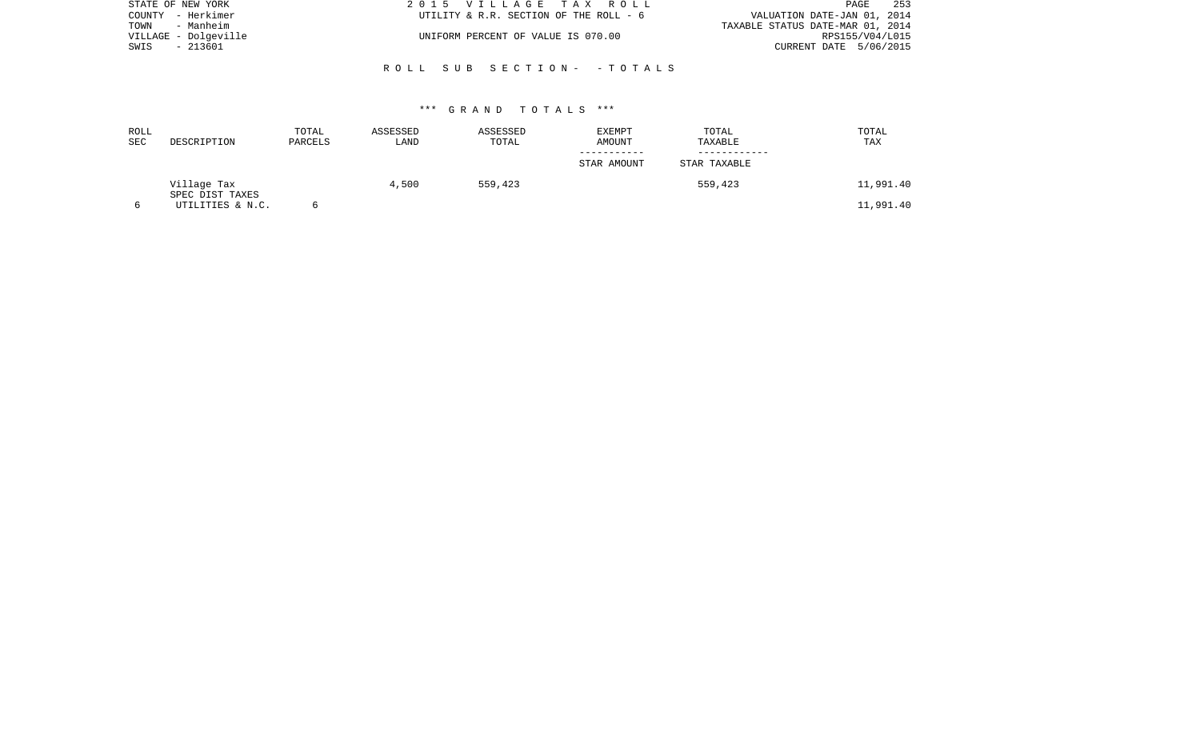| STATE OF NEW YORK    | 2015 VILLAGE TAX ROLL                  | 253<br>PAGE                      |
|----------------------|----------------------------------------|----------------------------------|
| COUNTY - Herkimer    | UTILITY & R.R. SECTION OF THE ROLL - 6 | VALUATION DATE-JAN 01, 2014      |
| TOWN<br>- Manheim    |                                        | TAXABLE STATUS DATE-MAR 01, 2014 |
| VILLAGE - Dolgeville | UNIFORM PERCENT OF VALUE IS 070.00     | RPS155/V04/L015                  |
| - 213601<br>SWIS     |                                        | CURRENT DATE 5/06/2015           |
|                      |                                        |                                  |
|                      | ROLL SUB SECTION- -TOTALS              |                                  |

| ROLL<br><b>SEC</b> | DESCRIPTION                    | TOTAL<br>PARCELS | ASSESSED<br>LAND | ASSESSED<br>TOTAL | EXEMPT<br>AMOUNT | TOTAL<br>TAXABLE | TOTAL<br>TAX |
|--------------------|--------------------------------|------------------|------------------|-------------------|------------------|------------------|--------------|
|                    |                                |                  |                  |                   | STAR AMOUNT      | STAR TAXABLE     |              |
|                    | Village Tax<br>SPEC DIST TAXES |                  | 4,500            | 559,423           |                  | 559,423          | 11,991.40    |
|                    | UTILITIES & N.C.               |                  |                  |                   |                  |                  | 11,991.40    |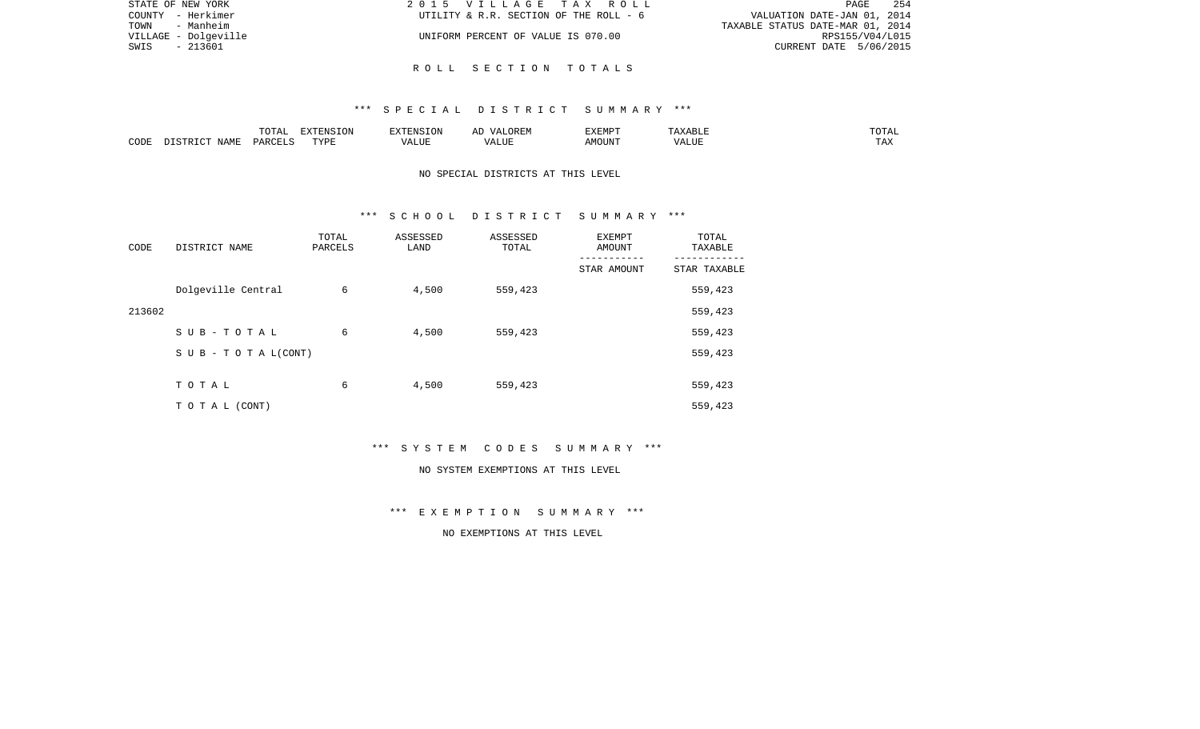| STATE OF NEW YORK    | 2015 VILLAGE TAX ROLL                  | -254<br>PAGE                     |
|----------------------|----------------------------------------|----------------------------------|
| COUNTY - Herkimer    | UTILITY & R.R. SECTION OF THE ROLL - 6 | VALUATION DATE-JAN 01, 2014      |
| TOWN<br>- Manheim    |                                        | TAXABLE STATUS DATE-MAR 01, 2014 |
| VILLAGE - Dolgeville | UNIFORM PERCENT OF VALUE IS 070.00     | RPS155/V04/L015                  |
| - 213601<br>SWIS     |                                        | CURRENT DATE 5/06/2015           |
|                      |                                        |                                  |

R O L L S E C T I O N T O T A L S

|      |      | $\neg \land \dots \land$<br>$\cdots$<br>. שנת | <b>EXTENSION</b> |                      | $\frac{1}{2}$<br>$\cdots$ | ت ا   | ШP | ------<br>LOTAT     |
|------|------|-----------------------------------------------|------------------|----------------------|---------------------------|-------|----|---------------------|
| CODE | NAMF | <b>PARCEL</b>                                 | TVDF             | الالماسد<br>$\cdots$ | LUI                       | IOUN' |    | <b>TIRES</b><br>IΑΛ |

# NO SPECIAL DISTRICTS AT THIS LEVEL

#### \*\*\* S C H O O L D I S T R I C T S U M M A R Y \*\*\*

| CODE   | DISTRICT NAME                    | TOTAL<br>PARCELS | ASSESSED<br>LAND | ASSESSED<br>TOTAL | EXEMPT<br>AMOUNT | TOTAL<br>TAXABLE |
|--------|----------------------------------|------------------|------------------|-------------------|------------------|------------------|
|        |                                  |                  |                  |                   | STAR AMOUNT      | STAR TAXABLE     |
|        | Dolgeville Central               | 6                | 4,500            | 559,423           |                  | 559,423          |
| 213602 |                                  |                  |                  |                   |                  | 559,423          |
|        | SUB-TOTAL                        | 6                | 4,500            | 559,423           |                  | 559,423          |
|        | $S \cup B - T \cup T A L (CONT)$ |                  |                  |                   |                  | 559,423          |
|        |                                  |                  |                  |                   |                  |                  |
|        | TOTAL                            | 6                | 4,500            | 559,423           |                  | 559,423          |
|        | T O T A L (CONT)                 |                  |                  |                   |                  | 559,423          |

\*\*\* S Y S T E M C O D E S S U M M A R Y \*\*\*

#### NO SYSTEM EXEMPTIONS AT THIS LEVEL

\*\*\* E X E M P T I O N S U M M A R Y \*\*\*

NO EXEMPTIONS AT THIS LEVEL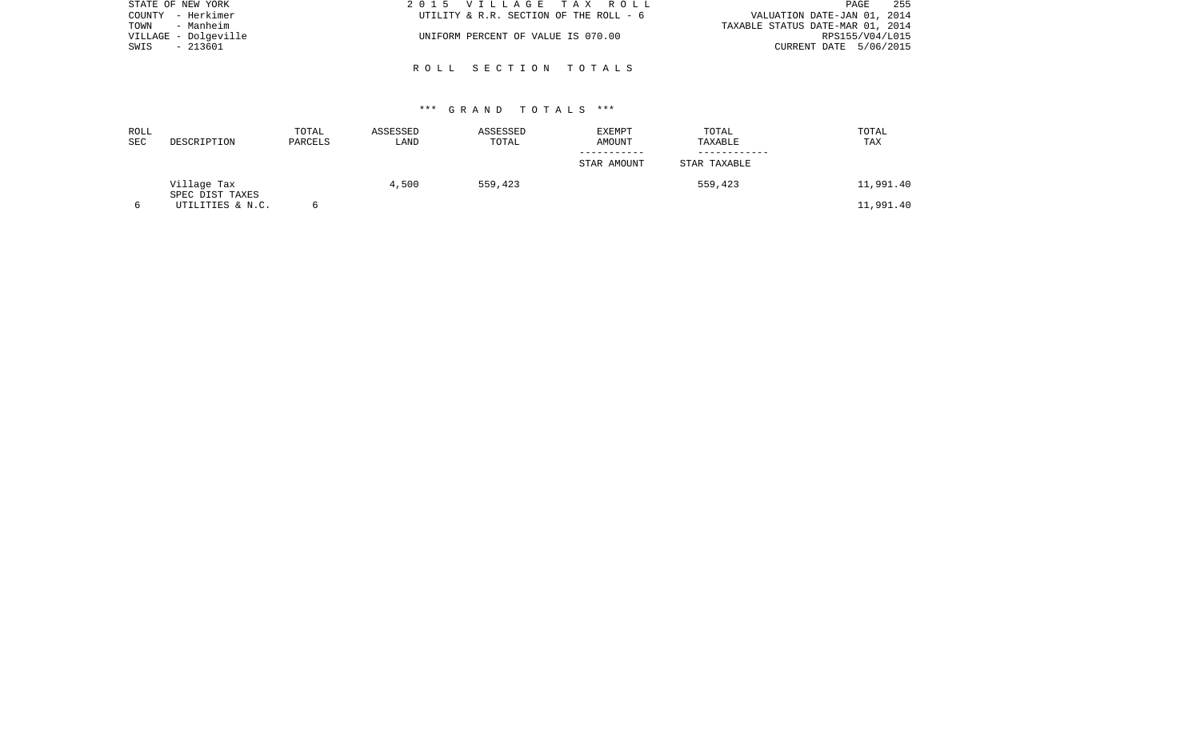| STATE OF NEW YORK    | 2015 VILLAGE TAX ROLL                  | 255<br>PAGE                      |
|----------------------|----------------------------------------|----------------------------------|
| COUNTY - Herkimer    | UTILITY & R.R. SECTION OF THE ROLL - 6 | VALUATION DATE-JAN 01, 2014      |
| TOWN<br>- Manheim    |                                        | TAXABLE STATUS DATE-MAR 01, 2014 |
| VILLAGE - Dolgeville | UNIFORM PERCENT OF VALUE IS 070.00     | RPS155/V04/L015                  |
| - 213601<br>SWIS     |                                        | CURRENT DATE 5/06/2015           |
|                      |                                        |                                  |
|                      | ROLL SECTION TOTALS                    |                                  |

| ROLL<br>SEC | DESCRIPTION                    | TOTAL<br>PARCELS | ASSESSED<br>LAND | ASSESSED<br>TOTAL | EXEMPT<br>AMOUNT | TOTAL<br>TAXABLE | TOTAL<br>TAX |
|-------------|--------------------------------|------------------|------------------|-------------------|------------------|------------------|--------------|
|             |                                |                  |                  |                   | STAR AMOUNT      | STAR TAXABLE     |              |
|             | Village Tax<br>SPEC DIST TAXES |                  | 4,500            | 559,423           |                  | 559,423          | 11,991.40    |
|             | UTILITIES & N.C.               |                  |                  |                   |                  |                  | 11,991.40    |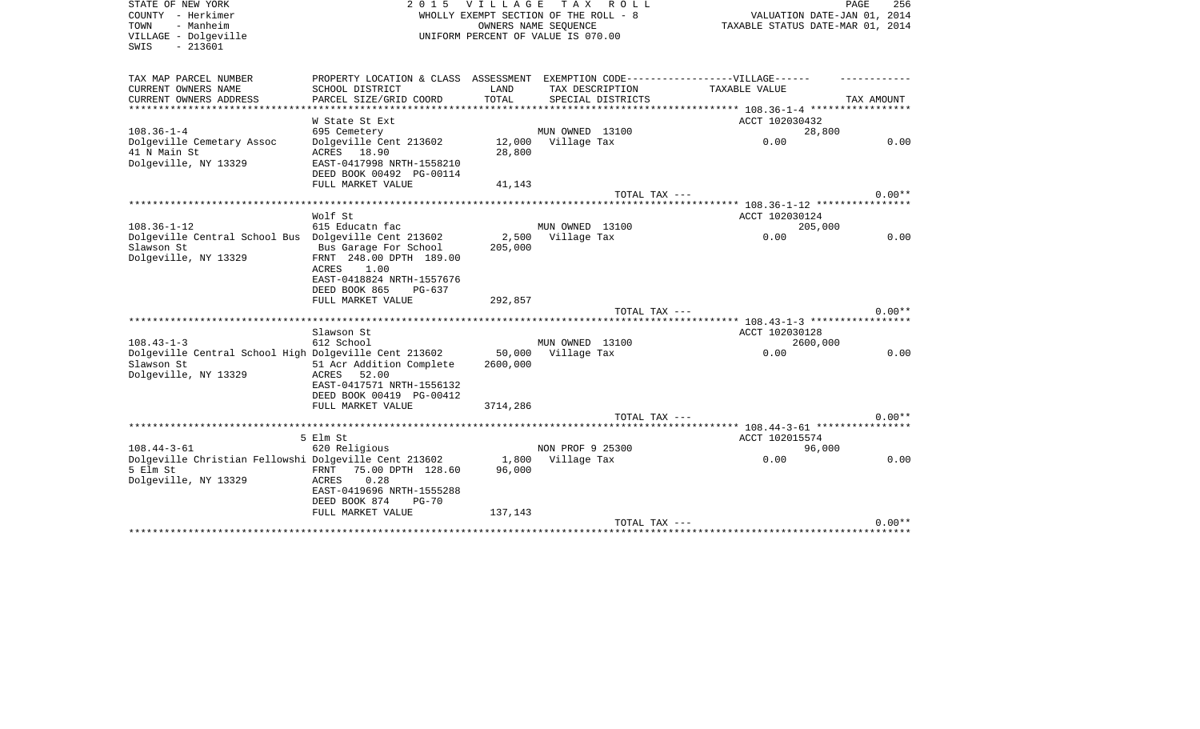| STATE OF NEW YORK<br>COUNTY - Herkimer<br>- Manheim<br>TOWN<br>VILLAGE - Dolgeville | 2 0 1 5                                                                          | <b>VILLAGE</b>   | T A X<br>R O L L<br>WHOLLY EXEMPT SECTION OF THE ROLL - 8<br>OWNERS NAME SEQUENCE<br>UNIFORM PERCENT OF VALUE IS 070.00 | VALUATION DATE-JAN 01, 2014<br>TAXABLE STATUS DATE-MAR 01, 2014 | PAGE<br>256 |
|-------------------------------------------------------------------------------------|----------------------------------------------------------------------------------|------------------|-------------------------------------------------------------------------------------------------------------------------|-----------------------------------------------------------------|-------------|
| $-213601$<br>SWIS                                                                   |                                                                                  |                  |                                                                                                                         |                                                                 |             |
| TAX MAP PARCEL NUMBER                                                               | PROPERTY LOCATION & CLASS ASSESSMENT EXEMPTION CODE----------------VILLAGE------ |                  |                                                                                                                         |                                                                 |             |
| CURRENT OWNERS NAME                                                                 | SCHOOL DISTRICT                                                                  | LAND             | TAX DESCRIPTION                                                                                                         | TAXABLE VALUE                                                   |             |
| CURRENT OWNERS ADDRESS                                                              | PARCEL SIZE/GRID COORD<br>**********************                                 | TOTAL            | SPECIAL DISTRICTS                                                                                                       |                                                                 | TAX AMOUNT  |
|                                                                                     | W State St Ext                                                                   |                  |                                                                                                                         | ACCT 102030432                                                  |             |
| $108.36 - 1 - 4$                                                                    | 695 Cemetery                                                                     |                  | MUN OWNED 13100                                                                                                         | 28,800                                                          |             |
| Dolgeville Cemetary Assoc                                                           | Dolgeville Cent 213602                                                           | 12,000           | Village Tax                                                                                                             | 0.00                                                            | 0.00        |
| 41 N Main St                                                                        | ACRES 18.90                                                                      | 28,800           |                                                                                                                         |                                                                 |             |
| Dolgeville, NY 13329                                                                | EAST-0417998 NRTH-1558210<br>DEED BOOK 00492 PG-00114                            |                  |                                                                                                                         |                                                                 |             |
|                                                                                     | FULL MARKET VALUE                                                                | 41,143           |                                                                                                                         |                                                                 |             |
|                                                                                     |                                                                                  |                  | TOTAL TAX ---                                                                                                           |                                                                 | $0.00**$    |
|                                                                                     |                                                                                  |                  |                                                                                                                         | ********** 108.36-1-12 ****************                         |             |
|                                                                                     | Wolf St                                                                          |                  |                                                                                                                         | ACCT 102030124                                                  |             |
| $108.36 - 1 - 12$                                                                   | 615 Educatn fac                                                                  |                  | MUN OWNED 13100                                                                                                         | 205,000                                                         |             |
| Dolgeville Central School Bus Dolgeville Cent 213602<br>Slawson St                  | Bus Garage For School                                                            | 2,500<br>205,000 | Village Tax                                                                                                             | 0.00                                                            | 0.00        |
| Dolgeville, NY 13329                                                                | FRNT 248.00 DPTH 189.00                                                          |                  |                                                                                                                         |                                                                 |             |
|                                                                                     | 1.00<br>ACRES                                                                    |                  |                                                                                                                         |                                                                 |             |
|                                                                                     | EAST-0418824 NRTH-1557676                                                        |                  |                                                                                                                         |                                                                 |             |
|                                                                                     | DEED BOOK 865<br>PG-637                                                          |                  |                                                                                                                         |                                                                 |             |
|                                                                                     | FULL MARKET VALUE                                                                | 292,857          |                                                                                                                         |                                                                 | $0.00**$    |
|                                                                                     |                                                                                  |                  | TOTAL TAX ---                                                                                                           |                                                                 |             |
|                                                                                     | Slawson St                                                                       |                  |                                                                                                                         | ACCT 102030128                                                  |             |
| $108.43 - 1 - 3$                                                                    | 612 School                                                                       |                  | MUN OWNED 13100                                                                                                         | 2600,000                                                        |             |
| Dolgeville Central School High Dolgeville Cent 213602                               |                                                                                  | 50,000           | Village Tax                                                                                                             | 0.00                                                            | 0.00        |
| Slawson St                                                                          | 51 Acr Addition Complete                                                         | 2600,000         |                                                                                                                         |                                                                 |             |
| Dolgeville, NY 13329                                                                | 52.00<br>ACRES<br>EAST-0417571 NRTH-1556132                                      |                  |                                                                                                                         |                                                                 |             |
|                                                                                     | DEED BOOK 00419 PG-00412                                                         |                  |                                                                                                                         |                                                                 |             |
|                                                                                     | FULL MARKET VALUE                                                                | 3714,286         |                                                                                                                         |                                                                 |             |
|                                                                                     |                                                                                  |                  | TOTAL TAX ---                                                                                                           |                                                                 | $0.00**$    |
|                                                                                     |                                                                                  |                  |                                                                                                                         |                                                                 |             |
|                                                                                     | 5 Elm St                                                                         |                  |                                                                                                                         | ACCT 102015574                                                  |             |
| $108.44 - 3 - 61$                                                                   | 620 Religious                                                                    |                  | NON PROF 9 25300                                                                                                        | 96,000<br>0.00                                                  | 0.00        |
| Dolgeville Christian Fellowshi Dolgeville Cent 213602<br>5 Elm St                   | 75.00 DPTH 128.60<br>FRNT                                                        | 1,800<br>96,000  | Village Tax                                                                                                             |                                                                 |             |
| Dolgeville, NY 13329                                                                | 0.28<br>ACRES                                                                    |                  |                                                                                                                         |                                                                 |             |
|                                                                                     | EAST-0419696 NRTH-1555288                                                        |                  |                                                                                                                         |                                                                 |             |
|                                                                                     | DEED BOOK 874<br>$PG-70$                                                         |                  |                                                                                                                         |                                                                 |             |
|                                                                                     | FULL MARKET VALUE                                                                | 137,143          |                                                                                                                         |                                                                 |             |
|                                                                                     |                                                                                  |                  | TOTAL TAX ---                                                                                                           |                                                                 | $0.00**$    |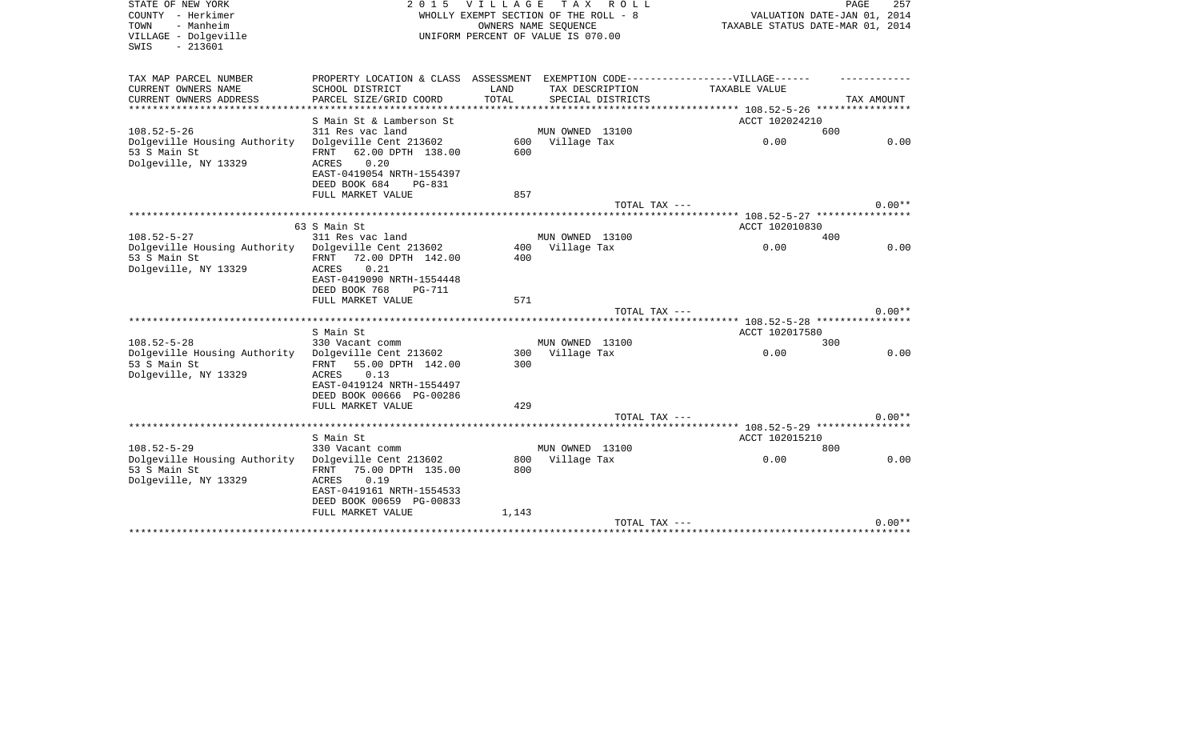| STATE OF NEW YORK                            | 2 0 1 5                                             | <b>VILLAGE</b> | T A X<br>R O L L                                              |                                          | PAGE<br>257                 |
|----------------------------------------------|-----------------------------------------------------|----------------|---------------------------------------------------------------|------------------------------------------|-----------------------------|
| COUNTY - Herkimer<br>- Manheim<br>TOWN       |                                                     |                | WHOLLY EXEMPT SECTION OF THE ROLL - 8<br>OWNERS NAME SEQUENCE | TAXABLE STATUS DATE-MAR 01, 2014         | VALUATION DATE-JAN 01, 2014 |
| VILLAGE - Dolgeville                         |                                                     |                | UNIFORM PERCENT OF VALUE IS 070.00                            |                                          |                             |
| $-213601$<br>SWIS                            |                                                     |                |                                                               |                                          |                             |
|                                              |                                                     |                |                                                               |                                          |                             |
| TAX MAP PARCEL NUMBER                        | PROPERTY LOCATION & CLASS ASSESSMENT                |                | EXEMPTION CODE-----------------VILLAGE------                  |                                          |                             |
| CURRENT OWNERS NAME                          | SCHOOL DISTRICT                                     | LAND           | TAX DESCRIPTION                                               | TAXABLE VALUE                            |                             |
| CURRENT OWNERS ADDRESS<br>****************   | PARCEL SIZE/GRID COORD                              | TOTAL          | SPECIAL DISTRICTS                                             |                                          | TAX AMOUNT                  |
|                                              | S Main St & Lamberson St                            |                |                                                               | ACCT 102024210                           |                             |
| $108.52 - 5 - 26$                            | 311 Res vac land                                    |                | MUN OWNED 13100                                               |                                          | 600                         |
| Dolgeville Housing Authority                 | Dolgeville Cent 213602                              | 600            | Village Tax                                                   | 0.00                                     | 0.00                        |
| 53 S Main St                                 | 62.00 DPTH 138.00<br>FRNT                           | 600            |                                                               |                                          |                             |
| Dolgeville, NY 13329                         | 0.20<br>ACRES                                       |                |                                                               |                                          |                             |
|                                              | EAST-0419054 NRTH-1554397                           |                |                                                               |                                          |                             |
|                                              | DEED BOOK 684<br><b>PG-831</b>                      |                |                                                               |                                          |                             |
|                                              | FULL MARKET VALUE                                   | 857            |                                                               |                                          |                             |
|                                              |                                                     |                | TOTAL TAX ---                                                 |                                          | $0.00**$                    |
|                                              |                                                     |                |                                                               | ***** 108.52-5-27 ****************       |                             |
|                                              | 63 S Main St                                        |                |                                                               | ACCT 102010830                           |                             |
| $108.52 - 5 - 27$                            | 311 Res vac land                                    |                | MUN OWNED 13100                                               |                                          | 400                         |
| Dolgeville Housing Authority                 | Dolgeville Cent 213602                              | 400            | Village Tax                                                   | 0.00                                     | 0.00                        |
| 53 S Main St                                 | FRNT<br>72.00 DPTH 142.00                           | 400            |                                                               |                                          |                             |
| Dolgeville, NY 13329                         | ACRES<br>0.21                                       |                |                                                               |                                          |                             |
|                                              | EAST-0419090 NRTH-1554448                           |                |                                                               |                                          |                             |
|                                              | DEED BOOK 768<br><b>PG-711</b><br>FULL MARKET VALUE | 571            |                                                               |                                          |                             |
|                                              |                                                     |                | TOTAL TAX ---                                                 |                                          | $0.00**$                    |
|                                              |                                                     |                | *****************                                             | ********** 108.52-5-28 ***************** |                             |
|                                              | S Main St                                           |                |                                                               | ACCT 102017580                           |                             |
| $108.52 - 5 - 28$                            | 330 Vacant comm                                     |                | MUN OWNED 13100                                               |                                          | 300                         |
| Dolgeville Housing Authority                 | Dolgeville Cent 213602                              | 300            | Village Tax                                                   | 0.00                                     | 0.00                        |
| 53 S Main St                                 | 55.00 DPTH 142.00<br>FRNT                           | 300            |                                                               |                                          |                             |
| Dolgeville, NY 13329                         | 0.13<br>ACRES                                       |                |                                                               |                                          |                             |
|                                              | EAST-0419124 NRTH-1554497                           |                |                                                               |                                          |                             |
|                                              | DEED BOOK 00666 PG-00286                            |                |                                                               |                                          |                             |
|                                              | FULL MARKET VALUE                                   | 429            |                                                               |                                          |                             |
|                                              |                                                     |                | TOTAL TAX ---                                                 |                                          | $0.00**$                    |
|                                              |                                                     |                |                                                               |                                          |                             |
|                                              | S Main St                                           |                |                                                               | ACCT 102015210                           |                             |
| $108.52 - 5 - 29$                            | 330 Vacant comm                                     |                | MUN OWNED 13100                                               |                                          | 800                         |
| Dolgeville Housing Authority<br>53 S Main St | Dolgeville Cent 213602                              | 800<br>800     | Village Tax                                                   | 0.00                                     | 0.00                        |
| Dolgeville, NY 13329                         | 75.00 DPTH 135.00<br>FRNT<br>0.19<br>ACRES          |                |                                                               |                                          |                             |
|                                              | EAST-0419161 NRTH-1554533                           |                |                                                               |                                          |                             |
|                                              | DEED BOOK 00659 PG-00833                            |                |                                                               |                                          |                             |
|                                              | FULL MARKET VALUE                                   | 1,143          |                                                               |                                          |                             |
|                                              |                                                     |                | TOTAL TAX ---                                                 |                                          | $0.00**$                    |
|                                              |                                                     |                |                                                               |                                          |                             |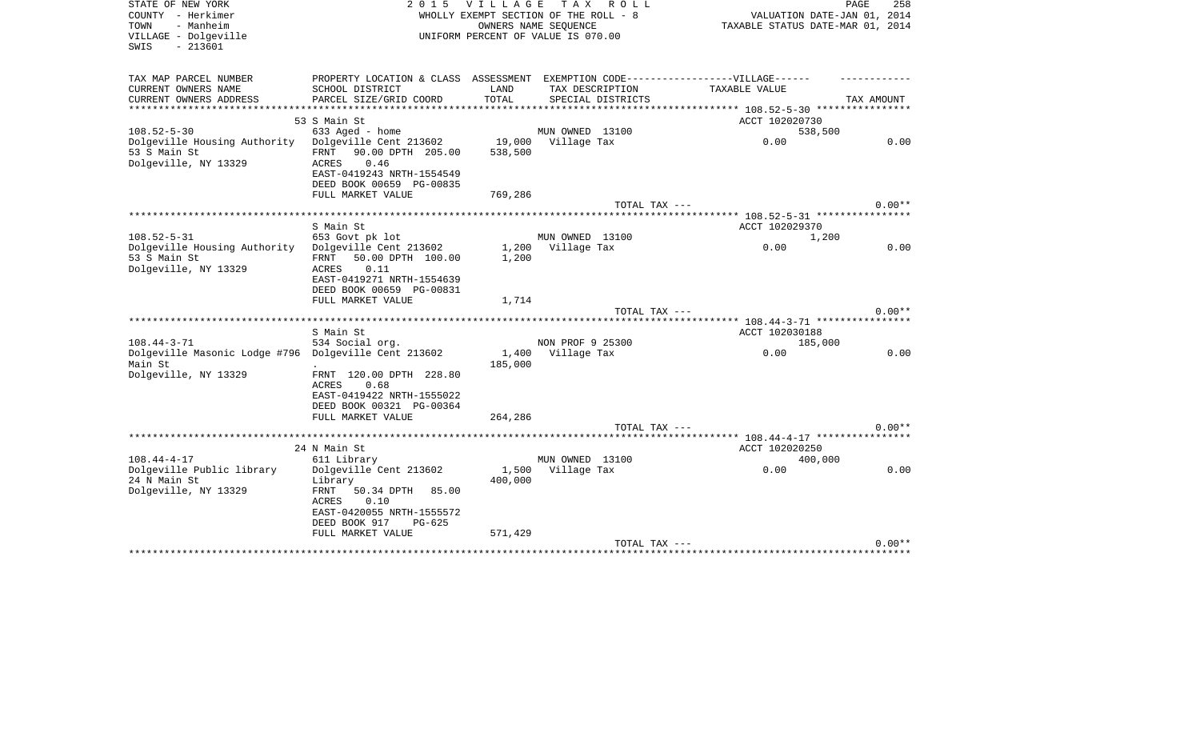| STATE OF NEW YORK<br>COUNTY - Herkimer<br>- Manheim<br>TOWN | 2 0 1 5                                              | <b>VILLAGE</b>     | TAX ROLL<br>WHOLLY EXEMPT SECTION OF THE ROLL - 8<br>OWNERS NAME SEQUENCE |               |                                                                  | 258<br>PAGE<br>VALUATION DATE-JAN 01, 2014<br>TAXABLE STATUS DATE-MAR 01, 2014 |
|-------------------------------------------------------------|------------------------------------------------------|--------------------|---------------------------------------------------------------------------|---------------|------------------------------------------------------------------|--------------------------------------------------------------------------------|
| VILLAGE - Dolgeville<br>$-213601$<br>SWIS                   |                                                      |                    | UNIFORM PERCENT OF VALUE IS 070.00                                        |               |                                                                  |                                                                                |
| TAX MAP PARCEL NUMBER                                       | PROPERTY LOCATION & CLASS ASSESSMENT                 |                    |                                                                           |               | EXEMPTION CODE------------------VILLAGE------                    |                                                                                |
| CURRENT OWNERS NAME                                         | SCHOOL DISTRICT                                      | LAND               | TAX DESCRIPTION                                                           |               | TAXABLE VALUE                                                    |                                                                                |
| CURRENT OWNERS ADDRESS                                      | PARCEL SIZE/GRID COORD                               | TOTAL              | SPECIAL DISTRICTS                                                         |               |                                                                  | TAX AMOUNT                                                                     |
|                                                             | 53 S Main St                                         | ****************** |                                                                           |               | **************** 108.52-5-30 *****************<br>ACCT 102020730 |                                                                                |
| $108.52 - 5 - 30$                                           | 633 Aged - home                                      |                    | MUN OWNED 13100                                                           |               |                                                                  | 538,500                                                                        |
| Dolgeville Housing Authority                                | Dolgeville Cent 213602                               |                    | 19,000 Village Tax                                                        |               | 0.00                                                             | 0.00                                                                           |
| 53 S Main St                                                | 90.00 DPTH 205.00<br>FRNT                            | 538,500            |                                                                           |               |                                                                  |                                                                                |
| Dolgeville, NY 13329                                        | 0.46<br>ACRES                                        |                    |                                                                           |               |                                                                  |                                                                                |
|                                                             | EAST-0419243 NRTH-1554549                            |                    |                                                                           |               |                                                                  |                                                                                |
|                                                             | DEED BOOK 00659 PG-00835<br>FULL MARKET VALUE        | 769,286            |                                                                           |               |                                                                  |                                                                                |
|                                                             |                                                      |                    |                                                                           | TOTAL TAX --- |                                                                  | $0.00**$                                                                       |
|                                                             | *************************                            |                    |                                                                           |               | ******* 108.52-5-31 ****************                             |                                                                                |
|                                                             | S Main St                                            |                    |                                                                           |               | ACCT 102029370                                                   |                                                                                |
| $108.52 - 5 - 31$                                           | 653 Govt pk lot                                      |                    | MUN OWNED 13100                                                           |               |                                                                  | 1,200                                                                          |
| Dolgeville Housing Authority<br>53 S Main St                | Dolgeville Cent 213602<br>FRNT 50.00 DPTH 100.00     | 1,200              | 1,200 Village Tax                                                         |               | 0.00                                                             | 0.00                                                                           |
| Dolgeville, NY 13329                                        | 0.11<br>ACRES                                        |                    |                                                                           |               |                                                                  |                                                                                |
|                                                             | EAST-0419271 NRTH-1554639                            |                    |                                                                           |               |                                                                  |                                                                                |
|                                                             | DEED BOOK 00659 PG-00831                             |                    |                                                                           |               |                                                                  |                                                                                |
|                                                             | FULL MARKET VALUE                                    | 1,714              |                                                                           |               |                                                                  |                                                                                |
|                                                             |                                                      |                    |                                                                           | TOTAL TAX --- |                                                                  | $0.00**$                                                                       |
|                                                             | S Main St                                            |                    |                                                                           |               | ACCT 102030188                                                   |                                                                                |
| $108.44 - 3 - 71$                                           | 534 Social org.                                      |                    | NON PROF 9 25300                                                          |               |                                                                  | 185,000                                                                        |
| Dolgeville Masonic Lodge #796 Dolgeville Cent 213602        |                                                      | 1,400              | Village Tax                                                               |               | 0.00                                                             | 0.00                                                                           |
| Main St                                                     |                                                      | 185,000            |                                                                           |               |                                                                  |                                                                                |
| Dolgeville, NY 13329                                        | FRNT 120.00 DPTH 228.80<br>0.68<br>ACRES             |                    |                                                                           |               |                                                                  |                                                                                |
|                                                             | EAST-0419422 NRTH-1555022                            |                    |                                                                           |               |                                                                  |                                                                                |
|                                                             | DEED BOOK 00321 PG-00364                             |                    |                                                                           |               |                                                                  |                                                                                |
|                                                             | FULL MARKET VALUE                                    | 264,286            |                                                                           |               |                                                                  |                                                                                |
|                                                             |                                                      |                    |                                                                           | TOTAL TAX --- |                                                                  | $0.00**$                                                                       |
|                                                             |                                                      |                    |                                                                           |               |                                                                  |                                                                                |
| $108.44 - 4 - 17$                                           | 24 N Main St<br>611 Library                          |                    | MUN OWNED 13100                                                           |               | ACCT 102020250                                                   | 400,000                                                                        |
| Dolgeville Public library                                   | Dolgeville Cent 213602                               |                    | 1,500 Village Tax                                                         |               | 0.00                                                             | 0.00                                                                           |
| 24 N Main St                                                | Library                                              | 400,000            |                                                                           |               |                                                                  |                                                                                |
| Dolgeville, NY 13329                                        | FRNT<br>50.34 DPTH 85.00                             |                    |                                                                           |               |                                                                  |                                                                                |
|                                                             | ACRES<br>0.10                                        |                    |                                                                           |               |                                                                  |                                                                                |
|                                                             | EAST-0420055 NRTH-1555572<br>DEED BOOK 917<br>PG-625 |                    |                                                                           |               |                                                                  |                                                                                |
|                                                             | FULL MARKET VALUE                                    | 571,429            |                                                                           |               |                                                                  |                                                                                |
|                                                             |                                                      |                    |                                                                           | TOTAL TAX --- |                                                                  | $0.00**$                                                                       |
|                                                             |                                                      |                    |                                                                           |               |                                                                  |                                                                                |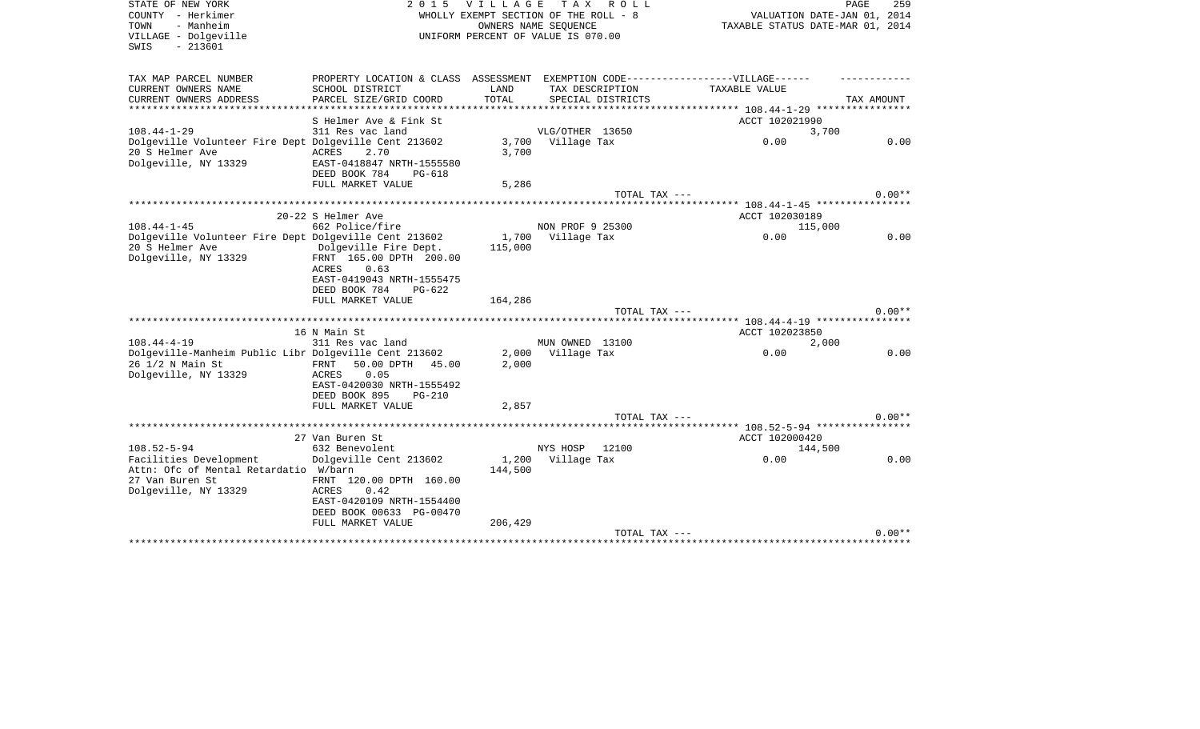| STATE OF NEW YORK<br>COUNTY - Herkimer<br>- Manheim<br>TOWN<br>VILLAGE - Dolgeville<br>$-213601$<br>SWIS   | 2 0 1 5                                                                                                                     | <b>VILLAGE</b>       | TAX ROLL<br>WHOLLY EXEMPT SECTION OF THE ROLL - 8<br>OWNERS NAME SEQUENCE<br>UNIFORM PERCENT OF VALUE IS 070.00 | TAXABLE STATUS DATE-MAR 01, 2014            | PAGE<br>259<br>VALUATION DATE-JAN 01, 2014 |
|------------------------------------------------------------------------------------------------------------|-----------------------------------------------------------------------------------------------------------------------------|----------------------|-----------------------------------------------------------------------------------------------------------------|---------------------------------------------|--------------------------------------------|
| TAX MAP PARCEL NUMBER                                                                                      | PROPERTY LOCATION & CLASS ASSESSMENT EXEMPTION CODE-----------------VILLAGE------                                           |                      |                                                                                                                 |                                             |                                            |
| CURRENT OWNERS NAME                                                                                        | SCHOOL DISTRICT                                                                                                             | LAND                 | TAX DESCRIPTION                                                                                                 | TAXABLE VALUE                               |                                            |
| CURRENT OWNERS ADDRESS<br>* * * * * * * * * * * * * * * * *                                                | PARCEL SIZE/GRID COORD<br>******************                                                                                | TOTAL<br>*********** | SPECIAL DISTRICTS                                                                                               | ************* 108.44-1-29 ***************** | TAX AMOUNT                                 |
|                                                                                                            | S Helmer Ave & Fink St                                                                                                      |                      |                                                                                                                 | ACCT 102021990                              |                                            |
| $108.44 - 1 - 29$                                                                                          | 311 Res vac land                                                                                                            |                      | VLG/OTHER 13650                                                                                                 |                                             | 3,700                                      |
| Dolgeville Volunteer Fire Dept Dolgeville Cent 213602<br>20 S Helmer Ave<br>Dolgeville, NY 13329           | <b>ACRES</b><br>2.70<br>EAST-0418847 NRTH-1555580                                                                           | 3,700<br>3,700       | Village Tax                                                                                                     | 0.00                                        | 0.00                                       |
|                                                                                                            | DEED BOOK 784<br>PG-618                                                                                                     |                      |                                                                                                                 |                                             |                                            |
|                                                                                                            | FULL MARKET VALUE                                                                                                           | 5,286                | TOTAL TAX ---                                                                                                   |                                             | $0.00**$                                   |
|                                                                                                            |                                                                                                                             |                      |                                                                                                                 |                                             |                                            |
|                                                                                                            | 20-22 S Helmer Ave                                                                                                          |                      |                                                                                                                 | ACCT 102030189                              |                                            |
| $108.44 - 1 - 45$                                                                                          | 662 Police/fire                                                                                                             |                      | NON PROF 9 25300                                                                                                | 115,000                                     |                                            |
| Dolgeville Volunteer Fire Dept Dolgeville Cent 213602<br>20 S Helmer Ave                                   | Dolgeville Fire Dept.                                                                                                       | 1,700<br>115,000     | Village Tax                                                                                                     | 0.00                                        | 0.00                                       |
| Dolgeville, NY 13329                                                                                       | FRNT 165.00 DPTH 200.00<br><b>ACRES</b><br>0.63<br>EAST-0419043 NRTH-1555475<br>DEED BOOK 784<br>$PG-622$                   |                      |                                                                                                                 |                                             |                                            |
|                                                                                                            | FULL MARKET VALUE                                                                                                           | 164,286              |                                                                                                                 |                                             |                                            |
|                                                                                                            | **************************                                                                                                  |                      | TOTAL TAX ---                                                                                                   |                                             | $0.00**$                                   |
|                                                                                                            | 16 N Main St                                                                                                                |                      |                                                                                                                 | ACCT 102023850                              |                                            |
| $108.44 - 4 - 19$                                                                                          | 311 Res vac land                                                                                                            |                      | MUN OWNED 13100                                                                                                 |                                             | 2,000                                      |
| Dolgeville-Manheim Public Libr Dolgeville Cent 213602<br>26 1/2 N Main St<br>Dolgeville, NY 13329          | 50.00 DPTH<br>FRNT<br>45.00<br>0.05<br>ACRES<br>EAST-0420030 NRTH-1555492                                                   | 2,000<br>2,000       | Village Tax                                                                                                     | 0.00                                        | 0.00                                       |
|                                                                                                            | DEED BOOK 895<br>$PG-210$<br>FULL MARKET VALUE                                                                              | 2,857                |                                                                                                                 |                                             |                                            |
|                                                                                                            |                                                                                                                             |                      | $TOTAL$ $TAX$ $---$                                                                                             |                                             | $0.00**$                                   |
|                                                                                                            |                                                                                                                             |                      |                                                                                                                 | ********* 108.52-5-94 *****************     |                                            |
|                                                                                                            | 27 Van Buren St                                                                                                             |                      |                                                                                                                 | ACCT 102000420                              |                                            |
| $108.52 - 5 - 94$                                                                                          | 632 Benevolent                                                                                                              |                      | NYS HOSP<br>12100                                                                                               | 144,500                                     |                                            |
| Facilities Development<br>Attn: Ofc of Mental Retardatio W/barn<br>27 Van Buren St<br>Dolgeville, NY 13329 | Dolgeville Cent 213602<br>FRNT 120.00 DPTH 160.00<br>0.42<br>ACRES<br>EAST-0420109 NRTH-1554400<br>DEED BOOK 00633 PG-00470 | 1,200<br>144,500     | Village Tax                                                                                                     | 0.00                                        | 0.00                                       |
|                                                                                                            | FULL MARKET VALUE                                                                                                           | 206,429              | TOTAL TAX ---                                                                                                   |                                             | $0.00**$                                   |
|                                                                                                            |                                                                                                                             |                      |                                                                                                                 |                                             |                                            |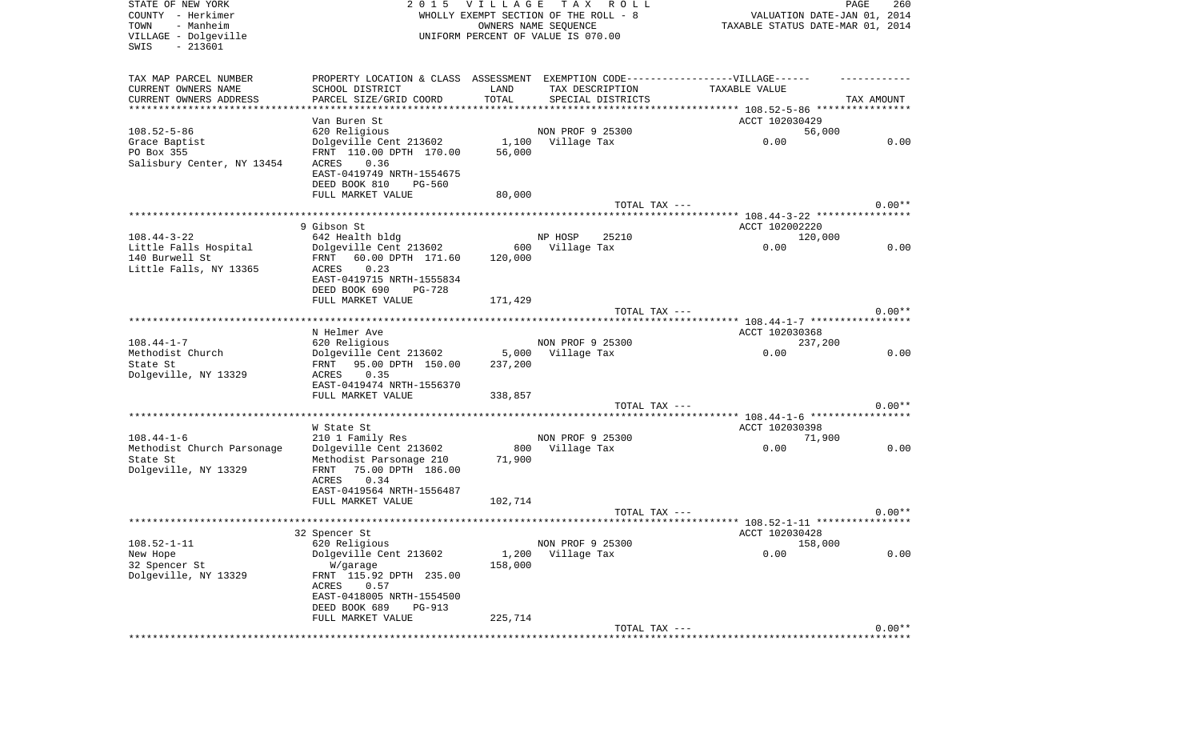| STATE OF NEW YORK          | 2 0 1 5                                                                          | V I L L A G E | T A X<br>R O L L                      |                                      | 260<br>PAGE |
|----------------------------|----------------------------------------------------------------------------------|---------------|---------------------------------------|--------------------------------------|-------------|
| COUNTY - Herkimer          |                                                                                  |               | WHOLLY EXEMPT SECTION OF THE ROLL - 8 | VALUATION DATE-JAN 01, 2014          |             |
| TOWN<br>- Manheim          |                                                                                  |               | OWNERS NAME SEQUENCE                  | TAXABLE STATUS DATE-MAR 01, 2014     |             |
| VILLAGE - Dolgeville       |                                                                                  |               | UNIFORM PERCENT OF VALUE IS 070.00    |                                      |             |
| SWIS<br>$-213601$          |                                                                                  |               |                                       |                                      |             |
|                            |                                                                                  |               |                                       |                                      |             |
|                            |                                                                                  |               |                                       |                                      |             |
| TAX MAP PARCEL NUMBER      | PROPERTY LOCATION & CLASS ASSESSMENT EXEMPTION CODE----------------VILLAGE------ |               |                                       |                                      |             |
| CURRENT OWNERS NAME        | SCHOOL DISTRICT                                                                  | LAND          | TAX DESCRIPTION                       | TAXABLE VALUE                        |             |
| CURRENT OWNERS ADDRESS     | PARCEL SIZE/GRID COORD                                                           | TOTAL         | SPECIAL DISTRICTS                     |                                      | TAX AMOUNT  |
| ************************   | **********************                                                           |               |                                       |                                      |             |
|                            | Van Buren St                                                                     |               |                                       | ACCT 102030429                       |             |
| $108.52 - 5 - 86$          | 620 Religious                                                                    |               | NON PROF 9 25300                      | 56,000                               |             |
| Grace Baptist              | Dolgeville Cent 213602                                                           | 1,100         | Village Tax                           | 0.00                                 | 0.00        |
| PO Box 355                 | FRNT 110.00 DPTH 170.00                                                          | 56,000        |                                       |                                      |             |
| Salisbury Center, NY 13454 | 0.36<br>ACRES                                                                    |               |                                       |                                      |             |
|                            | EAST-0419749 NRTH-1554675                                                        |               |                                       |                                      |             |
|                            | DEED BOOK 810<br>PG-560                                                          |               |                                       |                                      |             |
|                            | FULL MARKET VALUE                                                                | 80,000        |                                       |                                      |             |
|                            |                                                                                  |               | TOTAL TAX ---                         |                                      | $0.00**$    |
|                            |                                                                                  |               |                                       |                                      |             |
|                            | 9 Gibson St                                                                      |               |                                       | ACCT 102002220                       |             |
| $108.44 - 3 - 22$          | 642 Health bldg                                                                  |               | NP HOSP<br>25210                      | 120,000                              |             |
| Little Falls Hospital      | Dolgeville Cent 213602                                                           | 600           | Village Tax                           | 0.00                                 | 0.00        |
| 140 Burwell St             | 60.00 DPTH 171.60<br>FRNT                                                        | 120,000       |                                       |                                      |             |
|                            |                                                                                  |               |                                       |                                      |             |
| Little Falls, NY 13365     | 0.23<br>ACRES                                                                    |               |                                       |                                      |             |
|                            | EAST-0419715 NRTH-1555834                                                        |               |                                       |                                      |             |
|                            | DEED BOOK 690<br>PG-728                                                          |               |                                       |                                      |             |
|                            | FULL MARKET VALUE                                                                | 171,429       |                                       |                                      |             |
|                            |                                                                                  |               | TOTAL TAX ---                         |                                      | $0.00**$    |
|                            |                                                                                  |               |                                       | ****** 108.44-1-7 ****************** |             |
|                            | N Helmer Ave                                                                     |               |                                       | ACCT 102030368                       |             |
| $108.44 - 1 - 7$           | 620 Religious                                                                    |               | NON PROF 9 25300                      | 237,200                              |             |
| Methodist Church           | Dolgeville Cent 213602                                                           | 5,000         | Village Tax                           | 0.00                                 | 0.00        |
| State St                   | 95.00 DPTH 150.00<br>FRNT                                                        | 237,200       |                                       |                                      |             |
| Dolgeville, NY 13329       | 0.35<br>ACRES                                                                    |               |                                       |                                      |             |
|                            | EAST-0419474 NRTH-1556370                                                        |               |                                       |                                      |             |
|                            | FULL MARKET VALUE                                                                | 338,857       |                                       |                                      |             |
|                            |                                                                                  |               | TOTAL TAX ---                         |                                      | $0.00**$    |
|                            | ******************                                                               |               |                                       |                                      |             |
|                            | W State St                                                                       |               |                                       | ACCT 102030398                       |             |
| $108.44 - 1 - 6$           | 210 1 Family Res                                                                 |               | NON PROF 9 25300                      | 71,900                               |             |
| Methodist Church Parsonage | Dolgeville Cent 213602                                                           | 800           | Village Tax                           | 0.00                                 | 0.00        |
| State St                   | Methodist Parsonage 210                                                          | 71,900        |                                       |                                      |             |
| Dolgeville, NY 13329       | 75.00 DPTH 186.00<br>FRNT                                                        |               |                                       |                                      |             |
|                            | ACRES<br>0.34                                                                    |               |                                       |                                      |             |
|                            | EAST-0419564 NRTH-1556487                                                        |               |                                       |                                      |             |
|                            | FULL MARKET VALUE                                                                | 102,714       |                                       |                                      |             |
|                            |                                                                                  |               | TOTAL TAX ---                         |                                      | $0.00**$    |
|                            |                                                                                  |               |                                       |                                      |             |
|                            |                                                                                  |               |                                       |                                      |             |
|                            | 32 Spencer St                                                                    |               |                                       | ACCT 102030428                       |             |
| $108.52 - 1 - 11$          | 620 Religious                                                                    |               | NON PROF 9 25300                      | 158,000                              |             |
| New Hope                   | Dolgeville Cent 213602                                                           | 1,200         | Village Tax                           | 0.00                                 | 0.00        |
| 32 Spencer St              | W/garage                                                                         | 158,000       |                                       |                                      |             |
| Dolgeville, NY 13329       | FRNT 115.92 DPTH 235.00                                                          |               |                                       |                                      |             |
|                            | 0.57<br>ACRES                                                                    |               |                                       |                                      |             |
|                            | EAST-0418005 NRTH-1554500                                                        |               |                                       |                                      |             |
|                            | DEED BOOK 689<br>PG-913                                                          |               |                                       |                                      |             |
|                            | FULL MARKET VALUE                                                                | 225,714       |                                       |                                      |             |
|                            |                                                                                  |               | TOTAL TAX ---                         |                                      | $0.00**$    |
|                            |                                                                                  |               | ***********************               |                                      |             |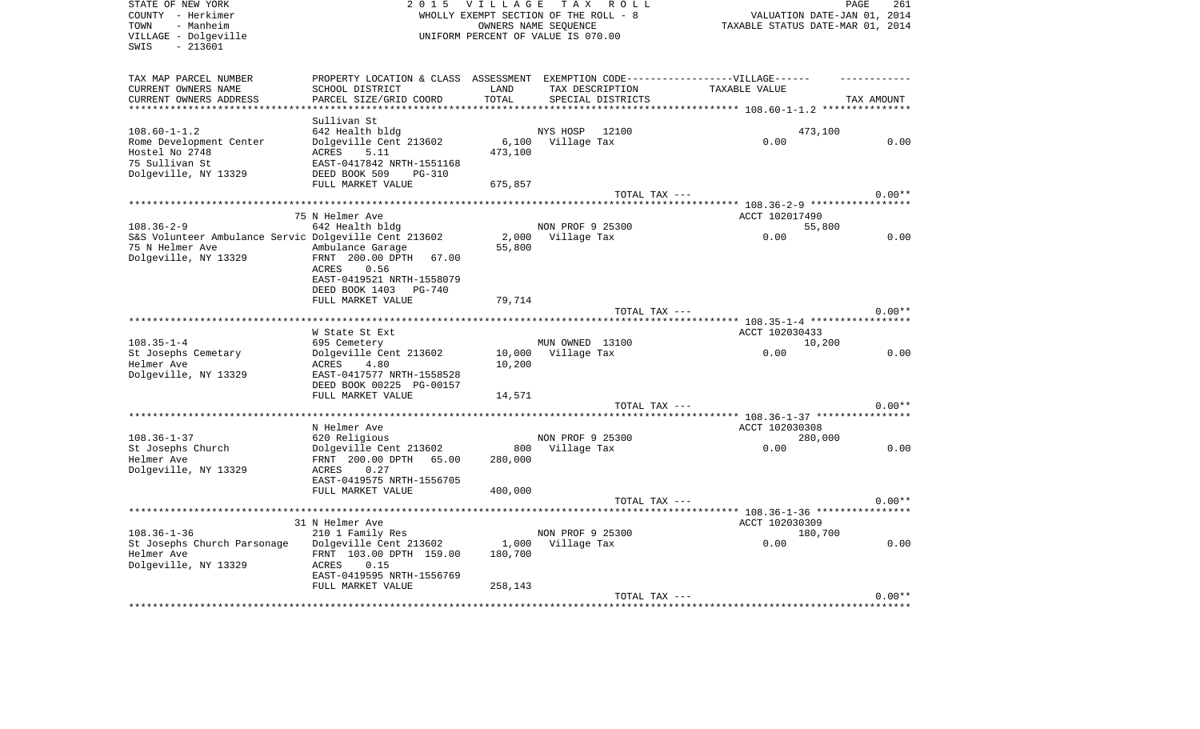| STATE OF NEW YORK<br>COUNTY - Herkimer                         | 2 0 1 5                                    | <b>VILLAGE</b> | TAX ROLL<br>WHOLLY EXEMPT SECTION OF THE ROLL - 8          | VALUATION DATE-JAN 01, 2014                                    | PAGE<br>261 |
|----------------------------------------------------------------|--------------------------------------------|----------------|------------------------------------------------------------|----------------------------------------------------------------|-------------|
| - Manheim<br>TOWN<br>VILLAGE - Dolgeville<br>$-213601$<br>SWIS |                                            |                | OWNERS NAME SEQUENCE<br>UNIFORM PERCENT OF VALUE IS 070.00 | TAXABLE STATUS DATE-MAR 01, 2014                               |             |
| TAX MAP PARCEL NUMBER                                          | PROPERTY LOCATION & CLASS ASSESSMENT       |                |                                                            | EXEMPTION CODE------------------VILLAGE------                  |             |
| CURRENT OWNERS NAME                                            | SCHOOL DISTRICT                            | LAND           | TAX DESCRIPTION                                            | TAXABLE VALUE                                                  |             |
| CURRENT OWNERS ADDRESS                                         | PARCEL SIZE/GRID COORD                     | TOTAL          | SPECIAL DISTRICTS                                          |                                                                | TAX AMOUNT  |
| ***********************                                        |                                            |                |                                                            |                                                                |             |
| $108.60 - 1 - 1.2$                                             | Sullivan St<br>642 Health bldg             |                |                                                            |                                                                |             |
| Rome Development Center                                        | Dolgeville Cent 213602                     | 6,100          | NYS HOSP<br>12100<br>Village Tax                           | 473,100<br>0.00                                                | 0.00        |
| Hostel No 2748                                                 | ACRES<br>5.11                              | 473,100        |                                                            |                                                                |             |
| 75 Sullivan St                                                 | EAST-0417842 NRTH-1551168                  |                |                                                            |                                                                |             |
| Dolgeville, NY 13329                                           | DEED BOOK 509<br>PG-310                    |                |                                                            |                                                                |             |
|                                                                | FULL MARKET VALUE                          | 675,857        |                                                            |                                                                |             |
|                                                                |                                            |                | TOTAL TAX ---                                              |                                                                | $0.00**$    |
|                                                                |                                            |                |                                                            |                                                                |             |
|                                                                | 75 N Helmer Ave                            |                |                                                            | ACCT 102017490                                                 |             |
| $108.36 - 2 - 9$                                               | 642 Health bldg                            |                | NON PROF 9 25300                                           | 55,800                                                         |             |
| S&S Volunteer Ambulance Servic Dolgeville Cent 213602          |                                            | 2,000          | Village Tax                                                | 0.00                                                           | 0.00        |
| 75 N Helmer Ave                                                | Ambulance Garage                           | 55,800         |                                                            |                                                                |             |
| Dolgeville, NY 13329                                           | FRNT 200.00 DPTH<br>67.00                  |                |                                                            |                                                                |             |
|                                                                | ACRES<br>0.56                              |                |                                                            |                                                                |             |
|                                                                | EAST-0419521 NRTH-1558079                  |                |                                                            |                                                                |             |
|                                                                | DEED BOOK 1403<br>PG-740                   |                |                                                            |                                                                |             |
|                                                                | FULL MARKET VALUE                          | 79,714         |                                                            |                                                                | $0.00**$    |
|                                                                |                                            |                | TOTAL TAX ---                                              | **************************** 108.35-1-4 *****************      |             |
|                                                                | W State St Ext                             |                |                                                            | ACCT 102030433                                                 |             |
| $108.35 - 1 - 4$                                               | 695 Cemetery                               |                | MUN OWNED 13100                                            | 10,200                                                         |             |
| St Josephs Cemetary                                            | Dolgeville Cent 213602                     | 10,000         | Village Tax                                                | 0.00                                                           | 0.00        |
| Helmer Ave                                                     | 4.80<br><b>ACRES</b>                       | 10,200         |                                                            |                                                                |             |
| Dolgeville, NY 13329                                           | EAST-0417577 NRTH-1558528                  |                |                                                            |                                                                |             |
|                                                                | DEED BOOK 00225 PG-00157                   |                |                                                            |                                                                |             |
|                                                                | FULL MARKET VALUE                          | 14,571         |                                                            |                                                                |             |
|                                                                |                                            |                | TOTAL TAX ---                                              |                                                                | $0.00**$    |
|                                                                |                                            |                |                                                            | ******************************** 108.36-1-37 ***************** |             |
|                                                                | N Helmer Ave                               |                |                                                            | ACCT 102030308                                                 |             |
| $108.36 - 1 - 37$                                              | 620 Religious                              |                | NON PROF 9 25300                                           | 280,000                                                        |             |
| St Josephs Church                                              | Dolgeville Cent 213602                     | 800            | Village Tax                                                | 0.00                                                           | 0.00        |
| Helmer Ave                                                     | FRNT 200.00 DPTH 65.00                     | 280,000        |                                                            |                                                                |             |
| Dolgeville, NY 13329                                           | 0.27<br>ACRES<br>EAST-0419575 NRTH-1556705 |                |                                                            |                                                                |             |
|                                                                | FULL MARKET VALUE                          | 400,000        |                                                            |                                                                |             |
|                                                                |                                            |                | TOTAL TAX ---                                              |                                                                | $0.00**$    |
|                                                                |                                            |                |                                                            |                                                                |             |
|                                                                | 31 N Helmer Ave                            |                |                                                            | ACCT 102030309                                                 |             |
| $108.36 - 1 - 36$                                              | 210 1 Family Res                           |                | NON PROF 9 25300                                           | 180,700                                                        |             |
| St Josephs Church Parsonage                                    | Dolgeville Cent 213602                     | 1,000          | Village Tax                                                | 0.00                                                           | 0.00        |
| Helmer Ave                                                     | FRNT 103.00 DPTH 159.00                    | 180,700        |                                                            |                                                                |             |
| Dolgeville, NY 13329                                           | ACRES<br>0.15                              |                |                                                            |                                                                |             |
|                                                                | EAST-0419595 NRTH-1556769                  |                |                                                            |                                                                |             |
|                                                                | FULL MARKET VALUE                          | 258,143        |                                                            |                                                                |             |
|                                                                |                                            |                | TOTAL TAX ---                                              |                                                                | $0.00**$    |
|                                                                |                                            |                |                                                            |                                                                |             |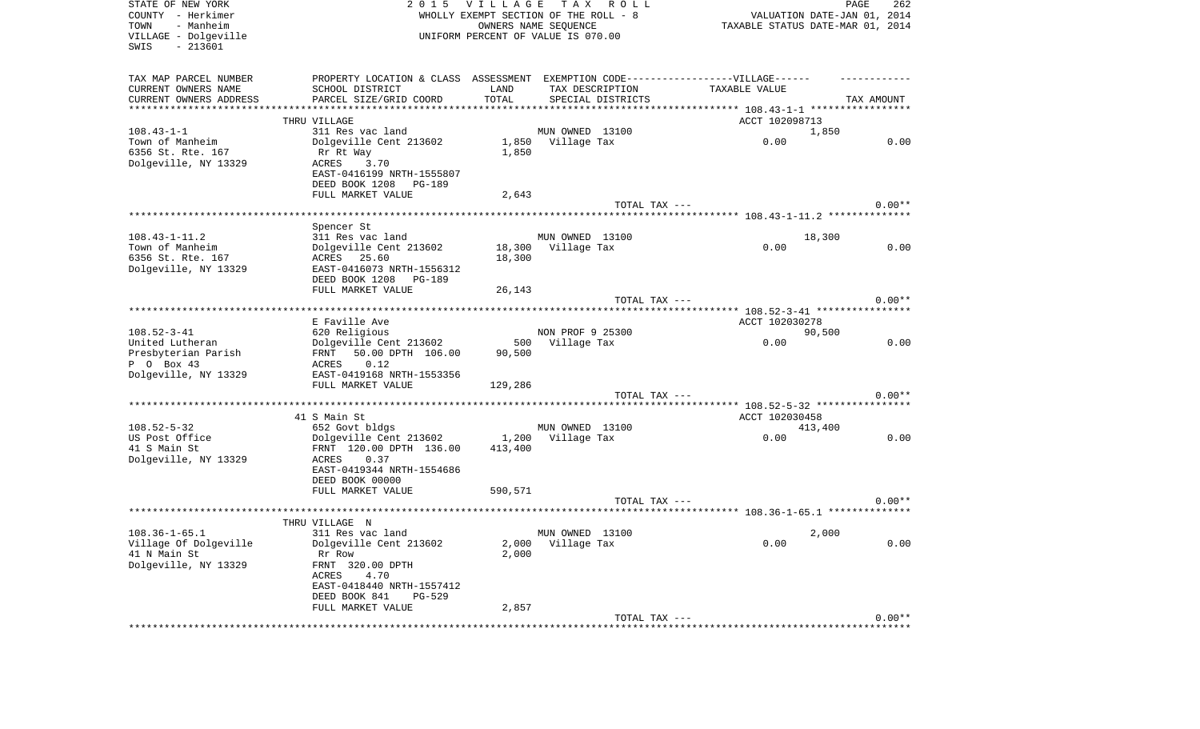| STATE OF NEW YORK<br>COUNTY - Herkimer<br>- Manheim<br>TOWN<br>VILLAGE - Dolgeville<br>$-213601$<br>SWIS | 2 0 1 5                                                                          | VILLAGE       | TAX ROLL<br>WHOLLY EXEMPT SECTION OF THE ROLL - 8<br>OWNERS NAME SEQUENCE<br>UNIFORM PERCENT OF VALUE IS 070.00 |                                          | PAGE<br>262<br>VALUATION DATE-JAN 01, 2014<br>TAXABLE STATUS DATE-MAR 01, 2014 |
|----------------------------------------------------------------------------------------------------------|----------------------------------------------------------------------------------|---------------|-----------------------------------------------------------------------------------------------------------------|------------------------------------------|--------------------------------------------------------------------------------|
| TAX MAP PARCEL NUMBER                                                                                    | PROPERTY LOCATION & CLASS ASSESSMENT EXEMPTION CODE----------------VILLAGE------ |               |                                                                                                                 |                                          |                                                                                |
| CURRENT OWNERS NAME<br>CURRENT OWNERS ADDRESS                                                            | SCHOOL DISTRICT<br>PARCEL SIZE/GRID COORD                                        | LAND<br>TOTAL | TAX DESCRIPTION<br>SPECIAL DISTRICTS                                                                            | TAXABLE VALUE                            | TAX AMOUNT                                                                     |
| ************************                                                                                 |                                                                                  |               |                                                                                                                 |                                          |                                                                                |
| $108.43 - 1 - 1$                                                                                         | THRU VILLAGE<br>311 Res vac land                                                 |               | MUN OWNED 13100                                                                                                 | ACCT 102098713                           | 1,850                                                                          |
| Town of Manheim                                                                                          | Dolgeville Cent 213602                                                           |               | 1,850 Village Tax                                                                                               | 0.00                                     | 0.00                                                                           |
| 6356 St. Rte. 167                                                                                        | Rr Rt Way                                                                        | 1,850         |                                                                                                                 |                                          |                                                                                |
| Dolgeville, NY 13329                                                                                     | ACRES 3.70                                                                       |               |                                                                                                                 |                                          |                                                                                |
|                                                                                                          | EAST-0416199 NRTH-1555807                                                        |               |                                                                                                                 |                                          |                                                                                |
|                                                                                                          | DEED BOOK 1208 PG-189                                                            |               |                                                                                                                 |                                          |                                                                                |
|                                                                                                          | FULL MARKET VALUE                                                                | 2,643         | TOTAL TAX ---                                                                                                   |                                          | $0.00**$                                                                       |
|                                                                                                          |                                                                                  |               |                                                                                                                 |                                          |                                                                                |
|                                                                                                          | Spencer St                                                                       |               |                                                                                                                 |                                          |                                                                                |
| $108.43 - 1 - 11.2$                                                                                      | 311 Res vac land                                                                 |               | MUN OWNED 13100                                                                                                 |                                          | 18,300                                                                         |
| Town of Manheim                                                                                          | Dolgeville Cent 213602                                                           |               | 18,300 Village Tax                                                                                              | 0.00                                     | 0.00                                                                           |
| 6356 St. Rte. 167                                                                                        | ACRES 25.60                                                                      | 18,300        |                                                                                                                 |                                          |                                                                                |
| Dolgeville, NY 13329                                                                                     | EAST-0416073 NRTH-1556312<br>DEED BOOK 1208 PG-189                               |               |                                                                                                                 |                                          |                                                                                |
|                                                                                                          | FULL MARKET VALUE                                                                | 26,143        |                                                                                                                 |                                          |                                                                                |
|                                                                                                          |                                                                                  |               | TOTAL TAX ---                                                                                                   |                                          | $0.00**$                                                                       |
|                                                                                                          |                                                                                  |               |                                                                                                                 |                                          |                                                                                |
|                                                                                                          | E Faville Ave                                                                    |               |                                                                                                                 | ACCT 102030278                           |                                                                                |
| $108.52 - 3 - 41$<br>United Lutheran                                                                     | 620 Religious<br>Dolgeville Cent 213602                                          |               | NON PROF 9 25300<br>500 Village Tax                                                                             | 0.00                                     | 90,500<br>0.00                                                                 |
| Presbyterian Parish                                                                                      | 50.00 DPTH 106.00<br>FRNT                                                        | 90,500        |                                                                                                                 |                                          |                                                                                |
| P 0 Box 43                                                                                               | 0.12<br>ACRES                                                                    |               |                                                                                                                 |                                          |                                                                                |
| Dolgeville, NY 13329                                                                                     | EAST-0419168 NRTH-1553356                                                        |               |                                                                                                                 |                                          |                                                                                |
|                                                                                                          | FULL MARKET VALUE                                                                | 129,286       |                                                                                                                 |                                          |                                                                                |
|                                                                                                          |                                                                                  |               | TOTAL TAX ---                                                                                                   | ********** 108.52-5-32 ***************** | $0.00**$                                                                       |
|                                                                                                          | 41 S Main St                                                                     |               |                                                                                                                 | ACCT 102030458                           |                                                                                |
| $108.52 - 5 - 32$                                                                                        | 652 Govt bldgs                                                                   |               | MUN OWNED 13100                                                                                                 |                                          | 413,400                                                                        |
| US Post Office                                                                                           | Dolgeville Cent 213602                                                           | 1,200         | Village Tax                                                                                                     | 0.00                                     | 0.00                                                                           |
| 41 S Main St                                                                                             | FRNT 120.00 DPTH 136.00                                                          | 413,400       |                                                                                                                 |                                          |                                                                                |
| Dolgeville, NY 13329                                                                                     | ACRES<br>0.37                                                                    |               |                                                                                                                 |                                          |                                                                                |
|                                                                                                          | EAST-0419344 NRTH-1554686<br>DEED BOOK 00000                                     |               |                                                                                                                 |                                          |                                                                                |
|                                                                                                          | FULL MARKET VALUE                                                                | 590,571       |                                                                                                                 |                                          |                                                                                |
|                                                                                                          |                                                                                  |               | TOTAL TAX ---                                                                                                   |                                          | $0.00**$                                                                       |
|                                                                                                          |                                                                                  |               |                                                                                                                 |                                          |                                                                                |
|                                                                                                          | THRU VILLAGE N                                                                   |               |                                                                                                                 |                                          |                                                                                |
| $108.36 - 1 - 65.1$<br>Village Of Dolgeville                                                             | 311 Res vac land<br>Dolgeville Cent 213602                                       |               | MUN OWNED 13100<br>2,000 Village Tax                                                                            | 0.00                                     | 2,000<br>0.00                                                                  |
| 41 N Main St                                                                                             | Rr Row                                                                           | 2,000         |                                                                                                                 |                                          |                                                                                |
| Dolgeville, NY 13329                                                                                     | FRNT 320.00 DPTH                                                                 |               |                                                                                                                 |                                          |                                                                                |
|                                                                                                          | 4.70<br>ACRES                                                                    |               |                                                                                                                 |                                          |                                                                                |
|                                                                                                          | EAST-0418440 NRTH-1557412                                                        |               |                                                                                                                 |                                          |                                                                                |
|                                                                                                          | DEED BOOK 841<br>PG-529<br>FULL MARKET VALUE                                     | 2,857         |                                                                                                                 |                                          |                                                                                |
|                                                                                                          |                                                                                  |               | TOTAL TAX ---                                                                                                   |                                          | $0.00**$                                                                       |
|                                                                                                          |                                                                                  |               |                                                                                                                 |                                          |                                                                                |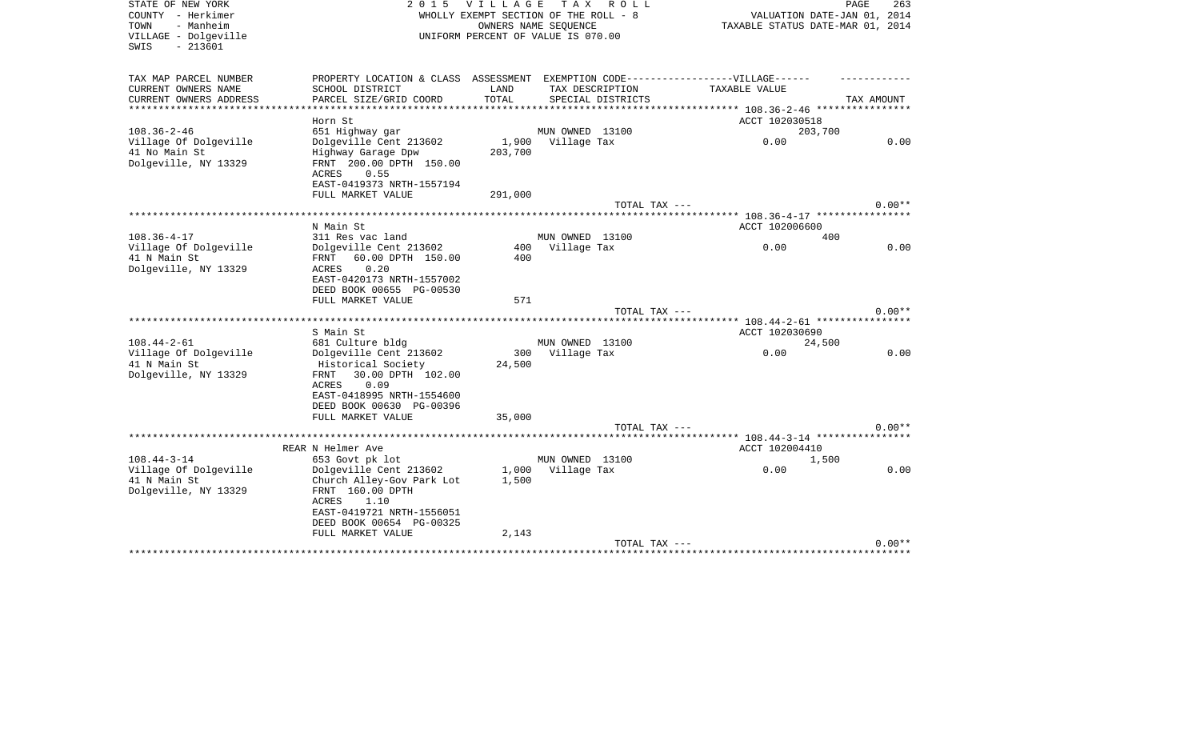| STATE OF NEW YORK<br>COUNTY - Herkimer<br>- Manheim<br>TOWN<br>VILLAGE - Dolgeville<br>$-213601$<br>SWIS | 2 0 1 5                                               | <b>VILLAGE</b><br>WHOLLY EXEMPT SECTION OF THE ROLL - 8<br>UNIFORM PERCENT OF VALUE IS 070.00 | OWNERS NAME SEOUENCE | TAX ROLL                             |                                                                                   | PAGE<br>263<br>VALUATION DATE-JAN 01, 2014<br>TAXABLE STATUS DATE-MAR 01, 2014 |
|----------------------------------------------------------------------------------------------------------|-------------------------------------------------------|-----------------------------------------------------------------------------------------------|----------------------|--------------------------------------|-----------------------------------------------------------------------------------|--------------------------------------------------------------------------------|
| TAX MAP PARCEL NUMBER                                                                                    |                                                       | LAND                                                                                          |                      |                                      | PROPERTY LOCATION & CLASS ASSESSMENT EXEMPTION CODE-----------------VILLAGE------ |                                                                                |
| CURRENT OWNERS NAME<br>CURRENT OWNERS ADDRESS                                                            | SCHOOL DISTRICT<br>PARCEL SIZE/GRID COORD             | TOTAL                                                                                         |                      | TAX DESCRIPTION<br>SPECIAL DISTRICTS | TAXABLE VALUE                                                                     | TAX AMOUNT                                                                     |
|                                                                                                          |                                                       |                                                                                               |                      |                                      |                                                                                   |                                                                                |
| Horn St                                                                                                  |                                                       |                                                                                               |                      |                                      | ACCT 102030518                                                                    |                                                                                |
| $108.36 - 2 - 46$                                                                                        | 651 Highway gar                                       |                                                                                               | MUN OWNED 13100      |                                      |                                                                                   | 203,700                                                                        |
| Village Of Dolgeville                                                                                    | Dolgeville Cent 213602                                |                                                                                               | 1,900 Village Tax    |                                      | 0.00                                                                              | 0.00                                                                           |
| 41 No Main St<br>Dolgeville, NY 13329<br>ACRES                                                           | Highway Garage Dpw<br>FRNT 200.00 DPTH 150.00<br>0.55 | 203,700                                                                                       |                      |                                      |                                                                                   |                                                                                |
|                                                                                                          | EAST-0419373 NRTH-1557194                             |                                                                                               |                      |                                      |                                                                                   |                                                                                |
|                                                                                                          | FULL MARKET VALUE                                     | 291,000                                                                                       |                      |                                      |                                                                                   |                                                                                |
|                                                                                                          |                                                       |                                                                                               |                      | TOTAL TAX ---                        |                                                                                   | $0.00**$                                                                       |
| N Main St                                                                                                |                                                       |                                                                                               |                      |                                      | ACCT 102006600                                                                    |                                                                                |
| $108.36 - 4 - 17$                                                                                        | 311 Res vac land                                      |                                                                                               | MUN OWNED 13100      |                                      |                                                                                   | 400                                                                            |
| Village Of Dolgeville                                                                                    | Dolgeville Cent 213602                                | 400                                                                                           | Village Tax          |                                      | 0.00                                                                              | 0.00                                                                           |
| 41 N Main St<br>FRNT                                                                                     | 60.00 DPTH 150.00                                     | 400                                                                                           |                      |                                      |                                                                                   |                                                                                |
| Dolgeville, NY 13329<br>ACRES                                                                            | 0.20                                                  |                                                                                               |                      |                                      |                                                                                   |                                                                                |
|                                                                                                          | EAST-0420173 NRTH-1557002<br>DEED BOOK 00655 PG-00530 |                                                                                               |                      |                                      |                                                                                   |                                                                                |
|                                                                                                          | FULL MARKET VALUE                                     | 571                                                                                           |                      |                                      |                                                                                   |                                                                                |
|                                                                                                          |                                                       |                                                                                               |                      | TOTAL TAX ---                        |                                                                                   | $0.00**$                                                                       |
|                                                                                                          |                                                       |                                                                                               |                      |                                      |                                                                                   |                                                                                |
| S Main St                                                                                                |                                                       |                                                                                               |                      |                                      | ACCT 102030690                                                                    |                                                                                |
| $108.44 - 2 - 61$<br>Village Of Dolgeville                                                               | 681 Culture bldg                                      |                                                                                               | MUN OWNED 13100      |                                      | 0.00                                                                              | 24,500<br>0.00                                                                 |
| 41 N Main St                                                                                             | Dolgeville Cent 213602<br>Historical Society          | 300<br>24,500                                                                                 | Village Tax          |                                      |                                                                                   |                                                                                |
| Dolgeville, NY 13329<br>FRNT                                                                             | 30.00 DPTH 102.00                                     |                                                                                               |                      |                                      |                                                                                   |                                                                                |
| ACRES                                                                                                    | 0.09                                                  |                                                                                               |                      |                                      |                                                                                   |                                                                                |
|                                                                                                          | EAST-0418995 NRTH-1554600                             |                                                                                               |                      |                                      |                                                                                   |                                                                                |
|                                                                                                          | DEED BOOK 00630 PG-00396                              |                                                                                               |                      |                                      |                                                                                   |                                                                                |
|                                                                                                          | FULL MARKET VALUE                                     | 35,000                                                                                        |                      | TOTAL TAX ---                        |                                                                                   | $0.00**$                                                                       |
|                                                                                                          |                                                       |                                                                                               |                      |                                      | ********* 108.44-3-14 *****************                                           |                                                                                |
| REAR N Helmer Ave                                                                                        |                                                       |                                                                                               |                      |                                      | ACCT 102004410                                                                    |                                                                                |
| $108.44 - 3 - 14$                                                                                        | 653 Govt pk lot                                       |                                                                                               | MUN OWNED 13100      |                                      |                                                                                   | 1,500                                                                          |
| Village Of Dolgeville                                                                                    | Dolgeville Cent 213602                                |                                                                                               | 1,000 Village Tax    |                                      | 0.00                                                                              | 0.00                                                                           |
| 41 N Main St<br>Dolgeville, NY 13329                                                                     | Church Alley-Gov Park Lot<br>FRNT 160.00 DPTH         | 1,500                                                                                         |                      |                                      |                                                                                   |                                                                                |
| <b>ACRES</b>                                                                                             | 1.10                                                  |                                                                                               |                      |                                      |                                                                                   |                                                                                |
|                                                                                                          | EAST-0419721 NRTH-1556051                             |                                                                                               |                      |                                      |                                                                                   |                                                                                |
|                                                                                                          | DEED BOOK 00654 PG-00325                              |                                                                                               |                      |                                      |                                                                                   |                                                                                |
|                                                                                                          | FULL MARKET VALUE                                     | 2,143                                                                                         |                      |                                      |                                                                                   |                                                                                |
|                                                                                                          |                                                       |                                                                                               |                      | TOTAL TAX ---                        |                                                                                   | $0.00**$                                                                       |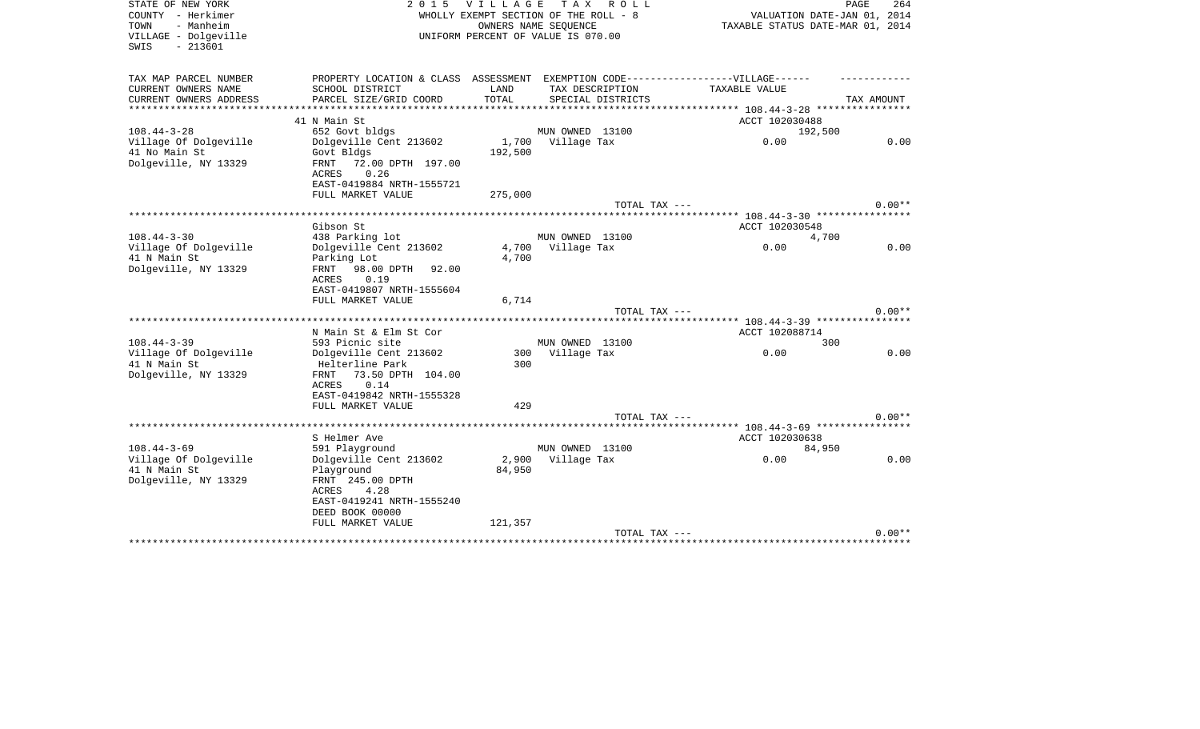| STATE OF NEW YORK<br>COUNTY - Herkimer<br>- Manheim<br>TOWN<br>VILLAGE - Dolgeville<br>$-213601$<br>SWIS | 2 0 1 5                                                                           | <b>VILLAGE</b> | TAX ROLL<br>WHOLLY EXEMPT SECTION OF THE ROLL - 8<br>OWNERS NAME SEQUENCE<br>UNIFORM PERCENT OF VALUE IS 070.00 | VALUATION DATE-JAN 01, 2014<br>TAXABLE STATUS DATE-MAR 01, 2014 | PAGE<br>264 |
|----------------------------------------------------------------------------------------------------------|-----------------------------------------------------------------------------------|----------------|-----------------------------------------------------------------------------------------------------------------|-----------------------------------------------------------------|-------------|
| TAX MAP PARCEL NUMBER                                                                                    | PROPERTY LOCATION & CLASS ASSESSMENT EXEMPTION CODE-----------------VILLAGE------ |                |                                                                                                                 |                                                                 |             |
| CURRENT OWNERS NAME<br>CURRENT OWNERS ADDRESS                                                            | SCHOOL DISTRICT<br>PARCEL SIZE/GRID COORD                                         | LAND<br>TOTAL  | TAX DESCRIPTION<br>SPECIAL DISTRICTS                                                                            | TAXABLE VALUE                                                   | TAX AMOUNT  |
| *********************                                                                                    | ***********************                                                           |                | ************************************                                                                            | *********** 108.44-3-28 *****************                       |             |
|                                                                                                          | 41 N Main St                                                                      |                |                                                                                                                 | ACCT 102030488                                                  |             |
| $108.44 - 3 - 28$                                                                                        | 652 Govt bldgs                                                                    |                | MUN OWNED 13100                                                                                                 | 192,500                                                         |             |
| Village Of Dolgeville                                                                                    | Dolgeville Cent 213602                                                            | 1,700          | Village Tax                                                                                                     | 0.00                                                            | 0.00        |
| 41 No Main St                                                                                            | Govt Bldgs                                                                        | 192,500        |                                                                                                                 |                                                                 |             |
| Dolgeville, NY 13329                                                                                     | FRNT<br>72.00 DPTH 197.00<br>ACRES<br>0.26                                        |                |                                                                                                                 |                                                                 |             |
|                                                                                                          | EAST-0419884 NRTH-1555721                                                         |                |                                                                                                                 |                                                                 |             |
|                                                                                                          | FULL MARKET VALUE                                                                 | 275,000        |                                                                                                                 |                                                                 |             |
|                                                                                                          |                                                                                   |                | TOTAL TAX ---                                                                                                   |                                                                 | $0.00**$    |
|                                                                                                          |                                                                                   |                |                                                                                                                 | *************************** 108.44-3-30 ****************        |             |
|                                                                                                          | Gibson St                                                                         |                |                                                                                                                 | ACCT 102030548                                                  |             |
| $108.44 - 3 - 30$<br>Village Of Dolgeville                                                               | 438 Parking lot<br>Dolgeville Cent 213602                                         |                | MUN OWNED 13100<br>4,700 Village Tax                                                                            | 4,700<br>0.00                                                   | 0.00        |
| 41 N Main St                                                                                             | Parking Lot                                                                       | 4,700          |                                                                                                                 |                                                                 |             |
| Dolgeville, NY 13329                                                                                     | FRNT 98.00 DPTH 92.00                                                             |                |                                                                                                                 |                                                                 |             |
|                                                                                                          | 0.19<br>ACRES                                                                     |                |                                                                                                                 |                                                                 |             |
|                                                                                                          | EAST-0419807 NRTH-1555604                                                         |                |                                                                                                                 |                                                                 |             |
|                                                                                                          | FULL MARKET VALUE                                                                 | 6,714          |                                                                                                                 |                                                                 |             |
|                                                                                                          |                                                                                   |                | TOTAL TAX ---                                                                                                   |                                                                 | $0.00**$    |
|                                                                                                          | N Main St & Elm St Cor                                                            |                |                                                                                                                 | ACCT 102088714                                                  |             |
| $108.44 - 3 - 39$                                                                                        | 593 Picnic site                                                                   |                | MUN OWNED 13100                                                                                                 | 300                                                             |             |
| Village Of Dolgeville                                                                                    | Dolgeville Cent 213602                                                            |                | 300 Village Tax                                                                                                 | 0.00                                                            | 0.00        |
| 41 N Main St                                                                                             | Helterline Park                                                                   | 300            |                                                                                                                 |                                                                 |             |
| Dolgeville, NY 13329                                                                                     | 73.50 DPTH 104.00<br>FRNT                                                         |                |                                                                                                                 |                                                                 |             |
|                                                                                                          | <b>ACRES</b><br>0.14                                                              |                |                                                                                                                 |                                                                 |             |
|                                                                                                          | EAST-0419842 NRTH-1555328                                                         | 429            |                                                                                                                 |                                                                 |             |
|                                                                                                          | FULL MARKET VALUE                                                                 |                | TOTAL TAX ---                                                                                                   |                                                                 | $0.00**$    |
|                                                                                                          |                                                                                   |                |                                                                                                                 | ******* 108.44-3-69 *****************                           |             |
|                                                                                                          | S Helmer Ave                                                                      |                |                                                                                                                 | ACCT 102030638                                                  |             |
| $108.44 - 3 - 69$                                                                                        | 591 Playground                                                                    |                | MUN OWNED 13100                                                                                                 | 84,950                                                          |             |
| Village Of Dolgeville                                                                                    | Dolgeville Cent 213602                                                            |                | 2,900 Village Tax                                                                                               | 0.00                                                            | 0.00        |
| 41 N Main St                                                                                             | Playground                                                                        | 84,950         |                                                                                                                 |                                                                 |             |
| Dolgeville, NY 13329                                                                                     | FRNT 245.00 DPTH                                                                  |                |                                                                                                                 |                                                                 |             |
|                                                                                                          | ACRES<br>4.28<br>EAST-0419241 NRTH-1555240                                        |                |                                                                                                                 |                                                                 |             |
|                                                                                                          | DEED BOOK 00000                                                                   |                |                                                                                                                 |                                                                 |             |
|                                                                                                          | FULL MARKET VALUE                                                                 | 121,357        |                                                                                                                 |                                                                 |             |
|                                                                                                          |                                                                                   |                | TOTAL TAX ---                                                                                                   |                                                                 | $0.00**$    |
|                                                                                                          |                                                                                   |                |                                                                                                                 | ************************                                        |             |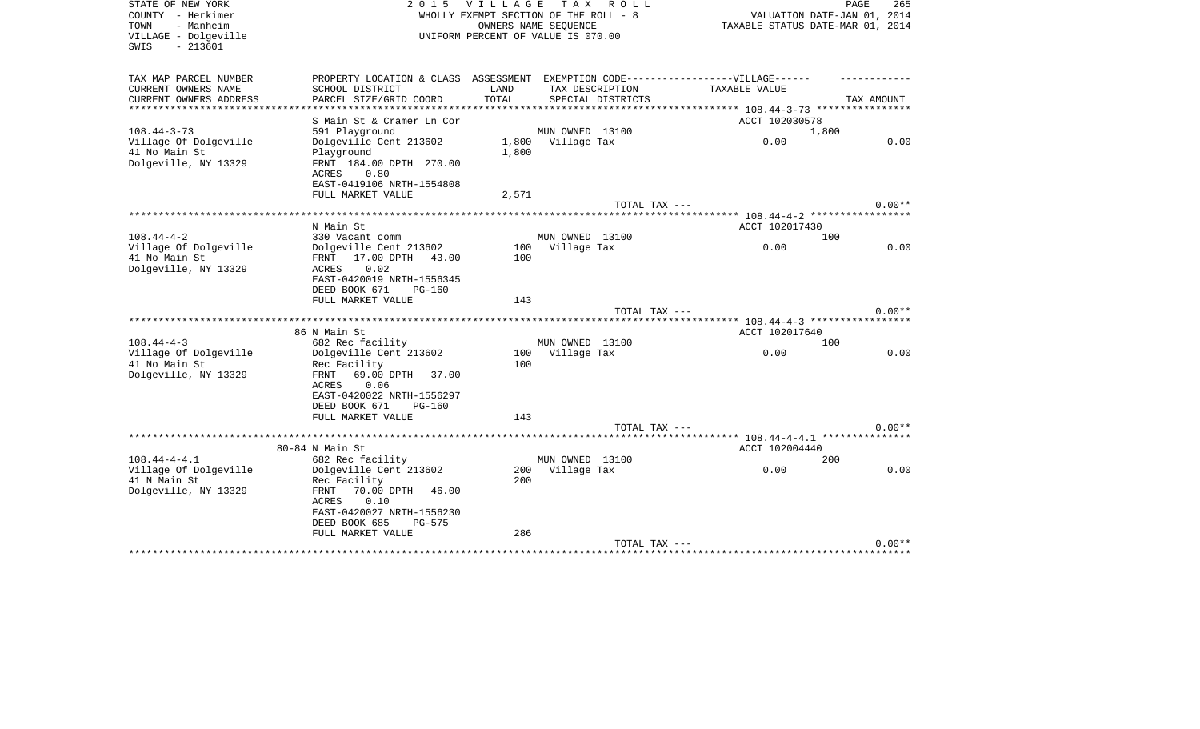| STATE OF NEW YORK<br>COUNTY - Herkimer<br>- Manheim<br>TOWN<br>VILLAGE - Dolgeville<br>$-213601$<br>SWIS | 2 0 1 5                                                                           | <b>VILLAGE</b> | T A X<br>R O L L<br>WHOLLY EXEMPT SECTION OF THE ROLL - 8<br>OWNERS NAME SEOUENCE<br>UNIFORM PERCENT OF VALUE IS 070.00 | VALUATION DATE-JAN 01, 2014<br>TAXABLE STATUS DATE-MAR 01, 2014 | 265<br>PAGE |
|----------------------------------------------------------------------------------------------------------|-----------------------------------------------------------------------------------|----------------|-------------------------------------------------------------------------------------------------------------------------|-----------------------------------------------------------------|-------------|
| TAX MAP PARCEL NUMBER                                                                                    | PROPERTY LOCATION & CLASS ASSESSMENT EXEMPTION CODE-----------------VILLAGE------ |                |                                                                                                                         |                                                                 |             |
| CURRENT OWNERS NAME<br>CURRENT OWNERS ADDRESS                                                            | SCHOOL DISTRICT<br>PARCEL SIZE/GRID COORD                                         | LAND<br>TOTAL  | TAX DESCRIPTION<br>SPECIAL DISTRICTS                                                                                    | TAXABLE VALUE                                                   | TAX AMOUNT  |
| ***************                                                                                          |                                                                                   |                |                                                                                                                         | ************** 108.44-3-73 *****************                    |             |
|                                                                                                          | S Main St & Cramer Ln Cor                                                         |                |                                                                                                                         | ACCT 102030578                                                  |             |
| $108.44 - 3 - 73$                                                                                        | 591 Playground                                                                    |                | MUN OWNED 13100                                                                                                         | 1,800                                                           |             |
| Village Of Dolgeville                                                                                    | Dolgeville Cent 213602                                                            |                | 1,800 Village Tax                                                                                                       | 0.00                                                            | 0.00        |
| 41 No Main St                                                                                            | Playground                                                                        | 1,800          |                                                                                                                         |                                                                 |             |
| Dolgeville, NY 13329                                                                                     | FRNT 184.00 DPTH 270.00<br>ACRES<br>0.80                                          |                |                                                                                                                         |                                                                 |             |
|                                                                                                          | EAST-0419106 NRTH-1554808                                                         |                |                                                                                                                         |                                                                 |             |
|                                                                                                          | FULL MARKET VALUE                                                                 | 2,571          |                                                                                                                         |                                                                 |             |
|                                                                                                          |                                                                                   |                | TOTAL TAX ---                                                                                                           |                                                                 | $0.00**$    |
|                                                                                                          |                                                                                   |                |                                                                                                                         |                                                                 |             |
|                                                                                                          | N Main St                                                                         |                |                                                                                                                         | ACCT 102017430                                                  |             |
| $108.44 - 4 - 2$<br>Village Of Dolgeville                                                                | 330 Vacant comm<br>Dolgeville Cent 213602                                         | 100            | MUN OWNED 13100<br>Village Tax                                                                                          | 100<br>0.00                                                     | 0.00        |
| 41 No Main St                                                                                            | 17.00 DPTH 43.00<br>FRNT                                                          | 100            |                                                                                                                         |                                                                 |             |
| Dolgeville, NY 13329                                                                                     | 0.02<br>ACRES                                                                     |                |                                                                                                                         |                                                                 |             |
|                                                                                                          | EAST-0420019 NRTH-1556345                                                         |                |                                                                                                                         |                                                                 |             |
|                                                                                                          | DEED BOOK 671<br><b>PG-160</b>                                                    |                |                                                                                                                         |                                                                 |             |
|                                                                                                          | FULL MARKET VALUE                                                                 | 143            |                                                                                                                         |                                                                 |             |
|                                                                                                          |                                                                                   |                | TOTAL TAX ---                                                                                                           |                                                                 | $0.00**$    |
|                                                                                                          | 86 N Main St                                                                      |                |                                                                                                                         | ACCT 102017640                                                  |             |
| $108.44 - 4 - 3$                                                                                         | 682 Rec facility                                                                  |                | MUN OWNED 13100                                                                                                         | 100                                                             |             |
| Village Of Dolgeville                                                                                    | Dolgeville Cent 213602                                                            | 100            | Village Tax                                                                                                             | 0.00                                                            | 0.00        |
| 41 No Main St                                                                                            | Rec Facility                                                                      | 100            |                                                                                                                         |                                                                 |             |
| Dolgeville, NY 13329                                                                                     | 69.00 DPTH<br>FRNT<br>37.00                                                       |                |                                                                                                                         |                                                                 |             |
|                                                                                                          | 0.06<br>ACRES                                                                     |                |                                                                                                                         |                                                                 |             |
|                                                                                                          | EAST-0420022 NRTH-1556297<br>DEED BOOK 671<br><b>PG-160</b>                       |                |                                                                                                                         |                                                                 |             |
|                                                                                                          | FULL MARKET VALUE                                                                 | 143            |                                                                                                                         |                                                                 |             |
|                                                                                                          |                                                                                   |                | TOTAL TAX ---                                                                                                           |                                                                 | $0.00**$    |
|                                                                                                          |                                                                                   |                |                                                                                                                         | ******** 108.44-4-4.1 ****************                          |             |
|                                                                                                          | 80-84 N Main St                                                                   |                |                                                                                                                         | ACCT 102004440                                                  |             |
| $108.44 - 4 - 4.1$                                                                                       | 682 Rec facility                                                                  |                | MUN OWNED 13100                                                                                                         | 200                                                             |             |
| Village Of Dolgeville<br>41 N Main St                                                                    | Dolgeville Cent 213602                                                            | 200            | 200 Village Tax                                                                                                         | 0.00                                                            | 0.00        |
| Dolgeville, NY 13329                                                                                     | Rec Facility<br>70.00 DPTH 46.00<br>FRNT                                          |                |                                                                                                                         |                                                                 |             |
|                                                                                                          | 0.10<br>ACRES                                                                     |                |                                                                                                                         |                                                                 |             |
|                                                                                                          | EAST-0420027 NRTH-1556230                                                         |                |                                                                                                                         |                                                                 |             |
|                                                                                                          | DEED BOOK 685<br>PG-575                                                           |                |                                                                                                                         |                                                                 |             |
|                                                                                                          | FULL MARKET VALUE                                                                 | 286            |                                                                                                                         |                                                                 |             |
|                                                                                                          |                                                                                   |                | TOTAL TAX ---                                                                                                           |                                                                 | $0.00**$    |
|                                                                                                          |                                                                                   |                |                                                                                                                         |                                                                 |             |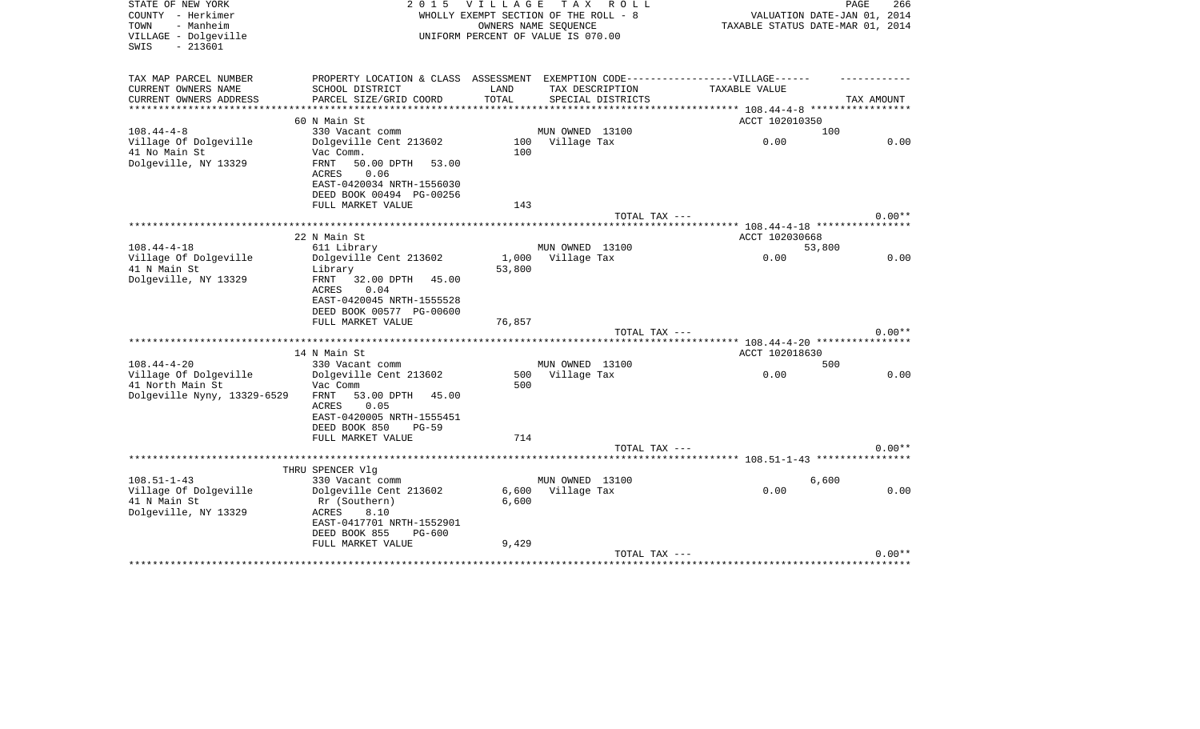| STATE OF NEW YORK<br>COUNTY - Herkimer<br>TOWN<br>- Manheim<br>VILLAGE - Dolgeville<br>$-213601$<br>SWIS | 2 0 1 5                                               | VILLAGE TAX ROLL<br>WHOLLY EXEMPT SECTION OF THE ROLL - 8<br>UNIFORM PERCENT OF VALUE IS 070.00 | OWNERS NAME SEOUENCE |                   |                                                 | PAGE<br>266<br>VALUATION DATE-JAN 01, 2014<br>TAXABLE STATUS DATE-MAR 01, 2014 |
|----------------------------------------------------------------------------------------------------------|-------------------------------------------------------|-------------------------------------------------------------------------------------------------|----------------------|-------------------|-------------------------------------------------|--------------------------------------------------------------------------------|
| TAX MAP PARCEL NUMBER                                                                                    | PROPERTY LOCATION & CLASS ASSESSMENT                  |                                                                                                 |                      |                   | EXEMPTION CODE------------------VILLAGE------   |                                                                                |
| CURRENT OWNERS NAME<br>CURRENT OWNERS ADDRESS                                                            | SCHOOL DISTRICT<br>PARCEL SIZE/GRID COORD             | LAND<br>TOTAL                                                                                   | TAX DESCRIPTION      | SPECIAL DISTRICTS | TAXABLE VALUE                                   | TAX AMOUNT                                                                     |
| ******************                                                                                       |                                                       |                                                                                                 |                      |                   | ***************** 108.44-4-8 ****************** |                                                                                |
|                                                                                                          | 60 N Main St                                          |                                                                                                 |                      |                   | ACCT 102010350                                  |                                                                                |
| $108.44 - 4 - 8$                                                                                         | 330 Vacant comm                                       |                                                                                                 | MUN OWNED 13100      |                   |                                                 | 100                                                                            |
| Village Of Dolgeville                                                                                    | Dolgeville Cent 213602                                | 100                                                                                             | Village Tax          |                   | 0.00                                            | 0.00                                                                           |
| 41 No Main St                                                                                            | Vac Comm.                                             | 100                                                                                             |                      |                   |                                                 |                                                                                |
| Dolgeville, NY 13329                                                                                     | FRNT<br>50.00 DPTH<br>53.00                           |                                                                                                 |                      |                   |                                                 |                                                                                |
|                                                                                                          | 0.06<br><b>ACRES</b><br>EAST-0420034 NRTH-1556030     |                                                                                                 |                      |                   |                                                 |                                                                                |
|                                                                                                          | DEED BOOK 00494 PG-00256                              |                                                                                                 |                      |                   |                                                 |                                                                                |
|                                                                                                          | FULL MARKET VALUE                                     | 143                                                                                             |                      |                   |                                                 |                                                                                |
|                                                                                                          |                                                       |                                                                                                 |                      | TOTAL TAX ---     |                                                 | $0.00**$                                                                       |
|                                                                                                          |                                                       |                                                                                                 |                      |                   |                                                 |                                                                                |
|                                                                                                          | 22 N Main St                                          |                                                                                                 |                      |                   | ACCT 102030668                                  |                                                                                |
| $108.44 - 4 - 18$                                                                                        | 611 Library                                           |                                                                                                 | MUN OWNED 13100      |                   |                                                 | 53,800                                                                         |
| Village Of Dolgeville                                                                                    | Dolgeville Cent 213602                                |                                                                                                 | 1,000 Village Tax    |                   | 0.00                                            | 0.00                                                                           |
| 41 N Main St                                                                                             | Library                                               | 53,800                                                                                          |                      |                   |                                                 |                                                                                |
| Dolgeville, NY 13329                                                                                     | FRNT<br>32.00 DPTH 45.00                              |                                                                                                 |                      |                   |                                                 |                                                                                |
|                                                                                                          | ACRES<br>0.04<br>EAST-0420045 NRTH-1555528            |                                                                                                 |                      |                   |                                                 |                                                                                |
|                                                                                                          | DEED BOOK 00577 PG-00600                              |                                                                                                 |                      |                   |                                                 |                                                                                |
|                                                                                                          | FULL MARKET VALUE                                     | 76,857                                                                                          |                      |                   |                                                 |                                                                                |
|                                                                                                          |                                                       |                                                                                                 |                      | TOTAL TAX ---     |                                                 | $0.00**$                                                                       |
|                                                                                                          |                                                       |                                                                                                 |                      |                   |                                                 |                                                                                |
|                                                                                                          | 14 N Main St                                          |                                                                                                 |                      |                   | ACCT 102018630                                  |                                                                                |
| $108.44 - 4 - 20$                                                                                        | 330 Vacant comm                                       |                                                                                                 | MUN OWNED 13100      |                   |                                                 | 500                                                                            |
| Village Of Dolgeville                                                                                    | Dolgeville Cent 213602                                | 500                                                                                             | Village Tax          |                   | 0.00                                            | 0.00                                                                           |
| 41 North Main St                                                                                         | Vac Comm                                              | 500                                                                                             |                      |                   |                                                 |                                                                                |
| Dolgeville Nyny, 13329-6529                                                                              | FRNT<br>53.00 DPTH<br>45.00                           |                                                                                                 |                      |                   |                                                 |                                                                                |
|                                                                                                          | 0.05<br>ACRES                                         |                                                                                                 |                      |                   |                                                 |                                                                                |
|                                                                                                          | EAST-0420005 NRTH-1555451<br>DEED BOOK 850<br>$PG-59$ |                                                                                                 |                      |                   |                                                 |                                                                                |
|                                                                                                          | FULL MARKET VALUE                                     | 714                                                                                             |                      |                   |                                                 |                                                                                |
|                                                                                                          |                                                       |                                                                                                 |                      | TOTAL TAX ---     |                                                 | $0.00**$                                                                       |
|                                                                                                          |                                                       |                                                                                                 |                      |                   |                                                 |                                                                                |
|                                                                                                          | THRU SPENCER Vlg                                      |                                                                                                 |                      |                   |                                                 |                                                                                |
| $108.51 - 1 - 43$                                                                                        | 330 Vacant comm                                       |                                                                                                 | MUN OWNED 13100      |                   |                                                 | 6,600                                                                          |
| Village Of Dolgeville                                                                                    | Dolgeville Cent 213602                                | 6,600                                                                                           | Village Tax          |                   | 0.00                                            | 0.00                                                                           |
| 41 N Main St                                                                                             | Rr (Southern)                                         | 6,600                                                                                           |                      |                   |                                                 |                                                                                |
| Dolgeville, NY 13329                                                                                     | 8.10<br>ACRES                                         |                                                                                                 |                      |                   |                                                 |                                                                                |
|                                                                                                          | EAST-0417701 NRTH-1552901                             |                                                                                                 |                      |                   |                                                 |                                                                                |
|                                                                                                          | DEED BOOK 855<br>PG-600<br>FULL MARKET VALUE          | 9,429                                                                                           |                      |                   |                                                 |                                                                                |
|                                                                                                          |                                                       |                                                                                                 |                      | TOTAL TAX ---     |                                                 | $0.00**$                                                                       |
|                                                                                                          |                                                       |                                                                                                 |                      |                   | *********************************               |                                                                                |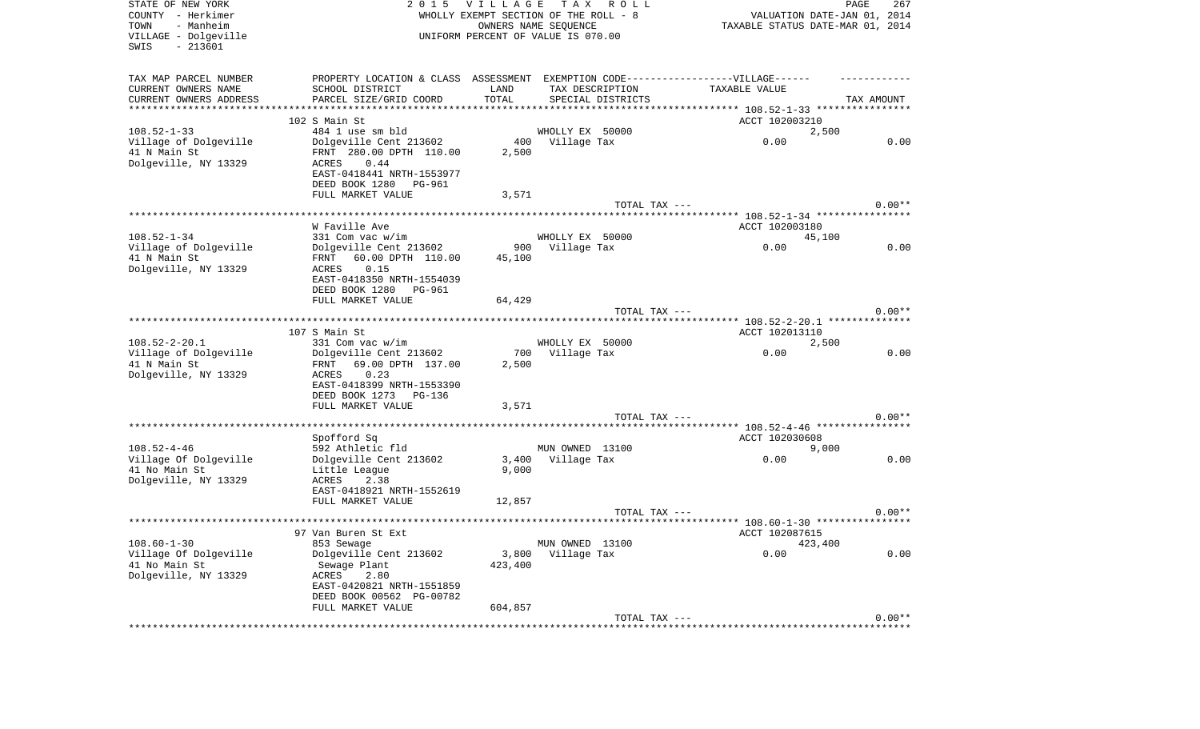| STATE OF NEW YORK<br>COUNTY - Herkimer<br>- Manheim<br>TOWN<br>VILLAGE - Dolgeville<br>$-213601$<br>SWIS | 2 0 1 5                                                                          | <b>VILLAGE</b> | TAX ROLL<br>WHOLLY EXEMPT SECTION OF THE ROLL - 8<br>OWNERS NAME SEQUENCE<br>UNIFORM PERCENT OF VALUE IS 070.00 |                | PAGE<br>267<br>VALUATION DATE-JAN 01, 2014<br>TAXABLE STATUS DATE-MAR 01, 2014 |
|----------------------------------------------------------------------------------------------------------|----------------------------------------------------------------------------------|----------------|-----------------------------------------------------------------------------------------------------------------|----------------|--------------------------------------------------------------------------------|
| TAX MAP PARCEL NUMBER                                                                                    | PROPERTY LOCATION & CLASS ASSESSMENT EXEMPTION CODE----------------VILLAGE------ |                |                                                                                                                 |                |                                                                                |
| CURRENT OWNERS NAME<br>CURRENT OWNERS ADDRESS                                                            | SCHOOL DISTRICT                                                                  | LAND           | TAX DESCRIPTION                                                                                                 | TAXABLE VALUE  |                                                                                |
| **********************                                                                                   | PARCEL SIZE/GRID COORD                                                           | TOTAL          | SPECIAL DISTRICTS                                                                                               |                | TAX AMOUNT                                                                     |
|                                                                                                          | 102 S Main St                                                                    |                |                                                                                                                 | ACCT 102003210 |                                                                                |
| $108.52 - 1 - 33$                                                                                        | 484 1 use sm bld                                                                 |                | WHOLLY EX 50000                                                                                                 |                | 2,500                                                                          |
| Village of Dolgeville<br>41 N Main St                                                                    | Dolgeville Cent 213602<br>FRNT 280.00 DPTH 110.00                                | 2,500          | 400 Village Tax                                                                                                 | 0.00           | 0.00                                                                           |
| Dolgeville, NY 13329                                                                                     | 0.44<br>ACRES                                                                    |                |                                                                                                                 |                |                                                                                |
|                                                                                                          | EAST-0418441 NRTH-1553977                                                        |                |                                                                                                                 |                |                                                                                |
|                                                                                                          | DEED BOOK 1280<br>PG-961<br>FULL MARKET VALUE                                    | 3,571          |                                                                                                                 |                |                                                                                |
|                                                                                                          |                                                                                  |                |                                                                                                                 | TOTAL TAX ---  | $0.00**$                                                                       |
|                                                                                                          |                                                                                  |                |                                                                                                                 |                |                                                                                |
| $108.52 - 1 - 34$                                                                                        | W Faville Ave<br>331 Com vac w/im                                                |                | WHOLLY EX 50000                                                                                                 | ACCT 102003180 |                                                                                |
| Village of Dolgeville                                                                                    | Dolgeville Cent 213602                                                           | 900            | Village Tax                                                                                                     | 0.00           | 45,100<br>0.00                                                                 |
| 41 N Main St                                                                                             | 60.00 DPTH 110.00<br>FRNT                                                        | 45,100         |                                                                                                                 |                |                                                                                |
| Dolgeville, NY 13329                                                                                     | 0.15<br>ACRES                                                                    |                |                                                                                                                 |                |                                                                                |
|                                                                                                          | EAST-0418350 NRTH-1554039<br>DEED BOOK 1280<br>PG-961                            |                |                                                                                                                 |                |                                                                                |
|                                                                                                          | FULL MARKET VALUE                                                                | 64,429         |                                                                                                                 |                |                                                                                |
|                                                                                                          |                                                                                  |                |                                                                                                                 | TOTAL TAX ---  | $0.00**$                                                                       |
|                                                                                                          | 107 S Main St                                                                    |                |                                                                                                                 | ACCT 102013110 |                                                                                |
| $108.52 - 2 - 20.1$                                                                                      | 331 Com vac w/im                                                                 |                | WHOLLY EX 50000                                                                                                 |                | 2,500                                                                          |
| Village of Dolgeville                                                                                    | Dolgeville Cent 213602                                                           | 700            | Village Tax                                                                                                     | 0.00           | 0.00                                                                           |
| 41 N Main St<br>Dolgeville, NY 13329                                                                     | 69.00 DPTH 137.00<br>FRNT<br>0.23<br>ACRES                                       | 2,500          |                                                                                                                 |                |                                                                                |
|                                                                                                          | EAST-0418399 NRTH-1553390                                                        |                |                                                                                                                 |                |                                                                                |
|                                                                                                          | DEED BOOK 1273<br>PG-136                                                         |                |                                                                                                                 |                |                                                                                |
|                                                                                                          | FULL MARKET VALUE                                                                | 3,571          |                                                                                                                 | TOTAL TAX ---  | $0.00**$                                                                       |
|                                                                                                          |                                                                                  |                |                                                                                                                 |                |                                                                                |
|                                                                                                          | Spofford Sq                                                                      |                |                                                                                                                 | ACCT 102030608 |                                                                                |
| $108.52 - 4 - 46$<br>Village Of Dolgeville                                                               | 592 Athletic fld<br>Dolgeville Cent 213602                                       | 3,400          | MUN OWNED 13100<br>Village Tax                                                                                  | 0.00           | 9,000<br>0.00                                                                  |
| 41 No Main St                                                                                            | Little League                                                                    | 9,000          |                                                                                                                 |                |                                                                                |
| Dolgeville, NY 13329                                                                                     | 2.38<br>ACRES                                                                    |                |                                                                                                                 |                |                                                                                |
|                                                                                                          | EAST-0418921 NRTH-1552619<br>FULL MARKET VALUE                                   | 12,857         |                                                                                                                 |                |                                                                                |
|                                                                                                          |                                                                                  |                |                                                                                                                 | TOTAL TAX ---  | $0.00**$                                                                       |
|                                                                                                          |                                                                                  |                |                                                                                                                 |                |                                                                                |
| $108.60 - 1 - 30$                                                                                        | 97 Van Buren St Ext<br>853 Sewage                                                |                | MUN OWNED 13100                                                                                                 | ACCT 102087615 | 423,400                                                                        |
| Village Of Dolgeville                                                                                    | Dolgeville Cent 213602                                                           | 3,800          | Village Tax                                                                                                     | 0.00           | 0.00                                                                           |
| 41 No Main St                                                                                            | Sewage Plant                                                                     | 423,400        |                                                                                                                 |                |                                                                                |
| Dolgeville, NY 13329                                                                                     | 2.80<br>ACRES<br>EAST-0420821 NRTH-1551859                                       |                |                                                                                                                 |                |                                                                                |
|                                                                                                          | DEED BOOK 00562 PG-00782                                                         |                |                                                                                                                 |                |                                                                                |
|                                                                                                          | FULL MARKET VALUE                                                                | 604,857        |                                                                                                                 |                |                                                                                |
|                                                                                                          |                                                                                  |                |                                                                                                                 | TOTAL TAX ---  | $0.00**$                                                                       |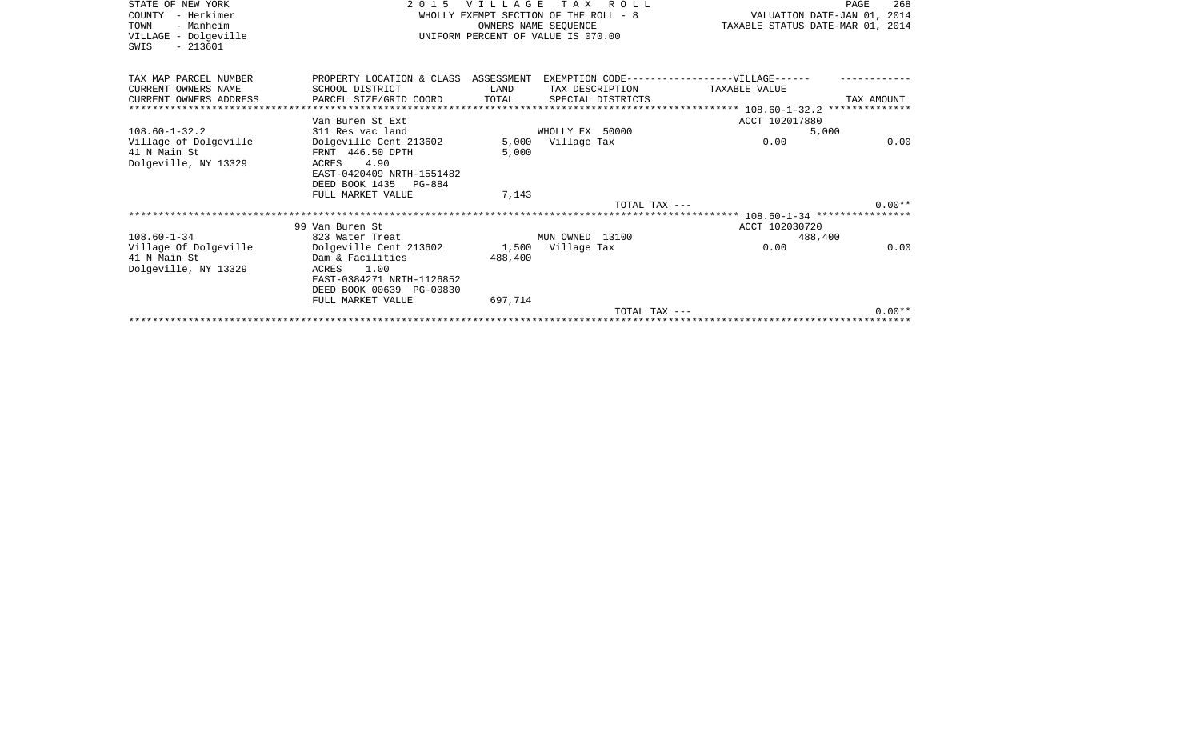| STATE OF NEW YORK<br>COUNTY - Herkimer<br>TOWN<br>- Manheim<br>VILLAGE - Dolgeville<br>$-213601$<br>SWIS | 2 0 1 5                                                                                                                                                  | <b>VILLAGE</b><br>OWNERS NAME SEQUENCE | T A X<br>R O L L<br>WHOLLY EXEMPT SECTION OF THE ROLL - 8<br>UNIFORM PERCENT OF VALUE IS 070.00 | VALUATION DATE-JAN 01, 2014<br>TAXABLE STATUS DATE-MAR 01, 2014 | PAGE<br>268 |
|----------------------------------------------------------------------------------------------------------|----------------------------------------------------------------------------------------------------------------------------------------------------------|----------------------------------------|-------------------------------------------------------------------------------------------------|-----------------------------------------------------------------|-------------|
| TAX MAP PARCEL NUMBER<br>CURRENT OWNERS NAME                                                             | PROPERTY LOCATION & CLASS ASSESSMENT EXEMPTION CODE-----------------VILLAGE------<br>SCHOOL DISTRICT                                                     | LAND                                   | TAX DESCRIPTION                                                                                 | TAXABLE VALUE                                                   |             |
| CURRENT OWNERS ADDRESS<br>**********************************                                             | PARCEL SIZE/GRID COORD                                                                                                                                   | TOTAL                                  | SPECIAL DISTRICTS                                                                               |                                                                 | TAX AMOUNT  |
|                                                                                                          | Van Buren St Ext                                                                                                                                         |                                        |                                                                                                 | ACCT 102017880                                                  |             |
| $108.60 - 1 - 32.2$                                                                                      | 311 Res vac land                                                                                                                                         |                                        | WHOLLY EX 50000                                                                                 | 5,000                                                           |             |
| Village of Dolgeville<br>41 N Main St<br>Dolgeville, NY 13329                                            | Dolgeville Cent 213602<br>FRNT 446.50 DPTH<br>ACRES 4.90<br>EAST-0420409 NRTH-1551482<br>DEED BOOK 1435 PG-884                                           | 5.000                                  | 5,000 Village Tax                                                                               | 0.00                                                            | 0.00        |
|                                                                                                          | FULL MARKET VALUE                                                                                                                                        | 7,143                                  |                                                                                                 |                                                                 |             |
|                                                                                                          |                                                                                                                                                          |                                        | TOTAL TAX ---                                                                                   |                                                                 | $0.00**$    |
|                                                                                                          |                                                                                                                                                          |                                        |                                                                                                 |                                                                 |             |
|                                                                                                          | 99 Van Buren St                                                                                                                                          |                                        |                                                                                                 | ACCT 102030720                                                  |             |
| $108.60 - 1 - 34$                                                                                        | 823 Water Treat                                                                                                                                          |                                        | MUN OWNED 13100                                                                                 | 488,400                                                         |             |
| Village Of Dolgeville<br>41 N Main St<br>Dolgeville, NY 13329                                            | Dolgeville Cent 213602 1,500 Village Tax<br>Dam & Facilities<br>ACRES 1.00<br>EAST-0384271 NRTH-1126852<br>DEED BOOK 00639 PG-00830<br>FULL MARKET VALUE | 488,400<br>697,714                     |                                                                                                 | 0.00                                                            | 0.00        |
|                                                                                                          |                                                                                                                                                          |                                        | TOTAL TAX ---                                                                                   |                                                                 | $0.00**$    |
|                                                                                                          |                                                                                                                                                          |                                        |                                                                                                 |                                                                 |             |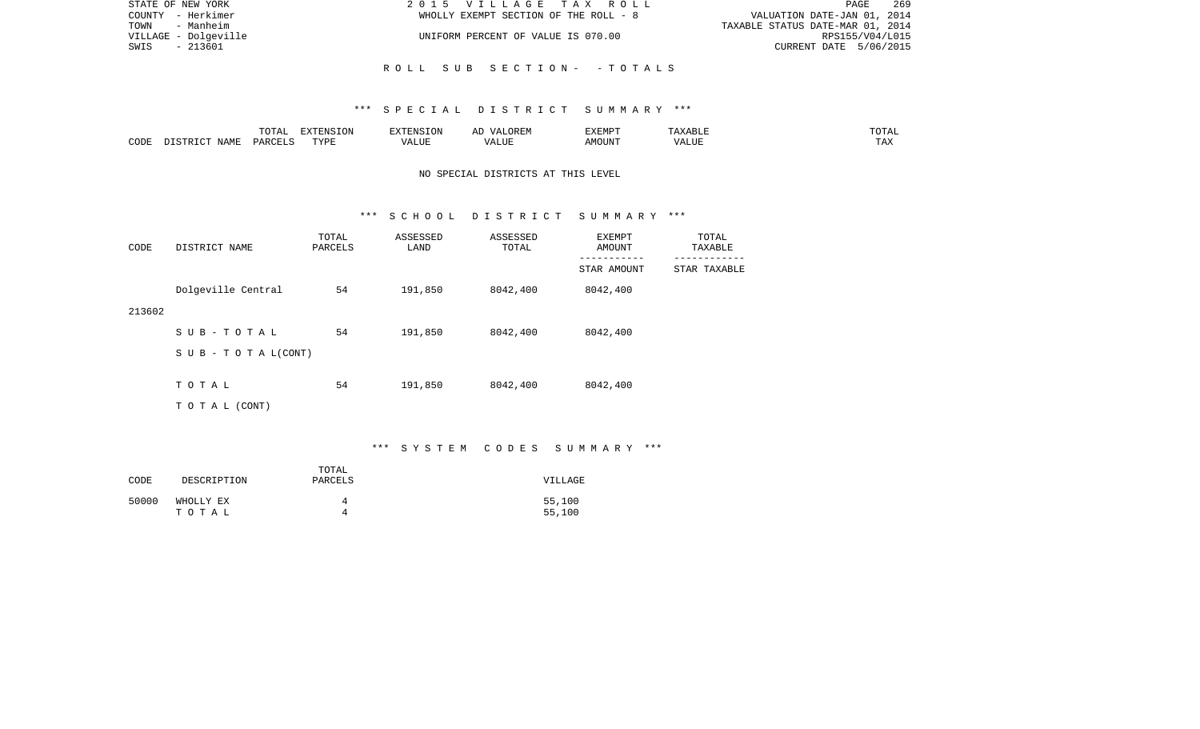| STATE OF NEW YORK    | 2015 VILLAGE TAX ROLL                 | 269<br>PAGE                      |
|----------------------|---------------------------------------|----------------------------------|
| COUNTY - Herkimer    | WHOLLY EXEMPT SECTION OF THE ROLL - 8 | VALUATION DATE-JAN 01, 2014      |
| TOWN - Manheim       |                                       | TAXABLE STATUS DATE-MAR 01, 2014 |
| VILLAGE - Dolgeville | UNIFORM PERCENT OF VALUE IS 070.00    | RPS155/V04/L015                  |
| - 213601<br>SWIS     |                                       | CURRENT DATE 5/06/2015           |
|                      |                                       |                                  |
|                      | ROLL SUB SECTION- -TOTALS             |                                  |

|      |             |               | $\Box$<br>11 L<br>$\left( \right)$ |   | HIV | EXEMPT | .<br>n 1                   | $\overline{\phantom{a}}$ |
|------|-------------|---------------|------------------------------------|---|-----|--------|----------------------------|--------------------------|
| CODE | ΝΔМϜ<br>. . | <b>PARCEL</b> | TVDT                               | . | ,,, | AMOUNT | , <del>,</del> , , , , , , | ---<br>.A2               |

# NO SPECIAL DISTRICTS AT THIS LEVEL

#### \*\*\* S C H O O L D I S T R I C T S U M M A R Y \*\*\*

| CODE   | DISTRICT NAME                    | TOTAL<br>PARCELS | ASSESSED<br>LAND | ASSESSED<br>TOTAL | EXEMPT<br>AMOUNT         | TOTAL<br>TAXABLE         |
|--------|----------------------------------|------------------|------------------|-------------------|--------------------------|--------------------------|
|        |                                  |                  |                  |                   | ---------<br>STAR AMOUNT | --------<br>STAR TAXABLE |
|        | Dolgeville Central               | 54               | 191,850          | 8042,400          | 8042,400                 |                          |
| 213602 |                                  |                  |                  |                   |                          |                          |
|        | SUB-TOTAL                        | 54               | 191,850          | 8042,400          | 8042,400                 |                          |
|        | $S \cup B - T \cup T A L (CONT)$ |                  |                  |                   |                          |                          |
|        |                                  |                  |                  |                   |                          |                          |
|        | TOTAL                            | 54               | 191,850          | 8042,400          | 8042,400                 |                          |
|        | TO TAL (CONT)                    |                  |                  |                   |                          |                          |

# \*\*\* S Y S T E M C O D E S S U M M A R Y \*\*\*

| CODE  | DESCRIPTION | TOTAL<br>PARCELS | VILLAGE |
|-------|-------------|------------------|---------|
| 50000 | WHOLLY EX   | 4                | 55,100  |
|       | тотаь       | Δ                | 55,100  |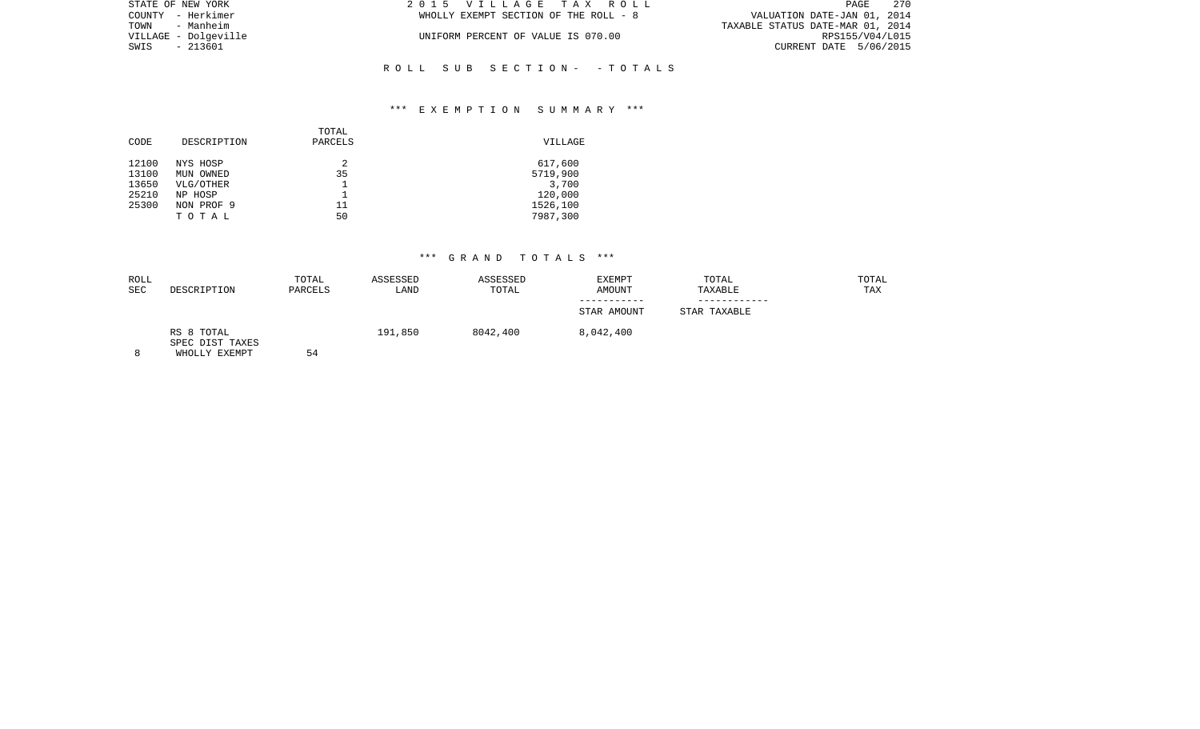| STATE OF NEW YORK    | 2015 VILLAGE TAX ROLL                 | 270<br>PAGE                      |
|----------------------|---------------------------------------|----------------------------------|
| COUNTY - Herkimer    | WHOLLY EXEMPT SECTION OF THE ROLL - 8 | VALUATION DATE-JAN 01, 2014      |
| TOWN - Manheim       |                                       | TAXABLE STATUS DATE-MAR 01, 2014 |
| VILLAGE - Dolgeville | UNIFORM PERCENT OF VALUE IS 070.00    | RPS155/V04/L015                  |
| SWIS - 213601        |                                       | CURRENT DATE 5/06/2015           |
|                      |                                       |                                  |

## \*\*\* E X E M P T I O N S U M M A R Y \*\*\*

R O L L S U B S E C T I O N - - T O T A L S

| CODE  | DESCRIPTION | TOTAL<br>PARCELS | VILLAGE  |
|-------|-------------|------------------|----------|
| 12100 | NYS HOSP    | 2                | 617,600  |
| 13100 | MUN OWNED   | 35               | 5719,900 |
| 13650 | VLG/OTHER   |                  | 3,700    |
| 25210 | NP HOSP     |                  | 120,000  |
| 25300 | NON PROF 9  | 11               | 1526,100 |
|       | TOTAL       | 50               | 7987,300 |
|       |             |                  |          |

| ROLL<br>SEC | DESCRIPTION                                    | TOTAL<br>PARCELS | ASSESSED<br>LAND | ASSESSED<br>TOTAL | EXEMPT<br>AMOUNT         | TOTAL<br>TAXABLE | TOTAL<br>TAX |
|-------------|------------------------------------------------|------------------|------------------|-------------------|--------------------------|------------------|--------------|
|             |                                                |                  |                  |                   | ---------<br>STAR AMOUNT | STAR TAXABLE     |              |
| 8           | RS 8 TOTAL<br>SPEC DIST TAXES<br>WHOLLY EXEMPT | 54               | 191,850          | 8042,400          | 8,042,400                |                  |              |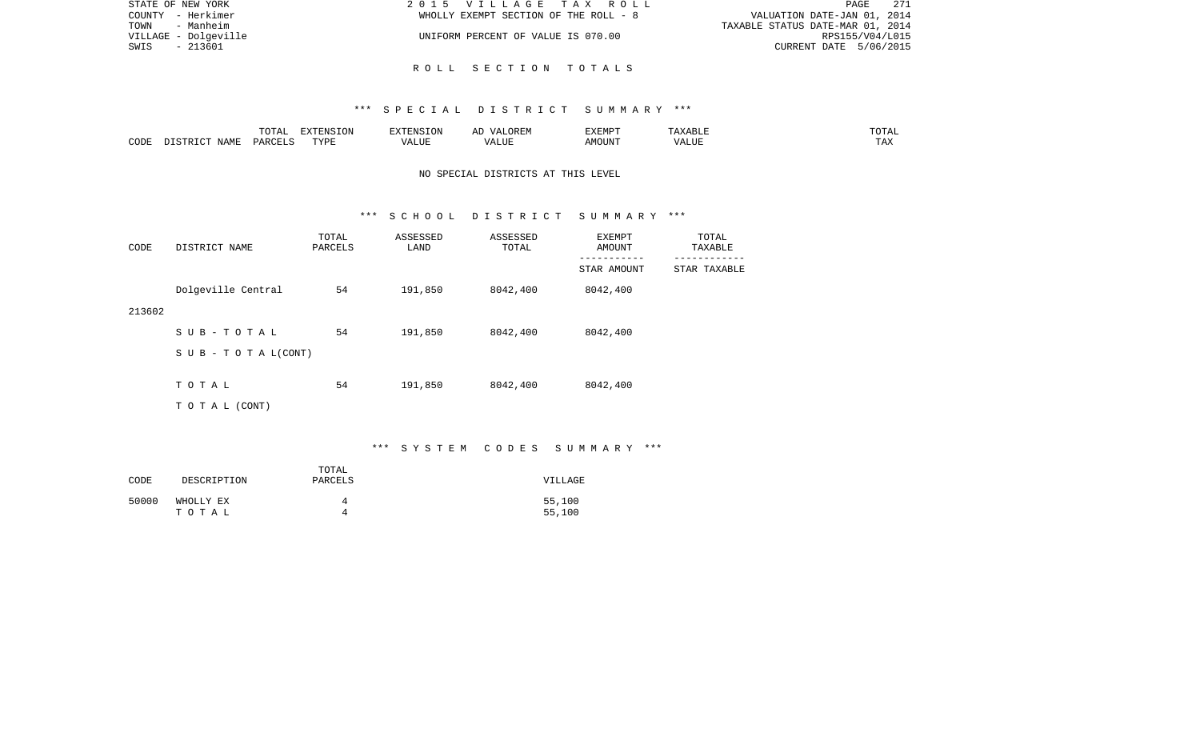| STATE OF NEW YORK    | 2015 VILLAGE TAX ROLL                 | - 271<br>PAGE                    |
|----------------------|---------------------------------------|----------------------------------|
| COUNTY - Herkimer    | WHOLLY EXEMPT SECTION OF THE ROLL - 8 | VALUATION DATE-JAN 01, 2014      |
| TOWN<br>- Manheim    |                                       | TAXABLE STATUS DATE-MAR 01, 2014 |
| VILLAGE - Dolgeville | UNIFORM PERCENT OF VALUE IS 070.00    | RPS155/V04/L015                  |
| - 213601<br>SWIS     |                                       | CURRENT DATE 5/06/2015           |
|                      |                                       |                                  |

## R O L L S E C T I O N T O T A L S

#### \*\*\* S P E C I A L D I S T R I C T S U M M A R Y \*\*\*

|      |                                 | $T$ $\cap$ $T$ $\cap$ $\cap$ $\cap$<br>$\cdot$<br>- ∪ + ⊥ + + | EXTENSION   |       | OREM<br>$\sqrt{4}$ | <b>EXEMPT</b> |                    | ------<br>"UTAL      |
|------|---------------------------------|---------------------------------------------------------------|-------------|-------|--------------------|---------------|--------------------|----------------------|
| CODE | $\Lambda \Delta M$ <sup>T</sup> | D A D C                                                       | TVDF<br>--- | т ттт | $\sqrt{ }$<br>பப   | MOUN'         | $\sqrt{ }$<br>ALUF | <b>TIA 32</b><br>IΑΛ |

# NO SPECIAL DISTRICTS AT THIS LEVEL

#### \*\*\* S C H O O L D I S T R I C T S U M M A R Y \*\*\*

| CODE   | DISTRICT NAME             | TOTAL<br>PARCELS | ASSESSED<br>LAND | ASSESSED<br>TOTAL | EXEMPT<br>AMOUNT         | TOTAL<br>TAXABLE            |
|--------|---------------------------|------------------|------------------|-------------------|--------------------------|-----------------------------|
|        |                           |                  |                  |                   | ---------<br>STAR AMOUNT | $---------$<br>STAR TAXABLE |
|        | Dolgeville Central        | 54               | 191,850          | 8042,400          | 8042,400                 |                             |
| 213602 |                           |                  |                  |                   |                          |                             |
|        | SUB-TOTAL                 | 54               | 191,850          | 8042,400          | 8042,400                 |                             |
|        | S U B - T O T A $L(CONT)$ |                  |                  |                   |                          |                             |
|        | TOTAL                     | 54               | 191,850          | 8042,400          | 8042,400                 |                             |
|        |                           |                  |                  |                   |                          |                             |
|        | TO TAL (CONT)             |                  |                  |                   |                          |                             |

# \*\*\* S Y S T E M C O D E S S U M M A R Y \*\*\*

| CODE  | DESCRIPTION | TOTAL<br>PARCELS | VILLAGE |
|-------|-------------|------------------|---------|
| 50000 | WHOLLY EX   | Δ                | 55,100  |
|       | тотаь       | Δ                | 55,100  |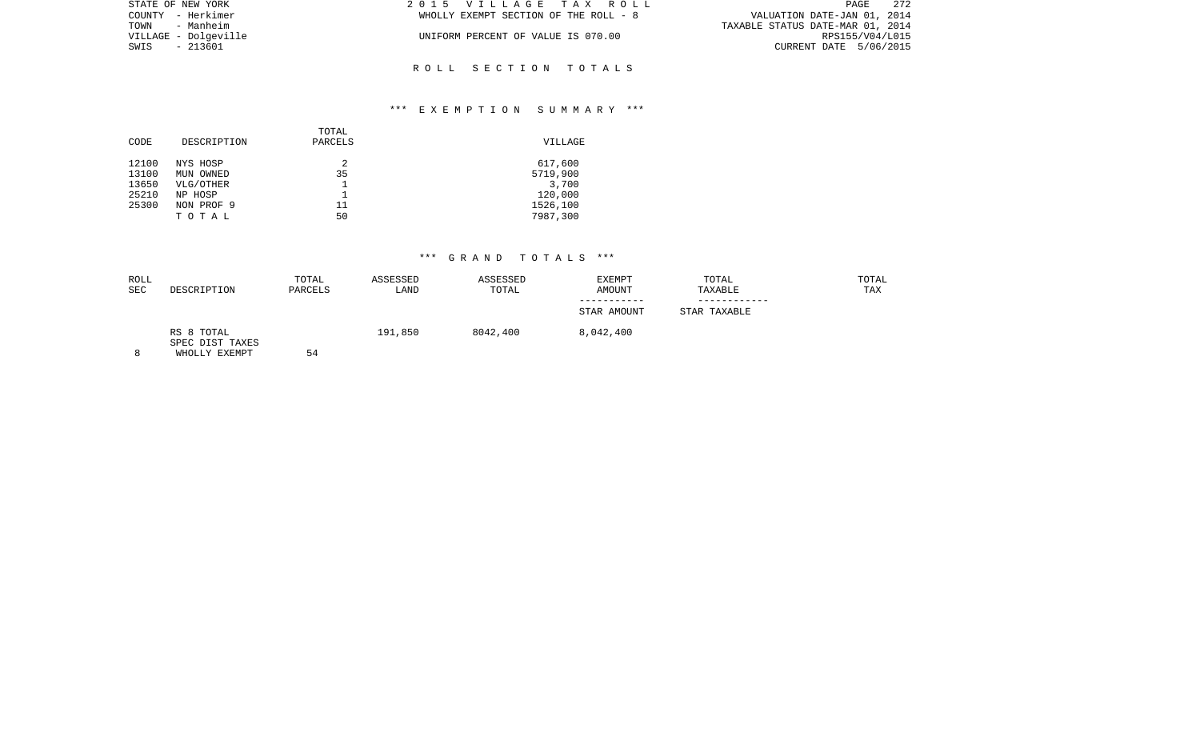| STATE OF NEW YORK    | 2015 VILLAGE TAX ROLL                 | - 272<br>PAGE                    |
|----------------------|---------------------------------------|----------------------------------|
| COUNTY - Herkimer    | WHOLLY EXEMPT SECTION OF THE ROLL - 8 | VALUATION DATE-JAN 01, 2014      |
| TOWN - Manheim       |                                       | TAXABLE STATUS DATE-MAR 01, 2014 |
| VILLAGE - Dolgeville | UNIFORM PERCENT OF VALUE IS 070.00    | RPS155/V04/L015                  |
| SWIS<br>- 213601     |                                       | CURRENT DATE 5/06/2015           |
|                      |                                       |                                  |

## \*\*\* E X E M P T I O N S U M M A R Y \*\*\*

R O L L S E C T I O N T O T A L S

| CODE  | DESCRIPTION | TOTAL<br>PARCELS | VILLAGE  |
|-------|-------------|------------------|----------|
| 12100 | NYS HOSP    | 2                | 617,600  |
| 13100 | MUN OWNED   | 35               | 5719,900 |
| 13650 | VLG/OTHER   |                  | 3,700    |
| 25210 | NP HOSP     |                  | 120,000  |
| 25300 | NON PROF 9  | 11               | 1526,100 |
|       | TOTAL       | 50               | 7987,300 |
|       |             |                  |          |

| ROLL       |                                                | TOTAL   | ASSESSED | ASSESSED | EXEMPT      | TOTAL        | TOTAL |
|------------|------------------------------------------------|---------|----------|----------|-------------|--------------|-------|
| <b>SEC</b> | DESCRIPTION                                    | PARCELS | LAND     | TOTAL    | AMOUNT      | TAXABLE      | TAX   |
|            |                                                |         |          |          | STAR AMOUNT | STAR TAXABLE |       |
|            | RS 8 TOTAL<br>SPEC DIST TAXES<br>WHOLLY EXEMPT | 54      | 191,850  | 8042,400 | 8,042,400   |              |       |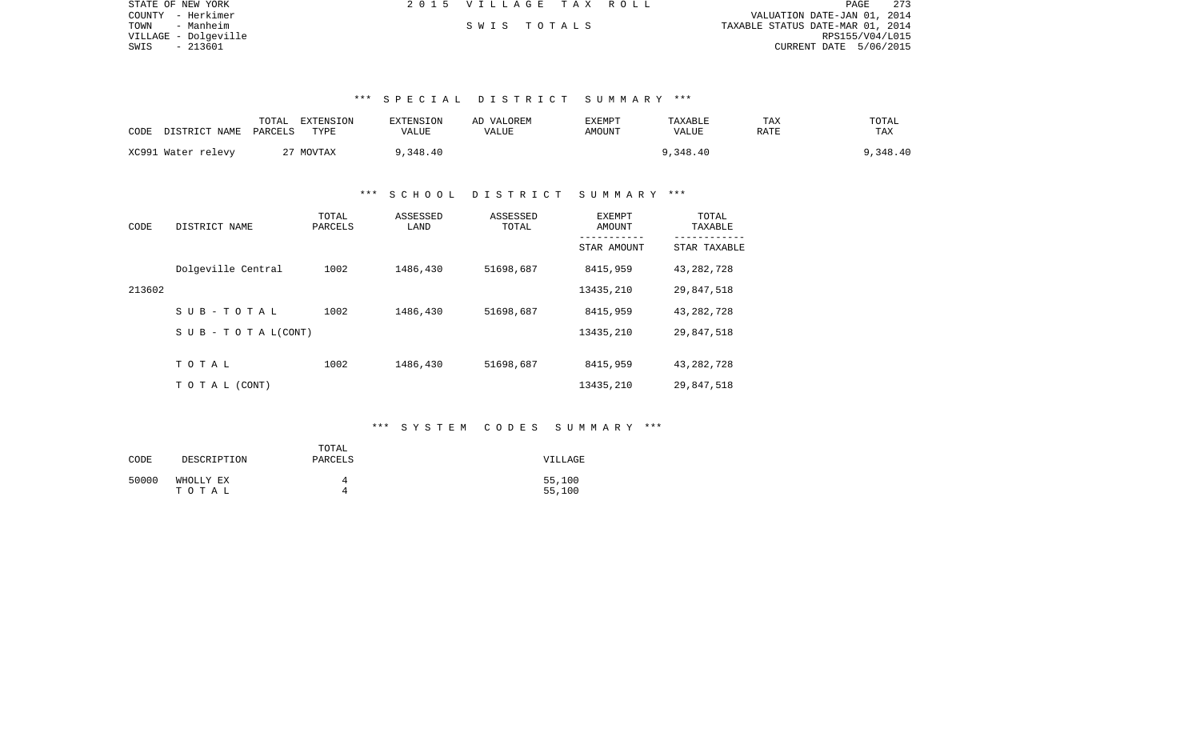| STATE OF NEW YORK    | 2015 VILLAGE TAX ROLL |  | 273<br>PAGE                      |
|----------------------|-----------------------|--|----------------------------------|
| COUNTY - Herkimer    |                       |  | VALUATION DATE-JAN 01, 2014      |
| TOWN<br>- Manheim    | SWIS TOTALS           |  | TAXABLE STATUS DATE-MAR 01, 2014 |
| VILLAGE - Dolgeville |                       |  | RPS155/V04/L015                  |
| SWIS - 213601        |                       |  | CURRENT DATE 5/06/2015           |

| CODE | DISTRICT NAME PARCELS | TOTAL | EXTENSION<br>TYPE | <b>EXTENSION</b><br>VALUE | AD VALOREM<br>VALUE | EXEMPT<br>AMOUNT | TAXABLE<br>VALUE | TAX<br>RATE | TOTAL<br>TAX |
|------|-----------------------|-------|-------------------|---------------------------|---------------------|------------------|------------------|-------------|--------------|
|      | XC991 Water relevy    |       | 27 MOVTAX         | 9,348.40                  |                     |                  | 9,348.40         |             | 9,348.40     |

#### \*\*\* S C H O O L D I S T R I C T S U M M A R Y \*\*\*

| CODE   | DISTRICT NAME                    | TOTAL<br>PARCELS | ASSESSED<br>LAND | ASSESSED<br>TOTAL | EXEMPT<br>AMOUNT | TOTAL<br>TAXABLE |
|--------|----------------------------------|------------------|------------------|-------------------|------------------|------------------|
|        |                                  |                  |                  |                   | STAR AMOUNT      | STAR TAXABLE     |
|        | Dolgeville Central               | 1002             | 1486,430         | 51698,687         | 8415,959         | 43, 282, 728     |
| 213602 |                                  |                  |                  |                   | 13435,210        | 29,847,518       |
|        | SUB-TOTAL                        | 1002             | 1486,430         | 51698,687         | 8415,959         | 43, 282, 728     |
|        | $S \cup B - T \cup T A L (CONT)$ |                  |                  |                   | 13435,210        | 29,847,518       |
|        |                                  |                  |                  |                   |                  |                  |
|        | TOTAL                            | 1002             | 1486,430         | 51698,687         | 8415,959         | 43, 282, 728     |
|        | TO TAL (CONT)                    |                  |                  |                   | 13435,210        | 29,847,518       |

## \*\*\* S Y S T E M C O D E S S U M M A R Y \*\*\*

| CODE  | DESCRIPTION        | TOTAL<br>PARCELS | VILLAGE          |
|-------|--------------------|------------------|------------------|
| 50000 | WHOLLY EX<br>тотаь |                  | 55,100<br>55,100 |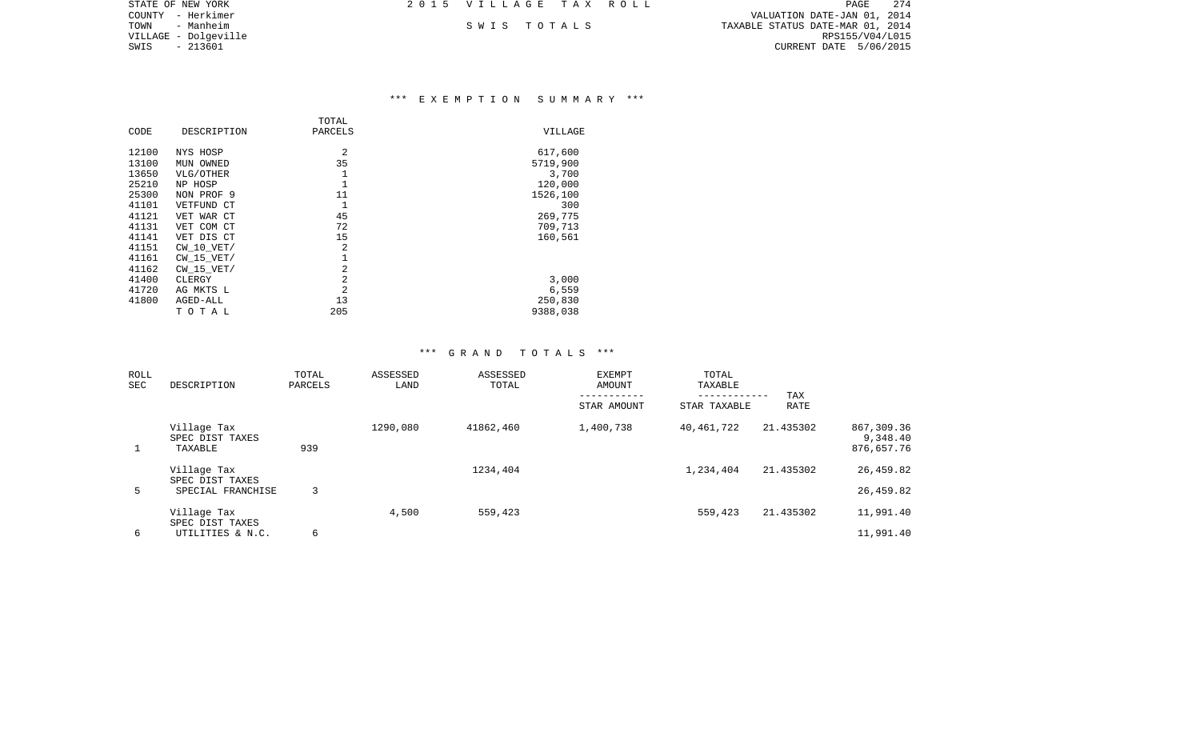| STATE OF NEW YORK    | 2015 VILLAGE TAX ROLL |  | PAGE                             | 274 |
|----------------------|-----------------------|--|----------------------------------|-----|
| COUNTY - Herkimer    |                       |  | VALUATION DATE-JAN 01, 2014      |     |
| TOWN<br>- Manheim    | SWIS TOTALS           |  | TAXABLE STATUS DATE-MAR 01, 2014 |     |
| VILLAGE - Dolqeville |                       |  | RPS155/V04/L015                  |     |
| SWIS<br>- 213601     |                       |  | CURRENT DATE 5/06/2015           |     |
|                      |                       |  |                                  |     |

### \*\*\* E X E M P T I O N S U M M A R Y \*\*\*

|       |                | TOTAL          |          |
|-------|----------------|----------------|----------|
| CODE  | DESCRIPTION    | PARCELS        | VILLAGE  |
| 12100 | NYS HOSP       | 2              | 617,600  |
| 13100 | MUN OWNED      | 35             | 5719,900 |
| 13650 | VLG/OTHER      | 1              | 3,700    |
| 25210 | NP HOSP        | 1              | 120,000  |
| 25300 | NON PROF 9     | 11             | 1526,100 |
| 41101 | VETFUND CT     | 1              | 300      |
| 41121 | VET WAR CT     | 45             | 269,775  |
| 41131 | VET COM CT     | 72             | 709,713  |
| 41141 | VET DIS CT     | 15             | 160,561  |
| 41151 | $CW$ 10 $VET/$ | $\overline{2}$ |          |
| 41161 | $CW$ 15 $VET/$ |                |          |
| 41162 | $CW$ 15 $VET/$ | 2              |          |
| 41400 | CLERGY         | 2              | 3,000    |
| 41720 | AG MKTS L      | $\overline{2}$ | 6,559    |
| 41800 | AGED-ALL       | 13             | 250,830  |
|       | TOTAL          | 205            | 9388,038 |

| ROLL<br>SEC | DESCRIPTION                                         | TOTAL<br>PARCELS | ASSESSED<br>LAND | ASSESSED<br>TOTAL | <b>EXEMPT</b><br>AMOUNT<br>-----------<br>STAR AMOUNT | TOTAL<br>TAXABLE<br>------------<br>STAR TAXABLE | TAX<br><b>RATE</b> |                                      |
|-------------|-----------------------------------------------------|------------------|------------------|-------------------|-------------------------------------------------------|--------------------------------------------------|--------------------|--------------------------------------|
|             | Village Tax<br>SPEC DIST TAXES<br>TAXABLE           | 939              | 1290,080         | 41862,460         | 1,400,738                                             | 40,461,722                                       | 21.435302          | 867,309.36<br>9,348.40<br>876,657.76 |
| 5           | Village Tax<br>SPEC DIST TAXES<br>SPECIAL FRANCHISE | 3                |                  | 1234,404          |                                                       | 1,234,404                                        | 21.435302          | 26,459.82<br>26,459.82               |
| 6           | Village Tax<br>SPEC DIST TAXES<br>UTILITIES & N.C.  | 6                | 4,500            | 559,423           |                                                       | 559,423                                          | 21.435302          | 11,991.40<br>11,991.40               |